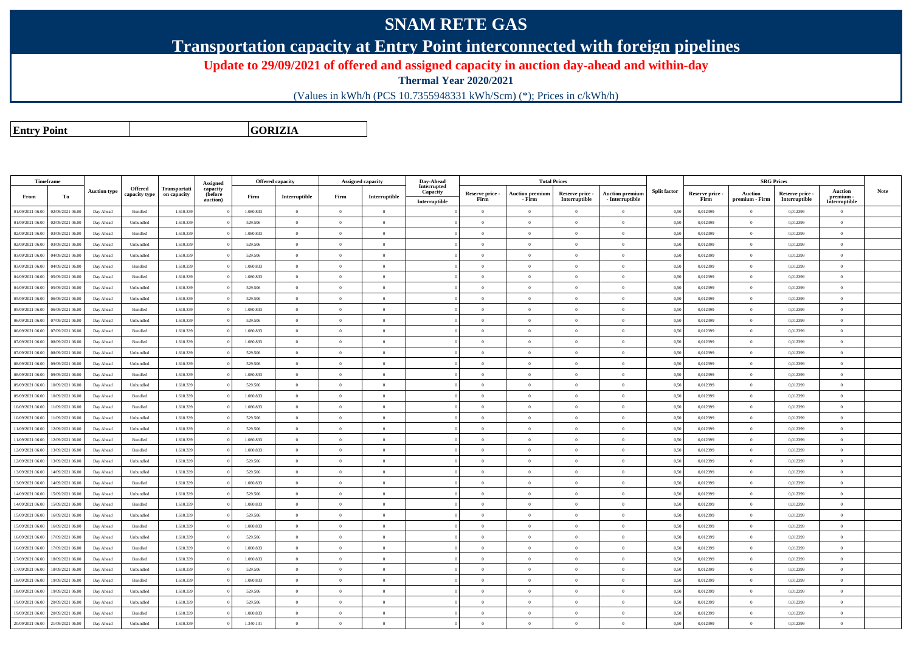## **SNAM RETE GAS**

**Transportation capacity at Entry Point interconnected with foreign pipelines**

**Update to 29/09/2021 of offered and assigned capacity in auction day-ahead and within-day**

**Thermal Year 2020/2021**

(Values in kWh/h (PCS 10.7355948331 kWh/Scm) (\*); Prices in c/kWh/h)

**Entry Point**

**GORIZIA**

| Timeframe                         |                  |                     |                                 |                             | Assigned                        | <b>Offered capacity</b> |                |                | Assigned capacity | Day-Ahead                                |                         | <b>Total Prices</b>              |                                  |                                           |                     |                         | <b>SRG Prices</b>                |                                  |                                              |             |
|-----------------------------------|------------------|---------------------|---------------------------------|-----------------------------|---------------------------------|-------------------------|----------------|----------------|-------------------|------------------------------------------|-------------------------|----------------------------------|----------------------------------|-------------------------------------------|---------------------|-------------------------|----------------------------------|----------------------------------|----------------------------------------------|-------------|
| From                              | To               | <b>Auction type</b> | <b>Offered</b><br>capacity type | Transportati<br>on capacity | capacity<br>(before<br>auction) | Firm                    | Interruptible  | Firm           | Interruptible     | Interrupted<br>Capacity<br>Interruptible | Reserve price -<br>Firm | <b>Auction premium</b><br>- Firm | Reserve price -<br>Interruptible | <b>Auction premium</b><br>- Interruptible | <b>Split factor</b> | Reserve price -<br>Firm | <b>Auction</b><br>premium - Firm | Reserve price -<br>Interruptible | <b>Auction</b><br>premium -<br>Interruptible | <b>Note</b> |
| 01/09/2021 06:00                  | 02/09/2021 06:00 | Day Ahead           | Bundled                         | 1.610.339                   |                                 | 1.080.833               | $\overline{0}$ | $\overline{0}$ | $\overline{0}$    |                                          | $\overline{0}$          | $\Omega$                         | $\overline{0}$                   | $\overline{0}$                            | 0,50                | 0,012399                | $\Omega$                         | 0,012399                         | $\overline{0}$                               |             |
| 01/09/2021 06:00                  | 02/09/2021 06:00 | Day Ahead           | Unbundled                       | 1.610.339                   |                                 | 529.506                 | $\overline{0}$ | $\overline{0}$ | $\overline{0}$    |                                          | $\overline{0}$          | $\overline{0}$                   | $\overline{0}$                   | $\bf{0}$                                  | 0,50                | 0,012399                | $\overline{0}$                   | 0,012399                         | $\bf{0}$                                     |             |
| 02/09/2021 06:00                  | 03/09/2021 06:00 | Day Ahead           | Bundled                         | 1.610.339                   |                                 | 1.080.833               | $\overline{0}$ | $\overline{0}$ | $\overline{0}$    |                                          | $\overline{0}$          |                                  | $\overline{0}$                   | $\,$ 0 $\,$                               | 0,50                | 0,012399                | $\overline{0}$                   | 0,012399                         | $\theta$                                     |             |
| 02/09/2021 06:00                  | 03/09/2021 06:00 | Day Ahead           | Unbundled                       | 1.610.339                   |                                 | 529.506                 | $\bf{0}$       | $\overline{0}$ | $\overline{0}$    |                                          | $\overline{0}$          | $\Omega$                         | $\overline{0}$                   | $\overline{0}$                            | 0,50                | 0,012399                | $\overline{0}$                   | 0,012399                         | $\bf{0}$                                     |             |
| 03/09/2021 06:00                  | 04/09/2021 06:00 | Day Ahead           | Unbundled                       | 1.610.339                   |                                 | 529.506                 | $\overline{0}$ | $\Omega$       | $\Omega$          |                                          | $\Omega$                |                                  | $\Omega$                         | $\theta$                                  | 0,50                | 0,012399                | $\Omega$                         | 0,012399                         | $\Omega$                                     |             |
| 03/09/2021 06:00                  | 04/09/2021 06:00 | Day Ahead           | Bundled                         | 1.610.339                   |                                 | 1.080.833               | $\overline{0}$ | $\overline{0}$ | $\overline{0}$    |                                          | $\overline{0}$          | $\theta$                         | $\overline{0}$                   | $\overline{0}$                            | 0,50                | 0,012399                | $\overline{0}$                   | 0,012399                         | $\overline{0}$                               |             |
| 04/09/2021 06:00                  | 05/09/2021 06.0  | Day Ahead           | Bundled                         | 1.610.339                   |                                 | 1.080.833               | $\overline{0}$ | $\overline{0}$ | $\Omega$          |                                          | $\theta$                |                                  | $\overline{0}$                   | $\overline{0}$                            | 0,50                | 0,012399                | $\theta$                         | 0,012399                         | $\Omega$                                     |             |
| 04/09/2021 06:00                  | 05/09/2021 06:00 | Day Ahead           | Unbundled                       | 1.610.339                   |                                 | 529,506                 | $\overline{0}$ | $\overline{0}$ | $\overline{0}$    |                                          | $\overline{0}$          | $\overline{0}$                   | $\theta$                         | $\overline{0}$                            | 0.50                | 0.012399                | $\overline{0}$                   | 0.012399                         | $\overline{0}$                               |             |
| 05/09/2021 06:00                  | 06/09/2021 06:00 | Day Ahead           | Unbundled                       | 1.610.339                   |                                 | 529,506                 | $\overline{0}$ | $\Omega$       | $\theta$          |                                          | $\Omega$                | $\Omega$                         | $\theta$                         | $\theta$                                  | 0.50                | 0.012399                | $\Omega$                         | 0.012399                         | $\theta$                                     |             |
| 05/09/2021 06:00                  | 06/09/2021 06:00 | Day Ahead           | Bundled                         | 1.610.339                   |                                 | 1.080.833               | $\overline{0}$ | $\overline{0}$ | $\Omega$          |                                          | $\Omega$                | $\theta$                         | $\Omega$                         | $\bf{0}$                                  | 0,50                | 0.012399                | $\overline{0}$                   | 0.012399                         | $\overline{0}$                               |             |
| 06/09/2021 06:00                  | 07/09/2021 06:00 | Day Ahead           | Unbundled                       | 1.610.339                   |                                 | 529.506                 | $\overline{0}$ | $\overline{0}$ | $\overline{0}$    |                                          | $\overline{0}$          | $\Omega$                         | $\overline{0}$                   | $\hspace{0.1mm}0\hspace{0.1mm}$           | 0.50                | 0,012399                | $\overline{0}$                   | 0,012399                         | $\overline{0}$                               |             |
| 06/09/2021 06:00                  | 07/09/2021 06:00 | Day Ahead           | Bundled                         | 1.610.339                   |                                 | 1.080.833               | $\overline{0}$ | $\overline{0}$ | $\overline{0}$    |                                          | $\Omega$                | $\Omega$                         | $\Omega$                         | $\overline{0}$                            | 0,50                | 0,012399                | $\overline{0}$                   | 0,012399                         | $\theta$                                     |             |
| 07/09/2021 06:00                  | 08/09/2021 06:00 | Day Ahead           | Bundled                         | 1.610.339                   |                                 | 1.080.833               | $\bf{0}$       | $\Omega$       | $\Omega$          |                                          | $\Omega$                | $\Omega$                         | $\Omega$                         | $\overline{0}$                            | 0,50                | 0,012399                | $\overline{0}$                   | 0,012399                         | $\theta$                                     |             |
| 07/09/2021 06:00                  | 08/09/2021 06:0  | Day Ahead           | Unbundled                       | 1.610.339                   |                                 | 529.506                 | $\overline{0}$ | $\overline{0}$ | $\Omega$          |                                          | $\overline{0}$          | $\Omega$                         | $\overline{0}$                   | $\overline{0}$                            | 0,50                | 0,012399                | $\Omega$                         | 0,012399                         | $\overline{0}$                               |             |
| 08/09/2021 06:00                  | 09/09/2021 06.0  | Day Ahead           | Unbundled                       | 1.610.339                   |                                 | 529.506                 | $\bf{0}$       | $\overline{0}$ | $\overline{0}$    |                                          | $\overline{0}$          | $\Omega$                         | $\overline{0}$                   | $\bf{0}$                                  | 0,50                | 0,012399                | $\overline{0}$                   | 0,012399                         | $\bf{0}$                                     |             |
| 08/09/2021 06:00                  | 09/09/2021 06:00 | Day Ahead           | Bundled                         | 1.610.339                   |                                 | 1.080.833               | $\overline{0}$ | $\Omega$       | $\Omega$          |                                          | $\Omega$                |                                  | $\Omega$                         | $\overline{0}$                            | 0,50                | 0,012399                | $\overline{0}$                   | 0,012399                         | $\theta$                                     |             |
| 09/09/2021 06:00                  | 10/09/2021 06:00 | Day Ahead           | Unbundled                       | 1.610.339                   |                                 | 529.506                 | $\overline{0}$ | $\overline{0}$ | $\overline{0}$    |                                          | $\overline{0}$          | $\overline{0}$                   | $\overline{0}$                   | $\overline{0}$                            | 0,50                | 0,012399                | $\overline{0}$                   | 0,012399                         | $\overline{0}$                               |             |
| 09/09/2021 06:00                  | 10/09/2021 06:00 | Day Ahead           | Bundled                         | 1.610.339                   |                                 | 1.080.833               | $\overline{0}$ | $\Omega$       | $\Omega$          |                                          | $\Omega$                |                                  | $\Omega$                         | $\theta$                                  | 0,50                | 0,012399                | $\Omega$                         | 0,012399                         | $\Omega$                                     |             |
| 10/09/2021 06:00                  | 11/09/2021 06:00 | Day Ahead           | Bundled                         | 1.610.339                   |                                 | 1.080.833               | $\overline{0}$ | $\overline{0}$ | $\overline{0}$    |                                          | $\overline{0}$          | $\theta$                         | $\overline{0}$                   | $\overline{0}$                            | 0,50                | 0,012399                | $\overline{0}$                   | 0,012399                         | $\overline{0}$                               |             |
| 10/09/2021 06:00                  | 11/09/2021 06:00 | Day Ahead           | Unbundled                       | 1.610.339                   |                                 | 529.506                 | $\overline{0}$ | $\overline{0}$ | $\overline{0}$    |                                          | $\overline{0}$          | $\theta$                         | $\overline{0}$                   | $\overline{0}$                            | 0,50                | 0,012399                | $\overline{0}$                   | 0,012399                         | $\Omega$                                     |             |
| 11/09/2021 06:00                  | 12/09/2021 06:00 | Day Ahead           | $\label{thm:undl} Unbundle$     | 1.610.339                   |                                 | 529.506                 | $\Omega$       | $\overline{0}$ | $\Omega$          |                                          | $\Omega$                | $\Omega$                         | $\theta$                         | $\theta$                                  | 0.50                | 0.012399                | $\overline{0}$                   | 0.012399                         | $\theta$                                     |             |
| 11/09/2021 06:00                  | 12/09/2021 06:00 | Day Ahead           | Bundled                         | 1.610.339                   |                                 | 1.080.833               | $\overline{0}$ | $\Omega$       | $\Omega$          |                                          | $\Omega$                | $\Omega$                         | $\Omega$                         | $\theta$                                  | 0.50                | 0,012399                | $\Omega$                         | 0,012399                         | $\theta$                                     |             |
| 12/09/2021 06:00                  | 13/09/2021 06:00 | Day Ahead           | Bundled                         | 1.610.339                   |                                 | 1.080.833               | $\overline{0}$ | $\overline{0}$ | $\overline{0}$    |                                          | $\overline{0}$          | $\theta$                         | $\overline{0}$                   | $\bf{0}$                                  | 0,50                | 0,012399                | $\overline{0}$                   | 0,012399                         | $\overline{0}$                               |             |
| 12/09/2021 06:00                  | 13/09/2021 06:00 | Day Ahead           | Unbundled                       | 1.610.339                   |                                 | 529,506                 | $\overline{0}$ | $\Omega$       | $\Omega$          |                                          | $\overline{0}$          | $\theta$                         | $\theta$                         | $\bf{0}$                                  | 0.50                | 0.012399                | $\overline{0}$                   | 0.012399                         | $\bf{0}$                                     |             |
| 13/09/2021 06:00                  | 14/09/2021 06.0  | Day Ahead           | Unbundled                       | 1.610.339                   |                                 | 529.506                 | $\,$ 0 $\,$    | $\overline{0}$ | $\overline{0}$    |                                          | $\overline{0}$          | $\theta$                         | $\overline{0}$                   | $\,$ 0 $\,$                               | 0,50                | 0,012399                | $\overline{0}$                   | 0,012399                         | $\overline{0}$                               |             |
| 13/09/2021 06:00                  | 14/09/2021 06:00 | Day Ahead           | $\mathbf B$ undled              | 1.610.339                   |                                 | 1.080.833               | $\overline{0}$ | $\Omega$       | $\Omega$          |                                          | $\Omega$                | $\Omega$                         | $\Omega$                         | $\overline{0}$                            | 0,50                | 0,012399                | $\overline{0}$                   | 0,012399                         | $\overline{0}$                               |             |
| 14/09/2021 06:00                  | 15/09/2021 06.0  | Day Ahead           | Unbundled                       | 1.610.339                   |                                 | 529.506                 | $\,$ 0 $\,$    | $\theta$       | $\Omega$          |                                          | $\overline{0}$          | $\Omega$                         | $\overline{0}$                   | $\theta$                                  | 0,50                | 0,012399                | $\Omega$                         | 0,012399                         | $\overline{0}$                               |             |
| 14/09/2021 06:00                  | 15/09/2021 06.0  | Day Ahead           | Bundled                         | 1.610.339                   |                                 | 1.080.833               | $\overline{0}$ | $\overline{0}$ | $\overline{0}$    |                                          | $\overline{0}$          | $\overline{0}$                   | $\theta$                         | $\bf{0}$                                  | 0,50                | 0,012399                | $\overline{0}$                   | 0,012399                         | $\overline{0}$                               |             |
| 15/09/2021 06:00                  | 16/09/2021 06.0  | Day Ahead           | Unbundled                       | 1.610.339                   |                                 | 529.506                 | $\overline{0}$ | $\overline{0}$ | $\overline{0}$    |                                          | $\overline{0}$          | $\Omega$                         | $\overline{0}$                   | $\bf{0}$                                  | 0,50                | 0,012399                | $\overline{0}$                   | 0,012399                         | $\theta$                                     |             |
| 15/09/2021 06:00                  | 16/09/2021 06:00 | Day Ahead           | Bundled                         | 1.610.339                   |                                 | 1.080.833               | $\overline{0}$ | $\overline{0}$ | $\overline{0}$    |                                          | $\overline{0}$          | $\overline{0}$                   | $\overline{0}$                   | $\overline{0}$                            | 0,50                | 0,012399                | $\overline{0}$                   | 0,012399                         | $\overline{0}$                               |             |
| 16/09/2021 06:00                  | 17/09/2021 06:00 | Day Ahead           | Unbundled                       | 1.610.339                   |                                 | 529.506                 | $\overline{0}$ | $\Omega$       | $\Omega$          |                                          | $\Omega$                |                                  | $\overline{0}$                   | $\theta$                                  | 0,50                | 0,012399                | $\Omega$                         | 0,012399                         | $\Omega$                                     |             |
| 16/09/2021 06:00                  | 17/09/2021 06:00 | Day Ahead           | Bundled                         | 1.610.339                   |                                 | 1.080.833               | $\overline{0}$ | $\Omega$       | $\Omega$          |                                          | $\Omega$                | $\theta$                         | $\theta$                         | $\bf{0}$                                  | 0,50                | 0,012399                | $\overline{0}$                   | 0,012399                         | $\theta$                                     |             |
| 17/09/2021 06:00                  | 18/09/2021 06:00 | Day Ahead           | Bundled                         | 1.610.339                   |                                 | 1.080.833               | $\overline{0}$ | $\overline{0}$ | $\overline{0}$    |                                          | $\overline{0}$          | $\Omega$                         | $\overline{0}$                   | $\overline{0}$                            | 0,50                | 0,012399                | $\overline{0}$                   | 0,012399                         | $\mathbf{0}$                                 |             |
| 17/09/2021 06:00                  | 18/09/2021 06:00 | Day Ahead           | Unbundled                       | 1.610.339                   |                                 | 529.506                 | $\overline{0}$ | $\Omega$       | $\Omega$          |                                          | $\Omega$                | $\theta$                         | $\Omega$                         | $\theta$                                  | 0,50                | 0.012399                | $\overline{0}$                   | 0.012399                         | $\theta$                                     |             |
| 18/09/2021 06:00                  | 19/09/2021 06:00 | Day Ahead           | Bundled                         | 1.610.339                   |                                 | 1.080.833               | $\overline{0}$ | $\overline{0}$ | $\overline{0}$    |                                          | $\overline{0}$          | $\Omega$                         | $\overline{0}$                   | $\overline{0}$                            | 0,50                | 0,012399                | $\overline{0}$                   | 0,012399                         | $\overline{0}$                               |             |
| 18/09/2021 06:00                  | 19/09/2021 06:00 | Day Ahead           | Unbundled                       | 1.610.339                   |                                 | 529.506                 | $\overline{0}$ | $\overline{0}$ | $\overline{0}$    |                                          | $\overline{0}$          | $\theta$                         | $\theta$                         | $\hspace{0.1mm}0\hspace{0.1mm}$           | 0,50                | 0,012399                | $\overline{0}$                   | 0,012399                         | $\overline{0}$                               |             |
| 19/09/2021 06:00                  | 20/09/2021 06:00 | Day Ahead           | Unbundled                       | 1.610.339                   |                                 | 529,506                 | $\overline{0}$ | $\Omega$       | $\overline{0}$    |                                          | $\overline{0}$          | $\Omega$                         | $\theta$                         | $\bf{0}$                                  | 0,50                | 0,012399                | $\overline{0}$                   | 0,012399                         | $\bf{0}$                                     |             |
| 19/09/2021 06:00                  | 20/09/2021 06:00 | Day Ahead           | Bundled                         | 1.610.339                   |                                 | 1.080.833               | $\,$ 0 $\,$    | $\overline{0}$ | $\overline{0}$    |                                          | $\overline{0}$          | $\Omega$                         | $\overline{0}$                   | $\,$ 0 $\,$                               | 0,50                | 0,012399                | $\overline{0}$                   | 0,012399                         | $\overline{0}$                               |             |
| 20/09/2021 06:00 21/09/2021 06:00 |                  | Day Ahead           | $\label{thm:undl} Unbundle$     | 1.610.339                   |                                 | 1.340.131               | $\overline{0}$ | $\Omega$       | $\Omega$          |                                          | $\Omega$                | $\Omega$                         | $\Omega$                         | $\Omega$                                  | 0,50                | 0,012399                | $\Omega$                         | 0,012399                         | $\overline{0}$                               |             |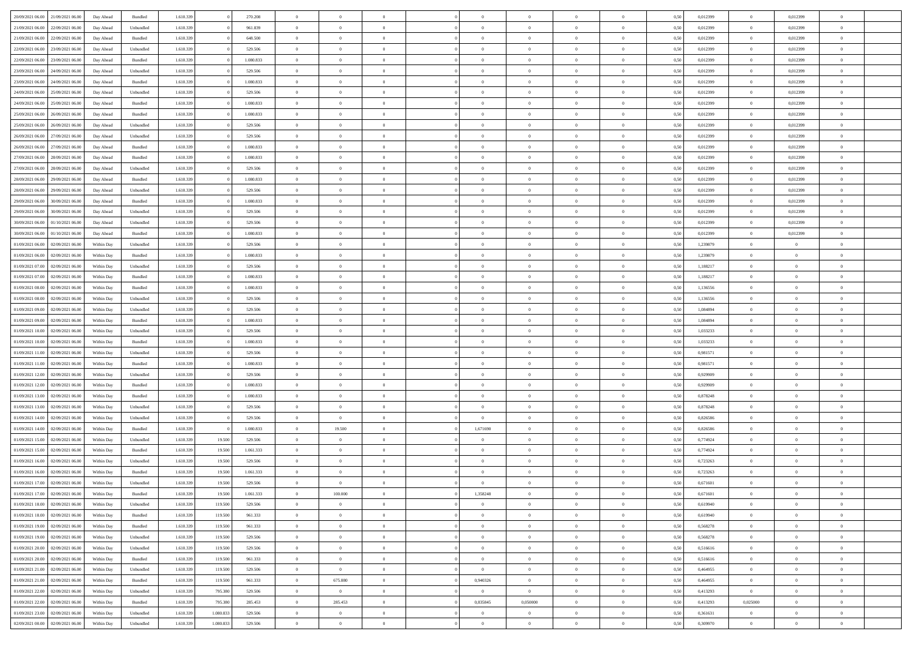|                                      |            |           |           |           |           | $\Omega$       | $\Omega$       |                |                | $\Omega$       | $\Omega$       | $\theta$       |      |          | $\theta$       |                | $\theta$       |  |
|--------------------------------------|------------|-----------|-----------|-----------|-----------|----------------|----------------|----------------|----------------|----------------|----------------|----------------|------|----------|----------------|----------------|----------------|--|
| 20/09/2021 06:00<br>21/09/2021 06:00 | Day Ahead  | Bundled   | 1.610.339 |           | 270.208   |                |                |                | $\Omega$       |                |                |                | 0,50 | 0,012399 |                | 0,012399       |                |  |
| 21/09/2021 06:00<br>22/09/2021 06:00 | Day Ahead  | Unbundled | 1.610.339 |           | 961.839   | $\overline{0}$ | $\theta$       | $\overline{0}$ | $\overline{0}$ | $\bf{0}$       | $\overline{0}$ | $\overline{0}$ | 0,50 | 0,012399 | $\theta$       | 0,012399       | $\overline{0}$ |  |
| 21/09/2021 06:00<br>22/09/2021 06:00 | Day Ahead  | Bundled   | 1.610.339 |           | 648.500   | $\overline{0}$ | $\overline{0}$ | $\overline{0}$ | $\bf{0}$       | $\bf{0}$       | $\bf{0}$       | $\bf{0}$       | 0,50 | 0,012399 | $\overline{0}$ | 0,012399       | $\overline{0}$ |  |
| 22/09/2021 06:00<br>23/09/2021 06:00 | Day Ahead  | Unbundled | 1.610.339 |           | 529.506   | $\overline{0}$ | $\theta$       | $\overline{0}$ | $\overline{0}$ | $\bf{0}$       | $\overline{0}$ | $\overline{0}$ | 0.50 | 0.012399 | $\overline{0}$ | 0.012399       | $\overline{0}$ |  |
|                                      |            |           |           |           |           |                |                |                |                |                |                |                |      |          |                |                |                |  |
| 22/09/2021 06:00<br>23/09/2021 06:00 | Day Ahead  | Bundled   | 1.610.339 |           | 1.080.833 | $\overline{0}$ | $\theta$       | $\overline{0}$ | $\overline{0}$ | $\bf{0}$       | $\overline{0}$ | $\bf{0}$       | 0,50 | 0,012399 | $\,$ 0 $\,$    | 0,012399       | $\overline{0}$ |  |
| 23/09/2021 06:00<br>24/09/2021 06:00 | Day Ahead  | Unbundled | 1.610.339 |           | 529.506   | $\overline{0}$ | $\bf{0}$       | $\overline{0}$ | $\bf{0}$       | $\overline{0}$ | $\overline{0}$ | $\mathbf{0}$   | 0,50 | 0,012399 | $\overline{0}$ | 0,012399       | $\bf{0}$       |  |
| 23/09/2021 06:00<br>24/09/2021 06:00 | Day Ahead  | Bundled   | 1.610.339 |           | 1.080.833 | $\overline{0}$ | $\overline{0}$ | $\overline{0}$ | $\overline{0}$ | $\overline{0}$ | $\overline{0}$ | $\overline{0}$ | 0.50 | 0,012399 | $\overline{0}$ | 0.012399       | $\overline{0}$ |  |
| 24/09/2021 06.00<br>25/09/2021 06:00 | Day Ahead  | Unbundled | 1.610.339 |           | 529.506   | $\overline{0}$ | $\theta$       | $\overline{0}$ | $\overline{0}$ | $\bf{0}$       | $\overline{0}$ | $\bf{0}$       | 0,50 | 0,012399 | $\,$ 0 $\,$    | 0,012399       | $\overline{0}$ |  |
|                                      |            |           |           |           |           |                | $\overline{0}$ |                |                | $\bf{0}$       |                |                |      |          |                |                | $\overline{0}$ |  |
| 24/09/2021 06.00<br>25/09/2021 06:00 | Day Ahead  | Bundled   | 1.610.339 |           | 1.080.833 | $\overline{0}$ |                | $\overline{0}$ | $\bf{0}$       |                | $\bf{0}$       | $\bf{0}$       | 0,50 | 0,012399 | $\bf{0}$       | 0,012399       |                |  |
| 25/09/2021 06:00<br>26/09/2021 06:00 | Day Ahead  | Bundled   | 1.610.339 |           | 1.080.833 | $\overline{0}$ | $\overline{0}$ | $\overline{0}$ | $\overline{0}$ | $\overline{0}$ | $\overline{0}$ | $\overline{0}$ | 0.50 | 0,012399 | $\overline{0}$ | 0.012399       | $\overline{0}$ |  |
| 25/09/2021 06:00<br>26/09/2021 06:00 | Day Ahead  | Unbundled | 1.610.339 |           | 529.506   | $\overline{0}$ | $\theta$       | $\overline{0}$ | $\overline{0}$ | $\bf{0}$       | $\overline{0}$ | $\bf{0}$       | 0,50 | 0,012399 | $\,$ 0 $\,$    | 0,012399       | $\overline{0}$ |  |
| 26/09/2021 06:00<br>27/09/2021 06:00 | Day Ahead  | Unbundled | 1.610.339 |           | 529.506   | $\overline{0}$ | $\overline{0}$ | $\overline{0}$ | $\bf{0}$       | $\bf{0}$       | $\bf{0}$       | $\bf{0}$       | 0,50 | 0,012399 | $\bf{0}$       | 0,012399       | $\overline{0}$ |  |
| 26/09/2021 06:00<br>27/09/2021 06:00 | Day Ahead  | Bundled   | 1.610.339 |           | 1.080.833 | $\overline{0}$ | $\overline{0}$ | $\overline{0}$ | $\overline{0}$ | $\bf{0}$       | $\overline{0}$ | $\overline{0}$ | 0.50 | 0.012399 | $\overline{0}$ | 0.012399       | $\overline{0}$ |  |
|                                      |            |           |           |           |           | $\overline{0}$ | $\theta$       | $\overline{0}$ |                | $\bf{0}$       | $\overline{0}$ | $\overline{0}$ |      |          | $\,$ 0 $\,$    |                | $\overline{0}$ |  |
| 27/09/2021 06:00<br>28/09/2021 06:00 | Day Ahead  | Bundled   | 1.610.339 |           | 1.080.833 |                |                |                | $\overline{0}$ |                |                |                | 0,50 | 0,012399 |                | 0,012399       |                |  |
| 27/09/2021 06:00<br>28/09/2021 06:00 | Day Ahead  | Unbundled | 1.610.339 |           | 529.506   | $\overline{0}$ | $\bf{0}$       | $\overline{0}$ | $\bf{0}$       | $\overline{0}$ | $\overline{0}$ | $\mathbf{0}$   | 0,50 | 0,012399 | $\overline{0}$ | 0,012399       | $\bf{0}$       |  |
| 28/09/2021 06:00<br>29/09/2021 06:00 | Day Ahead  | Bundled   | 1.610.339 |           | 1.080.833 | $\overline{0}$ | $\overline{0}$ | $\overline{0}$ | $\overline{0}$ | $\overline{0}$ | $\overline{0}$ | $\overline{0}$ | 0.50 | 0,012399 | $\overline{0}$ | 0.012399       | $\overline{0}$ |  |
| 28/09/2021 06:00<br>29/09/2021 06:00 | Day Ahead  | Unbundled | 1.610.339 |           | 529.506   | $\overline{0}$ | $\theta$       | $\overline{0}$ | $\overline{0}$ | $\bf{0}$       | $\overline{0}$ | $\bf{0}$       | 0,50 | 0,012399 | $\theta$       | 0,012399       | $\overline{0}$ |  |
| 29/09/2021 06:00<br>30/09/2021 06:00 | Day Ahead  | Bundled   | 1.610.339 |           | 1.080.833 | $\overline{0}$ | $\overline{0}$ | $\overline{0}$ | $\bf{0}$       | $\bf{0}$       | $\bf{0}$       | $\bf{0}$       | 0,50 | 0,012399 | $\overline{0}$ | 0,012399       | $\overline{0}$ |  |
|                                      |            |           |           |           |           |                |                |                |                |                |                |                |      |          |                |                |                |  |
| 29/09/2021 06:00<br>30/09/2021 06:00 | Day Ahead  | Unbundled | 1.610.339 |           | 529.506   | $\overline{0}$ | $\overline{0}$ | $\overline{0}$ | $\overline{0}$ | $\overline{0}$ | $\overline{0}$ | $\overline{0}$ | 0.50 | 0,012399 | $\overline{0}$ | 0.012399       | $\overline{0}$ |  |
| 30/09/2021 06:00<br>01/10/2021 06:00 | Day Ahead  | Unbundled | 1.610.339 |           | 529.506   | $\overline{0}$ | $\theta$       | $\overline{0}$ | $\overline{0}$ | $\bf{0}$       | $\overline{0}$ | $\bf{0}$       | 0,50 | 0,012399 | $\,$ 0 $\,$    | 0,012399       | $\overline{0}$ |  |
| 30/09/2021 06:00<br>01/10/2021 06.00 | Day Ahead  | Bundled   | 1.610.339 |           | 1.080.833 | $\overline{0}$ | $\overline{0}$ | $\overline{0}$ | $\bf{0}$       | $\bf{0}$       | $\bf{0}$       | $\bf{0}$       | 0,50 | 0,012399 | $\overline{0}$ | 0,012399       | $\overline{0}$ |  |
| 01/09/2021 06:00<br>02/09/2021 06:00 | Within Day | Unbundled | 1.610.339 |           | 529.506   | $\overline{0}$ | $\overline{0}$ | $\overline{0}$ | $\overline{0}$ | $\bf{0}$       | $\overline{0}$ | $\overline{0}$ | 0.50 | 1,239879 | $\theta$       | $\overline{0}$ | $\overline{0}$ |  |
| 01/09/2021 06:00<br>02/09/2021 06:00 | Within Day | Bundled   | 1.610.339 |           | 1.080.833 | $\overline{0}$ | $\theta$       | $\overline{0}$ | $\overline{0}$ | $\bf{0}$       | $\overline{0}$ | $\bf{0}$       | 0,50 | 1,239879 | $\theta$       | $\overline{0}$ | $\overline{0}$ |  |
|                                      |            |           |           |           |           |                |                |                |                |                |                |                |      |          |                |                |                |  |
| 01/09/2021 07:00<br>02/09/2021 06:00 | Within Day | Unbundled | 1.610.339 |           | 529.506   | $\overline{0}$ | $\bf{0}$       | $\overline{0}$ | $\bf{0}$       | $\overline{0}$ | $\overline{0}$ | $\mathbf{0}$   | 0,50 | 1,188217 | $\overline{0}$ | $\overline{0}$ | $\bf{0}$       |  |
| 01/09/2021 07:00<br>02/09/2021 06:00 | Within Dav | Bundled   | 1.610.339 |           | 1.080.833 | $\overline{0}$ | $\overline{0}$ | $\overline{0}$ | $\overline{0}$ | $\overline{0}$ | $\overline{0}$ | $\overline{0}$ | 0.50 | 1,188217 | $\theta$       | $\theta$       | $\overline{0}$ |  |
| 01/09/2021 08:00<br>02/09/2021 06:00 | Within Day | Bundled   | 1.610.339 |           | 1.080.833 | $\overline{0}$ | $\theta$       | $\overline{0}$ | $\overline{0}$ | $\bf{0}$       | $\overline{0}$ | $\bf{0}$       | 0,50 | 1,136556 | $\theta$       | $\theta$       | $\overline{0}$ |  |
| 01/09/2021 08:00<br>02/09/2021 06:00 | Within Day | Unbundled | 1.610.339 |           | 529.506   | $\overline{0}$ | $\overline{0}$ | $\overline{0}$ | $\bf{0}$       | $\bf{0}$       | $\bf{0}$       | $\bf{0}$       | 0,50 | 1,136556 | $\,0\,$        | $\overline{0}$ | $\overline{0}$ |  |
| 01/09/2021 09:00<br>02/09/2021 06:00 |            | Unbundled | 1.610.339 |           | 529.506   | $\overline{0}$ | $\overline{0}$ | $\overline{0}$ | $\overline{0}$ | $\overline{0}$ | $\overline{0}$ | $\overline{0}$ | 0.50 | 1,084894 | $\theta$       | $\overline{0}$ | $\overline{0}$ |  |
|                                      | Within Day |           |           |           |           |                |                |                |                |                |                |                |      |          |                |                |                |  |
| 01/09/2021 09:00<br>02/09/2021 06:00 | Within Day | Bundled   | 1.610.339 |           | 1.080.833 | $\overline{0}$ | $\theta$       | $\overline{0}$ | $\overline{0}$ | $\bf{0}$       | $\overline{0}$ | $\bf{0}$       | 0,50 | 1,084894 | $\,$ 0 $\,$    | $\theta$       | $\overline{0}$ |  |
| 01/09/2021 10:00<br>02/09/2021 06:00 | Within Day | Unbundled | 1.610.339 |           | 529.506   | $\overline{0}$ | $\overline{0}$ | $\overline{0}$ | $\bf{0}$       | $\bf{0}$       | $\bf{0}$       | $\bf{0}$       | 0,50 | 1,033233 | $\bf{0}$       | $\overline{0}$ | $\overline{0}$ |  |
| 01/09/2021 10:00<br>02/09/2021 06:00 | Within Day | Bundled   | 1.610.339 |           | 1.080.833 | $\overline{0}$ | $\Omega$       | $\Omega$       | $\Omega$       | $\Omega$       | $\Omega$       | $\overline{0}$ | 0.50 | 1,033233 | $\,0\,$        | $\theta$       | $\theta$       |  |
| 01/09/2021 11:00<br>02/09/2021 06:00 | Within Day | Unbundled | 1.610.339 |           | 529.506   | $\overline{0}$ | $\theta$       | $\overline{0}$ | $\overline{0}$ | $\bf{0}$       | $\overline{0}$ | $\bf{0}$       | 0,50 | 0,981571 | $\theta$       | $\theta$       | $\overline{0}$ |  |
|                                      |            |           |           |           |           |                |                |                |                |                |                |                |      |          |                |                |                |  |
| 01/09/2021 11:00<br>02/09/2021 06:00 | Within Day | Bundled   | 1.610.339 |           | 1.080.833 | $\overline{0}$ | $\overline{0}$ | $\overline{0}$ | $\bf{0}$       | $\bf{0}$       | $\overline{0}$ | $\mathbf{0}$   | 0,50 | 0,981571 | $\bf{0}$       | $\overline{0}$ | $\bf{0}$       |  |
| 01/09/2021 12:00<br>02/09/2021 06:00 | Within Day | Unbundled | 1.610.339 |           | 529.506   | $\overline{0}$ | $\Omega$       | $\Omega$       | $\Omega$       | $\bf{0}$       | $\overline{0}$ | $\overline{0}$ | 0.50 | 0,929909 | $\theta$       | $\theta$       | $\theta$       |  |
| 01/09/2021 12:00<br>02/09/2021 06:00 | Within Day | Bundled   | 1.610.339 |           | 1.080.833 | $\overline{0}$ | $\theta$       | $\overline{0}$ | $\overline{0}$ | $\bf{0}$       | $\overline{0}$ | $\bf{0}$       | 0,50 | 0,929909 | $\theta$       | $\theta$       | $\overline{0}$ |  |
| 01/09/2021 13:00<br>02/09/2021 06:00 | Within Day | Bundled   | 1.610.339 |           | 1.080.833 | $\overline{0}$ | $\overline{0}$ | $\overline{0}$ | $\bf{0}$       | $\bf{0}$       | $\bf{0}$       | $\bf{0}$       | 0,50 | 0,878248 | $\,0\,$        | $\overline{0}$ | $\overline{0}$ |  |
| 01/09/2021 13:00<br>02/09/2021 06:00 | Within Day | Unbundled | 1.610.339 |           | 529.506   | $\overline{0}$ | $\Omega$       | $\Omega$       | $\Omega$       | $\Omega$       | $\theta$       | $\overline{0}$ | 0.50 | 0.878248 | $\theta$       | $\theta$       | $\theta$       |  |
|                                      |            |           |           |           |           |                |                |                |                |                |                |                |      |          |                |                |                |  |
| 01/09/2021 14:00<br>02/09/2021 06:00 | Within Day | Unbundled | 1.610.339 |           | 529.506   | $\overline{0}$ | $\overline{0}$ | $\overline{0}$ | $\overline{0}$ | $\bf{0}$       | $\overline{0}$ | $\bf{0}$       | 0,50 | 0,826586 | $\,$ 0 $\,$    | $\overline{0}$ | $\overline{0}$ |  |
| 01/09/2021 14:00<br>02/09/2021 06:00 | Within Day | Bundled   | 1.610.339 |           | 1.080.833 | $\overline{0}$ | 19.500         | $\overline{0}$ | 1,671690       | $\bf{0}$       | $\bf{0}$       | $\bf{0}$       | 0,50 | 0,826586 | $\bf{0}$       | $\overline{0}$ | $\overline{0}$ |  |
| 01/09/2021 15:00<br>02/09/2021 06:00 | Within Day | Unbundled | 1.610.339 | 19.500    | 529.506   | $\overline{0}$ | $\Omega$       | $\Omega$       | $\Omega$       | $\Omega$       | $\overline{0}$ | $\overline{0}$ | 0.50 | 0,774924 | $\,0\,$        | $\theta$       | $\theta$       |  |
| 01/09/2021 15:00<br>02/09/2021 06:00 | Within Day | Bundled   | 1.610.339 | 19.500    | 1.061.333 | $\overline{0}$ | $\theta$       | $\overline{0}$ | $\overline{0}$ | $\bf{0}$       | $\overline{0}$ | $\bf{0}$       | 0,50 | 0,774924 | $\,$ 0 $\,$    | $\overline{0}$ | $\overline{0}$ |  |
| 01/09/2021 16:00<br>02/09/2021 06:00 | Within Day | Unbundled | 1.610.339 | 19.500    | 529.506   | $\overline{0}$ | $\overline{0}$ | $\overline{0}$ | $\bf{0}$       | $\bf{0}$       | $\bf{0}$       | $\mathbf{0}$   | 0,50 | 0,723263 | $\bf{0}$       | $\overline{0}$ | $\bf{0}$       |  |
|                                      |            |           |           |           |           |                |                |                |                |                |                |                |      |          |                |                |                |  |
| 01/09/2021 16:00<br>02/09/2021 06:00 | Within Day | Bundled   | 1.610.339 | 19.500    | 1.061.333 | $\overline{0}$ | $\Omega$       | $\Omega$       | $\Omega$       | $\Omega$       | $\Omega$       | $\overline{0}$ | 0.50 | 0,723263 | $\theta$       | $\theta$       | $\theta$       |  |
| 01/09/2021 17.00<br>02/09/2021 06:00 | Within Day | Unbundled | 1.610.339 | 19.500    | 529.506   | $\overline{0}$ | $\theta$       | $\overline{0}$ | $\overline{0}$ | $\,$ 0         | $\bf{0}$       | $\bf{0}$       | 0,50 | 0,671601 | $\,0\,$        | $\overline{0}$ | $\overline{0}$ |  |
| 01/09/2021 17:00 02/09/2021 06:00    | Within Day | Bundled   | 1.610.339 | 19.500    | 1.061.333 | $\bf{0}$       | 100.000        |                | 1,358248       |                |                |                | 0,50 | 0,671601 | $\bf{0}$       | $\overline{0}$ |                |  |
| 01/09/2021 18:00<br>02/09/2021 06:00 | Within Day | Unbundled | 1.610.339 | 119.500   | 529.506   | $\overline{0}$ | $\Omega$       | $\overline{0}$ | $\Omega$       | $\overline{0}$ | $\overline{0}$ | $\overline{0}$ | 0.50 | 0.619940 | $\theta$       | $\theta$       | $\theta$       |  |
| 01/09/2021 18:00<br>02/09/2021 06:00 | Within Day | Bundled   | 1.610.339 | 119.500   | 961.333   | $\overline{0}$ | $\bf{0}$       | $\overline{0}$ | $\bf{0}$       | $\,$ 0 $\,$    | $\overline{0}$ | $\mathbf{0}$   | 0,50 | 0,619940 | $\,$ 0 $\,$    | $\,$ 0 $\,$    | $\bf{0}$       |  |
|                                      |            |           |           |           |           |                |                |                |                |                |                |                |      |          |                |                |                |  |
| 01/09/2021 19:00<br>02/09/2021 06:00 | Within Day | Bundled   | 1.610.339 | 119.500   | 961.333   | $\overline{0}$ | $\overline{0}$ | $\overline{0}$ | $\overline{0}$ | $\overline{0}$ | $\overline{0}$ | $\mathbf{0}$   | 0,50 | 0,568278 | $\overline{0}$ | $\overline{0}$ | $\bf{0}$       |  |
| 01/09/2021 19:00<br>02/09/2021 06:00 | Within Day | Unbundled | 1.610.339 | 119.500   | 529.506   | $\overline{0}$ | $\overline{0}$ | $\overline{0}$ | $\Omega$       | $\overline{0}$ | $\overline{0}$ | $\overline{0}$ | 0,50 | 0,568278 | $\overline{0}$ | $\theta$       | $\overline{0}$ |  |
| 01/09/2021 20:00<br>02/09/2021 06:00 | Within Day | Unbundled | 1.610.339 | 119.500   | 529.506   | $\overline{0}$ | $\bf{0}$       | $\overline{0}$ | $\bf{0}$       | $\,$ 0 $\,$    | $\overline{0}$ | $\mathbf{0}$   | 0,50 | 0,516616 | $\,$ 0 $\,$    | $\overline{0}$ | $\overline{0}$ |  |
| 01/09/2021 20:00<br>02/09/2021 06:00 | Within Day | Bundled   | 1.610.339 | 119.500   | 961.333   | $\overline{0}$ | $\overline{0}$ | $\overline{0}$ | $\overline{0}$ | $\overline{0}$ | $\overline{0}$ | $\mathbf{0}$   | 0,50 | 0,516616 | $\overline{0}$ | $\overline{0}$ | $\overline{0}$ |  |
|                                      |            |           |           |           |           | $\overline{0}$ | $\overline{0}$ | $\overline{0}$ |                | $\overline{0}$ | $\overline{0}$ |                | 0.50 | 0.464955 |                | $\theta$       | $\overline{0}$ |  |
| 01/09/2021 21:00<br>02/09/2021 06:00 | Within Day | Unbundled | 1.610.339 | 119.500   | 529.506   |                |                |                | $\overline{0}$ |                |                | $\bf{0}$       |      |          | $\overline{0}$ |                |                |  |
| 01/09/2021 21:00<br>02/09/2021 06:00 | Within Day | Bundled   | 1.610.339 | 119.500   | 961.333   | $\overline{0}$ | 675.880        | $\overline{0}$ | 0,940326       | $\bf{0}$       | $\bf{0}$       | $\bf{0}$       | 0,50 | 0,464955 | $\,$ 0 $\,$    | $\overline{0}$ | $\overline{0}$ |  |
| 01/09/2021 22.00<br>02/09/2021 06:00 | Within Day | Unbundled | 1.610.339 | 795.380   | 529.506   | $\overline{0}$ | $\overline{0}$ | $\overline{0}$ | $\overline{0}$ | $\overline{0}$ | $\overline{0}$ | $\mathbf{0}$   | 0,50 | 0,413293 | $\overline{0}$ | $\overline{0}$ | $\bf{0}$       |  |
| 01/09/2021 22.00<br>02/09/2021 06:00 | Within Day | Bundled   | 1.610.339 | 795.380   | 285.453   | $\overline{0}$ | 285.453        | $\overline{0}$ | 0,835845       | 0.050000       | $\overline{0}$ | $\overline{0}$ | 0.50 | 0,413293 | 0,025000       | $\overline{0}$ | $\overline{0}$ |  |
| 01/09/2021 23:00<br>02/09/2021 06:00 | Within Day | Unbundled | 1.610.339 | 1.080.833 | 529.506   | $\overline{0}$ | $\bf{0}$       | $\overline{0}$ | $\overline{0}$ | $\bf{0}$       | $\bf{0}$       | $\mathbf{0}$   | 0,50 | 0,361631 | $\bf{0}$       | $\,$ 0 $\,$    | $\bf{0}$       |  |
|                                      |            |           |           |           |           |                |                |                |                |                |                |                |      |          |                |                |                |  |
| 02/09/2021 00:00<br>02/09/2021 06:00 | Within Day | Unbundled | 1.610.339 | 1.080.833 | 529.506   | $\overline{0}$ | $\overline{0}$ | $\overline{0}$ | $\overline{0}$ | $\overline{0}$ | $\bf{0}$       | $\mathbf{0}$   | 0,50 | 0,309970 | $\overline{0}$ | $\bf{0}$       | $\overline{0}$ |  |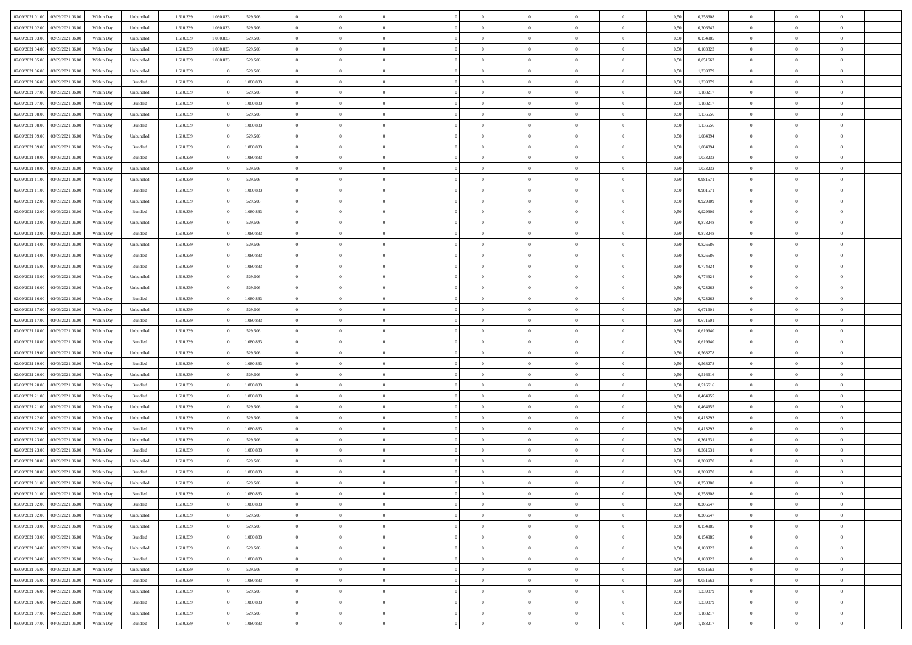| 02/09/2021 01:00 02/09/2021 06:00                                      | Within Day | Unbundled | 1.610.339 | 1.080.833 | 529.506   | $\overline{0}$ | $\overline{0}$ |                | $\overline{0}$ | $\theta$       |                | $\theta$       | 0,50 | 0,258308 | $\theta$       | $\theta$       | $\overline{0}$ |  |
|------------------------------------------------------------------------|------------|-----------|-----------|-----------|-----------|----------------|----------------|----------------|----------------|----------------|----------------|----------------|------|----------|----------------|----------------|----------------|--|
|                                                                        |            |           |           |           |           |                |                |                |                |                |                |                |      |          |                |                |                |  |
| 02/09/2021 02:00<br>02/09/2021 06.00                                   | Within Day | Unbundled | 1.610.33  | 1.080.83  | 529.506   | $\bf{0}$       | $\bf{0}$       | $\bf{0}$       | $\overline{0}$ | $\bf{0}$       | $\overline{0}$ | $\bf{0}$       | 0,50 | 0,206647 | $\,$ 0 $\,$    | $\bf{0}$       | $\overline{0}$ |  |
| 02/09/2021 03:00<br>02/09/2021 06:00                                   | Within Day | Unbundled | 1.610.339 | 1.080.833 | 529.506   | $\overline{0}$ | $\bf{0}$       | $\overline{0}$ | $\bf{0}$       | $\bf{0}$       | $\overline{0}$ | $\bf{0}$       | 0.50 | 0,154985 | $\bf{0}$       | $\overline{0}$ | $\overline{0}$ |  |
| 02/09/2021 04:00<br>02/09/2021 06:00                                   | Within Day | Unbundled | 1.610.339 | 1.080.833 | 529.506   | $\overline{0}$ | $\bf{0}$       | $\overline{0}$ | $\overline{0}$ | $\theta$       | $\overline{0}$ | $\overline{0}$ | 0,50 | 0,103323 | $\theta$       | $\theta$       | $\overline{0}$ |  |
|                                                                        |            |           |           |           |           |                | $\overline{0}$ |                |                |                |                |                |      |          |                | $\theta$       |                |  |
| 02/09/2021 05:00<br>02/09/2021 06.00                                   | Within Day | Unbundled | 1.610.33  | 1.080.833 | 529.506   | $\bf{0}$       |                | $\bf{0}$       | $\overline{0}$ | $\theta$       | $\overline{0}$ | $\bf{0}$       | 0,50 | 0,051662 | $\,$ 0 $\,$    |                | $\overline{0}$ |  |
| 02/09/2021 06:00<br>03/09/2021 06:00                                   | Within Day | Unbundled | 1.610.339 |           | 529.506   | $\overline{0}$ | $\overline{0}$ | $\overline{0}$ | $\overline{0}$ | $\overline{0}$ | $\Omega$       | $\bf{0}$       | 0.50 | 1.239879 | $\,$ 0 $\,$    | $\theta$       | $\overline{0}$ |  |
| 02/09/2021 06:00<br>03/09/2021 06:00                                   | Within Day | Bundled   | 1.610.339 |           | 1.080.833 | $\bf{0}$       | $\overline{0}$ | $\overline{0}$ | $\overline{0}$ | $\overline{0}$ | $\overline{0}$ | $\bf{0}$       | 0,50 | 1,239879 | $\,$ 0 $\,$    | $\theta$       | $\overline{0}$ |  |
| 02/09/2021 07:00<br>03/09/2021 06.00                                   | Within Day | Unbundled | 1.610.339 |           | 529.506   | $\bf{0}$       | $\overline{0}$ | $\overline{0}$ | $\overline{0}$ | $\theta$       | $\overline{0}$ | $\bf{0}$       | 0,50 | 1,188217 | $\,$ 0 $\,$    | $\bf{0}$       | $\overline{0}$ |  |
| 02/09/2021 07:00<br>03/09/2021 06:00                                   | Within Day | Bundled   | 1.610.339 |           | 1.080.833 | $\overline{0}$ | $\overline{0}$ | $\overline{0}$ | $\bf{0}$       | $\overline{0}$ | $\overline{0}$ | $\bf{0}$       | 0.50 | 1.188217 | $\bf{0}$       | $\overline{0}$ | $\overline{0}$ |  |
| 02/09/2021 08:00<br>03/09/2021 06:00                                   | Within Day | Unbundled | 1.610.339 |           | 529.506   | $\bf{0}$       | $\bf{0}$       | $\overline{0}$ | $\overline{0}$ | $\overline{0}$ | $\overline{0}$ | $\bf{0}$       | 0,50 | 1,136556 | $\,$ 0 $\,$    | $\bf{0}$       | $\overline{0}$ |  |
|                                                                        |            |           |           |           |           |                |                |                |                |                |                |                |      |          |                |                |                |  |
| 02/09/2021 08:00<br>03/09/2021 06.00                                   | Within Day | Bundled   | 1.610.339 |           | 1.080.833 | $\bf{0}$       | $\overline{0}$ | $\bf{0}$       | $\overline{0}$ | $\bf{0}$       | $\overline{0}$ | $\bf{0}$       | 0,50 | 1,136556 | $\,$ 0 $\,$    | $\bf{0}$       | $\overline{0}$ |  |
| 02/09/2021 09:00<br>03/09/2021 06:00                                   | Within Day | Unbundled | 1.610.339 |           | 529.506   | $\overline{0}$ | $\overline{0}$ | $\overline{0}$ | $\bf{0}$       | $\bf{0}$       | $\overline{0}$ | $\bf{0}$       | 0.50 | 1.084894 | $\bf{0}$       | $\overline{0}$ | $\overline{0}$ |  |
| 02/09/2021 09:00<br>03/09/2021 06:00                                   | Within Day | Bundled   | 1.610.339 |           | 1.080.833 | $\overline{0}$ | $\overline{0}$ | $\overline{0}$ | $\overline{0}$ | $\theta$       | $\overline{0}$ | $\bf{0}$       | 0,50 | 1,084894 | $\,$ 0 $\,$    | $\theta$       | $\overline{0}$ |  |
| 02/09/2021 10:00<br>03/09/2021 06.00                                   | Within Day | Bundled   | 1.610.339 |           | 1.080.833 | $\overline{0}$ | $\theta$       | $\bf{0}$       | $\overline{0}$ | $\theta$       | $\overline{0}$ | $\bf{0}$       | 0,50 | 1,033233 | $\,$ 0 $\,$    | $\bf{0}$       | $\overline{0}$ |  |
| 02/09/2021 10:00<br>03/09/2021 06:00                                   | Within Day | Unbundled | 1.610.339 |           | 529.506   | $\overline{0}$ | $\overline{0}$ | $\overline{0}$ | $\bf{0}$       | $\theta$       | $\Omega$       | $\bf{0}$       | 0.50 | 1.033233 | $\theta$       | $\theta$       | $\overline{0}$ |  |
|                                                                        |            |           |           |           |           |                |                |                |                |                |                |                |      |          |                |                |                |  |
| 02/09/2021 11:00<br>03/09/2021 06:00                                   | Within Day | Unbundled | 1.610.339 |           | 529.506   | $\bf{0}$       | $\overline{0}$ | $\overline{0}$ | $\overline{0}$ | $\overline{0}$ | $\overline{0}$ | $\bf{0}$       | 0,50 | 0,981571 | $\theta$       | $\theta$       | $\overline{0}$ |  |
| 02/09/2021 11:00<br>03/09/2021 06.00                                   | Within Day | Bundled   | 1.610.339 |           | 1.080.833 | $\bf{0}$       | $\overline{0}$ | $\overline{0}$ | $\overline{0}$ | $\theta$       | $\overline{0}$ | $\bf{0}$       | 0,50 | 0,981571 | $\,$ 0 $\,$    | $\theta$       | $\overline{0}$ |  |
| 02/09/2021 12:00<br>03/09/2021 06:00                                   | Within Day | Unbundled | 1.610.339 |           | 529.506   | $\overline{0}$ | $\overline{0}$ | $\overline{0}$ | $\bf{0}$       | $\overline{0}$ | $\overline{0}$ | $\bf{0}$       | 0.50 | 0.929909 | $\bf{0}$       | $\overline{0}$ | $\overline{0}$ |  |
| 02/09/2021 12:00<br>03/09/2021 06:00                                   | Within Day | Bundled   | 1.610.339 |           | 1.080.833 | $\bf{0}$       | $\bf{0}$       | $\overline{0}$ | $\overline{0}$ | $\theta$       | $\overline{0}$ | $\bf{0}$       | 0,50 | 0,929909 | $\,$ 0 $\,$    | $\bf{0}$       | $\overline{0}$ |  |
| 02/09/2021 13:00<br>03/09/2021 06.00                                   | Within Day | Unbundled | 1.610.339 |           | 529.506   | $\bf{0}$       | $\bf{0}$       | $\bf{0}$       | $\bf{0}$       | $\overline{0}$ | $\overline{0}$ | $\bf{0}$       | 0,50 | 0,878248 | $\,$ 0 $\,$    | $\bf{0}$       | $\overline{0}$ |  |
| 02/09/2021 13:00<br>03/09/2021 06:00                                   | Within Day | Bundled   | 1.610.339 |           | 1.080.833 | $\overline{0}$ | $\bf{0}$       | $\overline{0}$ | $\bf{0}$       | $\bf{0}$       | $\overline{0}$ | $\bf{0}$       | 0.50 | 0.878248 | $\bf{0}$       | $\overline{0}$ | $\overline{0}$ |  |
| 02/09/2021 14:00<br>03/09/2021 06:00                                   | Within Day | Unbundled | 1.610.339 |           | 529.506   | $\overline{0}$ | $\overline{0}$ | $\overline{0}$ | $\overline{0}$ | $\theta$       | $\overline{0}$ | $\bf{0}$       | 0,50 | 0,826586 | $\theta$       | $\theta$       | $\overline{0}$ |  |
|                                                                        |            |           |           |           |           |                |                |                |                |                |                |                |      |          |                |                |                |  |
| 02/09/2021 14:00<br>03/09/2021 06.00                                   | Within Day | Bundled   | 1.610.339 |           | 1.080.833 | $\bf{0}$       | $\overline{0}$ | $\bf{0}$       | $\overline{0}$ | $\theta$       | $\overline{0}$ | $\bf{0}$       | 0,50 | 0,826586 | $\,$ 0 $\,$    | $\bf{0}$       | $\overline{0}$ |  |
| 02/09/2021 15:00<br>03/09/2021 06:00                                   | Within Day | Bundled   | 1.610.339 |           | 1,080,833 | $\overline{0}$ | $\overline{0}$ | $\overline{0}$ | $\overline{0}$ | $\overline{0}$ | $\Omega$       | $\bf{0}$       | 0.50 | 0,774924 | $\bf{0}$       | $\theta$       | $\overline{0}$ |  |
| 02/09/2021 15:00<br>03/09/2021 06:00                                   | Within Day | Unbundled | 1.610.339 |           | 529.506   | $\bf{0}$       | $\overline{0}$ | $\overline{0}$ | $\overline{0}$ | $\overline{0}$ | $\overline{0}$ | $\bf{0}$       | 0,50 | 0,774924 | $\,$ 0 $\,$    | $\theta$       | $\overline{0}$ |  |
| 02/09/2021 16:00<br>03/09/2021 06.00                                   | Within Day | Unbundled | 1.610.339 |           | 529.506   | $\bf{0}$       | $\overline{0}$ | $\bf{0}$       | $\overline{0}$ | $\theta$       | $\overline{0}$ | $\bf{0}$       | 0,50 | 0,723263 | $\,$ 0 $\,$    | $\theta$       | $\overline{0}$ |  |
| 02/09/2021 16:00<br>03/09/2021 06:00                                   | Within Day | Bundled   | 1.610.339 |           | 1.080.833 | $\overline{0}$ | $\bf{0}$       | $\overline{0}$ | $\bf{0}$       | $\overline{0}$ | $\overline{0}$ | $\bf{0}$       | 0.50 | 0,723263 | $\bf{0}$       | $\overline{0}$ | $\overline{0}$ |  |
| 02/09/2021 17:00<br>03/09/2021 06:00                                   | Within Day | Unbundled | 1.610.339 |           | 529.506   | $\overline{0}$ | $\bf{0}$       | $\overline{0}$ | $\overline{0}$ | $\overline{0}$ | $\overline{0}$ | $\bf{0}$       | 0,50 | 0,671601 | $\,$ 0 $\,$    | $\theta$       | $\overline{0}$ |  |
|                                                                        |            |           |           |           |           |                |                |                |                |                |                |                |      |          |                |                |                |  |
| 02/09/2021 17:00<br>03/09/2021 06.00                                   | Within Day | Bundled   | 1.610.339 |           | 1.080.833 | $\bf{0}$       | $\bf{0}$       | $\bf{0}$       | $\bf{0}$       | $\overline{0}$ | $\overline{0}$ | $\bf{0}$       | 0,50 | 0,671601 | $\,$ 0 $\,$    | $\bf{0}$       | $\overline{0}$ |  |
| 02/09/2021 18:00<br>03/09/2021 06:00                                   | Within Day | Unbundled | 1.610.339 |           | 529.506   | $\overline{0}$ | $\bf{0}$       | $\overline{0}$ | $\bf{0}$       | $\bf{0}$       | $\overline{0}$ | $\bf{0}$       | 0.50 | 0.619940 | $\bf{0}$       | $\overline{0}$ | $\overline{0}$ |  |
| 02/09/2021 18:00<br>03/09/2021 06:00                                   | Within Day | Bundled   | 1.610.339 |           | 1.080.833 | $\overline{0}$ | $\overline{0}$ | $\overline{0}$ | $\overline{0}$ | $\overline{0}$ | $\overline{0}$ | $\overline{0}$ | 0.50 | 0.619940 | $\theta$       | $\theta$       | $\overline{0}$ |  |
| 02/09/2021 19:00<br>03/09/2021 06.00                                   | Within Day | Unbundled | 1.610.339 |           | 529.506   | $\bf{0}$       | $\overline{0}$ | $\bf{0}$       | $\overline{0}$ | $\overline{0}$ | $\overline{0}$ | $\bf{0}$       | 0,50 | 0,568278 | $\,$ 0 $\,$    | $\bf{0}$       | $\overline{0}$ |  |
| 02/09/2021 19:00<br>03/09/2021 06:00                                   | Within Day | Bundled   | 1.610.339 |           | 1.080.833 | $\overline{0}$ | $\overline{0}$ | $\overline{0}$ | $\bf{0}$       | $\theta$       | $\Omega$       | $\bf{0}$       | 0.50 | 0.568278 | $\,$ 0 $\,$    | $\theta$       | $\overline{0}$ |  |
| 02/09/2021 20:00<br>03/09/2021 06:00                                   | Within Day | Unbundled | 1.610.339 |           | 529.506   | $\overline{0}$ | $\overline{0}$ | $\overline{0}$ | $\overline{0}$ | $\overline{0}$ | $\overline{0}$ | $\overline{0}$ | 0.50 | 0,516616 | $\theta$       | $\theta$       | $\overline{0}$ |  |
|                                                                        |            |           |           |           |           | $\bf{0}$       | $\overline{0}$ | $\bf{0}$       |                | $\bf{0}$       | $\overline{0}$ |                |      |          | $\,$ 0 $\,$    | $\bf{0}$       | $\overline{0}$ |  |
| 02/09/2021 20:00<br>03/09/2021 06.00                                   | Within Day | Bundled   | 1.610.339 |           | 1.080.833 |                |                |                | $\bf{0}$       |                |                | $\bf{0}$       | 0,50 | 0,516616 |                |                |                |  |
| 02/09/2021 21:00<br>03/09/2021 06:00                                   | Within Day | Bundled   | 1.610.339 |           | 1,080,833 | $\overline{0}$ | $\overline{0}$ | $\overline{0}$ | $\bf{0}$       | $\overline{0}$ | $\overline{0}$ | $\bf{0}$       | 0.50 | 0.464955 | $\bf{0}$       | $\overline{0}$ | $\overline{0}$ |  |
| 02/09/2021 21:00<br>03/09/2021 06:00                                   | Within Day | Unbundled | 1.610.339 |           | 529.506   | $\overline{0}$ | $\overline{0}$ | $\overline{0}$ | $\overline{0}$ | $\overline{0}$ | $\overline{0}$ | $\overline{0}$ | 0.50 | 0,464955 | $\theta$       | $\theta$       | $\overline{0}$ |  |
| 02/09/2021 22:00<br>03/09/2021 06.00                                   | Within Day | Unbundled | 1.610.339 |           | 529.506   | $\bf{0}$       | $\bf{0}$       | $\bf{0}$       | $\bf{0}$       | $\overline{0}$ | $\overline{0}$ | $\bf{0}$       | 0,50 | 0,413293 | $\,$ 0 $\,$    | $\bf{0}$       | $\overline{0}$ |  |
| 02/09/2021 22:00<br>03/09/2021 06:00                                   | Within Day | Bundled   | 1.610.339 |           | 1.080.833 | $\overline{0}$ | $\bf{0}$       | $\overline{0}$ | $\bf{0}$       | $\bf{0}$       | $\overline{0}$ | $\bf{0}$       | 0.50 | 0.413293 | $\bf{0}$       | $\overline{0}$ | $\overline{0}$ |  |
| 02/09/2021 23:00<br>03/09/2021 06:00                                   | Within Day | Unbundled | 1.610.339 |           | 529.506   | $\overline{0}$ | $\overline{0}$ | $\overline{0}$ | $\overline{0}$ | $\overline{0}$ | $\overline{0}$ | $\bf{0}$       | 0.50 | 0,361631 | $\theta$       | $\theta$       | $\overline{0}$ |  |
| 02/09/2021 23:00<br>03/09/2021 06.00                                   | Within Day | Bundled   | 1.610.339 |           | 1.080.833 | $\bf{0}$       | $\overline{0}$ | $\bf{0}$       | $\overline{0}$ | $\overline{0}$ | $\overline{0}$ | $\bf{0}$       | 0,50 | 0,361631 | $\,$ 0 $\,$    | $\bf{0}$       | $\overline{0}$ |  |
|                                                                        |            |           |           |           |           |                |                |                |                |                |                |                |      |          |                |                |                |  |
| 03/09/2021 00:00<br>03/09/2021 06:00                                   | Within Day | Unbundled | 1.610.339 |           | 529.506   | $\overline{0}$ | $\overline{0}$ | $\Omega$       | $\overline{0}$ | $\overline{0}$ | $\Omega$       | $\overline{0}$ | 0.50 | 0.309970 | $\bf{0}$       | $\overline{0}$ | $\overline{0}$ |  |
| 03/09/2021 00:00<br>03/09/2021 06:00                                   | Within Dav | Bundled   | 1.610.339 |           | 1.080.833 | $\overline{0}$ | $\overline{0}$ | $\Omega$       | $\overline{0}$ | $\theta$       | $\theta$       | $\overline{0}$ | 0.50 | 0,309970 | $\theta$       | $\theta$       | $\overline{0}$ |  |
| 03/09/2021 01:00<br>03/09/2021 06:00                                   | Within Day | Unbundled | 1.610.339 |           | 529.506   | $\bf{0}$       | $\bf{0}$       | $\overline{0}$ | $\bf{0}$       | $\bf{0}$       | $\overline{0}$ | $\bf{0}$       | 0,50 | 0,258308 | $\,$ 0 $\,$    | $\bf{0}$       | $\overline{0}$ |  |
| ${\color{red} 03/09/2021~01.00} \qquad {\color{red} 03/09/2021~06.00}$ | Within Day | Bundled   | 1.610.339 |           | 1.080.833 | $\overline{0}$ | $\Omega$       |                | $\Omega$       |                |                |                | 0,50 | 0,258308 | $\bf{0}$       | $\overline{0}$ |                |  |
| 03/09/2021 02:00 03/09/2021 06:00                                      | Within Day | Bundled   | 1.610.339 |           | 1.080.833 | $\overline{0}$ | $\overline{0}$ | $\overline{0}$ | $\overline{0}$ | $\overline{0}$ | $\overline{0}$ | $\bf{0}$       | 0,50 | 0,206647 | $\theta$       | $\overline{0}$ | $\overline{0}$ |  |
| 03/09/2021 02:00<br>03/09/2021 06:00                                   | Within Day | Unbundled | 1.610.339 |           | 529.506   | $\overline{0}$ | $\bf{0}$       | $\overline{0}$ | $\overline{0}$ | $\bf{0}$       | $\overline{0}$ | $\bf{0}$       | 0,50 | 0,206647 | $\bf{0}$       | $\overline{0}$ | $\bf{0}$       |  |
| 03/09/2021 03:00 03/09/2021 06:00                                      | Within Day | Unbundled | 1.610.339 |           | 529.506   | $\overline{0}$ | $\overline{0}$ | $\overline{0}$ | $\overline{0}$ | $\mathbf{0}$   | $\overline{0}$ | $\,$ 0 $\,$    | 0.50 | 0,154985 | $\overline{0}$ | $\bf{0}$       | $\overline{0}$ |  |
|                                                                        |            |           |           |           |           |                |                |                |                |                |                |                |      |          |                |                |                |  |
| 03/09/2021 03:00 03/09/2021 06:00                                      | Within Day | Bundled   | 1.610.339 |           | 1.080.833 | $\overline{0}$ | $\overline{0}$ | $\overline{0}$ | $\overline{0}$ | $\overline{0}$ | $\overline{0}$ | $\bf{0}$       | 0,50 | 0,154985 | $\overline{0}$ | $\theta$       | $\overline{0}$ |  |
| 03/09/2021 04:00<br>03/09/2021 06:00                                   | Within Day | Unbundled | 1.610.339 |           | 529.506   | $\overline{0}$ | $\bf{0}$       | $\overline{0}$ | $\overline{0}$ | $\bf{0}$       | $\overline{0}$ | $\bf{0}$       | 0,50 | 0,103323 | $\bf{0}$       | $\overline{0}$ | $\overline{0}$ |  |
| 03/09/2021 04:00<br>03/09/2021 06:00                                   | Within Day | Bundled   | 1.610.339 |           | 1.080.833 | $\overline{0}$ | $\bf{0}$       | $\overline{0}$ | $\overline{0}$ | $\bf{0}$       | $\overline{0}$ | $\bf{0}$       | 0.50 | 0.103323 | $\,$ 0 $\,$    | $\overline{0}$ | $\,$ 0         |  |
| 03/09/2021 05:00<br>03/09/2021 06:00                                   | Within Day | Unbundled | 1.610.339 |           | 529.506   | $\overline{0}$ | $\overline{0}$ | $\overline{0}$ | $\overline{0}$ | $\overline{0}$ | $\overline{0}$ | $\bf{0}$       | 0,50 | 0,051662 | $\overline{0}$ | $\theta$       | $\overline{0}$ |  |
| 03/09/2021 06:00<br>03/09/2021 05:00                                   | Within Day | Bundled   | 1.610.339 |           | 1.080.833 | $\overline{0}$ | $\overline{0}$ | $\overline{0}$ | $\overline{0}$ | $\overline{0}$ | $\overline{0}$ | $\bf{0}$       | 0,50 | 0,051662 | $\bf{0}$       | $\overline{0}$ | $\,$ 0         |  |
| 03/09/2021 06:00<br>04/09/2021 06:00                                   | Within Day | Unbundled | 1.610.339 |           | 529.506   | $\overline{0}$ | $\overline{0}$ | $\overline{0}$ | $\overline{0}$ | $\overline{0}$ | $\overline{0}$ | $\bf{0}$       | 0.50 | 1.239879 | $\mathbf{0}$   | $\bf{0}$       | $\,$ 0         |  |
|                                                                        |            |           |           |           |           |                | $\overline{0}$ |                |                | $\overline{0}$ |                |                |      |          |                | $\overline{0}$ | $\overline{0}$ |  |
| 03/09/2021 06:00 04/09/2021 06:00                                      | Within Day | Bundled   | 1.610.339 |           | 1.080.833 | $\overline{0}$ |                | $\overline{0}$ | $\overline{0}$ |                | $\overline{0}$ | $\bf{0}$       | 0,50 | 1,239879 | $\overline{0}$ |                |                |  |
| 03/09/2021 07:00<br>04/09/2021 06.00                                   | Within Day | Unbundled | 1.610.339 |           | 529.506   | $\overline{0}$ | $\bf{0}$       | $\overline{0}$ | $\overline{0}$ | $\overline{0}$ | $\overline{0}$ | $\bf{0}$       | 0,50 | 1,188217 | $\bf{0}$       | $\overline{0}$ | $\bf{0}$       |  |
| 03/09/2021 07:00 04/09/2021 06:00                                      | Within Day | Bundled   | 1.610.339 |           | 1.080.833 | $\,$ 0 $\,$    | $\bf{0}$       | $\overline{0}$ | $\overline{0}$ | $\,$ 0 $\,$    | $\,$ 0 $\,$    | $\,$ 0 $\,$    | 0,50 | 1,188217 | $\,$ 0 $\,$    | $\,$ 0 $\,$    | $\,$ 0 $\,$    |  |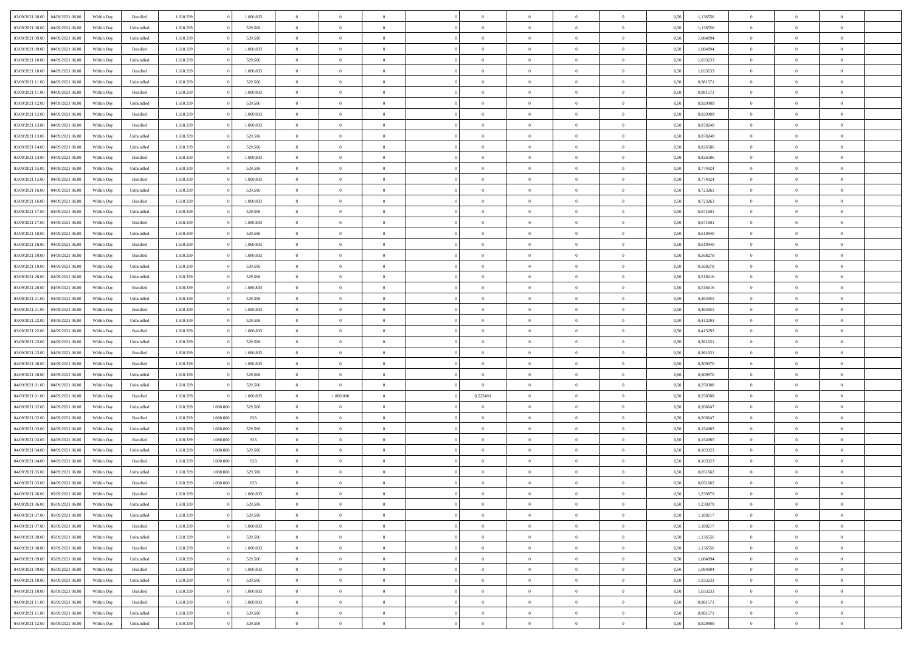| 03/09/2021 08:00 | 04/09/2021 06:00                  | Within Day | Bundled            | 1.610.339 |           | 1.080.833 | $\overline{0}$ | $\Omega$       |                | $\Omega$       | $\Omega$       | $\theta$       | $\theta$       | 0,50 | 1,136556 | $\theta$       | $\theta$       | $\theta$       |  |
|------------------|-----------------------------------|------------|--------------------|-----------|-----------|-----------|----------------|----------------|----------------|----------------|----------------|----------------|----------------|------|----------|----------------|----------------|----------------|--|
|                  |                                   |            |                    |           |           |           |                |                |                |                |                |                |                |      |          |                |                |                |  |
| 03/09/2021 08:00 | 04/09/2021 06.00                  | Within Day | Unbundled          | 1.610.339 |           | 529.506   | $\overline{0}$ | $\theta$       | $\overline{0}$ | $\overline{0}$ | $\bf{0}$       | $\overline{0}$ | $\bf{0}$       | 0,50 | 1,136556 | $\theta$       | $\theta$       | $\overline{0}$ |  |
| 03/09/2021 09:00 | 04/09/2021 06.00                  | Within Day | Unbundled          | 1.610.339 |           | 529.506   | $\overline{0}$ | $\overline{0}$ | $\overline{0}$ | $\bf{0}$       | $\bf{0}$       | $\bf{0}$       | $\bf{0}$       | 0,50 | 1,084894 | $\bf{0}$       | $\overline{0}$ | $\overline{0}$ |  |
| 03/09/2021 09:00 | 04/09/2021 06:00                  | Within Dav | Bundled            | 1.610.339 |           | 1.080.833 | $\overline{0}$ | $\overline{0}$ | $\overline{0}$ | $\overline{0}$ | $\bf{0}$       | $\overline{0}$ | $\overline{0}$ | 0.50 | 1.084894 | $\theta$       | $\theta$       | $\overline{0}$ |  |
| 03/09/2021 10:00 | 04/09/2021 06.00                  | Within Day | Unbundled          | 1.610.339 |           | 529.506   | $\overline{0}$ | $\theta$       | $\overline{0}$ | $\overline{0}$ | $\bf{0}$       | $\overline{0}$ | $\bf{0}$       | 0,50 | 1,033233 | $\theta$       | $\overline{0}$ | $\overline{0}$ |  |
| 03/09/2021 10:00 | 04/09/2021 06.00                  | Within Day | Bundled            | 1.610.339 |           | 1.080.833 | $\overline{0}$ | $\overline{0}$ | $\overline{0}$ | $\bf{0}$       | $\overline{0}$ | $\overline{0}$ | $\mathbf{0}$   | 0,50 | 1,033233 | $\bf{0}$       | $\overline{0}$ | $\bf{0}$       |  |
|                  |                                   |            |                    |           |           |           |                |                |                |                | $\overline{0}$ |                |                |      |          | $\theta$       | $\overline{0}$ | $\overline{0}$ |  |
| 03/09/2021 11:00 | 04/09/2021 06:00                  | Within Dav | Unbundled          | 1.610.339 |           | 529.506   | $\overline{0}$ | $\overline{0}$ | $\overline{0}$ | $\overline{0}$ |                | $\overline{0}$ | $\overline{0}$ | 0.50 | 0.981571 |                |                |                |  |
| 03/09/2021 11:00 | 04/09/2021 06.00                  | Within Day | Bundled            | 1.610.339 |           | 1.080.833 | $\overline{0}$ | $\theta$       | $\overline{0}$ | $\overline{0}$ | $\bf{0}$       | $\overline{0}$ | $\bf{0}$       | 0,50 | 0,981571 | $\theta$       | $\theta$       | $\overline{0}$ |  |
| 03/09/2021 12:00 | 04/09/2021 06.00                  | Within Day | Unbundled          | 1.610.339 |           | 529.506   | $\overline{0}$ | $\overline{0}$ | $\overline{0}$ | $\bf{0}$       | $\bf{0}$       | $\bf{0}$       | $\bf{0}$       | 0,50 | 0,929909 | $\,0\,$        | $\overline{0}$ | $\overline{0}$ |  |
| 03/09/2021 12:00 | 04/09/2021 06:00                  | Within Dav | Bundled            | 1.610.339 |           | 1.080.833 | $\overline{0}$ | $\overline{0}$ | $\overline{0}$ | $\overline{0}$ | $\overline{0}$ | $\overline{0}$ | $\overline{0}$ | 0.50 | 0.929909 | $\theta$       | $\overline{0}$ | $\overline{0}$ |  |
| 03/09/2021 13:00 | 04/09/2021 06.00                  | Within Day | Bundled            | 1.610.339 |           | 1.080.833 | $\overline{0}$ | $\theta$       | $\overline{0}$ | $\overline{0}$ | $\bf{0}$       | $\overline{0}$ | $\bf{0}$       | 0,50 | 0,878248 | $\,$ 0 $\,$    | $\overline{0}$ | $\overline{0}$ |  |
| 03/09/2021 13:00 | 04/09/2021 06.00                  | Within Day | Unbundled          | 1.610.339 |           | 529.506   | $\overline{0}$ | $\overline{0}$ | $\overline{0}$ | $\bf{0}$       | $\bf{0}$       | $\bf{0}$       | $\mathbf{0}$   | 0,50 | 0,878248 | $\bf{0}$       | $\overline{0}$ | $\overline{0}$ |  |
| 03/09/2021 14:00 | 04/09/2021 06:00                  | Within Day | Unbundled          | 1.610.339 |           | 529.506   | $\overline{0}$ | $\overline{0}$ | $\overline{0}$ | $\overline{0}$ | $\bf{0}$       | $\overline{0}$ | $\overline{0}$ | 0.50 | 0.826586 | $\theta$       | $\theta$       | $\overline{0}$ |  |
| 03/09/2021 14:00 | 04/09/2021 06.00                  |            |                    | 1.610.339 |           | 1.080.833 | $\overline{0}$ | $\theta$       | $\overline{0}$ | $\overline{0}$ | $\bf{0}$       | $\overline{0}$ |                |      | 0,826586 | $\theta$       | $\overline{0}$ | $\overline{0}$ |  |
|                  |                                   | Within Day | Bundled            |           |           |           |                |                |                |                |                |                | $\bf{0}$       | 0,50 |          |                |                |                |  |
| 03/09/2021 15:00 | 04/09/2021 06.00                  | Within Day | Unbundled          | 1.610.339 |           | 529.506   | $\overline{0}$ | $\overline{0}$ | $\overline{0}$ | $\bf{0}$       | $\overline{0}$ | $\overline{0}$ | $\mathbf{0}$   | 0,50 | 0,774924 | $\bf{0}$       | $\overline{0}$ | $\bf{0}$       |  |
| 03/09/2021 15:00 | 04/09/2021 06:00                  | Within Dav | Bundled            | 1.610.339 |           | 1.080.833 | $\overline{0}$ | $\overline{0}$ | $\overline{0}$ | $\overline{0}$ | $\overline{0}$ | $\overline{0}$ | $\overline{0}$ | 0.50 | 0,774924 | $\theta$       | $\overline{0}$ | $\overline{0}$ |  |
| 03/09/2021 16:00 | 04/09/2021 06.00                  | Within Day | Unbundled          | 1.610.339 |           | 529.506   | $\overline{0}$ | $\theta$       | $\overline{0}$ | $\overline{0}$ | $\bf{0}$       | $\overline{0}$ | $\bf{0}$       | 0,50 | 0,723263 | $\,$ 0 $\,$    | $\theta$       | $\overline{0}$ |  |
| 03/09/2021 16:00 | 04/09/2021 06.00                  | Within Day | Bundled            | 1.610.339 |           | 1.080.833 | $\overline{0}$ | $\overline{0}$ | $\overline{0}$ | $\bf{0}$       | $\bf{0}$       | $\bf{0}$       | $\mathbf{0}$   | 0,50 | 0,723263 | $\,0\,$        | $\overline{0}$ | $\overline{0}$ |  |
| 03/09/2021 17:00 | 04/09/2021 06:00                  | Within Day | Unbundled          | 1.610.339 |           | 529.506   | $\overline{0}$ | $\overline{0}$ | $\overline{0}$ | $\overline{0}$ | $\overline{0}$ | $\overline{0}$ | $\overline{0}$ | 0.50 | 0,671601 | $\theta$       | $\overline{0}$ | $\overline{0}$ |  |
| 03/09/2021 17:00 | 04/09/2021 06.00                  | Within Day | Bundled            | 1.610.339 |           | 1.080.833 | $\overline{0}$ | $\theta$       | $\overline{0}$ | $\overline{0}$ | $\bf{0}$       | $\overline{0}$ | $\bf{0}$       | 0,50 | 0,671601 | $\,$ 0 $\,$    | $\overline{0}$ | $\overline{0}$ |  |
| 03/09/2021 18:00 | 04/09/2021 06:00                  | Within Day | Unbundled          | 1.610.339 |           | 529.506   | $\overline{0}$ | $\overline{0}$ | $\overline{0}$ | $\bf{0}$       | $\bf{0}$       | $\bf{0}$       | $\bf{0}$       | 0,50 | 0,619940 | $\bf{0}$       | $\overline{0}$ | $\overline{0}$ |  |
|                  |                                   |            |                    |           |           |           |                |                |                |                |                |                |                |      |          |                |                |                |  |
| 03/09/2021 18:00 | 04/09/2021 06:00                  | Within Day | Bundled            | 1.610.339 |           | 1.080.833 | $\overline{0}$ | $\overline{0}$ | $\overline{0}$ | $\overline{0}$ | $\bf{0}$       | $\overline{0}$ | $\overline{0}$ | 0.50 | 0.619940 | $\theta$       | $\overline{0}$ | $\overline{0}$ |  |
| 03/09/2021 19:00 | 04/09/2021 06.00                  | Within Day | Bundled            | 1.610.339 |           | 1.080.833 | $\overline{0}$ | $\theta$       | $\overline{0}$ | $\overline{0}$ | $\bf{0}$       | $\overline{0}$ | $\bf{0}$       | 0,50 | 0,568278 | $\,$ 0 $\,$    | $\overline{0}$ | $\overline{0}$ |  |
| 03/09/2021 19:00 | 04/09/2021 06.00                  | Within Day | Unbundled          | 1.610.339 |           | 529.506   | $\overline{0}$ | $\bf{0}$       | $\overline{0}$ | $\bf{0}$       | $\overline{0}$ | $\overline{0}$ | $\mathbf{0}$   | 0,50 | 0,568278 | $\bf{0}$       | $\overline{0}$ | $\bf{0}$       |  |
| 03/09/2021 20:00 | 04/09/2021 06:00                  | Within Dav | Unbundled          | 1.610.339 |           | 529.506   | $\overline{0}$ | $\overline{0}$ | $\overline{0}$ | $\overline{0}$ | $\overline{0}$ | $\overline{0}$ | $\overline{0}$ | 0.50 | 0,516616 | $\overline{0}$ | $\overline{0}$ | $\overline{0}$ |  |
| 03/09/2021 20:00 | 04/09/2021 06.00                  | Within Day | Bundled            | 1.610.339 |           | 1.080.833 | $\overline{0}$ | $\theta$       | $\overline{0}$ | $\overline{0}$ | $\bf{0}$       | $\overline{0}$ | $\bf{0}$       | 0,50 | 0,516616 | $\theta$       | $\theta$       | $\overline{0}$ |  |
| 03/09/2021 21.00 | 04/09/2021 06.00                  | Within Day | Unbundled          | 1.610.339 |           | 529.506   | $\overline{0}$ | $\overline{0}$ | $\overline{0}$ | $\bf{0}$       | $\bf{0}$       | $\bf{0}$       | $\bf{0}$       | 0,50 | 0,464955 | $\,0\,$        | $\overline{0}$ | $\overline{0}$ |  |
| 03/09/2021 21:00 | 04/09/2021 06:00                  | Within Day | Bundled            | 1.610.339 |           | 1.080.833 | $\overline{0}$ | $\overline{0}$ | $\overline{0}$ | $\overline{0}$ | $\overline{0}$ | $\overline{0}$ | $\overline{0}$ | 0.50 | 0.464955 | $\theta$       | $\overline{0}$ | $\overline{0}$ |  |
|                  |                                   |            |                    |           |           |           |                |                |                |                |                |                |                |      |          |                |                |                |  |
| 03/09/2021 22:00 | 04/09/2021 06.00                  | Within Day | Unbundled          | 1.610.339 |           | 529.506   | $\overline{0}$ | $\theta$       | $\overline{0}$ | $\overline{0}$ | $\bf{0}$       | $\overline{0}$ | $\bf{0}$       | 0,50 | 0,413293 | $\,$ 0 $\,$    | $\overline{0}$ | $\overline{0}$ |  |
| 03/09/2021 22.00 | 04/09/2021 06.00                  | Within Day | Bundled            | 1.610.339 |           | 1.080.833 | $\overline{0}$ | $\overline{0}$ | $\overline{0}$ | $\bf{0}$       | $\bf{0}$       | $\bf{0}$       | $\bf{0}$       | 0,50 | 0,413293 | $\overline{0}$ | $\overline{0}$ | $\overline{0}$ |  |
| 03/09/2021 23:00 | 04/09/2021 06.00                  | Within Day | Unbundled          | 1.610.339 |           | 529.506   | $\overline{0}$ | $\Omega$       | $\overline{0}$ | $\Omega$       | $\Omega$       | $\overline{0}$ | $\overline{0}$ | 0,50 | 0,361631 | $\,0\,$        | $\theta$       | $\theta$       |  |
| 03/09/2021 23:00 | 04/09/2021 06.00                  | Within Day | Bundled            | 1.610.339 |           | 1.080.833 | $\overline{0}$ | $\theta$       | $\overline{0}$ | $\overline{0}$ | $\bf{0}$       | $\overline{0}$ | $\bf{0}$       | 0,50 | 0,361631 | $\theta$       | $\overline{0}$ | $\overline{0}$ |  |
| 04/09/2021 00:00 | 04/09/2021 06:00                  | Within Day | Bundled            | 1.610.339 |           | 1.080.833 | $\overline{0}$ | $\overline{0}$ | $\overline{0}$ | $\bf{0}$       | $\bf{0}$       | $\overline{0}$ | $\mathbf{0}$   | 0,50 | 0,309970 | $\overline{0}$ | $\overline{0}$ | $\bf{0}$       |  |
| 04/09/2021 00:00 | 04/09/2021 06:00                  | Within Day | Unbundled          | 1.610.339 |           | 529.506   | $\overline{0}$ | $\Omega$       | $\Omega$       | $\Omega$       | $\bf{0}$       | $\overline{0}$ | $\overline{0}$ | 0.50 | 0,309970 | $\,0\,$        | $\theta$       | $\theta$       |  |
| 04/09/2021 01:00 | 04/09/2021 06.00                  | Within Day | Unbundled          | 1.610.339 |           | 529.506   | $\overline{0}$ | $\overline{0}$ | $\overline{0}$ | $\overline{0}$ | $\bf{0}$       | $\overline{0}$ | $\bf{0}$       | 0,50 | 0,258308 | $\,$ 0 $\,$    | $\overline{0}$ | $\overline{0}$ |  |
| 04/09/2021 01.00 | 04/09/2021 06.00                  | Within Day | Bundled            | 1.610.339 |           | 1.080.833 | $\overline{0}$ | 1.080.000      | $\overline{0}$ | 0,522403       | $\bf{0}$       | $\bf{0}$       | $\bf{0}$       | 0,50 | 0,258308 | $\bf{0}$       | $\overline{0}$ | $\overline{0}$ |  |
|                  |                                   |            |                    |           |           |           |                |                |                |                |                |                |                |      |          |                |                |                |  |
| 04/09/2021 02.00 | 04/09/2021 06:00                  | Within Day | Unbundled          | 1.610.339 | 1.080.000 | 529.506   | $\overline{0}$ | $\Omega$       | $\overline{0}$ | $\Omega$       | $\theta$       | $\overline{0}$ | $\overline{0}$ | 0.50 | 0.206647 | $\theta$       | $\theta$       | $\theta$       |  |
| 04/09/2021 02:00 | 04/09/2021 06.00                  | Within Day | Bundled            | 1.610.339 | 1.080.000 | 833       | $\overline{0}$ | $\theta$       | $\overline{0}$ | $\overline{0}$ | $\bf{0}$       | $\overline{0}$ | $\bf{0}$       | 0,50 | 0,206647 | $\,$ 0 $\,$    | $\overline{0}$ | $\overline{0}$ |  |
| 04/09/2021 03:00 | 04/09/2021 06:00                  | Within Day | Unbundled          | 1.610.339 | 1.080.000 | 529.506   | $\overline{0}$ | $\overline{0}$ | $\overline{0}$ | $\bf{0}$       | $\bf{0}$       | $\bf{0}$       | $\bf{0}$       | 0,50 | 0,154985 | $\overline{0}$ | $\overline{0}$ | $\overline{0}$ |  |
| 04/09/2021 03:00 | 04/09/2021 06.00                  | Within Day | Bundled            | 1.610.339 | 1.080.000 | 833       | $\overline{0}$ | $\Omega$       | $\overline{0}$ | $\Omega$       | $\overline{0}$ | $\overline{0}$ | $\overline{0}$ | 0.50 | 0,154985 | $\,0\,$        | $\theta$       | $\theta$       |  |
| 04/09/2021 04:00 | 04/09/2021 06.00                  | Within Day | Unbundled          | 1.610.339 | 1.080.000 | 529.506   | $\overline{0}$ | $\overline{0}$ | $\overline{0}$ | $\overline{0}$ | $\,$ 0         | $\overline{0}$ | $\bf{0}$       | 0,50 | 0,103323 | $\,$ 0 $\,$    | $\overline{0}$ | $\overline{0}$ |  |
| 04/09/2021 04:00 | 04/09/2021 06.00                  | Within Day | Bundled            | 1.610.339 | 1.080.000 | 833       | $\overline{0}$ | $\overline{0}$ | $\overline{0}$ | $\bf{0}$       | $\bf{0}$       | $\bf{0}$       | $\mathbf{0}$   | 0,50 | 0,103323 | $\overline{0}$ | $\overline{0}$ | $\bf{0}$       |  |
| 04/09/2021 05:00 | 04/09/2021 06:00                  | Within Day | Unbundled          | 1.610.339 | 1.080.000 | 529.506   | $\overline{0}$ | $\Omega$       | $\Omega$       | $\Omega$       | $\Omega$       | $\Omega$       | $\overline{0}$ | 0.50 | 0.051662 | $\theta$       | $\theta$       | $\theta$       |  |
| 04/09/2021 05:00 | 04/09/2021 06:00                  | Within Day | Bundled            | 1.610.339 | 1.080.000 | 833       | $\overline{0}$ | $\overline{0}$ | $\overline{0}$ | $\bf{0}$       | $\,$ 0         | $\bf{0}$       | $\bf{0}$       | 0,50 | 0,051662 | $\,0\,$        | $\,0\,$        | $\overline{0}$ |  |
|                  | 04/09/2021 06:00 05/09/2021 06:00 | Within Day | $\mathbf B$ undled | 1.610.339 |           |           |                |                |                |                |                |                |                |      |          |                |                |                |  |
|                  |                                   |            |                    |           |           | 1.080.833 | $\bf{0}$       | $\bf{0}$       |                |                |                |                |                | 0,50 | 1,239879 | $\bf{0}$       | $\overline{0}$ |                |  |
| 04/09/2021 06:00 | 05/09/2021 06:00                  | Within Day | Unbundled          | 1.610.339 |           | 529.506   | $\overline{0}$ | $\overline{0}$ | $\overline{0}$ | $\Omega$       | $\overline{0}$ | $\overline{0}$ | $\overline{0}$ | 0,50 | 1,239879 | $\theta$       | $\theta$       | $\theta$       |  |
| 04/09/2021 07:00 | 05/09/2021 06:00                  | Within Day | Unbundled          | 1.610.339 |           | 529.506   | $\overline{0}$ | $\bf{0}$       | $\overline{0}$ | $\bf{0}$       | $\,$ 0 $\,$    | $\overline{0}$ | $\,$ 0 $\,$    | 0,50 | 1,188217 | $\,$ 0 $\,$    | $\,$ 0 $\,$    | $\,$ 0         |  |
| 04/09/2021 07:00 | 05/09/2021 06:00                  | Within Day | Bundled            | 1.610.339 |           | 1.080.833 | $\overline{0}$ | $\overline{0}$ | $\overline{0}$ | $\overline{0}$ | $\overline{0}$ | $\overline{0}$ | $\mathbf{0}$   | 0,50 | 1,188217 | $\overline{0}$ | $\bf{0}$       | $\bf{0}$       |  |
| 04/09/2021 08:00 | 05/09/2021 06:00                  | Within Day | Unbundled          | 1.610.339 |           | 529.506   | $\overline{0}$ | $\overline{0}$ | $\overline{0}$ | $\Omega$       | $\overline{0}$ | $\overline{0}$ | $\overline{0}$ | 0,50 | 1,136556 | $\overline{0}$ | $\theta$       | $\overline{0}$ |  |
| 04/09/2021 08:00 | 05/09/2021 06:00                  | Within Day | Bundled            | 1.610.339 |           | 1.080.833 | $\overline{0}$ | $\,$ 0         | $\overline{0}$ | $\bf{0}$       | $\,$ 0 $\,$    | $\overline{0}$ | $\mathbf{0}$   | 0,50 | 1,136556 | $\,$ 0 $\,$    | $\overline{0}$ | $\overline{0}$ |  |
| 04/09/2021 09:00 | 05/09/2021 06:00                  | Within Day | Unbundled          | 1.610.339 |           | 529.506   | $\overline{0}$ | $\overline{0}$ | $\overline{0}$ | $\overline{0}$ | $\overline{0}$ | $\overline{0}$ | $\mathbf{0}$   | 0,50 | 1,084894 | $\overline{0}$ | $\overline{0}$ | $\bf{0}$       |  |
| 04/09/2021 09:00 | 05/09/2021 06:00                  | Within Day | Bundled            | 1.610.339 |           | 1.080.833 | $\overline{0}$ | $\overline{0}$ | $\overline{0}$ | $\overline{0}$ | $\overline{0}$ | $\overline{0}$ | $\bf{0}$       | 0.50 | 1,084894 | $\overline{0}$ | $\theta$       | $\overline{0}$ |  |
|                  |                                   |            |                    |           |           |           |                |                |                |                |                |                |                |      |          |                |                |                |  |
| 04/09/2021 10:00 | 05/09/2021 06:00                  | Within Day | Unbundled          | 1.610.339 |           | 529.506   | $\overline{0}$ | $\,$ 0         | $\overline{0}$ | $\bf{0}$       | $\bf{0}$       | $\bf{0}$       | $\bf{0}$       | 0,50 | 1,033233 | $\,$ 0 $\,$    | $\overline{0}$ | $\overline{0}$ |  |
| 04/09/2021 10:00 | 05/09/2021 06:00                  | Within Day | Bundled            | 1.610.339 |           | 1.080.833 | $\overline{0}$ | $\bf{0}$       | $\overline{0}$ | $\overline{0}$ | $\overline{0}$ | $\overline{0}$ | $\mathbf{0}$   | 0,50 | 1,033233 | $\overline{0}$ | $\overline{0}$ | $\bf{0}$       |  |
| 04/09/2021 11:00 | 05/09/2021 06:00                  | Within Day | Bundled            | 1.610.339 |           | 1.080.833 | $\overline{0}$ | $\overline{0}$ | $\overline{0}$ | $\Omega$       | $\overline{0}$ | $\overline{0}$ | $\overline{0}$ | 0.50 | 0,981571 | $\overline{0}$ | $\overline{0}$ | $\overline{0}$ |  |
| 04/09/2021 11:00 | 05/09/2021 06:00                  | Within Day | Unbundled          | 1.610.339 |           | 529.506   | $\overline{0}$ | $\bf{0}$       | $\overline{0}$ | $\bf{0}$       | $\bf{0}$       | $\bf{0}$       | $\mathbf{0}$   | 0,50 | 0,981571 | $\,$ 0 $\,$    | $\,$ 0 $\,$    | $\bf{0}$       |  |
| 04/09/2021 12:00 | 05/09/2021 06:00                  | Within Day | Unbundled          | 1.610.339 |           | 529.506   | $\overline{0}$ | $\overline{0}$ | $\overline{0}$ | $\overline{0}$ | $\overline{0}$ | $\bf{0}$       | $\mathbf{0}$   | 0,50 | 0,929909 | $\overline{0}$ | $\bf{0}$       | $\overline{0}$ |  |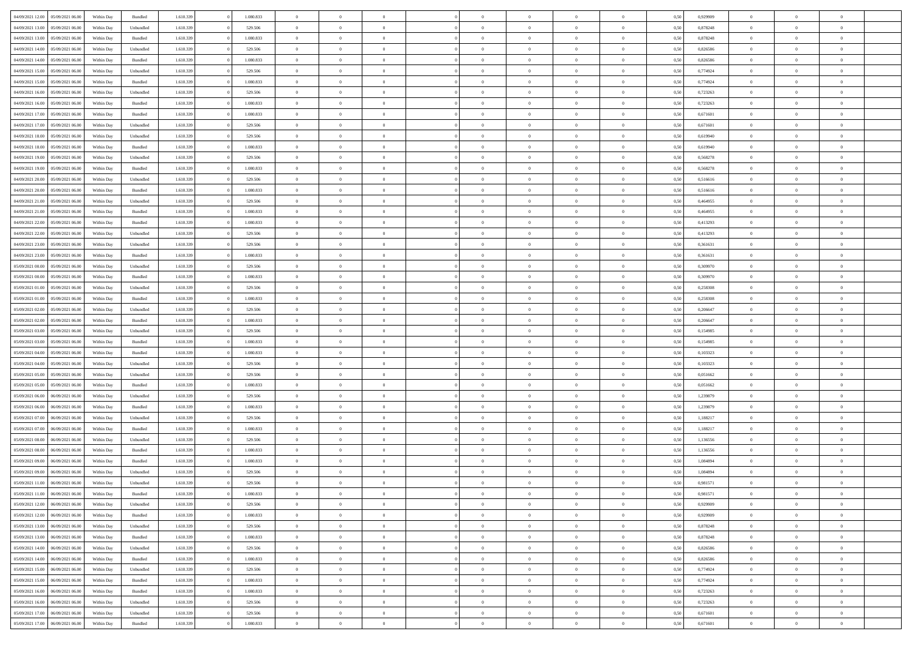| 04/09/2021 12:00 05/09/2021 06:00    | Within Day | Bundled   | 1.610.339 | 1.080.833 | $\overline{0}$ | $\overline{0}$ | $\Omega$       | $\Omega$       | $\Omega$       |                | $\overline{0}$ | 0,50 | 0,929909 | $\mathbf{0}$   | $\Omega$       | $\Omega$       |  |
|--------------------------------------|------------|-----------|-----------|-----------|----------------|----------------|----------------|----------------|----------------|----------------|----------------|------|----------|----------------|----------------|----------------|--|
| 04/09/2021 13:00<br>05/09/2021 06:00 | Within Day | Unbundled | 1.610.339 | 529.506   | $\bf{0}$       | $\overline{0}$ | $\overline{0}$ | $\theta$       | $\overline{0}$ | $\overline{0}$ | $\,$ 0         | 0,50 | 0,878248 | $\mathbf{0}$   | $\theta$       | $\bf{0}$       |  |
| 04/09/2021 13:00<br>05/09/2021 06:00 | Within Day | Bundled   | 1.610.339 | 1.080.833 | $\overline{0}$ | $\overline{0}$ | $\overline{0}$ | $\bf{0}$       | $\bf{0}$       | $\overline{0}$ | $\mathbf{0}$   | 0,50 | 0,878248 | $\bf{0}$       | $\bf{0}$       | $\bf{0}$       |  |
|                                      |            |           |           |           |                |                |                |                |                |                |                |      |          |                |                |                |  |
| 04/09/2021 14:00<br>05/09/2021 06:00 | Within Day | Unbundled | 1.610.339 | 529,506   | $\overline{0}$ | $\overline{0}$ | $\overline{0}$ | $\overline{0}$ | $\overline{0}$ | $\Omega$       | $\overline{0}$ | 0.50 | 0.826586 | $\mathbf{0}$   | $\overline{0}$ | $\bf{0}$       |  |
| 04/09/2021 14:00<br>05/09/2021 06:00 | Within Day | Bundled   | 1.610.339 | 1.080.833 | $\bf{0}$       | $\overline{0}$ | $\overline{0}$ | $\theta$       | $\overline{0}$ | $\overline{0}$ | $\bf{0}$       | 0,50 | 0,826586 | $\theta$       | $\theta$       | $\overline{0}$ |  |
| 04/09/2021 15:00<br>05/09/2021 06:00 | Within Day | Unbundled | 1.610.339 | 529.506   | $\overline{0}$ | $\overline{0}$ | $\overline{0}$ | $\bf{0}$       | $\overline{0}$ | $\overline{0}$ | $\overline{0}$ | 0,50 | 0,774924 | $\overline{0}$ | $\overline{0}$ | $\overline{0}$ |  |
| 04/09/2021 15:00<br>05/09/2021 06:00 | Within Day | Bundled   | 1.610.339 | 1.080.833 | $\overline{0}$ | $\overline{0}$ | $\overline{0}$ | $\overline{0}$ | $\overline{0}$ | $\overline{0}$ | $\mathbf{0}$   | 0.50 | 0,774924 | $\mathbf{0}$   | $\overline{0}$ | $\overline{0}$ |  |
|                                      |            |           |           |           |                |                |                |                |                |                |                |      |          |                |                |                |  |
| 04/09/2021 16:00<br>05/09/2021 06:00 | Within Day | Unbundled | 1.610.339 | 529.506   | $\bf{0}$       | $\overline{0}$ | $\overline{0}$ | $\theta$       | $\overline{0}$ | $\overline{0}$ | $\bf{0}$       | 0,50 | 0,723263 | $\theta$       | $\theta$       | $\bf{0}$       |  |
| 04/09/2021 16:00<br>05/09/2021 06:00 | Within Day | Bundled   | 1.610.339 | 1.080.833 | $\overline{0}$ | $\overline{0}$ | $\overline{0}$ | $\bf{0}$       | $\bf{0}$       | $\overline{0}$ | $\mathbf{0}$   | 0,50 | 0,723263 | $\bf{0}$       | $\bf{0}$       | $\bf{0}$       |  |
| 04/09/2021 17:00<br>05/09/2021 06:00 | Within Day | Bundled   | 1.610.339 | 1.080.833 | $\overline{0}$ | $\overline{0}$ | $\overline{0}$ | $\overline{0}$ | $\overline{0}$ | $\overline{0}$ | $\overline{0}$ | 0.50 | 0,671601 | $\overline{0}$ | $\overline{0}$ | $\overline{0}$ |  |
| 04/09/2021 17:00<br>05/09/2021 06:00 | Within Day | Unbundled | 1.610.339 | 529.506   | $\bf{0}$       | $\overline{0}$ | $\overline{0}$ | $\overline{0}$ | $\overline{0}$ | $\overline{0}$ | $\,$ 0         | 0,50 | 0,671601 | $\theta$       | $\theta$       | $\bf{0}$       |  |
| 04/09/2021 18:00<br>05/09/2021 06:00 | Within Day | Unbundled | 1.610.339 | 529.506   | $\overline{0}$ | $\overline{0}$ | $\overline{0}$ | $\bf{0}$       | $\bf{0}$       | $\overline{0}$ | $\mathbf{0}$   | 0,50 | 0,619940 | $\bf{0}$       | $\bf{0}$       | $\bf{0}$       |  |
|                                      |            |           |           |           |                |                |                |                |                |                |                |      |          |                |                |                |  |
| 04/09/2021 18:00<br>05/09/2021 06:00 | Within Day | Bundled   | 1.610.339 | 1.080.833 | $\overline{0}$ | $\overline{0}$ | $\overline{0}$ | $\overline{0}$ | $\overline{0}$ | $\overline{0}$ | $\overline{0}$ | 0.50 | 0.619940 | $\mathbf{0}$   | $\overline{0}$ | $\bf{0}$       |  |
| 04/09/2021 19:00<br>05/09/2021 06:00 | Within Day | Unbundled | 1.610.339 | 529.506   | $\bf{0}$       | $\overline{0}$ | $\overline{0}$ | $\theta$       | $\overline{0}$ | $\overline{0}$ | $\,$ 0         | 0,50 | 0,568278 | $\theta$       | $\theta$       | $\overline{0}$ |  |
| 04/09/2021 19:00<br>05/09/2021 06:00 | Within Day | Bundled   | 1.610.339 | 1.080.833 | $\overline{0}$ | $\overline{0}$ | $\overline{0}$ | $\bf{0}$       | $\overline{0}$ | $\overline{0}$ | $\overline{0}$ | 0,50 | 0,568278 | $\overline{0}$ | $\overline{0}$ | $\overline{0}$ |  |
| 04/09/2021 20:00<br>05/09/2021 06:00 | Within Day | Unbundled | 1.610.339 | 529.506   | $\overline{0}$ | $\overline{0}$ | $\overline{0}$ | $\overline{0}$ | $\overline{0}$ | $\overline{0}$ | $\overline{0}$ | 0.50 | 0.516616 | $\overline{0}$ | $\overline{0}$ | $\overline{0}$ |  |
| 04/09/2021 20:00<br>05/09/2021 06:00 | Within Day | Bundled   | 1.610.339 | 1.080.833 | $\bf{0}$       | $\overline{0}$ | $\overline{0}$ | $\overline{0}$ | $\overline{0}$ | $\overline{0}$ | $\bf{0}$       | 0,50 | 0,516616 | $\theta$       | $\theta$       | $\bf{0}$       |  |
|                                      |            |           |           |           |                |                |                |                |                |                |                |      |          |                |                |                |  |
| 04/09/2021 21:00<br>05/09/2021 06:00 | Within Day | Unbundled | 1.610.339 | 529.506   | $\overline{0}$ | $\overline{0}$ | $\bf{0}$       | $\bf{0}$       | $\bf{0}$       | $\overline{0}$ | $\bf{0}$       | 0,50 | 0,464955 | $\bf{0}$       | $\bf{0}$       | $\bf{0}$       |  |
| 04/09/2021 21:00<br>05/09/2021 06:00 | Within Day | Bundled   | 1.610.339 | 1.080.833 | $\overline{0}$ | $\overline{0}$ | $\overline{0}$ | $\overline{0}$ | $\overline{0}$ | $\overline{0}$ | $\overline{0}$ | 0.50 | 0,464955 | $\mathbf{0}$   | $\overline{0}$ | $\overline{0}$ |  |
| 04/09/2021 22:00<br>05/09/2021 06:00 | Within Day | Bundled   | 1.610.339 | 1.080.833 | $\bf{0}$       | $\overline{0}$ | $\overline{0}$ | $\overline{0}$ | $\overline{0}$ | $\overline{0}$ | $\,$ 0         | 0,50 | 0,413293 | $\theta$       | $\theta$       | $\bf{0}$       |  |
| 04/09/2021 22:00<br>05/09/2021 06:00 | Within Day | Unbundled | 1.610.339 | 529.506   | $\overline{0}$ | $\overline{0}$ | $\overline{0}$ | $\bf{0}$       | $\bf{0}$       | $\overline{0}$ | $\mathbf{0}$   | 0,50 | 0,413293 | $\bf{0}$       | $\bf{0}$       | $\bf{0}$       |  |
| 04/09/2021 23:00<br>05/09/2021 06:00 | Within Day | Unbundled | 1.610.339 | 529,506   | $\overline{0}$ | $\overline{0}$ | $\overline{0}$ | $\overline{0}$ | $\overline{0}$ | $\overline{0}$ | $\overline{0}$ | 0.50 | 0.361631 | $\overline{0}$ | $\overline{0}$ | $\bf{0}$       |  |
|                                      |            |           |           |           |                |                |                |                |                |                |                |      |          |                |                |                |  |
| 04/09/2021 23:00<br>05/09/2021 06:00 | Within Day | Bundled   | 1.610.339 | 1.080.833 | $\bf{0}$       | $\overline{0}$ | $\overline{0}$ | $\overline{0}$ | $\overline{0}$ | $\overline{0}$ | $\,$ 0         | 0,50 | 0,361631 | $\mathbf{0}$   | $\theta$       | $\bf{0}$       |  |
| 05/09/2021 00:00<br>05/09/2021 06:00 | Within Day | Unbundled | 1.610.339 | 529.506   | $\overline{0}$ | $\overline{0}$ | $\overline{0}$ | $\bf{0}$       | $\overline{0}$ | $\overline{0}$ | $\overline{0}$ | 0,50 | 0,309970 | $\overline{0}$ | $\overline{0}$ | $\overline{0}$ |  |
| 05/09/2021 00:00<br>05/09/2021 06:00 | Within Day | Bundled   | 1.610.339 | 1.080.833 | $\overline{0}$ | $\overline{0}$ | $\overline{0}$ | $\overline{0}$ | $\overline{0}$ | $\overline{0}$ | $\overline{0}$ | 0.50 | 0,309970 | $\overline{0}$ | $\overline{0}$ | $\overline{0}$ |  |
| 05/09/2021 01:00<br>05/09/2021 06:00 | Within Day | Unbundled | 1.610.339 | 529.506   | $\bf{0}$       | $\overline{0}$ | $\bf{0}$       | $\overline{0}$ | $\overline{0}$ | $\overline{0}$ | $\bf{0}$       | 0,50 | 0,258308 | $\theta$       | $\theta$       | $\bf{0}$       |  |
|                                      |            |           |           |           |                |                |                |                |                |                |                |      |          |                |                |                |  |
| 05/09/2021 01:00<br>05/09/2021 06:00 | Within Day | Bundled   | 1.610.339 | 1.080.833 | $\overline{0}$ | $\overline{0}$ | $\bf{0}$       | $\bf{0}$       | $\bf{0}$       | $\overline{0}$ | $\bf{0}$       | 0,50 | 0,258308 | $\bf{0}$       | $\bf{0}$       | $\bf{0}$       |  |
| 05/09/2021 02:00<br>05/09/2021 06:00 | Within Day | Unbundled | 1.610.339 | 529.506   | $\overline{0}$ | $\overline{0}$ | $\overline{0}$ | $\overline{0}$ | $\overline{0}$ | $\overline{0}$ | $\overline{0}$ | 0.50 | 0.206647 | $\overline{0}$ | $\overline{0}$ | $\bf{0}$       |  |
| 05/09/2021 02:00<br>05/09/2021 06:00 | Within Day | Bundled   | 1.610.339 | 1.080.833 | $\bf{0}$       | $\overline{0}$ | $\overline{0}$ | $\overline{0}$ | $\overline{0}$ | $\overline{0}$ | $\,$ 0         | 0,50 | 0,206647 | $\theta$       | $\theta$       | $\bf{0}$       |  |
| 05/09/2021 03:00<br>05/09/2021 06:00 | Within Day | Unbundled | 1.610.339 | 529.506   | $\overline{0}$ | $\overline{0}$ | $\overline{0}$ | $\bf{0}$       | $\bf{0}$       | $\overline{0}$ | $\mathbf{0}$   | 0,50 | 0,154985 | $\overline{0}$ | $\bf{0}$       | $\bf{0}$       |  |
|                                      |            |           |           |           | $\overline{0}$ | $\overline{0}$ | $\overline{0}$ | $\overline{0}$ | $\overline{0}$ | $\Omega$       | $\overline{0}$ | 0.50 |          | $\bf{0}$       | $\Omega$       | $\Omega$       |  |
| 05/09/2021 03:00<br>05/09/2021 06:00 | Within Day | Bundled   | 1.610.339 | 1.080.833 |                |                |                |                |                |                |                |      | 0,154985 |                |                |                |  |
| 05/09/2021 04:00<br>05/09/2021 06:00 | Within Day | Bundled   | 1.610.339 | 1.080.833 | $\bf{0}$       | $\overline{0}$ | $\overline{0}$ | $\theta$       | $\overline{0}$ | $\overline{0}$ | $\,$ 0         | 0,50 | 0,103323 | $\theta$       | $\theta$       | $\bf{0}$       |  |
| 05/09/2021 04:00<br>05/09/2021 06:00 | Within Day | Unbundled | 1.610.339 | 529.506   | $\overline{0}$ | $\overline{0}$ | $\overline{0}$ | $\bf{0}$       | $\overline{0}$ | $\overline{0}$ | $\overline{0}$ | 0,50 | 0,103323 | $\overline{0}$ | $\overline{0}$ | $\overline{0}$ |  |
| 05/09/2021 05:00<br>05/09/2021 06:00 | Within Day | Unbundled | 1.610.339 | 529.506   | $\overline{0}$ | $\overline{0}$ | $\Omega$       | $\overline{0}$ | $\overline{0}$ | $\Omega$       | $\overline{0}$ | 0.50 | 0.051662 | $\overline{0}$ | $\Omega$       | $\Omega$       |  |
| 05/09/2021 05:00<br>05/09/2021 06:00 | Within Day | Bundled   | 1.610.339 | 1.080.833 | $\bf{0}$       | $\overline{0}$ | $\bf{0}$       | $\overline{0}$ | $\overline{0}$ | $\overline{0}$ | $\bf{0}$       | 0,50 | 0,051662 | $\theta$       | $\theta$       | $\bf{0}$       |  |
|                                      |            |           |           |           |                |                |                |                |                |                |                |      |          |                |                |                |  |
| 05/09/2021 06:00<br>06/09/2021 06.00 | Within Day | Unbundled | 1.610.339 | 529.506   | $\overline{0}$ | $\overline{0}$ | $\bf{0}$       | $\bf{0}$       | $\bf{0}$       | $\overline{0}$ | $\bf{0}$       | 0,50 | 1,239879 | $\bf{0}$       | $\bf{0}$       | $\bf{0}$       |  |
| 05/09/2021 06:00<br>06/09/2021 06:00 | Within Day | Bundled   | 1.610.339 | 1.080.833 | $\overline{0}$ | $\overline{0}$ | $\Omega$       | $\overline{0}$ | $\overline{0}$ | $\Omega$       | $\theta$       | 0.50 | 1,239879 | $\overline{0}$ | $\Omega$       | $\Omega$       |  |
| 05/09/2021 07:00<br>06/09/2021 06:00 | Within Day | Unbundled | 1.610.339 | 529.506   | $\bf{0}$       | $\overline{0}$ | $\bf{0}$       | $\overline{0}$ | $\overline{0}$ | $\overline{0}$ | $\,$ 0         | 0,50 | 1,188217 | $\theta$       | $\theta$       | $\bf{0}$       |  |
| 05/09/2021 07:00<br>06/09/2021 06:00 | Within Day | Bundled   | 1.610.339 | 1.080.833 | $\overline{0}$ | $\overline{0}$ | $\overline{0}$ | $\bf{0}$       | $\bf{0}$       | $\overline{0}$ | $\mathbf{0}$   | 0,50 | 1,188217 | $\overline{0}$ | $\bf{0}$       | $\bf{0}$       |  |
| 05/09/2021 08:00<br>06/09/2021 06.00 | Within Day | Unbundled | 1.610.339 | 529.506   | $\overline{0}$ | $\overline{0}$ | $\overline{0}$ | $\overline{0}$ | $\overline{0}$ | $\Omega$       | $\overline{0}$ | 0.50 | 1,136556 | $\overline{0}$ | $\Omega$       | $\Omega$       |  |
| 05/09/2021 08:00<br>06/09/2021 06:00 |            |           | 1.610.339 | 1.080.833 |                | $\overline{0}$ | $\overline{0}$ | $\overline{0}$ | $\overline{0}$ | $\overline{0}$ | $\,$ 0         |      | 1,136556 | $\,$ 0 $\,$    | $\theta$       | $\bf{0}$       |  |
|                                      | Within Day | Bundled   |           |           | $\bf{0}$       |                |                |                |                |                |                | 0,50 |          |                |                |                |  |
| 05/09/2021 09:00<br>06/09/2021 06.00 | Within Day | Bundled   | 1.610.339 | 1.080.833 | $\overline{0}$ | $\overline{0}$ | $\bf{0}$       | $\bf{0}$       | $\overline{0}$ | $\overline{0}$ | $\overline{0}$ | 0,50 | 1,084894 | $\overline{0}$ | $\bf{0}$       | $\bf{0}$       |  |
| 05/09/2021 09:00<br>06/09/2021 06:00 | Within Day | Unbundled | 1.610.339 | 529.506   | $\overline{0}$ | $\Omega$       | $\Omega$       | $\Omega$       | $\overline{0}$ | $\Omega$       | $\overline{0}$ | 0.50 | 1.084894 | $\overline{0}$ | $\Omega$       | $\Omega$       |  |
| 05/09/2021 11:00<br>06/09/2021 06:00 | Within Day | Unbundled | 1.610.339 | 529.506   | $\bf{0}$       | $\overline{0}$ | $\bf{0}$       | $\bf{0}$       | $\bf{0}$       | $\overline{0}$ | $\,$ 0         | 0,50 | 0,981571 | $\bf{0}$       | $\,$ 0         | $\,$ 0         |  |
| 05/09/2021 11:00   06/09/2021 06:00  | Within Day | Bundled   | 1.610.339 | 1.080.833 | $\bf{0}$       | $\bf{0}$       |                |                |                |                |                | 0,50 | 0,981571 | $\bf{0}$       | $\bf{0}$       |                |  |
|                                      |            |           | 1.610.339 |           | $\overline{0}$ | $\overline{0}$ | $\theta$       | $\overline{0}$ | $\overline{0}$ | $\overline{0}$ | $\mathbf{0}$   | 0.50 |          | $\overline{0}$ | $\theta$       | $\overline{0}$ |  |
| 05/09/2021 12:00 06/09/2021 06:00    | Within Day | Unbundled |           | 529.506   |                |                |                |                |                |                |                |      | 0,929909 |                |                |                |  |
| 05/09/2021 12:00<br>06/09/2021 06:00 | Within Day | Bundled   | 1.610.339 | 1.080.833 | $\overline{0}$ | $\overline{0}$ | $\overline{0}$ | $\bf{0}$       | $\overline{0}$ | $\overline{0}$ | $\mathbf{0}$   | 0,50 | 0,929909 | $\,$ 0 $\,$    | $\overline{0}$ | $\,$ 0 $\,$    |  |
| 05/09/2021 13:00<br>06/09/2021 06:00 | Within Day | Unbundled | 1.610.339 | 529.506   | $\overline{0}$ | $\overline{0}$ | $\overline{0}$ | $\bf{0}$       | $\overline{0}$ | $\overline{0}$ | $\overline{0}$ | 0,50 | 0,878248 | $\overline{0}$ | $\overline{0}$ | $\overline{0}$ |  |
| 05/09/2021 13:00<br>06/09/2021 06:00 | Within Day | Bundled   | 1.610.339 | 1.080.833 | $\overline{0}$ | $\overline{0}$ | $\overline{0}$ | $\overline{0}$ | $\bf{0}$       | $\overline{0}$ | $\bf{0}$       | 0,50 | 0,878248 | $\overline{0}$ | $\overline{0}$ | $\overline{0}$ |  |
| 05/09/2021 14:00<br>06/09/2021 06:00 | Within Day | Unbundled | 1.610.339 | 529.506   | $\overline{0}$ | $\overline{0}$ | $\overline{0}$ | $\overline{0}$ | $\overline{0}$ | $\overline{0}$ | $\,$ 0 $\,$    | 0,50 | 0,826586 | $\,$ 0 $\,$    | $\theta$       | $\bf{0}$       |  |
|                                      |            |           |           |           |                |                |                |                |                |                |                |      |          |                |                |                |  |
| 05/09/2021 14:00<br>06/09/2021 06:00 | Within Day | Bundled   | 1.610.339 | 1.080.833 | $\overline{0}$ | $\overline{0}$ | $\overline{0}$ | $\bf{0}$       | $\overline{0}$ | $\overline{0}$ | $\overline{0}$ | 0,50 | 0,826586 | $\overline{0}$ | $\overline{0}$ | $\overline{0}$ |  |
| 05/09/2021 15:00<br>06/09/2021 06:00 | Within Day | Unbundled | 1.610.339 | 529.506   | $\overline{0}$ | $\overline{0}$ | $\overline{0}$ | $\overline{0}$ | $\overline{0}$ | $\overline{0}$ | $\overline{0}$ | 0.50 | 0,774924 | $\overline{0}$ | $\overline{0}$ | $\overline{0}$ |  |
| 05/09/2021 15:00<br>06/09/2021 06:00 | Within Day | Bundled   | 1.610.339 | 1.080.833 | $\bf{0}$       | $\overline{0}$ | $\overline{0}$ | $\bf{0}$       | $\bf{0}$       | $\overline{0}$ | $\,$ 0 $\,$    | 0,50 | 0,774924 | $\,$ 0 $\,$    | $\theta$       | $\,$ 0         |  |
| 05/09/2021 16:00<br>06/09/2021 06:00 | Within Day | Bundled   | 1.610.339 | 1.080.833 | $\overline{0}$ | $\overline{0}$ | $\overline{0}$ | $\bf{0}$       | $\overline{0}$ | $\overline{0}$ | $\overline{0}$ | 0,50 | 0,723263 | $\bf{0}$       | $\bf{0}$       | $\overline{0}$ |  |
|                                      |            |           | 1.610.339 |           | $\overline{0}$ |                | $\overline{0}$ | $\overline{0}$ | $\overline{0}$ | $\overline{0}$ |                |      |          | $\overline{0}$ | $\overline{0}$ | $\overline{0}$ |  |
| 05/09/2021 16:00<br>06/09/2021 06:00 | Within Day | Unbundled |           | 529.506   |                | $\overline{0}$ |                |                |                |                | $\overline{0}$ | 0,50 | 0,723263 |                |                |                |  |
| 05/09/2021 17:00<br>06/09/2021 06:00 | Within Day | Unbundled | 1.610.339 | 529.506   | $\overline{0}$ | $\overline{0}$ | $\overline{0}$ | $\bf{0}$       | $\bf{0}$       | $\bf{0}$       | $\,$ 0 $\,$    | 0,50 | 0,671601 | $\,$ 0 $\,$    | $\,0\,$        | $\,$ 0         |  |
| 05/09/2021 17:00   06/09/2021 06:00  | Within Day | Bundled   | 1.610.339 | 1.080.833 | $\overline{0}$ | $\overline{0}$ | $\overline{0}$ | $\bf{0}$       | $\bf{0}$       | $\overline{0}$ | $\bf{0}$       | 0,50 | 0,671601 | $\bf{0}$       | $\bf{0}$       | $\overline{0}$ |  |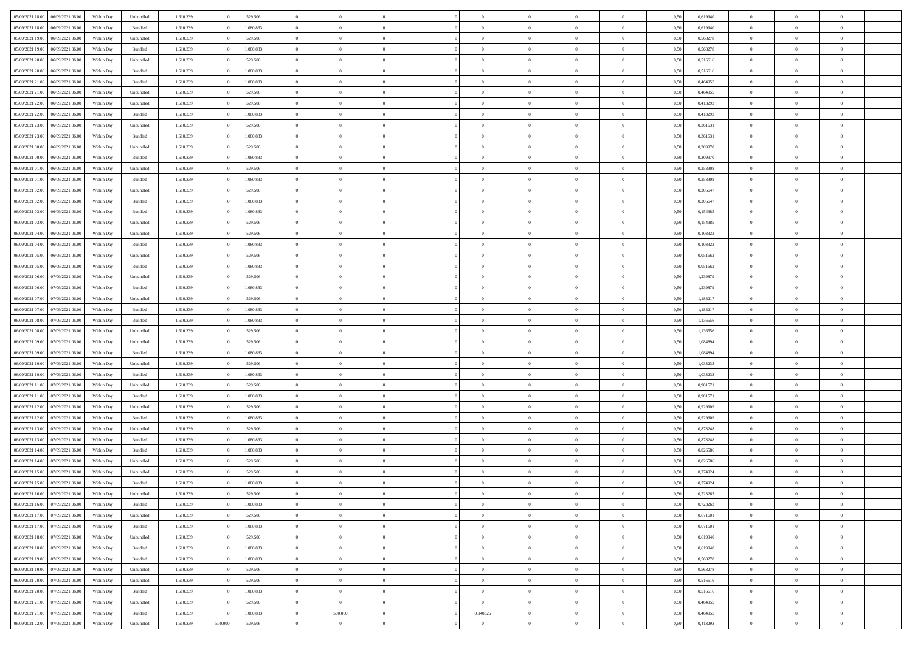| 05/09/2021 18:00                  | 06/09/2021 06:00 | Within Dav | Unbundled | 1.610.339 |         | 529.506   | $\overline{0}$ | $\Omega$       |                | $\Omega$       | $\Omega$       | $\theta$       | $\theta$       | 0,50 | 0,619940 | $\theta$       | $\theta$       | $\theta$       |  |
|-----------------------------------|------------------|------------|-----------|-----------|---------|-----------|----------------|----------------|----------------|----------------|----------------|----------------|----------------|------|----------|----------------|----------------|----------------|--|
|                                   |                  |            |           |           |         |           |                |                |                |                |                |                |                |      |          |                |                |                |  |
| 05/09/2021 18:00                  | 06/09/2021 06:00 | Within Day | Bundled   | 1.610.339 |         | 1.080.833 | $\overline{0}$ | $\theta$       | $\overline{0}$ | $\overline{0}$ | $\bf{0}$       | $\overline{0}$ | $\bf{0}$       | 0,50 | 0,619940 | $\theta$       | $\theta$       | $\overline{0}$ |  |
| 05/09/2021 19:00                  | 06/09/2021 06:00 | Within Day | Unbundled | 1.610.339 |         | 529.506   | $\overline{0}$ | $\overline{0}$ | $\overline{0}$ | $\bf{0}$       | $\bf{0}$       | $\bf{0}$       | $\bf{0}$       | 0,50 | 0,568278 | $\overline{0}$ | $\overline{0}$ | $\overline{0}$ |  |
| 05/09/2021 19:00                  | 06/09/2021 06:00 | Within Dav | Bundled   | 1.610.339 |         | 1.080.833 | $\overline{0}$ | $\overline{0}$ | $\overline{0}$ | $\overline{0}$ | $\bf{0}$       | $\overline{0}$ | $\overline{0}$ | 0.50 | 0,568278 | $\theta$       | $\theta$       | $\overline{0}$ |  |
|                                   |                  |            |           |           |         |           |                |                |                |                |                |                |                |      |          |                |                |                |  |
| 05/09/2021 20:00                  | 06/09/2021 06:00 | Within Day | Unbundled | 1.610.339 |         | 529.506   | $\overline{0}$ | $\theta$       | $\overline{0}$ | $\overline{0}$ | $\bf{0}$       | $\overline{0}$ | $\bf{0}$       | 0,50 | 0,516616 | $\theta$       | $\overline{0}$ | $\overline{0}$ |  |
| 05/09/2021 20:00                  | 06/09/2021 06:00 | Within Day | Bundled   | 1.610.339 |         | 1.080.833 | $\overline{0}$ | $\bf{0}$       | $\overline{0}$ | $\bf{0}$       | $\overline{0}$ | $\overline{0}$ | $\mathbf{0}$   | 0,50 | 0,516616 | $\overline{0}$ | $\overline{0}$ | $\bf{0}$       |  |
| 05/09/2021 21:00                  | 06/09/2021 06:00 | Within Dav | Bundled   | 1.610.339 |         | 1.080.833 | $\overline{0}$ | $\overline{0}$ | $\overline{0}$ | $\overline{0}$ | $\overline{0}$ | $\overline{0}$ | $\overline{0}$ | 0.50 | 0,464955 | $\theta$       | $\overline{0}$ | $\overline{0}$ |  |
| 05/09/2021 21:00                  | 06/09/2021 06:00 | Within Day | Unbundled | 1.610.339 |         | 529.506   | $\overline{0}$ | $\theta$       | $\overline{0}$ | $\overline{0}$ | $\bf{0}$       | $\overline{0}$ | $\bf{0}$       | 0,50 | 0,464955 | $\theta$       | $\theta$       | $\overline{0}$ |  |
|                                   |                  |            |           |           |         |           |                |                |                |                |                |                |                |      |          |                |                |                |  |
| 05/09/2021 22.00                  | 06/09/2021 06:00 | Within Day | Unbundled | 1.610.339 |         | 529.506   | $\overline{0}$ | $\overline{0}$ | $\overline{0}$ | $\bf{0}$       | $\bf{0}$       | $\bf{0}$       | $\bf{0}$       | 0,50 | 0,413293 | $\,0\,$        | $\overline{0}$ | $\overline{0}$ |  |
| 05/09/2021 22:00                  | 06/09/2021 06:00 | Within Dav | Bundled   | 1.610.339 |         | 1.080.833 | $\overline{0}$ | $\overline{0}$ | $\overline{0}$ | $\overline{0}$ | $\overline{0}$ | $\overline{0}$ | $\overline{0}$ | 0.50 | 0,413293 | $\theta$       | $\overline{0}$ | $\overline{0}$ |  |
| 05/09/2021 23:00                  | 06/09/2021 06:00 | Within Day | Unbundled | 1.610.339 |         | 529.506   | $\overline{0}$ | $\theta$       | $\overline{0}$ | $\overline{0}$ | $\bf{0}$       | $\overline{0}$ | $\bf{0}$       | 0,50 | 0,361631 | $\,$ 0 $\,$    | $\overline{0}$ | $\overline{0}$ |  |
| 05/09/2021 23.00                  | 06/09/2021 06:00 | Within Day | Bundled   | 1.610.339 |         | 1.080.833 | $\overline{0}$ | $\overline{0}$ | $\overline{0}$ | $\bf{0}$       | $\bf{0}$       | $\bf{0}$       | $\bf{0}$       | 0,50 | 0,361631 | $\overline{0}$ | $\overline{0}$ | $\overline{0}$ |  |
| 06/09/2021 00:00                  | 06/09/2021 06:00 | Within Day | Unbundled | 1.610.339 |         | 529.506   | $\overline{0}$ | $\overline{0}$ | $\overline{0}$ | $\overline{0}$ | $\bf{0}$       | $\overline{0}$ | $\overline{0}$ | 0.50 | 0,309970 | $\theta$       | $\theta$       | $\overline{0}$ |  |
|                                   |                  |            |           |           |         |           |                |                |                |                |                |                |                |      |          |                |                |                |  |
| 06/09/2021 00:00                  | 06/09/2021 06:00 | Within Day | Bundled   | 1.610.339 |         | 1.080.833 | $\overline{0}$ | $\theta$       | $\overline{0}$ | $\overline{0}$ | $\bf{0}$       | $\overline{0}$ | $\bf{0}$       | 0,50 | 0,309970 | $\theta$       | $\theta$       | $\overline{0}$ |  |
| 06/09/2021 01:00                  | 06/09/2021 06:00 | Within Day | Unbundled | 1.610.339 |         | 529.506   | $\overline{0}$ | $\overline{0}$ | $\overline{0}$ | $\bf{0}$       | $\overline{0}$ | $\overline{0}$ | $\mathbf{0}$   | 0,50 | 0,258308 | $\overline{0}$ | $\overline{0}$ | $\bf{0}$       |  |
| 06/09/2021 01:00                  | 06/09/2021 06:00 | Within Dav | Bundled   | 1.610.339 |         | 1.080.833 | $\overline{0}$ | $\overline{0}$ | $\overline{0}$ | $\overline{0}$ | $\overline{0}$ | $\overline{0}$ | $\overline{0}$ | 0.50 | 0,258308 | $\theta$       | $\overline{0}$ | $\overline{0}$ |  |
| 06/09/2021 02:00                  | 06/09/2021 06:00 | Within Day | Unbundled | 1.610.339 |         | 529.506   | $\overline{0}$ | $\theta$       | $\overline{0}$ | $\overline{0}$ | $\bf{0}$       | $\overline{0}$ | $\bf{0}$       | 0,50 | 0,206647 | $\theta$       | $\theta$       | $\overline{0}$ |  |
|                                   |                  |            |           |           |         |           |                | $\overline{0}$ |                |                | $\bf{0}$       |                |                |      |          | $\,0\,$        | $\overline{0}$ | $\overline{0}$ |  |
| 06/09/2021 02:00                  | 06/09/2021 06:00 | Within Day | Bundled   | 1.610.339 |         | 1.080.833 | $\overline{0}$ |                | $\overline{0}$ | $\bf{0}$       |                | $\bf{0}$       | $\bf{0}$       | 0,50 | 0,206647 |                |                |                |  |
| 06/09/2021 03:00                  | 06/09/2021 06:00 | Within Day | Bundled   | 1.610.339 |         | 1.080.833 | $\overline{0}$ | $\overline{0}$ | $\overline{0}$ | $\overline{0}$ | $\overline{0}$ | $\overline{0}$ | $\overline{0}$ | 0.50 | 0,154985 | $\theta$       | $\overline{0}$ | $\overline{0}$ |  |
| 06/09/2021 03:00                  | 06/09/2021 06:00 | Within Day | Unbundled | 1.610.339 |         | 529.506   | $\overline{0}$ | $\theta$       | $\overline{0}$ | $\overline{0}$ | $\bf{0}$       | $\overline{0}$ | $\bf{0}$       | 0,50 | 0,154985 | $\,$ 0 $\,$    | $\theta$       | $\overline{0}$ |  |
| 06/09/2021 04:00                  | 06/09/2021 06:00 | Within Day | Unbundled | 1.610.339 |         | 529.506   | $\overline{0}$ | $\overline{0}$ | $\overline{0}$ | $\bf{0}$       | $\bf{0}$       | $\bf{0}$       | $\bf{0}$       | 0,50 | 0,103323 | $\,0\,$        | $\overline{0}$ | $\overline{0}$ |  |
| 06/09/2021 04:00                  | 06/09/2021 06:00 | Within Day | Bundled   | 1.610.339 |         | 1.080.833 | $\overline{0}$ | $\overline{0}$ | $\overline{0}$ | $\overline{0}$ | $\bf{0}$       | $\overline{0}$ | $\overline{0}$ | 0.50 | 0,103323 | $\theta$       | $\overline{0}$ | $\overline{0}$ |  |
|                                   |                  |            |           |           |         |           |                |                |                |                |                |                |                |      |          |                |                |                |  |
| 06/09/2021 05:00                  | 06/09/2021 06:00 | Within Day | Unbundled | 1.610.339 |         | 529.506   | $\overline{0}$ | $\theta$       | $\overline{0}$ | $\overline{0}$ | $\bf{0}$       | $\overline{0}$ | $\bf{0}$       | 0,50 | 0,051662 | $\theta$       | $\overline{0}$ | $\overline{0}$ |  |
| 06/09/2021 05:00                  | 06/09/2021 06:00 | Within Day | Bundled   | 1.610.339 |         | 1.080.833 | $\overline{0}$ | $\bf{0}$       | $\overline{0}$ | $\overline{0}$ | $\overline{0}$ | $\overline{0}$ | $\mathbf{0}$   | 0,50 | 0,051662 | $\bf{0}$       | $\overline{0}$ | $\bf{0}$       |  |
| 06/09/2021 06:00                  | 07/09/2021 06:00 | Within Dav | Unbundled | 1.610.339 |         | 529.506   | $\overline{0}$ | $\overline{0}$ | $\overline{0}$ | $\overline{0}$ | $\overline{0}$ | $\overline{0}$ | $\overline{0}$ | 0.50 | 1,239879 | $\theta$       | $\overline{0}$ | $\overline{0}$ |  |
| 06/09/2021 06:00                  | 07/09/2021 06:00 | Within Day | Bundled   | 1.610.339 |         | 1.080.833 | $\overline{0}$ | $\theta$       | $\overline{0}$ | $\overline{0}$ | $\bf{0}$       | $\overline{0}$ | $\bf{0}$       | 0,50 | 1,239879 | $\theta$       | $\theta$       | $\overline{0}$ |  |
|                                   |                  |            |           |           |         |           |                |                |                |                |                |                |                |      |          |                |                |                |  |
| 06/09/2021 07:00                  | 07/09/2021 06:00 | Within Day | Unbundled | 1.610.339 |         | 529.506   | $\overline{0}$ | $\overline{0}$ | $\overline{0}$ | $\overline{0}$ | $\bf{0}$       | $\overline{0}$ | $\bf{0}$       | 0,50 | 1,188217 | $\,0\,$        | $\overline{0}$ | $\overline{0}$ |  |
| 06/09/2021 07:00                  | 07/09/2021 06:00 | Within Day | Bundled   | 1.610.339 |         | 1.080.833 | $\overline{0}$ | $\overline{0}$ | $\overline{0}$ | $\overline{0}$ | $\overline{0}$ | $\overline{0}$ | $\overline{0}$ | 0.50 | 1,188217 | $\theta$       | $\overline{0}$ | $\overline{0}$ |  |
| 06/09/2021 08:00                  | 07/09/2021 06:00 | Within Day | Bundled   | 1.610.339 |         | 1.080.833 | $\overline{0}$ | $\theta$       | $\overline{0}$ | $\overline{0}$ | $\bf{0}$       | $\overline{0}$ | $\bf{0}$       | 0,50 | 1,136556 | $\,$ 0 $\,$    | $\overline{0}$ | $\overline{0}$ |  |
| 06/09/2021 08:00                  | 07/09/2021 06:00 | Within Day | Unbundled | 1.610.339 |         | 529.506   | $\overline{0}$ | $\overline{0}$ | $\overline{0}$ | $\overline{0}$ | $\bf{0}$       | $\overline{0}$ | $\bf{0}$       | 0,50 | 1,136556 | $\bf{0}$       | $\overline{0}$ | $\overline{0}$ |  |
| 06/09/2021 09:00                  | 07/09/2021 06:00 | Within Day | Unbundled | 1.610.339 |         | 529.506   | $\overline{0}$ | $\Omega$       | $\Omega$       | $\Omega$       | $\Omega$       | $\Omega$       | $\overline{0}$ | 0.50 | 1.084894 | $\,0\,$        | $\theta$       | $\theta$       |  |
|                                   |                  |            |           |           |         |           |                |                |                |                |                |                |                |      |          |                |                |                |  |
| 06/09/2021 09:00                  | 07/09/2021 06.00 | Within Day | Bundled   | 1.610.339 |         | 1.080.833 | $\overline{0}$ | $\theta$       | $\overline{0}$ | $\overline{0}$ | $\bf{0}$       | $\overline{0}$ | $\bf{0}$       | 0,50 | 1,084894 | $\theta$       | $\theta$       | $\overline{0}$ |  |
| 06/09/2021 10:00                  | 07/09/2021 06:00 | Within Day | Unbundled | 1.610.339 |         | 529.506   | $\overline{0}$ | $\overline{0}$ | $\overline{0}$ | $\bf{0}$       | $\bf{0}$       | $\overline{0}$ | $\mathbf{0}$   | 0,50 | 1,033233 | $\bf{0}$       | $\overline{0}$ | $\bf{0}$       |  |
| 06/09/2021 10:00                  | 07/09/2021 06:00 | Within Day | Bundled   | 1.610.339 |         | 1.080.833 | $\overline{0}$ | $\Omega$       | $\Omega$       | $\Omega$       | $\bf{0}$       | $\overline{0}$ | $\overline{0}$ | 0.50 | 1,033233 | $\,0\,$        | $\theta$       | $\theta$       |  |
| 06/09/2021 11:00                  | 07/09/2021 06:00 | Within Day | Unbundled | 1.610.339 |         | 529.506   | $\overline{0}$ | $\theta$       | $\overline{0}$ | $\overline{0}$ | $\bf{0}$       | $\overline{0}$ | $\bf{0}$       | 0,50 | 0,981571 | $\,$ 0 $\,$    | $\theta$       | $\overline{0}$ |  |
|                                   |                  |            |           |           |         |           |                | $\overline{0}$ |                |                | $\bf{0}$       |                |                |      |          | $\,0\,$        | $\overline{0}$ | $\overline{0}$ |  |
| 06/09/2021 11:00                  | 07/09/2021 06:00 | Within Day | Bundled   | 1.610.339 |         | 1.080.833 | $\overline{0}$ |                | $\overline{0}$ | $\bf{0}$       |                | $\bf{0}$       | $\bf{0}$       | 0,50 | 0,981571 |                |                |                |  |
| 06/09/2021 12:00                  | 07/09/2021 06:00 | Within Day | Unbundled | 1.610.339 |         | 529.506   | $\overline{0}$ | $\Omega$       | $\Omega$       | $\Omega$       | $\theta$       | $\theta$       | $\overline{0}$ | 0.50 | 0,929909 | $\theta$       | $\theta$       | $\theta$       |  |
| 06/09/2021 12:00                  | 07/09/2021 06:00 | Within Day | Bundled   | 1.610.339 |         | 1.080.833 | $\overline{0}$ | $\theta$       | $\overline{0}$ | $\overline{0}$ | $\bf{0}$       | $\overline{0}$ | $\bf{0}$       | 0,50 | 0,929909 | $\,$ 0 $\,$    | $\overline{0}$ | $\overline{0}$ |  |
| 06/09/2021 13:00                  | 07/09/2021 06:00 | Within Day | Unbundled | 1.610.339 |         | 529.506   | $\overline{0}$ | $\overline{0}$ | $\overline{0}$ | $\bf{0}$       | $\bf{0}$       | $\bf{0}$       | $\bf{0}$       | 0,50 | 0,878248 | $\bf{0}$       | $\overline{0}$ | $\overline{0}$ |  |
| 06/09/2021 13:00                  | 07/09/2021 06:00 | Within Day | Bundled   | 1.610.339 |         | 1.080.833 | $\overline{0}$ | $\Omega$       | $\overline{0}$ | $\Omega$       | $\Omega$       | $\overline{0}$ | $\overline{0}$ | 0.50 | 0,878248 | $\,0\,$        | $\theta$       | $\theta$       |  |
| 06/09/2021 14:00                  | 07/09/2021 06:00 |            |           | 1.610.339 |         | 1.080.833 | $\overline{0}$ | $\theta$       | $\overline{0}$ | $\overline{0}$ | $\bf{0}$       | $\overline{0}$ |                |      | 0,826586 | $\,$ 0 $\,$    | $\overline{0}$ | $\overline{0}$ |  |
|                                   |                  | Within Day | Bundled   |           |         |           |                |                |                |                |                |                | $\bf{0}$       | 0,50 |          |                |                |                |  |
| 06/09/2021 14:00                  | 07/09/2021 06:00 | Within Day | Unbundled | 1.610.339 |         | 529.506   | $\overline{0}$ | $\overline{0}$ | $\overline{0}$ | $\bf{0}$       | $\bf{0}$       | $\bf{0}$       | $\mathbf{0}$   | 0,50 | 0,826586 | $\bf{0}$       | $\overline{0}$ | $\bf{0}$       |  |
| 06/09/2021 15:00                  | 07/09/2021 06:00 | Within Day | Unbundled | 1.610.339 |         | 529.506   | $\overline{0}$ | $\Omega$       | $\Omega$       | $\Omega$       | $\Omega$       | $\Omega$       | $\overline{0}$ | 0.50 | 0,774924 | $\theta$       | $\theta$       | $\theta$       |  |
| 06/09/2021 15:00                  | 07/09/2021 06:00 | Within Day | Bundled   | 1.610.339 |         | 1.080.833 | $\overline{0}$ | $\overline{0}$ | $\overline{0}$ | $\bf{0}$       | $\,$ 0         | $\bf{0}$       | $\bf{0}$       | 0,50 | 0,774924 | $\,0\,$        | $\overline{0}$ | $\overline{0}$ |  |
| 06/09/2021 16:00 07/09/2021 06:00 |                  | Within Day | Unbundled | 1.610.339 |         | 529.506   | $\bf{0}$       | $\bf{0}$       |                |                |                |                |                | 0,50 | 0,723263 | $\bf{0}$       | $\overline{0}$ |                |  |
|                                   | 07/09/2021 06:00 |            |           | 1.610.339 |         | 1.080.833 | $\overline{0}$ | $\overline{0}$ |                | $\Omega$       | $\overline{0}$ | $\overline{0}$ | $\overline{0}$ |      |          | $\theta$       | $\theta$       | $\theta$       |  |
| 06/09/2021 16:00                  |                  | Within Day | Bundled   |           |         |           |                |                | $\overline{0}$ |                |                |                |                | 0,50 | 0,723263 |                |                |                |  |
| 06/09/2021 17:00                  | 07/09/2021 06:00 | Within Day | Unbundled | 1.610.339 |         | 529.506   | $\overline{0}$ | $\bf{0}$       | $\overline{0}$ | $\bf{0}$       | $\,$ 0 $\,$    | $\overline{0}$ | $\,$ 0 $\,$    | 0,50 | 0,671601 | $\,$ 0 $\,$    | $\,$ 0 $\,$    | $\,$ 0         |  |
| 06/09/2021 17:00                  | 07/09/2021 06:00 | Within Day | Bundled   | 1.610.339 |         | 1.080.833 | $\overline{0}$ | $\overline{0}$ | $\overline{0}$ | $\overline{0}$ | $\overline{0}$ | $\overline{0}$ | $\mathbf{0}$   | 0,50 | 0,671601 | $\overline{0}$ | $\bf{0}$       | $\bf{0}$       |  |
| 06/09/2021 18:00                  | 07/09/2021 06:00 | Within Day | Unbundled | 1.610.339 |         | 529.506   | $\overline{0}$ | $\overline{0}$ | $\overline{0}$ | $\Omega$       | $\overline{0}$ | $\overline{0}$ | $\overline{0}$ | 0,50 | 0,619940 | $\overline{0}$ | $\theta$       | $\overline{0}$ |  |
| 06/09/2021 18:00                  | 07/09/2021 06:00 | Within Day | Bundled   | 1.610.339 |         | 1.080.833 | $\overline{0}$ | $\,$ 0         | $\overline{0}$ | $\bf{0}$       | $\,$ 0 $\,$    | $\overline{0}$ | $\mathbf{0}$   | 0,50 | 0,619940 | $\,$ 0 $\,$    | $\overline{0}$ | $\overline{0}$ |  |
|                                   |                  |            |           |           |         |           |                |                |                |                |                |                |                |      |          |                |                |                |  |
| 06/09/2021 19:00                  | 07/09/2021 06:00 | Within Day | Bundled   | 1.610.339 |         | 1.080.833 | $\overline{0}$ | $\overline{0}$ | $\overline{0}$ | $\overline{0}$ | $\overline{0}$ | $\overline{0}$ | $\mathbf{0}$   | 0,50 | 0,568278 | $\overline{0}$ | $\overline{0}$ | $\bf{0}$       |  |
| 06/09/2021 19:00                  | 07/09/2021 06:00 | Within Day | Unbundled | 1.610.339 |         | 529.506   | $\overline{0}$ | $\overline{0}$ | $\overline{0}$ | $\overline{0}$ | $\overline{0}$ | $\overline{0}$ | $\bf{0}$       | 0.50 | 0,568278 | $\overline{0}$ | $\theta$       | $\overline{0}$ |  |
| 06/09/2021 20:00                  | 07/09/2021 06:00 | Within Day | Unbundled | 1.610.339 |         | 529.506   | $\overline{0}$ | $\,$ 0         | $\overline{0}$ | $\bf{0}$       | $\bf{0}$       | $\bf{0}$       | $\bf{0}$       | 0,50 | 0,516616 | $\,$ 0 $\,$    | $\overline{0}$ | $\overline{0}$ |  |
| 06/09/2021 20:00                  | 07/09/2021 06:00 | Within Day | Bundled   | 1.610.339 |         | 1.080.833 | $\overline{0}$ | $\overline{0}$ | $\overline{0}$ | $\overline{0}$ | $\overline{0}$ | $\overline{0}$ | $\mathbf{0}$   | 0,50 | 0,516616 | $\overline{0}$ | $\overline{0}$ | $\bf{0}$       |  |
|                                   |                  |            |           |           |         |           |                |                |                |                |                |                |                |      |          |                |                |                |  |
| 06/09/2021 21:00                  | 07/09/2021 06:00 | Within Day | Unbundled | 1.610.339 |         | 529.506   | $\overline{0}$ | $\overline{0}$ | $\overline{0}$ | $\Omega$       | $\overline{0}$ | $\overline{0}$ | $\overline{0}$ | 0.50 | 0.464955 | $\overline{0}$ | $\overline{0}$ | $\overline{0}$ |  |
| 06/09/2021 21:00                  | 07/09/2021 06:00 | Within Day | Bundled   | 1.610.339 |         | 1.080.833 | $\overline{0}$ | 500.000        | $\overline{0}$ | 0,940326       | $\bf{0}$       | $\bf{0}$       | $\mathbf{0}$   | 0,50 | 0,464955 | $\,$ 0 $\,$    | $\,$ 0 $\,$    | $\bf{0}$       |  |
| 06/09/2021 22:00                  | 07/09/2021 06:00 | Within Day | Unbundled | 1.610.339 | 500.000 | 529.506   | $\overline{0}$ | $\overline{0}$ | $\overline{0}$ | $\overline{0}$ | $\overline{0}$ | $\bf{0}$       | $\mathbf{0}$   | 0,50 | 0,413293 | $\overline{0}$ | $\bf{0}$       | $\overline{0}$ |  |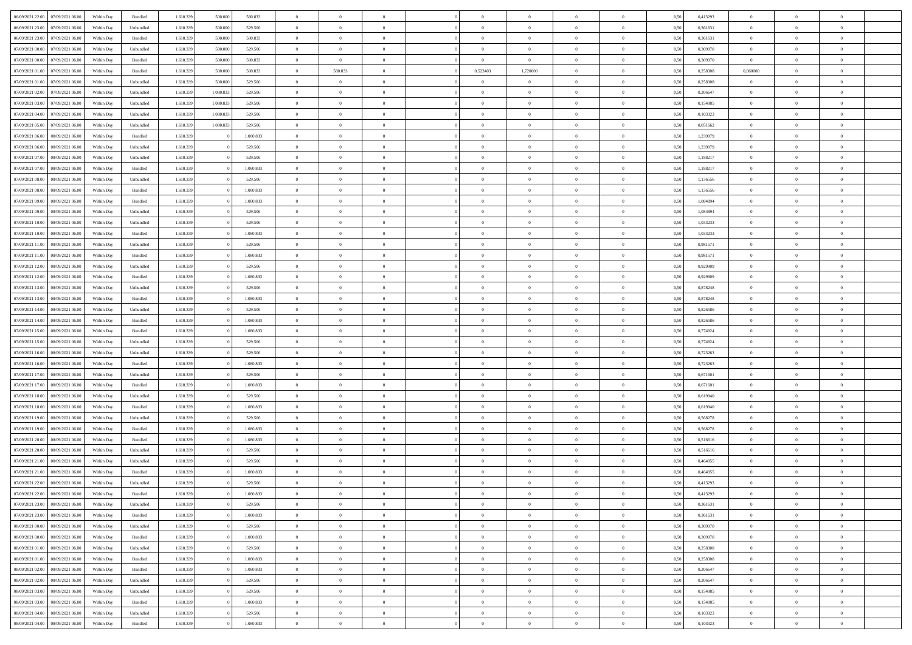| 06/09/2021 22:00                  | 07/09/2021 06:00 | Within Day | Bundled            | 1.610.339 | 500.000   | 580.833   | $\overline{0}$ | $\Omega$       |                | $\Omega$       | $\Omega$       | $\theta$       | $\theta$       | 0.50 | 0,413293 | $\theta$       | $\theta$       | $\theta$       |  |
|-----------------------------------|------------------|------------|--------------------|-----------|-----------|-----------|----------------|----------------|----------------|----------------|----------------|----------------|----------------|------|----------|----------------|----------------|----------------|--|
|                                   |                  |            |                    |           |           |           |                |                |                |                |                |                |                |      |          |                |                |                |  |
| 06/09/2021 23:00                  | 07/09/2021 06:00 | Within Day | Unbundled          | 1.610.339 | 500.000   | 529.506   | $\overline{0}$ | $\theta$       | $\overline{0}$ | $\overline{0}$ | $\bf{0}$       | $\overline{0}$ | $\bf{0}$       | 0,50 | 0,361631 | $\theta$       | $\theta$       | $\overline{0}$ |  |
| 06/09/2021 23.00                  | 07/09/2021 06:00 | Within Day | Bundled            | 1.610.339 | 500.000   | 580.833   | $\overline{0}$ | $\bf{0}$       | $\overline{0}$ | $\bf{0}$       | $\bf{0}$       | $\bf{0}$       | $\mathbf{0}$   | 0,50 | 0,361631 | $\overline{0}$ | $\overline{0}$ | $\overline{0}$ |  |
| 07/09/2021 00:00                  | 07/09/2021 06:00 | Within Dav | Unbundled          | 1.610.339 | 500,000   | 529,506   | $\overline{0}$ | $\overline{0}$ | $\overline{0}$ | $\overline{0}$ | $\bf{0}$       | $\overline{0}$ | $\overline{0}$ | 0.50 | 0,309970 | $\theta$       | $\theta$       | $\overline{0}$ |  |
| 07/09/2021 00:00                  | 07/09/2021 06.00 | Within Day | Bundled            | 1.610.339 | 500.000   | 580.833   | $\overline{0}$ | $\overline{0}$ | $\overline{0}$ | $\overline{0}$ | $\bf{0}$       | $\overline{0}$ | $\bf{0}$       | 0,50 | 0,309970 | $\theta$       | $\overline{0}$ | $\overline{0}$ |  |
| 07/09/2021 01:00                  | 07/09/2021 06:00 | Within Day | Bundled            | 1.610.339 | 500.000   | 580.833   | $\overline{0}$ | 580.833        | $\overline{0}$ | 0,522403       | 1,720000       | $\overline{0}$ | $\mathbf{0}$   | 0,50 | 0,258308 | 0,860000       | $\overline{0}$ | $\bf{0}$       |  |
| 07/09/2021 01:00                  | 07/09/2021 06:00 | Within Dav | Unbundled          | 1.610.339 | 500,000   | 529,506   | $\overline{0}$ | $\overline{0}$ | $\overline{0}$ | $\overline{0}$ | $\overline{0}$ | $\overline{0}$ | $\overline{0}$ | 0.50 | 0,258308 | $\theta$       | $\overline{0}$ | $\overline{0}$ |  |
| 07/09/2021 02:00                  | 07/09/2021 06:00 | Within Day | Unbundled          | 1.610.339 | 1.080.833 | 529.506   | $\overline{0}$ | $\theta$       | $\overline{0}$ | $\overline{0}$ | $\bf{0}$       | $\overline{0}$ | $\bf{0}$       | 0,50 | 0,206647 | $\theta$       | $\theta$       | $\overline{0}$ |  |
| 07/09/2021 03:00                  | 07/09/2021 06:00 | Within Day | Unbundled          | 1.610.339 | 1.080.833 | 529.506   | $\overline{0}$ | $\overline{0}$ | $\overline{0}$ | $\bf{0}$       | $\bf{0}$       | $\bf{0}$       | $\bf{0}$       | 0,50 | 0,154985 | $\,0\,$        | $\overline{0}$ | $\overline{0}$ |  |
| 07/09/2021 04:00                  | 07/09/2021 06:00 | Within Dav | Unbundled          | 1.610.339 | 1.080.833 | 529,506   | $\overline{0}$ | $\overline{0}$ | $\overline{0}$ | $\overline{0}$ | $\overline{0}$ | $\overline{0}$ | $\overline{0}$ | 0.50 | 0,103323 | $\theta$       | $\overline{0}$ | $\overline{0}$ |  |
|                                   |                  |            |                    |           |           |           |                |                |                |                |                |                |                |      |          |                |                |                |  |
| 07/09/2021 05:00                  | 07/09/2021 06:00 | Within Day | Unbundled          | 1.610.339 | 1.080.833 | 529.506   | $\overline{0}$ | $\theta$       | $\overline{0}$ | $\overline{0}$ | $\bf{0}$       | $\overline{0}$ | $\bf{0}$       | 0,50 | 0,051662 | $\,$ 0 $\,$    | $\overline{0}$ | $\overline{0}$ |  |
| 07/09/2021 06:00                  | 08/09/2021 06:00 | Within Day | Bundled            | 1.610.339 |           | 1.080.833 | $\overline{0}$ | $\overline{0}$ | $\overline{0}$ | $\bf{0}$       | $\bf{0}$       | $\bf{0}$       | $\mathbf{0}$   | 0,50 | 1,239879 | $\overline{0}$ | $\overline{0}$ | $\overline{0}$ |  |
| 07/09/2021 06:00                  | 08/09/2021 06:00 | Within Day | Unbundled          | 1.610.339 |           | 529,506   | $\overline{0}$ | $\overline{0}$ | $\overline{0}$ | $\overline{0}$ | $\bf{0}$       | $\overline{0}$ | $\overline{0}$ | 0.50 | 1,239879 | $\theta$       | $\theta$       | $\overline{0}$ |  |
| 07/09/2021 07:00                  | 08/09/2021 06:00 | Within Day | Unbundled          | 1.610.339 |           | 529.506   | $\overline{0}$ | $\theta$       | $\overline{0}$ | $\overline{0}$ | $\bf{0}$       | $\overline{0}$ | $\bf{0}$       | 0,50 | 1,188217 | $\theta$       | $\overline{0}$ | $\overline{0}$ |  |
| 07/09/2021 07:00                  | 08/09/2021 06:00 | Within Day | Bundled            | 1.610.339 |           | 1.080.833 | $\overline{0}$ | $\overline{0}$ | $\overline{0}$ | $\bf{0}$       | $\overline{0}$ | $\overline{0}$ | $\mathbf{0}$   | 0,50 | 1,188217 | $\overline{0}$ | $\overline{0}$ | $\bf{0}$       |  |
| 07/09/2021 08:00                  | 08/09/2021 06:00 | Within Dav | Unbundled          | 1.610.339 |           | 529.506   | $\overline{0}$ | $\overline{0}$ | $\overline{0}$ | $\overline{0}$ | $\overline{0}$ | $\overline{0}$ | $\overline{0}$ | 0.50 | 1,136556 | $\theta$       | $\overline{0}$ | $\overline{0}$ |  |
| 07/09/2021 08:00                  | 08/09/2021 06:00 | Within Day | Bundled            | 1.610.339 |           | 1.080.833 | $\overline{0}$ | $\theta$       | $\overline{0}$ | $\overline{0}$ | $\bf{0}$       | $\overline{0}$ | $\bf{0}$       | 0,50 | 1,136556 | $\theta$       | $\theta$       | $\overline{0}$ |  |
| 07/09/2021 09:00                  | 08/09/2021 06:00 | Within Day | Bundled            | 1.610.339 |           | 1.080.833 | $\overline{0}$ | $\overline{0}$ | $\overline{0}$ | $\bf{0}$       | $\bf{0}$       | $\bf{0}$       | $\mathbf{0}$   | 0,50 | 1,084894 | $\,0\,$        | $\overline{0}$ | $\overline{0}$ |  |
| 07/09/2021 09:00                  | 08/09/2021 06:00 | Within Day | Unbundled          | 1.610.339 |           | 529.506   | $\overline{0}$ | $\overline{0}$ | $\overline{0}$ | $\overline{0}$ | $\overline{0}$ | $\overline{0}$ | $\overline{0}$ | 0.50 | 1,084894 | $\theta$       | $\overline{0}$ | $\overline{0}$ |  |
|                                   |                  |            |                    |           |           |           | $\overline{0}$ | $\theta$       | $\overline{0}$ |                | $\bf{0}$       | $\overline{0}$ |                |      |          |                | $\theta$       | $\overline{0}$ |  |
| 07/09/2021 10:00                  | 08/09/2021 06:00 | Within Day | Unbundled          | 1.610.339 |           | 529.506   |                |                |                | $\overline{0}$ |                |                | $\bf{0}$       | 0,50 | 1,033233 | $\,$ 0 $\,$    |                |                |  |
| 07/09/2021 10:00                  | 08/09/2021 06:00 | Within Day | Bundled            | 1.610.339 |           | 1.080.833 | $\overline{0}$ | $\overline{0}$ | $\overline{0}$ | $\bf{0}$       | $\bf{0}$       | $\bf{0}$       | $\mathbf{0}$   | 0,50 | 1,033233 | $\bf{0}$       | $\overline{0}$ | $\overline{0}$ |  |
| 07/09/2021 11:00                  | 08/09/2021 06:00 | Within Day | Unbundled          | 1.610.339 |           | 529.506   | $\overline{0}$ | $\overline{0}$ | $\overline{0}$ | $\overline{0}$ | $\bf{0}$       | $\overline{0}$ | $\overline{0}$ | 0.50 | 0.981571 | $\theta$       | $\overline{0}$ | $\overline{0}$ |  |
| 07/09/2021 11:00                  | 08/09/2021 06:00 | Within Day | Bundled            | 1.610.339 |           | 1.080.833 | $\overline{0}$ | $\theta$       | $\overline{0}$ | $\overline{0}$ | $\bf{0}$       | $\overline{0}$ | $\bf{0}$       | 0,50 | 0,981571 | $\,$ 0 $\,$    | $\overline{0}$ | $\overline{0}$ |  |
| 07/09/2021 12:00                  | 08/09/2021 06:00 | Within Day | Unbundled          | 1.610.339 |           | 529.506   | $\overline{0}$ | $\bf{0}$       | $\overline{0}$ | $\bf{0}$       | $\overline{0}$ | $\overline{0}$ | $\mathbf{0}$   | 0,50 | 0,929909 | $\overline{0}$ | $\overline{0}$ | $\bf{0}$       |  |
| 07/09/2021 12:00                  | 08/09/2021 06:00 | Within Dav | Bundled            | 1.610.339 |           | 1.080.833 | $\overline{0}$ | $\overline{0}$ | $\overline{0}$ | $\overline{0}$ | $\overline{0}$ | $\overline{0}$ | $\overline{0}$ | 0.50 | 0.929909 | $\theta$       | $\overline{0}$ | $\overline{0}$ |  |
| 07/09/2021 13:00                  | 08/09/2021 06:00 | Within Day | Unbundled          | 1.610.339 |           | 529.506   | $\overline{0}$ | $\theta$       | $\overline{0}$ | $\overline{0}$ | $\bf{0}$       | $\overline{0}$ | $\bf{0}$       | 0,50 | 0,878248 | $\theta$       | $\theta$       | $\overline{0}$ |  |
| 07/09/2021 13:00                  | 08/09/2021 06:00 | Within Day | Bundled            | 1.610.339 |           | 1.080.833 | $\overline{0}$ | $\overline{0}$ | $\overline{0}$ | $\bf{0}$       | $\bf{0}$       | $\bf{0}$       | $\bf{0}$       | 0,50 | 0,878248 | $\,0\,$        | $\overline{0}$ | $\overline{0}$ |  |
| 07/09/2021 14:00                  | 08/09/2021 06:00 | Within Day | Unbundled          | 1.610.339 |           | 529.506   | $\overline{0}$ | $\overline{0}$ | $\overline{0}$ | $\overline{0}$ | $\overline{0}$ | $\overline{0}$ | $\overline{0}$ | 0.50 | 0,826586 | $\theta$       | $\overline{0}$ | $\overline{0}$ |  |
| 07/09/2021 14:00                  | 08/09/2021 06:00 | Within Day | Bundled            | 1.610.339 |           | 1.080.833 | $\overline{0}$ | $\theta$       | $\overline{0}$ | $\overline{0}$ | $\bf{0}$       | $\overline{0}$ | $\bf{0}$       | 0,50 | 0,826586 | $\,$ 0 $\,$    | $\overline{0}$ | $\overline{0}$ |  |
| 07/09/2021 15:00                  | 08/09/2021 06:00 | Within Day | Bundled            | 1.610.339 |           | 1.080.833 | $\overline{0}$ | $\overline{0}$ | $\overline{0}$ | $\bf{0}$       | $\bf{0}$       | $\bf{0}$       | $\bf{0}$       | 0,50 | 0,774924 | $\bf{0}$       | $\overline{0}$ | $\overline{0}$ |  |
|                                   |                  |            |                    |           |           |           |                |                |                |                |                |                |                |      |          |                |                |                |  |
| 07/09/2021 15:00                  | 08/09/2021 06:00 | Within Day | Unbundled          | 1.610.339 |           | 529.506   | $\overline{0}$ | $\Omega$       | $\overline{0}$ | $\Omega$       | $\Omega$       | $\overline{0}$ | $\overline{0}$ | 0,50 | 0,774924 | $\,0\,$        | $\theta$       | $\theta$       |  |
| 07/09/2021 16:00                  | 08/09/2021 06:00 | Within Day | Unbundled          | 1.610.339 |           | 529.506   | $\overline{0}$ | $\theta$       | $\overline{0}$ | $\overline{0}$ | $\bf{0}$       | $\overline{0}$ | $\bf{0}$       | 0,50 | 0,723263 | $\theta$       | $\overline{0}$ | $\overline{0}$ |  |
| 07/09/2021 16:00                  | 08/09/2021 06:00 | Within Day | Bundled            | 1.610.339 |           | 1.080.833 | $\overline{0}$ | $\overline{0}$ | $\overline{0}$ | $\overline{0}$ | $\bf{0}$       | $\overline{0}$ | $\mathbf{0}$   | 0,50 | 0,723263 | $\bf{0}$       | $\overline{0}$ | $\bf{0}$       |  |
| 07/09/2021 17:00                  | 08/09/2021 06:00 | Within Day | Unbundled          | 1.610.339 |           | 529.506   | $\overline{0}$ | $\Omega$       | $\Omega$       | $\Omega$       | $\bf{0}$       | $\overline{0}$ | $\overline{0}$ | 0.50 | 0,671601 | $\,0\,$        | $\theta$       | $\theta$       |  |
| 07/09/2021 17:00                  | 08/09/2021 06:00 | Within Day | Bundled            | 1.610.339 |           | 1.080.833 | $\overline{0}$ | $\theta$       | $\overline{0}$ | $\overline{0}$ | $\bf{0}$       | $\overline{0}$ | $\bf{0}$       | 0,50 | 0,671601 | $\,$ 0 $\,$    | $\theta$       | $\overline{0}$ |  |
| 07/09/2021 18:00                  | 08/09/2021 06:00 | Within Day | Unbundled          | 1.610.339 |           | 529.506   | $\overline{0}$ | $\overline{0}$ | $\overline{0}$ | $\overline{0}$ | $\bf{0}$       | $\overline{0}$ | $\bf{0}$       | 0,50 | 0,619940 | $\,0\,$        | $\overline{0}$ | $\overline{0}$ |  |
| 07/09/2021 18:00                  | 08/09/2021 06:00 | Within Day | Bundled            | 1.610.339 |           | 1.080.833 | $\overline{0}$ | $\Omega$       | $\overline{0}$ | $\Omega$       | $\overline{0}$ | $\overline{0}$ | $\overline{0}$ | 0.50 | 0.619940 | $\theta$       | $\theta$       | $\theta$       |  |
| 07/09/2021 19:00                  | 08/09/2021 06:00 | Within Day | Unbundled          | 1.610.339 |           | 529.506   | $\overline{0}$ | $\theta$       | $\overline{0}$ | $\overline{0}$ | $\bf{0}$       | $\overline{0}$ | $\bf{0}$       | 0,50 | 0,568278 | $\,$ 0 $\,$    | $\overline{0}$ | $\overline{0}$ |  |
| 07/09/2021 19:00                  | 08/09/2021 06:00 | Within Day | Bundled            | 1.610.339 |           | 1.080.833 | $\overline{0}$ | $\overline{0}$ | $\overline{0}$ | $\bf{0}$       | $\bf{0}$       | $\bf{0}$       | $\bf{0}$       | 0,50 | 0,568278 | $\bf{0}$       | $\overline{0}$ | $\overline{0}$ |  |
| 07/09/2021 20:00                  | 08/09/2021 06:00 | Within Day | Bundled            | 1.610.339 |           | 1.080.833 | $\overline{0}$ | $\Omega$       | $\overline{0}$ | $\Omega$       | $\overline{0}$ | $\overline{0}$ | $\overline{0}$ | 0.50 | 0,516616 | $\,0\,$        | $\theta$       | $\theta$       |  |
| 07/09/2021 20:00                  | 08/09/2021 06:00 | Within Day | Unbundled          | 1.610.339 |           | 529.506   | $\overline{0}$ | $\theta$       | $\overline{0}$ | $\overline{0}$ | $\,$ 0         | $\overline{0}$ | $\bf{0}$       | 0,50 | 0,516616 | $\,$ 0 $\,$    | $\overline{0}$ | $\overline{0}$ |  |
|                                   |                  |            |                    |           |           |           |                |                |                |                |                |                |                |      |          |                |                |                |  |
| 07/09/2021 21.00                  | 08/09/2021 06:00 | Within Day | Unbundled          | 1.610.339 |           | 529.506   | $\overline{0}$ | $\overline{0}$ | $\overline{0}$ | $\bf{0}$       | $\bf{0}$       | $\bf{0}$       | $\mathbf{0}$   | 0,50 | 0,464955 | $\bf{0}$       | $\overline{0}$ | $\bf{0}$       |  |
| 07/09/2021 21:00                  | 08/09/2021 06:00 | Within Day | Bundled            | 1.610.339 |           | 1.080.833 | $\overline{0}$ | $\Omega$       | $\Omega$       | $\Omega$       | $\Omega$       | $\Omega$       | $\overline{0}$ | 0.50 | 0.464955 | $\theta$       | $\theta$       | $\theta$       |  |
| 07/09/2021 22:00                  | 08/09/2021 06:00 | Within Day | Unbundled          | 1.610.339 |           | 529.506   | $\overline{0}$ | $\overline{0}$ | $\overline{0}$ | $\bf{0}$       | $\,$ 0         | $\bf{0}$       | $\bf{0}$       | 0,50 | 0,413293 | $\,0\,$        | $\,$ 0 $\,$    | $\overline{0}$ |  |
| 07/09/2021 22:00 08/09/2021 06:00 |                  | Within Day | $\mathbf B$ undled | 1.610.339 |           | 1.080.833 | $\bf{0}$       | $\bf{0}$       |                |                |                |                |                | 0,50 | 0,413293 | $\bf{0}$       | $\overline{0}$ |                |  |
| 07/09/2021 23:00                  | 08/09/2021 06:00 | Within Day | Unbundled          | 1.610.339 |           | 529.506   | $\overline{0}$ | $\overline{0}$ | $\overline{0}$ | $\Omega$       | $\overline{0}$ | $\overline{0}$ | $\overline{0}$ | 0.50 | 0.361631 | $\theta$       | $\theta$       | $\theta$       |  |
| 07/09/2021 23:00                  | 08/09/2021 06:00 | Within Day | Bundled            | 1.610.339 |           | 1.080.833 | $\overline{0}$ | $\,$ 0         | $\overline{0}$ | $\bf{0}$       | $\,$ 0 $\,$    | $\overline{0}$ | $\mathbf{0}$   | 0,50 | 0,361631 | $\,$ 0 $\,$    | $\,$ 0 $\,$    | $\,$ 0         |  |
| 08/09/2021 00:00                  | 08/09/2021 06:00 | Within Day | Unbundled          | 1.610.339 |           | 529.506   | $\overline{0}$ | $\overline{0}$ | $\overline{0}$ | $\overline{0}$ | $\overline{0}$ | $\overline{0}$ | $\mathbf{0}$   | 0,50 | 0,309970 | $\overline{0}$ | $\bf{0}$       | $\overline{0}$ |  |
| 08/09/2021 00:00                  | 08/09/2021 06:00 | Within Day | Bundled            | 1.610.339 |           | 1.080.833 | $\overline{0}$ | $\overline{0}$ | $\overline{0}$ | $\Omega$       | $\overline{0}$ | $\overline{0}$ | $\overline{0}$ | 0,50 | 0,309970 | $\overline{0}$ | $\theta$       | $\overline{0}$ |  |
| 08/09/2021 01:00                  | 08/09/2021 06:00 | Within Day | Unbundled          | 1.610.339 |           | 529.506   | $\overline{0}$ | $\,$ 0         | $\overline{0}$ | $\overline{0}$ | $\,$ 0 $\,$    | $\overline{0}$ | $\mathbf{0}$   | 0,50 | 0,258308 | $\,$ 0 $\,$    | $\overline{0}$ | $\overline{0}$ |  |
| 08/09/2021 01:00                  | 08/09/2021 06:00 | Within Day | Bundled            | 1.610.339 |           | 1.080.833 | $\overline{0}$ | $\overline{0}$ | $\overline{0}$ | $\overline{0}$ | $\overline{0}$ | $\overline{0}$ | $\mathbf{0}$   | 0,50 | 0,258308 | $\overline{0}$ | $\overline{0}$ | $\bf{0}$       |  |
| 08/09/2021 02:00                  | 08/09/2021 06:00 | Within Day | Bundled            | 1.610.339 |           | 1.080.833 | $\overline{0}$ | $\overline{0}$ | $\overline{0}$ | $\Omega$       | $\overline{0}$ | $\overline{0}$ | $\bf{0}$       | 0.50 | 0,206647 | $\overline{0}$ | $\theta$       | $\overline{0}$ |  |
| 08/09/2021 02:00                  | 08/09/2021 06:00 | Within Day | Unbundled          | 1.610.339 |           | 529.506   | $\overline{0}$ | $\,$ 0         | $\overline{0}$ | $\bf{0}$       | $\bf{0}$       | $\bf{0}$       | $\bf{0}$       | 0,50 | 0,206647 | $\,$ 0 $\,$    | $\overline{0}$ | $\overline{0}$ |  |
|                                   |                  |            |                    |           |           |           |                |                |                |                |                |                |                |      |          |                |                |                |  |
| 08/09/2021 03:00                  | 08/09/2021 06:00 | Within Day | Unbundled          | 1.610.339 |           | 529.506   | $\overline{0}$ | $\bf{0}$       | $\overline{0}$ | $\overline{0}$ | $\overline{0}$ | $\overline{0}$ | $\mathbf{0}$   | 0,50 | 0,154985 | $\overline{0}$ | $\overline{0}$ | $\bf{0}$       |  |
| 08/09/2021 03:00                  | 08/09/2021 06:00 | Within Day | Bundled            | 1.610.339 |           | 1.080.833 | $\overline{0}$ | $\overline{0}$ | $\overline{0}$ | $\Omega$       | $\overline{0}$ | $\overline{0}$ | $\overline{0}$ | 0.50 | 0,154985 | $\overline{0}$ | $\overline{0}$ | $\overline{0}$ |  |
| 08/09/2021 04:00                  | 08/09/2021 06:00 | Within Day | Unbundled          | 1.610.339 |           | 529.506   | $\overline{0}$ | $\bf{0}$       | $\overline{0}$ | $\bf{0}$       | $\bf{0}$       | $\bf{0}$       | $\mathbf{0}$   | 0,50 | 0,103323 | $\,$ 0 $\,$    | $\,$ 0 $\,$    | $\bf{0}$       |  |
| 08/09/2021 04:00                  | 08/09/2021 06:00 | Within Day | Bundled            | 1.610.339 |           | 1.080.833 | $\overline{0}$ | $\overline{0}$ | $\overline{0}$ | $\overline{0}$ | $\overline{0}$ | $\bf{0}$       | $\mathbf{0}$   | 0,50 | 0,103323 | $\overline{0}$ | $\bf{0}$       | $\overline{0}$ |  |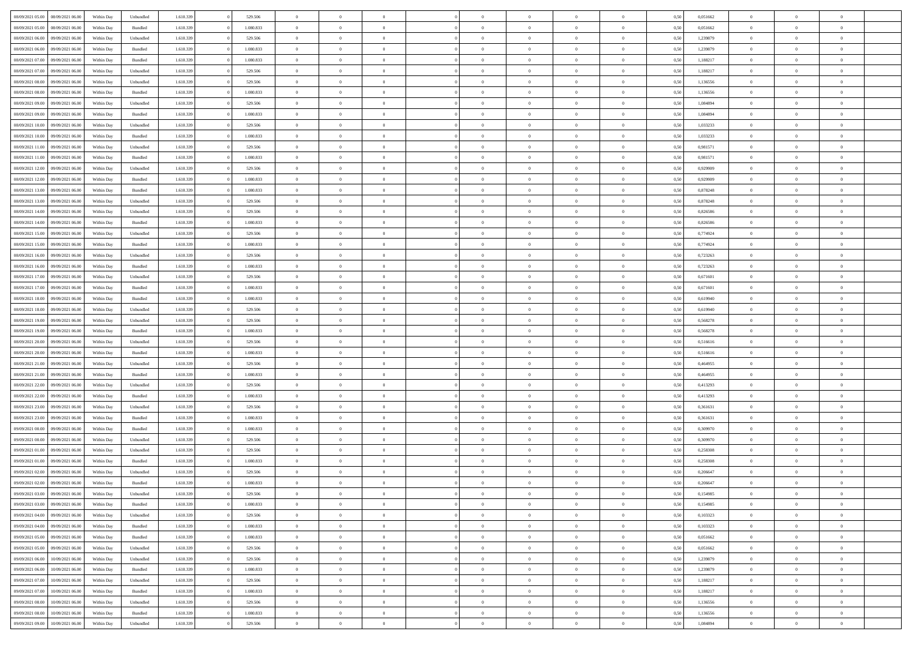| 08/09/2021 05:00                  | 08/09/2021 06:00 | Within Dav | Unbundled          | 1.610.339 | 529.506   | $\overline{0}$ | $\theta$       |                | $\Omega$       | $\Omega$       | $\theta$       | $\theta$       | 0,50 | 0,051662 | $\theta$       | $\theta$       | $\theta$       |  |
|-----------------------------------|------------------|------------|--------------------|-----------|-----------|----------------|----------------|----------------|----------------|----------------|----------------|----------------|------|----------|----------------|----------------|----------------|--|
|                                   |                  |            |                    |           |           |                |                |                |                |                |                |                |      |          |                |                |                |  |
| 08/09/2021 05:00                  | 08/09/2021 06:00 | Within Day | Bundled            | 1.610.339 | 1.080.833 | $\overline{0}$ | $\theta$       | $\overline{0}$ | $\overline{0}$ | $\bf{0}$       | $\overline{0}$ | $\bf{0}$       | 0,50 | 0,051662 | $\theta$       | $\theta$       | $\overline{0}$ |  |
| 08/09/2021 06:00                  | 09/09/2021 06:00 | Within Day | Unbundled          | 1.610.339 | 529.506   | $\overline{0}$ | $\overline{0}$ | $\overline{0}$ | $\bf{0}$       | $\bf{0}$       | $\bf{0}$       | $\bf{0}$       | 0,50 | 1,239879 | $\bf{0}$       | $\overline{0}$ | $\overline{0}$ |  |
| 08/09/2021 06:00                  | 09/09/2021 06:00 | Within Dav | Bundled            | 1.610.339 | 1.080.833 | $\overline{0}$ | $\overline{0}$ | $\overline{0}$ | $\overline{0}$ | $\bf{0}$       | $\overline{0}$ | $\overline{0}$ | 0.50 | 1,239879 | $\theta$       | $\theta$       | $\overline{0}$ |  |
|                                   |                  |            |                    |           |           |                |                |                |                |                |                |                |      |          |                |                |                |  |
| 08/09/2021 07:00                  | 09/09/2021 06:00 | Within Day | Bundled            | 1.610.339 | 1.080.833 | $\overline{0}$ | $\theta$       | $\overline{0}$ | $\overline{0}$ | $\bf{0}$       | $\overline{0}$ | $\bf{0}$       | 0,50 | 1,188217 | $\theta$       | $\overline{0}$ | $\overline{0}$ |  |
| 08/09/2021 07:00                  | 09/09/2021 06:00 | Within Day | Unbundled          | 1.610.339 | 529.506   | $\overline{0}$ | $\bf{0}$       | $\overline{0}$ | $\bf{0}$       | $\overline{0}$ | $\overline{0}$ | $\mathbf{0}$   | 0,50 | 1,188217 | $\bf{0}$       | $\overline{0}$ | $\bf{0}$       |  |
| 08/09/2021 08:00                  | 09/09/2021 06:00 | Within Dav | Unbundled          | 1.610.339 | 529.506   | $\overline{0}$ | $\overline{0}$ | $\overline{0}$ | $\overline{0}$ | $\overline{0}$ | $\overline{0}$ | $\overline{0}$ | 0.50 | 1,136556 | $\theta$       | $\overline{0}$ | $\overline{0}$ |  |
| 08/09/2021 08:00                  | 09/09/2021 06:00 | Within Day | Bundled            | 1.610.339 | 1.080.833 | $\overline{0}$ | $\theta$       | $\overline{0}$ | $\overline{0}$ | $\bf{0}$       | $\overline{0}$ | $\bf{0}$       | 0,50 | 1,136556 | $\theta$       | $\theta$       | $\overline{0}$ |  |
|                                   |                  |            |                    |           |           |                |                |                |                |                |                |                |      |          |                |                |                |  |
| 08/09/2021 09:00                  | 09/09/2021 06:00 | Within Day | Unbundled          | 1.610.339 | 529.506   | $\overline{0}$ | $\overline{0}$ | $\overline{0}$ | $\bf{0}$       | $\bf{0}$       | $\bf{0}$       | $\bf{0}$       | 0,50 | 1,084894 | $\,0\,$        | $\overline{0}$ | $\overline{0}$ |  |
| 08/09/2021 09:00                  | 09/09/2021 06:00 | Within Dav | Bundled            | 1.610.339 | 1.080.833 | $\overline{0}$ | $\overline{0}$ | $\overline{0}$ | $\overline{0}$ | $\overline{0}$ | $\overline{0}$ | $\overline{0}$ | 0.50 | 1,084894 | $\theta$       | $\overline{0}$ | $\overline{0}$ |  |
| 08/09/2021 10:00                  | 09/09/2021 06:00 | Within Day | Unbundled          | 1.610.339 | 529.506   | $\overline{0}$ | $\theta$       | $\overline{0}$ | $\overline{0}$ | $\bf{0}$       | $\overline{0}$ | $\bf{0}$       | 0,50 | 1,033233 | $\,$ 0 $\,$    | $\overline{0}$ | $\overline{0}$ |  |
| 08/09/2021 10:00                  | 09/09/2021 06:00 | Within Day | Bundled            | 1.610.339 | 1.080.833 | $\overline{0}$ | $\overline{0}$ | $\overline{0}$ | $\bf{0}$       | $\bf{0}$       | $\bf{0}$       | $\mathbf{0}$   | 0,50 | 1,033233 | $\overline{0}$ | $\overline{0}$ | $\overline{0}$ |  |
| 08/09/2021 11:00                  | 09/09/2021 06:00 | Within Day | Unbundled          | 1.610.339 | 529.506   | $\overline{0}$ | $\overline{0}$ | $\overline{0}$ | $\overline{0}$ | $\bf{0}$       | $\overline{0}$ | $\overline{0}$ | 0.50 | 0.981571 | $\theta$       | $\theta$       | $\overline{0}$ |  |
|                                   |                  |            |                    |           |           |                |                |                |                |                |                |                |      |          |                |                |                |  |
| 08/09/2021 11:00                  | 09/09/2021 06:00 | Within Day | Bundled            | 1.610.339 | 1.080.833 | $\overline{0}$ | $\theta$       | $\overline{0}$ | $\overline{0}$ | $\bf{0}$       | $\overline{0}$ | $\bf{0}$       | 0,50 | 0,981571 | $\theta$       | $\overline{0}$ | $\overline{0}$ |  |
| 08/09/2021 12:00                  | 09/09/2021 06:00 | Within Day | Unbundled          | 1.610.339 | 529.506   | $\overline{0}$ | $\overline{0}$ | $\overline{0}$ | $\bf{0}$       | $\overline{0}$ | $\overline{0}$ | $\mathbf{0}$   | 0,50 | 0,929909 | $\overline{0}$ | $\overline{0}$ | $\bf{0}$       |  |
| 08/09/2021 12:00                  | 09/09/2021 06:00 | Within Dav | Bundled            | 1.610.339 | 1.080.833 | $\overline{0}$ | $\overline{0}$ | $\overline{0}$ | $\overline{0}$ | $\overline{0}$ | $\overline{0}$ | $\overline{0}$ | 0.50 | 0.929909 | $\theta$       | $\overline{0}$ | $\overline{0}$ |  |
| 08/09/2021 13:00                  | 09/09/2021 06:00 | Within Day | Bundled            | 1.610.339 | 1.080.833 | $\overline{0}$ | $\theta$       | $\overline{0}$ | $\overline{0}$ | $\bf{0}$       | $\overline{0}$ | $\bf{0}$       | 0,50 | 0,878248 | $\theta$       | $\theta$       | $\overline{0}$ |  |
|                                   |                  |            |                    |           |           |                |                |                |                |                |                |                |      |          |                |                |                |  |
| 08/09/2021 13:00                  | 09/09/2021 06:00 | Within Day | Unbundled          | 1.610.339 | 529.506   | $\overline{0}$ | $\overline{0}$ | $\overline{0}$ | $\bf{0}$       | $\bf{0}$       | $\bf{0}$       | $\bf{0}$       | 0,50 | 0,878248 | $\,0\,$        | $\overline{0}$ | $\overline{0}$ |  |
| 08/09/2021 14:00                  | 09/09/2021 06:00 | Within Day | Unbundled          | 1.610.339 | 529.506   | $\overline{0}$ | $\overline{0}$ | $\overline{0}$ | $\overline{0}$ | $\overline{0}$ | $\overline{0}$ | $\overline{0}$ | 0.50 | 0,826586 | $\theta$       | $\overline{0}$ | $\overline{0}$ |  |
| 08/09/2021 14:00                  | 09/09/2021 06:00 | Within Day | Bundled            | 1.610.339 | 1.080.833 | $\overline{0}$ | $\theta$       | $\overline{0}$ | $\overline{0}$ | $\bf{0}$       | $\overline{0}$ | $\bf{0}$       | 0,50 | 0,826586 | $\,$ 0 $\,$    | $\theta$       | $\overline{0}$ |  |
| 08/09/2021 15:00                  | 09/09/2021 06:00 | Within Day | Unbundled          | 1.610.339 | 529.506   | $\overline{0}$ | $\overline{0}$ | $\overline{0}$ | $\bf{0}$       | $\bf{0}$       | $\bf{0}$       | $\bf{0}$       | 0,50 | 0,774924 | $\bf{0}$       | $\overline{0}$ | $\overline{0}$ |  |
| 08/09/2021 15:00                  | 09/09/2021 06:00 | Within Day | Bundled            | 1.610.339 | 1.080.833 | $\overline{0}$ | $\overline{0}$ | $\overline{0}$ | $\overline{0}$ | $\bf{0}$       | $\overline{0}$ | $\overline{0}$ | 0.50 | 0,774924 | $\theta$       | $\overline{0}$ | $\overline{0}$ |  |
|                                   |                  |            |                    |           |           |                |                |                |                |                |                |                |      |          |                |                |                |  |
| 08/09/2021 16:00                  | 09/09/2021 06:00 | Within Day | Unbundled          | 1.610.339 | 529.506   | $\overline{0}$ | $\theta$       | $\overline{0}$ | $\overline{0}$ | $\bf{0}$       | $\overline{0}$ | $\bf{0}$       | 0,50 | 0,723263 | $\,$ 0 $\,$    | $\overline{0}$ | $\overline{0}$ |  |
| 08/09/2021 16:00                  | 09/09/2021 06:00 | Within Day | Bundled            | 1.610.339 | 1.080.833 | $\overline{0}$ | $\bf{0}$       | $\overline{0}$ | $\bf{0}$       | $\overline{0}$ | $\overline{0}$ | $\mathbf{0}$   | 0,50 | 0,723263 | $\overline{0}$ | $\overline{0}$ | $\bf{0}$       |  |
| 08/09/2021 17:00                  | 09/09/2021 06:00 | Within Dav | Unbundled          | 1.610.339 | 529.506   | $\overline{0}$ | $\overline{0}$ | $\overline{0}$ | $\overline{0}$ | $\overline{0}$ | $\overline{0}$ | $\overline{0}$ | 0.50 | 0,671601 | $\theta$       | $\overline{0}$ | $\overline{0}$ |  |
| 08/09/2021 17:00                  | 09/09/2021 06:00 | Within Day | Bundled            | 1.610.339 | 1.080.833 | $\overline{0}$ | $\theta$       | $\overline{0}$ | $\overline{0}$ | $\bf{0}$       | $\overline{0}$ | $\bf{0}$       | 0,50 | 0,671601 | $\theta$       | $\theta$       | $\overline{0}$ |  |
| 08/09/2021 18:00                  | 09/09/2021 06:00 | Within Day | Bundled            | 1.610.339 | 1.080.833 | $\overline{0}$ | $\overline{0}$ | $\overline{0}$ | $\bf{0}$       | $\bf{0}$       | $\bf{0}$       | $\bf{0}$       | 0,50 | 0,619940 | $\,0\,$        | $\overline{0}$ | $\overline{0}$ |  |
|                                   |                  |            |                    |           |           |                |                |                |                |                |                |                |      |          |                |                |                |  |
| 08/09/2021 18:00                  | 09/09/2021 06:00 | Within Day | Unbundled          | 1.610.339 | 529.506   | $\overline{0}$ | $\overline{0}$ | $\overline{0}$ | $\overline{0}$ | $\overline{0}$ | $\overline{0}$ | $\overline{0}$ | 0.50 | 0.619940 | $\theta$       | $\overline{0}$ | $\overline{0}$ |  |
| 08/09/2021 19:00                  | 09/09/2021 06:00 | Within Day | Unbundled          | 1.610.339 | 529.506   | $\overline{0}$ | $\theta$       | $\overline{0}$ | $\overline{0}$ | $\bf{0}$       | $\overline{0}$ | $\bf{0}$       | 0,50 | 0,568278 | $\,$ 0 $\,$    | $\overline{0}$ | $\overline{0}$ |  |
| 08/09/2021 19:00                  | 09/09/2021 06:00 | Within Day | Bundled            | 1.610.339 | 1.080.833 | $\overline{0}$ | $\overline{0}$ | $\overline{0}$ | $\bf{0}$       | $\bf{0}$       | $\bf{0}$       | $\bf{0}$       | 0,50 | 0,568278 | $\overline{0}$ | $\overline{0}$ | $\overline{0}$ |  |
| 08/09/2021 20:00                  | 09/09/2021 06:00 | Within Day | Unbundled          | 1.610.339 | 529.506   | $\overline{0}$ | $\Omega$       | $\Omega$       | $\Omega$       | $\Omega$       | $\Omega$       | $\overline{0}$ | 0,50 | 0,516616 | $\,0\,$        | $\theta$       | $\theta$       |  |
|                                   |                  |            |                    |           |           | $\overline{0}$ | $\theta$       |                |                |                |                |                |      |          |                |                |                |  |
| 08/09/2021 20:00                  | 09/09/2021 06:00 | Within Day | Bundled            | 1.610.339 | 1.080.833 |                |                | $\overline{0}$ | $\overline{0}$ | $\bf{0}$       | $\overline{0}$ | $\bf{0}$       | 0,50 | 0,516616 | $\,$ 0 $\,$    | $\theta$       | $\overline{0}$ |  |
| 08/09/2021 21.00                  | 09/09/2021 06:00 | Within Day | Unbundled          | 1.610.339 | 529.506   | $\overline{0}$ | $\overline{0}$ | $\overline{0}$ | $\overline{0}$ | $\bf{0}$       | $\overline{0}$ | $\mathbf{0}$   | 0,50 | 0,464955 | $\overline{0}$ | $\overline{0}$ | $\bf{0}$       |  |
| 08/09/2021 21:00                  | 09/09/2021 06:00 | Within Day | Bundled            | 1.610.339 | 1.080.833 | $\overline{0}$ | $\Omega$       | $\Omega$       | $\Omega$       | $\bf{0}$       | $\overline{0}$ | $\overline{0}$ | 0.50 | 0.464955 | $\theta$       | $\theta$       | $\theta$       |  |
| 08/09/2021 22:00                  | 09/09/2021 06:00 | Within Day | Unbundled          | 1.610.339 | 529.506   | $\overline{0}$ | $\theta$       | $\overline{0}$ | $\overline{0}$ | $\bf{0}$       | $\overline{0}$ | $\bf{0}$       | 0,50 | 0,413293 | $\,$ 0 $\,$    | $\theta$       | $\overline{0}$ |  |
| 08/09/2021 22.00                  | 09/09/2021 06:00 | Within Day | Bundled            | 1.610.339 | 1.080.833 | $\overline{0}$ | $\overline{0}$ | $\overline{0}$ | $\overline{0}$ | $\bf{0}$       | $\overline{0}$ | $\bf{0}$       | 0,50 | 0,413293 | $\bf{0}$       | $\overline{0}$ | $\overline{0}$ |  |
|                                   |                  |            |                    |           |           |                |                |                |                |                |                |                |      |          |                |                |                |  |
| 08/09/2021 23:00                  | 09/09/2021 06:00 | Within Day | Unbundled          | 1.610.339 | 529.506   | $\overline{0}$ | $\Omega$       | $\Omega$       | $\Omega$       | $\theta$       | $\theta$       | $\overline{0}$ | 0.50 | 0.361631 | $\theta$       | $\theta$       | $\theta$       |  |
| 08/09/2021 23:00                  | 09/09/2021 06:00 | Within Day | Bundled            | 1.610.339 | 1.080.833 | $\overline{0}$ | $\theta$       | $\overline{0}$ | $\overline{0}$ | $\bf{0}$       | $\overline{0}$ | $\bf{0}$       | 0,50 | 0,361631 | $\,$ 0 $\,$    | $\overline{0}$ | $\overline{0}$ |  |
| 09/09/2021 00:00                  | 09/09/2021 06:00 | Within Day | Bundled            | 1.610.339 | 1.080.833 | $\overline{0}$ | $\overline{0}$ | $\overline{0}$ | $\overline{0}$ | $\bf{0}$       | $\overline{0}$ | $\bf{0}$       | 0,50 | 0,309970 | $\overline{0}$ | $\overline{0}$ | $\overline{0}$ |  |
| 09/09/2021 00:00                  | 09/09/2021 06:00 | Within Day | Unbundled          | 1.610.339 | 529.506   | $\overline{0}$ | $\Omega$       | $\overline{0}$ | $\Omega$       | $\Omega$       | $\overline{0}$ | $\overline{0}$ | 0.50 | 0,309970 | $\,0\,$        | $\theta$       | $\theta$       |  |
| 09/09/2021 01:00                  | 09/09/2021 06:00 | Within Day | Unbundled          | 1.610.339 | 529.506   | $\overline{0}$ | $\theta$       | $\overline{0}$ | $\overline{0}$ | $\bf{0}$       | $\overline{0}$ | $\bf{0}$       | 0,50 | 0,258308 | $\,$ 0 $\,$    | $\overline{0}$ | $\overline{0}$ |  |
|                                   |                  |            |                    |           |           |                |                |                |                |                |                |                |      |          |                |                |                |  |
| 09/09/2021 01:00                  | 09/09/2021 06:00 | Within Day | Bundled            | 1.610.339 | 1.080.833 | $\overline{0}$ | $\overline{0}$ | $\overline{0}$ | $\overline{0}$ | $\bf{0}$       | $\overline{0}$ | $\mathbf{0}$   | 0,50 | 0,258308 | $\overline{0}$ | $\overline{0}$ | $\bf{0}$       |  |
| 09/09/2021 02:00                  | 09/09/2021 06:00 | Within Day | Unbundled          | 1.610.339 | 529.506   | $\overline{0}$ | $\Omega$       | $\Omega$       | $\Omega$       | $\Omega$       | $\Omega$       | $\overline{0}$ | 0.50 | 0.206647 | $\theta$       | $\theta$       | $\theta$       |  |
| 09/09/2021 02:00                  | 09/09/2021 06:00 | Within Day | Bundled            | 1.610.339 | 1.080.833 | $\overline{0}$ | $\overline{0}$ | $\overline{0}$ | $\bf{0}$       | $\,$ 0         | $\overline{0}$ | $\bf{0}$       | 0,50 | 0,206647 | $\,0\,$        | $\overline{0}$ | $\overline{0}$ |  |
| 09/09/2021 03:00 09/09/2021 06:00 |                  | Within Day | Unbundled          | 1.610.339 | 529.506   | $\bf{0}$       | $\bf{0}$       |                |                |                |                |                | 0,50 | 0,154985 | $\bf{0}$       | $\overline{0}$ |                |  |
|                                   |                  |            |                    |           |           |                |                |                |                |                |                |                |      |          |                |                | $\theta$       |  |
| 09/09/2021 03:00                  | 09/09/2021 06:00 | Within Day | Bundled            | 1.610.339 | 1.080.833 | $\overline{0}$ | $\overline{0}$ | $\overline{0}$ | $\Omega$       | $\overline{0}$ | $\overline{0}$ | $\overline{0}$ | 0,50 | 0,154985 | $\theta$       | $\theta$       |                |  |
| 09/09/2021 04:00                  | 09/09/2021 06:00 | Within Day | Unbundled          | 1.610.339 | 529.506   | $\overline{0}$ | $\,$ 0         | $\overline{0}$ | $\overline{0}$ | $\,$ 0 $\,$    | $\overline{0}$ | $\,$ 0 $\,$    | 0,50 | 0,103323 | $\,$ 0 $\,$    | $\,$ 0 $\,$    | $\,$ 0         |  |
| 09/09/2021 04:00                  | 09/09/2021 06:00 | Within Day | Bundled            | 1.610.339 | 1.080.833 | $\overline{0}$ | $\overline{0}$ | $\overline{0}$ | $\overline{0}$ | $\overline{0}$ | $\overline{0}$ | $\mathbf{0}$   | 0,50 | 0,103323 | $\overline{0}$ | $\bf{0}$       | $\bf{0}$       |  |
| 09/09/2021 05:00                  | 09/09/2021 06:00 | Within Day | $\mathbf B$ undled | 1.610.339 | 1.080.833 | $\overline{0}$ | $\overline{0}$ | $\overline{0}$ | $\Omega$       | $\overline{0}$ | $\overline{0}$ | $\overline{0}$ | 0,50 | 0,051662 | $\overline{0}$ | $\theta$       | $\overline{0}$ |  |
| 09/09/2021 05:00                  | 09/09/2021 06:00 | Within Day | Unbundled          | 1.610.339 | 529.506   | $\overline{0}$ | $\,$ 0         | $\overline{0}$ | $\bf{0}$       | $\,$ 0 $\,$    | $\overline{0}$ | $\mathbf{0}$   | 0,50 | 0,051662 | $\,$ 0 $\,$    | $\overline{0}$ | $\overline{0}$ |  |
|                                   |                  |            |                    |           |           |                |                |                |                |                |                |                |      |          |                |                |                |  |
| 09/09/2021 06:00                  | 10/09/2021 06:00 | Within Day | Unbundled          | 1.610.339 | 529.506   | $\overline{0}$ | $\overline{0}$ | $\overline{0}$ | $\overline{0}$ | $\overline{0}$ | $\overline{0}$ | $\mathbf{0}$   | 0,50 | 1,239879 | $\overline{0}$ | $\overline{0}$ | $\bf{0}$       |  |
| 09/09/2021 06:00                  | 10/09/2021 06:00 | Within Day | Bundled            | 1.610.339 | 1.080.833 | $\overline{0}$ | $\overline{0}$ | $\overline{0}$ | $\overline{0}$ | $\overline{0}$ | $\overline{0}$ | $\bf{0}$       | 0.50 | 1,239879 | $\overline{0}$ | $\theta$       | $\overline{0}$ |  |
| 09/09/2021 07:00                  | 10/09/2021 06:00 | Within Day | Unbundled          | 1.610.339 | 529.506   | $\overline{0}$ | $\,$ 0         | $\overline{0}$ | $\bf{0}$       | $\bf{0}$       | $\bf{0}$       | $\bf{0}$       | 0,50 | 1,188217 | $\,$ 0 $\,$    | $\overline{0}$ | $\overline{0}$ |  |
| 09/09/2021 07:00                  | 10/09/2021 06:00 | Within Day | Bundled            | 1.610.339 | 1.080.833 | $\overline{0}$ | $\bf{0}$       | $\overline{0}$ | $\overline{0}$ | $\overline{0}$ | $\overline{0}$ | $\mathbf{0}$   | 0,50 | 1,188217 | $\overline{0}$ | $\overline{0}$ | $\bf{0}$       |  |
|                                   | 10/09/2021 06:00 |            |                    |           |           |                | $\overline{0}$ | $\overline{0}$ | $\Omega$       | $\overline{0}$ | $\overline{0}$ |                |      |          |                | $\overline{0}$ | $\overline{0}$ |  |
| 09/09/2021 08:00                  |                  | Within Day | Unbundled          | 1.610.339 | 529.506   | $\overline{0}$ |                |                |                |                |                | $\overline{0}$ | 0.50 | 1,136556 | $\overline{0}$ |                |                |  |
| 09/09/2021 08:00                  | 10/09/2021 06:00 | Within Day | Bundled            | 1.610.339 | 1.080.833 | $\overline{0}$ | $\bf{0}$       | $\overline{0}$ | $\bf{0}$       | $\bf{0}$       | $\bf{0}$       | $\mathbf{0}$   | 0,50 | 1,136556 | $\,$ 0 $\,$    | $\,$ 0 $\,$    | $\bf{0}$       |  |
| 09/09/2021 09:00                  | 10/09/2021 06:00 | Within Day | Unbundled          | 1.610.339 | 529.506   | $\overline{0}$ | $\overline{0}$ | $\overline{0}$ | $\overline{0}$ | $\overline{0}$ | $\bf{0}$       | $\mathbf{0}$   | 0,50 | 1,084894 | $\overline{0}$ | $\bf{0}$       | $\overline{0}$ |  |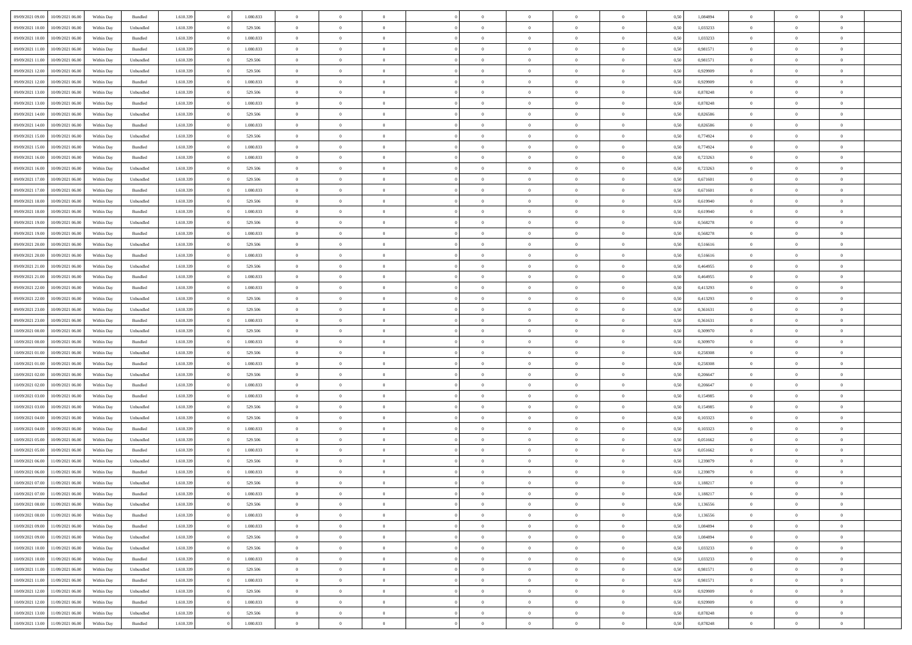| 09/09/2021 09:00<br>10/09/2021 06:00 | Within Day | Bundled            | 1.610.339 | 1.080.833 | $\overline{0}$ | $\overline{0}$ | $\Omega$       | $\Omega$       | $\Omega$       |                | $\overline{0}$ | 0,50 | 1,084894 | $\mathbf{0}$   | $\Omega$       | $\Omega$       |  |
|--------------------------------------|------------|--------------------|-----------|-----------|----------------|----------------|----------------|----------------|----------------|----------------|----------------|------|----------|----------------|----------------|----------------|--|
| 09/09/2021 10:00<br>10/09/2021 06:00 | Within Day | Unbundled          | 1.610.339 | 529.506   | $\bf{0}$       | $\overline{0}$ | $\overline{0}$ | $\theta$       | $\overline{0}$ | $\overline{0}$ | $\,$ 0         | 0,50 | 1,033233 | $\mathbf{0}$   | $\theta$       | $\bf{0}$       |  |
| 09/09/2021 10:00<br>10/09/2021 06:00 | Within Day | Bundled            | 1.610.339 | 1.080.833 | $\overline{0}$ | $\overline{0}$ | $\overline{0}$ | $\bf{0}$       | $\bf{0}$       | $\overline{0}$ | $\mathbf{0}$   | 0,50 | 1,033233 | $\bf{0}$       | $\bf{0}$       | $\bf{0}$       |  |
|                                      |            |                    |           |           |                |                |                |                |                |                |                |      |          |                |                |                |  |
| 09/09/2021 11:00<br>10/09/2021 06:00 | Within Day | Bundled            | 1.610.339 | 1.080.833 | $\overline{0}$ | $\overline{0}$ | $\overline{0}$ | $\overline{0}$ | $\overline{0}$ | $\overline{0}$ | $\overline{0}$ | 0.50 | 0,981571 | $\mathbf{0}$   | $\overline{0}$ | $\bf{0}$       |  |
| 09/09/2021 11:00<br>10/09/2021 06:00 | Within Day | Unbundled          | 1.610.339 | 529.506   | $\bf{0}$       | $\overline{0}$ | $\overline{0}$ | $\theta$       | $\overline{0}$ | $\overline{0}$ | $\bf{0}$       | 0,50 | 0,981571 | $\mathbf{0}$   | $\theta$       | $\overline{0}$ |  |
| 09/09/2021 12:00<br>10/09/2021 06:00 | Within Day | Unbundled          | 1.610.339 | 529.506   | $\overline{0}$ | $\overline{0}$ | $\overline{0}$ | $\bf{0}$       | $\overline{0}$ | $\overline{0}$ | $\overline{0}$ | 0,50 | 0,929909 | $\overline{0}$ | $\overline{0}$ | $\overline{0}$ |  |
| 09/09/2021 12:00<br>10/09/2021 06:00 | Within Day | Bundled            | 1.610.339 | 1.080.833 | $\overline{0}$ | $\overline{0}$ | $\overline{0}$ | $\overline{0}$ | $\overline{0}$ | $\overline{0}$ | $\mathbf{0}$   | 0.50 | 0.929909 | $\mathbf{0}$   | $\overline{0}$ | $\overline{0}$ |  |
|                                      |            |                    |           |           |                | $\overline{0}$ | $\overline{0}$ | $\theta$       | $\overline{0}$ | $\overline{0}$ |                |      |          | $\theta$       | $\theta$       | $\bf{0}$       |  |
| 09/09/2021 13:00<br>10/09/2021 06:00 | Within Day | Unbundled          | 1.610.339 | 529.506   | $\bf{0}$       |                |                |                |                |                | $\bf{0}$       | 0,50 | 0,878248 |                |                |                |  |
| 09/09/2021 13:00<br>10/09/2021 06:00 | Within Day | Bundled            | 1.610.339 | 1.080.833 | $\overline{0}$ | $\overline{0}$ | $\overline{0}$ | $\bf{0}$       | $\bf{0}$       | $\overline{0}$ | $\mathbf{0}$   | 0,50 | 0,878248 | $\bf{0}$       | $\bf{0}$       | $\bf{0}$       |  |
| 09/09/2021 14:00<br>10/09/2021 06:00 | Within Day | Unbundled          | 1.610.339 | 529.506   | $\overline{0}$ | $\overline{0}$ | $\overline{0}$ | $\overline{0}$ | $\overline{0}$ | $\overline{0}$ | $\overline{0}$ | 0.50 | 0,826586 | $\overline{0}$ | $\overline{0}$ | $\overline{0}$ |  |
| 09/09/2021 14:00<br>10/09/2021 06:00 | Within Day | Bundled            | 1.610.339 | 1.080.833 | $\bf{0}$       | $\overline{0}$ | $\overline{0}$ | $\overline{0}$ | $\overline{0}$ | $\overline{0}$ | $\,$ 0         | 0,50 | 0,826586 | $\theta$       | $\theta$       | $\bf{0}$       |  |
| 09/09/2021 15:00<br>10/09/2021 06:00 | Within Day | Unbundled          | 1.610.339 | 529.506   | $\overline{0}$ | $\overline{0}$ | $\overline{0}$ | $\bf{0}$       | $\bf{0}$       | $\overline{0}$ | $\mathbf{0}$   | 0,50 | 0,774924 | $\bf{0}$       | $\bf{0}$       | $\bf{0}$       |  |
|                                      |            |                    |           |           |                |                |                |                |                |                |                |      |          |                |                |                |  |
| 09/09/2021 15:00<br>10/09/2021 06:00 | Within Day | Bundled            | 1.610.339 | 1.080.833 | $\overline{0}$ | $\overline{0}$ | $\overline{0}$ | $\overline{0}$ | $\overline{0}$ | $\overline{0}$ | $\overline{0}$ | 0.50 | 0.774924 | $\mathbf{0}$   | $\overline{0}$ | $\bf{0}$       |  |
| 09/09/2021 16:00<br>10/09/2021 06:00 | Within Day | Bundled            | 1.610.339 | 1.080.833 | $\bf{0}$       | $\overline{0}$ | $\overline{0}$ | $\theta$       | $\overline{0}$ | $\overline{0}$ | $\,$ 0         | 0,50 | 0,723263 | $\theta$       | $\theta$       | $\overline{0}$ |  |
| 09/09/2021 16:00<br>10/09/2021 06:00 | Within Day | Unbundled          | 1.610.339 | 529.506   | $\overline{0}$ | $\overline{0}$ | $\overline{0}$ | $\bf{0}$       | $\overline{0}$ | $\overline{0}$ | $\overline{0}$ | 0,50 | 0,723263 | $\overline{0}$ | $\overline{0}$ | $\overline{0}$ |  |
| 09/09/2021 17:00<br>10/09/2021 06:00 | Within Day | Unbundled          | 1.610.339 | 529.506   | $\overline{0}$ | $\overline{0}$ | $\overline{0}$ | $\overline{0}$ | $\overline{0}$ | $\overline{0}$ | $\mathbf{0}$   | 0.50 | 0,671601 | $\overline{0}$ | $\overline{0}$ | $\overline{0}$ |  |
| 09/09/2021 17:00<br>10/09/2021 06:00 | Within Day | Bundled            | 1.610.339 | 1.080.833 | $\bf{0}$       | $\overline{0}$ | $\overline{0}$ | $\overline{0}$ | $\overline{0}$ | $\overline{0}$ | $\bf{0}$       | 0,50 | 0,671601 | $\theta$       | $\theta$       | $\bf{0}$       |  |
|                                      |            |                    |           |           |                |                |                |                |                |                |                |      |          |                |                |                |  |
| 09/09/2021 18:00<br>10/09/2021 06:00 | Within Day | Unbundled          | 1.610.339 | 529.506   | $\overline{0}$ | $\overline{0}$ | $\overline{0}$ | $\bf{0}$       | $\bf{0}$       | $\overline{0}$ | $\bf{0}$       | 0,50 | 0,619940 | $\bf{0}$       | $\bf{0}$       | $\bf{0}$       |  |
| 09/09/2021 18:00<br>10/09/2021 06:00 | Within Day | Bundled            | 1.610.339 | 1.080.833 | $\overline{0}$ | $\overline{0}$ | $\overline{0}$ | $\overline{0}$ | $\overline{0}$ | $\overline{0}$ | $\overline{0}$ | 0.50 | 0.619940 | $\overline{0}$ | $\overline{0}$ | $\overline{0}$ |  |
| 09/09/2021 19:00<br>10/09/2021 06:00 | Within Day | Unbundled          | 1.610.339 | 529.506   | $\bf{0}$       | $\overline{0}$ | $\overline{0}$ | $\overline{0}$ | $\overline{0}$ | $\overline{0}$ | $\,$ 0         | 0,50 | 0,568278 | $\theta$       | $\theta$       | $\bf{0}$       |  |
| 09/09/2021 19:00<br>10/09/2021 06:00 | Within Day | Bundled            | 1.610.339 | 1.080.833 | $\overline{0}$ | $\overline{0}$ | $\overline{0}$ | $\bf{0}$       | $\bf{0}$       | $\overline{0}$ | $\mathbf{0}$   | 0,50 | 0,568278 | $\bf{0}$       | $\bf{0}$       | $\bf{0}$       |  |
| 09/09/2021 20:00<br>10/09/2021 06:00 | Within Day | Unbundled          | 1.610.339 | 529,506   | $\overline{0}$ | $\overline{0}$ | $\overline{0}$ | $\overline{0}$ | $\overline{0}$ | $\overline{0}$ | $\overline{0}$ | 0.50 | 0.516616 | $\overline{0}$ | $\overline{0}$ | $\bf{0}$       |  |
|                                      |            |                    |           |           |                |                |                |                |                |                |                |      |          |                |                |                |  |
| 09/09/2021 20:00<br>10/09/2021 06:00 | Within Day | $\mathbf B$ undled | 1.610.339 | 1.080.833 | $\bf{0}$       | $\overline{0}$ | $\overline{0}$ | $\overline{0}$ | $\overline{0}$ | $\overline{0}$ | $\,$ 0         | 0,50 | 0,516616 | $\mathbf{0}$   | $\theta$       | $\bf{0}$       |  |
| 09/09/2021 21:00<br>10/09/2021 06:00 | Within Day | Unbundled          | 1.610.339 | 529.506   | $\overline{0}$ | $\overline{0}$ | $\overline{0}$ | $\bf{0}$       | $\overline{0}$ | $\overline{0}$ | $\overline{0}$ | 0,50 | 0,464955 | $\overline{0}$ | $\overline{0}$ | $\overline{0}$ |  |
| 09/09/2021 21:00<br>10/09/2021 06:00 | Within Day | Bundled            | 1.610.339 | 1.080.833 | $\overline{0}$ | $\overline{0}$ | $\overline{0}$ | $\overline{0}$ | $\overline{0}$ | $\overline{0}$ | $\overline{0}$ | 0.50 | 0.464955 | $\overline{0}$ | $\overline{0}$ | $\overline{0}$ |  |
| 09/09/2021 22:00<br>10/09/2021 06:00 | Within Day | Bundled            | 1.610.339 | 1.080.833 | $\bf{0}$       | $\overline{0}$ | $\overline{0}$ | $\overline{0}$ | $\overline{0}$ | $\overline{0}$ | $\bf{0}$       | 0,50 | 0,413293 | $\theta$       | $\theta$       | $\bf{0}$       |  |
|                                      |            |                    |           |           |                |                |                |                |                |                |                |      |          |                |                |                |  |
| 09/09/2021 22:00<br>10/09/2021 06:00 | Within Day | Unbundled          | 1.610.339 | 529.506   | $\overline{0}$ | $\overline{0}$ | $\overline{0}$ | $\bf{0}$       | $\bf{0}$       | $\overline{0}$ | $\bf{0}$       | 0,50 | 0,413293 | $\bf{0}$       | $\bf{0}$       | $\bf{0}$       |  |
| 09/09/2021 23:00<br>10/09/2021 06:00 | Within Day | Unbundled          | 1.610.339 | 529.506   | $\overline{0}$ | $\overline{0}$ | $\overline{0}$ | $\overline{0}$ | $\overline{0}$ | $\overline{0}$ | $\overline{0}$ | 0.50 | 0,361631 | $\overline{0}$ | $\overline{0}$ | $\bf{0}$       |  |
| 09/09/2021 23:00<br>10/09/2021 06:00 | Within Day | Bundled            | 1.610.339 | 1.080.833 | $\bf{0}$       | $\overline{0}$ | $\overline{0}$ | $\overline{0}$ | $\overline{0}$ | $\overline{0}$ | $\,$ 0         | 0,50 | 0,361631 | $\theta$       | $\theta$       | $\bf{0}$       |  |
| 10/09/2021 00:00<br>10/09/2021 06:00 | Within Day | Unbundled          | 1.610.339 | 529.506   | $\overline{0}$ | $\overline{0}$ | $\overline{0}$ | $\bf{0}$       | $\bf{0}$       | $\overline{0}$ | $\mathbf{0}$   | 0,50 | 0,309970 | $\overline{0}$ | $\bf{0}$       | $\bf{0}$       |  |
|                                      |            |                    |           |           | $\overline{0}$ | $\overline{0}$ | $\overline{0}$ | $\overline{0}$ | $\overline{0}$ | $\Omega$       | $\overline{0}$ | 0.50 | 0,309970 | $\bf{0}$       | $\Omega$       | $\Omega$       |  |
| 10/09/2021 00:00<br>10/09/2021 06:00 | Within Day | Bundled            | 1.610.339 | 1.080.833 |                |                |                |                |                |                |                |      |          |                |                |                |  |
| 10/09/2021 01:00<br>10/09/2021 06:00 | Within Day | Unbundled          | 1.610.339 | 529.506   | $\bf{0}$       | $\overline{0}$ | $\overline{0}$ | $\theta$       | $\overline{0}$ | $\overline{0}$ | $\,$ 0         | 0,50 | 0,258308 | $\theta$       | $\theta$       | $\bf{0}$       |  |
| 10/09/2021 01:00<br>10/09/2021 06:00 | Within Day | Bundled            | 1.610.339 | 1.080.833 | $\overline{0}$ | $\overline{0}$ | $\overline{0}$ | $\bf{0}$       | $\overline{0}$ | $\overline{0}$ | $\overline{0}$ | 0,50 | 0,258308 | $\overline{0}$ | $\overline{0}$ | $\overline{0}$ |  |
| 10/09/2021 02:00<br>10/09/2021 06:00 | Within Day | Unbundled          | 1.610.339 | 529.506   | $\overline{0}$ | $\overline{0}$ | $\overline{0}$ | $\overline{0}$ | $\overline{0}$ | $\Omega$       | $\overline{0}$ | 0.50 | 0,206647 | $\overline{0}$ | $\Omega$       | $\Omega$       |  |
| 10/09/2021 02:00<br>10/09/2021 06:00 | Within Day | Bundled            | 1.610.339 | 1.080.833 | $\bf{0}$       | $\overline{0}$ | $\overline{0}$ | $\overline{0}$ | $\overline{0}$ | $\overline{0}$ | $\bf{0}$       | 0,50 | 0,206647 | $\theta$       | $\theta$       | $\bf{0}$       |  |
|                                      |            |                    |           |           |                |                |                |                |                |                |                |      |          |                |                |                |  |
| 10/09/2021 03:00<br>10/09/2021 06:00 | Within Day | Bundled            | 1.610.339 | 1.080.833 | $\overline{0}$ | $\overline{0}$ | $\overline{0}$ | $\bf{0}$       | $\bf{0}$       | $\overline{0}$ | $\bf{0}$       | 0,50 | 0,154985 | $\bf{0}$       | $\bf{0}$       | $\bf{0}$       |  |
| 10/09/2021 03:00<br>10/09/2021 06:00 | Within Day | Unbundled          | 1.610.339 | 529.506   | $\overline{0}$ | $\overline{0}$ | $\Omega$       | $\overline{0}$ | $\overline{0}$ | $\Omega$       | $\theta$       | 0.50 | 0,154985 | $\overline{0}$ | $\Omega$       | $\Omega$       |  |
| 10/09/2021 04:00<br>10/09/2021 06:00 | Within Day | Unbundled          | 1.610.339 | 529.506   | $\bf{0}$       | $\overline{0}$ | $\bf{0}$       | $\overline{0}$ | $\overline{0}$ | $\overline{0}$ | $\,$ 0         | 0,50 | 0,103323 | $\theta$       | $\theta$       | $\bf{0}$       |  |
| 10/09/2021 04:00<br>10/09/2021 06:00 | Within Day | Bundled            | 1.610.339 | 1.080.833 | $\overline{0}$ | $\overline{0}$ | $\overline{0}$ | $\bf{0}$       | $\bf{0}$       | $\overline{0}$ | $\mathbf{0}$   | 0,50 | 0,103323 | $\overline{0}$ | $\bf{0}$       | $\bf{0}$       |  |
| 10/09/2021 05:00<br>10/09/2021 06:00 | Within Day | Unbundled          | 1.610.339 | 529.506   | $\overline{0}$ | $\overline{0}$ | $\overline{0}$ | $\overline{0}$ | $\bf{0}$       | $\Omega$       | $\overline{0}$ | 0.50 | 0,051662 | $\overline{0}$ | $\Omega$       | $\Omega$       |  |
|                                      |            |                    |           |           |                |                |                |                |                |                |                |      |          |                |                |                |  |
| 10/09/2021 05:00<br>10/09/2021 06:00 | Within Day | Bundled            | 1.610.339 | 1.080.833 | $\bf{0}$       | $\overline{0}$ | $\bf{0}$       | $\overline{0}$ | $\overline{0}$ | $\overline{0}$ | $\,$ 0         | 0,50 | 0,051662 | $\,$ 0 $\,$    | $\theta$       | $\bf{0}$       |  |
| 10/09/2021 06:00<br>11/09/2021 06:00 | Within Day | Unbundled          | 1.610.339 | 529.506   | $\overline{0}$ | $\overline{0}$ | $\overline{0}$ | $\bf{0}$       | $\overline{0}$ | $\overline{0}$ | $\overline{0}$ | 0,50 | 1,239879 | $\overline{0}$ | $\bf{0}$       | $\bf{0}$       |  |
| 10/09/2021 06:00<br>11/09/2021 06:00 | Within Day | Bundled            | 1.610.339 | 1.080.833 | $\overline{0}$ | $\Omega$       | $\Omega$       | $\Omega$       | $\overline{0}$ | $\Omega$       | $\overline{0}$ | 0.50 | 1,239879 | $\overline{0}$ | $\Omega$       | $\Omega$       |  |
| 10/09/2021 07:00<br>11/09/2021 06:00 | Within Day | Unbundled          | 1.610.339 | 529.506   | $\bf{0}$       | $\overline{0}$ | $\bf{0}$       | $\bf{0}$       | $\bf{0}$       | $\overline{0}$ | $\,$ 0         | 0,50 | 1,188217 | $\bf{0}$       | $\,$ 0         | $\,$ 0         |  |
| 10/09/2021 07:00 11/09/2021 06:00    | Within Day | Bundled            | 1.610.339 | 1.080.833 | $\bf{0}$       | $\bf{0}$       |                | $\bf{0}$       |                |                |                | 0,50 | 1,188217 | $\bf{0}$       | $\bf{0}$       |                |  |
|                                      |            |                    |           |           |                |                |                |                |                |                |                |      |          |                |                |                |  |
| 10/09/2021 08:00 11/09/2021 06:00    | Within Day | Unbundled          | 1.610.339 | 529.506   | $\overline{0}$ | $\overline{0}$ | $\theta$       | $\overline{0}$ | $\overline{0}$ | $\overline{0}$ | $\mathbf{0}$   | 0,50 | 1,136556 | $\overline{0}$ | $\theta$       | $\theta$       |  |
| 10/09/2021 08:00<br>11/09/2021 06:00 | Within Day | Bundled            | 1.610.339 | 1.080.833 | $\overline{0}$ | $\overline{0}$ | $\overline{0}$ | $\bf{0}$       | $\overline{0}$ | $\overline{0}$ | $\mathbf{0}$   | 0,50 | 1,136556 | $\,$ 0 $\,$    | $\overline{0}$ | $\,$ 0 $\,$    |  |
| 10/09/2021 09:00<br>11/09/2021 06:00 | Within Day | Bundled            | 1.610.339 | 1.080.833 | $\overline{0}$ | $\overline{0}$ | $\overline{0}$ | $\bf{0}$       | $\overline{0}$ | $\overline{0}$ | $\overline{0}$ | 0,50 | 1,084894 | $\overline{0}$ | $\overline{0}$ | $\overline{0}$ |  |
| 11/09/2021 06:00<br>10/09/2021 09:00 | Within Day | Unbundled          | 1.610.339 | 529.506   | $\overline{0}$ | $\overline{0}$ | $\overline{0}$ | $\overline{0}$ | $\bf{0}$       | $\overline{0}$ | $\overline{0}$ | 0,50 | 1,084894 | $\overline{0}$ | $\overline{0}$ | $\overline{0}$ |  |
| 10/09/2021 10:00<br>11/09/2021 06:00 | Within Day | Unbundled          | 1.610.339 | 529.506   | $\overline{0}$ | $\overline{0}$ | $\overline{0}$ | $\overline{0}$ | $\overline{0}$ | $\overline{0}$ | $\mathbf{0}$   | 0,50 | 1,033233 | $\,$ 0 $\,$    | $\theta$       | $\bf{0}$       |  |
|                                      |            |                    |           |           |                |                |                |                |                |                |                |      |          |                |                |                |  |
| 10/09/2021 10:00<br>11/09/2021 06:00 | Within Day | Bundled            | 1.610.339 | 1.080.833 | $\overline{0}$ | $\overline{0}$ | $\overline{0}$ | $\bf{0}$       | $\overline{0}$ | $\overline{0}$ | $\overline{0}$ | 0,50 | 1,033233 | $\overline{0}$ | $\overline{0}$ | $\overline{0}$ |  |
| 10/09/2021 11:00<br>11/09/2021 06:00 | Within Day | Unbundled          | 1.610.339 | 529.506   | $\overline{0}$ | $\overline{0}$ | $\overline{0}$ | $\overline{0}$ | $\overline{0}$ | $\overline{0}$ | $\overline{0}$ | 0,50 | 0,981571 | $\overline{0}$ | $\overline{0}$ | $\overline{0}$ |  |
| 10/09/2021 11:00<br>11/09/2021 06:00 | Within Day | Bundled            | 1.610.339 | 1.080.833 | $\overline{0}$ | $\overline{0}$ | $\overline{0}$ | $\bf{0}$       | $\bf{0}$       | $\overline{0}$ | $\,$ 0 $\,$    | 0,50 | 0,981571 | $\,$ 0 $\,$    | $\,$ 0         | $\,$ 0         |  |
| 10/09/2021 12:00<br>11/09/2021 06:00 | Within Day | Unbundled          | 1.610.339 | 529.506   | $\overline{0}$ | $\overline{0}$ | $\overline{0}$ | $\bf{0}$       | $\overline{0}$ | $\overline{0}$ | $\overline{0}$ | 0,50 | 0,929909 | $\bf{0}$       | $\bf{0}$       | $\overline{0}$ |  |
|                                      |            |                    |           |           |                |                |                |                |                |                |                |      |          |                |                |                |  |
| 11/09/2021 06:00<br>10/09/2021 12:00 | Within Day | Bundled            | 1.610.339 | 1.080.833 | $\overline{0}$ | $\overline{0}$ | $\overline{0}$ | $\overline{0}$ | $\overline{0}$ | $\overline{0}$ | $\overline{0}$ | 0,50 | 0,929909 | $\overline{0}$ | $\overline{0}$ | $\overline{0}$ |  |
| 10/09/2021 13:00<br>11/09/2021 06:00 | Within Day | Unbundled          | 1.610.339 | 529.506   | $\overline{0}$ | $\overline{0}$ | $\overline{0}$ | $\bf{0}$       | $\bf{0}$       | $\overline{0}$ | $\,$ 0 $\,$    | 0,50 | 0,878248 | $\,$ 0 $\,$    | $\,0\,$        | $\,$ 0         |  |
| 10/09/2021 13:00 11/09/2021 06:00    | Within Day | Bundled            | 1.610.339 | 1.080.833 | $\overline{0}$ | $\overline{0}$ | $\overline{0}$ | $\bf{0}$       | $\overline{0}$ | $\overline{0}$ | $\overline{0}$ | 0,50 | 0,878248 | $\overline{0}$ | $\bf{0}$       | $\overline{0}$ |  |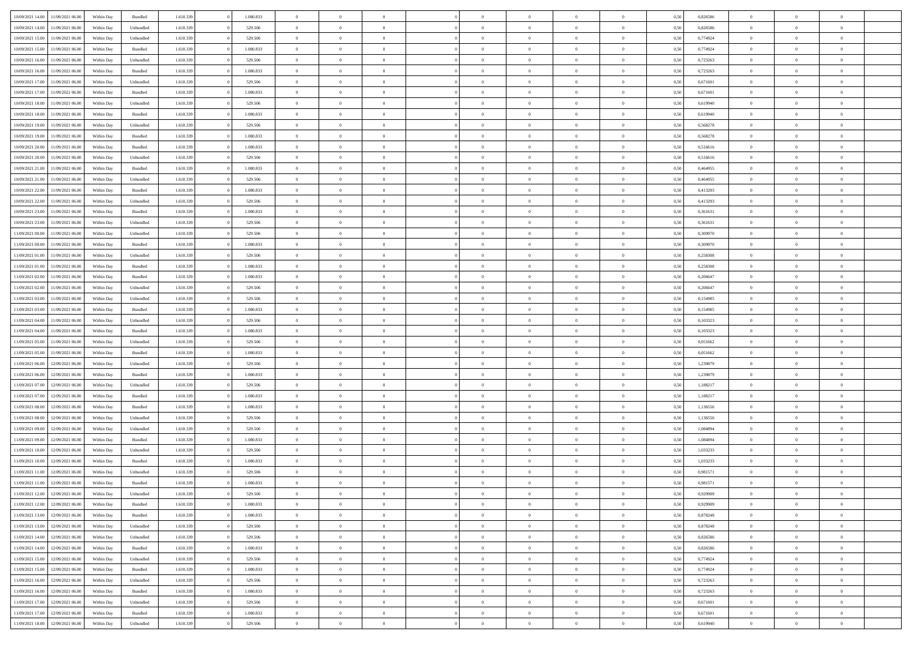| 10/09/2021 14:00 | 11/09/2021 06:00                  | Within Day | Bundled   | 1.610.339 | 1.080.833 | $\overline{0}$ | $\Omega$       |                | $\Omega$       | $\Omega$       | $\theta$       | $\theta$       | 0,50 | 0,826586 | $\theta$       | $\theta$       | $\theta$       |  |
|------------------|-----------------------------------|------------|-----------|-----------|-----------|----------------|----------------|----------------|----------------|----------------|----------------|----------------|------|----------|----------------|----------------|----------------|--|
|                  |                                   |            |           |           |           |                |                |                |                |                |                |                |      |          |                |                |                |  |
| 10/09/2021 14:00 | 11/09/2021 06:00                  | Within Day | Unbundled | 1.610.339 | 529.506   | $\overline{0}$ | $\theta$       | $\overline{0}$ | $\overline{0}$ | $\bf{0}$       | $\overline{0}$ | $\bf{0}$       | 0,50 | 0,826586 | $\theta$       | $\overline{0}$ | $\overline{0}$ |  |
| 10/09/2021 15:00 | 11/09/2021 06:00                  | Within Day | Unbundled | 1.610.339 | 529.506   | $\overline{0}$ | $\overline{0}$ | $\overline{0}$ | $\bf{0}$       | $\bf{0}$       | $\bf{0}$       | $\mathbf{0}$   | 0,50 | 0,774924 | $\bf{0}$       | $\overline{0}$ | $\overline{0}$ |  |
| 10/09/2021 15:00 | 11/09/2021 06:00                  | Within Dav | Bundled   | 1.610.339 | 1.080.833 | $\overline{0}$ | $\overline{0}$ | $\overline{0}$ | $\overline{0}$ | $\bf{0}$       | $\overline{0}$ | $\overline{0}$ | 0.50 | 0,774924 | $\theta$       | $\theta$       | $\overline{0}$ |  |
| 10/09/2021 16:00 | 11/09/2021 06:00                  | Within Day | Unbundled | 1.610.339 | 529.506   | $\overline{0}$ | $\theta$       | $\overline{0}$ | $\overline{0}$ | $\bf{0}$       | $\overline{0}$ | $\bf{0}$       | 0,50 | 0,723263 | $\theta$       | $\overline{0}$ | $\overline{0}$ |  |
| 10/09/2021 16:00 | 11/09/2021 06:00                  | Within Day | Bundled   | 1.610.339 | 1.080.833 | $\overline{0}$ | $\overline{0}$ | $\overline{0}$ | $\bf{0}$       | $\overline{0}$ | $\overline{0}$ | $\mathbf{0}$   | 0,50 | 0,723263 | $\bf{0}$       | $\overline{0}$ | $\bf{0}$       |  |
|                  |                                   |            |           |           |           |                | $\overline{0}$ |                |                | $\overline{0}$ |                |                |      |          | $\theta$       | $\overline{0}$ | $\overline{0}$ |  |
| 10/09/2021 17:00 | 11/09/2021 06:00                  | Within Dav | Unbundled | 1.610.339 | 529.506   | $\overline{0}$ |                | $\overline{0}$ | $\overline{0}$ |                | $\overline{0}$ | $\overline{0}$ | 0.50 | 0,671601 |                |                |                |  |
| 10/09/2021 17:00 | 11/09/2021 06:00                  | Within Day | Bundled   | 1.610.339 | 1.080.833 | $\overline{0}$ | $\theta$       | $\overline{0}$ | $\overline{0}$ | $\bf{0}$       | $\overline{0}$ | $\bf{0}$       | 0,50 | 0,671601 | $\theta$       | $\theta$       | $\overline{0}$ |  |
| 10/09/2021 18:00 | 11/09/2021 06:00                  | Within Day | Unbundled | 1.610.339 | 529.506   | $\overline{0}$ | $\overline{0}$ | $\overline{0}$ | $\bf{0}$       | $\bf{0}$       | $\bf{0}$       | $\bf{0}$       | 0,50 | 0,619940 | $\,0\,$        | $\overline{0}$ | $\overline{0}$ |  |
| 10/09/2021 18:00 | 11/09/2021 06:00                  | Within Dav | Bundled   | 1.610.339 | 1.080.833 | $\overline{0}$ | $\overline{0}$ | $\overline{0}$ | $\overline{0}$ | $\overline{0}$ | $\overline{0}$ | $\overline{0}$ | 0.50 | 0,619940 | $\theta$       | $\overline{0}$ | $\overline{0}$ |  |
| 10/09/2021 19:00 | 11/09/2021 06:00                  | Within Day | Unbundled | 1.610.339 | 529.506   | $\overline{0}$ | $\theta$       | $\overline{0}$ | $\overline{0}$ | $\bf{0}$       | $\overline{0}$ | $\bf{0}$       | 0,50 | 0,568278 | $\,$ 0 $\,$    | $\overline{0}$ | $\overline{0}$ |  |
| 10/09/2021 19:00 | 11/09/2021 06:00                  | Within Day | Bundled   | 1.610.339 | 1.080.833 | $\overline{0}$ | $\overline{0}$ | $\overline{0}$ | $\bf{0}$       | $\bf{0}$       | $\bf{0}$       | $\mathbf{0}$   | 0,50 | 0,568278 | $\overline{0}$ | $\overline{0}$ | $\bf{0}$       |  |
| 10/09/2021 20:00 | 11/09/2021 06:00                  | Within Day | Bundled   | 1.610.339 | 1.080.833 | $\overline{0}$ | $\overline{0}$ | $\overline{0}$ | $\overline{0}$ | $\overline{0}$ | $\overline{0}$ | $\overline{0}$ | 0.50 | 0.516616 | $\theta$       | $\theta$       | $\overline{0}$ |  |
| 10/09/2021 20:00 | 11/09/2021 06:00                  |            |           | 1.610.339 | 529.506   | $\overline{0}$ | $\theta$       | $\overline{0}$ | $\overline{0}$ | $\bf{0}$       | $\overline{0}$ |                |      | 0,516616 | $\theta$       | $\overline{0}$ | $\overline{0}$ |  |
|                  |                                   | Within Day | Unbundled |           |           |                |                |                |                |                |                | $\bf{0}$       | 0,50 |          |                |                |                |  |
| 10/09/2021 21:00 | 11/09/2021 06:00                  | Within Day | Bundled   | 1.610.339 | 1.080.833 | $\overline{0}$ | $\overline{0}$ | $\overline{0}$ | $\bf{0}$       | $\overline{0}$ | $\overline{0}$ | $\mathbf{0}$   | 0,50 | 0,464955 | $\overline{0}$ | $\overline{0}$ | $\bf{0}$       |  |
| 10/09/2021 21:00 | 11/09/2021 06:00                  | Within Dav | Unbundled | 1.610.339 | 529.506   | $\overline{0}$ | $\overline{0}$ | $\overline{0}$ | $\overline{0}$ | $\overline{0}$ | $\overline{0}$ | $\overline{0}$ | 0.50 | 0,464955 | $\theta$       | $\overline{0}$ | $\overline{0}$ |  |
| 10/09/2021 22:00 | 11/09/2021 06:00                  | Within Day | Bundled   | 1.610.339 | 1.080.833 | $\overline{0}$ | $\theta$       | $\overline{0}$ | $\overline{0}$ | $\bf{0}$       | $\overline{0}$ | $\bf{0}$       | 0,50 | 0,413293 | $\theta$       | $\theta$       | $\overline{0}$ |  |
| 10/09/2021 22:00 | 11/09/2021 06:00                  | Within Day | Unbundled | 1.610.339 | 529.506   | $\overline{0}$ | $\overline{0}$ | $\overline{0}$ | $\bf{0}$       | $\bf{0}$       | $\bf{0}$       | $\mathbf{0}$   | 0,50 | 0,413293 | $\bf{0}$       | $\overline{0}$ | $\bf{0}$       |  |
| 10/09/2021 23:00 | 11/09/2021 06:00                  | Within Day | Bundled   | 1.610.339 | 1.080.833 | $\overline{0}$ | $\overline{0}$ | $\overline{0}$ | $\overline{0}$ | $\overline{0}$ | $\overline{0}$ | $\overline{0}$ | 0.50 | 0,361631 | $\theta$       | $\overline{0}$ | $\overline{0}$ |  |
| 10/09/2021 23:00 | 11/09/2021 06:00                  | Within Day | Unbundled | 1.610.339 | 529.506   | $\overline{0}$ | $\theta$       | $\overline{0}$ | $\overline{0}$ | $\bf{0}$       | $\overline{0}$ | $\bf{0}$       | 0,50 | 0,361631 | $\,$ 0 $\,$    | $\overline{0}$ | $\overline{0}$ |  |
| 11/09/2021 00:00 | 11/09/2021 06:00                  | Within Day | Unbundled | 1.610.339 | 529.506   | $\overline{0}$ | $\overline{0}$ | $\overline{0}$ | $\bf{0}$       | $\bf{0}$       | $\bf{0}$       | $\mathbf{0}$   | 0,50 | 0,309970 | $\overline{0}$ | $\overline{0}$ | $\bf{0}$       |  |
| 11/09/2021 00:00 | 11/09/2021 06:00                  | Within Day | Bundled   | 1.610.339 | 1.080.833 | $\overline{0}$ | $\overline{0}$ | $\overline{0}$ | $\overline{0}$ | $\overline{0}$ | $\overline{0}$ | $\overline{0}$ | 0.50 | 0,309970 | $\theta$       | $\overline{0}$ | $\overline{0}$ |  |
|                  |                                   |            |           |           |           |                |                |                |                |                |                |                |      |          |                |                |                |  |
| 11/09/2021 01:00 | 11/09/2021 06:00                  | Within Day | Unbundled | 1.610.339 | 529.506   | $\overline{0}$ | $\theta$       | $\overline{0}$ | $\overline{0}$ | $\bf{0}$       | $\overline{0}$ | $\bf{0}$       | 0,50 | 0,258308 | $\,$ 0 $\,$    | $\overline{0}$ | $\overline{0}$ |  |
| 11/09/2021 01:00 | 11/09/2021 06:00                  | Within Day | Bundled   | 1.610.339 | 1.080.833 | $\overline{0}$ | $\overline{0}$ | $\overline{0}$ | $\bf{0}$       | $\overline{0}$ | $\overline{0}$ | $\mathbf{0}$   | 0,50 | 0,258308 | $\overline{0}$ | $\overline{0}$ | $\bf{0}$       |  |
| 11/09/2021 02:00 | 11/09/2021 06:00                  | Within Dav | Bundled   | 1.610.339 | 1.080.833 | $\overline{0}$ | $\overline{0}$ | $\overline{0}$ | $\overline{0}$ | $\overline{0}$ | $\overline{0}$ | $\overline{0}$ | 0.50 | 0.206647 | $\theta$       | $\overline{0}$ | $\overline{0}$ |  |
| 11/09/2021 02:00 | 11/09/2021 06:00                  | Within Day | Unbundled | 1.610.339 | 529.506   | $\overline{0}$ | $\theta$       | $\overline{0}$ | $\overline{0}$ | $\bf{0}$       | $\overline{0}$ | $\bf{0}$       | 0,50 | 0,206647 | $\theta$       | $\overline{0}$ | $\overline{0}$ |  |
| 11/09/2021 03:00 | 11/09/2021 06:00                  | Within Day | Unbundled | 1.610.339 | 529.506   | $\overline{0}$ | $\overline{0}$ | $\overline{0}$ | $\bf{0}$       | $\bf{0}$       | $\bf{0}$       | $\bf{0}$       | 0,50 | 0,154985 | $\,0\,$        | $\overline{0}$ | $\overline{0}$ |  |
| 11/09/2021 03:00 | 11/09/2021 06:00                  | Within Day | Bundled   | 1.610.339 | 1.080.833 | $\overline{0}$ | $\overline{0}$ | $\overline{0}$ | $\overline{0}$ | $\overline{0}$ | $\overline{0}$ | $\overline{0}$ | 0.50 | 0,154985 | $\theta$       | $\overline{0}$ | $\overline{0}$ |  |
| 11/09/2021 04:00 | 11/09/2021 06:00                  |            |           | 1.610.339 | 529.506   | $\overline{0}$ | $\theta$       | $\overline{0}$ | $\overline{0}$ | $\bf{0}$       | $\overline{0}$ |                |      | 0,103323 | $\,$ 0 $\,$    | $\overline{0}$ | $\overline{0}$ |  |
|                  |                                   | Within Day | Unbundled |           |           |                |                |                |                |                |                | $\bf{0}$       | 0,50 |          |                |                |                |  |
| 11/09/2021 04:00 | 11/09/2021 06:00                  | Within Day | Bundled   | 1.610.339 | 1.080.833 | $\overline{0}$ | $\overline{0}$ | $\overline{0}$ | $\bf{0}$       | $\bf{0}$       | $\bf{0}$       | $\bf{0}$       | 0,50 | 0,103323 | $\overline{0}$ | $\overline{0}$ | $\bf{0}$       |  |
| 11/09/2021 05:00 | 11/09/2021 06.00                  | Within Day | Unbundled | 1.610.339 | 529.506   | $\overline{0}$ | $\Omega$       | $\overline{0}$ | $\Omega$       | $\Omega$       | $\overline{0}$ | $\overline{0}$ | 0,50 | 0.051662 | $\,0\,$        | $\theta$       | $\theta$       |  |
| 11/09/2021 05:00 | 11/09/2021 06:00                  | Within Day | Bundled   | 1.610.339 | 1.080.833 | $\overline{0}$ | $\theta$       | $\overline{0}$ | $\overline{0}$ | $\bf{0}$       | $\overline{0}$ | $\bf{0}$       | 0,50 | 0,051662 | $\,$ 0 $\,$    | $\overline{0}$ | $\overline{0}$ |  |
| 11/09/2021 06:00 | 12/09/2021 06:00                  | Within Day | Unbundled | 1.610.339 | 529.506   | $\overline{0}$ | $\overline{0}$ | $\overline{0}$ | $\bf{0}$       | $\overline{0}$ | $\overline{0}$ | $\mathbf{0}$   | 0,50 | 1,239879 | $\overline{0}$ | $\overline{0}$ | $\bf{0}$       |  |
| 11/09/2021 06:00 | 12/09/2021 06:00                  | Within Day | Bundled   | 1.610.339 | 1.080.833 | $\overline{0}$ | $\Omega$       | $\Omega$       | $\Omega$       | $\overline{0}$ | $\overline{0}$ | $\overline{0}$ | 0.50 | 1,239879 | $\,0\,$        | $\theta$       | $\theta$       |  |
| 11/09/2021 07:00 | 12/09/2021 06:00                  | Within Day | Unbundled | 1.610.339 | 529.506   | $\overline{0}$ | $\theta$       | $\overline{0}$ | $\overline{0}$ | $\bf{0}$       | $\overline{0}$ | $\bf{0}$       | 0,50 | 1,188217 | $\,$ 0 $\,$    | $\overline{0}$ | $\overline{0}$ |  |
| 11/09/2021 07:00 | 12/09/2021 06:00                  | Within Day | Bundled   | 1.610.339 | 1.080.833 | $\overline{0}$ | $\overline{0}$ | $\overline{0}$ | $\bf{0}$       | $\bf{0}$       | $\bf{0}$       | $\mathbf{0}$   | 0,50 | 1,188217 | $\bf{0}$       | $\overline{0}$ | $\bf{0}$       |  |
|                  |                                   |            |           |           |           |                | $\Omega$       |                |                |                |                |                |      |          |                |                | $\theta$       |  |
| 11/09/2021 08:00 | 12/09/2021 06:00                  | Within Day | Bundled   | 1.610.339 | 1.080.833 | $\overline{0}$ |                | $\Omega$       | $\Omega$       | $\overline{0}$ | $\overline{0}$ | $\overline{0}$ | 0.50 | 1,136556 | $\,$ 0 $\,$    | $\theta$       |                |  |
| 11/09/2021 08:00 | 12/09/2021 06:00                  | Within Day | Unbundled | 1.610.339 | 529.506   | $\overline{0}$ | $\overline{0}$ | $\overline{0}$ | $\overline{0}$ | $\,$ 0         | $\overline{0}$ | $\bf{0}$       | 0,50 | 1,136556 | $\,$ 0 $\,$    | $\overline{0}$ | $\overline{0}$ |  |
| 11/09/2021 09:00 | 12/09/2021 06:00                  | Within Day | Unbundled | 1.610.339 | 529.506   | $\overline{0}$ | $\overline{0}$ | $\overline{0}$ | $\bf{0}$       | $\bf{0}$       | $\bf{0}$       | $\mathbf{0}$   | 0,50 | 1,084894 | $\bf{0}$       | $\overline{0}$ | $\bf{0}$       |  |
| 11/09/2021 09:00 | 12/09/2021 06:00                  | Within Day | Bundled   | 1.610.339 | 1.080.833 | $\overline{0}$ | $\Omega$       | $\overline{0}$ | $\Omega$       | $\overline{0}$ | $\overline{0}$ | $\overline{0}$ | 0,50 | 1,084894 | $\,0\,$        | $\theta$       | $\theta$       |  |
| 11/09/2021 10:00 | 12/09/2021 06:00                  | Within Day | Unbundled | 1.610.339 | 529.506   | $\overline{0}$ | $\overline{0}$ | $\overline{0}$ | $\overline{0}$ | $\,$ 0         | $\overline{0}$ | $\bf{0}$       | 0,50 | 1,033233 | $\,$ 0 $\,$    | $\overline{0}$ | $\overline{0}$ |  |
| 11/09/2021 10:00 | 12/09/2021 06:00                  | Within Day | Bundled   | 1.610.339 | 1.080.833 | $\overline{0}$ | $\overline{0}$ | $\overline{0}$ | $\bf{0}$       | $\bf{0}$       | $\overline{0}$ | $\mathbf{0}$   | 0,50 | 1,033233 | $\bf{0}$       | $\overline{0}$ | $\bf{0}$       |  |
| 11/09/2021 11:00 | 12/09/2021 06:00                  | Within Day | Unbundled | 1.610.339 | 529.506   | $\overline{0}$ | $\Omega$       | $\Omega$       | $\Omega$       | $\Omega$       | $\Omega$       | $\overline{0}$ | 0.50 | 0.981571 | $\theta$       | $\theta$       | $\theta$       |  |
| 11/09/2021 11:00 | 12/09/2021 06:00                  | Within Day | Bundled   | 1.610.339 | 1.080.833 | $\overline{0}$ | $\overline{0}$ | $\overline{0}$ | $\bf{0}$       | $\,$ 0         | $\bf{0}$       | $\bf{0}$       | 0,50 | 0,981571 | $\,0\,$        | $\,$ 0 $\,$    | $\overline{0}$ |  |
| 11/09/2021 12:00 | 12/09/2021 06:00                  | Within Day | Unbundled | 1.610.339 | 529.506   | $\bf{0}$       | $\bf{0}$       |                |                | $\bf{0}$       |                |                | 0,50 | 0,929909 | $\bf{0}$       | $\overline{0}$ |                |  |
|                  |                                   |            |           |           |           |                |                |                |                |                |                |                |      |          |                |                |                |  |
| 11/09/2021 12:00 | 12/09/2021 06:00                  | Within Day | Bundled   | 1.610.339 | 1.080.833 | $\overline{0}$ | $\overline{0}$ | $\overline{0}$ | $\Omega$       | $\overline{0}$ | $\overline{0}$ | $\overline{0}$ | 0.50 | 0,929909 | $\theta$       | $\theta$       | $\theta$       |  |
| 11/09/2021 13:00 | 12/09/2021 06:00                  | Within Day | Bundled   | 1.610.339 | 1.080.833 | $\overline{0}$ | $\,$ 0         | $\overline{0}$ | $\bf{0}$       | $\,$ 0 $\,$    | $\overline{0}$ | $\,$ 0 $\,$    | 0,50 | 0,878248 | $\,$ 0 $\,$    | $\,$ 0 $\,$    | $\,$ 0         |  |
| 11/09/2021 13:00 | 12/09/2021 06:00                  | Within Day | Unbundled | 1.610.339 | 529.506   | $\overline{0}$ | $\overline{0}$ | $\overline{0}$ | $\overline{0}$ | $\overline{0}$ | $\overline{0}$ | $\mathbf{0}$   | 0,50 | 0,878248 | $\overline{0}$ | $\bf{0}$       | $\bf{0}$       |  |
| 11/09/2021 14:00 | 12/09/2021 06:00                  | Within Day | Unbundled | 1.610.339 | 529.506   | $\overline{0}$ | $\overline{0}$ | $\overline{0}$ | $\Omega$       | $\overline{0}$ | $\overline{0}$ | $\overline{0}$ | 0,50 | 0,826586 | $\overline{0}$ | $\theta$       | $\overline{0}$ |  |
| 11/09/2021 14:00 | 12/09/2021 06:00                  | Within Day | Bundled   | 1.610.339 | 1.080.833 | $\overline{0}$ | $\,$ 0         | $\overline{0}$ | $\overline{0}$ | $\,$ 0 $\,$    | $\overline{0}$ | $\mathbf{0}$   | 0,50 | 0,826586 | $\,$ 0 $\,$    | $\overline{0}$ | $\overline{0}$ |  |
| 11/09/2021 15:00 | 12/09/2021 06:00                  | Within Day | Unbundled | 1.610.339 | 529.506   | $\overline{0}$ | $\overline{0}$ | $\overline{0}$ | $\overline{0}$ | $\overline{0}$ | $\overline{0}$ | $\mathbf{0}$   | 0,50 | 0,774924 | $\overline{0}$ | $\overline{0}$ | $\bf{0}$       |  |
| 11/09/2021 15:00 | 12/09/2021 06:00                  | Within Day | Bundled   | 1.610.339 | 1.080.833 | $\overline{0}$ | $\overline{0}$ | $\overline{0}$ | $\Omega$       | $\overline{0}$ | $\overline{0}$ | $\bf{0}$       | 0.50 | 0,774924 | $\overline{0}$ | $\theta$       | $\overline{0}$ |  |
|                  |                                   |            |           |           |           |                |                |                |                |                |                |                |      |          |                |                |                |  |
| 11/09/2021 16:00 | 12/09/2021 06:00                  | Within Day | Unbundled | 1.610.339 | 529.506   | $\overline{0}$ | $\,$ 0         | $\overline{0}$ | $\bf{0}$       | $\bf{0}$       | $\bf{0}$       | $\bf{0}$       | 0,50 | 0,723263 | $\,$ 0 $\,$    | $\overline{0}$ | $\overline{0}$ |  |
| 11/09/2021 16:00 | 12/09/2021 06:00                  | Within Day | Bundled   | 1.610.339 | 1.080.833 | $\overline{0}$ | $\bf{0}$       | $\overline{0}$ | $\overline{0}$ | $\overline{0}$ | $\overline{0}$ | $\mathbf{0}$   | 0,50 | 0,723263 | $\overline{0}$ | $\overline{0}$ | $\bf{0}$       |  |
| 11/09/2021 17:00 | 12/09/2021 06:00                  | Within Day | Unbundled | 1.610.339 | 529.506   | $\overline{0}$ | $\overline{0}$ | $\overline{0}$ | $\Omega$       | $\overline{0}$ | $\overline{0}$ | $\overline{0}$ | 0.50 | 0,671601 | $\overline{0}$ | $\overline{0}$ | $\overline{0}$ |  |
| 11/09/2021 17:00 | 12/09/2021 06:00                  | Within Day | Bundled   | 1.610.339 | 1.080.833 | $\overline{0}$ | $\bf{0}$       | $\overline{0}$ | $\bf{0}$       | $\bf{0}$       | $\bf{0}$       | $\mathbf{0}$   | 0,50 | 0,671601 | $\,$ 0 $\,$    | $\,$ 0 $\,$    | $\bf{0}$       |  |
|                  | 11/09/2021 18:00 12/09/2021 06:00 | Within Day | Unbundled | 1.610.339 | 529.506   | $\overline{0}$ | $\overline{0}$ | $\overline{0}$ | $\overline{0}$ | $\overline{0}$ | $\bf{0}$       | $\mathbf{0}$   | 0,50 | 0,619940 | $\overline{0}$ | $\bf{0}$       | $\bf{0}$       |  |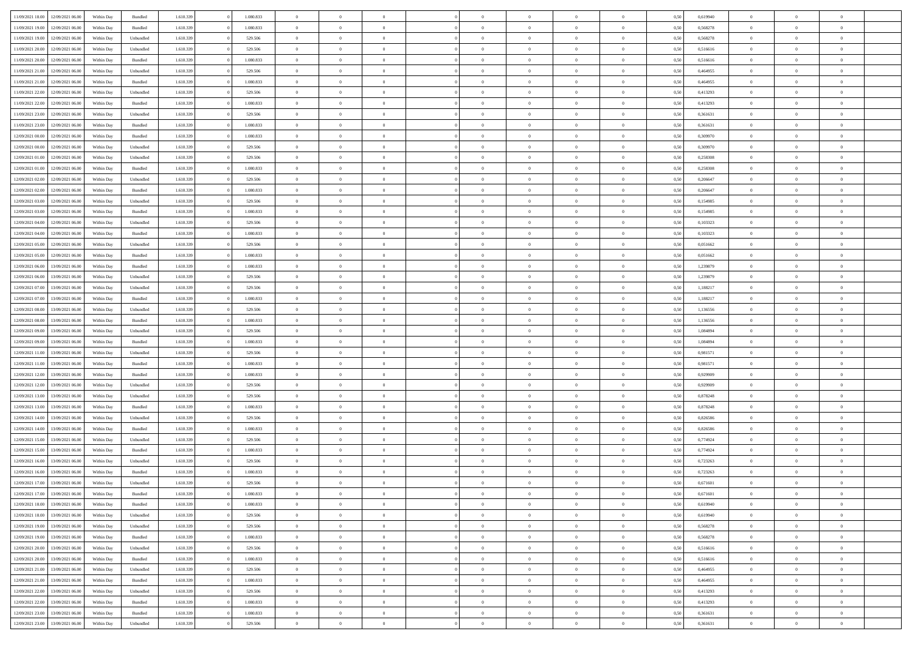| 11/09/2021 18:00                  | 12/09/2021 06:00 | Within Day | Bundled            | 1.610.339 | 1.080.833 | $\overline{0}$ | $\Omega$       |                | $\Omega$       | $\Omega$       | $\theta$       | $\theta$       | 0,50 | 0,619940 | $\theta$       | $\theta$       | $\theta$       |  |
|-----------------------------------|------------------|------------|--------------------|-----------|-----------|----------------|----------------|----------------|----------------|----------------|----------------|----------------|------|----------|----------------|----------------|----------------|--|
|                                   |                  |            |                    |           |           |                |                |                |                |                |                |                |      |          |                |                |                |  |
| 11/09/2021 19:00                  | 12/09/2021 06:00 | Within Day | Bundled            | 1.610.339 | 1.080.833 | $\overline{0}$ | $\theta$       | $\overline{0}$ | $\overline{0}$ | $\bf{0}$       | $\overline{0}$ | $\bf{0}$       | 0,50 | 0,568278 | $\theta$       | $\theta$       | $\overline{0}$ |  |
| 11/09/2021 19:00                  | 12/09/2021 06:00 | Within Day | Unbundled          | 1.610.339 | 529.506   | $\overline{0}$ | $\overline{0}$ | $\overline{0}$ | $\bf{0}$       | $\bf{0}$       | $\bf{0}$       | $\bf{0}$       | 0,50 | 0,568278 | $\overline{0}$ | $\overline{0}$ | $\overline{0}$ |  |
| 11/09/2021 20:00                  | 12/09/2021 06:00 | Within Day | Unbundled          | 1.610.339 | 529.506   | $\overline{0}$ | $\overline{0}$ | $\overline{0}$ | $\overline{0}$ | $\bf{0}$       | $\overline{0}$ | $\overline{0}$ | 0.50 | 0.516616 | $\theta$       | $\theta$       | $\overline{0}$ |  |
| 11/09/2021 20:00                  | 12/09/2021 06:00 | Within Day | Bundled            | 1.610.339 | 1.080.833 | $\overline{0}$ | $\theta$       | $\overline{0}$ | $\overline{0}$ | $\bf{0}$       | $\overline{0}$ | $\bf{0}$       | 0,50 | 0,516616 | $\theta$       | $\overline{0}$ | $\overline{0}$ |  |
| 11/09/2021 21:00                  | 12/09/2021 06:00 | Within Day | Unbundled          | 1.610.339 | 529.506   | $\overline{0}$ | $\bf{0}$       | $\overline{0}$ | $\bf{0}$       | $\overline{0}$ | $\overline{0}$ | $\mathbf{0}$   | 0,50 | 0,464955 | $\overline{0}$ | $\overline{0}$ | $\bf{0}$       |  |
|                                   |                  |            |                    |           |           |                |                |                |                | $\overline{0}$ |                |                |      |          | $\theta$       | $\overline{0}$ | $\overline{0}$ |  |
| 11/09/2021 21:00                  | 12/09/2021 06:00 | Within Dav | Bundled            | 1.610.339 | 1.080.833 | $\overline{0}$ | $\overline{0}$ | $\overline{0}$ | $\overline{0}$ |                | $\overline{0}$ | $\overline{0}$ | 0.50 | 0,464955 |                |                |                |  |
| 11/09/2021 22.00                  | 12/09/2021 06:00 | Within Day | Unbundled          | 1.610.339 | 529.506   | $\overline{0}$ | $\theta$       | $\overline{0}$ | $\overline{0}$ | $\bf{0}$       | $\overline{0}$ | $\bf{0}$       | 0,50 | 0,413293 | $\theta$       | $\theta$       | $\overline{0}$ |  |
| 11/09/2021 22:00                  | 12/09/2021 06:00 | Within Day | Bundled            | 1.610.339 | 1.080.833 | $\overline{0}$ | $\overline{0}$ | $\overline{0}$ | $\bf{0}$       | $\bf{0}$       | $\bf{0}$       | $\bf{0}$       | 0,50 | 0,413293 | $\,0\,$        | $\overline{0}$ | $\overline{0}$ |  |
| 11/09/2021 23:00                  | 12/09/2021 06:00 | Within Dav | Unbundled          | 1.610.339 | 529.506   | $\overline{0}$ | $\overline{0}$ | $\overline{0}$ | $\overline{0}$ | $\overline{0}$ | $\overline{0}$ | $\overline{0}$ | 0.50 | 0,361631 | $\theta$       | $\overline{0}$ | $\overline{0}$ |  |
| 11/09/2021 23:00                  | 12/09/2021 06:00 | Within Day | Bundled            | 1.610.339 | 1.080.833 | $\overline{0}$ | $\theta$       | $\overline{0}$ | $\overline{0}$ | $\bf{0}$       | $\overline{0}$ | $\bf{0}$       | 0,50 | 0,361631 | $\,$ 0 $\,$    | $\overline{0}$ | $\overline{0}$ |  |
| 12/09/2021 00:00                  | 12/09/2021 06:00 | Within Day | Bundled            | 1.610.339 | 1.080.833 | $\overline{0}$ | $\overline{0}$ | $\overline{0}$ | $\bf{0}$       | $\bf{0}$       | $\bf{0}$       | $\mathbf{0}$   | 0,50 | 0,309970 | $\overline{0}$ | $\overline{0}$ | $\overline{0}$ |  |
| 12/09/2021 00:00                  | 12/09/2021 06:00 | Within Day | Unbundled          | 1.610.339 | 529.506   | $\overline{0}$ | $\overline{0}$ | $\overline{0}$ | $\overline{0}$ | $\bf{0}$       | $\overline{0}$ | $\overline{0}$ | 0.50 | 0,309970 | $\theta$       | $\theta$       | $\overline{0}$ |  |
| 12/09/2021 01:00                  | 12/09/2021 06:00 |            |                    | 1.610.339 | 529.506   | $\overline{0}$ | $\theta$       | $\overline{0}$ | $\overline{0}$ | $\bf{0}$       | $\overline{0}$ |                |      | 0,258308 | $\theta$       | $\theta$       | $\overline{0}$ |  |
|                                   |                  | Within Day | Unbundled          |           |           |                |                |                |                |                |                | $\bf{0}$       | 0,50 |          |                |                |                |  |
| 12/09/2021 01:00                  | 12/09/2021 06:00 | Within Day | Bundled            | 1.610.339 | 1.080.833 | $\overline{0}$ | $\overline{0}$ | $\overline{0}$ | $\bf{0}$       | $\overline{0}$ | $\overline{0}$ | $\mathbf{0}$   | 0,50 | 0,258308 | $\overline{0}$ | $\overline{0}$ | $\bf{0}$       |  |
| 12/09/2021 02:00                  | 12/09/2021 06:00 | Within Dav | Unbundled          | 1.610.339 | 529.506   | $\overline{0}$ | $\overline{0}$ | $\overline{0}$ | $\overline{0}$ | $\overline{0}$ | $\overline{0}$ | $\overline{0}$ | 0.50 | 0.206647 | $\theta$       | $\overline{0}$ | $\overline{0}$ |  |
| 12/09/2021 02:00                  | 12/09/2021 06:00 | Within Day | Bundled            | 1.610.339 | 1.080.833 | $\overline{0}$ | $\theta$       | $\overline{0}$ | $\overline{0}$ | $\bf{0}$       | $\overline{0}$ | $\bf{0}$       | 0,50 | 0,206647 | $\theta$       | $\theta$       | $\overline{0}$ |  |
| 12/09/2021 03:00                  | 12/09/2021 06:00 | Within Day | Unbundled          | 1.610.339 | 529.506   | $\overline{0}$ | $\overline{0}$ | $\overline{0}$ | $\bf{0}$       | $\bf{0}$       | $\bf{0}$       | $\mathbf{0}$   | 0,50 | 0,154985 | $\,0\,$        | $\overline{0}$ | $\overline{0}$ |  |
| 12/09/2021 03:00                  | 12/09/2021 06:00 | Within Day | Bundled            | 1.610.339 | 1.080.833 | $\overline{0}$ | $\overline{0}$ | $\overline{0}$ | $\overline{0}$ | $\overline{0}$ | $\overline{0}$ | $\overline{0}$ | 0.50 | 0,154985 | $\theta$       | $\overline{0}$ | $\overline{0}$ |  |
| 12/09/2021 04:00                  | 12/09/2021 06:00 | Within Day | Unbundled          | 1.610.339 | 529.506   | $\overline{0}$ | $\theta$       | $\overline{0}$ | $\overline{0}$ | $\bf{0}$       | $\overline{0}$ | $\bf{0}$       | 0,50 | 0,103323 | $\,$ 0 $\,$    | $\theta$       | $\overline{0}$ |  |
| 12/09/2021 04:00                  | 12/09/2021 06:00 | Within Day | Bundled            | 1.610.339 | 1.080.833 | $\overline{0}$ | $\overline{0}$ | $\overline{0}$ | $\bf{0}$       | $\bf{0}$       | $\bf{0}$       | $\bf{0}$       | 0,50 | 0,103323 | $\bf{0}$       | $\overline{0}$ | $\overline{0}$ |  |
|                                   |                  |            |                    |           |           |                |                |                |                |                |                |                |      |          |                |                |                |  |
| 12/09/2021 05:00                  | 12/09/2021 06:00 | Within Day | Unbundled          | 1.610.339 | 529.506   | $\overline{0}$ | $\overline{0}$ | $\overline{0}$ | $\overline{0}$ | $\bf{0}$       | $\overline{0}$ | $\overline{0}$ | 0.50 | 0.051662 | $\theta$       | $\overline{0}$ | $\overline{0}$ |  |
| 12/09/2021 05:00                  | 12/09/2021 06:00 | Within Day | Bundled            | 1.610.339 | 1.080.833 | $\overline{0}$ | $\theta$       | $\overline{0}$ | $\overline{0}$ | $\bf{0}$       | $\overline{0}$ | $\bf{0}$       | 0,50 | 0,051662 | $\,$ 0 $\,$    | $\overline{0}$ | $\overline{0}$ |  |
| 12/09/2021 06:00                  | 13/09/2021 06:00 | Within Day | Bundled            | 1.610.339 | 1.080.833 | $\overline{0}$ | $\bf{0}$       | $\overline{0}$ | $\bf{0}$       | $\overline{0}$ | $\overline{0}$ | $\mathbf{0}$   | 0,50 | 1,239879 | $\overline{0}$ | $\overline{0}$ | $\bf{0}$       |  |
| 12/09/2021 06:00                  | 13/09/2021 06:00 | Within Dav | Unbundled          | 1.610.339 | 529.506   | $\overline{0}$ | $\overline{0}$ | $\overline{0}$ | $\overline{0}$ | $\overline{0}$ | $\overline{0}$ | $\overline{0}$ | 0.50 | 1,239879 | $\theta$       | $\overline{0}$ | $\overline{0}$ |  |
| 12/09/2021 07:00                  | 13/09/2021 06:00 | Within Day | Unbundled          | 1.610.339 | 529.506   | $\overline{0}$ | $\theta$       | $\overline{0}$ | $\overline{0}$ | $\bf{0}$       | $\overline{0}$ | $\bf{0}$       | 0,50 | 1,188217 | $\theta$       | $\theta$       | $\overline{0}$ |  |
| 12/09/2021 07:00                  | 13/09/2021 06:00 | Within Day | Bundled            | 1.610.339 | 1.080.833 | $\overline{0}$ | $\overline{0}$ | $\overline{0}$ | $\bf{0}$       | $\bf{0}$       | $\bf{0}$       | $\bf{0}$       | 0,50 | 1,188217 | $\,0\,$        | $\overline{0}$ | $\overline{0}$ |  |
| 12/09/2021 08:00                  | 13/09/2021 06:00 | Within Day | Unbundled          | 1.610.339 | 529.506   | $\overline{0}$ | $\overline{0}$ | $\overline{0}$ | $\overline{0}$ | $\overline{0}$ | $\overline{0}$ | $\overline{0}$ | 0.50 | 1,136556 | $\theta$       | $\overline{0}$ | $\overline{0}$ |  |
|                                   |                  |            |                    |           |           |                |                |                |                |                |                |                |      |          |                |                |                |  |
| 12/09/2021 08:00                  | 13/09/2021 06:00 | Within Day | Bundled            | 1.610.339 | 1.080.833 | $\overline{0}$ | $\theta$       | $\overline{0}$ | $\overline{0}$ | $\bf{0}$       | $\overline{0}$ | $\bf{0}$       | 0,50 | 1,136556 | $\,$ 0 $\,$    | $\overline{0}$ | $\overline{0}$ |  |
| 12/09/2021 09:00                  | 13/09/2021 06:00 | Within Day | Unbundled          | 1.610.339 | 529.506   | $\overline{0}$ | $\overline{0}$ | $\overline{0}$ | $\bf{0}$       | $\bf{0}$       | $\bf{0}$       | $\bf{0}$       | 0,50 | 1,084894 | $\bf{0}$       | $\overline{0}$ | $\overline{0}$ |  |
| 12/09/2021 09:00                  | 13/09/2021 06:00 | Within Day | Bundled            | 1.610.339 | 1.080.833 | $\overline{0}$ | $\Omega$       | $\overline{0}$ | $\Omega$       | $\Omega$       | $\overline{0}$ | $\overline{0}$ | 0,50 | 1,084894 | $\,0\,$        | $\theta$       | $\theta$       |  |
| 12/09/2021 11:00                  | 13/09/2021 06:00 | Within Day | Unbundled          | 1.610.339 | 529.506   | $\overline{0}$ | $\theta$       | $\overline{0}$ | $\overline{0}$ | $\bf{0}$       | $\overline{0}$ | $\bf{0}$       | 0,50 | 0,981571 | $\theta$       | $\theta$       | $\overline{0}$ |  |
| 12/09/2021 11:00                  | 13/09/2021 06:00 | Within Day | Bundled            | 1.610.339 | 1.080.833 | $\overline{0}$ | $\overline{0}$ | $\overline{0}$ | $\bf{0}$       | $\bf{0}$       | $\overline{0}$ | $\mathbf{0}$   | 0,50 | 0,981571 | $\bf{0}$       | $\overline{0}$ | $\bf{0}$       |  |
| 12/09/2021 12:00                  | 13/09/2021 06:00 | Within Day | Bundled            | 1.610.339 | 1.080.833 | $\overline{0}$ | $\Omega$       | $\Omega$       | $\Omega$       | $\bf{0}$       | $\overline{0}$ | $\overline{0}$ | 0.50 | 0,929909 | $\,0\,$        | $\theta$       | $\theta$       |  |
| 12/09/2021 12:00                  | 13/09/2021 06:00 | Within Day | Unbundled          | 1.610.339 | 529.506   | $\overline{0}$ | $\theta$       | $\overline{0}$ | $\overline{0}$ | $\bf{0}$       | $\overline{0}$ | $\bf{0}$       | 0,50 | 0,929909 | $\theta$       | $\theta$       | $\overline{0}$ |  |
| 12/09/2021 13:00                  | 13/09/2021 06:00 | Within Day | Unbundled          | 1.610.339 | 529.506   | $\overline{0}$ | $\overline{0}$ | $\overline{0}$ | $\bf{0}$       | $\bf{0}$       | $\bf{0}$       | $\bf{0}$       | 0,50 | 0,878248 | $\,0\,$        | $\overline{0}$ | $\overline{0}$ |  |
|                                   |                  |            |                    |           |           |                |                |                |                |                |                |                |      |          |                |                |                |  |
| 12/09/2021 13:00                  | 13/09/2021 06:00 | Within Day | Bundled            | 1.610.339 | 1.080.833 | $\overline{0}$ | $\Omega$       | $\Omega$       | $\Omega$       | $\theta$       | $\overline{0}$ | $\overline{0}$ | 0.50 | 0,878248 | $\,0\,$        | $\theta$       | $\theta$       |  |
| 12/09/2021 14:00                  | 13/09/2021 06:00 | Within Day | Unbundled          | 1.610.339 | 529.506   | $\overline{0}$ | $\theta$       | $\overline{0}$ | $\overline{0}$ | $\bf{0}$       | $\overline{0}$ | $\bf{0}$       | 0,50 | 0,826586 | $\,$ 0 $\,$    | $\overline{0}$ | $\overline{0}$ |  |
| 12/09/2021 14:00                  | 13/09/2021 06:00 | Within Day | Bundled            | 1.610.339 | 1.080.833 | $\overline{0}$ | $\overline{0}$ | $\overline{0}$ | $\bf{0}$       | $\bf{0}$       | $\bf{0}$       | $\bf{0}$       | 0,50 | 0,826586 | $\bf{0}$       | $\overline{0}$ | $\overline{0}$ |  |
| 12/09/2021 15:00                  | 13/09/2021 06:00 | Within Day | Unbundled          | 1.610.339 | 529.506   | $\overline{0}$ | $\Omega$       | $\overline{0}$ | $\Omega$       | $\overline{0}$ | $\overline{0}$ | $\overline{0}$ | 0.50 | 0,774924 | $\,0\,$        | $\theta$       | $\theta$       |  |
| 12/09/2021 15:00                  | 13/09/2021 06:00 | Within Day | Bundled            | 1.610.339 | 1.080.833 | $\overline{0}$ | $\theta$       | $\overline{0}$ | $\overline{0}$ | $\bf{0}$       | $\overline{0}$ | $\bf{0}$       | 0,50 | 0,774924 | $\,$ 0 $\,$    | $\overline{0}$ | $\overline{0}$ |  |
| 12/09/2021 16:00                  | 13/09/2021 06:00 | Within Day | Unbundled          | 1.610.339 | 529.506   | $\overline{0}$ | $\overline{0}$ | $\overline{0}$ | $\bf{0}$       | $\bf{0}$       | $\bf{0}$       | $\mathbf{0}$   | 0,50 | 0,723263 | $\bf{0}$       | $\overline{0}$ | $\bf{0}$       |  |
| 12/09/2021 16:00                  | 13/09/2021 06:00 | Within Day | Bundled            | 1.610.339 | 1.080.833 | $\overline{0}$ | $\Omega$       | $\Omega$       | $\Omega$       | $\Omega$       | $\Omega$       | $\overline{0}$ | 0.50 | 0,723263 | $\theta$       | $\theta$       | $\theta$       |  |
| 12/09/2021 17:00                  | 13/09/2021 06:00 | Within Day | Unbundled          | 1.610.339 | 529.506   | $\overline{0}$ | $\overline{0}$ | $\overline{0}$ | $\bf{0}$       | $\,$ 0         | $\bf{0}$       | $\bf{0}$       | 0,50 | 0,671601 | $\,0\,$        | $\overline{0}$ | $\overline{0}$ |  |
| 12/09/2021 17:00 13/09/2021 06:00 |                  | Within Day | $\mathbf B$ undled | 1.610.339 | 1.080.833 | $\bf{0}$       | $\bf{0}$       |                |                | $\bf{0}$       |                |                | 0,50 | 0,671601 | $\bf{0}$       | $\overline{0}$ |                |  |
|                                   |                  |            |                    |           |           |                |                |                |                |                |                |                |      |          |                |                |                |  |
| 12/09/2021 18:00                  | 13/09/2021 06:00 | Within Day | Bundled            | 1.610.339 | 1.080.833 | $\overline{0}$ | $\overline{0}$ | $\overline{0}$ | $\Omega$       | $\overline{0}$ | $\overline{0}$ | $\overline{0}$ | 0.50 | 0.619940 | $\theta$       | $\theta$       | $\theta$       |  |
| 12/09/2021 18:00                  | 13/09/2021 06:00 | Within Day | Unbundled          | 1.610.339 | 529.506   | $\overline{0}$ | $\,$ 0         | $\overline{0}$ | $\bf{0}$       | $\,$ 0 $\,$    | $\overline{0}$ | $\,$ 0 $\,$    | 0,50 | 0,619940 | $\,$ 0 $\,$    | $\,$ 0 $\,$    | $\,$ 0         |  |
| 12/09/2021 19:00                  | 13/09/2021 06:00 | Within Day | Unbundled          | 1.610.339 | 529.506   | $\overline{0}$ | $\overline{0}$ | $\overline{0}$ | $\overline{0}$ | $\overline{0}$ | $\overline{0}$ | $\mathbf{0}$   | 0,50 | 0,568278 | $\overline{0}$ | $\bf{0}$       | $\bf{0}$       |  |
| 12/09/2021 19:00                  | 13/09/2021 06:00 | Within Day | $\mathbf B$ undled | 1.610.339 | 1.080.833 | $\overline{0}$ | $\overline{0}$ | $\overline{0}$ | $\Omega$       | $\overline{0}$ | $\overline{0}$ | $\overline{0}$ | 0,50 | 0,568278 | $\overline{0}$ | $\theta$       | $\overline{0}$ |  |
| 12/09/2021 20:00                  | 13/09/2021 06:00 | Within Day | Unbundled          | 1.610.339 | 529.506   | $\overline{0}$ | $\,$ 0         | $\overline{0}$ | $\overline{0}$ | $\,$ 0 $\,$    | $\overline{0}$ | $\mathbf{0}$   | 0,50 | 0,516616 | $\,$ 0 $\,$    | $\overline{0}$ | $\overline{0}$ |  |
| 12/09/2021 20:00                  | 13/09/2021 06:00 | Within Day | Bundled            | 1.610.339 | 1.080.833 | $\overline{0}$ | $\overline{0}$ | $\overline{0}$ | $\overline{0}$ | $\overline{0}$ | $\overline{0}$ | $\mathbf{0}$   | 0,50 | 0,516616 | $\overline{0}$ | $\overline{0}$ | $\bf{0}$       |  |
|                                   | 13/09/2021 06:00 |            |                    |           |           | $\overline{0}$ | $\overline{0}$ | $\overline{0}$ | $\Omega$       | $\overline{0}$ | $\overline{0}$ |                | 0.50 | 0.464955 | $\overline{0}$ | $\theta$       | $\overline{0}$ |  |
| 12/09/2021 21:00                  |                  | Within Day | Unbundled          | 1.610.339 | 529.506   |                |                |                |                |                |                | $\bf{0}$       |      |          |                |                |                |  |
| 12/09/2021 21:00                  | 13/09/2021 06:00 | Within Day | Bundled            | 1.610.339 | 1.080.833 | $\overline{0}$ | $\,$ 0         | $\overline{0}$ | $\bf{0}$       | $\bf{0}$       | $\bf{0}$       | $\bf{0}$       | 0,50 | 0,464955 | $\,$ 0 $\,$    | $\overline{0}$ | $\overline{0}$ |  |
| 12/09/2021 22:00                  | 13/09/2021 06:00 | Within Day | Unbundled          | 1.610.339 | 529.506   | $\overline{0}$ | $\bf{0}$       | $\overline{0}$ | $\overline{0}$ | $\overline{0}$ | $\overline{0}$ | $\mathbf{0}$   | 0,50 | 0,413293 | $\overline{0}$ | $\overline{0}$ | $\bf{0}$       |  |
| 12/09/2021 22:00                  | 13/09/2021 06:00 | Within Day | Bundled            | 1.610.339 | 1.080.833 | $\overline{0}$ | $\overline{0}$ | $\overline{0}$ | $\Omega$       | $\overline{0}$ | $\overline{0}$ | $\bf{0}$       | 0.50 | 0,413293 | $\overline{0}$ | $\overline{0}$ | $\overline{0}$ |  |
| 12/09/2021 23:00                  | 13/09/2021 06:00 | Within Day | Bundled            | 1.610.339 | 1.080.833 | $\overline{0}$ | $\bf{0}$       | $\overline{0}$ | $\bf{0}$       | $\bf{0}$       | $\bf{0}$       | $\mathbf{0}$   | 0,50 | 0,361631 | $\,$ 0 $\,$    | $\,$ 0 $\,$    | $\bf{0}$       |  |
| 12/09/2021 23:00 13/09/2021 06:00 |                  | Within Day | Unbundled          | 1.610.339 | 529.506   | $\overline{0}$ | $\overline{0}$ | $\overline{0}$ | $\overline{0}$ | $\overline{0}$ | $\bf{0}$       | $\mathbf{0}$   | 0,50 | 0,361631 | $\overline{0}$ | $\bf{0}$       | $\bf{0}$       |  |
|                                   |                  |            |                    |           |           |                |                |                |                |                |                |                |      |          |                |                |                |  |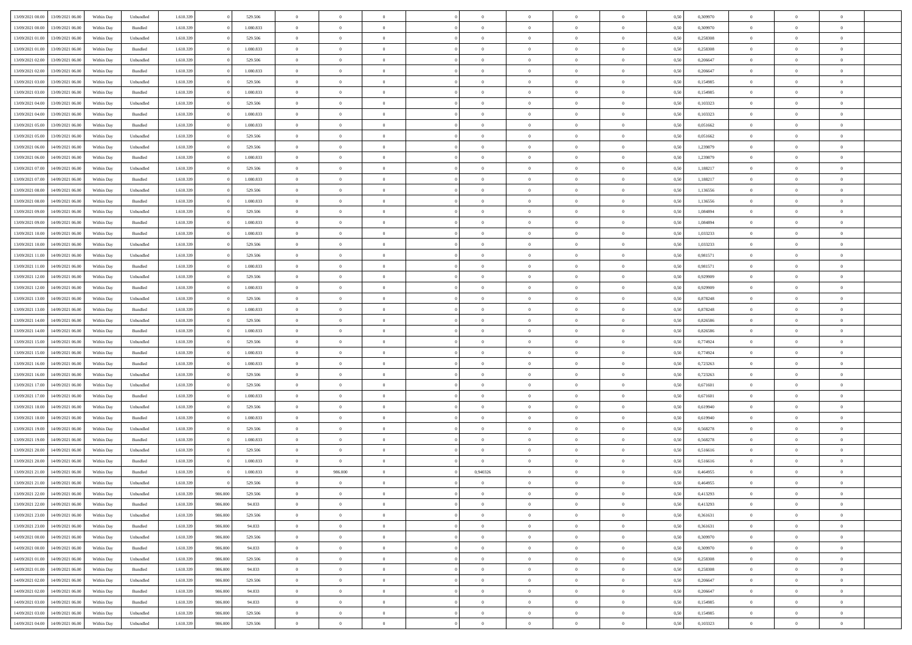| 13/09/2021 00:00 | 13/09/2021 06:00                  | Within Dav | Unbundled | 1.610.339 |         | 529.506   | $\overline{0}$ | $\Omega$       |                | $\Omega$       | $\Omega$       | $\theta$       | $\theta$       | 0.50 | 0,309970 | $\theta$       | $\theta$       | $\theta$       |  |
|------------------|-----------------------------------|------------|-----------|-----------|---------|-----------|----------------|----------------|----------------|----------------|----------------|----------------|----------------|------|----------|----------------|----------------|----------------|--|
|                  |                                   |            |           |           |         |           |                |                |                |                |                |                |                |      |          |                |                |                |  |
| 13/09/2021 00:00 | 13/09/2021 06:00                  | Within Day | Bundled   | 1.610.339 |         | 1.080.833 | $\overline{0}$ | $\theta$       | $\overline{0}$ | $\overline{0}$ | $\bf{0}$       | $\overline{0}$ | $\bf{0}$       | 0,50 | 0,309970 | $\theta$       | $\theta$       | $\overline{0}$ |  |
| 13/09/2021 01:00 | 13/09/2021 06:00                  | Within Day | Unbundled | 1.610.339 |         | 529.506   | $\overline{0}$ | $\overline{0}$ | $\overline{0}$ | $\bf{0}$       | $\bf{0}$       | $\bf{0}$       | $\bf{0}$       | 0,50 | 0,258308 | $\overline{0}$ | $\overline{0}$ | $\overline{0}$ |  |
|                  |                                   |            |           |           |         |           |                |                |                |                |                |                |                |      |          | $\theta$       |                |                |  |
| 13/09/2021 01:00 | 13/09/2021 06:00                  | Within Dav | Bundled   | 1.610.339 |         | 1.080.833 | $\overline{0}$ | $\overline{0}$ | $\overline{0}$ | $\overline{0}$ | $\bf{0}$       | $\overline{0}$ | $\overline{0}$ | 0.50 | 0.258308 |                | $\theta$       | $\overline{0}$ |  |
| 13/09/2021 02:00 | 13/09/2021 06:00                  | Within Day | Unbundled | 1.610.339 |         | 529.506   | $\overline{0}$ | $\theta$       | $\overline{0}$ | $\overline{0}$ | $\bf{0}$       | $\overline{0}$ | $\bf{0}$       | 0,50 | 0,206647 | $\theta$       | $\overline{0}$ | $\overline{0}$ |  |
| 13/09/2021 02:00 | 13/09/2021 06:00                  | Within Day | Bundled   | 1.610.339 |         | 1.080.833 | $\overline{0}$ | $\bf{0}$       | $\overline{0}$ | $\bf{0}$       | $\overline{0}$ | $\overline{0}$ | $\mathbf{0}$   | 0,50 | 0,206647 | $\overline{0}$ | $\overline{0}$ | $\bf{0}$       |  |
| 13/09/2021 03:00 | 13/09/2021 06:00                  | Within Dav | Unbundled | 1.610.339 |         | 529.506   | $\overline{0}$ | $\overline{0}$ | $\overline{0}$ | $\overline{0}$ | $\overline{0}$ | $\overline{0}$ | $\overline{0}$ | 0.50 | 0,154985 | $\theta$       | $\overline{0}$ | $\overline{0}$ |  |
|                  |                                   |            |           |           |         |           |                |                |                |                |                |                |                |      |          |                |                |                |  |
| 13/09/2021 03:00 | 13/09/2021 06:00                  | Within Day | Bundled   | 1.610.339 |         | 1.080.833 | $\overline{0}$ | $\theta$       | $\overline{0}$ | $\overline{0}$ | $\bf{0}$       | $\overline{0}$ | $\bf{0}$       | 0,50 | 0,154985 | $\theta$       | $\theta$       | $\overline{0}$ |  |
| 13/09/2021 04:00 | 13/09/2021 06:00                  | Within Day | Unbundled | 1.610.339 |         | 529.506   | $\overline{0}$ | $\overline{0}$ | $\overline{0}$ | $\bf{0}$       | $\bf{0}$       | $\bf{0}$       | $\bf{0}$       | 0,50 | 0,103323 | $\,0\,$        | $\overline{0}$ | $\overline{0}$ |  |
| 13/09/2021 04:00 | 13/09/2021 06:00                  | Within Dav | Bundled   | 1.610.339 |         | 1.080.833 | $\overline{0}$ | $\overline{0}$ | $\overline{0}$ | $\overline{0}$ | $\overline{0}$ | $\overline{0}$ | $\overline{0}$ | 0.50 | 0,103323 | $\theta$       | $\overline{0}$ | $\overline{0}$ |  |
|                  |                                   |            |           |           |         |           |                |                |                |                |                |                |                |      |          |                |                |                |  |
| 13/09/2021 05:00 | 13/09/2021 06:00                  | Within Day | Bundled   | 1.610.339 |         | 1.080.833 | $\overline{0}$ | $\theta$       | $\overline{0}$ | $\overline{0}$ | $\bf{0}$       | $\overline{0}$ | $\bf{0}$       | 0,50 | 0,051662 | $\,$ 0 $\,$    | $\theta$       | $\overline{0}$ |  |
| 13/09/2021 05:00 | 13/09/2021 06:00                  | Within Day | Unbundled | 1.610.339 |         | 529.506   | $\overline{0}$ | $\overline{0}$ | $\overline{0}$ | $\bf{0}$       | $\bf{0}$       | $\bf{0}$       | $\bf{0}$       | 0,50 | 0,051662 | $\overline{0}$ | $\overline{0}$ | $\overline{0}$ |  |
| 13/09/2021 06:00 | 14/09/2021 06:00                  | Within Day | Unbundled | 1.610.339 |         | 529.506   | $\overline{0}$ | $\overline{0}$ | $\overline{0}$ | $\overline{0}$ | $\bf{0}$       | $\overline{0}$ | $\overline{0}$ | 0.50 | 1,239879 | $\theta$       | $\theta$       | $\overline{0}$ |  |
|                  |                                   |            |           |           |         |           |                |                |                |                |                |                |                |      |          |                |                |                |  |
| 13/09/2021 06:00 | 14/09/2021 06:00                  | Within Day | Bundled   | 1.610.339 |         | 1.080.833 | $\overline{0}$ | $\theta$       | $\overline{0}$ | $\overline{0}$ | $\bf{0}$       | $\overline{0}$ | $\bf{0}$       | 0,50 | 1,239879 | $\theta$       | $\theta$       | $\overline{0}$ |  |
| 13/09/2021 07:00 | 14/09/2021 06:00                  | Within Day | Unbundled | 1.610.339 |         | 529.506   | $\overline{0}$ | $\bf{0}$       | $\overline{0}$ | $\bf{0}$       | $\overline{0}$ | $\overline{0}$ | $\mathbf{0}$   | 0,50 | 1,188217 | $\bf{0}$       | $\overline{0}$ | $\bf{0}$       |  |
| 13/09/2021 07:00 | 14/09/2021 06:00                  | Within Dav | Bundled   | 1.610.339 |         | 1.080.833 | $\overline{0}$ | $\overline{0}$ | $\overline{0}$ | $\overline{0}$ | $\overline{0}$ | $\overline{0}$ | $\overline{0}$ | 0.50 | 1,188217 | $\theta$       | $\overline{0}$ | $\overline{0}$ |  |
| 13/09/2021 08:00 | 14/09/2021 06:00                  | Within Day | Unbundled | 1.610.339 |         | 529.506   | $\overline{0}$ | $\theta$       | $\overline{0}$ | $\overline{0}$ | $\bf{0}$       | $\overline{0}$ | $\bf{0}$       | 0,50 | 1,136556 | $\,$ 0 $\,$    | $\theta$       | $\overline{0}$ |  |
|                  |                                   |            |           |           |         |           |                |                |                |                |                |                |                |      |          |                |                |                |  |
| 13/09/2021 08:00 | 14/09/2021 06:00                  | Within Day | Bundled   | 1.610.339 |         | 1.080.833 | $\overline{0}$ | $\overline{0}$ | $\overline{0}$ | $\bf{0}$       | $\bf{0}$       | $\bf{0}$       | $\bf{0}$       | 0,50 | 1,136556 | $\,0\,$        | $\overline{0}$ | $\overline{0}$ |  |
| 13/09/2021 09:00 | 14/09/2021 06:00                  | Within Day | Unbundled | 1.610.339 |         | 529.506   | $\overline{0}$ | $\overline{0}$ | $\overline{0}$ | $\overline{0}$ | $\overline{0}$ | $\overline{0}$ | $\overline{0}$ | 0.50 | 1,084894 | $\theta$       | $\overline{0}$ | $\overline{0}$ |  |
| 13/09/2021 09:00 | 14/09/2021 06:00                  | Within Day | Bundled   | 1.610.339 |         | 1.080.833 | $\overline{0}$ | $\theta$       | $\overline{0}$ | $\overline{0}$ | $\bf{0}$       | $\overline{0}$ | $\bf{0}$       | 0,50 | 1,084894 | $\,$ 0 $\,$    | $\theta$       | $\overline{0}$ |  |
|                  |                                   |            |           |           |         |           |                |                |                |                |                |                |                |      |          |                |                |                |  |
| 13/09/2021 10:00 | 14/09/2021 06:00                  | Within Day | Bundled   | 1.610.339 |         | 1.080.833 | $\overline{0}$ | $\overline{0}$ | $\overline{0}$ | $\bf{0}$       | $\bf{0}$       | $\bf{0}$       | $\bf{0}$       | 0,50 | 1,033233 | $\bf{0}$       | $\overline{0}$ | $\overline{0}$ |  |
| 13/09/2021 10:00 | 14/09/2021 06:00                  | Within Day | Unbundled | 1.610.339 |         | 529.506   | $\overline{0}$ | $\overline{0}$ | $\overline{0}$ | $\overline{0}$ | $\bf{0}$       | $\overline{0}$ | $\overline{0}$ | 0.50 | 1,033233 | $\theta$       | $\overline{0}$ | $\overline{0}$ |  |
| 13/09/2021 11:00 | 14/09/2021 06:00                  | Within Day | Unbundled | 1.610.339 |         | 529.506   | $\overline{0}$ | $\theta$       | $\overline{0}$ | $\overline{0}$ | $\bf{0}$       | $\overline{0}$ | $\bf{0}$       | 0,50 | 0,981571 | $\,$ 0 $\,$    | $\overline{0}$ | $\overline{0}$ |  |
| 13/09/2021 11:00 | 14/09/2021 06:00                  | Within Day | Bundled   | 1.610.339 |         | 1.080.833 | $\overline{0}$ | $\bf{0}$       | $\overline{0}$ | $\bf{0}$       | $\overline{0}$ | $\overline{0}$ | $\mathbf{0}$   | 0,50 | 0,981571 | $\bf{0}$       | $\overline{0}$ | $\bf{0}$       |  |
|                  |                                   |            |           |           |         |           |                |                |                |                |                |                |                |      |          |                |                |                |  |
| 13/09/2021 12:00 | 14/09/2021 06:00                  | Within Dav | Unbundled | 1.610.339 |         | 529.506   | $\overline{0}$ | $\overline{0}$ | $\overline{0}$ | $\overline{0}$ | $\overline{0}$ | $\overline{0}$ | $\overline{0}$ | 0.50 | 0.929909 | $\theta$       | $\overline{0}$ | $\overline{0}$ |  |
| 13/09/2021 12:00 | 14/09/2021 06:00                  | Within Day | Bundled   | 1.610.339 |         | 1.080.833 | $\overline{0}$ | $\theta$       | $\overline{0}$ | $\overline{0}$ | $\bf{0}$       | $\overline{0}$ | $\bf{0}$       | 0,50 | 0,929909 | $\theta$       | $\theta$       | $\overline{0}$ |  |
| 13/09/2021 13:00 | 14/09/2021 06:00                  | Within Day | Unbundled | 1.610.339 |         | 529.506   | $\overline{0}$ | $\overline{0}$ | $\overline{0}$ | $\bf{0}$       | $\bf{0}$       | $\bf{0}$       | $\bf{0}$       | 0,50 | 0,878248 | $\,0\,$        | $\overline{0}$ | $\overline{0}$ |  |
| 13/09/2021 13:00 | 14/09/2021 06:00                  |            | Bundled   | 1.610.339 |         | 1.080.833 | $\overline{0}$ | $\overline{0}$ | $\overline{0}$ | $\overline{0}$ | $\overline{0}$ | $\overline{0}$ | $\overline{0}$ | 0.50 | 0,878248 | $\theta$       | $\overline{0}$ | $\overline{0}$ |  |
|                  |                                   | Within Day |           |           |         |           |                |                |                |                |                |                |                |      |          |                |                |                |  |
| 13/09/2021 14:00 | 14/09/2021 06:00                  | Within Day | Unbundled | 1.610.339 |         | 529.506   | $\overline{0}$ | $\theta$       | $\overline{0}$ | $\overline{0}$ | $\bf{0}$       | $\overline{0}$ | $\bf{0}$       | 0,50 | 0,826586 | $\,$ 0 $\,$    | $\overline{0}$ | $\overline{0}$ |  |
| 13/09/2021 14:00 | 14/09/2021 06:00                  | Within Day | Bundled   | 1.610.339 |         | 1.080.833 | $\overline{0}$ | $\overline{0}$ | $\overline{0}$ | $\bf{0}$       | $\bf{0}$       | $\bf{0}$       | $\bf{0}$       | 0,50 | 0,826586 | $\bf{0}$       | $\overline{0}$ | $\overline{0}$ |  |
| 13/09/2021 15:00 | 14/09/2021 06:00                  | Within Day | Unbundled | 1.610.339 |         | 529.506   | $\overline{0}$ | $\Omega$       | $\overline{0}$ | $\Omega$       | $\Omega$       | $\overline{0}$ | $\overline{0}$ | 0,50 | 0,774924 | $\,0\,$        | $\theta$       | $\theta$       |  |
|                  |                                   |            |           |           |         |           |                |                |                |                |                |                |                |      |          |                |                |                |  |
| 13/09/2021 15:00 | 14/09/2021 06:00                  | Within Day | Bundled   | 1.610.339 |         | 1.080.833 | $\overline{0}$ | $\theta$       | $\overline{0}$ | $\overline{0}$ | $\bf{0}$       | $\overline{0}$ | $\bf{0}$       | 0,50 | 0,774924 | $\,$ 0 $\,$    | $\theta$       | $\overline{0}$ |  |
| 13/09/2021 16:00 | 14/09/2021 06:00                  | Within Day | Bundled   | 1.610.339 |         | 1.080.833 | $\overline{0}$ | $\overline{0}$ | $\overline{0}$ | $\bf{0}$       | $\bf{0}$       | $\overline{0}$ | $\mathbf{0}$   | 0,50 | 0,723263 | $\bf{0}$       | $\overline{0}$ | $\bf{0}$       |  |
| 13/09/2021 16:00 | 14/09/2021 06:00                  | Within Day | Unbundled | 1.610.339 |         | 529.506   | $\overline{0}$ | $\Omega$       | $\Omega$       | $\Omega$       | $\bf{0}$       | $\overline{0}$ | $\overline{0}$ | 0.50 | 0,723263 | $\,0\,$        | $\theta$       | $\theta$       |  |
|                  |                                   |            |           |           |         |           |                |                |                |                |                |                |                |      |          |                |                |                |  |
| 13/09/2021 17:00 | 14/09/2021 06:00                  | Within Day | Unbundled | 1.610.339 |         | 529.506   | $\overline{0}$ | $\theta$       | $\overline{0}$ | $\overline{0}$ | $\bf{0}$       | $\overline{0}$ | $\bf{0}$       | 0,50 | 0,671601 | $\,$ 0 $\,$    | $\theta$       | $\overline{0}$ |  |
| 13/09/2021 17:00 | 14/09/2021 06:00                  | Within Day | Bundled   | 1.610.339 |         | 1.080.833 | $\overline{0}$ | $\overline{0}$ | $\overline{0}$ | $\bf{0}$       | $\bf{0}$       | $\bf{0}$       | $\bf{0}$       | 0,50 | 0,671601 | $\,0\,$        | $\overline{0}$ | $\overline{0}$ |  |
| 13/09/2021 18:00 | 14/09/2021 06:00                  | Within Day | Unbundled | 1.610.339 |         | 529.506   | $\overline{0}$ | $\Omega$       | $\overline{0}$ | $\Omega$       | $\overline{0}$ | $\overline{0}$ | $\overline{0}$ | 0.50 | 0.619940 | $\,0\,$        | $\theta$       | $\theta$       |  |
| 13/09/2021 18:00 | 14/09/2021 06:00                  | Within Day | Bundled   | 1.610.339 |         | 1.080.833 | $\overline{0}$ | $\theta$       | $\overline{0}$ | $\overline{0}$ | $\bf{0}$       | $\overline{0}$ | $\bf{0}$       | 0,50 | 0,619940 | $\,$ 0 $\,$    | $\overline{0}$ | $\overline{0}$ |  |
|                  |                                   |            |           |           |         |           |                |                |                |                |                |                |                |      |          |                |                |                |  |
| 13/09/2021 19:00 | 14/09/2021 06:00                  | Within Day | Unbundled | 1.610.339 |         | 529.506   | $\overline{0}$ | $\overline{0}$ | $\overline{0}$ | $\bf{0}$       | $\bf{0}$       | $\bf{0}$       | $\bf{0}$       | 0,50 | 0,568278 | $\bf{0}$       | $\overline{0}$ | $\overline{0}$ |  |
| 13/09/2021 19:00 | 14/09/2021 06:00                  | Within Day | Bundled   | 1.610.339 |         | 1.080.833 | $\overline{0}$ | $\Omega$       | $\overline{0}$ | $\Omega$       | $\overline{0}$ | $\overline{0}$ | $\overline{0}$ | 0.50 | 0,568278 | $\,0\,$        | $\theta$       | $\theta$       |  |
| 13/09/2021 20:00 | 14/09/2021 06:00                  | Within Day | Unbundled | 1.610.339 |         | 529.506   | $\overline{0}$ | $\theta$       | $\overline{0}$ | $\overline{0}$ | $\,$ 0         | $\overline{0}$ | $\bf{0}$       | 0,50 | 0,516616 | $\,$ 0 $\,$    | $\overline{0}$ | $\overline{0}$ |  |
| 13/09/2021 20:00 | 14/09/2021 06:00                  | Within Day | Bundled   | 1.610.339 |         | 1.080.833 | $\overline{0}$ | $\overline{0}$ | $\overline{0}$ | $\bf{0}$       | $\bf{0}$       | $\bf{0}$       | $\mathbf{0}$   | 0,50 | 0,516616 | $\bf{0}$       | $\overline{0}$ | $\bf{0}$       |  |
|                  |                                   |            |           |           |         |           |                |                |                |                |                |                |                |      |          |                |                |                |  |
| 13/09/2021 21:00 | 14/09/2021 06:00                  | Within Day | Bundled   | 1.610.339 |         | 1.080.833 | $\overline{0}$ | 986,000        | $\Omega$       | 0.940326       | $\Omega$       | $\Omega$       | $\overline{0}$ | 0.50 | 0.464955 | $\theta$       | $\theta$       | $\theta$       |  |
| 13/09/2021 21:00 | 14/09/2021 06:00                  | Within Day | Unbundled | 1.610.339 |         | 529.506   | $\overline{0}$ | $\,$ 0 $\,$    | $\overline{0}$ | $\overline{0}$ | $\,$ 0         | $\bf{0}$       | $\bf{0}$       | 0,50 | 0,464955 | $\,0\,$        | $\overline{0}$ | $\overline{0}$ |  |
| 13/09/2021 22:00 | 14/09/2021 06:00                  | Within Day | Unbundled | 1.610.339 | 986.000 | 529.506   | $\bf{0}$       | $\bf{0}$       |                |                | $\bf{0}$       |                |                | 0,50 | 0,413293 | $\bf{0}$       | $\overline{0}$ |                |  |
|                  |                                   |            |           |           |         |           |                |                |                |                |                |                |                |      |          |                |                | $\Omega$       |  |
| 13/09/2021 22:00 | 14/09/2021 06:00                  | Within Day | Bundled   | 1.610.339 | 986,000 | 94.833    | $\overline{0}$ | $\overline{0}$ | $\overline{0}$ | $\Omega$       | $\overline{0}$ | $\overline{0}$ | $\overline{0}$ | 0,50 | 0,413293 | $\overline{0}$ | $\theta$       |                |  |
| 13/09/2021 23:00 | 14/09/2021 06:00                  | Within Day | Unbundled | 1.610.339 | 986.000 | 529.506   | $\overline{0}$ | $\bf{0}$       | $\overline{0}$ | $\bf{0}$       | $\,$ 0 $\,$    | $\overline{0}$ | $\,$ 0 $\,$    | 0,50 | 0,361631 | $\,$ 0 $\,$    | $\,$ 0 $\,$    | $\,$ 0         |  |
| 13/09/2021 23:00 | 14/09/2021 06:00                  | Within Day | Bundled   | 1.610.339 | 986.000 | 94.833    | $\overline{0}$ | $\overline{0}$ | $\overline{0}$ | $\overline{0}$ | $\overline{0}$ | $\overline{0}$ | $\mathbf{0}$   | 0,50 | 0,361631 | $\overline{0}$ | $\overline{0}$ | $\overline{0}$ |  |
| 14/09/2021 00:00 | 14/09/2021 06:00                  | Within Day |           | 1.610.339 | 986.000 |           | $\overline{0}$ | $\overline{0}$ | $\overline{0}$ | $\overline{0}$ | $\overline{0}$ | $\overline{0}$ | $\overline{0}$ | 0,50 | 0,309970 | $\overline{0}$ | $\theta$       | $\overline{0}$ |  |
|                  |                                   |            | Unbundled |           |         | 529.506   |                |                |                |                |                |                |                |      |          |                |                |                |  |
| 14/09/2021 00:00 | 14/09/2021 06:00                  | Within Day | Bundled   | 1.610.339 | 986.000 | 94.833    | $\overline{0}$ | $\,$ 0         | $\overline{0}$ | $\bf{0}$       | $\,$ 0 $\,$    | $\overline{0}$ | $\,$ 0 $\,$    | 0,50 | 0,309970 | $\,$ 0 $\,$    | $\overline{0}$ | $\,$ 0         |  |
| 14/09/2021 01:00 | 14/09/2021 06:00                  | Within Day | Unbundled | 1.610.339 | 986.000 | 529.506   | $\overline{0}$ | $\overline{0}$ | $\overline{0}$ | $\overline{0}$ | $\overline{0}$ | $\overline{0}$ | $\mathbf{0}$   | 0,50 | 0,258308 | $\overline{0}$ | $\overline{0}$ | $\overline{0}$ |  |
| 14/09/2021 01:00 | 14/09/2021 06:00                  | Within Day | Bundled   | 1.610.339 | 986.000 | 94.833    | $\overline{0}$ | $\overline{0}$ | $\overline{0}$ | $\overline{0}$ | $\overline{0}$ | $\overline{0}$ | $\overline{0}$ | 0.50 | 0,258308 | $\overline{0}$ | $\theta$       | $\overline{0}$ |  |
|                  |                                   |            |           |           |         |           |                |                |                |                |                |                |                |      |          |                |                |                |  |
| 14/09/2021 02:00 | 14/09/2021 06:00                  | Within Day | Unbundled | 1.610.339 | 986.000 | 529.506   | $\overline{0}$ | $\,$ 0         | $\overline{0}$ | $\bf{0}$       | $\bf{0}$       | $\bf{0}$       | $\bf{0}$       | 0,50 | 0,206647 | $\,$ 0 $\,$    | $\overline{0}$ | $\overline{0}$ |  |
| 14/09/2021 02:00 | 14/09/2021 06:00                  | Within Day | Bundled   | 1.610.339 | 986.000 | 94.833    | $\overline{0}$ | $\bf{0}$       | $\overline{0}$ | $\overline{0}$ | $\overline{0}$ | $\overline{0}$ | $\mathbf{0}$   | 0,50 | 0,206647 | $\overline{0}$ | $\overline{0}$ | $\bf{0}$       |  |
| 14/09/2021 03:00 | 14/09/2021 06:00                  | Within Day | Bundled   | 1.610.339 | 986,000 | 94.833    | $\overline{0}$ | $\overline{0}$ | $\overline{0}$ | $\Omega$       | $\overline{0}$ | $\overline{0}$ | $\overline{0}$ | 0.50 | 0,154985 | $\overline{0}$ | $\overline{0}$ | $\overline{0}$ |  |
| 14/09/2021 03:00 | 14/09/2021 06:00                  | Within Day | Unbundled | 1.610.339 | 986.000 | 529.506   | $\overline{0}$ | $\bf{0}$       | $\overline{0}$ | $\bf{0}$       | $\bf{0}$       | $\bf{0}$       | $\mathbf{0}$   | 0,50 | 0,154985 | $\,$ 0 $\,$    | $\,$ 0 $\,$    | $\bf{0}$       |  |
|                  |                                   |            |           |           |         |           |                |                |                |                |                |                |                |      |          |                |                |                |  |
|                  | 14/09/2021 04:00 14/09/2021 06:00 | Within Day | Unbundled | 1.610.339 | 986.000 | 529.506   | $\overline{0}$ | $\overline{0}$ | $\overline{0}$ | $\overline{0}$ | $\overline{0}$ | $\bf{0}$       | $\mathbf{0}$   | 0,50 | 0,103323 | $\overline{0}$ | $\bf{0}$       | $\overline{0}$ |  |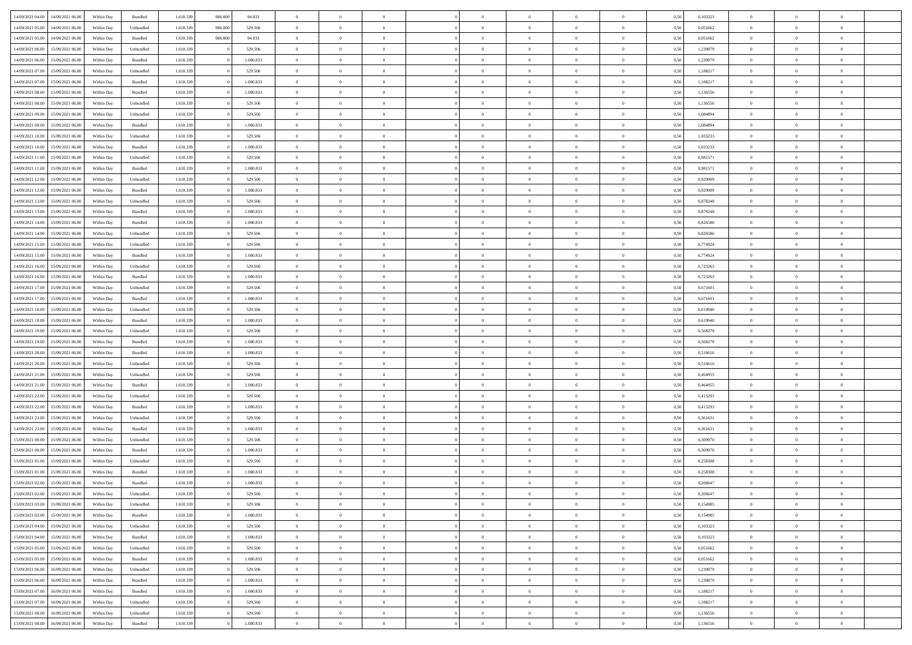| 14/09/2021 04:00                  | 14/09/2021 06:00 | Within Day | Bundled   | 1.610.339 | 986.000 | 94.833    | $\overline{0}$ | $\theta$       |                | $\overline{0}$ | $\bf{0}$       | $\overline{0}$ | $\theta$       | 0,50 | 0,103323 | $\theta$       | $\theta$       | $\overline{0}$           |  |
|-----------------------------------|------------------|------------|-----------|-----------|---------|-----------|----------------|----------------|----------------|----------------|----------------|----------------|----------------|------|----------|----------------|----------------|--------------------------|--|
| 14/09/2021 05:00                  | 14/09/2021 06.00 | Within Day | Unbundled | 1.610.33  | 986.000 | 529.506   | $\overline{0}$ | $\overline{0}$ | $\overline{0}$ | $\overline{0}$ | $\,$ 0         | $\bf{0}$       | $\bf{0}$       | 0,50 | 0,051662 | $\,$ 0 $\,$    | $\overline{0}$ | $\overline{0}$           |  |
|                                   |                  |            |           |           |         |           |                |                |                |                |                |                |                |      |          |                |                |                          |  |
| 14/09/2021 05:00                  | 14/09/2021 06:00 | Within Day | Bundled   | 1.610.339 | 986,000 | 94.833    | $\overline{0}$ | $\overline{0}$ | $\overline{0}$ | $\overline{0}$ | $\bf{0}$       | $\overline{0}$ | $\mathbf{0}$   | 0.50 | 0.051662 | $\bf{0}$       | $\overline{0}$ | $\overline{0}$           |  |
| 14/09/2021 06:00                  | 15/09/2021 06:00 | Within Day | Unbundled | 1.610.339 |         | 529.506   | $\overline{0}$ | $\overline{0}$ | $\overline{0}$ | $\overline{0}$ | $\,$ 0         | $\overline{0}$ | $\overline{0}$ | 0,50 | 1,239879 | $\,$ 0 $\,$    | $\overline{0}$ | $\overline{0}$           |  |
| 14/09/2021 06:00                  | 15/09/2021 06.00 | Within Day | Bundled   | 1.610.339 |         | 1.080.833 | $\overline{0}$ | $\theta$       | $\overline{0}$ |                | $\overline{0}$ | $\overline{0}$ | $\bf{0}$       | 0,50 | 1,239879 | $\,$ 0 $\,$    | $\overline{0}$ | $\overline{0}$           |  |
| 14/09/2021 07:00                  | 15/09/2021 06:00 | Within Day | Unbundled | 1.610.339 |         | 529.506   | $\overline{0}$ | $\overline{0}$ | $\overline{0}$ | $\overline{0}$ | $\bf{0}$       | $\overline{0}$ | $\bf{0}$       | 0.50 | 1.188217 | $\,0\,$        | $\theta$       | $\overline{0}$           |  |
| 14/09/2021 07:00                  | 15/09/2021 06:00 | Within Day | Bundled   | 1.610.339 |         | 1.080.833 | $\overline{0}$ | $\overline{0}$ | $\overline{0}$ | $\overline{0}$ | $\bf{0}$       | $\overline{0}$ | $\overline{0}$ | 0,50 | 1,188217 | $\,$ 0 $\,$    | $\theta$       | $\overline{0}$           |  |
| 14/09/2021 08:00                  | 15/09/2021 06.00 | Within Day | Bundled   | 1.610.339 |         | 1.080.833 | $\overline{0}$ | $\theta$       | $\overline{0}$ | $\overline{0}$ | $\,$ 0         | $\bf{0}$       | $\bf{0}$       | 0,50 | 1,136556 | $\,$ 0 $\,$    | $\overline{0}$ | $\overline{0}$           |  |
| 14/09/2021 08:00                  | 15/09/2021 06:00 | Within Day | Unbundled | 1.610.339 |         | 529.506   | $\overline{0}$ | $\overline{0}$ | $\overline{0}$ | $\overline{0}$ | $\bf{0}$       | $\overline{0}$ | $\bf{0}$       | 0.50 | 1.136556 | $\,0\,$        | $\overline{0}$ | $\overline{0}$           |  |
| 14/09/2021 09:00                  | 15/09/2021 06:00 | Within Day | Unbundled | 1.610.339 |         | 529.506   | $\overline{0}$ | $\overline{0}$ | $\overline{0}$ | $\overline{0}$ | $\,$ 0         | $\overline{0}$ | $\bf{0}$       | 0,50 | 1,084894 | $\,$ 0 $\,$    | $\overline{0}$ | $\overline{0}$           |  |
| 14/09/2021 09:00                  | 15/09/2021 06.00 | Within Day | Bundled   | 1.610.339 |         | 1.080.833 | $\overline{0}$ | $\theta$       | $\overline{0}$ | $\overline{0}$ | $\,$ 0         | $\overline{0}$ | $\bf{0}$       | 0,50 | 1,084894 | $\,$ 0 $\,$    | $\overline{0}$ | $\overline{0}$           |  |
| 14/09/2021 10:00                  | 15/09/2021 06:00 | Within Day | Unbundled | 1.610.339 |         | 529.506   | $\overline{0}$ | $\overline{0}$ | $\overline{0}$ | $\overline{0}$ | $\bf{0}$       | $\overline{0}$ | $\mathbf{0}$   | 0.50 | 1.033233 | $\bf{0}$       | $\overline{0}$ | $\bf{0}$                 |  |
|                                   |                  |            |           |           |         |           | $\overline{0}$ | $\overline{0}$ | $\overline{0}$ | $\overline{0}$ |                | $\overline{0}$ | $\overline{0}$ |      |          | $\,$ 0 $\,$    |                | $\overline{0}$           |  |
| 14/09/2021 10:00                  | 15/09/2021 06:00 | Within Day | Bundled   | 1.610.339 |         | 1.080.833 |                |                |                |                | $\,$ 0         |                |                | 0,50 | 1,033233 |                | $\overline{0}$ |                          |  |
| 14/09/2021 11:00                  | 15/09/2021 06.00 | Within Day | Unbundled | 1.610.339 |         | 529.506   | $\overline{0}$ | $\theta$       | $\overline{0}$ | $\overline{0}$ | $\overline{0}$ | $\overline{0}$ | $\bf{0}$       | 0,50 | 0,981571 | $\,$ 0 $\,$    | $\overline{0}$ | $\overline{0}$           |  |
| 14/09/2021 11:00                  | 15/09/2021 06:00 | Within Day | Bundled   | 1.610.339 |         | 1.080.833 | $\overline{0}$ | $\overline{0}$ | $\overline{0}$ | $\overline{0}$ | $\bf{0}$       | $\overline{0}$ | $\bf{0}$       | 0.50 | 0.981571 | $\,0\,$        | $\theta$       | $\overline{0}$           |  |
| 14/09/2021 12:00                  | 15/09/2021 06:00 | Within Day | Unbundled | 1.610.339 |         | 529.506   | $\overline{0}$ | $\overline{0}$ | $\overline{0}$ | $\overline{0}$ | $\,$ 0         | $\overline{0}$ | $\bf{0}$       | 0,50 | 0,929909 | $\,$ 0 $\,$    | $\theta$       | $\overline{0}$           |  |
| 14/09/2021 12:00                  | 15/09/2021 06.00 | Within Day | Bundled   | 1.610.339 |         | 1.080.833 | $\overline{0}$ | $\theta$       | $\overline{0}$ |                | $\,$ 0         | $\overline{0}$ | $\bf{0}$       | 0,50 | 0,929909 | $\,$ 0 $\,$    | $\overline{0}$ | $\overline{0}$           |  |
| 14/09/2021 13:00                  | 15/09/2021 06:00 | Within Day | Unbundled | 1.610.339 |         | 529.506   | $\overline{0}$ | $\overline{0}$ | $\overline{0}$ | $\overline{0}$ | $\bf{0}$       | $\overline{0}$ | $\bf{0}$       | 0.50 | 0.878248 | $\,0\,$        | $\overline{0}$ | $\overline{\phantom{a}}$ |  |
| 14/09/2021 13:00                  | 15/09/2021 06:00 | Within Day | Bundled   | 1.610.339 |         | 1.080.833 | $\overline{0}$ | $\overline{0}$ | $\overline{0}$ | $\overline{0}$ | $\bf{0}$       | $\overline{0}$ | $\bf{0}$       | 0,50 | 0,878248 | $\,$ 0 $\,$    | $\overline{0}$ | $\overline{0}$           |  |
| 14/09/2021 14:00                  | 15/09/2021 06.00 | Within Day | Bundled   | 1.610.339 |         | 1.080.833 | $\overline{0}$ | $\,$ 0 $\,$    | $\overline{0}$ | $\overline{0}$ | $\,$ 0         | $\bf{0}$       | $\bf{0}$       | 0,50 | 0,826586 | $\,$ 0 $\,$    | $\overline{0}$ | $\overline{0}$           |  |
| 14/09/2021 14:00                  | 15/09/2021 06:00 | Within Day | Unbundled | 1.610.339 |         | 529.506   | $\overline{0}$ | $\overline{0}$ | $\overline{0}$ | $\overline{0}$ | $\bf{0}$       | $\overline{0}$ | $\mathbf{0}$   | 0.50 | 0.826586 | $\bf{0}$       | $\overline{0}$ | $\bf{0}$                 |  |
| 14/09/2021 15:00                  | 15/09/2021 06:00 | Within Day | Unbundled | 1.610.339 |         | 529.506   | $\overline{0}$ | $\overline{0}$ | $\overline{0}$ | $\overline{0}$ | $\bf{0}$       | $\overline{0}$ | $\overline{0}$ | 0,50 | 0,774924 | $\,$ 0 $\,$    | $\overline{0}$ | $\overline{0}$           |  |
| 14/09/2021 15:00                  | 15/09/2021 06.00 | Within Day | Bundled   | 1.610.339 |         | 1.080.833 | $\overline{0}$ | $\theta$       | $\overline{0}$ | $\overline{0}$ | $\,$ 0         | $\overline{0}$ | $\bf{0}$       | 0,50 | 0,774924 | $\,$ 0 $\,$    | $\overline{0}$ | $\overline{0}$           |  |
|                                   |                  |            |           |           |         |           |                |                |                |                |                |                |                |      |          |                |                |                          |  |
| 14/09/2021 16:00                  | 15/09/2021 06:00 | Within Day | Unbundled | 1.610.339 |         | 529.506   | $\overline{0}$ | $\overline{0}$ | $\overline{0}$ | $\overline{0}$ | $\bf{0}$       | $\overline{0}$ | $\bf{0}$       | 0.50 | 0,723263 | $\,0\,$        | $\theta$       | $\overline{0}$           |  |
| 14/09/2021 16:00                  | 15/09/2021 06:00 | Within Day | Bundled   | 1.610.339 |         | 1.080.833 | $\overline{0}$ | $\overline{0}$ | $\overline{0}$ | $\overline{0}$ | $\,$ 0         | $\overline{0}$ | $\overline{0}$ | 0,50 | 0,723263 | $\,0\,$        | $\theta$       | $\overline{0}$           |  |
| 14/09/2021 17:00                  | 15/09/2021 06.00 | Within Day | Unbundled | 1.610.339 |         | 529.506   | $\overline{0}$ | $\theta$       | $\overline{0}$ |                | $\bf{0}$       | $\overline{0}$ | $\bf{0}$       | 0,50 | 0,671601 | $\,$ 0 $\,$    | $\overline{0}$ | $\overline{0}$           |  |
| 14/09/2021 17:00                  | 15/09/2021 06:00 | Within Day | Bundled   | 1.610.339 |         | 1.080.833 | $\overline{0}$ | $\overline{0}$ | $\overline{0}$ | $\overline{0}$ | $\bf{0}$       | $\overline{0}$ | $\bf{0}$       | 0.50 | 0.671601 | $\,0\,$        | $\overline{0}$ | $\overline{0}$           |  |
| 14/09/2021 18:00                  | 15/09/2021 06:00 | Within Day | Unbundled | 1.610.339 |         | 529.506   | $\overline{0}$ | $\overline{0}$ | $\overline{0}$ | $\overline{0}$ | $\bf{0}$       | $\overline{0}$ | $\bf{0}$       | 0,50 | 0,619940 | $\,$ 0 $\,$    | $\overline{0}$ | $\overline{0}$           |  |
| 14/09/2021 18:00                  | 15/09/2021 06.00 | Within Day | Bundled   | 1.610.339 |         | 1.080.833 | $\overline{0}$ | $\overline{0}$ | $\overline{0}$ | $\overline{0}$ | $\bf{0}$       | $\bf{0}$       | $\bf{0}$       | 0,50 | 0,619940 | $\,$ 0 $\,$    | $\overline{0}$ | $\overline{0}$           |  |
| 14/09/2021 19:00                  | 15/09/2021 06:00 | Within Day | Unbundled | 1.610.339 |         | 529.506   | $\overline{0}$ | $\overline{0}$ | $\overline{0}$ | $\overline{0}$ | $\bf{0}$       | $\overline{0}$ | $\mathbf{0}$   | 0.50 | 0.568278 | $\overline{0}$ | $\overline{0}$ | $\bf{0}$                 |  |
| 14/09/2021 19:00                  | 15/09/2021 06:00 | Within Dav | Bundled   | 1.610.339 |         | 1.080.833 | $\overline{0}$ | $\overline{0}$ | $\overline{0}$ | $\overline{0}$ | $\overline{0}$ | $\overline{0}$ | $\overline{0}$ | 0.50 | 0,568278 | $\theta$       | $\overline{0}$ | $\overline{0}$           |  |
| 14/09/2021 20:00                  | 15/09/2021 06.00 | Within Day | Bundled   | 1.610.339 |         | 1.080.833 | $\overline{0}$ | $\theta$       | $\overline{0}$ | $\overline{0}$ | $\,$ 0         | $\overline{0}$ | $\bf{0}$       | 0,50 | 0,516616 | $\,$ 0 $\,$    | $\overline{0}$ | $\overline{0}$           |  |
| 14/09/2021 20:00                  | 15/09/2021 06:00 | Within Day | Unbundled | 1.610.339 |         | 529.506   | $\overline{0}$ | $\overline{0}$ | $\overline{0}$ | $\overline{0}$ | $\bf{0}$       | $\overline{0}$ | $\bf{0}$       | 0.50 | 0.516616 | $\,0\,$        | $\theta$       | $\overline{0}$           |  |
| 14/09/2021 21:00                  | 15/09/2021 06:00 | Within Dav | Unbundled | 1.610.339 |         | 529.506   | $\overline{0}$ | $\overline{0}$ | $\Omega$       | $\overline{0}$ | $\mathbf{0}$   | $\overline{0}$ | $\overline{0}$ | 0.50 | 0,464955 | $\theta$       | $\overline{0}$ | $\overline{0}$           |  |
| 14/09/2021 21:00                  | 15/09/2021 06.00 | Within Day | Bundled   | 1.610.339 |         | 1.080.833 | $\bf{0}$       | $\theta$       | $\overline{0}$ | $\overline{0}$ | $\,$ 0         | $\overline{0}$ | $\bf{0}$       | 0,50 | 0,464955 | $\,$ 0 $\,$    | $\overline{0}$ | $\overline{0}$           |  |
|                                   | 15/09/2021 06:00 |            |           | 1.610.339 |         | 529.506   |                | $\overline{0}$ |                |                |                | $\overline{0}$ |                |      | 0.413293 |                | $\overline{0}$ |                          |  |
| 14/09/2021 22:00                  |                  | Within Day | Unbundled |           |         |           | $\overline{0}$ |                | $\overline{0}$ | $\overline{0}$ | $\bf{0}$       |                | $\bf{0}$       | 0.50 |          | $\bf{0}$       |                | $\overline{0}$           |  |
| 14/09/2021 22:00                  | 15/09/2021 06:00 | Within Dav | Bundled   | 1.610.339 |         | 1.080.833 | $\overline{0}$ | $\overline{0}$ | $\overline{0}$ | $\overline{0}$ | $\overline{0}$ | $\overline{0}$ | $\overline{0}$ | 0.50 | 0,413293 | $\theta$       | $\overline{0}$ | $\overline{0}$           |  |
| 14/09/2021 23:00                  | 15/09/2021 06.00 | Within Day | Unbundled | 1.610.339 |         | 529.506   | $\bf{0}$       | $\overline{0}$ | $\overline{0}$ | $\bf{0}$       | $\bf{0}$       | $\bf{0}$       | $\bf{0}$       | 0,50 | 0,361631 | $\,$ 0 $\,$    | $\overline{0}$ | $\overline{0}$           |  |
| 14/09/2021 23:00                  | 15/09/2021 06:00 | Within Day | Bundled   | 1.610.339 |         | 1.080.833 | $\overline{0}$ | $\overline{0}$ | $\overline{0}$ | $\overline{0}$ | $\bf{0}$       | $\overline{0}$ | $\mathbf{0}$   | 0.50 | 0.361631 | $\,$ 0 $\,$    | $\overline{0}$ | $\overline{0}$           |  |
| 15/09/2021 00:00                  | 15/09/2021 06:00 | Within Dav | Unbundled | 1.610.339 |         | 529.506   | $\overline{0}$ | $\overline{0}$ | $\Omega$       | $\overline{0}$ | $\mathbf{0}$   | $\overline{0}$ | $\overline{0}$ | 0.50 | 0,309970 | $\theta$       | $\overline{0}$ | $\overline{0}$           |  |
| 15/09/2021 00:00                  | 15/09/2021 06.00 | Within Day | Bundled   | 1.610.339 |         | 1.080.833 | $\overline{0}$ | $\overline{0}$ | $\overline{0}$ | $\overline{0}$ | $\,$ 0         | $\overline{0}$ | $\bf{0}$       | 0,50 | 0,309970 | $\,$ 0 $\,$    | $\overline{0}$ | $\overline{0}$           |  |
| 15/09/2021 01:00                  | 15/09/2021 06:00 | Within Day | Unbundled | 1.610.339 |         | 529.506   | $\overline{0}$ | $\overline{0}$ | $\overline{0}$ | $\overline{0}$ | $\bf{0}$       | $\overline{0}$ | $\bf{0}$       | 0.50 | 0.258308 | $\,0\,$        | $\theta$       | $\overline{0}$           |  |
| 15/09/2021 01:00                  | 15/09/2021 06:00 | Within Dav | Bundled   | 1.610.339 |         | 1.080.833 | $\overline{0}$ | $\Omega$       | $\Omega$       | $\Omega$       | $\bf{0}$       | $\overline{0}$ | $\bf{0}$       | 0.50 | 0,258308 | $\theta$       | $\theta$       | $\overline{0}$           |  |
| 15/09/2021 02:00                  | 15/09/2021 06:00 | Within Day | Bundled   | 1.610.339 |         | 1.080.833 | $\bf{0}$       | $\,$ 0 $\,$    | $\overline{0}$ | $\overline{0}$ | $\,$ 0         | $\bf{0}$       | $\bf{0}$       | 0,50 | 0,206647 | $\,$ 0 $\,$    | $\overline{0}$ | $\overline{0}$           |  |
| 15/09/2021 02:00                  | 15/09/2021 06:00 | Within Day | Unbundled | 1.610.339 |         | 529.506   | $\bf{0}$       | $\bf{0}$       |                |                |                |                |                | 0,50 | 0.206647 | $\bf{0}$       | $\bf{0}$       |                          |  |
| 15/09/2021 03:00 15/09/2021 06:00 |                  | Within Day | Unbundled | 1.610.339 |         | 529.506   | $\overline{0}$ | $\overline{0}$ | $\overline{0}$ | $\overline{0}$ | $\overline{0}$ | $\overline{0}$ | $\mathbf{0}$   | 0,50 | 0,154985 | $\theta$       | $\overline{0}$ | $\overline{0}$           |  |
| 15/09/2021 03:00                  | 15/09/2021 06:00 | Within Day | Bundled   | 1.610.339 |         | 1.080.833 | $\overline{0}$ | $\overline{0}$ | $\overline{0}$ | $\bf{0}$       | $\overline{0}$ | $\overline{0}$ | $\bf{0}$       | 0,50 | 0,154985 | $\overline{0}$ | $\overline{0}$ | $\bf{0}$                 |  |
|                                   |                  |            |           |           |         |           | $\overline{0}$ |                |                | $\overline{0}$ |                |                |                | 0.50 | 0,103323 | $\overline{0}$ |                |                          |  |
| 15/09/2021 04:00                  | 15/09/2021 06:00 | Within Day | Unbundled | 1.610.339 |         | 529.506   |                | $\overline{0}$ | $\overline{0}$ |                | $\overline{0}$ | $\overline{0}$ | $\mathbf{0}$   |      |          |                | $\bf{0}$       | $\bf{0}$                 |  |
| 15/09/2021 04:00                  | 15/09/2021 06:00 | Within Day | Bundled   | 1.610.339 |         | 1.080.833 | $\overline{0}$ | $\overline{0}$ | $\overline{0}$ | $\overline{0}$ | $\overline{0}$ | $\overline{0}$ | $\mathbf{0}$   | 0,50 | 0,103323 | $\overline{0}$ | $\theta$       | $\overline{0}$           |  |
| 15/09/2021 05:00                  | 15/09/2021 06:00 | Within Day | Unbundled | 1.610.339 |         | 529.506   | $\overline{0}$ | $\overline{0}$ | $\overline{0}$ | $\overline{0}$ | $\bf{0}$       | $\bf{0}$       | $\bf{0}$       | 0,50 | 0,051662 | $\,$ 0 $\,$    | $\overline{0}$ | $\overline{0}$           |  |
| 15/09/2021 05:00                  | 15/09/2021 06:00 | Within Day | Bundled   | 1.610.339 |         | 1.080.833 | $\overline{0}$ | $\overline{0}$ | $\overline{0}$ | $\overline{0}$ | $\bf{0}$       | $\overline{0}$ | $\mathbf{0}$   | 0.50 | 0.051662 | $\,$ 0 $\,$    | $\overline{0}$ | $\overline{0}$           |  |
| 15/09/2021 06:00                  | 16/09/2021 06:00 | Within Day | Unbundled | 1.610.339 |         | 529.506   | $\overline{0}$ | $\overline{0}$ | $\overline{0}$ | $\overline{0}$ | $\overline{0}$ | $\overline{0}$ | $\overline{0}$ | 0,50 | 1,239879 | $\overline{0}$ | $\overline{0}$ | $\overline{0}$           |  |
| 15/09/2021 06:00                  | 16/09/2021 06:00 | Within Day | Bundled   | 1.610.339 |         | 1.080.833 | $\overline{0}$ | $\,$ 0         | $\overline{0}$ | $\bf{0}$       | $\overline{0}$ | $\overline{0}$ | $\bf{0}$       | 0,50 | 1,239879 | $\,$ 0 $\,$    | $\overline{0}$ | $\overline{0}$           |  |
| 15/09/2021 07:00                  | 16/09/2021 06:00 | Within Day | Bundled   | 1.610.339 |         | 1.080.833 | $\overline{0}$ | $\overline{0}$ | $\overline{0}$ | $\overline{0}$ | $\bf{0}$       | $\overline{0}$ | $\mathbf{0}$   | 0.50 | 1.188217 | $\mathbf{0}$   | $\bf{0}$       | $\bf{0}$                 |  |
| 15/09/2021 07:00                  | 16/09/2021 06:00 | Within Day | Unbundled | 1.610.339 |         | 529.506   | $\overline{0}$ | $\overline{0}$ | $\overline{0}$ | $\overline{0}$ | $\overline{0}$ | $\overline{0}$ | $\overline{0}$ | 0,50 | 1,188217 | $\overline{0}$ | $\overline{0}$ | $\overline{0}$           |  |
| 15/09/2021 08:00                  | 16/09/2021 06:00 | Within Day | Unbundled | 1.610.339 |         | 529.506   | $\overline{0}$ | $\bf{0}$       | $\overline{0}$ | $\bf{0}$       | $\bf{0}$       | $\bf{0}$       | $\bf{0}$       | 0,50 | 1,136556 | $\overline{0}$ | $\overline{0}$ | $\bf{0}$                 |  |
| 15/09/2021 08:00 16/09/2021 06:00 |                  | Within Day | Bundled   | 1.610.339 |         | 1.080.833 | $\,$ 0 $\,$    | $\,$ 0 $\,$    | $\overline{0}$ | $\overline{0}$ | $\,$ 0 $\,$    | $\,$ 0 $\,$    | $\,$ 0 $\,$    | 0,50 | 1,136556 | $\overline{0}$ | $\,$ 0 $\,$    | $\,$ 0 $\,$              |  |
|                                   |                  |            |           |           |         |           |                |                |                |                |                |                |                |      |          |                |                |                          |  |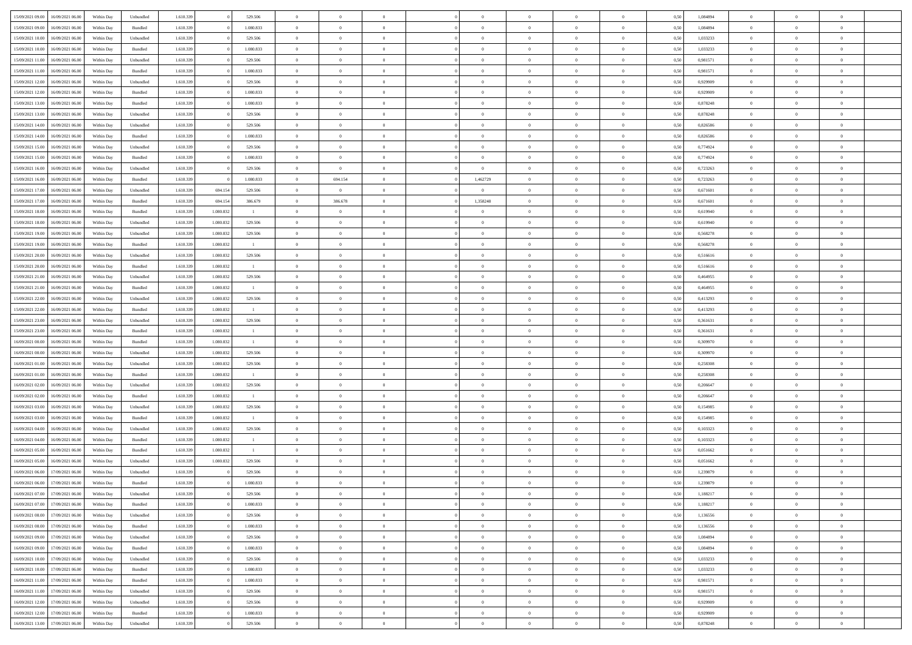|                  |                                   |            |           |           |           |                | $\overline{0}$ | $\Omega$       |                |                | $\Omega$       | $\theta$       | $\theta$       |      |          | $\theta$       |                | $\theta$       |  |
|------------------|-----------------------------------|------------|-----------|-----------|-----------|----------------|----------------|----------------|----------------|----------------|----------------|----------------|----------------|------|----------|----------------|----------------|----------------|--|
| 15/09/2021 09:00 | 16/09/2021 06:00                  | Within Day | Unbundled | 1.610.339 |           | 529.506        |                |                |                | $\Omega$       |                |                |                | 0,50 | 1,084894 |                | $\theta$       |                |  |
| 15/09/2021 09:00 | 16/09/2021 06:00                  | Within Day | Bundled   | 1.610.339 |           | 1.080.833      | $\overline{0}$ | $\theta$       | $\overline{0}$ | $\overline{0}$ | $\bf{0}$       | $\overline{0}$ | $\bf{0}$       | 0,50 | 1,084894 | $\theta$       | $\overline{0}$ | $\overline{0}$ |  |
| 15/09/2021 10:00 | 16/09/2021 06:00                  | Within Day | Unbundled | 1.610.339 |           | 529.506        | $\overline{0}$ | $\overline{0}$ | $\overline{0}$ | $\bf{0}$       | $\bf{0}$       | $\bf{0}$       | $\bf{0}$       | 0,50 | 1,033233 | $\overline{0}$ | $\overline{0}$ | $\overline{0}$ |  |
| 15/09/2021 10:00 | 16/09/2021 06:00                  | Within Dav | Bundled   | 1.610.339 |           | 1.080.833      | $\overline{0}$ | $\overline{0}$ | $\overline{0}$ | $\overline{0}$ | $\bf{0}$       | $\overline{0}$ | $\overline{0}$ | 0.50 | 1,033233 | $\theta$       | $\theta$       | $\overline{0}$ |  |
|                  |                                   |            |           |           |           |                |                |                |                |                |                |                |                |      |          |                |                |                |  |
| 15/09/2021 11:00 | 16/09/2021 06:00                  | Within Day | Unbundled | 1.610.339 |           | 529.506        | $\overline{0}$ | $\theta$       | $\overline{0}$ | $\overline{0}$ | $\bf{0}$       | $\overline{0}$ | $\bf{0}$       | 0,50 | 0,981571 | $\theta$       | $\overline{0}$ | $\overline{0}$ |  |
| 15/09/2021 11:00 | 16/09/2021 06:00                  | Within Day | Bundled   | 1.610.339 |           | 1.080.833      | $\overline{0}$ | $\bf{0}$       | $\overline{0}$ | $\bf{0}$       | $\overline{0}$ | $\overline{0}$ | $\mathbf{0}$   | 0,50 | 0,981571 | $\overline{0}$ | $\overline{0}$ | $\bf{0}$       |  |
| 15/09/2021 12:00 | 16/09/2021 06:00                  | Within Dav | Unbundled | 1.610.339 |           | 529.506        | $\overline{0}$ | $\overline{0}$ | $\overline{0}$ | $\overline{0}$ | $\overline{0}$ | $\overline{0}$ | $\overline{0}$ | 0.50 | 0,929909 | $\theta$       | $\overline{0}$ | $\overline{0}$ |  |
| 15/09/2021 12:00 | 16/09/2021 06:00                  | Within Day | Bundled   | 1.610.339 |           | 1.080.833      | $\overline{0}$ | $\theta$       | $\overline{0}$ | $\overline{0}$ | $\bf{0}$       | $\overline{0}$ | $\bf{0}$       | 0,50 | 0,929909 | $\theta$       | $\theta$       | $\overline{0}$ |  |
| 15/09/2021 13:00 | 16/09/2021 06:00                  | Within Day | Bundled   | 1.610.339 |           | 1.080.833      | $\overline{0}$ | $\overline{0}$ | $\overline{0}$ | $\bf{0}$       | $\bf{0}$       | $\bf{0}$       | $\bf{0}$       | 0,50 | 0,878248 | $\,0\,$        | $\overline{0}$ | $\overline{0}$ |  |
|                  |                                   |            |           |           |           |                |                |                |                |                |                |                |                |      |          |                |                |                |  |
| 15/09/2021 13:00 | 16/09/2021 06:00                  | Within Dav | Unbundled | 1.610.339 |           | 529.506        | $\overline{0}$ | $\overline{0}$ | $\overline{0}$ | $\overline{0}$ | $\overline{0}$ | $\overline{0}$ | $\overline{0}$ | 0.50 | 0,878248 | $\theta$       | $\overline{0}$ | $\overline{0}$ |  |
| 15/09/2021 14:00 | 16/09/2021 06:00                  | Within Day | Unbundled | 1.610.339 |           | 529.506        | $\overline{0}$ | $\theta$       | $\overline{0}$ | $\overline{0}$ | $\bf{0}$       | $\overline{0}$ | $\bf{0}$       | 0,50 | 0,826586 | $\,$ 0 $\,$    | $\overline{0}$ | $\overline{0}$ |  |
| 15/09/2021 14:00 | 16/09/2021 06:00                  | Within Day | Bundled   | 1.610.339 |           | 1.080.833      | $\overline{0}$ | $\overline{0}$ | $\overline{0}$ | $\bf{0}$       | $\bf{0}$       | $\bf{0}$       | $\bf{0}$       | 0,50 | 0,826586 | $\overline{0}$ | $\overline{0}$ | $\overline{0}$ |  |
| 15/09/2021 15:00 | 16/09/2021 06:00                  | Within Day | Unbundled | 1.610.339 |           | 529.506        | $\overline{0}$ | $\overline{0}$ | $\overline{0}$ | $\overline{0}$ | $\bf{0}$       | $\overline{0}$ | $\overline{0}$ | 0.50 | 0,774924 | $\theta$       | $\theta$       | $\overline{0}$ |  |
| 15/09/2021 15:00 | 16/09/2021 06:00                  | Within Day | Bundled   | 1.610.339 |           | 1.080.833      | $\overline{0}$ | $\theta$       | $\overline{0}$ | $\overline{0}$ | $\bf{0}$       | $\overline{0}$ | $\bf{0}$       | 0,50 | 0,774924 | $\theta$       | $\overline{0}$ | $\overline{0}$ |  |
|                  |                                   |            |           |           |           |                |                |                |                |                |                |                |                |      |          |                |                |                |  |
| 15/09/2021 16:00 | 16/09/2021 06:00                  | Within Day | Unbundled | 1.610.339 |           | 529.506        | $\overline{0}$ | $\overline{0}$ | $\overline{0}$ | $\bf{0}$       | $\bf{0}$       | $\overline{0}$ | $\mathbf{0}$   | 0,50 | 0,723263 | $\overline{0}$ | $\overline{0}$ | $\bf{0}$       |  |
| 15/09/2021 16:00 | 16/09/2021 06:00                  | Within Dav | Bundled   | 1.610.339 |           | 1.080.833      | $\overline{0}$ | 694.154        | $\overline{0}$ | 1,462729       | $\bf{0}$       | $\overline{0}$ | $\overline{0}$ | 0.50 | 0,723263 | $\theta$       | $\overline{0}$ | $\overline{0}$ |  |
| 15/09/2021 17:00 | 16/09/2021 06:00                  | Within Day | Unbundled | 1.610.339 | 694.154   | 529.506        | $\overline{0}$ | $\overline{0}$ | $\overline{0}$ | $\overline{0}$ | $\bf{0}$       | $\overline{0}$ | $\bf{0}$       | 0,50 | 0,671601 | $\,$ 0 $\,$    | $\theta$       | $\overline{0}$ |  |
| 15/09/2021 17:00 | 16/09/2021 06:00                  | Within Day | Bundled   | 1.610.339 | 694.154   | 386.679        | $\overline{0}$ | 386.678        | $\overline{0}$ | 1,358248       | $\bf{0}$       | $\bf{0}$       | $\bf{0}$       | 0,50 | 0,671601 | $\,0\,$        | $\overline{0}$ | $\overline{0}$ |  |
| 15/09/2021 18:00 | 16/09/2021 06:00                  | Within Dav | Bundled   | 1.610.339 | 1.080.832 | $\mathbf{1}$   | $\overline{0}$ | $\overline{0}$ | $\overline{0}$ | $\overline{0}$ | $\overline{0}$ | $\overline{0}$ | $\overline{0}$ | 0.50 | 0,619940 | $\theta$       | $\overline{0}$ | $\overline{0}$ |  |
|                  |                                   |            |           |           |           |                |                |                |                |                |                |                |                |      |          |                |                |                |  |
| 15/09/2021 18:00 | 16/09/2021 06:00                  | Within Day | Unbundled | 1.610.339 | 1.080.832 | 529.506        | $\overline{0}$ | $\theta$       | $\overline{0}$ | $\overline{0}$ | $\bf{0}$       | $\overline{0}$ | $\bf{0}$       | 0,50 | 0,619940 | $\,$ 0 $\,$    | $\theta$       | $\overline{0}$ |  |
| 15/09/2021 19:00 | 16/09/2021 06:00                  | Within Day | Unbundled | 1.610.339 | 1.080.832 | 529.506        | $\overline{0}$ | $\overline{0}$ | $\overline{0}$ | $\bf{0}$       | $\bf{0}$       | $\bf{0}$       | $\bf{0}$       | 0,50 | 0,568278 | $\bf{0}$       | $\overline{0}$ | $\overline{0}$ |  |
| 15/09/2021 19:00 | 16/09/2021 06:00                  | Within Day | Bundled   | 1.610.339 | 1.080.832 | $\mathbf{1}$   | $\overline{0}$ | $\overline{0}$ | $\overline{0}$ | $\overline{0}$ | $\bf{0}$       | $\overline{0}$ | $\overline{0}$ | 0.50 | 0,568278 | $\theta$       | $\overline{0}$ | $\overline{0}$ |  |
| 15/09/2021 20:00 | 16/09/2021 06:00                  | Within Day | Unbundled | 1.610.339 | 1.080.832 | 529.506        | $\overline{0}$ | $\theta$       | $\overline{0}$ | $\overline{0}$ | $\bf{0}$       | $\overline{0}$ | $\bf{0}$       | 0,50 | 0,516616 | $\theta$       | $\overline{0}$ | $\overline{0}$ |  |
| 15/09/2021 20:00 | 16/09/2021 06:00                  | Within Day | Bundled   | 1.610.339 | 1.080.832 | $\mathbf{1}$   | $\overline{0}$ | $\overline{0}$ | $\overline{0}$ | $\bf{0}$       | $\overline{0}$ | $\overline{0}$ | $\mathbf{0}$   | 0,50 | 0,516616 | $\overline{0}$ | $\overline{0}$ | $\bf{0}$       |  |
|                  |                                   |            |           |           |           |                |                |                |                |                |                |                |                |      |          |                |                |                |  |
| 15/09/2021 21:00 | 16/09/2021 06:00                  | Within Dav | Unbundled | 1.610.339 | 1.080.832 | 529.506        | $\overline{0}$ | $\overline{0}$ | $\overline{0}$ | $\overline{0}$ | $\overline{0}$ | $\overline{0}$ | $\overline{0}$ | 0.50 | 0,464955 | $\theta$       | $\overline{0}$ | $\overline{0}$ |  |
| 15/09/2021 21:00 | 16/09/2021 06:00                  | Within Day | Bundled   | 1.610.339 | 1.080.832 | -1             | $\overline{0}$ | $\theta$       | $\overline{0}$ | $\overline{0}$ | $\bf{0}$       | $\overline{0}$ | $\bf{0}$       | 0,50 | 0,464955 | $\theta$       | $\theta$       | $\overline{0}$ |  |
| 15/09/2021 22:00 | 16/09/2021 06:00                  | Within Day | Unbundled | 1.610.339 | 1.080.832 | 529.506        | $\overline{0}$ | $\overline{0}$ | $\overline{0}$ | $\bf{0}$       | $\bf{0}$       | $\bf{0}$       | $\bf{0}$       | 0,50 | 0,413293 | $\,0\,$        | $\overline{0}$ | $\overline{0}$ |  |
| 15/09/2021 22:00 | 16/09/2021 06:00                  | Within Day | Bundled   | 1.610.339 | 1.080.832 | $\mathbf{1}$   | $\overline{0}$ | $\overline{0}$ | $\overline{0}$ | $\overline{0}$ | $\overline{0}$ | $\overline{0}$ | $\overline{0}$ | 0.50 | 0,413293 | $\theta$       | $\overline{0}$ | $\overline{0}$ |  |
| 15/09/2021 23:00 | 16/09/2021 06:00                  | Within Day | Unbundled | 1.610.339 | 1.080.832 | 529.506        | $\overline{0}$ | $\theta$       | $\overline{0}$ | $\overline{0}$ | $\bf{0}$       | $\overline{0}$ | $\bf{0}$       | 0,50 | 0,361631 | $\,$ 0 $\,$    | $\overline{0}$ | $\overline{0}$ |  |
| 15/09/2021 23.00 | 16/09/2021 06:00                  | Within Day | Bundled   | 1.610.339 | 1.080.832 | $\overline{1}$ | $\overline{0}$ | $\overline{0}$ | $\overline{0}$ | $\bf{0}$       | $\bf{0}$       | $\bf{0}$       | $\bf{0}$       | 0,50 | 0,361631 | $\overline{0}$ | $\overline{0}$ | $\overline{0}$ |  |
|                  |                                   |            |           |           |           |                |                |                |                |                |                |                |                |      |          |                |                | $\theta$       |  |
| 16/09/2021 00:00 | 16/09/2021 06:00                  | Within Day | Bundled   | 1.610.339 | 1.080.832 | -1             | $\overline{0}$ | $\Omega$       | $\Omega$       | $\Omega$       | $\Omega$       | $\Omega$       | $\overline{0}$ | 0,50 | 0,309970 | $\,0\,$        | $\theta$       |                |  |
| 16/09/2021 00:00 | 16/09/2021 06:00                  | Within Day | Unbundled | 1.610.339 | 1.080.832 | 529.506        | $\overline{0}$ | $\theta$       | $\overline{0}$ | $\overline{0}$ | $\bf{0}$       | $\overline{0}$ | $\bf{0}$       | 0,50 | 0,309970 | $\theta$       | $\overline{0}$ | $\overline{0}$ |  |
| 16/09/2021 01:00 | 16/09/2021 06:00                  | Within Day | Unbundled | 1.610.339 | 1.080.832 | 529.506        | $\overline{0}$ | $\overline{0}$ | $\overline{0}$ | $\bf{0}$       | $\bf{0}$       | $\overline{0}$ | $\mathbf{0}$   | 0,50 | 0,258308 | $\overline{0}$ | $\overline{0}$ | $\bf{0}$       |  |
| 16/09/2021 01:00 | 16/09/2021 06:00                  | Within Day | Bundled   | 1.610.339 | 1.080.832 | $\mathbf{1}$   | $\overline{0}$ | $\Omega$       | $\Omega$       | $\Omega$       | $\bf{0}$       | $\overline{0}$ | $\overline{0}$ | 0.50 | 0,258308 | $\theta$       | $\theta$       | $\theta$       |  |
| 16/09/2021 02:00 | 16/09/2021 06:00                  | Within Day | Unbundled | 1.610.339 | 1.080.832 | 529.506        | $\overline{0}$ | $\theta$       | $\overline{0}$ | $\overline{0}$ | $\bf{0}$       | $\overline{0}$ | $\bf{0}$       | 0,50 | 0,206647 | $\,$ 0 $\,$    | $\theta$       | $\overline{0}$ |  |
| 16/09/2021 02:00 | 16/09/2021 06:00                  | Within Day | Bundled   | 1.610.339 | 1.080.832 | $\mathbf{1}$   | $\overline{0}$ | $\overline{0}$ | $\overline{0}$ | $\bf{0}$       | $\bf{0}$       | $\bf{0}$       | $\bf{0}$       | 0,50 | 0,206647 | $\bf{0}$       | $\overline{0}$ | $\overline{0}$ |  |
|                  |                                   |            |           |           |           |                |                |                |                |                |                |                |                |      |          |                |                |                |  |
| 16/09/2021 03:00 | 16/09/2021 06:00                  | Within Day | Unbundled | 1.610.339 | 1.080.832 | 529.506        | $\overline{0}$ | $\Omega$       | $\Omega$       | $\Omega$       | $\theta$       | $\theta$       | $\overline{0}$ | 0.50 | 0,154985 | $\theta$       | $\theta$       | $\theta$       |  |
| 16/09/2021 03:00 | 16/09/2021 06:00                  | Within Day | Bundled   | 1.610.339 | 1.080.832 | $\mathbf{1}$   | $\overline{0}$ | $\overline{0}$ | $\overline{0}$ | $\overline{0}$ | $\bf{0}$       | $\overline{0}$ | $\bf{0}$       | 0,50 | 0,154985 | $\,$ 0 $\,$    | $\overline{0}$ | $\overline{0}$ |  |
| 16/09/2021 04:00 | 16/09/2021 06:00                  | Within Day | Unbundled | 1.610.339 | 1.080.832 | 529.506        | $\overline{0}$ | $\bf{0}$       | $\overline{0}$ | $\bf{0}$       | $\bf{0}$       | $\bf{0}$       | $\bf{0}$       | 0,50 | 0,103323 | $\overline{0}$ | $\overline{0}$ | $\overline{0}$ |  |
| 16/09/2021 04:00 | 16/09/2021 06:00                  | Within Day | Bundled   | 1.610.339 | 1.080.832 | -1             | $\overline{0}$ | $\Omega$       | $\overline{0}$ | $\Omega$       | $\Omega$       | $\overline{0}$ | $\overline{0}$ | 0,50 | 0,103323 | $\,0\,$        | $\theta$       | $\theta$       |  |
| 16/09/2021 05:00 | 16/09/2021 06:00                  | Within Day | Bundled   | 1.610.339 | 1.080.832 | $\mathbf{1}$   | $\overline{0}$ | $\overline{0}$ | $\overline{0}$ | $\overline{0}$ | $\bf{0}$       | $\overline{0}$ | $\bf{0}$       | 0,50 | 0,051662 | $\,$ 0 $\,$    | $\overline{0}$ | $\overline{0}$ |  |
| 16/09/2021 05:00 | 16/09/2021 06:00                  | Within Day | Unbundled | 1.610.339 | 1.080.832 | 529.506        | $\overline{0}$ | $\overline{0}$ | $\overline{0}$ | $\bf{0}$       | $\bf{0}$       | $\bf{0}$       | $\mathbf{0}$   | 0,50 | 0,051662 | $\bf{0}$       | $\overline{0}$ | $\bf{0}$       |  |
|                  |                                   |            |           |           |           |                |                |                |                |                |                |                |                |      |          |                |                |                |  |
| 16/09/2021 06:00 | 17/09/2021 06:00                  | Within Day | Unbundled | 1.610.339 |           | 529.506        | $\overline{0}$ | $\Omega$       | $\Omega$       | $\Omega$       | $\Omega$       | $\Omega$       | $\Omega$       | 0.50 | 1,239879 | $\theta$       | $\theta$       | $\theta$       |  |
| 16/09/2021 06:00 | 17/09/2021 06:00                  | Within Day | Bundled   | 1.610.339 |           | 1.080.833      | $\overline{0}$ | $\,$ 0 $\,$    | $\overline{0}$ | $\bf{0}$       | $\,$ 0         | $\bf{0}$       | $\bf{0}$       | 0,50 | 1,239879 | $\,0\,$        | $\,$ 0 $\,$    | $\overline{0}$ |  |
|                  | 16/09/2021 07:00 17/09/2021 06:00 | Within Day | Unbundled | 1.610.339 |           | 529.506        | $\bf{0}$       | $\bf{0}$       |                |                |                |                |                | 0,50 | 1,188217 | $\bf{0}$       | $\overline{0}$ |                |  |
| 16/09/2021 07:00 | 17/09/2021 06:00                  | Within Day | Bundled   | 1.610.339 |           | 1.080.833      | $\overline{0}$ | $\overline{0}$ | $\overline{0}$ | $\Omega$       | $\overline{0}$ | $\overline{0}$ | $\overline{0}$ | 0,50 | 1,188217 | $\theta$       | $\theta$       | $\theta$       |  |
| 16/09/2021 08:00 | 17/09/2021 06:00                  | Within Day | Unbundled | 1.610.339 |           | 529.506        | $\overline{0}$ | $\,$ 0         | $\overline{0}$ | $\bf{0}$       | $\,$ 0 $\,$    | $\overline{0}$ | $\,$ 0 $\,$    | 0,50 | 1,136556 | $\,$ 0 $\,$    | $\,$ 0 $\,$    | $\,$ 0         |  |
| 16/09/2021 08:00 | 17/09/2021 06:00                  | Within Day | Bundled   | 1.610.339 |           | 1.080.833      | $\overline{0}$ | $\overline{0}$ | $\overline{0}$ | $\overline{0}$ | $\overline{0}$ | $\overline{0}$ | $\mathbf{0}$   | 0,50 | 1,136556 | $\overline{0}$ | $\bf{0}$       | $\bf{0}$       |  |
|                  |                                   |            |           |           |           |                |                |                |                |                |                |                |                |      |          |                |                |                |  |
| 16/09/2021 09:00 | 17/09/2021 06:00                  | Within Day | Unbundled | 1.610.339 |           | 529.506        | $\overline{0}$ | $\overline{0}$ | $\overline{0}$ | $\Omega$       | $\overline{0}$ | $\overline{0}$ | $\overline{0}$ | 0,50 | 1,084894 | $\overline{0}$ | $\theta$       | $\overline{0}$ |  |
| 16/09/2021 09:00 | 17/09/2021 06:00                  | Within Day | Bundled   | 1.610.339 |           | 1.080.833      | $\overline{0}$ | $\,$ 0         | $\overline{0}$ | $\overline{0}$ | $\,$ 0 $\,$    | $\overline{0}$ | $\mathbf{0}$   | 0,50 | 1,084894 | $\,$ 0 $\,$    | $\overline{0}$ | $\overline{0}$ |  |
| 16/09/2021 10:00 | 17/09/2021 06:00                  | Within Day | Unbundled | 1.610.339 |           | 529.506        | $\overline{0}$ | $\overline{0}$ | $\overline{0}$ | $\overline{0}$ | $\overline{0}$ | $\overline{0}$ | $\mathbf{0}$   | 0,50 | 1,033233 | $\overline{0}$ | $\overline{0}$ | $\bf{0}$       |  |
| 16/09/2021 10:00 | 17/09/2021 06:00                  | Within Day | Bundled   | 1.610.339 |           | 1.080.833      | $\overline{0}$ | $\overline{0}$ | $\overline{0}$ | $\Omega$       | $\overline{0}$ | $\overline{0}$ | $\bf{0}$       | 0.50 | 1,033233 | $\overline{0}$ | $\theta$       | $\overline{0}$ |  |
| 16/09/2021 11:00 | 17/09/2021 06:00                  | Within Day | Bundled   | 1.610.339 |           | 1.080.833      | $\overline{0}$ | $\,$ 0         | $\overline{0}$ | $\bf{0}$       | $\bf{0}$       | $\bf{0}$       | $\bf{0}$       | 0,50 | 0,981571 | $\,$ 0 $\,$    | $\overline{0}$ | $\overline{0}$ |  |
|                  |                                   |            |           |           |           |                |                |                |                |                |                |                |                |      |          |                |                |                |  |
| 16/09/2021 11:00 | 17/09/2021 06:00                  | Within Day | Unbundled | 1.610.339 |           | 529.506        | $\overline{0}$ | $\bf{0}$       | $\overline{0}$ | $\overline{0}$ | $\overline{0}$ | $\overline{0}$ | $\mathbf{0}$   | 0,50 | 0,981571 | $\overline{0}$ | $\overline{0}$ | $\bf{0}$       |  |
| 16/09/2021 12:00 | 17/09/2021 06:00                  | Within Day | Unbundled | 1.610.339 |           | 529.506        | $\overline{0}$ | $\overline{0}$ | $\overline{0}$ | $\Omega$       | $\overline{0}$ | $\overline{0}$ | $\bf{0}$       | 0.50 | 0,929909 | $\overline{0}$ | $\overline{0}$ | $\overline{0}$ |  |
| 16/09/2021 12:00 | 17/09/2021 06:00                  | Within Day | Bundled   | 1.610.339 |           | 1.080.833      | $\overline{0}$ | $\bf{0}$       | $\overline{0}$ | $\bf{0}$       | $\bf{0}$       | $\bf{0}$       | $\mathbf{0}$   | 0,50 | 0,929909 | $\,$ 0 $\,$    | $\,$ 0 $\,$    | $\bf{0}$       |  |
|                  | 16/09/2021 13:00 17/09/2021 06:00 | Within Day | Unbundled | 1.610.339 |           | 529.506        | $\overline{0}$ | $\overline{0}$ | $\overline{0}$ | $\overline{0}$ | $\overline{0}$ | $\bf{0}$       | $\mathbf{0}$   | 0,50 | 0,878248 | $\overline{0}$ | $\bf{0}$       | $\overline{0}$ |  |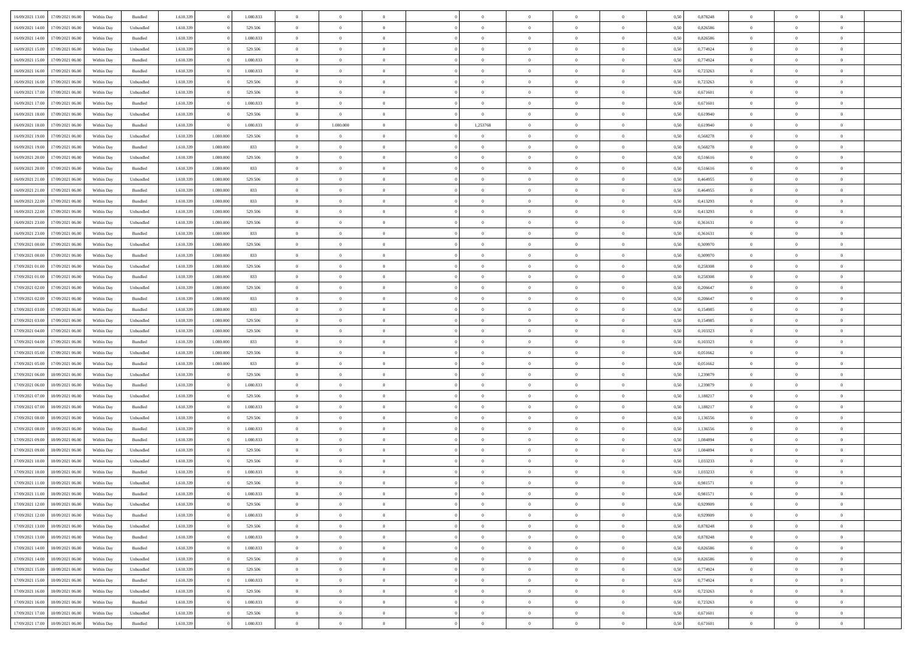| 16/09/2021 13:00<br>17/09/2021 06:00 | Within Day | Bundled            | 1.610.339 |           | 1.080.833 | $\overline{0}$ | $\overline{0}$ | $\Omega$       | $\Omega$       | $\Omega$       |                | $\overline{0}$ | 0,50 | 0,878248 | $\mathbf{0}$   | $\Omega$       | $\Omega$       |  |
|--------------------------------------|------------|--------------------|-----------|-----------|-----------|----------------|----------------|----------------|----------------|----------------|----------------|----------------|------|----------|----------------|----------------|----------------|--|
| 16/09/2021 14:00<br>17/09/2021 06:00 | Within Day | Unbundled          | 1.610.339 |           | 529.506   | $\bf{0}$       | $\overline{0}$ | $\overline{0}$ | $\theta$       | $\overline{0}$ | $\overline{0}$ | $\,$ 0         | 0,50 | 0,826586 | $\mathbf{0}$   | $\theta$       | $\bf{0}$       |  |
| 16/09/2021 14:00<br>17/09/2021 06:00 | Within Day | Bundled            | 1.610.339 |           | 1.080.833 | $\overline{0}$ | $\overline{0}$ | $\overline{0}$ | $\bf{0}$       | $\bf{0}$       | $\overline{0}$ | $\mathbf{0}$   | 0,50 | 0,826586 | $\overline{0}$ | $\bf{0}$       | $\bf{0}$       |  |
|                                      |            |                    |           |           |           |                |                |                |                |                |                |                |      |          | $\mathbf{0}$   |                |                |  |
| 16/09/2021 15:00<br>17/09/2021 06:00 | Within Day | Unbundled          | 1.610.339 |           | 529,506   | $\overline{0}$ | $\overline{0}$ | $\overline{0}$ | $\overline{0}$ | $\overline{0}$ | $\overline{0}$ | $\overline{0}$ | 0.50 | 0.774924 |                | $\overline{0}$ | $\bf{0}$       |  |
| 16/09/2021 15:00<br>17/09/2021 06:00 | Within Day | Bundled            | 1.610.339 |           | 1.080.833 | $\bf{0}$       | $\overline{0}$ | $\overline{0}$ | $\theta$       | $\overline{0}$ | $\overline{0}$ | $\,$ 0         | 0,50 | 0,774924 | $\mathbf{0}$   | $\theta$       | $\bf{0}$       |  |
| 16/09/2021 16:00<br>17/09/2021 06:00 | Within Day | Bundled            | 1.610.339 |           | 1.080.833 | $\overline{0}$ | $\overline{0}$ | $\overline{0}$ | $\bf{0}$       | $\overline{0}$ | $\overline{0}$ | $\overline{0}$ | 0,50 | 0,723263 | $\overline{0}$ | $\overline{0}$ | $\overline{0}$ |  |
| 16/09/2021 16:00<br>17/09/2021 06:00 | Within Day | Unbundled          | 1.610.339 |           | 529.506   | $\overline{0}$ | $\overline{0}$ | $\overline{0}$ | $\overline{0}$ | $\overline{0}$ | $\overline{0}$ | $\mathbf{0}$   | 0.50 | 0,723263 | $\overline{0}$ | $\overline{0}$ | $\overline{0}$ |  |
|                                      |            |                    |           |           |           |                |                |                |                |                |                |                |      |          |                |                |                |  |
| 16/09/2021 17:00<br>17/09/2021 06:00 | Within Day | Unbundled          | 1.610.339 |           | 529.506   | $\bf{0}$       | $\overline{0}$ | $\overline{0}$ | $\overline{0}$ | $\overline{0}$ | $\overline{0}$ | $\,$ 0         | 0,50 | 0,671601 | $\theta$       | $\theta$       | $\bf{0}$       |  |
| 16/09/2021 17:00<br>17/09/2021 06:00 | Within Day | Bundled            | 1.610.339 |           | 1.080.833 | $\overline{0}$ | $\overline{0}$ | $\bf{0}$       | $\bf{0}$       | $\bf{0}$       | $\overline{0}$ | $\mathbf{0}$   | 0,50 | 0,671601 | $\bf{0}$       | $\bf{0}$       | $\bf{0}$       |  |
| 16/09/2021 18:00<br>17/09/2021 06:00 | Within Day | Unbundled          | 1.610.339 |           | 529.506   | $\overline{0}$ | $\overline{0}$ | $\overline{0}$ | $\overline{0}$ | $\overline{0}$ | $\overline{0}$ | $\overline{0}$ | 0.50 | 0.619940 | $\overline{0}$ | $\theta$       | $\overline{0}$ |  |
| 16/09/2021 18:00<br>17/09/2021 06:00 |            | Bundled            | 1.610.339 |           | 1.080.833 |                | 1.080.000      | $\overline{0}$ | 1,253768       | $\overline{0}$ | $\overline{0}$ | $\,$ 0         |      | 0,619940 | $\theta$       | $\theta$       | $\bf{0}$       |  |
|                                      | Within Day |                    |           |           |           | $\bf{0}$       |                |                |                |                |                |                | 0,50 |          |                |                |                |  |
| 16/09/2021 19:00<br>17/09/2021 06:00 | Within Day | Unbundled          | 1.610.339 | 1.080.000 | 529.506   | $\overline{0}$ | $\overline{0}$ | $\overline{0}$ | $\bf{0}$       | $\bf{0}$       | $\overline{0}$ | $\mathbf{0}$   | 0,50 | 0,568278 | $\overline{0}$ | $\bf{0}$       | $\bf{0}$       |  |
| 16/09/2021 19:00<br>17/09/2021 06:00 | Within Day | Bundled            | 1.610.339 | 1.080,000 | 833       | $\overline{0}$ | $\overline{0}$ | $\overline{0}$ | $\overline{0}$ | $\overline{0}$ | $\overline{0}$ | $\overline{0}$ | 0.50 | 0,568278 | $\mathbf{0}$   | $\overline{0}$ | $\bf{0}$       |  |
| 16/09/2021 20:00<br>17/09/2021 06:00 | Within Day | Unbundled          | 1.610.339 | 1.080.000 | 529.506   | $\bf{0}$       | $\overline{0}$ | $\overline{0}$ | $\theta$       | $\overline{0}$ | $\overline{0}$ | $\,$ 0         | 0,50 | 0,516616 | $\theta$       | $\theta$       | $\bf{0}$       |  |
|                                      |            |                    |           |           |           |                |                |                |                |                |                |                |      |          |                |                |                |  |
| 16/09/2021 20:00<br>17/09/2021 06:00 | Within Day | Bundled            | 1.610.339 | 1.080.000 | 833       | $\overline{0}$ | $\overline{0}$ | $\overline{0}$ | $\bf{0}$       | $\overline{0}$ | $\overline{0}$ | $\overline{0}$ | 0,50 | 0,516616 | $\overline{0}$ | $\overline{0}$ | $\overline{0}$ |  |
| 16/09/2021 21:00<br>17/09/2021 06:00 | Within Day | Unbundled          | 1.610.339 | 1,080,000 | 529.506   | $\overline{0}$ | $\overline{0}$ | $\overline{0}$ | $\overline{0}$ | $\overline{0}$ | $\overline{0}$ | $\mathbf{0}$   | 0.50 | 0.464955 | $\overline{0}$ | $\overline{0}$ | $\overline{0}$ |  |
| 16/09/2021 21:00<br>17/09/2021 06:00 | Within Day | Bundled            | 1.610.339 | 1.080.000 | 833       | $\bf{0}$       | $\overline{0}$ | $\overline{0}$ | $\overline{0}$ | $\overline{0}$ | $\overline{0}$ | $\bf{0}$       | 0,50 | 0,464955 | $\theta$       | $\theta$       | $\bf{0}$       |  |
| 16/09/2021 22:00<br>17/09/2021 06:00 | Within Day | Bundled            | 1.610.339 | 1.080.000 | 833       | $\overline{0}$ | $\overline{0}$ | $\bf{0}$       | $\bf{0}$       | $\bf{0}$       | $\overline{0}$ | $\mathbf{0}$   | 0,50 | 0,413293 | $\bf{0}$       | $\bf{0}$       | $\bf{0}$       |  |
|                                      |            |                    |           |           |           |                |                |                |                |                |                |                |      |          |                |                |                |  |
| 16/09/2021 22:00<br>17/09/2021 06:00 | Within Day | Unbundled          | 1.610.339 | 1.080,000 | 529,506   | $\overline{0}$ | $\overline{0}$ | $\overline{0}$ | $\overline{0}$ | $\overline{0}$ | $\overline{0}$ | $\overline{0}$ | 0.50 | 0,413293 | $\overline{0}$ | $\theta$       | $\overline{0}$ |  |
| 16/09/2021 23:00<br>17/09/2021 06:00 | Within Day | Unbundled          | 1.610.339 | 1.080.000 | 529.506   | $\bf{0}$       | $\overline{0}$ | $\overline{0}$ | $\overline{0}$ | $\overline{0}$ | $\overline{0}$ | $\,$ 0         | 0,50 | 0,361631 | $\theta$       | $\theta$       | $\bf{0}$       |  |
| 16/09/2021 23:00<br>17/09/2021 06:00 | Within Day | Bundled            | 1.610.339 | 1.080.000 | 833       | $\overline{0}$ | $\overline{0}$ | $\overline{0}$ | $\bf{0}$       | $\bf{0}$       | $\overline{0}$ | $\mathbf{0}$   | 0,50 | 0,361631 | $\bf{0}$       | $\bf{0}$       | $\bf{0}$       |  |
| 17/09/2021 00:00<br>17/09/2021 06:00 | Within Day | Unbundled          | 1.610.339 | 1,080,000 | 529,506   | $\overline{0}$ | $\overline{0}$ | $\overline{0}$ | $\overline{0}$ | $\overline{0}$ | $\overline{0}$ | $\overline{0}$ | 0.50 | 0.309970 | $\overline{0}$ | $\overline{0}$ | $\bf{0}$       |  |
|                                      |            |                    |           |           |           |                |                |                |                |                |                |                |      |          |                |                |                |  |
| 17/09/2021 00:00<br>17/09/2021 06:00 | Within Day | $\mathbf B$ undled | 1.610.339 | 1.080.000 | 833       | $\bf{0}$       | $\overline{0}$ | $\overline{0}$ | $\overline{0}$ | $\overline{0}$ | $\overline{0}$ | $\,$ 0         | 0,50 | 0,309970 | $\mathbf{0}$   | $\theta$       | $\bf{0}$       |  |
| 17/09/2021 01:00<br>17/09/2021 06:00 | Within Day | Unbundled          | 1.610.339 | 1.080.000 | 529.506   | $\overline{0}$ | $\overline{0}$ | $\overline{0}$ | $\bf{0}$       | $\overline{0}$ | $\overline{0}$ | $\overline{0}$ | 0,50 | 0,258308 | $\overline{0}$ | $\overline{0}$ | $\overline{0}$ |  |
| 17/09/2021 01:00<br>17/09/2021 06:00 | Within Day | Bundled            | 1.610.339 | 1,080,000 | 833       | $\overline{0}$ | $\overline{0}$ | $\overline{0}$ | $\overline{0}$ | $\overline{0}$ | $\overline{0}$ | $\overline{0}$ | 0.50 | 0,258308 | $\overline{0}$ | $\overline{0}$ | $\overline{0}$ |  |
| 17/09/2021 02:00<br>17/09/2021 06:00 | Within Day | Unbundled          | 1.610.339 | 1.080.000 | 529.506   | $\bf{0}$       | $\overline{0}$ | $\bf{0}$       | $\overline{0}$ | $\overline{0}$ | $\overline{0}$ | $\bf{0}$       | 0,50 | 0,206647 | $\theta$       | $\theta$       | $\bf{0}$       |  |
|                                      |            |                    |           |           |           |                |                |                |                |                |                |                |      |          |                |                |                |  |
| 17/09/2021 02:00<br>17/09/2021 06:00 | Within Day | Bundled            | 1.610.339 | 1.080.000 | 833       | $\overline{0}$ | $\overline{0}$ | $\bf{0}$       | $\bf{0}$       | $\bf{0}$       | $\overline{0}$ | $\mathbf{0}$   | 0,50 | 0,206647 | $\bf{0}$       | $\bf{0}$       | $\bf{0}$       |  |
| 17/09/2021 03:00<br>17/09/2021 06:00 | Within Day | Bundled            | 1.610.339 | 1.080.000 | 833       | $\overline{0}$ | $\overline{0}$ | $\overline{0}$ | $\overline{0}$ | $\overline{0}$ | $\overline{0}$ | $\overline{0}$ | 0.50 | 0,154985 | $\overline{0}$ | $\overline{0}$ | $\overline{0}$ |  |
| 17/09/2021 03:00<br>17/09/2021 06:00 | Within Day | Unbundled          | 1.610.339 | 1.080.000 | 529.506   | $\bf{0}$       | $\overline{0}$ | $\overline{0}$ | $\overline{0}$ | $\overline{0}$ | $\overline{0}$ | $\,$ 0         | 0,50 | 0,154985 | $\bf{0}$       | $\theta$       | $\bf{0}$       |  |
| 17/09/2021 04:00<br>17/09/2021 06:00 | Within Day | Unbundled          | 1.610.339 | 1.080.000 | 529.506   | $\overline{0}$ | $\overline{0}$ | $\overline{0}$ | $\bf{0}$       | $\bf{0}$       | $\overline{0}$ | $\mathbf{0}$   | 0,50 | 0,103323 | $\overline{0}$ | $\bf{0}$       | $\bf{0}$       |  |
|                                      |            |                    |           |           |           |                |                |                |                |                |                |                |      |          |                |                |                |  |
| 17/09/2021 04:00<br>17/09/2021 06:00 | Within Day | Bundled            | 1.610.339 | 1.080.000 | 833       | $\overline{0}$ | $\overline{0}$ | $\overline{0}$ | $\overline{0}$ | $\overline{0}$ | $\Omega$       | $\overline{0}$ | 0.50 | 0,103323 | $\bf{0}$       | $\theta$       | $\Omega$       |  |
| 17/09/2021 05:00<br>17/09/2021 06:00 | Within Day | Unbundled          | 1.610.339 | 1.080.000 | 529.506   | $\bf{0}$       | $\overline{0}$ | $\overline{0}$ | $\overline{0}$ | $\overline{0}$ | $\overline{0}$ | $\,$ 0         | 0,50 | 0,051662 | $\mathbf{0}$   | $\theta$       | $\bf{0}$       |  |
| 17/09/2021 05:00<br>17/09/2021 06:00 | Within Day | Bundled            | 1.610.339 | 1.080.000 | 833       | $\overline{0}$ | $\overline{0}$ | $\overline{0}$ | $\bf{0}$       | $\overline{0}$ | $\overline{0}$ | $\overline{0}$ | 0,50 | 0,051662 | $\overline{0}$ | $\overline{0}$ | $\overline{0}$ |  |
| 17/09/2021 06:00<br>18/09/2021 06:00 | Within Day | Unbundled          | 1.610.339 |           | 529.506   | $\overline{0}$ | $\overline{0}$ | $\overline{0}$ | $\overline{0}$ | $\overline{0}$ | $\Omega$       | $\overline{0}$ | 0.50 | 1,239879 | $\overline{0}$ | $\overline{0}$ | $\Omega$       |  |
|                                      |            |                    |           |           |           |                |                |                |                |                |                |                |      |          |                |                |                |  |
| 17/09/2021 06:00<br>18/09/2021 06:00 | Within Day | Bundled            | 1.610.339 |           | 1.080.833 | $\bf{0}$       | $\overline{0}$ | $\bf{0}$       | $\overline{0}$ | $\overline{0}$ | $\overline{0}$ | $\bf{0}$       | 0,50 | 1,239879 | $\overline{0}$ | $\theta$       | $\bf{0}$       |  |
| 17/09/2021 07:00<br>18/09/2021 06:00 | Within Day | Unbundled          | 1.610.339 |           | 529.506   | $\overline{0}$ | $\overline{0}$ | $\bf{0}$       | $\bf{0}$       | $\bf{0}$       | $\overline{0}$ | $\bf{0}$       | 0,50 | 1,188217 | $\bf{0}$       | $\bf{0}$       | $\bf{0}$       |  |
| 17/09/2021 07:00<br>18/09/2021 06:00 | Within Day | Bundled            | 1.610.339 |           | 1.080.833 | $\overline{0}$ | $\overline{0}$ | $\Omega$       | $\overline{0}$ | $\overline{0}$ | $\Omega$       | $\theta$       | 0.50 | 1,188217 | $\overline{0}$ | $\Omega$       | $\theta$       |  |
| 17/09/2021 08:00<br>18/09/2021 06:00 | Within Day | Unbundled          | 1.610.339 |           | 529.506   | $\bf{0}$       | $\overline{0}$ | $\bf{0}$       | $\overline{0}$ | $\bf{0}$       | $\overline{0}$ | $\,$ 0         | 0,50 | 1,136556 | $\,$ 0 $\,$    | $\theta$       | $\bf{0}$       |  |
|                                      |            |                    |           |           |           |                |                |                |                |                |                |                |      |          |                |                |                |  |
| 17/09/2021 08:00<br>18/09/2021 06:00 | Within Day | Bundled            | 1.610.339 |           | 1.080.833 | $\overline{0}$ | $\overline{0}$ | $\overline{0}$ | $\bf{0}$       | $\bf{0}$       | $\overline{0}$ | $\mathbf{0}$   | 0,50 | 1,136556 | $\overline{0}$ | $\bf{0}$       | $\bf{0}$       |  |
| 17/09/2021 09:00<br>18/09/2021 06:00 | Within Day | Bundled            | 1.610.339 |           | 1.080.833 | $\overline{0}$ | $\overline{0}$ | $\overline{0}$ | $\overline{0}$ | $\bf{0}$       | $\Omega$       | $\overline{0}$ | 0.50 | 1,084894 | $\overline{0}$ | $\overline{0}$ | $\Omega$       |  |
| 17/09/2021 09:00<br>18/09/2021 06:00 | Within Day | Unbundled          | 1.610.339 |           | 529.506   | $\bf{0}$       | $\overline{0}$ | $\bf{0}$       | $\overline{0}$ | $\overline{0}$ | $\overline{0}$ | $\,$ 0 $\,$    | 0,50 | 1,084894 | $\,$ 0 $\,$    | $\theta$       | $\bf{0}$       |  |
| 17/09/2021 10:00<br>18/09/2021 06:00 | Within Day | Unbundled          | 1.610.339 |           | 529.506   | $\overline{0}$ | $\overline{0}$ | $\overline{0}$ | $\bf{0}$       | $\overline{0}$ | $\overline{0}$ | $\overline{0}$ | 0,50 | 1,033233 | $\overline{0}$ | $\bf{0}$       | $\bf{0}$       |  |
|                                      |            |                    |           |           |           |                |                |                |                |                |                |                |      |          |                |                |                |  |
| 17/09/2021 10:00<br>18/09/2021 06:00 | Within Day | Bundled            | 1.610.339 |           | 1.080.833 | $\overline{0}$ | $\theta$       | $\Omega$       | $\overline{0}$ | $\overline{0}$ | $\Omega$       | $\overline{0}$ | 0.50 | 1,033233 | $\overline{0}$ | $\Omega$       | $\Omega$       |  |
| 17/09/2021 11:00<br>18/09/2021 06:00 | Within Day | Unbundled          | 1.610.339 |           | 529.506   | $\bf{0}$       | $\overline{0}$ | $\bf{0}$       | $\bf{0}$       | $\bf{0}$       | $\overline{0}$ | $\,$ 0         | 0,50 | 0,981571 | $\bf{0}$       | $\,$ 0         | $\,$ 0         |  |
| 17/09/2021 11:00 18/09/2021 06:00    | Within Day | Bundled            | 1.610.339 |           | 1.080.833 | $\bf{0}$       | $\bf{0}$       |                |                |                |                |                | 0,50 | 0,981571 | $\bf{0}$       | $\bf{0}$       |                |  |
| 17/09/2021 12:00 18/09/2021 06:00    | Within Day | Unbundled          | 1.610.339 |           | 529.506   | $\overline{0}$ | $\overline{0}$ | $\theta$       | $\overline{0}$ | $\overline{0}$ | $\theta$       | $\mathbf{0}$   | 0.50 | 0,929909 | $\overline{0}$ | $\theta$       | $\theta$       |  |
|                                      |            |                    |           |           |           |                |                |                |                |                |                |                |      |          |                |                |                |  |
| 17/09/2021 12:00<br>18/09/2021 06:00 | Within Day | Bundled            | 1.610.339 |           | 1.080.833 | $\overline{0}$ | $\overline{0}$ | $\overline{0}$ | $\bf{0}$       | $\overline{0}$ | $\overline{0}$ | $\mathbf{0}$   | 0,50 | 0,929909 | $\,0\,$        | $\overline{0}$ | $\,$ 0 $\,$    |  |
| 17/09/2021 13:00<br>18/09/2021 06:00 | Within Day | Unbundled          | 1.610.339 |           | 529.506   | $\overline{0}$ | $\overline{0}$ | $\overline{0}$ | $\bf{0}$       | $\overline{0}$ | $\overline{0}$ | $\overline{0}$ | 0,50 | 0,878248 | $\overline{0}$ | $\overline{0}$ | $\overline{0}$ |  |
| 18/09/2021 06:00<br>17/09/2021 13:00 | Within Day | Bundled            | 1.610.339 |           | 1.080.833 | $\overline{0}$ | $\overline{0}$ | $\overline{0}$ | $\overline{0}$ | $\bf{0}$       | $\overline{0}$ | $\bf{0}$       | 0,50 | 0,878248 | $\overline{0}$ | $\overline{0}$ | $\overline{0}$ |  |
| 17/09/2021 14:00<br>18/09/2021 06:00 | Within Day | Bundled            | 1.610.339 |           | 1.080.833 | $\overline{0}$ | $\overline{0}$ | $\overline{0}$ | $\overline{0}$ | $\overline{0}$ | $\overline{0}$ | $\,$ 0 $\,$    | 0,50 | 0,826586 | $\,0\,$        | $\theta$       | $\bf{0}$       |  |
|                                      |            |                    |           |           |           |                |                |                |                |                |                |                |      |          |                |                |                |  |
| 17/09/2021 14:00<br>18/09/2021 06:00 | Within Day | Unbundled          | 1.610.339 |           | 529.506   | $\overline{0}$ | $\overline{0}$ | $\overline{0}$ | $\bf{0}$       | $\overline{0}$ | $\overline{0}$ | $\overline{0}$ | 0,50 | 0,826586 | $\overline{0}$ | $\overline{0}$ | $\overline{0}$ |  |
| 17/09/2021 15:00<br>18/09/2021 06:00 | Within Day | Unbundled          | 1.610.339 |           | 529.506   | $\overline{0}$ | $\overline{0}$ | $\overline{0}$ | $\overline{0}$ | $\overline{0}$ | $\overline{0}$ | $\overline{0}$ | 0.50 | 0,774924 | $\overline{0}$ | $\overline{0}$ | $\overline{0}$ |  |
| 17/09/2021 15:00<br>18/09/2021 06:00 | Within Day | Bundled            | 1.610.339 |           | 1.080.833 | $\bf{0}$       | $\overline{0}$ | $\overline{0}$ | $\bf{0}$       | $\bf{0}$       | $\overline{0}$ | $\,$ 0 $\,$    | 0,50 | 0,774924 | $\,0\,$        | $\theta$       | $\,$ 0         |  |
| 18/09/2021 06:00<br>17/09/2021 16:00 | Within Day | Unbundled          | 1.610.339 |           | 529.506   | $\overline{0}$ | $\overline{0}$ | $\overline{0}$ | $\bf{0}$       | $\overline{0}$ | $\overline{0}$ | $\overline{0}$ | 0,50 | 0,723263 | $\bf{0}$       | $\bf{0}$       | $\overline{0}$ |  |
|                                      |            |                    |           |           |           |                |                |                |                |                |                |                |      |          |                |                |                |  |
| 17/09/2021 16:00<br>18/09/2021 06:00 | Within Day | Bundled            | 1.610.339 |           | 1.080.833 | $\overline{0}$ | $\overline{0}$ | $\overline{0}$ | $\overline{0}$ | $\overline{0}$ | $\overline{0}$ | $\overline{0}$ | 0,50 | 0,723263 | $\overline{0}$ | $\overline{0}$ | $\overline{0}$ |  |
| 17/09/2021 17:00<br>18/09/2021 06:00 | Within Day | Unbundled          | 1.610.339 |           | 529.506   | $\overline{0}$ | $\overline{0}$ | $\overline{0}$ | $\bf{0}$       | $\bf{0}$       | $\bf{0}$       | $\,$ 0 $\,$    | 0,50 | 0,671601 | $\,0\,$        | $\,0\,$        | $\,$ 0         |  |
| 17/09/2021 17:00 18/09/2021 06:00    | Within Day | Bundled            | 1.610.339 |           | 1.080.833 | $\overline{0}$ | $\overline{0}$ | $\overline{0}$ | $\bf{0}$       | $\overline{0}$ | $\overline{0}$ | $\overline{0}$ | 0,50 | 0,671601 | $\bf{0}$       | $\bf{0}$       | $\overline{0}$ |  |
|                                      |            |                    |           |           |           |                |                |                |                |                |                |                |      |          |                |                |                |  |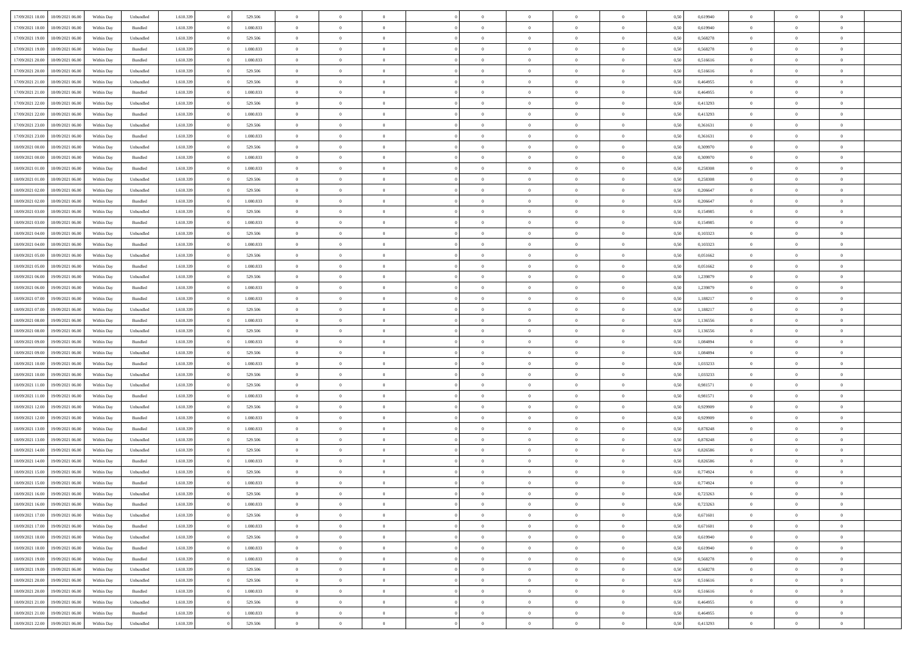| 17/09/2021 18:00 | 18/09/2021 06:00 | Within Dav | Unbundled | 1.610.339 | 529.506   | $\overline{0}$ | $\Omega$       |                | $\Omega$       | $\Omega$       | $\theta$       | $\theta$       | 0,50 | 0,619940 | $\theta$       | $\theta$       | $\theta$       |  |
|------------------|------------------|------------|-----------|-----------|-----------|----------------|----------------|----------------|----------------|----------------|----------------|----------------|------|----------|----------------|----------------|----------------|--|
|                  |                  |            |           |           |           |                |                |                |                |                |                |                |      |          |                |                |                |  |
| 17/09/2021 18:00 | 18/09/2021 06:00 | Within Day | Bundled   | 1.610.339 | 1.080.833 | $\overline{0}$ | $\theta$       | $\overline{0}$ | $\overline{0}$ | $\bf{0}$       | $\overline{0}$ | $\bf{0}$       | 0,50 | 0,619940 | $\theta$       | $\theta$       | $\overline{0}$ |  |
| 17/09/2021 19:00 | 18/09/2021 06:00 | Within Day | Unbundled | 1.610.339 | 529.506   | $\overline{0}$ | $\overline{0}$ | $\overline{0}$ | $\bf{0}$       | $\bf{0}$       | $\bf{0}$       | $\bf{0}$       | 0,50 | 0,568278 | $\overline{0}$ | $\overline{0}$ | $\overline{0}$ |  |
| 17/09/2021 19:00 | 18/09/2021 06:00 | Within Dav | Bundled   | 1.610.339 | 1.080.833 | $\overline{0}$ | $\overline{0}$ | $\overline{0}$ | $\overline{0}$ | $\bf{0}$       | $\overline{0}$ | $\overline{0}$ | 0.50 | 0,568278 | $\theta$       | $\theta$       | $\overline{0}$ |  |
|                  |                  |            |           |           |           |                |                |                |                |                |                |                |      |          |                |                |                |  |
| 17/09/2021 20:00 | 18/09/2021 06:00 | Within Day | Bundled   | 1.610.339 | 1.080.833 | $\overline{0}$ | $\theta$       | $\overline{0}$ | $\overline{0}$ | $\bf{0}$       | $\overline{0}$ | $\bf{0}$       | 0,50 | 0,516616 | $\theta$       | $\overline{0}$ | $\overline{0}$ |  |
| 17/09/2021 20:00 | 18/09/2021 06:00 | Within Day | Unbundled | 1.610.339 | 529.506   | $\overline{0}$ | $\bf{0}$       | $\overline{0}$ | $\bf{0}$       | $\overline{0}$ | $\overline{0}$ | $\mathbf{0}$   | 0,50 | 0,516616 | $\overline{0}$ | $\overline{0}$ | $\bf{0}$       |  |
| 17/09/2021 21:00 | 18/09/2021 06:00 | Within Dav | Unbundled | 1.610.339 | 529.506   | $\overline{0}$ | $\overline{0}$ | $\overline{0}$ | $\overline{0}$ | $\overline{0}$ | $\overline{0}$ | $\overline{0}$ | 0.50 | 0,464955 | $\theta$       | $\overline{0}$ | $\overline{0}$ |  |
| 17/09/2021 21:00 | 18/09/2021 06:00 | Within Day | Bundled   | 1.610.339 | 1.080.833 | $\overline{0}$ | $\theta$       | $\overline{0}$ | $\overline{0}$ | $\bf{0}$       | $\overline{0}$ | $\bf{0}$       | 0,50 | 0,464955 | $\theta$       | $\theta$       | $\overline{0}$ |  |
|                  |                  |            |           |           |           |                | $\overline{0}$ |                |                | $\bf{0}$       |                |                |      |          | $\,0\,$        | $\overline{0}$ | $\overline{0}$ |  |
| 17/09/2021 22:00 | 18/09/2021 06:00 | Within Day | Unbundled | 1.610.339 | 529.506   | $\overline{0}$ |                | $\overline{0}$ | $\bf{0}$       |                | $\bf{0}$       | $\bf{0}$       | 0,50 | 0,413293 |                |                |                |  |
| 17/09/2021 22:00 | 18/09/2021 06:00 | Within Dav | Bundled   | 1.610.339 | 1.080.833 | $\overline{0}$ | $\overline{0}$ | $\overline{0}$ | $\overline{0}$ | $\overline{0}$ | $\overline{0}$ | $\overline{0}$ | 0.50 | 0,413293 | $\theta$       | $\overline{0}$ | $\overline{0}$ |  |
| 17/09/2021 23:00 | 18/09/2021 06:00 | Within Day | Unbundled | 1.610.339 | 529.506   | $\overline{0}$ | $\theta$       | $\overline{0}$ | $\overline{0}$ | $\bf{0}$       | $\overline{0}$ | $\bf{0}$       | 0,50 | 0,361631 | $\,$ 0 $\,$    | $\overline{0}$ | $\overline{0}$ |  |
| 17/09/2021 23.00 | 18/09/2021 06:00 | Within Day | Bundled   | 1.610.339 | 1.080.833 | $\overline{0}$ | $\overline{0}$ | $\overline{0}$ | $\bf{0}$       | $\bf{0}$       | $\bf{0}$       | $\bf{0}$       | 0,50 | 0,361631 | $\overline{0}$ | $\overline{0}$ | $\overline{0}$ |  |
| 18/09/2021 00:00 | 18/09/2021 06:00 | Within Day | Unbundled | 1.610.339 | 529.506   | $\overline{0}$ | $\overline{0}$ | $\overline{0}$ | $\overline{0}$ | $\bf{0}$       | $\overline{0}$ | $\overline{0}$ | 0.50 | 0,309970 | $\theta$       | $\theta$       | $\overline{0}$ |  |
|                  |                  |            |           |           |           | $\overline{0}$ | $\theta$       | $\overline{0}$ | $\overline{0}$ | $\bf{0}$       | $\overline{0}$ |                |      |          | $\theta$       | $\overline{0}$ | $\overline{0}$ |  |
| 18/09/2021 00:00 | 18/09/2021 06:00 | Within Day | Bundled   | 1.610.339 | 1.080.833 |                |                |                |                |                |                | $\bf{0}$       | 0,50 | 0,309970 |                |                |                |  |
| 18/09/2021 01:00 | 18/09/2021 06:00 | Within Day | Bundled   | 1.610.339 | 1.080.833 | $\overline{0}$ | $\overline{0}$ | $\overline{0}$ | $\bf{0}$       | $\overline{0}$ | $\overline{0}$ | $\mathbf{0}$   | 0,50 | 0,258308 | $\overline{0}$ | $\overline{0}$ | $\bf{0}$       |  |
| 18/09/2021 01:00 | 18/09/2021 06:00 | Within Dav | Unbundled | 1.610.339 | 529.506   | $\overline{0}$ | $\overline{0}$ | $\overline{0}$ | $\overline{0}$ | $\overline{0}$ | $\overline{0}$ | $\overline{0}$ | 0.50 | 0,258308 | $\theta$       | $\overline{0}$ | $\overline{0}$ |  |
| 18/09/2021 02:00 | 18/09/2021 06:00 | Within Day | Unbundled | 1.610.339 | 529.506   | $\overline{0}$ | $\theta$       | $\overline{0}$ | $\overline{0}$ | $\bf{0}$       | $\overline{0}$ | $\bf{0}$       | 0,50 | 0,206647 | $\theta$       | $\theta$       | $\overline{0}$ |  |
| 18/09/2021 02:00 | 18/09/2021 06:00 | Within Day | Bundled   | 1.610.339 | 1.080.833 | $\overline{0}$ | $\overline{0}$ | $\overline{0}$ | $\bf{0}$       | $\bf{0}$       | $\bf{0}$       | $\bf{0}$       | 0,50 | 0,206647 | $\,0\,$        | $\overline{0}$ | $\overline{0}$ |  |
|                  |                  |            |           |           |           |                | $\overline{0}$ |                |                | $\overline{0}$ |                |                |      |          | $\theta$       | $\overline{0}$ | $\overline{0}$ |  |
| 18/09/2021 03:00 | 18/09/2021 06:00 | Within Day | Unbundled | 1.610.339 | 529.506   | $\overline{0}$ |                | $\overline{0}$ | $\overline{0}$ |                | $\overline{0}$ | $\overline{0}$ | 0.50 | 0,154985 |                |                |                |  |
| 18/09/2021 03:00 | 18/09/2021 06:00 | Within Day | Bundled   | 1.610.339 | 1.080.833 | $\overline{0}$ | $\theta$       | $\overline{0}$ | $\overline{0}$ | $\bf{0}$       | $\overline{0}$ | $\bf{0}$       | 0,50 | 0,154985 | $\,$ 0 $\,$    | $\theta$       | $\overline{0}$ |  |
| 18/09/2021 04:00 | 18/09/2021 06:00 | Within Day | Unbundled | 1.610.339 | 529.506   | $\overline{0}$ | $\overline{0}$ | $\overline{0}$ | $\bf{0}$       | $\bf{0}$       | $\bf{0}$       | $\bf{0}$       | 0,50 | 0,103323 | $\bf{0}$       | $\overline{0}$ | $\overline{0}$ |  |
| 18/09/2021 04:00 | 18/09/2021 06:00 | Within Day | Bundled   | 1.610.339 | 1.080.833 | $\overline{0}$ | $\overline{0}$ | $\overline{0}$ | $\overline{0}$ | $\bf{0}$       | $\overline{0}$ | $\overline{0}$ | 0.50 | 0,103323 | $\theta$       | $\overline{0}$ | $\overline{0}$ |  |
| 18/09/2021 05:00 | 18/09/2021 06:00 | Within Day | Unbundled | 1.610.339 | 529.506   | $\overline{0}$ | $\theta$       | $\overline{0}$ | $\overline{0}$ | $\bf{0}$       | $\overline{0}$ | $\bf{0}$       | 0,50 | 0,051662 | $\,$ 0 $\,$    | $\overline{0}$ | $\overline{0}$ |  |
|                  |                  |            |           |           |           |                |                |                |                |                |                |                |      |          |                |                |                |  |
| 18/09/2021 05:00 | 18/09/2021 06:00 | Within Day | Bundled   | 1.610.339 | 1.080.833 | $\overline{0}$ | $\bf{0}$       | $\overline{0}$ | $\bf{0}$       | $\overline{0}$ | $\overline{0}$ | $\mathbf{0}$   | 0,50 | 0,051662 | $\overline{0}$ | $\overline{0}$ | $\bf{0}$       |  |
| 18/09/2021 06:00 | 19/09/2021 06:00 | Within Dav | Unbundled | 1.610.339 | 529.506   | $\overline{0}$ | $\overline{0}$ | $\overline{0}$ | $\overline{0}$ | $\overline{0}$ | $\overline{0}$ | $\overline{0}$ | 0.50 | 1,239879 | $\theta$       | $\overline{0}$ | $\overline{0}$ |  |
| 18/09/2021 06:00 | 19/09/2021 06:00 | Within Day | Bundled   | 1.610.339 | 1.080.833 | $\overline{0}$ | $\theta$       | $\overline{0}$ | $\overline{0}$ | $\bf{0}$       | $\overline{0}$ | $\bf{0}$       | 0,50 | 1,239879 | $\theta$       | $\theta$       | $\overline{0}$ |  |
| 18/09/2021 07:00 | 19/09/2021 06:00 | Within Day | Bundled   | 1.610.339 | 1.080.833 | $\overline{0}$ | $\overline{0}$ | $\overline{0}$ | $\bf{0}$       | $\bf{0}$       | $\bf{0}$       | $\bf{0}$       | 0,50 | 1,188217 | $\,0\,$        | $\overline{0}$ | $\overline{0}$ |  |
| 18/09/2021 07:00 | 19/09/2021 06:00 | Within Day | Unbundled | 1.610.339 | 529.506   | $\overline{0}$ | $\overline{0}$ | $\overline{0}$ | $\overline{0}$ | $\overline{0}$ | $\overline{0}$ | $\overline{0}$ | 0.50 | 1,188217 | $\theta$       | $\overline{0}$ | $\overline{0}$ |  |
|                  |                  |            |           |           |           |                |                |                |                |                |                |                |      |          |                |                |                |  |
| 18/09/2021 08:00 | 19/09/2021 06:00 | Within Day | Bundled   | 1.610.339 | 1.080.833 | $\overline{0}$ | $\theta$       | $\overline{0}$ | $\overline{0}$ | $\bf{0}$       | $\overline{0}$ | $\bf{0}$       | 0,50 | 1,136556 | $\,$ 0 $\,$    | $\overline{0}$ | $\overline{0}$ |  |
| 18/09/2021 08:00 | 19/09/2021 06:00 | Within Day | Unbundled | 1.610.339 | 529.506   | $\overline{0}$ | $\overline{0}$ | $\overline{0}$ | $\bf{0}$       | $\bf{0}$       | $\bf{0}$       | $\bf{0}$       | 0,50 | 1,136556 | $\overline{0}$ | $\overline{0}$ | $\overline{0}$ |  |
| 18/09/2021 09:00 | 19/09/2021 06:00 | Within Day | Bundled   | 1.610.339 | 1.080.833 | $\overline{0}$ | $\Omega$       | $\Omega$       | $\Omega$       | $\Omega$       | $\Omega$       | $\overline{0}$ | 0,50 | 1,084894 | $\,0\,$        | $\theta$       | $\theta$       |  |
| 18/09/2021 09:00 | 19/09/2021 06:00 | Within Day | Unbundled | 1.610.339 | 529.506   | $\overline{0}$ | $\theta$       | $\overline{0}$ | $\overline{0}$ | $\bf{0}$       | $\overline{0}$ | $\bf{0}$       | 0,50 | 1,084894 | $\,$ 0 $\,$    | $\theta$       | $\overline{0}$ |  |
|                  |                  |            |           |           |           |                |                |                |                | $\bf{0}$       |                |                |      |          |                | $\overline{0}$ | $\bf{0}$       |  |
| 18/09/2021 10:00 | 19/09/2021 06:00 | Within Day | Bundled   | 1.610.339 | 1.080.833 | $\overline{0}$ | $\overline{0}$ | $\overline{0}$ | $\bf{0}$       |                | $\overline{0}$ | $\mathbf{0}$   | 0,50 | 1,033233 | $\overline{0}$ |                |                |  |
| 18/09/2021 10:00 | 19/09/2021 06:00 | Within Day | Unbundled | 1.610.339 | 529.506   | $\overline{0}$ | $\Omega$       | $\Omega$       | $\Omega$       | $\bf{0}$       | $\overline{0}$ | $\overline{0}$ | 0.50 | 1,033233 | $\,0\,$        | $\theta$       | $\theta$       |  |
| 18/09/2021 11:00 | 19/09/2021 06:00 | Within Day | Unbundled | 1.610.339 | 529.506   | $\overline{0}$ | $\theta$       | $\overline{0}$ | $\overline{0}$ | $\bf{0}$       | $\overline{0}$ | $\bf{0}$       | 0,50 | 0,981571 | $\,$ 0 $\,$    | $\theta$       | $\overline{0}$ |  |
| 18/09/2021 11:00 | 19/09/2021 06:00 | Within Day | Bundled   | 1.610.339 | 1.080.833 | $\overline{0}$ | $\overline{0}$ | $\overline{0}$ | $\bf{0}$       | $\bf{0}$       | $\bf{0}$       | $\bf{0}$       | 0,50 | 0,981571 | $\,0\,$        | $\overline{0}$ | $\overline{0}$ |  |
| 18/09/2021 12:00 | 19/09/2021 06:00 | Within Day | Unbundled | 1.610.339 | 529.506   | $\overline{0}$ | $\Omega$       | $\Omega$       | $\Omega$       | $\theta$       | $\theta$       | $\overline{0}$ | 0.50 | 0,929909 | $\theta$       | $\theta$       | $\theta$       |  |
|                  |                  |            |           |           |           | $\overline{0}$ |                |                |                |                |                |                |      |          |                |                |                |  |
| 18/09/2021 12:00 | 19/09/2021 06:00 | Within Day | Bundled   | 1.610.339 | 1.080.833 |                | $\theta$       | $\overline{0}$ | $\overline{0}$ | $\bf{0}$       | $\overline{0}$ | $\bf{0}$       | 0,50 | 0,929909 | $\,$ 0 $\,$    | $\overline{0}$ | $\overline{0}$ |  |
| 18/09/2021 13:00 | 19/09/2021 06:00 | Within Day | Bundled   | 1.610.339 | 1.080.833 | $\overline{0}$ | $\overline{0}$ | $\overline{0}$ | $\bf{0}$       | $\bf{0}$       | $\bf{0}$       | $\bf{0}$       | 0,50 | 0,878248 | $\bf{0}$       | $\overline{0}$ | $\overline{0}$ |  |
| 18/09/2021 13:00 | 19/09/2021 06:00 | Within Day | Unbundled | 1.610.339 | 529.506   | $\overline{0}$ | $\Omega$       | $\overline{0}$ | $\Omega$       | $\Omega$       | $\overline{0}$ | $\overline{0}$ | 0.50 | 0,878248 | $\,0\,$        | $\theta$       | $\theta$       |  |
| 18/09/2021 14:00 | 19/09/2021 06:00 | Within Day | Unbundled | 1.610.339 | 529.506   | $\overline{0}$ | $\theta$       | $\overline{0}$ | $\overline{0}$ | $\bf{0}$       | $\overline{0}$ | $\bf{0}$       | 0,50 | 0,826586 | $\,$ 0 $\,$    | $\overline{0}$ | $\overline{0}$ |  |
| 18/09/2021 14:00 | 19/09/2021 06:00 | Within Day | Bundled   | 1.610.339 | 1.080.833 | $\overline{0}$ | $\overline{0}$ | $\overline{0}$ | $\bf{0}$       | $\bf{0}$       | $\bf{0}$       | $\mathbf{0}$   | 0,50 | 0,826586 | $\bf{0}$       | $\overline{0}$ | $\bf{0}$       |  |
|                  | 19/09/2021 06:00 |            |           |           |           | $\overline{0}$ | $\Omega$       | $\Omega$       | $\Omega$       | $\Omega$       | $\Omega$       | $\overline{0}$ | 0.50 |          | $\theta$       | $\theta$       | $\theta$       |  |
| 18/09/2021 15:00 |                  | Within Day | Unbundled | 1.610.339 | 529.506   |                |                |                |                |                |                |                |      | 0,774924 |                |                |                |  |
| 18/09/2021 15:00 | 19/09/2021 06:00 | Within Day | Bundled   | 1.610.339 | 1.080.833 | $\overline{0}$ | $\overline{0}$ | $\overline{0}$ | $\bf{0}$       | $\,$ 0         | $\bf{0}$       | $\bf{0}$       | 0,50 | 0,774924 | $\,0\,$        | $\overline{0}$ | $\overline{0}$ |  |
| 18/09/2021 16:00 | 19/09/2021 06:00 | Within Day | Unbundled | 1.610.339 | 529.506   | $\bf{0}$       | $\bf{0}$       |                |                | $\bf{0}$       |                |                | 0,50 | 0,723263 | $\bf{0}$       | $\overline{0}$ |                |  |
| 18/09/2021 16:00 | 19/09/2021 06:00 | Within Day | Bundled   | 1.610.339 | 1.080.833 | $\overline{0}$ | $\overline{0}$ | $\overline{0}$ | $\Omega$       | $\overline{0}$ | $\overline{0}$ | $\overline{0}$ | 0,50 | 0,723263 | $\theta$       | $\theta$       | $\Omega$       |  |
| 18/09/2021 17:00 | 19/09/2021 06:00 | Within Day | Unbundled | 1.610.339 | 529.506   | $\overline{0}$ | $\,$ 0         | $\overline{0}$ | $\bf{0}$       | $\,$ 0 $\,$    | $\overline{0}$ | $\,$ 0 $\,$    | 0,50 | 0,671601 | $\,$ 0 $\,$    | $\,$ 0 $\,$    | $\,$ 0         |  |
|                  |                  |            |           |           |           |                |                |                |                |                |                |                |      |          |                |                |                |  |
| 18/09/2021 17:00 | 19/09/2021 06:00 | Within Day | Bundled   | 1.610.339 | 1.080.833 | $\overline{0}$ | $\overline{0}$ | $\overline{0}$ | $\overline{0}$ | $\overline{0}$ | $\overline{0}$ | $\mathbf{0}$   | 0,50 | 0,671601 | $\overline{0}$ | $\bf{0}$       | $\bf{0}$       |  |
| 18/09/2021 18:00 | 19/09/2021 06:00 | Within Day | Unbundled | 1.610.339 | 529.506   | $\overline{0}$ | $\overline{0}$ | $\overline{0}$ | $\Omega$       | $\overline{0}$ | $\overline{0}$ | $\overline{0}$ | 0,50 | 0,619940 | $\overline{0}$ | $\theta$       | $\overline{0}$ |  |
| 18/09/2021 18:00 | 19/09/2021 06:00 | Within Day | Bundled   | 1.610.339 | 1.080.833 | $\overline{0}$ | $\,$ 0         | $\overline{0}$ | $\overline{0}$ | $\,$ 0 $\,$    | $\overline{0}$ | $\mathbf{0}$   | 0,50 | 0,619940 | $\,$ 0 $\,$    | $\overline{0}$ | $\overline{0}$ |  |
| 18/09/2021 19:00 | 19/09/2021 06:00 | Within Day | Bundled   | 1.610.339 | 1.080.833 | $\overline{0}$ | $\overline{0}$ | $\overline{0}$ | $\overline{0}$ | $\overline{0}$ | $\overline{0}$ | $\mathbf{0}$   | 0,50 | 0,568278 | $\overline{0}$ | $\overline{0}$ | $\bf{0}$       |  |
| 18/09/2021 19:00 | 19/09/2021 06:00 | Within Day | Unbundled | 1.610.339 | 529.506   | $\overline{0}$ | $\overline{0}$ | $\overline{0}$ | $\overline{0}$ | $\overline{0}$ | $\overline{0}$ | $\bf{0}$       | 0.50 | 0,568278 | $\overline{0}$ | $\theta$       | $\overline{0}$ |  |
|                  |                  |            |           |           |           |                |                |                |                |                |                |                |      |          |                |                |                |  |
| 18/09/2021 20:00 | 19/09/2021 06:00 | Within Day | Unbundled | 1.610.339 | 529.506   | $\overline{0}$ | $\,$ 0         | $\overline{0}$ | $\bf{0}$       | $\bf{0}$       | $\bf{0}$       | $\bf{0}$       | 0,50 | 0,516616 | $\,$ 0 $\,$    | $\overline{0}$ | $\overline{0}$ |  |
| 18/09/2021 20:00 | 19/09/2021 06:00 | Within Day | Bundled   | 1.610.339 | 1.080.833 | $\overline{0}$ | $\bf{0}$       | $\overline{0}$ | $\overline{0}$ | $\overline{0}$ | $\overline{0}$ | $\mathbf{0}$   | 0,50 | 0,516616 | $\overline{0}$ | $\overline{0}$ | $\bf{0}$       |  |
| 18/09/2021 21:00 | 19/09/2021 06:00 | Within Day | Unbundled | 1.610.339 | 529.506   | $\overline{0}$ | $\overline{0}$ | $\overline{0}$ | $\Omega$       | $\overline{0}$ | $\overline{0}$ | $\bf{0}$       | 0.50 | 0.464955 | $\overline{0}$ | $\overline{0}$ | $\overline{0}$ |  |
| 18/09/2021 21:00 | 19/09/2021 06:00 | Within Day | Bundled   | 1.610.339 | 1.080.833 | $\overline{0}$ | $\bf{0}$       | $\overline{0}$ | $\bf{0}$       | $\bf{0}$       | $\bf{0}$       | $\mathbf{0}$   | 0,50 | 0,464955 | $\,$ 0 $\,$    | $\,$ 0 $\,$    | $\bf{0}$       |  |
| 18/09/2021 22:00 | 19/09/2021 06:00 | Within Day | Unbundled | 1.610.339 | 529.506   | $\overline{0}$ | $\overline{0}$ | $\overline{0}$ | $\overline{0}$ | $\overline{0}$ | $\bf{0}$       | $\mathbf{0}$   | 0,50 | 0,413293 | $\overline{0}$ | $\bf{0}$       | $\bf{0}$       |  |
|                  |                  |            |           |           |           |                |                |                |                |                |                |                |      |          |                |                |                |  |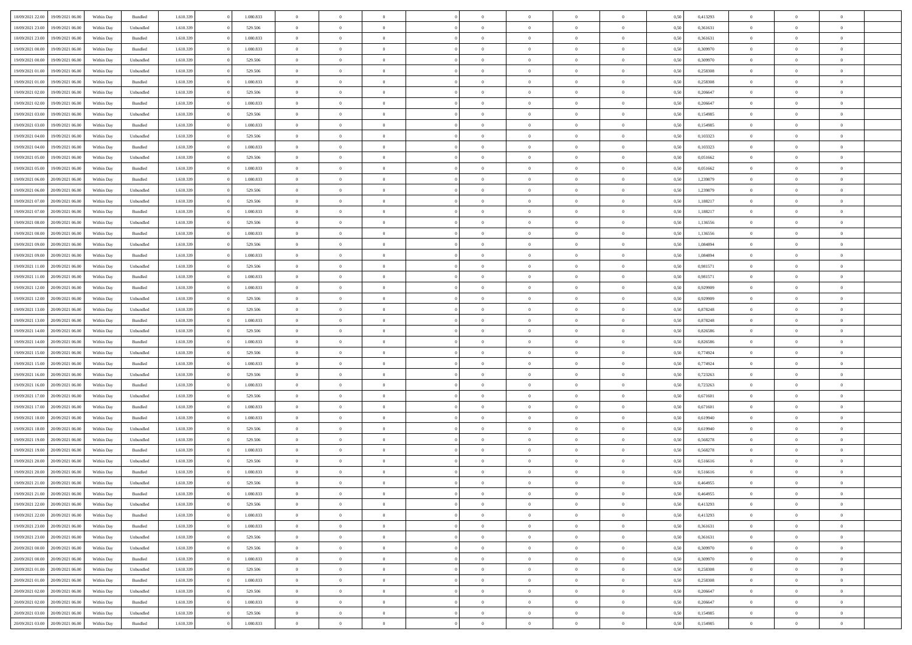| 18/09/2021 22:00<br>19/09/2021 06:00 | Within Day | Bundled   | 1.610.339 | 1.080.833 | $\overline{0}$ | $\overline{0}$ | $\Omega$       | $\Omega$       | $\Omega$       |                | $\overline{0}$ | 0,50 | 0,413293 | $\mathbf{0}$   | $\Omega$       | $\Omega$       |  |
|--------------------------------------|------------|-----------|-----------|-----------|----------------|----------------|----------------|----------------|----------------|----------------|----------------|------|----------|----------------|----------------|----------------|--|
| 18/09/2021 23:00<br>19/09/2021 06:00 | Within Day | Unbundled | 1.610.339 | 529.506   | $\bf{0}$       | $\overline{0}$ | $\theta$       | $\theta$       | $\overline{0}$ | $\overline{0}$ | $\,$ 0         | 0,50 | 0,361631 | $\mathbf{0}$   | $\theta$       | $\bf{0}$       |  |
| 18/09/2021 23:00<br>19/09/2021 06:00 | Within Day | Bundled   | 1.610.339 | 1.080.833 | $\overline{0}$ | $\overline{0}$ | $\overline{0}$ | $\bf{0}$       | $\bf{0}$       | $\overline{0}$ | $\mathbf{0}$   | 0,50 | 0,361631 | $\bf{0}$       | $\bf{0}$       | $\bf{0}$       |  |
| 19/09/2021 00:00<br>19/09/2021 06:00 | Within Day | Bundled   | 1.610.339 | 1.080.833 | $\overline{0}$ | $\overline{0}$ | $\overline{0}$ | $\overline{0}$ | $\overline{0}$ | $\Omega$       | $\overline{0}$ | 0.50 | 0.309970 | $\overline{0}$ | $\overline{0}$ | $\bf{0}$       |  |
|                                      |            |           |           |           |                |                |                |                |                |                |                |      |          |                |                |                |  |
| 19/09/2021 00:00<br>19/09/2021 06:00 | Within Day | Unbundled | 1.610.339 | 529.506   | $\bf{0}$       | $\overline{0}$ | $\overline{0}$ | $\theta$       | $\overline{0}$ | $\overline{0}$ | $\bf{0}$       | 0,50 | 0,309970 | $\theta$       | $\theta$       | $\overline{0}$ |  |
| 19/09/2021 01:00<br>19/09/2021 06:00 | Within Day | Unbundled | 1.610.339 | 529.506   | $\overline{0}$ | $\overline{0}$ | $\overline{0}$ | $\bf{0}$       | $\overline{0}$ | $\overline{0}$ | $\overline{0}$ | 0,50 | 0,258308 | $\overline{0}$ | $\overline{0}$ | $\overline{0}$ |  |
| 19/09/2021 01:00<br>19/09/2021 06:00 | Within Day | Bundled   | 1.610.339 | 1.080.833 | $\overline{0}$ | $\overline{0}$ | $\overline{0}$ | $\overline{0}$ | $\overline{0}$ | $\overline{0}$ | $\overline{0}$ | 0.50 | 0,258308 | $\mathbf{0}$   | $\overline{0}$ | $\overline{0}$ |  |
| 19/09/2021 02:00<br>19/09/2021 06:00 | Within Day | Unbundled | 1.610.339 | 529.506   | $\bf{0}$       | $\overline{0}$ | $\overline{0}$ | $\theta$       | $\overline{0}$ | $\overline{0}$ | $\bf{0}$       | 0,50 | 0,206647 | $\theta$       | $\theta$       | $\bf{0}$       |  |
| 19/09/2021 02:00<br>19/09/2021 06:00 | Within Day | Bundled   | 1.610.339 | 1.080.833 | $\overline{0}$ | $\overline{0}$ | $\bf{0}$       | $\bf{0}$       | $\bf{0}$       | $\overline{0}$ | $\bf{0}$       | 0,50 | 0,206647 | $\bf{0}$       | $\bf{0}$       | $\bf{0}$       |  |
| 19/09/2021 06:00                     |            | Unbundled | 1.610.339 | 529.506   | $\overline{0}$ | $\overline{0}$ | $\overline{0}$ | $\overline{0}$ | $\overline{0}$ | $\overline{0}$ | $\overline{0}$ | 0.50 | 0.154985 | $\overline{0}$ | $\overline{0}$ | $\overline{0}$ |  |
| 19/09/2021 03:00                     | Within Day |           |           |           |                |                |                |                |                |                |                |      |          |                |                |                |  |
| 19/09/2021 03:00<br>19/09/2021 06:00 | Within Day | Bundled   | 1.610.339 | 1.080.833 | $\bf{0}$       | $\overline{0}$ | $\overline{0}$ | $\overline{0}$ | $\overline{0}$ | $\overline{0}$ | $\,$ 0         | 0,50 | 0,154985 | $\theta$       | $\theta$       | $\bf{0}$       |  |
| 19/09/2021 04:00<br>19/09/2021 06:00 | Within Day | Unbundled | 1.610.339 | 529.506   | $\overline{0}$ | $\overline{0}$ | $\overline{0}$ | $\bf{0}$       | $\bf{0}$       | $\overline{0}$ | $\mathbf{0}$   | 0,50 | 0,103323 | $\bf{0}$       | $\bf{0}$       | $\bf{0}$       |  |
| 19/09/2021 04:00<br>19/09/2021 06:00 | Within Day | Bundled   | 1.610.339 | 1.080.833 | $\overline{0}$ | $\overline{0}$ | $\overline{0}$ | $\overline{0}$ | $\overline{0}$ | $\overline{0}$ | $\overline{0}$ | 0.50 | 0,103323 | $\mathbf{0}$   | $\overline{0}$ | $\bf{0}$       |  |
| 19/09/2021 05:00<br>19/09/2021 06:00 | Within Day | Unbundled | 1.610.339 | 529.506   | $\bf{0}$       | $\overline{0}$ | $\overline{0}$ | $\theta$       | $\overline{0}$ | $\overline{0}$ | $\,$ 0         | 0,50 | 0,051662 | $\theta$       | $\theta$       | $\overline{0}$ |  |
|                                      |            |           |           |           |                |                |                |                |                |                |                |      |          |                |                |                |  |
| 19/09/2021 05:00<br>19/09/2021 06:00 | Within Day | Bundled   | 1.610.339 | 1.080.833 | $\overline{0}$ | $\overline{0}$ | $\overline{0}$ | $\bf{0}$       | $\overline{0}$ | $\overline{0}$ | $\overline{0}$ | 0,50 | 0,051662 | $\overline{0}$ | $\bf{0}$       | $\overline{0}$ |  |
| 19/09/2021 06:00<br>20/09/2021 06:00 | Within Day | Bundled   | 1.610.339 | 1.080.833 | $\overline{0}$ | $\overline{0}$ | $\overline{0}$ | $\overline{0}$ | $\overline{0}$ | $\overline{0}$ | $\mathbf{0}$   | 0.50 | 1,239879 | $\overline{0}$ | $\overline{0}$ | $\overline{0}$ |  |
| 19/09/2021 06:00<br>20/09/2021 06:00 | Within Day | Unbundled | 1.610.339 | 529.506   | $\bf{0}$       | $\overline{0}$ | $\overline{0}$ | $\overline{0}$ | $\overline{0}$ | $\overline{0}$ | $\bf{0}$       | 0,50 | 1,239879 | $\theta$       | $\theta$       | $\bf{0}$       |  |
| 19/09/2021 07:00<br>20/09/2021 06:00 | Within Day | Unbundled | 1.610.339 | 529.506   | $\overline{0}$ | $\overline{0}$ | $\bf{0}$       | $\bf{0}$       | $\bf{0}$       | $\overline{0}$ | $\mathbf{0}$   | 0,50 | 1,188217 | $\bf{0}$       | $\bf{0}$       | $\bf{0}$       |  |
| 19/09/2021 07:00<br>20/09/2021 06:00 | Within Day | Bundled   | 1.610.339 | 1.080.833 | $\overline{0}$ | $\overline{0}$ | $\overline{0}$ | $\overline{0}$ | $\overline{0}$ | $\overline{0}$ | $\overline{0}$ | 0.50 | 1,188217 | $\overline{0}$ | $\overline{0}$ | $\overline{0}$ |  |
| 19/09/2021 08:00<br>20/09/2021 06:00 | Within Day | Unbundled | 1.610.339 | 529.506   | $\bf{0}$       | $\overline{0}$ | $\overline{0}$ | $\overline{0}$ | $\overline{0}$ | $\overline{0}$ | $\,$ 0         | 0,50 | 1,136556 | $\theta$       | $\theta$       | $\bf{0}$       |  |
| 19/09/2021 08:00<br>20/09/2021 06:00 | Within Day | Bundled   | 1.610.339 | 1.080.833 | $\overline{0}$ | $\overline{0}$ | $\overline{0}$ | $\bf{0}$       | $\bf{0}$       | $\overline{0}$ | $\mathbf{0}$   | 0,50 | 1,136556 | $\bf{0}$       | $\bf{0}$       | $\bf{0}$       |  |
|                                      |            |           |           |           |                |                |                |                |                |                |                |      |          |                |                |                |  |
| 19/09/2021 09:00<br>20/09/2021 06:00 | Within Day | Unbundled | 1.610.339 | 529,506   | $\overline{0}$ | $\overline{0}$ | $\overline{0}$ | $\overline{0}$ | $\overline{0}$ | $\overline{0}$ | $\overline{0}$ | 0.50 | 1.084894 | $\overline{0}$ | $\overline{0}$ | $\bf{0}$       |  |
| 19/09/2021 09:00<br>20/09/2021 06:00 | Within Day | Bundled   | 1.610.339 | 1.080.833 | $\bf{0}$       | $\overline{0}$ | $\overline{0}$ | $\overline{0}$ | $\overline{0}$ | $\overline{0}$ | $\,$ 0         | 0,50 | 1,084894 | $\mathbf{0}$   | $\theta$       | $\bf{0}$       |  |
| 19/09/2021 11:00<br>20/09/2021 06:00 | Within Day | Unbundled | 1.610.339 | 529.506   | $\overline{0}$ | $\overline{0}$ | $\overline{0}$ | $\bf{0}$       | $\overline{0}$ | $\overline{0}$ | $\overline{0}$ | 0,50 | 0,981571 | $\overline{0}$ | $\overline{0}$ | $\overline{0}$ |  |
| 19/09/2021 11:00<br>20/09/2021 06:00 | Within Day | Bundled   | 1.610.339 | 1.080.833 | $\overline{0}$ | $\overline{0}$ | $\overline{0}$ | $\overline{0}$ | $\overline{0}$ | $\overline{0}$ | $\overline{0}$ | 0.50 | 0,981571 | $\overline{0}$ | $\overline{0}$ | $\overline{0}$ |  |
| 19/09/2021 12:00<br>20/09/2021 06:00 | Within Day | Bundled   | 1.610.339 | 1.080.833 | $\bf{0}$       | $\overline{0}$ | $\bf{0}$       | $\overline{0}$ | $\overline{0}$ | $\overline{0}$ | $\bf{0}$       | 0,50 | 0,929909 | $\theta$       | $\theta$       | $\bf{0}$       |  |
| 19/09/2021 12:00<br>20/09/2021 06:00 | Within Day | Unbundled | 1.610.339 | 529.506   | $\overline{0}$ | $\overline{0}$ | $\bf{0}$       | $\bf{0}$       | $\bf{0}$       | $\overline{0}$ | $\bf{0}$       | 0,50 | 0,929909 | $\bf{0}$       | $\bf{0}$       | $\bf{0}$       |  |
| 20/09/2021 06:00                     |            | Unbundled | 1.610.339 | 529.506   | $\overline{0}$ | $\overline{0}$ | $\overline{0}$ | $\overline{0}$ | $\overline{0}$ | $\overline{0}$ | $\overline{0}$ | 0.50 | 0,878248 | $\overline{0}$ | $\overline{0}$ | $\bf{0}$       |  |
| 19/09/2021 13:00                     | Within Day |           |           |           |                |                |                |                |                |                |                |      |          |                |                |                |  |
| 19/09/2021 13:00<br>20/09/2021 06:00 | Within Day | Bundled   | 1.610.339 | 1.080.833 | $\bf{0}$       | $\overline{0}$ | $\overline{0}$ | $\overline{0}$ | $\overline{0}$ | $\overline{0}$ | $\,$ 0         | 0,50 | 0,878248 | $\theta$       | $\theta$       | $\bf{0}$       |  |
| 19/09/2021 14:00<br>20/09/2021 06:00 | Within Day | Unbundled | 1.610.339 | 529.506   | $\overline{0}$ | $\overline{0}$ | $\overline{0}$ | $\bf{0}$       | $\bf{0}$       | $\overline{0}$ | $\mathbf{0}$   | 0,50 | 0,826586 | $\overline{0}$ | $\bf{0}$       | $\bf{0}$       |  |
| 19/09/2021 14:00<br>20/09/2021 06:00 | Within Day | Bundled   | 1.610.339 | 1.080.833 | $\overline{0}$ | $\overline{0}$ | $\overline{0}$ | $\overline{0}$ | $\overline{0}$ | $\Omega$       | $\overline{0}$ | 0.50 | 0,826586 | $\bf{0}$       | $\Omega$       | $\Omega$       |  |
| 19/09/2021 15:00<br>20/09/2021 06:00 | Within Day | Unbundled | 1.610.339 | 529.506   | $\bf{0}$       | $\overline{0}$ | $\overline{0}$ | $\theta$       | $\overline{0}$ | $\overline{0}$ | $\,$ 0         | 0,50 | 0,774924 | $\theta$       | $\theta$       | $\bf{0}$       |  |
| 19/09/2021 15:00<br>20/09/2021 06:00 | Within Day | Bundled   | 1.610.339 | 1.080.833 | $\overline{0}$ | $\overline{0}$ | $\overline{0}$ | $\bf{0}$       | $\overline{0}$ | $\overline{0}$ | $\overline{0}$ | 0,50 | 0,774924 | $\overline{0}$ | $\bf{0}$       | $\overline{0}$ |  |
| 19/09/2021 16:00<br>20/09/2021 06:00 | Within Day | Unbundled | 1.610.339 | 529.506   | $\overline{0}$ | $\overline{0}$ | $\Omega$       | $\overline{0}$ | $\overline{0}$ | $\Omega$       | $\overline{0}$ | 0.50 | 0,723263 | $\overline{0}$ | $\Omega$       | $\Omega$       |  |
| 19/09/2021 16:00<br>20/09/2021 06:00 | Within Day | Bundled   | 1.610.339 | 1.080.833 | $\bf{0}$       | $\overline{0}$ | $\bf{0}$       | $\overline{0}$ | $\overline{0}$ | $\overline{0}$ | $\bf{0}$       | 0,50 | 0,723263 | $\theta$       | $\theta$       | $\bf{0}$       |  |
|                                      |            |           |           |           |                |                |                |                |                |                |                |      |          |                |                |                |  |
| 19/09/2021 17:00<br>20/09/2021 06:00 | Within Day | Unbundled | 1.610.339 | 529.506   | $\overline{0}$ | $\overline{0}$ | $\bf{0}$       | $\bf{0}$       | $\bf{0}$       | $\overline{0}$ | $\bf{0}$       | 0,50 | 0,671601 | $\bf{0}$       | $\bf{0}$       | $\bf{0}$       |  |
| 19/09/2021 17:00<br>20/09/2021 06:00 | Within Day | Bundled   | 1.610.339 | 1.080.833 | $\overline{0}$ | $\overline{0}$ | $\Omega$       | $\overline{0}$ | $\overline{0}$ | $\Omega$       | $\theta$       | 0.50 | 0,671601 | $\overline{0}$ | $\Omega$       | $\Omega$       |  |
| 19/09/2021 18:00<br>20/09/2021 06:00 | Within Day | Bundled   | 1.610.339 | 1.080.833 | $\bf{0}$       | $\overline{0}$ | $\bf{0}$       | $\overline{0}$ | $\overline{0}$ | $\overline{0}$ | $\,$ 0         | 0,50 | 0,619940 | $\theta$       | $\theta$       | $\bf{0}$       |  |
| 19/09/2021 18:00<br>20/09/2021 06:00 | Within Day | Unbundled | 1.610.339 | 529.506   | $\overline{0}$ | $\overline{0}$ | $\overline{0}$ | $\bf{0}$       | $\bf{0}$       | $\overline{0}$ | $\mathbf{0}$   | 0,50 | 0,619940 | $\overline{0}$ | $\bf{0}$       | $\bf{0}$       |  |
| 19/09/2021 19:00<br>20/09/2021 06:00 | Within Day | Unbundled | 1.610.339 | 529.506   | $\overline{0}$ | $\overline{0}$ | $\overline{0}$ | $\overline{0}$ | $\bf{0}$       | $\Omega$       | $\overline{0}$ | 0.50 | 0,568278 | $\bf{0}$       | $\Omega$       | $\Omega$       |  |
| 19/09/2021 19:00<br>20/09/2021 06:00 | Within Day | Bundled   | 1.610.339 | 1.080.833 | $\bf{0}$       | $\overline{0}$ | $\bf{0}$       | $\overline{0}$ | $\overline{0}$ | $\overline{0}$ | $\,$ 0         | 0,50 | 0,568278 | $\,0\,$        | $\theta$       | $\bf{0}$       |  |
|                                      |            |           |           |           |                |                |                |                |                |                |                |      |          | $\overline{0}$ | $\bf{0}$       | $\bf{0}$       |  |
| 19/09/2021 20:00<br>20/09/2021 06:00 | Within Day | Unbundled | 1.610.339 | 529.506   | $\overline{0}$ | $\overline{0}$ | $\bf{0}$       | $\bf{0}$       | $\overline{0}$ | $\overline{0}$ | $\overline{0}$ | 0,50 | 0,516616 |                |                |                |  |
| 19/09/2021 20:00<br>20/09/2021 06:00 | Within Day | Bundled   | 1.610.339 | 1.080.833 | $\overline{0}$ | $\Omega$       | $\Omega$       | $\Omega$       | $\overline{0}$ | $\Omega$       | $\overline{0}$ | 0.50 | 0,516616 | $\overline{0}$ | $\Omega$       | $\Omega$       |  |
| 19/09/2021 21:00<br>20/09/2021 06:00 | Within Day | Unbundled | 1.610.339 | 529.506   | $\bf{0}$       | $\overline{0}$ | $\bf{0}$       | $\bf{0}$       | $\bf{0}$       | $\overline{0}$ | $\,$ 0         | 0,50 | 0,464955 | $\bf{0}$       | $\,$ 0         | $\bf{0}$       |  |
| 19/09/2021 21:00 20/09/2021 06:00    | Within Day | Bundled   | 1.610.339 | 1.080.833 | $\bf{0}$       | $\bf{0}$       |                | $\bf{0}$       |                |                |                | 0,50 | 0,464955 | $\bf{0}$       | $\bf{0}$       |                |  |
| 19/09/2021 22:00 20/09/2021 06:00    | Within Day | Unbundled | 1.610.339 | 529.506   | $\overline{0}$ | $\overline{0}$ | $\theta$       | $\overline{0}$ | $\overline{0}$ | $\overline{0}$ | $\mathbf{0}$   | 0,50 | 0.413293 | $\overline{0}$ | $\theta$       | $\theta$       |  |
| 19/09/2021 22:00<br>20/09/2021 06:00 | Within Day | Bundled   | 1.610.339 | 1.080.833 | $\overline{0}$ | $\overline{0}$ | $\overline{0}$ | $\bf{0}$       | $\overline{0}$ | $\overline{0}$ | $\mathbf{0}$   | 0,50 | 0,413293 | $\,0\,$        | $\overline{0}$ | $\,$ 0 $\,$    |  |
| 19/09/2021 23:00<br>20/09/2021 06:00 | Within Day | Bundled   | 1.610.339 | 1.080.833 | $\overline{0}$ | $\overline{0}$ | $\overline{0}$ | $\bf{0}$       | $\overline{0}$ | $\overline{0}$ | $\overline{0}$ | 0,50 | 0,361631 | $\overline{0}$ | $\overline{0}$ | $\overline{0}$ |  |
|                                      |            |           | 1.610.339 |           |                | $\overline{0}$ | $\overline{0}$ | $\overline{0}$ | $\bf{0}$       | $\overline{0}$ |                |      |          | $\overline{0}$ | $\overline{0}$ | $\overline{0}$ |  |
| 19/09/2021 23:00<br>20/09/2021 06:00 | Within Day | Unbundled |           | 529.506   | $\overline{0}$ |                |                |                |                |                | $\overline{0}$ | 0,50 | 0,361631 |                |                |                |  |
| 20/09/2021 00:00<br>20/09/2021 06:00 | Within Day | Unbundled | 1.610.339 | 529.506   | $\overline{0}$ | $\overline{0}$ | $\overline{0}$ | $\overline{0}$ | $\overline{0}$ | $\overline{0}$ | $\mathbf{0}$   | 0,50 | 0,309970 | $\,0\,$        | $\theta$       | $\bf{0}$       |  |
| 20/09/2021 00:00<br>20/09/2021 06:00 | Within Day | Bundled   | 1.610.339 | 1.080.833 | $\overline{0}$ | $\overline{0}$ | $\overline{0}$ | $\overline{0}$ | $\overline{0}$ | $\overline{0}$ | $\overline{0}$ | 0,50 | 0,309970 | $\overline{0}$ | $\overline{0}$ | $\overline{0}$ |  |
| 20/09/2021 01:00<br>20/09/2021 06:00 | Within Day | Unbundled | 1.610.339 | 529.506   | $\overline{0}$ | $\overline{0}$ | $\overline{0}$ | $\overline{0}$ | $\overline{0}$ | $\overline{0}$ | $\overline{0}$ | 0.50 | 0,258308 | $\overline{0}$ | $\overline{0}$ | $\overline{0}$ |  |
| 20/09/2021 01:00<br>20/09/2021 06:00 | Within Day | Bundled   | 1.610.339 | 1.080.833 | $\overline{0}$ | $\overline{0}$ | $\overline{0}$ | $\bf{0}$       | $\bf{0}$       | $\overline{0}$ | $\,$ 0 $\,$    | 0,50 | 0,258308 | $\,0\,$        | $\theta$       | $\,$ 0         |  |
| 20/09/2021 02:00<br>20/09/2021 06:00 | Within Day | Unbundled | 1.610.339 | 529.506   | $\overline{0}$ | $\overline{0}$ | $\overline{0}$ | $\bf{0}$       | $\overline{0}$ | $\overline{0}$ | $\overline{0}$ | 0,50 | 0,206647 | $\bf{0}$       | $\bf{0}$       | $\overline{0}$ |  |
| 20/09/2021 02:00<br>20/09/2021 06:00 | Within Day | Bundled   | 1.610.339 | 1.080.833 | $\overline{0}$ | $\overline{0}$ | $\overline{0}$ | $\overline{0}$ | $\overline{0}$ | $\overline{0}$ | $\overline{0}$ | 0.50 | 0,206647 | $\overline{0}$ | $\overline{0}$ | $\overline{0}$ |  |
|                                      |            |           |           |           |                | $\overline{0}$ |                |                |                |                |                |      |          | $\,0\,$        | $\,0\,$        |                |  |
| 20/09/2021 03:00<br>20/09/2021 06:00 | Within Day | Unbundled | 1.610.339 | 529.506   | $\overline{0}$ |                | $\overline{0}$ | $\bf{0}$       | $\bf{0}$       | $\overline{0}$ | $\,$ 0 $\,$    | 0,50 | 0,154985 |                |                | $\,$ 0         |  |
| 20/09/2021 03:00 20/09/2021 06:00    | Within Day | Bundled   | 1.610.339 | 1.080.833 | $\overline{0}$ | $\overline{0}$ | $\overline{0}$ | $\bf{0}$       | $\overline{0}$ | $\overline{0}$ | $\overline{0}$ | 0,50 | 0,154985 | $\bf{0}$       | $\bf{0}$       | $\overline{0}$ |  |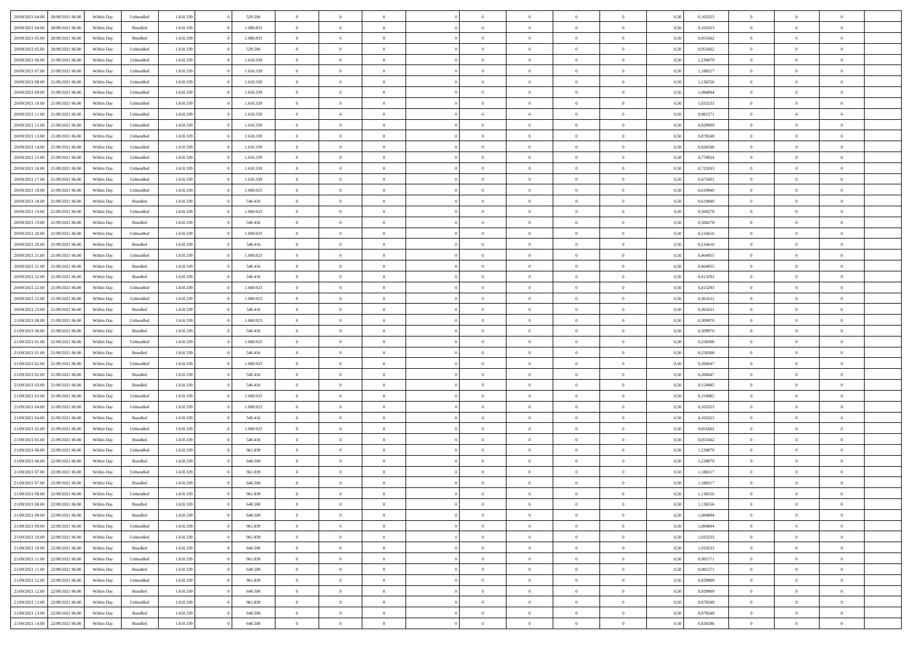| 20/09/2021 04:00<br>20/09/2021 06:00 | Within Dav | Unbundled          | 1.610.339 | 529.506   | $\overline{0}$ | $\Omega$       | $\Omega$       | $\Omega$       | $\theta$       | $\theta$       | $\overline{0}$ | 0,50 | 0,103323 | $\theta$       | $\Omega$       | $\theta$       |  |
|--------------------------------------|------------|--------------------|-----------|-----------|----------------|----------------|----------------|----------------|----------------|----------------|----------------|------|----------|----------------|----------------|----------------|--|
| 20/09/2021 04:00<br>20/09/2021 06:00 | Within Day | $\mathbf B$ undled | 1.610.339 | 1.080.833 | $\overline{0}$ | $\overline{0}$ | $\overline{0}$ | $\theta$       | $\mathbf{0}$   | $\overline{0}$ | $\,$ 0 $\,$    | 0,50 | 0,103323 | $\theta$       | $\theta$       | $\overline{0}$ |  |
| 20/09/2021 05:00<br>20/09/2021 06.00 | Within Day | Bundled            | 1.610.339 | 1.080.833 | $\overline{0}$ | $\overline{0}$ | $\overline{0}$ | $\bf{0}$       | $\bf{0}$       | $\overline{0}$ | $\mathbf{0}$   | 0,50 | 0,051662 | $\bf{0}$       | $\overline{0}$ | $\overline{0}$ |  |
| 20/09/2021 05:00<br>20/09/2021 06:00 | Within Dav | Unbundled          | 1.610.339 | 529.506   | $\overline{0}$ | $\overline{0}$ | $\overline{0}$ | $\overline{0}$ | $\overline{0}$ | $\overline{0}$ | $\overline{0}$ | 0.50 | 0.051662 | $\theta$       | $\theta$       | $\overline{0}$ |  |
| 20/09/2021 06:00<br>21/09/2021 06:00 | Within Day | Unbundled          | 1.610.339 | 1.610.339 | $\overline{0}$ | $\overline{0}$ | $\overline{0}$ | $\theta$       | $\overline{0}$ | $\overline{0}$ | $\,$ 0 $\,$    | 0,50 | 1,239879 | $\theta$       | $\theta$       | $\overline{0}$ |  |
| 20/09/2021 07:00<br>21/09/2021 06.00 | Within Day | Unbundled          | 1.610.339 | 1.610.339 | $\overline{0}$ | $\overline{0}$ | $\overline{0}$ | $\bf{0}$       | $\overline{0}$ | $\overline{0}$ | $\mathbf{0}$   | 0,50 | 1,188217 | $\bf{0}$       | $\overline{0}$ | $\bf{0}$       |  |
| 20/09/2021 08:00<br>21/09/2021 06:00 | Within Dav | Unbundled          | 1.610.339 | 1.610.339 | $\overline{0}$ | $\overline{0}$ | $\overline{0}$ | $\overline{0}$ | $\overline{0}$ | $\overline{0}$ | $\mathbf{0}$   | 0.50 | 1,136556 | $\theta$       | $\theta$       | $\overline{0}$ |  |
|                                      |            |                    |           |           |                |                |                |                |                |                |                |      |          |                |                |                |  |
| 20/09/2021 09:00<br>21/09/2021 06:00 | Within Day | Unbundled          | 1.610.339 | 1.610.339 | $\overline{0}$ | $\overline{0}$ | $\overline{0}$ | $\overline{0}$ | $\overline{0}$ | $\overline{0}$ | $\bf{0}$       | 0,50 | 1,084894 | $\theta$       | $\theta$       | $\overline{0}$ |  |
| 20/09/2021 10:00<br>21/09/2021 06.00 | Within Day | Unbundled          | 1.610.339 | 1.610.339 | $\overline{0}$ | $\overline{0}$ | $\overline{0}$ | $\bf{0}$       | $\bf{0}$       | $\overline{0}$ | $\mathbf{0}$   | 0,50 | 1,033233 | $\,$ 0 $\,$    | $\bf{0}$       | $\overline{0}$ |  |
| 20/09/2021 11:00<br>21/09/2021 06:00 | Within Day | Unbundled          | 1.610.339 | 1.610.339 | $\overline{0}$ | $\overline{0}$ | $\overline{0}$ | $\overline{0}$ | $\overline{0}$ | $\overline{0}$ | $\overline{0}$ | 0.50 | 0,981571 | $\overline{0}$ | $\theta$       | $\overline{0}$ |  |
| 20/09/2021 12:00<br>21/09/2021 06:00 | Within Day | Unbundled          | 1.610.339 | 1.610.339 | $\overline{0}$ | $\overline{0}$ | $\overline{0}$ | $\overline{0}$ | $\overline{0}$ | $\overline{0}$ | $\,$ 0 $\,$    | 0,50 | 0,929909 | $\theta$       | $\theta$       | $\overline{0}$ |  |
| 20/09/2021 13:00<br>21/09/2021 06.00 | Within Day | Unbundled          | 1.610.339 | 1.610.339 | $\overline{0}$ | $\overline{0}$ | $\overline{0}$ | $\bf{0}$       | $\bf{0}$       | $\overline{0}$ | $\mathbf{0}$   | 0,50 | 0,878248 | $\bf{0}$       | $\overline{0}$ | $\bf{0}$       |  |
| 20/09/2021 14:00<br>21/09/2021 06:00 | Within Day | Unbundled          | 1.610.339 | 1.610.339 | $\overline{0}$ | $\overline{0}$ | $\overline{0}$ | $\overline{0}$ | $\overline{0}$ | $\overline{0}$ | $\overline{0}$ | 0.50 | 0.826586 | $\theta$       | $\theta$       | $\overline{0}$ |  |
| 20/09/2021 15:00<br>21/09/2021 06:00 | Within Day | Unbundled          | 1.610.339 | 1.610.339 | $\overline{0}$ | $\overline{0}$ | $\overline{0}$ | $\theta$       | $\overline{0}$ | $\overline{0}$ | $\,$ 0 $\,$    | 0,50 | 0,774924 | $\theta$       | $\theta$       | $\overline{0}$ |  |
| 20/09/2021 16:00<br>21/09/2021 06.00 | Within Day | Unbundled          | 1.610.339 | 1.610.339 | $\overline{0}$ | $\overline{0}$ | $\overline{0}$ | $\bf{0}$       | $\overline{0}$ | $\overline{0}$ | $\mathbf{0}$   | 0,50 | 0,723263 | $\bf{0}$       | $\overline{0}$ | $\overline{0}$ |  |
| 20/09/2021 17:00<br>21/09/2021 06:00 | Within Dav | Unbundled          | 1.610.339 | 1.610.339 | $\overline{0}$ | $\overline{0}$ | $\overline{0}$ | $\overline{0}$ | $\overline{0}$ | $\overline{0}$ | $\overline{0}$ | 0.50 | 0,671601 | $\overline{0}$ | $\theta$       | $\overline{0}$ |  |
| 20/09/2021 18:00<br>21/09/2021 06:00 | Within Day | Unbundled          | 1.610.339 | 1.069.923 | $\overline{0}$ | $\overline{0}$ | $\overline{0}$ | $\overline{0}$ | $\overline{0}$ | $\overline{0}$ | $\bf{0}$       | 0,50 | 0,619940 | $\theta$       | $\theta$       | $\overline{0}$ |  |
|                                      |            |                    |           |           |                |                |                |                |                |                |                |      |          |                |                |                |  |
| 20/09/2021 18:00<br>21/09/2021 06.00 | Within Day | Bundled            | 1.610.339 | 540.416   | $\overline{0}$ | $\overline{0}$ | $\overline{0}$ | $\bf{0}$       | $\bf{0}$       | $\overline{0}$ | $\mathbf{0}$   | 0,50 | 0,619940 | $\bf{0}$       | $\overline{0}$ | $\overline{0}$ |  |
| 20/09/2021 19:00<br>21/09/2021 06:00 | Within Day | Unbundled          | 1.610.339 | 1.069.923 | $\overline{0}$ | $\overline{0}$ | $\overline{0}$ | $\overline{0}$ | $\overline{0}$ | $\overline{0}$ | $\overline{0}$ | 0.50 | 0,568278 | $\overline{0}$ | $\theta$       | $\overline{0}$ |  |
| 20/09/2021 19:00<br>21/09/2021 06:00 | Within Day | Bundled            | 1.610.339 | 540.416   | $\overline{0}$ | $\overline{0}$ | $\overline{0}$ | $\overline{0}$ | $\overline{0}$ | $\overline{0}$ | $\,$ 0 $\,$    | 0,50 | 0,568278 | $\theta$       | $\theta$       | $\overline{0}$ |  |
| 20/09/2021 20:00<br>21/09/2021 06.00 | Within Day | Unbundled          | 1.610.339 | 1.069.923 | $\overline{0}$ | $\overline{0}$ | $\overline{0}$ | $\bf{0}$       | $\bf{0}$       | $\overline{0}$ | $\mathbf{0}$   | 0,50 | 0,516616 | $\bf{0}$       | $\overline{0}$ | $\bf{0}$       |  |
| 20/09/2021 20:00<br>21/09/2021 06:00 | Within Day | Bundled            | 1.610.339 | 540.416   | $\overline{0}$ | $\overline{0}$ | $\overline{0}$ | $\overline{0}$ | $\overline{0}$ | $\overline{0}$ | $\overline{0}$ | 0.50 | 0.516616 | $\overline{0}$ | $\theta$       | $\overline{0}$ |  |
| 20/09/2021 21:00<br>21/09/2021 06:00 | Within Day | Unbundled          | 1.610.339 | 1.069.923 | $\overline{0}$ | $\overline{0}$ | $\overline{0}$ | $\overline{0}$ | $\overline{0}$ | $\overline{0}$ | $\,$ 0 $\,$    | 0,50 | 0,464955 | $\theta$       | $\theta$       | $\overline{0}$ |  |
| 20/09/2021 21:00<br>21/09/2021 06.00 | Within Day | Bundled            | 1.610.339 | 540.416   | $\overline{0}$ | $\overline{0}$ | $\overline{0}$ | $\bf{0}$       | $\overline{0}$ | $\overline{0}$ | $\mathbf{0}$   | 0,50 | 0,464955 | $\bf{0}$       | $\overline{0}$ | $\bf{0}$       |  |
| 20/09/2021 22:00<br>21/09/2021 06:00 | Within Day | Bundled            | 1.610.339 | 540.416   | $\overline{0}$ | $\overline{0}$ | $\overline{0}$ | $\overline{0}$ | $\overline{0}$ | $\overline{0}$ | $\mathbf{0}$   | 0.50 | 0,413293 | $\overline{0}$ | $\theta$       | $\overline{0}$ |  |
| 20/09/2021 22.00<br>21/09/2021 06:00 | Within Day | Unbundled          | 1.610.339 | 1.069.923 | $\overline{0}$ | $\overline{0}$ | $\overline{0}$ | $\overline{0}$ | $\overline{0}$ | $\overline{0}$ | $\bf{0}$       | 0,50 | 0,413293 | $\theta$       | $\theta$       | $\overline{0}$ |  |
| 20/09/2021 23.00<br>21/09/2021 06.00 | Within Day | Unbundled          | 1.610.339 | 1.069.923 | $\overline{0}$ | $\overline{0}$ | $\overline{0}$ | $\bf{0}$       | $\bf{0}$       | $\overline{0}$ | $\mathbf{0}$   | 0,50 | 0,361631 | $\,$ 0 $\,$    | $\bf{0}$       | $\overline{0}$ |  |
| 20/09/2021 23:00<br>21/09/2021 06:00 | Within Day | Bundled            | 1.610.339 | 540.416   | $\overline{0}$ | $\overline{0}$ | $\overline{0}$ | $\overline{0}$ | $\overline{0}$ | $\overline{0}$ | $\overline{0}$ | 0.50 | 0,361631 | $\overline{0}$ | $\theta$       | $\overline{0}$ |  |
| 21/09/2021 00:00<br>21/09/2021 06:00 |            | Unbundled          | 1.610.339 | 1.069.923 |                | $\overline{0}$ |                | $\overline{0}$ | $\overline{0}$ | $\overline{0}$ | $\,$ 0 $\,$    |      | 0,309970 | $\theta$       | $\theta$       | $\overline{0}$ |  |
|                                      | Within Day |                    |           |           | $\overline{0}$ |                | $\overline{0}$ |                |                |                |                | 0,50 |          |                |                |                |  |
| 21/09/2021 00:00<br>21/09/2021 06.00 | Within Day | Bundled            | 1.610.339 | 540.416   | $\overline{0}$ | $\overline{0}$ | $\overline{0}$ | $\bf{0}$       | $\bf{0}$       | $\overline{0}$ | $\mathbf{0}$   | 0,50 | 0,309970 | $\bf{0}$       | $\overline{0}$ | $\bf{0}$       |  |
| 21/09/2021 01:00<br>21/09/2021 06.00 | Within Day | Unbundled          | 1.610.339 | 1.069.923 | $\overline{0}$ | $\theta$       | $\overline{0}$ | $\overline{0}$ | $\overline{0}$ | $\theta$       | $\overline{0}$ | 0.50 | 0,258308 | $\,$ 0 $\,$    | $\Omega$       | $\theta$       |  |
| 21/09/2021 01:00<br>21/09/2021 06:00 | Within Day | Bundled            | 1.610.339 | 540.416   | $\overline{0}$ | $\overline{0}$ | $\overline{0}$ | $\overline{0}$ | $\overline{0}$ | $\overline{0}$ | $\,$ 0 $\,$    | 0,50 | 0,258308 | $\theta$       | $\theta$       | $\overline{0}$ |  |
| 21/09/2021 02.00<br>21/09/2021 06:00 | Within Day | Unbundled          | 1.610.339 | 1.069.923 | $\overline{0}$ | $\overline{0}$ | $\overline{0}$ | $\bf{0}$       | $\overline{0}$ | $\overline{0}$ | $\mathbf{0}$   | 0,50 | 0,206647 | $\bf{0}$       | $\overline{0}$ | $\bf{0}$       |  |
| 21/09/2021 02:00<br>21/09/2021 06.00 | Within Day | Bundled            | 1.610.339 | 540,416   | $\overline{0}$ | $\overline{0}$ | $\overline{0}$ | $\overline{0}$ | $\overline{0}$ | $\theta$       | $\overline{0}$ | 0.50 | 0.206647 | $\overline{0}$ | $\Omega$       | $\theta$       |  |
| 21/09/2021 03:00<br>21/09/2021 06:00 | Within Day | Bundled            | 1.610.339 | 540.416   | $\overline{0}$ | $\overline{0}$ | $\overline{0}$ | $\overline{0}$ | $\overline{0}$ | $\overline{0}$ | $\bf{0}$       | 0,50 | 0,154985 | $\theta$       | $\theta$       | $\overline{0}$ |  |
| 21/09/2021 03:00<br>21/09/2021 06.00 | Within Day | Unbundled          | 1.610.339 | 1.069.923 | $\overline{0}$ | $\overline{0}$ | $\overline{0}$ | $\bf{0}$       | $\bf{0}$       | $\overline{0}$ | $\mathbf{0}$   | 0,50 | 0,154985 | $\bf{0}$       | $\bf{0}$       | $\overline{0}$ |  |
| 21/09/2021 04:00<br>21/09/2021 06:00 | Within Day | Unbundled          | 1.610.339 | 1.069.923 | $\overline{0}$ | $\Omega$       | $\overline{0}$ | $\overline{0}$ | $\overline{0}$ | $\Omega$       | $\overline{0}$ | 0.50 | 0.103323 | $\overline{0}$ | $\Omega$       | $\theta$       |  |
| 21/09/2021 04:00<br>21/09/2021 06:00 | Within Day | Bundled            | 1.610.339 | 540.416   | $\overline{0}$ | $\overline{0}$ | $\overline{0}$ | $\overline{0}$ | $\overline{0}$ | $\overline{0}$ | $\,$ 0 $\,$    | 0,50 | 0,103323 | $\theta$       | $\theta$       | $\overline{0}$ |  |
| 21/09/2021 05:00<br>21/09/2021 06.00 | Within Day | Unbundled          | 1.610.339 | 1.069.923 | $\overline{0}$ | $\overline{0}$ | $\overline{0}$ | $\bf{0}$       | $\bf{0}$       | $\overline{0}$ | $\mathbf{0}$   | 0,50 | 0,051662 | $\bf{0}$       | $\overline{0}$ | $\bf{0}$       |  |
| 21/09/2021 05:00<br>21/09/2021 06.00 | Within Day | Bundled            | 1.610.339 | 540,416   | $\overline{0}$ | $\overline{0}$ | $\overline{0}$ | $\overline{0}$ | $\overline{0}$ | $\theta$       | $\overline{0}$ | 0.50 | 0.051662 | $\overline{0}$ | $\overline{0}$ | $\theta$       |  |
| 21/09/2021 06.00<br>22/09/2021 06:00 | Within Day | Unbundled          | 1.610.339 | 961.839   | $\overline{0}$ | $\overline{0}$ | $\overline{0}$ | $\overline{0}$ | $\overline{0}$ | $\overline{0}$ | $\,$ 0 $\,$    | 0,50 | 1,239879 | $\,$ 0 $\,$    | $\theta$       | $\overline{0}$ |  |
|                                      |            |                    |           |           |                |                |                |                |                |                |                |      |          |                |                |                |  |
| 21/09/2021 06.00<br>22/09/2021 06.00 | Within Day | Bundled            | 1.610.339 | 648.500   | $\overline{0}$ | $\overline{0}$ | $\overline{0}$ | $\bf{0}$       | $\bf{0}$       | $\overline{0}$ | $\mathbf{0}$   | 0,50 | 1,239879 | $\bf{0}$       | $\overline{0}$ | $\bf{0}$       |  |
| 21/09/2021 07:00<br>22/09/2021 06.0  | Within Day | Unbundled          | 1.610.339 | 961.839   | $\overline{0}$ | $\theta$       | $\Omega$       | $\Omega$       | $\Omega$       | $\theta$       | $\overline{0}$ | 0.50 | 1,188217 | $\theta$       | $\Omega$       | $\theta$       |  |
| 21/09/2021 07:00<br>22/09/2021 06:00 | Within Day | Bundled            | 1.610.339 | 648.500   | $\overline{0}$ | $\overline{0}$ | $\overline{0}$ | $\bf{0}$       | $\bf{0}$       | $\overline{0}$ | $\,$ 0 $\,$    | 0,50 | 1,188217 | $\,$ 0 $\,$    | $\bf{0}$       | $\overline{0}$ |  |
| 21/09/2021 08:00 22/09/2021 06:00    | Within Day | Unbundled          | 1.610.339 | 961.839   | $\bf{0}$       | $\bf{0}$       |                | $\bf{0}$       |                |                | $\bf{0}$       | 0,50 | 1,136556 | $\bf{0}$       | $\bf{0}$       |                |  |
| 21/09/2021 08:00 22/09/2021 06:00    | Within Day | Bundled            | 1.610.339 | 648.500   | $\overline{0}$ | $\overline{0}$ | $\overline{0}$ | $\overline{0}$ | $\overline{0}$ | $\theta$       | $\overline{0}$ | 0.50 | 1,136556 | $\overline{0}$ | $\theta$       | $\theta$       |  |
| 21/09/2021 09:00<br>22/09/2021 06:00 | Within Day | Bundled            | 1.610.339 | 648.500   | $\overline{0}$ | $\overline{0}$ | $\overline{0}$ | $\bf{0}$       | $\overline{0}$ | $\overline{0}$ | $\,$ 0 $\,$    | 0,50 | 1,084894 | $\bf{0}$       | $\,0\,$        | $\,$ 0         |  |
| 21/09/2021 09:00<br>22/09/2021 06:00 | Within Day | Unbundled          | 1.610.339 | 961.839   | $\overline{0}$ | $\overline{0}$ | $\overline{0}$ | $\bf{0}$       | $\bf{0}$       | $\overline{0}$ | $\mathbf{0}$   | 0,50 | 1,084894 | $\overline{0}$ | $\overline{0}$ | $\overline{0}$ |  |
| 21/09/2021 10:00<br>22/09/2021 06:00 | Within Day | Unbundled          | 1.610.339 | 961.839   | $\overline{0}$ | $\overline{0}$ | $\overline{0}$ | $\overline{0}$ | $\bf{0}$       | $\overline{0}$ | $\mathbf{0}$   | 0,50 | 1,033233 | $\bf{0}$       | $\theta$       | $\overline{0}$ |  |
| 21/09/2021 10:00<br>22/09/2021 06:00 | Within Day | Bundled            | 1.610.339 | 648.500   | $\overline{0}$ | $\overline{0}$ | $\overline{0}$ | $\bf{0}$       | $\overline{0}$ | $\overline{0}$ | $\,$ 0 $\,$    | 0,50 | 1,033233 | $\bf{0}$       | $\,$ 0 $\,$    | $\overline{0}$ |  |
| 21/09/2021 11:00<br>22/09/2021 06:00 | Within Day | Unbundled          | 1.610.339 | 961.839   | $\overline{0}$ | $\overline{0}$ | $\overline{0}$ | $\overline{0}$ | $\bf{0}$       | $\overline{0}$ | $\mathbf{0}$   | 0,50 | 0,981571 | $\overline{0}$ | $\overline{0}$ | $\overline{0}$ |  |
| 22/09/2021 06:00<br>21/09/2021 11:00 | Within Day | Bundled            | 1.610.339 | 648,500   | $\overline{0}$ | $\overline{0}$ | $\overline{0}$ | $\overline{0}$ | $\overline{0}$ | $\overline{0}$ | $\mathbf{0}$   | 0.50 | 0,981571 | $\bf{0}$       | $\theta$       | $\overline{0}$ |  |
| 21/09/2021 12:00<br>22/09/2021 06:00 | Within Day | Unbundled          | 1.610.339 | 961.839   | $\overline{0}$ | $\overline{0}$ | $\overline{0}$ |                | $\bf{0}$       |                | $\,$ 0 $\,$    |      | 0,929909 | $\,$ 0 $\,$    | $\,$ 0 $\,$    | $\overline{0}$ |  |
|                                      |            |                    |           |           |                |                |                | $\bf{0}$       |                | $\overline{0}$ |                | 0,50 |          |                |                |                |  |
| 22/09/2021 06:00<br>21/09/2021 12:00 | Within Day | Bundled            | 1.610.339 | 648.500   | $\overline{0}$ | $\overline{0}$ | $\overline{0}$ | $\bf{0}$       | $\overline{0}$ | $\overline{0}$ | $\mathbf{0}$   | 0,50 | 0,929909 | $\overline{0}$ | $\overline{0}$ | $\bf{0}$       |  |
| 22/09/2021 06:00<br>21/09/2021 13:00 | Within Day | Unbundled          | 1.610.339 | 961.839   | $\overline{0}$ | $\overline{0}$ | $\overline{0}$ | $\bf{0}$       | $\overline{0}$ | $\overline{0}$ | $\mathbf{0}$   | 0.50 | 0,878248 | $\bf{0}$       | $\overline{0}$ | $\overline{0}$ |  |
| 21/09/2021 13:00<br>22/09/2021 06:00 | Within Day | Bundled            | 1.610.339 | 648.500   | $\overline{0}$ | $\overline{0}$ | $\overline{0}$ | $\bf{0}$       | $\bf{0}$       | $\overline{0}$ | $\,$ 0 $\,$    | 0,50 | 0,878248 | $\,$ 0 $\,$    | $\,0\,$        | $\bf{0}$       |  |
| 21/09/2021 14:00 22/09/2021 06:00    | Within Day | Bundled            | 1.610.339 | 648.500   | $\overline{0}$ | $\overline{0}$ | $\overline{0}$ | $\bf{0}$       | $\overline{0}$ | $\overline{0}$ | $\mathbf{0}$   | 0,50 | 0,826586 | $\overline{0}$ | $\bf{0}$       | $\bf{0}$       |  |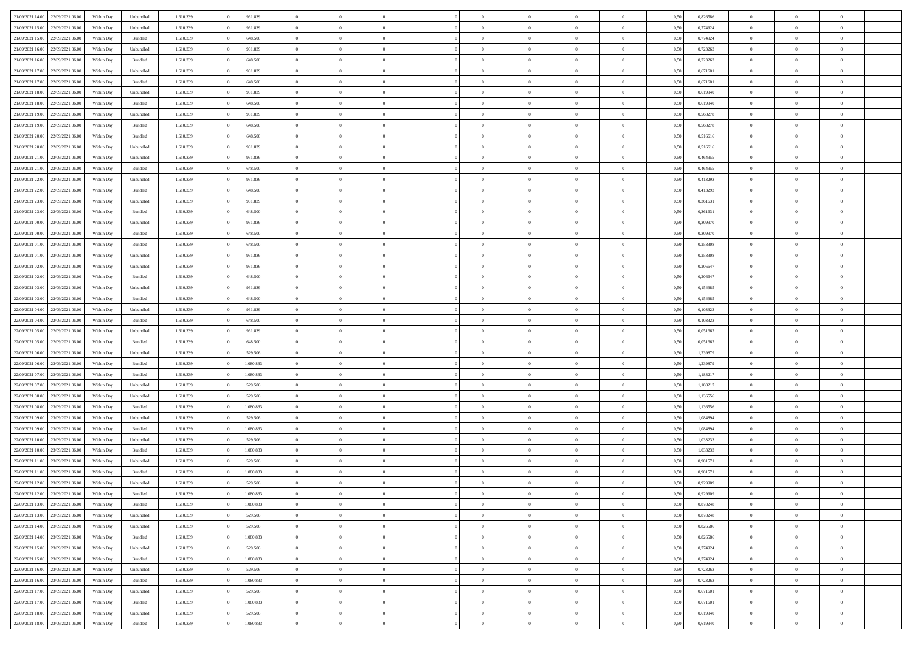| 21/09/2021 14:00                  | 22/09/2021 06:00 | Within Day | Unbundled          | 1.610.339 | 961.839   | $\overline{0}$ | $\Omega$       |                | $\Omega$       | $\Omega$       | $\Omega$       | $\theta$       | 0,50 | 0,826586 | $\theta$       | $\theta$       | $\theta$       |  |
|-----------------------------------|------------------|------------|--------------------|-----------|-----------|----------------|----------------|----------------|----------------|----------------|----------------|----------------|------|----------|----------------|----------------|----------------|--|
|                                   |                  |            |                    |           |           |                |                |                |                |                |                |                |      |          |                |                |                |  |
| 21/09/2021 15:00                  | 22/09/2021 06:00 | Within Day | Unbundled          | 1.610.339 | 961.839   | $\overline{0}$ | $\theta$       | $\overline{0}$ | $\overline{0}$ | $\bf{0}$       | $\overline{0}$ | $\bf{0}$       | 0,50 | 0,774924 | $\theta$       | $\theta$       | $\overline{0}$ |  |
| 21/09/2021 15:00                  | 22/09/2021 06:00 | Within Day | Bundled            | 1.610.339 | 648.500   | $\overline{0}$ | $\bf{0}$       | $\overline{0}$ | $\bf{0}$       | $\bf{0}$       | $\bf{0}$       | $\mathbf{0}$   | 0,50 | 0,774924 | $\overline{0}$ | $\overline{0}$ | $\overline{0}$ |  |
| 21/09/2021 16:00                  | 22/09/2021 06:00 | Within Day | Unbundled          | 1.610.339 | 961.839   | $\overline{0}$ | $\overline{0}$ | $\overline{0}$ | $\overline{0}$ | $\bf{0}$       | $\overline{0}$ | $\overline{0}$ | 0.50 | 0,723263 | $\theta$       | $\theta$       | $\overline{0}$ |  |
|                                   |                  |            |                    |           |           |                |                |                |                |                |                |                |      |          |                |                |                |  |
| 21/09/2021 16:00                  | 22/09/2021 06:00 | Within Day | Bundled            | 1.610.339 | 648.500   | $\overline{0}$ | $\theta$       | $\overline{0}$ | $\overline{0}$ | $\bf{0}$       | $\overline{0}$ | $\bf{0}$       | 0,50 | 0,723263 | $\,$ 0 $\,$    | $\overline{0}$ | $\overline{0}$ |  |
| 21/09/2021 17:00                  | 22/09/2021 06:00 | Within Day | Unbundled          | 1.610.339 | 961.839   | $\overline{0}$ | $\overline{0}$ | $\overline{0}$ | $\bf{0}$       | $\overline{0}$ | $\overline{0}$ | $\mathbf{0}$   | 0,50 | 0,671601 | $\overline{0}$ | $\overline{0}$ | $\bf{0}$       |  |
| 21/09/2021 17:00                  | 22/09/2021 06:00 | Within Dav | Bundled            | 1.610.339 | 648.500   | $\overline{0}$ | $\overline{0}$ | $\overline{0}$ | $\overline{0}$ | $\overline{0}$ | $\overline{0}$ | $\overline{0}$ | 0.50 | 0,671601 | $\theta$       | $\overline{0}$ | $\overline{0}$ |  |
| 21/09/2021 18:00                  | 22/09/2021 06.00 | Within Day | Unbundled          | 1.610.339 | 961.839   | $\overline{0}$ | $\theta$       | $\overline{0}$ | $\overline{0}$ | $\bf{0}$       | $\overline{0}$ | $\bf{0}$       | 0,50 | 0,619940 | $\,$ 0 $\,$    | $\theta$       | $\overline{0}$ |  |
|                                   |                  |            |                    |           |           |                | $\overline{0}$ |                |                | $\bf{0}$       |                |                |      |          | $\,0\,$        | $\overline{0}$ | $\overline{0}$ |  |
| 21/09/2021 18:00                  | 22/09/2021 06:00 | Within Day | Bundled            | 1.610.339 | 648.500   | $\overline{0}$ |                | $\overline{0}$ | $\bf{0}$       |                | $\bf{0}$       | $\mathbf{0}$   | 0,50 | 0,619940 |                |                |                |  |
| 21/09/2021 19:00                  | 22/09/2021 06:00 | Within Dav | Unbundled          | 1.610.339 | 961.839   | $\overline{0}$ | $\overline{0}$ | $\overline{0}$ | $\overline{0}$ | $\overline{0}$ | $\overline{0}$ | $\overline{0}$ | 0.50 | 0,568278 | $\theta$       | $\overline{0}$ | $\overline{0}$ |  |
| 21/09/2021 19:00                  | 22/09/2021 06:00 | Within Day | Bundled            | 1.610.339 | 648.500   | $\overline{0}$ | $\theta$       | $\overline{0}$ | $\overline{0}$ | $\bf{0}$       | $\overline{0}$ | $\bf{0}$       | 0,50 | 0,568278 | $\,$ 0 $\,$    | $\overline{0}$ | $\overline{0}$ |  |
| 21/09/2021 20:00                  | 22/09/2021 06:00 | Within Day | Bundled            | 1.610.339 | 648.500   | $\overline{0}$ | $\overline{0}$ | $\overline{0}$ | $\bf{0}$       | $\bf{0}$       | $\bf{0}$       | $\mathbf{0}$   | 0,50 | 0,516616 | $\bf{0}$       | $\overline{0}$ | $\bf{0}$       |  |
| 21/09/2021 20:00                  | 22/09/2021 06:00 | Within Day | Unbundled          | 1.610.339 | 961.839   | $\overline{0}$ | $\overline{0}$ | $\overline{0}$ | $\overline{0}$ | $\bf{0}$       | $\overline{0}$ | $\overline{0}$ | 0.50 | 0.516616 | $\theta$       | $\theta$       | $\overline{0}$ |  |
|                                   |                  |            |                    |           |           | $\overline{0}$ | $\theta$       |                |                | $\bf{0}$       |                |                |      |          | $\theta$       | $\overline{0}$ |                |  |
| 21/09/2021 21:00                  | 22/09/2021 06:00 | Within Day | Unbundled          | 1.610.339 | 961.839   |                |                | $\overline{0}$ | $\overline{0}$ |                | $\overline{0}$ | $\bf{0}$       | 0,50 | 0,464955 |                |                | $\overline{0}$ |  |
| 21/09/2021 21:00                  | 22/09/2021 06:00 | Within Day | Bundled            | 1.610.339 | 648.500   | $\overline{0}$ | $\overline{0}$ | $\overline{0}$ | $\bf{0}$       | $\overline{0}$ | $\overline{0}$ | $\mathbf{0}$   | 0,50 | 0,464955 | $\bf{0}$       | $\overline{0}$ | $\bf{0}$       |  |
| 21/09/2021 22:00                  | 22/09/2021 06:00 | Within Dav | Unbundled          | 1.610.339 | 961.839   | $\overline{0}$ | $\overline{0}$ | $\overline{0}$ | $\overline{0}$ | $\overline{0}$ | $\overline{0}$ | $\overline{0}$ | 0.50 | 0,413293 | $\theta$       | $\overline{0}$ | $\overline{0}$ |  |
| 21/09/2021 22:00                  | 22/09/2021 06.00 | Within Day | Bundled            | 1.610.339 | 648.500   | $\overline{0}$ | $\theta$       | $\overline{0}$ | $\overline{0}$ | $\bf{0}$       | $\overline{0}$ | $\bf{0}$       | 0,50 | 0,413293 | $\,$ 0 $\,$    | $\theta$       | $\overline{0}$ |  |
| 21/09/2021 23:00                  | 22/09/2021 06:00 | Within Day | Unbundled          | 1.610.339 | 961.839   | $\overline{0}$ | $\overline{0}$ | $\overline{0}$ | $\bf{0}$       | $\bf{0}$       | $\bf{0}$       | $\mathbf{0}$   | 0,50 | 0,361631 | $\bf{0}$       | $\overline{0}$ | $\overline{0}$ |  |
|                                   |                  |            |                    |           |           |                |                |                |                |                |                |                |      |          |                |                |                |  |
| 21/09/2021 23:00                  | 22/09/2021 06:00 | Within Day | Bundled            | 1.610.339 | 648.500   | $\overline{0}$ | $\overline{0}$ | $\overline{0}$ | $\overline{0}$ | $\overline{0}$ | $\overline{0}$ | $\overline{0}$ | 0.50 | 0,361631 | $\theta$       | $\overline{0}$ | $\overline{0}$ |  |
| 22/09/2021 00:00                  | 22/09/2021 06:00 | Within Day | Unbundled          | 1.610.339 | 961.839   | $\overline{0}$ | $\theta$       | $\overline{0}$ | $\overline{0}$ | $\bf{0}$       | $\overline{0}$ | $\bf{0}$       | 0,50 | 0,309970 | $\,$ 0 $\,$    | $\overline{0}$ | $\overline{0}$ |  |
| 22/09/2021 00:00                  | 22/09/2021 06:00 | Within Day | Bundled            | 1.610.339 | 648.500   | $\overline{0}$ | $\overline{0}$ | $\overline{0}$ | $\bf{0}$       | $\bf{0}$       | $\bf{0}$       | $\mathbf{0}$   | 0,50 | 0,309970 | $\bf{0}$       | $\overline{0}$ | $\overline{0}$ |  |
| 22/09/2021 01:00                  | 22/09/2021 06:00 | Within Day | Bundled            | 1.610.339 | 648.500   | $\overline{0}$ | $\overline{0}$ | $\overline{0}$ | $\overline{0}$ | $\overline{0}$ | $\overline{0}$ | $\overline{0}$ | 0.50 | 0,258308 | $\theta$       | $\overline{0}$ | $\overline{0}$ |  |
| 22/09/2021 01:00                  | 22/09/2021 06.00 |            |                    | 1.610.339 | 961.839   | $\overline{0}$ | $\theta$       | $\overline{0}$ | $\overline{0}$ | $\bf{0}$       | $\overline{0}$ |                |      | 0,258308 | $\,$ 0 $\,$    | $\overline{0}$ | $\overline{0}$ |  |
|                                   |                  | Within Day | Unbundled          |           |           |                |                |                |                |                |                | $\bf{0}$       | 0,50 |          |                |                |                |  |
| 22/09/2021 02:00                  | 22/09/2021 06:00 | Within Day | Unbundled          | 1.610.339 | 961.839   | $\overline{0}$ | $\overline{0}$ | $\overline{0}$ | $\bf{0}$       | $\overline{0}$ | $\overline{0}$ | $\mathbf{0}$   | 0,50 | 0,206647 | $\bf{0}$       | $\overline{0}$ | $\bf{0}$       |  |
| 22/09/2021 02:00                  | 22/09/2021 06:00 | Within Day | Bundled            | 1.610.339 | 648.500   | $\overline{0}$ | $\overline{0}$ | $\overline{0}$ | $\overline{0}$ | $\overline{0}$ | $\overline{0}$ | $\overline{0}$ | 0.50 | 0.206647 | $\theta$       | $\overline{0}$ | $\overline{0}$ |  |
| 22/09/2021 03:00                  | 22/09/2021 06.00 | Within Day | Unbundled          | 1.610.339 | 961.839   | $\overline{0}$ | $\theta$       | $\overline{0}$ | $\overline{0}$ | $\bf{0}$       | $\overline{0}$ | $\bf{0}$       | 0,50 | 0,154985 | $\theta$       | $\theta$       | $\overline{0}$ |  |
| 22/09/2021 03:00                  | 22/09/2021 06:00 | Within Day | Bundled            | 1.610.339 | 648.500   | $\overline{0}$ | $\overline{0}$ | $\overline{0}$ | $\overline{0}$ | $\bf{0}$       | $\overline{0}$ | $\mathbf{0}$   | 0,50 | 0,154985 | $\,0\,$        | $\overline{0}$ | $\overline{0}$ |  |
|                                   |                  |            |                    |           |           |                | $\overline{0}$ |                |                | $\overline{0}$ |                |                |      |          | $\theta$       | $\overline{0}$ | $\overline{0}$ |  |
| 22/09/2021 04:00                  | 22/09/2021 06:00 | Within Day | Unbundled          | 1.610.339 | 961.839   | $\overline{0}$ |                | $\overline{0}$ | $\overline{0}$ |                | $\overline{0}$ | $\overline{0}$ | 0.50 | 0,103323 |                |                |                |  |
| 22/09/2021 04:00                  | 22/09/2021 06.00 | Within Day | Bundled            | 1.610.339 | 648.500   | $\overline{0}$ | $\theta$       | $\overline{0}$ | $\overline{0}$ | $\bf{0}$       | $\overline{0}$ | $\bf{0}$       | 0,50 | 0,103323 | $\,$ 0 $\,$    | $\overline{0}$ | $\overline{0}$ |  |
| 22/09/2021 05:00                  | 22/09/2021 06:00 | Within Day | Unbundled          | 1.610.339 | 961.839   | $\overline{0}$ | $\overline{0}$ | $\overline{0}$ | $\overline{0}$ | $\bf{0}$       | $\overline{0}$ | $\mathbf{0}$   | 0,50 | 0,051662 | $\bf{0}$       | $\overline{0}$ | $\bf{0}$       |  |
| 22/09/2021 05:00                  | 22/09/2021 06:00 | Within Day | Bundled            | 1.610.339 | 648,500   | $\overline{0}$ | $\Omega$       | $\overline{0}$ | $\Omega$       | $\Omega$       | $\overline{0}$ | $\overline{0}$ | 0,50 | 0.051662 | $\,0\,$        | $\theta$       | $\theta$       |  |
| 22/09/2021 06:00                  | 23/09/2021 06:00 | Within Day | Unbundled          | 1.610.339 | 529.506   | $\overline{0}$ | $\theta$       | $\overline{0}$ | $\overline{0}$ | $\bf{0}$       | $\overline{0}$ | $\bf{0}$       | 0,50 | 1,239879 | $\,$ 0 $\,$    | $\theta$       | $\overline{0}$ |  |
|                                   |                  |            |                    |           |           |                |                |                |                |                |                |                |      |          |                |                |                |  |
| 22/09/2021 06:00                  | 23/09/2021 06:00 | Within Day | Bundled            | 1.610.339 | 1.080.833 | $\overline{0}$ | $\overline{0}$ | $\overline{0}$ | $\bf{0}$       | $\bf{0}$       | $\overline{0}$ | $\mathbf{0}$   | 0,50 | 1,239879 | $\overline{0}$ | $\overline{0}$ | $\bf{0}$       |  |
| 22/09/2021 07:00                  | 23/09/2021 06:00 | Within Day | Bundled            | 1.610.339 | 1.080.833 | $\overline{0}$ | $\Omega$       | $\overline{0}$ | $\Omega$       | $\overline{0}$ | $\overline{0}$ | $\overline{0}$ | 0.50 | 1,188217 | $\,0\,$        | $\theta$       | $\theta$       |  |
| 22/09/2021 07:00                  | 23/09/2021 06:00 | Within Day | Unbundled          | 1.610.339 | 529.506   | $\overline{0}$ | $\theta$       | $\overline{0}$ | $\overline{0}$ | $\bf{0}$       | $\overline{0}$ | $\bf{0}$       | 0,50 | 1,188217 | $\,$ 0 $\,$    | $\overline{0}$ | $\overline{0}$ |  |
| 22/09/2021 08:00                  | 23/09/2021 06:00 | Within Day | Unbundled          | 1.610.339 | 529.506   | $\overline{0}$ | $\overline{0}$ | $\overline{0}$ | $\bf{0}$       | $\bf{0}$       | $\bf{0}$       | $\mathbf{0}$   | 0,50 | 1,136556 | $\bf{0}$       | $\overline{0}$ | $\overline{0}$ |  |
| 22/09/2021 08:00                  | 23/09/2021 06:00 |            | Bundled            | 1.610.339 | 1.080.833 | $\overline{0}$ | $\Omega$       | $\overline{0}$ | $\Omega$       | $\overline{0}$ | $\overline{0}$ | $\overline{0}$ | 0.50 | 1,136556 | $\,0\,$        | $\theta$       | $\theta$       |  |
|                                   |                  | Within Day |                    |           |           |                |                |                |                |                |                |                |      |          |                |                |                |  |
| 22/09/2021 09:00                  | 23/09/2021 06:00 | Within Day | Unbundled          | 1.610.339 | 529.506   | $\overline{0}$ | $\theta$       | $\overline{0}$ | $\overline{0}$ | $\,$ 0         | $\overline{0}$ | $\bf{0}$       | 0,50 | 1,084894 | $\,$ 0 $\,$    | $\overline{0}$ | $\overline{0}$ |  |
| 22/09/2021 09:00                  | 23/09/2021 06:00 | Within Day | Bundled            | 1.610.339 | 1.080.833 | $\overline{0}$ | $\overline{0}$ | $\overline{0}$ | $\bf{0}$       | $\bf{0}$       | $\bf{0}$       | $\mathbf{0}$   | 0,50 | 1,084894 | $\overline{0}$ | $\overline{0}$ | $\overline{0}$ |  |
| 22/09/2021 10:00                  | 23/09/2021 06:00 | Within Day | Unbundled          | 1.610.339 | 529.506   | $\overline{0}$ | $\Omega$       | $\overline{0}$ | $\Omega$       | $\overline{0}$ | $\overline{0}$ | $\overline{0}$ | 0,50 | 1,033233 | $\,0\,$        | $\theta$       | $\theta$       |  |
| 22/09/2021 10:00                  | 23/09/2021 06:00 | Within Day | Bundled            | 1.610.339 | 1.080.833 | $\overline{0}$ | $\theta$       | $\overline{0}$ | $\overline{0}$ | $\,$ 0         | $\overline{0}$ | $\bf{0}$       | 0,50 | 1,033233 | $\,$ 0 $\,$    | $\overline{0}$ | $\overline{0}$ |  |
| 22/09/2021 11:00                  | 23/09/2021 06:00 | Within Day | Unbundled          | 1.610.339 | 529.506   | $\overline{0}$ | $\bf{0}$       | $\overline{0}$ | $\bf{0}$       | $\bf{0}$       | $\overline{0}$ | $\mathbf{0}$   | 0,50 | 0,981571 | $\overline{0}$ | $\overline{0}$ | $\bf{0}$       |  |
|                                   |                  |            |                    |           |           |                |                |                |                |                |                |                |      |          |                |                |                |  |
| 22/09/2021 11:00                  | 23/09/2021 06:00 | Within Day | Bundled            | 1.610.339 | 1.080.833 | $\overline{0}$ | $\Omega$       | $\Omega$       | $\Omega$       | $\Omega$       | $\Omega$       | $\overline{0}$ | 0.50 | 0.981571 | $\theta$       | $\theta$       | $\theta$       |  |
| 22/09/2021 12:00                  | 23/09/2021 06:00 | Within Day | Unbundled          | 1.610.339 | 529.506   | $\overline{0}$ | $\overline{0}$ | $\overline{0}$ | $\bf{0}$       | $\,$ 0         | $\bf{0}$       | $\bf{0}$       | 0,50 | 0,929909 | $\,0\,$        | $\overline{0}$ | $\overline{0}$ |  |
| 22/09/2021 12:00 23/09/2021 06:00 |                  | Within Day | $\mathbf B$ undled | 1.610.339 | 1.080.833 | $\overline{0}$ | $\bf{0}$       |                |                |                |                |                | 0,50 | 0,929909 | $\bf{0}$       | $\overline{0}$ |                |  |
| 22/09/2021 13:00                  | 23/09/2021 06:00 | Within Day | Bundled            | 1.610.339 | 1.080.833 | $\overline{0}$ | $\overline{0}$ | $\overline{0}$ | $\Omega$       | $\overline{0}$ | $\overline{0}$ | $\overline{0}$ | 0.50 | 0,878248 | $\theta$       | $\theta$       | $\theta$       |  |
| 22/09/2021 13:00                  | 23/09/2021 06:00 | Within Day | Unbundled          | 1.610.339 | 529.506   | $\overline{0}$ | $\,$ 0         | $\overline{0}$ | $\bf{0}$       | $\,$ 0 $\,$    | $\overline{0}$ | $\,$ 0 $\,$    | 0,50 | 0,878248 | $\,$ 0 $\,$    | $\,$ 0 $\,$    | $\,$ 0         |  |
|                                   |                  |            |                    |           |           |                |                |                |                |                |                |                |      |          |                |                |                |  |
| 22/09/2021 14:00                  | 23/09/2021 06:00 | Within Day | Unbundled          | 1.610.339 | 529.506   | $\overline{0}$ | $\overline{0}$ | $\overline{0}$ | $\overline{0}$ | $\overline{0}$ | $\overline{0}$ | $\mathbf{0}$   | 0,50 | 0,826586 | $\overline{0}$ | $\bf{0}$       | $\overline{0}$ |  |
| 22/09/2021 14:00                  | 23/09/2021 06:00 | Within Day | $\mathbf B$ undled | 1.610.339 | 1.080.833 | $\overline{0}$ | $\overline{0}$ | $\overline{0}$ | $\Omega$       | $\overline{0}$ | $\overline{0}$ | $\overline{0}$ | 0,50 | 0,826586 | $\overline{0}$ | $\theta$       | $\overline{0}$ |  |
| 22/09/2021 15:00                  | 23/09/2021 06:00 | Within Day | Unbundled          | 1.610.339 | 529.506   | $\overline{0}$ | $\,$ 0         | $\overline{0}$ | $\overline{0}$ | $\,$ 0 $\,$    | $\overline{0}$ | $\mathbf{0}$   | 0,50 | 0,774924 | $\,$ 0 $\,$    | $\overline{0}$ | $\overline{0}$ |  |
| 22/09/2021 15:00                  | 23/09/2021 06:00 | Within Day | Bundled            | 1.610.339 | 1.080.833 | $\overline{0}$ | $\overline{0}$ | $\overline{0}$ | $\overline{0}$ | $\overline{0}$ | $\overline{0}$ | $\mathbf{0}$   | 0,50 | 0,774924 | $\overline{0}$ | $\overline{0}$ | $\bf{0}$       |  |
|                                   | 23/09/2021 06:00 |            |                    |           |           |                | $\overline{0}$ | $\overline{0}$ |                | $\overline{0}$ | $\overline{0}$ |                | 0.50 |          |                | $\theta$       | $\overline{0}$ |  |
| 22/09/2021 16:00                  |                  | Within Day | Unbundled          | 1.610.339 | 529.506   | $\overline{0}$ |                |                | $\overline{0}$ |                |                | $\bf{0}$       |      | 0,723263 | $\overline{0}$ |                |                |  |
| 22/09/2021 16:00                  | 23/09/2021 06:00 | Within Day | Bundled            | 1.610.339 | 1.080.833 | $\overline{0}$ | $\,$ 0         | $\overline{0}$ | $\bf{0}$       | $\bf{0}$       | $\bf{0}$       | $\bf{0}$       | 0,50 | 0,723263 | $\,$ 0 $\,$    | $\overline{0}$ | $\overline{0}$ |  |
| 22/09/2021 17:00                  | 23/09/2021 06:00 | Within Day | Unbundled          | 1.610.339 | 529.506   | $\overline{0}$ | $\bf{0}$       | $\overline{0}$ | $\overline{0}$ | $\overline{0}$ | $\overline{0}$ | $\mathbf{0}$   | 0,50 | 0,671601 | $\overline{0}$ | $\overline{0}$ | $\bf{0}$       |  |
| 22/09/2021 17:00                  | 23/09/2021 06:00 | Within Day | Bundled            | 1.610.339 | 1.080.833 | $\overline{0}$ | $\overline{0}$ | $\overline{0}$ | $\Omega$       | $\overline{0}$ | $\overline{0}$ | $\overline{0}$ | 0.50 | 0,671601 | $\overline{0}$ | $\overline{0}$ | $\overline{0}$ |  |
| 22/09/2021 18:00                  | 23/09/2021 06:00 | Within Day | Unbundled          | 1.610.339 | 529.506   | $\overline{0}$ | $\bf{0}$       | $\overline{0}$ | $\bf{0}$       | $\bf{0}$       | $\bf{0}$       | $\mathbf{0}$   | 0,50 | 0,619940 | $\,$ 0 $\,$    | $\,$ 0 $\,$    | $\bf{0}$       |  |
|                                   |                  |            |                    |           |           |                |                |                |                |                |                |                |      |          |                |                |                |  |
| 22/09/2021 18:00 23/09/2021 06:00 |                  | Within Day | Bundled            | 1.610.339 | 1.080.833 | $\overline{0}$ | $\overline{0}$ | $\overline{0}$ | $\overline{0}$ | $\overline{0}$ | $\bf{0}$       | $\mathbf{0}$   | 0,50 | 0,619940 | $\overline{0}$ | $\bf{0}$       | $\bf{0}$       |  |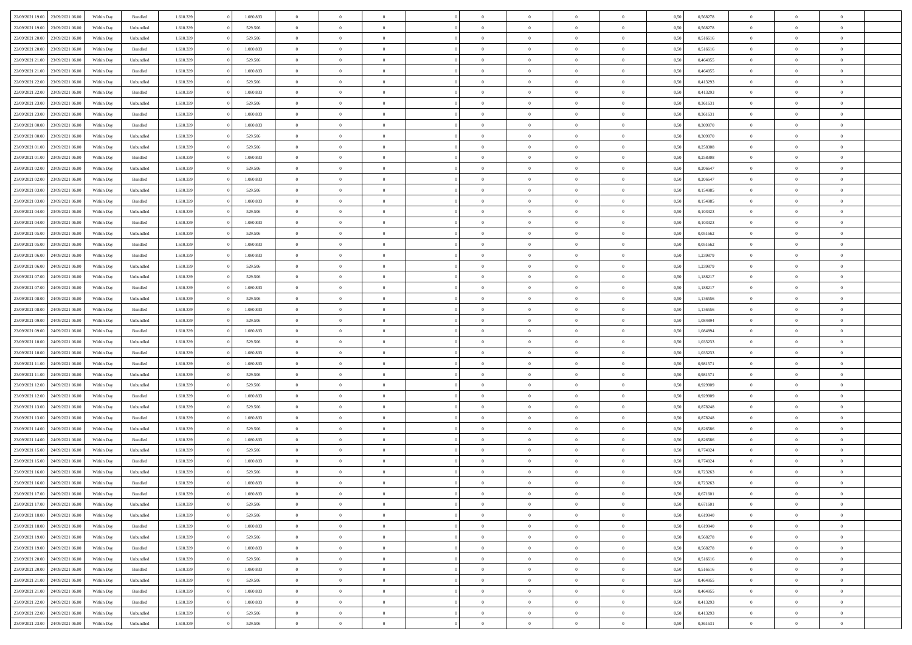|                                   |                  |            |                    |           |           | $\overline{0}$ | $\Omega$       |                |                | $\Omega$       | $\Omega$       | $\theta$       |      |          | $\theta$       | $\theta$       | $\theta$       |  |
|-----------------------------------|------------------|------------|--------------------|-----------|-----------|----------------|----------------|----------------|----------------|----------------|----------------|----------------|------|----------|----------------|----------------|----------------|--|
| 22/09/2021 19:00                  | 23/09/2021 06:00 | Within Day | Bundled            | 1.610.339 | 1.080.833 |                |                |                | $\Omega$       |                |                |                | 0,50 | 0,568278 |                |                |                |  |
| 22/09/2021 19:00                  | 23/09/2021 06:00 | Within Day | Unbundled          | 1.610.339 | 529.506   | $\overline{0}$ | $\theta$       | $\overline{0}$ | $\overline{0}$ | $\bf{0}$       | $\overline{0}$ | $\bf{0}$       | 0,50 | 0,568278 | $\theta$       | $\theta$       | $\overline{0}$ |  |
| 22/09/2021 20:00                  | 23/09/2021 06:00 | Within Day | Unbundled          | 1.610.339 | 529.506   | $\overline{0}$ | $\overline{0}$ | $\overline{0}$ | $\bf{0}$       | $\bf{0}$       | $\bf{0}$       | $\bf{0}$       | 0,50 | 0,516616 | $\bf{0}$       | $\overline{0}$ | $\overline{0}$ |  |
|                                   |                  |            |                    |           |           |                |                |                |                |                |                |                |      |          | $\theta$       |                |                |  |
| 22/09/2021 20:00                  | 23/09/2021 06:00 | Within Dav | Bundled            | 1.610.339 | 1.080.833 | $\overline{0}$ | $\overline{0}$ | $\overline{0}$ | $\overline{0}$ | $\bf{0}$       | $\overline{0}$ | $\overline{0}$ | 0.50 | 0.516616 |                | $\theta$       | $\overline{0}$ |  |
| 22/09/2021 21:00                  | 23/09/2021 06:00 | Within Day | Unbundled          | 1.610.339 | 529.506   | $\overline{0}$ | $\theta$       | $\overline{0}$ | $\overline{0}$ | $\bf{0}$       | $\overline{0}$ | $\bf{0}$       | 0,50 | 0,464955 | $\theta$       | $\theta$       | $\overline{0}$ |  |
| 22/09/2021 21:00                  | 23/09/2021 06:00 | Within Day | Bundled            | 1.610.339 | 1.080.833 | $\overline{0}$ | $\overline{0}$ | $\overline{0}$ | $\bf{0}$       | $\overline{0}$ | $\overline{0}$ | $\mathbf{0}$   | 0,50 | 0,464955 | $\bf{0}$       | $\overline{0}$ | $\bf{0}$       |  |
| 22/09/2021 22:00                  | 23/09/2021 06:00 | Within Dav | Unbundled          | 1.610.339 | 529.506   | $\overline{0}$ | $\overline{0}$ | $\overline{0}$ | $\overline{0}$ | $\overline{0}$ | $\overline{0}$ | $\overline{0}$ | 0.50 | 0,413293 | $\theta$       | $\overline{0}$ | $\overline{0}$ |  |
|                                   |                  |            |                    |           |           |                |                |                |                |                |                |                |      |          |                |                |                |  |
| 22/09/2021 22:00                  | 23/09/2021 06:00 | Within Day | Bundled            | 1.610.339 | 1.080.833 | $\overline{0}$ | $\theta$       | $\overline{0}$ | $\overline{0}$ | $\bf{0}$       | $\overline{0}$ | $\bf{0}$       | 0,50 | 0,413293 | $\theta$       | $\theta$       | $\overline{0}$ |  |
| 22/09/2021 23:00                  | 23/09/2021 06:00 | Within Day | Unbundled          | 1.610.339 | 529.506   | $\overline{0}$ | $\overline{0}$ | $\overline{0}$ | $\bf{0}$       | $\bf{0}$       | $\bf{0}$       | $\bf{0}$       | 0,50 | 0,361631 | $\,0\,$        | $\overline{0}$ | $\overline{0}$ |  |
| 22/09/2021 23:00                  | 23/09/2021 06:00 | Within Dav | Bundled            | 1.610.339 | 1.080.833 | $\overline{0}$ | $\overline{0}$ | $\overline{0}$ | $\overline{0}$ | $\overline{0}$ | $\overline{0}$ | $\overline{0}$ | 0.50 | 0,361631 | $\theta$       | $\overline{0}$ | $\overline{0}$ |  |
|                                   |                  |            |                    |           |           |                |                |                |                |                |                |                |      |          |                |                |                |  |
| 23/09/2021 00:00                  | 23/09/2021 06:00 | Within Day | Bundled            | 1.610.339 | 1.080.833 | $\overline{0}$ | $\theta$       | $\overline{0}$ | $\overline{0}$ | $\bf{0}$       | $\overline{0}$ | $\bf{0}$       | 0,50 | 0,309970 | $\theta$       | $\overline{0}$ | $\overline{0}$ |  |
| 23/09/2021 00:00                  | 23/09/2021 06:00 | Within Day | Unbundled          | 1.610.339 | 529.506   | $\overline{0}$ | $\overline{0}$ | $\overline{0}$ | $\bf{0}$       | $\bf{0}$       | $\bf{0}$       | $\mathbf{0}$   | 0,50 | 0,309970 | $\overline{0}$ | $\overline{0}$ | $\overline{0}$ |  |
| 23/09/2021 01:00                  | 23/09/2021 06:00 | Within Day | Unbundled          | 1.610.339 | 529.506   | $\overline{0}$ | $\overline{0}$ | $\overline{0}$ | $\overline{0}$ | $\bf{0}$       | $\overline{0}$ | $\overline{0}$ | 0.50 | 0,258308 | $\theta$       | $\theta$       | $\overline{0}$ |  |
| 23/09/2021 01:00                  | 23/09/2021 06:00 | Within Day | Bundled            | 1.610.339 | 1.080.833 | $\overline{0}$ | $\theta$       | $\overline{0}$ | $\overline{0}$ | $\bf{0}$       | $\overline{0}$ | $\bf{0}$       | 0,50 | 0,258308 | $\theta$       | $\theta$       | $\overline{0}$ |  |
|                                   |                  |            |                    |           |           |                |                |                |                |                |                |                |      |          |                |                |                |  |
| 23/09/2021 02:00                  | 23/09/2021 06:00 | Within Day | Unbundled          | 1.610.339 | 529.506   | $\overline{0}$ | $\overline{0}$ | $\overline{0}$ | $\bf{0}$       | $\overline{0}$ | $\overline{0}$ | $\mathbf{0}$   | 0,50 | 0,206647 | $\overline{0}$ | $\overline{0}$ | $\bf{0}$       |  |
| 23/09/2021 02:00                  | 23/09/2021 06:00 | Within Dav | Bundled            | 1.610.339 | 1.080.833 | $\overline{0}$ | $\overline{0}$ | $\overline{0}$ | $\overline{0}$ | $\overline{0}$ | $\overline{0}$ | $\overline{0}$ | 0.50 | 0.206647 | $\theta$       | $\overline{0}$ | $\overline{0}$ |  |
| 23/09/2021 03:00                  | 23/09/2021 06:00 | Within Day | Unbundled          | 1.610.339 | 529.506   | $\overline{0}$ | $\theta$       | $\overline{0}$ | $\overline{0}$ | $\bf{0}$       | $\overline{0}$ | $\bf{0}$       | 0,50 | 0,154985 | $\theta$       | $\theta$       | $\overline{0}$ |  |
|                                   |                  |            |                    |           |           |                |                |                |                |                |                |                |      |          |                |                |                |  |
| 23/09/2021 03:00                  | 23/09/2021 06:00 | Within Day | Bundled            | 1.610.339 | 1.080.833 | $\overline{0}$ | $\overline{0}$ | $\overline{0}$ | $\bf{0}$       | $\bf{0}$       | $\bf{0}$       | $\mathbf{0}$   | 0,50 | 0,154985 | $\bf{0}$       | $\overline{0}$ | $\overline{0}$ |  |
| 23/09/2021 04:00                  | 23/09/2021 06:00 | Within Day | Unbundled          | 1.610.339 | 529.506   | $\overline{0}$ | $\overline{0}$ | $\overline{0}$ | $\overline{0}$ | $\overline{0}$ | $\overline{0}$ | $\overline{0}$ | 0.50 | 0,103323 | $\theta$       | $\overline{0}$ | $\overline{0}$ |  |
| 23/09/2021 04:00                  | 23/09/2021 06:00 | Within Day | Bundled            | 1.610.339 | 1.080.833 | $\overline{0}$ | $\theta$       | $\overline{0}$ | $\overline{0}$ | $\bf{0}$       | $\overline{0}$ | $\bf{0}$       | 0,50 | 0,103323 | $\,$ 0 $\,$    | $\theta$       | $\overline{0}$ |  |
| 23/09/2021 05:00                  | 23/09/2021 06:00 | Within Day | Unbundled          | 1.610.339 | 529.506   | $\overline{0}$ | $\overline{0}$ | $\overline{0}$ | $\bf{0}$       | $\bf{0}$       | $\bf{0}$       | $\bf{0}$       | 0,50 | 0,051662 | $\,0\,$        | $\overline{0}$ | $\overline{0}$ |  |
|                                   |                  |            |                    |           |           |                |                |                |                |                |                |                |      |          |                |                |                |  |
| 23/09/2021 05:00                  | 23/09/2021 06:00 | Within Day | Bundled            | 1.610.339 | 1.080.833 | $\overline{0}$ | $\overline{0}$ | $\overline{0}$ | $\overline{0}$ | $\bf{0}$       | $\overline{0}$ | $\overline{0}$ | 0.50 | 0.051662 | $\theta$       | $\overline{0}$ | $\overline{0}$ |  |
| 23/09/2021 06:00                  | 24/09/2021 06.00 | Within Day | Bundled            | 1.610.339 | 1.080.833 | $\overline{0}$ | $\theta$       | $\overline{0}$ | $\overline{0}$ | $\bf{0}$       | $\overline{0}$ | $\bf{0}$       | 0,50 | 1,239879 | $\,$ 0 $\,$    | $\overline{0}$ | $\overline{0}$ |  |
| 23/09/2021 06:00                  | 24/09/2021 06:00 | Within Day | Unbundled          | 1.610.339 | 529.506   | $\overline{0}$ | $\overline{0}$ | $\overline{0}$ | $\bf{0}$       | $\overline{0}$ | $\overline{0}$ | $\mathbf{0}$   | 0,50 | 1,239879 | $\overline{0}$ | $\overline{0}$ | $\bf{0}$       |  |
| 23/09/2021 07:00                  | 24/09/2021 06:00 | Within Dav | Unbundled          | 1.610.339 | 529.506   | $\overline{0}$ | $\overline{0}$ | $\overline{0}$ | $\overline{0}$ | $\overline{0}$ | $\overline{0}$ | $\overline{0}$ | 0.50 | 1,188217 | $\theta$       | $\overline{0}$ | $\overline{0}$ |  |
|                                   |                  |            |                    |           |           |                |                |                |                |                |                |                |      |          |                |                |                |  |
| 23/09/2021 07:00                  | 24/09/2021 06.00 | Within Day | Bundled            | 1.610.339 | 1.080.833 | $\overline{0}$ | $\theta$       | $\overline{0}$ | $\overline{0}$ | $\bf{0}$       | $\overline{0}$ | $\bf{0}$       | 0,50 | 1,188217 | $\theta$       | $\theta$       | $\overline{0}$ |  |
| 23/09/2021 08:00                  | 24/09/2021 06:00 | Within Day | Unbundled          | 1.610.339 | 529.506   | $\overline{0}$ | $\overline{0}$ | $\overline{0}$ | $\bf{0}$       | $\bf{0}$       | $\bf{0}$       | $\bf{0}$       | 0,50 | 1,136556 | $\,0\,$        | $\overline{0}$ | $\overline{0}$ |  |
| 23/09/2021 08:00                  | 24/09/2021 06.00 | Within Day | Bundled            | 1.610.339 | 1.080.833 | $\overline{0}$ | $\overline{0}$ | $\overline{0}$ | $\overline{0}$ | $\overline{0}$ | $\overline{0}$ | $\overline{0}$ | 0.50 | 1,136556 | $\theta$       | $\overline{0}$ | $\overline{0}$ |  |
| 23/09/2021 09:00                  | 24/09/2021 06.00 | Within Day | Unbundled          | 1.610.339 | 529.506   | $\overline{0}$ | $\theta$       | $\overline{0}$ | $\overline{0}$ | $\bf{0}$       | $\overline{0}$ | $\bf{0}$       | 0,50 | 1,084894 | $\,$ 0 $\,$    | $\overline{0}$ | $\overline{0}$ |  |
|                                   |                  |            |                    |           |           |                |                |                |                |                |                |                |      |          |                |                |                |  |
| 23/09/2021 09:00                  | 24/09/2021 06:00 | Within Day | Bundled            | 1.610.339 | 1.080.833 | $\overline{0}$ | $\overline{0}$ | $\overline{0}$ | $\bf{0}$       | $\bf{0}$       | $\bf{0}$       | $\bf{0}$       | 0,50 | 1,084894 | $\overline{0}$ | $\overline{0}$ | $\overline{0}$ |  |
| 23/09/2021 10:00                  | 24/09/2021 06.00 | Within Day | Unbundled          | 1.610.339 | 529.506   | $\overline{0}$ | $\Omega$       | $\overline{0}$ | $\Omega$       | $\Omega$       | $\overline{0}$ | $\overline{0}$ | 0,50 | 1,033233 | $\,0\,$        | $\theta$       | $\theta$       |  |
| 23/09/2021 10:00                  | 24/09/2021 06.00 | Within Day | Bundled            | 1.610.339 | 1.080.833 | $\overline{0}$ | $\theta$       | $\overline{0}$ | $\overline{0}$ | $\bf{0}$       | $\overline{0}$ | $\bf{0}$       | 0,50 | 1,033233 | $\theta$       | $\theta$       | $\overline{0}$ |  |
| 23/09/2021 11:00                  | 24/09/2021 06:00 | Within Day | Bundled            | 1.610.339 | 1.080.833 | $\overline{0}$ | $\overline{0}$ | $\overline{0}$ | $\bf{0}$       | $\bf{0}$       | $\overline{0}$ | $\mathbf{0}$   | 0,50 | 0,981571 | $\overline{0}$ | $\overline{0}$ | $\bf{0}$       |  |
|                                   |                  |            |                    |           |           |                |                |                |                |                |                |                |      |          |                |                |                |  |
| 23/09/2021 11:00                  | 24/09/2021 06:00 | Within Day | Unbundled          | 1.610.339 | 529.506   | $\overline{0}$ | $\Omega$       | $\Omega$       | $\Omega$       | $\bf{0}$       | $\overline{0}$ | $\overline{0}$ | 0.50 | 0,981571 | $\,0\,$        | $\theta$       | $\theta$       |  |
| 23/09/2021 12:00                  | 24/09/2021 06.00 | Within Day | Unbundled          | 1.610.339 | 529.506   | $\overline{0}$ | $\theta$       | $\overline{0}$ | $\overline{0}$ | $\bf{0}$       | $\overline{0}$ | $\bf{0}$       | 0,50 | 0,929909 | $\,$ 0 $\,$    | $\theta$       | $\overline{0}$ |  |
| 23/09/2021 12:00                  | 24/09/2021 06:00 | Within Day | Bundled            | 1.610.339 | 1.080.833 | $\overline{0}$ | $\overline{0}$ | $\overline{0}$ | $\bf{0}$       | $\bf{0}$       | $\bf{0}$       | $\bf{0}$       | 0,50 | 0,929909 | $\,0\,$        | $\overline{0}$ | $\overline{0}$ |  |
|                                   |                  |            |                    |           |           |                |                |                |                |                |                |                |      |          |                |                |                |  |
| 23/09/2021 13:00                  | 24/09/2021 06:00 | Within Day | Unbundled          | 1.610.339 | 529.506   | $\overline{0}$ | $\Omega$       | $\overline{0}$ | $\Omega$       | $\theta$       | $\overline{0}$ | $\overline{0}$ | 0.50 | 0,878248 | $\,$ 0 $\,$    | $\theta$       | $\theta$       |  |
| 23/09/2021 13:00                  | 24/09/2021 06.00 | Within Day | Bundled            | 1.610.339 | 1.080.833 | $\overline{0}$ | $\theta$       | $\overline{0}$ | $\overline{0}$ | $\bf{0}$       | $\overline{0}$ | $\bf{0}$       | 0,50 | 0,878248 | $\,$ 0 $\,$    | $\overline{0}$ | $\overline{0}$ |  |
| 23/09/2021 14:00                  | 24/09/2021 06:00 | Within Day | Unbundled          | 1.610.339 | 529.506   | $\overline{0}$ | $\overline{0}$ | $\overline{0}$ | $\bf{0}$       | $\bf{0}$       | $\bf{0}$       | $\mathbf{0}$   | 0,50 | 0,826586 | $\bf{0}$       | $\overline{0}$ | $\overline{0}$ |  |
| 23/09/2021 14:00                  | 24/09/2021 06.00 | Within Day | Bundled            | 1.610.339 | 1.080.833 | $\overline{0}$ | $\Omega$       | $\overline{0}$ | $\Omega$       | $\overline{0}$ | $\overline{0}$ | $\overline{0}$ | 0.50 | 0,826586 | $\,0\,$        | $\theta$       | $\theta$       |  |
|                                   |                  |            |                    |           |           | $\overline{0}$ | $\theta$       | $\overline{0}$ | $\overline{0}$ |                | $\overline{0}$ |                |      |          | $\,$ 0 $\,$    | $\overline{0}$ | $\overline{0}$ |  |
| 23/09/2021 15:00                  | 24/09/2021 06.00 | Within Day | Unbundled          | 1.610.339 | 529.506   |                |                |                |                | $\,$ 0         |                | $\bf{0}$       | 0,50 | 0,774924 |                |                |                |  |
| 23/09/2021 15:00                  | 24/09/2021 06:00 | Within Day | Bundled            | 1.610.339 | 1.080.833 | $\overline{0}$ | $\overline{0}$ | $\overline{0}$ | $\bf{0}$       | $\bf{0}$       | $\bf{0}$       | $\mathbf{0}$   | 0,50 | 0,774924 | $\bf{0}$       | $\overline{0}$ | $\bf{0}$       |  |
| 23/09/2021 16:00                  | 24/09/2021 06:00 | Within Day | Unbundled          | 1.610.339 | 529.506   | $\overline{0}$ | $\Omega$       | $\Omega$       | $\Omega$       | $\Omega$       | $\Omega$       | $\overline{0}$ | 0.50 | 0,723263 | $\theta$       | $\theta$       | $\theta$       |  |
| 23/09/2021 16:00                  | 24/09/2021 06:00 | Within Day | Bundled            | 1.610.339 | 1.080.833 | $\overline{0}$ | $\,$ 0 $\,$    | $\overline{0}$ | $\bf{0}$       | $\,$ 0         | $\bf{0}$       | $\bf{0}$       | 0,50 | 0,723263 | $\,0\,$        | $\overline{0}$ | $\overline{0}$ |  |
|                                   |                  |            |                    |           |           |                |                |                |                |                |                |                |      |          |                |                |                |  |
| 23/09/2021 17:00 24/09/2021 06:00 |                  | Within Day | $\mathbf B$ undled | 1.610.339 | 1.080.833 | $\bf{0}$       | $\bf{0}$       |                |                | $\bf{0}$       |                |                | 0,50 | 0,671601 | $\bf{0}$       | $\overline{0}$ |                |  |
| 23/09/2021 17:00                  | 24/09/2021 06:00 | Within Day | Unbundled          | 1.610.339 | 529.506   | $\overline{0}$ | $\overline{0}$ | $\overline{0}$ | $\Omega$       | $\overline{0}$ | $\overline{0}$ | $\overline{0}$ | 0.50 | 0.671601 | $\theta$       | $\theta$       | $\Omega$       |  |
| 23/09/2021 18:00                  | 24/09/2021 06.00 | Within Day | Unbundled          | 1.610.339 | 529.506   | $\overline{0}$ | $\,$ 0         | $\overline{0}$ | $\bf{0}$       | $\,$ 0 $\,$    | $\overline{0}$ | $\,$ 0 $\,$    | 0,50 | 0,619940 | $\,$ 0 $\,$    | $\,$ 0 $\,$    | $\,$ 0         |  |
| 23/09/2021 18:00                  | 24/09/2021 06:00 | Within Day | Bundled            | 1.610.339 | 1.080.833 | $\overline{0}$ | $\overline{0}$ | $\overline{0}$ | $\overline{0}$ | $\overline{0}$ | $\overline{0}$ | $\mathbf{0}$   | 0,50 | 0,619940 | $\overline{0}$ | $\bf{0}$       | $\bf{0}$       |  |
|                                   |                  |            |                    |           |           |                |                |                |                |                |                |                |      |          |                |                |                |  |
| 23/09/2021 19:00                  | 24/09/2021 06.00 | Within Day | Unbundled          | 1.610.339 | 529.506   | $\overline{0}$ | $\overline{0}$ | $\overline{0}$ | $\Omega$       | $\overline{0}$ | $\overline{0}$ | $\overline{0}$ | 0,50 | 0,568278 | $\overline{0}$ | $\theta$       | $\overline{0}$ |  |
| 23/09/2021 19:00                  | 24/09/2021 06.00 | Within Day | Bundled            | 1.610.339 | 1.080.833 | $\overline{0}$ | $\,$ 0         | $\overline{0}$ | $\overline{0}$ | $\,$ 0 $\,$    | $\overline{0}$ | $\mathbf{0}$   | 0,50 | 0,568278 | $\,$ 0 $\,$    | $\overline{0}$ | $\overline{0}$ |  |
| 23/09/2021 20:00                  | 24/09/2021 06:00 | Within Day | Unbundled          | 1.610.339 | 529.506   | $\overline{0}$ | $\overline{0}$ | $\overline{0}$ | $\overline{0}$ | $\overline{0}$ | $\overline{0}$ | $\mathbf{0}$   | 0,50 | 0,516616 | $\overline{0}$ | $\overline{0}$ | $\bf{0}$       |  |
|                                   | 24/09/2021 06:00 |            |                    |           | 1.080.833 |                | $\overline{0}$ | $\overline{0}$ |                | $\overline{0}$ | $\overline{0}$ |                | 0.50 |          |                | $\theta$       | $\overline{0}$ |  |
| 23/09/2021 20:00                  |                  | Within Day | Bundled            | 1.610.339 |           | $\overline{0}$ |                |                | $\overline{0}$ |                |                | $\bf{0}$       |      | 0,516616 | $\overline{0}$ |                |                |  |
| 23/09/2021 21:00                  | 24/09/2021 06.00 | Within Day | Unbundled          | 1.610.339 | 529.506   | $\overline{0}$ | $\,$ 0         | $\overline{0}$ | $\bf{0}$       | $\bf{0}$       | $\bf{0}$       | $\bf{0}$       | 0,50 | 0,464955 | $\,$ 0 $\,$    | $\overline{0}$ | $\overline{0}$ |  |
| 23/09/2021 21:00                  | 24/09/2021 06:00 | Within Day | Bundled            | 1.610.339 | 1.080.833 | $\overline{0}$ | $\bf{0}$       | $\overline{0}$ | $\overline{0}$ | $\overline{0}$ | $\overline{0}$ | $\mathbf{0}$   | 0,50 | 0,464955 | $\overline{0}$ | $\overline{0}$ | $\bf{0}$       |  |
| 23/09/2021 22:00                  | 24/09/2021 06:00 | Within Day | Bundled            | 1.610.339 | 1.080.833 | $\overline{0}$ | $\overline{0}$ | $\overline{0}$ | $\Omega$       | $\overline{0}$ | $\overline{0}$ | $\overline{0}$ | 0.50 | 0,413293 | $\overline{0}$ | $\overline{0}$ | $\overline{0}$ |  |
|                                   |                  |            |                    |           |           |                |                |                |                |                |                |                |      |          |                |                |                |  |
| 23/09/2021 22.00                  | 24/09/2021 06.00 | Within Day | Unbundled          | 1.610.339 | 529.506   | $\overline{0}$ | $\bf{0}$       | $\overline{0}$ | $\bf{0}$       | $\bf{0}$       | $\bf{0}$       | $\mathbf{0}$   | 0,50 | 0,413293 | $\,$ 0 $\,$    | $\,$ 0 $\,$    | $\bf{0}$       |  |
| 23/09/2021 23:00 24/09/2021 06:00 |                  | Within Day | Unbundled          | 1.610.339 | 529.506   | $\overline{0}$ | $\overline{0}$ | $\overline{0}$ | $\overline{0}$ | $\overline{0}$ | $\bf{0}$       | $\mathbf{0}$   | 0,50 | 0,361631 | $\overline{0}$ | $\bf{0}$       | $\bf{0}$       |  |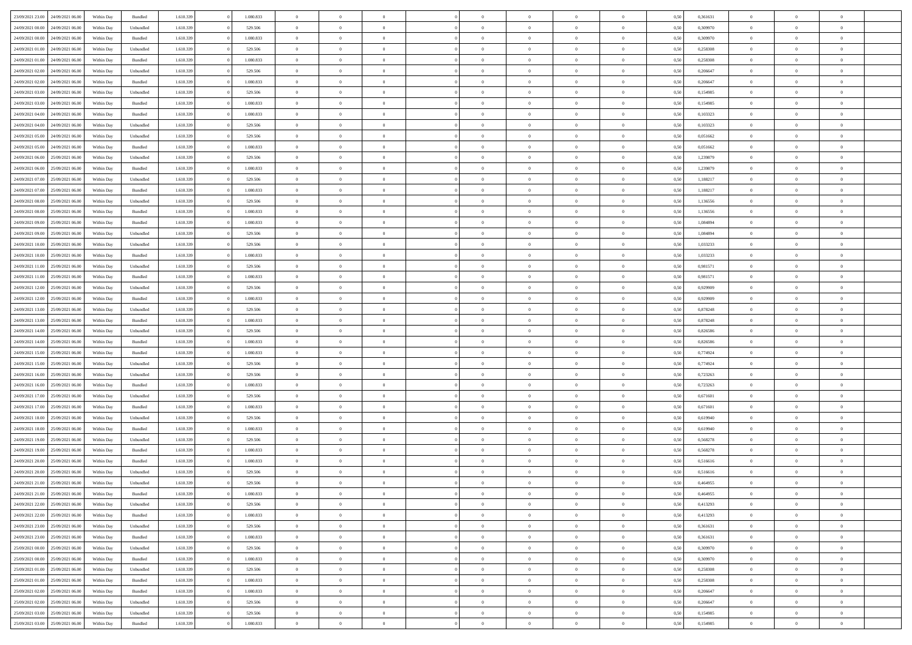| 23/09/2021 23:00 24/09/2021 06:00    | Within Day | Bundled            | 1.610.339 | 1.080.833 | $\overline{0}$ | $\overline{0}$ | $\Omega$       | $\Omega$       | $\Omega$       |                | $\overline{0}$ | 0,50 | 0,361631 | $\mathbf{0}$   | $\Omega$       | $\Omega$       |  |
|--------------------------------------|------------|--------------------|-----------|-----------|----------------|----------------|----------------|----------------|----------------|----------------|----------------|------|----------|----------------|----------------|----------------|--|
| 24/09/2021 00:00<br>24/09/2021 06:00 | Within Day | Unbundled          | 1.610.339 | 529.506   | $\bf{0}$       | $\overline{0}$ | $\overline{0}$ | $\theta$       | $\overline{0}$ | $\overline{0}$ | $\,$ 0         | 0,50 | 0,309970 | $\mathbf{0}$   | $\theta$       | $\bf{0}$       |  |
| 24/09/2021 00:00<br>24/09/2021 06.00 | Within Day | Bundled            | 1.610.339 | 1.080.833 | $\overline{0}$ | $\overline{0}$ | $\overline{0}$ | $\bf{0}$       | $\bf{0}$       | $\overline{0}$ | $\mathbf{0}$   | 0,50 | 0,309970 | $\bf{0}$       | $\bf{0}$       | $\bf{0}$       |  |
| 24/09/2021 01:00<br>24/09/2021 06:00 | Within Day | Unbundled          | 1.610.339 | 529,506   | $\overline{0}$ | $\overline{0}$ | $\overline{0}$ | $\overline{0}$ | $\overline{0}$ | $\Omega$       | $\overline{0}$ | 0.50 | 0,258308 | $\mathbf{0}$   | $\overline{0}$ | $\bf{0}$       |  |
|                                      |            |                    |           |           |                |                |                |                |                |                |                |      |          |                |                |                |  |
| 24/09/2021 01:00<br>24/09/2021 06:00 | Within Day | $\mathbf B$ undled | 1.610.339 | 1.080.833 | $\bf{0}$       | $\overline{0}$ | $\overline{0}$ | $\theta$       | $\overline{0}$ | $\overline{0}$ | $\bf{0}$       | 0,50 | 0,258308 | $\mathbf{0}$   | $\theta$       | $\overline{0}$ |  |
| 24/09/2021 02:00<br>24/09/2021 06.00 | Within Day | Unbundled          | 1.610.339 | 529.506   | $\overline{0}$ | $\overline{0}$ | $\overline{0}$ | $\bf{0}$       | $\overline{0}$ | $\overline{0}$ | $\overline{0}$ | 0,50 | 0,206647 | $\overline{0}$ | $\overline{0}$ | $\overline{0}$ |  |
| 24/09/2021 02:00<br>24/09/2021 06.00 | Within Day | Bundled            | 1.610.339 | 1.080.833 | $\overline{0}$ | $\overline{0}$ | $\overline{0}$ | $\overline{0}$ | $\overline{0}$ | $\overline{0}$ | $\mathbf{0}$   | 0.50 | 0.206647 | $\mathbf{0}$   | $\overline{0}$ | $\overline{0}$ |  |
| 24/09/2021 03:00<br>24/09/2021 06:00 | Within Day | Unbundled          | 1.610.339 | 529.506   | $\bf{0}$       | $\overline{0}$ | $\overline{0}$ | $\theta$       | $\overline{0}$ | $\overline{0}$ | $\bf{0}$       | 0,50 | 0,154985 | $\theta$       | $\theta$       | $\bf{0}$       |  |
|                                      |            |                    |           |           |                |                |                |                |                |                |                |      |          |                |                |                |  |
| 24/09/2021 03:00<br>24/09/2021 06.00 | Within Day | Bundled            | 1.610.339 | 1.080.833 | $\overline{0}$ | $\overline{0}$ | $\overline{0}$ | $\bf{0}$       | $\bf{0}$       | $\overline{0}$ | $\mathbf{0}$   | 0,50 | 0,154985 | $\bf{0}$       | $\bf{0}$       | $\bf{0}$       |  |
| 24/09/2021 04:00<br>24/09/2021 06.00 | Within Day | Bundled            | 1.610.339 | 1.080.833 | $\overline{0}$ | $\overline{0}$ | $\overline{0}$ | $\overline{0}$ | $\overline{0}$ | $\overline{0}$ | $\overline{0}$ | 0.50 | 0,103323 | $\overline{0}$ | $\overline{0}$ | $\overline{0}$ |  |
| 24/09/2021 04:00<br>24/09/2021 06:00 | Within Day | Unbundled          | 1.610.339 | 529.506   | $\bf{0}$       | $\overline{0}$ | $\overline{0}$ | $\overline{0}$ | $\overline{0}$ | $\overline{0}$ | $\,$ 0         | 0,50 | 0,103323 | $\theta$       | $\theta$       | $\bf{0}$       |  |
| 24/09/2021 05:00<br>24/09/2021 06.00 | Within Day | Unbundled          | 1.610.339 | 529.506   | $\overline{0}$ | $\overline{0}$ | $\overline{0}$ | $\bf{0}$       | $\bf{0}$       | $\overline{0}$ | $\mathbf{0}$   | 0,50 | 0,051662 | $\bf{0}$       | $\bf{0}$       | $\bf{0}$       |  |
| 24/09/2021 05:00<br>24/09/2021 06:00 | Within Day | Bundled            | 1.610.339 | 1.080.833 | $\overline{0}$ | $\overline{0}$ | $\overline{0}$ | $\overline{0}$ | $\overline{0}$ | $\overline{0}$ | $\overline{0}$ | 0.50 | 0.051662 | $\mathbf{0}$   | $\overline{0}$ | $\bf{0}$       |  |
| 24/09/2021 06:00<br>25/09/2021 06:00 |            |                    | 1.610.339 | 529.506   |                | $\overline{0}$ | $\overline{0}$ | $\theta$       | $\overline{0}$ | $\overline{0}$ | $\,$ 0         |      | 1,239879 | $\theta$       | $\theta$       | $\overline{0}$ |  |
|                                      | Within Day | Unbundled          |           |           | $\bf{0}$       |                |                |                |                |                |                | 0,50 |          |                |                |                |  |
| 24/09/2021 06:00<br>25/09/2021 06:00 | Within Day | Bundled            | 1.610.339 | 1.080.833 | $\overline{0}$ | $\overline{0}$ | $\overline{0}$ | $\bf{0}$       | $\overline{0}$ | $\overline{0}$ | $\overline{0}$ | 0,50 | 1,239879 | $\overline{0}$ | $\overline{0}$ | $\overline{0}$ |  |
| 24/09/2021 07:00<br>25/09/2021 06:00 | Within Day | Unbundled          | 1.610.339 | 529.506   | $\overline{0}$ | $\overline{0}$ | $\overline{0}$ | $\overline{0}$ | $\overline{0}$ | $\overline{0}$ | $\mathbf{0}$   | 0.50 | 1,188217 | $\overline{0}$ | $\overline{0}$ | $\overline{0}$ |  |
| 24/09/2021 07:00<br>25/09/2021 06:00 | Within Day | Bundled            | 1.610.339 | 1.080.833 | $\bf{0}$       | $\overline{0}$ | $\overline{0}$ | $\overline{0}$ | $\overline{0}$ | $\overline{0}$ | $\bf{0}$       | 0,50 | 1,188217 | $\theta$       | $\theta$       | $\bf{0}$       |  |
| 24/09/2021 08:00<br>25/09/2021 06.00 | Within Day | Unbundled          | 1.610.339 | 529.506   | $\overline{0}$ | $\overline{0}$ | $\bf{0}$       | $\bf{0}$       | $\bf{0}$       | $\overline{0}$ | $\mathbf{0}$   | 0,50 | 1,136556 | $\bf{0}$       | $\bf{0}$       | $\bf{0}$       |  |
| 24/09/2021 08:00<br>25/09/2021 06:00 | Within Day | Bundled            | 1.610.339 | 1.080.833 | $\overline{0}$ | $\overline{0}$ | $\overline{0}$ | $\overline{0}$ | $\overline{0}$ | $\overline{0}$ | $\overline{0}$ | 0.50 | 1,136556 | $\overline{0}$ | $\overline{0}$ | $\overline{0}$ |  |
|                                      |            |                    |           |           |                |                |                |                |                |                |                |      |          |                |                |                |  |
| 24/09/2021 09:00<br>25/09/2021 06:00 | Within Day | Bundled            | 1.610.339 | 1.080.833 | $\bf{0}$       | $\overline{0}$ | $\overline{0}$ | $\overline{0}$ | $\overline{0}$ | $\overline{0}$ | $\,$ 0         | 0,50 | 1,084894 | $\theta$       | $\theta$       | $\bf{0}$       |  |
| 24/09/2021 09:00<br>25/09/2021 06:00 | Within Day | Unbundled          | 1.610.339 | 529.506   | $\overline{0}$ | $\overline{0}$ | $\overline{0}$ | $\bf{0}$       | $\bf{0}$       | $\overline{0}$ | $\mathbf{0}$   | 0,50 | 1,084894 | $\bf{0}$       | $\bf{0}$       | $\bf{0}$       |  |
| 24/09/2021 10:00<br>25/09/2021 06:00 | Within Day | Unbundled          | 1.610.339 | 529,506   | $\overline{0}$ | $\overline{0}$ | $\overline{0}$ | $\overline{0}$ | $\overline{0}$ | $\overline{0}$ | $\overline{0}$ | 0.50 | 1,033233 | $\mathbf{0}$   | $\overline{0}$ | $\bf{0}$       |  |
| 24/09/2021 10:00<br>25/09/2021 06:00 | Within Day | Bundled            | 1.610.339 | 1.080.833 | $\bf{0}$       | $\overline{0}$ | $\overline{0}$ | $\overline{0}$ | $\overline{0}$ | $\overline{0}$ | $\,$ 0         | 0,50 | 1,033233 | $\mathbf{0}$   | $\theta$       | $\bf{0}$       |  |
| 24/09/2021 11:00<br>25/09/2021 06:00 | Within Day | Unbundled          | 1.610.339 | 529.506   | $\overline{0}$ | $\overline{0}$ | $\overline{0}$ | $\bf{0}$       | $\overline{0}$ | $\overline{0}$ | $\overline{0}$ | 0,50 | 0,981571 | $\overline{0}$ | $\overline{0}$ | $\overline{0}$ |  |
| 24/09/2021 11:00<br>25/09/2021 06:00 | Within Day | Bundled            | 1.610.339 | 1.080.833 | $\overline{0}$ | $\overline{0}$ | $\overline{0}$ | $\overline{0}$ | $\overline{0}$ | $\overline{0}$ | $\overline{0}$ | 0.50 | 0,981571 | $\overline{0}$ | $\overline{0}$ | $\overline{0}$ |  |
|                                      |            |                    |           |           |                |                |                |                |                |                |                |      |          |                |                |                |  |
| 24/09/2021 12:00<br>25/09/2021 06:00 | Within Day | Unbundled          | 1.610.339 | 529.506   | $\bf{0}$       | $\overline{0}$ | $\bf{0}$       | $\overline{0}$ | $\overline{0}$ | $\overline{0}$ | $\bf{0}$       | 0,50 | 0,929909 | $\theta$       | $\theta$       | $\bf{0}$       |  |
| 24/09/2021 12:00<br>25/09/2021 06:00 | Within Day | Bundled            | 1.610.339 | 1.080.833 | $\overline{0}$ | $\overline{0}$ | $\overline{0}$ | $\bf{0}$       | $\bf{0}$       | $\overline{0}$ | $\bf{0}$       | 0,50 | 0,929909 | $\bf{0}$       | $\bf{0}$       | $\bf{0}$       |  |
| 24/09/2021 13:00<br>25/09/2021 06:00 | Within Day | Unbundled          | 1.610.339 | 529.506   | $\overline{0}$ | $\overline{0}$ | $\overline{0}$ | $\overline{0}$ | $\overline{0}$ | $\overline{0}$ | $\overline{0}$ | 0.50 | 0,878248 | $\overline{0}$ | $\overline{0}$ | $\bf{0}$       |  |
| 24/09/2021 13:00<br>25/09/2021 06:00 | Within Day | Bundled            | 1.610.339 | 1.080.833 | $\bf{0}$       | $\overline{0}$ | $\overline{0}$ | $\overline{0}$ | $\overline{0}$ | $\overline{0}$ | $\,$ 0         | 0,50 | 0,878248 | $\theta$       | $\theta$       | $\bf{0}$       |  |
| 24/09/2021 14:00<br>25/09/2021 06:00 | Within Day | Unbundled          | 1.610.339 | 529.506   | $\overline{0}$ | $\overline{0}$ | $\overline{0}$ | $\bf{0}$       | $\bf{0}$       | $\overline{0}$ | $\mathbf{0}$   | 0,50 | 0,826586 | $\overline{0}$ | $\bf{0}$       | $\bf{0}$       |  |
| 24/09/2021 14:00<br>25/09/2021 06.00 | Within Day | Bundled            | 1.610.339 | 1.080.833 | $\overline{0}$ | $\overline{0}$ | $\overline{0}$ | $\overline{0}$ | $\overline{0}$ | $\Omega$       | $\overline{0}$ | 0.50 | 0,826586 | $\bf{0}$       | $\Omega$       | $\Omega$       |  |
|                                      |            |                    |           |           |                | $\overline{0}$ | $\overline{0}$ | $\theta$       | $\overline{0}$ | $\overline{0}$ | $\,$ 0         |      |          | $\theta$       | $\theta$       | $\bf{0}$       |  |
| 24/09/2021 15:00<br>25/09/2021 06:00 | Within Day | Bundled            | 1.610.339 | 1.080.833 | $\bf{0}$       |                |                |                |                |                |                | 0,50 | 0,774924 |                |                |                |  |
| 24/09/2021 15:00<br>25/09/2021 06:00 | Within Day | Unbundled          | 1.610.339 | 529.506   | $\overline{0}$ | $\overline{0}$ | $\overline{0}$ | $\bf{0}$       | $\overline{0}$ | $\overline{0}$ | $\overline{0}$ | 0,50 | 0,774924 | $\overline{0}$ | $\bf{0}$       | $\overline{0}$ |  |
| 24/09/2021 16:00<br>25/09/2021 06:00 | Within Day | Unbundled          | 1.610.339 | 529.506   | $\overline{0}$ | $\overline{0}$ | $\overline{0}$ | $\overline{0}$ | $\overline{0}$ | $\Omega$       | $\overline{0}$ | 0.50 | 0,723263 | $\overline{0}$ | $\Omega$       | $\Omega$       |  |
| 24/09/2021 16:00<br>25/09/2021 06:00 | Within Day | Bundled            | 1.610.339 | 1.080.833 | $\bf{0}$       | $\overline{0}$ | $\bf{0}$       | $\overline{0}$ | $\overline{0}$ | $\overline{0}$ | $\bf{0}$       | 0,50 | 0,723263 | $\theta$       | $\theta$       | $\bf{0}$       |  |
| 24/09/2021 17:00<br>25/09/2021 06.00 | Within Day | Unbundled          | 1.610.339 | 529.506   | $\overline{0}$ | $\overline{0}$ | $\bf{0}$       | $\bf{0}$       | $\bf{0}$       | $\overline{0}$ | $\bf{0}$       | 0,50 | 0,671601 | $\bf{0}$       | $\bf{0}$       | $\bf{0}$       |  |
| 24/09/2021 17:00<br>25/09/2021 06:00 | Within Day | Bundled            | 1.610.339 | 1.080.833 | $\overline{0}$ | $\overline{0}$ | $\Omega$       | $\overline{0}$ | $\overline{0}$ | $\Omega$       | $\theta$       | 0.50 | 0.671601 | $\overline{0}$ | $\Omega$       | $\Omega$       |  |
| 24/09/2021 18:00<br>25/09/2021 06:00 | Within Day | Unbundled          | 1.610.339 | 529.506   | $\bf{0}$       | $\overline{0}$ | $\bf{0}$       | $\overline{0}$ | $\overline{0}$ | $\overline{0}$ | $\,$ 0         | 0,50 | 0,619940 | $\theta$       | $\theta$       | $\bf{0}$       |  |
|                                      |            |                    |           |           |                |                |                |                |                |                |                |      |          |                |                |                |  |
| 24/09/2021 18:00<br>25/09/2021 06:00 | Within Day | Bundled            | 1.610.339 | 1.080.833 | $\overline{0}$ | $\overline{0}$ | $\overline{0}$ | $\bf{0}$       | $\bf{0}$       | $\overline{0}$ | $\mathbf{0}$   | 0,50 | 0,619940 | $\overline{0}$ | $\bf{0}$       | $\bf{0}$       |  |
| 24/09/2021 19:00<br>25/09/2021 06.00 | Within Day | Unbundled          | 1.610.339 | 529.506   | $\overline{0}$ | $\overline{0}$ | $\overline{0}$ | $\overline{0}$ | $\bf{0}$       | $\Omega$       | $\overline{0}$ | 0.50 | 0,568278 | $\bf{0}$       | $\Omega$       | $\Omega$       |  |
| 24/09/2021 19:00<br>25/09/2021 06:00 | Within Day | Bundled            | 1.610.339 | 1.080.833 | $\bf{0}$       | $\overline{0}$ | $\bf{0}$       | $\overline{0}$ | $\overline{0}$ | $\overline{0}$ | $\,$ 0         | 0,50 | 0,568278 | $\,0\,$        | $\theta$       | $\bf{0}$       |  |
| 24/09/2021 20:00<br>25/09/2021 06.00 | Within Day | Bundled            | 1.610.339 | 1.080.833 | $\overline{0}$ | $\overline{0}$ | $\overline{0}$ | $\bf{0}$       | $\overline{0}$ | $\overline{0}$ | $\overline{0}$ | 0,50 | 0,516616 | $\overline{0}$ | $\bf{0}$       | $\bf{0}$       |  |
| 24/09/2021 20:00<br>25/09/2021 06.00 | Within Day | Unbundled          | 1.610.339 | 529.506   | $\overline{0}$ | $\Omega$       | $\Omega$       | $\Omega$       | $\overline{0}$ | $\Omega$       | $\overline{0}$ | 0.50 | 0.516616 | $\overline{0}$ | $\Omega$       | $\Omega$       |  |
| 24/09/2021 21.00 25/09/2021 06:00    | Within Day | Unbundled          | 1.610.339 | 529.506   | $\bf{0}$       | $\overline{0}$ | $\bf{0}$       | $\bf{0}$       | $\bf{0}$       | $\overline{0}$ | $\,$ 0         | 0,50 | 0,464955 | $\bf{0}$       | $\,$ 0         | $\,$ 0         |  |
| 24/09/2021 21:00 25/09/2021 06:00    |            |                    |           |           |                |                |                |                |                |                |                |      |          |                |                |                |  |
|                                      | Within Day | Bundled            | 1.610.339 | 1.080.833 | $\bf{0}$       | $\bf{0}$       |                | $\bf{0}$       |                |                |                | 0,50 | 0,464955 | $\bf{0}$       | $\bf{0}$       |                |  |
| 24/09/2021 22:00 25/09/2021 06:00    | Within Day | Unbundled          | 1.610.339 | 529.506   | $\overline{0}$ | $\overline{0}$ | $\theta$       | $\overline{0}$ | $\overline{0}$ | $\overline{0}$ | $\mathbf{0}$   | 0,50 | 0.413293 | $\overline{0}$ | $\theta$       | $\theta$       |  |
| 24/09/2021 22:00<br>25/09/2021 06:00 | Within Day | Bundled            | 1.610.339 | 1.080.833 | $\overline{0}$ | $\overline{0}$ | $\overline{0}$ | $\bf{0}$       | $\overline{0}$ | $\overline{0}$ | $\mathbf{0}$   | 0,50 | 0,413293 | $\,0\,$        | $\overline{0}$ | $\,$ 0 $\,$    |  |
| 24/09/2021 23:00 25/09/2021 06:00    | Within Day | Unbundled          | 1.610.339 | 529.506   | $\overline{0}$ | $\overline{0}$ | $\overline{0}$ | $\bf{0}$       | $\overline{0}$ | $\overline{0}$ | $\overline{0}$ | 0,50 | 0,361631 | $\overline{0}$ | $\overline{0}$ | $\overline{0}$ |  |
| 25/09/2021 06:00<br>24/09/2021 23:00 | Within Day | Bundled            | 1.610.339 | 1.080.833 | $\overline{0}$ | $\overline{0}$ | $\overline{0}$ | $\overline{0}$ | $\bf{0}$       | $\overline{0}$ | $\overline{0}$ | 0,50 | 0,361631 | $\overline{0}$ | $\overline{0}$ | $\overline{0}$ |  |
| 25/09/2021 00:00<br>25/09/2021 06:00 | Within Day | Unbundled          | 1.610.339 | 529.506   | $\overline{0}$ | $\overline{0}$ | $\overline{0}$ | $\overline{0}$ | $\overline{0}$ | $\overline{0}$ | $\mathbf{0}$   | 0,50 | 0,309970 | $\,0\,$        | $\theta$       | $\bf{0}$       |  |
| 25/09/2021 00:00 25/09/2021 06:00    |            |                    |           |           |                |                |                |                |                |                |                |      |          |                | $\overline{0}$ |                |  |
|                                      | Within Day | Bundled            | 1.610.339 | 1.080.833 | $\overline{0}$ | $\overline{0}$ | $\overline{0}$ | $\overline{0}$ | $\overline{0}$ | $\overline{0}$ | $\overline{0}$ | 0,50 | 0,309970 | $\overline{0}$ |                | $\overline{0}$ |  |
| 25/09/2021 06:00<br>25/09/2021 01:00 | Within Day | Unbundled          | 1.610.339 | 529.506   | $\overline{0}$ | $\overline{0}$ | $\overline{0}$ | $\overline{0}$ | $\overline{0}$ | $\overline{0}$ | $\overline{0}$ | 0.50 | 0,258308 | $\overline{0}$ | $\overline{0}$ | $\overline{0}$ |  |
| 25/09/2021 01:00<br>25/09/2021 06:00 | Within Day | Bundled            | 1.610.339 | 1.080.833 | $\overline{0}$ | $\overline{0}$ | $\overline{0}$ | $\bf{0}$       | $\bf{0}$       | $\overline{0}$ | $\,$ 0 $\,$    | 0,50 | 0,258308 | $\,0\,$        | $\theta$       | $\,$ 0         |  |
| 25/09/2021 06:00<br>25/09/2021 02:00 | Within Day | Bundled            | 1.610.339 | 1.080.833 | $\overline{0}$ | $\overline{0}$ | $\overline{0}$ | $\bf{0}$       | $\overline{0}$ | $\overline{0}$ | $\overline{0}$ | 0,50 | 0,206647 | $\bf{0}$       | $\bf{0}$       | $\overline{0}$ |  |
| 25/09/2021 06:00<br>25/09/2021 02:00 | Within Day | Unbundled          | 1.610.339 | 529.506   | $\overline{0}$ | $\overline{0}$ | $\overline{0}$ | $\overline{0}$ | $\overline{0}$ | $\overline{0}$ | $\overline{0}$ | 0.50 | 0,206647 | $\overline{0}$ | $\overline{0}$ | $\overline{0}$ |  |
| 25/09/2021 03:00<br>25/09/2021 06:00 | Within Day | Unbundled          | 1.610.339 | 529.506   | $\overline{0}$ | $\overline{0}$ | $\overline{0}$ | $\bf{0}$       | $\bf{0}$       | $\overline{0}$ | $\,$ 0 $\,$    | 0,50 | 0,154985 | $\,0\,$        | $\,0\,$        | $\,$ 0         |  |
|                                      |            |                    |           |           |                |                |                |                |                |                |                |      |          |                |                |                |  |
| 25/09/2021 03:00 25/09/2021 06:00    | Within Day | Bundled            | 1.610.339 | 1.080.833 | $\overline{0}$ | $\overline{0}$ | $\overline{0}$ | $\bf{0}$       | $\overline{0}$ | $\overline{0}$ | $\overline{0}$ | 0,50 | 0,154985 | $\bf{0}$       | $\bf{0}$       | $\overline{0}$ |  |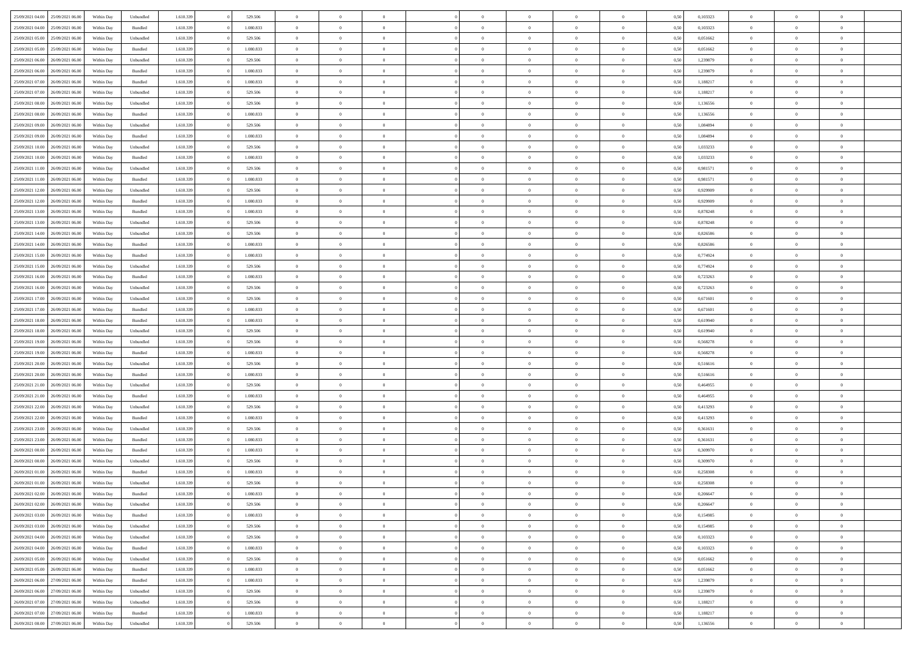| 25/09/2021 04:00                  | 25/09/2021 06:00 | Within Dav | Unbundled          | 1.610.339 | 529.506   | $\overline{0}$ | $\Omega$       |                | $\Omega$       | $\Omega$       | $\Omega$       | $\theta$       | 0.50 | 0,103323 | $\theta$       | $\theta$       | $\theta$       |  |
|-----------------------------------|------------------|------------|--------------------|-----------|-----------|----------------|----------------|----------------|----------------|----------------|----------------|----------------|------|----------|----------------|----------------|----------------|--|
| 25/09/2021 04:00                  | 25/09/2021 06:00 | Within Day | Bundled            | 1.610.339 | 1.080.833 | $\overline{0}$ | $\theta$       | $\overline{0}$ | $\overline{0}$ | $\bf{0}$       | $\overline{0}$ | $\bf{0}$       | 0,50 | 0,103323 | $\theta$       | $\theta$       | $\overline{0}$ |  |
| 25/09/2021 05:00                  | 25/09/2021 06:00 | Within Day | Unbundled          | 1.610.339 | 529.506   | $\overline{0}$ | $\overline{0}$ | $\overline{0}$ | $\bf{0}$       | $\bf{0}$       | $\bf{0}$       | $\bf{0}$       | 0,50 | 0,051662 | $\bf{0}$       | $\overline{0}$ | $\overline{0}$ |  |
|                                   |                  |            |                    |           |           |                |                |                |                |                |                |                |      |          | $\theta$       |                |                |  |
| 25/09/2021 05:00                  | 25/09/2021 06:00 | Within Dav | Bundled            | 1.610.339 | 1.080.833 | $\overline{0}$ | $\overline{0}$ | $\overline{0}$ | $\overline{0}$ | $\bf{0}$       | $\overline{0}$ | $\overline{0}$ | 0.50 | 0.051662 |                | $\theta$       | $\overline{0}$ |  |
| 25/09/2021 06:00                  | 26/09/2021 06:00 | Within Day | Unbundled          | 1.610.339 | 529.506   | $\overline{0}$ | $\theta$       | $\overline{0}$ | $\overline{0}$ | $\bf{0}$       | $\overline{0}$ | $\bf{0}$       | 0,50 | 1,239879 | $\theta$       | $\theta$       | $\overline{0}$ |  |
| 25/09/2021 06:00                  | 26/09/2021 06:00 | Within Day | Bundled            | 1.610.339 | 1.080.833 | $\overline{0}$ | $\bf{0}$       | $\overline{0}$ | $\bf{0}$       | $\overline{0}$ | $\overline{0}$ | $\mathbf{0}$   | 0,50 | 1,239879 | $\overline{0}$ | $\overline{0}$ | $\bf{0}$       |  |
| 25/09/2021 07:00                  | 26/09/2021 06:00 | Within Dav | Bundled            | 1.610.339 | 1.080.833 | $\overline{0}$ | $\overline{0}$ | $\overline{0}$ | $\overline{0}$ | $\overline{0}$ | $\overline{0}$ | $\overline{0}$ | 0.50 | 1,188217 | $\theta$       | $\overline{0}$ | $\overline{0}$ |  |
|                                   |                  |            |                    |           |           |                |                |                |                |                |                |                |      |          |                |                |                |  |
| 25/09/2021 07:00                  | 26/09/2021 06:00 | Within Day | Unbundled          | 1.610.339 | 529.506   | $\overline{0}$ | $\theta$       | $\overline{0}$ | $\overline{0}$ | $\bf{0}$       | $\overline{0}$ | $\bf{0}$       | 0,50 | 1,188217 | $\theta$       | $\theta$       | $\overline{0}$ |  |
| 25/09/2021 08:00                  | 26/09/2021 06:00 | Within Day | Unbundled          | 1.610.339 | 529.506   | $\overline{0}$ | $\overline{0}$ | $\overline{0}$ | $\bf{0}$       | $\bf{0}$       | $\bf{0}$       | $\bf{0}$       | 0,50 | 1,136556 | $\,0\,$        | $\overline{0}$ | $\overline{0}$ |  |
| 25/09/2021 08:00                  | 26/09/2021 06:00 | Within Dav | Bundled            | 1.610.339 | 1.080.833 | $\overline{0}$ | $\overline{0}$ | $\overline{0}$ | $\overline{0}$ | $\overline{0}$ | $\overline{0}$ | $\overline{0}$ | 0.50 | 1,136556 | $\theta$       | $\overline{0}$ | $\overline{0}$ |  |
| 25/09/2021 09:00                  | 26/09/2021 06:00 |            |                    | 1.610.339 | 529.506   | $\overline{0}$ | $\theta$       | $\overline{0}$ | $\overline{0}$ | $\bf{0}$       | $\overline{0}$ |                |      | 1,084894 | $\,$ 0 $\,$    | $\theta$       | $\overline{0}$ |  |
|                                   |                  | Within Day | Unbundled          |           |           |                |                |                |                |                |                | $\bf{0}$       | 0,50 |          |                |                |                |  |
| 25/09/2021 09:00                  | 26/09/2021 06:00 | Within Day | Bundled            | 1.610.339 | 1.080.833 | $\overline{0}$ | $\overline{0}$ | $\overline{0}$ | $\bf{0}$       | $\bf{0}$       | $\bf{0}$       | $\bf{0}$       | 0,50 | 1,084894 | $\bf{0}$       | $\overline{0}$ | $\overline{0}$ |  |
| 25/09/2021 10:00                  | 26/09/2021 06:00 | Within Day | Unbundled          | 1.610.339 | 529.506   | $\overline{0}$ | $\overline{0}$ | $\overline{0}$ | $\overline{0}$ | $\bf{0}$       | $\overline{0}$ | $\overline{0}$ | 0.50 | 1,033233 | $\theta$       | $\theta$       | $\overline{0}$ |  |
| 25/09/2021 10:00                  | 26/09/2021 06:00 | Within Day | Bundled            | 1.610.339 | 1.080.833 | $\overline{0}$ | $\theta$       | $\overline{0}$ | $\overline{0}$ | $\bf{0}$       | $\overline{0}$ | $\bf{0}$       | 0,50 | 1,033233 | $\theta$       | $\theta$       | $\overline{0}$ |  |
|                                   |                  |            |                    |           |           |                |                |                |                |                |                |                |      |          |                |                |                |  |
| 25/09/2021 11:00                  | 26/09/2021 06:00 | Within Day | Unbundled          | 1.610.339 | 529.506   | $\overline{0}$ | $\overline{0}$ | $\overline{0}$ | $\bf{0}$       | $\overline{0}$ | $\overline{0}$ | $\mathbf{0}$   | 0,50 | 0,981571 | $\bf{0}$       | $\overline{0}$ | $\bf{0}$       |  |
| 25/09/2021 11:00                  | 26/09/2021 06:00 | Within Dav | Bundled            | 1.610.339 | 1.080.833 | $\overline{0}$ | $\overline{0}$ | $\overline{0}$ | $\overline{0}$ | $\overline{0}$ | $\overline{0}$ | $\overline{0}$ | 0.50 | 0.981571 | $\theta$       | $\overline{0}$ | $\overline{0}$ |  |
| 25/09/2021 12:00                  | 26/09/2021 06:00 | Within Day | Unbundled          | 1.610.339 | 529.506   | $\overline{0}$ | $\theta$       | $\overline{0}$ | $\overline{0}$ | $\bf{0}$       | $\overline{0}$ | $\bf{0}$       | 0,50 | 0,929909 | $\theta$       | $\theta$       | $\overline{0}$ |  |
| 25/09/2021 12:00                  | 26/09/2021 06:00 | Within Day | Bundled            | 1.610.339 | 1.080.833 | $\overline{0}$ | $\overline{0}$ | $\overline{0}$ | $\bf{0}$       | $\bf{0}$       | $\bf{0}$       | $\bf{0}$       | 0,50 | 0,929909 | $\,0\,$        | $\overline{0}$ | $\overline{0}$ |  |
|                                   |                  |            |                    |           |           |                | $\overline{0}$ |                |                | $\overline{0}$ |                |                |      |          | $\theta$       | $\overline{0}$ | $\overline{0}$ |  |
| 25/09/2021 13:00                  | 26/09/2021 06:00 | Within Day | Bundled            | 1.610.339 | 1.080.833 | $\overline{0}$ |                | $\overline{0}$ | $\overline{0}$ |                | $\overline{0}$ | $\overline{0}$ | 0.50 | 0,878248 |                |                |                |  |
| 25/09/2021 13:00                  | 26/09/2021 06:00 | Within Day | Unbundled          | 1.610.339 | 529.506   | $\overline{0}$ | $\theta$       | $\overline{0}$ | $\overline{0}$ | $\bf{0}$       | $\overline{0}$ | $\bf{0}$       | 0,50 | 0,878248 | $\,$ 0 $\,$    | $\theta$       | $\overline{0}$ |  |
| 25/09/2021 14:00                  | 26/09/2021 06:00 | Within Day | Unbundled          | 1.610.339 | 529.506   | $\overline{0}$ | $\overline{0}$ | $\overline{0}$ | $\bf{0}$       | $\bf{0}$       | $\bf{0}$       | $\bf{0}$       | 0,50 | 0,826586 | $\bf{0}$       | $\overline{0}$ | $\overline{0}$ |  |
| 25/09/2021 14:00                  | 26/09/2021 06:00 | Within Day | Bundled            | 1.610.339 | 1.080.833 | $\overline{0}$ | $\overline{0}$ | $\overline{0}$ | $\overline{0}$ | $\bf{0}$       | $\overline{0}$ | $\overline{0}$ | 0.50 | 0.826586 | $\theta$       | $\theta$       | $\overline{0}$ |  |
|                                   |                  |            |                    |           |           | $\overline{0}$ | $\theta$       | $\overline{0}$ | $\overline{0}$ | $\bf{0}$       | $\overline{0}$ |                |      |          | $\,$ 0 $\,$    | $\overline{0}$ | $\overline{0}$ |  |
| 25/09/2021 15:00                  | 26/09/2021 06:00 | Within Day | Bundled            | 1.610.339 | 1.080.833 |                |                |                |                |                |                | $\bf{0}$       | 0,50 | 0,774924 |                |                |                |  |
| 25/09/2021 15:00                  | 26/09/2021 06:00 | Within Day | Unbundled          | 1.610.339 | 529.506   | $\overline{0}$ | $\bf{0}$       | $\overline{0}$ | $\bf{0}$       | $\overline{0}$ | $\overline{0}$ | $\mathbf{0}$   | 0,50 | 0,774924 | $\bf{0}$       | $\overline{0}$ | $\bf{0}$       |  |
| 25/09/2021 16:00                  | 26/09/2021 06:00 | Within Day | Bundled            | 1.610.339 | 1.080.833 | $\overline{0}$ | $\overline{0}$ | $\overline{0}$ | $\overline{0}$ | $\overline{0}$ | $\overline{0}$ | $\overline{0}$ | 0.50 | 0,723263 | $\theta$       | $\overline{0}$ | $\overline{0}$ |  |
| 25/09/2021 16:00                  | 26/09/2021 06:00 | Within Day | Unbundled          | 1.610.339 | 529.506   | $\overline{0}$ | $\theta$       | $\overline{0}$ | $\overline{0}$ | $\bf{0}$       | $\overline{0}$ | $\bf{0}$       | 0,50 | 0,723263 | $\theta$       | $\theta$       | $\overline{0}$ |  |
|                                   |                  |            |                    |           |           |                |                |                |                |                |                |                |      |          |                |                |                |  |
| 25/09/2021 17:00                  | 26/09/2021 06:00 | Within Day | Unbundled          | 1.610.339 | 529.506   | $\overline{0}$ | $\overline{0}$ | $\overline{0}$ | $\bf{0}$       | $\bf{0}$       | $\bf{0}$       | $\bf{0}$       | 0,50 | 0,671601 | $\,0\,$        | $\overline{0}$ | $\overline{0}$ |  |
| 25/09/2021 17:00                  | 26/09/2021 06:00 | Within Day | Bundled            | 1.610.339 | 1.080.833 | $\overline{0}$ | $\overline{0}$ | $\overline{0}$ | $\overline{0}$ | $\overline{0}$ | $\overline{0}$ | $\overline{0}$ | 0.50 | 0,671601 | $\theta$       | $\overline{0}$ | $\overline{0}$ |  |
| 25/09/2021 18:00                  | 26/09/2021 06:00 | Within Day | Bundled            | 1.610.339 | 1.080.833 | $\overline{0}$ | $\theta$       | $\overline{0}$ | $\overline{0}$ | $\bf{0}$       | $\overline{0}$ | $\bf{0}$       | 0,50 | 0,619940 | $\,$ 0 $\,$    | $\overline{0}$ | $\overline{0}$ |  |
| 25/09/2021 18:00                  | 26/09/2021 06:00 | Within Day | Unbundled          | 1.610.339 | 529.506   | $\overline{0}$ | $\overline{0}$ | $\overline{0}$ | $\bf{0}$       | $\bf{0}$       | $\bf{0}$       | $\bf{0}$       | 0,50 | 0,619940 | $\bf{0}$       | $\overline{0}$ | $\overline{0}$ |  |
|                                   |                  |            |                    |           |           | $\overline{0}$ | $\Omega$       |                | $\Omega$       | $\Omega$       |                |                |      |          |                |                | $\theta$       |  |
| 25/09/2021 19:00                  | 26/09/2021 06:00 | Within Day | Unbundled          | 1.610.339 | 529.506   |                |                | $\overline{0}$ |                |                | $\overline{0}$ | $\overline{0}$ | 0,50 | 0,568278 | $\,0\,$        | $\theta$       |                |  |
| 25/09/2021 19:00                  | 26/09/2021 06:00 | Within Day | Bundled            | 1.610.339 | 1.080.833 | $\overline{0}$ | $\theta$       | $\overline{0}$ | $\overline{0}$ | $\bf{0}$       | $\overline{0}$ | $\bf{0}$       | 0,50 | 0,568278 | $\theta$       | $\theta$       | $\overline{0}$ |  |
| 25/09/2021 20:00                  | 26/09/2021 06:00 | Within Day | Unbundled          | 1.610.339 | 529.506   | $\overline{0}$ | $\overline{0}$ | $\overline{0}$ | $\bf{0}$       | $\bf{0}$       | $\overline{0}$ | $\mathbf{0}$   | 0,50 | 0,516616 | $\bf{0}$       | $\overline{0}$ | $\bf{0}$       |  |
| 25/09/2021 20:00                  | 26/09/2021 06:00 | Within Day | Bundled            | 1.610.339 | 1.080.833 | $\overline{0}$ | $\Omega$       | $\Omega$       | $\Omega$       | $\bf{0}$       | $\overline{0}$ | $\overline{0}$ | 0.50 | 0,516616 | $\,0\,$        | $\theta$       | $\theta$       |  |
| 25/09/2021 21:00                  | 26/09/2021 06:00 |            |                    | 1.610.339 | 529.506   | $\overline{0}$ | $\theta$       | $\overline{0}$ | $\overline{0}$ | $\bf{0}$       | $\overline{0}$ |                |      | 0,464955 | $\theta$       | $\theta$       | $\overline{0}$ |  |
|                                   |                  | Within Day | Unbundled          |           |           |                |                |                |                |                |                | $\bf{0}$       | 0,50 |          |                |                |                |  |
| 25/09/2021 21:00                  | 26/09/2021 06:00 | Within Day | Bundled            | 1.610.339 | 1.080.833 | $\overline{0}$ | $\overline{0}$ | $\overline{0}$ | $\bf{0}$       | $\bf{0}$       | $\bf{0}$       | $\bf{0}$       | 0,50 | 0,464955 | $\bf{0}$       | $\overline{0}$ | $\overline{0}$ |  |
| 25/09/2021 22.00                  | 26/09/2021 06:00 | Within Day | Unbundled          | 1.610.339 | 529.506   | $\overline{0}$ | $\Omega$       | $\overline{0}$ | $\Omega$       | $\theta$       | $\theta$       | $\overline{0}$ | 0.50 | 0,413293 | $\theta$       | $\theta$       | $\theta$       |  |
| 25/09/2021 22.00                  | 26/09/2021 06:00 | Within Day | Bundled            | 1.610.339 | 1.080.833 | $\overline{0}$ | $\theta$       | $\overline{0}$ | $\overline{0}$ | $\bf{0}$       | $\overline{0}$ | $\bf{0}$       | 0,50 | 0,413293 | $\,$ 0 $\,$    | $\overline{0}$ | $\overline{0}$ |  |
|                                   |                  |            |                    |           |           |                |                |                |                |                |                |                |      |          |                |                |                |  |
| 25/09/2021 23:00                  | 26/09/2021 06:00 | Within Day | Unbundled          | 1.610.339 | 529.506   | $\overline{0}$ | $\overline{0}$ | $\overline{0}$ | $\bf{0}$       | $\bf{0}$       | $\bf{0}$       | $\bf{0}$       | 0,50 | 0,361631 | $\bf{0}$       | $\overline{0}$ | $\overline{0}$ |  |
| 25/09/2021 23:00                  | 26/09/2021 06:00 | Within Day | Bundled            | 1.610.339 | 1.080.833 | $\overline{0}$ | $\Omega$       | $\overline{0}$ | $\Omega$       | $\Omega$       | $\overline{0}$ | $\overline{0}$ | 0.50 | 0,361631 | $\,0\,$        | $\theta$       | $\theta$       |  |
| 26/09/2021 00:00                  | 26/09/2021 06:00 | Within Day | Bundled            | 1.610.339 | 1.080.833 | $\overline{0}$ | $\theta$       | $\overline{0}$ | $\overline{0}$ | $\bf{0}$       | $\overline{0}$ | $\bf{0}$       | 0,50 | 0,309970 | $\,$ 0 $\,$    | $\overline{0}$ | $\overline{0}$ |  |
| 26/09/2021 00:00                  | 26/09/2021 06:00 | Within Day | Unbundled          | 1.610.339 | 529.506   | $\overline{0}$ | $\overline{0}$ | $\overline{0}$ | $\bf{0}$       | $\bf{0}$       | $\bf{0}$       | $\mathbf{0}$   | 0,50 | 0,309970 | $\bf{0}$       | $\overline{0}$ | $\bf{0}$       |  |
|                                   | 26/09/2021 06:00 |            |                    |           | 1.080.833 | $\overline{0}$ | $\Omega$       | $\Omega$       | $\Omega$       | $\Omega$       | $\Omega$       | $\overline{0}$ | 0.50 | 0.258308 | $\theta$       | $\theta$       | $\theta$       |  |
| 26/09/2021 01:00                  |                  | Within Day | Bundled            | 1.610.339 |           |                |                |                |                |                |                |                |      |          |                |                |                |  |
| 26/09/2021 01:00                  | 26/09/2021 06:00 | Within Day | Unbundled          | 1.610.339 | 529.506   | $\overline{0}$ | $\overline{0}$ | $\overline{0}$ | $\bf{0}$       | $\,$ 0         | $\bf{0}$       | $\bf{0}$       | 0,50 | 0,258308 | $\,0\,$        | $\overline{0}$ | $\overline{0}$ |  |
| 26/09/2021 02:00                  | 26/09/2021 06:00 | Within Day | $\mathbf B$ undled | 1.610.339 | 1.080.833 | $\bf{0}$       | $\bf{0}$       |                |                | $\bf{0}$       |                |                | 0,50 | 0,206647 | $\bf{0}$       | $\overline{0}$ |                |  |
| 26/09/2021 02:00                  | 26/09/2021 06:00 | Within Day | Unbundled          | 1.610.339 | 529.506   | $\overline{0}$ | $\overline{0}$ | $\overline{0}$ | $\Omega$       | $\overline{0}$ | $\overline{0}$ | $\overline{0}$ | 0.50 | 0.206647 | $\theta$       | $\theta$       | $\theta$       |  |
| 26/09/2021 03:00                  | 26/09/2021 06:00 | Within Day | Bundled            | 1.610.339 | 1.080.833 | $\overline{0}$ | $\bf{0}$       | $\overline{0}$ | $\bf{0}$       | $\,$ 0 $\,$    | $\overline{0}$ | $\mathbf{0}$   | 0,50 | 0,154985 | $\,$ 0 $\,$    | $\,$ 0 $\,$    | $\,$ 0         |  |
|                                   |                  |            |                    |           |           |                |                |                |                |                |                |                |      |          |                |                |                |  |
| 26/09/2021 03:00                  | 26/09/2021 06:00 | Within Day | Unbundled          | 1.610.339 | 529.506   | $\overline{0}$ | $\overline{0}$ | $\overline{0}$ | $\overline{0}$ | $\overline{0}$ | $\overline{0}$ | $\mathbf{0}$   | 0,50 | 0,154985 | $\overline{0}$ | $\bf{0}$       | $\bf{0}$       |  |
| 26/09/2021 04:00                  | 26/09/2021 06:00 | Within Day | Unbundled          | 1.610.339 | 529.506   | $\overline{0}$ | $\overline{0}$ | $\overline{0}$ | $\Omega$       | $\overline{0}$ | $\overline{0}$ | $\overline{0}$ | 0,50 | 0,103323 | $\overline{0}$ | $\theta$       | $\overline{0}$ |  |
| 26/09/2021 04:00                  | 26/09/2021 06:00 | Within Day | Bundled            | 1.610.339 | 1.080.833 | $\overline{0}$ | $\,$ 0         | $\overline{0}$ | $\overline{0}$ | $\,$ 0 $\,$    | $\overline{0}$ | $\mathbf{0}$   | 0,50 | 0,103323 | $\,$ 0 $\,$    | $\overline{0}$ | $\overline{0}$ |  |
| 26/09/2021 05:00                  | 26/09/2021 06:00 | Within Day | Unbundled          | 1.610.339 | 529.506   | $\overline{0}$ | $\overline{0}$ | $\overline{0}$ | $\overline{0}$ | $\overline{0}$ | $\overline{0}$ | $\mathbf{0}$   | 0,50 | 0,051662 | $\overline{0}$ | $\overline{0}$ | $\bf{0}$       |  |
|                                   |                  |            |                    |           |           |                |                |                |                |                |                |                |      |          |                |                |                |  |
| 26/09/2021 05:00                  | 26/09/2021 06:00 | Within Day | Bundled            | 1.610.339 | 1.080.833 | $\overline{0}$ | $\overline{0}$ | $\overline{0}$ | $\Omega$       | $\overline{0}$ | $\overline{0}$ | $\bf{0}$       | 0.50 | 0.051662 | $\overline{0}$ | $\theta$       | $\overline{0}$ |  |
| 26/09/2021 06:00                  | 27/09/2021 06:00 | Within Day | Bundled            | 1.610.339 | 1.080.833 | $\overline{0}$ | $\,$ 0         | $\overline{0}$ | $\overline{0}$ | $\bf{0}$       | $\overline{0}$ | $\bf{0}$       | 0,50 | 1,239879 | $\,$ 0 $\,$    | $\overline{0}$ | $\overline{0}$ |  |
| 26/09/2021 06:00                  | 27/09/2021 06:00 | Within Day | Unbundled          | 1.610.339 | 529.506   | $\overline{0}$ | $\bf{0}$       | $\overline{0}$ | $\overline{0}$ | $\overline{0}$ | $\overline{0}$ | $\mathbf{0}$   | 0,50 | 1,239879 | $\overline{0}$ | $\overline{0}$ | $\bf{0}$       |  |
|                                   |                  |            |                    |           |           | $\overline{0}$ | $\overline{0}$ | $\overline{0}$ | $\Omega$       | $\overline{0}$ | $\overline{0}$ |                | 0.50 |          | $\overline{0}$ | $\overline{0}$ | $\overline{0}$ |  |
| 26/09/2021 07:00                  | 27/09/2021 06:00 | Within Day | Unbundled          | 1.610.339 | 529.506   |                |                |                |                |                |                | $\overline{0}$ |      | 1,188217 |                |                |                |  |
| 26/09/2021 07:00                  | 27/09/2021 06.00 | Within Day | Bundled            | 1.610.339 | 1.080.833 | $\overline{0}$ | $\bf{0}$       | $\overline{0}$ | $\bf{0}$       | $\bf{0}$       | $\overline{0}$ | $\mathbf{0}$   | 0,50 | 1,188217 | $\,$ 0 $\,$    | $\,$ 0 $\,$    | $\bf{0}$       |  |
| 26/09/2021 08:00 27/09/2021 06:00 |                  | Within Day | Unbundled          | 1.610.339 | 529.506   | $\overline{0}$ | $\overline{0}$ | $\overline{0}$ | $\overline{0}$ | $\overline{0}$ | $\overline{0}$ | $\mathbf{0}$   | 0,50 | 1,136556 | $\overline{0}$ | $\bf{0}$       | $\bf{0}$       |  |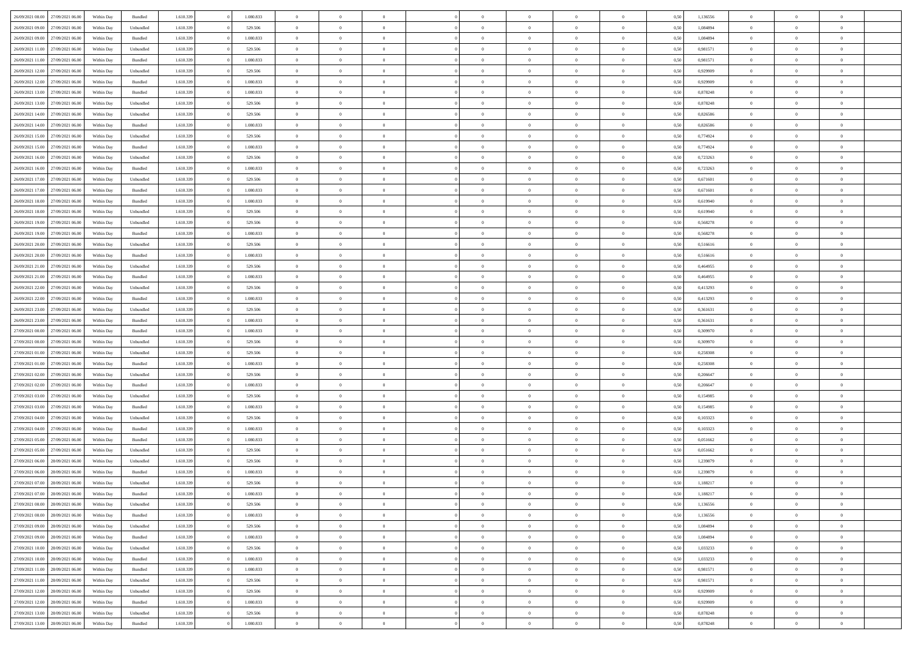| 26/09/2021 08:00 27/09/2021 06:00    | Within Day | Bundled            | 1.610.339 | 1.080.833 | $\overline{0}$ | $\overline{0}$ | $\Omega$       | $\Omega$       | $\Omega$       |                | $\overline{0}$ | 0,50 | 1,136556 | $\mathbf{0}$   | $\Omega$       | $\Omega$       |  |
|--------------------------------------|------------|--------------------|-----------|-----------|----------------|----------------|----------------|----------------|----------------|----------------|----------------|------|----------|----------------|----------------|----------------|--|
| 26/09/2021 09:00<br>27/09/2021 06:00 | Within Day | Unbundled          | 1.610.339 | 529.506   | $\bf{0}$       | $\overline{0}$ | $\overline{0}$ | $\theta$       | $\overline{0}$ | $\overline{0}$ | $\,$ 0         | 0,50 | 1,084894 | $\mathbf{0}$   | $\theta$       | $\bf{0}$       |  |
| 26/09/2021 09:00<br>27/09/2021 06:00 | Within Day | Bundled            | 1.610.339 | 1.080.833 | $\overline{0}$ | $\overline{0}$ | $\overline{0}$ | $\bf{0}$       | $\bf{0}$       | $\overline{0}$ | $\mathbf{0}$   | 0,50 | 1,084894 | $\bf{0}$       | $\bf{0}$       | $\bf{0}$       |  |
| 26/09/2021 11:00                     |            |                    |           |           |                |                |                |                |                |                |                |      |          |                |                |                |  |
| 27/09/2021 06:00                     | Within Day | Unbundled          | 1.610.339 | 529,506   | $\overline{0}$ | $\overline{0}$ | $\overline{0}$ | $\overline{0}$ | $\overline{0}$ | $\Omega$       | $\overline{0}$ | 0.50 | 0,981571 | $\mathbf{0}$   | $\overline{0}$ | $\bf{0}$       |  |
| 26/09/2021 11:00<br>27/09/2021 06:00 | Within Day | $\mathbf B$ undled | 1.610.339 | 1.080.833 | $\bf{0}$       | $\overline{0}$ | $\overline{0}$ | $\theta$       | $\overline{0}$ | $\overline{0}$ | $\bf{0}$       | 0,50 | 0,981571 | $\mathbf{0}$   | $\theta$       | $\overline{0}$ |  |
| 26/09/2021 12:00<br>27/09/2021 06:00 | Within Day | Unbundled          | 1.610.339 | 529.506   | $\overline{0}$ | $\overline{0}$ | $\overline{0}$ | $\bf{0}$       | $\overline{0}$ | $\overline{0}$ | $\overline{0}$ | 0,50 | 0,929909 | $\overline{0}$ | $\overline{0}$ | $\overline{0}$ |  |
| 26/09/2021 12:00<br>27/09/2021 06.00 | Within Day | Bundled            | 1.610.339 | 1.080.833 | $\overline{0}$ | $\overline{0}$ | $\overline{0}$ | $\overline{0}$ | $\overline{0}$ | $\overline{0}$ | $\mathbf{0}$   | 0.50 | 0.929909 | $\mathbf{0}$   | $\overline{0}$ | $\overline{0}$ |  |
| 26/09/2021 13:00<br>27/09/2021 06:00 | Within Day | Bundled            | 1.610.339 | 1.080.833 | $\bf{0}$       | $\overline{0}$ | $\overline{0}$ | $\theta$       | $\overline{0}$ | $\overline{0}$ | $\bf{0}$       | 0,50 | 0,878248 | $\theta$       | $\theta$       | $\bf{0}$       |  |
|                                      |            |                    |           |           |                |                |                |                |                |                |                |      |          |                |                |                |  |
| 26/09/2021 13:00<br>27/09/2021 06:00 | Within Day | Unbundled          | 1.610.339 | 529.506   | $\overline{0}$ | $\overline{0}$ | $\overline{0}$ | $\bf{0}$       | $\bf{0}$       | $\overline{0}$ | $\mathbf{0}$   | 0,50 | 0,878248 | $\bf{0}$       | $\bf{0}$       | $\bf{0}$       |  |
| 26/09/2021 14:00<br>27/09/2021 06.00 | Within Day | Unbundled          | 1.610.339 | 529.506   | $\overline{0}$ | $\overline{0}$ | $\overline{0}$ | $\overline{0}$ | $\overline{0}$ | $\overline{0}$ | $\overline{0}$ | 0.50 | 0,826586 | $\overline{0}$ | $\overline{0}$ | $\overline{0}$ |  |
| 26/09/2021 14:00<br>27/09/2021 06:00 | Within Day | Bundled            | 1.610.339 | 1.080.833 | $\bf{0}$       | $\overline{0}$ | $\overline{0}$ | $\overline{0}$ | $\overline{0}$ | $\overline{0}$ | $\,$ 0         | 0,50 | 0,826586 | $\mathbf{0}$   | $\theta$       | $\bf{0}$       |  |
| 26/09/2021 15:00<br>27/09/2021 06:00 | Within Day | Unbundled          | 1.610.339 | 529.506   | $\overline{0}$ | $\overline{0}$ | $\overline{0}$ | $\bf{0}$       | $\bf{0}$       | $\overline{0}$ | $\mathbf{0}$   | 0,50 | 0,774924 | $\bf{0}$       | $\bf{0}$       | $\bf{0}$       |  |
| 26/09/2021 15:00                     |            |                    |           |           |                |                |                |                |                |                |                |      |          | $\mathbf{0}$   |                |                |  |
| 27/09/2021 06:00                     | Within Day | Bundled            | 1.610.339 | 1.080.833 | $\overline{0}$ | $\overline{0}$ | $\overline{0}$ | $\overline{0}$ | $\overline{0}$ | $\overline{0}$ | $\overline{0}$ | 0.50 | 0.774924 |                | $\overline{0}$ | $\bf{0}$       |  |
| 26/09/2021 16:00<br>27/09/2021 06:00 | Within Day | Unbundled          | 1.610.339 | 529.506   | $\bf{0}$       | $\overline{0}$ | $\overline{0}$ | $\theta$       | $\overline{0}$ | $\overline{0}$ | $\,$ 0         | 0,50 | 0,723263 | $\theta$       | $\theta$       | $\overline{0}$ |  |
| 26/09/2021 16:00<br>27/09/2021 06:00 | Within Day | Bundled            | 1.610.339 | 1.080.833 | $\overline{0}$ | $\overline{0}$ | $\overline{0}$ | $\bf{0}$       | $\overline{0}$ | $\overline{0}$ | $\overline{0}$ | 0,50 | 0,723263 | $\overline{0}$ | $\overline{0}$ | $\overline{0}$ |  |
| 26/09/2021 17:00<br>27/09/2021 06:00 | Within Day | Unbundled          | 1.610.339 | 529.506   | $\overline{0}$ | $\overline{0}$ | $\overline{0}$ | $\overline{0}$ | $\overline{0}$ | $\overline{0}$ | $\mathbf{0}$   | 0.50 | 0,671601 | $\overline{0}$ | $\overline{0}$ | $\overline{0}$ |  |
| 26/09/2021 17:00<br>27/09/2021 06:00 | Within Day | Bundled            | 1.610.339 | 1.080.833 | $\bf{0}$       | $\overline{0}$ | $\overline{0}$ | $\overline{0}$ | $\overline{0}$ | $\overline{0}$ | $\bf{0}$       | 0,50 | 0,671601 | $\theta$       | $\theta$       | $\bf{0}$       |  |
|                                      |            |                    |           |           |                |                |                |                |                |                |                |      |          |                |                |                |  |
| 26/09/2021 18:00<br>27/09/2021 06:00 | Within Day | Bundled            | 1.610.339 | 1.080.833 | $\overline{0}$ | $\overline{0}$ | $\bf{0}$       | $\bf{0}$       | $\bf{0}$       | $\overline{0}$ | $\bf{0}$       | 0,50 | 0,619940 | $\bf{0}$       | $\bf{0}$       | $\bf{0}$       |  |
| 26/09/2021 18:00<br>27/09/2021 06:00 | Within Day | Unbundled          | 1.610.339 | 529.506   | $\overline{0}$ | $\overline{0}$ | $\overline{0}$ | $\overline{0}$ | $\overline{0}$ | $\overline{0}$ | $\overline{0}$ | 0.50 | 0.619940 | $\overline{0}$ | $\overline{0}$ | $\overline{0}$ |  |
| 26/09/2021 19:00<br>27/09/2021 06:00 | Within Day | Unbundled          | 1.610.339 | 529.506   | $\bf{0}$       | $\overline{0}$ | $\overline{0}$ | $\overline{0}$ | $\overline{0}$ | $\overline{0}$ | $\,$ 0         | 0,50 | 0,568278 | $\theta$       | $\theta$       | $\bf{0}$       |  |
| 26/09/2021 19:00<br>27/09/2021 06:00 | Within Day | Bundled            | 1.610.339 | 1.080.833 | $\overline{0}$ | $\overline{0}$ | $\overline{0}$ | $\bf{0}$       | $\bf{0}$       | $\overline{0}$ | $\mathbf{0}$   | 0,50 | 0,568278 | $\bf{0}$       | $\bf{0}$       | $\bf{0}$       |  |
| 26/09/2021 20:00<br>27/09/2021 06:00 | Within Day | Unbundled          | 1.610.339 | 529,506   | $\overline{0}$ | $\overline{0}$ | $\overline{0}$ | $\overline{0}$ | $\overline{0}$ | $\overline{0}$ | $\overline{0}$ | 0.50 | 0.516616 | $\overline{0}$ | $\overline{0}$ | $\bf{0}$       |  |
|                                      |            |                    |           |           |                |                |                |                |                |                |                |      |          |                |                |                |  |
| 26/09/2021 20:00<br>27/09/2021 06:00 | Within Day | $\mathbf B$ undled | 1.610.339 | 1.080.833 | $\bf{0}$       | $\overline{0}$ | $\overline{0}$ | $\overline{0}$ | $\overline{0}$ | $\overline{0}$ | $\,$ 0         | 0,50 | 0,516616 | $\mathbf{0}$   | $\theta$       | $\bf{0}$       |  |
| 26/09/2021 21:00<br>27/09/2021 06:00 | Within Day | Unbundled          | 1.610.339 | 529.506   | $\overline{0}$ | $\overline{0}$ | $\overline{0}$ | $\bf{0}$       | $\overline{0}$ | $\overline{0}$ | $\overline{0}$ | 0,50 | 0,464955 | $\overline{0}$ | $\overline{0}$ | $\overline{0}$ |  |
| 26/09/2021 21:00<br>27/09/2021 06:00 | Within Day | Bundled            | 1.610.339 | 1.080.833 | $\overline{0}$ | $\overline{0}$ | $\overline{0}$ | $\overline{0}$ | $\overline{0}$ | $\overline{0}$ | $\overline{0}$ | 0.50 | 0.464955 | $\overline{0}$ | $\overline{0}$ | $\overline{0}$ |  |
| 26/09/2021 22:00<br>27/09/2021 06:00 | Within Day | Unbundled          | 1.610.339 | 529.506   | $\bf{0}$       | $\overline{0}$ | $\bf{0}$       | $\overline{0}$ | $\overline{0}$ | $\overline{0}$ | $\bf{0}$       | 0,50 | 0,413293 | $\theta$       | $\theta$       | $\bf{0}$       |  |
| 26/09/2021 22:00<br>27/09/2021 06.00 | Within Day | Bundled            | 1.610.339 | 1.080.833 | $\overline{0}$ | $\overline{0}$ | $\bf{0}$       | $\bf{0}$       | $\bf{0}$       | $\overline{0}$ | $\bf{0}$       | 0,50 | 0,413293 | $\bf{0}$       | $\bf{0}$       | $\bf{0}$       |  |
|                                      |            |                    |           |           |                | $\overline{0}$ |                |                |                |                | $\overline{0}$ |      |          | $\overline{0}$ |                |                |  |
| 26/09/2021 23:00<br>27/09/2021 06:00 | Within Day | Unbundled          | 1.610.339 | 529.506   | $\overline{0}$ |                | $\overline{0}$ | $\overline{0}$ | $\overline{0}$ | $\overline{0}$ |                | 0.50 | 0,361631 |                | $\overline{0}$ | $\bf{0}$       |  |
| 26/09/2021 23:00<br>27/09/2021 06:00 | Within Day | Bundled            | 1.610.339 | 1.080.833 | $\bf{0}$       | $\overline{0}$ | $\overline{0}$ | $\overline{0}$ | $\overline{0}$ | $\overline{0}$ | $\bf{0}$       | 0,50 | 0,361631 | $\theta$       | $\theta$       | $\bf{0}$       |  |
| 27/09/2021 00:00<br>27/09/2021 06:00 | Within Day | Bundled            | 1.610.339 | 1.080.833 | $\overline{0}$ | $\overline{0}$ | $\overline{0}$ | $\bf{0}$       | $\bf{0}$       | $\overline{0}$ | $\mathbf{0}$   | 0,50 | 0,309970 | $\overline{0}$ | $\bf{0}$       | $\bf{0}$       |  |
| 27/09/2021 00:00<br>27/09/2021 06.00 | Within Day | Unbundled          | 1.610.339 | 529.506   | $\overline{0}$ | $\overline{0}$ | $\overline{0}$ | $\overline{0}$ | $\overline{0}$ | $\Omega$       | $\overline{0}$ | 0.50 | 0,309970 | $\bf{0}$       | $\Omega$       | $\Omega$       |  |
| 27/09/2021 01:00<br>27/09/2021 06:00 | Within Day | Unbundled          | 1.610.339 | 529.506   | $\bf{0}$       | $\overline{0}$ | $\overline{0}$ | $\theta$       | $\overline{0}$ | $\overline{0}$ | $\,$ 0         | 0,50 | 0,258308 | $\theta$       | $\theta$       | $\bf{0}$       |  |
|                                      |            |                    |           |           |                |                |                |                |                |                |                |      |          |                |                |                |  |
| 27/09/2021 01:00<br>27/09/2021 06:00 | Within Day | Bundled            | 1.610.339 | 1.080.833 | $\overline{0}$ | $\overline{0}$ | $\overline{0}$ | $\bf{0}$       | $\overline{0}$ | $\overline{0}$ | $\overline{0}$ | 0,50 | 0,258308 | $\overline{0}$ | $\bf{0}$       | $\overline{0}$ |  |
| 27/09/2021 02:00<br>27/09/2021 06:00 | Within Day | Unbundled          | 1.610.339 | 529.506   | $\overline{0}$ | $\overline{0}$ | $\Omega$       | $\overline{0}$ | $\overline{0}$ | $\Omega$       | $\overline{0}$ | 0.50 | 0.206647 | $\overline{0}$ | $\Omega$       | $\Omega$       |  |
| 27/09/2021 02:00<br>27/09/2021 06:00 | Within Day | Bundled            | 1.610.339 | 1.080.833 | $\bf{0}$       | $\overline{0}$ | $\bf{0}$       | $\overline{0}$ | $\overline{0}$ | $\overline{0}$ | $\bf{0}$       | 0,50 | 0,206647 | $\theta$       | $\theta$       | $\bf{0}$       |  |
| 27/09/2021 03:00<br>27/09/2021 06.00 | Within Day | Unbundled          | 1.610.339 | 529.506   | $\overline{0}$ | $\overline{0}$ | $\bf{0}$       | $\bf{0}$       | $\bf{0}$       | $\overline{0}$ | $\bf{0}$       | 0,50 | 0,154985 | $\bf{0}$       | $\bf{0}$       | $\bf{0}$       |  |
| 27/09/2021 03:00<br>27/09/2021 06:00 | Within Day | Bundled            | 1.610.339 | 1.080.833 | $\overline{0}$ | $\overline{0}$ | $\Omega$       | $\overline{0}$ | $\overline{0}$ | $\Omega$       | $\theta$       | 0.50 | 0,154985 | $\overline{0}$ | $\Omega$       | $\Omega$       |  |
| 27/09/2021 04:00<br>27/09/2021 06:00 |            | Unbundled          | 1.610.339 | 529.506   |                | $\overline{0}$ |                | $\overline{0}$ | $\overline{0}$ | $\overline{0}$ | $\,$ 0         |      | 0,103323 | $\theta$       | $\theta$       | $\bf{0}$       |  |
|                                      | Within Day |                    |           |           | $\bf{0}$       |                | $\bf{0}$       |                |                |                |                | 0,50 |          |                |                |                |  |
| 27/09/2021 04:00<br>27/09/2021 06:00 | Within Day | Bundled            | 1.610.339 | 1.080.833 | $\overline{0}$ | $\overline{0}$ | $\overline{0}$ | $\bf{0}$       | $\bf{0}$       | $\overline{0}$ | $\mathbf{0}$   | 0,50 | 0,103323 | $\overline{0}$ | $\bf{0}$       | $\bf{0}$       |  |
| 27/09/2021 05:00<br>27/09/2021 06.00 | Within Day | Bundled            | 1.610.339 | 1.080.833 | $\overline{0}$ | $\overline{0}$ | $\overline{0}$ | $\overline{0}$ | $\overline{0}$ | $\Omega$       | $\overline{0}$ | 0.50 | 0,051662 | $\overline{0}$ | $\Omega$       | $\Omega$       |  |
| 27/09/2021 05:00<br>27/09/2021 06:00 | Within Day | Unbundled          | 1.610.339 | 529.506   | $\bf{0}$       | $\overline{0}$ | $\overline{0}$ | $\overline{0}$ | $\overline{0}$ | $\overline{0}$ | $\,$ 0         | 0,50 | 0,051662 | $\,$ 0 $\,$    | $\theta$       | $\bf{0}$       |  |
| 27/09/2021 06:00<br>28/09/2021 06:00 | Within Day | Unbundled          | 1.610.339 | 529.506   | $\overline{0}$ | $\overline{0}$ | $\overline{0}$ | $\bf{0}$       | $\overline{0}$ | $\overline{0}$ | $\overline{0}$ | 0,50 | 1,239879 | $\overline{0}$ | $\bf{0}$       | $\bf{0}$       |  |
| 28/09/2021 06:00                     |            |                    |           |           | $\overline{0}$ | $\Omega$       | $\Omega$       | $\Omega$       | $\overline{0}$ | $\Omega$       | $\overline{0}$ | 0.50 |          | $\overline{0}$ | $\Omega$       | $\Omega$       |  |
| 27/09/2021 06:00                     | Within Day | Bundled            | 1.610.339 | 1.080.833 |                |                |                |                |                |                |                |      | 1,239879 |                |                |                |  |
| 27/09/2021 07:00<br>28/09/2021 06:00 | Within Day | Unbundled          | 1.610.339 | 529.506   | $\bf{0}$       | $\overline{0}$ | $\overline{0}$ | $\bf{0}$       | $\bf{0}$       | $\overline{0}$ | $\,$ 0         | 0,50 | 1,188217 | $\bf{0}$       | $\,$ 0         | $\,$ 0         |  |
| 27/09/2021 07:00 28/09/2021 06:00    | Within Day | Bundled            | 1.610.339 | 1.080.833 | $\bf{0}$       | $\bf{0}$       |                | $\bf{0}$       |                |                |                | 0,50 | 1,188217 | $\bf{0}$       | $\bf{0}$       |                |  |
| 27/09/2021 08:00 28/09/2021 06:00    | Within Day | Unbundled          | 1.610.339 | 529.506   | $\overline{0}$ | $\overline{0}$ | $\theta$       | $\overline{0}$ | $\overline{0}$ | $\overline{0}$ | $\mathbf{0}$   | 0,50 | 1,136556 | $\overline{0}$ | $\theta$       | $\theta$       |  |
| 27/09/2021 08:00<br>28/09/2021 06:00 | Within Day | Bundled            | 1.610.339 | 1.080.833 | $\overline{0}$ | $\overline{0}$ | $\overline{0}$ | $\bf{0}$       | $\overline{0}$ | $\overline{0}$ | $\mathbf{0}$   | 0,50 | 1,136556 | $\,$ 0 $\,$    | $\overline{0}$ | $\,$ 0 $\,$    |  |
| 27/09/2021 09:00<br>28/09/2021 06:00 | Within Day | Unbundled          | 1.610.339 | 529.506   | $\overline{0}$ | $\overline{0}$ | $\overline{0}$ | $\bf{0}$       | $\overline{0}$ | $\overline{0}$ | $\overline{0}$ | 0,50 | 1,084894 | $\overline{0}$ | $\overline{0}$ | $\overline{0}$ |  |
|                                      |            |                    |           |           |                |                |                |                |                |                |                |      |          |                |                |                |  |
| 27/09/2021 09:00<br>28/09/2021 06:00 | Within Day | Bundled            | 1.610.339 | 1.080.833 | $\overline{0}$ | $\overline{0}$ | $\overline{0}$ | $\overline{0}$ | $\bf{0}$       | $\overline{0}$ | $\overline{0}$ | 0,50 | 1,084894 | $\overline{0}$ | $\overline{0}$ | $\overline{0}$ |  |
| 27/09/2021 10:00<br>28/09/2021 06:00 | Within Day | Unbundled          | 1.610.339 | 529.506   | $\overline{0}$ | $\overline{0}$ | $\overline{0}$ | $\overline{0}$ | $\overline{0}$ | $\overline{0}$ | $\,$ 0 $\,$    | 0,50 | 1,033233 | $\,$ 0 $\,$    | $\theta$       | $\bf{0}$       |  |
| 27/09/2021 10:00<br>28/09/2021 06:00 | Within Day | Bundled            | 1.610.339 | 1.080.833 | $\overline{0}$ | $\overline{0}$ | $\overline{0}$ | $\bf{0}$       | $\overline{0}$ | $\overline{0}$ | $\overline{0}$ | 0,50 | 1,033233 | $\overline{0}$ | $\overline{0}$ | $\overline{0}$ |  |
| 27/09/2021 11:00<br>28/09/2021 06:00 | Within Day | Bundled            | 1.610.339 | 1.080.833 | $\overline{0}$ | $\overline{0}$ | $\overline{0}$ | $\overline{0}$ | $\overline{0}$ | $\overline{0}$ | $\overline{0}$ | 0.50 | 0,981571 | $\overline{0}$ | $\overline{0}$ | $\overline{0}$ |  |
| 27/09/2021 11:00<br>28/09/2021 06:00 | Within Day | Unbundled          | 1.610.339 | 529.506   | $\overline{0}$ | $\overline{0}$ | $\overline{0}$ | $\bf{0}$       | $\bf{0}$       | $\overline{0}$ | $\,$ 0 $\,$    | 0,50 | 0,981571 | $\,$ 0 $\,$    | $\theta$       | $\,$ 0         |  |
|                                      |            |                    |           |           |                |                |                |                |                |                |                |      |          |                |                |                |  |
| 27/09/2021 12:00<br>28/09/2021 06:00 | Within Day | Unbundled          | 1.610.339 | 529.506   | $\overline{0}$ | $\overline{0}$ | $\overline{0}$ | $\bf{0}$       | $\overline{0}$ | $\overline{0}$ | $\overline{0}$ | 0,50 | 0,929909 | $\bf{0}$       | $\bf{0}$       | $\overline{0}$ |  |
| 28/09/2021 06:00<br>27/09/2021 12:00 | Within Day | Bundled            | 1.610.339 | 1.080.833 | $\overline{0}$ | $\overline{0}$ | $\overline{0}$ | $\overline{0}$ | $\overline{0}$ | $\overline{0}$ | $\overline{0}$ | 0.50 | 0,929909 | $\overline{0}$ | $\overline{0}$ | $\overline{0}$ |  |
| 27/09/2021 13:00<br>28/09/2021 06:00 | Within Day | Unbundled          | 1.610.339 | 529.506   | $\overline{0}$ | $\overline{0}$ | $\overline{0}$ | $\bf{0}$       | $\bf{0}$       | $\bf{0}$       | $\,$ 0 $\,$    | 0,50 | 0,878248 | $\,$ 0 $\,$    | $\,0\,$        | $\,$ 0         |  |
| 27/09/2021 13:00 28/09/2021 06:00    | Within Day | Bundled            | 1.610.339 | 1.080.833 | $\overline{0}$ | $\overline{0}$ | $\overline{0}$ | $\bf{0}$       | $\bf{0}$       | $\overline{0}$ | $\bf{0}$       | 0,50 | 0,878248 | $\bf{0}$       | $\bf{0}$       | $\overline{0}$ |  |
|                                      |            |                    |           |           |                |                |                |                |                |                |                |      |          |                |                |                |  |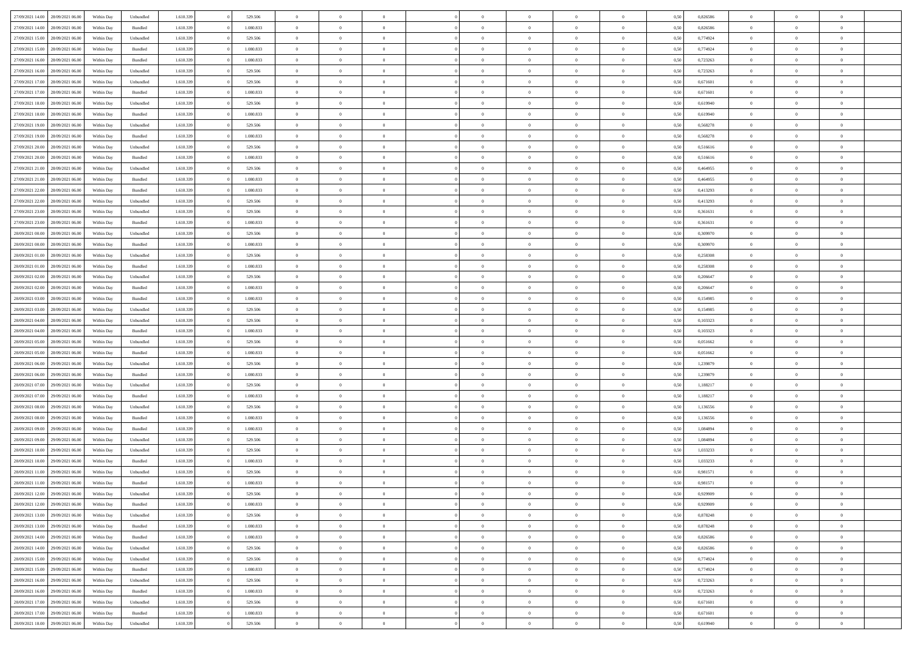| 27/09/2021 14:00                  | 28/09/2021 06:00 | Within Dav | Unbundled | 1.610.339 | 529.506   | $\overline{0}$ | $\Omega$       |                | $\Omega$       | $\Omega$       | $\Omega$       | $\theta$       | 0,50 | 0,826586 | $\theta$       | $\theta$       | $\theta$       |  |
|-----------------------------------|------------------|------------|-----------|-----------|-----------|----------------|----------------|----------------|----------------|----------------|----------------|----------------|------|----------|----------------|----------------|----------------|--|
| 27/09/2021 14:00                  | 28/09/2021 06:00 | Within Day | Bundled   | 1.610.339 | 1.080.833 | $\overline{0}$ | $\theta$       | $\overline{0}$ | $\overline{0}$ | $\bf{0}$       | $\overline{0}$ | $\bf{0}$       | 0,50 | 0,826586 | $\theta$       | $\theta$       | $\overline{0}$ |  |
| 27/09/2021 15:00                  | 28/09/2021 06:00 | Within Day | Unbundled | 1.610.339 | 529.506   | $\overline{0}$ | $\overline{0}$ | $\overline{0}$ | $\overline{0}$ | $\bf{0}$       | $\overline{0}$ | $\mathbf{0}$   | 0,50 | 0,774924 | $\bf{0}$       | $\overline{0}$ | $\overline{0}$ |  |
|                                   |                  |            |           |           |           |                |                |                |                |                |                |                |      |          | $\theta$       |                |                |  |
| 27/09/2021 15:00                  | 28/09/2021 06:00 | Within Dav | Bundled   | 1.610.339 | 1.080.833 | $\overline{0}$ | $\overline{0}$ | $\overline{0}$ | $\overline{0}$ | $\bf{0}$       | $\overline{0}$ | $\overline{0}$ | 0.50 | 0.774924 |                | $\theta$       | $\overline{0}$ |  |
| 27/09/2021 16:00                  | 28/09/2021 06:00 | Within Day | Bundled   | 1.610.339 | 1.080.833 | $\overline{0}$ | $\theta$       | $\overline{0}$ | $\overline{0}$ | $\bf{0}$       | $\overline{0}$ | $\bf{0}$       | 0,50 | 0,723263 | $\theta$       | $\theta$       | $\overline{0}$ |  |
| 27/09/2021 16:00                  | 28/09/2021 06:00 | Within Day | Unbundled | 1.610.339 | 529.506   | $\overline{0}$ | $\bf{0}$       | $\overline{0}$ | $\bf{0}$       | $\overline{0}$ | $\overline{0}$ | $\mathbf{0}$   | 0,50 | 0,723263 | $\overline{0}$ | $\overline{0}$ | $\bf{0}$       |  |
| 27/09/2021 17:00                  | 28/09/2021 06:00 | Within Dav | Unbundled | 1.610.339 | 529.506   | $\overline{0}$ | $\overline{0}$ | $\overline{0}$ | $\overline{0}$ | $\overline{0}$ | $\overline{0}$ | $\overline{0}$ | 0.50 | 0,671601 | $\theta$       | $\overline{0}$ | $\overline{0}$ |  |
|                                   |                  |            |           |           |           |                |                |                |                |                |                |                |      |          |                |                |                |  |
| 27/09/2021 17:00                  | 28/09/2021 06:00 | Within Day | Bundled   | 1.610.339 | 1.080.833 | $\overline{0}$ | $\theta$       | $\overline{0}$ | $\overline{0}$ | $\bf{0}$       | $\overline{0}$ | $\bf{0}$       | 0,50 | 0,671601 | $\theta$       | $\theta$       | $\overline{0}$ |  |
| 27/09/2021 18:00                  | 28/09/2021 06:00 | Within Day | Unbundled | 1.610.339 | 529.506   | $\overline{0}$ | $\overline{0}$ | $\overline{0}$ | $\bf{0}$       | $\bf{0}$       | $\bf{0}$       | $\bf{0}$       | 0,50 | 0,619940 | $\,0\,$        | $\overline{0}$ | $\overline{0}$ |  |
| 27/09/2021 18:00                  | 28/09/2021 06:00 | Within Dav | Bundled   | 1.610.339 | 1.080.833 | $\overline{0}$ | $\overline{0}$ | $\overline{0}$ | $\overline{0}$ | $\overline{0}$ | $\overline{0}$ | $\overline{0}$ | 0.50 | 0,619940 | $\theta$       | $\overline{0}$ | $\overline{0}$ |  |
| 27/09/2021 19:00                  | 28/09/2021 06:00 |            |           | 1.610.339 | 529.506   | $\overline{0}$ | $\theta$       | $\overline{0}$ | $\overline{0}$ | $\bf{0}$       | $\overline{0}$ |                |      | 0,568278 | $\,$ 0 $\,$    | $\theta$       | $\overline{0}$ |  |
|                                   |                  | Within Day | Unbundled |           |           |                |                |                |                |                |                | $\bf{0}$       | 0,50 |          |                |                |                |  |
| 27/09/2021 19:00                  | 28/09/2021 06:00 | Within Day | Bundled   | 1.610.339 | 1.080.833 | $\overline{0}$ | $\overline{0}$ | $\overline{0}$ | $\bf{0}$       | $\bf{0}$       | $\bf{0}$       | $\mathbf{0}$   | 0,50 | 0,568278 | $\overline{0}$ | $\overline{0}$ | $\overline{0}$ |  |
| 27/09/2021 20:00                  | 28/09/2021 06:00 | Within Day | Unbundled | 1.610.339 | 529.506   | $\overline{0}$ | $\overline{0}$ | $\overline{0}$ | $\overline{0}$ | $\bf{0}$       | $\overline{0}$ | $\overline{0}$ | 0.50 | 0.516616 | $\theta$       | $\theta$       | $\overline{0}$ |  |
| 27/09/2021 20:00                  | 28/09/2021 06:00 | Within Day | Bundled   | 1.610.339 | 1.080.833 | $\overline{0}$ | $\theta$       | $\overline{0}$ | $\overline{0}$ | $\bf{0}$       | $\overline{0}$ | $\bf{0}$       | 0,50 | 0,516616 | $\theta$       | $\theta$       | $\overline{0}$ |  |
|                                   |                  |            |           |           |           |                |                |                |                |                |                |                |      |          |                |                |                |  |
| 27/09/2021 21:00                  | 28/09/2021 06:00 | Within Day | Unbundled | 1.610.339 | 529.506   | $\overline{0}$ | $\bf{0}$       | $\overline{0}$ | $\bf{0}$       | $\overline{0}$ | $\overline{0}$ | $\mathbf{0}$   | 0,50 | 0,464955 | $\overline{0}$ | $\overline{0}$ | $\bf{0}$       |  |
| 27/09/2021 21:00                  | 28/09/2021 06:00 | Within Dav | Bundled   | 1.610.339 | 1.080.833 | $\overline{0}$ | $\overline{0}$ | $\overline{0}$ | $\overline{0}$ | $\overline{0}$ | $\overline{0}$ | $\overline{0}$ | 0.50 | 0,464955 | $\theta$       | $\overline{0}$ | $\overline{0}$ |  |
| 27/09/2021 22.00                  | 28/09/2021 06:00 | Within Day | Bundled   | 1.610.339 | 1.080.833 | $\overline{0}$ | $\theta$       | $\overline{0}$ | $\overline{0}$ | $\bf{0}$       | $\overline{0}$ | $\bf{0}$       | 0,50 | 0,413293 | $\theta$       | $\theta$       | $\overline{0}$ |  |
| 27/09/2021 22:00                  | 28/09/2021 06:00 | Within Day | Unbundled | 1.610.339 | 529.506   | $\overline{0}$ | $\overline{0}$ | $\overline{0}$ | $\bf{0}$       | $\bf{0}$       | $\bf{0}$       | $\mathbf{0}$   | 0,50 | 0,413293 | $\bf{0}$       | $\overline{0}$ | $\overline{0}$ |  |
|                                   |                  |            |           |           |           |                | $\overline{0}$ |                |                | $\overline{0}$ |                |                |      |          | $\theta$       | $\overline{0}$ | $\overline{0}$ |  |
| 27/09/2021 23:00                  | 28/09/2021 06:00 | Within Day | Unbundled | 1.610.339 | 529.506   | $\overline{0}$ |                | $\overline{0}$ | $\overline{0}$ |                | $\overline{0}$ | $\overline{0}$ | 0.50 | 0,361631 |                |                |                |  |
| 27/09/2021 23:00                  | 28/09/2021 06:00 | Within Day | Bundled   | 1.610.339 | 1.080.833 | $\overline{0}$ | $\theta$       | $\overline{0}$ | $\overline{0}$ | $\bf{0}$       | $\overline{0}$ | $\bf{0}$       | 0,50 | 0,361631 | $\,$ 0 $\,$    | $\theta$       | $\overline{0}$ |  |
| 28/09/2021 00:00                  | 28/09/2021 06:00 | Within Day | Unbundled | 1.610.339 | 529.506   | $\overline{0}$ | $\overline{0}$ | $\overline{0}$ | $\bf{0}$       | $\bf{0}$       | $\bf{0}$       | $\bf{0}$       | 0,50 | 0,309970 | $\bf{0}$       | $\overline{0}$ | $\overline{0}$ |  |
| 28/09/2021 00:00                  | 28/09/2021 06:00 | Within Day | Bundled   | 1.610.339 | 1.080.833 | $\overline{0}$ | $\overline{0}$ | $\overline{0}$ | $\overline{0}$ | $\bf{0}$       | $\overline{0}$ | $\overline{0}$ | 0.50 | 0,309970 | $\theta$       | $\theta$       | $\overline{0}$ |  |
|                                   |                  |            |           |           |           | $\overline{0}$ | $\theta$       | $\overline{0}$ | $\overline{0}$ | $\bf{0}$       | $\overline{0}$ |                |      |          | $\,$ 0 $\,$    | $\overline{0}$ | $\overline{0}$ |  |
| 28/09/2021 01:00                  | 28/09/2021 06:00 | Within Day | Unbundled | 1.610.339 | 529.506   |                |                |                |                |                |                | $\bf{0}$       | 0,50 | 0,258308 |                |                |                |  |
| 28/09/2021 01:00                  | 28/09/2021 06:00 | Within Day | Bundled   | 1.610.339 | 1.080.833 | $\overline{0}$ | $\bf{0}$       | $\overline{0}$ | $\bf{0}$       | $\overline{0}$ | $\overline{0}$ | $\mathbf{0}$   | 0,50 | 0,258308 | $\overline{0}$ | $\overline{0}$ | $\bf{0}$       |  |
| 28/09/2021 02:00                  | 28/09/2021 06:00 | Within Dav | Unbundled | 1.610.339 | 529.506   | $\overline{0}$ | $\overline{0}$ | $\overline{0}$ | $\overline{0}$ | $\overline{0}$ | $\overline{0}$ | $\overline{0}$ | 0.50 | 0.206647 | $\theta$       | $\overline{0}$ | $\overline{0}$ |  |
| 28/09/2021 02:00                  | 28/09/2021 06:00 | Within Day | Bundled   | 1.610.339 | 1.080.833 | $\overline{0}$ | $\theta$       | $\overline{0}$ | $\overline{0}$ | $\bf{0}$       | $\overline{0}$ | $\bf{0}$       | 0,50 | 0,206647 | $\theta$       | $\theta$       | $\overline{0}$ |  |
|                                   |                  |            |           |           |           |                |                |                |                |                |                |                |      |          |                |                |                |  |
| 28/09/2021 03:00                  | 28/09/2021 06:00 | Within Day | Bundled   | 1.610.339 | 1.080.833 | $\overline{0}$ | $\overline{0}$ | $\overline{0}$ | $\bf{0}$       | $\bf{0}$       | $\bf{0}$       | $\bf{0}$       | 0,50 | 0,154985 | $\,0\,$        | $\overline{0}$ | $\overline{0}$ |  |
| 28/09/2021 03:00                  | 28/09/2021 06:00 | Within Day | Unbundled | 1.610.339 | 529.506   | $\overline{0}$ | $\overline{0}$ | $\overline{0}$ | $\overline{0}$ | $\overline{0}$ | $\overline{0}$ | $\overline{0}$ | 0.50 | 0,154985 | $\theta$       | $\overline{0}$ | $\overline{0}$ |  |
| 28/09/2021 04:00                  | 28/09/2021 06:00 | Within Day | Unbundled | 1.610.339 | 529.506   | $\overline{0}$ | $\theta$       | $\overline{0}$ | $\overline{0}$ | $\bf{0}$       | $\overline{0}$ | $\bf{0}$       | 0,50 | 0,103323 | $\,$ 0 $\,$    | $\overline{0}$ | $\overline{0}$ |  |
| 28/09/2021 04:00                  | 28/09/2021 06:00 | Within Day | Bundled   | 1.610.339 | 1.080.833 | $\overline{0}$ | $\overline{0}$ | $\overline{0}$ | $\bf{0}$       | $\bf{0}$       | $\bf{0}$       | $\bf{0}$       | 0,50 | 0,103323 | $\overline{0}$ | $\overline{0}$ | $\overline{0}$ |  |
|                                   |                  |            |           |           |           | $\overline{0}$ | $\Omega$       |                | $\Omega$       | $\Omega$       |                |                |      | 0.051662 |                |                | $\theta$       |  |
| 28/09/2021 05:00                  | 28/09/2021 06:00 | Within Day | Unbundled | 1.610.339 | 529.506   |                |                | $\overline{0}$ |                |                | $\overline{0}$ | $\overline{0}$ | 0,50 |          | $\,0\,$        | $\theta$       |                |  |
| 28/09/2021 05:00                  | 28/09/2021 06:00 | Within Day | Bundled   | 1.610.339 | 1.080.833 | $\overline{0}$ | $\theta$       | $\overline{0}$ | $\overline{0}$ | $\bf{0}$       | $\overline{0}$ | $\bf{0}$       | 0,50 | 0,051662 | $\theta$       | $\theta$       | $\overline{0}$ |  |
| 28/09/2021 06:00                  | 29/09/2021 06:00 | Within Day | Unbundled | 1.610.339 | 529.506   | $\overline{0}$ | $\overline{0}$ | $\overline{0}$ | $\bf{0}$       | $\bf{0}$       | $\overline{0}$ | $\mathbf{0}$   | 0,50 | 1,239879 | $\overline{0}$ | $\overline{0}$ | $\bf{0}$       |  |
| 28/09/2021 06:00                  | 29/09/2021 06:00 | Within Day | Bundled   | 1.610.339 | 1.080.833 | $\overline{0}$ | $\Omega$       | $\Omega$       | $\Omega$       | $\bf{0}$       | $\overline{0}$ | $\overline{0}$ | 0.50 | 1,239879 | $\,0\,$        | $\theta$       | $\theta$       |  |
| 28/09/2021 07:00                  | 29/09/2021 06:00 |            |           | 1.610.339 | 529.506   | $\overline{0}$ | $\theta$       | $\overline{0}$ | $\overline{0}$ | $\bf{0}$       | $\overline{0}$ |                |      | 1,188217 | $\,$ 0 $\,$    | $\theta$       | $\overline{0}$ |  |
|                                   |                  | Within Day | Unbundled |           |           |                |                |                |                |                |                | $\bf{0}$       | 0,50 |          |                |                |                |  |
| 28/09/2021 07:00                  | 29/09/2021 06:00 | Within Day | Bundled   | 1.610.339 | 1.080.833 | $\overline{0}$ | $\overline{0}$ | $\overline{0}$ | $\bf{0}$       | $\bf{0}$       | $\bf{0}$       | $\bf{0}$       | 0,50 | 1,188217 | $\,0\,$        | $\overline{0}$ | $\overline{0}$ |  |
| 28/09/2021 08:00                  | 29/09/2021 06:00 | Within Day | Unbundled | 1.610.339 | 529.506   | $\overline{0}$ | $\Omega$       | $\overline{0}$ | $\Omega$       | $\theta$       | $\overline{0}$ | $\overline{0}$ | 0.50 | 1,136556 | $\theta$       | $\theta$       | $\theta$       |  |
| 28/09/2021 08:00                  | 29/09/2021 06:00 | Within Day | Bundled   | 1.610.339 | 1.080.833 | $\overline{0}$ | $\theta$       | $\overline{0}$ | $\overline{0}$ | $\bf{0}$       | $\overline{0}$ | $\bf{0}$       | 0,50 | 1,136556 | $\,$ 0 $\,$    | $\overline{0}$ | $\overline{0}$ |  |
|                                   |                  |            |           |           |           |                |                |                |                |                |                |                |      |          |                |                |                |  |
| 28/09/2021 09:00                  | 29/09/2021 06:00 | Within Day | Bundled   | 1.610.339 | 1.080.833 | $\overline{0}$ | $\overline{0}$ | $\overline{0}$ | $\bf{0}$       | $\bf{0}$       | $\bf{0}$       | $\bf{0}$       | 0,50 | 1,084894 | $\bf{0}$       | $\overline{0}$ | $\overline{0}$ |  |
| 28/09/2021 09:00                  | 29/09/2021 06:00 | Within Day | Unbundled | 1.610.339 | 529.506   | $\overline{0}$ | $\Omega$       | $\overline{0}$ | $\Omega$       | $\Omega$       | $\overline{0}$ | $\overline{0}$ | 0,50 | 1,084894 | $\,0\,$        | $\theta$       | $\theta$       |  |
| 28/09/2021 10:00                  | 29/09/2021 06:00 | Within Day | Unbundled | 1.610.339 | 529.506   | $\overline{0}$ | $\theta$       | $\overline{0}$ | $\overline{0}$ | $\bf{0}$       | $\overline{0}$ | $\bf{0}$       | 0,50 | 1,033233 | $\,$ 0 $\,$    | $\overline{0}$ | $\overline{0}$ |  |
| 28/09/2021 10:00                  | 29/09/2021 06:00 | Within Day | Bundled   | 1.610.339 | 1.080.833 | $\overline{0}$ | $\overline{0}$ | $\overline{0}$ | $\overline{0}$ | $\bf{0}$       | $\overline{0}$ | $\mathbf{0}$   | 0,50 | 1,033233 | $\bf{0}$       | $\overline{0}$ | $\bf{0}$       |  |
|                                   | 29/09/2021 06:00 |            |           |           |           | $\overline{0}$ | $\Omega$       | $\Omega$       | $\Omega$       | $\Omega$       | $\Omega$       | $\overline{0}$ | 0.50 | 0.981571 | $\theta$       | $\theta$       | $\theta$       |  |
| 28/09/2021 11:00                  |                  | Within Day | Unbundled | 1.610.339 | 529.506   |                |                |                |                |                |                |                |      |          |                |                |                |  |
| 28/09/2021 11:00                  | 29/09/2021 06:00 | Within Day | Bundled   | 1.610.339 | 1.080.833 | $\overline{0}$ | $\overline{0}$ | $\overline{0}$ | $\bf{0}$       | $\,$ 0         | $\overline{0}$ | $\bf{0}$       | 0,50 | 0,981571 | $\,0\,$        | $\overline{0}$ | $\overline{0}$ |  |
| 28/09/2021 12:00                  | 29/09/2021 06:00 | Within Day | Unbundled | 1.610.339 | 529.506   | $\bf{0}$       | $\bf{0}$       |                |                |                |                |                | 0,50 | 0,929909 | $\bf{0}$       | $\overline{0}$ |                |  |
| 28/09/2021 12:00                  | 29/09/2021 06:00 | Within Day | Bundled   | 1.610.339 | 1.080.833 | $\overline{0}$ | $\overline{0}$ | $\overline{0}$ | $\Omega$       | $\overline{0}$ | $\overline{0}$ | $\overline{0}$ | 0.50 | 0,929909 | $\theta$       | $\theta$       | $\theta$       |  |
| 28/09/2021 13:00                  | 29/09/2021 06.00 | Within Day | Unbundled | 1.610.339 | 529.506   | $\overline{0}$ | $\,$ 0         | $\overline{0}$ | $\overline{0}$ | $\,$ 0 $\,$    | $\overline{0}$ | $\,$ 0 $\,$    | 0,50 | 0,878248 | $\,$ 0 $\,$    | $\,$ 0 $\,$    | $\,$ 0         |  |
|                                   |                  |            |           |           |           |                |                |                |                |                |                |                |      |          |                |                |                |  |
| 28/09/2021 13:00                  | 29/09/2021 06:00 | Within Day | Bundled   | 1.610.339 | 1.080.833 | $\overline{0}$ | $\overline{0}$ | $\overline{0}$ | $\overline{0}$ | $\overline{0}$ | $\overline{0}$ | $\mathbf{0}$   | 0,50 | 0,878248 | $\overline{0}$ | $\bf{0}$       | $\bf{0}$       |  |
| 28/09/2021 14:00                  | 29/09/2021 06:00 | Within Day | Bundled   | 1.610.339 | 1.080.833 | $\overline{0}$ | $\overline{0}$ | $\overline{0}$ | $\Omega$       | $\overline{0}$ | $\overline{0}$ | $\overline{0}$ | 0,50 | 0,826586 | $\overline{0}$ | $\theta$       | $\overline{0}$ |  |
| 28/09/2021 14:00                  | 29/09/2021 06.00 | Within Day | Unbundled | 1.610.339 | 529.506   | $\overline{0}$ | $\,$ 0         | $\overline{0}$ | $\overline{0}$ | $\,$ 0 $\,$    | $\overline{0}$ | $\mathbf{0}$   | 0,50 | 0,826586 | $\,$ 0 $\,$    | $\overline{0}$ | $\overline{0}$ |  |
| 28/09/2021 15:00                  | 29/09/2021 06:00 | Within Day | Unbundled | 1.610.339 | 529.506   | $\overline{0}$ | $\overline{0}$ | $\overline{0}$ | $\overline{0}$ | $\overline{0}$ | $\overline{0}$ | $\mathbf{0}$   | 0,50 | 0,774924 | $\overline{0}$ | $\overline{0}$ | $\bf{0}$       |  |
|                                   |                  |            |           |           |           |                |                |                |                |                |                |                |      |          |                |                |                |  |
| 28/09/2021 15:00                  | 29/09/2021 06:00 | Within Day | Bundled   | 1.610.339 | 1.080.833 | $\overline{0}$ | $\overline{0}$ | $\overline{0}$ | $\Omega$       | $\overline{0}$ | $\overline{0}$ | $\bf{0}$       | 0.50 | 0,774924 | $\overline{0}$ | $\theta$       | $\overline{0}$ |  |
| 28/09/2021 16:00                  | 29/09/2021 06.00 | Within Day | Unbundled | 1.610.339 | 529.506   | $\overline{0}$ | $\,$ 0         | $\overline{0}$ | $\bf{0}$       | $\bf{0}$       | $\bf{0}$       | $\bf{0}$       | 0,50 | 0,723263 | $\,$ 0 $\,$    | $\overline{0}$ | $\overline{0}$ |  |
| 28/09/2021 16:00                  | 29/09/2021 06:00 | Within Day | Bundled   | 1.610.339 | 1.080.833 | $\overline{0}$ | $\bf{0}$       | $\overline{0}$ | $\overline{0}$ | $\overline{0}$ | $\overline{0}$ | $\mathbf{0}$   | 0,50 | 0,723263 | $\overline{0}$ | $\overline{0}$ | $\bf{0}$       |  |
| 28/09/2021 17:00                  | 29/09/2021 06:00 | Within Day | Unbundled | 1.610.339 | 529.506   | $\overline{0}$ | $\overline{0}$ | $\overline{0}$ | $\Omega$       | $\overline{0}$ | $\overline{0}$ | $\overline{0}$ | 0.50 | 0,671601 | $\overline{0}$ | $\overline{0}$ | $\overline{0}$ |  |
|                                   |                  |            |           |           |           |                |                |                |                |                |                |                |      |          |                |                |                |  |
| 28/09/2021 17:00                  | 29/09/2021 06.00 | Within Day | Bundled   | 1.610.339 | 1.080.833 | $\overline{0}$ | $\bf{0}$       | $\overline{0}$ | $\bf{0}$       | $\bf{0}$       | $\bf{0}$       | $\mathbf{0}$   | 0,50 | 0,671601 | $\,$ 0 $\,$    | $\,$ 0 $\,$    | $\bf{0}$       |  |
| 28/09/2021 18:00 29/09/2021 06:00 |                  | Within Day | Unbundled | 1.610.339 | 529.506   | $\overline{0}$ | $\overline{0}$ | $\overline{0}$ | $\overline{0}$ | $\overline{0}$ | $\bf{0}$       | $\mathbf{0}$   | 0,50 | 0,619940 | $\overline{0}$ | $\bf{0}$       | $\bf{0}$       |  |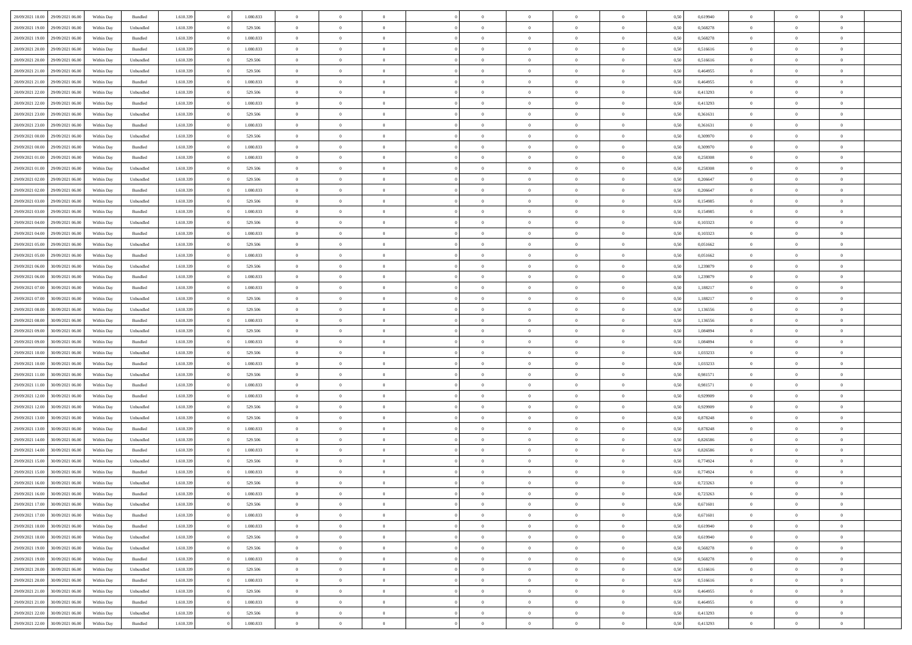| 28/09/2021 18:00 | 29/09/2021 06:00 | Within Day | Bundled            | 1.610.339 | 1.080.833 | $\overline{0}$ | $\Omega$       |                | $\Omega$       | $\Omega$       | $\Omega$       | $\theta$       | 0,50 | 0,619940 | $\theta$       | $\theta$       | $\theta$       |  |
|------------------|------------------|------------|--------------------|-----------|-----------|----------------|----------------|----------------|----------------|----------------|----------------|----------------|------|----------|----------------|----------------|----------------|--|
| 28/09/2021 19:00 | 29/09/2021 06:00 | Within Day | Unbundled          | 1.610.339 | 529.506   | $\overline{0}$ | $\theta$       | $\overline{0}$ | $\overline{0}$ | $\bf{0}$       | $\overline{0}$ | $\bf{0}$       | 0,50 | 0,568278 | $\theta$       | $\theta$       | $\overline{0}$ |  |
| 28/09/2021 19:00 | 29/09/2021 06:00 | Within Day | Bundled            | 1.610.339 | 1.080.833 | $\overline{0}$ | $\overline{0}$ | $\overline{0}$ | $\bf{0}$       | $\bf{0}$       | $\bf{0}$       | $\bf{0}$       | 0,50 | 0,568278 | $\bf{0}$       | $\overline{0}$ | $\overline{0}$ |  |
| 28/09/2021 20:00 | 29/09/2021 06:00 | Within Dav | Bundled            | 1.610.339 | 1.080.833 | $\overline{0}$ | $\overline{0}$ | $\overline{0}$ | $\overline{0}$ | $\bf{0}$       | $\overline{0}$ | $\overline{0}$ | 0.50 | 0.516616 | $\theta$       | $\theta$       | $\overline{0}$ |  |
| 28/09/2021 20:00 | 29/09/2021 06:00 | Within Day | Unbundled          | 1.610.339 | 529.506   | $\overline{0}$ | $\theta$       | $\overline{0}$ | $\overline{0}$ | $\bf{0}$       | $\overline{0}$ | $\bf{0}$       | 0,50 | 0,516616 | $\theta$       | $\theta$       | $\overline{0}$ |  |
|                  |                  |            |                    |           |           |                |                |                |                |                |                |                |      |          |                |                |                |  |
| 28/09/2021 21:00 | 29/09/2021 06:00 | Within Day | Unbundled          | 1.610.339 | 529.506   | $\overline{0}$ | $\bf{0}$       | $\overline{0}$ | $\bf{0}$       | $\overline{0}$ | $\overline{0}$ | $\mathbf{0}$   | 0,50 | 0,464955 | $\overline{0}$ | $\overline{0}$ | $\bf{0}$       |  |
| 28/09/2021 21:00 | 29/09/2021 06:00 | Within Dav | Bundled            | 1.610.339 | 1.080.833 | $\overline{0}$ | $\overline{0}$ | $\overline{0}$ | $\overline{0}$ | $\overline{0}$ | $\overline{0}$ | $\overline{0}$ | 0.50 | 0,464955 | $\theta$       | $\overline{0}$ | $\overline{0}$ |  |
| 28/09/2021 22:00 | 29/09/2021 06:00 | Within Day | Unbundled          | 1.610.339 | 529.506   | $\overline{0}$ | $\theta$       | $\overline{0}$ | $\overline{0}$ | $\bf{0}$       | $\overline{0}$ | $\bf{0}$       | 0,50 | 0,413293 | $\theta$       | $\theta$       | $\overline{0}$ |  |
| 28/09/2021 22:00 | 29/09/2021 06:00 | Within Day | Bundled            | 1.610.339 | 1.080.833 | $\overline{0}$ | $\overline{0}$ | $\overline{0}$ | $\bf{0}$       | $\bf{0}$       | $\bf{0}$       | $\bf{0}$       | 0,50 | 0,413293 | $\,0\,$        | $\overline{0}$ | $\overline{0}$ |  |
|                  |                  |            |                    |           |           |                | $\overline{0}$ |                |                | $\overline{0}$ |                |                |      |          | $\theta$       | $\overline{0}$ | $\overline{0}$ |  |
| 28/09/2021 23:00 | 29/09/2021 06:00 | Within Dav | Unbundled          | 1.610.339 | 529.506   | $\overline{0}$ |                | $\overline{0}$ | $\overline{0}$ |                | $\overline{0}$ | $\overline{0}$ | 0.50 | 0,361631 |                |                |                |  |
| 28/09/2021 23:00 | 29/09/2021 06:00 | Within Day | Bundled            | 1.610.339 | 1.080.833 | $\overline{0}$ | $\theta$       | $\overline{0}$ | $\overline{0}$ | $\bf{0}$       | $\overline{0}$ | $\bf{0}$       | 0,50 | 0,361631 | $\,$ 0 $\,$    | $\overline{0}$ | $\overline{0}$ |  |
| 29/09/2021 00:00 | 29/09/2021 06:00 | Within Day | Unbundled          | 1.610.339 | 529.506   | $\overline{0}$ | $\overline{0}$ | $\overline{0}$ | $\bf{0}$       | $\bf{0}$       | $\bf{0}$       | $\bf{0}$       | 0,50 | 0,309970 | $\overline{0}$ | $\overline{0}$ | $\overline{0}$ |  |
| 29/09/2021 00:00 | 29/09/2021 06:00 | Within Day | Bundled            | 1.610.339 | 1.080.833 | $\overline{0}$ | $\overline{0}$ | $\overline{0}$ | $\overline{0}$ | $\bf{0}$       | $\overline{0}$ | $\overline{0}$ | 0.50 | 0,309970 | $\theta$       | $\theta$       | $\overline{0}$ |  |
| 29/09/2021 01:00 | 29/09/2021 06:00 | Within Day | Bundled            | 1.610.339 | 1.080.833 | $\overline{0}$ | $\theta$       | $\overline{0}$ | $\overline{0}$ | $\bf{0}$       | $\overline{0}$ | $\bf{0}$       | 0,50 | 0,258308 | $\theta$       | $\theta$       | $\overline{0}$ |  |
|                  |                  |            |                    |           |           |                |                |                |                |                |                |                |      |          |                |                |                |  |
| 29/09/2021 01:00 | 29/09/2021 06:00 | Within Day | Unbundled          | 1.610.339 | 529.506   | $\overline{0}$ | $\overline{0}$ | $\overline{0}$ | $\bf{0}$       | $\overline{0}$ | $\overline{0}$ | $\mathbf{0}$   | 0,50 | 0,258308 | $\overline{0}$ | $\overline{0}$ | $\bf{0}$       |  |
| 29/09/2021 02:00 | 29/09/2021 06:00 | Within Dav | Unbundled          | 1.610.339 | 529.506   | $\overline{0}$ | $\overline{0}$ | $\overline{0}$ | $\overline{0}$ | $\overline{0}$ | $\overline{0}$ | $\overline{0}$ | 0.50 | 0.206647 | $\theta$       | $\overline{0}$ | $\overline{0}$ |  |
| 29/09/2021 02:00 | 29/09/2021 06:00 | Within Day | Bundled            | 1.610.339 | 1.080.833 | $\overline{0}$ | $\theta$       | $\overline{0}$ | $\overline{0}$ | $\bf{0}$       | $\overline{0}$ | $\bf{0}$       | 0,50 | 0,206647 | $\theta$       | $\theta$       | $\overline{0}$ |  |
| 29/09/2021 03:00 | 29/09/2021 06:00 | Within Day | Unbundled          | 1.610.339 | 529.506   | $\overline{0}$ | $\overline{0}$ | $\overline{0}$ | $\bf{0}$       | $\bf{0}$       | $\bf{0}$       | $\bf{0}$       | 0,50 | 0,154985 | $\,0\,$        | $\overline{0}$ | $\overline{0}$ |  |
| 29/09/2021 03:00 | 29/09/2021 06:00 | Within Day | Bundled            | 1.610.339 | 1.080.833 | $\overline{0}$ | $\overline{0}$ | $\overline{0}$ | $\overline{0}$ | $\overline{0}$ | $\overline{0}$ | $\overline{0}$ | 0.50 | 0,154985 | $\theta$       | $\overline{0}$ | $\overline{0}$ |  |
| 29/09/2021 04:00 | 29/09/2021 06:00 | Within Day | Unbundled          | 1.610.339 | 529.506   | $\overline{0}$ | $\theta$       | $\overline{0}$ | $\overline{0}$ | $\bf{0}$       | $\overline{0}$ | $\bf{0}$       | 0,50 | 0,103323 | $\,$ 0 $\,$    | $\theta$       | $\overline{0}$ |  |
|                  |                  |            |                    |           |           |                |                |                |                |                |                |                |      |          |                |                |                |  |
| 29/09/2021 04:00 | 29/09/2021 06:00 | Within Day | Bundled            | 1.610.339 | 1.080.833 | $\overline{0}$ | $\overline{0}$ | $\overline{0}$ | $\bf{0}$       | $\bf{0}$       | $\bf{0}$       | $\bf{0}$       | 0,50 | 0,103323 | $\bf{0}$       | $\overline{0}$ | $\overline{0}$ |  |
| 29/09/2021 05:00 | 29/09/2021 06:00 | Within Day | Unbundled          | 1.610.339 | 529.506   | $\overline{0}$ | $\overline{0}$ | $\overline{0}$ | $\overline{0}$ | $\bf{0}$       | $\overline{0}$ | $\overline{0}$ | 0.50 | 0.051662 | $\theta$       | $\overline{0}$ | $\overline{0}$ |  |
| 29/09/2021 05:00 | 29/09/2021 06:00 | Within Day | Bundled            | 1.610.339 | 1.080.833 | $\overline{0}$ | $\theta$       | $\overline{0}$ | $\overline{0}$ | $\bf{0}$       | $\overline{0}$ | $\bf{0}$       | 0,50 | 0,051662 | $\theta$       | $\overline{0}$ | $\overline{0}$ |  |
| 29/09/2021 06:00 | 30/09/2021 06:00 | Within Day | Unbundled          | 1.610.339 | 529.506   | $\overline{0}$ | $\bf{0}$       | $\overline{0}$ | $\bf{0}$       | $\overline{0}$ | $\overline{0}$ | $\mathbf{0}$   | 0,50 | 1,239879 | $\overline{0}$ | $\overline{0}$ | $\bf{0}$       |  |
| 29/09/2021 06:00 | 30/09/2021 06:00 | Within Dav | Bundled            | 1.610.339 | 1.080.833 | $\overline{0}$ | $\overline{0}$ | $\overline{0}$ | $\overline{0}$ | $\overline{0}$ | $\overline{0}$ | $\overline{0}$ | 0.50 | 1,239879 | $\theta$       | $\overline{0}$ | $\overline{0}$ |  |
| 29/09/2021 07:00 | 30/09/2021 06:00 | Within Day | Bundled            | 1.610.339 | 1.080.833 | $\overline{0}$ | $\theta$       | $\overline{0}$ | $\overline{0}$ | $\bf{0}$       | $\overline{0}$ | $\bf{0}$       | 0,50 | 1,188217 | $\theta$       | $\theta$       | $\overline{0}$ |  |
|                  |                  |            |                    |           |           |                |                |                |                |                |                |                |      |          |                |                |                |  |
| 29/09/2021 07:00 | 30/09/2021 06:00 | Within Day | Unbundled          | 1.610.339 | 529.506   | $\overline{0}$ | $\overline{0}$ | $\overline{0}$ | $\bf{0}$       | $\bf{0}$       | $\bf{0}$       | $\bf{0}$       | 0,50 | 1,188217 | $\,0\,$        | $\overline{0}$ | $\overline{0}$ |  |
| 29/09/2021 08:00 | 30/09/2021 06:00 | Within Day | Unbundled          | 1.610.339 | 529.506   | $\overline{0}$ | $\overline{0}$ | $\overline{0}$ | $\overline{0}$ | $\overline{0}$ | $\overline{0}$ | $\overline{0}$ | 0.50 | 1,136556 | $\theta$       | $\overline{0}$ | $\overline{0}$ |  |
| 29/09/2021 08:00 | 30/09/2021 06:00 | Within Day | Bundled            | 1.610.339 | 1.080.833 | $\overline{0}$ | $\theta$       | $\overline{0}$ | $\overline{0}$ | $\bf{0}$       | $\overline{0}$ | $\bf{0}$       | 0,50 | 1,136556 | $\,$ 0 $\,$    | $\overline{0}$ | $\overline{0}$ |  |
| 29/09/2021 09:00 | 30/09/2021 06:00 | Within Day | Unbundled          | 1.610.339 | 529.506   | $\overline{0}$ | $\overline{0}$ | $\overline{0}$ | $\bf{0}$       | $\bf{0}$       | $\bf{0}$       | $\bf{0}$       | 0,50 | 1,084894 | $\overline{0}$ | $\overline{0}$ | $\overline{0}$ |  |
| 29/09/2021 09:00 | 30/09/2021 06:00 | Within Day | Bundled            | 1.610.339 | 1.080.833 | $\overline{0}$ | $\Omega$       | $\Omega$       | $\Omega$       | $\Omega$       | $\Omega$       | $\overline{0}$ | 0.50 | 1,084894 | $\,0\,$        | $\theta$       | $\theta$       |  |
| 29/09/2021 10:00 | 30/09/2021 06:00 | Within Day | Unbundled          | 1.610.339 | 529.506   | $\overline{0}$ | $\theta$       | $\overline{0}$ | $\overline{0}$ | $\bf{0}$       | $\overline{0}$ | $\bf{0}$       | 0,50 | 1,033233 | $\theta$       | $\theta$       | $\overline{0}$ |  |
| 29/09/2021 10:00 | 30/09/2021 06:00 | Within Day | Bundled            | 1.610.339 | 1.080.833 | $\overline{0}$ | $\overline{0}$ | $\overline{0}$ | $\bf{0}$       | $\bf{0}$       | $\overline{0}$ | $\mathbf{0}$   | 0,50 | 1,033233 | $\overline{0}$ | $\overline{0}$ | $\bf{0}$       |  |
|                  |                  |            |                    |           |           |                |                |                |                |                |                |                |      |          |                |                |                |  |
| 29/09/2021 11:00 | 30/09/2021 06:00 | Within Day | Unbundled          | 1.610.339 | 529.506   | $\overline{0}$ | $\Omega$       | $\Omega$       | $\Omega$       | $\bf{0}$       | $\overline{0}$ | $\overline{0}$ | 0.50 | 0,981571 | $\,0\,$        | $\theta$       | $\theta$       |  |
| 29/09/2021 11:00 | 30/09/2021 06:00 | Within Day | Bundled            | 1.610.339 | 1.080.833 | $\overline{0}$ | $\theta$       | $\overline{0}$ | $\overline{0}$ | $\bf{0}$       | $\overline{0}$ | $\bf{0}$       | 0,50 | 0,981571 | $\,$ 0 $\,$    | $\theta$       | $\overline{0}$ |  |
| 29/09/2021 12:00 | 30/09/2021 06:00 | Within Day | Bundled            | 1.610.339 | 1.080.833 | $\overline{0}$ | $\overline{0}$ | $\overline{0}$ | $\overline{0}$ | $\bf{0}$       | $\overline{0}$ | $\bf{0}$       | 0,50 | 0,929909 | $\,0\,$        | $\overline{0}$ | $\overline{0}$ |  |
| 29/09/2021 12:00 | 30/09/2021 06:00 | Within Day | Unbundled          | 1.610.339 | 529.506   | $\overline{0}$ | $\Omega$       | $\Omega$       | $\Omega$       | $\theta$       | $\theta$       | $\overline{0}$ | 0.50 | 0,929909 | $\theta$       | $\theta$       | $\theta$       |  |
| 29/09/2021 13:00 | 30/09/2021 06:00 | Within Day | Unbundled          | 1.610.339 | 529.506   | $\overline{0}$ | $\theta$       | $\overline{0}$ | $\overline{0}$ | $\bf{0}$       | $\overline{0}$ | $\bf{0}$       | 0,50 | 0,878248 | $\,$ 0 $\,$    | $\overline{0}$ | $\overline{0}$ |  |
| 29/09/2021 13:00 | 30/09/2021 06:00 | Within Day | Bundled            | 1.610.339 | 1.080.833 | $\overline{0}$ | $\overline{0}$ | $\overline{0}$ | $\overline{0}$ | $\bf{0}$       | $\overline{0}$ | $\bf{0}$       | 0,50 | 0,878248 | $\bf{0}$       | $\overline{0}$ | $\overline{0}$ |  |
|                  |                  |            |                    |           |           |                |                |                |                |                |                |                |      |          |                |                |                |  |
| 29/09/2021 14:00 | 30/09/2021 06:00 | Within Day | Unbundled          | 1.610.339 | 529.506   | $\overline{0}$ | $\Omega$       | $\overline{0}$ | $\Omega$       | $\Omega$       | $\overline{0}$ | $\overline{0}$ | 0.50 | 0,826586 | $\,0\,$        | $\theta$       | $\theta$       |  |
| 29/09/2021 14:00 | 30/09/2021 06:00 | Within Day | Bundled            | 1.610.339 | 1.080.833 | $\overline{0}$ | $\theta$       | $\overline{0}$ | $\overline{0}$ | $\bf{0}$       | $\overline{0}$ | $\bf{0}$       | 0,50 | 0,826586 | $\,$ 0 $\,$    | $\overline{0}$ | $\overline{0}$ |  |
| 29/09/2021 15:00 | 30/09/2021 06:00 | Within Day | Unbundled          | 1.610.339 | 529.506   | $\overline{0}$ | $\overline{0}$ | $\overline{0}$ | $\bf{0}$       | $\bf{0}$       | $\bf{0}$       | $\mathbf{0}$   | 0,50 | 0,774924 | $\overline{0}$ | $\overline{0}$ | $\bf{0}$       |  |
| 29/09/2021 15:00 | 30/09/2021 06:00 | Within Day | Bundled            | 1.610.339 | 1.080.833 | $\overline{0}$ | $\Omega$       | $\Omega$       | $\Omega$       | $\Omega$       | $\Omega$       | $\overline{0}$ | 0.50 | 0,774924 | $\theta$       | $\theta$       | $\theta$       |  |
| 29/09/2021 16:00 | 30/09/2021 06:00 | Within Day | Unbundled          | 1.610.339 | 529.506   | $\overline{0}$ | $\overline{0}$ | $\overline{0}$ | $\bf{0}$       | $\,$ 0         | $\bf{0}$       | $\bf{0}$       | 0,50 | 0,723263 | $\,0\,$        | $\overline{0}$ | $\overline{0}$ |  |
| 29/09/2021 16:00 | 30/09/2021 06:00 | Within Day | $\mathbf B$ undled | 1.610.339 | 1.080.833 | $\bf{0}$       | $\bf{0}$       |                |                |                |                |                | 0,50 | 0,723263 | $\bf{0}$       | $\overline{0}$ |                |  |
|                  |                  |            |                    |           |           |                |                |                |                |                |                |                |      |          |                |                |                |  |
| 29/09/2021 17:00 | 30/09/2021 06:00 | Within Day | Unbundled          | 1.610.339 | 529.506   | $\overline{0}$ | $\overline{0}$ | $\overline{0}$ | $\Omega$       | $\overline{0}$ | $\overline{0}$ | $\overline{0}$ | 0.50 | 0.671601 | $\theta$       | $\theta$       | $\theta$       |  |
| 29/09/2021 17:00 | 30/09/2021 06:00 | Within Day | Bundled            | 1.610.339 | 1.080.833 | $\overline{0}$ | $\,$ 0         | $\overline{0}$ | $\bf{0}$       | $\,$ 0 $\,$    | $\overline{0}$ | $\,$ 0 $\,$    | 0,50 | 0,671601 | $\,$ 0 $\,$    | $\,$ 0 $\,$    | $\,$ 0         |  |
| 29/09/2021 18:00 | 30/09/2021 06:00 | Within Day | Bundled            | 1.610.339 | 1.080.833 | $\overline{0}$ | $\overline{0}$ | $\overline{0}$ | $\overline{0}$ | $\overline{0}$ | $\overline{0}$ | $\mathbf{0}$   | 0,50 | 0,619940 | $\overline{0}$ | $\bf{0}$       | $\bf{0}$       |  |
| 29/09/2021 18:00 | 30/09/2021 06:00 | Within Day | Unbundled          | 1.610.339 | 529.506   | $\overline{0}$ | $\overline{0}$ | $\overline{0}$ | $\Omega$       | $\overline{0}$ | $\overline{0}$ | $\overline{0}$ | 0,50 | 0,619940 | $\overline{0}$ | $\theta$       | $\overline{0}$ |  |
| 29/09/2021 19:00 | 30/09/2021 06:00 | Within Day | Unbundled          | 1.610.339 | 529.506   | $\overline{0}$ | $\,$ 0         | $\overline{0}$ | $\overline{0}$ | $\,$ 0 $\,$    | $\overline{0}$ | $\mathbf{0}$   | 0,50 | 0,568278 | $\,$ 0 $\,$    | $\overline{0}$ | $\overline{0}$ |  |
| 29/09/2021 19:00 | 30/09/2021 06:00 | Within Day | Bundled            | 1.610.339 | 1.080.833 | $\overline{0}$ | $\overline{0}$ | $\overline{0}$ | $\overline{0}$ | $\overline{0}$ | $\overline{0}$ | $\mathbf{0}$   | 0,50 | 0,568278 | $\overline{0}$ | $\overline{0}$ | $\bf{0}$       |  |
|                  |                  |            |                    |           |           |                |                |                |                |                |                |                |      |          |                |                |                |  |
| 29/09/2021 20:00 | 30/09/2021 06:00 | Within Day | Unbundled          | 1.610.339 | 529.506   | $\overline{0}$ | $\overline{0}$ | $\overline{0}$ | $\Omega$       | $\overline{0}$ | $\overline{0}$ | $\bf{0}$       | 0.50 | 0,516616 | $\overline{0}$ | $\theta$       | $\overline{0}$ |  |
| 29/09/2021 20:00 | 30/09/2021 06:00 | Within Day | Bundled            | 1.610.339 | 1.080.833 | $\overline{0}$ | $\,$ 0         | $\overline{0}$ | $\bf{0}$       | $\bf{0}$       | $\bf{0}$       | $\bf{0}$       | 0,50 | 0,516616 | $\,$ 0 $\,$    | $\overline{0}$ | $\overline{0}$ |  |
| 29/09/2021 21:00 | 30/09/2021 06:00 | Within Day | Unbundled          | 1.610.339 | 529.506   | $\overline{0}$ | $\bf{0}$       | $\overline{0}$ | $\overline{0}$ | $\overline{0}$ | $\overline{0}$ | $\mathbf{0}$   | 0,50 | 0,464955 | $\overline{0}$ | $\overline{0}$ | $\bf{0}$       |  |
| 29/09/2021 21:00 | 30/09/2021 06:00 | Within Day | Bundled            | 1.610.339 | 1.080.833 | $\overline{0}$ | $\overline{0}$ | $\overline{0}$ | $\Omega$       | $\overline{0}$ | $\overline{0}$ | $\overline{0}$ | 0.50 | 0.464955 | $\overline{0}$ | $\overline{0}$ | $\overline{0}$ |  |
| 29/09/2021 22:00 | 30/09/2021 06:00 | Within Day | Unbundled          | 1.610.339 | 529.506   | $\overline{0}$ | $\bf{0}$       | $\overline{0}$ | $\overline{0}$ | $\bf{0}$       | $\bf{0}$       | $\bf{0}$       | 0,50 | 0,413293 | $\,$ 0 $\,$    | $\,$ 0 $\,$    | $\bf{0}$       |  |
| 29/09/2021 22:00 | 30/09/2021 06:00 | Within Day | Bundled            | 1.610.339 | 1.080.833 | $\overline{0}$ | $\bf{0}$       | $\overline{0}$ | $\bf{0}$       | $\bf{0}$       | $\bf{0}$       | $\bf{0}$       | 0,50 | 0,413293 | $\overline{0}$ | $\overline{0}$ | $\bf{0}$       |  |
|                  |                  |            |                    |           |           |                |                |                |                |                |                |                |      |          |                |                |                |  |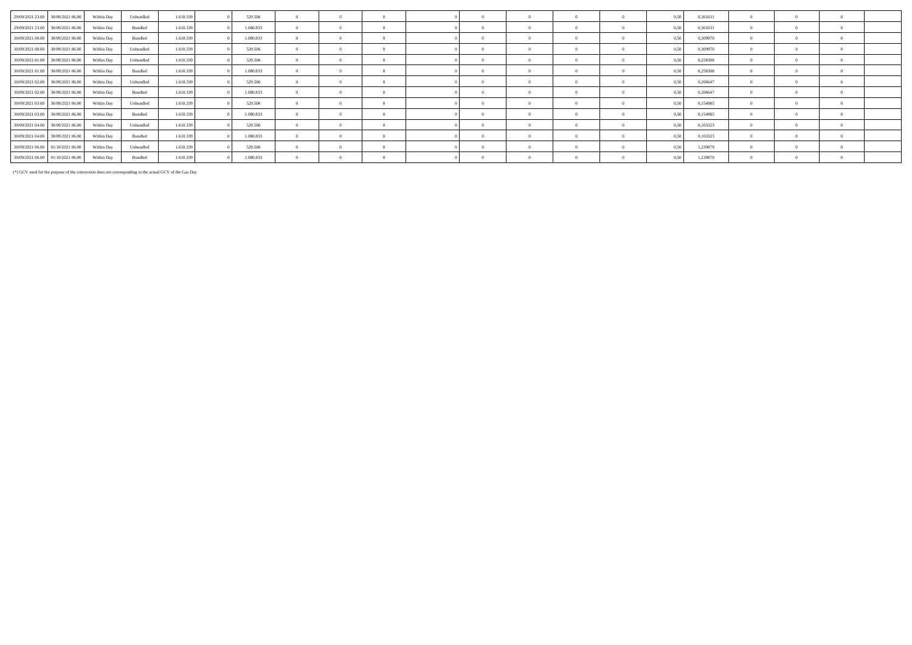| 29/09/2021 23:00 30/09/2021 06:00 | Within Day | Unbundled | 1.610.339 | 529.506   |            | $\Omega$       |                |                |          |          | 0,50 | 0,361631 |            |                |  |
|-----------------------------------|------------|-----------|-----------|-----------|------------|----------------|----------------|----------------|----------|----------|------|----------|------------|----------------|--|
| 29/09/2021 23:00 30/09/2021 06:00 | Within Day | Bundled   | 1.610.339 | 1.080.833 | $\Omega$   | $\overline{0}$ | $\overline{0}$ | $\overline{0}$ |          |          | 0,50 | 0,361631 | $^{\circ}$ | $\overline{0}$ |  |
| 30/09/2021 00:00 30/09/2021 06:00 | Within Day | Bundled   | 1.610.339 | 1.080.833 | $^{\circ}$ |                | $^{\circ}$     | $\Omega$       |          |          | 0,50 | 0,309970 |            | $\Omega$       |  |
| 30/09/2021 00:00 30/09/2021 06:00 | Within Day | Unbundled | 1.610.339 | 529.506   | $\Omega$   | $\Omega$       | $\Omega$       | $\Omega$       |          |          | 0.50 | 0,309970 |            | $\Omega$       |  |
| 30/09/2021 01:00 30/09/2021 06:00 | Within Day | Unbundled | 1.610.339 | 529.506   | $\Omega$   | $\overline{0}$ | $\theta$       | $\Omega$       |          |          | 0,50 | 0,258308 | $\Omega$   | $\overline{0}$ |  |
| 30/09/2021 01:00 30/09/2021 06:00 | Within Day | Bundled   | 1.610.339 | 1.080.833 | $^{\circ}$ | $\overline{0}$ | $\overline{0}$ | $\Omega$       | $\Omega$ | $\Omega$ | 0,50 | 0,258308 | $\Omega$   | $\overline{0}$ |  |
| 30/09/2021 02:00 30/09/2021 06:00 | Within Dav | Unbundled | 1.610.339 | 529.506   | $\Omega$   | $\Omega$       | $\overline{0}$ | $\overline{0}$ |          |          | 0.50 | 0.206647 |            | $\Omega$       |  |
| 30/09/2021 02:00 30/09/2021 06:00 | Within Day | Bundled   | 1.610.339 | 1.080.833 |            | $\mathbf{0}$   | $\overline{0}$ | $\Omega$       |          |          | 0,50 | 0,206647 |            | $\overline{0}$ |  |
| 30/09/2021 03:00 30/09/2021 06:00 | Within Day | Unbundled | 1.610.339 | 529.506   |            | $\Omega$       | $\Omega$       | $\Omega$       |          |          | 0.50 | 0,154985 |            | $\Omega$       |  |
| 30/09/2021 03:00 30/09/2021 06:00 | Within Day | Bundled   | 1.610.339 | 1.080.833 | $\Omega$   | $\Omega$       | $\Omega$       | $\Omega$       |          |          | 0.50 | 0,154985 |            | $\Omega$       |  |
| 30/09/2021 04:00 30/09/2021 06:00 | Within Day | Unbundled | 1.610.339 | 529.506   | $\Omega$   | $\overline{0}$ | $\overline{0}$ | $\Omega$       | $\Omega$ |          | 0,50 | 0,103323 | $\Omega$   | $\overline{0}$ |  |
| 30/09/2021 04:00 30/09/2021 06:00 | Within Day | Bundled   | 1.610.339 | 1.080.833 | $\Omega$   | $\mathbf{0}$   | $\overline{0}$ | $\overline{0}$ | $\Omega$ |          | 0,50 | 0,103323 |            | $\overline{0}$ |  |
| 30/09/2021 06:00 01/10/2021 06:00 | Within Day | Unbundled | 1.610.339 | 529,506   | $\Omega$   | $\overline{0}$ | $\Omega$       | $\Omega$       |          |          | 0,50 | 1,239879 | $\Omega$   | $\Omega$       |  |
| 30/09/2021 06:00 01/10/2021 06:00 | Within Day | Bundled   | 1.610.339 | 1.080.833 |            |                | $\Omega$       |                |          |          | 0,50 | 1,239879 |            | $\Omega$       |  |

(\*) GCV used for the purpose of the conversion does not corresponding to the actual GCV of the Gas Day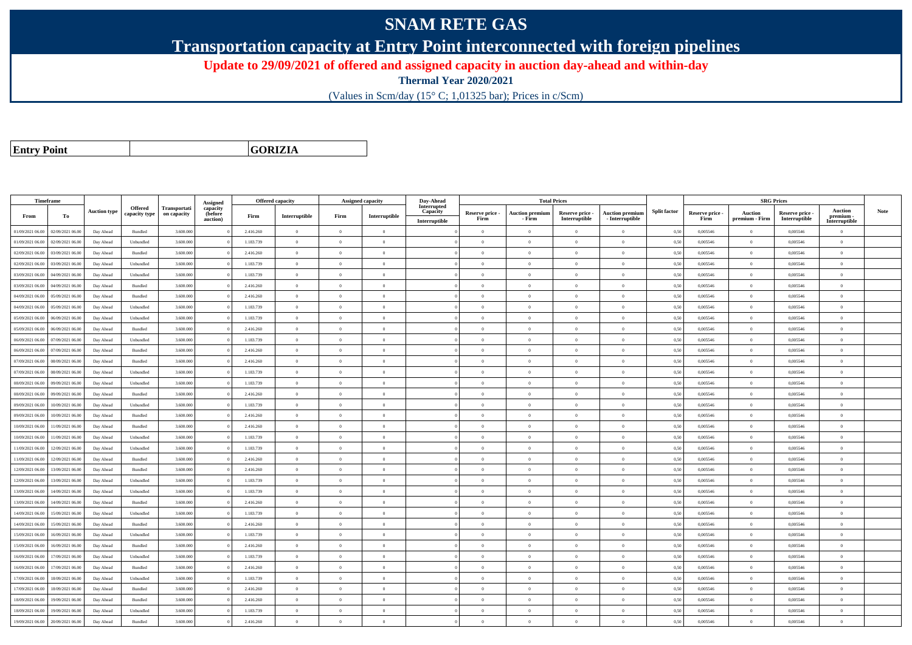## **SNAM RETE GAS**

**Transportation capacity at Entry Point interconnected with foreign pipelines**

**Update to 29/09/2021 of offered and assigned capacity in auction day-ahead and within-day**

**Thermal Year 2020/2021**

(Values in Scm/day (15° C; 1,01325 bar); Prices in c/Scm)

**Entry Point**

**GORIZIA**

|                  | Timeframe        |                     |                |              |                      | <b>Offered capacity</b> |                |                | <b>Assigned capacity</b> | Day-Ahead               |                         | <b>Total Prices</b>              |                                  |                                             |                     |                         | <b>SRG Prices</b>                |                                |                          |             |
|------------------|------------------|---------------------|----------------|--------------|----------------------|-------------------------|----------------|----------------|--------------------------|-------------------------|-------------------------|----------------------------------|----------------------------------|---------------------------------------------|---------------------|-------------------------|----------------------------------|--------------------------------|--------------------------|-------------|
|                  |                  | <b>Auction type</b> | Offered        | Transportati | Assigned<br>capacity |                         |                |                |                          | Interrupted<br>Capacity |                         |                                  |                                  |                                             | <b>Split factor</b> |                         |                                  |                                | <b>Auction</b>           | <b>Note</b> |
| From             | To               |                     | capacity type  | on capacity  | (before<br>auction)  | Firm                    | Interruptible  | Firm           | Interruptible            | Interruptible           | Reserve price -<br>Firm | <b>Auction premium</b><br>- Firm | Reserve price -<br>Interruptible | <b>Auction premiun</b><br>$-$ Interruptible |                     | Reserve price -<br>Firm | <b>Auction</b><br>premium - Firm | Reserve price<br>Interruptible | premium<br>Interruptible |             |
| 01/09/2021 06:00 | 02/09/2021 06:00 | Day Ahead           | Bundled        | 3.600.000    |                      | 2.416.260               | $\overline{0}$ | $\overline{0}$ | $\overline{0}$           |                         | $\overline{0}$          | $\theta$                         | $\overline{0}$                   | $\mathbf{0}$                                | 0,50                | 0,005546                | $\overline{0}$                   | 0,005546                       | $\bf{0}$                 |             |
| 01/09/2021 06:00 | 02/09/2021 06:00 | Day Ahead           | Unbundled      | 3.600.000    |                      | 1.183.739               | $\overline{0}$ | $\overline{0}$ | $\overline{0}$           |                         | $\overline{0}$          | $\theta$                         | $\overline{0}$                   | $\mathbf{0}$                                | 0,50                | 0,005546                | $\overline{0}$                   | 0,005546                       | $\overline{0}$           |             |
| 02/09/2021 06:00 | 03/09/2021 06:00 | Day Ahead           | Bundled        | 3.600.000    |                      | 2.416.260               | $\overline{0}$ | $\Omega$       | $\Omega$                 |                         | $\Omega$                |                                  | $\Omega$                         | $\theta$                                    | 0,50                | 0,005546                | $\overline{0}$                   | 0,005546                       | $\theta$                 |             |
| 02/09/2021 06:00 | 03/09/2021 06:00 | Day Ahead           | Unbundled      | 3.600.000    |                      | 1.183.739               | $\overline{0}$ | $\Omega$       | $\overline{0}$           |                         | $\Omega$                | $\theta$                         | $\theta$                         | $\theta$                                    | 0,50                | 0,005546                | $\overline{0}$                   | 0.005546                       | $\theta$                 |             |
| 03/09/2021 06:00 | 04/09/2021 06:00 | Day Ahead           | Unbundled      | 3.600.000    |                      | 1.183.739               | $\overline{0}$ | $\overline{0}$ | $\overline{0}$           |                         | $\overline{0}$          | $\theta$                         | $\overline{0}$                   | $\mathbf{0}$                                | 0,50                | 0,005546                | $\overline{0}$                   | 0,005546                       | $\bf{0}$                 |             |
| 03/09/2021 06:00 | 04/09/2021 06:00 | Day Ahead           | Bundled        | 3.600,000    |                      | 2.416.260               | $\overline{0}$ | $\theta$       | $\theta$                 |                         | $\Omega$                | $\theta$                         | $\overline{0}$                   | $\theta$                                    | 0.50                | 0.005546                | $\overline{0}$                   | 0.005546                       | $\Omega$                 |             |
| 04/09/2021 06:00 | 05/09/2021 06:00 | Day Ahead           | Bundled        | 3.600,000    |                      | 2.416.260               | $\overline{0}$ | $\theta$       | $\Omega$                 |                         | $\Omega$                | $\sqrt{2}$                       | $\theta$                         | $\theta$                                    | 0.50                | 0.005546                | $\overline{0}$                   | 0.005546                       | $\theta$                 |             |
| 04/09/2021 06:00 | 05/09/2021 06:00 | Day Ahead           | Unbundled      | 3.600.000    |                      | 1.183.739               | $\overline{0}$ | $\theta$       | $\Omega$                 |                         | $\Omega$                | $\theta$                         | $\overline{0}$                   | $\Omega$                                    | 0,50                | 0,005546                | $\overline{0}$                   | 0,005546                       | $\Omega$                 |             |
| 05/09/2021 06:00 | 06/09/2021 06:00 | Day Ahead           | Unbundled      | 3.600,000    |                      | 1.183.739               | $\overline{0}$ | $\Omega$       | $\Omega$                 |                         | $\Omega$                | $\sqrt{2}$                       | $\Omega$                         | $\Omega$                                    | 0.50                | 0.005546                | $\overline{0}$                   | 0.005546                       | $\theta$                 |             |
| 05/09/2021 06:00 | 06/09/2021 06:00 | Day Ahead           | Bundled        | 3.600.000    |                      | 2.416.260               | $\theta$       | $\Omega$       | $\Omega$                 |                         | $\Omega$                |                                  | $\Omega$                         | $\theta$                                    | 0,50                | 0,005546                | $\Omega$                         | 0,005546                       | $\Omega$                 |             |
| 06/09/2021 06:00 | 07/09/2021 06:00 | Day Ahead           | Unbundled      | 3.600,000    |                      | 1.183.739               | $\overline{0}$ | $\Omega$       | $\Omega$                 |                         | $\Omega$                | $\theta$                         | $\theta$                         | $\theta$                                    | 0,50                | 0.005546                | $\overline{0}$                   | 0.005546                       | $\theta$                 |             |
| 06/09/2021 06:00 | 07/09/2021 06:00 | Day Ahead           | Bundled        | 3.600.000    |                      | 2.416.260               | $\overline{0}$ | $\overline{0}$ | $\overline{0}$           |                         | $\overline{0}$          | $\overline{0}$                   | $\overline{0}$                   | $\overline{0}$                              | 0,50                | 0,005546                | $\overline{0}$                   | 0,005546                       | $\bf{0}$                 |             |
| 07/09/2021 06:00 | 08/09/2021 06:00 | Day Ahead           | Bundled        | 3.600,000    |                      | 2.416.260               | $\overline{0}$ | $\overline{0}$ | $\overline{0}$           |                         | $\Omega$                |                                  | $\overline{0}$                   | $\mathbf{0}$                                | 0.50                | 0.005546                | $\overline{0}$                   | 0.005546                       | $\Omega$                 |             |
| 07/09/2021 06:00 | 08/09/2021 06:00 | Day Ahead           | Unbundled      | 3.600,000    |                      | 1.183.739               | $\overline{0}$ | $\overline{0}$ | $\overline{0}$           |                         | $\overline{0}$          | $\theta$                         | $\overline{0}$                   | $\overline{0}$                              | 0.50                | 0,005546                | $\overline{0}$                   | 0,005546                       | $\Omega$                 |             |
| 08/09/2021 06:00 | 09/09/2021 06.00 | Day Ahead           | Unbundled      | 3.600.000    |                      | 1.183.739               | $\overline{0}$ | $\overline{0}$ | $\overline{0}$           |                         | $\theta$                | $\theta$                         | $\overline{0}$                   | $\mathbf{0}$                                | 0,50                | 0,005546                | $\overline{0}$                   | 0,005546                       | $\bf{0}$                 |             |
| 08/09/2021 06:00 | 09/09/2021 06:00 | Day Ahead           | <b>Bundled</b> | 3.600,000    |                      | 2.416.260               | $\overline{0}$ | $\Omega$       | $\Omega$                 |                         | $\Omega$                |                                  | $\theta$                         | $\Omega$                                    | 0.50                | 0.005546                | $\Omega$                         | 0.005546                       | $\Omega$                 |             |
| 09/09/2021 06:00 | 10/09/2021 06:00 | Day Ahead           | Unbundled      | 3.600.000    |                      | 1.183.739               | $\overline{0}$ | $\Omega$       | $\Omega$                 |                         | $\Omega$                | $\sqrt{2}$                       | $\theta$                         | $\theta$                                    | 0,50                | 0,005546                | $\overline{0}$                   | 0,005546                       | $\Omega$                 |             |
| 09/09/2021 06:00 | 10/09/2021 06:00 | Day Ahead           | Bundled        | 3.600.000    |                      | 2.416.260               | $\overline{0}$ | $\theta$       | $\overline{0}$           |                         | $\Omega$                | $\theta$                         | $\overline{0}$                   | $\mathbf{0}$                                | 0,50                | 0,005546                | $\overline{0}$                   | 0,005546                       | $\Omega$                 |             |
| 10/09/2021 06:00 | 11/09/2021 06:00 | Day Ahead           | Bundled        | 3.600,000    |                      | 2.416.260               | $\overline{0}$ | $\overline{0}$ | $\overline{0}$           |                         | $\overline{0}$          | $\theta$                         | $\overline{0}$                   | $\overline{0}$                              | 0.50                | 0.005546                | $\,$ 0 $\,$                      | 0.005546                       | $\Omega$                 |             |
| 10/09/2021 06:00 | 11/09/2021 06:00 | Day Ahead           | Unbundled      | 3.600.000    |                      | 1.183.739               | $\overline{0}$ | $\overline{0}$ | $\overline{0}$           |                         | $\Omega$                | $\theta$                         | $\overline{0}$                   | $\overline{0}$                              | 0,50                | 0,005546                | $\overline{0}$                   | 0,005546                       | $\Omega$                 |             |
| 11/09/2021 06:00 | 12/09/2021 06:00 | Day Ahead           | Unbundled      | 3.600,000    |                      | 1.183.739               | $\overline{0}$ | $\Omega$       | $\Omega$                 |                         | $\Omega$                | $\theta$                         | $\theta$                         | $\theta$                                    | 0,50                | 0.005546                | $\overline{0}$                   | 0.005546                       | $\theta$                 |             |
| 11/09/2021 06:00 | 12/09/2021 06:00 | Day Ahead           | Bundled        | 3.600.000    |                      | 2.416.260               | $\overline{0}$ | $\theta$       | $\Omega$                 |                         | $\Omega$                | $\theta$                         | $\overline{0}$                   | $\Omega$                                    | 0,50                | 0,005546                | $\overline{0}$                   | 0,005546                       | $\Omega$                 |             |
| 12/09/2021 06:00 | 13/09/2021 06:00 | Day Ahead           | Bundled        | 3.600.000    |                      | 2.416.260               | $\overline{0}$ | $\overline{0}$ | $\overline{0}$           |                         | $\theta$                |                                  | $\overline{0}$                   | $\mathbf{0}$                                | 0.50                | 0,005546                | $\overline{0}$                   | 0,005546                       | $\bf{0}$                 |             |
| 12/09/2021 06:00 | 13/09/2021 06:00 | Day Ahead           | Unbundled      | 3.600.000    |                      | 1.183.739               | $\overline{0}$ | $\theta$       | $\overline{0}$           |                         | $\Omega$                | $\theta$                         | $\theta$                         | $\overline{0}$                              | 0,50                | 0,005546                | $\overline{0}$                   | 0,005546                       | $\Omega$                 |             |
| 13/09/2021 06:00 | 14/09/2021 06:00 | Day Ahead           | Unbundled      | 3.600.000    |                      | 1.183.739               | $\overline{0}$ | $\overline{0}$ | $\overline{0}$           |                         | $\overline{0}$          | $\theta$                         | $\overline{0}$                   | $\mathbf{0}$                                | 0,50                | 0,005546                | $\bf{0}$                         | 0,005546                       | $\bf{0}$                 |             |
| 13/09/2021 06:00 | 14/09/2021 06.00 | Day Ahead           | Bundled        | 3.600.000    |                      | 2.416.260               | $\overline{0}$ | $\overline{0}$ | $\overline{0}$           |                         | $\Omega$                |                                  | $\overline{0}$                   | $\mathbf{0}$                                | 0,50                | 0,005546                | $\overline{0}$                   | 0,005546                       | $\Omega$                 |             |
| 14/09/2021 06:00 | 15/09/2021 06:00 | Day Ahead           | Unbundled      | 3.600.000    |                      | 1.183.739               | $\overline{0}$ | $\overline{0}$ | $\theta$                 |                         | $\Omega$                | $\theta$                         | $\overline{0}$                   | $\overline{0}$                              | 0,50                | 0,005546                | $\overline{0}$                   | 0,005546                       | $\Omega$                 |             |
| 14/09/2021 06:00 | 15/09/2021 06:00 | Day Ahead           | Bundled        | 3.600.000    |                      | 2.416.260               | $\overline{0}$ | $\theta$       | $\Omega$                 |                         | $\Omega$                | $\theta$                         | $\overline{0}$                   | $\Omega$                                    | 0,50                | 0,005546                | $\overline{0}$                   | 0,005546                       | $\Omega$                 |             |
| 15/09/2021 06:00 | 16/09/2021 06:00 | Day Ahead           | Unbundled      | 3.600,000    |                      | 1.183.739               | $\overline{0}$ | $\Omega$       | $\Omega$                 |                         | $\Omega$                | $\sqrt{2}$                       | $\Omega$                         | $\theta$                                    | 0.50                | 0.005546                | $\overline{0}$                   | 0.005546                       | $\theta$                 |             |
| 15/09/2021 06:00 | 16/09/2021 06:00 | Day Ahead           | Bundled        | 3.600.000    |                      | 2.416.260               | $\overline{0}$ | $\overline{0}$ | $\overline{0}$           |                         | $\Omega$                | $\sim$                           | $\overline{0}$                   | $\mathbf{0}$                                | 0,50                | 0,005546                | $\overline{0}$                   | 0,005546                       | $\bf{0}$                 |             |
| 16/09/2021 06:00 | 17/09/2021 06:00 | Day Ahead           | Unbundled      | 3.600,000    |                      | 1.183.739               | $\overline{0}$ | $\Omega$       | $\overline{0}$           |                         | $\Omega$                | $\theta$                         | $\overline{0}$                   | $\overline{0}$                              | 0,50                | 0.005546                | $\overline{0}$                   | 0.005546                       | $\theta$                 |             |
| 16/09/2021 06:00 | 17/09/2021 06:00 | Day Ahead           | Bundled        | 3.600,000    |                      | 2.416.260               | $\overline{0}$ | $\Omega$       | $\overline{0}$           |                         | $\overline{0}$          | $\theta$                         | $\overline{0}$                   | $\overline{0}$                              | 0.50                | 0.005546                | $\overline{0}$                   | 0.005546                       | $\Omega$                 |             |
| 17/09/2021 06:00 | 18/09/2021 06:00 | Day Ahead           | Unbundled      | 3.600.000    |                      | 1.183.739               | $\overline{0}$ | $\Omega$       | $\Omega$                 |                         | $\Omega$                |                                  | $\Omega$                         | $\theta$                                    | 0.50                | 0,005546                | $\overline{0}$                   | 0,005546                       | $\Omega$                 |             |
| 17/09/2021 06:00 | 18/09/2021 06:00 | Day Ahead           | Bundled        | 3.600,000    |                      | 2.416.260               | $\overline{0}$ | $\overline{0}$ | $\overline{0}$           |                         | $\Omega$                | $\theta$                         | $\overline{0}$                   | $\overline{0}$                              | 0.50                | 0.005546                | $\overline{0}$                   | 0.005546                       | $\Omega$                 |             |
| 18/09/2021 06:00 | 19/09/2021 06:00 | Day Ahead           | Bundled        | 3.600.000    |                      | 2.416.260               | $\overline{0}$ | $\overline{0}$ | $\overline{0}$           |                         | $\Omega$                | $\theta$                         | $\overline{0}$                   | $\mathbf{0}$                                | 0,50                | 0,005546                | $\overline{0}$                   | 0,005546                       | $\overline{0}$           |             |
| 18/09/2021 06:00 | 19/09/2021 06:00 | Day Ahead           | Unbundled      | 3.600.000    |                      | 1.183.739               | $\overline{0}$ | $\Omega$       | $\Omega$                 |                         |                         |                                  | $\Omega$                         | $\theta$                                    | 0,50                | 0,005546                | $\overline{0}$                   | 0,005546                       | $\Omega$                 |             |
| 19/09/2021 06:00 | 20/09/2021 06:00 | Day Ahead           | Bundled        | 3.600.000    |                      | 2.416.260               | $\overline{0}$ | $\overline{0}$ | $\Omega$                 |                         | $\Omega$                |                                  | $\Omega$                         | $\Omega$                                    | 0,50                | 0,005546                | $\overline{0}$                   | 0,005546                       | $\Omega$                 |             |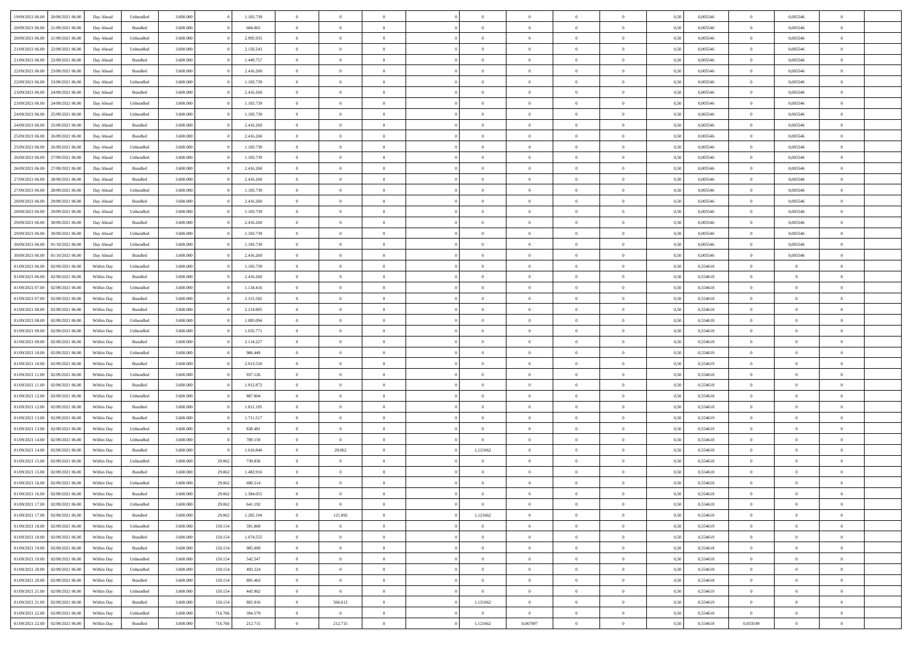| 19/09/2021 06:00                  | 20/09/2021 06:00 | Day Ahead  | Unbundled | 3.600.000 |         | 1.183.739 | $\overline{0}$ | $\overline{0}$ |                |                | $\theta$                        | $\theta$       | $\overline{0}$ | 0,50 | 0,005546 | $\bf{0}$          | 0,005546       | $\overline{0}$ |  |
|-----------------------------------|------------------|------------|-----------|-----------|---------|-----------|----------------|----------------|----------------|----------------|---------------------------------|----------------|----------------|------|----------|-------------------|----------------|----------------|--|
| 20/09/2021 06:00                  | 21/09/2021 06.00 | Day Ahead  | Bundled   | 3.600.000 |         | 604.065   | $\overline{0}$ | $\overline{0}$ | $\overline{0}$ | $\Omega$       | $\bf{0}$                        | $\overline{0}$ | $\bf{0}$       | 0,50 | 0,005546 | $\bf{0}$          | 0,005546       | $\overline{0}$ |  |
|                                   |                  |            |           |           |         |           |                |                |                |                |                                 |                |                |      |          |                   |                |                |  |
| 20/09/2021 06:00                  | 21/09/2021 06:00 | Day Ahead  | Unbundled | 3.600,000 |         | 2.995.935 | $\overline{0}$ | $\overline{0}$ | $\overline{0}$ | $\overline{0}$ | $\bf{0}$                        | $\overline{0}$ | $\mathbf{0}$   | 0.50 | 0.005546 | $\bf{0}$          | 0.005546       | $\bf{0}$       |  |
| 21/09/2021 06:00                  | 22/09/2021 06:00 | Day Ahead  | Unbundled | 3.600.000 |         | 2.150.243 | $\overline{0}$ | $\overline{0}$ | $\overline{0}$ | $\overline{0}$ | $\bf{0}$                        | $\overline{0}$ | $\theta$       | 0,50 | 0,005546 | $\,$ 0 $\,$       | 0,005546       | $\overline{0}$ |  |
| 21/09/2021 06:00                  | 22/09/2021 06.0  | Day Ahead  | Bundled   | 3.600.000 |         | 1.449.757 | $\overline{0}$ | $\overline{0}$ | $\Omega$       |                | $\bf{0}$                        | $\overline{0}$ | $\bf{0}$       | 0,50 | 0,005546 | $\bf{0}$          | 0,005546       | $\overline{0}$ |  |
| 22/09/2021 06:00                  | 23/09/2021 06:00 | Day Ahead  | Bundled   | 3.600,000 |         | 2.416.260 | $\overline{0}$ | $\overline{0}$ | $\Omega$       | $\Omega$       | $\overline{0}$                  | $\overline{0}$ | $\mathbf{0}$   | 0.50 | 0.005546 | $\bf{0}$          | 0.005546       | $\bf{0}$       |  |
| 22/09/2021 06:00                  | 23/09/2021 06:00 | Day Ahead  | Unbundled | 3.600.000 |         | 1.183.739 | $\overline{0}$ | $\overline{0}$ | $\overline{0}$ | $\overline{0}$ | $\bf{0}$                        | $\overline{0}$ | $\overline{0}$ | 0,50 | 0,005546 | $\,$ 0 $\,$       | 0,005546       | $\overline{0}$ |  |
| 23/09/2021 06:00                  | 24/09/2021 06.00 | Day Ahead  | Bundled   | 3.600.000 |         | 2.416.260 | $\overline{0}$ | $\overline{0}$ | $\Omega$       |                | $\bf{0}$                        | $\overline{0}$ | $\bf{0}$       | 0,50 | 0,005546 | $\bf{0}$          | 0,005546       | $\bf{0}$       |  |
| 23/09/2021 06:00                  | 24/09/2021 06:00 | Day Ahead  | Unbundled | 3.600.000 |         | 1.183.739 | $\overline{0}$ | $\overline{0}$ | $\overline{0}$ | $\overline{0}$ | $\bf{0}$                        | $\overline{0}$ | $\bf{0}$       | 0.50 | 0.005546 | $\bf{0}$          | 0.005546       | $\bf{0}$       |  |
| 24/09/2021 06:00                  | 25/09/2021 06:00 | Day Ahead  | Unbundled | 3.600.000 |         | 1.183.739 | $\overline{0}$ | $\overline{0}$ | $\overline{0}$ | $\overline{0}$ | $\bf{0}$                        | $\overline{0}$ | $\overline{0}$ | 0,50 | 0,005546 | $\,$ 0 $\,$       | 0,005546       | $\overline{0}$ |  |
| 24/09/2021 06.00                  | 25/09/2021 06.0  | Day Ahead  | Bundled   | 3.600.000 |         | 2.416.260 | $\overline{0}$ | $\overline{0}$ | $\overline{0}$ |                | $\bf{0}$                        | $\overline{0}$ | $\bf{0}$       | 0,50 | 0,005546 | $\bf{0}$          | 0,005546       | $\bf{0}$       |  |
|                                   |                  |            |           |           |         |           |                |                |                |                |                                 |                |                |      |          |                   |                |                |  |
| 25/09/2021 06:00                  | 26/09/2021 06:00 | Day Ahead  | Bundled   | 3.600,000 |         | 2.416.260 | $\overline{0}$ | $\overline{0}$ | $\overline{0}$ | $\overline{0}$ | $\bf{0}$                        | $\overline{0}$ | $\mathbf{0}$   | 0.50 | 0.005546 | $\bf{0}$          | 0.005546       | $\bf{0}$       |  |
| 25/09/2021 06:00                  | 26/09/2021 06:00 | Day Ahead  | Unbundled | 3.600.000 |         | 1.183.739 | $\overline{0}$ | $\overline{0}$ | $\overline{0}$ | $\overline{0}$ | $\bf{0}$                        | $\overline{0}$ | $\theta$       | 0,50 | 0,005546 | $\,$ 0 $\,$       | 0,005546       | $\overline{0}$ |  |
| 26/09/2021 06.00                  | 27/09/2021 06.0  | Day Ahead  | Unbundled | 3.600.000 |         | 1.183.739 | $\overline{0}$ | $\overline{0}$ | $\overline{0}$ |                | $\bf{0}$                        | $\overline{0}$ | $\bf{0}$       | 0,50 | 0,005546 | $\bf{0}$          | 0,005546       | $\overline{0}$ |  |
| 26/09/2021 06:00                  | 27/09/2021 06:00 | Day Ahead  | Bundled   | 3.600.000 |         | 2.416.260 | $\overline{0}$ | $\overline{0}$ | $\Omega$       | $\Omega$       | $\overline{0}$                  | $\overline{0}$ | $\mathbf{0}$   | 0.50 | 0.005546 | $\bf{0}$          | 0.005546       | $\bf{0}$       |  |
| 27/09/2021 06:00                  | 28/09/2021 06:00 | Day Ahead  | Bundled   | 3.600.000 |         | 2.416.260 | $\overline{0}$ | $\overline{0}$ | $\overline{0}$ | $\overline{0}$ | $\bf{0}$                        | $\overline{0}$ | $\overline{0}$ | 0,50 | 0,005546 | $\,$ 0 $\,$       | 0,005546       | $\overline{0}$ |  |
| 27/09/2021 06:00                  | 28/09/2021 06.0  | Day Ahead  | Unbundled | 3.600.000 |         | 1.183.739 | $\overline{0}$ | $\overline{0}$ | $\overline{0}$ |                | $\bf{0}$                        | $\overline{0}$ | $\bf{0}$       | 0,50 | 0,005546 | $\bf{0}$          | 0,005546       | $\overline{0}$ |  |
| 28/09/2021 06:00                  | 29/09/2021 06:00 | Day Ahead  | Bundled   | 3.600.000 |         | 2.416.260 | $\overline{0}$ | $\overline{0}$ | $\overline{0}$ | $\overline{0}$ | $\bf{0}$                        | $\overline{0}$ | $\bf{0}$       | 0.50 | 0.005546 | $\bf{0}$          | 0.005546       | $\bf{0}$       |  |
| 28/09/2021 06:00                  | 29/09/2021 06:00 | Day Ahead  | Unbundled | 3.600.000 |         | 1.183.739 | $\overline{0}$ | $\overline{0}$ | $\overline{0}$ | $\overline{0}$ | $\bf{0}$                        | $\overline{0}$ | $\overline{0}$ | 0,50 | 0,005546 | $\,$ 0 $\,$       | 0,005546       | $\overline{0}$ |  |
| 29/09/2021 06.00                  | 30/09/2021 06.00 | Day Ahead  | Bundled   | 3.600.000 |         | 2.416.260 | $\overline{0}$ | $\bf{0}$       | $\overline{0}$ |                | $\bf{0}$                        | $\overline{0}$ | $\bf{0}$       | 0,50 | 0,005546 | $\bf{0}$          | 0,005546       | $\bf{0}$       |  |
|                                   |                  |            |           |           |         |           |                |                |                |                |                                 |                |                |      |          |                   |                |                |  |
| 29/09/2021 06:00                  | 30/09/2021 06:00 | Day Ahead  | Unbundled | 3.600,000 |         | 1.183.739 | $\overline{0}$ | $\overline{0}$ | $\overline{0}$ | $\overline{0}$ | $\bf{0}$                        | $\overline{0}$ | $\mathbf{0}$   | 0.50 | 0.005546 | $\bf{0}$          | 0.005546       | $\bf{0}$       |  |
| 30/09/2021 06:00                  | 01/10/2021 06:00 | Day Ahead  | Unbundled | 3.600.000 |         | 1.183.739 | $\overline{0}$ | $\overline{0}$ | $\overline{0}$ | $\overline{0}$ | $\bf{0}$                        | $\overline{0}$ | $\theta$       | 0,50 | 0,005546 | $\,$ 0 $\,$       | 0,005546       | $\overline{0}$ |  |
| 30/09/2021 06:00                  | 01/10/2021 06.00 | Day Ahead  | Bundled   | 3.600.000 |         | 2.416.260 | $\overline{0}$ | $\overline{0}$ | $\overline{0}$ |                | $\bf{0}$                        | $\overline{0}$ | $\bf{0}$       | 0,50 | 0,005546 | $\bf{0}$          | 0,005546       | $\overline{0}$ |  |
| 01/09/2021 06:00                  | 02/09/2021 06:00 | Within Day | Unbundled | 3.600.000 |         | 1.183.739 | $\overline{0}$ | $\overline{0}$ | $\Omega$       | $\Omega$       | $\overline{0}$                  | $\overline{0}$ | $\bf{0}$       | 0.50 | 0.554618 | $\bf{0}$          | $\overline{0}$ | $\bf{0}$       |  |
| 01/09/2021 06:00                  | 02/09/2021 06:00 | Within Day | Bundled   | 3.600.000 |         | 2.416.260 | $\overline{0}$ | $\overline{0}$ | $\overline{0}$ | $\overline{0}$ | $\bf{0}$                        | $\overline{0}$ | $\overline{0}$ | 0,50 | 0,554618 | $\,$ 0 $\,$       | $\overline{0}$ | $\overline{0}$ |  |
| 01/09/2021 07:00                  | 02/09/2021 06.00 | Within Day | Unbundled | 3.600.000 |         | 1.134.416 | $\overline{0}$ | $\overline{0}$ | $\overline{0}$ |                | $\bf{0}$                        | $\overline{0}$ | $\bf{0}$       | 0,50 | 0,554618 | $\bf{0}$          | $\overline{0}$ | $\overline{0}$ |  |
| 01/09/2021 07:00                  | 02/09/2021 06:00 | Within Day | Bundled   | 3.600.000 |         | 2.315.582 | $\overline{0}$ | $\overline{0}$ | $\overline{0}$ | $\overline{0}$ | $\bf{0}$                        | $\overline{0}$ | $\bf{0}$       | 0.50 | 0.554618 | $\bf{0}$          | $\overline{0}$ | $\bf{0}$       |  |
| 01/09/2021 08:00                  | 02/09/2021 06:00 | Within Day | Bundled   | 3.600.000 |         | 2.214.905 | $\overline{0}$ | $\overline{0}$ | $\overline{0}$ | $\overline{0}$ | $\bf{0}$                        | $\overline{0}$ | $\bf{0}$       | 0,50 | 0,554618 | $\,$ 0 $\,$       | $\overline{0}$ | $\overline{0}$ |  |
| 01/09/2021 08:00                  | 02/09/2021 06.00 | Within Day | Unbundled | 3.600.000 |         | 1.085.094 | $\overline{0}$ | $\bf{0}$       | $\overline{0}$ | $\overline{0}$ | $\bf{0}$                        | $\overline{0}$ | $\bf{0}$       | 0,50 | 0,554618 | $\bf{0}$          | $\overline{0}$ | $\bf{0}$       |  |
|                                   |                  |            |           |           |         |           |                |                |                |                |                                 |                |                |      |          |                   |                |                |  |
| 01/09/2021 09:00                  | 02/09/2021 06:00 | Within Day | Unbundled | 3.600,000 |         | 1.035.771 | $\overline{0}$ | $\overline{0}$ | $\overline{0}$ | $\overline{0}$ | $\bf{0}$                        | $\overline{0}$ | $\mathbf{0}$   | 0.50 | 0.554618 | $\bf{0}$          | $\overline{0}$ | $\bf{0}$       |  |
| 01/09/2021 09:00                  | 02/09/2021 06:00 | Within Dav | Bundled   | 3.600.000 |         | 2.114.227 | $\overline{0}$ | $\overline{0}$ | $\overline{0}$ | $\Omega$       | $\overline{0}$                  | $\overline{0}$ | $\bf{0}$       | 0,50 | 0.554618 | $\mathbf{0}$      | $\overline{0}$ | $\overline{0}$ |  |
| 01/09/2021 10:00                  | 02/09/2021 06.00 | Within Day | Unbundled | 3.600.000 |         | 986.449   | $\overline{0}$ | $\overline{0}$ | $\overline{0}$ |                | $\bf{0}$                        | $\overline{0}$ | $\bf{0}$       | 0,50 | 0,554619 | $\bf{0}$          | $\overline{0}$ | $\bf{0}$       |  |
| 01/09/2021 10:00                  | 02/09/2021 06:00 | Within Day | Bundled   | 3.600.000 |         | 2.013.550 | $\overline{0}$ | $\overline{0}$ | $\overline{0}$ | $\Omega$       | $\bf{0}$                        | $\overline{0}$ | $\bf{0}$       | 0.50 | 0.554619 | $\bf{0}$          | $\overline{0}$ | $\bf{0}$       |  |
| 01/09/2021 11:00                  | 02/09/2021 06:00 | Within Dav | Unbundled | 3.600,000 |         | 937.126   | $\overline{0}$ | $\overline{0}$ | $\theta$       | $\Omega$       | $\overline{0}$                  | $\overline{0}$ | $\bf{0}$       | 0,50 | 0,554618 | $\mathbf{0}$      | $\overline{0}$ | $\overline{0}$ |  |
| 01/09/2021 11:00                  | 02/09/2021 06.00 | Within Day | Bundled   | 3.600.000 |         | 1.912.872 | $\overline{0}$ | $\overline{0}$ | $\overline{0}$ |                | $\bf{0}$                        | $\overline{0}$ | $\bf{0}$       | 0,50 | 0,554618 | $\bf{0}$          | $\overline{0}$ | $\bf{0}$       |  |
| 01/09/2021 12:00                  | 02/09/2021 06:00 | Within Day | Unbundled | 3.600.000 |         | 887.804   | $\overline{0}$ | $\overline{0}$ | $\overline{0}$ | $\overline{0}$ | $\bf{0}$                        | $\overline{0}$ | $\bf{0}$       | 0.50 | 0.554618 | $\bf{0}$          | $\overline{0}$ | $\bf{0}$       |  |
| 01/09/2021 12:00                  | 02/09/2021 06:00 | Within Dav | Bundled   | 3.600.000 |         | 1.812.195 | $\overline{0}$ | $\overline{0}$ | $\overline{0}$ | $\Omega$       | $\overline{0}$                  | $\overline{0}$ | $\bf{0}$       | 0,50 | 0.554618 | $\mathbf{0}$      | $\overline{0}$ | $\overline{0}$ |  |
| 01/09/2021 13:00                  | 02/09/2021 06.00 | Within Day | Bundled   | 3.600.000 |         | 1.711.517 | $\overline{0}$ | $\overline{0}$ | $\overline{0}$ | $\overline{0}$ | $\bf{0}$                        | $\overline{0}$ | $\bf{0}$       | 0,50 | 0,554619 | $\bf{0}$          | $\overline{0}$ | $\bf{0}$       |  |
| 01/09/2021 13:00                  | 02/09/2021 06:00 | Within Day | Unbundled | 3.600,000 |         | 838.481   | $\overline{0}$ | $\overline{0}$ | $\overline{0}$ | $\overline{0}$ | $\bf{0}$                        | $\overline{0}$ | $\mathbf{0}$   | 0.50 | 0.554619 | $\bf{0}$          | $\overline{0}$ | $\bf{0}$       |  |
|                                   |                  |            |           |           |         |           |                |                |                |                |                                 |                |                |      |          |                   |                |                |  |
| 01/09/2021 14:00                  | 02/09/2021 06:00 | Within Dav | Unbundled | 3.600.000 |         | 789.159   | $\overline{0}$ | $\overline{0}$ | $\theta$       | $\Omega$       | $\overline{0}$                  | $\overline{0}$ | $\bf{0}$       | 0,50 | 0.554618 | $\mathbf{0}$      | $\overline{0}$ | $\overline{0}$ |  |
| 01/09/2021 14:00                  | 02/09/2021 06.00 | Within Day | Bundled   | 3.600.000 |         | 1.610.840 | $\overline{0}$ | 29.062         | $\overline{0}$ | 1,121662       | $\bf{0}$                        | $\overline{0}$ | $\bf{0}$       | 0,50 | 0,554618 | $\bf{0}$          | $\overline{0}$ | $\bf{0}$       |  |
| 01/09/2021 15:00                  | 02/09/2021 06:00 | Within Day | Unbundled | 3.600.000 | 29.062  | 739.836   | $\overline{0}$ | $\overline{0}$ | $\Omega$       | $\Omega$       | $\overline{0}$                  | $\overline{0}$ | $\theta$       | 0.50 | 0.554618 | $\bf{0}$          | $\overline{0}$ | $\bf{0}$       |  |
| 01/09/2021 15:00                  | 02/09/2021 06:00 | Within Dav | Bundled   | 3.600.000 | 29.062  | 1.482.916 | $\overline{0}$ | $\Omega$       | $\theta$       | $\Omega$       | $\overline{0}$                  | $\overline{0}$ | $\theta$       | 0.50 | 0.554618 | $\mathbf{0}$      | $\overline{0}$ | $\overline{0}$ |  |
| 01/09/2021 16:00                  | 02/09/2021 06:00 | Within Day | Unbundled | 3.600.000 | 29.062  | 690.514   | $\overline{0}$ | $\bf{0}$       | $\overline{0}$ | $\overline{0}$ | $\bf{0}$                        | $\overline{0}$ | $\bf{0}$       | 0,50 | 0,554618 | $\bf{0}$          | $\overline{0}$ | $\bf{0}$       |  |
| 01/09/2021 16:00                  | 02/09/2021 06:00 | Within Day | Bundled   | 3.600.000 | 29.062  | 1 384 055 | $\bf{0}$       | $\Omega$       |                |                |                                 |                |                | 0,50 | 0,554618 | $\Omega$          | $\Omega$       |                |  |
| 01/09/2021 17:00 02/09/2021 06:00 |                  | Within Day | Unbundled | 3.600.000 | 29.062  | 641.192   | $\overline{0}$ | $\overline{0}$ | $\overline{0}$ | $\theta$       | $\overline{0}$                  | $\overline{0}$ | $\overline{0}$ | 0,50 | 0,554618 | $\overline{0}$    | $\theta$       | $\bf{0}$       |  |
| 01/09/2021 17:00                  | 02/09/2021 06:00 | Within Day | Bundled   | 3.600.000 | 29.062  | 1.285.194 | $\overline{0}$ | 121.092        | $\overline{0}$ | 1,121662       | $\overline{0}$                  | $\overline{0}$ | $\bf{0}$       | 0,50 | 0,554618 | $\overline{0}$    | $\bf{0}$       | $\bf{0}$       |  |
| 01/09/2021 18:00                  | 02/09/2021 06:00 | Within Day | Unbundled | 3.600.000 | 150.154 | 591.869   | $\,$ 0 $\,$    | $\overline{0}$ | $\overline{0}$ | $\overline{0}$ | $\overline{0}$                  | $\overline{0}$ | $\bf{0}$       | 0.50 | 0.554619 | $\hspace{0.1mm}0$ | $\overline{0}$ | $\,$ 0 $\,$    |  |
|                                   |                  |            |           |           |         |           |                |                |                |                |                                 |                |                |      |          |                   |                |                |  |
| 01/09/2021 18:00                  | 02/09/2021 06:00 | Within Day | Bundled   | 3.600.000 | 150.154 | 1.074.555 | $\overline{0}$ | $\overline{0}$ | $\overline{0}$ | $\overline{0}$ | $\mathbf{0}$                    | $\overline{0}$ | $\mathbf{0}$   | 0,50 | 0,554619 | $\overline{0}$    | $\overline{0}$ | $\bf{0}$       |  |
| 01/09/2021 19:00                  | 02/09/2021 06:00 | Within Day | Bundled   | 3.600.000 | 150.154 | 985.009   | $\overline{0}$ | $\bf{0}$       | $\overline{0}$ | $\overline{0}$ | $\bf{0}$                        | $\overline{0}$ | $\bf{0}$       | 0,50 | 0,554618 | $\bf{0}$          | $\bf{0}$       | $\bf{0}$       |  |
| 01/09/2021 19:00                  | 02/09/2021 06:00 | Within Day | Unbundled | 3.600.000 | 150.154 | 542.547   | $\overline{0}$ | $\overline{0}$ | $\overline{0}$ | $\overline{0}$ | $\,$ 0 $\,$                     | $\overline{0}$ | $\mathbf{0}$   | 0.50 | 0.554618 | $\,$ 0 $\,$       | $\overline{0}$ | $\bf{0}$       |  |
| 01/09/2021 20:00                  | 02/09/2021 06:00 | Within Day | Unbundled | 3.600.000 | 150.154 | 493.224   | $\overline{0}$ | $\overline{0}$ | $\overline{0}$ | $\overline{0}$ | $\mathbf{0}$                    | $\overline{0}$ | $\overline{0}$ | 0,50 | 0,554618 | $\overline{0}$    | $\overline{0}$ | $\bf{0}$       |  |
| 01/09/2021 20:00                  | 02/09/2021 06:00 | Within Day | Bundled   | 3.600.000 | 150.154 | 895.463   | $\overline{0}$ | $\overline{0}$ | $\overline{0}$ | $\overline{0}$ | $\hspace{0.1mm}0\hspace{0.1mm}$ | $\overline{0}$ | $\bf{0}$       | 0,50 | 0,554618 | $\,$ 0 $\,$       | $\overline{0}$ | $\bf{0}$       |  |
| 01/09/2021 21:00                  | 02/09/2021 06:00 | Within Day | Unbundled | 3.600,000 | 150.154 | 443.902   | $\overline{0}$ | $\overline{0}$ | $\overline{0}$ | $\overline{0}$ | $\,$ 0 $\,$                     | $\overline{0}$ | $\overline{0}$ | 0.50 | 0.554619 | $\overline{0}$    | $\overline{0}$ | $\bf{0}$       |  |
| 01/09/2021 21:00                  | 02/09/2021 06:00 | Within Day | Bundled   | 3.600.000 | 150.154 | 805.916   | $\overline{0}$ | 566.612        | $\overline{0}$ | 1,121662       | $\mathbf{0}$                    | $\overline{0}$ | $\overline{0}$ | 0,50 | 0,554619 | $\overline{0}$    | $\theta$       | $\bf{0}$       |  |
| 01/09/2021 22.00                  | 02/09/2021 06.00 | Within Day | Unbundled | 3.600.000 | 716.766 | 394.579   | $\overline{0}$ | $\overline{0}$ | $\overline{0}$ | $\overline{0}$ | $\overline{0}$                  | $\overline{0}$ | $\bf{0}$       | 0,50 | 0,554618 | $\overline{0}$    | $\bf{0}$       | $\bf{0}$       |  |
|                                   |                  |            |           |           |         |           |                |                |                |                |                                 |                |                |      |          |                   |                |                |  |
| 01/09/2021 22.00 02/09/2021 06:00 |                  | Within Day | Bundled   | 3.600.000 | 716.766 | 212.715   | $\overline{0}$ | 212.715        | $\overline{0}$ | 1,121662       | 0,067097                        | $\overline{0}$ | $\mathbf{0}$   | 0,50 | 0,554618 | 0,033549          | $\overline{0}$ | $\,$ 0 $\,$    |  |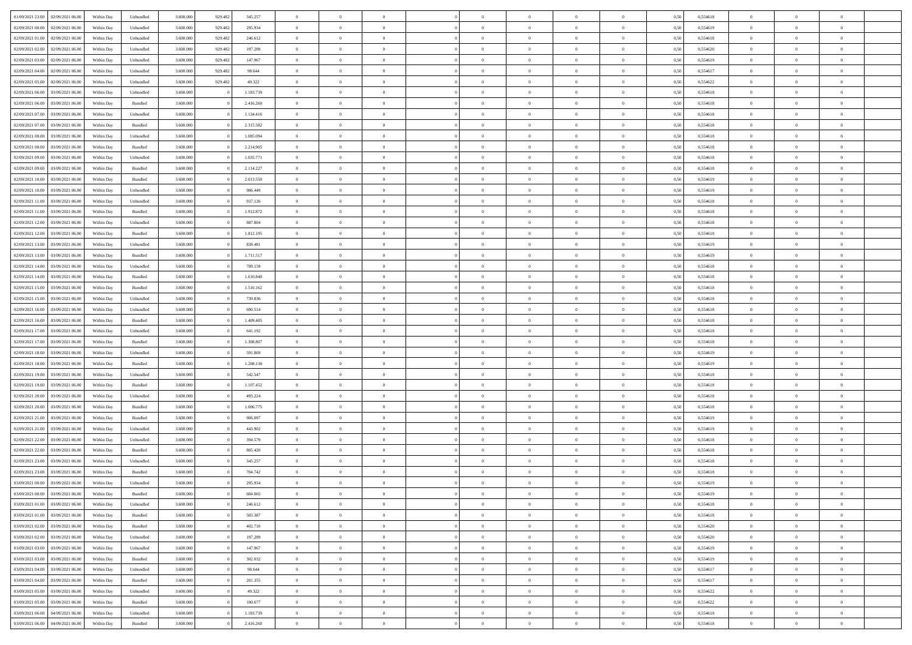| 01/09/2021 23:00<br>02/09/2021 06:00 | Within Day | Unbundled          | 3.600.000 | 929.482 | 345.257   | $\overline{0}$ | $\theta$       |                | $\overline{0}$ | $\bf{0}$       | $\overline{0}$ | $\theta$       | 0,50 | 0,554618 | $\theta$       | $\theta$       | $\theta$       |  |
|--------------------------------------|------------|--------------------|-----------|---------|-----------|----------------|----------------|----------------|----------------|----------------|----------------|----------------|------|----------|----------------|----------------|----------------|--|
| 02/09/2021 00:00<br>02/09/2021 06.00 | Within Day | Unbundled          | 3.600.000 | 929.482 | 295.934   | $\overline{0}$ | $\overline{0}$ | $\overline{0}$ | $\overline{0}$ | $\bf{0}$       | $\bf{0}$       | $\bf{0}$       | 0,50 | 0,554619 | $\,$ 0 $\,$    | $\overline{0}$ | $\overline{0}$ |  |
|                                      |            |                    |           |         |           |                |                |                |                |                |                |                |      |          |                |                |                |  |
| 02/09/2021 01:00<br>02/09/2021 06:00 | Within Day | Unbundled          | 3.600,000 | 929.482 | 246.612   | $\overline{0}$ | $\overline{0}$ | $\overline{0}$ | $\overline{0}$ | $\bf{0}$       | $\overline{0}$ | $\mathbf{0}$   | 0,50 | 0,554618 | $\overline{0}$ | $\overline{0}$ | $\bf{0}$       |  |
| 02/09/2021 02:00<br>02/09/2021 06:00 | Within Day | Unbundled          | 3.600.000 | 929.482 | 197.289   | $\overline{0}$ | $\overline{0}$ | $\overline{0}$ | $\overline{0}$ | $\,0\,$        | $\overline{0}$ | $\overline{0}$ | 0,50 | 0,554620 | $\,$ 0 $\,$    | $\overline{0}$ | $\overline{0}$ |  |
| 02/09/2021 03:00<br>02/09/2021 06.00 | Within Day | Unbundled          | 3.600.000 | 929.482 | 147.967   | $\overline{0}$ | $\overline{0}$ | $\overline{0}$ | $\overline{0}$ | $\,$ 0         | $\overline{0}$ | $\bf{0}$       | 0,50 | 0,554619 | $\,$ 0 $\,$    | $\overline{0}$ | $\overline{0}$ |  |
| 02/09/2021 04:00<br>02/09/2021 06:00 | Within Day | Unbundled          | 3.600,000 | 929.482 | 98.644    | $\overline{0}$ | $\overline{0}$ | $\overline{0}$ | $\overline{0}$ | $\bf{0}$       | $\overline{0}$ | $\bf{0}$       | 0.50 | 0.554617 | $\,0\,$        | $\overline{0}$ | $\overline{0}$ |  |
| 02/09/2021 05:00<br>02/09/2021 06:00 | Within Day | Unbundled          | 3.600.000 | 929.482 | 49.322    | $\overline{0}$ | $\overline{0}$ | $\overline{0}$ | $\overline{0}$ | $\bf{0}$       | $\overline{0}$ | $\bf{0}$       | 0,50 | 0,554622 | $\,$ 0 $\,$    | $\overline{0}$ | $\overline{0}$ |  |
| 02/09/2021 06:00<br>03/09/2021 06.00 | Within Day | Unbundled          | 3.600.000 |         | 1.183.739 | $\overline{0}$ | $\overline{0}$ | $\overline{0}$ | $\overline{0}$ | $\,$ 0         | $\bf{0}$       | $\bf{0}$       | 0,50 | 0,554618 | $\,$ 0 $\,$    | $\overline{0}$ | $\overline{0}$ |  |
| 02/09/2021 06:00<br>03/09/2021 06:00 | Within Day | Bundled            | 3.600,000 |         | 2.416.260 | $\overline{0}$ | $\overline{0}$ | $\overline{0}$ | $\overline{0}$ | $\bf{0}$       | $\overline{0}$ | $\bf{0}$       | 0.50 | 0.554618 | $\bf{0}$       | $\overline{0}$ | $\bf{0}$       |  |
| 02/09/2021 07:00<br>03/09/2021 06:00 | Within Day | Unbundled          | 3.600.000 |         | 1.134.416 | $\overline{0}$ | $\overline{0}$ | $\overline{0}$ | $\overline{0}$ | $\bf{0}$       | $\overline{0}$ | $\bf{0}$       | 0,50 | 0,554618 | $\,$ 0 $\,$    | $\overline{0}$ | $\overline{0}$ |  |
| 02/09/2021 07:00<br>03/09/2021 06.00 | Within Day | Bundled            | 3.600.000 |         | 2.315.582 | $\bf{0}$       | $\overline{0}$ | $\overline{0}$ | $\overline{0}$ | $\,$ 0         | $\bf{0}$       | $\bf{0}$       | 0,50 | 0,554618 | $\,$ 0 $\,$    | $\overline{0}$ | $\overline{0}$ |  |
| 02/09/2021 08:00<br>03/09/2021 06:00 | Within Day | Unbundled          | 3.600,000 |         | 1.085.094 | $\overline{0}$ | $\overline{0}$ | $\overline{0}$ | $\overline{0}$ | $\bf{0}$       | $\overline{0}$ | $\mathbf{0}$   | 0.50 | 0.554618 | $\overline{0}$ | $\,$ 0 $\,$    | $\bf{0}$       |  |
| 02/09/2021 08:00<br>03/09/2021 06:00 | Within Day | Bundled            | 3.600.000 |         | 2.214.905 | $\overline{0}$ | $\overline{0}$ | $\overline{0}$ | $\overline{0}$ | $\bf{0}$       | $\overline{0}$ | $\overline{0}$ | 0,50 | 0,554618 | $\,$ 0 $\,$    | $\overline{0}$ | $\overline{0}$ |  |
| 02/09/2021 09:00<br>03/09/2021 06.00 | Within Day | Unbundled          | 3.600.000 |         | 1.035.771 | $\overline{0}$ | $\theta$       | $\overline{0}$ | $\overline{0}$ | $\,$ 0         | $\overline{0}$ | $\bf{0}$       | 0,50 | 0,554618 | $\,$ 0 $\,$    | $\overline{0}$ | $\overline{0}$ |  |
| 02/09/2021 09:00<br>03/09/2021 06:00 | Within Day | Bundled            | 3.600,000 |         | 2.114.227 | $\overline{0}$ | $\overline{0}$ | $\overline{0}$ | $\overline{0}$ | $\bf{0}$       | $\overline{0}$ | $\bf{0}$       | 0.50 | 0.554618 | $\,0\,$        | $\theta$       | $\overline{0}$ |  |
| 02/09/2021 10:00<br>03/09/2021 06:00 |            |                    | 3.600.000 |         | 2.013.550 | $\overline{0}$ | $\overline{0}$ | $\overline{0}$ | $\overline{0}$ | $\bf{0}$       | $\overline{0}$ |                |      |          | $\,$ 0 $\,$    | $\theta$       | $\overline{0}$ |  |
|                                      | Within Day | Bundled            |           |         |           |                |                |                |                |                |                | $\bf{0}$       | 0,50 | 0,554619 |                |                |                |  |
| 02/09/2021 10:00<br>03/09/2021 06.00 | Within Day | Unbundled          | 3.600.000 |         | 986.449   | $\overline{0}$ | $\overline{0}$ | $\overline{0}$ | $\overline{0}$ | $\,$ 0         | $\bf{0}$       | $\bf{0}$       | 0,50 | 0,554619 | $\,$ 0 $\,$    | $\overline{0}$ | $\overline{0}$ |  |
| 02/09/2021 11:00<br>03/09/2021 06:00 | Within Day | Unbundled          | 3.600,000 |         | 937.126   | $\overline{0}$ | $\overline{0}$ | $\overline{0}$ | $\overline{0}$ | $\bf{0}$       | $\overline{0}$ | $\mathbf{0}$   | 0.50 | 0.554618 | $\bf{0}$       | $\overline{0}$ | $\bf{0}$       |  |
| 02/09/2021 11:00<br>03/09/2021 06:00 | Within Day | Bundled            | 3.600.000 |         | 1.912.872 | $\overline{0}$ | $\overline{0}$ | $\overline{0}$ | $\overline{0}$ | $\bf{0}$       | $\overline{0}$ | $\bf{0}$       | 0,50 | 0,554618 | $\,$ 0 $\,$    | $\overline{0}$ | $\overline{0}$ |  |
| 02/09/2021 12:00<br>03/09/2021 06.00 | Within Day | Unbundled          | 3.600.000 |         | 887.804   | $\overline{0}$ | $\overline{0}$ | $\overline{0}$ | $\overline{0}$ | $\bf{0}$       | $\bf{0}$       | $\bf{0}$       | 0,50 | 0,554618 | $\,$ 0 $\,$    | $\overline{0}$ | $\overline{0}$ |  |
| 02/09/2021 12:00<br>03/09/2021 06:00 | Within Day | Bundled            | 3.600,000 |         | 1.812.195 | $\overline{0}$ | $\overline{0}$ | $\overline{0}$ | $\overline{0}$ | $\bf{0}$       | $\overline{0}$ | $\mathbf{0}$   | 0.50 | 0.554618 | $\overline{0}$ | $\,$ 0 $\,$    | $\overline{0}$ |  |
| 02/09/2021 13:00<br>03/09/2021 06:00 | Within Day | Unbundled          | 3.600.000 |         | 838.481   | $\overline{0}$ | $\overline{0}$ | $\overline{0}$ | $\overline{0}$ | $\bf{0}$       | $\overline{0}$ | $\overline{0}$ | 0,50 | 0,554619 | $\,$ 0 $\,$    | $\overline{0}$ | $\overline{0}$ |  |
| 02/09/2021 13:00<br>03/09/2021 06.00 | Within Day | Bundled            | 3.600.000 |         | 1.711.517 | $\overline{0}$ | $\overline{0}$ | $\overline{0}$ | $\overline{0}$ | $\,$ 0         | $\overline{0}$ | $\bf{0}$       | 0,50 | 0,554619 | $\,$ 0 $\,$    | $\overline{0}$ | $\overline{0}$ |  |
| 02/09/2021 14:00<br>03/09/2021 06:00 | Within Day | Unbundled          | 3.600,000 |         | 789.159   | $\overline{0}$ | $\overline{0}$ | $\overline{0}$ | $\overline{0}$ | $\bf{0}$       | $\overline{0}$ | $\bf{0}$       | 0.50 | 0.554618 | $\,0\,$        | $\overline{0}$ | $\overline{0}$ |  |
| 02/09/2021 14:00<br>03/09/2021 06:00 | Within Day | Bundled            | 3.600.000 |         | 1.610.840 | $\overline{0}$ | $\overline{0}$ | $\overline{0}$ | $\overline{0}$ | $\bf{0}$       | $\overline{0}$ | $\bf{0}$       | 0,50 | 0,554618 | $\,$ 0 $\,$    | $\theta$       | $\overline{0}$ |  |
| 02/09/2021 15:00<br>03/09/2021 06.00 | Within Day | Bundled            | 3.600.000 |         | 1.510.162 | $\overline{0}$ | $\theta$       | $\overline{0}$ | $\overline{0}$ | $\,$ 0         | $\bf{0}$       | $\bf{0}$       | 0,50 | 0,554618 | $\,$ 0 $\,$    | $\overline{0}$ | $\overline{0}$ |  |
| 02/09/2021 15:00<br>03/09/2021 06:00 | Within Day | Unbundled          | 3.600,000 |         | 739,836   | $\overline{0}$ | $\overline{0}$ | $\overline{0}$ | $\overline{0}$ | $\bf{0}$       | $\overline{0}$ | $\bf{0}$       | 0.50 | 0.554618 | $\bf{0}$       | $\overline{0}$ | $\bf{0}$       |  |
| 02/09/2021 16:00<br>03/09/2021 06:00 | Within Day | Unbundled          | 3.600.000 |         | 690.514   | $\overline{0}$ | $\overline{0}$ | $\overline{0}$ | $\overline{0}$ | $\bf{0}$       | $\overline{0}$ | $\bf{0}$       | 0,50 | 0,554618 | $\,$ 0 $\,$    | $\overline{0}$ | $\overline{0}$ |  |
| 02/09/2021 16:00<br>03/09/2021 06.00 | Within Day | Bundled            | 3.600.000 |         | 1.409.485 | $\overline{0}$ | $\overline{0}$ | $\overline{0}$ | $\overline{0}$ | $\bf{0}$       | $\bf{0}$       | $\bf{0}$       | 0,50 | 0,554618 | $\,$ 0 $\,$    | $\overline{0}$ | $\overline{0}$ |  |
| 02/09/2021 17:00<br>03/09/2021 06:00 | Within Day | Unbundled          | 3.600,000 |         | 641.192   | $\overline{0}$ | $\overline{0}$ | $\overline{0}$ | $\overline{0}$ | $\bf{0}$       | $\overline{0}$ | $\mathbf{0}$   | 0.50 | 0.554618 | $\overline{0}$ | $\,$ 0 $\,$    | $\bf{0}$       |  |
|                                      |            |                    |           |         |           |                |                |                |                |                |                |                |      |          |                |                |                |  |
| 02/09/2021 17:00<br>03/09/2021 06:00 | Within Dav | Bundled            | 3.600.000 |         | 1.308.807 | $\overline{0}$ | $\overline{0}$ | $\overline{0}$ | $\overline{0}$ | $\overline{0}$ | $\overline{0}$ | $\overline{0}$ | 0.50 | 0,554618 | $\theta$       | $\overline{0}$ | $\overline{0}$ |  |
| 02/09/2021 18:00<br>03/09/2021 06.00 | Within Day | Unbundled          | 3.600.000 |         | 591.869   | $\overline{0}$ | $\overline{0}$ | $\overline{0}$ | $\overline{0}$ | $\,$ 0         | $\bf{0}$       | $\bf{0}$       | 0,50 | 0,554619 | $\,$ 0 $\,$    | $\overline{0}$ | $\overline{0}$ |  |
| 02/09/2021 18:00<br>03/09/2021 06:00 | Within Day | Bundled            | 3.600,000 |         | 1.208.130 | $\overline{0}$ | $\overline{0}$ | $\overline{0}$ | $\overline{0}$ | $\bf{0}$       | $\overline{0}$ | $\bf{0}$       | 0.50 | 0.554619 | $\,0\,$        | $\theta$       | $\overline{0}$ |  |
| 02/09/2021 19:00<br>03/09/2021 06:00 | Within Dav | Unbundled          | 3.600.000 |         | 542.547   | $\overline{0}$ | $\overline{0}$ | $\Omega$       | $\overline{0}$ | $\mathbf{0}$   | $\overline{0}$ | $\overline{0}$ | 0,50 | 0,554618 | $\theta$       | $\overline{0}$ | $\overline{0}$ |  |
| 02/09/2021 19:00<br>03/09/2021 06.00 | Within Day | Bundled            | 3.600.000 |         | 1.107.452 | $\bf{0}$       | $\overline{0}$ | $\overline{0}$ | $\overline{0}$ | $\,$ 0         | $\overline{0}$ | $\bf{0}$       | 0,50 | 0,554618 | $\,$ 0 $\,$    | $\overline{0}$ | $\overline{0}$ |  |
| 02/09/2021 20:00<br>03/09/2021 06:00 | Within Day | Unbundled          | 3.600,000 |         | 493.224   | $\overline{0}$ | $\overline{0}$ | $\overline{0}$ | $\overline{0}$ | $\bf{0}$       | $\overline{0}$ | $\mathbf{0}$   | 0.50 | 0.554618 | $\bf{0}$       | $\overline{0}$ | $\bf{0}$       |  |
| 02/09/2021 20:00<br>03/09/2021 06:00 | Within Dav | Bundled            | 3.600.000 |         | 1.006.775 | $\overline{0}$ | $\overline{0}$ | $\overline{0}$ | $\overline{0}$ | $\overline{0}$ | $\overline{0}$ | $\overline{0}$ | 0,50 | 0,554618 | $\theta$       | $\overline{0}$ | $\overline{0}$ |  |
| 02/09/2021 21:00<br>03/09/2021 06.00 | Within Day | Bundled            | 3.600.000 |         | 906.097   | $\bf{0}$       | $\overline{0}$ | $\overline{0}$ | $\bf{0}$       | $\bf{0}$       | $\overline{0}$ | $\bf{0}$       | 0,50 | 0,554619 | $\,$ 0 $\,$    | $\overline{0}$ | $\overline{0}$ |  |
| 02/09/2021 21:00<br>03/09/2021 06:00 | Within Day | Unbundled          | 3.600,000 |         | 443.902   | $\overline{0}$ | $\overline{0}$ | $\overline{0}$ | $\overline{0}$ | $\bf{0}$       | $\overline{0}$ | $\mathbf{0}$   | 0.50 | 0.554619 | $\overline{0}$ | $\,$ 0 $\,$    | $\overline{0}$ |  |
| 02/09/2021 22:00<br>03/09/2021 06:00 | Within Dav | Unbundled          | 3.600.000 |         | 394.579   | $\overline{0}$ | $\overline{0}$ | $\Omega$       | $\overline{0}$ | $\overline{0}$ | $\overline{0}$ | $\overline{0}$ | 0,50 | 0,554618 | $\theta$       | $\overline{0}$ | $\overline{0}$ |  |
| 02/09/2021 22:00<br>03/09/2021 06.00 | Within Day | Bundled            | 3.600.000 |         | 805.420   | $\overline{0}$ | $\overline{0}$ | $\overline{0}$ | $\overline{0}$ | $\bf{0}$       | $\overline{0}$ | $\bf{0}$       | 0,50 | 0,554618 | $\,$ 0 $\,$    | $\overline{0}$ | $\overline{0}$ |  |
| 02/09/2021 23:00<br>03/09/2021 06:00 | Within Day | Unbundled          | 3.600,000 |         | 345.257   | $\overline{0}$ | $\overline{0}$ | $\overline{0}$ | $\overline{0}$ | $\bf{0}$       | $\Omega$       | $\overline{0}$ | 0.50 | 0.554618 | $\,0\,$        | $\theta$       | $\overline{0}$ |  |
| 02/09/2021 23:00<br>03/09/2021 06:00 | Within Dav | Bundled            | 3.600.000 |         | 704.742   | $\overline{0}$ | $\theta$       | $\Omega$       | $\overline{0}$ | $\bf{0}$       | $\overline{0}$ | $\overline{0}$ | 0.50 | 0,554618 | $\theta$       | $\overline{0}$ | $\overline{0}$ |  |
| 03/09/2021 00:00<br>03/09/2021 06:00 | Within Day | Unbundled          | 3.600.000 |         | 295.934   | $\overline{0}$ | $\overline{0}$ | $\overline{0}$ | $\bf{0}$       | $\,$ 0         | $\bf{0}$       | $\bf{0}$       | 0,50 | 0,554619 | $\,$ 0 $\,$    | $\overline{0}$ | $\overline{0}$ |  |
| 03/09/2021 00:00 03/09/2021 06:00    | Within Day | $\mathbf B$ undled | 3.600.000 |         | 604.065   | $\bf{0}$       | $\bf{0}$       |                | $^{\circ}$     | $\Omega$       |                |                | 0,50 | 0,554619 | $\bf{0}$       | $\theta$       |                |  |
| 03/09/2021 01:00 03/09/2021 06:00    | Within Day | Unbundled          | 3.600.000 |         | 246.612   | $\overline{0}$ | $\overline{0}$ | $\overline{0}$ | $\overline{0}$ | $\overline{0}$ | $\overline{0}$ | $\mathbf{0}$   | 0,50 | 0,554618 | $\theta$       | $\overline{0}$ | $\overline{0}$ |  |
| 03/09/2021 01:00<br>03/09/2021 06:00 | Within Day | Bundled            | 3.600.000 |         | 503.387   | $\overline{0}$ | $\overline{0}$ | $\overline{0}$ | $\bf{0}$       | $\overline{0}$ | $\overline{0}$ |                | 0,50 | 0,554618 | $\overline{0}$ | $\overline{0}$ | $\bf{0}$       |  |
|                                      |            |                    |           |         |           |                |                |                |                |                |                | $\bf{0}$       |      |          |                |                |                |  |
| 03/09/2021 02:00<br>03/09/2021 06:00 | Within Day | Bundled            | 3.600.000 |         | 402.710   | $\overline{0}$ | $\overline{0}$ | $\overline{0}$ | $\overline{0}$ | $\overline{0}$ | $\overline{0}$ | $\mathbf{0}$   | 0.50 | 0.554620 | $\overline{0}$ | $\bf{0}$       | $\bf{0}$       |  |
| 03/09/2021 02:00<br>03/09/2021 06:00 | Within Day | Unbundled          | 3.600.000 |         | 197.289   | $\overline{0}$ | $\overline{0}$ | $\overline{0}$ | $\overline{0}$ | $\overline{0}$ | $\overline{0}$ | $\mathbf{0}$   | 0,50 | 0,554620 | $\overline{0}$ | $\theta$       | $\overline{0}$ |  |
| 03/09/2021 03:00<br>03/09/2021 06:00 | Within Day | Unbundled          | 3.600.000 |         | 147.967   | $\overline{0}$ | $\overline{0}$ | $\overline{0}$ | $\overline{0}$ | $\bf{0}$       | $\bf{0}$       | $\bf{0}$       | 0,50 | 0,554619 | $\bf{0}$       | $\overline{0}$ | $\overline{0}$ |  |
| 03/09/2021 03:00<br>03/09/2021 06:00 | Within Day | Bundled            | 3.600.000 |         | 302.032   | $\overline{0}$ | $\overline{0}$ | $\overline{0}$ | $\overline{0}$ | $\bf{0}$       | $\overline{0}$ | $\mathbf{0}$   | 0.50 | 0.554619 | $\,$ 0 $\,$    | $\overline{0}$ | $\overline{0}$ |  |
| 03/09/2021 04:00<br>03/09/2021 06:00 | Within Day | Unbundled          | 3.600.000 |         | 98.644    | $\overline{0}$ | $\overline{0}$ | $\overline{0}$ | $\overline{0}$ | $\overline{0}$ | $\overline{0}$ | $\overline{0}$ | 0,50 | 0,554617 | $\overline{0}$ | $\overline{0}$ | $\overline{0}$ |  |
| 03/09/2021 04:00<br>03/09/2021 06:00 | Within Day | Bundled            | 3.600.000 |         | 201.355   | $\overline{0}$ | $\overline{0}$ | $\overline{0}$ | $\bf{0}$       | $\overline{0}$ | $\overline{0}$ | $\bf{0}$       | 0,50 | 0,554617 | $\,$ 0 $\,$    | $\overline{0}$ | $\overline{0}$ |  |
| 03/09/2021 05:00<br>03/09/2021 06:00 | Within Day | Unbundled          | 3.600,000 |         | 49.322    | $\overline{0}$ | $\overline{0}$ | $\overline{0}$ | $\overline{0}$ | $\bf{0}$       | $\overline{0}$ | $\mathbf{0}$   | 0.50 | 0.554622 | $\mathbf{0}$   | $\bf{0}$       | $\bf{0}$       |  |
| 03/09/2021 05:00<br>03/09/2021 06:00 | Within Day | Bundled            | 3.600.000 |         | 100.677   | $\overline{0}$ | $\overline{0}$ | $\overline{0}$ | $\overline{0}$ | $\overline{0}$ | $\overline{0}$ | $\overline{0}$ | 0,50 | 0,554622 | $\overline{0}$ | $\overline{0}$ | $\overline{0}$ |  |
| 03/09/2021 06:00<br>04/09/2021 06.00 | Within Day | Unbundled          | 3.600.000 |         | 1.183.739 | $\overline{0}$ | $\bf{0}$       | $\overline{0}$ | $\bf{0}$       | $\bf{0}$       | $\bf{0}$       | $\bf{0}$       | 0,50 | 0,554618 | $\bf{0}$       | $\overline{0}$ | $\bf{0}$       |  |
| 03/09/2021 06:00 04/09/2021 06:00    | Within Day | Bundled            | 3.600.000 |         | 2.416.260 | $\,$ 0 $\,$    | $\,$ 0 $\,$    | $\overline{0}$ | $\overline{0}$ | $\,$ 0 $\,$    | $\,$ 0 $\,$    | $\,$ 0 $\,$    | 0,50 | 0,554618 | $\overline{0}$ | $\,$ 0 $\,$    | $\,$ 0 $\,$    |  |
|                                      |            |                    |           |         |           |                |                |                |                |                |                |                |      |          |                |                |                |  |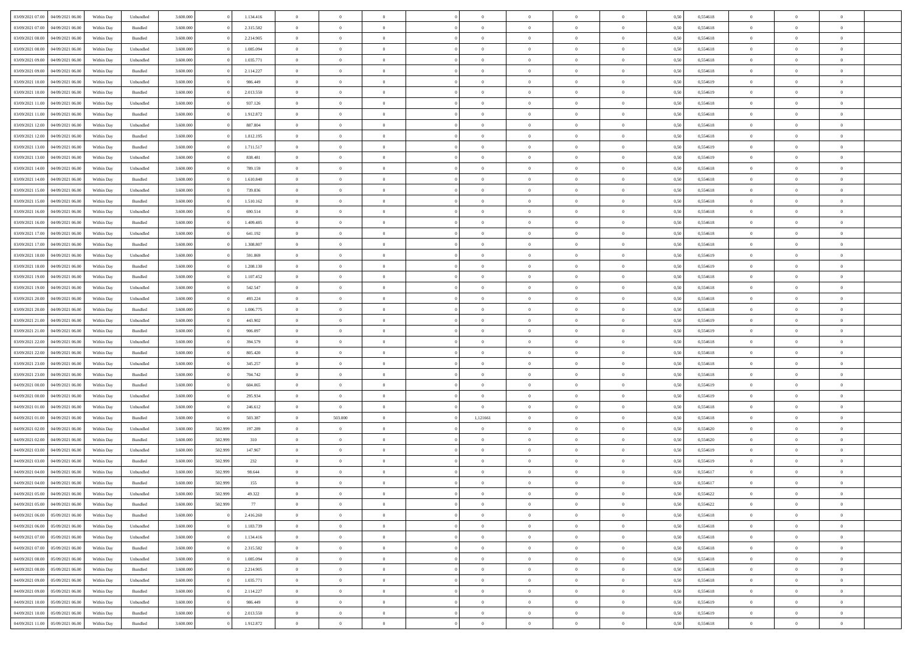| 03/09/2021 07:00                  | 04/09/2021 06:00 | Within Day         | Unbundled | 3.600.000 |         | 1.134.416 | $\overline{0}$ | $\theta$       |                | $\overline{0}$ | $\bf{0}$       | $\overline{0}$ | $\theta$       | 0,50 | 0,554618 | $\theta$       | $\theta$       | $\overline{0}$           |  |
|-----------------------------------|------------------|--------------------|-----------|-----------|---------|-----------|----------------|----------------|----------------|----------------|----------------|----------------|----------------|------|----------|----------------|----------------|--------------------------|--|
|                                   |                  |                    |           |           |         |           | $\overline{0}$ | $\theta$       |                |                |                |                |                |      |          |                |                | $\overline{0}$           |  |
| 03/09/2021 07:00                  | 04/09/2021 06.00 | Within Day         | Bundled   | 3.600.000 |         | 2.315.582 |                |                | $\overline{0}$ | $\overline{0}$ | $\,$ 0         | $\bf{0}$       | $\bf{0}$       | 0,50 | 0,554618 | $\,$ 0 $\,$    | $\overline{0}$ |                          |  |
| 03/09/2021 08:00                  | 04/09/2021 06:00 | Within Day         | Bundled   | 3.600,000 |         | 2.214.905 | $\overline{0}$ | $\overline{0}$ | $\overline{0}$ | $\overline{0}$ | $\bf{0}$       | $\overline{0}$ | $\overline{0}$ | 0,50 | 0,554618 | $\bf{0}$       | $\overline{0}$ | $\overline{0}$           |  |
| 03/09/2021 08:00                  | 04/09/2021 06.00 | Within Day         | Unbundled | 3.600.000 |         | 1.085.094 | $\overline{0}$ | $\overline{0}$ | $\overline{0}$ | $\overline{0}$ | $\,$ 0         | $\overline{0}$ | $\overline{0}$ | 0,50 | 0,554618 | $\,$ 0 $\,$    | $\overline{0}$ | $\overline{0}$           |  |
| 03/09/2021 09:00                  | 04/09/2021 06.00 | Within Day         | Unbundled | 3.600.000 |         | 1.035.771 | $\overline{0}$ | $\theta$       | $\overline{0}$ |                | $\overline{0}$ | $\overline{0}$ | $\bf{0}$       | 0,50 | 0,554618 | $\,$ 0 $\,$    | $\overline{0}$ | $\overline{0}$           |  |
| 03/09/2021 09:00                  | 04/09/2021 06:00 | Within Day         | Bundled   | 3.600,000 |         | 2.114.227 | $\overline{0}$ | $\overline{0}$ | $\overline{0}$ | $\overline{0}$ | $\bf{0}$       | $\overline{0}$ | $\overline{0}$ | 0.50 | 0.554618 | $\,0\,$        | $\theta$       | $\overline{0}$           |  |
| 03/09/2021 10:00                  | 04/09/2021 06.00 | Within Day         | Unbundled | 3.600.000 |         | 986.449   | $\overline{0}$ | $\overline{0}$ | $\overline{0}$ | $\overline{0}$ | $\,$ 0         | $\overline{0}$ | $\overline{0}$ | 0,50 | 0,554619 | $\,$ 0 $\,$    | $\theta$       | $\overline{0}$           |  |
| 03/09/2021 10:00                  | 04/09/2021 06.00 | Within Day         | Bundled   | 3.600.000 |         | 2.013.550 | $\overline{0}$ | $\theta$       | $\overline{0}$ | $\overline{0}$ | $\bf{0}$       | $\overline{0}$ | $\bf{0}$       | 0,50 | 0,554619 | $\,$ 0 $\,$    | $\overline{0}$ | $\overline{0}$           |  |
|                                   |                  |                    |           |           |         |           |                |                |                |                |                |                |                |      |          |                |                |                          |  |
| 03/09/2021 11:00                  | 04/09/2021 06:00 | Within Day         | Unbundled | 3.600,000 |         | 937.126   | $\overline{0}$ | $\overline{0}$ | $\overline{0}$ | $\overline{0}$ | $\bf{0}$       | $\overline{0}$ | $\bf{0}$       | 0.50 | 0.554618 | $\,0\,$        | $\overline{0}$ | $\overline{0}$           |  |
| 03/09/2021 11:00                  | 04/09/2021 06.00 | Within Day         | Bundled   | 3.600.000 |         | 1.912.872 | $\overline{0}$ | $\overline{0}$ | $\overline{0}$ | $\overline{0}$ | $\,$ 0         | $\overline{0}$ | $\bf{0}$       | 0,50 | 0,554618 | $\,$ 0 $\,$    | $\overline{0}$ | $\overline{0}$           |  |
| 03/09/2021 12:00                  | 04/09/2021 06.00 | Within Day         | Unbundled | 3.600.000 |         | 887.804   | $\bf{0}$       | $\theta$       | $\overline{0}$ | $\overline{0}$ | $\,$ 0         | $\overline{0}$ | $\bf{0}$       | 0,50 | 0,554618 | $\,$ 0 $\,$    | $\overline{0}$ | $\overline{0}$           |  |
| 03/09/2021 12:00                  | 04/09/2021 06:00 | Within Day         | Bundled   | 3.600,000 |         | 1.812.195 | $\overline{0}$ | $\overline{0}$ | $\overline{0}$ | $\overline{0}$ | $\bf{0}$       | $\overline{0}$ | $\mathbf{0}$   | 0.50 | 0.554618 | $\bf{0}$       | $\overline{0}$ | $\overline{\phantom{a}}$ |  |
| 03/09/2021 13:00                  | 04/09/2021 06.00 | Within Day         | Bundled   | 3.600.000 |         | 1.711.517 | $\overline{0}$ | $\overline{0}$ | $\overline{0}$ | $\overline{0}$ | $\,$ 0         | $\overline{0}$ | $\overline{0}$ | 0,50 | 0,554619 | $\,$ 0 $\,$    | $\overline{0}$ | $\overline{0}$           |  |
| 03/09/2021 13:00                  | 04/09/2021 06.00 | Within Day         | Unbundled | 3.600.000 |         | 838.481   | $\overline{0}$ | $\theta$       | $\overline{0}$ | $\overline{0}$ | $\overline{0}$ | $\overline{0}$ | $\bf{0}$       | 0,50 | 0,554619 | $\,$ 0 $\,$    | $\overline{0}$ | $\overline{0}$           |  |
| 03/09/2021 14:00                  | 04/09/2021 06:00 | Within Day         | Unbundled | 3.600,000 |         | 789.159   | $\overline{0}$ | $\overline{0}$ | $\overline{0}$ | $\overline{0}$ | $\bf{0}$       | $\overline{0}$ | $\bf{0}$       | 0.50 | 0.554618 | $\,0\,$        | $\theta$       | $\overline{0}$           |  |
| 03/09/2021 14:00                  | 04/09/2021 06.00 | Within Day         | Bundled   | 3.600.000 |         | 1.610.840 | $\overline{0}$ | $\overline{0}$ | $\overline{0}$ | $\overline{0}$ | $\,$ 0         | $\overline{0}$ | $\bf{0}$       | 0,50 | 0,554618 | $\,$ 0 $\,$    | $\theta$       | $\overline{0}$           |  |
|                                   |                  |                    |           |           |         |           |                |                |                |                |                |                |                |      |          |                |                |                          |  |
| 03/09/2021 15:00                  | 04/09/2021 06.00 | Within Day         | Unbundled | 3.600.000 |         | 739.836   | $\overline{0}$ | $\theta$       | $\overline{0}$ |                | $\bf{0}$       | $\overline{0}$ | $\bf{0}$       | 0,50 | 0,554618 | $\,$ 0 $\,$    | $\overline{0}$ | $\overline{0}$           |  |
| 03/09/2021 15:00                  | 04/09/2021 06:00 | Within Day         | Bundled   | 3.600,000 |         | 1.510.162 | $\overline{0}$ | $\overline{0}$ | $\overline{0}$ | $\overline{0}$ | $\bf{0}$       | $\overline{0}$ | $\bf{0}$       | 0.50 | 0.554618 | $\,0\,$        | $\overline{0}$ | $\overline{0}$           |  |
| 03/09/2021 16:00                  | 04/09/2021 06.00 | Within Day         | Unbundled | 3.600.000 |         | 690.514   | $\overline{0}$ | $\overline{0}$ | $\overline{0}$ | $\overline{0}$ | $\,$ 0         | $\overline{0}$ | $\bf{0}$       | 0,50 | 0,554618 | $\,$ 0 $\,$    | $\overline{0}$ | $\overline{0}$           |  |
| 03/09/2021 16:00                  | 04/09/2021 06.00 | Within Day         | Bundled   | 3.600.000 |         | 1.409.485 | $\overline{0}$ | $\theta$       | $\overline{0}$ | $\overline{0}$ | $\,$ 0         | $\bf{0}$       | $\bf{0}$       | 0,50 | 0,554618 | $\,$ 0 $\,$    | $\overline{0}$ | $\overline{0}$           |  |
| 03/09/2021 17:00                  | 04/09/2021 06:00 | Within Day         | Unbundled | 3.600,000 |         | 641.192   | $\overline{0}$ | $\overline{0}$ | $\overline{0}$ | $\overline{0}$ | $\bf{0}$       | $\overline{0}$ | $\mathbf{0}$   | 0.50 | 0.554618 | $\bf{0}$       | $\overline{0}$ | $\overline{0}$           |  |
| 03/09/2021 17:00                  | 04/09/2021 06.00 | Within Day         | Bundled   | 3.600.000 |         | 1.308.807 | $\overline{0}$ | $\overline{0}$ | $\overline{0}$ | $\overline{0}$ | $\bf{0}$       | $\overline{0}$ | $\overline{0}$ | 0,50 | 0,554618 | $\,$ 0 $\,$    | $\overline{0}$ | $\overline{0}$           |  |
| 03/09/2021 18:00                  | 04/09/2021 06.00 | Within Day         | Unbundled | 3.600.000 |         | 591.869   | $\overline{0}$ | $\theta$       | $\overline{0}$ | $\overline{0}$ | $\,$ 0         | $\overline{0}$ | $\bf{0}$       | 0,50 | 0,554619 | $\,$ 0 $\,$    | $\overline{0}$ | $\overline{0}$           |  |
|                                   |                  |                    |           |           |         |           |                |                |                |                |                |                |                |      |          |                |                |                          |  |
| 03/09/2021 18:00                  | 04/09/2021 06:00 | Within Day         | Bundled   | 3.600,000 |         | 1.208.130 | $\overline{0}$ | $\overline{0}$ | $\overline{0}$ | $\overline{0}$ | $\bf{0}$       | $\overline{0}$ | $\bf{0}$       | 0.50 | 0.554619 | $\,0\,$        | $\theta$       | $\overline{0}$           |  |
| 03/09/2021 19:00                  | 04/09/2021 06.00 | Within Day         | Bundled   | 3.600.000 |         | 1.107.452 | $\overline{0}$ | $\theta$       | $\overline{0}$ | $\overline{0}$ | $\,$ 0         | $\overline{0}$ | $\overline{0}$ | 0,50 | 0,554618 | $\,0\,$        | $\theta$       | $\overline{0}$           |  |
| 03/09/2021 19:00                  | 04/09/2021 06.00 | Within Day         | Unbundled | 3.600.000 |         | 542.547   | $\overline{0}$ | $\theta$       | $\overline{0}$ |                | $\bf{0}$       | $\overline{0}$ | $\bf{0}$       | 0,50 | 0,554618 | $\,$ 0 $\,$    | $\overline{0}$ | $\overline{0}$           |  |
| 03/09/2021 20:00                  | 04/09/2021 06:00 | Within Day         | Unbundled | 3.600,000 |         | 493.224   | $\overline{0}$ | $\overline{0}$ | $\overline{0}$ | $\overline{0}$ | $\bf{0}$       | $\overline{0}$ | $\bf{0}$       | 0.50 | 0.554618 | $\,0\,$        | $\overline{0}$ | $\overline{0}$           |  |
| 03/09/2021 20:00                  | 04/09/2021 06.00 | Within Day         | Bundled   | 3.600.000 |         | 1.006.775 | $\overline{0}$ | $\overline{0}$ | $\overline{0}$ | $\overline{0}$ | $\,$ 0         | $\overline{0}$ | $\bf{0}$       | 0,50 | 0,554618 | $\,$ 0 $\,$    | $\overline{0}$ | $\overline{0}$           |  |
| 03/09/2021 21:00                  | 04/09/2021 06.00 | Within Day         | Unbundled | 3.600.000 |         | 443.902   | $\overline{0}$ | $\overline{0}$ | $\overline{0}$ | $\overline{0}$ | $\,$ 0         | $\overline{0}$ | $\bf{0}$       | 0,50 | 0,554619 | $\,$ 0 $\,$    | $\overline{0}$ | $\overline{0}$           |  |
| 03/09/2021 21:00                  | 04/09/2021 06:00 | Within Day         | Bundled   | 3.600,000 |         | 906,097   | $\overline{0}$ | $\overline{0}$ | $\overline{0}$ | $\overline{0}$ | $\bf{0}$       | $\overline{0}$ | $\mathbf{0}$   | 0.50 | 0.554619 | $\bf{0}$       | $\overline{0}$ | $\overline{\phantom{a}}$ |  |
| 03/09/2021 22:00                  | 04/09/2021 06:00 | Within Dav         | Unbundled | 3.600.000 |         | 394.579   | $\overline{0}$ | $\overline{0}$ | $\overline{0}$ | $\overline{0}$ | $\mathbf{0}$   | $\overline{0}$ | $\overline{0}$ | 0.50 | 0,554618 | $\theta$       | $\overline{0}$ | $\overline{0}$           |  |
|                                   |                  |                    |           |           |         |           |                |                |                |                |                |                |                |      |          |                |                |                          |  |
| 03/09/2021 22.00                  | 04/09/2021 06.00 | Within Day         | Bundled   | 3.600.000 |         | 805.420   | $\overline{0}$ | $\theta$       | $\overline{0}$ | $\overline{0}$ | $\,$ 0         | $\overline{0}$ | $\bf{0}$       | 0,50 | 0,554618 | $\,$ 0 $\,$    | $\overline{0}$ | $\overline{0}$           |  |
| 03/09/2021 23:00                  | 04/09/2021 06:00 | Within Day         | Unbundled | 3.600,000 |         | 345.257   | $\overline{0}$ | $\overline{0}$ | $\overline{0}$ | $\overline{0}$ | $\bf{0}$       | $\overline{0}$ | $\bf{0}$       | 0.50 | 0.554618 | $\,0\,$        | $\theta$       | $\overline{0}$           |  |
| 03/09/2021 23:00                  | 04/09/2021 06:00 | Within Dav         | Bundled   | 3.600.000 |         | 704.742   | $\overline{0}$ | $\theta$       | $\Omega$       | $\overline{0}$ | $\bf{0}$       | $\overline{0}$ | $\overline{0}$ | 0.50 | 0,554618 | $\theta$       | $\overline{0}$ | $\overline{0}$           |  |
| 04/09/2021 00:00                  | 04/09/2021 06.00 | Within Day         | Bundled   | 3.600.000 |         | 604.065   | $\bf{0}$       | $\theta$       | $\overline{0}$ | $\overline{0}$ | $\,$ 0         | $\overline{0}$ | $\bf{0}$       | 0,50 | 0,554619 | $\,$ 0 $\,$    | $\overline{0}$ | $\overline{0}$           |  |
| 04/09/2021 00:00                  | 04/09/2021 06:00 | Within Day         | Unbundled | 3.600,000 |         | 295.934   | $\overline{0}$ | $\overline{0}$ | $\overline{0}$ | $\overline{0}$ | $\bf{0}$       | $\overline{0}$ | $\bf{0}$       | 0.50 | 0.554619 | $\,0\,$        | $\overline{0}$ | $\overline{0}$           |  |
| 04/09/2021 01:00                  | 04/09/2021 06:00 | Within Dav         | Unbundled | 3.600.000 |         | 246.612   | $\overline{0}$ | $\overline{0}$ | $\overline{0}$ | $\overline{0}$ | $\overline{0}$ | $\overline{0}$ | $\overline{0}$ | 0.50 | 0,554618 | $\theta$       | $\overline{0}$ | $\overline{0}$           |  |
| 04/09/2021 01:00                  | 04/09/2021 06.00 | Within Day         | Bundled   | 3.600.000 |         | 503.387   | $\overline{0}$ | 503.000        | $\overline{0}$ | 1,121661       | $\bf{0}$       | $\bf{0}$       | $\bf{0}$       | 0,50 | 0,554618 | $\,$ 0 $\,$    | $\overline{0}$ | $\overline{0}$           |  |
| 04/09/2021 02:00                  | 04/09/2021 06:00 | Within Day         | Unbundled | 3.600,000 | 502.999 | 197.289   | $\overline{0}$ | $\overline{0}$ | $\overline{0}$ | $\overline{0}$ | $\bf{0}$       | $\overline{0}$ | $\mathbf{0}$   | 0.50 | 0.554620 | $\bf{0}$       | $\overline{0}$ | $\overline{0}$           |  |
|                                   |                  |                    |           |           |         |           |                |                |                |                |                |                |                |      |          |                |                |                          |  |
| 04/09/2021 02:00                  | 04/09/2021 06:00 | Within Dav         | Bundled   | 3.600.000 | 502.999 | 310       | $\overline{0}$ | $\overline{0}$ | $\Omega$       | $\overline{0}$ | $\bf{0}$       | $\overline{0}$ | $\overline{0}$ | 0.50 | 0,554620 | $\theta$       | $\overline{0}$ | $\overline{0}$           |  |
| 04/09/2021 03:00                  | 04/09/2021 06.00 | Within Day         | Unbundled | 3.600.000 | 502.999 | 147.967   | $\overline{0}$ | $\overline{0}$ | $\overline{0}$ | $\overline{0}$ | $\,$ 0         | $\overline{0}$ | $\bf{0}$       | 0,50 | 0,554619 | $\,$ 0 $\,$    | $\overline{0}$ | $\overline{0}$           |  |
| 04/09/2021 03:00                  | 04/09/2021 06:00 | Within Day         | Bundled   | 3.600,000 | 502.999 | 232       | $\overline{0}$ | $\theta$       | $\overline{0}$ | $\overline{0}$ | $\bf{0}$       | $\Omega$       | $\overline{0}$ | 0.50 | 0.554619 | $\,0\,$        | $\theta$       | $\overline{0}$           |  |
| 04/09/2021 04:00                  | 04/09/2021 06:00 | Within Dav         | Unbundled | 3.600.000 | 502.999 | 98.644    | $\overline{0}$ | $\Omega$       | $\Omega$       | $\Omega$       | $\bf{0}$       | $\overline{0}$ | $\Omega$       | 0.50 | 0,554617 | $\theta$       | $\theta$       | $\overline{0}$           |  |
| 04/09/2021 04:00                  | 04/09/2021 06.00 | Within Day         | Bundled   | 3.600.000 | 502.999 | 155       | $\overline{0}$ | $\,$ 0 $\,$    | $\overline{0}$ | $\overline{0}$ | $\,$ 0         | $\bf{0}$       | $\bf{0}$       | 0,50 | 0,554617 | $\,$ 0 $\,$    | $\overline{0}$ | $\overline{0}$           |  |
| 04/09/2021 05:00                  | 04/09/2021 06:00 | Within ${\bf Day}$ | Unbundled | 3.600.000 | 502.999 | 49.322    | $\bf{0}$       | $\theta$       |                |                |                |                |                | 0,50 | 0,554622 | $\bf{0}$       | $\theta$       |                          |  |
| 04/09/2021 05:00 04/09/2021 06:00 |                  | Within Day         | Bundled   | 3.600.000 | 502.999 | 77        | $\overline{0}$ | $\overline{0}$ | $\overline{0}$ | $\overline{0}$ | $\overline{0}$ | $\overline{0}$ | $\mathbf{0}$   | 0,50 | 0,554622 | $\theta$       | $\overline{0}$ | $\overline{0}$           |  |
| 04/09/2021 06:00                  | 05/09/2021 06:00 | Within Day         | Bundled   | 3.600.000 |         | 2.416.260 | $\overline{0}$ | $\overline{0}$ | $\overline{0}$ | $\bf{0}$       | $\overline{0}$ | $\overline{0}$ | $\bf{0}$       | 0,50 | 0,554618 | $\bf{0}$       | $\overline{0}$ | $\bf{0}$                 |  |
| 04/09/2021 06:00                  |                  |                    |           | 3.600.000 |         | 1.183.739 | $\overline{0}$ | $\overline{0}$ |                | $\overline{0}$ | $\overline{0}$ | $\overline{0}$ |                | 0.50 | 0.554618 | $\overline{0}$ | $\bf{0}$       | $\bf{0}$                 |  |
|                                   | 05/09/2021 06:00 | Within Day         | Unbundled |           |         |           |                |                | $\overline{0}$ |                |                |                | $\mathbf{0}$   |      |          |                |                |                          |  |
| 04/09/2021 07:00                  | 05/09/2021 06:00 | Within Day         | Unbundled | 3.600.000 |         | 1.134.416 | $\overline{0}$ | $\overline{0}$ | $\overline{0}$ | $\overline{0}$ | $\overline{0}$ | $\overline{0}$ | $\mathbf{0}$   | 0,50 | 0,554618 | $\overline{0}$ | $\theta$       | $\overline{0}$           |  |
| 04/09/2021 07:00                  | 05/09/2021 06:00 | Within Day         | Bundled   | 3.600.000 |         | 2.315.582 | $\overline{0}$ | $\overline{0}$ | $\overline{0}$ | $\overline{0}$ | $\bf{0}$       | $\bf{0}$       | $\bf{0}$       | 0,50 | 0,554618 | $\bf{0}$       | $\overline{0}$ | $\overline{0}$           |  |
| 04/09/2021 08:00                  | 05/09/2021 06:00 | Within Day         | Unbundled | 3.600.000 |         | 1.085.094 | $\overline{0}$ | $\overline{0}$ | $\overline{0}$ | $\overline{0}$ | $\bf{0}$       | $\overline{0}$ | $\mathbf{0}$   | 0.50 | 0.554618 | $\,$ 0 $\,$    | $\overline{0}$ | $\overline{0}$           |  |
| 04/09/2021 08:00                  | 05/09/2021 06:00 | Within Day         | Bundled   | 3.600.000 |         | 2.214.905 | $\overline{0}$ | $\overline{0}$ | $\overline{0}$ | $\overline{0}$ | $\overline{0}$ | $\overline{0}$ | $\overline{0}$ | 0,50 | 0,554618 | $\overline{0}$ | $\theta$       | $\overline{0}$           |  |
| 04/09/2021 09:00                  | 05/09/2021 06:00 | Within Day         | Unbundled | 3.600.000 |         | 1.035.771 | $\overline{0}$ | $\,$ 0         | $\overline{0}$ | $\bf{0}$       | $\overline{0}$ | $\overline{0}$ | $\bf{0}$       | 0,50 | 0,554618 | $\,$ 0 $\,$    | $\overline{0}$ | $\overline{0}$           |  |
| 04/09/2021 09:00                  | 05/09/2021 06:00 | Within Day         | Bundled   | 3.600,000 |         | 2.114.227 | $\overline{0}$ | $\overline{0}$ | $\overline{0}$ | $\overline{0}$ | $\bf{0}$       | $\overline{0}$ | $\mathbf{0}$   | 0.50 | 0.554618 | $\mathbf{0}$   | $\bf{0}$       | $\bf{0}$                 |  |
| 04/09/2021 10:00                  | 05/09/2021 06:00 | Within Day         | Unbundled | 3.600.000 |         | 986.449   | $\overline{0}$ | $\overline{0}$ | $\overline{0}$ | $\overline{0}$ | $\overline{0}$ | $\overline{0}$ | $\overline{0}$ | 0,50 | 0,554619 | $\overline{0}$ | $\overline{0}$ | $\overline{0}$           |  |
|                                   |                  |                    |           |           |         |           |                | $\overline{0}$ |                | $\bf{0}$       | $\bf{0}$       |                |                |      |          | $\bf{0}$       | $\overline{0}$ | $\bf{0}$                 |  |
| 04/09/2021 10:00                  | 05/09/2021 06:00 | Within Day         | Bundled   | 3.600.000 |         | 2.013.550 | $\overline{0}$ |                | $\overline{0}$ |                |                | $\bf{0}$       | $\bf{0}$       | 0,50 | 0,554619 |                |                |                          |  |
| 04/09/2021 11:00                  | 05/09/2021 06:00 | Within Day         | Bundled   | 3.600.000 |         | 1.912.872 | $\,$ 0 $\,$    | $\,$ 0 $\,$    | $\overline{0}$ | $\overline{0}$ | $\,$ 0 $\,$    | $\,$ 0 $\,$    | $\,$ 0 $\,$    | 0,50 | 0,554618 | $\overline{0}$ | $\,$ 0 $\,$    | $\,$ 0 $\,$              |  |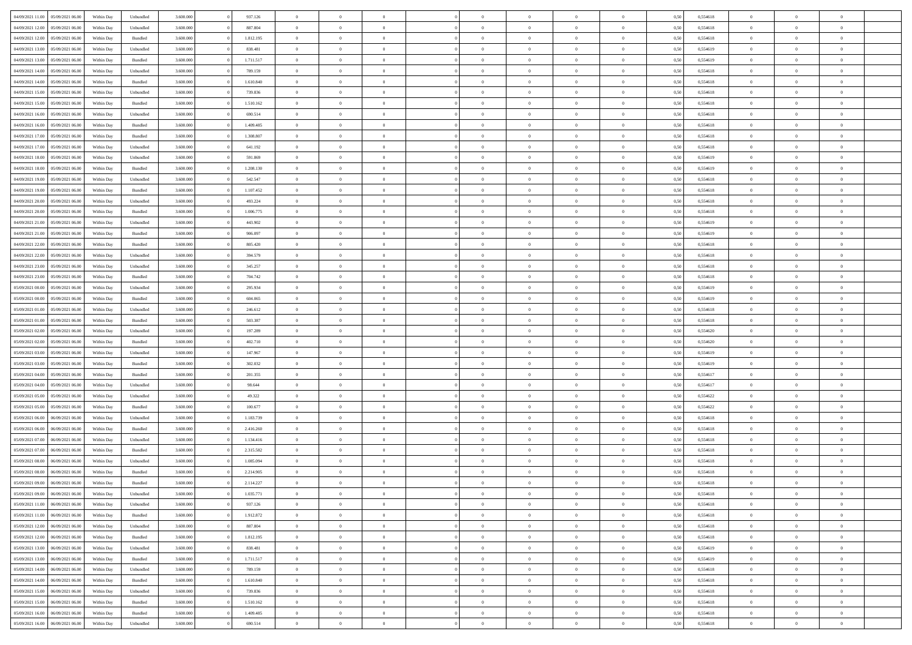|                                   |                  |            |           |           |           | $\overline{0}$ | $\Omega$       |                |                | $\Omega$       | $\Omega$       | $\theta$       |      |          | $\theta$       |                | $\theta$       |  |
|-----------------------------------|------------------|------------|-----------|-----------|-----------|----------------|----------------|----------------|----------------|----------------|----------------|----------------|------|----------|----------------|----------------|----------------|--|
| 04/09/2021 11:00                  | 05/09/2021 06:00 | Within Day | Unbundled | 3.600.000 | 937.126   |                |                |                | $\Omega$       |                |                |                | 0,50 | 0,554618 |                | $\theta$       |                |  |
| 04/09/2021 12:00                  | 05/09/2021 06:00 | Within Day | Unbundled | 3.600.000 | 887.804   | $\overline{0}$ | $\theta$       | $\overline{0}$ | $\overline{0}$ | $\bf{0}$       | $\overline{0}$ | $\bf{0}$       | 0,50 | 0,554618 | $\theta$       | $\theta$       | $\overline{0}$ |  |
| 04/09/2021 12:00                  | 05/09/2021 06:00 | Within Day | Bundled   | 3.600.000 | 1.812.195 | $\overline{0}$ | $\overline{0}$ | $\overline{0}$ | $\bf{0}$       | $\bf{0}$       | $\bf{0}$       | $\bf{0}$       | 0,50 | 0,554618 | $\overline{0}$ | $\overline{0}$ | $\overline{0}$ |  |
| 04/09/2021 13:00                  | 05/09/2021 06:00 | Within Dav | Unbundled | 3.600.000 | 838.481   | $\overline{0}$ | $\overline{0}$ | $\overline{0}$ | $\overline{0}$ | $\bf{0}$       | $\overline{0}$ | $\overline{0}$ | 0.50 | 0.554619 | $\theta$       | $\theta$       | $\overline{0}$ |  |
|                                   |                  |            |           |           |           |                |                |                |                |                |                |                |      |          |                |                |                |  |
| 04/09/2021 13:00                  | 05/09/2021 06:00 | Within Day | Bundled   | 3.600.000 | 1.711.517 | $\overline{0}$ | $\theta$       | $\overline{0}$ | $\overline{0}$ | $\bf{0}$       | $\overline{0}$ | $\bf{0}$       | 0,50 | 0,554619 | $\theta$       | $\theta$       | $\overline{0}$ |  |
| 04/09/2021 14:00                  | 05/09/2021 06:00 | Within Day | Unbundled | 3.600.000 | 789.159   | $\overline{0}$ | $\bf{0}$       | $\overline{0}$ | $\bf{0}$       | $\overline{0}$ | $\overline{0}$ | $\mathbf{0}$   | 0,50 | 0,554618 | $\overline{0}$ | $\overline{0}$ | $\bf{0}$       |  |
| 04/09/2021 14:00                  | 05/09/2021 06:00 | Within Dav | Bundled   | 3.600.000 | 1.610.840 | $\overline{0}$ | $\overline{0}$ | $\overline{0}$ | $\overline{0}$ | $\overline{0}$ | $\overline{0}$ | $\overline{0}$ | 0.50 | 0,554618 | $\theta$       | $\theta$       | $\overline{0}$ |  |
| 04/09/2021 15:00                  | 05/09/2021 06:00 | Within Day | Unbundled | 3.600.000 | 739.836   | $\overline{0}$ | $\theta$       | $\overline{0}$ | $\overline{0}$ | $\bf{0}$       | $\overline{0}$ | $\bf{0}$       | 0,50 | 0,554618 | $\theta$       | $\theta$       | $\overline{0}$ |  |
|                                   |                  |            |           |           |           |                | $\overline{0}$ |                |                | $\bf{0}$       |                |                |      |          | $\,0\,$        | $\overline{0}$ | $\overline{0}$ |  |
| 04/09/2021 15:00                  | 05/09/2021 06:00 | Within Day | Bundled   | 3.600.000 | 1.510.162 | $\overline{0}$ |                | $\overline{0}$ | $\bf{0}$       |                | $\bf{0}$       | $\bf{0}$       | 0,50 | 0,554618 |                |                |                |  |
| 04/09/2021 16:00                  | 05/09/2021 06:00 | Within Dav | Unbundled | 3.600.000 | 690.514   | $\overline{0}$ | $\overline{0}$ | $\overline{0}$ | $\overline{0}$ | $\overline{0}$ | $\overline{0}$ | $\overline{0}$ | 0.50 | 0.554618 | $\theta$       | $\overline{0}$ | $\overline{0}$ |  |
| 04/09/2021 16:00                  | 05/09/2021 06:00 | Within Day | Bundled   | 3.600.000 | 1.409.485 | $\overline{0}$ | $\theta$       | $\overline{0}$ | $\overline{0}$ | $\bf{0}$       | $\overline{0}$ | $\bf{0}$       | 0,50 | 0,554618 | $\theta$       | $\theta$       | $\overline{0}$ |  |
| 04/09/2021 17:00                  | 05/09/2021 06:00 | Within Day | Bundled   | 3.600.000 | 1.308.807 | $\overline{0}$ | $\overline{0}$ | $\overline{0}$ | $\bf{0}$       | $\bf{0}$       | $\bf{0}$       | $\bf{0}$       | 0,50 | 0,554618 | $\overline{0}$ | $\overline{0}$ | $\overline{0}$ |  |
| 04/09/2021 17:00                  | 05/09/2021 06:00 | Within Day | Unbundled | 3.600.000 | 641.192   | $\overline{0}$ | $\overline{0}$ | $\overline{0}$ | $\overline{0}$ | $\bf{0}$       | $\overline{0}$ | $\overline{0}$ | 0.50 | 0.554618 | $\theta$       | $\theta$       | $\overline{0}$ |  |
|                                   |                  |            |           |           |           | $\overline{0}$ | $\theta$       |                |                |                |                |                |      |          | $\theta$       |                |                |  |
| 04/09/2021 18:00                  | 05/09/2021 06:00 | Within Day | Unbundled | 3.600.000 | 591.869   |                |                | $\overline{0}$ | $\overline{0}$ | $\bf{0}$       | $\overline{0}$ | $\bf{0}$       | 0,50 | 0,554619 |                | $\theta$       | $\overline{0}$ |  |
| 04/09/2021 18:00                  | 05/09/2021 06:00 | Within Day | Bundled   | 3.600.000 | 1.208.130 | $\overline{0}$ | $\overline{0}$ | $\overline{0}$ | $\bf{0}$       | $\overline{0}$ | $\overline{0}$ | $\mathbf{0}$   | 0,50 | 0,554619 | $\overline{0}$ | $\overline{0}$ | $\bf{0}$       |  |
| 04/09/2021 19:00                  | 05/09/2021 06:00 | Within Dav | Unbundled | 3.600.000 | 542.547   | $\overline{0}$ | $\overline{0}$ | $\overline{0}$ | $\overline{0}$ | $\overline{0}$ | $\overline{0}$ | $\overline{0}$ | 0.50 | 0.554618 | $\theta$       | $\overline{0}$ | $\overline{0}$ |  |
| 04/09/2021 19:00                  | 05/09/2021 06:00 | Within Day | Bundled   | 3.600.000 | 1.107.452 | $\overline{0}$ | $\theta$       | $\overline{0}$ | $\overline{0}$ | $\bf{0}$       | $\overline{0}$ | $\bf{0}$       | 0,50 | 0,554618 | $\theta$       | $\theta$       | $\overline{0}$ |  |
| 04/09/2021 20:00                  | 05/09/2021 06:00 | Within Day | Unbundled | 3.600.000 | 493.224   | $\overline{0}$ | $\overline{0}$ | $\overline{0}$ | $\bf{0}$       | $\bf{0}$       | $\bf{0}$       | $\bf{0}$       | 0,50 | 0,554618 | $\,0\,$        | $\overline{0}$ | $\overline{0}$ |  |
|                                   |                  |            |           |           |           |                |                |                |                |                |                |                |      |          |                |                |                |  |
| 04/09/2021 20:00                  | 05/09/2021 06:00 | Within Day | Bundled   | 3.600.000 | 1.006.775 | $\overline{0}$ | $\overline{0}$ | $\overline{0}$ | $\overline{0}$ | $\overline{0}$ | $\overline{0}$ | $\overline{0}$ | 0.50 | 0.554618 | $\theta$       | $\overline{0}$ | $\overline{0}$ |  |
| 04/09/2021 21:00                  | 05/09/2021 06:00 | Within Day | Unbundled | 3.600.000 | 443.902   | $\overline{0}$ | $\theta$       | $\overline{0}$ | $\overline{0}$ | $\bf{0}$       | $\overline{0}$ | $\bf{0}$       | 0,50 | 0,554619 | $\,$ 0 $\,$    | $\theta$       | $\overline{0}$ |  |
| 04/09/2021 21.00                  | 05/09/2021 06:00 | Within Day | Bundled   | 3.600.000 | 906.097   | $\overline{0}$ | $\overline{0}$ | $\overline{0}$ | $\bf{0}$       | $\bf{0}$       | $\bf{0}$       | $\bf{0}$       | 0,50 | 0,554619 | $\bf{0}$       | $\overline{0}$ | $\overline{0}$ |  |
| 04/09/2021 22:00                  | 05/09/2021 06:00 | Within Day | Bundled   | 3.600,000 | 805.420   | $\overline{0}$ | $\overline{0}$ | $\overline{0}$ | $\overline{0}$ | $\bf{0}$       | $\overline{0}$ | $\overline{0}$ | 0.50 | 0.554618 | $\theta$       | $\theta$       | $\overline{0}$ |  |
| 04/09/2021 22.00                  | 05/09/2021 06:00 |            |           | 3.600.000 | 394.579   | $\overline{0}$ | $\theta$       | $\overline{0}$ | $\overline{0}$ | $\bf{0}$       | $\overline{0}$ |                |      | 0,554618 | $\theta$       | $\overline{0}$ | $\overline{0}$ |  |
|                                   |                  | Within Day | Unbundled |           |           |                |                |                |                |                |                | $\bf{0}$       | 0,50 |          |                |                |                |  |
| 04/09/2021 23.00                  | 05/09/2021 06:00 | Within Day | Unbundled | 3.600.000 | 345.257   | $\overline{0}$ | $\bf{0}$       | $\overline{0}$ | $\bf{0}$       | $\overline{0}$ | $\overline{0}$ | $\mathbf{0}$   | 0,50 | 0,554618 | $\overline{0}$ | $\overline{0}$ | $\bf{0}$       |  |
| 04/09/2021 23:00                  | 05/09/2021 06:00 | Within Dav | Bundled   | 3.600.000 | 704.742   | $\overline{0}$ | $\overline{0}$ | $\overline{0}$ | $\overline{0}$ | $\overline{0}$ | $\overline{0}$ | $\overline{0}$ | 0.50 | 0.554618 | $\theta$       | $\theta$       | $\overline{0}$ |  |
| 05/09/2021 00:00                  | 05/09/2021 06:00 | Within Day | Unbundled | 3.600.000 | 295.934   | $\overline{0}$ | $\theta$       | $\overline{0}$ | $\overline{0}$ | $\bf{0}$       | $\overline{0}$ | $\bf{0}$       | 0,50 | 0,554619 | $\theta$       | $\theta$       | $\overline{0}$ |  |
| 05/09/2021 00:00                  | 05/09/2021 06:00 | Within Day | Bundled   | 3.600.000 | 604.065   | $\overline{0}$ | $\overline{0}$ | $\overline{0}$ | $\bf{0}$       | $\bf{0}$       | $\bf{0}$       | $\bf{0}$       | 0,50 | 0,554619 | $\,0\,$        | $\overline{0}$ | $\overline{0}$ |  |
|                                   |                  |            |           |           |           |                | $\overline{0}$ |                |                | $\overline{0}$ |                |                |      |          | $\theta$       | $\overline{0}$ | $\overline{0}$ |  |
| 05/09/2021 01:00                  | 05/09/2021 06:00 | Within Day | Unbundled | 3.600.000 | 246.612   | $\overline{0}$ |                | $\overline{0}$ | $\overline{0}$ |                | $\overline{0}$ | $\overline{0}$ | 0.50 | 0.554618 |                |                |                |  |
| 05/09/2021 01:00                  | 05/09/2021 06:00 | Within Day | Bundled   | 3.600.000 | 503.387   | $\overline{0}$ | $\theta$       | $\overline{0}$ | $\overline{0}$ | $\bf{0}$       | $\overline{0}$ | $\bf{0}$       | 0,50 | 0,554618 | $\,$ 0 $\,$    | $\overline{0}$ | $\overline{0}$ |  |
| 05/09/2021 02:00                  | 05/09/2021 06:00 | Within Day | Unbundled | 3.600.000 | 197.289   | $\overline{0}$ | $\overline{0}$ | $\overline{0}$ | $\bf{0}$       | $\bf{0}$       | $\bf{0}$       | $\bf{0}$       | 0,50 | 0,554620 | $\bf{0}$       | $\overline{0}$ | $\overline{0}$ |  |
| 05/09/2021 02:00                  | 05/09/2021 06:00 | Within Day | Bundled   | 3.600.000 | 402.710   | $\overline{0}$ | $\Omega$       | $\Omega$       | $\Omega$       | $\Omega$       | $\Omega$       | $\overline{0}$ | 0,50 | 0,554620 | $\,0\,$        | $\theta$       | $\theta$       |  |
| 05/09/2021 03:00                  | 05/09/2021 06:00 | Within Day | Unbundled | 3.600.000 | 147.967   | $\overline{0}$ | $\theta$       | $\overline{0}$ | $\overline{0}$ | $\bf{0}$       | $\overline{0}$ | $\bf{0}$       | 0,50 | 0,554619 | $\theta$       | $\theta$       | $\overline{0}$ |  |
|                                   |                  |            |           |           |           |                |                |                |                |                |                |                |      |          |                |                |                |  |
| 05/09/2021 03:00                  | 05/09/2021 06:00 | Within Day | Bundled   | 3.600.000 | 302.032   | $\overline{0}$ | $\overline{0}$ | $\overline{0}$ | $\bf{0}$       | $\bf{0}$       | $\overline{0}$ | $\mathbf{0}$   | 0,50 | 0,554619 | $\overline{0}$ | $\overline{0}$ | $\bf{0}$       |  |
| 05/09/2021 04:00                  | 05/09/2021 06:00 | Within Day | Bundled   | 3.600,000 | 201.355   | $\overline{0}$ | $\Omega$       | $\Omega$       | $\Omega$       | $\bf{0}$       | $\overline{0}$ | $\overline{0}$ | 0.50 | 0.554617 | $\theta$       | $\theta$       | $\theta$       |  |
| 05/09/2021 04:00                  | 05/09/2021 06:00 | Within Day | Unbundled | 3.600.000 | 98.644    | $\overline{0}$ | $\theta$       | $\overline{0}$ | $\overline{0}$ | $\bf{0}$       | $\overline{0}$ | $\bf{0}$       | 0,50 | 0,554617 | $\theta$       | $\theta$       | $\overline{0}$ |  |
| 05/09/2021 05:00                  | 05/09/2021 06:00 | Within Day | Unbundled | 3.600.000 | 49.322    | $\overline{0}$ | $\overline{0}$ | $\overline{0}$ | $\bf{0}$       | $\bf{0}$       | $\bf{0}$       | $\bf{0}$       | 0,50 | 0,554622 | $\,0\,$        | $\overline{0}$ | $\overline{0}$ |  |
| 05/09/2021 05:00                  | 05/09/2021 06:00 |            |           | 3.600,000 | 100,677   | $\overline{0}$ | $\Omega$       | $\Omega$       | $\Omega$       | $\theta$       | $\theta$       | $\overline{0}$ | 0.50 | 0,554622 | $\theta$       | $\theta$       | $\theta$       |  |
|                                   |                  | Within Day | Bundled   |           |           |                |                |                |                |                |                |                |      |          |                |                |                |  |
| 05/09/2021 06:00                  | 06/09/2021 06:00 | Within Day | Unbundled | 3.600.000 | 1.183.739 | $\overline{0}$ | $\theta$       | $\overline{0}$ | $\overline{0}$ | $\bf{0}$       | $\overline{0}$ | $\bf{0}$       | 0,50 | 0,554618 | $\,$ 0 $\,$    | $\overline{0}$ | $\overline{0}$ |  |
| 05/09/2021 06:00                  | 06/09/2021 06:00 | Within Day | Bundled   | 3.600.000 | 2.416.260 | $\overline{0}$ | $\overline{0}$ | $\overline{0}$ | $\bf{0}$       | $\bf{0}$       | $\bf{0}$       | $\bf{0}$       | 0,50 | 0,554618 | $\bf{0}$       | $\overline{0}$ | $\overline{0}$ |  |
| 05/09/2021 07:00                  | 06/09/2021 06:00 | Within Day | Unbundled | 3.600.000 | 1.134.416 | $\overline{0}$ | $\Omega$       | $\overline{0}$ | $\Omega$       | $\Omega$       | $\overline{0}$ | $\overline{0}$ | 0,50 | 0,554618 | $\,0\,$        | $\theta$       | $\theta$       |  |
| 05/09/2021 07:00                  | 06/09/2021 06:00 | Within Day | Bundled   | 3.600.000 | 2.315.582 | $\overline{0}$ | $\theta$       | $\overline{0}$ | $\overline{0}$ | $\bf{0}$       | $\overline{0}$ | $\bf{0}$       | 0,50 | 0,554618 | $\,$ 0 $\,$    | $\overline{0}$ | $\overline{0}$ |  |
|                                   |                  |            |           |           |           |                |                |                |                |                |                |                |      |          |                |                |                |  |
| 05/09/2021 08:00                  | 06/09/2021 06:00 | Within Day | Unbundled | 3.600.000 | 1.085.094 | $\overline{0}$ | $\overline{0}$ | $\overline{0}$ | $\bf{0}$       | $\bf{0}$       | $\bf{0}$       | $\mathbf{0}$   | 0,50 | 0,554618 | $\bf{0}$       | $\overline{0}$ | $\bf{0}$       |  |
| 05/09/2021 08:00                  | 06/09/2021 06:00 | Within Day | Bundled   | 3.600,000 | 2.214.905 | $\overline{0}$ | $\Omega$       | $\Omega$       | $\Omega$       | $\Omega$       | $\Omega$       | $\overline{0}$ | 0.50 | 0.554618 | $\theta$       | $\Omega$       | $\theta$       |  |
| 05/09/2021 09:00                  | 06/09/2021 06:00 | Within Day | Bundled   | 3.600.000 | 2.114.227 | $\overline{0}$ | $\overline{0}$ | $\overline{0}$ | $\bf{0}$       | $\,$ 0         | $\bf{0}$       | $\bf{0}$       | 0,50 | 0,554618 | $\,0\,$        | $\overline{0}$ | $\overline{0}$ |  |
| 05/09/2021 09:00 06/09/2021 06:00 |                  | Within Day | Unbundled | 3.600.000 | 1.035.771 | $\bf{0}$       | $\bf{0}$       |                |                |                |                |                | 0,50 | 0,554618 | $\bf{0}$       | $\overline{0}$ |                |  |
| 05/09/2021 11:00                  | 06/09/2021 06:00 | Within Day | Unbundled | 3.600,000 | 937.126   | $\overline{0}$ | $\overline{0}$ | $\overline{0}$ | $\Omega$       | $\overline{0}$ | $\overline{0}$ | $\overline{0}$ | 0,50 | 0.554618 | $\theta$       | $\theta$       | $\theta$       |  |
|                                   |                  |            |           |           |           |                |                |                |                |                |                |                |      |          |                |                |                |  |
| 05/09/2021 11:00                  | 06/09/2021 06:00 | Within Day | Bundled   | 3.600.000 | 1.912.872 | $\overline{0}$ | $\bf{0}$       | $\overline{0}$ | $\bf{0}$       | $\,$ 0 $\,$    | $\overline{0}$ | $\,$ 0 $\,$    | 0,50 | 0,554618 | $\,$ 0 $\,$    | $\,$ 0 $\,$    | $\,$ 0         |  |
| 05/09/2021 12:00                  | 06/09/2021 06:00 | Within Day | Unbundled | 3.600.000 | 887.804   | $\overline{0}$ | $\overline{0}$ | $\overline{0}$ | $\overline{0}$ | $\overline{0}$ | $\overline{0}$ | $\mathbf{0}$   | 0,50 | 0,554618 | $\overline{0}$ | $\bf{0}$       | $\overline{0}$ |  |
| 05/09/2021 12:00                  | 06/09/2021 06:00 | Within Day | Bundled   | 3.600.000 | 1.812.195 | $\overline{0}$ | $\overline{0}$ | $\overline{0}$ | $\Omega$       | $\overline{0}$ | $\overline{0}$ | $\overline{0}$ | 0,50 | 0,554618 | $\overline{0}$ | $\theta$       | $\overline{0}$ |  |
| 05/09/2021 13:00                  | 06/09/2021 06:00 | Within Day | Unbundled | 3.600.000 | 838.481   | $\overline{0}$ | $\,$ 0         | $\overline{0}$ | $\bf{0}$       | $\,$ 0 $\,$    | $\overline{0}$ | $\mathbf{0}$   | 0,50 | 0,554619 | $\,$ 0 $\,$    | $\overline{0}$ | $\overline{0}$ |  |
| 05/09/2021 13:00                  | 06/09/2021 06:00 | Within Day | Bundled   | 3.600.000 | 1.711.517 | $\overline{0}$ | $\overline{0}$ | $\overline{0}$ | $\overline{0}$ | $\overline{0}$ | $\overline{0}$ | $\mathbf{0}$   | 0,50 | 0,554619 | $\overline{0}$ | $\overline{0}$ | $\overline{0}$ |  |
|                                   |                  |            |           |           |           |                |                |                |                |                |                |                |      |          |                |                |                |  |
| 05/09/2021 14:00                  | 06/09/2021 06:00 | Within Day | Unbundled | 3.600,000 | 789.159   | $\overline{0}$ | $\overline{0}$ | $\overline{0}$ | $\overline{0}$ | $\overline{0}$ | $\overline{0}$ | $\bf{0}$       | 0.50 | 0,554618 | $\overline{0}$ | $\theta$       | $\overline{0}$ |  |
| 05/09/2021 14:00                  | 06/09/2021 06:00 | Within Day | Bundled   | 3.600.000 | 1.610.840 | $\overline{0}$ | $\,$ 0         | $\overline{0}$ | $\bf{0}$       | $\bf{0}$       | $\bf{0}$       | $\bf{0}$       | 0,50 | 0,554618 | $\,$ 0 $\,$    | $\overline{0}$ | $\overline{0}$ |  |
| 05/09/2021 15:00                  | 06/09/2021 06:00 | Within Day | Unbundled | 3.600.000 | 739.836   | $\overline{0}$ | $\bf{0}$       | $\overline{0}$ | $\overline{0}$ | $\overline{0}$ | $\overline{0}$ | $\mathbf{0}$   | 0,50 | 0,554618 | $\overline{0}$ | $\overline{0}$ | $\bf{0}$       |  |
| 05/09/2021 15:00                  | 06/09/2021 06:00 | Within Day | Bundled   | 3.600,000 | 1.510.162 | $\overline{0}$ | $\overline{0}$ | $\overline{0}$ | $\Omega$       | $\overline{0}$ | $\overline{0}$ | $\overline{0}$ | 0.50 | 0,554618 | $\overline{0}$ | $\overline{0}$ | $\overline{0}$ |  |
| 05/09/2021 16:00                  | 06/09/2021 06:00 | Within Day | Bundled   | 3.600.000 | 1.409.485 | $\overline{0}$ | $\bf{0}$       | $\overline{0}$ | $\bf{0}$       | $\bf{0}$       | $\bf{0}$       | $\mathbf{0}$   | 0,50 | 0,554618 | $\,$ 0 $\,$    | $\,$ 0 $\,$    | $\bf{0}$       |  |
|                                   |                  |            |           |           |           |                |                |                |                |                |                |                |      |          |                |                |                |  |
| 05/09/2021 16:00                  | 06/09/2021 06:00 | Within Day | Unbundled | 3.600.000 | 690.514   | $\overline{0}$ | $\overline{0}$ | $\overline{0}$ | $\overline{0}$ | $\overline{0}$ | $\bf{0}$       | $\mathbf{0}$   | 0,50 | 0,554618 | $\overline{0}$ | $\bf{0}$       | $\overline{0}$ |  |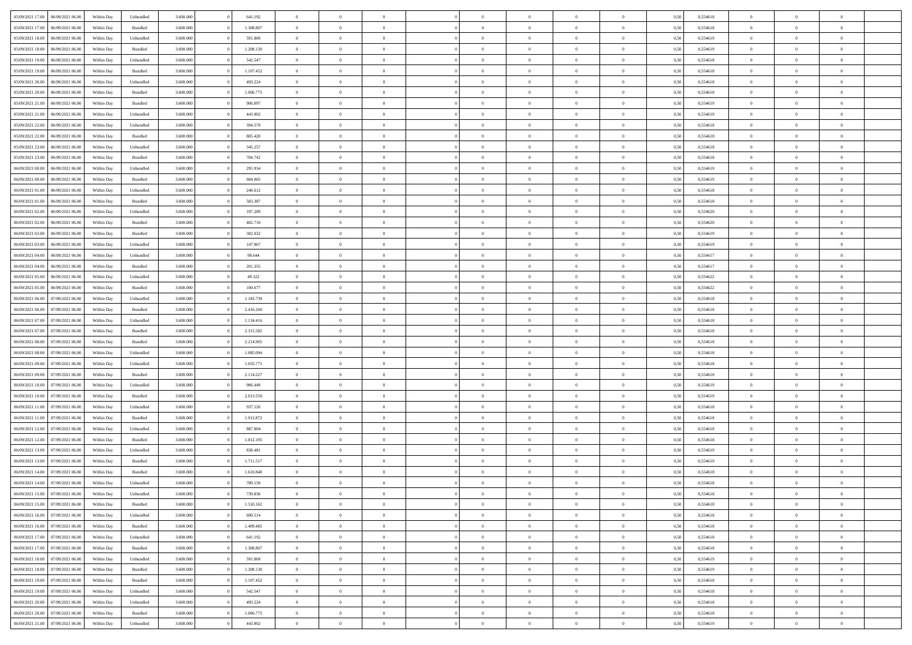| 05/09/2021 17:00 | 06/09/2021 06:00                  | Within Day | Unbundled | 3.600.000 | 641.192   | $\overline{0}$ | $\Omega$       |                | $\Omega$       | $\Omega$       | $\theta$       | $\theta$       | 0,50 | 0,554618 | $\theta$       | $\theta$       | $\theta$       |  |
|------------------|-----------------------------------|------------|-----------|-----------|-----------|----------------|----------------|----------------|----------------|----------------|----------------|----------------|------|----------|----------------|----------------|----------------|--|
|                  |                                   |            |           |           |           |                |                |                |                |                |                |                |      |          |                |                |                |  |
| 05/09/2021 17:00 | 06/09/2021 06:00                  | Within Day | Bundled   | 3.600.000 | 1.308.807 | $\overline{0}$ | $\theta$       | $\overline{0}$ | $\overline{0}$ | $\bf{0}$       | $\overline{0}$ | $\bf{0}$       | 0,50 | 0,554618 | $\theta$       | $\theta$       | $\overline{0}$ |  |
| 05/09/2021 18:00 | 06/09/2021 06:00                  | Within Day | Unbundled | 3.600.000 | 591.869   | $\overline{0}$ | $\overline{0}$ | $\overline{0}$ | $\bf{0}$       | $\bf{0}$       | $\bf{0}$       | $\bf{0}$       | 0,50 | 0,554619 | $\bf{0}$       | $\overline{0}$ | $\overline{0}$ |  |
| 05/09/2021 18:00 | 06/09/2021 06:00                  | Within Dav | Bundled   | 3.600,000 | 1.208.130 | $\overline{0}$ | $\overline{0}$ | $\overline{0}$ | $\overline{0}$ | $\bf{0}$       | $\overline{0}$ | $\overline{0}$ | 0.50 | 0.554619 | $\theta$       | $\theta$       | $\overline{0}$ |  |
|                  |                                   |            |           |           |           | $\overline{0}$ | $\theta$       | $\overline{0}$ |                | $\bf{0}$       | $\overline{0}$ |                |      |          | $\theta$       | $\overline{0}$ | $\overline{0}$ |  |
| 05/09/2021 19:00 | 06/09/2021 06:00                  | Within Day | Unbundled | 3.600.000 | 542.547   |                |                |                | $\overline{0}$ |                |                | $\bf{0}$       | 0,50 | 0,554618 |                |                |                |  |
| 05/09/2021 19:00 | 06/09/2021 06:00                  | Within Day | Bundled   | 3.600.000 | 1.107.452 | $\overline{0}$ | $\bf{0}$       | $\overline{0}$ | $\bf{0}$       | $\overline{0}$ | $\overline{0}$ | $\mathbf{0}$   | 0,50 | 0,554618 | $\bf{0}$       | $\overline{0}$ | $\bf{0}$       |  |
| 05/09/2021 20:00 | 06/09/2021 06:00                  | Within Dav | Unbundled | 3.600.000 | 493.224   | $\overline{0}$ | $\overline{0}$ | $\overline{0}$ | $\overline{0}$ | $\overline{0}$ | $\overline{0}$ | $\overline{0}$ | 0.50 | 0,554618 | $\theta$       | $\overline{0}$ | $\overline{0}$ |  |
| 05/09/2021 20:00 | 06/09/2021 06:00                  | Within Day | Bundled   | 3.600.000 | 1.006.775 | $\overline{0}$ | $\theta$       | $\overline{0}$ | $\overline{0}$ | $\bf{0}$       | $\overline{0}$ | $\bf{0}$       | 0,50 | 0,554618 | $\theta$       | $\theta$       | $\overline{0}$ |  |
| 05/09/2021 21:00 | 06/09/2021 06:00                  | Within Day | Bundled   | 3.600.000 | 906.097   | $\overline{0}$ | $\overline{0}$ | $\overline{0}$ | $\bf{0}$       | $\bf{0}$       | $\bf{0}$       | $\bf{0}$       | 0,50 | 0,554619 | $\,0\,$        | $\overline{0}$ | $\overline{0}$ |  |
|                  |                                   |            |           |           |           |                | $\overline{0}$ |                |                | $\overline{0}$ |                |                |      |          | $\theta$       | $\overline{0}$ | $\overline{0}$ |  |
| 05/09/2021 21:00 | 06/09/2021 06:00                  | Within Dav | Unbundled | 3.600.000 | 443.902   | $\overline{0}$ |                | $\overline{0}$ | $\overline{0}$ |                | $\overline{0}$ | $\overline{0}$ | 0.50 | 0.554619 |                |                |                |  |
| 05/09/2021 22.00 | 06/09/2021 06:00                  | Within Day | Unbundled | 3.600.000 | 394.579   | $\overline{0}$ | $\theta$       | $\overline{0}$ | $\overline{0}$ | $\bf{0}$       | $\overline{0}$ | $\bf{0}$       | 0,50 | 0,554618 | $\,$ 0 $\,$    | $\overline{0}$ | $\overline{0}$ |  |
| 05/09/2021 22.00 | 06/09/2021 06:00                  | Within Day | Bundled   | 3.600.000 | 805.420   | $\overline{0}$ | $\overline{0}$ | $\overline{0}$ | $\bf{0}$       | $\bf{0}$       | $\bf{0}$       | $\bf{0}$       | 0,50 | 0,554618 | $\bf{0}$       | $\overline{0}$ | $\overline{0}$ |  |
| 05/09/2021 23:00 | 06/09/2021 06:00                  | Within Day | Unbundled | 3.600.000 | 345.257   | $\overline{0}$ | $\overline{0}$ | $\overline{0}$ | $\overline{0}$ | $\bf{0}$       | $\overline{0}$ | $\overline{0}$ | 0.50 | 0.554618 | $\theta$       | $\theta$       | $\overline{0}$ |  |
| 05/09/2021 23.00 | 06/09/2021 06:00                  | Within Day | Bundled   | 3.600.000 | 704.742   | $\overline{0}$ | $\theta$       | $\overline{0}$ | $\overline{0}$ | $\bf{0}$       | $\overline{0}$ | $\bf{0}$       | 0,50 | 0,554618 | $\theta$       | $\overline{0}$ | $\overline{0}$ |  |
|                  |                                   |            |           |           |           |                |                |                |                |                |                |                |      |          |                |                |                |  |
| 06/09/2021 00:00 | 06/09/2021 06:00                  | Within Day | Unbundled | 3.600.000 | 295.934   | $\overline{0}$ | $\overline{0}$ | $\overline{0}$ | $\bf{0}$       | $\overline{0}$ | $\overline{0}$ | $\mathbf{0}$   | 0,50 | 0,554619 | $\bf{0}$       | $\overline{0}$ | $\bf{0}$       |  |
| 06/09/2021 00:00 | 06/09/2021 06:00                  | Within Dav | Bundled   | 3.600.000 | 604.065   | $\overline{0}$ | $\overline{0}$ | $\overline{0}$ | $\overline{0}$ | $\overline{0}$ | $\overline{0}$ | $\overline{0}$ | 0.50 | 0.554619 | $\theta$       | $\overline{0}$ | $\overline{0}$ |  |
| 06/09/2021 01:00 | 06/09/2021 06:00                  | Within Day | Unbundled | 3.600.000 | 246.612   | $\overline{0}$ | $\theta$       | $\overline{0}$ | $\overline{0}$ | $\bf{0}$       | $\overline{0}$ | $\bf{0}$       | 0,50 | 0,554618 | $\theta$       | $\theta$       | $\overline{0}$ |  |
| 06/09/2021 01:00 | 06/09/2021 06:00                  | Within Day | Bundled   | 3.600.000 | 503.387   | $\overline{0}$ | $\overline{0}$ | $\overline{0}$ | $\bf{0}$       | $\bf{0}$       | $\bf{0}$       | $\bf{0}$       | 0,50 | 0,554618 | $\,0\,$        | $\overline{0}$ | $\overline{0}$ |  |
| 06/09/2021 02:00 | 06/09/2021 06:00                  | Within Day | Unbundled | 3.600.000 | 197.289   | $\overline{0}$ | $\overline{0}$ | $\overline{0}$ | $\overline{0}$ | $\overline{0}$ | $\overline{0}$ | $\overline{0}$ | 0.50 | 0,554620 | $\theta$       | $\overline{0}$ | $\overline{0}$ |  |
| 06/09/2021 02:00 | 06/09/2021 06:00                  | Within Day | Bundled   | 3.600.000 | 402.710   | $\overline{0}$ | $\theta$       | $\overline{0}$ | $\overline{0}$ | $\bf{0}$       | $\overline{0}$ | $\bf{0}$       | 0,50 | 0,554620 | $\,$ 0 $\,$    | $\overline{0}$ | $\overline{0}$ |  |
|                  |                                   |            |           |           |           |                |                |                |                |                |                |                |      |          |                |                |                |  |
| 06/09/2021 03:00 | 06/09/2021 06:00                  | Within Day | Bundled   | 3.600.000 | 302.032   | $\overline{0}$ | $\overline{0}$ | $\overline{0}$ | $\bf{0}$       | $\bf{0}$       | $\bf{0}$       | $\bf{0}$       | 0,50 | 0,554619 | $\bf{0}$       | $\overline{0}$ | $\overline{0}$ |  |
| 06/09/2021 03:00 | 06/09/2021 06:00                  | Within Day | Unbundled | 3.600,000 | 147.967   | $\overline{0}$ | $\overline{0}$ | $\overline{0}$ | $\overline{0}$ | $\bf{0}$       | $\overline{0}$ | $\overline{0}$ | 0.50 | 0.554619 | $\theta$       | $\overline{0}$ | $\overline{0}$ |  |
| 06/09/2021 04:00 | 06/09/2021 06:00                  | Within Day | Unbundled | 3.600.000 | 98.644    | $\overline{0}$ | $\theta$       | $\overline{0}$ | $\overline{0}$ | $\bf{0}$       | $\overline{0}$ | $\bf{0}$       | 0,50 | 0,554617 | $\,$ 0 $\,$    | $\overline{0}$ | $\overline{0}$ |  |
| 06/09/2021 04:00 | 06/09/2021 06:00                  | Within Day | Bundled   | 3.600.000 | 201.355   | $\overline{0}$ | $\overline{0}$ | $\overline{0}$ | $\bf{0}$       | $\overline{0}$ | $\overline{0}$ | $\mathbf{0}$   | 0,50 | 0,554617 | $\overline{0}$ | $\overline{0}$ | $\bf{0}$       |  |
| 06/09/2021 05:00 | 06/09/2021 06:00                  | Within Dav | Unbundled | 3.600.000 | 49.322    | $\overline{0}$ | $\overline{0}$ | $\overline{0}$ | $\overline{0}$ | $\overline{0}$ | $\overline{0}$ | $\overline{0}$ | 0.50 | 0,554622 | $\theta$       | $\overline{0}$ | $\overline{0}$ |  |
| 06/09/2021 05:00 | 06/09/2021 06:00                  | Within Day | Bundled   | 3.600.000 | 100.677   | $\overline{0}$ | $\theta$       | $\overline{0}$ | $\overline{0}$ | $\bf{0}$       | $\overline{0}$ | $\bf{0}$       | 0,50 | 0,554622 | $\theta$       | $\theta$       | $\overline{0}$ |  |
| 06/09/2021 06:00 | 07/09/2021 06:00                  | Within Day | Unbundled | 3.600.000 | 1.183.739 | $\overline{0}$ | $\overline{0}$ | $\overline{0}$ | $\bf{0}$       | $\bf{0}$       | $\bf{0}$       | $\bf{0}$       | 0,50 | 0,554618 | $\,0\,$        | $\overline{0}$ | $\overline{0}$ |  |
|                  |                                   |            |           |           |           |                |                |                |                |                |                |                |      |          |                |                |                |  |
| 06/09/2021 06:00 | 07/09/2021 06:00                  | Within Day | Bundled   | 3.600.000 | 2.416.260 | $\overline{0}$ | $\overline{0}$ | $\overline{0}$ | $\overline{0}$ | $\overline{0}$ | $\overline{0}$ | $\overline{0}$ | 0.50 | 0.554618 | $\theta$       | $\overline{0}$ | $\overline{0}$ |  |
| 06/09/2021 07:00 | 07/09/2021 06:00                  | Within Day | Unbundled | 3.600.000 | 1.134.416 | $\overline{0}$ | $\theta$       | $\overline{0}$ | $\overline{0}$ | $\bf{0}$       | $\overline{0}$ | $\bf{0}$       | 0,50 | 0,554618 | $\,$ 0 $\,$    | $\overline{0}$ | $\overline{0}$ |  |
| 06/09/2021 07:00 | 07/09/2021 06:00                  | Within Day | Bundled   | 3.600.000 | 2.315.582 | $\overline{0}$ | $\overline{0}$ | $\overline{0}$ | $\bf{0}$       | $\bf{0}$       | $\bf{0}$       | $\bf{0}$       | 0,50 | 0,554618 | $\overline{0}$ | $\overline{0}$ | $\overline{0}$ |  |
| 06/09/2021 08:00 | 07/09/2021 06:00                  | Within Day | Bundled   | 3.600.000 | 2.214.905 | $\overline{0}$ | $\Omega$       | $\overline{0}$ | $\Omega$       | $\Omega$       | $\Omega$       | $\overline{0}$ | 0,50 | 0,554618 | $\,0\,$        | $\theta$       | $\theta$       |  |
| 06/09/2021 08:00 | 07/09/2021 06.00                  | Within Day | Unbundled | 3.600.000 | 1.085.094 | $\overline{0}$ | $\theta$       | $\overline{0}$ | $\overline{0}$ | $\bf{0}$       | $\overline{0}$ | $\bf{0}$       | 0,50 | 0,554618 | $\theta$       | $\overline{0}$ | $\overline{0}$ |  |
| 06/09/2021 09:00 | 07/09/2021 06:00                  | Within Day | Unbundled | 3.600.000 | 1.035.771 | $\overline{0}$ | $\overline{0}$ | $\overline{0}$ | $\bf{0}$       | $\bf{0}$       | $\overline{0}$ | $\mathbf{0}$   | 0,50 | 0,554618 | $\overline{0}$ | $\overline{0}$ | $\bf{0}$       |  |
|                  |                                   |            |           |           |           |                |                |                |                |                |                |                |      |          |                |                |                |  |
| 06/09/2021 09:00 | 07/09/2021 06:00                  | Within Day | Bundled   | 3.600,000 | 2.114.227 | $\overline{0}$ | $\Omega$       | $\Omega$       | $\Omega$       | $\bf{0}$       | $\overline{0}$ | $\overline{0}$ | 0.50 | 0.554618 | $\theta$       | $\theta$       | $\theta$       |  |
| 06/09/2021 10:00 | 07/09/2021 06:00                  | Within Day | Unbundled | 3.600.000 | 986.449   | $\overline{0}$ | $\theta$       | $\overline{0}$ | $\overline{0}$ | $\bf{0}$       | $\overline{0}$ | $\bf{0}$       | 0,50 | 0,554619 | $\,$ 0 $\,$    | $\theta$       | $\overline{0}$ |  |
| 06/09/2021 10:00 | 07/09/2021 06:00                  | Within Day | Bundled   | 3.600.000 | 2.013.550 | $\overline{0}$ | $\overline{0}$ | $\overline{0}$ | $\bf{0}$       | $\bf{0}$       | $\bf{0}$       | $\bf{0}$       | 0,50 | 0,554619 | $\,0\,$        | $\overline{0}$ | $\overline{0}$ |  |
| 06/09/2021 11:00 | 07/09/2021 06:00                  | Within Day | Unbundled | 3.600,000 | 937.126   | $\overline{0}$ | $\Omega$       | $\overline{0}$ | $\Omega$       | $\theta$       | $\overline{0}$ | $\overline{0}$ | 0.50 | 0.554618 | $\theta$       | $\theta$       | $\theta$       |  |
| 06/09/2021 11:00 | 07/09/2021 06:00                  | Within Day | Bundled   | 3.600.000 | 1.912.872 | $\overline{0}$ | $\theta$       | $\overline{0}$ | $\overline{0}$ | $\bf{0}$       | $\overline{0}$ | $\bf{0}$       | 0,50 | 0,554618 | $\,$ 0 $\,$    | $\overline{0}$ | $\overline{0}$ |  |
| 06/09/2021 12:00 | 07/09/2021 06:00                  | Within Day | Unbundled | 3.600.000 | 887.804   | $\overline{0}$ | $\overline{0}$ | $\overline{0}$ | $\bf{0}$       | $\bf{0}$       | $\bf{0}$       | $\bf{0}$       | 0,50 | 0,554618 | $\bf{0}$       | $\overline{0}$ | $\overline{0}$ |  |
|                  |                                   |            |           |           |           |                |                |                |                |                |                |                |      |          |                |                |                |  |
| 06/09/2021 12:00 | 07/09/2021 06:00                  | Within Day | Bundled   | 3.600.000 | 1.812.195 | $\overline{0}$ | $\Omega$       | $\overline{0}$ | $\Omega$       | $\overline{0}$ | $\overline{0}$ | $\overline{0}$ | 0,50 | 0,554618 | $\,0\,$        | $\theta$       | $\theta$       |  |
| 06/09/2021 13:00 | 07/09/2021 06:00                  | Within Day | Unbundled | 3.600.000 | 838.481   | $\overline{0}$ | $\theta$       | $\overline{0}$ | $\overline{0}$ | $\bf{0}$       | $\overline{0}$ | $\bf{0}$       | 0,50 | 0,554619 | $\,$ 0 $\,$    | $\overline{0}$ | $\overline{0}$ |  |
| 06/09/2021 13:00 | 07/09/2021 06:00                  | Within Day | Bundled   | 3.600.000 | 1.711.517 | $\overline{0}$ | $\overline{0}$ | $\overline{0}$ | $\bf{0}$       | $\bf{0}$       | $\bf{0}$       | $\mathbf{0}$   | 0,50 | 0,554619 | $\bf{0}$       | $\overline{0}$ | $\bf{0}$       |  |
| 06/09/2021 14:00 | 07/09/2021 06:00                  | Within Day | Bundled   | 3.600,000 | 1.610.840 | $\overline{0}$ | $\Omega$       | $\Omega$       | $\Omega$       | $\Omega$       | $\Omega$       | $\overline{0}$ | 0.50 | 0.554618 | $\theta$       | $\theta$       | $\theta$       |  |
| 06/09/2021 14:00 | 07/09/2021 06:00                  | Within Day | Unbundled | 3.600.000 | 789.159   | $\overline{0}$ | $\overline{0}$ | $\overline{0}$ | $\bf{0}$       | $\,$ 0         | $\bf{0}$       | $\bf{0}$       | 0,50 | 0,554618 | $\,0\,$        | $\overline{0}$ | $\overline{0}$ |  |
|                  | 06/09/2021 15:00 07/09/2021 06:00 | Within Day | Unbundled | 3.600.000 | 739.836   | $\bf{0}$       | $\bf{0}$       |                |                |                |                |                | 0,50 | 0,554618 | $\bf{0}$       | $\overline{0}$ |                |  |
| 06/09/2021 15:00 | 07/09/2021 06:00                  | Within Day | Bundled   | 3.600,000 | 1.510.162 | $\overline{0}$ | $\overline{0}$ | $\overline{0}$ | $\Omega$       | $\overline{0}$ | $\overline{0}$ | $\overline{0}$ | 0.50 | 0.554618 | $\theta$       | $\theta$       | $\theta$       |  |
|                  |                                   |            |           |           |           |                |                |                |                |                |                |                |      |          |                |                |                |  |
| 06/09/2021 16:00 | 07/09/2021 06:00                  | Within Day | Unbundled | 3.600.000 | 690.514   | $\overline{0}$ | $\bf{0}$       | $\overline{0}$ | $\bf{0}$       | $\,$ 0 $\,$    | $\overline{0}$ | $\,$ 0 $\,$    | 0,50 | 0,554618 | $\,$ 0 $\,$    | $\,$ 0 $\,$    | $\,$ 0         |  |
| 06/09/2021 16:00 | 07/09/2021 06:00                  | Within Day | Bundled   | 3.600.000 | 1.409.485 | $\overline{0}$ | $\overline{0}$ | $\overline{0}$ | $\overline{0}$ | $\overline{0}$ | $\overline{0}$ | $\mathbf{0}$   | 0,50 | 0,554618 | $\overline{0}$ | $\bf{0}$       | $\overline{0}$ |  |
| 06/09/2021 17:00 | 07/09/2021 06:00                  | Within Day | Unbundled | 3.600.000 | 641.192   | $\overline{0}$ | $\overline{0}$ | $\overline{0}$ | $\Omega$       | $\overline{0}$ | $\overline{0}$ | $\overline{0}$ | 0,50 | 0,554618 | $\overline{0}$ | $\theta$       | $\overline{0}$ |  |
| 06/09/2021 17:00 | 07/09/2021 06:00                  | Within Day | Bundled   | 3.600.000 | 1.308.807 | $\overline{0}$ | $\,$ 0         | $\overline{0}$ | $\bf{0}$       | $\,$ 0 $\,$    | $\overline{0}$ | $\mathbf{0}$   | 0,50 | 0,554618 | $\,$ 0 $\,$    | $\overline{0}$ | $\overline{0}$ |  |
| 06/09/2021 18:00 | 07/09/2021 06:00                  | Within Day | Unbundled | 3.600.000 | 591.869   | $\overline{0}$ | $\overline{0}$ | $\overline{0}$ | $\overline{0}$ | $\overline{0}$ | $\overline{0}$ | $\mathbf{0}$   | 0,50 | 0,554619 | $\overline{0}$ | $\overline{0}$ | $\bf{0}$       |  |
| 06/09/2021 18:00 | 07/09/2021 06:00                  | Within Day | Bundled   | 3.600.000 | 1.208.130 | $\overline{0}$ | $\overline{0}$ | $\overline{0}$ | $\overline{0}$ | $\overline{0}$ | $\overline{0}$ | $\bf{0}$       | 0.50 | 0,554619 | $\overline{0}$ | $\theta$       | $\overline{0}$ |  |
| 06/09/2021 19:00 | 07/09/2021 06:00                  | Within Day | Bundled   | 3.600.000 | 1.107.452 | $\overline{0}$ | $\,$ 0         | $\overline{0}$ | $\bf{0}$       | $\bf{0}$       | $\bf{0}$       | $\bf{0}$       | 0,50 | 0,554618 | $\,$ 0 $\,$    | $\overline{0}$ | $\overline{0}$ |  |
|                  |                                   |            |           |           |           |                |                |                |                |                |                |                |      |          |                |                |                |  |
| 06/09/2021 19:00 | 07/09/2021 06:00                  | Within Day | Unbundled | 3.600.000 | 542.547   | $\overline{0}$ | $\bf{0}$       | $\overline{0}$ | $\overline{0}$ | $\overline{0}$ | $\overline{0}$ | $\mathbf{0}$   | 0,50 | 0,554618 | $\overline{0}$ | $\overline{0}$ | $\bf{0}$       |  |
| 06/09/2021 20:00 | 07/09/2021 06:00                  | Within Day | Unbundled | 3.600,000 | 493.224   | $\overline{0}$ | $\overline{0}$ | $\overline{0}$ | $\Omega$       | $\overline{0}$ | $\overline{0}$ | $\overline{0}$ | 0.50 | 0,554618 | $\overline{0}$ | $\overline{0}$ | $\overline{0}$ |  |
| 06/09/2021 20:00 | 07/09/2021 06:00                  | Within Day | Bundled   | 3.600.000 | 1.006.775 | $\overline{0}$ | $\bf{0}$       | $\overline{0}$ | $\bf{0}$       | $\bf{0}$       | $\bf{0}$       | $\mathbf{0}$   | 0,50 | 0,554618 | $\,$ 0 $\,$    | $\,$ 0 $\,$    | $\bf{0}$       |  |
| 06/09/2021 21:00 | 07/09/2021 06:00                  | Within Day | Unbundled | 3.600.000 | 443.902   | $\overline{0}$ | $\overline{0}$ | $\overline{0}$ | $\overline{0}$ | $\overline{0}$ | $\bf{0}$       | $\mathbf{0}$   | 0,50 | 0,554619 | $\overline{0}$ | $\bf{0}$       | $\overline{0}$ |  |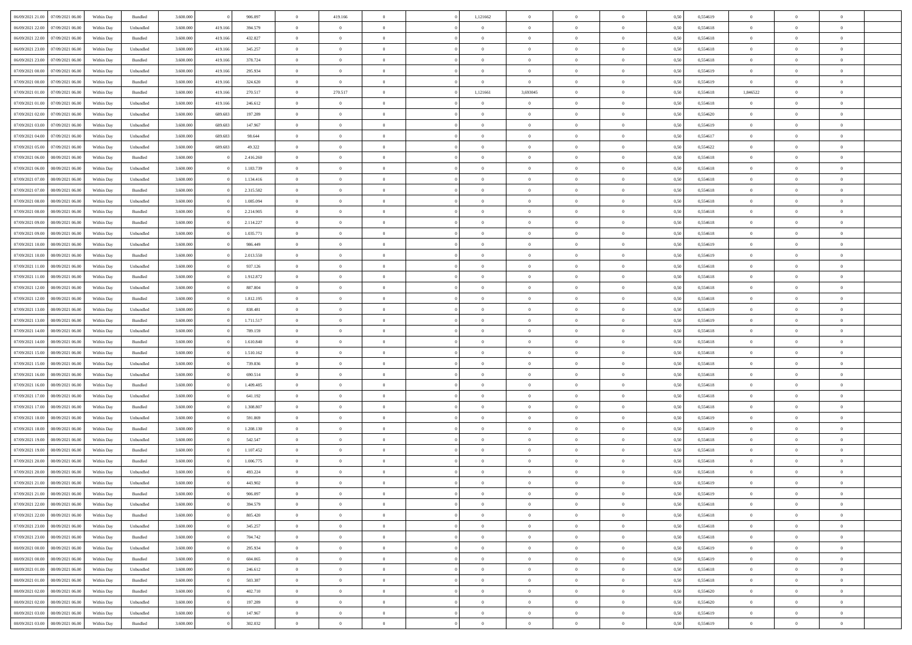| 06/09/2021 21:00 07/09/2021 06:00    | Within Day | Bundled   | 3.600.000 |         | 906.097   | $\overline{0}$ | 419.166        |                | 1,121662       | $\theta$       | $\theta$       | $\theta$       | 0,50 | 0,554619 | $\theta$       | $\theta$       | $\theta$       |  |
|--------------------------------------|------------|-----------|-----------|---------|-----------|----------------|----------------|----------------|----------------|----------------|----------------|----------------|------|----------|----------------|----------------|----------------|--|
| 06/09/2021 22:00<br>07/09/2021 06:00 | Within Day | Unbundled | 3.600.000 | 419.166 | 394.579   | $\overline{0}$ | $\overline{0}$ | $\overline{0}$ | $\overline{0}$ | $\theta$       | $\overline{0}$ | $\bf{0}$       | 0,50 | 0,554618 | $\theta$       | $\theta$       | $\overline{0}$ |  |
| 06/09/2021 22:00<br>07/09/2021 06:00 | Within Day | Bundled   | 3.600.000 | 419.166 | 432.827   | $\overline{0}$ | $\bf{0}$       | $\overline{0}$ | $\overline{0}$ | $\overline{0}$ | $\overline{0}$ | $\bf{0}$       | 0,50 | 0,554618 | $\bf{0}$       | $\overline{0}$ | $\overline{0}$ |  |
| 06/09/2021 23:00<br>07/09/2021 06:00 | Within Day | Unbundled | 3.600.000 | 419,166 | 345.257   | $\overline{0}$ | $\overline{0}$ | $\overline{0}$ | $\overline{0}$ | $\overline{0}$ | $\overline{0}$ | $\overline{0}$ | 0.50 | 0.554618 | $\theta$       | $\theta$       | $\overline{0}$ |  |
| 06/09/2021 23:00<br>07/09/2021 06:00 | Within Day | Bundled   | 3.600.000 | 419.166 | 378.724   | $\overline{0}$ | $\overline{0}$ | $\overline{0}$ | $\overline{0}$ | $\theta$       | $\overline{0}$ | $\bf{0}$       | 0,50 | 0,554618 | $\theta$       | $\theta$       | $\overline{0}$ |  |
|                                      |            |           |           |         |           |                |                |                |                |                |                |                |      |          |                |                |                |  |
| 07/09/2021 00:00<br>07/09/2021 06:00 | Within Day | Unbundled | 3.600.000 | 419.166 | 295.934   | $\overline{0}$ | $\bf{0}$       | $\overline{0}$ | $\overline{0}$ | $\overline{0}$ | $\overline{0}$ | $\bf{0}$       | 0,50 | 0,554619 | $\overline{0}$ | $\overline{0}$ | $\bf{0}$       |  |
| 07/09/2021 00:00<br>07/09/2021 06:00 | Within Day | Bundled   | 3.600.000 | 419.16  | 324.620   | $\overline{0}$ | $\overline{0}$ | $\overline{0}$ | $\overline{0}$ | $\overline{0}$ | $\overline{0}$ | $\overline{0}$ | 0.5( | 0.554619 | $\overline{0}$ | $\theta$       | $\overline{0}$ |  |
| 07/09/2021 01:00<br>07/09/2021 06:00 | Within Day | Bundled   | 3.600.000 | 419.166 | 270.517   | $\bf{0}$       | 270.517        | $\overline{0}$ | 1,121661       | 3,693045       | $\overline{0}$ | $\bf{0}$       | 0,50 | 0,554618 | 1,846522       | $\theta$       | $\overline{0}$ |  |
| 07/09/2021 01:00<br>07/09/2021 06:00 | Within Day | Unbundled | 3.600.000 | 419.166 | 246.612   | $\overline{0}$ | $\bf{0}$       | $\overline{0}$ | $\overline{0}$ | $\overline{0}$ | $\bf{0}$       | $\bf{0}$       | 0,50 | 0,554618 | $\bf{0}$       | $\bf{0}$       | $\overline{0}$ |  |
| 07/09/2021 02:00<br>07/09/2021 06:00 | Within Day | Unbundled | 3.600.000 | 689.683 | 197.289   | $\overline{0}$ | $\overline{0}$ | $\overline{0}$ | $\overline{0}$ | $\overline{0}$ | $\overline{0}$ | $\bf{0}$       | 0.50 | 0,554620 | $\theta$       | $\theta$       | $\overline{0}$ |  |
| 07/09/2021 03:00<br>07/09/2021 06:00 | Within Day | Unbundled | 3.600.000 | 689.683 | 147.967   | $\overline{0}$ | $\overline{0}$ | $\overline{0}$ | $\overline{0}$ | $\theta$       | $\overline{0}$ | $\bf{0}$       | 0,50 | 0,554619 | $\theta$       | $\theta$       | $\overline{0}$ |  |
| 07/09/2021 04:00<br>07/09/2021 06:00 | Within Day | Unbundled | 3.600.000 | 689.683 | 98.644    | $\overline{0}$ | $\bf{0}$       | $\overline{0}$ | $\overline{0}$ | $\overline{0}$ | $\overline{0}$ | $\bf{0}$       | 0,50 | 0,554617 | $\bf{0}$       | $\overline{0}$ | $\overline{0}$ |  |
| 07/09/2021 05:00<br>07/09/2021 06:00 | Within Day | Unbundled | 3.600.000 | 689.683 | 49,322    | $\overline{0}$ | $\overline{0}$ | $\overline{0}$ | $\overline{0}$ | $\overline{0}$ | $\overline{0}$ | $\overline{0}$ | 0.5( | 0.554622 | $\theta$       | $\theta$       | $\overline{0}$ |  |
| 07/09/2021 06:00<br>08/09/2021 06:00 | Within Day | Bundled   | 3.600.000 |         | 2.416.260 | $\overline{0}$ | $\overline{0}$ | $\overline{0}$ | $\overline{0}$ | $\theta$       | $\overline{0}$ | $\,$ 0 $\,$    | 0,50 | 0,554618 | $\theta$       | $\theta$       | $\overline{0}$ |  |
| 07/09/2021 06:00<br>08/09/2021 06:00 | Within Day | Unbundled | 3.600.000 |         | 1.183.739 | $\overline{0}$ | $\bf{0}$       | $\overline{0}$ | $\overline{0}$ | $\overline{0}$ | $\overline{0}$ | $\bf{0}$       | 0,50 | 0,554618 | $\bf{0}$       | $\overline{0}$ | $\bf{0}$       |  |
| 07/09/2021 07:00<br>08/09/2021 06:00 | Within Day | Unbundled | 3.600.000 |         | 1.134.416 | $\overline{0}$ | $\overline{0}$ | $\overline{0}$ | $\overline{0}$ | $\overline{0}$ | $\overline{0}$ | $\overline{0}$ | 0.50 | 0.554618 | $\theta$       | $\theta$       | $\overline{0}$ |  |
|                                      |            |           |           |         |           |                | $\overline{0}$ | $\overline{0}$ | $\overline{0}$ | $\theta$       | $\overline{0}$ |                |      |          | $\theta$       | $\theta$       | $\overline{0}$ |  |
| 07/09/2021 07:00<br>08/09/2021 06:00 | Within Day | Bundled   | 3.600.000 |         | 2.315.582 | $\bf{0}$       |                |                |                |                |                | $\bf{0}$       | 0,50 | 0,554618 |                |                |                |  |
| 07/09/2021 08:00<br>08/09/2021 06:00 | Within Day | Unbundled | 3.600.000 |         | 1.085.094 | $\overline{0}$ | $\bf{0}$       | $\overline{0}$ | $\overline{0}$ | $\overline{0}$ | $\overline{0}$ | $\bf{0}$       | 0,50 | 0,554618 | $\bf{0}$       | $\overline{0}$ | $\overline{0}$ |  |
| 07/09/2021 08:00<br>08/09/2021 06:00 | Within Day | Bundled   | 3.600.000 |         | 2.214.905 | $\overline{0}$ | $\overline{0}$ | $\overline{0}$ | $\overline{0}$ | $\overline{0}$ | $\overline{0}$ | $\overline{0}$ | 0.50 | 0.554618 | $\theta$       | $\theta$       | $\overline{0}$ |  |
| 07/09/2021 09:00<br>08/09/2021 06:00 | Within Day | Bundled   | 3.600.000 |         | 2.114.227 | $\bf{0}$       | $\overline{0}$ | $\overline{0}$ | $\overline{0}$ | $\theta$       | $\overline{0}$ | $\bf{0}$       | 0,50 | 0,554618 | $\theta$       | $\theta$       | $\overline{0}$ |  |
| 07/09/2021 09:00<br>08/09/2021 06:00 | Within Day | Unbundled | 3.600.000 |         | 1.035.771 | $\overline{0}$ | $\bf{0}$       | $\overline{0}$ | $\overline{0}$ | $\overline{0}$ | $\overline{0}$ | $\bf{0}$       | 0,50 | 0,554618 | $\bf{0}$       | $\bf{0}$       | $\overline{0}$ |  |
| 07/09/2021 10:00<br>08/09/2021 06:00 | Within Day | Unbundled | 3.600.000 |         | 986.449   | $\overline{0}$ | $\overline{0}$ | $\overline{0}$ | $\overline{0}$ | $\overline{0}$ | $\overline{0}$ | $\overline{0}$ | 0.50 | 0.554619 | $\theta$       | $\theta$       | $\overline{0}$ |  |
| 07/09/2021 10:00<br>08/09/2021 06:00 | Within Day | Bundled   | 3.600.000 |         | 2.013.550 | $\overline{0}$ | $\overline{0}$ | $\overline{0}$ | $\overline{0}$ | $\theta$       | $\overline{0}$ | $\bf{0}$       | 0,50 | 0,554619 | $\theta$       | $\theta$       | $\overline{0}$ |  |
| 07/09/2021 11:00<br>08/09/2021 06:00 | Within Day | Unbundled | 3.600.000 |         | 937.126   | $\overline{0}$ | $\bf{0}$       | $\overline{0}$ | $\overline{0}$ | $\overline{0}$ | $\overline{0}$ | $\bf{0}$       | 0,50 | 0,554618 | $\bf{0}$       | $\overline{0}$ | $\bf{0}$       |  |
| 07/09/2021 11:00<br>08/09/2021 06:00 | Within Day | Bundled   | 3.600.000 |         | 1.912.872 | $\overline{0}$ | $\overline{0}$ | $\overline{0}$ | $\overline{0}$ | $\overline{0}$ | $\overline{0}$ | $\overline{0}$ | 0.5( | 0.554618 | $\theta$       | $\theta$       | $\overline{0}$ |  |
| 07/09/2021 12:00<br>08/09/2021 06:00 | Within Day | Unbundled | 3.600.000 |         | 887.804   | $\overline{0}$ | $\overline{0}$ | $\overline{0}$ | $\overline{0}$ | $\theta$       | $\overline{0}$ | $\bf{0}$       | 0,50 | 0,554618 | $\theta$       | $\theta$       | $\overline{0}$ |  |
| 07/09/2021 12:00<br>08/09/2021 06:00 | Within Day | Bundled   | 3.600.000 |         | 1.812.195 | $\overline{0}$ | $\bf{0}$       | $\overline{0}$ | $\overline{0}$ | $\overline{0}$ | $\bf{0}$       | $\bf{0}$       | 0,50 | 0,554618 | $\bf{0}$       | $\bf{0}$       | $\overline{0}$ |  |
| 07/09/2021 13:00<br>08/09/2021 06:00 | Within Day | Unbundled | 3.600.000 |         | 838.481   | $\overline{0}$ | $\overline{0}$ | $\overline{0}$ | $\overline{0}$ | $\overline{0}$ | $\overline{0}$ | $\overline{0}$ | 0.50 | 0.554619 | $\theta$       | $\theta$       | $\overline{0}$ |  |
| 07/09/2021 13:00<br>08/09/2021 06:00 | Within Day | Bundled   | 3.600.000 |         | 1.711.517 | $\bf{0}$       | $\overline{0}$ | $\overline{0}$ | $\overline{0}$ | $\theta$       | $\overline{0}$ | $\bf{0}$       | 0,50 | 0,554619 | $\theta$       | $\theta$       | $\overline{0}$ |  |
|                                      |            |           |           |         |           |                |                |                |                |                |                |                |      |          |                |                |                |  |
| 07/09/2021 14:00<br>08/09/2021 06:00 | Within Day | Unbundled | 3.600.000 |         | 789.159   | $\overline{0}$ | $\bf{0}$       | $\overline{0}$ | $\overline{0}$ | $\bf{0}$       | $\overline{0}$ | $\bf{0}$       | 0,50 | 0,554618 | $\bf{0}$       | $\overline{0}$ | $\overline{0}$ |  |
| 07/09/2021 14:00<br>08/09/2021 06:00 | Within Day | Bundled   | 3.600.000 |         | 1.610.840 | $\overline{0}$ | $\overline{0}$ | $\Omega$       | $\Omega$       | $\Omega$       | $\theta$       | $\overline{0}$ | 0,50 | 0,554618 | $\,$ 0 $\,$    | $\overline{0}$ | $\theta$       |  |
| 07/09/2021 15:00<br>08/09/2021 06:00 | Within Day | Bundled   | 3.600.000 |         | 1.510.162 | $\bf{0}$       | $\overline{0}$ | $\overline{0}$ | $\overline{0}$ | $\theta$       | $\overline{0}$ | $\bf{0}$       | 0,50 | 0,554618 | $\theta$       | $\theta$       | $\overline{0}$ |  |
| 07/09/2021 15:00<br>08/09/2021 06:00 | Within Day | Unbundled | 3.600.000 |         | 739.836   | $\overline{0}$ | $\bf{0}$       | $\overline{0}$ | $\overline{0}$ | $\overline{0}$ | $\overline{0}$ | $\bf{0}$       | 0,50 | 0,554618 | $\bf{0}$       | $\overline{0}$ | $\bf{0}$       |  |
| 07/09/2021 16:00<br>08/09/2021 06:00 | Within Day | Unbundled | 3,600,000 |         | 690.514   | $\overline{0}$ | $\overline{0}$ | $\Omega$       | $\Omega$       | $\overline{0}$ | $\Omega$       | $\overline{0}$ | 0.50 | 0.554618 | $\theta$       | $\theta$       | $\theta$       |  |
| 07/09/2021 16:00<br>08/09/2021 06:00 | Within Day | Bundled   | 3.600.000 |         | 1.409.485 | $\bf{0}$       | $\overline{0}$ | $\overline{0}$ | $\overline{0}$ | $\theta$       | $\overline{0}$ | $\bf{0}$       | 0,50 | 0,554618 | $\theta$       | $\theta$       | $\overline{0}$ |  |
| 07/09/2021 17:00<br>08/09/2021 06:00 | Within Day | Unbundled | 3.600.000 |         | 641.192   | $\overline{0}$ | $\bf{0}$       | $\overline{0}$ | $\overline{0}$ | $\overline{0}$ | $\bf{0}$       | $\bf{0}$       | 0,50 | 0,554618 | $\bf{0}$       | $\overline{0}$ | $\overline{0}$ |  |
| 07/09/2021 17:00<br>08/09/2021 06:00 | Within Day | Bundled   | 3,600,000 |         | 1,308,807 | $\overline{0}$ | $\overline{0}$ | $\Omega$       | $\Omega$       | $\Omega$       | $\Omega$       | $\overline{0}$ | 0.50 | 0.554618 | $\theta$       | $\Omega$       | $\theta$       |  |
| 07/09/2021 18:00<br>08/09/2021 06:00 | Within Day | Unbundled | 3.600.000 |         | 591.869   | $\bf{0}$       | $\overline{0}$ | $\overline{0}$ | $\overline{0}$ | $\theta$       | $\overline{0}$ | $\bf{0}$       | 0,50 | 0,554619 | $\theta$       | $\theta$       | $\overline{0}$ |  |
| 07/09/2021 18:00<br>08/09/2021 06:00 | Within Day | Bundled   | 3.600.000 |         | 1.208.130 | $\overline{0}$ | $\bf{0}$       | $\overline{0}$ | $\overline{0}$ | $\overline{0}$ | $\overline{0}$ | $\bf{0}$       | 0,50 | 0,554619 | $\bf{0}$       | $\overline{0}$ | $\overline{0}$ |  |
| 07/09/2021 19:00<br>08/09/2021 06:00 | Within Day | Unbundled | 3.600.000 |         | 542.547   | $\overline{0}$ | $\overline{0}$ | $\overline{0}$ | $\Omega$       | $\theta$       | $\Omega$       | $\overline{0}$ | 0.50 | 0,554618 | $\,$ 0 $\,$    | $\overline{0}$ | $\theta$       |  |
| 07/09/2021 19:00<br>08/09/2021 06:00 | Within Day | Bundled   | 3.600.000 |         | 1.107.452 | $\bf{0}$       | $\overline{0}$ | $\overline{0}$ | $\overline{0}$ | $\theta$       | $\overline{0}$ | $\bf{0}$       | 0,50 | 0,554618 | $\theta$       | $\theta$       | $\overline{0}$ |  |
| 07/09/2021 20:00<br>08/09/2021 06:00 | Within Day | Bundled   | 3.600.000 |         | 1.006.775 | $\overline{0}$ | $\bf{0}$       | $\overline{0}$ | $\overline{0}$ | $\overline{0}$ | $\overline{0}$ | $\bf{0}$       | 0,50 | 0,554618 | $\overline{0}$ | $\overline{0}$ | $\bf{0}$       |  |
|                                      |            |           |           |         |           |                |                |                |                |                |                |                |      |          |                |                | $\theta$       |  |
| 07/09/2021 20:00<br>08/09/2021 06:00 | Within Day | Unbundled | 3,600,000 |         | 493.224   | $\overline{0}$ | $\Omega$       | $\Omega$       | $\Omega$       | $\Omega$       | $\theta$       | $\overline{0}$ | 0.50 | 0.554618 | $\theta$       | $\overline{0}$ |                |  |
| 07/09/2021 21:00 08/09/2021 06:00    | Within Day | Unbundled | 3.600.000 |         | 443.902   | $\bf{0}$       | $\bf{0}$       | $\overline{0}$ | $\overline{0}$ | $\bf{0}$       | $\bf{0}$       | $\bf{0}$       | 0,50 | 0,554619 | $\bf{0}$       | $\bf{0}$       | $\overline{0}$ |  |
| 07/09/2021 21:00 08/09/2021 06:00    | Within Day | Bundled   | 3.600.000 |         | 906.097   |                |                |                |                |                |                |                | 0,50 | 0,554619 | $\bf{0}$       | $\bf{0}$       |                |  |
| 07/09/2021 22:00 08/09/2021 06:00    | Within Day | Unbundled | 3.600.000 |         | 394,579   | $\Omega$       | $\overline{0}$ | $\Omega$       | $\theta$       | $\overline{0}$ | $\theta$       | $\overline{0}$ | 0.50 | 0.554618 | $\theta$       | $\theta$       | $\theta$       |  |
| 07/09/2021 22:00<br>08/09/2021 06:00 | Within Day | Bundled   | 3.600.000 |         | 805.420   | $\overline{0}$ | $\overline{0}$ | $\overline{0}$ | $\overline{0}$ | $\,$ 0 $\,$    | $\overline{0}$ | $\,$ 0 $\,$    | 0,50 | 0,554618 | $\,$ 0 $\,$    | $\,$ 0 $\,$    | $\,$ 0         |  |
| 07/09/2021 23:00<br>08/09/2021 06:00 | Within Day | Unbundled | 3.600.000 |         | 345.257   | $\overline{0}$ | $\overline{0}$ | $\overline{0}$ | $\overline{0}$ | $\mathbf{0}$   | $\overline{0}$ | $\bf{0}$       | 0,50 | 0,554618 | $\overline{0}$ | $\overline{0}$ | $\overline{0}$ |  |
| 08/09/2021 06:00<br>07/09/2021 23:00 | Within Day | Bundled   | 3.600.000 |         | 704.742   | $\overline{0}$ | $\bf{0}$       | $\overline{0}$ | $\overline{0}$ | $\overline{0}$ | $\overline{0}$ | $\bf{0}$       | 0,50 | 0,554618 | $\bf{0}$       | $\theta$       | $\overline{0}$ |  |
| 08/09/2021 00:00<br>08/09/2021 06:00 | Within Day | Unbundled | 3.600.000 |         | 295.934   | $\overline{0}$ | $\overline{0}$ | $\overline{0}$ | $\overline{0}$ | $\overline{0}$ | $\overline{0}$ | $\bf{0}$       | 0,50 | 0,554619 | $\,$ 0 $\,$    | $\,$ 0 $\,$    | $\overline{0}$ |  |
| 08/09/2021 00:00<br>08/09/2021 06:00 | Within Day | Bundled   | 3.600.000 |         | 604.065   | $\overline{0}$ | $\overline{0}$ | $\overline{0}$ | $\overline{0}$ | $\overline{0}$ | $\overline{0}$ | $\mathbf{0}$   | 0,50 | 0,554619 | $\overline{0}$ | $\overline{0}$ | $\overline{0}$ |  |
| 08/09/2021 01:00<br>08/09/2021 06:00 | Within Day | Unbundled | 3.600.000 |         | 246.612   | $\overline{0}$ | $\bf{0}$       | $\overline{0}$ | $\overline{0}$ | $\overline{0}$ | $\overline{0}$ | $\bf{0}$       | 0.50 | 0.554618 | $\overline{0}$ | $\theta$       | $\overline{0}$ |  |
| 08/09/2021 01:00<br>08/09/2021 06:00 | Within Day | Bundled   | 3.600.000 |         | 503.387   | $\overline{0}$ | $\overline{0}$ | $\overline{0}$ | $\overline{0}$ | $\overline{0}$ | $\bf{0}$       | $\bf{0}$       | 0,50 | 0,554618 | $\,$ 0 $\,$    | $\bf{0}$       | $\overline{0}$ |  |
|                                      |            |           |           |         |           |                | $\bf{0}$       |                |                |                |                |                |      |          |                | $\overline{0}$ | $\bf{0}$       |  |
| 08/09/2021 02:00<br>08/09/2021 06:00 | Within Day | Bundled   | 3.600.000 |         | 402.710   | $\overline{0}$ |                | $\overline{0}$ | $\overline{0}$ | $\overline{0}$ | $\overline{0}$ | $\bf{0}$       | 0,50 | 0,554620 | $\overline{0}$ |                |                |  |
| 08/09/2021 02:00<br>08/09/2021 06:00 | Within Day | Unbundled | 3.600.000 |         | 197.289   | $\overline{0}$ | $\overline{0}$ | $\overline{0}$ | $\overline{0}$ | $\overline{0}$ | $\overline{0}$ | $\bf{0}$       | 0.50 | 0,554620 | $\overline{0}$ | $\overline{0}$ | $\overline{0}$ |  |
| 08/09/2021 03:00<br>08/09/2021 06:00 | Within Day | Unbundled | 3.600.000 |         | 147.967   | $\overline{0}$ | $\,$ 0         | $\overline{0}$ | $\overline{0}$ | $\bf{0}$       | $\bf{0}$       | $\bf{0}$       | 0,50 | 0,554619 | $\,$ 0 $\,$    | $\,$ 0 $\,$    | $\bf{0}$       |  |
| 08/09/2021 03:00  08/09/2021 06:00   | Within Day | Bundled   | 3.600.000 |         | 302.032   | $\overline{0}$ | $\bf{0}$       | $\overline{0}$ | $\overline{0}$ | $\overline{0}$ | $\overline{0}$ | $\bf{0}$       | 0,50 | 0,554619 | $\overline{0}$ | $\bf{0}$       | $\overline{0}$ |  |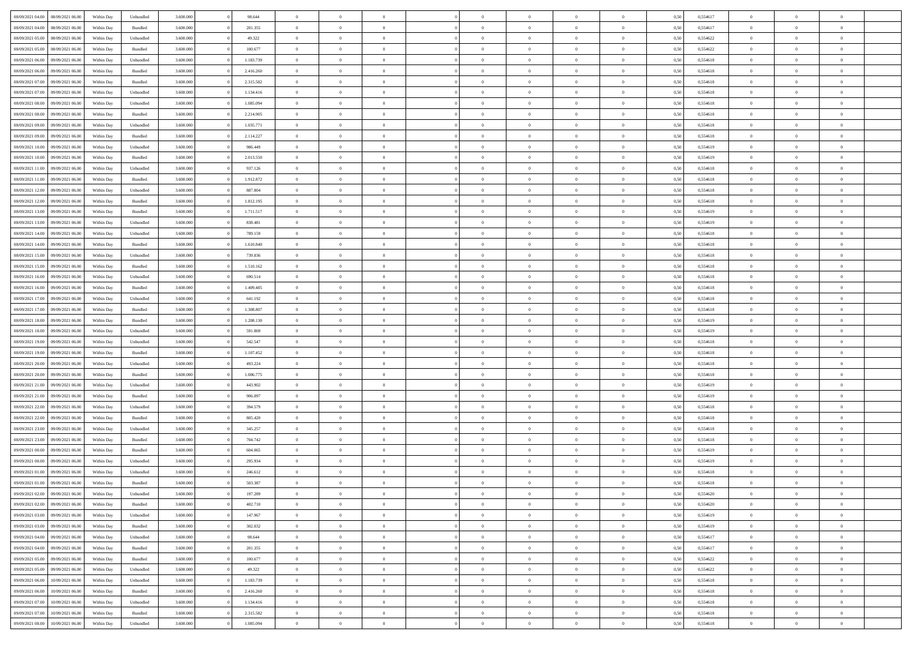| 08/09/2021 04:00                  | 08/09/2021 06:00 | Within Day | Unbundled | 3.600.000 | 98.644    | $\overline{0}$ | $\Omega$       |                | $\Omega$       | $\Omega$       | $\theta$       | $\theta$       | 0,50 | 0,554617 | $\theta$       | $\theta$       | $\theta$       |  |
|-----------------------------------|------------------|------------|-----------|-----------|-----------|----------------|----------------|----------------|----------------|----------------|----------------|----------------|------|----------|----------------|----------------|----------------|--|
|                                   |                  |            |           |           |           |                |                |                |                |                |                |                |      |          |                |                |                |  |
| 08/09/2021 04:00                  | 08/09/2021 06:00 | Within Day | Bundled   | 3.600.000 | 201.355   | $\overline{0}$ | $\theta$       | $\overline{0}$ | $\overline{0}$ | $\bf{0}$       | $\overline{0}$ | $\bf{0}$       | 0,50 | 0,554617 | $\theta$       | $\theta$       | $\overline{0}$ |  |
| 08/09/2021 05:00                  | 08/09/2021 06:00 | Within Day | Unbundled | 3.600.000 | 49.322    | $\overline{0}$ | $\overline{0}$ | $\overline{0}$ | $\bf{0}$       | $\bf{0}$       | $\bf{0}$       | $\bf{0}$       | 0,50 | 0,554622 | $\bf{0}$       | $\overline{0}$ | $\overline{0}$ |  |
| 08/09/2021 05:00                  | 08/09/2021 06:00 | Within Dav | Bundled   | 3.600,000 | 100.677   | $\overline{0}$ | $\overline{0}$ | $\overline{0}$ | $\overline{0}$ | $\bf{0}$       | $\overline{0}$ | $\overline{0}$ | 0.50 | 0.554622 | $\theta$       | $\theta$       | $\overline{0}$ |  |
|                                   |                  |            |           |           |           |                |                |                |                |                |                |                |      |          |                |                |                |  |
| 08/09/2021 06:00                  | 09/09/2021 06:00 | Within Day | Unbundled | 3.600.000 | 1.183.739 | $\overline{0}$ | $\theta$       | $\overline{0}$ | $\overline{0}$ | $\bf{0}$       | $\overline{0}$ | $\bf{0}$       | 0,50 | 0,554618 | $\theta$       | $\overline{0}$ | $\overline{0}$ |  |
| 08/09/2021 06:00                  | 09/09/2021 06:00 | Within Day | Bundled   | 3.600.000 | 2.416.260 | $\overline{0}$ | $\bf{0}$       | $\overline{0}$ | $\bf{0}$       | $\overline{0}$ | $\overline{0}$ | $\mathbf{0}$   | 0,50 | 0,554618 | $\overline{0}$ | $\overline{0}$ | $\bf{0}$       |  |
| 08/09/2021 07:00                  | 09/09/2021 06:00 | Within Dav | Bundled   | 3.600.000 | 2.315.582 | $\overline{0}$ | $\overline{0}$ | $\overline{0}$ | $\overline{0}$ | $\overline{0}$ | $\overline{0}$ | $\overline{0}$ | 0.50 | 0,554618 | $\theta$       | $\overline{0}$ | $\overline{0}$ |  |
| 08/09/2021 07:00                  | 09/09/2021 06:00 | Within Day | Unbundled | 3.600.000 | 1.134.416 | $\overline{0}$ | $\theta$       | $\overline{0}$ | $\overline{0}$ | $\bf{0}$       | $\overline{0}$ | $\bf{0}$       | 0,50 | 0,554618 | $\theta$       | $\theta$       | $\overline{0}$ |  |
|                                   |                  |            |           |           |           |                | $\overline{0}$ |                |                | $\bf{0}$       |                |                |      |          | $\,0\,$        | $\overline{0}$ | $\overline{0}$ |  |
| 08/09/2021 08:00                  | 09/09/2021 06:00 | Within Day | Unbundled | 3.600.000 | 1.085.094 | $\overline{0}$ |                | $\overline{0}$ | $\bf{0}$       |                | $\bf{0}$       | $\bf{0}$       | 0,50 | 0,554618 |                |                |                |  |
| 08/09/2021 08:00                  | 09/09/2021 06:00 | Within Dav | Bundled   | 3.600.000 | 2.214.905 | $\overline{0}$ | $\overline{0}$ | $\overline{0}$ | $\overline{0}$ | $\overline{0}$ | $\overline{0}$ | $\overline{0}$ | 0.50 | 0.554618 | $\theta$       | $\overline{0}$ | $\overline{0}$ |  |
| 08/09/2021 09:00                  | 09/09/2021 06:00 | Within Day | Unbundled | 3.600.000 | 1.035.771 | $\overline{0}$ | $\theta$       | $\overline{0}$ | $\overline{0}$ | $\bf{0}$       | $\overline{0}$ | $\bf{0}$       | 0,50 | 0,554618 | $\,$ 0 $\,$    | $\overline{0}$ | $\overline{0}$ |  |
| 08/09/2021 09:00                  | 09/09/2021 06:00 | Within Day | Bundled   | 3.600.000 | 2.114.227 | $\overline{0}$ | $\overline{0}$ | $\overline{0}$ | $\bf{0}$       | $\bf{0}$       | $\bf{0}$       | $\bf{0}$       | 0,50 | 0,554618 | $\overline{0}$ | $\overline{0}$ | $\overline{0}$ |  |
| 08/09/2021 10:00                  | 09/09/2021 06:00 | Within Day | Unbundled | 3.600.000 | 986,449   | $\overline{0}$ | $\overline{0}$ | $\overline{0}$ | $\overline{0}$ | $\bf{0}$       | $\overline{0}$ | $\overline{0}$ | 0.50 | 0.554619 | $\theta$       | $\theta$       | $\overline{0}$ |  |
|                                   |                  |            |           |           |           | $\overline{0}$ | $\theta$       |                |                |                |                |                |      |          | $\theta$       | $\overline{0}$ |                |  |
| 08/09/2021 10:00                  | 09/09/2021 06:00 | Within Day | Bundled   | 3.600.000 | 2.013.550 |                |                | $\overline{0}$ | $\overline{0}$ | $\bf{0}$       | $\overline{0}$ | $\overline{0}$ | 0,50 | 0,554619 |                |                | $\overline{0}$ |  |
| 08/09/2021 11:00                  | 09/09/2021 06:00 | Within Day | Unbundled | 3.600.000 | 937.126   | $\overline{0}$ | $\overline{0}$ | $\overline{0}$ | $\bf{0}$       | $\overline{0}$ | $\overline{0}$ | $\mathbf{0}$   | 0,50 | 0,554618 | $\overline{0}$ | $\overline{0}$ | $\bf{0}$       |  |
| 08/09/2021 11:00                  | 09/09/2021 06:00 | Within Dav | Bundled   | 3.600.000 | 1.912.872 | $\overline{0}$ | $\overline{0}$ | $\overline{0}$ | $\overline{0}$ | $\overline{0}$ | $\overline{0}$ | $\overline{0}$ | 0.50 | 0.554618 | $\theta$       | $\overline{0}$ | $\overline{0}$ |  |
| 08/09/2021 12:00                  | 09/09/2021 06:00 | Within Day | Unbundled | 3.600.000 | 887.804   | $\overline{0}$ | $\theta$       | $\overline{0}$ | $\overline{0}$ | $\bf{0}$       | $\overline{0}$ | $\bf{0}$       | 0,50 | 0,554618 | $\theta$       | $\theta$       | $\overline{0}$ |  |
| 08/09/2021 12:00                  | 09/09/2021 06:00 | Within Day | Bundled   | 3.600.000 | 1.812.195 | $\overline{0}$ | $\overline{0}$ | $\overline{0}$ | $\bf{0}$       | $\bf{0}$       | $\bf{0}$       | $\bf{0}$       | 0,50 | 0,554618 | $\,0\,$        | $\overline{0}$ | $\overline{0}$ |  |
|                                   |                  |            |           |           |           |                |                |                |                |                |                |                |      |          |                |                |                |  |
| 08/09/2021 13:00                  | 09/09/2021 06:00 | Within Day | Bundled   | 3.600.000 | 1.711.517 | $\overline{0}$ | $\overline{0}$ | $\overline{0}$ | $\overline{0}$ | $\overline{0}$ | $\overline{0}$ | $\overline{0}$ | 0.50 | 0,554619 | $\theta$       | $\overline{0}$ | $\overline{0}$ |  |
| 08/09/2021 13:00                  | 09/09/2021 06:00 | Within Day | Unbundled | 3.600.000 | 838.481   | $\overline{0}$ | $\theta$       | $\overline{0}$ | $\overline{0}$ | $\bf{0}$       | $\overline{0}$ | $\bf{0}$       | 0,50 | 0,554619 | $\,$ 0 $\,$    | $\theta$       | $\overline{0}$ |  |
| 08/09/2021 14:00                  | 09/09/2021 06:00 | Within Day | Unbundled | 3.600.000 | 789.159   | $\overline{0}$ | $\overline{0}$ | $\overline{0}$ | $\bf{0}$       | $\bf{0}$       | $\bf{0}$       | $\bf{0}$       | 0,50 | 0,554618 | $\bf{0}$       | $\overline{0}$ | $\overline{0}$ |  |
| 08/09/2021 14:00                  | 09/09/2021 06:00 | Within Day | Bundled   | 3.600.000 | 1.610.840 | $\overline{0}$ | $\overline{0}$ | $\overline{0}$ | $\overline{0}$ | $\bf{0}$       | $\overline{0}$ | $\overline{0}$ | 0.50 | 0.554618 | $\theta$       | $\overline{0}$ | $\overline{0}$ |  |
| 08/09/2021 15:00                  | 09/09/2021 06:00 |            |           | 3.600.000 | 739.836   | $\overline{0}$ | $\theta$       | $\overline{0}$ | $\overline{0}$ | $\bf{0}$       | $\overline{0}$ |                |      | 0,554618 | $\theta$       | $\overline{0}$ | $\overline{0}$ |  |
|                                   |                  | Within Day | Unbundled |           |           |                |                |                |                |                |                | $\bf{0}$       | 0,50 |          |                |                |                |  |
| 08/09/2021 15:00                  | 09/09/2021 06:00 | Within Day | Bundled   | 3.600.000 | 1.510.162 | $\overline{0}$ | $\bf{0}$       | $\overline{0}$ | $\bf{0}$       | $\overline{0}$ | $\overline{0}$ | $\mathbf{0}$   | 0,50 | 0,554618 | $\bf{0}$       | $\overline{0}$ | $\bf{0}$       |  |
| 08/09/2021 16:00                  | 09/09/2021 06:00 | Within Dav | Unbundled | 3.600.000 | 690.514   | $\overline{0}$ | $\overline{0}$ | $\overline{0}$ | $\overline{0}$ | $\overline{0}$ | $\overline{0}$ | $\overline{0}$ | 0.50 | 0.554618 | $\theta$       | $\overline{0}$ | $\overline{0}$ |  |
| 08/09/2021 16:00                  | 09/09/2021 06:00 | Within Day | Bundled   | 3.600.000 | 1.409.485 | $\overline{0}$ | $\theta$       | $\overline{0}$ | $\overline{0}$ | $\bf{0}$       | $\overline{0}$ | $\bf{0}$       | 0,50 | 0,554618 | $\theta$       | $\theta$       | $\overline{0}$ |  |
| 08/09/2021 17:00                  | 09/09/2021 06:00 | Within Day | Unbundled | 3.600.000 | 641.192   | $\overline{0}$ | $\overline{0}$ | $\overline{0}$ | $\bf{0}$       | $\bf{0}$       | $\bf{0}$       | $\bf{0}$       | 0,50 | 0,554618 | $\,0\,$        | $\overline{0}$ | $\overline{0}$ |  |
|                                   |                  |            |           |           |           |                | $\overline{0}$ |                |                | $\overline{0}$ |                |                |      |          | $\theta$       | $\overline{0}$ | $\overline{0}$ |  |
| 08/09/2021 17:00                  | 09/09/2021 06:00 | Within Day | Bundled   | 3.600.000 | 1.308.807 | $\overline{0}$ |                | $\overline{0}$ | $\overline{0}$ |                | $\overline{0}$ | $\overline{0}$ | 0.50 | 0.554618 |                |                |                |  |
| 08/09/2021 18:00                  | 09/09/2021 06:00 | Within Day | Bundled   | 3.600.000 | 1.208.130 | $\overline{0}$ | $\theta$       | $\overline{0}$ | $\overline{0}$ | $\bf{0}$       | $\overline{0}$ | $\bf{0}$       | 0,50 | 0,554619 | $\,$ 0 $\,$    | $\overline{0}$ | $\overline{0}$ |  |
| 08/09/2021 18:00                  | 09/09/2021 06:00 | Within Day | Unbundled | 3.600.000 | 591.869   | $\overline{0}$ | $\overline{0}$ | $\overline{0}$ | $\bf{0}$       | $\bf{0}$       | $\bf{0}$       | $\bf{0}$       | 0,50 | 0,554619 | $\bf{0}$       | $\overline{0}$ | $\overline{0}$ |  |
| 08/09/2021 19:00                  | 09/09/2021 06:00 | Within Day | Unbundled | 3.600.000 | 542.547   | $\overline{0}$ | $\Omega$       | $\Omega$       | $\Omega$       | $\Omega$       | $\Omega$       | $\overline{0}$ | 0,50 | 0,554618 | $\,0\,$        | $\Omega$       | $\theta$       |  |
| 08/09/2021 19:00                  | 09/09/2021 06:00 | Within Day | Bundled   | 3.600.000 | 1.107.452 | $\overline{0}$ | $\theta$       | $\overline{0}$ | $\overline{0}$ | $\bf{0}$       | $\overline{0}$ | $\bf{0}$       | 0,50 | 0,554618 | $\theta$       | $\theta$       | $\overline{0}$ |  |
|                                   |                  |            |           |           |           |                |                |                |                |                |                |                |      |          |                |                |                |  |
| 08/09/2021 20:00                  | 09/09/2021 06:00 | Within Day | Unbundled | 3.600.000 | 493.224   | $\overline{0}$ | $\overline{0}$ | $\overline{0}$ | $\bf{0}$       | $\bf{0}$       | $\overline{0}$ | $\mathbf{0}$   | 0,50 | 0,554618 | $\bf{0}$       | $\overline{0}$ | $\bf{0}$       |  |
| 08/09/2021 20:00                  | 09/09/2021 06:00 | Within Day | Bundled   | 3.600,000 | 1.006.775 | $\overline{0}$ | $\Omega$       | $\Omega$       | $\Omega$       | $\bf{0}$       | $\overline{0}$ | $\overline{0}$ | 0.50 | 0.554618 | $\theta$       | $\theta$       | $\theta$       |  |
| 08/09/2021 21:00                  | 09/09/2021 06:00 | Within Day | Unbundled | 3.600.000 | 443.902   | $\overline{0}$ | $\theta$       | $\overline{0}$ | $\overline{0}$ | $\bf{0}$       | $\overline{0}$ | $\bf{0}$       | 0,50 | 0,554619 | $\theta$       | $\theta$       | $\overline{0}$ |  |
| 08/09/2021 21:00                  | 09/09/2021 06:00 | Within Day | Bundled   | 3.600.000 | 906.097   | $\overline{0}$ | $\overline{0}$ | $\overline{0}$ | $\bf{0}$       | $\bf{0}$       | $\bf{0}$       | $\bf{0}$       | 0,50 | 0,554619 | $\,0\,$        | $\overline{0}$ | $\overline{0}$ |  |
| 08/09/2021 22:00                  | 09/09/2021 06:00 |            | Unbundled | 3.600,000 | 394,579   | $\overline{0}$ | $\Omega$       | $\Omega$       | $\Omega$       | $\theta$       | $\theta$       | $\overline{0}$ | 0.50 | 0.554618 | $\theta$       | $\theta$       | $\theta$       |  |
|                                   |                  | Within Day |           |           |           |                |                |                |                |                |                |                |      |          |                |                |                |  |
| 08/09/2021 22:00                  | 09/09/2021 06:00 | Within Day | Bundled   | 3.600.000 | 805.420   | $\overline{0}$ | $\theta$       | $\overline{0}$ | $\overline{0}$ | $\bf{0}$       | $\overline{0}$ | $\bf{0}$       | 0,50 | 0,554618 | $\,$ 0 $\,$    | $\overline{0}$ | $\overline{0}$ |  |
| 08/09/2021 23.00                  | 09/09/2021 06:00 | Within Day | Unbundled | 3.600.000 | 345.257   | $\overline{0}$ | $\overline{0}$ | $\overline{0}$ | $\bf{0}$       | $\bf{0}$       | $\bf{0}$       | $\bf{0}$       | 0,50 | 0,554618 | $\bf{0}$       | $\overline{0}$ | $\overline{0}$ |  |
| 08/09/2021 23:00                  | 09/09/2021 06:00 | Within Day | Bundled   | 3.600.000 | 704.742   | $\overline{0}$ | $\Omega$       | $\Omega$       | $\Omega$       | $\Omega$       | $\overline{0}$ | $\overline{0}$ | 0,50 | 0,554618 | $\,0\,$        | $\theta$       | $\theta$       |  |
| 09/09/2021 00:00                  | 09/09/2021 06:00 | Within Day | Bundled   | 3.600.000 | 604.065   | $\overline{0}$ | $\theta$       | $\overline{0}$ | $\overline{0}$ | $\bf{0}$       | $\overline{0}$ | $\bf{0}$       | 0,50 | 0,554619 | $\,$ 0 $\,$    | $\overline{0}$ | $\overline{0}$ |  |
| 09/09/2021 00:00                  | 09/09/2021 06:00 | Within Day | Unbundled | 3.600.000 | 295.934   | $\overline{0}$ | $\overline{0}$ | $\overline{0}$ | $\bf{0}$       | $\bf{0}$       | $\bf{0}$       | $\mathbf{0}$   | 0,50 | 0,554619 | $\bf{0}$       | $\overline{0}$ | $\bf{0}$       |  |
|                                   |                  |            |           |           |           |                |                |                |                |                |                |                |      |          |                |                |                |  |
| 09/09/2021 01:00                  | 09/09/2021 06:00 | Within Day | Unbundled | 3.600,000 | 246.612   | $\overline{0}$ | $\Omega$       | $\Omega$       | $\Omega$       | $\Omega$       | $\Omega$       | $\Omega$       | 0.50 | 0.554618 | $\theta$       | $\Omega$       | $\theta$       |  |
| 09/09/2021 01:00                  | 09/09/2021 06:00 | Within Day | Bundled   | 3.600.000 | 503.387   | $\overline{0}$ | $\overline{0}$ | $\overline{0}$ | $\bf{0}$       | $\,$ 0         | $\bf{0}$       | $\bf{0}$       | 0,50 | 0,554618 | $\,0\,$        | $\overline{0}$ | $\overline{0}$ |  |
| 09/09/2021 02:00 09/09/2021 06:00 |                  | Within Day | Unbundled | 3.600.000 | 197.289   | $\bf{0}$       | $\bf{0}$       |                |                |                |                |                | 0,50 | 0,554620 | $\bf{0}$       | $\overline{0}$ |                |  |
| 09/09/2021 02:00                  | 09/09/2021 06:00 | Within Day | Bundled   | 3.600,000 | 402.710   | $\overline{0}$ | $\overline{0}$ | $\overline{0}$ | $\Omega$       | $\overline{0}$ | $\overline{0}$ | $\overline{0}$ | 0.50 | 0.554620 | $\theta$       | $\theta$       | $\theta$       |  |
| 09/09/2021 03:00                  | 09/09/2021 06:00 | Within Day | Unbundled | 3.600.000 | 147.967   | $\overline{0}$ | $\bf{0}$       | $\overline{0}$ | $\bf{0}$       | $\,$ 0 $\,$    | $\overline{0}$ | $\,$ 0 $\,$    | 0,50 | 0,554619 | $\,$ 0 $\,$    | $\,$ 0 $\,$    | $\,$ 0         |  |
|                                   |                  |            |           |           |           |                |                |                |                |                |                |                |      |          |                |                |                |  |
| 09/09/2021 03:00                  | 09/09/2021 06:00 | Within Day | Bundled   | 3.600.000 | 302.032   | $\overline{0}$ | $\overline{0}$ | $\overline{0}$ | $\overline{0}$ | $\overline{0}$ | $\overline{0}$ | $\mathbf{0}$   | 0,50 | 0,554619 | $\overline{0}$ | $\bf{0}$       | $\overline{0}$ |  |
| 09/09/2021 04:00                  | 09/09/2021 06:00 | Within Day | Unbundled | 3.600.000 | 98.644    | $\overline{0}$ | $\overline{0}$ | $\overline{0}$ | $\Omega$       | $\overline{0}$ | $\overline{0}$ | $\overline{0}$ | 0,50 | 0,554617 | $\overline{0}$ | $\theta$       | $\overline{0}$ |  |
| 09/09/2021 04:00                  | 09/09/2021 06:00 | Within Day | Bundled   | 3.600.000 | 201.355   | $\overline{0}$ | $\,$ 0         | $\overline{0}$ | $\bf{0}$       | $\,$ 0 $\,$    | $\overline{0}$ | $\mathbf{0}$   | 0,50 | 0,554617 | $\,$ 0 $\,$    | $\overline{0}$ | $\overline{0}$ |  |
| 09/09/2021 05:00                  | 09/09/2021 06:00 | Within Day | Bundled   | 3.600.000 | 100.677   | $\overline{0}$ | $\overline{0}$ | $\overline{0}$ | $\overline{0}$ | $\overline{0}$ | $\overline{0}$ | $\mathbf{0}$   | 0,50 | 0,554622 | $\overline{0}$ | $\overline{0}$ | $\bf{0}$       |  |
|                                   |                  |            |           |           |           |                |                |                |                |                |                |                |      |          |                |                |                |  |
| 09/09/2021 05:00                  | 09/09/2021 06:00 | Within Day | Unbundled | 3.600,000 | 49.322    | $\overline{0}$ | $\overline{0}$ | $\overline{0}$ | $\overline{0}$ | $\overline{0}$ | $\overline{0}$ | $\bf{0}$       | 0.50 | 0,554622 | $\overline{0}$ | $\theta$       | $\overline{0}$ |  |
| 09/09/2021 06:00                  | 10/09/2021 06:00 | Within Day | Unbundled | 3.600.000 | 1.183.739 | $\overline{0}$ | $\,$ 0         | $\overline{0}$ | $\bf{0}$       | $\bf{0}$       | $\bf{0}$       | $\bf{0}$       | 0,50 | 0,554618 | $\,$ 0 $\,$    | $\overline{0}$ | $\overline{0}$ |  |
| 09/09/2021 06:00                  | 10/09/2021 06:00 | Within Day | Bundled   | 3.600.000 | 2.416.260 | $\overline{0}$ | $\bf{0}$       | $\overline{0}$ | $\overline{0}$ | $\overline{0}$ | $\overline{0}$ | $\mathbf{0}$   | 0,50 | 0,554618 | $\overline{0}$ | $\overline{0}$ | $\bf{0}$       |  |
| 09/09/2021 07:00                  | 10/09/2021 06:00 | Within Day | Unbundled | 3.600,000 | 1.134.416 | $\overline{0}$ | $\overline{0}$ | $\overline{0}$ | $\Omega$       | $\overline{0}$ | $\overline{0}$ | $\overline{0}$ | 0.50 | 0,554618 | $\overline{0}$ | $\overline{0}$ | $\overline{0}$ |  |
| 09/09/2021 07:00                  | 10/09/2021 06:00 | Within Day | Bundled   | 3.600.000 | 2.315.582 | $\overline{0}$ | $\bf{0}$       | $\overline{0}$ | $\bf{0}$       | $\bf{0}$       | $\bf{0}$       | $\mathbf{0}$   | 0,50 | 0,554618 | $\,$ 0 $\,$    | $\,$ 0 $\,$    | $\bf{0}$       |  |
|                                   |                  |            |           |           |           |                |                |                |                |                |                |                |      |          |                |                |                |  |
| 09/09/2021 08:00                  | 10/09/2021 06:00 | Within Day | Unbundled | 3.600.000 | 1.085.094 | $\overline{0}$ | $\overline{0}$ | $\overline{0}$ | $\overline{0}$ | $\overline{0}$ | $\bf{0}$       | $\mathbf{0}$   | 0,50 | 0,554618 | $\overline{0}$ | $\bf{0}$       | $\overline{0}$ |  |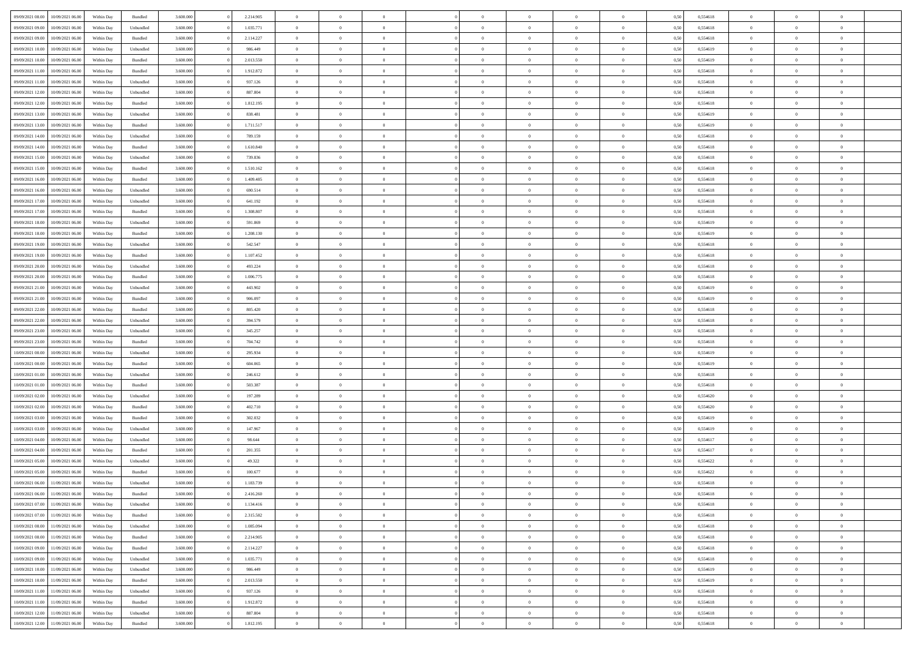| 09/09/2021 08:00 | 10/09/2021 06:00 | Within Day | Bundled   | 3.600.000 | 2.214.905 | $\overline{0}$ | $\Omega$       |                | $\Omega$       | $\Omega$       | $\theta$       | $\theta$       | 0,50 | 0,554618 | $\theta$       | $\theta$       | $\theta$       |  |
|------------------|------------------|------------|-----------|-----------|-----------|----------------|----------------|----------------|----------------|----------------|----------------|----------------|------|----------|----------------|----------------|----------------|--|
|                  |                  |            |           |           |           |                |                |                |                |                |                |                |      |          |                |                |                |  |
| 09/09/2021 09:00 | 10/09/2021 06:00 | Within Day | Unbundled | 3.600.000 | 1.035.771 | $\overline{0}$ | $\theta$       | $\overline{0}$ | $\overline{0}$ | $\bf{0}$       | $\overline{0}$ | $\bf{0}$       | 0,50 | 0,554618 | $\theta$       | $\theta$       | $\overline{0}$ |  |
| 09/09/2021 09:00 | 10/09/2021 06:00 | Within Day | Bundled   | 3.600.000 | 2.114.227 | $\overline{0}$ | $\overline{0}$ | $\overline{0}$ | $\bf{0}$       | $\bf{0}$       | $\bf{0}$       | $\bf{0}$       | 0,50 | 0,554618 | $\overline{0}$ | $\overline{0}$ | $\overline{0}$ |  |
| 09/09/2021 10:00 | 10/09/2021 06:00 | Within Dav | Unbundled | 3.600,000 | 986,449   | $\overline{0}$ | $\overline{0}$ | $\overline{0}$ | $\overline{0}$ | $\bf{0}$       | $\overline{0}$ | $\overline{0}$ | 0.50 | 0.554619 | $\theta$       | $\theta$       | $\overline{0}$ |  |
| 09/09/2021 10:00 | 10/09/2021 06:00 | Within Day | Bundled   | 3.600.000 | 2.013.550 | $\overline{0}$ | $\theta$       | $\overline{0}$ | $\overline{0}$ | $\bf{0}$       | $\overline{0}$ | $\bf{0}$       | 0,50 | 0,554619 | $\theta$       | $\overline{0}$ | $\overline{0}$ |  |
|                  |                  |            |           |           |           |                |                |                |                |                |                |                |      |          |                |                |                |  |
| 09/09/2021 11:00 | 10/09/2021 06:00 | Within Day | Bundled   | 3.600.000 | 1.912.872 | $\overline{0}$ | $\bf{0}$       | $\overline{0}$ | $\bf{0}$       | $\overline{0}$ | $\overline{0}$ | $\mathbf{0}$   | 0,50 | 0,554618 | $\overline{0}$ | $\overline{0}$ | $\bf{0}$       |  |
| 09/09/2021 11:00 | 10/09/2021 06:00 | Within Dav | Unbundled | 3.600.000 | 937.126   | $\overline{0}$ | $\overline{0}$ | $\overline{0}$ | $\overline{0}$ | $\overline{0}$ | $\overline{0}$ | $\overline{0}$ | 0.50 | 0,554618 | $\theta$       | $\overline{0}$ | $\overline{0}$ |  |
| 09/09/2021 12:00 | 10/09/2021 06:00 | Within Day | Unbundled | 3.600.000 | 887.804   | $\overline{0}$ | $\theta$       | $\overline{0}$ | $\overline{0}$ | $\bf{0}$       | $\overline{0}$ | $\bf{0}$       | 0,50 | 0,554618 | $\theta$       | $\theta$       | $\overline{0}$ |  |
| 09/09/2021 12:00 | 10/09/2021 06:00 | Within Day | Bundled   | 3.600.000 | 1.812.195 | $\overline{0}$ | $\overline{0}$ | $\overline{0}$ | $\bf{0}$       | $\bf{0}$       | $\bf{0}$       | $\bf{0}$       | 0,50 | 0,554618 | $\,0\,$        | $\overline{0}$ | $\overline{0}$ |  |
| 09/09/2021 13:00 | 10/09/2021 06:00 | Within Dav | Unbundled | 3.600.000 | 838.481   | $\overline{0}$ | $\overline{0}$ | $\overline{0}$ | $\overline{0}$ | $\overline{0}$ | $\overline{0}$ | $\overline{0}$ | 0.50 | 0.554619 | $\theta$       | $\overline{0}$ | $\overline{0}$ |  |
| 09/09/2021 13:00 | 10/09/2021 06:00 | Within Day | Bundled   | 3.600.000 | 1.711.517 | $\overline{0}$ | $\theta$       | $\overline{0}$ | $\overline{0}$ | $\bf{0}$       | $\overline{0}$ | $\bf{0}$       | 0,50 | 0,554619 | $\,$ 0 $\,$    | $\overline{0}$ | $\overline{0}$ |  |
|                  |                  |            |           |           |           |                |                |                |                |                |                |                |      |          |                |                |                |  |
| 09/09/2021 14:00 | 10/09/2021 06:00 | Within Day | Unbundled | 3.600.000 | 789.159   | $\overline{0}$ | $\overline{0}$ | $\overline{0}$ | $\bf{0}$       | $\bf{0}$       | $\bf{0}$       | $\bf{0}$       | 0,50 | 0,554618 | $\overline{0}$ | $\overline{0}$ | $\overline{0}$ |  |
| 09/09/2021 14:00 | 10/09/2021 06:00 | Within Dav | Bundled   | 3.600.000 | 1.610.840 | $\overline{0}$ | $\overline{0}$ | $\overline{0}$ | $\overline{0}$ | $\bf{0}$       | $\overline{0}$ | $\overline{0}$ | 0.50 | 0.554618 | $\theta$       | $\theta$       | $\overline{0}$ |  |
| 09/09/2021 15:00 | 10/09/2021 06:00 | Within Day | Unbundled | 3.600.000 | 739.836   | $\overline{0}$ | $\theta$       | $\overline{0}$ | $\overline{0}$ | $\bf{0}$       | $\overline{0}$ | $\bf{0}$       | 0,50 | 0,554618 | $\theta$       | $\overline{0}$ | $\overline{0}$ |  |
| 09/09/2021 15:00 | 10/09/2021 06:00 | Within Day | Bundled   | 3.600.000 | 1.510.162 | $\overline{0}$ | $\overline{0}$ | $\overline{0}$ | $\bf{0}$       | $\overline{0}$ | $\overline{0}$ | $\mathbf{0}$   | 0,50 | 0,554618 | $\overline{0}$ | $\overline{0}$ | $\bf{0}$       |  |
| 09/09/2021 16:00 | 10/09/2021 06:00 | Within Dav | Bundled   | 3.600.000 | 1.409.485 | $\overline{0}$ | $\overline{0}$ | $\overline{0}$ | $\overline{0}$ | $\overline{0}$ | $\overline{0}$ | $\overline{0}$ | 0.50 | 0.554618 | $\theta$       | $\overline{0}$ | $\overline{0}$ |  |
| 09/09/2021 16:00 | 10/09/2021 06:00 | Within Day | Unbundled | 3.600.000 | 690.514   | $\overline{0}$ | $\theta$       | $\overline{0}$ | $\overline{0}$ | $\bf{0}$       | $\overline{0}$ | $\bf{0}$       | 0,50 | 0,554618 | $\theta$       | $\theta$       | $\overline{0}$ |  |
| 09/09/2021 17:00 | 10/09/2021 06:00 | Within Day | Unbundled | 3.600.000 | 641.192   | $\overline{0}$ | $\overline{0}$ | $\overline{0}$ | $\bf{0}$       | $\bf{0}$       | $\bf{0}$       | $\bf{0}$       | 0,50 | 0,554618 | $\,0\,$        | $\overline{0}$ | $\overline{0}$ |  |
| 09/09/2021 17:00 | 10/09/2021 06:00 | Within Day | Bundled   | 3.600.000 | 1.308.807 | $\overline{0}$ | $\overline{0}$ | $\overline{0}$ | $\overline{0}$ | $\overline{0}$ | $\overline{0}$ | $\overline{0}$ | 0.50 | 0.554618 | $\theta$       | $\overline{0}$ | $\overline{0}$ |  |
|                  |                  |            |           |           |           |                |                |                |                |                |                |                |      |          |                |                |                |  |
| 09/09/2021 18:00 | 10/09/2021 06:00 | Within Day | Unbundled | 3.600.000 | 591.869   | $\overline{0}$ | $\theta$       | $\overline{0}$ | $\overline{0}$ | $\bf{0}$       | $\overline{0}$ | $\bf{0}$       | 0,50 | 0,554619 | $\,$ 0 $\,$    | $\theta$       | $\overline{0}$ |  |
| 09/09/2021 18:00 | 10/09/2021 06:00 | Within Day | Bundled   | 3.600.000 | 1.208.130 | $\overline{0}$ | $\overline{0}$ | $\overline{0}$ | $\bf{0}$       | $\bf{0}$       | $\bf{0}$       | $\bf{0}$       | 0,50 | 0,554619 | $\bf{0}$       | $\overline{0}$ | $\overline{0}$ |  |
| 09/09/2021 19:00 | 10/09/2021 06:00 | Within Day | Unbundled | 3.600,000 | 542.547   | $\overline{0}$ | $\overline{0}$ | $\overline{0}$ | $\overline{0}$ | $\bf{0}$       | $\overline{0}$ | $\overline{0}$ | 0.50 | 0.554618 | $\theta$       | $\overline{0}$ | $\overline{0}$ |  |
| 09/09/2021 19:00 | 10/09/2021 06:00 | Within Day | Bundled   | 3.600.000 | 1.107.452 | $\overline{0}$ | $\theta$       | $\overline{0}$ | $\overline{0}$ | $\bf{0}$       | $\overline{0}$ | $\bf{0}$       | 0,50 | 0,554618 | $\,$ 0 $\,$    | $\overline{0}$ | $\overline{0}$ |  |
| 09/09/2021 20:00 | 10/09/2021 06:00 | Within Day | Unbundled | 3.600.000 | 493.224   | $\overline{0}$ | $\bf{0}$       | $\overline{0}$ | $\bf{0}$       | $\overline{0}$ | $\overline{0}$ | $\mathbf{0}$   | 0,50 | 0,554618 | $\overline{0}$ | $\overline{0}$ | $\bf{0}$       |  |
| 09/09/2021 20:00 | 10/09/2021 06:00 | Within Dav | Bundled   | 3.600.000 | 1.006.775 | $\overline{0}$ | $\overline{0}$ | $\overline{0}$ | $\overline{0}$ | $\overline{0}$ | $\overline{0}$ | $\overline{0}$ | 0.50 | 0.554618 | $\theta$       | $\theta$       | $\overline{0}$ |  |
| 09/09/2021 21:00 | 10/09/2021 06:00 | Within Day | Unbundled | 3.600.000 | 443.902   | $\overline{0}$ | $\theta$       | $\overline{0}$ | $\overline{0}$ | $\bf{0}$       | $\overline{0}$ | $\bf{0}$       | 0,50 | 0,554619 | $\theta$       | $\theta$       | $\overline{0}$ |  |
|                  |                  |            |           |           |           |                |                |                |                |                |                |                |      |          |                |                |                |  |
| 09/09/2021 21:00 | 10/09/2021 06:00 | Within Day | Bundled   | 3.600.000 | 906.097   | $\overline{0}$ | $\overline{0}$ | $\overline{0}$ | $\bf{0}$       | $\bf{0}$       | $\bf{0}$       | $\bf{0}$       | 0,50 | 0,554619 | $\,0\,$        | $\overline{0}$ | $\overline{0}$ |  |
| 09/09/2021 22.00 | 10/09/2021 06:00 | Within Day | Bundled   | 3.600.000 | 805.420   | $\overline{0}$ | $\overline{0}$ | $\overline{0}$ | $\overline{0}$ | $\overline{0}$ | $\overline{0}$ | $\overline{0}$ | 0.50 | 0.554618 | $\theta$       | $\overline{0}$ | $\overline{0}$ |  |
| 09/09/2021 22.00 | 10/09/2021 06:00 | Within Day | Unbundled | 3.600.000 | 394.579   | $\overline{0}$ | $\theta$       | $\overline{0}$ | $\overline{0}$ | $\bf{0}$       | $\overline{0}$ | $\bf{0}$       | 0,50 | 0,554618 | $\,$ 0 $\,$    | $\overline{0}$ | $\overline{0}$ |  |
| 09/09/2021 23.00 | 10/09/2021 06:00 | Within Day | Unbundled | 3.600.000 | 345.257   | $\overline{0}$ | $\overline{0}$ | $\overline{0}$ | $\bf{0}$       | $\bf{0}$       | $\bf{0}$       | $\bf{0}$       | 0,50 | 0,554618 | $\overline{0}$ | $\overline{0}$ | $\overline{0}$ |  |
| 09/09/2021 23:00 | 10/09/2021 06:00 | Within Day | Bundled   | 3.600.000 | 704.742   | $\overline{0}$ | $\Omega$       | $\Omega$       | $\Omega$       | $\Omega$       | $\Omega$       | $\overline{0}$ | 0,50 | 0,554618 | $\,0\,$        | $\Omega$       | $\theta$       |  |
| 10/09/2021 00:00 | 10/09/2021 06:00 | Within Day | Unbundled | 3.600.000 | 295.934   | $\overline{0}$ | $\theta$       | $\overline{0}$ | $\overline{0}$ | $\bf{0}$       | $\overline{0}$ | $\bf{0}$       | 0,50 | 0,554619 | $\theta$       | $\theta$       | $\overline{0}$ |  |
| 10/09/2021 00:00 | 10/09/2021 06:00 | Within Day | Bundled   | 3.600.000 | 604.065   | $\overline{0}$ | $\overline{0}$ | $\overline{0}$ | $\bf{0}$       | $\bf{0}$       | $\overline{0}$ | $\mathbf{0}$   | 0,50 | 0,554619 | $\overline{0}$ | $\overline{0}$ | $\bf{0}$       |  |
|                  |                  |            |           |           |           |                |                |                |                |                |                |                |      |          |                |                |                |  |
| 10/09/2021 01:00 | 10/09/2021 06:00 | Within Day | Unbundled | 3.600,000 | 246.612   | $\overline{0}$ | $\Omega$       | $\Omega$       | $\Omega$       | $\bf{0}$       | $\overline{0}$ | $\overline{0}$ | 0.50 | 0.554618 | $\theta$       | $\theta$       | $\theta$       |  |
| 10/09/2021 01:00 | 10/09/2021 06:00 | Within Day | Bundled   | 3.600.000 | 503.387   | $\overline{0}$ | $\theta$       | $\overline{0}$ | $\overline{0}$ | $\bf{0}$       | $\overline{0}$ | $\bf{0}$       | 0,50 | 0,554618 | $\,$ 0 $\,$    | $\theta$       | $\overline{0}$ |  |
| 10/09/2021 02:00 | 10/09/2021 06:00 | Within Day | Unbundled | 3.600.000 | 197.289   | $\overline{0}$ | $\overline{0}$ | $\overline{0}$ | $\bf{0}$       | $\bf{0}$       | $\bf{0}$       | $\bf{0}$       | 0,50 | 0,554620 | $\,0\,$        | $\overline{0}$ | $\overline{0}$ |  |
| 10/09/2021 02:00 | 10/09/2021 06:00 | Within Day | Bundled   | 3.600,000 | 402.710   | $\overline{0}$ | $\Omega$       | $\Omega$       | $\Omega$       | $\theta$       | $\theta$       | $\overline{0}$ | 0.50 | 0.554620 | $\theta$       | $\theta$       | $\theta$       |  |
| 10/09/2021 03:00 | 10/09/2021 06:00 | Within Day | Bundled   | 3.600.000 | 302.032   | $\overline{0}$ | $\theta$       | $\overline{0}$ | $\overline{0}$ | $\bf{0}$       | $\overline{0}$ | $\bf{0}$       | 0,50 | 0,554619 | $\,$ 0 $\,$    | $\overline{0}$ | $\overline{0}$ |  |
| 10/09/2021 03:00 | 10/09/2021 06:00 | Within Day | Unbundled | 3.600.000 | 147.967   | $\overline{0}$ | $\overline{0}$ | $\overline{0}$ | $\bf{0}$       | $\bf{0}$       | $\bf{0}$       | $\bf{0}$       | 0,50 | 0,554619 | $\bf{0}$       | $\overline{0}$ | $\overline{0}$ |  |
|                  |                  |            |           |           | 98.644    | $\overline{0}$ | $\Omega$       |                | $\Omega$       | $\Omega$       |                |                |      |          |                |                | $\theta$       |  |
| 10/09/2021 04:00 | 10/09/2021 06:00 | Within Day | Unbundled | 3.600.000 |           |                |                | $\overline{0}$ |                |                | $\overline{0}$ | $\overline{0}$ | 0,50 | 0,554617 | $\,0\,$        | $\theta$       |                |  |
| 10/09/2021 04:00 | 10/09/2021 06:00 | Within Day | Bundled   | 3.600.000 | 201.355   | $\overline{0}$ | $\theta$       | $\overline{0}$ | $\overline{0}$ | $\bf{0}$       | $\overline{0}$ | $\bf{0}$       | 0,50 | 0,554617 | $\,$ 0 $\,$    | $\overline{0}$ | $\overline{0}$ |  |
| 10/09/2021 05:00 | 10/09/2021 06:00 | Within Day | Unbundled | 3.600.000 | 49.322    | $\overline{0}$ | $\overline{0}$ | $\overline{0}$ | $\bf{0}$       | $\bf{0}$       | $\bf{0}$       | $\mathbf{0}$   | 0,50 | 0,554622 | $\bf{0}$       | $\overline{0}$ | $\bf{0}$       |  |
| 10/09/2021 05:00 | 10/09/2021 06:00 | Within Day | Bundled   | 3.600,000 | 100,677   | $\overline{0}$ | $\Omega$       | $\Omega$       | $\Omega$       | $\Omega$       | $\Omega$       | $\overline{0}$ | 0.50 | 0.554622 | $\theta$       | $\Omega$       | $\theta$       |  |
| 10/09/2021 06:00 | 11/09/2021 06:00 | Within Day | Unbundled | 3.600.000 | 1.183.739 | $\overline{0}$ | $\overline{0}$ | $\overline{0}$ | $\bf{0}$       | $\,$ 0         | $\bf{0}$       | $\bf{0}$       | 0,50 | 0,554618 | $\,0\,$        | $\,$ 0 $\,$    | $\overline{0}$ |  |
| 10/09/2021 06:00 | 11/09/2021 06:00 | Within Day | Bundled   | 3.600.000 | 2.416.260 | $\bf{0}$       | $\bf{0}$       |                |                |                |                |                | 0,50 | 0,554618 | $\bf{0}$       | $\overline{0}$ |                |  |
| 10/09/2021 07:00 | 11/09/2021 06:00 | Within Day | Unbundled | 3.600.000 | 1.134.416 | $\overline{0}$ | $\overline{0}$ | $\overline{0}$ | $\Omega$       | $\overline{0}$ | $\overline{0}$ | $\overline{0}$ | 0.50 | 0.554618 | $\theta$       | $\theta$       | $\theta$       |  |
| 10/09/2021 07:00 | 11/09/2021 06:00 | Within Day | Bundled   | 3.600.000 | 2.315.582 | $\overline{0}$ | $\,$ 0         | $\overline{0}$ | $\bf{0}$       | $\,$ 0 $\,$    | $\overline{0}$ | $\,$ 0 $\,$    | 0,50 | 0,554618 | $\,$ 0 $\,$    | $\,$ 0 $\,$    | $\,$ 0         |  |
|                  |                  |            |           |           |           |                |                |                |                |                |                |                |      |          |                |                |                |  |
| 10/09/2021 08:00 | 11/09/2021 06:00 | Within Day | Unbundled | 3.600.000 | 1.085.094 | $\overline{0}$ | $\overline{0}$ | $\overline{0}$ | $\overline{0}$ | $\overline{0}$ | $\overline{0}$ | $\mathbf{0}$   | 0,50 | 0,554618 | $\overline{0}$ | $\bf{0}$       | $\bf{0}$       |  |
| 10/09/2021 08:00 | 11/09/2021 06:00 | Within Day | Bundled   | 3.600.000 | 2.214.905 | $\overline{0}$ | $\overline{0}$ | $\overline{0}$ | $\Omega$       | $\overline{0}$ | $\overline{0}$ | $\overline{0}$ | 0,50 | 0,554618 | $\overline{0}$ | $\theta$       | $\overline{0}$ |  |
| 10/09/2021 09:00 | 11/09/2021 06:00 | Within Day | Bundled   | 3.600.000 | 2.114.227 | $\overline{0}$ | $\,$ 0         | $\overline{0}$ | $\overline{0}$ | $\,$ 0 $\,$    | $\overline{0}$ | $\mathbf{0}$   | 0,50 | 0,554618 | $\,$ 0 $\,$    | $\overline{0}$ | $\overline{0}$ |  |
| 10/09/2021 09:00 | 11/09/2021 06:00 | Within Day | Unbundled | 3.600.000 | 1.035.771 | $\overline{0}$ | $\overline{0}$ | $\overline{0}$ | $\overline{0}$ | $\overline{0}$ | $\overline{0}$ | $\mathbf{0}$   | 0,50 | 0,554618 | $\overline{0}$ | $\overline{0}$ | $\bf{0}$       |  |
| 10/09/2021 10:00 | 11/09/2021 06:00 | Within Day | Unbundled | 3.600,000 | 986.449   | $\overline{0}$ | $\overline{0}$ | $\overline{0}$ | $\Omega$       | $\overline{0}$ | $\overline{0}$ | $\bf{0}$       | 0.50 | 0,554619 | $\overline{0}$ | $\theta$       | $\overline{0}$ |  |
| 10/09/2021 10:00 | 11/09/2021 06:00 | Within Day | Bundled   | 3.600.000 | 2.013.550 | $\overline{0}$ | $\,$ 0         | $\overline{0}$ | $\bf{0}$       | $\bf{0}$       | $\bf{0}$       | $\bf{0}$       | 0,50 | 0,554619 | $\,$ 0 $\,$    | $\overline{0}$ | $\overline{0}$ |  |
| 10/09/2021 11:00 | 11/09/2021 06:00 | Within Day | Unbundled | 3.600.000 | 937.126   | $\overline{0}$ | $\bf{0}$       | $\overline{0}$ | $\overline{0}$ | $\overline{0}$ | $\overline{0}$ | $\mathbf{0}$   | 0,50 | 0,554618 | $\overline{0}$ | $\overline{0}$ | $\bf{0}$       |  |
| 10/09/2021 11:00 | 11/09/2021 06:00 | Within Day | Bundled   | 3.600,000 | 1.912.872 | $\overline{0}$ | $\overline{0}$ | $\overline{0}$ | $\Omega$       | $\overline{0}$ | $\overline{0}$ | $\overline{0}$ | 0.50 | 0,554618 | $\overline{0}$ | $\overline{0}$ | $\overline{0}$ |  |
|                  |                  |            |           |           |           |                | $\bf{0}$       |                |                |                |                |                |      |          | $\,$ 0 $\,$    | $\,$ 0 $\,$    |                |  |
| 10/09/2021 12:00 | 11/09/2021 06:00 | Within Day | Unbundled | 3.600.000 | 887.804   | $\overline{0}$ |                | $\overline{0}$ | $\bf{0}$       | $\bf{0}$       | $\bf{0}$       | $\mathbf{0}$   | 0,50 | 0,554618 |                |                | $\bf{0}$       |  |
| 10/09/2021 12:00 | 11/09/2021 06:00 | Within Day | Bundled   | 3.600.000 | 1.812.195 | $\overline{0}$ | $\overline{0}$ | $\overline{0}$ | $\overline{0}$ | $\overline{0}$ | $\bf{0}$       | $\mathbf{0}$   | 0,50 | 0,554618 | $\overline{0}$ | $\bf{0}$       | $\bf{0}$       |  |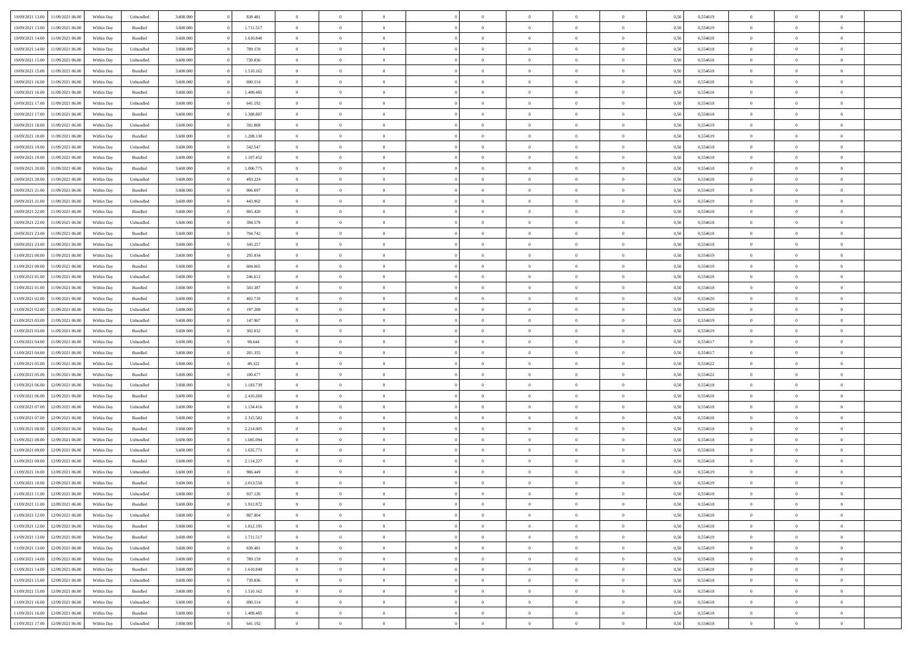| 10/09/2021 13:00                  | 11/09/2021 06:00 | Within Day | Unbundled | 3.600.000 | 838.481   | $\overline{0}$ | $\theta$       |                | $\overline{0}$ | $\bf{0}$       | $\overline{0}$ | $\theta$       | 0,50 | 0,554619 | $\theta$       | $\theta$       | $\sqrt{a}$               |  |
|-----------------------------------|------------------|------------|-----------|-----------|-----------|----------------|----------------|----------------|----------------|----------------|----------------|----------------|------|----------|----------------|----------------|--------------------------|--|
| 10/09/2021 13:00                  | 11/09/2021 06.00 | Within Day | Bundled   | 3.600.000 | 1.711.517 | $\overline{0}$ | $\overline{0}$ | $\overline{0}$ | $\overline{0}$ | $\,$ 0         | $\bf{0}$       | $\bf{0}$       | 0,50 | 0,554619 | $\,$ 0 $\,$    | $\overline{0}$ | $\overline{0}$           |  |
|                                   |                  |            |           |           |           |                |                |                |                |                |                |                |      |          |                |                |                          |  |
| 10/09/2021 14:00                  | 11/09/2021 06:00 | Within Day | Bundled   | 3.600,000 | 1.610.840 | $\overline{0}$ | $\overline{0}$ | $\overline{0}$ | $\overline{0}$ | $\bf{0}$       | $\overline{0}$ | $\overline{0}$ | 0,50 | 0,554618 | $\bf{0}$       | $\overline{0}$ | $\overline{0}$           |  |
| 10/09/2021 14:00                  | 11/09/2021 06:00 | Within Day | Unbundled | 3.600.000 | 789.159   | $\overline{0}$ | $\overline{0}$ | $\overline{0}$ | $\overline{0}$ | $\bf{0}$       | $\overline{0}$ | $\overline{0}$ | 0,50 | 0,554618 | $\,$ 0 $\,$    | $\overline{0}$ | $\overline{0}$           |  |
| 10/09/2021 15:00                  | 1/09/2021 06.00  | Within Day | Unbundled | 3.600.000 | 739.836   | $\overline{0}$ | $\theta$       | $\overline{0}$ |                | $\overline{0}$ | $\overline{0}$ | $\bf{0}$       | 0,50 | 0,554618 | $\,$ 0 $\,$    | $\overline{0}$ | $\overline{0}$           |  |
| 10/09/2021 15:00                  | 11/09/2021 06:00 | Within Day | Bundled   | 3.600,000 | 1.510.162 | $\overline{0}$ | $\overline{0}$ | $\overline{0}$ | $\overline{0}$ | $\bf{0}$       | $\overline{0}$ | $\overline{0}$ | 0.50 | 0.554618 | $\,0\,$        | $\theta$       | $\overline{0}$           |  |
| 10/09/2021 16:00                  | 11/09/2021 06:00 | Within Day | Unbundled | 3.600.000 | 690.514   | $\overline{0}$ | $\overline{0}$ | $\overline{0}$ | $\overline{0}$ | $\,$ 0         | $\overline{0}$ | $\overline{0}$ | 0,50 | 0,554618 | $\,$ 0 $\,$    | $\theta$       | $\overline{0}$           |  |
| 10/09/2021 16:00                  | 1/09/2021 06.00  | Within Day | Bundled   | 3.600.000 | 1.409.485 | $\overline{0}$ | $\theta$       | $\overline{0}$ | $\overline{0}$ | $\bf{0}$       | $\overline{0}$ | $\bf{0}$       | 0,50 | 0,554618 | $\,$ 0 $\,$    | $\overline{0}$ | $\overline{0}$           |  |
| 10/09/2021 17:00                  | 11/09/2021 06:00 | Within Day | Unbundled | 3.600,000 | 641.192   | $\overline{0}$ | $\overline{0}$ | $\overline{0}$ | $\overline{0}$ | $\bf{0}$       | $\overline{0}$ | $\bf{0}$       | 0.50 | 0.554618 | $\,0\,$        | $\overline{0}$ | $\overline{0}$           |  |
| 10/09/2021 17:00                  | 11/09/2021 06:00 | Within Day | Bundled   | 3.600.000 | 1.308.807 | $\overline{0}$ | $\overline{0}$ | $\overline{0}$ | $\overline{0}$ | $\,$ 0         | $\overline{0}$ | $\bf{0}$       | 0,50 | 0,554618 | $\,$ 0 $\,$    | $\overline{0}$ | $\overline{0}$           |  |
| 10/09/2021 18:00                  | 1/09/2021 06.00  | Within Day | Unbundled | 3.600.000 | 591.869   | $\overline{0}$ | $\theta$       | $\overline{0}$ | $\overline{0}$ | $\,$ 0         | $\overline{0}$ | $\bf{0}$       | 0,50 | 0,554619 | $\,$ 0 $\,$    | $\overline{0}$ | $\overline{0}$           |  |
| 10/09/2021 18:00                  | 11/09/2021 06:00 | Within Day | Bundled   | 3.600,000 | 1.208.130 | $\overline{0}$ | $\overline{0}$ | $\overline{0}$ | $\overline{0}$ | $\bf{0}$       | $\overline{0}$ | $\mathbf{0}$   | 0.50 | 0.554619 | $\bf{0}$       | $\overline{0}$ | $\overline{\phantom{a}}$ |  |
| 10/09/2021 19:00                  | 11/09/2021 06:00 | Within Day | Unbundled | 3.600.000 | 542.547   | $\overline{0}$ | $\overline{0}$ | $\overline{0}$ | $\overline{0}$ | $\,$ 0         | $\overline{0}$ | $\overline{0}$ | 0,50 | 0,554618 | $\,$ 0 $\,$    | $\theta$       | $\overline{0}$           |  |
| 10/09/2021 19:00                  | 1/09/2021 06.00  | Within Day | Bundled   | 3.600.000 | 1.107.452 | $\overline{0}$ | $\theta$       | $\overline{0}$ | $\overline{0}$ | $\overline{0}$ | $\overline{0}$ | $\bf{0}$       | 0,50 | 0,554618 | $\,$ 0 $\,$    | $\overline{0}$ | $\overline{0}$           |  |
| 10/09/2021 20:00                  | 11/09/2021 06:00 | Within Day | Bundled   | 3.600,000 | 1.006.775 | $\overline{0}$ | $\overline{0}$ | $\overline{0}$ | $\overline{0}$ | $\bf{0}$       | $\overline{0}$ | $\overline{0}$ | 0.50 | 0.554618 | $\theta$       | $\theta$       | $\overline{0}$           |  |
|                                   |                  |            |           |           |           | $\overline{0}$ | $\overline{0}$ | $\overline{0}$ | $\overline{0}$ |                | $\overline{0}$ |                |      |          |                | $\theta$       | $\overline{0}$           |  |
| 10/09/2021 20:00                  | 11/09/2021 06:00 | Within Day | Unbundled | 3.600.000 | 493.224   |                |                |                |                | $\,$ 0         |                | $\bf{0}$       | 0,50 | 0,554618 | $\,$ 0 $\,$    |                |                          |  |
| 10/09/2021 21:00                  | 1/09/2021 06.00  | Within Day | Bundled   | 3.600.000 | 906.097   | $\overline{0}$ | $\theta$       | $\overline{0}$ | $\overline{0}$ | $\bf{0}$       | $\overline{0}$ | $\bf{0}$       | 0,50 | 0,554619 | $\,$ 0 $\,$    | $\overline{0}$ | $\overline{0}$           |  |
| 10/09/2021 21:00                  | 11/09/2021 06:00 | Within Day | Unbundled | 3.600,000 | 443.902   | $\overline{0}$ | $\overline{0}$ | $\overline{0}$ | $\overline{0}$ | $\bf{0}$       | $\overline{0}$ | $\bf{0}$       | 0.50 | 0.554619 | $\,0\,$        | $\overline{0}$ | $\overline{0}$           |  |
| 10/09/2021 22:00                  | 11/09/2021 06:00 | Within Day | Bundled   | 3.600.000 | 805.420   | $\overline{0}$ | $\overline{0}$ | $\overline{0}$ | $\overline{0}$ | $\,$ 0         | $\overline{0}$ | $\bf{0}$       | 0,50 | 0,554618 | $\,$ 0 $\,$    | $\overline{0}$ | $\overline{0}$           |  |
| 10/09/2021 22:00                  | 1/09/2021 06.00  | Within Day | Unbundled | 3.600.000 | 394.579   | $\overline{0}$ | $\theta$       | $\overline{0}$ | $\overline{0}$ | $\,$ 0         | $\bf{0}$       | $\bf{0}$       | 0,50 | 0,554618 | $\,$ 0 $\,$    | $\overline{0}$ | $\overline{0}$           |  |
| 10/09/2021 23:00                  | 11/09/2021 06:00 | Within Day | Bundled   | 3.600,000 | 704.742   | $\overline{0}$ | $\overline{0}$ | $\overline{0}$ | $\overline{0}$ | $\bf{0}$       | $\overline{0}$ | $\mathbf{0}$   | 0.50 | 0.554618 | $\bf{0}$       | $\overline{0}$ | $\overline{0}$           |  |
| 10/09/2021 23:00                  | 11/09/2021 06:00 | Within Day | Unbundled | 3.600.000 | 345.257   | $\overline{0}$ | $\overline{0}$ | $\overline{0}$ | $\overline{0}$ | $\bf{0}$       | $\overline{0}$ | $\overline{0}$ | 0,50 | 0,554618 | $\,$ 0 $\,$    | $\overline{0}$ | $\overline{0}$           |  |
| 11/09/2021 00:00                  | 1/09/2021 06.00  | Within Day | Unbundled | 3.600.000 | 295.934   | $\overline{0}$ | $\theta$       | $\overline{0}$ | $\overline{0}$ | $\bf{0}$       | $\overline{0}$ | $\bf{0}$       | 0,50 | 0,554619 | $\,$ 0 $\,$    | $\overline{0}$ | $\overline{0}$           |  |
| 11/09/2021 00:00                  | 11/09/2021 06:00 | Within Day | Bundled   | 3.600,000 | 604,065   | $\overline{0}$ | $\overline{0}$ | $\overline{0}$ | $\overline{0}$ | $\bf{0}$       | $\overline{0}$ | $\overline{0}$ | 0.50 | 0.554619 | $\,0\,$        | $\theta$       | $\overline{0}$           |  |
| 11/09/2021 01:00                  | 11/09/2021 06:00 | Within Day | Unbundled | 3.600.000 | 246.612   | $\overline{0}$ | $\overline{0}$ | $\overline{0}$ | $\overline{0}$ | $\,$ 0         | $\overline{0}$ | $\overline{0}$ | 0,50 | 0,554618 | $\,0\,$        | $\theta$       | $\overline{0}$           |  |
| 11/09/2021 01:00                  | 1/09/2021 06.00  | Within Day | Bundled   | 3.600.000 | 503.387   | $\overline{0}$ | $\theta$       | $\overline{0}$ |                | $\bf{0}$       | $\overline{0}$ | $\bf{0}$       | 0,50 | 0,554618 | $\,$ 0 $\,$    | $\overline{0}$ | $\overline{0}$           |  |
| 11/09/2021 02:00                  | 11/09/2021 06:00 | Within Day | Bundled   | 3.600,000 | 402.710   | $\overline{0}$ | $\overline{0}$ | $\overline{0}$ | $\overline{0}$ | $\bf{0}$       | $\overline{0}$ | $\bf{0}$       | 0.50 | 0.554620 | $\,0\,$        | $\overline{0}$ | $\overline{0}$           |  |
| 11/09/2021 02:00                  | 11/09/2021 06:00 | Within Day | Unbundled | 3.600.000 | 197.289   | $\overline{0}$ | $\overline{0}$ | $\overline{0}$ | $\overline{0}$ | $\,$ 0         | $\overline{0}$ | $\bf{0}$       | 0,50 | 0,554620 | $\,$ 0 $\,$    | $\overline{0}$ | $\overline{0}$           |  |
|                                   |                  |            |           |           |           |                | $\overline{0}$ | $\overline{0}$ | $\overline{0}$ | $\,$ 0         |                |                |      |          | $\,$ 0 $\,$    | $\overline{0}$ | $\overline{0}$           |  |
| 11/09/2021 03:00                  | 1/09/2021 06.00  | Within Day | Unbundled | 3.600.000 | 147.967   | $\overline{0}$ |                |                |                |                | $\bf{0}$       | $\bf{0}$       | 0,50 | 0,554619 |                |                |                          |  |
| 11/09/2021 03:00                  | 11/09/2021 06:00 | Within Day | Bundled   | 3.600,000 | 302.032   | $\overline{0}$ | $\overline{0}$ | $\overline{0}$ | $\overline{0}$ | $\bf{0}$       | $\overline{0}$ | $\mathbf{0}$   | 0.50 | 0.554619 | $\bf{0}$       | $\overline{0}$ | $\overline{0}$           |  |
| 11/09/2021 04:00                  | 11/09/2021 06:00 | Within Dav | Unbundled | 3.600.000 | 98.644    | $\overline{0}$ | $\overline{0}$ | $\overline{0}$ | $\overline{0}$ | $\bf{0}$       | $\overline{0}$ | $\overline{0}$ | 0.50 | 0,554617 | $\theta$       | $\overline{0}$ | $\overline{0}$           |  |
| 11/09/2021 04:00                  | 1/09/2021 06.00  | Within Day | Bundled   | 3.600.000 | 201.355   | $\overline{0}$ | $\theta$       | $\overline{0}$ | $\overline{0}$ | $\bf{0}$       | $\overline{0}$ | $\bf{0}$       | 0,50 | 0,554617 | $\,$ 0 $\,$    | $\overline{0}$ | $\overline{0}$           |  |
| 11/09/2021 05:00                  | 11/09/2021 06:00 | Within Day | Unbundled | 3.600,000 | 49.322    | $\overline{0}$ | $\overline{0}$ | $\overline{0}$ | $\overline{0}$ | $\bf{0}$       | $\overline{0}$ | $\bf{0}$       | 0.50 | 0.554622 | $\,0\,$        | $\theta$       | $\overline{0}$           |  |
| 11/09/2021 05:00                  | 11/09/2021 06:00 | Within Dav | Bundled   | 3.600.000 | 100.677   | $\overline{0}$ | $\theta$       | $\Omega$       | $\overline{0}$ | $\bf{0}$       | $\overline{0}$ | $\overline{0}$ | 0.50 | 0,554622 | $\theta$       | $\overline{0}$ | $\overline{0}$           |  |
| 11/09/2021 06:00                  | 12/09/2021 06.00 | Within Day | Unbundled | 3.600.000 | 1.183.739 | $\overline{0}$ | $\theta$       | $\overline{0}$ | $\overline{0}$ | $\,$ 0         | $\overline{0}$ | $\bf{0}$       | 0,50 | 0,554618 | $\,$ 0 $\,$    | $\overline{0}$ | $\overline{0}$           |  |
| 11/09/2021 06:00                  | 12/09/2021 06:00 | Within Day | Bundled   | 3.600,000 | 2.416.260 | $\overline{0}$ | $\overline{0}$ | $\overline{0}$ | $\overline{0}$ | $\bf{0}$       | $\overline{0}$ | $\bf{0}$       | 0.50 | 0.554618 | $\,0\,$        | $\overline{0}$ | $\overline{0}$           |  |
| 11/09/2021 07:00                  | 12/09/2021 06:00 | Within Dav | Unbundled | 3.600.000 | 1.134.416 | $\overline{0}$ | $\overline{0}$ | $\overline{0}$ | $\overline{0}$ | $\overline{0}$ | $\overline{0}$ | $\overline{0}$ | 0.50 | 0,554618 | $\theta$       | $\overline{0}$ | $\overline{0}$           |  |
| 11/09/2021 07:00                  | 12/09/2021 06.00 | Within Day | Bundled   | 3.600.000 | 2.315.582 | $\bf{0}$       | $\overline{0}$ | $\overline{0}$ | $\overline{0}$ | $\bf{0}$       | $\bf{0}$       | $\bf{0}$       | 0,50 | 0,554618 | $\,$ 0 $\,$    | $\overline{0}$ | $\overline{0}$           |  |
| 11/09/2021 08:00                  | 12/09/2021 06:00 | Within Day | Bundled   | 3.600,000 | 2.214.905 | $\overline{0}$ | $\overline{0}$ | $\overline{0}$ | $\overline{0}$ | $\bf{0}$       | $\overline{0}$ | $\mathbf{0}$   | 0.50 | 0.554618 | $\bf{0}$       | $\overline{0}$ | $\overline{0}$           |  |
| 11/09/2021 08:00                  | 12/09/2021 06:00 | Within Dav | Unbundled | 3.600.000 | 1.085.094 | $\overline{0}$ | $\overline{0}$ | $\Omega$       | $\overline{0}$ | $\bf{0}$       | $\overline{0}$ | $\overline{0}$ | 0.50 | 0,554618 | $\theta$       | $\overline{0}$ | $\overline{0}$           |  |
| 11/09/2021 09:00                  | 12/09/2021 06:00 | Within Day | Unbundled | 3.600.000 | 1.035.771 | $\overline{0}$ | $\theta$       | $\overline{0}$ | $\overline{0}$ | $\,$ 0         | $\overline{0}$ | $\bf{0}$       | 0,50 | 0,554618 | $\,$ 0 $\,$    | $\overline{0}$ | $\overline{0}$           |  |
| 11/09/2021 09:00                  | 12/09/2021 06:00 | Within Day | Bundled   | 3.600,000 | 2.114.227 | $\overline{0}$ | $\theta$       | $\overline{0}$ | $\overline{0}$ | $\bf{0}$       | $\Omega$       | $\overline{0}$ | 0.50 | 0.554618 | $\,0\,$        | $\theta$       | $\theta$                 |  |
| 11/09/2021 10:00                  | 12/09/2021 06:00 | Within Dav | Unbundled | 3.600.000 | 986,449   | $\overline{0}$ | $\Omega$       | $\Omega$       | $\Omega$       | $\bf{0}$       | $\overline{0}$ | $\Omega$       | 0.50 | 0,554619 | $\theta$       | $\theta$       | $\overline{0}$           |  |
| 11/09/2021 10:00                  | 12/09/2021 06:00 | Within Day | Bundled   | 3.600.000 | 2.013.550 | $\bf{0}$       | $\,$ 0 $\,$    | $\overline{0}$ | $\overline{0}$ | $\,$ 0         | $\bf{0}$       | $\bf{0}$       | 0,50 | 0,554619 | $\,$ 0 $\,$    | $\overline{0}$ | $\overline{0}$           |  |
| 11/09/2021 11:00                  | 12/09/2021 06:00 | Within Day | Unbundled | 3.600.000 | 937.126   | $\bf{0}$       | $\theta$       |                |                |                |                |                | 0,50 | 0,554618 | $\bf{0}$       | $\theta$       |                          |  |
| 11/09/2021 11:00                  | 12/09/2021 06:00 | Within Day | Bundled   | 3.600.000 | 1.912.872 | $\overline{0}$ | $\overline{0}$ | $\overline{0}$ | $\overline{0}$ | $\overline{0}$ | $\overline{0}$ | $\mathbf{0}$   | 0,50 | 0,554618 | $\theta$       | $\overline{0}$ | $\overline{0}$           |  |
| 11/09/2021 12:00                  | 12/09/2021 06:00 | Within Day | Unbundled | 3.600.000 | 887.804   | $\overline{0}$ | $\overline{0}$ | $\overline{0}$ | $\bf{0}$       | $\overline{0}$ | $\overline{0}$ | $\bf{0}$       | 0,50 | 0,554618 | $\bf{0}$       | $\overline{0}$ | $\bf{0}$                 |  |
|                                   |                  |            |           |           |           |                |                |                |                |                |                |                |      |          |                |                |                          |  |
| 11/09/2021 12:00                  | 12/09/2021 06:00 | Within Day | Bundled   | 3.600.000 | 1.812.195 | $\overline{0}$ | $\overline{0}$ | $\overline{0}$ | $\overline{0}$ | $\overline{0}$ | $\overline{0}$ | $\mathbf{0}$   | 0.50 | 0.554618 | $\overline{0}$ | $\bf{0}$       | $\bf{0}$                 |  |
| 11/09/2021 13:00                  | 12/09/2021 06:00 | Within Day | Bundled   | 3.600.000 | 1.711.517 | $\overline{0}$ | $\overline{0}$ | $\overline{0}$ | $\overline{0}$ | $\overline{0}$ | $\overline{0}$ | $\mathbf{0}$   | 0,50 | 0,554619 | $\overline{0}$ | $\theta$       | $\overline{0}$           |  |
| 11/09/2021 13:00                  | 12/09/2021 06:00 | Within Day | Unbundled | 3.600.000 | 838.481   | $\overline{0}$ | $\overline{0}$ | $\overline{0}$ | $\overline{0}$ | $\bf{0}$       | $\bf{0}$       | $\bf{0}$       | 0,50 | 0,554619 | $\bf{0}$       | $\overline{0}$ | $\overline{0}$           |  |
| 11/09/2021 14:00                  | 12/09/2021 06:00 | Within Day | Unbundled | 3.600.000 | 789.159   | $\overline{0}$ | $\overline{0}$ | $\overline{0}$ | $\overline{0}$ | $\bf{0}$       | $\overline{0}$ | $\mathbf{0}$   | 0.50 | 0.554618 | $\,$ 0 $\,$    | $\overline{0}$ | $\overline{0}$           |  |
| 11/09/2021 14:00                  | 12/09/2021 06:00 | Within Day | Bundled   | 3.600.000 | 1.610.840 | $\overline{0}$ | $\overline{0}$ | $\overline{0}$ | $\overline{0}$ | $\overline{0}$ | $\overline{0}$ | $\overline{0}$ | 0,50 | 0,554618 | $\overline{0}$ | $\overline{0}$ | $\overline{0}$           |  |
| 11/09/2021 15:00                  | 12/09/2021 06:00 | Within Day | Unbundled | 3.600.000 | 739.836   | $\overline{0}$ | $\,$ 0         | $\overline{0}$ | $\bf{0}$       | $\overline{0}$ | $\overline{0}$ | $\bf{0}$       | 0,50 | 0,554618 | $\,$ 0 $\,$    | $\overline{0}$ | $\overline{0}$           |  |
| 11/09/2021 15:00                  | 12/09/2021 06:00 | Within Day | Bundled   | 3.600,000 | 1.510.162 | $\overline{0}$ | $\overline{0}$ | $\overline{0}$ | $\overline{0}$ | $\bf{0}$       | $\overline{0}$ | $\mathbf{0}$   | 0.50 | 0.554618 | $\mathbf{0}$   | $\bf{0}$       | $\bf{0}$                 |  |
| 11/09/2021 16:00                  | 12/09/2021 06:00 | Within Day | Unbundled | 3.600.000 | 690.514   | $\overline{0}$ | $\overline{0}$ | $\overline{0}$ | $\overline{0}$ | $\overline{0}$ | $\overline{0}$ | $\overline{0}$ | 0,50 | 0,554618 | $\overline{0}$ | $\overline{0}$ | $\overline{0}$           |  |
| 11/09/2021 16:00                  | 12/09/2021 06:00 | Within Day | Bundled   | 3.600.000 | 1.409.485 | $\overline{0}$ | $\bf{0}$       | $\overline{0}$ | $\bf{0}$       | $\bf{0}$       | $\bf{0}$       | $\bf{0}$       | 0,50 | 0,554618 | $\overline{0}$ | $\overline{0}$ | $\bf{0}$                 |  |
| 11/09/2021 17:00 12/09/2021 06:00 |                  | Within Day | Unbundled | 3.600.000 | 641.192   | $\,$ 0 $\,$    | $\,$ 0 $\,$    | $\overline{0}$ | $\overline{0}$ | $\,$ 0 $\,$    | $\,$ 0 $\,$    | $\,$ 0 $\,$    | 0,50 | 0,554618 | $\mathbf{0}^-$ | $\,$ 0 $\,$    | $\,$ 0 $\,$              |  |
|                                   |                  |            |           |           |           |                |                |                |                |                |                |                |      |          |                |                |                          |  |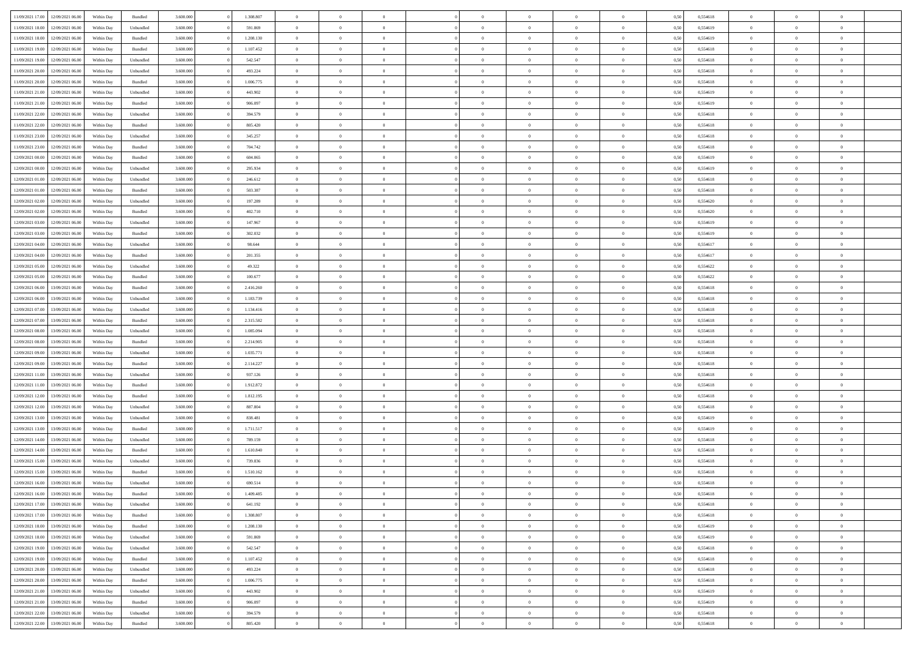| 11/09/2021 17:00                  | 12/09/2021 06:00                  | Within Day | Bundled            | 3.600.000 | 1.308.807 | $\overline{0}$ | $\Omega$       |                | $\Omega$       | $\Omega$       | $\theta$       | $\theta$       | 0,50 | 0,554618 | $\theta$       | $\theta$       | $\theta$       |  |
|-----------------------------------|-----------------------------------|------------|--------------------|-----------|-----------|----------------|----------------|----------------|----------------|----------------|----------------|----------------|------|----------|----------------|----------------|----------------|--|
|                                   |                                   |            |                    |           |           |                |                |                |                |                |                |                |      |          |                |                |                |  |
| 11/09/2021 18:00                  | 12/09/2021 06:00                  | Within Day | Unbundled          | 3.600.000 | 591.869   | $\overline{0}$ | $\theta$       | $\overline{0}$ | $\overline{0}$ | $\bf{0}$       | $\overline{0}$ | $\bf{0}$       | 0,50 | 0,554619 | $\theta$       | $\theta$       | $\overline{0}$ |  |
| 11/09/2021 18:00                  | 12/09/2021 06:00                  | Within Day | Bundled            | 3.600.000 | 1.208.130 | $\overline{0}$ | $\overline{0}$ | $\overline{0}$ | $\overline{0}$ | $\bf{0}$       | $\overline{0}$ | $\bf{0}$       | 0,50 | 0,554619 | $\overline{0}$ | $\overline{0}$ | $\overline{0}$ |  |
| 11/09/2021 19:00                  | 12/09/2021 06:00                  | Within Dav | Bundled            | 3.600,000 | 1.107.452 | $\overline{0}$ | $\overline{0}$ | $\overline{0}$ | $\overline{0}$ | $\bf{0}$       | $\overline{0}$ | $\overline{0}$ | 0.50 | 0.554618 | $\theta$       | $\theta$       | $\overline{0}$ |  |
| 11/09/2021 19:00                  | 12/09/2021 06:00                  | Within Day | Unbundled          | 3.600.000 | 542.547   | $\overline{0}$ | $\theta$       | $\overline{0}$ | $\overline{0}$ | $\bf{0}$       | $\overline{0}$ | $\bf{0}$       | 0,50 | 0,554618 | $\theta$       | $\overline{0}$ | $\overline{0}$ |  |
| 11/09/2021 20:00                  | 12/09/2021 06:00                  | Within Day | Unbundled          | 3.600.000 | 493.224   | $\overline{0}$ | $\bf{0}$       | $\overline{0}$ | $\bf{0}$       | $\overline{0}$ | $\overline{0}$ | $\mathbf{0}$   | 0,50 | 0,554618 | $\overline{0}$ | $\overline{0}$ | $\bf{0}$       |  |
| 11/09/2021 20:00                  | 12/09/2021 06:00                  | Within Dav | Bundled            | 3.600.000 | 1.006.775 | $\overline{0}$ | $\overline{0}$ | $\overline{0}$ | $\overline{0}$ | $\overline{0}$ | $\overline{0}$ | $\overline{0}$ | 0.50 | 0,554618 | $\theta$       | $\overline{0}$ | $\overline{0}$ |  |
|                                   |                                   |            |                    |           |           |                |                |                |                |                |                |                |      |          |                |                |                |  |
| 11/09/2021 21:00                  | 12/09/2021 06:00                  | Within Day | Unbundled          | 3.600.000 | 443.902   | $\overline{0}$ | $\theta$       | $\overline{0}$ | $\overline{0}$ | $\bf{0}$       | $\overline{0}$ | $\bf{0}$       | 0,50 | 0,554619 | $\theta$       | $\theta$       | $\overline{0}$ |  |
| 11/09/2021 21:00                  | 12/09/2021 06:00                  | Within Day | Bundled            | 3.600.000 | 906.097   | $\overline{0}$ | $\overline{0}$ | $\overline{0}$ | $\bf{0}$       | $\bf{0}$       | $\bf{0}$       | $\bf{0}$       | 0,50 | 0,554619 | $\,0\,$        | $\overline{0}$ | $\overline{0}$ |  |
| 11/09/2021 22:00                  | 12/09/2021 06:00                  | Within Dav | Unbundled          | 3.600.000 | 394.579   | $\overline{0}$ | $\overline{0}$ | $\overline{0}$ | $\overline{0}$ | $\overline{0}$ | $\overline{0}$ | $\overline{0}$ | 0.50 | 0.554618 | $\theta$       | $\overline{0}$ | $\overline{0}$ |  |
| 11/09/2021 22:00                  | 12/09/2021 06:00                  | Within Day | Bundled            | 3.600.000 | 805.420   | $\overline{0}$ | $\theta$       | $\overline{0}$ | $\overline{0}$ | $\bf{0}$       | $\overline{0}$ | $\bf{0}$       | 0,50 | 0,554618 | $\,$ 0 $\,$    | $\overline{0}$ | $\overline{0}$ |  |
| 11/09/2021 23:00                  | 12/09/2021 06:00                  | Within Day | Unbundled          | 3.600.000 | 345.257   | $\overline{0}$ | $\overline{0}$ | $\overline{0}$ | $\bf{0}$       | $\bf{0}$       | $\bf{0}$       | $\bf{0}$       | 0,50 | 0,554618 | $\overline{0}$ | $\overline{0}$ | $\bf{0}$       |  |
| 11/09/2021 23:00                  | 12/09/2021 06:00                  | Within Dav | Bundled            | 3.600.000 | 704.742   | $\overline{0}$ | $\overline{0}$ | $\overline{0}$ | $\overline{0}$ | $\bf{0}$       | $\overline{0}$ | $\overline{0}$ | 0.50 | 0.554618 | $\theta$       | $\theta$       | $\overline{0}$ |  |
| 12/09/2021 00:00                  | 12/09/2021 06:00                  | Within Day | Bundled            | 3.600.000 | 604.065   | $\overline{0}$ | $\theta$       | $\overline{0}$ | $\overline{0}$ | $\bf{0}$       | $\overline{0}$ | $\bf{0}$       | 0,50 | 0,554619 | $\theta$       | $\overline{0}$ | $\overline{0}$ |  |
|                                   |                                   |            |                    |           |           |                |                |                |                |                |                |                |      |          |                |                |                |  |
| 12/09/2021 00:00                  | 12/09/2021 06:00                  | Within Day | Unbundled          | 3.600.000 | 295.934   | $\overline{0}$ | $\overline{0}$ | $\overline{0}$ | $\bf{0}$       | $\overline{0}$ | $\overline{0}$ | $\mathbf{0}$   | 0,50 | 0,554619 | $\overline{0}$ | $\overline{0}$ | $\bf{0}$       |  |
| 12/09/2021 01:00                  | 12/09/2021 06:00                  | Within Dav | Unbundled          | 3.600.000 | 246.612   | $\overline{0}$ | $\overline{0}$ | $\overline{0}$ | $\overline{0}$ | $\overline{0}$ | $\overline{0}$ | $\overline{0}$ | 0.50 | 0.554618 | $\theta$       | $\overline{0}$ | $\overline{0}$ |  |
| 12/09/2021 01:00                  | 12/09/2021 06:00                  | Within Day | Bundled            | 3.600.000 | 503.387   | $\overline{0}$ | $\theta$       | $\overline{0}$ | $\overline{0}$ | $\bf{0}$       | $\overline{0}$ | $\bf{0}$       | 0,50 | 0,554618 | $\theta$       | $\theta$       | $\overline{0}$ |  |
| 12/09/2021 02:00                  | 12/09/2021 06:00                  | Within Day | Unbundled          | 3.600.000 | 197.289   | $\overline{0}$ | $\overline{0}$ | $\overline{0}$ | $\bf{0}$       | $\bf{0}$       | $\bf{0}$       | $\bf{0}$       | 0,50 | 0,554620 | $\,0\,$        | $\overline{0}$ | $\overline{0}$ |  |
| 12/09/2021 02:00                  | 12/09/2021 06:00                  | Within Day | Bundled            | 3.600.000 | 402.710   | $\overline{0}$ | $\overline{0}$ | $\overline{0}$ | $\overline{0}$ | $\overline{0}$ | $\overline{0}$ | $\overline{0}$ | 0.50 | 0,554620 | $\theta$       | $\overline{0}$ | $\overline{0}$ |  |
| 12/09/2021 03:00                  | 12/09/2021 06:00                  | Within Day | Unbundled          | 3.600.000 | 147.967   | $\overline{0}$ | $\theta$       | $\overline{0}$ | $\overline{0}$ | $\bf{0}$       | $\overline{0}$ | $\bf{0}$       | 0,50 | 0,554619 | $\,$ 0 $\,$    | $\theta$       | $\overline{0}$ |  |
| 12/09/2021 03:00                  | 12/09/2021 06:00                  | Within Day | Bundled            | 3.600.000 | 302.032   | $\overline{0}$ | $\overline{0}$ | $\overline{0}$ | $\bf{0}$       | $\bf{0}$       | $\bf{0}$       | $\bf{0}$       | 0,50 | 0,554619 | $\overline{0}$ | $\overline{0}$ | $\overline{0}$ |  |
| 12/09/2021 04:00                  | 12/09/2021 06:00                  | Within Day | Unbundled          | 3.600.000 | 98.644    | $\overline{0}$ | $\overline{0}$ | $\overline{0}$ | $\overline{0}$ | $\bf{0}$       | $\overline{0}$ | $\overline{0}$ | 0.50 | 0.554617 | $\theta$       | $\overline{0}$ | $\overline{0}$ |  |
|                                   |                                   |            |                    |           |           |                |                |                |                |                |                |                |      |          |                |                |                |  |
| 12/09/2021 04:00                  | 12/09/2021 06:00                  | Within Day | Bundled            | 3.600.000 | 201.355   | $\overline{0}$ | $\theta$       | $\overline{0}$ | $\overline{0}$ | $\bf{0}$       | $\overline{0}$ | $\bf{0}$       | 0,50 | 0,554617 | $\,$ 0 $\,$    | $\overline{0}$ | $\overline{0}$ |  |
| 12/09/2021 05:00                  | 12/09/2021 06:00                  | Within Day | Unbundled          | 3.600.000 | 49.322    | $\overline{0}$ | $\bf{0}$       | $\overline{0}$ | $\bf{0}$       | $\overline{0}$ | $\overline{0}$ | $\mathbf{0}$   | 0,50 | 0,554622 | $\overline{0}$ | $\overline{0}$ | $\bf{0}$       |  |
| 12/09/2021 05:00                  | 12/09/2021 06:00                  | Within Dav | Bundled            | 3.600.000 | 100.677   | $\overline{0}$ | $\overline{0}$ | $\overline{0}$ | $\overline{0}$ | $\overline{0}$ | $\overline{0}$ | $\overline{0}$ | 0.50 | 0,554622 | $\theta$       | $\overline{0}$ | $\overline{0}$ |  |
| 12/09/2021 06:00                  | 13/09/2021 06:00                  | Within Day | Bundled            | 3.600.000 | 2.416.260 | $\overline{0}$ | $\theta$       | $\overline{0}$ | $\overline{0}$ | $\bf{0}$       | $\overline{0}$ | $\bf{0}$       | 0,50 | 0,554618 | $\theta$       | $\theta$       | $\overline{0}$ |  |
| 12/09/2021 06:00                  | 13/09/2021 06:00                  | Within Day | Unbundled          | 3.600.000 | 1.183.739 | $\overline{0}$ | $\overline{0}$ | $\overline{0}$ | $\bf{0}$       | $\bf{0}$       | $\bf{0}$       | $\bf{0}$       | 0,50 | 0,554618 | $\,0\,$        | $\overline{0}$ | $\overline{0}$ |  |
| 12/09/2021 07:00                  | 13/09/2021 06:00                  | Within Day | Unbundled          | 3.600.000 | 1.134.416 | $\overline{0}$ | $\overline{0}$ | $\overline{0}$ | $\overline{0}$ | $\overline{0}$ | $\overline{0}$ | $\overline{0}$ | 0.50 | 0.554618 | $\theta$       | $\overline{0}$ | $\overline{0}$ |  |
| 12/09/2021 07:00                  | 13/09/2021 06:00                  | Within Day | Bundled            | 3.600.000 | 2.315.582 | $\overline{0}$ | $\theta$       | $\overline{0}$ | $\overline{0}$ | $\bf{0}$       | $\overline{0}$ | $\bf{0}$       | 0,50 | 0,554618 | $\,$ 0 $\,$    | $\overline{0}$ | $\overline{0}$ |  |
|                                   |                                   |            |                    |           |           |                |                |                |                |                |                |                |      |          |                |                |                |  |
| 12/09/2021 08:00                  | 13/09/2021 06:00                  | Within Day | Unbundled          | 3.600.000 | 1.085.094 | $\overline{0}$ | $\overline{0}$ | $\overline{0}$ | $\bf{0}$       | $\bf{0}$       | $\bf{0}$       | $\bf{0}$       | 0,50 | 0,554618 | $\overline{0}$ | $\overline{0}$ | $\overline{0}$ |  |
| 12/09/2021 08:00                  | 13/09/2021 06:00                  | Within Day | Bundled            | 3.600.000 | 2.214.905 | $\overline{0}$ | $\Omega$       | $\Omega$       | $\Omega$       | $\Omega$       | $\Omega$       | $\overline{0}$ | 0,50 | 0,554618 | $\,0\,$        | $\theta$       | $\theta$       |  |
| 12/09/2021 09:00                  | 13/09/2021 06:00                  | Within Day | Unbundled          | 3.600.000 | 1.035.771 | $\overline{0}$ | $\theta$       | $\overline{0}$ | $\overline{0}$ | $\bf{0}$       | $\overline{0}$ | $\bf{0}$       | 0,50 | 0,554618 | $\theta$       | $\overline{0}$ | $\overline{0}$ |  |
| 12/09/2021 09:00                  | 13/09/2021 06:00                  | Within Day | Bundled            | 3.600.000 | 2.114.227 | $\overline{0}$ | $\overline{0}$ | $\overline{0}$ | $\bf{0}$       | $\bf{0}$       | $\overline{0}$ | $\mathbf{0}$   | 0,50 | 0,554618 | $\overline{0}$ | $\overline{0}$ | $\bf{0}$       |  |
| 12/09/2021 11:00                  | 13/09/2021 06:00                  | Within Day | Unbundled          | 3.600,000 | 937.126   | $\overline{0}$ | $\Omega$       | $\Omega$       | $\Omega$       | $\bf{0}$       | $\overline{0}$ | $\overline{0}$ | 0.50 | 0.554618 | $\theta$       | $\theta$       | $\theta$       |  |
| 12/09/2021 11:00                  | 13/09/2021 06:00                  | Within Day | Bundled            | 3.600.000 | 1.912.872 | $\overline{0}$ | $\theta$       | $\overline{0}$ | $\overline{0}$ | $\bf{0}$       | $\overline{0}$ | $\bf{0}$       | 0,50 | 0,554618 | $\,$ 0 $\,$    | $\theta$       | $\overline{0}$ |  |
| 12/09/2021 12:00                  | 13/09/2021 06:00                  | Within Day | Bundled            | 3.600.000 | 1.812.195 | $\overline{0}$ | $\overline{0}$ | $\overline{0}$ | $\bf{0}$       | $\bf{0}$       | $\bf{0}$       | $\bf{0}$       | 0,50 | 0,554618 | $\,0\,$        | $\overline{0}$ | $\overline{0}$ |  |
| 12/09/2021 12:00                  | 13/09/2021 06:00                  | Within Day | Unbundled          | 3.600,000 | 887.804   | $\overline{0}$ | $\Omega$       | $\Omega$       | $\Omega$       | $\theta$       | $\theta$       | $\overline{0}$ | 0.50 | 0.554618 | $\theta$       | $\theta$       | $\theta$       |  |
| 12/09/2021 13:00                  | 13/09/2021 06:00                  |            |                    | 3.600.000 | 838.481   | $\overline{0}$ | $\theta$       | $\overline{0}$ | $\overline{0}$ | $\bf{0}$       | $\overline{0}$ |                |      | 0,554619 | $\,$ 0 $\,$    | $\overline{0}$ | $\overline{0}$ |  |
|                                   |                                   | Within Day | Unbundled          |           |           |                |                |                |                |                |                | $\bf{0}$       | 0,50 |          |                |                |                |  |
| 12/09/2021 13:00                  | 13/09/2021 06:00                  | Within Day | Bundled            | 3.600.000 | 1.711.517 | $\overline{0}$ | $\overline{0}$ | $\overline{0}$ | $\bf{0}$       | $\bf{0}$       | $\bf{0}$       | $\bf{0}$       | 0,50 | 0,554619 | $\bf{0}$       | $\overline{0}$ | $\overline{0}$ |  |
| 12/09/2021 14:00                  | 13/09/2021 06:00                  | Within Day | Unbundled          | 3.600.000 | 789.159   | $\overline{0}$ | $\Omega$       | $\overline{0}$ | $\Omega$       | $\Omega$       | $\overline{0}$ | $\overline{0}$ | 0,50 | 0,554618 | $\,0\,$        | $\theta$       | $\theta$       |  |
| 12/09/2021 14:00                  | 13/09/2021 06:00                  | Within Day | Bundled            | 3.600.000 | 1.610.840 | $\overline{0}$ | $\theta$       | $\overline{0}$ | $\overline{0}$ | $\bf{0}$       | $\overline{0}$ | $\bf{0}$       | 0,50 | 0,554618 | $\,$ 0 $\,$    | $\overline{0}$ | $\overline{0}$ |  |
| 12/09/2021 15:00                  | 13/09/2021 06:00                  | Within Day | Unbundled          | 3.600.000 | 739.836   | $\overline{0}$ | $\overline{0}$ | $\overline{0}$ | $\bf{0}$       | $\bf{0}$       | $\bf{0}$       | $\mathbf{0}$   | 0,50 | 0,554618 | $\bf{0}$       | $\overline{0}$ | $\bf{0}$       |  |
| 12/09/2021 15:00                  | 13/09/2021 06:00                  | Within Day | Bundled            | 3.600,000 | 1.510.162 | $\overline{0}$ | $\Omega$       | $\Omega$       | $\Omega$       | $\Omega$       | $\Omega$       | $\overline{0}$ | 0.50 | 0.554618 | $\theta$       | $\theta$       | $\theta$       |  |
| 12/09/2021 16:00                  | 13/09/2021 06:00                  | Within Day | Unbundled          | 3.600.000 | 690.514   | $\overline{0}$ | $\overline{0}$ | $\overline{0}$ | $\bf{0}$       | $\,$ 0         | $\bf{0}$       | $\bf{0}$       | 0,50 | 0,554618 | $\,0\,$        | $\overline{0}$ | $\overline{0}$ |  |
|                                   | 12/09/2021 16:00 13/09/2021 06:00 | Within Day | $\mathbf B$ undled | 3.600.000 | 1.409.485 | $\bf{0}$       | $\bf{0}$       |                |                |                |                |                | 0,50 | 0,554618 | $\bf{0}$       | $\overline{0}$ |                |  |
| 12/09/2021 17:00                  | 13/09/2021 06:00                  | Within Day | Unbundled          | 3.600.000 | 641.192   | $\overline{0}$ | $\overline{0}$ | $\overline{0}$ | $\Omega$       | $\overline{0}$ | $\overline{0}$ | $\overline{0}$ | 0.50 | 0.554618 | $\theta$       | $\theta$       | $\theta$       |  |
|                                   |                                   |            |                    |           |           |                |                |                |                |                |                |                |      |          |                |                |                |  |
| 12/09/2021 17:00                  | 13/09/2021 06:00                  | Within Day | Bundled            | 3.600.000 | 1.308.807 | $\overline{0}$ | $\bf{0}$       | $\overline{0}$ | $\bf{0}$       | $\,$ 0 $\,$    | $\overline{0}$ | $\,$ 0 $\,$    | 0,50 | 0,554618 | $\,$ 0 $\,$    | $\,$ 0 $\,$    | $\,$ 0         |  |
| 12/09/2021 18:00                  | 13/09/2021 06:00                  | Within Day | Bundled            | 3.600.000 | 1.208.130 | $\overline{0}$ | $\overline{0}$ | $\overline{0}$ | $\overline{0}$ | $\overline{0}$ | $\overline{0}$ | $\mathbf{0}$   | 0,50 | 0,554619 | $\overline{0}$ | $\bf{0}$       | $\overline{0}$ |  |
| 12/09/2021 18:00                  | 13/09/2021 06:00                  | Within Day | Unbundled          | 3.600.000 | 591.869   | $\overline{0}$ | $\overline{0}$ | $\overline{0}$ | $\Omega$       | $\overline{0}$ | $\overline{0}$ | $\overline{0}$ | 0,50 | 0,554619 | $\overline{0}$ | $\theta$       | $\overline{0}$ |  |
| 12/09/2021 19:00                  | 13/09/2021 06:00                  | Within Day | Unbundled          | 3.600.000 | 542.547   | $\overline{0}$ | $\,$ 0         | $\overline{0}$ | $\bf{0}$       | $\,$ 0 $\,$    | $\overline{0}$ | $\mathbf{0}$   | 0,50 | 0,554618 | $\,$ 0 $\,$    | $\overline{0}$ | $\overline{0}$ |  |
| 12/09/2021 19:00                  | 13/09/2021 06:00                  | Within Day | Bundled            | 3.600.000 | 1.107.452 | $\overline{0}$ | $\overline{0}$ | $\overline{0}$ | $\overline{0}$ | $\overline{0}$ | $\overline{0}$ | $\mathbf{0}$   | 0,50 | 0,554618 | $\overline{0}$ | $\overline{0}$ | $\overline{0}$ |  |
| 12/09/2021 20:00                  | 13/09/2021 06:00                  | Within Day | Unbundled          | 3.600,000 | 493.224   | $\overline{0}$ | $\overline{0}$ | $\overline{0}$ | $\overline{0}$ | $\overline{0}$ | $\overline{0}$ | $\bf{0}$       | 0.50 | 0,554618 | $\overline{0}$ | $\theta$       | $\overline{0}$ |  |
| 12/09/2021 20:00                  | 13/09/2021 06:00                  | Within Day | Bundled            | 3.600.000 | 1.006.775 | $\overline{0}$ | $\,$ 0         | $\overline{0}$ | $\bf{0}$       | $\bf{0}$       | $\bf{0}$       | $\bf{0}$       | 0,50 | 0,554618 | $\,$ 0 $\,$    | $\overline{0}$ | $\overline{0}$ |  |
|                                   |                                   |            |                    |           |           |                | $\bf{0}$       |                |                |                |                |                |      |          |                | $\overline{0}$ |                |  |
| 12/09/2021 21:00                  | 13/09/2021 06:00                  | Within Day | Unbundled          | 3.600.000 | 443.902   | $\overline{0}$ |                | $\overline{0}$ | $\overline{0}$ | $\overline{0}$ | $\overline{0}$ | $\mathbf{0}$   | 0,50 | 0,554619 | $\overline{0}$ |                | $\bf{0}$       |  |
| 12/09/2021 21:00                  | 13/09/2021 06:00                  | Within Day | Bundled            | 3.600,000 | 906,097   | $\overline{0}$ | $\overline{0}$ | $\overline{0}$ | $\Omega$       | $\overline{0}$ | $\overline{0}$ | $\overline{0}$ | 0.50 | 0,554619 | $\overline{0}$ | $\overline{0}$ | $\overline{0}$ |  |
| 12/09/2021 22:00                  | 13/09/2021 06:00                  | Within Day | Unbundled          | 3.600.000 | 394.579   | $\overline{0}$ | $\bf{0}$       | $\overline{0}$ | $\bf{0}$       | $\bf{0}$       | $\bf{0}$       | $\mathbf{0}$   | 0,50 | 0,554618 | $\,$ 0 $\,$    | $\,$ 0 $\,$    | $\bf{0}$       |  |
| 12/09/2021 22:00 13/09/2021 06:00 |                                   | Within Day | Bundled            | 3.600.000 | 805.420   | $\overline{0}$ | $\overline{0}$ | $\overline{0}$ | $\overline{0}$ | $\overline{0}$ | $\bf{0}$       | $\mathbf{0}$   | 0,50 | 0,554618 | $\overline{0}$ | $\bf{0}$       | $\overline{0}$ |  |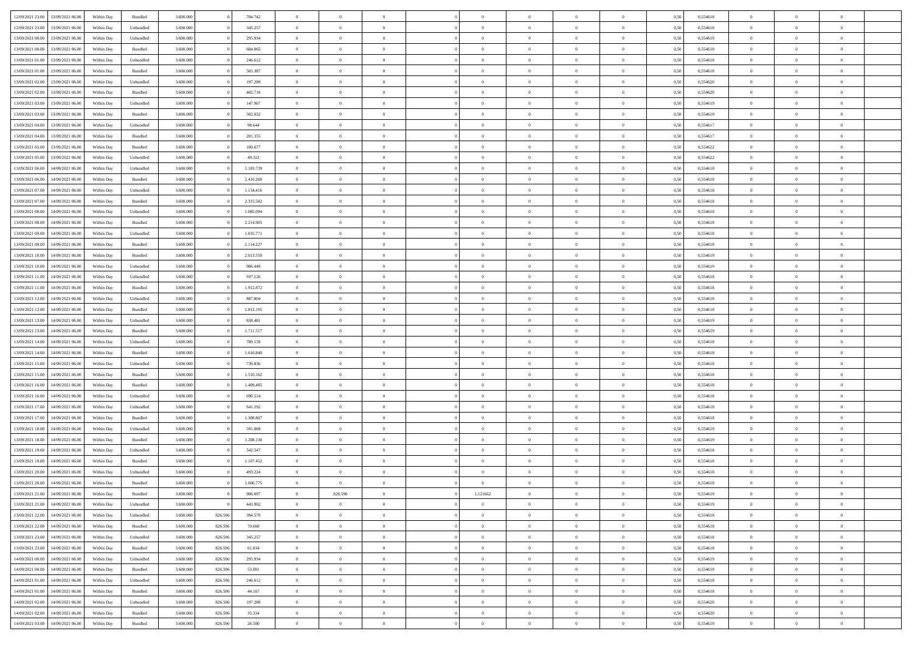|                  | 13/09/2021 06:00                  | Within Day | Bundled            | 3.600.000 |         | 704.742   | $\overline{0}$ | $\Omega$       |                | $\Omega$       | $\Omega$       | $\Omega$       | $\theta$       | 0,50 | 0,554618 | $\theta$       | $\theta$       | $\theta$       |  |
|------------------|-----------------------------------|------------|--------------------|-----------|---------|-----------|----------------|----------------|----------------|----------------|----------------|----------------|----------------|------|----------|----------------|----------------|----------------|--|
| 12/09/2021 23:00 |                                   |            |                    |           |         |           |                |                |                |                |                |                |                |      |          |                |                |                |  |
| 12/09/2021 23:00 | 13/09/2021 06:00                  | Within Day | Unbundled          | 3.600.000 |         | 345.257   | $\overline{0}$ | $\theta$       | $\overline{0}$ | $\overline{0}$ | $\bf{0}$       | $\overline{0}$ | $\bf{0}$       | 0,50 | 0,554618 | $\theta$       | $\theta$       | $\overline{0}$ |  |
| 13/09/2021 00:00 | 13/09/2021 06:00                  | Within Day | Unbundled          | 3.600.000 |         | 295.934   | $\overline{0}$ | $\bf{0}$       | $\overline{0}$ | $\bf{0}$       | $\bf{0}$       | $\bf{0}$       | $\bf{0}$       | 0,50 | 0,554619 | $\bf{0}$       | $\overline{0}$ | $\overline{0}$ |  |
| 13/09/2021 00:00 | 13/09/2021 06:00                  | Within Dav | Bundled            | 3.600,000 |         | 604.065   | $\overline{0}$ | $\overline{0}$ | $\overline{0}$ | $\overline{0}$ | $\bf{0}$       | $\overline{0}$ | $\overline{0}$ | 0.50 | 0.554619 | $\theta$       | $\theta$       | $\overline{0}$ |  |
|                  |                                   |            |                    |           |         |           |                |                |                |                |                |                |                |      |          |                |                |                |  |
| 13/09/2021 01:00 | 13/09/2021 06:00                  | Within Day | Unbundled          | 3.600.000 |         | 246.612   | $\overline{0}$ | $\theta$       | $\overline{0}$ | $\overline{0}$ | $\bf{0}$       | $\overline{0}$ | $\bf{0}$       | 0,50 | 0,554618 | $\theta$       | $\theta$       | $\overline{0}$ |  |
| 13/09/2021 01:00 | 13/09/2021 06:00                  | Within Day | Bundled            | 3.600.000 |         | 503.387   | $\overline{0}$ | $\bf{0}$       | $\overline{0}$ | $\bf{0}$       | $\overline{0}$ | $\overline{0}$ | $\mathbf{0}$   | 0,50 | 0,554618 | $\bf{0}$       | $\overline{0}$ | $\bf{0}$       |  |
| 13/09/2021 02:00 | 13/09/2021 06:00                  | Within Dav | Unbundled          | 3.600.000 |         | 197.289   | $\overline{0}$ | $\overline{0}$ | $\overline{0}$ | $\overline{0}$ | $\overline{0}$ | $\overline{0}$ | $\overline{0}$ | 0.50 | 0,554620 | $\theta$       | $\overline{0}$ | $\overline{0}$ |  |
| 13/09/2021 02:00 | 13/09/2021 06:00                  | Within Day | Bundled            | 3.600.000 |         | 402.710   | $\overline{0}$ | $\theta$       | $\overline{0}$ | $\overline{0}$ | $\bf{0}$       | $\overline{0}$ | $\bf{0}$       | 0,50 | 0,554620 | $\theta$       | $\theta$       | $\overline{0}$ |  |
|                  |                                   |            |                    |           |         |           |                | $\overline{0}$ |                |                | $\bf{0}$       |                |                |      |          | $\,0\,$        | $\overline{0}$ | $\overline{0}$ |  |
| 13/09/2021 03:00 | 13/09/2021 06:00                  | Within Day | Unbundled          | 3.600.000 |         | 147.967   | $\overline{0}$ |                | $\overline{0}$ | $\bf{0}$       |                | $\bf{0}$       | $\bf{0}$       | 0,50 | 0,554619 |                |                |                |  |
| 13/09/2021 03:00 | 13/09/2021 06:00                  | Within Dav | Bundled            | 3.600.000 |         | 302.032   | $\overline{0}$ | $\overline{0}$ | $\overline{0}$ | $\overline{0}$ | $\overline{0}$ | $\overline{0}$ | $\overline{0}$ | 0.50 | 0.554619 | $\theta$       | $\overline{0}$ | $\overline{0}$ |  |
| 13/09/2021 04:00 | 13/09/2021 06:00                  | Within Day | Unbundled          | 3.600.000 |         | 98.644    | $\overline{0}$ | $\theta$       | $\overline{0}$ | $\overline{0}$ | $\bf{0}$       | $\overline{0}$ | $\bf{0}$       | 0,50 | 0,554617 | $\theta$       | $\overline{0}$ | $\overline{0}$ |  |
| 13/09/2021 04:00 | 13/09/2021 06:00                  | Within Day | Bundled            | 3.600.000 |         | 201.355   | $\overline{0}$ | $\overline{0}$ | $\overline{0}$ | $\bf{0}$       | $\bf{0}$       | $\bf{0}$       | $\bf{0}$       | 0,50 | 0,554617 | $\bf{0}$       | $\overline{0}$ | $\overline{0}$ |  |
| 13/09/2021 05:00 | 13/09/2021 06:00                  | Within Day | Bundled            | 3.600.000 |         | 100.677   | $\overline{0}$ | $\overline{0}$ | $\overline{0}$ | $\overline{0}$ | $\bf{0}$       | $\overline{0}$ | $\overline{0}$ | 0.50 | 0.554622 | $\theta$       | $\theta$       | $\overline{0}$ |  |
|                  |                                   |            |                    |           |         |           | $\overline{0}$ | $\theta$       |                |                | $\bf{0}$       |                |                |      |          | $\theta$       |                |                |  |
| 13/09/2021 05:00 | 13/09/2021 06:00                  | Within Day | Unbundled          | 3.600.000 |         | 49.322    |                |                | $\overline{0}$ | $\overline{0}$ |                | $\overline{0}$ | $\bf{0}$       | 0,50 | 0,554622 |                | $\theta$       | $\overline{0}$ |  |
| 13/09/2021 06:00 | 14/09/2021 06:00                  | Within Day | Unbundled          | 3.600.000 |         | 1.183.739 | $\overline{0}$ | $\overline{0}$ | $\overline{0}$ | $\bf{0}$       | $\overline{0}$ | $\overline{0}$ | $\mathbf{0}$   | 0,50 | 0,554618 | $\bf{0}$       | $\overline{0}$ | $\bf{0}$       |  |
| 13/09/2021 06:00 | 14/09/2021 06:00                  | Within Dav | Bundled            | 3.600.000 |         | 2.416.260 | $\overline{0}$ | $\overline{0}$ | $\overline{0}$ | $\overline{0}$ | $\overline{0}$ | $\overline{0}$ | $\overline{0}$ | 0.50 | 0.554618 | $\theta$       | $\overline{0}$ | $\overline{0}$ |  |
| 13/09/2021 07:00 | 14/09/2021 06:00                  | Within Day | Unbundled          | 3.600.000 |         | 1.134.416 | $\overline{0}$ | $\theta$       | $\overline{0}$ | $\overline{0}$ | $\bf{0}$       | $\overline{0}$ | $\bf{0}$       | 0,50 | 0,554618 | $\theta$       | $\theta$       | $\overline{0}$ |  |
| 13/09/2021 07:00 | 14/09/2021 06:00                  | Within Day | Bundled            | 3.600.000 |         | 2.315.582 | $\overline{0}$ | $\overline{0}$ | $\overline{0}$ | $\bf{0}$       | $\bf{0}$       | $\bf{0}$       | $\bf{0}$       | 0,50 | 0,554618 | $\,0\,$        | $\overline{0}$ | $\overline{0}$ |  |
|                  |                                   |            |                    |           |         |           |                |                |                |                |                |                |                |      |          |                |                |                |  |
| 13/09/2021 08:00 | 14/09/2021 06:00                  | Within Day | Unbundled          | 3.600.000 |         | 1.085.094 | $\overline{0}$ | $\overline{0}$ | $\overline{0}$ | $\overline{0}$ | $\overline{0}$ | $\overline{0}$ | $\overline{0}$ | 0.50 | 0.554618 | $\theta$       | $\overline{0}$ | $\overline{0}$ |  |
| 13/09/2021 08:00 | 14/09/2021 06:00                  | Within Day | Bundled            | 3.600.000 |         | 2.214.905 | $\overline{0}$ | $\theta$       | $\overline{0}$ | $\overline{0}$ | $\bf{0}$       | $\overline{0}$ | $\bf{0}$       | 0,50 | 0,554618 | $\,$ 0 $\,$    | $\theta$       | $\overline{0}$ |  |
| 13/09/2021 09:00 | 14/09/2021 06:00                  | Within Day | Unbundled          | 3.600.000 |         | 1.035.771 | $\overline{0}$ | $\overline{0}$ | $\overline{0}$ | $\bf{0}$       | $\bf{0}$       | $\bf{0}$       | $\bf{0}$       | 0,50 | 0,554618 | $\bf{0}$       | $\overline{0}$ | $\overline{0}$ |  |
| 13/09/2021 09:00 | 14/09/2021 06:00                  | Within Day | Bundled            | 3.600,000 |         | 2.114.227 | $\overline{0}$ | $\overline{0}$ | $\overline{0}$ | $\overline{0}$ | $\bf{0}$       | $\overline{0}$ | $\overline{0}$ | 0.50 | 0.554618 | $\theta$       | $\theta$       | $\overline{0}$ |  |
|                  |                                   |            |                    |           |         |           |                | $\theta$       |                |                |                |                |                |      |          | $\theta$       | $\overline{0}$ |                |  |
| 13/09/2021 10:00 | 14/09/2021 06:00                  | Within Day | Bundled            | 3.600.000 |         | 2.013.550 | $\overline{0}$ |                | $\overline{0}$ | $\overline{0}$ | $\bf{0}$       | $\overline{0}$ | $\bf{0}$       | 0,50 | 0,554619 |                |                | $\overline{0}$ |  |
| 13/09/2021 10:00 | 14/09/2021 06:00                  | Within Day | Unbundled          | 3.600.000 |         | 986.449   | $\overline{0}$ | $\bf{0}$       | $\overline{0}$ | $\bf{0}$       | $\overline{0}$ | $\overline{0}$ | $\mathbf{0}$   | 0,50 | 0,554619 | $\bf{0}$       | $\overline{0}$ | $\bf{0}$       |  |
| 13/09/2021 11:00 | 14/09/2021 06:00                  | Within Dav | Unbundled          | 3.600.000 |         | 937.126   | $\overline{0}$ | $\overline{0}$ | $\overline{0}$ | $\overline{0}$ | $\overline{0}$ | $\overline{0}$ | $\overline{0}$ | 0.50 | 0.554618 | $\theta$       | $\overline{0}$ | $\overline{0}$ |  |
| 13/09/2021 11:00 | 14/09/2021 06:00                  | Within Day | Bundled            | 3.600.000 |         | 1.912.872 | $\overline{0}$ | $\theta$       | $\overline{0}$ | $\overline{0}$ | $\bf{0}$       | $\overline{0}$ | $\bf{0}$       | 0,50 | 0,554618 | $\theta$       | $\theta$       | $\overline{0}$ |  |
| 13/09/2021 12:00 | 14/09/2021 06:00                  | Within Day | Unbundled          | 3.600.000 |         | 887.804   | $\overline{0}$ | $\overline{0}$ | $\overline{0}$ | $\bf{0}$       | $\bf{0}$       | $\bf{0}$       | $\bf{0}$       | 0,50 | 0,554618 | $\,0\,$        | $\overline{0}$ | $\overline{0}$ |  |
|                  |                                   |            |                    |           |         |           |                |                |                |                |                |                |                |      |          |                |                |                |  |
| 13/09/2021 12:00 | 14/09/2021 06:00                  | Within Day | Bundled            | 3.600.000 |         | 1.812.195 | $\overline{0}$ | $\overline{0}$ | $\overline{0}$ | $\overline{0}$ | $\overline{0}$ | $\overline{0}$ | $\overline{0}$ | 0.50 | 0.554618 | $\theta$       | $\overline{0}$ | $\overline{0}$ |  |
| 13/09/2021 13:00 | 14/09/2021 06:00                  | Within Day | Unbundled          | 3.600.000 |         | 838.481   | $\overline{0}$ | $\theta$       | $\overline{0}$ | $\overline{0}$ | $\bf{0}$       | $\overline{0}$ | $\bf{0}$       | 0,50 | 0,554619 | $\,$ 0 $\,$    | $\overline{0}$ | $\overline{0}$ |  |
| 13/09/2021 13:00 | 14/09/2021 06:00                  | Within Day | Bundled            | 3.600.000 |         | 1.711.517 | $\overline{0}$ | $\overline{0}$ | $\overline{0}$ | $\bf{0}$       | $\bf{0}$       | $\bf{0}$       | $\bf{0}$       | 0,50 | 0,554619 | $\overline{0}$ | $\overline{0}$ | $\overline{0}$ |  |
| 13/09/2021 14:00 | 14/09/2021 06:00                  | Within Day | Unbundled          | 3.600.000 |         | 789.159   | $\overline{0}$ | $\Omega$       | $\Omega$       | $\Omega$       | $\Omega$       | $\overline{0}$ | $\overline{0}$ | 0,50 | 0,554618 | $\,0\,$        | $\theta$       | $\theta$       |  |
| 13/09/2021 14:00 | 14/09/2021 06:00                  | Within Day | Bundled            | 3.600.000 |         | 1.610.840 | $\overline{0}$ | $\theta$       | $\overline{0}$ | $\overline{0}$ | $\bf{0}$       | $\overline{0}$ | $\bf{0}$       | 0,50 | 0,554618 | $\theta$       | $\theta$       | $\overline{0}$ |  |
|                  |                                   |            |                    |           |         |           |                |                |                |                |                |                |                |      |          |                |                |                |  |
| 13/09/2021 15:00 | 14/09/2021 06:00                  | Within Day | Unbundled          | 3.600.000 |         | 739.836   | $\overline{0}$ | $\overline{0}$ | $\overline{0}$ | $\bf{0}$       | $\bf{0}$       | $\overline{0}$ | $\mathbf{0}$   | 0,50 | 0,554618 | $\overline{0}$ | $\overline{0}$ | $\bf{0}$       |  |
| 13/09/2021 15:00 | 14/09/2021 06:00                  | Within Day | Bundled            | 3.600,000 |         | 1.510.162 | $\overline{0}$ | $\Omega$       | $\Omega$       | $\Omega$       | $\bf{0}$       | $\overline{0}$ | $\overline{0}$ | 0.50 | 0.554618 | $\theta$       | $\theta$       | $\theta$       |  |
| 13/09/2021 16:00 | 14/09/2021 06:00                  | Within Day | Bundled            | 3.600.000 |         | 1.409.485 | $\overline{0}$ | $\theta$       | $\overline{0}$ | $\overline{0}$ | $\bf{0}$       | $\overline{0}$ | $\bf{0}$       | 0,50 | 0,554618 | $\theta$       | $\theta$       | $\overline{0}$ |  |
| 13/09/2021 16:00 | 14/09/2021 06:00                  | Within Day | Unbundled          | 3.600.000 |         | 690.514   | $\overline{0}$ | $\overline{0}$ | $\overline{0}$ | $\bf{0}$       | $\bf{0}$       | $\bf{0}$       | $\bf{0}$       | 0,50 | 0,554618 | $\,0\,$        | $\overline{0}$ | $\overline{0}$ |  |
|                  |                                   |            |                    |           |         |           |                |                |                |                |                |                |                |      |          |                |                |                |  |
| 13/09/2021 17:00 | 14/09/2021 06:00                  | Within Day | Unbundled          | 3.600,000 |         | 641.192   | $\overline{0}$ | $\Omega$       | $\Omega$       | $\Omega$       | $\theta$       | $\theta$       | $\overline{0}$ | 0.50 | 0.554618 | $\theta$       | $\theta$       | $\theta$       |  |
| 13/09/2021 17:00 | 14/09/2021 06:00                  | Within Day | Bundled            | 3.600.000 |         | 1.308.807 | $\overline{0}$ | $\theta$       | $\overline{0}$ | $\overline{0}$ | $\bf{0}$       | $\overline{0}$ | $\bf{0}$       | 0,50 | 0,554618 | $\,$ 0 $\,$    | $\overline{0}$ | $\overline{0}$ |  |
| 13/09/2021 18:00 | 14/09/2021 06:00                  | Within Day | Unbundled          | 3.600.000 |         | 591.869   | $\overline{0}$ | $\overline{0}$ | $\overline{0}$ | $\bf{0}$       | $\bf{0}$       | $\bf{0}$       | $\bf{0}$       | 0,50 | 0,554619 | $\overline{0}$ | $\overline{0}$ | $\overline{0}$ |  |
| 13/09/2021 18:00 | 14/09/2021 06:00                  | Within Day | Bundled            | 3.600.000 |         | 1.208.130 | $\overline{0}$ | $\Omega$       | $\overline{0}$ | $\Omega$       | $\overline{0}$ | $\overline{0}$ | $\overline{0}$ | 0,50 | 0,554619 | $\,0\,$        | $\theta$       | $\theta$       |  |
| 13/09/2021 19:00 | 14/09/2021 06:00                  | Within Day | Unbundled          | 3.600.000 |         | 542.547   | $\overline{0}$ | $\theta$       | $\overline{0}$ | $\overline{0}$ | $\bf{0}$       | $\overline{0}$ | $\bf{0}$       | 0,50 | 0,554618 | $\,$ 0 $\,$    | $\overline{0}$ | $\overline{0}$ |  |
|                  |                                   |            |                    |           |         |           |                |                |                |                |                |                |                |      |          |                |                |                |  |
| 13/09/2021 19:00 | 14/09/2021 06:00                  | Within Day | Bundled            | 3.600.000 |         | 1.107.452 | $\overline{0}$ | $\bf{0}$       | $\overline{0}$ | $\bf{0}$       | $\bf{0}$       | $\bf{0}$       | $\mathbf{0}$   | 0,50 | 0,554618 | $\bf{0}$       | $\overline{0}$ | $\bf{0}$       |  |
| 13/09/2021 20:00 | 14/09/2021 06:00                  | Within Day | Unbundled          | 3.600,000 |         | 493.224   | $\overline{0}$ | $\Omega$       | $\Omega$       | $\Omega$       | $\Omega$       | $\Omega$       | $\overline{0}$ | 0.50 | 0.554618 | $\theta$       | $\theta$       | $\theta$       |  |
| 13/09/2021 20:00 | 14/09/2021 06:00                  | Within Day | Bundled            | 3.600.000 |         | 1.006.775 | $\overline{0}$ | $\,$ 0 $\,$    | $\overline{0}$ | $\overline{0}$ | $\,$ 0         | $\bf{0}$       | $\bf{0}$       | 0,50 | 0,554618 | $\,0\,$        | $\overline{0}$ | $\overline{0}$ |  |
| 13/09/2021 21:00 | 14/09/2021 06:00                  | Within Day | $\mathbf B$ undled | 3.600.000 |         | 906.097   | $\bf{0}$       | 826.596        |                | 1,121662       | $\bf{0}$       |                |                | 0,50 | 0,554619 | $\bf{0}$       | $\overline{0}$ |                |  |
| 13/09/2021 21:00 | 14/09/2021 06:00                  | Within Day | Unbundled          | 3.600,000 |         | 443.902   | $\overline{0}$ | $\overline{0}$ | $\overline{0}$ | $\Omega$       | $\overline{0}$ | $\overline{0}$ | $\overline{0}$ | 0,50 | 0.554619 | $\theta$       | $\theta$       | $\theta$       |  |
|                  |                                   |            |                    |           |         |           |                |                |                |                |                |                |                |      |          |                |                |                |  |
| 13/09/2021 22:00 | 14/09/2021 06:00                  | Within Day | Unbundled          | 3.600.000 | 826.596 | 394.579   | $\overline{0}$ | $\bf{0}$       | $\overline{0}$ | $\bf{0}$       | $\,$ 0 $\,$    | $\overline{0}$ | $\,$ 0 $\,$    | 0,50 | 0,554618 | $\,$ 0 $\,$    | $\,$ 0 $\,$    | $\,$ 0         |  |
| 13/09/2021 22:00 | 14/09/2021 06:00                  | Within Day | Bundled            | 3.600.000 | 826.596 | 70.668    | $\overline{0}$ | $\overline{0}$ | $\overline{0}$ | $\overline{0}$ | $\overline{0}$ | $\overline{0}$ | $\mathbf{0}$   | 0,50 | 0,554618 | $\overline{0}$ | $\overline{0}$ | $\overline{0}$ |  |
| 13/09/2021 23:00 | 14/09/2021 06:00                  | Within Day | Unbundled          | 3.600.000 | 826.596 | 345.257   | $\overline{0}$ | $\overline{0}$ | $\overline{0}$ | $\overline{0}$ | $\overline{0}$ | $\overline{0}$ | $\overline{0}$ | 0,50 | 0,554618 | $\overline{0}$ | $\theta$       | $\overline{0}$ |  |
| 13/09/2021 23:00 | 14/09/2021 06:00                  | Within Day | Bundled            | 3.600.000 | 826.596 | 61.834    | $\overline{0}$ | $\,$ 0         | $\overline{0}$ | $\bf{0}$       | $\,$ 0 $\,$    | $\overline{0}$ | $\mathbf{0}$   | 0,50 | 0,554618 | $\,$ 0 $\,$    | $\overline{0}$ | $\,$ 0         |  |
|                  |                                   |            |                    |           |         |           |                |                |                |                |                |                |                |      |          |                |                |                |  |
| 14/09/2021 00:00 | 14/09/2021 06:00                  | Within Day | Unbundled          | 3.600.000 | 826.596 | 295.934   | $\overline{0}$ | $\overline{0}$ | $\overline{0}$ | $\overline{0}$ | $\overline{0}$ | $\overline{0}$ | $\mathbf{0}$   | 0,50 | 0,554619 | $\overline{0}$ | $\overline{0}$ | $\overline{0}$ |  |
| 14/09/2021 00:00 | 14/09/2021 06:00                  | Within Day | Bundled            | 3.600.000 | 826.596 | 53.001    | $\overline{0}$ | $\overline{0}$ | $\overline{0}$ | $\overline{0}$ | $\overline{0}$ | $\overline{0}$ | $\overline{0}$ | 0.50 | 0,554619 | $\overline{0}$ | $\theta$       | $\overline{0}$ |  |
| 14/09/2021 01:00 | 14/09/2021 06:00                  | Within Day | Unbundled          | 3.600.000 | 826.596 | 246.612   | $\overline{0}$ | $\,$ 0         | $\overline{0}$ | $\bf{0}$       | $\bf{0}$       | $\bf{0}$       | $\bf{0}$       | 0,50 | 0,554618 | $\,$ 0 $\,$    | $\overline{0}$ | $\overline{0}$ |  |
| 14/09/2021 01:00 | 14/09/2021 06:00                  | Within Day | Bundled            | 3.600.000 | 826.596 | 44.167    | $\overline{0}$ | $\bf{0}$       | $\overline{0}$ | $\overline{0}$ | $\overline{0}$ | $\overline{0}$ | $\mathbf{0}$   | 0,50 | 0,554618 | $\overline{0}$ | $\overline{0}$ | $\bf{0}$       |  |
| 14/09/2021 02:00 | 14/09/2021 06:00                  | Within Day | Unbundled          | 3.600,000 | 826.596 | 197.289   | $\overline{0}$ | $\overline{0}$ | $\overline{0}$ | $\Omega$       | $\overline{0}$ | $\overline{0}$ | $\overline{0}$ | 0.50 | 0,554620 | $\overline{0}$ | $\overline{0}$ | $\overline{0}$ |  |
|                  |                                   |            |                    |           |         |           |                |                |                |                |                |                |                |      |          |                |                |                |  |
| 14/09/2021 02:00 | 14/09/2021 06:00                  | Within Day | Bundled            | 3.600.000 | 826.596 | 35.334    | $\overline{0}$ | $\bf{0}$       | $\overline{0}$ | $\bf{0}$       | $\bf{0}$       | $\bf{0}$       | $\mathbf{0}$   | 0,50 | 0,554620 | $\,$ 0 $\,$    | $\,$ 0 $\,$    | $\bf{0}$       |  |
|                  | 14/09/2021 03:00 14/09/2021 06:00 | Within Day | Bundled            | 3.600.000 | 826.596 | 26.500    | $\overline{0}$ | $\overline{0}$ | $\overline{0}$ | $\overline{0}$ | $\overline{0}$ | $\bf{0}$       | $\mathbf{0}$   | 0,50 | 0,554619 | $\overline{0}$ | $\bf{0}$       | $\overline{0}$ |  |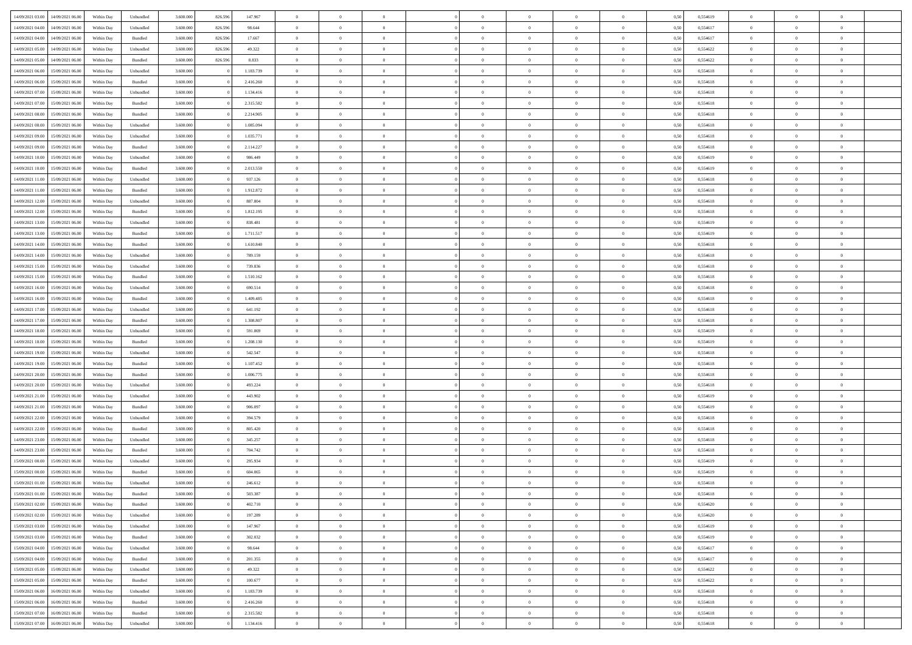| 14/09/2021 03:00 | 14/09/2021 06:00                  | Within Day | Unbundled          | 3.600.000 | 826.596 | 147.967   | $\overline{0}$ | $\theta$       |                | $\overline{0}$ | $\bf{0}$       | $\overline{0}$ | $\theta$       | 0,50 | 0,554619 | $\theta$       | $\theta$       | $\theta$       |  |
|------------------|-----------------------------------|------------|--------------------|-----------|---------|-----------|----------------|----------------|----------------|----------------|----------------|----------------|----------------|------|----------|----------------|----------------|----------------|--|
| 14/09/2021 04:00 | 14/09/2021 06.00                  | Within Day | Unbundled          | 3.600.000 | 826.596 | 98.644    | $\overline{0}$ | $\overline{0}$ | $\overline{0}$ | $\overline{0}$ | $\bf{0}$       | $\bf{0}$       | $\bf{0}$       | 0,50 | 0,554617 | $\,$ 0 $\,$    | $\overline{0}$ | $\overline{0}$ |  |
|                  |                                   |            |                    |           |         |           |                |                |                |                |                |                |                |      |          |                |                |                |  |
| 14/09/2021 04:00 | 14/09/2021 06:00                  | Within Day | Bundled            | 3.600,000 | 826.596 | 17.667    | $\overline{0}$ | $\overline{0}$ | $\overline{0}$ | $\overline{0}$ | $\bf{0}$       | $\overline{0}$ | $\mathbf{0}$   | 0.50 | 0.554617 | $\overline{0}$ | $\overline{0}$ | $\bf{0}$       |  |
| 14/09/2021 05:00 | 14/09/2021 06:00                  | Within Day | Unbundled          | 3.600.000 | 826.596 | 49.322    | $\overline{0}$ | $\overline{0}$ | $\overline{0}$ | $\overline{0}$ | $\,0\,$        | $\overline{0}$ | $\overline{0}$ | 0,50 | 0,554622 | $\,$ 0 $\,$    | $\overline{0}$ | $\overline{0}$ |  |
| 14/09/2021 05:00 | 14/09/2021 06.00                  | Within Day | Bundled            | 3.600.000 | 826.596 | 8.833     | $\overline{0}$ | $\overline{0}$ | $\overline{0}$ | $\overline{0}$ | $\,$ 0         | $\overline{0}$ | $\bf{0}$       | 0,50 | 0,554622 | $\,$ 0 $\,$    | $\overline{0}$ | $\overline{0}$ |  |
| 14/09/2021 06:00 | 15/09/2021 06:00                  | Within Day | Unbundled          | 3.600,000 |         | 1.183.739 | $\overline{0}$ | $\overline{0}$ | $\overline{0}$ | $\overline{0}$ | $\bf{0}$       | $\overline{0}$ | $\bf{0}$       | 0.50 | 0.554618 | $\,0\,$        | $\overline{0}$ | $\overline{0}$ |  |
| 14/09/2021 06:00 | 15/09/2021 06:00                  | Within Day | Bundled            | 3.600.000 |         | 2.416.260 | $\overline{0}$ | $\overline{0}$ | $\overline{0}$ | $\overline{0}$ | $\bf{0}$       | $\overline{0}$ | $\bf{0}$       | 0,50 | 0,554618 | $\,$ 0 $\,$    | $\overline{0}$ | $\overline{0}$ |  |
| 14/09/2021 07:00 | 15/09/2021 06.00                  | Within Day | Unbundled          | 3.600.000 |         | 1.134.416 | $\overline{0}$ | $\overline{0}$ | $\overline{0}$ | $\overline{0}$ | $\,$ 0         | $\bf{0}$       | $\bf{0}$       | 0,50 | 0,554618 | $\,$ 0 $\,$    | $\overline{0}$ | $\overline{0}$ |  |
| 14/09/2021 07:00 | 15/09/2021 06:00                  | Within Day | Bundled            | 3.600,000 |         | 2.315.582 | $\overline{0}$ | $\overline{0}$ | $\overline{0}$ | $\overline{0}$ | $\bf{0}$       | $\overline{0}$ | $\bf{0}$       | 0.50 | 0.554618 | $\bf{0}$       | $\overline{0}$ | $\bf{0}$       |  |
| 14/09/2021 08:00 | 15/09/2021 06:00                  | Within Day | Bundled            | 3.600.000 |         | 2.214.905 | $\overline{0}$ | $\overline{0}$ | $\overline{0}$ | $\overline{0}$ | $\bf{0}$       | $\overline{0}$ | $\bf{0}$       | 0,50 | 0,554618 | $\,$ 0 $\,$    | $\overline{0}$ | $\overline{0}$ |  |
| 14/09/2021 08:00 | 15/09/2021 06.00                  | Within Day | Unbundled          | 3.600.000 |         | 1.085.094 | $\bf{0}$       | $\overline{0}$ | $\overline{0}$ | $\overline{0}$ | $\,$ 0         | $\bf{0}$       | $\bf{0}$       | 0,50 | 0,554618 | $\,$ 0 $\,$    | $\overline{0}$ | $\overline{0}$ |  |
| 14/09/2021 09:00 | 15/09/2021 06:00                  |            |                    | 3.600,000 |         | 1.035.771 | $\overline{0}$ | $\overline{0}$ | $\overline{0}$ | $\overline{0}$ | $\bf{0}$       | $\overline{0}$ |                | 0.50 | 0.554618 | $\overline{0}$ | $\,$ 0 $\,$    | $\bf{0}$       |  |
|                  |                                   | Within Day | Unbundled          |           |         |           |                |                |                |                |                |                | $\mathbf{0}$   |      |          |                |                |                |  |
| 14/09/2021 09:00 | 15/09/2021 06:00                  | Within Day | Bundled            | 3.600.000 |         | 2.114.227 | $\overline{0}$ | $\overline{0}$ | $\overline{0}$ | $\overline{0}$ | $\bf{0}$       | $\overline{0}$ | $\overline{0}$ | 0,50 | 0,554618 | $\,$ 0 $\,$    | $\overline{0}$ | $\overline{0}$ |  |
| 14/09/2021 10:00 | 15/09/2021 06.00                  | Within Day | Unbundled          | 3.600.000 |         | 986.449   | $\overline{0}$ | $\theta$       | $\overline{0}$ | $\overline{0}$ | $\,$ 0         | $\overline{0}$ | $\bf{0}$       | 0,50 | 0,554619 | $\,$ 0 $\,$    | $\overline{0}$ | $\overline{0}$ |  |
| 14/09/2021 10:00 | 15/09/2021 06:00                  | Within Day | Bundled            | 3.600,000 |         | 2.013.550 | $\overline{0}$ | $\overline{0}$ | $\overline{0}$ | $\overline{0}$ | $\bf{0}$       | $\overline{0}$ | $\bf{0}$       | 0.50 | 0.554619 | $\,0\,$        | $\overline{0}$ | $\overline{0}$ |  |
| 14/09/2021 11:00 | 15/09/2021 06:00                  | Within Day | Unbundled          | 3.600.000 |         | 937.126   | $\overline{0}$ | $\overline{0}$ | $\overline{0}$ | $\overline{0}$ | $\bf{0}$       | $\overline{0}$ | $\bf{0}$       | 0,50 | 0,554618 | $\,$ 0 $\,$    | $\theta$       | $\overline{0}$ |  |
| 14/09/2021 11:00 | 15/09/2021 06.00                  | Within Day | Bundled            | 3.600.000 |         | 1.912.872 | $\overline{0}$ | $\overline{0}$ | $\overline{0}$ | $\overline{0}$ | $\,$ 0         | $\overline{0}$ | $\bf{0}$       | 0,50 | 0,554618 | $\,$ 0 $\,$    | $\overline{0}$ | $\overline{0}$ |  |
| 14/09/2021 12:00 | 15/09/2021 06:00                  | Within Day | Unbundled          | 3.600,000 |         | 887.804   | $\overline{0}$ | $\overline{0}$ | $\overline{0}$ | $\overline{0}$ | $\bf{0}$       | $\overline{0}$ | $\mathbf{0}$   | 0.50 | 0.554618 | $\bf{0}$       | $\overline{0}$ | $\bf{0}$       |  |
| 14/09/2021 12:00 | 15/09/2021 06:00                  | Within Day | Bundled            | 3.600.000 |         | 1.812.195 | $\overline{0}$ | $\overline{0}$ | $\overline{0}$ | $\overline{0}$ | $\bf{0}$       | $\overline{0}$ | $\bf{0}$       | 0,50 | 0,554618 | $\,$ 0 $\,$    | $\overline{0}$ | $\overline{0}$ |  |
| 14/09/2021 13:00 | 15/09/2021 06.00                  | Within Day | Unbundled          | 3.600.000 |         | 838.481   | $\bf{0}$       | $\overline{0}$ | $\overline{0}$ | $\overline{0}$ | $\bf{0}$       | $\overline{0}$ | $\bf{0}$       | 0,50 | 0,554619 | $\,$ 0 $\,$    | $\overline{0}$ | $\overline{0}$ |  |
| 14/09/2021 13:00 | 15/09/2021 06:00                  | Within Day | Bundled            | 3.600,000 |         | 1.711.517 | $\overline{0}$ | $\overline{0}$ | $\overline{0}$ | $\overline{0}$ | $\bf{0}$       | $\overline{0}$ | $\mathbf{0}$   | 0.50 | 0.554619 | $\overline{0}$ | $\,$ 0 $\,$    | $\overline{0}$ |  |
| 14/09/2021 14:00 | 15/09/2021 06:00                  | Within Day | Bundled            | 3.600.000 |         | 1.610.840 | $\overline{0}$ | $\overline{0}$ | $\overline{0}$ | $\overline{0}$ | $\bf{0}$       | $\overline{0}$ | $\overline{0}$ | 0,50 | 0,554618 | $\,$ 0 $\,$    | $\overline{0}$ | $\overline{0}$ |  |
|                  | 15/09/2021 06.00                  | Within Day | Unbundled          | 3.600.000 |         | 789.159   | $\overline{0}$ | $\overline{0}$ | $\overline{0}$ | $\overline{0}$ | $\bf{0}$       | $\overline{0}$ | $\bf{0}$       | 0,50 | 0,554618 | $\,$ 0 $\,$    | $\overline{0}$ | $\overline{0}$ |  |
| 14/09/2021 14:00 |                                   |            |                    |           |         |           |                |                |                |                |                |                |                |      |          |                |                |                |  |
| 14/09/2021 15:00 | 15/09/2021 06:00                  | Within Day | Unbundled          | 3.600,000 |         | 739.836   | $\overline{0}$ | $\overline{0}$ | $\overline{0}$ | $\overline{0}$ | $\bf{0}$       | $\overline{0}$ | $\bf{0}$       | 0.50 | 0.554618 | $\,0\,$        | $\overline{0}$ | $\overline{0}$ |  |
| 14/09/2021 15:00 | 15/09/2021 06:00                  | Within Day | Bundled            | 3.600.000 |         | 1.510.162 | $\overline{0}$ | $\overline{0}$ | $\overline{0}$ | $\overline{0}$ | $\bf{0}$       | $\overline{0}$ | $\bf{0}$       | 0,50 | 0,554618 | $\,$ 0 $\,$    | $\theta$       | $\overline{0}$ |  |
| 14/09/2021 16:00 | 15/09/2021 06.00                  | Within Day | Unbundled          | 3.600.000 |         | 690.514   | $\overline{0}$ | $\overline{0}$ | $\overline{0}$ | $\overline{0}$ | $\,$ 0         | $\bf{0}$       | $\bf{0}$       | 0,50 | 0,554618 | $\,$ 0 $\,$    | $\overline{0}$ | $\overline{0}$ |  |
| 14/09/2021 16:00 | 15/09/2021 06:00                  | Within Day | Bundled            | 3.600,000 |         | 1.409.485 | $\overline{0}$ | $\overline{0}$ | $\overline{0}$ | $\overline{0}$ | $\bf{0}$       | $\overline{0}$ | $\mathbf{0}$   | 0.50 | 0.554618 | $\bf{0}$       | $\overline{0}$ | $\bf{0}$       |  |
| 14/09/2021 17:00 | 15/09/2021 06:00                  | Within Day | Unbundled          | 3.600.000 |         | 641.192   | $\overline{0}$ | $\overline{0}$ | $\overline{0}$ | $\overline{0}$ | $\bf{0}$       | $\overline{0}$ | $\bf{0}$       | 0,50 | 0,554618 | $\,$ 0 $\,$    | $\overline{0}$ | $\overline{0}$ |  |
| 14/09/2021 17:00 | 15/09/2021 06.00                  | Within Day | Bundled            | 3.600.000 |         | 1.308.807 | $\overline{0}$ | $\overline{0}$ | $\overline{0}$ | $\overline{0}$ | $\bf{0}$       | $\bf{0}$       | $\bf{0}$       | 0,50 | 0,554618 | $\,$ 0 $\,$    | $\overline{0}$ | $\overline{0}$ |  |
| 14/09/2021 18:00 | 15/09/2021 06:00                  | Within Day | Unbundled          | 3.600,000 |         | 591.869   | $\overline{0}$ | $\overline{0}$ | $\overline{0}$ | $\overline{0}$ | $\bf{0}$       | $\overline{0}$ | $\mathbf{0}$   | 0.50 | 0.554619 | $\overline{0}$ | $\,$ 0 $\,$    | $\bf{0}$       |  |
| 14/09/2021 18:00 | 15/09/2021 06:00                  | Within Dav | Bundled            | 3.600.000 |         | 1.208.130 | $\overline{0}$ | $\overline{0}$ | $\overline{0}$ | $\overline{0}$ | $\overline{0}$ | $\overline{0}$ | $\overline{0}$ | 0.50 | 0,554619 | $\theta$       | $\overline{0}$ | $\overline{0}$ |  |
| 14/09/2021 19:00 | 15/09/2021 06.00                  | Within Day | Unbundled          | 3.600.000 |         | 542.547   | $\overline{0}$ | $\overline{0}$ | $\overline{0}$ | $\overline{0}$ | $\,$ 0         | $\bf{0}$       | $\bf{0}$       | 0,50 | 0,554618 | $\,$ 0 $\,$    | $\overline{0}$ | $\overline{0}$ |  |
| 14/09/2021 19:00 | 15/09/2021 06:00                  | Within Day | Bundled            | 3.600,000 |         | 1.107.452 | $\overline{0}$ | $\overline{0}$ | $\overline{0}$ | $\overline{0}$ | $\bf{0}$       | $\overline{0}$ | $\bf{0}$       | 0.50 | 0.554618 | $\,0\,$        | $\overline{0}$ | $\overline{0}$ |  |
| 14/09/2021 20:00 | 15/09/2021 06:00                  | Within Dav | Bundled            | 3.600.000 |         | 1.006.775 | $\overline{0}$ | $\overline{0}$ | $\Omega$       | $\overline{0}$ | $\mathbf{0}$   | $\overline{0}$ | $\overline{0}$ | 0,50 | 0,554618 | $\theta$       | $\overline{0}$ | $\overline{0}$ |  |
|                  |                                   |            |                    |           |         |           |                |                | $\overline{0}$ |                |                |                |                |      |          |                |                |                |  |
| 14/09/2021 20:00 | 15/09/2021 06.00                  | Within Day | Unbundled          | 3.600.000 |         | 493.224   | $\bf{0}$       | $\overline{0}$ |                | $\overline{0}$ | $\,$ 0         | $\bf{0}$       | $\bf{0}$       | 0,50 | 0,554618 | $\,$ 0 $\,$    | $\overline{0}$ | $\overline{0}$ |  |
| 14/09/2021 21:00 | 15/09/2021 06:00                  | Within Day | Unbundled          | 3.600,000 |         | 443.902   | $\overline{0}$ | $\overline{0}$ | $\overline{0}$ | $\overline{0}$ | $\bf{0}$       | $\overline{0}$ | $\mathbf{0}$   | 0.50 | 0.554619 | $\bf{0}$       | $\overline{0}$ | $\bf{0}$       |  |
| 14/09/2021 21:00 | 15/09/2021 06:00                  | Within Dav | Bundled            | 3.600.000 |         | 906.097   | $\overline{0}$ | $\overline{0}$ | $\overline{0}$ | $\overline{0}$ | $\overline{0}$ | $\overline{0}$ | $\overline{0}$ | 0,50 | 0,554619 | $\theta$       | $\overline{0}$ | $\overline{0}$ |  |
| 14/09/2021 22:00 | 15/09/2021 06.00                  | Within Day | Unbundled          | 3.600.000 |         | 394.579   | $\bf{0}$       | $\overline{0}$ | $\overline{0}$ | $\bf{0}$       | $\bf{0}$       | $\bf{0}$       | $\bf{0}$       | 0,50 | 0,554618 | $\,$ 0 $\,$    | $\overline{0}$ | $\overline{0}$ |  |
| 14/09/2021 22:00 | 15/09/2021 06:00                  | Within Day | Bundled            | 3.600,000 |         | 805.420   | $\overline{0}$ | $\overline{0}$ | $\overline{0}$ | $\overline{0}$ | $\bf{0}$       | $\overline{0}$ | $\mathbf{0}$   | 0.50 | 0.554618 | $\overline{0}$ | $\,$ 0 $\,$    | $\overline{0}$ |  |
| 14/09/2021 23:00 | 15/09/2021 06:00                  | Within Dav | Unbundled          | 3.600.000 |         | 345.257   | $\overline{0}$ | $\overline{0}$ | $\overline{0}$ | $\overline{0}$ | $\overline{0}$ | $\overline{0}$ | $\overline{0}$ | 0,50 | 0,554618 | $\theta$       | $\overline{0}$ | $\overline{0}$ |  |
| 14/09/2021 23:00 | 15/09/2021 06.00                  | Within Day | Bundled            | 3.600.000 |         | 704.742   | $\overline{0}$ | $\overline{0}$ | $\overline{0}$ | $\overline{0}$ | $\bf{0}$       | $\overline{0}$ | $\bf{0}$       | 0,50 | 0,554618 | $\,$ 0 $\,$    | $\overline{0}$ | $\overline{0}$ |  |
| 15/09/2021 00:00 | 15/09/2021 06:00                  | Within Day | Unbundled          | 3.600,000 |         | 295.934   | $\overline{0}$ | $\overline{0}$ | $\overline{0}$ | $\overline{0}$ | $\bf{0}$       | $\Omega$       | $\overline{0}$ | 0.50 | 0.554619 | $\,0\,$        | $\theta$       | $\overline{0}$ |  |
| 15/09/2021 00:00 | 15/09/2021 06:00                  | Within Dav | Bundled            | 3.600.000 |         | 604.065   | $\overline{0}$ | $\theta$       | $\Omega$       | $\overline{0}$ | $\bf{0}$       | $\overline{0}$ | $\overline{0}$ | 0.50 | 0,554619 | $\theta$       | $\overline{0}$ | $\overline{0}$ |  |
| 15/09/2021 01:00 | 15/09/2021 06:00                  | Within Day | Unbundled          | 3.600.000 |         | 246.612   | $\bf{0}$       | $\overline{0}$ | $\overline{0}$ | $\bf{0}$       | $\,$ 0         | $\bf{0}$       | $\bf{0}$       | 0,50 | 0,554618 | $\,$ 0 $\,$    | $\overline{0}$ | $\overline{0}$ |  |
| 15/09/2021 01:00 | 15/09/2021 06:00                  | Within Day | $\mathbf B$ undled | 3.600.000 |         | 503.387   | $\bf{0}$       | $\bf{0}$       |                | $^{\circ}$     | $\Omega$       |                |                | 0,50 | 0,554618 | $\bf{0}$       | $\theta$       |                |  |
|                  |                                   |            |                    |           |         |           |                | $\overline{0}$ |                |                | $\overline{0}$ |                |                |      |          | $\theta$       | $\overline{0}$ | $\overline{0}$ |  |
| 15/09/2021 02:00 | 15/09/2021 06:00                  | Within Day | Bundled            | 3.600.000 |         | 402.710   | $\overline{0}$ |                | $\overline{0}$ | $\overline{0}$ |                | $\overline{0}$ | $\mathbf{0}$   | 0,50 | 0,554620 |                |                |                |  |
| 15/09/2021 02:00 | 15/09/2021 06:00                  | Within Day | Unbundled          | 3.600.000 |         | 197.289   | $\overline{0}$ | $\overline{0}$ | $\overline{0}$ | $\bf{0}$       | $\overline{0}$ | $\overline{0}$ | $\bf{0}$       | 0,50 | 0,554620 | $\overline{0}$ | $\overline{0}$ | $\bf{0}$       |  |
| 15/09/2021 03:00 | 15/09/2021 06:00                  | Within Day | Unbundled          | 3.600.000 |         | 147.967   | $\overline{0}$ | $\overline{0}$ | $\overline{0}$ | $\overline{0}$ | $\overline{0}$ | $\overline{0}$ | $\mathbf{0}$   | 0.50 | 0.554619 | $\overline{0}$ | $\bf{0}$       | $\bf{0}$       |  |
| 15/09/2021 03:00 | 15/09/2021 06:00                  | Within Day | Bundled            | 3.600.000 |         | 302.032   | $\overline{0}$ | $\overline{0}$ | $\overline{0}$ | $\overline{0}$ | $\overline{0}$ | $\overline{0}$ | $\mathbf{0}$   | 0,50 | 0,554619 | $\overline{0}$ | $\theta$       | $\overline{0}$ |  |
| 15/09/2021 04:00 | 15/09/2021 06:00                  | Within Day | Unbundled          | 3.600.000 |         | 98.644    | $\overline{0}$ | $\overline{0}$ | $\overline{0}$ | $\overline{0}$ | $\bf{0}$       | $\bf{0}$       | $\bf{0}$       | 0,50 | 0,554617 | $\bf{0}$       | $\overline{0}$ | $\overline{0}$ |  |
| 15/09/2021 04:00 | 15/09/2021 06:00                  | Within Day | Bundled            | 3.600.000 |         | 201.355   | $\overline{0}$ | $\overline{0}$ | $\overline{0}$ | $\overline{0}$ | $\bf{0}$       | $\overline{0}$ | $\mathbf{0}$   | 0.50 | 0.554617 | $\,$ 0 $\,$    | $\overline{0}$ | $\overline{0}$ |  |
| 15/09/2021 05:00 | 15/09/2021 06:00                  | Within Day | Unbundled          | 3.600.000 |         | 49.322    | $\overline{0}$ | $\overline{0}$ | $\overline{0}$ | $\overline{0}$ | $\overline{0}$ | $\overline{0}$ | $\overline{0}$ | 0,50 | 0,554622 | $\overline{0}$ | $\theta$       | $\overline{0}$ |  |
| 15/09/2021 05:00 | 15/09/2021 06:00                  | Within Day | Bundled            | 3.600.000 |         | 100.677   | $\overline{0}$ | $\,$ 0         | $\overline{0}$ | $\bf{0}$       | $\overline{0}$ | $\overline{0}$ | $\bf{0}$       | 0,50 | 0,554622 | $\,$ 0 $\,$    | $\overline{0}$ | $\overline{0}$ |  |
| 15/09/2021 06:00 | 16/09/2021 06:00                  | Within Day | Unbundled          | 3.600,000 |         | 1.183.739 | $\overline{0}$ | $\overline{0}$ | $\overline{0}$ | $\overline{0}$ | $\bf{0}$       | $\overline{0}$ | $\mathbf{0}$   | 0.50 | 0.554618 | $\mathbf{0}$   | $\bf{0}$       | $\bf{0}$       |  |
| 15/09/2021 06:00 | 16/09/2021 06:00                  | Within Day | Bundled            | 3.600.000 |         | 2.416.260 | $\overline{0}$ | $\overline{0}$ | $\overline{0}$ | $\overline{0}$ | $\overline{0}$ | $\overline{0}$ | $\overline{0}$ | 0,50 | 0,554618 | $\overline{0}$ | $\overline{0}$ | $\overline{0}$ |  |
| 15/09/2021 07:00 | 16/09/2021 06:00                  | Within Day | Bundled            | 3.600.000 |         | 2.315.582 | $\overline{0}$ | $\bf{0}$       | $\overline{0}$ | $\bf{0}$       | $\bf{0}$       | $\bf{0}$       | $\bf{0}$       | 0,50 | 0,554618 | $\overline{0}$ | $\overline{0}$ | $\bf{0}$       |  |
|                  |                                   |            |                    |           |         |           |                |                |                |                |                |                |                |      |          |                |                |                |  |
|                  | 15/09/2021 07:00 16/09/2021 06:00 | Within Day | Unbundled          | 3.600.000 |         | 1.134.416 | $\,$ 0 $\,$    | $\,$ 0 $\,$    | $\overline{0}$ | $\overline{0}$ | $\,$ 0 $\,$    | $\,$ 0 $\,$    | $\,$ 0 $\,$    | 0,50 | 0,554618 | $\overline{0}$ | $\,$ 0 $\,$    | $\,$ 0 $\,$    |  |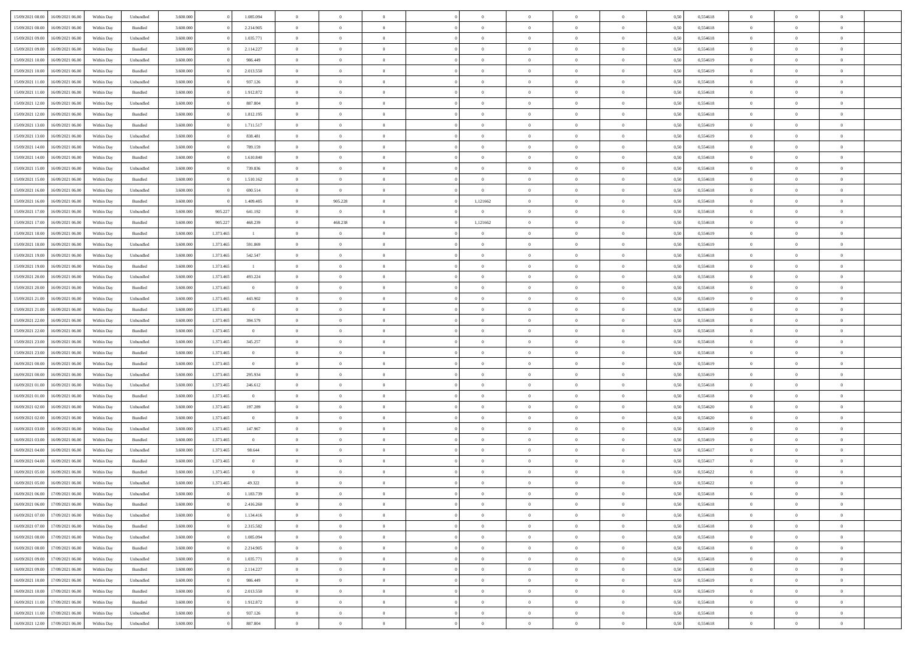| 15/09/2021 08:00 | 16/09/2021 06:00                  | Within Day | Unbundled | 3.600.000 |           | 1.085.094      | $\overline{0}$ | $\Omega$       |                | $\Omega$       | $\Omega$       | $\theta$       | $\theta$       | 0,50 | 0,554618 | $\theta$       | $\theta$       | $\theta$       |  |
|------------------|-----------------------------------|------------|-----------|-----------|-----------|----------------|----------------|----------------|----------------|----------------|----------------|----------------|----------------|------|----------|----------------|----------------|----------------|--|
|                  |                                   |            |           |           |           |                |                |                |                |                |                |                |                |      |          |                |                |                |  |
| 15/09/2021 08:00 | 16/09/2021 06:00                  | Within Day | Bundled   | 3.600.000 |           | 2.214.905      | $\overline{0}$ | $\theta$       | $\overline{0}$ | $\overline{0}$ | $\bf{0}$       | $\overline{0}$ | $\bf{0}$       | 0,50 | 0,554618 | $\theta$       | $\overline{0}$ | $\overline{0}$ |  |
| 15/09/2021 09:00 | 16/09/2021 06:00                  | Within Day | Unbundled | 3.600.000 |           | 1.035.771      | $\overline{0}$ | $\overline{0}$ | $\overline{0}$ | $\bf{0}$       | $\bf{0}$       | $\bf{0}$       | $\bf{0}$       | 0,50 | 0,554618 | $\overline{0}$ | $\overline{0}$ | $\overline{0}$ |  |
| 15/09/2021 09:00 | 16/09/2021 06:00                  | Within Dav | Bundled   | 3.600,000 |           | 2.114.227      | $\overline{0}$ | $\overline{0}$ | $\overline{0}$ | $\overline{0}$ | $\bf{0}$       | $\overline{0}$ | $\overline{0}$ | 0.50 | 0.554618 | $\theta$       | $\theta$       | $\overline{0}$ |  |
| 15/09/2021 10:00 | 16/09/2021 06:00                  | Within Day | Unbundled | 3.600.000 |           | 986.449        | $\overline{0}$ | $\theta$       | $\overline{0}$ | $\overline{0}$ | $\bf{0}$       | $\overline{0}$ | $\bf{0}$       | 0,50 | 0,554619 | $\theta$       | $\overline{0}$ | $\overline{0}$ |  |
|                  |                                   |            |           |           |           |                |                |                |                |                |                |                |                |      |          |                |                |                |  |
| 15/09/2021 10:00 | 16/09/2021 06:00                  | Within Day | Bundled   | 3.600.000 |           | 2.013.550      | $\overline{0}$ | $\overline{0}$ | $\overline{0}$ | $\bf{0}$       | $\overline{0}$ | $\overline{0}$ | $\mathbf{0}$   | 0,50 | 0,554619 | $\overline{0}$ | $\overline{0}$ | $\bf{0}$       |  |
| 15/09/2021 11:00 | 16/09/2021 06:00                  | Within Dav | Unbundled | 3.600.000 |           | 937.126        | $\overline{0}$ | $\overline{0}$ | $\overline{0}$ | $\overline{0}$ | $\overline{0}$ | $\overline{0}$ | $\overline{0}$ | 0.50 | 0,554618 | $\theta$       | $\overline{0}$ | $\overline{0}$ |  |
| 15/09/2021 11:00 | 16/09/2021 06:00                  | Within Day | Bundled   | 3.600.000 |           | 1.912.872      | $\overline{0}$ | $\theta$       | $\overline{0}$ | $\overline{0}$ | $\bf{0}$       | $\overline{0}$ | $\bf{0}$       | 0,50 | 0,554618 | $\theta$       | $\theta$       | $\overline{0}$ |  |
| 15/09/2021 12:00 | 16/09/2021 06:00                  | Within Day | Unbundled | 3.600.000 |           | 887.804        | $\overline{0}$ | $\overline{0}$ | $\overline{0}$ | $\bf{0}$       | $\bf{0}$       | $\bf{0}$       | $\bf{0}$       | 0,50 | 0,554618 | $\,0\,$        | $\overline{0}$ | $\overline{0}$ |  |
| 15/09/2021 12:00 | 16/09/2021 06:00                  | Within Dav | Bundled   | 3.600.000 |           | 1.812.195      | $\overline{0}$ | $\overline{0}$ | $\overline{0}$ | $\overline{0}$ | $\overline{0}$ | $\overline{0}$ | $\overline{0}$ | 0.50 | 0,554618 | $\theta$       | $\overline{0}$ | $\overline{0}$ |  |
| 15/09/2021 13:00 | 16/09/2021 06:00                  | Within Day | Bundled   | 3.600.000 |           | 1.711.517      | $\overline{0}$ | $\theta$       | $\overline{0}$ | $\overline{0}$ | $\bf{0}$       | $\overline{0}$ | $\bf{0}$       | 0,50 | 0,554619 | $\,$ 0 $\,$    | $\overline{0}$ | $\overline{0}$ |  |
|                  |                                   |            |           |           |           |                |                |                |                |                |                |                |                |      |          |                |                |                |  |
| 15/09/2021 13:00 | 16/09/2021 06:00                  | Within Day | Unbundled | 3.600.000 |           | 838.481        | $\overline{0}$ | $\overline{0}$ | $\overline{0}$ | $\bf{0}$       | $\bf{0}$       | $\bf{0}$       | $\bf{0}$       | 0,50 | 0,554619 | $\overline{0}$ | $\overline{0}$ | $\bf{0}$       |  |
| 15/09/2021 14:00 | 16/09/2021 06:00                  | Within Day | Unbundled | 3.600.000 |           | 789.159        | $\overline{0}$ | $\overline{0}$ | $\overline{0}$ | $\overline{0}$ | $\bf{0}$       | $\overline{0}$ | $\overline{0}$ | 0.50 | 0.554618 | $\theta$       | $\theta$       | $\overline{0}$ |  |
| 15/09/2021 14:00 | 16/09/2021 06:00                  | Within Day | Bundled   | 3.600.000 |           | 1.610.840      | $\overline{0}$ | $\theta$       | $\overline{0}$ | $\overline{0}$ | $\bf{0}$       | $\overline{0}$ | $\bf{0}$       | 0,50 | 0,554618 | $\theta$       | $\overline{0}$ | $\overline{0}$ |  |
| 15/09/2021 15:00 | 16/09/2021 06:00                  | Within Day | Unbundled | 3.600.000 |           | 739.836        | $\overline{0}$ | $\overline{0}$ | $\overline{0}$ | $\bf{0}$       | $\bf{0}$       | $\overline{0}$ | $\mathbf{0}$   | 0,50 | 0,554618 | $\overline{0}$ | $\overline{0}$ | $\bf{0}$       |  |
| 15/09/2021 15:00 | 16/09/2021 06:00                  | Within Dav | Bundled   | 3.600.000 |           | 1.510.162      | $\overline{0}$ | $\overline{0}$ | $\overline{0}$ | $\overline{0}$ | $\overline{0}$ | $\overline{0}$ | $\overline{0}$ | 0.50 | 0.554618 | $\theta$       | $\overline{0}$ | $\overline{0}$ |  |
| 15/09/2021 16:00 | 16/09/2021 06:00                  | Within Day | Unbundled | 3.600.000 |           | 690.514        | $\overline{0}$ | $\overline{0}$ | $\overline{0}$ | $\overline{0}$ | $\bf{0}$       | $\overline{0}$ | $\bf{0}$       | 0,50 | 0,554618 | $\theta$       | $\theta$       | $\overline{0}$ |  |
|                  |                                   |            |           |           |           |                |                |                |                |                | $\bf{0}$       |                |                |      |          | $\bf{0}$       | $\overline{0}$ | $\overline{0}$ |  |
| 15/09/2021 16:00 | 16/09/2021 06:00                  | Within Day | Bundled   | 3.600.000 |           | 1.409.485      | $\overline{0}$ | 905.228        | $\overline{0}$ | 1,121662       |                | $\bf{0}$       | $\bf{0}$       | 0,50 | 0,554618 |                |                |                |  |
| 15/09/2021 17:00 | 16/09/2021 06:00                  | Within Dav | Unbundled | 3.600.000 | 905.22    | 641.192        | $\overline{0}$ | $\overline{0}$ | $\overline{0}$ | $\overline{0}$ | $\overline{0}$ | $\overline{0}$ | $\overline{0}$ | 0.50 | 0,554618 | $\theta$       | $\overline{0}$ | $\overline{0}$ |  |
| 15/09/2021 17:00 | 16/09/2021 06:00                  | Within Day | Bundled   | 3.600.000 | 905.227   | 468.239        | $\overline{0}$ | 468.238        | $\overline{0}$ | 1,121662       | $\bf{0}$       | $\overline{0}$ | $\bf{0}$       | 0,50 | 0,554618 | $\,$ 0 $\,$    | $\theta$       | $\overline{0}$ |  |
| 15/09/2021 18:00 | 16/09/2021 06:00                  | Within Day | Bundled   | 3.600.000 | 1.373.465 | $\overline{1}$ | $\overline{0}$ | $\overline{0}$ | $\overline{0}$ | $\overline{0}$ | $\bf{0}$       | $\overline{0}$ | $\bf{0}$       | 0,50 | 0,554619 | $\bf{0}$       | $\overline{0}$ | $\overline{0}$ |  |
| 15/09/2021 18:00 | 16/09/2021 06:00                  | Within Day | Unbundled | 3.600.000 | 1.373.465 | 591.869        | $\overline{0}$ | $\overline{0}$ | $\overline{0}$ | $\overline{0}$ | $\bf{0}$       | $\overline{0}$ | $\overline{0}$ | 0.50 | 0.554619 | $\theta$       | $\overline{0}$ | $\overline{0}$ |  |
| 15/09/2021 19:00 | 16/09/2021 06:00                  | Within Day | Unbundled | 3.600.000 | 1.373.465 | 542.547        | $\overline{0}$ | $\theta$       | $\overline{0}$ | $\overline{0}$ | $\bf{0}$       | $\overline{0}$ | $\bf{0}$       | 0,50 | 0,554618 | $\theta$       | $\overline{0}$ | $\overline{0}$ |  |
| 15/09/2021 19:00 | 16/09/2021 06:00                  | Within Day | Bundled   | 3.600.000 | 1.373.465 | $\mathbf{1}$   | $\overline{0}$ | $\overline{0}$ | $\overline{0}$ | $\overline{0}$ | $\overline{0}$ | $\overline{0}$ | $\mathbf{0}$   | 0,50 | 0,554618 | $\bf{0}$       | $\overline{0}$ | $\bf{0}$       |  |
| 15/09/2021 20:00 | 16/09/2021 06:00                  | Within Dav | Unbundled | 3.600.000 | 1.373.465 | 493.224        | $\overline{0}$ | $\overline{0}$ | $\overline{0}$ | $\overline{0}$ | $\overline{0}$ | $\overline{0}$ | $\overline{0}$ | 0.50 | 0,554618 | $\theta$       | $\overline{0}$ | $\overline{0}$ |  |
|                  |                                   |            |           |           |           |                |                |                |                |                |                |                |                |      |          |                |                |                |  |
| 15/09/2021 20:00 | 16/09/2021 06:00                  | Within Day | Bundled   | 3.600.000 | 1.373.465 | $\overline{0}$ | $\overline{0}$ | $\theta$       | $\overline{0}$ | $\overline{0}$ | $\bf{0}$       | $\overline{0}$ | $\bf{0}$       | 0,50 | 0,554618 | $\theta$       | $\theta$       | $\overline{0}$ |  |
| 15/09/2021 21:00 | 16/09/2021 06:00                  | Within Day | Unbundled | 3.600.000 | 1.373.465 | 443.902        | $\overline{0}$ | $\overline{0}$ | $\overline{0}$ | $\bf{0}$       | $\bf{0}$       | $\bf{0}$       | $\bf{0}$       | 0,50 | 0,554619 | $\,0\,$        | $\overline{0}$ | $\overline{0}$ |  |
| 15/09/2021 21:00 | 16/09/2021 06:00                  | Within Day | Bundled   | 3.600.000 | 1.373.465 | $\overline{0}$ | $\overline{0}$ | $\overline{0}$ | $\overline{0}$ | $\overline{0}$ | $\overline{0}$ | $\overline{0}$ | $\overline{0}$ | 0.50 | 0.554619 | $\theta$       | $\overline{0}$ | $\overline{0}$ |  |
| 15/09/2021 22:00 | 16/09/2021 06:00                  | Within Day | Unbundled | 3.600.000 | 1.373.465 | 394.579        | $\overline{0}$ | $\theta$       | $\overline{0}$ | $\overline{0}$ | $\bf{0}$       | $\overline{0}$ | $\bf{0}$       | 0,50 | 0,554618 | $\,$ 0 $\,$    | $\overline{0}$ | $\overline{0}$ |  |
| 15/09/2021 22.00 | 16/09/2021 06:00                  | Within Day | Bundled   | 3.600.000 | 1.373.465 | $\bf{0}$       | $\overline{0}$ | $\overline{0}$ | $\overline{0}$ | $\bf{0}$       | $\bf{0}$       | $\bf{0}$       | $\bf{0}$       | 0,50 | 0,554618 | $\overline{0}$ | $\overline{0}$ | $\overline{0}$ |  |
| 15/09/2021 23:00 | 16/09/2021 06:00                  | Within Day | Unbundled | 3.600.000 | 1.373.465 | 345.257        | $\overline{0}$ | $\Omega$       | $\overline{0}$ | $\Omega$       | $\Omega$       | $\Omega$       | $\overline{0}$ | 0,50 | 0,554618 | $\,0\,$        | $\theta$       | $\theta$       |  |
|                  |                                   |            |           |           |           |                |                | $\theta$       |                |                |                |                |                |      |          | $\theta$       | $\overline{0}$ |                |  |
| 15/09/2021 23:00 | 16/09/2021 06:00                  | Within Day | Bundled   | 3.600.000 | 1.373.465 | $\theta$       | $\overline{0}$ |                | $\overline{0}$ | $\overline{0}$ | $\bf{0}$       | $\overline{0}$ | $\bf{0}$       | 0,50 | 0,554618 |                |                | $\overline{0}$ |  |
| 16/09/2021 00:00 | 16/09/2021 06:00                  | Within Day | Bundled   | 3.600.000 | 1.373.465 | $\overline{0}$ | $\overline{0}$ | $\overline{0}$ | $\overline{0}$ | $\bf{0}$       | $\bf{0}$       | $\overline{0}$ | $\mathbf{0}$   | 0,50 | 0,554619 | $\overline{0}$ | $\overline{0}$ | $\bf{0}$       |  |
| 16/09/2021 00:00 | 16/09/2021 06:00                  | Within Day | Unbundled | 3.600,000 | 1.373.465 | 295.934        | $\overline{0}$ | $\Omega$       | $\Omega$       | $\Omega$       | $\bf{0}$       | $\overline{0}$ | $\overline{0}$ | 0.50 | 0.554619 | $\theta$       | $\theta$       | $\theta$       |  |
| 16/09/2021 01:00 | 16/09/2021 06:00                  | Within Day | Unbundled | 3.600.000 | 1.373.465 | 246.612        | $\overline{0}$ | $\theta$       | $\overline{0}$ | $\overline{0}$ | $\bf{0}$       | $\overline{0}$ | $\bf{0}$       | 0,50 | 0,554618 | $\,$ 0 $\,$    | $\theta$       | $\overline{0}$ |  |
| 16/09/2021 01:00 | 16/09/2021 06:00                  | Within Day | Bundled   | 3.600.000 | 1.373.465 | $\overline{0}$ | $\overline{0}$ | $\overline{0}$ | $\overline{0}$ | $\bf{0}$       | $\bf{0}$       | $\bf{0}$       | $\bf{0}$       | 0,50 | 0,554618 | $\bf{0}$       | $\overline{0}$ | $\overline{0}$ |  |
| 16/09/2021 02:00 | 16/09/2021 06:00                  | Within Day | Unbundled | 3.600,000 | 1.373.465 | 197.289        | $\overline{0}$ | $\Omega$       | $\overline{0}$ | $\Omega$       | $\theta$       | $\theta$       | $\overline{0}$ | 0.50 | 0.554620 | $\theta$       | $\theta$       | $\theta$       |  |
| 16/09/2021 02:00 | 16/09/2021 06:00                  | Within Day | Bundled   | 3.600.000 | 1.373.465 | $\overline{0}$ | $\overline{0}$ | $\theta$       | $\overline{0}$ | $\overline{0}$ | $\bf{0}$       | $\overline{0}$ | $\bf{0}$       | 0,50 | 0,554620 | $\,$ 0 $\,$    | $\overline{0}$ | $\overline{0}$ |  |
|                  |                                   |            |           |           |           |                |                |                |                |                |                |                |                |      |          |                |                |                |  |
| 16/09/2021 03:00 | 16/09/2021 06:00                  | Within Day | Unbundled | 3.600.000 | 1.373.465 | 147.967        | $\overline{0}$ | $\bf{0}$       | $\overline{0}$ | $\bf{0}$       | $\bf{0}$       | $\bf{0}$       | $\bf{0}$       | 0,50 | 0,554619 | $\bf{0}$       | $\overline{0}$ | $\overline{0}$ |  |
| 16/09/2021 03:00 | 16/09/2021 06:00                  | Within Day | Bundled   | 3.600.000 | 1.373.465 | $\overline{0}$ | $\overline{0}$ | $\Omega$       | $\overline{0}$ | $\Omega$       | $\overline{0}$ | $\overline{0}$ | $\overline{0}$ | 0,50 | 0,554619 | $\,0\,$        | $\theta$       | $\theta$       |  |
| 16/09/2021 04:00 | 16/09/2021 06:00                  | Within Day | Unbundled | 3.600.000 | 1.373.465 | 98.644         | $\overline{0}$ | $\overline{0}$ | $\overline{0}$ | $\overline{0}$ | $\bf{0}$       | $\overline{0}$ | $\bf{0}$       | 0,50 | 0,554617 | $\,$ 0 $\,$    | $\overline{0}$ | $\overline{0}$ |  |
| 16/09/2021 04:00 | 16/09/2021 06:00                  | Within Day | Bundled   | 3.600.000 | 1.373.465 | $\overline{0}$ | $\overline{0}$ | $\bf{0}$       | $\overline{0}$ | $\overline{0}$ | $\bf{0}$       | $\overline{0}$ | $\mathbf{0}$   | 0,50 | 0,554617 | $\overline{0}$ | $\overline{0}$ | $\bf{0}$       |  |
| 16/09/2021 05:00 | 16/09/2021 06:00                  | Within Day | Bundled   | 3.600,000 | 1.373.465 | $\overline{0}$ | $\overline{0}$ | $\Omega$       | $\Omega$       | $\Omega$       | $\Omega$       | $\Omega$       | $\overline{0}$ | 0.50 | 0.554622 | $\theta$       | $\theta$       | $\theta$       |  |
| 16/09/2021 05:00 | 16/09/2021 06:00                  | Within Day | Unbundled | 3.600.000 | 1.373.465 | 49.322         | $\overline{0}$ | $\overline{0}$ | $\overline{0}$ | $\bf{0}$       | $\,$ 0         | $\overline{0}$ | $\bf{0}$       | 0,50 | 0,554622 | $\,0\,$        | $\,$ 0 $\,$    | $\overline{0}$ |  |
|                  | 16/09/2021 06:00 17/09/2021 06:00 | Within Day | Unbundled | 3.600.000 |           | 1.183.739      | $\bf{0}$       | $\bf{0}$       |                |                |                |                |                | 0,50 | 0,554618 | $\bf{0}$       | $\overline{0}$ |                |  |
|                  |                                   |            |           |           |           |                |                |                |                |                |                |                |                |      |          |                |                |                |  |
| 16/09/2021 06:00 | 17/09/2021 06:00                  | Within Day | Bundled   | 3.600.000 |           | 2.416.260      | $\overline{0}$ | $\overline{0}$ | $\overline{0}$ | $\Omega$       | $\overline{0}$ | $\overline{0}$ | $\overline{0}$ | 0.50 | 0.554618 | $\theta$       | $\theta$       | $\theta$       |  |
| 16/09/2021 07:00 | 17/09/2021 06:00                  | Within Day | Unbundled | 3.600.000 |           | 1.134.416      | $\overline{0}$ | $\,$ 0         | $\overline{0}$ | $\overline{0}$ | $\,$ 0 $\,$    | $\overline{0}$ | $\mathbf{0}$   | 0,50 | 0,554618 | $\,$ 0 $\,$    | $\,$ 0 $\,$    | $\,$ 0         |  |
| 16/09/2021 07:00 | 17/09/2021 06:00                  | Within Day | Bundled   | 3.600.000 |           | 2.315.582      | $\overline{0}$ | $\overline{0}$ | $\overline{0}$ | $\overline{0}$ | $\overline{0}$ | $\overline{0}$ | $\mathbf{0}$   | 0,50 | 0,554618 | $\overline{0}$ | $\bf{0}$       | $\bf{0}$       |  |
| 16/09/2021 08:00 | 17/09/2021 06:00                  | Within Day | Unbundled | 3.600.000 |           | 1.085.094      | $\overline{0}$ | $\overline{0}$ | $\overline{0}$ | $\Omega$       | $\overline{0}$ | $\overline{0}$ | $\bf{0}$       | 0,50 | 0,554618 | $\overline{0}$ | $\theta$       | $\overline{0}$ |  |
| 16/09/2021 08:00 | 17/09/2021 06:00                  | Within Day | Bundled   | 3.600.000 |           | 2.214.905      | $\overline{0}$ | $\,$ 0         | $\overline{0}$ | $\overline{0}$ | $\overline{0}$ | $\overline{0}$ | $\bf{0}$       | 0,50 | 0,554618 | $\,$ 0 $\,$    | $\overline{0}$ | $\overline{0}$ |  |
| 16/09/2021 09:00 | 17/09/2021 06:00                  | Within Day | Unbundled | 3.600.000 |           | 1.035.771      | $\overline{0}$ | $\overline{0}$ | $\overline{0}$ | $\overline{0}$ | $\overline{0}$ | $\overline{0}$ | $\mathbf{0}$   | 0,50 | 0,554618 | $\overline{0}$ | $\overline{0}$ | $\bf{0}$       |  |
|                  |                                   |            |           | 3.600,000 |           |                | $\overline{0}$ | $\overline{0}$ | $\overline{0}$ | $\Omega$       | $\overline{0}$ | $\overline{0}$ |                | 0.50 |          | $\overline{0}$ | $\theta$       | $\overline{0}$ |  |
| 16/09/2021 09:00 | 17/09/2021 06:00                  | Within Day | Bundled   |           |           | 2.114.227      |                |                |                |                |                |                | $\bf{0}$       |      | 0,554618 |                |                |                |  |
| 16/09/2021 10:00 | 17/09/2021 06:00                  | Within Day | Unbundled | 3.600.000 |           | 986.449        | $\overline{0}$ | $\,$ 0         | $\overline{0}$ | $\overline{0}$ | $\bf{0}$       | $\overline{0}$ | $\bf{0}$       | 0,50 | 0,554619 | $\,$ 0 $\,$    | $\overline{0}$ | $\overline{0}$ |  |
| 16/09/2021 10:00 | 17/09/2021 06:00                  | Within Day | Bundled   | 3.600.000 |           | 2.013.550      | $\overline{0}$ | $\bf{0}$       | $\overline{0}$ | $\overline{0}$ | $\overline{0}$ | $\overline{0}$ | $\mathbf{0}$   | 0,50 | 0,554619 | $\overline{0}$ | $\overline{0}$ | $\bf{0}$       |  |
| 16/09/2021 11:00 | 17/09/2021 06:00                  | Within Day | Bundled   | 3.600,000 |           | 1.912.872      | $\overline{0}$ | $\overline{0}$ | $\overline{0}$ | $\Omega$       | $\overline{0}$ | $\overline{0}$ | $\bf{0}$       | 0.50 | 0,554618 | $\overline{0}$ | $\theta$       | $\overline{0}$ |  |
| 16/09/2021 11:00 | 17/09/2021 06:00                  | Within Day | Unbundled | 3.600.000 |           | 937.126        | $\overline{0}$ | $\bf{0}$       | $\overline{0}$ | $\overline{0}$ | $\bf{0}$       | $\overline{0}$ | $\mathbf{0}$   | 0,50 | 0,554618 | $\,$ 0 $\,$    | $\,$ 0 $\,$    | $\bf{0}$       |  |
| 16/09/2021 12:00 | 17/09/2021 06:00                  | Within Day | Unbundled | 3.600.000 |           | 887.804        | $\overline{0}$ | $\overline{0}$ | $\overline{0}$ | $\overline{0}$ | $\bf{0}$       | $\overline{0}$ | $\mathbf{0}$   | 0,50 | 0,554618 | $\overline{0}$ | $\bf{0}$       | $\bf{0}$       |  |
|                  |                                   |            |           |           |           |                |                |                |                |                |                |                |                |      |          |                |                |                |  |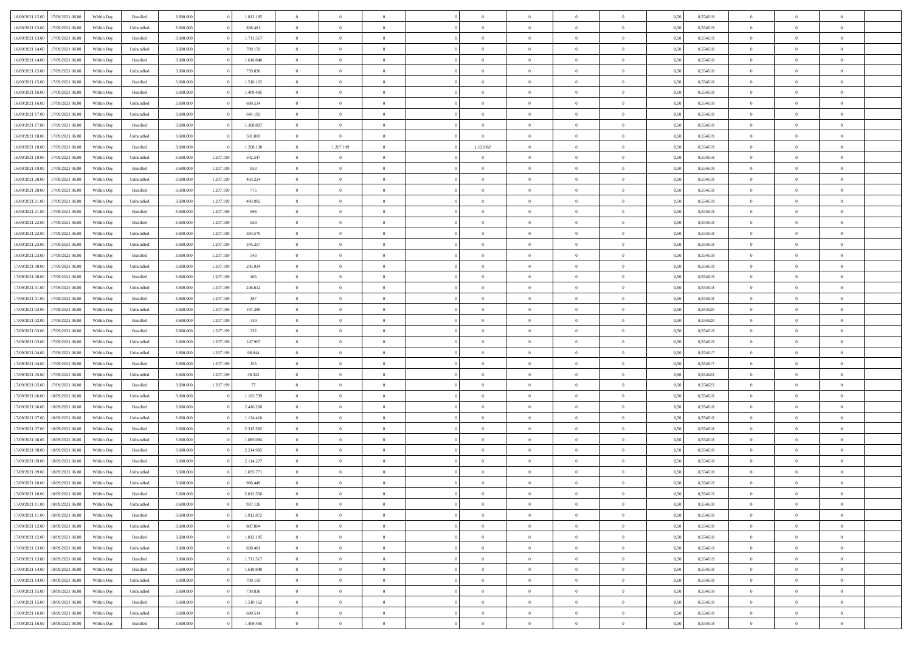| 16/09/2021 12:00 | 17/09/2021 06:00 | Within Day | Bundled            | 3.600.000 |           | 1.812.195 | $\Omega$       | $\Omega$       |                | $\Omega$       | $\Omega$       | $\Omega$       | $\Omega$       | 0,50 | 0,554618 | $\theta$       | $\theta$       | $\sqrt{ }$     |  |
|------------------|------------------|------------|--------------------|-----------|-----------|-----------|----------------|----------------|----------------|----------------|----------------|----------------|----------------|------|----------|----------------|----------------|----------------|--|
|                  |                  |            |                    |           |           |           |                |                |                |                |                |                |                |      |          |                |                |                |  |
| 16/09/2021 13:00 | 17/09/2021 06:00 | Within Day | Unbundled          | 3.600.000 |           | 838.481   | $\overline{0}$ | $\theta$       | $\overline{0}$ | $\overline{0}$ | $\bf{0}$       | $\overline{0}$ | $\bf{0}$       | 0,50 | 0,554619 | $\theta$       | $\theta$       | $\overline{0}$ |  |
| 16/09/2021 13:00 | 17/09/2021 06:00 | Within Day | Bundled            | 3.600.000 |           | 1.711.517 | $\overline{0}$ | $\overline{0}$ | $\overline{0}$ | $\bf{0}$       | $\bf{0}$       | $\overline{0}$ | $\bf{0}$       | 0,50 | 0,554619 | $\overline{0}$ | $\overline{0}$ | $\overline{0}$ |  |
| 16/09/2021 14:00 | 17/09/2021 06:00 | Within Dav | Unbundled          | 3.600.000 |           | 789.159   | $\overline{0}$ | $\theta$       | $\overline{0}$ | $\overline{0}$ | $\bf{0}$       | $\overline{0}$ | $\overline{0}$ | 0.50 | 0.554618 | $\theta$       | $\theta$       | $\overline{0}$ |  |
| 16/09/2021 14:00 | 17/09/2021 06:00 | Within Day | Bundled            | 3.600.000 |           | 1.610.840 | $\overline{0}$ | $\theta$       | $\overline{0}$ | $\overline{0}$ | $\bf{0}$       | $\overline{0}$ | $\bf{0}$       | 0,50 | 0,554618 | $\theta$       | $\theta$       | $\overline{0}$ |  |
| 16/09/2021 15:00 | 17/09/2021 06:00 | Within Day | Unbundled          | 3.600.000 |           | 739.836   | $\overline{0}$ | $\overline{0}$ | $\overline{0}$ | $\bf{0}$       | $\overline{0}$ | $\overline{0}$ | $\mathbf{0}$   | 0,50 | 0,554618 | $\overline{0}$ | $\overline{0}$ | $\bf{0}$       |  |
| 16/09/2021 15:00 | 17/09/2021 06:00 | Within Dav | Bundled            | 3.600.000 |           | 1.510.162 | $\overline{0}$ | $\overline{0}$ | $\overline{0}$ | $\overline{0}$ | $\overline{0}$ | $\overline{0}$ | $\overline{0}$ | 0.50 | 0.554618 | $\theta$       | $\theta$       | $\overline{0}$ |  |
|                  |                  |            |                    |           |           |           |                |                |                |                |                |                |                |      |          |                |                |                |  |
| 16/09/2021 16:00 | 17/09/2021 06:00 | Within Day | Bundled            | 3.600.000 |           | 1.409.485 | $\overline{0}$ | $\theta$       | $\overline{0}$ | $\overline{0}$ | $\bf{0}$       | $\overline{0}$ | $\bf{0}$       | 0,50 | 0,554618 | $\theta$       | $\theta$       | $\overline{0}$ |  |
| 16/09/2021 16:00 | 17/09/2021 06:00 | Within Day | Unbundled          | 3.600.000 |           | 690.514   | $\overline{0}$ | $\overline{0}$ | $\overline{0}$ | $\bf{0}$       | $\bf{0}$       | $\bf{0}$       | $\bf{0}$       | 0,50 | 0,554618 | $\,0\,$        | $\overline{0}$ | $\overline{0}$ |  |
| 16/09/2021 17:00 | 17/09/2021 06:00 | Within Dav | Unbundled          | 3.600.000 |           | 641.192   | $\overline{0}$ | $\overline{0}$ | $\overline{0}$ | $\overline{0}$ | $\overline{0}$ | $\overline{0}$ | $\overline{0}$ | 0.50 | 0.554618 | $\theta$       | $\overline{0}$ | $\overline{0}$ |  |
| 16/09/2021 17:00 | 17/09/2021 06:00 | Within Day | Bundled            | 3.600.000 |           | 1.308.807 | $\overline{0}$ | $\theta$       | $\overline{0}$ | $\overline{0}$ | $\bf{0}$       | $\overline{0}$ | $\bf{0}$       | 0,50 | 0,554618 | $\theta$       | $\theta$       | $\overline{0}$ |  |
| 16/09/2021 18:00 | 17/09/2021 06:00 | Within Day | Unbundled          | 3.600.000 |           | 591.869   | $\overline{0}$ | $\bf{0}$       | $\overline{0}$ | $\bf{0}$       | $\bf{0}$       | $\bf{0}$       | $\bf{0}$       | 0,50 | 0,554619 | $\,0\,$        | $\overline{0}$ | $\overline{0}$ |  |
| 16/09/2021 18:00 | 17/09/2021 06:00 | Within Day | Bundled            | 3.600.000 |           | 1.208.130 | $\overline{0}$ | 1.207.199      | $\overline{0}$ | 1,121662       | $\bf{0}$       | $\overline{0}$ | $\overline{0}$ | 0.50 | 0.554619 | $\theta$       | $\theta$       | $\overline{0}$ |  |
|                  |                  |            |                    |           |           |           | $\overline{0}$ | $\theta$       | $\overline{0}$ |                | $\bf{0}$       | $\overline{0}$ |                |      |          | $\theta$       | $\theta$       | $\overline{0}$ |  |
| 16/09/2021 19:00 | 17/09/2021 06:00 | Within Day | Unbundled          | 3.600.000 | 1.207.199 | 542.547   |                |                |                | $\overline{0}$ |                |                | $\bf{0}$       | 0,50 | 0,554618 |                |                |                |  |
| 16/09/2021 19:00 | 17/09/2021 06:00 | Within Day | Bundled            | 3.600.000 | 1.207.199 | 853       | $\overline{0}$ | $\overline{0}$ | $\overline{0}$ | $\bf{0}$       | $\overline{0}$ | $\overline{0}$ | $\mathbf{0}$   | 0,50 | 0,554618 | $\overline{0}$ | $\overline{0}$ | $\bf{0}$       |  |
| 16/09/2021 20:00 | 17/09/2021 06:00 | Within Dav | Unbundled          | 3.600.000 | 1.207.199 | 493.224   | $\overline{0}$ | $\overline{0}$ | $\overline{0}$ | $\overline{0}$ | $\overline{0}$ | $\overline{0}$ | $\overline{0}$ | 0.50 | 0.554618 | $\theta$       | $\overline{0}$ | $\overline{0}$ |  |
| 16/09/2021 20:00 | 17/09/2021 06:00 | Within Day | Bundled            | 3.600.000 | 1.207.199 | 775       | $\overline{0}$ | $\theta$       | $\overline{0}$ | $\overline{0}$ | $\bf{0}$       | $\overline{0}$ | $\bf{0}$       | 0,50 | 0,554618 | $\theta$       | $\theta$       | $\overline{0}$ |  |
| 16/09/2021 21:00 | 17/09/2021 06:00 | Within Day | Unbundled          | 3.600.000 | 1.207.199 | 443.902   | $\overline{0}$ | $\overline{0}$ | $\overline{0}$ | $\bf{0}$       | $\bf{0}$       | $\bf{0}$       | $\bf{0}$       | 0,50 | 0,554619 | $\,0\,$        | $\overline{0}$ | $\overline{0}$ |  |
| 16/09/2021 21:00 | 17/09/2021 06:00 | Within Day | Bundled            | 3.600.000 | 1.207.199 | 698       | $\overline{0}$ | $\overline{0}$ | $\overline{0}$ | $\overline{0}$ | $\overline{0}$ | $\overline{0}$ | $\overline{0}$ | 0.50 | 0.554619 | $\theta$       | $\overline{0}$ | $\overline{0}$ |  |
| 16/09/2021 22:00 | 17/09/2021 06:00 | Within Day | Bundled            | 3.600.000 | 1.207.199 | 620       | $\overline{0}$ | $\theta$       | $\overline{0}$ | $\overline{0}$ | $\bf{0}$       | $\overline{0}$ | $\bf{0}$       | 0,50 | 0,554618 | $\theta$       | $\theta$       | $\overline{0}$ |  |
|                  |                  |            |                    |           |           |           |                |                |                |                |                |                |                |      |          |                |                |                |  |
| 16/09/2021 22:00 | 17/09/2021 06:00 | Within Day | Unbundled          | 3.600.000 | 1.207.199 | 394.579   | $\overline{0}$ | $\overline{0}$ | $\overline{0}$ | $\bf{0}$       | $\bf{0}$       | $\bf{0}$       | $\bf{0}$       | 0,50 | 0,554618 | $\,0\,$        | $\overline{0}$ | $\overline{0}$ |  |
| 16/09/2021 23:00 | 17/09/2021 06:00 | Within Day | Unbundled          | 3.600.000 | 1.207.199 | 345.257   | $\overline{0}$ | $\overline{0}$ | $\overline{0}$ | $\overline{0}$ | $\bf{0}$       | $\overline{0}$ | $\overline{0}$ | 0.50 | 0.554618 | $\theta$       | $\theta$       | $\overline{0}$ |  |
| 16/09/2021 23:00 | 17/09/2021 06:00 | Within Day | Bundled            | 3.600.000 | 1.207.199 | 543       | $\overline{0}$ | $\theta$       | $\overline{0}$ | $\overline{0}$ | $\bf{0}$       | $\overline{0}$ | $\bf{0}$       | 0,50 | 0,554618 | $\theta$       | $\overline{0}$ | $\overline{0}$ |  |
| 17/09/2021 00:00 | 17/09/2021 06:00 | Within Day | Unbundled          | 3.600.000 | 1.207.199 | 295.934   | $\overline{0}$ | $\overline{0}$ | $\overline{0}$ | $\bf{0}$       | $\bf{0}$       | $\overline{0}$ | $\mathbf{0}$   | 0,50 | 0,554619 | $\overline{0}$ | $\overline{0}$ | $\bf{0}$       |  |
| 17/09/2021 00:00 | 17/09/2021 06:00 | Within Dav | Bundled            | 3.600.000 | 1.207.199 | 465       | $\overline{0}$ | $\overline{0}$ | $\overline{0}$ | $\overline{0}$ | $\overline{0}$ | $\overline{0}$ | $\overline{0}$ | 0.50 | 0,554619 | $\theta$       | $\theta$       | $\overline{0}$ |  |
| 17/09/2021 01:00 | 17/09/2021 06:00 | Within Day | Unbundled          | 3.600.000 | 1.207.199 | 246.612   | $\overline{0}$ | $\theta$       | $\overline{0}$ | $\overline{0}$ | $\bf{0}$       | $\overline{0}$ | $\bf{0}$       | 0,50 | 0,554618 | $\theta$       | $\theta$       | $\overline{0}$ |  |
| 17/09/2021 01:00 | 17/09/2021 06:00 | Within Day | Bundled            | 3.600.000 | 1.207.199 | 387       | $\bf{0}$       | $\overline{0}$ | $\overline{0}$ | $\bf{0}$       | $\bf{0}$       | $\overline{0}$ | $\bf{0}$       | 0,50 | 0,554618 | $\,0\,$        | $\overline{0}$ | $\overline{0}$ |  |
|                  |                  |            |                    |           |           |           |                |                |                |                |                |                |                |      |          |                |                |                |  |
| 17/09/2021 02:00 | 17/09/2021 06:00 | Within Day | Unbundled          | 3.600.000 | 1.207.199 | 197.289   | $\overline{0}$ | $\overline{0}$ | $\overline{0}$ | $\overline{0}$ | $\overline{0}$ | $\overline{0}$ | $\overline{0}$ | 0.50 | 0,554620 | $\theta$       | $\overline{0}$ | $\overline{0}$ |  |
| 17/09/2021 02:00 | 17/09/2021 06:00 | Within Day | Bundled            | 3.600.000 | 1.207.199 | 310       | $\overline{0}$ | $\theta$       | $\overline{0}$ | $\overline{0}$ | $\bf{0}$       | $\overline{0}$ | $\bf{0}$       | 0,50 | 0,554620 | $\,$ 0 $\,$    | $\theta$       | $\overline{0}$ |  |
| 17/09/2021 03:00 | 17/09/2021 06:00 | Within Day | Bundled            | 3.600.000 | 1.207.199 | 232       | $\overline{0}$ | $\overline{0}$ | $\overline{0}$ | $\overline{0}$ | $\bf{0}$       | $\overline{0}$ | $\bf{0}$       | 0,50 | 0,554619 | $\bf{0}$       | $\overline{0}$ | $\overline{0}$ |  |
| 17/09/2021 03:00 | 17/09/2021 06:00 | Within Day | Unbundled          | 3.600.000 | 1.207.199 | 147.967   | $\overline{0}$ | $\Omega$       | $\Omega$       | $\Omega$       | $\Omega$       | $\Omega$       | $\overline{0}$ | 0,50 | 0,554619 | $\,0\,$        | $\theta$       | $\theta$       |  |
| 17/09/2021 04:00 | 17/09/2021 06:00 | Within Day | Unbundled          | 3.600.000 | 1.207.199 | 98.644    | $\overline{0}$ | $\theta$       | $\overline{0}$ | $\overline{0}$ | $\bf{0}$       | $\overline{0}$ | $\bf{0}$       | 0,50 | 0,554617 | $\theta$       | $\theta$       | $\overline{0}$ |  |
| 17/09/2021 04:00 | 17/09/2021 06:00 | Within Day | Bundled            | 3.600.000 | 1.207.199 | 155       | $\overline{0}$ | $\bf{0}$       | $\overline{0}$ | $\overline{0}$ | $\bf{0}$       | $\overline{0}$ | $\mathbf{0}$   | 0,50 | 0,554617 | $\bf{0}$       | $\overline{0}$ | $\bf{0}$       |  |
| 17/09/2021 05:00 | 17/09/2021 06:00 |            | Unbundled          | 3.600,000 | 1.207.199 | 49.322    | $\overline{0}$ | $\Omega$       | $\Omega$       | $\Omega$       | $\bf{0}$       | $\overline{0}$ | $\overline{0}$ | 0.50 | 0,554622 | $\theta$       | $\theta$       | $\theta$       |  |
|                  |                  | Within Day |                    |           |           |           |                |                |                |                |                |                |                |      |          |                |                |                |  |
| 17/09/2021 05:00 | 17/09/2021 06:00 | Within Day | Bundled            | 3.600.000 | 1.207.199 | 77        | $\overline{0}$ | $\theta$       | $\overline{0}$ | $\overline{0}$ | $\bf{0}$       | $\overline{0}$ | $\bf{0}$       | 0,50 | 0,554622 | $\theta$       | $\theta$       | $\overline{0}$ |  |
| 17/09/2021 06:00 | 18/09/2021 06:00 | Within Day | Unbundled          | 3.600.000 |           | 1.183.739 | $\overline{0}$ | $\overline{0}$ | $\overline{0}$ | $\bf{0}$       | $\bf{0}$       | $\overline{0}$ | $\bf{0}$       | 0,50 | 0,554618 | $\,0\,$        | $\overline{0}$ | $\overline{0}$ |  |
| 17/09/2021 06:00 | 18/09/2021 06:00 | Within Day | Bundled            | 3.600,000 |           | 2.416.260 | $\overline{0}$ | $\Omega$       | $\Omega$       | $\Omega$       | $\Omega$       | $\theta$       | $\overline{0}$ | 0.50 | 0.554618 | $\theta$       | $\theta$       | $\theta$       |  |
| 17/09/2021 07:00 | 18/09/2021 06:00 | Within Day | Unbundled          | 3.600.000 |           | 1.134.416 | $\overline{0}$ | $\theta$       | $\overline{0}$ | $\overline{0}$ | $\bf{0}$       | $\overline{0}$ | $\bf{0}$       | 0,50 | 0,554618 | $\,$ 0 $\,$    | $\overline{0}$ | $\overline{0}$ |  |
| 17/09/2021 07:00 | 18/09/2021 06:00 | Within Day | Bundled            | 3.600.000 |           | 2.315.582 | $\overline{0}$ | $\overline{0}$ | $\overline{0}$ | $\bf{0}$       | $\bf{0}$       | $\overline{0}$ | $\bf{0}$       | 0,50 | 0,554618 | $\bf{0}$       | $\overline{0}$ | $\overline{0}$ |  |
| 17/09/2021 08:00 | 18/09/2021 06:00 | Within Day | Unbundled          | 3.600.000 |           | 1.085.094 | $\overline{0}$ | $\Omega$       | $\overline{0}$ | $\Omega$       | $\Omega$       | $\overline{0}$ | $\overline{0}$ | 0,50 | 0,554618 | $\,0\,$        | $\theta$       | $\theta$       |  |
| 17/09/2021 08:00 | 18/09/2021 06:00 | Within Day | Bundled            | 3.600.000 |           | 2.214.905 | $\overline{0}$ | $\theta$       | $\overline{0}$ | $\overline{0}$ | $\bf{0}$       | $\overline{0}$ | $\bf{0}$       | 0,50 | 0,554618 | $\,$ 0 $\,$    | $\theta$       | $\overline{0}$ |  |
|                  |                  |            |                    |           |           |           |                | $\overline{0}$ |                |                | $\bf{0}$       |                |                |      |          |                | $\overline{0}$ | $\bf{0}$       |  |
| 17/09/2021 09:00 | 18/09/2021 06:00 | Within Day | Bundled            | 3.600.000 |           | 2.114.227 | $\overline{0}$ |                | $\overline{0}$ | $\overline{0}$ |                | $\overline{0}$ | $\mathbf{0}$   | 0,50 | 0,554618 | $\bf{0}$       |                |                |  |
| 17/09/2021 09:00 | 18/09/2021 06:00 | Within Day | Unbundled          | 3.600,000 |           | 1.035.771 | $\overline{0}$ | $\Omega$       | $\Omega$       | $\Omega$       | $\Omega$       | $\Omega$       | $\Omega$       | 0.50 | 0.554618 | $\theta$       | $\theta$       | $\theta$       |  |
| 17/09/2021 10:00 | 18/09/2021 06:00 | Within Day | Unbundled          | 3.600.000 |           | 986.449   | $\overline{0}$ | $\,$ 0 $\,$    | $\overline{0}$ | $\bf{0}$       | $\,$ 0         | $\overline{0}$ | $\bf{0}$       | 0,50 | 0,554619 | $\,0\,$        | $\overline{0}$ | $\overline{0}$ |  |
| 17/09/2021 10:00 | 18/09/2021 06:00 | Within Day | Bundled            | 3.600.000 |           | 2.013.550 | $\bf{0}$       | $\bf{0}$       |                |                |                |                |                | 0,50 | 0,554619 | $\bf{0}$       | $\overline{0}$ |                |  |
| 17/09/2021 11:00 | 18/09/2021 06:00 | Within Day | Unbundled          | 3.600,000 |           | 937.126   | $\overline{0}$ | $\overline{0}$ | $\overline{0}$ | $\Omega$       | $\overline{0}$ | $\overline{0}$ | $\overline{0}$ | 0,50 | 0.554618 | $\theta$       | $\theta$       | $\theta$       |  |
| 17/09/2021 11:00 | 18/09/2021 06:00 | Within Day | Bundled            | 3.600.000 |           | 1.912.872 | $\overline{0}$ | $\,$ 0         | $\overline{0}$ | $\overline{0}$ | $\,$ 0 $\,$    | $\overline{0}$ | $\mathbf{0}$   | 0,50 | 0,554618 | $\,$ 0 $\,$    | $\,$ 0 $\,$    | $\,$ 0         |  |
| 17/09/2021 12:00 | 18/09/2021 06:00 | Within Day | Unbundled          | 3.600.000 |           | 887.804   | $\overline{0}$ | $\overline{0}$ | $\overline{0}$ | $\overline{0}$ | $\overline{0}$ | $\overline{0}$ | $\mathbf{0}$   | 0,50 | 0,554618 | $\overline{0}$ | $\bf{0}$       | $\overline{0}$ |  |
|                  | 18/09/2021 06:00 | Within Day | $\mathbf B$ undled | 3.600.000 |           | 1.812.195 | $\overline{0}$ | $\overline{0}$ | $\overline{0}$ | $\Omega$       | $\overline{0}$ | $\overline{0}$ | $\overline{0}$ | 0,50 | 0,554618 | $\overline{0}$ | $\theta$       | $\overline{0}$ |  |
| 17/09/2021 12:00 |                  |            |                    |           |           |           |                |                |                |                |                |                |                |      |          |                |                |                |  |
| 17/09/2021 13:00 | 18/09/2021 06:00 | Within Day | Unbundled          | 3.600.000 |           | 838.481   | $\overline{0}$ | $\,$ 0         | $\overline{0}$ | $\overline{0}$ | $\,$ 0 $\,$    | $\overline{0}$ | $\mathbf{0}$   | 0,50 | 0,554619 | $\,$ 0 $\,$    | $\overline{0}$ | $\overline{0}$ |  |
| 17/09/2021 13:00 | 18/09/2021 06:00 | Within Day | Bundled            | 3.600.000 |           | 1.711.517 | $\overline{0}$ | $\overline{0}$ | $\overline{0}$ | $\overline{0}$ | $\overline{0}$ | $\overline{0}$ | $\mathbf{0}$   | 0,50 | 0,554619 | $\overline{0}$ | $\overline{0}$ | $\overline{0}$ |  |
| 17/09/2021 14:00 | 18/09/2021 06:00 | Within Day | Bundled            | 3.600,000 |           | 1.610.840 | $\overline{0}$ | $\overline{0}$ | $\overline{0}$ | $\Omega$       | $\overline{0}$ | $\overline{0}$ | $\bf{0}$       | 0.50 | 0,554618 | $\overline{0}$ | $\theta$       | $\overline{0}$ |  |
| 17/09/2021 14:00 | 18/09/2021 06:00 | Within Day | Unbundled          | 3.600.000 |           | 789.159   | $\overline{0}$ | $\,$ 0         | $\overline{0}$ | $\bf{0}$       | $\bf{0}$       | $\bf{0}$       | $\bf{0}$       | 0,50 | 0,554618 | $\,$ 0 $\,$    | $\overline{0}$ | $\overline{0}$ |  |
| 17/09/2021 15:00 | 18/09/2021 06:00 | Within Day | Unbundled          | 3.600.000 |           | 739.836   | $\overline{0}$ | $\bf{0}$       | $\overline{0}$ | $\overline{0}$ | $\overline{0}$ | $\overline{0}$ | $\mathbf{0}$   | 0,50 | 0,554618 | $\overline{0}$ | $\overline{0}$ | $\bf{0}$       |  |
| 17/09/2021 15:00 | 18/09/2021 06:00 | Within Day | Bundled            | 3.600,000 |           | 1.510.162 | $\overline{0}$ | $\overline{0}$ | $\overline{0}$ | $\Omega$       | $\overline{0}$ | $\overline{0}$ | $\bf{0}$       | 0.50 | 0,554618 | $\overline{0}$ | $\overline{0}$ | $\overline{0}$ |  |
| 17/09/2021 16:00 | 18/09/2021 06:00 |            |                    | 3.600.000 |           | 690.514   | $\overline{0}$ | $\bf{0}$       |                | $\bf{0}$       | $\bf{0}$       |                |                |      | 0,554618 | $\,$ 0 $\,$    | $\,$ 0 $\,$    | $\bf{0}$       |  |
|                  |                  | Within Day | Unbundled          |           |           |           |                |                | $\overline{0}$ |                |                | $\bf{0}$       | $\mathbf{0}$   | 0,50 |          |                |                |                |  |
| 17/09/2021 16:00 | 18/09/2021 06:00 | Within Day | Bundled            | 3.600.000 |           | 1.409.485 | $\overline{0}$ | $\overline{0}$ | $\overline{0}$ | $\overline{0}$ | $\overline{0}$ | $\bf{0}$       | $\mathbf{0}$   | 0,50 | 0,554618 | $\overline{0}$ | $\bf{0}$       | $\overline{0}$ |  |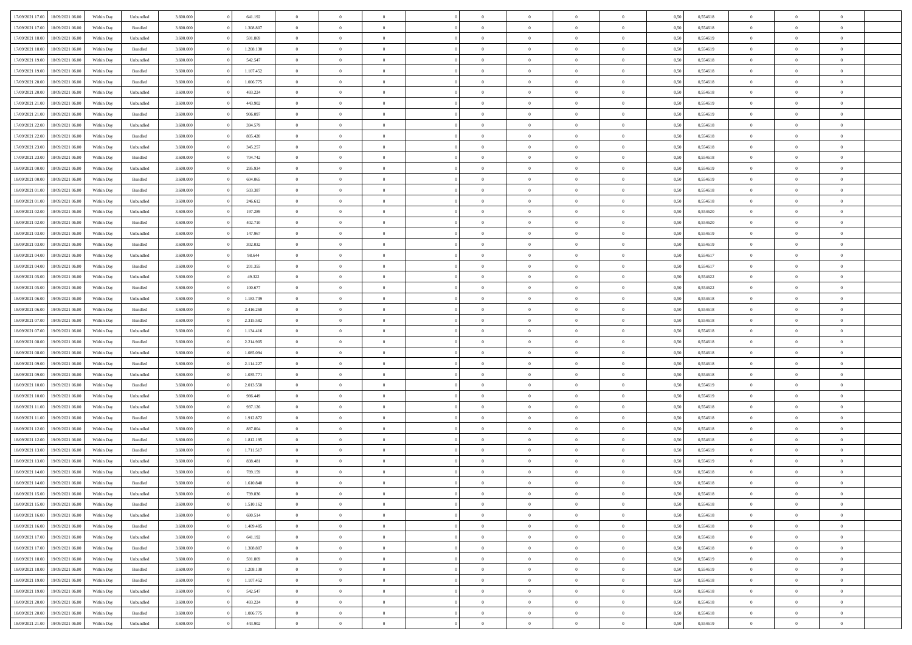| 17/09/2021 17:00                  | 18/09/2021 06:00 | Within Day | Unbundled                   | 3.600.000 | 641.192   | $\overline{0}$ | $\theta$       |                | $\overline{0}$ | $\bf{0}$       | $\overline{0}$ | $\theta$       | 0,50 | 0,554618 | $\theta$       | $\theta$       | $\theta$       |  |
|-----------------------------------|------------------|------------|-----------------------------|-----------|-----------|----------------|----------------|----------------|----------------|----------------|----------------|----------------|------|----------|----------------|----------------|----------------|--|
| 17/09/2021 17:00                  | 18/09/2021 06:00 | Within Day | Bundled                     | 3.600.000 | 1.308.807 | $\overline{0}$ | $\overline{0}$ | $\overline{0}$ | $\overline{0}$ | $\bf{0}$       | $\bf{0}$       | $\bf{0}$       | 0,50 | 0,554618 | $\,$ 0 $\,$    | $\overline{0}$ | $\overline{0}$ |  |
|                                   |                  |            |                             |           |           |                |                |                |                |                |                |                |      |          |                |                |                |  |
| 17/09/2021 18:00                  | 18/09/2021 06:00 | Within Day | Unbundled                   | 3.600,000 | 591.869   | $\overline{0}$ | $\overline{0}$ | $\overline{0}$ | $\overline{0}$ | $\overline{0}$ | $\overline{0}$ | $\mathbf{0}$   | 0,50 | 0.554619 | $\overline{0}$ | $\,$ 0 $\,$    | $\bf{0}$       |  |
| 17/09/2021 18:00                  | 18/09/2021 06:00 | Within Day | Bundled                     | 3.600.000 | 1.208.130 | $\overline{0}$ | $\overline{0}$ | $\overline{0}$ | $\overline{0}$ | $\,0\,$        | $\overline{0}$ | $\overline{0}$ | 0,50 | 0,554619 | $\,$ 0 $\,$    | $\overline{0}$ | $\overline{0}$ |  |
| 17/09/2021 19:00                  | 18/09/2021 06:00 | Within Day | Unbundled                   | 3.600.000 | 542.547   | $\overline{0}$ | $\overline{0}$ | $\overline{0}$ | $\overline{0}$ | $\,$ 0         | $\overline{0}$ | $\bf{0}$       | 0,50 | 0,554618 | $\,$ 0 $\,$    | $\overline{0}$ | $\overline{0}$ |  |
| 17/09/2021 19:00                  | 18/09/2021 06:00 | Within Day | Bundled                     | 3.600,000 | 1.107.452 | $\overline{0}$ | $\overline{0}$ | $\overline{0}$ | $\overline{0}$ | $\bf{0}$       | $\overline{0}$ | $\bf{0}$       | 0.50 | 0.554618 | $\,0\,$        | $\overline{0}$ | $\overline{0}$ |  |
| 17/09/2021 20:00                  | 18/09/2021 06:00 | Within Day | Bundled                     | 3.600.000 | 1.006.775 | $\overline{0}$ | $\overline{0}$ | $\overline{0}$ | $\overline{0}$ | $\bf{0}$       | $\overline{0}$ | $\bf{0}$       | 0,50 | 0,554618 | $\,$ 0 $\,$    | $\overline{0}$ | $\overline{0}$ |  |
| 17/09/2021 20:00                  | 18/09/2021 06.00 | Within Day | Unbundled                   | 3.600.000 | 493.224   | $\overline{0}$ | $\overline{0}$ | $\overline{0}$ | $\overline{0}$ | $\,$ 0         | $\bf{0}$       | $\bf{0}$       | 0,50 | 0,554618 | $\,$ 0 $\,$    | $\overline{0}$ | $\overline{0}$ |  |
| 17/09/2021 21:00                  | 18/09/2021 06:00 | Within Day | Unbundled                   | 3.600,000 | 443.902   | $\overline{0}$ | $\overline{0}$ | $\overline{0}$ | $\overline{0}$ | $\bf{0}$       | $\overline{0}$ | $\bf{0}$       | 0.50 | 0.554619 | $\bf{0}$       | $\overline{0}$ | $\bf{0}$       |  |
| 17/09/2021 21:00                  | 18/09/2021 06:00 | Within Day | Bundled                     | 3.600.000 | 906.097   | $\overline{0}$ | $\,$ 0         | $\overline{0}$ | $\overline{0}$ | $\bf{0}$       | $\overline{0}$ | $\bf{0}$       | 0,50 | 0,554619 | $\,$ 0 $\,$    | $\overline{0}$ | $\overline{0}$ |  |
| 17/09/2021 22:00                  | 18/09/2021 06.00 | Within Day | Unbundled                   | 3.600.000 | 394.579   | $\overline{0}$ | $\overline{0}$ | $\overline{0}$ | $\overline{0}$ | $\,$ 0         | $\bf{0}$       | $\bf{0}$       | 0,50 | 0,554618 | $\,$ 0 $\,$    | $\overline{0}$ | $\overline{0}$ |  |
| 17/09/2021 22.00                  | 18/09/2021 06:00 | Within Day | Bundled                     | 3.600,000 | 805.420   | $\overline{0}$ | $\overline{0}$ | $\overline{0}$ | $\overline{0}$ | $\bf{0}$       | $\overline{0}$ | $\mathbf{0}$   | 0.50 | 0.554618 | $\overline{0}$ | $\,$ 0 $\,$    | $\bf{0}$       |  |
| 17/09/2021 23:00                  | 18/09/2021 06:00 | Within Day | Unbundled                   | 3.600.000 | 345.257   | $\overline{0}$ | $\overline{0}$ | $\overline{0}$ | $\overline{0}$ | $\bf{0}$       | $\overline{0}$ | $\overline{0}$ | 0,50 | 0,554618 | $\,$ 0 $\,$    | $\overline{0}$ | $\overline{0}$ |  |
| 17/09/2021 23:00                  | 18/09/2021 06.00 | Within Day | Bundled                     | 3.600.000 | 704.742   | $\overline{0}$ | $\theta$       | $\overline{0}$ | $\overline{0}$ | $\,$ 0         | $\bf{0}$       | $\bf{0}$       | 0,50 | 0,554618 | $\,$ 0 $\,$    | $\overline{0}$ | $\overline{0}$ |  |
| 18/09/2021 00:00                  | 18/09/2021 06:00 | Within Day | Unbundled                   | 3.600,000 | 295.934   | $\overline{0}$ | $\overline{0}$ | $\overline{0}$ | $\overline{0}$ | $\bf{0}$       | $\overline{0}$ | $\bf{0}$       | 0.50 | 0.554619 | $\,0\,$        | $\overline{0}$ | $\overline{0}$ |  |
|                                   |                  |            |                             |           |           | $\overline{0}$ | $\overline{0}$ | $\overline{0}$ | $\overline{0}$ |                | $\overline{0}$ |                |      |          | $\,$ 0 $\,$    |                | $\overline{0}$ |  |
| 18/09/2021 00:00                  | 18/09/2021 06:00 | Within Day | Bundled                     | 3.600.000 | 604.065   |                |                |                |                | $\bf{0}$       |                | $\bf{0}$       | 0,50 | 0,554619 |                | $\overline{0}$ |                |  |
| 18/09/2021 01:00                  | 18/09/2021 06.00 | Within Day | Bundled                     | 3.600.000 | 503.387   | $\overline{0}$ | $\overline{0}$ | $\overline{0}$ | $\overline{0}$ | $\,$ 0         | $\bf{0}$       | $\bf{0}$       | 0,50 | 0,554618 | $\,$ 0 $\,$    | $\overline{0}$ | $\overline{0}$ |  |
| 18/09/2021 01:00                  | 18/09/2021 06:00 | Within Day | Unbundled                   | 3.600,000 | 246.612   | $\overline{0}$ | $\overline{0}$ | $\overline{0}$ | $\overline{0}$ | $\bf{0}$       | $\overline{0}$ | $\mathbf{0}$   | 0.50 | 0.554618 | $\bf{0}$       | $\overline{0}$ | $\bf{0}$       |  |
| 18/09/2021 02:00                  | 18/09/2021 06:00 | Within Day | Unbundled                   | 3.600.000 | 197.289   | $\overline{0}$ | $\overline{0}$ | $\overline{0}$ | $\overline{0}$ | $\bf{0}$       | $\overline{0}$ | $\bf{0}$       | 0,50 | 0,554620 | $\,$ 0 $\,$    | $\overline{0}$ | $\overline{0}$ |  |
| 18/09/2021 02:00                  | 18/09/2021 06.00 | Within Day | Bundled                     | 3.600.000 | 402.710   | $\bf{0}$       | $\overline{0}$ | $\overline{0}$ | $\overline{0}$ | $\bf{0}$       | $\bf{0}$       | $\bf{0}$       | 0,50 | 0,554620 | $\,$ 0 $\,$    | $\overline{0}$ | $\overline{0}$ |  |
| 18/09/2021 03:00                  | 18/09/2021 06:00 | Within Day | Unbundled                   | 3.600,000 | 147.967   | $\overline{0}$ | $\overline{0}$ | $\overline{0}$ | $\overline{0}$ | $\bf{0}$       | $\overline{0}$ | $\mathbf{0}$   | 0.50 | 0.554619 | $\overline{0}$ | $\,$ 0 $\,$    | $\overline{0}$ |  |
| 18/09/2021 03:00                  | 18/09/2021 06:00 | Within Day | Bundled                     | 3.600.000 | 302.032   | $\overline{0}$ | $\overline{0}$ | $\overline{0}$ | $\overline{0}$ | $\,0\,$        | $\overline{0}$ | $\overline{0}$ | 0,50 | 0,554619 | $\,$ 0 $\,$    | $\overline{0}$ | $\overline{0}$ |  |
| 18/09/2021 04:00                  | 18/09/2021 06.00 | Within Day | Unbundled                   | 3.600.000 | 98.644    | $\overline{0}$ | $\overline{0}$ | $\overline{0}$ | $\overline{0}$ | $\bf{0}$       | $\bf{0}$       | $\bf{0}$       | 0,50 | 0,554617 | $\,$ 0 $\,$    | $\overline{0}$ | $\overline{0}$ |  |
| 18/09/2021 04:00                  | 18/09/2021 06:00 | Within Day | Bundled                     | 3.600,000 | 201.355   | $\overline{0}$ | $\overline{0}$ | $\overline{0}$ | $\overline{0}$ | $\bf{0}$       | $\overline{0}$ | $\bf{0}$       | 0.50 | 0.554617 | $\,0\,$        | $\overline{0}$ | $\overline{0}$ |  |
| 18/09/2021 05:00                  | 18/09/2021 06:00 | Within Day | Unbundled                   | 3.600.000 | 49.322    | $\overline{0}$ | $\overline{0}$ | $\overline{0}$ | $\overline{0}$ | $\bf{0}$       | $\overline{0}$ | $\bf{0}$       | 0,50 | 0,554622 | $\,$ 0 $\,$    | $\overline{0}$ | $\overline{0}$ |  |
| 18/09/2021 05:00                  | 18/09/2021 06.00 | Within Day | Bundled                     | 3.600.000 | 100.677   | $\overline{0}$ | $\overline{0}$ | $\overline{0}$ | $\overline{0}$ | $\,$ 0         | $\bf{0}$       | $\bf{0}$       | 0,50 | 0,554622 | $\,$ 0 $\,$    | $\overline{0}$ | $\overline{0}$ |  |
| 18/09/2021 06:00                  | 19/09/2021 06:00 | Within Day | Unbundled                   | 3.600,000 | 1.183.739 | $\overline{0}$ | $\overline{0}$ | $\overline{0}$ | $\overline{0}$ | $\bf{0}$       | $\overline{0}$ | $\mathbf{0}$   | 0.50 | 0.554618 | $\bf{0}$       | $\overline{0}$ | $\bf{0}$       |  |
| 18/09/2021 06:00                  | 19/09/2021 06:00 | Within Day | Bundled                     | 3.600.000 | 2.416.260 | $\overline{0}$ | $\overline{0}$ | $\overline{0}$ | $\overline{0}$ | $\bf{0}$       | $\overline{0}$ | $\bf{0}$       | 0,50 | 0,554618 | $\,$ 0 $\,$    | $\overline{0}$ | $\overline{0}$ |  |
|                                   | 19/09/2021 06.00 | Within Day | Bundled                     | 3.600.000 | 2.315.582 | $\overline{0}$ | $\overline{0}$ | $\overline{0}$ | $\overline{0}$ | $\bf{0}$       | $\bf{0}$       | $\bf{0}$       | 0,50 | 0,554618 | $\,$ 0 $\,$    | $\overline{0}$ | $\overline{0}$ |  |
| 18/09/2021 07:00                  |                  |            |                             |           |           |                |                |                |                |                |                |                |      |          |                |                |                |  |
| 18/09/2021 07:00                  | 19/09/2021 06:00 | Within Day | Unbundled                   | 3.600,000 | 1.134.416 | $\overline{0}$ | $\overline{0}$ | $\overline{0}$ | $\overline{0}$ | $\bf{0}$       | $\overline{0}$ | $\mathbf{0}$   | 0.50 | 0.554618 | $\overline{0}$ | $\,$ 0 $\,$    | $\overline{0}$ |  |
| 18/09/2021 08:00                  | 19/09/2021 06:00 | Within Dav | Bundled                     | 3.600.000 | 2.214.905 | $\overline{0}$ | $\overline{0}$ | $\overline{0}$ | $\overline{0}$ | $\overline{0}$ | $\overline{0}$ | $\overline{0}$ | 0.50 | 0,554618 | $\theta$       | $\overline{0}$ | $\overline{0}$ |  |
| 18/09/2021 08:00                  | 19/09/2021 06.00 | Within Day | Unbundled                   | 3.600.000 | 1.085.094 | $\overline{0}$ | $\overline{0}$ | $\overline{0}$ | $\overline{0}$ | $\bf{0}$       | $\bf{0}$       | $\bf{0}$       | 0,50 | 0,554618 | $\,$ 0 $\,$    | $\overline{0}$ | $\overline{0}$ |  |
| 18/09/2021 09:00                  | 19/09/2021 06:00 | Within Day | Bundled                     | 3.600,000 | 2.114.227 | $\overline{0}$ | $\overline{0}$ | $\overline{0}$ | $\overline{0}$ | $\bf{0}$       | $\overline{0}$ | $\bf{0}$       | 0.50 | 0.554618 | $\,0\,$        | $\overline{0}$ | $\overline{0}$ |  |
| 18/09/2021 09:00                  | 19/09/2021 06:00 | Within Dav | Unbundled                   | 3.600.000 | 1.035.771 | $\overline{0}$ | $\overline{0}$ | $\Omega$       | $\overline{0}$ | $\mathbf{0}$   | $\overline{0}$ | $\overline{0}$ | 0,50 | 0,554618 | $\theta$       | $\overline{0}$ | $\overline{0}$ |  |
| 18/09/2021 10:00                  | 19/09/2021 06.00 | Within Day | Bundled                     | 3.600.000 | 2.013.550 | $\overline{0}$ | $\overline{0}$ | $\overline{0}$ | $\overline{0}$ | $\,$ 0         | $\bf{0}$       | $\bf{0}$       | 0,50 | 0,554619 | $\,$ 0 $\,$    | $\overline{0}$ | $\overline{0}$ |  |
| 18/09/2021 10:00                  | 19/09/2021 06:00 | Within Day | Unbundled                   | 3.600,000 | 986.449   | $\overline{0}$ | $\overline{0}$ | $\overline{0}$ | $\overline{0}$ | $\bf{0}$       | $\overline{0}$ | $\mathbf{0}$   | 0.50 | 0.554619 | $\bf{0}$       | $\overline{0}$ | $\bf{0}$       |  |
| 18/09/2021 11:00                  | 19/09/2021 06:00 | Within Dav | Unbundled                   | 3.600.000 | 937.126   | $\overline{0}$ | $\overline{0}$ | $\overline{0}$ | $\overline{0}$ | $\overline{0}$ | $\overline{0}$ | $\overline{0}$ | 0,50 | 0,554618 | $\theta$       | $\overline{0}$ | $\overline{0}$ |  |
| 18/09/2021 11:00                  | 19/09/2021 06.00 | Within Day | Bundled                     | 3.600.000 | 1.912.872 | $\overline{0}$ | $\overline{0}$ | $\overline{0}$ | $\bf{0}$       | $\bf{0}$       | $\bf{0}$       | $\bf{0}$       | 0,50 | 0,554618 | $\,$ 0 $\,$    | $\overline{0}$ | $\overline{0}$ |  |
| 18/09/2021 12:00                  | 19/09/2021 06:00 | Within Day | Unbundled                   | 3.600,000 | 887.804   | $\overline{0}$ | $\overline{0}$ | $\overline{0}$ | $\overline{0}$ | $\bf{0}$       | $\overline{0}$ | $\mathbf{0}$   | 0.50 | 0.554618 | $\overline{0}$ | $\,$ 0 $\,$    | $\overline{0}$ |  |
| 18/09/2021 12:00                  | 19/09/2021 06:00 | Within Dav | Bundled                     | 3.600.000 | 1.812.195 | $\overline{0}$ | $\overline{0}$ | $\overline{0}$ | $\overline{0}$ | $\overline{0}$ | $\overline{0}$ | $\mathbf{0}$   | 0,50 | 0,554618 | $\theta$       | $\overline{0}$ | $\overline{0}$ |  |
| 18/09/2021 13:00                  | 19/09/2021 06.00 | Within Day | Bundled                     | 3.600.000 | 1.711.517 | $\overline{0}$ | $\overline{0}$ | $\overline{0}$ | $\overline{0}$ | $\bf{0}$       | $\overline{0}$ | $\bf{0}$       | 0,50 | 0,554619 | $\,$ 0 $\,$    | $\overline{0}$ | $\overline{0}$ |  |
| 18/09/2021 13:00                  | 19/09/2021 06:00 | Within Day | Unbundled                   | 3.600,000 | 838,481   | $\overline{0}$ | $\overline{0}$ | $\overline{0}$ | $\overline{0}$ | $\bf{0}$       | $\overline{0}$ | $\bf{0}$       | 0.50 | 0.554619 | $\,0\,$        | $\theta$       | $\overline{0}$ |  |
| 18/09/2021 14:00                  | 19/09/2021 06:00 | Within Dav | Unbundled                   | 3.600.000 | 789.159   | $\overline{0}$ | $\theta$       | $\Omega$       | $\overline{0}$ | $\bf{0}$       | $\overline{0}$ | $\overline{0}$ | 0.50 | 0,554618 | $\theta$       | $\overline{0}$ | $\overline{0}$ |  |
| 18/09/2021 14:00                  | 19/09/2021 06:00 | Within Day | Bundled                     | 3.600.000 | 1.610.840 | $\overline{0}$ | $\overline{0}$ | $\overline{0}$ | $\bf{0}$       | $\,$ 0         | $\bf{0}$       | $\bf{0}$       | 0,50 | 0,554618 | $\,$ 0 $\,$    | $\overline{0}$ | $\overline{0}$ |  |
| 18/09/2021 15:00                  | 19/09/2021 06:00 | Within Day | $\ensuremath{\mathsf{Unb}}$ | 3.600.000 | 739.836   |                |                |                | $^{\circ}$     | $\bf{0}$       |                |                |      | 0,554618 |                | $\theta$       |                |  |
|                                   |                  |            |                             |           |           | $\bf{0}$       | $\bf{0}$       |                |                |                |                |                | 0,50 |          | $\bf{0}$       |                |                |  |
| 18/09/2021 15:00                  | 19/09/2021 06:00 | Within Day | Bundled                     | 3.600.000 | 1.510.162 | $\overline{0}$ | $\overline{0}$ | $\overline{0}$ | $\overline{0}$ | $\overline{0}$ | $\overline{0}$ | $\mathbf{0}$   | 0,50 | 0,554618 | $\theta$       | $\overline{0}$ | $\overline{0}$ |  |
| 18/09/2021 16:00                  | 19/09/2021 06:00 | Within Day | Unbundled                   | 3.600.000 | 690.514   | $\overline{0}$ | $\overline{0}$ | $\overline{0}$ | $\bf{0}$       | $\overline{0}$ | $\overline{0}$ | $\bf{0}$       | 0,50 | 0,554618 | $\bf{0}$       | $\overline{0}$ | $\bf{0}$       |  |
| 18/09/2021 16:00                  | 19/09/2021 06:00 | Within Day | Bundled                     | 3.600.000 | 1.409.485 | $\overline{0}$ | $\overline{0}$ | $\overline{0}$ | $\overline{0}$ | $\overline{0}$ | $\overline{0}$ | $\mathbf{0}$   | 0.50 | 0.554618 | $\overline{0}$ | $\bf{0}$       | $\bf{0}$       |  |
| 18/09/2021 17:00                  | 19/09/2021 06:00 | Within Day | Unbundled                   | 3.600.000 | 641.192   | $\overline{0}$ | $\overline{0}$ | $\overline{0}$ | $\overline{0}$ | $\overline{0}$ | $\overline{0}$ | $\mathbf{0}$   | 0,50 | 0,554618 | $\overline{0}$ | $\theta$       | $\overline{0}$ |  |
| 18/09/2021 17:00                  | 19/09/2021 06:00 | Within Day | Bundled                     | 3.600.000 | 1.308.807 | $\overline{0}$ | $\overline{0}$ | $\overline{0}$ | $\overline{0}$ | $\bf{0}$       | $\bf{0}$       | $\bf{0}$       | 0,50 | 0,554618 | $\bf{0}$       | $\overline{0}$ | $\overline{0}$ |  |
| 18/09/2021 18:00                  | 19/09/2021 06:00 | Within Day | Unbundled                   | 3.600,000 | 591.869   | $\overline{0}$ | $\overline{0}$ | $\overline{0}$ | $\overline{0}$ | $\bf{0}$       | $\overline{0}$ | $\mathbf{0}$   | 0.50 | 0.554619 | $\,$ 0 $\,$    | $\overline{0}$ | $\overline{0}$ |  |
| 18/09/2021 18:00                  | 19/09/2021 06:00 | Within Day | Bundled                     | 3.600.000 | 1.208.130 | $\overline{0}$ | $\overline{0}$ | $\overline{0}$ | $\overline{0}$ | $\overline{0}$ | $\overline{0}$ | $\overline{0}$ | 0,50 | 0,554619 | $\overline{0}$ | $\theta$       | $\overline{0}$ |  |
| 18/09/2021 19:00                  | 19/09/2021 06:00 | Within Day | Bundled                     | 3.600.000 | 1.107.452 | $\overline{0}$ | $\,$ 0         | $\overline{0}$ | $\bf{0}$       | $\overline{0}$ | $\overline{0}$ | $\bf{0}$       | 0,50 | 0,554618 | $\,$ 0 $\,$    | $\overline{0}$ | $\overline{0}$ |  |
| 18/09/2021 19:00                  | 19/09/2021 06:00 | Within Day | Unbundled                   | 3.600,000 | 542.547   | $\overline{0}$ | $\overline{0}$ | $\overline{0}$ | $\overline{0}$ | $\bf{0}$       | $\overline{0}$ | $\mathbf{0}$   | 0.50 | 0.554618 | $\mathbf{0}$   | $\bf{0}$       | $\bf{0}$       |  |
| 18/09/2021 20:00                  | 19/09/2021 06:00 | Within Day | Unbundled                   | 3.600.000 | 493.224   | $\overline{0}$ | $\overline{0}$ | $\overline{0}$ | $\overline{0}$ | $\overline{0}$ | $\overline{0}$ | $\overline{0}$ | 0,50 | 0,554618 | $\overline{0}$ | $\overline{0}$ | $\overline{0}$ |  |
| 18/09/2021 20:00                  | 19/09/2021 06:00 | Within Day | Bundled                     | 3.600.000 | 1.006.775 | $\overline{0}$ | $\bf{0}$       | $\overline{0}$ | $\bf{0}$       | $\bf{0}$       | $\bf{0}$       | $\bf{0}$       | 0,50 | 0,554618 | $\bf{0}$       | $\overline{0}$ | $\bf{0}$       |  |
| 18/09/2021 21:00 19/09/2021 06:00 |                  | Within Day | Unbundled                   | 3.600.000 | 443.902   | $\,$ 0 $\,$    | $\,$ 0 $\,$    | $\overline{0}$ | $\overline{0}$ | $\,$ 0 $\,$    | $\,$ 0 $\,$    | $\,$ 0 $\,$    | 0,50 | 0,554619 | $\overline{0}$ | $\,$ 0 $\,$    | $\,$ 0 $\,$    |  |
|                                   |                  |            |                             |           |           |                |                |                |                |                |                |                |      |          |                |                |                |  |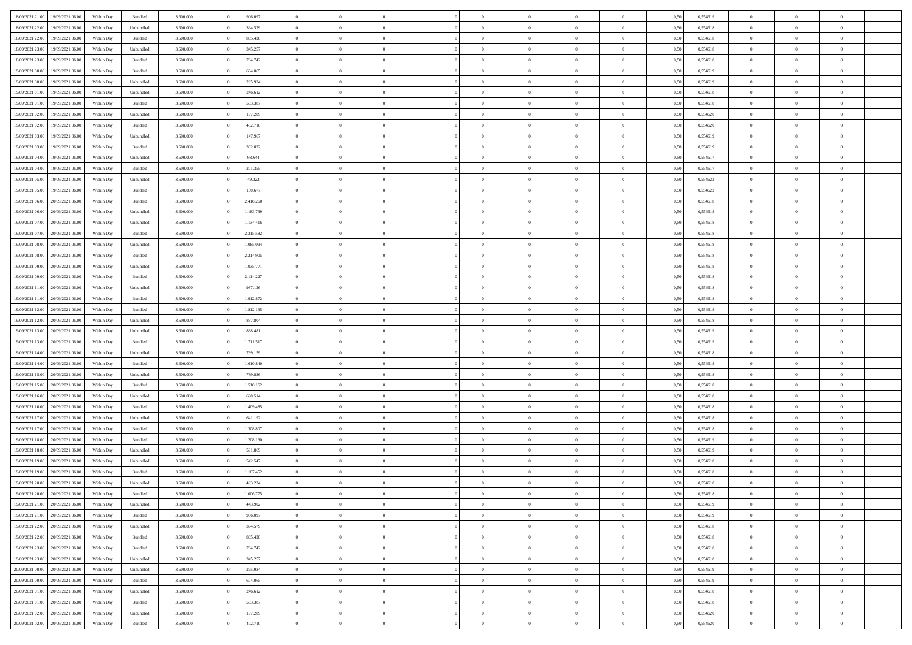|                  |                  |            |                    |           |           | $\overline{0}$ | $\Omega$       |                |                | $\Omega$       | $\Omega$       | $\theta$       |      |          | $\theta$       |                | $\theta$       |  |
|------------------|------------------|------------|--------------------|-----------|-----------|----------------|----------------|----------------|----------------|----------------|----------------|----------------|------|----------|----------------|----------------|----------------|--|
| 18/09/2021 21:00 | 19/09/2021 06:00 | Within Day | Bundled            | 3.600.000 | 906.097   |                |                |                | $\Omega$       |                |                |                | 0,50 | 0,554619 |                | $\theta$       |                |  |
| 18/09/2021 22:00 | 19/09/2021 06:00 | Within Day | Unbundled          | 3.600.000 | 394.579   | $\overline{0}$ | $\theta$       | $\overline{0}$ | $\overline{0}$ | $\bf{0}$       | $\overline{0}$ | $\bf{0}$       | 0,50 | 0,554618 | $\theta$       | $\theta$       | $\overline{0}$ |  |
| 18/09/2021 22:00 | 19/09/2021 06:00 | Within Day | Bundled            | 3.600.000 | 805.420   | $\overline{0}$ | $\overline{0}$ | $\overline{0}$ | $\bf{0}$       | $\bf{0}$       | $\bf{0}$       | $\bf{0}$       | 0,50 | 0,554618 | $\bf{0}$       | $\overline{0}$ | $\overline{0}$ |  |
| 18/09/2021 23:00 | 19/09/2021 06:00 | Within Dav | Unbundled          | 3.600.000 | 345.257   | $\overline{0}$ | $\overline{0}$ | $\overline{0}$ | $\overline{0}$ | $\bf{0}$       | $\overline{0}$ | $\overline{0}$ | 0.50 | 0.554618 | $\theta$       | $\theta$       | $\overline{0}$ |  |
| 18/09/2021 23:00 | 19/09/2021 06:00 | Within Day | Bundled            | 3.600.000 | 704.742   | $\overline{0}$ | $\theta$       | $\overline{0}$ | $\overline{0}$ | $\bf{0}$       | $\overline{0}$ | $\bf{0}$       | 0,50 | 0,554618 | $\theta$       | $\theta$       | $\overline{0}$ |  |
|                  |                  |            |                    |           |           |                |                |                |                |                |                |                |      |          |                |                |                |  |
| 19/09/2021 00:00 | 19/09/2021 06:00 | Within Day | Bundled            | 3.600.000 | 604.065   | $\overline{0}$ | $\bf{0}$       | $\overline{0}$ | $\bf{0}$       | $\overline{0}$ | $\overline{0}$ | $\mathbf{0}$   | 0,50 | 0,554619 | $\bf{0}$       | $\overline{0}$ | $\bf{0}$       |  |
| 19/09/2021 00:00 | 19/09/2021 06:00 | Within Dav | Unbundled          | 3.600.000 | 295.934   | $\overline{0}$ | $\overline{0}$ | $\overline{0}$ | $\overline{0}$ | $\overline{0}$ | $\overline{0}$ | $\overline{0}$ | 0.50 | 0,554619 | $\theta$       | $\overline{0}$ | $\overline{0}$ |  |
| 19/09/2021 01:00 | 19/09/2021 06:00 | Within Day | Unbundled          | 3.600.000 | 246.612   | $\overline{0}$ | $\theta$       | $\overline{0}$ | $\overline{0}$ | $\bf{0}$       | $\overline{0}$ | $\bf{0}$       | 0,50 | 0,554618 | $\theta$       | $\theta$       | $\overline{0}$ |  |
| 19/09/2021 01:00 | 19/09/2021 06:00 | Within Day | Bundled            | 3.600.000 | 503.387   | $\overline{0}$ | $\overline{0}$ | $\overline{0}$ | $\bf{0}$       | $\bf{0}$       | $\bf{0}$       | $\bf{0}$       | 0,50 | 0,554618 | $\,0\,$        | $\overline{0}$ | $\overline{0}$ |  |
| 19/09/2021 02:00 | 19/09/2021 06:00 | Within Dav | Unbundled          | 3.600.000 | 197.289   | $\overline{0}$ | $\overline{0}$ | $\overline{0}$ | $\overline{0}$ | $\overline{0}$ | $\overline{0}$ | $\overline{0}$ | 0.50 | 0,554620 | $\theta$       | $\overline{0}$ | $\overline{0}$ |  |
| 19/09/2021 02:00 | 19/09/2021 06:00 | Within Day | Bundled            | 3.600.000 | 402.710   | $\overline{0}$ | $\theta$       | $\overline{0}$ | $\overline{0}$ | $\bf{0}$       | $\overline{0}$ | $\bf{0}$       | 0,50 | 0,554620 | $\,$ 0 $\,$    | $\theta$       | $\overline{0}$ |  |
| 19/09/2021 03:00 | 19/09/2021 06:00 | Within Day | Unbundled          | 3.600.000 | 147.967   | $\overline{0}$ | $\overline{0}$ | $\overline{0}$ | $\bf{0}$       | $\bf{0}$       | $\bf{0}$       | $\bf{0}$       | 0,50 | 0,554619 | $\overline{0}$ | $\overline{0}$ | $\overline{0}$ |  |
|                  |                  |            |                    |           |           |                |                |                |                |                |                |                |      |          | $\theta$       |                |                |  |
| 19/09/2021 03:00 | 19/09/2021 06:00 | Within Day | Bundled            | 3.600.000 | 302.032   | $\overline{0}$ | $\overline{0}$ | $\overline{0}$ | $\overline{0}$ | $\bf{0}$       | $\overline{0}$ | $\overline{0}$ | 0.50 | 0.554619 |                | $\theta$       | $\overline{0}$ |  |
| 19/09/2021 04:00 | 19/09/2021 06:00 | Within Day | Unbundled          | 3.600.000 | 98.644    | $\overline{0}$ | $\theta$       | $\overline{0}$ | $\overline{0}$ | $\bf{0}$       | $\overline{0}$ | $\bf{0}$       | 0,50 | 0,554617 | $\theta$       | $\theta$       | $\overline{0}$ |  |
| 19/09/2021 04:00 | 19/09/2021 06:00 | Within Day | Bundled            | 3.600.000 | 201.355   | $\overline{0}$ | $\overline{0}$ | $\overline{0}$ | $\bf{0}$       | $\overline{0}$ | $\overline{0}$ | $\mathbf{0}$   | 0,50 | 0,554617 | $\overline{0}$ | $\overline{0}$ | $\bf{0}$       |  |
| 19/09/2021 05:00 | 19/09/2021 06:00 | Within Dav | Unbundled          | 3.600.000 | 49.322    | $\overline{0}$ | $\overline{0}$ | $\overline{0}$ | $\overline{0}$ | $\overline{0}$ | $\overline{0}$ | $\overline{0}$ | 0.50 | 0,554622 | $\theta$       | $\overline{0}$ | $\overline{0}$ |  |
| 19/09/2021 05:00 | 19/09/2021 06:00 | Within Day | Bundled            | 3.600.000 | 100.677   | $\overline{0}$ | $\theta$       | $\overline{0}$ | $\overline{0}$ | $\bf{0}$       | $\overline{0}$ | $\bf{0}$       | 0,50 | 0,554622 | $\theta$       | $\theta$       | $\overline{0}$ |  |
| 19/09/2021 06:00 | 20/09/2021 06:00 | Within Day | Bundled            | 3.600.000 | 2.416.260 | $\overline{0}$ | $\overline{0}$ | $\overline{0}$ | $\bf{0}$       | $\bf{0}$       | $\bf{0}$       | $\bf{0}$       | 0,50 | 0,554618 | $\,0\,$        | $\overline{0}$ | $\overline{0}$ |  |
| 19/09/2021 06:00 | 20/09/2021 06:00 | Within Day | Unbundled          | 3.600.000 | 1.183.739 | $\overline{0}$ | $\overline{0}$ | $\overline{0}$ | $\overline{0}$ | $\overline{0}$ | $\overline{0}$ | $\overline{0}$ | 0.50 | 0.554618 | $\theta$       | $\overline{0}$ | $\overline{0}$ |  |
|                  |                  |            |                    |           |           |                |                |                |                |                |                |                |      |          |                |                |                |  |
| 19/09/2021 07:00 | 20/09/2021 06:00 | Within Day | Unbundled          | 3.600.000 | 1.134.416 | $\overline{0}$ | $\theta$       | $\overline{0}$ | $\overline{0}$ | $\bf{0}$       | $\overline{0}$ | $\bf{0}$       | 0,50 | 0,554618 | $\,$ 0 $\,$    | $\theta$       | $\overline{0}$ |  |
| 19/09/2021 07:00 | 20/09/2021 06:00 | Within Day | Bundled            | 3.600.000 | 2.315.582 | $\overline{0}$ | $\overline{0}$ | $\overline{0}$ | $\bf{0}$       | $\bf{0}$       | $\bf{0}$       | $\bf{0}$       | 0,50 | 0,554618 | $\bf{0}$       | $\overline{0}$ | $\overline{0}$ |  |
| 19/09/2021 08:00 | 20/09/2021 06:00 | Within Day | Unbundled          | 3.600,000 | 1.085.094 | $\overline{0}$ | $\overline{0}$ | $\overline{0}$ | $\overline{0}$ | $\bf{0}$       | $\overline{0}$ | $\overline{0}$ | 0.50 | 0.554618 | $\theta$       | $\theta$       | $\overline{0}$ |  |
| 19/09/2021 08:00 | 20/09/2021 06:00 | Within Day | Bundled            | 3.600.000 | 2.214.905 | $\overline{0}$ | $\theta$       | $\overline{0}$ | $\overline{0}$ | $\bf{0}$       | $\overline{0}$ | $\bf{0}$       | 0,50 | 0,554618 | $\theta$       | $\overline{0}$ | $\overline{0}$ |  |
| 19/09/2021 09:00 | 20/09/2021 06:00 | Within Day | Unbundled          | 3.600.000 | 1.035.771 | $\overline{0}$ | $\bf{0}$       | $\overline{0}$ | $\bf{0}$       | $\overline{0}$ | $\overline{0}$ | $\mathbf{0}$   | 0,50 | 0,554618 | $\overline{0}$ | $\overline{0}$ | $\bf{0}$       |  |
| 19/09/2021 09:00 | 20/09/2021 06:00 | Within Dav | Bundled            | 3.600.000 | 2.114.227 | $\overline{0}$ | $\overline{0}$ | $\overline{0}$ | $\overline{0}$ | $\overline{0}$ | $\overline{0}$ | $\overline{0}$ | 0.50 | 0.554618 | $\theta$       | $\overline{0}$ | $\overline{0}$ |  |
| 19/09/2021 11:00 | 20/09/2021 06:00 |            |                    | 3.600.000 | 937.126   | $\overline{0}$ | $\theta$       | $\overline{0}$ | $\overline{0}$ | $\bf{0}$       | $\overline{0}$ |                |      | 0,554618 | $\theta$       | $\theta$       | $\overline{0}$ |  |
|                  |                  | Within Day | Unbundled          |           |           |                |                |                |                |                |                | $\bf{0}$       | 0,50 |          |                |                |                |  |
| 19/09/2021 11:00 | 20/09/2021 06:00 | Within Day | Bundled            | 3.600.000 | 1.912.872 | $\overline{0}$ | $\overline{0}$ | $\overline{0}$ | $\bf{0}$       | $\bf{0}$       | $\bf{0}$       | $\bf{0}$       | 0,50 | 0,554618 | $\,0\,$        | $\overline{0}$ | $\overline{0}$ |  |
| 19/09/2021 12:00 | 20/09/2021 06:00 | Within Day | Bundled            | 3.600.000 | 1.812.195 | $\overline{0}$ | $\overline{0}$ | $\overline{0}$ | $\overline{0}$ | $\overline{0}$ | $\overline{0}$ | $\overline{0}$ | 0.50 | 0.554618 | $\theta$       | $\overline{0}$ | $\overline{0}$ |  |
| 19/09/2021 12:00 | 20/09/2021 06:00 | Within Day | Unbundled          | 3.600.000 | 887.804   | $\overline{0}$ | $\theta$       | $\overline{0}$ | $\overline{0}$ | $\bf{0}$       | $\overline{0}$ | $\bf{0}$       | 0,50 | 0,554618 | $\,$ 0 $\,$    | $\overline{0}$ | $\overline{0}$ |  |
| 19/09/2021 13:00 | 20/09/2021 06:00 | Within Day | Unbundled          | 3.600.000 | 838.481   | $\overline{0}$ | $\overline{0}$ | $\overline{0}$ | $\bf{0}$       | $\bf{0}$       | $\bf{0}$       | $\bf{0}$       | 0,50 | 0,554619 | $\bf{0}$       | $\overline{0}$ | $\overline{0}$ |  |
| 19/09/2021 13:00 | 20/09/2021 06:00 | Within Day | Bundled            | 3.600.000 | 1.711.517 | $\overline{0}$ | $\Omega$       | $\Omega$       | $\Omega$       | $\Omega$       | $\Omega$       | $\overline{0}$ | 0,50 | 0,554619 | $\,0\,$        | $\theta$       | $\theta$       |  |
| 19/09/2021 14:00 | 20/09/2021 06:00 | Within Day | Unbundled          | 3.600.000 | 789.159   | $\overline{0}$ | $\theta$       | $\overline{0}$ | $\overline{0}$ | $\bf{0}$       | $\overline{0}$ | $\bf{0}$       | 0,50 | 0,554618 | $\theta$       | $\theta$       | $\overline{0}$ |  |
|                  |                  |            |                    |           |           |                |                |                |                |                |                |                |      |          |                |                |                |  |
| 19/09/2021 14:00 | 20/09/2021 06:00 | Within Day | Bundled            | 3.600.000 | 1.610.840 | $\overline{0}$ | $\overline{0}$ | $\overline{0}$ | $\bf{0}$       | $\bf{0}$       | $\overline{0}$ | $\mathbf{0}$   | 0,50 | 0,554618 | $\overline{0}$ | $\overline{0}$ | $\bf{0}$       |  |
| 19/09/2021 15:00 | 20/09/2021 06:00 | Within Day | Unbundled          | 3.600,000 | 739.836   | $\overline{0}$ | $\Omega$       | $\Omega$       | $\Omega$       | $\bf{0}$       | $\overline{0}$ | $\overline{0}$ | 0.50 | 0.554618 | $\theta$       | $\theta$       | $\theta$       |  |
| 19/09/2021 15:00 | 20/09/2021 06:00 | Within Day | Bundled            | 3.600.000 | 1.510.162 | $\overline{0}$ | $\theta$       | $\overline{0}$ | $\overline{0}$ | $\bf{0}$       | $\overline{0}$ | $\bf{0}$       | 0,50 | 0,554618 | $\theta$       | $\theta$       | $\overline{0}$ |  |
| 19/09/2021 16:00 | 20/09/2021 06:00 | Within Day | Unbundled          | 3.600.000 | 690.514   | $\overline{0}$ | $\overline{0}$ | $\overline{0}$ | $\bf{0}$       | $\bf{0}$       | $\bf{0}$       | $\bf{0}$       | 0,50 | 0,554618 | $\,0\,$        | $\overline{0}$ | $\overline{0}$ |  |
| 19/09/2021 16:00 | 20/09/2021 06:00 | Within Day | Bundled            | 3.600,000 | 1.409.485 | $\overline{0}$ | $\Omega$       | $\Omega$       | $\Omega$       | $\theta$       | $\theta$       | $\overline{0}$ | 0.50 | 0.554618 | $\theta$       | $\theta$       | $\theta$       |  |
| 19/09/2021 17:00 | 20/09/2021 06:00 | Within Day | Unbundled          | 3.600.000 | 641.192   | $\overline{0}$ | $\theta$       | $\overline{0}$ | $\overline{0}$ | $\bf{0}$       | $\overline{0}$ | $\bf{0}$       | 0,50 | 0,554618 | $\,$ 0 $\,$    | $\overline{0}$ | $\overline{0}$ |  |
| 19/09/2021 17:00 | 20/09/2021 06:00 | Within Day | Bundled            | 3.600.000 | 1.308.807 | $\overline{0}$ | $\overline{0}$ | $\overline{0}$ | $\bf{0}$       | $\bf{0}$       | $\bf{0}$       | $\bf{0}$       | 0,50 | 0,554618 | $\bf{0}$       | $\overline{0}$ | $\overline{0}$ |  |
|                  |                  |            |                    |           |           | $\overline{0}$ | $\Omega$       | $\overline{0}$ | $\Omega$       | $\Omega$       | $\overline{0}$ | $\overline{0}$ |      |          | $\,0\,$        | $\theta$       | $\theta$       |  |
| 19/09/2021 18:00 | 20/09/2021 06:00 | Within Day | Bundled            | 3.600.000 | 1.208.130 |                |                |                |                |                |                |                | 0,50 | 0,554619 |                |                |                |  |
| 19/09/2021 18:00 | 20/09/2021 06:00 | Within Day | Unbundled          | 3.600.000 | 591.869   | $\overline{0}$ | $\theta$       | $\overline{0}$ | $\overline{0}$ | $\bf{0}$       | $\overline{0}$ | $\bf{0}$       | 0,50 | 0,554619 | $\,$ 0 $\,$    | $\overline{0}$ | $\overline{0}$ |  |
| 19/09/2021 19:00 | 20/09/2021 06:00 | Within Day | Unbundled          | 3.600.000 | 542.547   | $\overline{0}$ | $\overline{0}$ | $\overline{0}$ | $\bf{0}$       | $\bf{0}$       | $\bf{0}$       | $\mathbf{0}$   | 0,50 | 0,554618 | $\bf{0}$       | $\overline{0}$ | $\bf{0}$       |  |
| 19/09/2021 19:00 | 20/09/2021 06:00 | Within Day | Bundled            | 3.600,000 | 1.107.452 | $\overline{0}$ | $\Omega$       | $\Omega$       | $\Omega$       | $\Omega$       | $\Omega$       | $\overline{0}$ | 0.50 | 0.554618 | $\theta$       | $\theta$       | $\theta$       |  |
| 19/09/2021 20:00 | 20/09/2021 06:00 | Within Day | Unbundled          | 3.600.000 | 493.224   | $\overline{0}$ | $\overline{0}$ | $\overline{0}$ | $\bf{0}$       | $\,$ 0         | $\bf{0}$       | $\bf{0}$       | 0,50 | 0,554618 | $\,0\,$        | $\overline{0}$ | $\overline{0}$ |  |
| 19/09/2021 20:00 | 20/09/2021 06:00 | Within Day | $\mathbf B$ undled | 3.600.000 | 1.006.775 | $\bf{0}$       | $\bf{0}$       |                |                |                |                |                | 0,50 | 0,554618 | $\bf{0}$       | $\overline{0}$ |                |  |
| 19/09/2021 21:00 | 20/09/2021 06:00 | Within Day | Unbundled          | 3.600,000 | 443.902   | $\overline{0}$ | $\overline{0}$ | $\overline{0}$ | $\Omega$       | $\overline{0}$ | $\overline{0}$ | $\overline{0}$ | 0.50 | 0.554619 | $\theta$       | $\theta$       | $\theta$       |  |
| 19/09/2021 21:00 | 20/09/2021 06:00 | Within Day | Bundled            | 3.600.000 | 906.097   | $\overline{0}$ | $\bf{0}$       | $\overline{0}$ | $\bf{0}$       | $\,$ 0 $\,$    | $\overline{0}$ | $\,$ 0 $\,$    | 0,50 | 0,554619 | $\,$ 0 $\,$    | $\,$ 0 $\,$    | $\,$ 0         |  |
|                  |                  |            |                    |           |           |                |                |                |                |                |                |                |      |          |                |                |                |  |
| 19/09/2021 22.00 | 20/09/2021 06:00 | Within Day | Unbundled          | 3.600.000 | 394.579   | $\overline{0}$ | $\overline{0}$ | $\overline{0}$ | $\overline{0}$ | $\overline{0}$ | $\overline{0}$ | $\mathbf{0}$   | 0,50 | 0,554618 | $\overline{0}$ | $\bf{0}$       | $\overline{0}$ |  |
| 19/09/2021 22:00 | 20/09/2021 06:00 | Within Day | Bundled            | 3.600.000 | 805.420   | $\overline{0}$ | $\overline{0}$ | $\overline{0}$ | $\Omega$       | $\overline{0}$ | $\overline{0}$ | $\overline{0}$ | 0,50 | 0,554618 | $\overline{0}$ | $\theta$       | $\overline{0}$ |  |
| 19/09/2021 23:00 | 20/09/2021 06:00 | Within Day | Bundled            | 3.600.000 | 704.742   | $\overline{0}$ | $\,$ 0         | $\overline{0}$ | $\bf{0}$       | $\,$ 0 $\,$    | $\overline{0}$ | $\mathbf{0}$   | 0,50 | 0,554618 | $\,$ 0 $\,$    | $\overline{0}$ | $\overline{0}$ |  |
| 19/09/2021 23:00 | 20/09/2021 06:00 | Within Day | Unbundled          | 3.600.000 | 345.257   | $\overline{0}$ | $\overline{0}$ | $\overline{0}$ | $\overline{0}$ | $\overline{0}$ | $\overline{0}$ | $\mathbf{0}$   | 0,50 | 0,554618 | $\overline{0}$ | $\overline{0}$ | $\overline{0}$ |  |
| 20/09/2021 00:00 | 20/09/2021 06:00 | Within Day | Unbundled          | 3.600.000 | 295.934   | $\overline{0}$ | $\overline{0}$ | $\overline{0}$ | $\overline{0}$ | $\overline{0}$ | $\overline{0}$ | $\bf{0}$       | 0.50 | 0,554619 | $\overline{0}$ | $\theta$       | $\overline{0}$ |  |
| 20/09/2021 00:00 | 20/09/2021 06:00 | Within Day | Bundled            | 3.600.000 | 604.065   | $\overline{0}$ | $\,$ 0         | $\overline{0}$ | $\bf{0}$       | $\bf{0}$       | $\bf{0}$       | $\bf{0}$       | 0,50 | 0,554619 | $\,$ 0 $\,$    | $\overline{0}$ | $\overline{0}$ |  |
| 20/09/2021 01:00 | 20/09/2021 06:00 | Within Day | Unbundled          | 3.600.000 | 246.612   | $\overline{0}$ | $\bf{0}$       | $\overline{0}$ | $\overline{0}$ | $\overline{0}$ | $\overline{0}$ | $\mathbf{0}$   | 0,50 | 0,554618 | $\overline{0}$ | $\overline{0}$ | $\bf{0}$       |  |
|                  |                  |            |                    |           |           |                |                |                |                |                |                |                |      |          |                |                |                |  |
| 20/09/2021 01:00 | 20/09/2021 06:00 | Within Day | Bundled            | 3.600,000 | 503,387   | $\overline{0}$ | $\overline{0}$ | $\overline{0}$ | $\Omega$       | $\overline{0}$ | $\overline{0}$ | $\overline{0}$ | 0.50 | 0,554618 | $\overline{0}$ | $\overline{0}$ | $\overline{0}$ |  |
| 20/09/2021 02:00 | 20/09/2021 06:00 | Within Day | Unbundled          | 3.600.000 | 197.289   | $\overline{0}$ | $\bf{0}$       | $\overline{0}$ | $\overline{0}$ | $\bf{0}$       | $\bf{0}$       | $\mathbf{0}$   | 0,50 | 0,554620 | $\,$ 0 $\,$    | $\,$ 0 $\,$    | $\bf{0}$       |  |
| 20/09/2021 02:00 | 20/09/2021 06:00 | Within Day | Bundled            | 3.600.000 | 402.710   | $\overline{0}$ | $\bf{0}$       | $\overline{0}$ | $\overline{0}$ | $\bf{0}$       | $\bf{0}$       | $\bf{0}$       | 0,50 | 0,554620 | $\overline{0}$ | $\overline{0}$ | $\bf{0}$       |  |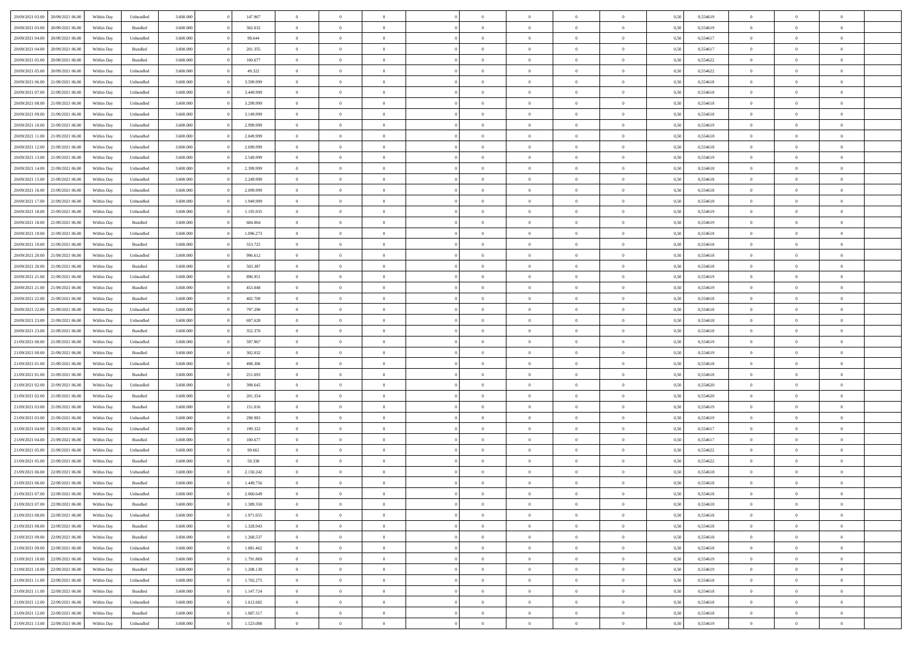| 20/09/2021 03:00                  | 20/09/2021 06:00 | Within Dav | Unbundled | 3.600.000 | 147.967   | $\Omega$       | $\Omega$       |                | $\Omega$       | $\Omega$       | $\Omega$       | $\Omega$       | 0,50 | 0,554619 | $\theta$       | $\theta$       | $\theta$       |  |
|-----------------------------------|------------------|------------|-----------|-----------|-----------|----------------|----------------|----------------|----------------|----------------|----------------|----------------|------|----------|----------------|----------------|----------------|--|
|                                   |                  |            |           |           |           |                |                |                |                |                |                |                |      |          |                |                |                |  |
| 20/09/2021 03:00                  | 20/09/2021 06:00 | Within Day | Bundled   | 3.600.000 | 302.032   | $\overline{0}$ | $\theta$       | $\overline{0}$ | $\overline{0}$ | $\bf{0}$       | $\overline{0}$ | $\overline{0}$ | 0,50 | 0,554619 | $\theta$       | $\theta$       | $\overline{0}$ |  |
| 20/09/2021 04:00                  | 20/09/2021 06:00 | Within Day | Unbundled | 3.600.000 | 98.644    | $\overline{0}$ | $\overline{0}$ | $\overline{0}$ | $\bf{0}$       | $\bf{0}$       | $\bf{0}$       | $\bf{0}$       | 0,50 | 0,554617 | $\overline{0}$ | $\overline{0}$ | $\overline{0}$ |  |
| 20/09/2021 04:00                  | 20/09/2021 06:00 | Within Dav | Bundled   | 3.600,000 | 201.355   | $\overline{0}$ | $\theta$       | $\overline{0}$ | $\overline{0}$ | $\bf{0}$       | $\overline{0}$ | $\overline{0}$ | 0.50 | 0.554617 | $\theta$       | $\theta$       | $\overline{0}$ |  |
|                                   |                  |            |           |           |           |                |                |                |                |                |                |                |      |          |                |                |                |  |
| 20/09/2021 05:00                  | 20/09/2021 06:00 | Within Day | Bundled   | 3.600.000 | 100.677   | $\overline{0}$ | $\theta$       | $\overline{0}$ | $\overline{0}$ | $\bf{0}$       | $\overline{0}$ | $\bf{0}$       | 0,50 | 0,554622 | $\theta$       | $\theta$       | $\overline{0}$ |  |
| 20/09/2021 05:00                  | 20/09/2021 06:00 | Within Day | Unbundled | 3.600.000 | 49.322    | $\overline{0}$ | $\bf{0}$       | $\overline{0}$ | $\bf{0}$       | $\overline{0}$ | $\overline{0}$ | $\mathbf{0}$   | 0,50 | 0,554622 | $\overline{0}$ | $\overline{0}$ | $\bf{0}$       |  |
| 20/09/2021 06:00                  | 21/09/2021 06:00 | Within Dav | Unbundled | 3.600.000 | 3.599.999 | $\overline{0}$ | $\overline{0}$ | $\overline{0}$ | $\overline{0}$ | $\overline{0}$ | $\overline{0}$ | $\overline{0}$ | 0.50 | 0,554618 | $\theta$       | $\theta$       | $\overline{0}$ |  |
| 20/09/2021 07:00                  | 21/09/2021 06:00 | Within Day | Unbundled | 3.600.000 | 3.449.999 | $\overline{0}$ | $\theta$       | $\overline{0}$ | $\overline{0}$ | $\bf{0}$       | $\overline{0}$ | $\bf{0}$       | 0,50 | 0,554618 | $\theta$       | $\theta$       | $\overline{0}$ |  |
|                                   |                  |            |           |           |           |                | $\overline{0}$ |                |                | $\bf{0}$       |                |                |      |          | $\,0\,$        | $\overline{0}$ | $\overline{0}$ |  |
| 20/09/2021 08:00                  | 21/09/2021 06:00 | Within Day | Unbundled | 3.600.000 | 3.299.999 | $\overline{0}$ |                | $\overline{0}$ | $\bf{0}$       |                | $\bf{0}$       | $\bf{0}$       | 0,50 | 0,554618 |                |                |                |  |
| 20/09/2021 09:00                  | 21/09/2021 06:00 | Within Dav | Unbundled | 3.600.000 | 3.149.999 | $\overline{0}$ | $\overline{0}$ | $\overline{0}$ | $\overline{0}$ | $\overline{0}$ | $\overline{0}$ | $\overline{0}$ | 0.50 | 0.554618 | $\theta$       | $\overline{0}$ | $\overline{0}$ |  |
| 20/09/2021 10:00                  | 21/09/2021 06:00 | Within Day | Unbundled | 3.600.000 | 2.999.999 | $\overline{0}$ | $\theta$       | $\overline{0}$ | $\overline{0}$ | $\bf{0}$       | $\overline{0}$ | $\bf{0}$       | 0,50 | 0,554619 | $\theta$       | $\theta$       | $\overline{0}$ |  |
| 20/09/2021 11:00                  | 21/09/2021 06:00 | Within Day | Unbundled | 3.600.000 | 2.849.999 | $\overline{0}$ | $\overline{0}$ | $\overline{0}$ | $\bf{0}$       | $\bf{0}$       | $\bf{0}$       | $\bf{0}$       | 0,50 | 0,554618 | $\overline{0}$ | $\overline{0}$ | $\overline{0}$ |  |
| 20/09/2021 12:00                  | 21/09/2021 06:00 | Within Day | Unbundled | 3.600.000 | 2.699.999 | $\overline{0}$ | $\overline{0}$ | $\overline{0}$ | $\overline{0}$ | $\bf{0}$       | $\overline{0}$ | $\overline{0}$ | 0.50 | 0.554618 | $\theta$       | $\theta$       | $\overline{0}$ |  |
|                                   |                  |            |           |           |           | $\overline{0}$ | $\theta$       |                |                |                |                |                |      |          | $\theta$       |                |                |  |
| 20/09/2021 13:00                  | 21/09/2021 06:00 | Within Day | Unbundled | 3.600.000 | 2.549.999 |                |                | $\overline{0}$ | $\overline{0}$ | $\bf{0}$       | $\overline{0}$ | $\overline{0}$ | 0,50 | 0,554619 |                | $\theta$       | $\overline{0}$ |  |
| 20/09/2021 14:00                  | 21/09/2021 06:00 | Within Day | Unbundled | 3.600.000 | 2.399.999 | $\overline{0}$ | $\bf{0}$       | $\overline{0}$ | $\bf{0}$       | $\overline{0}$ | $\overline{0}$ | $\mathbf{0}$   | 0,50 | 0,554618 | $\overline{0}$ | $\overline{0}$ | $\bf{0}$       |  |
| 20/09/2021 15:00                  | 21/09/2021 06:00 | Within Dav | Unbundled | 3.600.000 | 2.249.999 | $\overline{0}$ | $\overline{0}$ | $\overline{0}$ | $\overline{0}$ | $\overline{0}$ | $\overline{0}$ | $\overline{0}$ | 0.50 | 0.554618 | $\theta$       | $\overline{0}$ | $\overline{0}$ |  |
| 20/09/2021 16:00                  | 21/09/2021 06:00 | Within Day | Unbundled | 3.600.000 | 2.099.999 | $\overline{0}$ | $\theta$       | $\overline{0}$ | $\overline{0}$ | $\bf{0}$       | $\overline{0}$ | $\bf{0}$       | 0,50 | 0,554618 | $\theta$       | $\theta$       | $\overline{0}$ |  |
| 20/09/2021 17:00                  | 21/09/2021 06:00 | Within Day | Unbundled | 3.600.000 | 1.949.999 | $\overline{0}$ | $\overline{0}$ | $\overline{0}$ | $\bf{0}$       | $\bf{0}$       | $\bf{0}$       | $\bf{0}$       | 0,50 | 0,554618 | $\,0\,$        | $\overline{0}$ | $\overline{0}$ |  |
|                                   |                  |            |           |           |           |                |                |                |                |                |                |                |      |          |                |                |                |  |
| 20/09/2021 18:00                  | 21/09/2021 06:00 | Within Day | Unbundled | 3.600.000 | 1.195.935 | $\overline{0}$ | $\overline{0}$ | $\overline{0}$ | $\overline{0}$ | $\overline{0}$ | $\overline{0}$ | $\overline{0}$ | 0.50 | 0,554619 | $\theta$       | $\overline{0}$ | $\overline{0}$ |  |
| 20/09/2021 18:00                  | 21/09/2021 06:00 | Within Day | Bundled   | 3.600.000 | 604.064   | $\overline{0}$ | $\theta$       | $\overline{0}$ | $\overline{0}$ | $\bf{0}$       | $\overline{0}$ | $\bf{0}$       | 0,50 | 0,554619 | $\,$ 0 $\,$    | $\theta$       | $\overline{0}$ |  |
| 20/09/2021 19:00                  | 21/09/2021 06:00 | Within Day | Unbundled | 3.600.000 | 1.096.273 | $\overline{0}$ | $\overline{0}$ | $\overline{0}$ | $\bf{0}$       | $\bf{0}$       | $\bf{0}$       | $\bf{0}$       | 0,50 | 0,554618 | $\bf{0}$       | $\overline{0}$ | $\overline{0}$ |  |
| 20/09/2021 19:00                  | 21/09/2021 06:00 | Within Day | Bundled   | 3.600,000 | 553.725   | $\overline{0}$ | $\overline{0}$ | $\overline{0}$ | $\overline{0}$ | $\bf{0}$       | $\overline{0}$ | $\overline{0}$ | 0.50 | 0.554618 | $\theta$       | $\theta$       | $\overline{0}$ |  |
| 20/09/2021 20:00                  | 21/09/2021 06:00 |            |           | 3.600.000 | 996.612   | $\overline{0}$ | $\theta$       | $\overline{0}$ | $\overline{0}$ | $\bf{0}$       | $\overline{0}$ |                |      | 0,554618 | $\theta$       | $\overline{0}$ | $\overline{0}$ |  |
|                                   |                  | Within Day | Unbundled |           |           |                |                |                |                |                |                | $\bf{0}$       | 0,50 |          |                |                |                |  |
| 20/09/2021 20:00                  | 21/09/2021 06:00 | Within Day | Bundled   | 3.600.000 | 503.387   | $\overline{0}$ | $\bf{0}$       | $\overline{0}$ | $\bf{0}$       | $\overline{0}$ | $\overline{0}$ | $\mathbf{0}$   | 0,50 | 0,554618 | $\overline{0}$ | $\overline{0}$ | $\bf{0}$       |  |
| 20/09/2021 21:00                  | 21/09/2021 06:00 | Within Dav | Unbundled | 3.600.000 | 896.951   | $\overline{0}$ | $\overline{0}$ | $\overline{0}$ | $\overline{0}$ | $\overline{0}$ | $\overline{0}$ | $\overline{0}$ | 0.50 | 0,554619 | $\theta$       | $\theta$       | $\overline{0}$ |  |
| 20/09/2021 21:00                  | 21/09/2021 06:00 | Within Day | Bundled   | 3.600.000 | 453.048   | $\overline{0}$ | $\theta$       | $\overline{0}$ | $\overline{0}$ | $\bf{0}$       | $\overline{0}$ | $\bf{0}$       | 0,50 | 0,554619 | $\theta$       | $\theta$       | $\overline{0}$ |  |
| 20/09/2021 22:00                  | 21/09/2021 06:00 | Within Day | Bundled   | 3.600.000 | 402.709   | $\overline{0}$ | $\overline{0}$ | $\overline{0}$ | $\bf{0}$       | $\bf{0}$       | $\bf{0}$       | $\bf{0}$       | 0,50 | 0,554618 | $\,0\,$        | $\overline{0}$ | $\overline{0}$ |  |
|                                   | 21/09/2021 06:00 |            | Unbundled | 3.600.000 | 797.290   | $\overline{0}$ | $\overline{0}$ | $\overline{0}$ | $\overline{0}$ | $\overline{0}$ | $\overline{0}$ | $\overline{0}$ | 0.50 | 0.554618 | $\theta$       | $\overline{0}$ | $\overline{0}$ |  |
| 20/09/2021 22:00                  |                  | Within Day |           |           |           |                |                |                |                |                |                |                |      |          |                |                |                |  |
| 20/09/2021 23:00                  | 21/09/2021 06:00 | Within Day | Unbundled | 3.600.000 | 697.628   | $\overline{0}$ | $\theta$       | $\overline{0}$ | $\overline{0}$ | $\bf{0}$       | $\overline{0}$ | $\bf{0}$       | 0,50 | 0,554618 | $\,$ 0 $\,$    | $\theta$       | $\overline{0}$ |  |
| 20/09/2021 23:00                  | 21/09/2021 06:00 | Within Day | Bundled   | 3.600.000 | 352.370   | $\overline{0}$ | $\overline{0}$ | $\overline{0}$ | $\bf{0}$       | $\bf{0}$       | $\bf{0}$       | $\bf{0}$       | 0,50 | 0,554618 | $\overline{0}$ | $\overline{0}$ | $\overline{0}$ |  |
| 21/09/2021 00:00                  | 21/09/2021 06:00 | Within Day | Unbundled | 3.600.000 | 597.967   | $\overline{0}$ | $\Omega$       | $\Omega$       | $\Omega$       | $\Omega$       | $\Omega$       | $\overline{0}$ | 0,50 | 0,554619 | $\,0\,$        | $\Omega$       | $\theta$       |  |
| 21/09/2021 00:00                  | 21/09/2021 06:00 | Within Day | Bundled   | 3.600.000 | 302.032   | $\overline{0}$ | $\theta$       | $\overline{0}$ | $\overline{0}$ | $\bf{0}$       | $\overline{0}$ | $\bf{0}$       | 0,50 | 0,554619 | $\theta$       | $\theta$       | $\overline{0}$ |  |
|                                   |                  |            |           |           |           |                |                |                |                |                |                |                |      |          |                |                |                |  |
| 21/09/2021 01:00                  | 21/09/2021 06:00 | Within Day | Unbundled | 3.600.000 | 498.306   | $\overline{0}$ | $\overline{0}$ | $\overline{0}$ | $\bf{0}$       | $\bf{0}$       | $\overline{0}$ | $\mathbf{0}$   | 0,50 | 0,554618 | $\overline{0}$ | $\overline{0}$ | $\bf{0}$       |  |
| 21/09/2021 01:00                  | 21/09/2021 06:00 | Within Day | Bundled   | 3.600,000 | 251.693   | $\overline{0}$ | $\Omega$       | $\Omega$       | $\Omega$       | $\Omega$       | $\Omega$       | $\overline{0}$ | 0.50 | 0.554618 | $\theta$       | $\theta$       | $\theta$       |  |
| 21/09/2021 02:00                  | 21/09/2021 06:00 | Within Day | Unbundled | 3.600.000 | 398.645   | $\overline{0}$ | $\theta$       | $\overline{0}$ | $\overline{0}$ | $\bf{0}$       | $\overline{0}$ | $\bf{0}$       | 0,50 | 0,554620 | $\theta$       | $\theta$       | $\overline{0}$ |  |
| 21/09/2021 02:00                  | 21/09/2021 06:00 | Within Day | Bundled   | 3.600.000 | 201.354   | $\overline{0}$ | $\overline{0}$ | $\overline{0}$ | $\bf{0}$       | $\bf{0}$       | $\bf{0}$       | $\bf{0}$       | 0,50 | 0,554620 | $\,0\,$        | $\overline{0}$ | $\overline{0}$ |  |
| 21/09/2021 03:00                  | 21/09/2021 06:00 | Within Day | Bundled   | 3.600,000 | 151.016   | $\overline{0}$ | $\Omega$       | $\Omega$       | $\Omega$       | $\Omega$       | $\theta$       | $\overline{0}$ | 0.50 | 0.554619 | $\theta$       | $\theta$       | $\theta$       |  |
|                                   |                  |            |           |           |           |                |                |                |                |                |                |                |      |          |                |                |                |  |
| 21/09/2021 03:00                  | 21/09/2021 06:00 | Within Day | Unbundled | 3.600.000 | 298.983   | $\overline{0}$ | $\theta$       | $\overline{0}$ | $\overline{0}$ | $\bf{0}$       | $\overline{0}$ | $\bf{0}$       | 0,50 | 0,554619 | $\,$ 0 $\,$    | $\overline{0}$ | $\overline{0}$ |  |
| 21/09/2021 04:00                  | 21/09/2021 06:00 | Within Day | Unbundled | 3.600.000 | 199.322   | $\overline{0}$ | $\overline{0}$ | $\overline{0}$ | $\bf{0}$       | $\bf{0}$       | $\bf{0}$       | $\bf{0}$       | 0,50 | 0,554617 | $\overline{0}$ | $\overline{0}$ | $\overline{0}$ |  |
| 21/09/2021 04:00                  | 21/09/2021 06:00 | Within Day | Bundled   | 3.600.000 | 100,677   | $\overline{0}$ | $\Omega$       | $\Omega$       | $\Omega$       | $\Omega$       | $\overline{0}$ | $\overline{0}$ | 0.50 | 0,554617 | $\,0\,$        | $\theta$       | $\theta$       |  |
| 21/09/2021 05:00                  | 21/09/2021 06:00 | Within Day | Unbundled | 3.600.000 | 99.661    | $\overline{0}$ | $\theta$       | $\overline{0}$ | $\overline{0}$ | $\bf{0}$       | $\overline{0}$ | $\bf{0}$       | 0,50 | 0,554622 | $\,$ 0 $\,$    | $\overline{0}$ | $\overline{0}$ |  |
| 21/09/2021 05:00                  | 21/09/2021 06:00 | Within Day | Bundled   | 3.600.000 | 50.338    | $\overline{0}$ | $\overline{0}$ | $\overline{0}$ | $\bf{0}$       | $\bf{0}$       | $\bf{0}$       | $\mathbf{0}$   | 0,50 | 0,554622 | $\overline{0}$ | $\overline{0}$ | $\bf{0}$       |  |
|                                   |                  |            |           |           |           |                |                |                |                |                |                |                |      |          |                |                |                |  |
| 21/09/2021 06:00                  | 22/09/2021 06:00 | Within Day | Unbundled | 3.600,000 | 2.150.242 | $\overline{0}$ | $\Omega$       | $\Omega$       | $\Omega$       | $\Omega$       | $\Omega$       | $\Omega$       | 0.50 | 0.554618 | $\theta$       | $\Omega$       | $\theta$       |  |
| 21/09/2021 06:00                  | 22/09/2021 06:00 | Within Day | Bundled   | 3.600.000 | 1.449.756 | $\overline{0}$ | $\overline{0}$ | $\overline{0}$ | $\bf{0}$       | $\,$ 0         | $\bf{0}$       | $\bf{0}$       | 0,50 | 0,554618 | $\,0\,$        | $\overline{0}$ | $\overline{0}$ |  |
| 21/09/2021 07:00                  | 22/09/2021 06:00 | Within Day | Unbundled | 3.600.000 | 2.060.649 | $\bf{0}$       | $\bf{0}$       |                |                |                |                |                | 0,50 | 0,554618 | $\bf{0}$       | $\overline{0}$ |                |  |
| 21/09/2021 07:00                  | 22/09/2021 06:00 | Within Day | Bundled   | 3.600,000 | 1.389.350 | $\overline{0}$ | $\overline{0}$ | $\overline{0}$ | $\Omega$       | $\overline{0}$ | $\overline{0}$ | $\overline{0}$ | 0.50 | 0.554618 | $\theta$       | $\theta$       | $\theta$       |  |
| 21/09/2021 08:00                  | 22/09/2021 06.00 | Within Day | Unbundled | 3.600.000 | 1.971.055 | $\overline{0}$ | $\,$ 0         | $\overline{0}$ | $\bf{0}$       | $\,$ 0 $\,$    | $\overline{0}$ | $\mathbf{0}$   | 0,50 | 0,554618 | $\,$ 0 $\,$    | $\,$ 0 $\,$    | $\,$ 0         |  |
|                                   |                  |            |           |           |           |                |                |                |                |                |                |                |      |          |                |                |                |  |
| 21/09/2021 08:00                  | 22/09/2021 06:00 | Within Day | Bundled   | 3.600.000 | 1.328.943 | $\overline{0}$ | $\overline{0}$ | $\overline{0}$ | $\overline{0}$ | $\overline{0}$ | $\overline{0}$ | $\mathbf{0}$   | 0,50 | 0,554618 | $\overline{0}$ | $\bf{0}$       | $\bf{0}$       |  |
| 21/09/2021 09:00                  | 22/09/2021 06:00 | Within Day | Bundled   | 3.600.000 | 1.268.537 | $\overline{0}$ | $\overline{0}$ | $\overline{0}$ | $\Omega$       | $\overline{0}$ | $\overline{0}$ | $\overline{0}$ | 0,50 | 0,554618 | $\overline{0}$ | $\theta$       | $\overline{0}$ |  |
| 21/09/2021 09:00                  | 22/09/2021 06.00 | Within Day | Unbundled | 3.600.000 | 1.881.462 | $\overline{0}$ | $\,$ 0         | $\overline{0}$ | $\overline{0}$ | $\,$ 0 $\,$    | $\overline{0}$ | $\mathbf{0}$   | 0,50 | 0,554618 | $\,$ 0 $\,$    | $\overline{0}$ | $\overline{0}$ |  |
| 21/09/2021 10:00                  | 22/09/2021 06:00 | Within Day | Unbundled | 3.600.000 | 1.791.869 | $\overline{0}$ | $\overline{0}$ | $\overline{0}$ | $\overline{0}$ | $\overline{0}$ | $\overline{0}$ | $\mathbf{0}$   | 0,50 | 0,554619 | $\overline{0}$ | $\overline{0}$ | $\bf{0}$       |  |
|                                   |                  |            |           | 3.600,000 |           |                | $\overline{0}$ | $\overline{0}$ | $\Omega$       | $\overline{0}$ | $\overline{0}$ |                | 0.50 |          |                | $\theta$       | $\overline{0}$ |  |
| 21/09/2021 10:00                  | 22/09/2021 06:00 | Within Day | Bundled   |           | 1.208.130 | $\overline{0}$ |                |                |                |                |                | $\bf{0}$       |      | 0,554619 | $\overline{0}$ |                |                |  |
| 21/09/2021 11:00                  | 22/09/2021 06.00 | Within Day | Unbundled | 3.600.000 | 1.702.275 | $\overline{0}$ | $\,$ 0         | $\overline{0}$ | $\bf{0}$       | $\bf{0}$       | $\bf{0}$       | $\bf{0}$       | 0,50 | 0,554618 | $\,$ 0 $\,$    | $\overline{0}$ | $\overline{0}$ |  |
| 21/09/2021 11:00                  | 22/09/2021 06:00 | Within Day | Bundled   | 3.600.000 | 1.147.724 | $\overline{0}$ | $\bf{0}$       | $\overline{0}$ | $\overline{0}$ | $\overline{0}$ | $\overline{0}$ | $\mathbf{0}$   | 0,50 | 0,554618 | $\overline{0}$ | $\overline{0}$ | $\bf{0}$       |  |
| 21/09/2021 12:00                  | 22/09/2021 06:00 | Within Day | Unbundled | 3.600,000 | 1.612.682 | $\overline{0}$ | $\overline{0}$ | $\overline{0}$ | $\Omega$       | $\overline{0}$ | $\overline{0}$ | $\bf{0}$       | 0.50 | 0,554618 | $\overline{0}$ | $\overline{0}$ | $\overline{0}$ |  |
| 21/09/2021 12:00                  | 22/09/2021 06.00 | Within Day | Bundled   | 3.600.000 | 1.087.317 | $\overline{0}$ | $\bf{0}$       | $\overline{0}$ | $\overline{0}$ | $\bf{0}$       | $\bf{0}$       | $\mathbf{0}$   | 0,50 | 0,554618 | $\,$ 0 $\,$    | $\,$ 0 $\,$    | $\bf{0}$       |  |
|                                   |                  |            |           |           |           |                |                |                |                |                |                |                |      |          |                |                |                |  |
| 21/09/2021 13:00 22/09/2021 06:00 |                  | Within Day | Unbundled | 3.600.000 | 1.523.088 | $\overline{0}$ | $\overline{0}$ | $\overline{0}$ | $\overline{0}$ | $\overline{0}$ | $\bf{0}$       | $\mathbf{0}$   | 0,50 | 0,554619 | $\overline{0}$ | $\bf{0}$       | $\bf{0}$       |  |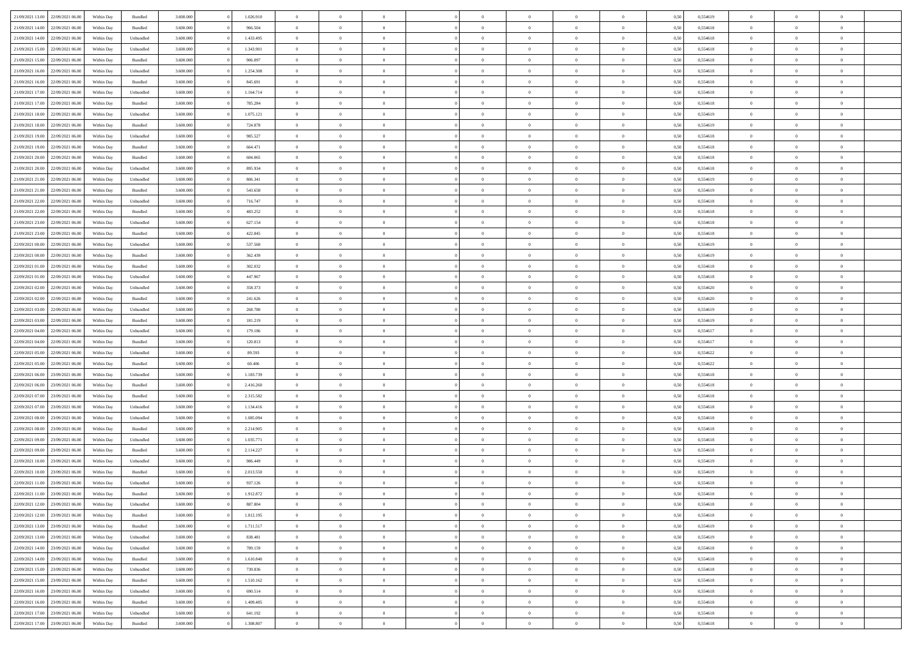| 21/09/2021 13:00                  | 22/09/2021 06:00 | Within Day | Bundled            | 3.600.000 | 1.026.910 | $\overline{0}$ | $\Omega$       |                | $\Omega$       | $\Omega$       | $\Omega$       | $\theta$       | 0,50 | 0,554619 | $\theta$       | $\theta$       | $\theta$       |  |
|-----------------------------------|------------------|------------|--------------------|-----------|-----------|----------------|----------------|----------------|----------------|----------------|----------------|----------------|------|----------|----------------|----------------|----------------|--|
|                                   |                  |            |                    |           |           |                |                |                |                |                |                |                |      |          |                |                |                |  |
| 21/09/2021 14:00                  | 22/09/2021 06:00 | Within Day | Bundled            | 3.600.000 | 966.504   | $\overline{0}$ | $\theta$       | $\overline{0}$ | $\overline{0}$ | $\bf{0}$       | $\overline{0}$ | $\bf{0}$       | 0,50 | 0,554618 | $\theta$       | $\theta$       | $\overline{0}$ |  |
| 21/09/2021 14:00                  | 22/09/2021 06:00 | Within Day | Unbundled          | 3.600.000 | 1.433.495 | $\overline{0}$ | $\overline{0}$ | $\overline{0}$ | $\bf{0}$       | $\bf{0}$       | $\bf{0}$       | $\bf{0}$       | 0,50 | 0,554618 | $\bf{0}$       | $\overline{0}$ | $\overline{0}$ |  |
| 21/09/2021 15:00                  | 22/09/2021 06:00 | Within Dav | Unbundled          | 3.600,000 | 1.343.901 | $\overline{0}$ | $\overline{0}$ | $\overline{0}$ | $\overline{0}$ | $\bf{0}$       | $\overline{0}$ | $\overline{0}$ | 0.50 | 0.554618 | $\theta$       | $\theta$       | $\overline{0}$ |  |
|                                   |                  |            |                    |           |           |                |                |                |                |                |                |                |      |          |                |                |                |  |
| 21/09/2021 15:00                  | 22/09/2021 06:00 | Within Day | Bundled            | 3.600.000 | 906.097   | $\overline{0}$ | $\theta$       | $\overline{0}$ | $\overline{0}$ | $\bf{0}$       | $\overline{0}$ | $\bf{0}$       | 0,50 | 0,554618 | $\theta$       | $\overline{0}$ | $\overline{0}$ |  |
| 21/09/2021 16:00                  | 22/09/2021 06:00 | Within Day | Unbundled          | 3.600.000 | 1.254.308 | $\overline{0}$ | $\overline{0}$ | $\overline{0}$ | $\bf{0}$       | $\overline{0}$ | $\overline{0}$ | $\mathbf{0}$   | 0,50 | 0,554618 | $\overline{0}$ | $\overline{0}$ | $\bf{0}$       |  |
| 21/09/2021 16:00                  | 22/09/2021 06:00 | Within Dav | Bundled            | 3.600.000 | 845.691   | $\overline{0}$ | $\overline{0}$ | $\overline{0}$ | $\overline{0}$ | $\overline{0}$ | $\overline{0}$ | $\overline{0}$ | 0.50 | 0.554618 | $\theta$       | $\overline{0}$ | $\overline{0}$ |  |
| 21/09/2021 17:00                  | 22/09/2021 06.00 | Within Day | Unbundled          | 3.600.000 | 1.164.714 | $\overline{0}$ | $\theta$       | $\overline{0}$ | $\overline{0}$ | $\bf{0}$       | $\overline{0}$ | $\bf{0}$       | 0,50 | 0,554618 | $\theta$       | $\theta$       | $\overline{0}$ |  |
|                                   |                  |            |                    |           |           |                | $\overline{0}$ |                |                | $\bf{0}$       |                |                |      |          | $\,0\,$        | $\overline{0}$ | $\overline{0}$ |  |
| 21/09/2021 17:00                  | 22/09/2021 06:00 | Within Day | Bundled            | 3.600.000 | 785.284   | $\overline{0}$ |                | $\overline{0}$ | $\bf{0}$       |                | $\bf{0}$       | $\bf{0}$       | 0,50 | 0,554618 |                |                |                |  |
| 21/09/2021 18:00                  | 22/09/2021 06:00 | Within Dav | Unbundled          | 3.600.000 | 1.075.121 | $\overline{0}$ | $\overline{0}$ | $\overline{0}$ | $\overline{0}$ | $\overline{0}$ | $\overline{0}$ | $\overline{0}$ | 0.50 | 0.554619 | $\theta$       | $\overline{0}$ | $\overline{0}$ |  |
| 21/09/2021 18:00                  | 22/09/2021 06.00 | Within Day | Bundled            | 3.600.000 | 724.878   | $\overline{0}$ | $\theta$       | $\overline{0}$ | $\overline{0}$ | $\bf{0}$       | $\overline{0}$ | $\bf{0}$       | 0,50 | 0,554619 | $\,$ 0 $\,$    | $\overline{0}$ | $\overline{0}$ |  |
| 21/09/2021 19:00                  | 22/09/2021 06:00 | Within Day | Unbundled          | 3.600.000 | 985.527   | $\overline{0}$ | $\overline{0}$ | $\overline{0}$ | $\bf{0}$       | $\bf{0}$       | $\bf{0}$       | $\mathbf{0}$   | 0,50 | 0,554618 | $\overline{0}$ | $\overline{0}$ | $\bf{0}$       |  |
| 21/09/2021 19:00                  | 22/09/2021 06:00 | Within Day | Bundled            | 3.600.000 | 664.471   | $\overline{0}$ | $\overline{0}$ | $\overline{0}$ | $\overline{0}$ | $\bf{0}$       | $\overline{0}$ | $\overline{0}$ | 0.50 | 0.554618 | $\theta$       | $\theta$       | $\overline{0}$ |  |
|                                   |                  |            |                    |           |           | $\overline{0}$ | $\theta$       |                |                |                |                |                |      |          | $\theta$       |                |                |  |
| 21/09/2021 20:00                  | 22/09/2021 06:00 | Within Day | Bundled            | 3.600.000 | 604.065   |                |                | $\overline{0}$ | $\overline{0}$ | $\bf{0}$       | $\overline{0}$ | $\bf{0}$       | 0,50 | 0,554618 |                | $\theta$       | $\overline{0}$ |  |
| 21/09/2021 20:00                  | 22/09/2021 06:00 | Within Day | Unbundled          | 3.600.000 | 895.934   | $\overline{0}$ | $\overline{0}$ | $\overline{0}$ | $\bf{0}$       | $\overline{0}$ | $\overline{0}$ | $\mathbf{0}$   | 0,50 | 0,554618 | $\overline{0}$ | $\overline{0}$ | $\bf{0}$       |  |
| 21/09/2021 21:00                  | 22/09/2021 06:00 | Within Dav | Unbundled          | 3.600.000 | 806.341   | $\overline{0}$ | $\overline{0}$ | $\overline{0}$ | $\overline{0}$ | $\overline{0}$ | $\overline{0}$ | $\overline{0}$ | 0.50 | 0.554619 | $\theta$       | $\overline{0}$ | $\overline{0}$ |  |
| 21/09/2021 21:00                  | 22/09/2021 06.00 | Within Day | Bundled            | 3.600.000 | 543.658   | $\overline{0}$ | $\theta$       | $\overline{0}$ | $\overline{0}$ | $\bf{0}$       | $\overline{0}$ | $\bf{0}$       | 0,50 | 0,554619 | $\theta$       | $\theta$       | $\overline{0}$ |  |
| 21/09/2021 22:00                  | 22/09/2021 06:00 | Within Day | Unbundled          | 3.600.000 | 716.747   | $\overline{0}$ | $\overline{0}$ | $\overline{0}$ | $\bf{0}$       | $\bf{0}$       | $\bf{0}$       | $\mathbf{0}$   | 0,50 | 0,554618 | $\,0\,$        | $\overline{0}$ | $\overline{0}$ |  |
|                                   |                  |            |                    |           |           |                |                |                |                |                |                |                |      |          |                |                |                |  |
| 21/09/2021 22:00                  | 22/09/2021 06:00 | Within Day | Bundled            | 3.600.000 | 483.252   | $\overline{0}$ | $\overline{0}$ | $\overline{0}$ | $\overline{0}$ | $\overline{0}$ | $\overline{0}$ | $\overline{0}$ | 0.50 | 0.554618 | $\theta$       | $\overline{0}$ | $\overline{0}$ |  |
| 21/09/2021 23:00                  | 22/09/2021 06:00 | Within Day | Unbundled          | 3.600.000 | 627.154   | $\overline{0}$ | $\theta$       | $\overline{0}$ | $\overline{0}$ | $\bf{0}$       | $\overline{0}$ | $\bf{0}$       | 0,50 | 0,554618 | $\,$ 0 $\,$    | $\theta$       | $\overline{0}$ |  |
| 21/09/2021 23:00                  | 22/09/2021 06:00 | Within Day | Bundled            | 3.600.000 | 422.845   | $\overline{0}$ | $\overline{0}$ | $\overline{0}$ | $\bf{0}$       | $\bf{0}$       | $\bf{0}$       | $\bf{0}$       | 0,50 | 0,554618 | $\bf{0}$       | $\overline{0}$ | $\overline{0}$ |  |
| 22/09/2021 00:00                  | 22/09/2021 06:00 | Within Day | Unbundled          | 3.600,000 | 537.560   | $\overline{0}$ | $\overline{0}$ | $\overline{0}$ | $\overline{0}$ | $\bf{0}$       | $\overline{0}$ | $\overline{0}$ | 0.50 | 0.554619 | $\theta$       | $\theta$       | $\overline{0}$ |  |
|                                   |                  |            |                    |           |           |                |                |                |                |                |                |                |      |          |                |                |                |  |
| 22/09/2021 00:00                  | 22/09/2021 06:00 | Within Day | Bundled            | 3.600.000 | 362.439   | $\overline{0}$ | $\theta$       | $\overline{0}$ | $\overline{0}$ | $\bf{0}$       | $\overline{0}$ | $\bf{0}$       | 0,50 | 0,554619 | $\theta$       | $\overline{0}$ | $\overline{0}$ |  |
| 22/09/2021 01:00                  | 22/09/2021 06:00 | Within Day | Bundled            | 3.600.000 | 302.032   | $\overline{0}$ | $\bf{0}$       | $\overline{0}$ | $\bf{0}$       | $\overline{0}$ | $\overline{0}$ | $\mathbf{0}$   | 0,50 | 0,554618 | $\overline{0}$ | $\overline{0}$ | $\bf{0}$       |  |
| 22/09/2021 01:00                  | 22/09/2021 06:00 | Within Day | Unbundled          | 3.600.000 | 447.967   | $\overline{0}$ | $\overline{0}$ | $\overline{0}$ | $\overline{0}$ | $\overline{0}$ | $\overline{0}$ | $\overline{0}$ | 0.50 | 0.554618 | $\theta$       | $\theta$       | $\overline{0}$ |  |
| 22/09/2021 02:00                  | 22/09/2021 06.00 | Within Day | Unbundled          | 3.600.000 | 358.373   | $\overline{0}$ | $\theta$       | $\overline{0}$ | $\overline{0}$ | $\bf{0}$       | $\overline{0}$ | $\bf{0}$       | 0,50 | 0,554620 | $\theta$       | $\theta$       | $\overline{0}$ |  |
| 22/09/2021 02:00                  | 22/09/2021 06:00 | Within Day | Bundled            | 3.600.000 | 241.626   | $\overline{0}$ | $\overline{0}$ | $\overline{0}$ | $\bf{0}$       | $\bf{0}$       | $\bf{0}$       | $\bf{0}$       | 0,50 | 0,554620 | $\,0\,$        | $\overline{0}$ | $\overline{0}$ |  |
|                                   |                  |            |                    |           |           |                |                |                |                |                |                |                |      |          |                |                |                |  |
| 22/09/2021 03:00                  | 22/09/2021 06:00 | Within Day | Unbundled          | 3.600.000 | 268.780   | $\overline{0}$ | $\overline{0}$ | $\overline{0}$ | $\overline{0}$ | $\overline{0}$ | $\overline{0}$ | $\overline{0}$ | 0.50 | 0.554619 | $\theta$       | $\overline{0}$ | $\overline{0}$ |  |
| 22/09/2021 03:00                  | 22/09/2021 06.00 | Within Day | Bundled            | 3.600.000 | 181.219   | $\overline{0}$ | $\theta$       | $\overline{0}$ | $\overline{0}$ | $\bf{0}$       | $\overline{0}$ | $\bf{0}$       | 0,50 | 0,554619 | $\,$ 0 $\,$    | $\overline{0}$ | $\overline{0}$ |  |
| 22/09/2021 04:00                  | 22/09/2021 06:00 | Within Day | Unbundled          | 3.600.000 | 179.186   | $\overline{0}$ | $\overline{0}$ | $\overline{0}$ | $\bf{0}$       | $\bf{0}$       | $\bf{0}$       | $\bf{0}$       | 0,50 | 0,554617 | $\overline{0}$ | $\overline{0}$ | $\overline{0}$ |  |
| 22/09/2021 04:00                  | 22/09/2021 06:00 | Within Day | Bundled            | 3.600.000 | 120.813   | $\overline{0}$ | $\Omega$       | $\overline{0}$ | $\Omega$       | $\Omega$       | $\Omega$       | $\overline{0}$ | 0,50 | 0,554617 | $\,0\,$        | $\theta$       | $\theta$       |  |
| 22/09/2021 05:00                  | 22/09/2021 06:00 | Within Day | Unbundled          | 3.600.000 | 89.593    | $\overline{0}$ | $\theta$       | $\overline{0}$ | $\overline{0}$ | $\bf{0}$       | $\overline{0}$ | $\bf{0}$       | 0,50 | 0,554622 | $\theta$       | $\theta$       | $\overline{0}$ |  |
|                                   |                  |            |                    |           |           |                |                |                |                |                |                |                |      |          |                |                |                |  |
| 22/09/2021 05:00                  | 22/09/2021 06:00 | Within Day | Bundled            | 3.600.000 | 60.406    | $\overline{0}$ | $\overline{0}$ | $\overline{0}$ | $\bf{0}$       | $\bf{0}$       | $\overline{0}$ | $\mathbf{0}$   | 0,50 | 0,554622 | $\overline{0}$ | $\overline{0}$ | $\bf{0}$       |  |
| 22/09/2021 06:00                  | 23/09/2021 06:00 | Within Day | Unbundled          | 3.600,000 | 1.183.739 | $\overline{0}$ | $\Omega$       | $\Omega$       | $\Omega$       | $\bf{0}$       | $\overline{0}$ | $\overline{0}$ | 0.50 | 0.554618 | $\theta$       | $\theta$       | $\theta$       |  |
| 22/09/2021 06:00                  | 23/09/2021 06:00 | Within Day | Bundled            | 3.600.000 | 2.416.260 | $\overline{0}$ | $\theta$       | $\overline{0}$ | $\overline{0}$ | $\bf{0}$       | $\overline{0}$ | $\bf{0}$       | 0,50 | 0,554618 | $\theta$       | $\theta$       | $\overline{0}$ |  |
| 22/09/2021 07:00                  | 23/09/2021 06:00 | Within Day | Bundled            | 3.600.000 | 2.315.582 | $\overline{0}$ | $\overline{0}$ | $\overline{0}$ | $\bf{0}$       | $\bf{0}$       | $\bf{0}$       | $\bf{0}$       | 0,50 | 0,554618 | $\,0\,$        | $\overline{0}$ | $\overline{0}$ |  |
|                                   |                  |            |                    |           |           |                |                |                |                |                |                |                |      |          |                |                |                |  |
| 22/09/2021 07:00                  | 23/09/2021 06:00 | Within Day | Unbundled          | 3.600,000 | 1.134.416 | $\overline{0}$ | $\Omega$       | $\overline{0}$ | $\Omega$       | $\theta$       | $\theta$       | $\overline{0}$ | 0.50 | 0.554618 | $\theta$       | $\theta$       | $\theta$       |  |
| 22/09/2021 08:00                  | 23/09/2021 06:00 | Within Day | Unbundled          | 3.600.000 | 1.085.094 | $\overline{0}$ | $\theta$       | $\overline{0}$ | $\overline{0}$ | $\bf{0}$       | $\overline{0}$ | $\bf{0}$       | 0,50 | 0,554618 | $\,$ 0 $\,$    | $\overline{0}$ | $\overline{0}$ |  |
| 22/09/2021 08:00                  | 23/09/2021 06:00 | Within Day | Bundled            | 3.600.000 | 2.214.905 | $\overline{0}$ | $\overline{0}$ | $\overline{0}$ | $\bf{0}$       | $\bf{0}$       | $\bf{0}$       | $\bf{0}$       | 0,50 | 0,554618 | $\overline{0}$ | $\overline{0}$ | $\overline{0}$ |  |
| 22/09/2021 09:00                  | 23/09/2021 06:00 | Within Day | Unbundled          | 3.600.000 | 1.035.771 | $\overline{0}$ | $\Omega$       | $\overline{0}$ | $\Omega$       | $\Omega$       | $\overline{0}$ | $\overline{0}$ | 0,50 | 0,554618 | $\,0\,$        | $\theta$       | $\theta$       |  |
| 22/09/2021 09:00                  | 23/09/2021 06:00 | Within Day | Bundled            | 3.600.000 | 2.114.227 | $\overline{0}$ | $\theta$       | $\overline{0}$ | $\overline{0}$ | $\bf{0}$       | $\overline{0}$ | $\bf{0}$       | 0,50 | 0,554618 | $\,$ 0 $\,$    | $\overline{0}$ | $\overline{0}$ |  |
|                                   |                  |            |                    |           |           |                |                |                |                |                |                |                |      |          |                |                |                |  |
| 22/09/2021 10:00                  | 23/09/2021 06:00 | Within Day | Unbundled          | 3.600.000 | 986.449   | $\overline{0}$ | $\overline{0}$ | $\overline{0}$ | $\bf{0}$       | $\bf{0}$       | $\bf{0}$       | $\mathbf{0}$   | 0,50 | 0,554619 | $\bf{0}$       | $\overline{0}$ | $\bf{0}$       |  |
| 22/09/2021 10:00                  | 23/09/2021 06:00 | Within Day | Bundled            | 3.600,000 | 2.013.550 | $\overline{0}$ | $\Omega$       | $\Omega$       | $\Omega$       | $\Omega$       | $\Omega$       | $\overline{0}$ | 0.50 | 0.554619 | $\theta$       | $\theta$       | $\theta$       |  |
| 22/09/2021 11:00                  | 23/09/2021 06:00 | Within Day | Unbundled          | 3.600.000 | 937.126   | $\overline{0}$ | $\,$ 0 $\,$    | $\overline{0}$ | $\bf{0}$       | $\,$ 0         | $\bf{0}$       | $\bf{0}$       | 0,50 | 0,554618 | $\,0\,$        | $\overline{0}$ | $\overline{0}$ |  |
| 22/09/2021 11:00 23/09/2021 06:00 |                  | Within Day | $\mathbf B$ undled | 3.600.000 | 1.912.872 | $\bf{0}$       | $\bf{0}$       |                |                |                |                |                | 0,50 | 0,554618 | $\bf{0}$       | $\overline{0}$ |                |  |
| 22/09/2021 12:00                  | 23/09/2021 06:00 | Within Day | Unbundled          | 3.600.000 | 887.804   | $\overline{0}$ | $\overline{0}$ | $\overline{0}$ | $\Omega$       | $\overline{0}$ | $\overline{0}$ | $\overline{0}$ | 0.50 | 0.554618 | $\theta$       | $\theta$       | $\theta$       |  |
|                                   |                  |            |                    |           |           |                |                |                |                |                |                |                |      |          |                |                |                |  |
| 22/09/2021 12:00                  | 23/09/2021 06:00 | Within Day | Bundled            | 3.600.000 | 1.812.195 | $\overline{0}$ | $\,$ 0         | $\overline{0}$ | $\bf{0}$       | $\,$ 0 $\,$    | $\overline{0}$ | $\,$ 0 $\,$    | 0,50 | 0,554618 | $\,$ 0 $\,$    | $\,$ 0 $\,$    | $\,$ 0         |  |
| 22/09/2021 13:00                  | 23/09/2021 06:00 | Within Day | Bundled            | 3.600.000 | 1.711.517 | $\overline{0}$ | $\overline{0}$ | $\overline{0}$ | $\overline{0}$ | $\overline{0}$ | $\overline{0}$ | $\mathbf{0}$   | 0,50 | 0,554619 | $\overline{0}$ | $\bf{0}$       | $\overline{0}$ |  |
| 22/09/2021 13:00                  | 23/09/2021 06:00 | Within Day | Unbundled          | 3.600.000 | 838.481   | $\overline{0}$ | $\overline{0}$ | $\overline{0}$ | $\Omega$       | $\overline{0}$ | $\overline{0}$ | $\overline{0}$ | 0,50 | 0,554619 | $\overline{0}$ | $\theta$       | $\overline{0}$ |  |
| 22/09/2021 14:00                  | 23/09/2021 06:00 | Within Day | Unbundled          | 3.600.000 | 789.159   | $\overline{0}$ | $\,$ 0         | $\overline{0}$ | $\overline{0}$ | $\,$ 0 $\,$    | $\overline{0}$ | $\mathbf{0}$   | 0,50 | 0,554618 | $\,$ 0 $\,$    | $\overline{0}$ | $\overline{0}$ |  |
|                                   |                  |            |                    |           |           |                |                |                |                |                |                |                |      |          |                |                |                |  |
| 22/09/2021 14:00                  | 23/09/2021 06:00 | Within Day | Bundled            | 3.600.000 | 1.610.840 | $\overline{0}$ | $\overline{0}$ | $\overline{0}$ | $\overline{0}$ | $\overline{0}$ | $\overline{0}$ | $\mathbf{0}$   | 0,50 | 0,554618 | $\overline{0}$ | $\overline{0}$ | $\bf{0}$       |  |
| 22/09/2021 15:00                  | 23/09/2021 06:00 | Within Day | Unbundled          | 3.600,000 | 739.836   | $\overline{0}$ | $\overline{0}$ | $\overline{0}$ | $\Omega$       | $\overline{0}$ | $\overline{0}$ | $\bf{0}$       | 0.50 | 0,554618 | $\overline{0}$ | $\theta$       | $\overline{0}$ |  |
| 22/09/2021 15:00                  | 23/09/2021 06:00 | Within Day | Bundled            | 3.600.000 | 1.510.162 | $\overline{0}$ | $\,$ 0         | $\overline{0}$ | $\bf{0}$       | $\bf{0}$       | $\bf{0}$       | $\bf{0}$       | 0,50 | 0,554618 | $\,$ 0 $\,$    | $\overline{0}$ | $\overline{0}$ |  |
| 22/09/2021 16:00                  | 23/09/2021 06:00 | Within Day | Unbundled          | 3.600.000 | 690.514   | $\overline{0}$ | $\bf{0}$       | $\overline{0}$ | $\overline{0}$ | $\overline{0}$ | $\overline{0}$ | $\mathbf{0}$   | 0,50 | 0,554618 | $\overline{0}$ | $\overline{0}$ | $\bf{0}$       |  |
| 22/09/2021 16:00                  | 23/09/2021 06:00 | Within Day | Bundled            | 3.600,000 | 1.409.485 | $\overline{0}$ | $\overline{0}$ | $\overline{0}$ | $\Omega$       | $\overline{0}$ | $\overline{0}$ | $\overline{0}$ | 0.50 | 0,554618 | $\overline{0}$ | $\overline{0}$ | $\overline{0}$ |  |
|                                   |                  |            |                    |           |           |                |                |                |                |                |                |                |      |          |                |                |                |  |
| 22/09/2021 17:00                  | 23/09/2021 06:00 | Within Day | Unbundled          | 3.600.000 | 641.192   | $\overline{0}$ | $\bf{0}$       | $\overline{0}$ | $\bf{0}$       | $\bf{0}$       | $\bf{0}$       | $\mathbf{0}$   | 0,50 | 0,554618 | $\,$ 0 $\,$    | $\,$ 0 $\,$    | $\bf{0}$       |  |
| 22/09/2021 17:00 23/09/2021 06:00 |                  | Within Day | Bundled            | 3.600.000 | 1.308.807 | $\overline{0}$ | $\overline{0}$ | $\overline{0}$ | $\overline{0}$ | $\overline{0}$ | $\bf{0}$       | $\mathbf{0}$   | 0,50 | 0,554618 | $\overline{0}$ | $\bf{0}$       | $\overline{0}$ |  |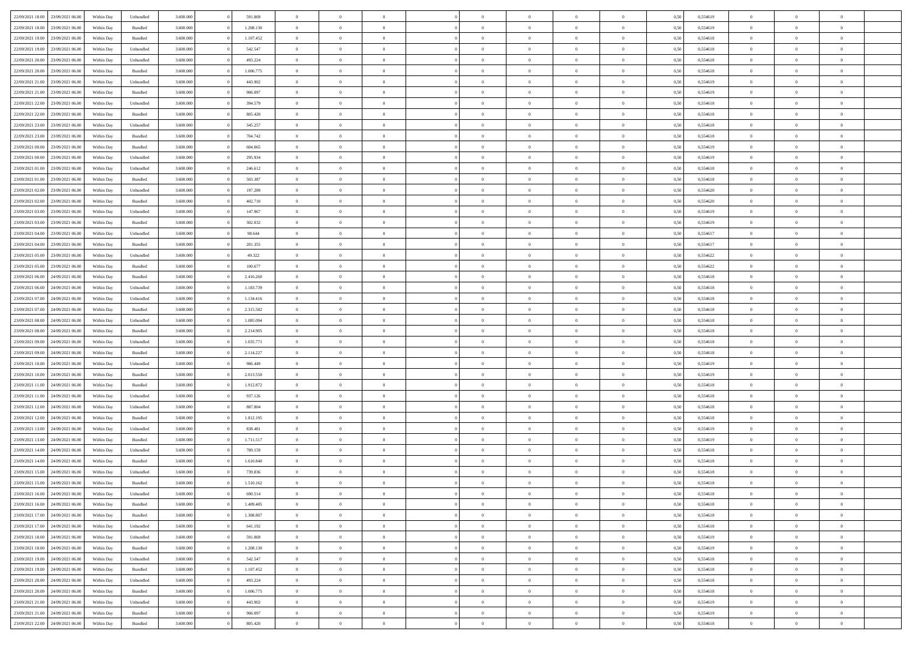|                                   | 23/09/2021 06:00 | Within Dav | Unbundled | 3.600.000 | 591.869   | $\overline{0}$ | $\Omega$       |                | $\Omega$       | $\Omega$       | $\Omega$       | $\theta$       | 0,50 | 0,554619 | $\theta$       | $\theta$       | $\theta$       |  |
|-----------------------------------|------------------|------------|-----------|-----------|-----------|----------------|----------------|----------------|----------------|----------------|----------------|----------------|------|----------|----------------|----------------|----------------|--|
| 22/09/2021 18:00                  |                  |            |           |           |           |                |                |                |                |                |                |                |      |          |                |                |                |  |
| 22/09/2021 18:00                  | 23/09/2021 06:00 | Within Day | Bundled   | 3.600.000 | 1.208.130 | $\overline{0}$ | $\theta$       | $\overline{0}$ | $\overline{0}$ | $\bf{0}$       | $\overline{0}$ | $\bf{0}$       | 0,50 | 0,554619 | $\theta$       | $\theta$       | $\overline{0}$ |  |
| 22/09/2021 19:00                  | 23/09/2021 06:00 | Within Day | Bundled   | 3.600.000 | 1.107.452 | $\overline{0}$ | $\overline{0}$ | $\overline{0}$ | $\bf{0}$       | $\bf{0}$       | $\bf{0}$       | $\bf{0}$       | 0,50 | 0,554618 | $\bf{0}$       | $\overline{0}$ | $\overline{0}$ |  |
| 22/09/2021 19:00                  | 23/09/2021 06:00 | Within Day | Unbundled | 3.600,000 | 542.547   | $\overline{0}$ | $\overline{0}$ | $\overline{0}$ | $\overline{0}$ | $\bf{0}$       | $\overline{0}$ | $\overline{0}$ | 0.50 | 0.554618 | $\theta$       | $\theta$       | $\overline{0}$ |  |
|                                   |                  |            |           |           |           | $\overline{0}$ | $\theta$       | $\overline{0}$ |                | $\bf{0}$       | $\overline{0}$ |                |      |          | $\theta$       | $\overline{0}$ | $\overline{0}$ |  |
| 22/09/2021 20:00                  | 23/09/2021 06:00 | Within Day | Unbundled | 3.600.000 | 493.224   |                |                |                | $\overline{0}$ |                |                | $\bf{0}$       | 0,50 | 0,554618 |                |                |                |  |
| 22/09/2021 20:00                  | 23/09/2021 06:00 | Within Day | Bundled   | 3.600.000 | 1.006.775 | $\overline{0}$ | $\overline{0}$ | $\overline{0}$ | $\bf{0}$       | $\overline{0}$ | $\overline{0}$ | $\mathbf{0}$   | 0,50 | 0,554618 | $\bf{0}$       | $\overline{0}$ | $\bf{0}$       |  |
| 22/09/2021 21:00                  | 23/09/2021 06:00 | Within Dav | Unbundled | 3.600.000 | 443.902   | $\overline{0}$ | $\overline{0}$ | $\overline{0}$ | $\overline{0}$ | $\overline{0}$ | $\overline{0}$ | $\overline{0}$ | 0.50 | 0,554619 | $\theta$       | $\overline{0}$ | $\overline{0}$ |  |
| 22/09/2021 21:00                  | 23/09/2021 06:00 | Within Day | Bundled   | 3.600.000 | 906.097   | $\overline{0}$ | $\theta$       | $\overline{0}$ | $\overline{0}$ | $\bf{0}$       | $\overline{0}$ | $\bf{0}$       | 0,50 | 0,554619 | $\theta$       | $\theta$       | $\overline{0}$ |  |
| 22/09/2021 22:00                  | 23/09/2021 06:00 | Within Day | Unbundled | 3.600.000 | 394.579   | $\overline{0}$ | $\overline{0}$ | $\overline{0}$ | $\bf{0}$       | $\bf{0}$       | $\bf{0}$       | $\bf{0}$       | 0,50 | 0,554618 | $\,0\,$        | $\overline{0}$ | $\overline{0}$ |  |
|                                   |                  |            |           |           |           |                | $\overline{0}$ |                |                | $\overline{0}$ |                |                |      |          | $\theta$       | $\overline{0}$ | $\overline{0}$ |  |
| 22/09/2021 22:00                  | 23/09/2021 06:00 | Within Dav | Bundled   | 3.600.000 | 805.420   | $\overline{0}$ |                | $\overline{0}$ | $\overline{0}$ |                | $\overline{0}$ | $\overline{0}$ | 0.50 | 0.554618 |                |                |                |  |
| 22/09/2021 23:00                  | 23/09/2021 06:00 | Within Day | Unbundled | 3.600.000 | 345.257   | $\overline{0}$ | $\theta$       | $\overline{0}$ | $\overline{0}$ | $\bf{0}$       | $\overline{0}$ | $\bf{0}$       | 0,50 | 0,554618 | $\,$ 0 $\,$    | $\overline{0}$ | $\overline{0}$ |  |
| 22/09/2021 23:00                  | 23/09/2021 06:00 | Within Day | Bundled   | 3.600.000 | 704.742   | $\overline{0}$ | $\overline{0}$ | $\overline{0}$ | $\bf{0}$       | $\bf{0}$       | $\bf{0}$       | $\mathbf{0}$   | 0,50 | 0,554618 | $\bf{0}$       | $\overline{0}$ | $\overline{0}$ |  |
| 23/09/2021 00:00                  | 23/09/2021 06:00 | Within Day | Bundled   | 3.600.000 | 604.065   | $\overline{0}$ | $\overline{0}$ | $\overline{0}$ | $\overline{0}$ | $\bf{0}$       | $\overline{0}$ | $\overline{0}$ | 0.50 | 0.554619 | $\theta$       | $\theta$       | $\overline{0}$ |  |
| 23/09/2021 00:00                  | 23/09/2021 06:00 | Within Day | Unbundled | 3.600.000 | 295.934   | $\overline{0}$ | $\theta$       | $\overline{0}$ | $\overline{0}$ | $\bf{0}$       | $\overline{0}$ | $\bf{0}$       | 0,50 | 0,554619 | $\theta$       | $\theta$       | $\overline{0}$ |  |
|                                   |                  |            |           |           |           |                |                |                |                |                |                |                |      |          |                |                |                |  |
| 23/09/2021 01:00                  | 23/09/2021 06:00 | Within Day | Unbundled | 3.600.000 | 246.612   | $\overline{0}$ | $\overline{0}$ | $\overline{0}$ | $\bf{0}$       | $\overline{0}$ | $\overline{0}$ | $\mathbf{0}$   | 0,50 | 0,554618 | $\bf{0}$       | $\overline{0}$ | $\bf{0}$       |  |
| 23/09/2021 01:00                  | 23/09/2021 06:00 | Within Dav | Bundled   | 3.600.000 | 503.387   | $\overline{0}$ | $\overline{0}$ | $\overline{0}$ | $\overline{0}$ | $\overline{0}$ | $\overline{0}$ | $\overline{0}$ | 0.50 | 0.554618 | $\theta$       | $\overline{0}$ | $\overline{0}$ |  |
| 23/09/2021 02:00                  | 23/09/2021 06:00 | Within Day | Unbundled | 3.600.000 | 197.289   | $\overline{0}$ | $\theta$       | $\overline{0}$ | $\overline{0}$ | $\bf{0}$       | $\overline{0}$ | $\bf{0}$       | 0,50 | 0,554620 | $\theta$       | $\theta$       | $\overline{0}$ |  |
| 23/09/2021 02:00                  | 23/09/2021 06:00 | Within Day | Bundled   | 3.600.000 | 402.710   | $\overline{0}$ | $\overline{0}$ | $\overline{0}$ | $\bf{0}$       | $\bf{0}$       | $\bf{0}$       | $\mathbf{0}$   | 0,50 | 0,554620 | $\,0\,$        | $\overline{0}$ | $\overline{0}$ |  |
| 23/09/2021 03:00                  | 23/09/2021 06:00 | Within Day | Unbundled | 3.600.000 | 147.967   | $\overline{0}$ | $\overline{0}$ | $\overline{0}$ | $\overline{0}$ | $\overline{0}$ | $\overline{0}$ | $\overline{0}$ | 0.50 | 0.554619 | $\theta$       | $\overline{0}$ | $\overline{0}$ |  |
| 23/09/2021 03:00                  | 23/09/2021 06:00 | Within Day | Bundled   | 3.600.000 | 302.032   | $\overline{0}$ | $\theta$       | $\overline{0}$ | $\overline{0}$ | $\bf{0}$       | $\overline{0}$ | $\bf{0}$       | 0,50 | 0,554619 | $\,$ 0 $\,$    | $\theta$       | $\overline{0}$ |  |
|                                   |                  |            |           |           |           |                |                |                |                |                |                |                |      |          |                |                |                |  |
| 23/09/2021 04:00                  | 23/09/2021 06:00 | Within Day | Unbundled | 3.600.000 | 98.644    | $\overline{0}$ | $\overline{0}$ | $\overline{0}$ | $\bf{0}$       | $\bf{0}$       | $\bf{0}$       | $\bf{0}$       | 0,50 | 0,554617 | $\bf{0}$       | $\overline{0}$ | $\overline{0}$ |  |
| 23/09/2021 04:00                  | 23/09/2021 06:00 | Within Day | Bundled   | 3.600,000 | 201.355   | $\overline{0}$ | $\overline{0}$ | $\overline{0}$ | $\overline{0}$ | $\bf{0}$       | $\overline{0}$ | $\overline{0}$ | 0.50 | 0.554617 | $\theta$       | $\overline{0}$ | $\overline{0}$ |  |
| 23/09/2021 05:00                  | 23/09/2021 06:00 | Within Day | Unbundled | 3.600.000 | 49.322    | $\overline{0}$ | $\theta$       | $\overline{0}$ | $\overline{0}$ | $\bf{0}$       | $\overline{0}$ | $\bf{0}$       | 0,50 | 0,554622 | $\,$ 0 $\,$    | $\overline{0}$ | $\overline{0}$ |  |
| 23/09/2021 05:00                  | 23/09/2021 06:00 | Within Day | Bundled   | 3.600.000 | 100.677   | $\overline{0}$ | $\overline{0}$ | $\overline{0}$ | $\bf{0}$       | $\overline{0}$ | $\overline{0}$ | $\mathbf{0}$   | 0,50 | 0,554622 | $\overline{0}$ | $\overline{0}$ | $\bf{0}$       |  |
| 23/09/2021 06:00                  | 24/09/2021 06:00 | Within Day | Bundled   | 3.600.000 | 2.416.260 | $\overline{0}$ | $\overline{0}$ | $\overline{0}$ | $\overline{0}$ | $\overline{0}$ | $\overline{0}$ | $\overline{0}$ | 0.50 | 0.554618 | $\theta$       | $\overline{0}$ | $\overline{0}$ |  |
| 23/09/2021 06:00                  | 24/09/2021 06.00 | Within Day | Unbundled | 3.600.000 | 1.183.739 | $\overline{0}$ | $\theta$       | $\overline{0}$ | $\overline{0}$ | $\bf{0}$       | $\overline{0}$ | $\bf{0}$       | 0,50 | 0,554618 | $\theta$       | $\theta$       | $\overline{0}$ |  |
|                                   | 24/09/2021 06:00 | Within Day | Unbundled | 3.600.000 | 1.134.416 | $\overline{0}$ | $\overline{0}$ | $\overline{0}$ | $\bf{0}$       | $\bf{0}$       | $\bf{0}$       | $\bf{0}$       | 0,50 | 0,554618 | $\,0\,$        | $\overline{0}$ | $\overline{0}$ |  |
| 23/09/2021 07:00                  |                  |            |           |           |           |                |                |                |                |                |                |                |      |          |                |                |                |  |
| 23/09/2021 07:00                  | 24/09/2021 06:00 | Within Day | Bundled   | 3.600.000 | 2.315.582 | $\overline{0}$ | $\overline{0}$ | $\overline{0}$ | $\overline{0}$ | $\overline{0}$ | $\overline{0}$ | $\overline{0}$ | 0.50 | 0.554618 | $\theta$       | $\overline{0}$ | $\overline{0}$ |  |
| 23/09/2021 08:00                  | 24/09/2021 06.00 | Within Day | Unbundled | 3.600.000 | 1.085.094 | $\overline{0}$ | $\theta$       | $\overline{0}$ | $\overline{0}$ | $\bf{0}$       | $\overline{0}$ | $\bf{0}$       | 0,50 | 0,554618 | $\,$ 0 $\,$    | $\overline{0}$ | $\overline{0}$ |  |
| 23/09/2021 08:00                  | 24/09/2021 06:00 | Within Day | Bundled   | 3.600.000 | 2.214.905 | $\overline{0}$ | $\overline{0}$ | $\overline{0}$ | $\bf{0}$       | $\bf{0}$       | $\bf{0}$       | $\bf{0}$       | 0,50 | 0,554618 | $\overline{0}$ | $\overline{0}$ | $\overline{0}$ |  |
| 23/09/2021 09:00                  | 24/09/2021 06.00 | Within Day | Unbundled | 3.600.000 | 1.035.771 | $\overline{0}$ | $\Omega$       | $\overline{0}$ | $\Omega$       | $\Omega$       | $\overline{0}$ | $\overline{0}$ | 0,50 | 0,554618 | $\,0\,$        | $\theta$       | $\theta$       |  |
| 23/09/2021 09:00                  | 24/09/2021 06.00 | Within Day | Bundled   | 3.600.000 | 2.114.227 | $\overline{0}$ | $\theta$       | $\overline{0}$ | $\overline{0}$ | $\bf{0}$       | $\overline{0}$ | $\bf{0}$       | 0,50 | 0,554618 | $\theta$       | $\theta$       | $\overline{0}$ |  |
| 23/09/2021 10:00                  | 24/09/2021 06:00 | Within Day | Unbundled | 3.600.000 | 986.449   | $\overline{0}$ | $\overline{0}$ | $\overline{0}$ | $\overline{0}$ | $\bf{0}$       | $\overline{0}$ | $\mathbf{0}$   | 0,50 | 0,554619 | $\overline{0}$ | $\overline{0}$ | $\bf{0}$       |  |
|                                   |                  |            |           |           |           |                |                |                |                |                |                |                |      |          |                |                |                |  |
| 23/09/2021 10:00                  | 24/09/2021 06:00 | Within Day | Bundled   | 3.600,000 | 2.013.550 | $\overline{0}$ | $\Omega$       | $\Omega$       | $\Omega$       | $\bf{0}$       | $\overline{0}$ | $\overline{0}$ | 0.50 | 0.554619 | $\theta$       | $\theta$       | $\theta$       |  |
| 23/09/2021 11:00                  | 24/09/2021 06.00 | Within Day | Bundled   | 3.600.000 | 1.912.872 | $\overline{0}$ | $\theta$       | $\overline{0}$ | $\overline{0}$ | $\bf{0}$       | $\overline{0}$ | $\bf{0}$       | 0,50 | 0,554618 | $\,$ 0 $\,$    | $\overline{0}$ | $\overline{0}$ |  |
| 23/09/2021 11:00                  | 24/09/2021 06:00 | Within Day | Unbundled | 3.600.000 | 937.126   | $\overline{0}$ | $\overline{0}$ | $\overline{0}$ | $\overline{0}$ | $\bf{0}$       | $\overline{0}$ | $\bf{0}$       | 0,50 | 0,554618 | $\,0\,$        | $\overline{0}$ | $\overline{0}$ |  |
| 23/09/2021 12:00                  | 24/09/2021 06:00 | Within Day | Unbundled | 3.600,000 | 887.804   | $\overline{0}$ | $\Omega$       | $\overline{0}$ | $\Omega$       | $\theta$       | $\overline{0}$ | $\overline{0}$ | 0.50 | 0.554618 | $\,0\,$        | $\theta$       | $\theta$       |  |
| 23/09/2021 12:00                  | 24/09/2021 06.00 | Within Day | Bundled   | 3.600.000 | 1.812.195 | $\overline{0}$ | $\theta$       | $\overline{0}$ | $\overline{0}$ | $\bf{0}$       | $\overline{0}$ | $\bf{0}$       | 0,50 | 0,554618 | $\,$ 0 $\,$    | $\overline{0}$ | $\overline{0}$ |  |
|                                   |                  |            |           |           |           |                | $\overline{0}$ |                |                | $\bf{0}$       |                |                |      |          |                | $\overline{0}$ | $\overline{0}$ |  |
| 23/09/2021 13:00                  | 24/09/2021 06:00 | Within Day | Unbundled | 3.600.000 | 838.481   | $\overline{0}$ |                | $\overline{0}$ | $\overline{0}$ |                | $\overline{0}$ | $\bf{0}$       | 0,50 | 0,554619 | $\overline{0}$ |                |                |  |
| 23/09/2021 13:00                  | 24/09/2021 06.00 | Within Day | Bundled   | 3.600.000 | 1.711.517 | $\overline{0}$ | $\Omega$       | $\overline{0}$ | $\Omega$       | $\overline{0}$ | $\overline{0}$ | $\overline{0}$ | 0,50 | 0,554619 | $\,0\,$        | $\theta$       | $\theta$       |  |
| 23/09/2021 14:00                  | 24/09/2021 06.00 | Within Day | Unbundled | 3.600.000 | 789.159   | $\overline{0}$ | $\theta$       | $\overline{0}$ | $\overline{0}$ | $\,$ 0         | $\overline{0}$ | $\bf{0}$       | 0,50 | 0,554618 | $\,$ 0 $\,$    | $\overline{0}$ | $\overline{0}$ |  |
| 23/09/2021 14:00                  | 24/09/2021 06:00 | Within Day | Bundled   | 3.600.000 | 1.610.840 | $\overline{0}$ | $\overline{0}$ | $\overline{0}$ | $\overline{0}$ | $\bf{0}$       | $\overline{0}$ | $\mathbf{0}$   | 0,50 | 0,554618 | $\overline{0}$ | $\overline{0}$ | $\bf{0}$       |  |
| 23/09/2021 15:00                  | 24/09/2021 06:00 | Within Day | Unbundled | 3.600,000 | 739.836   | $\overline{0}$ | $\Omega$       | $\Omega$       | $\Omega$       | $\Omega$       | $\Omega$       | $\overline{0}$ | 0.50 | 0.554618 | $\theta$       | $\theta$       | $\theta$       |  |
| 23/09/2021 15:00                  | 24/09/2021 06:00 | Within Day | Bundled   | 3.600.000 | 1.510.162 | $\overline{0}$ | $\overline{0}$ | $\overline{0}$ | $\bf{0}$       | $\,$ 0         | $\overline{0}$ | $\bf{0}$       | 0,50 | 0,554618 | $\,0\,$        | $\overline{0}$ | $\overline{0}$ |  |
| 23/09/2021 16:00 24/09/2021 06:00 |                  | Within Day | Unbundled | 3.600.000 | 690.514   | $\bf{0}$       | $\bf{0}$       |                |                |                |                |                | 0,50 | 0,554618 | $\bf{0}$       | $\overline{0}$ |                |  |
|                                   |                  |            |           |           |           |                |                |                |                |                |                |                |      |          |                |                | $\theta$       |  |
| 23/09/2021 16:00                  | 24/09/2021 06:00 | Within Day | Bundled   | 3.600,000 | 1.409.485 | $\overline{0}$ | $\overline{0}$ | $\overline{0}$ | $\Omega$       | $\overline{0}$ | $\overline{0}$ | $\overline{0}$ | 0,50 | 0.554618 | $\theta$       | $\theta$       |                |  |
| 23/09/2021 17:00                  | 24/09/2021 06.00 | Within Day | Bundled   | 3.600.000 | 1.308.807 | $\overline{0}$ | $\bf{0}$       | $\overline{0}$ | $\overline{0}$ | $\,$ 0 $\,$    | $\overline{0}$ | $\,$ 0 $\,$    | 0,50 | 0,554618 | $\,$ 0 $\,$    | $\,$ 0 $\,$    | $\,$ 0         |  |
| 23/09/2021 17:00                  | 24/09/2021 06:00 | Within Day | Unbundled | 3.600.000 | 641.192   | $\overline{0}$ | $\overline{0}$ | $\overline{0}$ | $\overline{0}$ | $\overline{0}$ | $\overline{0}$ | $\mathbf{0}$   | 0,50 | 0,554618 | $\overline{0}$ | $\bf{0}$       | $\overline{0}$ |  |
| 23/09/2021 18:00                  | 24/09/2021 06.00 | Within Day | Unbundled | 3.600.000 | 591.869   | $\overline{0}$ | $\overline{0}$ | $\overline{0}$ | $\Omega$       | $\overline{0}$ | $\overline{0}$ | $\overline{0}$ | 0,50 | 0,554619 | $\overline{0}$ | $\theta$       | $\overline{0}$ |  |
| 23/09/2021 18:00                  | 24/09/2021 06.00 | Within Day | Bundled   | 3.600.000 | 1.208.130 | $\overline{0}$ | $\,$ 0         | $\overline{0}$ | $\bf{0}$       | $\,$ 0 $\,$    | $\overline{0}$ | $\mathbf{0}$   | 0,50 | 0,554619 | $\,$ 0 $\,$    | $\overline{0}$ | $\overline{0}$ |  |
| 23/09/2021 19:00                  | 24/09/2021 06:00 | Within Day | Unbundled | 3.600.000 | 542.547   | $\overline{0}$ | $\overline{0}$ | $\overline{0}$ | $\overline{0}$ | $\overline{0}$ | $\overline{0}$ | $\mathbf{0}$   | 0,50 | 0,554618 | $\overline{0}$ | $\overline{0}$ | $\overline{0}$ |  |
| 23/09/2021 19:00                  | 24/09/2021 06:00 | Within Day | Bundled   | 3.600,000 | 1.107.452 | $\overline{0}$ | $\overline{0}$ | $\overline{0}$ | $\overline{0}$ | $\overline{0}$ | $\overline{0}$ | $\bf{0}$       | 0.50 | 0,554618 | $\overline{0}$ | $\theta$       | $\overline{0}$ |  |
|                                   |                  |            |           |           |           |                |                |                |                |                |                |                |      |          |                |                |                |  |
| 23/09/2021 20:00                  | 24/09/2021 06.00 | Within Day | Unbundled | 3.600.000 | 493.224   | $\overline{0}$ | $\,$ 0         | $\overline{0}$ | $\bf{0}$       | $\bf{0}$       | $\bf{0}$       | $\bf{0}$       | 0,50 | 0,554618 | $\,$ 0 $\,$    | $\overline{0}$ | $\overline{0}$ |  |
| 23/09/2021 20:00                  | 24/09/2021 06:00 | Within Day | Bundled   | 3.600.000 | 1.006.775 | $\overline{0}$ | $\overline{0}$ | $\overline{0}$ | $\overline{0}$ | $\overline{0}$ | $\overline{0}$ | $\mathbf{0}$   | 0,50 | 0,554618 | $\overline{0}$ | $\overline{0}$ | $\bf{0}$       |  |
| 23/09/2021 21:00                  | 24/09/2021 06:00 | Within Day | Unbundled | 3.600,000 | 443.902   | $\overline{0}$ | $\overline{0}$ | $\overline{0}$ | $\Omega$       | $\overline{0}$ | $\overline{0}$ | $\overline{0}$ | 0.50 | 0,554619 | $\overline{0}$ | $\overline{0}$ | $\overline{0}$ |  |
| 23/09/2021 21:00                  | 24/09/2021 06.00 | Within Day | Bundled   | 3.600.000 | 906.097   | $\overline{0}$ | $\bf{0}$       | $\overline{0}$ | $\bf{0}$       | $\bf{0}$       | $\bf{0}$       | $\mathbf{0}$   | 0,50 | 0,554619 | $\,$ 0 $\,$    | $\,$ 0 $\,$    | $\bf{0}$       |  |
| 23/09/2021 22.00 24/09/2021 06:00 |                  | Within Day | Bundled   | 3.600.000 | 805.420   | $\overline{0}$ | $\overline{0}$ | $\overline{0}$ | $\overline{0}$ | $\overline{0}$ | $\bf{0}$       | $\mathbf{0}$   | 0,50 | 0,554618 | $\overline{0}$ | $\bf{0}$       | $\overline{0}$ |  |
|                                   |                  |            |           |           |           |                |                |                |                |                |                |                |      |          |                |                |                |  |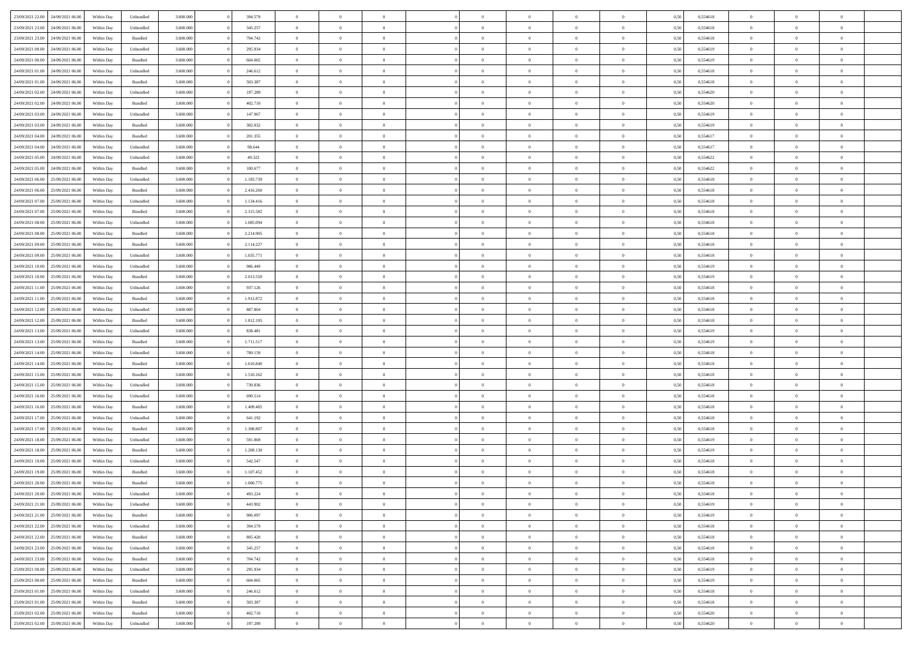| 23/09/2021 22:00                  | 24/09/2021 06:00 | Within Day | Unbundled          | 3.600.000 | 394.579   | $\overline{0}$ | $\Omega$       |                | $\Omega$       | $\Omega$       | $\Omega$       | $\theta$       | 0,50 | 0,554618 | $\theta$       | $\theta$       | $\theta$       |  |
|-----------------------------------|------------------|------------|--------------------|-----------|-----------|----------------|----------------|----------------|----------------|----------------|----------------|----------------|------|----------|----------------|----------------|----------------|--|
| 23/09/2021 23:00                  | 24/09/2021 06.00 | Within Day | Unbundled          | 3.600.000 | 345.257   | $\overline{0}$ | $\theta$       | $\overline{0}$ | $\overline{0}$ | $\bf{0}$       | $\overline{0}$ | $\bf{0}$       | 0,50 | 0,554618 | $\theta$       | $\theta$       | $\overline{0}$ |  |
| 23/09/2021 23:00                  | 24/09/2021 06:00 | Within Day | Bundled            | 3.600.000 | 704.742   | $\overline{0}$ | $\overline{0}$ | $\overline{0}$ | $\bf{0}$       | $\bf{0}$       | $\bf{0}$       | $\bf{0}$       | 0,50 | 0,554618 | $\bf{0}$       | $\overline{0}$ | $\overline{0}$ |  |
| 24/09/2021 00:00                  | 24/09/2021 06:00 | Within Day | Unbundled          | 3.600.000 | 295.934   | $\overline{0}$ | $\overline{0}$ | $\overline{0}$ | $\overline{0}$ | $\bf{0}$       | $\overline{0}$ | $\overline{0}$ | 0.50 | 0.554619 | $\theta$       | $\theta$       | $\overline{0}$ |  |
| 24/09/2021 00:00                  | 24/09/2021 06.00 | Within Day | Bundled            | 3.600.000 | 604.065   | $\overline{0}$ | $\theta$       | $\overline{0}$ | $\overline{0}$ | $\bf{0}$       | $\overline{0}$ | $\bf{0}$       | 0,50 | 0,554619 | $\theta$       | $\theta$       | $\overline{0}$ |  |
|                                   |                  |            |                    |           |           |                |                |                |                |                |                |                |      |          |                |                |                |  |
| 24/09/2021 01:00                  | 24/09/2021 06:00 | Within Day | Unbundled          | 3.600.000 | 246.612   | $\overline{0}$ | $\bf{0}$       | $\overline{0}$ | $\bf{0}$       | $\overline{0}$ | $\overline{0}$ | $\mathbf{0}$   | 0,50 | 0,554618 | $\bf{0}$       | $\overline{0}$ | $\bf{0}$       |  |
| 24/09/2021 01:00                  | 24/09/2021 06:00 | Within Dav | Bundled            | 3.600.000 | 503.387   | $\overline{0}$ | $\overline{0}$ | $\overline{0}$ | $\overline{0}$ | $\overline{0}$ | $\overline{0}$ | $\overline{0}$ | 0.50 | 0.554618 | $\theta$       | $\overline{0}$ | $\overline{0}$ |  |
| 24/09/2021 02:00                  | 24/09/2021 06.00 | Within Day | Unbundled          | 3.600.000 | 197.289   | $\overline{0}$ | $\theta$       | $\overline{0}$ | $\overline{0}$ | $\bf{0}$       | $\overline{0}$ | $\bf{0}$       | 0,50 | 0,554620 | $\theta$       | $\theta$       | $\overline{0}$ |  |
| 24/09/2021 02:00                  | 24/09/2021 06:00 | Within Day | Bundled            | 3.600.000 | 402.710   | $\overline{0}$ | $\overline{0}$ | $\overline{0}$ | $\bf{0}$       | $\bf{0}$       | $\bf{0}$       | $\bf{0}$       | 0,50 | 0,554620 | $\,0\,$        | $\overline{0}$ | $\overline{0}$ |  |
| 24/09/2021 03:00                  | 24/09/2021 06:00 | Within Dav | Unbundled          | 3.600.000 | 147.967   | $\overline{0}$ | $\overline{0}$ | $\overline{0}$ | $\overline{0}$ | $\overline{0}$ | $\overline{0}$ | $\overline{0}$ | 0.50 | 0.554619 | $\theta$       | $\overline{0}$ | $\overline{0}$ |  |
| 24/09/2021 03:00                  | 24/09/2021 06.00 | Within Day | Bundled            | 3.600.000 | 302.032   | $\overline{0}$ | $\theta$       | $\overline{0}$ | $\overline{0}$ | $\bf{0}$       | $\overline{0}$ | $\bf{0}$       | 0,50 | 0,554619 | $\theta$       | $\theta$       | $\overline{0}$ |  |
| 24/09/2021 04:00                  | 24/09/2021 06:00 | Within Day | Bundled            | 3.600.000 | 201.355   | $\overline{0}$ | $\overline{0}$ | $\overline{0}$ | $\bf{0}$       | $\bf{0}$       | $\bf{0}$       | $\bf{0}$       | 0,50 | 0,554617 | $\overline{0}$ | $\overline{0}$ | $\overline{0}$ |  |
|                                   |                  |            |                    |           |           |                |                |                |                |                |                |                |      |          |                |                |                |  |
| 24/09/2021 04:00                  | 24/09/2021 06:00 | Within Day | Unbundled          | 3.600.000 | 98.644    | $\overline{0}$ | $\overline{0}$ | $\overline{0}$ | $\overline{0}$ | $\bf{0}$       | $\overline{0}$ | $\overline{0}$ | 0.50 | 0.554617 | $\theta$       | $\theta$       | $\overline{0}$ |  |
| 24/09/2021 05:00                  | 24/09/2021 06.00 | Within Day | Unbundled          | 3.600.000 | 49.322    | $\overline{0}$ | $\theta$       | $\overline{0}$ | $\overline{0}$ | $\bf{0}$       | $\overline{0}$ | $\bf{0}$       | 0,50 | 0,554622 | $\theta$       | $\theta$       | $\overline{0}$ |  |
| 24/09/2021 05:00                  | 24/09/2021 06:00 | Within Day | Bundled            | 3.600.000 | 100.677   | $\overline{0}$ | $\overline{0}$ | $\overline{0}$ | $\bf{0}$       | $\overline{0}$ | $\overline{0}$ | $\mathbf{0}$   | 0,50 | 0,554622 | $\overline{0}$ | $\overline{0}$ | $\bf{0}$       |  |
| 24/09/2021 06:00                  | 25/09/2021 06:00 | Within Dav | Unbundled          | 3.600.000 | 1.183.739 | $\overline{0}$ | $\overline{0}$ | $\overline{0}$ | $\overline{0}$ | $\overline{0}$ | $\overline{0}$ | $\overline{0}$ | 0.50 | 0.554618 | $\theta$       | $\overline{0}$ | $\overline{0}$ |  |
| 24/09/2021 06:00                  | 25/09/2021 06:00 | Within Day | Bundled            | 3.600.000 | 2.416.260 | $\overline{0}$ | $\theta$       | $\overline{0}$ | $\overline{0}$ | $\bf{0}$       | $\overline{0}$ | $\bf{0}$       | 0,50 | 0,554618 | $\theta$       | $\theta$       | $\overline{0}$ |  |
| 24/09/2021 07:00                  | 25/09/2021 06:00 | Within Day | Unbundled          | 3.600.000 | 1.134.416 | $\overline{0}$ | $\overline{0}$ | $\overline{0}$ | $\bf{0}$       | $\bf{0}$       | $\bf{0}$       | $\bf{0}$       | 0,50 | 0,554618 | $\,0\,$        | $\overline{0}$ | $\overline{0}$ |  |
| 24/09/2021 07:00                  | 25/09/2021 06:00 |            | Bundled            | 3.600.000 | 2.315.582 | $\overline{0}$ | $\overline{0}$ | $\overline{0}$ | $\overline{0}$ | $\overline{0}$ | $\overline{0}$ | $\overline{0}$ | 0.50 | 0,554618 | $\theta$       | $\overline{0}$ | $\overline{0}$ |  |
|                                   |                  | Within Day |                    |           |           |                |                |                |                |                |                |                |      |          |                |                |                |  |
| 24/09/2021 08:00                  | 25/09/2021 06:00 | Within Day | Unbundled          | 3.600.000 | 1.085.094 | $\overline{0}$ | $\theta$       | $\overline{0}$ | $\overline{0}$ | $\bf{0}$       | $\overline{0}$ | $\bf{0}$       | 0,50 | 0,554618 | $\,$ 0 $\,$    | $\theta$       | $\overline{0}$ |  |
| 24/09/2021 08:00                  | 25/09/2021 06:00 | Within Day | Bundled            | 3.600.000 | 2.214.905 | $\overline{0}$ | $\overline{0}$ | $\overline{0}$ | $\bf{0}$       | $\bf{0}$       | $\bf{0}$       | $\bf{0}$       | 0,50 | 0,554618 | $\bf{0}$       | $\overline{0}$ | $\overline{0}$ |  |
| 24/09/2021 09:00                  | 25/09/2021 06:00 | Within Day | Bundled            | 3.600,000 | 2.114.227 | $\overline{0}$ | $\overline{0}$ | $\overline{0}$ | $\overline{0}$ | $\bf{0}$       | $\overline{0}$ | $\overline{0}$ | 0.50 | 0.554618 | $\theta$       | $\theta$       | $\overline{0}$ |  |
| 24/09/2021 09:00                  | 25/09/2021 06:00 | Within Day | Unbundled          | 3.600.000 | 1.035.771 | $\overline{0}$ | $\theta$       | $\overline{0}$ | $\overline{0}$ | $\bf{0}$       | $\overline{0}$ | $\bf{0}$       | 0,50 | 0,554618 | $\theta$       | $\overline{0}$ | $\overline{0}$ |  |
| 24/09/2021 10:00                  | 25/09/2021 06:00 | Within Day | Unbundled          | 3.600.000 | 986.449   | $\overline{0}$ | $\bf{0}$       | $\overline{0}$ | $\bf{0}$       | $\overline{0}$ | $\overline{0}$ | $\mathbf{0}$   | 0,50 | 0,554619 | $\overline{0}$ | $\overline{0}$ | $\bf{0}$       |  |
| 24/09/2021 10:00                  | 25/09/2021 06:00 | Within Dav | Bundled            | 3.600.000 | 2.013.550 | $\overline{0}$ | $\overline{0}$ | $\overline{0}$ | $\overline{0}$ | $\overline{0}$ | $\overline{0}$ | $\overline{0}$ | 0.50 | 0,554619 | $\theta$       | $\overline{0}$ | $\overline{0}$ |  |
|                                   |                  |            |                    |           |           | $\overline{0}$ | $\theta$       | $\overline{0}$ |                | $\bf{0}$       | $\overline{0}$ |                |      |          | $\theta$       | $\theta$       | $\overline{0}$ |  |
| 24/09/2021 11:00                  | 25/09/2021 06.00 | Within Day | Unbundled          | 3.600.000 | 937.126   |                |                |                | $\overline{0}$ |                |                | $\bf{0}$       | 0,50 | 0,554618 |                |                |                |  |
| 24/09/2021 11:00                  | 25/09/2021 06:00 | Within Day | Bundled            | 3.600.000 | 1.912.872 | $\overline{0}$ | $\overline{0}$ | $\overline{0}$ | $\bf{0}$       | $\bf{0}$       | $\bf{0}$       | $\bf{0}$       | 0,50 | 0,554618 | $\,0\,$        | $\overline{0}$ | $\overline{0}$ |  |
| 24/09/2021 12:00                  | 25/09/2021 06:00 | Within Day | Unbundled          | 3.600.000 | 887.804   | $\overline{0}$ | $\overline{0}$ | $\overline{0}$ | $\overline{0}$ | $\overline{0}$ | $\overline{0}$ | $\overline{0}$ | 0.50 | 0.554618 | $\theta$       | $\overline{0}$ | $\overline{0}$ |  |
| 24/09/2021 12:00                  | 25/09/2021 06.00 | Within Day | Bundled            | 3.600.000 | 1.812.195 | $\overline{0}$ | $\theta$       | $\overline{0}$ | $\overline{0}$ | $\bf{0}$       | $\overline{0}$ | $\bf{0}$       | 0,50 | 0,554618 | $\,$ 0 $\,$    | $\overline{0}$ | $\overline{0}$ |  |
| 24/09/2021 13:00                  | 25/09/2021 06:00 | Within Day | Unbundled          | 3.600.000 | 838.481   | $\overline{0}$ | $\overline{0}$ | $\overline{0}$ | $\bf{0}$       | $\bf{0}$       | $\bf{0}$       | $\bf{0}$       | 0,50 | 0,554619 | $\overline{0}$ | $\overline{0}$ | $\overline{0}$ |  |
| 24/09/2021 13:00                  | 25/09/2021 06:00 | Within Day | Bundled            | 3.600.000 | 1.711.517 | $\overline{0}$ | $\Omega$       | $\Omega$       | $\Omega$       | $\Omega$       | $\Omega$       | $\overline{0}$ | 0,50 | 0,554619 | $\,0\,$        | $\theta$       | $\theta$       |  |
| 24/09/2021 14:00                  | 25/09/2021 06:00 | Within Day | Unbundled          | 3.600.000 | 789.159   | $\overline{0}$ | $\theta$       | $\overline{0}$ | $\overline{0}$ | $\bf{0}$       | $\overline{0}$ | $\bf{0}$       | 0,50 | 0,554618 | $\theta$       | $\theta$       | $\overline{0}$ |  |
|                                   |                  |            |                    |           |           |                |                |                |                |                |                |                |      |          |                |                |                |  |
| 24/09/2021 14:00                  | 25/09/2021 06:00 | Within Day | Bundled            | 3.600.000 | 1.610.840 | $\overline{0}$ | $\overline{0}$ | $\overline{0}$ | $\bf{0}$       | $\bf{0}$       | $\overline{0}$ | $\mathbf{0}$   | 0,50 | 0,554618 | $\overline{0}$ | $\overline{0}$ | $\bf{0}$       |  |
| 24/09/2021 15:00                  | 25/09/2021 06:00 | Within Day | Bundled            | 3.600,000 | 1.510.162 | $\overline{0}$ | $\Omega$       | $\Omega$       | $\Omega$       | $\bf{0}$       | $\overline{0}$ | $\overline{0}$ | 0.50 | 0.554618 | $\theta$       | $\theta$       | $\theta$       |  |
| 24/09/2021 15:00                  | 25/09/2021 06.00 | Within Day | Unbundled          | 3.600.000 | 739.836   | $\overline{0}$ | $\theta$       | $\overline{0}$ | $\overline{0}$ | $\bf{0}$       | $\overline{0}$ | $\bf{0}$       | 0,50 | 0,554618 | $\theta$       | $\theta$       | $\overline{0}$ |  |
| 24/09/2021 16:00                  | 25/09/2021 06:00 | Within Day | Unbundled          | 3.600.000 | 690.514   | $\overline{0}$ | $\overline{0}$ | $\overline{0}$ | $\bf{0}$       | $\bf{0}$       | $\bf{0}$       | $\bf{0}$       | 0,50 | 0,554618 | $\,0\,$        | $\overline{0}$ | $\overline{0}$ |  |
| 24/09/2021 16:00                  | 25/09/2021 06:00 | Within Day | Bundled            | 3.600,000 | 1.409.485 | $\overline{0}$ | $\Omega$       | $\Omega$       | $\Omega$       | $\theta$       | $\theta$       | $\overline{0}$ | 0.50 | 0.554618 | $\theta$       | $\theta$       | $\theta$       |  |
| 24/09/2021 17:00                  | 25/09/2021 06:00 | Within Day | Unbundled          | 3.600.000 | 641.192   | $\overline{0}$ | $\theta$       | $\overline{0}$ | $\overline{0}$ | $\bf{0}$       | $\overline{0}$ | $\bf{0}$       | 0,50 | 0,554618 | $\,$ 0 $\,$    | $\overline{0}$ | $\overline{0}$ |  |
| 24/09/2021 17:00                  | 25/09/2021 06:00 | Within Day | Bundled            | 3.600.000 | 1.308.807 | $\overline{0}$ | $\overline{0}$ | $\overline{0}$ | $\bf{0}$       | $\bf{0}$       | $\bf{0}$       | $\bf{0}$       | 0,50 | 0,554618 | $\overline{0}$ | $\overline{0}$ | $\overline{0}$ |  |
|                                   |                  |            |                    |           |           | $\overline{0}$ | $\Omega$       | $\overline{0}$ | $\Omega$       | $\Omega$       | $\overline{0}$ | $\overline{0}$ |      |          | $\,0\,$        | $\theta$       | $\theta$       |  |
| 24/09/2021 18:00                  | 25/09/2021 06:00 | Within Day | Unbundled          | 3.600.000 | 591.869   |                |                |                |                |                |                |                | 0,50 | 0,554619 |                |                |                |  |
| 24/09/2021 18:00                  | 25/09/2021 06:00 | Within Day | Bundled            | 3.600.000 | 1.208.130 | $\overline{0}$ | $\theta$       | $\overline{0}$ | $\overline{0}$ | $\bf{0}$       | $\overline{0}$ | $\bf{0}$       | 0,50 | 0,554619 | $\,$ 0 $\,$    | $\overline{0}$ | $\overline{0}$ |  |
| 24/09/2021 19:00                  | 25/09/2021 06:00 | Within Day | Unbundled          | 3.600.000 | 542.547   | $\overline{0}$ | $\overline{0}$ | $\overline{0}$ | $\bf{0}$       | $\bf{0}$       | $\bf{0}$       | $\mathbf{0}$   | 0,50 | 0,554618 | $\overline{0}$ | $\overline{0}$ | $\bf{0}$       |  |
| 24/09/2021 19:00                  | 25/09/2021 06:00 | Within Day | Bundled            | 3.600,000 | 1.107.452 | $\overline{0}$ | $\Omega$       | $\Omega$       | $\Omega$       | $\Omega$       | $\Omega$       | $\overline{0}$ | 0.50 | 0.554618 | $\theta$       | $\theta$       | $\theta$       |  |
| 24/09/2021 20:00                  | 25/09/2021 06:00 | Within Day | Bundled            | 3.600.000 | 1.006.775 | $\overline{0}$ | $\overline{0}$ | $\overline{0}$ | $\bf{0}$       | $\,$ 0         | $\overline{0}$ | $\bf{0}$       | 0,50 | 0,554618 | $\,0\,$        | $\overline{0}$ | $\overline{0}$ |  |
| 24/09/2021 20:00                  | 25/09/2021 06:00 | Within Day | Unbundled          | 3.600.000 | 493.224   | $\bf{0}$       | $\bf{0}$       |                |                |                |                |                | 0,50 | 0,554618 | $\bf{0}$       | $\overline{0}$ |                |  |
| 24/09/2021 21:00                  | 25/09/2021 06:00 | Within Day | Unbundled          | 3.600,000 | 443.902   | $\overline{0}$ | $\overline{0}$ | $\overline{0}$ | $\Omega$       | $\overline{0}$ | $\overline{0}$ | $\overline{0}$ | 0.50 | 0.554619 | $\theta$       | $\theta$       | $\theta$       |  |
| 24/09/2021 21:00                  | 25/09/2021 06.00 | Within Day | Bundled            | 3.600.000 | 906.097   | $\overline{0}$ | $\bf{0}$       | $\overline{0}$ | $\overline{0}$ | $\,$ 0 $\,$    | $\overline{0}$ | $\mathbf{0}$   | 0,50 | 0,554619 | $\,$ 0 $\,$    | $\,$ 0 $\,$    | $\,$ 0         |  |
| 24/09/2021 22.00                  | 25/09/2021 06:00 | Within Day | Unbundled          | 3.600.000 | 394.579   | $\overline{0}$ | $\overline{0}$ | $\overline{0}$ | $\overline{0}$ | $\overline{0}$ | $\overline{0}$ | $\mathbf{0}$   | 0,50 | 0,554618 | $\overline{0}$ | $\bf{0}$       | $\overline{0}$ |  |
|                                   |                  |            |                    |           |           |                |                |                |                |                |                |                |      |          |                |                |                |  |
| 24/09/2021 22:00                  | 25/09/2021 06:00 | Within Day | $\mathbf B$ undled | 3.600.000 | 805.420   | $\overline{0}$ | $\overline{0}$ | $\overline{0}$ | $\Omega$       | $\overline{0}$ | $\overline{0}$ | $\overline{0}$ | 0,50 | 0,554618 | $\overline{0}$ | $\theta$       | $\overline{0}$ |  |
| 24/09/2021 23:00                  | 25/09/2021 06.00 | Within Day | Unbundled          | 3.600.000 | 345.257   | $\overline{0}$ | $\,$ 0         | $\overline{0}$ | $\overline{0}$ | $\,$ 0 $\,$    | $\overline{0}$ | $\mathbf{0}$   | 0,50 | 0,554618 | $\,$ 0 $\,$    | $\overline{0}$ | $\overline{0}$ |  |
| 24/09/2021 23.00                  | 25/09/2021 06:00 | Within Day | Bundled            | 3.600.000 | 704.742   | $\overline{0}$ | $\overline{0}$ | $\overline{0}$ | $\overline{0}$ | $\overline{0}$ | $\overline{0}$ | $\mathbf{0}$   | 0,50 | 0,554618 | $\overline{0}$ | $\overline{0}$ | $\overline{0}$ |  |
| 25/09/2021 00:00                  | 25/09/2021 06:00 | Within Day | Unbundled          | 3.600.000 | 295.934   | $\overline{0}$ | $\overline{0}$ | $\overline{0}$ | $\Omega$       | $\overline{0}$ | $\overline{0}$ | $\bf{0}$       | 0.50 | 0,554619 | $\overline{0}$ | $\theta$       | $\overline{0}$ |  |
| 25/09/2021 00:00                  | 25/09/2021 06.00 | Within Day | Bundled            | 3.600.000 | 604.065   | $\overline{0}$ | $\,$ 0         | $\overline{0}$ | $\overline{0}$ | $\bf{0}$       | $\overline{0}$ | $\bf{0}$       | 0,50 | 0,554619 | $\,$ 0 $\,$    | $\overline{0}$ | $\overline{0}$ |  |
| 25/09/2021 01:00                  | 25/09/2021 06:00 | Within Day | Unbundled          | 3.600.000 | 246.612   | $\overline{0}$ | $\bf{0}$       | $\overline{0}$ | $\overline{0}$ | $\overline{0}$ | $\overline{0}$ | $\mathbf{0}$   | 0,50 | 0,554618 | $\overline{0}$ | $\overline{0}$ | $\bf{0}$       |  |
|                                   |                  |            |                    |           |           |                |                |                |                |                |                |                |      |          |                |                |                |  |
| 25/09/2021 01:00                  | 25/09/2021 06:00 | Within Day | Bundled            | 3.600,000 | 503,387   | $\overline{0}$ | $\overline{0}$ | $\overline{0}$ | $\Omega$       | $\overline{0}$ | $\overline{0}$ | $\overline{0}$ | 0.50 | 0,554618 | $\overline{0}$ | $\overline{0}$ | $\overline{0}$ |  |
| 25/09/2021 02:00                  | 25/09/2021 06.00 | Within Day | Bundled            | 3.600.000 | 402.710   | $\overline{0}$ | $\bf{0}$       | $\overline{0}$ | $\overline{0}$ | $\bf{0}$       | $\overline{0}$ | $\mathbf{0}$   | 0,50 | 0,554620 | $\,$ 0 $\,$    | $\,$ 0 $\,$    | $\bf{0}$       |  |
| 25/09/2021 02:00 25/09/2021 06:00 |                  | Within Day | Unbundled          | 3.600.000 | 197.289   | $\overline{0}$ | $\bf{0}$       | $\overline{0}$ | $\overline{0}$ | $\bf{0}$       | $\overline{0}$ | $\bf{0}$       | 0,50 | 0,554620 | $\overline{0}$ | $\overline{0}$ | $\bf{0}$       |  |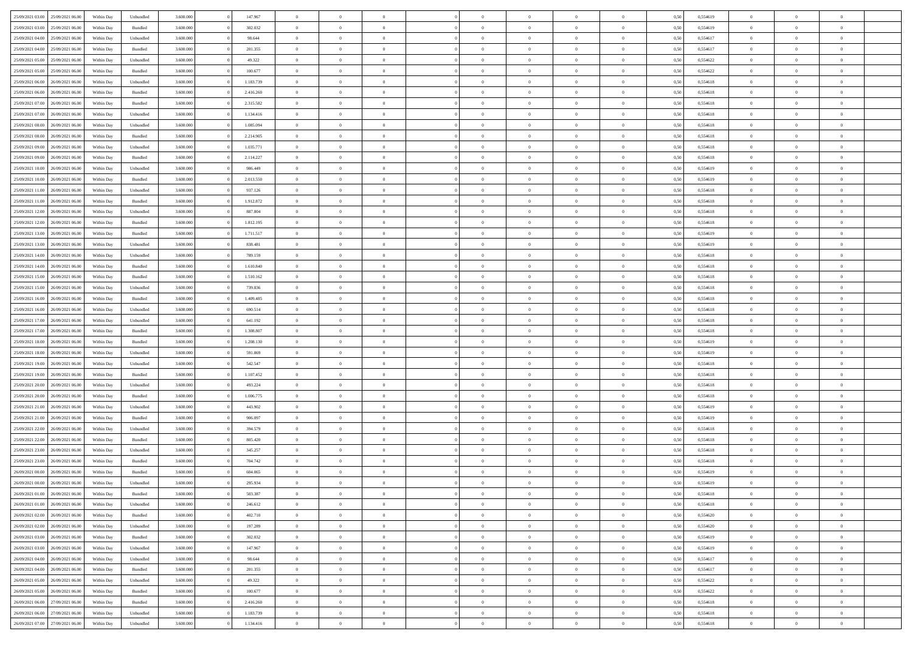|                                   |                  |            |                    |           |           | $\Omega$       | $\Omega$       |                |                | $\Omega$       | $\Omega$       |                |      |          | $\theta$       |                | $\theta$       |  |
|-----------------------------------|------------------|------------|--------------------|-----------|-----------|----------------|----------------|----------------|----------------|----------------|----------------|----------------|------|----------|----------------|----------------|----------------|--|
| 25/09/2021 03:00                  | 25/09/2021 06:00 | Within Dav | Unbundled          | 3.600.000 | 147.967   |                |                |                | $\Omega$       |                |                | $\Omega$       | 0,50 | 0,554619 |                | $\theta$       |                |  |
| 25/09/2021 03:00                  | 25/09/2021 06:00 | Within Day | Bundled            | 3.600.000 | 302.032   | $\overline{0}$ | $\theta$       | $\overline{0}$ | $\overline{0}$ | $\bf{0}$       | $\overline{0}$ | $\bf{0}$       | 0,50 | 0,554619 | $\theta$       | $\theta$       | $\overline{0}$ |  |
| 25/09/2021 04:00                  | 25/09/2021 06:00 | Within Day | Unbundled          | 3.600.000 | 98.644    | $\overline{0}$ | $\overline{0}$ | $\overline{0}$ | $\overline{0}$ | $\bf{0}$       | $\overline{0}$ | $\bf{0}$       | 0,50 | 0,554617 | $\bf{0}$       | $\overline{0}$ | $\overline{0}$ |  |
| 25/09/2021 04:00                  | 25/09/2021 06:00 | Within Dav | Bundled            | 3.600,000 | 201.355   | $\overline{0}$ | $\overline{0}$ | $\overline{0}$ | $\overline{0}$ | $\bf{0}$       | $\overline{0}$ | $\overline{0}$ | 0.50 | 0.554617 | $\theta$       | $\theta$       | $\overline{0}$ |  |
|                                   |                  |            |                    |           |           | $\overline{0}$ | $\theta$       | $\overline{0}$ |                | $\bf{0}$       | $\overline{0}$ |                |      |          | $\theta$       | $\theta$       | $\overline{0}$ |  |
| 25/09/2021 05:00                  | 25/09/2021 06:00 | Within Day | Unbundled          | 3.600.000 | 49.322    |                |                |                | $\overline{0}$ |                |                | $\bf{0}$       | 0,50 | 0,554622 |                |                |                |  |
| 25/09/2021 05:00                  | 25/09/2021 06:00 | Within Day | Bundled            | 3.600.000 | 100.677   | $\overline{0}$ | $\bf{0}$       | $\overline{0}$ | $\bf{0}$       | $\overline{0}$ | $\overline{0}$ | $\mathbf{0}$   | 0,50 | 0,554622 | $\overline{0}$ | $\overline{0}$ | $\bf{0}$       |  |
| 25/09/2021 06:00                  | 26/09/2021 06:00 | Within Dav | Unbundled          | 3.600.000 | 1.183.739 | $\overline{0}$ | $\overline{0}$ | $\overline{0}$ | $\overline{0}$ | $\overline{0}$ | $\overline{0}$ | $\overline{0}$ | 0.50 | 0,554618 | $\theta$       | $\theta$       | $\overline{0}$ |  |
| 25/09/2021 06:00                  | 26/09/2021 06:00 | Within Day | Bundled            | 3.600.000 | 2.416.260 | $\overline{0}$ | $\theta$       | $\overline{0}$ | $\overline{0}$ | $\bf{0}$       | $\overline{0}$ | $\bf{0}$       | 0,50 | 0,554618 | $\theta$       | $\theta$       | $\overline{0}$ |  |
| 25/09/2021 07:00                  | 26/09/2021 06:00 | Within Day | Bundled            | 3.600.000 | 2.315.582 | $\overline{0}$ | $\overline{0}$ | $\overline{0}$ | $\bf{0}$       | $\bf{0}$       | $\bf{0}$       | $\bf{0}$       | 0,50 | 0,554618 | $\,0\,$        | $\overline{0}$ | $\overline{0}$ |  |
|                                   |                  |            |                    |           |           |                | $\overline{0}$ |                |                | $\overline{0}$ |                |                |      |          | $\theta$       | $\overline{0}$ | $\overline{0}$ |  |
| 25/09/2021 07:00                  | 26/09/2021 06:00 | Within Dav | Unbundled          | 3.600.000 | 1.134.416 | $\overline{0}$ |                | $\overline{0}$ | $\overline{0}$ |                | $\overline{0}$ | $\overline{0}$ | 0.50 | 0.554618 |                |                |                |  |
| 25/09/2021 08:00                  | 26/09/2021 06:00 | Within Day | Unbundled          | 3.600.000 | 1.085.094 | $\overline{0}$ | $\theta$       | $\overline{0}$ | $\overline{0}$ | $\bf{0}$       | $\overline{0}$ | $\bf{0}$       | 0,50 | 0,554618 | $\theta$       | $\theta$       | $\overline{0}$ |  |
| 25/09/2021 08:00                  | 26/09/2021 06:00 | Within Day | Bundled            | 3.600.000 | 2.214.905 | $\overline{0}$ | $\overline{0}$ | $\overline{0}$ | $\bf{0}$       | $\bf{0}$       | $\bf{0}$       | $\bf{0}$       | 0,50 | 0,554618 | $\overline{0}$ | $\overline{0}$ | $\overline{0}$ |  |
| 25/09/2021 09:00                  | 26/09/2021 06:00 | Within Day | Unbundled          | 3.600.000 | 1.035.771 | $\overline{0}$ | $\overline{0}$ | $\overline{0}$ | $\overline{0}$ | $\bf{0}$       | $\overline{0}$ | $\overline{0}$ | 0.50 | 0.554618 | $\theta$       | $\theta$       | $\overline{0}$ |  |
| 25/09/2021 09:00                  | 26/09/2021 06:00 | Within Day | Bundled            | 3.600.000 | 2.114.227 | $\overline{0}$ | $\theta$       | $\overline{0}$ | $\overline{0}$ | $\bf{0}$       | $\overline{0}$ | $\bf{0}$       | 0,50 | 0,554618 | $\theta$       | $\theta$       | $\overline{0}$ |  |
|                                   |                  |            |                    |           |           |                |                |                |                |                |                |                |      |          |                |                |                |  |
| 25/09/2021 10:00                  | 26/09/2021 06:00 | Within Day | Unbundled          | 3.600.000 | 986.449   | $\overline{0}$ | $\overline{0}$ | $\overline{0}$ | $\bf{0}$       | $\overline{0}$ | $\overline{0}$ | $\mathbf{0}$   | 0,50 | 0,554619 | $\overline{0}$ | $\overline{0}$ | $\bf{0}$       |  |
| 25/09/2021 10:00                  | 26/09/2021 06:00 | Within Dav | Bundled            | 3.600.000 | 2.013.550 | $\overline{0}$ | $\overline{0}$ | $\overline{0}$ | $\overline{0}$ | $\overline{0}$ | $\overline{0}$ | $\overline{0}$ | 0.50 | 0.554619 | $\theta$       | $\overline{0}$ | $\overline{0}$ |  |
| 25/09/2021 11:00                  | 26/09/2021 06:00 | Within Day | Unbundled          | 3.600.000 | 937.126   | $\overline{0}$ | $\theta$       | $\overline{0}$ | $\overline{0}$ | $\bf{0}$       | $\overline{0}$ | $\bf{0}$       | 0,50 | 0,554618 | $\theta$       | $\theta$       | $\overline{0}$ |  |
| 25/09/2021 11:00                  | 26/09/2021 06:00 | Within Day | Bundled            | 3.600.000 | 1.912.872 | $\overline{0}$ | $\overline{0}$ | $\overline{0}$ | $\bf{0}$       | $\bf{0}$       | $\bf{0}$       | $\bf{0}$       | 0,50 | 0,554618 | $\,0\,$        | $\overline{0}$ | $\overline{0}$ |  |
| 25/09/2021 12:00                  | 26/09/2021 06:00 | Within Day | Unbundled          | 3.600.000 | 887.804   | $\overline{0}$ | $\overline{0}$ | $\overline{0}$ | $\overline{0}$ | $\overline{0}$ | $\overline{0}$ | $\overline{0}$ | 0.50 | 0.554618 | $\theta$       | $\overline{0}$ | $\overline{0}$ |  |
| 25/09/2021 12:00                  | 26/09/2021 06:00 | Within Day | Bundled            | 3.600.000 | 1.812.195 | $\overline{0}$ | $\theta$       | $\overline{0}$ | $\overline{0}$ | $\bf{0}$       | $\overline{0}$ | $\bf{0}$       | 0,50 | 0,554618 | $\,$ 0 $\,$    | $\theta$       | $\overline{0}$ |  |
|                                   |                  |            |                    |           |           |                |                |                |                |                |                |                |      |          |                |                |                |  |
| 25/09/2021 13:00                  | 26/09/2021 06:00 | Within Day | Bundled            | 3.600.000 | 1.711.517 | $\overline{0}$ | $\overline{0}$ | $\overline{0}$ | $\bf{0}$       | $\bf{0}$       | $\bf{0}$       | $\bf{0}$       | 0,50 | 0,554619 | $\bf{0}$       | $\overline{0}$ | $\overline{0}$ |  |
| 25/09/2021 13:00                  | 26/09/2021 06:00 | Within Day | Unbundled          | 3.600,000 | 838.481   | $\overline{0}$ | $\overline{0}$ | $\overline{0}$ | $\overline{0}$ | $\bf{0}$       | $\overline{0}$ | $\overline{0}$ | 0.50 | 0.554619 | $\theta$       | $\theta$       | $\overline{0}$ |  |
| 25/09/2021 14:00                  | 26/09/2021 06:00 | Within Day | Unbundled          | 3.600.000 | 789.159   | $\overline{0}$ | $\theta$       | $\overline{0}$ | $\overline{0}$ | $\bf{0}$       | $\overline{0}$ | $\bf{0}$       | 0,50 | 0,554618 | $\theta$       | $\overline{0}$ | $\overline{0}$ |  |
| 25/09/2021 14:00                  | 26/09/2021 06:00 | Within Day | Bundled            | 3.600.000 | 1.610.840 | $\overline{0}$ | $\bf{0}$       | $\overline{0}$ | $\bf{0}$       | $\overline{0}$ | $\overline{0}$ | $\mathbf{0}$   | 0,50 | 0,554618 | $\overline{0}$ | $\overline{0}$ | $\bf{0}$       |  |
| 25/09/2021 15:00                  | 26/09/2021 06:00 | Within Dav | Bundled            | 3.600.000 | 1.510.162 | $\overline{0}$ | $\overline{0}$ | $\overline{0}$ | $\overline{0}$ | $\overline{0}$ | $\overline{0}$ | $\overline{0}$ | 0.50 | 0.554618 | $\theta$       | $\theta$       | $\overline{0}$ |  |
| 25/09/2021 15:00                  | 26/09/2021 06:00 | Within Day | Unbundled          | 3.600.000 | 739.836   | $\overline{0}$ | $\theta$       | $\overline{0}$ | $\overline{0}$ | $\bf{0}$       | $\overline{0}$ | $\bf{0}$       | 0,50 | 0,554618 | $\theta$       | $\theta$       | $\overline{0}$ |  |
|                                   | 26/09/2021 06:00 | Within Day | Bundled            | 3.600.000 | 1.409.485 | $\overline{0}$ | $\overline{0}$ | $\overline{0}$ | $\bf{0}$       | $\bf{0}$       | $\bf{0}$       | $\bf{0}$       | 0,50 | 0,554618 | $\,0\,$        | $\overline{0}$ | $\overline{0}$ |  |
| 25/09/2021 16:00                  |                  |            |                    |           |           |                |                |                |                |                |                |                |      |          |                |                |                |  |
| 25/09/2021 16:00                  | 26/09/2021 06:00 | Within Day | Unbundled          | 3.600.000 | 690.514   | $\overline{0}$ | $\overline{0}$ | $\overline{0}$ | $\overline{0}$ | $\overline{0}$ | $\overline{0}$ | $\overline{0}$ | 0.50 | 0.554618 | $\theta$       | $\overline{0}$ | $\overline{0}$ |  |
| 25/09/2021 17:00                  | 26/09/2021 06:00 | Within Day | Unbundled          | 3.600.000 | 641.192   | $\overline{0}$ | $\theta$       | $\overline{0}$ | $\overline{0}$ | $\bf{0}$       | $\overline{0}$ | $\bf{0}$       | 0,50 | 0,554618 | $\,$ 0 $\,$    | $\overline{0}$ | $\overline{0}$ |  |
| 25/09/2021 17:00                  | 26/09/2021 06:00 | Within Day | Bundled            | 3.600.000 | 1.308.807 | $\overline{0}$ | $\overline{0}$ | $\overline{0}$ | $\bf{0}$       | $\bf{0}$       | $\bf{0}$       | $\bf{0}$       | 0,50 | 0,554618 | $\overline{0}$ | $\overline{0}$ | $\overline{0}$ |  |
| 25/09/2021 18:00                  | 26/09/2021 06:00 | Within Day | Bundled            | 3.600.000 | 1.208.130 | $\overline{0}$ | $\Omega$       | $\Omega$       | $\Omega$       | $\Omega$       | $\Omega$       | $\overline{0}$ | 0,50 | 0,554619 | $\,0\,$        | $\theta$       | $\theta$       |  |
| 25/09/2021 18:00                  | 26/09/2021 06:00 | Within Day | Unbundled          | 3.600.000 | 591.869   | $\overline{0}$ | $\theta$       | $\overline{0}$ | $\overline{0}$ | $\bf{0}$       | $\overline{0}$ | $\bf{0}$       | 0,50 | 0,554619 | $\theta$       | $\theta$       | $\overline{0}$ |  |
| 25/09/2021 19:00                  | 26/09/2021 06:00 | Within Day | Unbundled          | 3.600.000 | 542.547   | $\overline{0}$ | $\overline{0}$ | $\overline{0}$ | $\bf{0}$       | $\bf{0}$       | $\overline{0}$ | $\mathbf{0}$   | 0,50 | 0,554618 | $\overline{0}$ | $\overline{0}$ | $\bf{0}$       |  |
|                                   |                  |            |                    |           |           |                |                |                |                |                |                |                |      |          |                |                |                |  |
| 25/09/2021 19:00                  | 26/09/2021 06:00 | Within Day | Bundled            | 3.600,000 | 1.107.452 | $\overline{0}$ | $\Omega$       | $\Omega$       | $\Omega$       | $\bf{0}$       | $\overline{0}$ | $\overline{0}$ | 0.50 | 0.554618 | $\theta$       | $\theta$       | $\theta$       |  |
| 25/09/2021 20:00                  | 26/09/2021 06:00 | Within Day | Unbundled          | 3.600.000 | 493.224   | $\overline{0}$ | $\theta$       | $\overline{0}$ | $\overline{0}$ | $\bf{0}$       | $\overline{0}$ | $\bf{0}$       | 0,50 | 0,554618 | $\theta$       | $\theta$       | $\overline{0}$ |  |
| 25/09/2021 20:00                  | 26/09/2021 06:00 | Within Day | Bundled            | 3.600.000 | 1.006.775 | $\overline{0}$ | $\overline{0}$ | $\overline{0}$ | $\bf{0}$       | $\bf{0}$       | $\bf{0}$       | $\bf{0}$       | 0,50 | 0,554618 | $\,0\,$        | $\overline{0}$ | $\overline{0}$ |  |
| 25/09/2021 21:00                  | 26/09/2021 06:00 | Within Day | Unbundled          | 3.600,000 | 443.902   | $\overline{0}$ | $\Omega$       | $\Omega$       | $\Omega$       | $\Omega$       | $\theta$       | $\overline{0}$ | 0.50 | 0.554619 | $\theta$       | $\theta$       | $\theta$       |  |
| 25/09/2021 21:00                  | 26/09/2021 06:00 | Within Day | Bundled            | 3.600.000 | 906.097   | $\overline{0}$ | $\theta$       | $\overline{0}$ | $\overline{0}$ | $\bf{0}$       | $\overline{0}$ | $\bf{0}$       | 0,50 | 0,554619 | $\,$ 0 $\,$    | $\overline{0}$ | $\overline{0}$ |  |
|                                   |                  |            |                    |           |           |                | $\overline{0}$ |                |                | $\bf{0}$       |                |                |      |          |                | $\overline{0}$ | $\overline{0}$ |  |
| 25/09/2021 22:00                  | 26/09/2021 06:00 | Within Day | Unbundled          | 3.600.000 | 394.579   | $\overline{0}$ |                | $\overline{0}$ | $\bf{0}$       |                | $\bf{0}$       | $\bf{0}$       | 0,50 | 0,554618 | $\bf{0}$       |                |                |  |
| 25/09/2021 22:00                  | 26/09/2021 06:00 | Within Day | Bundled            | 3.600.000 | 805.420   | $\overline{0}$ | $\Omega$       | $\overline{0}$ | $\Omega$       | $\Omega$       | $\overline{0}$ | $\overline{0}$ | 0,50 | 0,554618 | $\,0\,$        | $\theta$       | $\theta$       |  |
| 25/09/2021 23:00                  | 26/09/2021 06:00 | Within Day | Unbundled          | 3.600.000 | 345.257   | $\overline{0}$ | $\theta$       | $\overline{0}$ | $\overline{0}$ | $\bf{0}$       | $\overline{0}$ | $\bf{0}$       | 0,50 | 0,554618 | $\,$ 0 $\,$    | $\overline{0}$ | $\overline{0}$ |  |
| 25/09/2021 23.00                  | 26/09/2021 06:00 | Within Day | Bundled            | 3.600.000 | 704.742   | $\overline{0}$ | $\overline{0}$ | $\overline{0}$ | $\bf{0}$       | $\bf{0}$       | $\bf{0}$       | $\mathbf{0}$   | 0,50 | 0,554618 | $\bf{0}$       | $\overline{0}$ | $\bf{0}$       |  |
| 26/09/2021 00:00                  | 26/09/2021 06:00 | Within Day | Bundled            | 3.600,000 | 604,065   | $\overline{0}$ | $\Omega$       | $\Omega$       | $\Omega$       | $\Omega$       | $\Omega$       | $\overline{0}$ | 0.50 | 0.554619 | $\theta$       | $\Omega$       | $\theta$       |  |
| 26/09/2021 00:00                  | 26/09/2021 06:00 | Within Day | Unbundled          | 3.600.000 | 295.934   | $\overline{0}$ | $\overline{0}$ | $\overline{0}$ | $\bf{0}$       | $\,$ 0         | $\bf{0}$       | $\bf{0}$       | 0,50 | 0,554619 | $\,0\,$        | $\overline{0}$ | $\overline{0}$ |  |
| 26/09/2021 01:00                  | 26/09/2021 06:00 | Within Day | $\mathbf B$ undled | 3.600.000 | 503.387   | $\bf{0}$       | $\bf{0}$       |                |                |                |                |                | 0,50 | 0,554618 | $\bf{0}$       | $\overline{0}$ |                |  |
|                                   |                  |            |                    |           |           |                |                |                |                |                |                |                |      |          |                |                |                |  |
| 26/09/2021 01:00                  | 26/09/2021 06:00 | Within Day | Unbundled          | 3.600,000 | 246.612   | $\overline{0}$ | $\overline{0}$ | $\overline{0}$ | $\Omega$       | $\overline{0}$ | $\overline{0}$ | $\overline{0}$ | 0,50 | 0.554618 | $\theta$       | $\theta$       | $\theta$       |  |
| 26/09/2021 02:00                  | 26/09/2021 06:00 | Within Day | Bundled            | 3.600.000 | 402.710   | $\overline{0}$ | $\bf{0}$       | $\overline{0}$ | $\bf{0}$       | $\,$ 0 $\,$    | $\overline{0}$ | $\mathbf{0}$   | 0,50 | 0,554620 | $\,$ 0 $\,$    | $\,$ 0 $\,$    | $\,$ 0         |  |
| 26/09/2021 02:00                  | 26/09/2021 06:00 | Within Day | Unbundled          | 3.600.000 | 197.289   | $\overline{0}$ | $\overline{0}$ | $\overline{0}$ | $\overline{0}$ | $\overline{0}$ | $\overline{0}$ | $\mathbf{0}$   | 0,50 | 0,554620 | $\overline{0}$ | $\bf{0}$       | $\overline{0}$ |  |
| 26/09/2021 03:00                  | 26/09/2021 06:00 | Within Day | $\mathbf B$ undled | 3.600.000 | 302.032   | $\overline{0}$ | $\overline{0}$ | $\overline{0}$ | $\Omega$       | $\overline{0}$ | $\overline{0}$ | $\overline{0}$ | 0,50 | 0,554619 | $\overline{0}$ | $\theta$       | $\overline{0}$ |  |
| 26/09/2021 03:00                  | 26/09/2021 06:00 | Within Day | Unbundled          | 3.600.000 | 147.967   | $\overline{0}$ | $\,$ 0         | $\overline{0}$ | $\overline{0}$ | $\,$ 0 $\,$    | $\overline{0}$ | $\mathbf{0}$   | 0,50 | 0,554619 | $\,$ 0 $\,$    | $\overline{0}$ | $\overline{0}$ |  |
| 26/09/2021 04:00                  | 26/09/2021 06:00 | Within Day | Unbundled          | 3.600.000 | 98.644    | $\overline{0}$ | $\overline{0}$ | $\overline{0}$ | $\overline{0}$ | $\overline{0}$ | $\overline{0}$ | $\mathbf{0}$   | 0,50 | 0,554617 | $\overline{0}$ | $\overline{0}$ | $\overline{0}$ |  |
|                                   |                  |            |                    |           |           |                |                |                |                |                |                |                |      |          |                |                |                |  |
| 26/09/2021 04:00                  | 26/09/2021 06:00 | Within Day | Bundled            | 3.600,000 | 201.355   | $\overline{0}$ | $\overline{0}$ | $\overline{0}$ | $\Omega$       | $\overline{0}$ | $\overline{0}$ | $\bf{0}$       | 0.50 | 0,554617 | $\overline{0}$ | $\theta$       | $\overline{0}$ |  |
| 26/09/2021 05:00                  | 26/09/2021 06:00 | Within Day | Unbundled          | 3.600.000 | 49.322    | $\overline{0}$ | $\,$ 0         | $\overline{0}$ | $\bf{0}$       | $\bf{0}$       | $\bf{0}$       | $\bf{0}$       | 0,50 | 0,554622 | $\,$ 0 $\,$    | $\overline{0}$ | $\overline{0}$ |  |
| 26/09/2021 05:00                  | 26/09/2021 06:00 | Within Day | Bundled            | 3.600.000 | 100.677   | $\overline{0}$ | $\bf{0}$       | $\overline{0}$ | $\overline{0}$ | $\overline{0}$ | $\overline{0}$ | $\mathbf{0}$   | 0,50 | 0,554622 | $\overline{0}$ | $\overline{0}$ | $\bf{0}$       |  |
| 26/09/2021 06:00                  | 27/09/2021 06:00 | Within Day | Bundled            | 3.600,000 | 2.416.260 | $\overline{0}$ | $\overline{0}$ | $\overline{0}$ | $\Omega$       | $\overline{0}$ | $\overline{0}$ | $\overline{0}$ | 0.50 | 0,554618 | $\overline{0}$ | $\overline{0}$ | $\overline{0}$ |  |
| 26/09/2021 06:00                  | 27/09/2021 06.00 | Within Day | Unbundled          | 3.600.000 | 1.183.739 | $\overline{0}$ | $\bf{0}$       | $\overline{0}$ | $\overline{0}$ | $\bf{0}$       | $\bf{0}$       | $\mathbf{0}$   | 0,50 | 0,554618 | $\,$ 0 $\,$    | $\,$ 0 $\,$    | $\bf{0}$       |  |
| 26/09/2021 07:00 27/09/2021 06:00 |                  | Within Day | Unbundled          | 3.600.000 | 1.134.416 | $\overline{0}$ | $\overline{0}$ | $\overline{0}$ | $\overline{0}$ | $\overline{0}$ | $\bf{0}$       | $\mathbf{0}$   | 0,50 | 0,554618 | $\overline{0}$ | $\bf{0}$       | $\bf{0}$       |  |
|                                   |                  |            |                    |           |           |                |                |                |                |                |                |                |      |          |                |                |                |  |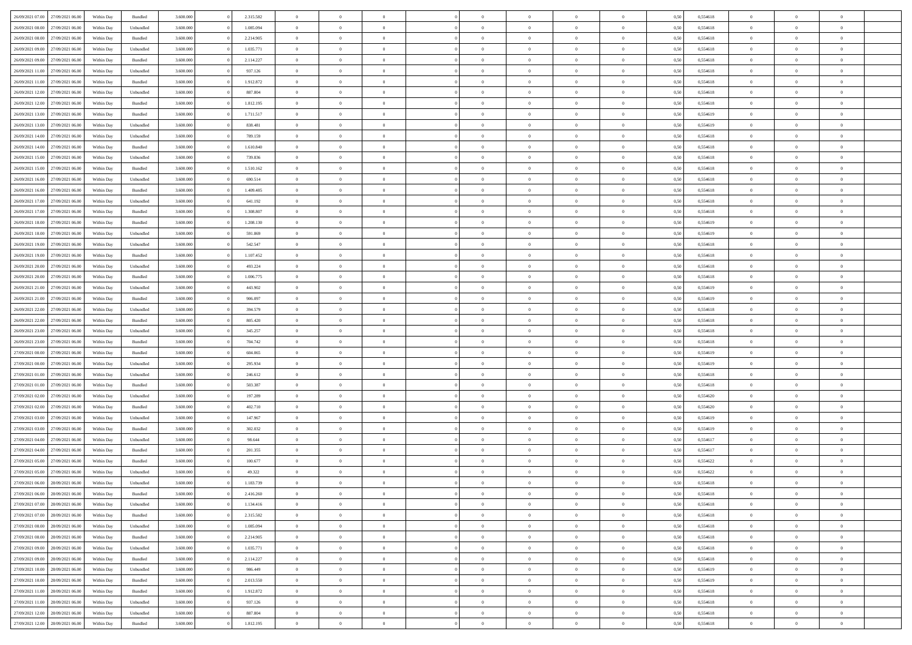| 26/09/2021 07:00                  | 27/09/2021 06:00 | Within Day | Bundled   | 3.600.000 | 2.315.582 | $\overline{0}$ | $\Omega$       |                | $\Omega$       | $\Omega$       | $\Omega$       | $\theta$       | 0,50 | 0,554618 | $\theta$       | $\theta$       | $\theta$       |  |
|-----------------------------------|------------------|------------|-----------|-----------|-----------|----------------|----------------|----------------|----------------|----------------|----------------|----------------|------|----------|----------------|----------------|----------------|--|
| 26/09/2021 08:00                  | 27/09/2021 06.00 | Within Day | Unbundled | 3.600.000 | 1.085.094 | $\overline{0}$ | $\theta$       | $\overline{0}$ | $\overline{0}$ | $\bf{0}$       | $\overline{0}$ | $\bf{0}$       | 0,50 | 0,554618 | $\theta$       | $\theta$       | $\overline{0}$ |  |
| 26/09/2021 08:00                  | 27/09/2021 06:00 | Within Day | Bundled   | 3.600.000 | 2.214.905 | $\overline{0}$ | $\overline{0}$ | $\overline{0}$ | $\bf{0}$       | $\bf{0}$       | $\bf{0}$       | $\bf{0}$       | 0,50 | 0,554618 | $\overline{0}$ | $\overline{0}$ | $\overline{0}$ |  |
| 26/09/2021 09:00                  | 27/09/2021 06:00 | Within Dav | Unbundled | 3.600.000 | 1.035.771 | $\overline{0}$ | $\overline{0}$ | $\overline{0}$ | $\overline{0}$ | $\bf{0}$       | $\overline{0}$ | $\overline{0}$ | 0.50 | 0.554618 | $\theta$       | $\theta$       | $\overline{0}$ |  |
|                                   |                  |            |           |           |           | $\overline{0}$ | $\theta$       |                |                |                |                |                |      |          | $\theta$       |                |                |  |
| 26/09/2021 09:00                  | 27/09/2021 06.00 | Within Day | Bundled   | 3.600.000 | 2.114.227 |                |                | $\overline{0}$ | $\overline{0}$ | $\bf{0}$       | $\overline{0}$ | $\bf{0}$       | 0,50 | 0,554618 |                | $\theta$       | $\overline{0}$ |  |
| 26/09/2021 11:00                  | 27/09/2021 06:00 | Within Day | Unbundled | 3.600.000 | 937.126   | $\overline{0}$ | $\bf{0}$       | $\overline{0}$ | $\bf{0}$       | $\overline{0}$ | $\overline{0}$ | $\mathbf{0}$   | 0,50 | 0,554618 | $\overline{0}$ | $\overline{0}$ | $\bf{0}$       |  |
| 26/09/2021 11:00                  | 27/09/2021 06:00 | Within Dav | Bundled   | 3.600.000 | 1.912.872 | $\overline{0}$ | $\overline{0}$ | $\overline{0}$ | $\overline{0}$ | $\overline{0}$ | $\overline{0}$ | $\overline{0}$ | 0.50 | 0,554618 | $\theta$       | $\theta$       | $\overline{0}$ |  |
| 26/09/2021 12:00                  | 27/09/2021 06.00 | Within Day | Unbundled | 3.600.000 | 887.804   | $\overline{0}$ | $\theta$       | $\overline{0}$ | $\overline{0}$ | $\bf{0}$       | $\overline{0}$ | $\bf{0}$       | 0,50 | 0,554618 | $\theta$       | $\theta$       | $\overline{0}$ |  |
| 26/09/2021 12:00                  | 27/09/2021 06:00 | Within Day | Bundled   | 3.600.000 | 1.812.195 | $\overline{0}$ | $\overline{0}$ | $\overline{0}$ | $\bf{0}$       | $\bf{0}$       | $\bf{0}$       | $\bf{0}$       | 0,50 | 0,554618 | $\,0\,$        | $\overline{0}$ | $\overline{0}$ |  |
| 26/09/2021 13:00                  | 27/09/2021 06:00 | Within Dav | Bundled   | 3.600.000 | 1.711.517 | $\overline{0}$ | $\overline{0}$ | $\overline{0}$ | $\overline{0}$ | $\overline{0}$ | $\overline{0}$ | $\overline{0}$ | 0.50 | 0.554619 | $\theta$       | $\overline{0}$ | $\overline{0}$ |  |
|                                   |                  |            |           |           |           |                |                |                |                |                |                |                |      |          |                |                |                |  |
| 26/09/2021 13:00                  | 27/09/2021 06.00 | Within Day | Unbundled | 3.600.000 | 838.481   | $\overline{0}$ | $\theta$       | $\overline{0}$ | $\overline{0}$ | $\bf{0}$       | $\overline{0}$ | $\bf{0}$       | 0,50 | 0,554619 | $\theta$       | $\theta$       | $\overline{0}$ |  |
| 26/09/2021 14:00                  | 27/09/2021 06:00 | Within Day | Unbundled | 3.600.000 | 789.159   | $\overline{0}$ | $\overline{0}$ | $\overline{0}$ | $\bf{0}$       | $\bf{0}$       | $\bf{0}$       | $\bf{0}$       | 0,50 | 0,554618 | $\overline{0}$ | $\overline{0}$ | $\overline{0}$ |  |
| 26/09/2021 14:00                  | 27/09/2021 06:00 | Within Day | Bundled   | 3.600.000 | 1.610.840 | $\overline{0}$ | $\overline{0}$ | $\overline{0}$ | $\overline{0}$ | $\bf{0}$       | $\overline{0}$ | $\overline{0}$ | 0.50 | 0.554618 | $\theta$       | $\theta$       | $\overline{0}$ |  |
| 26/09/2021 15:00                  | 27/09/2021 06.00 | Within Day | Unbundled | 3.600.000 | 739.836   | $\overline{0}$ | $\theta$       | $\overline{0}$ | $\overline{0}$ | $\bf{0}$       | $\overline{0}$ | $\bf{0}$       | 0,50 | 0,554618 | $\theta$       | $\theta$       | $\overline{0}$ |  |
| 26/09/2021 15:00                  | 27/09/2021 06:00 | Within Day | Bundled   | 3.600.000 | 1.510.162 | $\overline{0}$ | $\overline{0}$ | $\overline{0}$ | $\bf{0}$       | $\overline{0}$ | $\overline{0}$ | $\mathbf{0}$   | 0,50 | 0,554618 | $\overline{0}$ | $\overline{0}$ | $\bf{0}$       |  |
| 26/09/2021 16:00                  | 27/09/2021 06:00 | Within Dav | Unbundled | 3.600.000 | 690.514   | $\overline{0}$ | $\overline{0}$ | $\overline{0}$ |                | $\overline{0}$ | $\overline{0}$ | $\overline{0}$ | 0.50 | 0.554618 | $\theta$       | $\overline{0}$ | $\overline{0}$ |  |
|                                   |                  |            |           |           |           |                |                |                | $\overline{0}$ |                |                |                |      |          |                |                |                |  |
| 26/09/2021 16:00                  | 27/09/2021 06.00 | Within Day | Bundled   | 3.600.000 | 1.409.485 | $\overline{0}$ | $\theta$       | $\overline{0}$ | $\overline{0}$ | $\bf{0}$       | $\overline{0}$ | $\bf{0}$       | 0,50 | 0,554618 | $\theta$       | $\theta$       | $\overline{0}$ |  |
| 26/09/2021 17:00                  | 27/09/2021 06:00 | Within Day | Unbundled | 3.600.000 | 641.192   | $\overline{0}$ | $\overline{0}$ | $\overline{0}$ | $\bf{0}$       | $\bf{0}$       | $\bf{0}$       | $\bf{0}$       | 0,50 | 0,554618 | $\,0\,$        | $\overline{0}$ | $\overline{0}$ |  |
| 26/09/2021 17:00                  | 27/09/2021 06:00 | Within Dav | Bundled   | 3.600.000 | 1.308.807 | $\overline{0}$ | $\overline{0}$ | $\overline{0}$ | $\overline{0}$ | $\overline{0}$ | $\overline{0}$ | $\overline{0}$ | 0.50 | 0.554618 | $\theta$       | $\overline{0}$ | $\overline{0}$ |  |
| 26/09/2021 18:00                  | 27/09/2021 06.00 | Within Day | Bundled   | 3.600.000 | 1.208.130 | $\overline{0}$ | $\theta$       | $\overline{0}$ | $\overline{0}$ | $\bf{0}$       | $\overline{0}$ | $\bf{0}$       | 0,50 | 0,554619 | $\,$ 0 $\,$    | $\theta$       | $\overline{0}$ |  |
| 26/09/2021 18:00                  | 27/09/2021 06:00 | Within Day | Unbundled | 3.600.000 | 591.869   | $\overline{0}$ | $\overline{0}$ | $\overline{0}$ | $\bf{0}$       | $\bf{0}$       | $\bf{0}$       | $\bf{0}$       | 0,50 | 0,554619 | $\bf{0}$       | $\overline{0}$ | $\overline{0}$ |  |
| 26/09/2021 19:00                  | 27/09/2021 06:00 | Within Day | Unbundled | 3.600,000 | 542.547   | $\overline{0}$ | $\overline{0}$ | $\overline{0}$ | $\overline{0}$ | $\bf{0}$       | $\overline{0}$ | $\overline{0}$ | 0.50 | 0.554618 | $\theta$       | $\theta$       | $\overline{0}$ |  |
|                                   |                  |            |           |           |           |                |                |                |                |                |                |                |      |          |                |                |                |  |
| 26/09/2021 19:00                  | 27/09/2021 06.00 | Within Day | Bundled   | 3.600.000 | 1.107.452 | $\overline{0}$ | $\theta$       | $\overline{0}$ | $\overline{0}$ | $\bf{0}$       | $\overline{0}$ | $\bf{0}$       | 0,50 | 0,554618 | $\theta$       | $\overline{0}$ | $\overline{0}$ |  |
| 26/09/2021 20:00                  | 27/09/2021 06:00 | Within Day | Unbundled | 3.600.000 | 493.224   | $\overline{0}$ | $\bf{0}$       | $\overline{0}$ | $\bf{0}$       | $\overline{0}$ | $\overline{0}$ | $\mathbf{0}$   | 0,50 | 0,554618 | $\overline{0}$ | $\overline{0}$ | $\bf{0}$       |  |
| 26/09/2021 20:00                  | 27/09/2021 06:00 | Within Dav | Bundled   | 3.600.000 | 1.006.775 | $\overline{0}$ | $\overline{0}$ | $\overline{0}$ | $\overline{0}$ | $\overline{0}$ | $\overline{0}$ | $\overline{0}$ | 0.50 | 0.554618 | $\theta$       | $\theta$       | $\overline{0}$ |  |
| 26/09/2021 21:00                  | 27/09/2021 06.00 | Within Day | Unbundled | 3.600.000 | 443.902   | $\overline{0}$ | $\theta$       | $\overline{0}$ | $\overline{0}$ | $\bf{0}$       | $\overline{0}$ | $\bf{0}$       | 0,50 | 0,554619 | $\theta$       | $\theta$       | $\overline{0}$ |  |
| 26/09/2021 21:00                  | 27/09/2021 06:00 | Within Day | Bundled   | 3.600.000 | 906.097   | $\overline{0}$ | $\overline{0}$ | $\overline{0}$ | $\bf{0}$       | $\bf{0}$       | $\bf{0}$       | $\bf{0}$       | 0,50 | 0,554619 | $\,0\,$        | $\overline{0}$ | $\overline{0}$ |  |
|                                   | 27/09/2021 06:00 |            | Unbundled | 3.600.000 | 394.579   | $\overline{0}$ | $\overline{0}$ | $\overline{0}$ | $\overline{0}$ | $\overline{0}$ | $\overline{0}$ | $\overline{0}$ | 0.50 | 0.554618 | $\theta$       | $\overline{0}$ | $\overline{0}$ |  |
| 26/09/2021 22.00                  |                  | Within Day |           |           |           |                |                |                |                |                |                |                |      |          |                |                |                |  |
| 26/09/2021 22:00                  | 27/09/2021 06.00 | Within Day | Bundled   | 3.600.000 | 805.420   | $\overline{0}$ | $\theta$       | $\overline{0}$ | $\overline{0}$ | $\bf{0}$       | $\overline{0}$ | $\bf{0}$       | 0,50 | 0,554618 | $\,$ 0 $\,$    | $\overline{0}$ | $\overline{0}$ |  |
| 26/09/2021 23:00                  | 27/09/2021 06:00 | Within Day | Unbundled | 3.600.000 | 345.257   | $\overline{0}$ | $\overline{0}$ | $\overline{0}$ | $\bf{0}$       | $\bf{0}$       | $\bf{0}$       | $\bf{0}$       | 0,50 | 0,554618 | $\overline{0}$ | $\overline{0}$ | $\overline{0}$ |  |
| 26/09/2021 23:00                  | 27/09/2021 06:00 | Within Day | Bundled   | 3.600.000 | 704.742   | $\overline{0}$ | $\Omega$       | $\Omega$       | $\Omega$       | $\Omega$       | $\Omega$       | $\overline{0}$ | 0,50 | 0,554618 | $\,0\,$        | $\Omega$       | $\theta$       |  |
| 27/09/2021 00:00                  | 27/09/2021 06.00 | Within Day | Bundled   | 3.600.000 | 604.065   | $\overline{0}$ | $\theta$       | $\overline{0}$ | $\overline{0}$ | $\bf{0}$       | $\overline{0}$ | $\bf{0}$       | 0,50 | 0,554619 | $\theta$       | $\theta$       | $\overline{0}$ |  |
| 27/09/2021 00:00                  | 27/09/2021 06:00 | Within Day | Unbundled | 3.600.000 | 295.934   | $\overline{0}$ | $\overline{0}$ | $\overline{0}$ | $\bf{0}$       | $\bf{0}$       | $\overline{0}$ | $\mathbf{0}$   | 0,50 | 0,554619 | $\bf{0}$       | $\overline{0}$ | $\bf{0}$       |  |
| 27/09/2021 01:00                  | 27/09/2021 06:00 |            | Unbundled | 3.600,000 | 246.612   | $\overline{0}$ | $\Omega$       | $\Omega$       | $\Omega$       | $\bf{0}$       | $\overline{0}$ | $\overline{0}$ | 0.50 | 0.554618 | $\theta$       | $\theta$       | $\theta$       |  |
|                                   |                  | Within Day |           |           |           |                |                |                |                |                |                |                |      |          |                |                |                |  |
| 27/09/2021 01:00                  | 27/09/2021 06.00 | Within Day | Bundled   | 3.600.000 | 503.387   | $\overline{0}$ | $\theta$       | $\overline{0}$ | $\overline{0}$ | $\bf{0}$       | $\overline{0}$ | $\bf{0}$       | 0,50 | 0,554618 | $\theta$       | $\theta$       | $\overline{0}$ |  |
| 27/09/2021 02:00                  | 27/09/2021 06:00 | Within Day | Unbundled | 3.600.000 | 197.289   | $\overline{0}$ | $\overline{0}$ | $\overline{0}$ | $\bf{0}$       | $\bf{0}$       | $\bf{0}$       | $\bf{0}$       | 0,50 | 0,554620 | $\,0\,$        | $\overline{0}$ | $\overline{0}$ |  |
| 27/09/2021 02:00                  | 27/09/2021 06:00 | Within Day | Bundled   | 3.600,000 | 402.710   | $\overline{0}$ | $\Omega$       | $\Omega$       | $\Omega$       | $\Omega$       | $\theta$       | $\overline{0}$ | 0.50 | 0.554620 | $\theta$       | $\theta$       | $\theta$       |  |
| 27/09/2021 03:00                  | 27/09/2021 06.00 | Within Day | Unbundled | 3.600.000 | 147.967   | $\overline{0}$ | $\theta$       | $\overline{0}$ | $\overline{0}$ | $\bf{0}$       | $\overline{0}$ | $\bf{0}$       | 0,50 | 0,554619 | $\,$ 0 $\,$    | $\overline{0}$ | $\overline{0}$ |  |
| 27/09/2021 03:00                  | 27/09/2021 06:00 | Within Day | Bundled   | 3.600.000 | 302.032   | $\overline{0}$ | $\overline{0}$ | $\overline{0}$ | $\bf{0}$       | $\bf{0}$       | $\bf{0}$       | $\bf{0}$       | 0,50 | 0,554619 | $\bf{0}$       | $\overline{0}$ | $\overline{0}$ |  |
| 27/09/2021 04:00                  | 27/09/2021 06:00 |            | Unbundled | 3.600.000 | 98.644    | $\overline{0}$ | $\Omega$       | $\overline{0}$ | $\Omega$       | $\Omega$       | $\overline{0}$ | $\overline{0}$ | 0,50 | 0,554617 | $\,0\,$        | $\theta$       | $\theta$       |  |
|                                   |                  | Within Day |           |           |           |                | $\theta$       |                |                |                |                |                |      |          |                | $\overline{0}$ |                |  |
| 27/09/2021 04:00                  | 27/09/2021 06.00 | Within Day | Bundled   | 3.600.000 | 201.355   | $\overline{0}$ |                | $\overline{0}$ | $\overline{0}$ | $\bf{0}$       | $\overline{0}$ | $\bf{0}$       | 0,50 | 0,554617 | $\,$ 0 $\,$    |                | $\overline{0}$ |  |
| 27/09/2021 05:00                  | 27/09/2021 06:00 | Within Day | Bundled   | 3.600.000 | 100.677   | $\overline{0}$ | $\overline{0}$ | $\overline{0}$ | $\bf{0}$       | $\bf{0}$       | $\bf{0}$       | $\mathbf{0}$   | 0,50 | 0,554622 | $\bf{0}$       | $\overline{0}$ | $\bf{0}$       |  |
| 27/09/2021 05:00                  | 27/09/2021 06:00 | Within Day | Unbundled | 3.600,000 | 49.322    | $\overline{0}$ | $\Omega$       | $\Omega$       | $\Omega$       | $\Omega$       | $\Omega$       | $\overline{0}$ | 0.50 | 0.554622 | $\theta$       | $\Omega$       | $\theta$       |  |
| 27/09/2021 06:00                  | 28/09/2021 06:00 | Within Day | Unbundled | 3.600.000 | 1.183.739 | $\overline{0}$ | $\,$ 0 $\,$    | $\overline{0}$ | $\bf{0}$       | $\,$ 0         | $\bf{0}$       | $\bf{0}$       | 0,50 | 0,554618 | $\,0\,$        | $\overline{0}$ | $\overline{0}$ |  |
| 27/09/2021 06:00 28/09/2021 06:00 |                  | Within Day | Bundled   | 3.600.000 | 2.416.260 | $\bf{0}$       | $\bf{0}$       |                |                |                |                |                | 0,50 | 0,554618 | $\bf{0}$       | $\overline{0}$ |                |  |
| 27/09/2021 07:00                  | 28/09/2021 06:00 | Within Day | Unbundled | 3.600,000 | 1.134.416 | $\overline{0}$ | $\overline{0}$ | $\overline{0}$ | $\Omega$       | $\overline{0}$ | $\overline{0}$ | $\overline{0}$ | 0.50 | 0.554618 | $\theta$       | $\theta$       | $\theta$       |  |
| 27/09/2021 07:00                  | 28/09/2021 06:00 | Within Day | Bundled   | 3.600.000 | 2.315.582 | $\overline{0}$ | $\,$ 0         | $\overline{0}$ | $\bf{0}$       | $\,$ 0 $\,$    | $\overline{0}$ | $\mathbf{0}$   | 0,50 | 0,554618 | $\,$ 0 $\,$    | $\,$ 0 $\,$    | $\,$ 0         |  |
|                                   |                  |            |           |           |           |                |                |                |                |                |                |                |      |          |                |                |                |  |
| 27/09/2021 08:00                  | 28/09/2021 06:00 | Within Day | Unbundled | 3.600.000 | 1.085.094 | $\overline{0}$ | $\overline{0}$ | $\overline{0}$ | $\overline{0}$ | $\overline{0}$ | $\overline{0}$ | $\mathbf{0}$   | 0,50 | 0,554618 | $\overline{0}$ | $\bf{0}$       | $\bf{0}$       |  |
| 27/09/2021 08:00                  | 28/09/2021 06:00 | Within Day | Bundled   | 3.600.000 | 2.214.905 | $\overline{0}$ | $\overline{0}$ | $\overline{0}$ | $\Omega$       | $\overline{0}$ | $\overline{0}$ | $\overline{0}$ | 0,50 | 0,554618 | $\overline{0}$ | $\theta$       | $\overline{0}$ |  |
| 27/09/2021 09:00                  | 28/09/2021 06:00 | Within Day | Unbundled | 3.600.000 | 1.035.771 | $\overline{0}$ | $\,$ 0         | $\overline{0}$ | $\overline{0}$ | $\,$ 0 $\,$    | $\overline{0}$ | $\mathbf{0}$   | 0,50 | 0,554618 | $\,$ 0 $\,$    | $\overline{0}$ | $\overline{0}$ |  |
| 27/09/2021 09:00                  | 28/09/2021 06:00 | Within Day | Bundled   | 3.600.000 | 2.114.227 | $\overline{0}$ | $\overline{0}$ | $\overline{0}$ | $\overline{0}$ | $\overline{0}$ | $\overline{0}$ | $\mathbf{0}$   | 0,50 | 0,554618 | $\overline{0}$ | $\overline{0}$ | $\bf{0}$       |  |
| 27/09/2021 10:00                  | 28/09/2021 06:00 | Within Day | Unbundled | 3.600,000 | 986.449   | $\overline{0}$ | $\overline{0}$ | $\overline{0}$ | $\Omega$       | $\overline{0}$ | $\overline{0}$ | $\bf{0}$       | 0.50 | 0,554619 | $\overline{0}$ | $\theta$       | $\overline{0}$ |  |
| 27/09/2021 10:00                  | 28/09/2021 06:00 | Within Day | Bundled   | 3.600.000 | 2.013.550 | $\overline{0}$ | $\,$ 0         | $\overline{0}$ | $\bf{0}$       | $\bf{0}$       | $\bf{0}$       | $\bf{0}$       | 0,50 | 0,554619 | $\,$ 0 $\,$    | $\overline{0}$ | $\overline{0}$ |  |
|                                   |                  |            |           |           |           |                |                |                |                |                |                |                |      |          |                |                |                |  |
| 27/09/2021 11:00                  | 28/09/2021 06:00 | Within Day | Bundled   | 3.600.000 | 1.912.872 | $\overline{0}$ | $\bf{0}$       | $\overline{0}$ | $\overline{0}$ | $\overline{0}$ | $\overline{0}$ | $\mathbf{0}$   | 0,50 | 0,554618 | $\overline{0}$ | $\overline{0}$ | $\bf{0}$       |  |
| 27/09/2021 11:00                  | 28/09/2021 06:00 | Within Day | Unbundled | 3.600,000 | 937.126   | $\overline{0}$ | $\overline{0}$ | $\overline{0}$ | $\Omega$       | $\overline{0}$ | $\overline{0}$ | $\overline{0}$ | 0.50 | 0,554618 | $\overline{0}$ | $\overline{0}$ | $\overline{0}$ |  |
| 27/09/2021 12:00                  | 28/09/2021 06:00 | Within Day | Unbundled | 3.600.000 | 887.804   | $\overline{0}$ | $\bf{0}$       | $\overline{0}$ | $\overline{0}$ | $\bf{0}$       | $\bf{0}$       | $\bf{0}$       | 0,50 | 0,554618 | $\,$ 0 $\,$    | $\,$ 0 $\,$    | $\bf{0}$       |  |
| 27/09/2021 12:00 28/09/2021 06:00 |                  | Within Day | Bundled   | 3.600.000 | 1.812.195 | $\overline{0}$ | $\bf{0}$       | $\overline{0}$ | $\bf{0}$       | $\bf{0}$       | $\bf{0}$       | $\bf{0}$       | 0,50 | 0,554618 | $\overline{0}$ | $\overline{0}$ | $\bf{0}$       |  |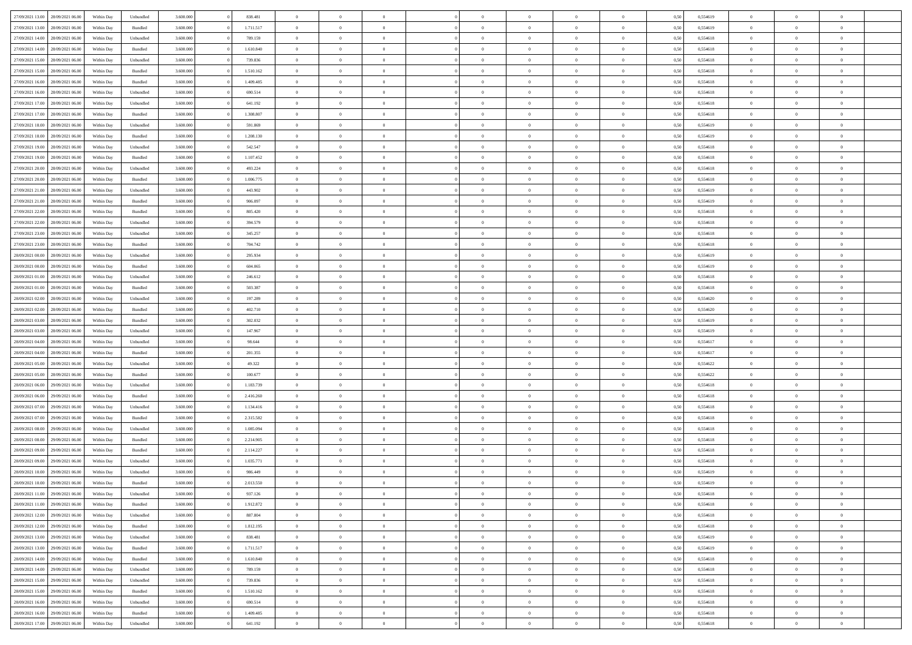| 27/09/2021 13:00<br>28/09/2021 06:00 | Within Day | Unbundled | 3.600.000 | 838.481   | $\overline{0}$ | $\theta$       |                | $\overline{0}$ | $\bf{0}$       | $\overline{0}$ | $\theta$       | 0,50 | 0,554619 | $\theta$       | $\theta$       | $\theta$       |  |
|--------------------------------------|------------|-----------|-----------|-----------|----------------|----------------|----------------|----------------|----------------|----------------|----------------|------|----------|----------------|----------------|----------------|--|
|                                      |            |           |           |           | $\overline{0}$ | $\overline{0}$ |                |                |                |                |                |      |          |                |                | $\overline{0}$ |  |
| 27/09/2021 13:00<br>28/09/2021 06.00 | Within Day | Bundled   | 3.600.000 | 1.711.517 |                |                | $\overline{0}$ | $\overline{0}$ | $\,$ 0         | $\bf{0}$       | $\bf{0}$       | 0,50 | 0,554619 | $\,$ 0 $\,$    | $\overline{0}$ |                |  |
| 27/09/2021 14:00<br>28/09/2021 06:00 | Within Day | Unbundled | 3.600,000 | 789.159   | $\overline{0}$ | $\overline{0}$ | $\overline{0}$ | $\overline{0}$ | $\bf{0}$       | $\overline{0}$ | $\overline{0}$ | 0,50 | 0,554618 | $\bf{0}$       | $\overline{0}$ | $\overline{0}$ |  |
| 27/09/2021 14:00<br>28/09/2021 06:00 | Within Day | Bundled   | 3.600.000 | 1.610.840 | $\overline{0}$ | $\overline{0}$ | $\overline{0}$ | $\overline{0}$ | $\bf{0}$       | $\overline{0}$ | $\overline{0}$ | 0,50 | 0,554618 | $\,$ 0 $\,$    | $\overline{0}$ | $\overline{0}$ |  |
| 27/09/2021 15:00<br>28/09/2021 06.00 | Within Day | Unbundled | 3.600.000 | 739.836   | $\overline{0}$ | $\theta$       | $\overline{0}$ |                | $\overline{0}$ | $\overline{0}$ | $\bf{0}$       | 0,50 | 0,554618 | $\,$ 0 $\,$    | $\overline{0}$ | $\overline{0}$ |  |
| 27/09/2021 15:00<br>28/09/2021 06:00 | Within Day | Bundled   | 3.600,000 | 1.510.162 | $\overline{0}$ | $\overline{0}$ | $\overline{0}$ | $\overline{0}$ | $\bf{0}$       | $\overline{0}$ | $\overline{0}$ | 0.50 | 0.554618 | $\,0\,$        | $\theta$       | $\overline{0}$ |  |
| 27/09/2021 16:00<br>28/09/2021 06:00 | Within Day | Bundled   | 3.600.000 | 1.409.485 | $\overline{0}$ | $\overline{0}$ | $\overline{0}$ | $\overline{0}$ | $\,$ 0         | $\overline{0}$ | $\overline{0}$ | 0,50 | 0,554618 | $\,$ 0 $\,$    | $\theta$       | $\overline{0}$ |  |
| 27/09/2021 16:00<br>28/09/2021 06.00 | Within Day | Unbundled | 3.600.000 | 690.514   | $\overline{0}$ | $\theta$       | $\overline{0}$ | $\overline{0}$ | $\bf{0}$       | $\overline{0}$ | $\bf{0}$       | 0,50 | 0,554618 | $\,$ 0 $\,$    | $\overline{0}$ | $\overline{0}$ |  |
| 27/09/2021 17:00<br>28/09/2021 06:00 | Within Day | Unbundled | 3.600,000 | 641.192   | $\overline{0}$ | $\overline{0}$ | $\overline{0}$ | $\overline{0}$ | $\bf{0}$       | $\overline{0}$ | $\bf{0}$       | 0.50 | 0.554618 | $\,0\,$        | $\overline{0}$ | $\overline{0}$ |  |
|                                      |            |           |           |           |                |                |                |                |                |                |                |      |          |                |                |                |  |
| 27/09/2021 17:00<br>28/09/2021 06:00 | Within Day | Bundled   | 3.600.000 | 1.308.807 | $\overline{0}$ | $\overline{0}$ | $\overline{0}$ | $\overline{0}$ | $\,$ 0         | $\overline{0}$ | $\bf{0}$       | 0,50 | 0,554618 | $\,$ 0 $\,$    | $\overline{0}$ | $\overline{0}$ |  |
| 27/09/2021 18:00<br>28/09/2021 06.00 | Within Day | Unbundled | 3.600.000 | 591.869   | $\overline{0}$ | $\theta$       | $\overline{0}$ | $\overline{0}$ | $\,$ 0         | $\overline{0}$ | $\bf{0}$       | 0,50 | 0,554619 | $\,$ 0 $\,$    | $\overline{0}$ | $\overline{0}$ |  |
| 27/09/2021 18:00<br>28/09/2021 06:00 | Within Day | Bundled   | 3.600,000 | 1.208.130 | $\overline{0}$ | $\overline{0}$ | $\overline{0}$ | $\overline{0}$ | $\bf{0}$       | $\overline{0}$ | $\mathbf{0}$   | 0.50 | 0.554619 | $\bf{0}$       | $\overline{0}$ | $\overline{0}$ |  |
| 27/09/2021 19:00<br>28/09/2021 06:00 | Within Day | Unbundled | 3.600.000 | 542.547   | $\overline{0}$ | $\overline{0}$ | $\overline{0}$ | $\overline{0}$ | $\,$ 0         | $\overline{0}$ | $\theta$       | 0,50 | 0,554618 | $\,$ 0 $\,$    | $\theta$       | $\overline{0}$ |  |
| 27/09/2021 19:00<br>28/09/2021 06.00 | Within Day | Bundled   | 3.600.000 | 1.107.452 | $\overline{0}$ | $\theta$       | $\overline{0}$ | $\overline{0}$ | $\overline{0}$ | $\overline{0}$ | $\bf{0}$       | 0,50 | 0,554618 | $\,$ 0 $\,$    | $\overline{0}$ | $\overline{0}$ |  |
| 27/09/2021 20:00<br>28/09/2021 06:00 | Within Day | Unbundled | 3.600,000 | 493.224   | $\overline{0}$ | $\overline{0}$ | $\overline{0}$ | $\overline{0}$ | $\,$ 0         | $\overline{0}$ | $\overline{0}$ | 0.50 | 0.554618 | $\theta$       | $\theta$       | $\overline{0}$ |  |
| 27/09/2021 20:00<br>28/09/2021 06:00 | Within Day | Bundled   | 3.600.000 | 1.006.775 | $\overline{0}$ | $\overline{0}$ | $\overline{0}$ | $\overline{0}$ | $\,$ 0         | $\overline{0}$ | $\bf{0}$       | 0,50 | 0,554618 | $\,$ 0 $\,$    | $\theta$       | $\overline{0}$ |  |
| 27/09/2021 21:00<br>28/09/2021 06.00 | Within Day | Unbundled | 3.600.000 | 443.902   | $\overline{0}$ | $\theta$       | $\overline{0}$ | $\overline{0}$ | $\bf{0}$       | $\overline{0}$ | $\bf{0}$       | 0,50 | 0,554619 | $\,$ 0 $\,$    | $\overline{0}$ | $\overline{0}$ |  |
| 27/09/2021 21:00<br>28/09/2021 06:00 | Within Day | Bundled   | 3.600,000 | 906,097   | $\overline{0}$ | $\overline{0}$ | $\overline{0}$ | $\overline{0}$ | $\bf{0}$       | $\overline{0}$ | $\bf{0}$       | 0.50 | 0.554619 | $\,0\,$        | $\overline{0}$ | $\overline{0}$ |  |
|                                      |            |           |           |           | $\overline{0}$ | $\overline{0}$ | $\overline{0}$ | $\overline{0}$ |                | $\overline{0}$ |                |      |          | $\,$ 0 $\,$    |                | $\overline{0}$ |  |
| 27/09/2021 22:00<br>28/09/2021 06:00 | Within Day | Bundled   | 3.600.000 | 805.420   |                |                |                |                | $\,$ 0         |                | $\bf{0}$       | 0,50 | 0,554618 |                | $\overline{0}$ |                |  |
| 27/09/2021 22:00<br>28/09/2021 06.00 | Within Day | Unbundled | 3.600.000 | 394.579   | $\bf{0}$       | $\theta$       | $\overline{0}$ | $\overline{0}$ | $\,$ 0         | $\bf{0}$       | $\bf{0}$       | 0,50 | 0,554618 | $\,$ 0 $\,$    | $\overline{0}$ | $\overline{0}$ |  |
| 27/09/2021 23:00<br>28/09/2021 06:00 | Within Day | Unbundled | 3.600,000 | 345.257   | $\overline{0}$ | $\overline{0}$ | $\overline{0}$ | $\overline{0}$ | $\bf{0}$       | $\overline{0}$ | $\mathbf{0}$   | 0.50 | 0.554618 | $\bf{0}$       | $\overline{0}$ | $\overline{0}$ |  |
| 27/09/2021 23:00<br>28/09/2021 06:00 | Within Day | Bundled   | 3.600.000 | 704.742   | $\overline{0}$ | $\overline{0}$ | $\overline{0}$ | $\overline{0}$ | $\bf{0}$       | $\overline{0}$ | $\overline{0}$ | 0,50 | 0,554618 | $\,$ 0 $\,$    | $\overline{0}$ | $\overline{0}$ |  |
| 28/09/2021 00:00<br>28/09/2021 06.00 | Within Day | Unbundled | 3.600.000 | 295.934   | $\overline{0}$ | $\theta$       | $\overline{0}$ | $\overline{0}$ | $\bf{0}$       | $\overline{0}$ | $\bf{0}$       | 0,50 | 0,554619 | $\,$ 0 $\,$    | $\overline{0}$ | $\overline{0}$ |  |
| 28/09/2021 00:00<br>28/09/2021 06:00 | Within Day | Bundled   | 3.600,000 | 604,065   | $\overline{0}$ | $\overline{0}$ | $\overline{0}$ | $\overline{0}$ | $\bf{0}$       | $\overline{0}$ | $\overline{0}$ | 0.50 | 0.554619 | $\,0\,$        | $\theta$       | $\overline{0}$ |  |
| 28/09/2021 01:00<br>28/09/2021 06:00 | Within Day | Unbundled | 3.600.000 | 246.612   | $\overline{0}$ | $\overline{0}$ | $\overline{0}$ | $\overline{0}$ | $\,$ 0         | $\overline{0}$ | $\overline{0}$ | 0,50 | 0,554618 | $\,0\,$        | $\theta$       | $\overline{0}$ |  |
| 28/09/2021 01:00<br>28/09/2021 06.00 | Within Day | Bundled   | 3.600.000 | 503.387   | $\overline{0}$ | $\theta$       | $\overline{0}$ |                | $\bf{0}$       | $\overline{0}$ | $\bf{0}$       | 0,50 | 0,554618 | $\,$ 0 $\,$    | $\overline{0}$ | $\overline{0}$ |  |
| 28/09/2021 02:00<br>28/09/2021 06:00 | Within Day | Unbundled | 3.600,000 | 197.289   | $\overline{0}$ | $\overline{0}$ | $\overline{0}$ | $\overline{0}$ | $\bf{0}$       | $\overline{0}$ | $\bf{0}$       | 0.50 | 0.554620 | $\,0\,$        | $\overline{0}$ | $\overline{0}$ |  |
| 28/09/2021 02:00<br>28/09/2021 06:00 | Within Day | Bundled   | 3.600.000 | 402.710   | $\overline{0}$ | $\overline{0}$ | $\overline{0}$ | $\overline{0}$ | $\,$ 0         | $\overline{0}$ | $\bf{0}$       | 0,50 | 0,554620 | $\,$ 0 $\,$    | $\overline{0}$ | $\overline{0}$ |  |
|                                      |            |           |           |           |                | $\overline{0}$ |                |                |                |                |                |      |          |                |                |                |  |
| 28/09/2021 03:00<br>28/09/2021 06.00 | Within Day | Bundled   | 3.600.000 | 302.032   | $\bf{0}$       |                | $\overline{0}$ | $\overline{0}$ | $\,$ 0         | $\bf{0}$       | $\bf{0}$       | 0,50 | 0,554619 | $\,$ 0 $\,$    | $\overline{0}$ | $\overline{0}$ |  |
| 28/09/2021 03:00<br>28/09/2021 06:00 | Within Day | Unbundled | 3.600,000 | 147.967   | $\overline{0}$ | $\overline{0}$ | $\overline{0}$ | $\overline{0}$ | $\bf{0}$       | $\overline{0}$ | $\mathbf{0}$   | 0.50 | 0.554619 | $\bf{0}$       | $\overline{0}$ | $\overline{0}$ |  |
| 28/09/2021 04:00<br>28/09/2021 06:00 | Within Dav | Unbundled | 3.600.000 | 98.644    | $\overline{0}$ | $\overline{0}$ | $\overline{0}$ | $\overline{0}$ | $\bf{0}$       | $\overline{0}$ | $\overline{0}$ | 0.50 | 0,554617 | $\theta$       | $\overline{0}$ | $\overline{0}$ |  |
| 28/09/2021 04:00<br>28/09/2021 06.00 | Within Day | Bundled   | 3.600.000 | 201.355   | $\overline{0}$ | $\theta$       | $\overline{0}$ | $\overline{0}$ | $\bf{0}$       | $\overline{0}$ | $\bf{0}$       | 0,50 | 0,554617 | $\,$ 0 $\,$    | $\overline{0}$ | $\overline{0}$ |  |
| 28/09/2021 05:00<br>28/09/2021 06:00 | Within Day | Unbundled | 3.600,000 | 49.322    | $\overline{0}$ | $\overline{0}$ | $\overline{0}$ | $\overline{0}$ | $\,$ 0         | $\overline{0}$ | $\bf{0}$       | 0.50 | 0.554622 | $\,0\,$        | $\theta$       | $\overline{0}$ |  |
| 28/09/2021 05:00<br>28/09/2021 06:00 | Within Dav | Bundled   | 3.600.000 | 100.677   | $\overline{0}$ | $\theta$       | $\Omega$       | $\overline{0}$ | $\bf{0}$       | $\overline{0}$ | $\overline{0}$ | 0.50 | 0,554622 | $\theta$       | $\overline{0}$ | $\overline{0}$ |  |
| 28/09/2021 06:00<br>29/09/2021 06.00 | Within Day | Unbundled | 3.600.000 | 1.183.739 | $\overline{0}$ | $\theta$       | $\overline{0}$ | $\overline{0}$ | $\,$ 0         | $\overline{0}$ | $\bf{0}$       | 0,50 | 0,554618 | $\,$ 0 $\,$    | $\overline{0}$ | $\overline{0}$ |  |
| 28/09/2021 06:00<br>29/09/2021 06:00 | Within Day | Bundled   | 3.600,000 | 2.416.260 | $\overline{0}$ | $\overline{0}$ | $\overline{0}$ | $\overline{0}$ | $\bf{0}$       | $\overline{0}$ | $\bf{0}$       | 0.50 | 0.554618 | $\,0\,$        | $\overline{0}$ | $\overline{0}$ |  |
| 28/09/2021 07:00<br>29/09/2021 06:00 | Within Dav | Unbundled | 3.600.000 | 1.134.416 | $\overline{0}$ | $\overline{0}$ | $\overline{0}$ | $\overline{0}$ | $\overline{0}$ | $\overline{0}$ | $\overline{0}$ | 0.50 | 0,554618 | $\theta$       | $\overline{0}$ | $\overline{0}$ |  |
| 28/09/2021 07:00<br>29/09/2021 06.00 | Within Day | Bundled   | 3.600.000 | 2.315.582 | $\bf{0}$       | $\overline{0}$ | $\overline{0}$ | $\overline{0}$ | $\bf{0}$       | $\bf{0}$       | $\bf{0}$       | 0,50 | 0,554618 | $\,$ 0 $\,$    | $\overline{0}$ | $\overline{0}$ |  |
|                                      |            |           |           |           |                |                |                |                |                |                |                |      |          |                |                |                |  |
| 28/09/2021 08:00<br>29/09/2021 06:00 | Within Day | Unbundled | 3.600,000 | 1.085.094 | $\overline{0}$ | $\overline{0}$ | $\overline{0}$ | $\overline{0}$ | $\bf{0}$       | $\overline{0}$ | $\mathbf{0}$   | 0.50 | 0.554618 | $\bf{0}$       | $\overline{0}$ | $\overline{0}$ |  |
| 28/09/2021 08:00<br>29/09/2021 06:00 | Within Dav | Bundled   | 3.600.000 | 2.214.905 | $\overline{0}$ | $\overline{0}$ | $\Omega$       | $\overline{0}$ | $\bf{0}$       | $\overline{0}$ | $\overline{0}$ | 0.50 | 0,554618 | $\theta$       | $\overline{0}$ | $\overline{0}$ |  |
| 28/09/2021 09:00<br>29/09/2021 06.00 | Within Day | Bundled   | 3.600.000 | 2.114.227 | $\bf{0}$       | $\theta$       | $\overline{0}$ | $\overline{0}$ | $\,$ 0         | $\overline{0}$ | $\bf{0}$       | 0,50 | 0,554618 | $\,$ 0 $\,$    | $\overline{0}$ | $\overline{0}$ |  |
| 28/09/2021 09:00<br>29/09/2021 06:00 | Within Day | Unbundled | 3.600,000 | 1.035.771 | $\overline{0}$ | $\theta$       | $\overline{0}$ | $\overline{0}$ | $\overline{0}$ | $\Omega$       | $\overline{0}$ | 0.50 | 0.554618 | $\,0\,$        | $\theta$       | $\theta$       |  |
| 28/09/2021 10:00<br>29/09/2021 06:00 | Within Dav | Unbundled | 3.600.000 | 986,449   | $\overline{0}$ | $\Omega$       | $\Omega$       | $\Omega$       | $\bf{0}$       | $\overline{0}$ | $\Omega$       | 0.50 | 0,554619 | $\theta$       | $\theta$       | $\overline{0}$ |  |
| 28/09/2021 10:00<br>29/09/2021 06:00 | Within Day | Bundled   | 3.600.000 | 2.013.550 | $\bf{0}$       | $\,$ 0 $\,$    | $\overline{0}$ | $\overline{0}$ | $\,$ 0         | $\bf{0}$       | $\bf{0}$       | 0,50 | 0,554619 | $\,$ 0 $\,$    | $\overline{0}$ | $\overline{0}$ |  |
| 28/09/2021 11:00<br>29/09/2021 06:00 | Within Day | Unbundled | 3.600.000 | 937.126   | $\bf{0}$       | $\theta$       |                |                |                |                |                | 0,50 | 0,554618 | $\bf{0}$       | $\theta$       |                |  |
| 28/09/2021 11:00<br>29/09/2021 06:00 | Within Day | Bundled   | 3.600.000 | 1.912.872 | $\overline{0}$ | $\overline{0}$ | $\overline{0}$ | $\overline{0}$ | $\overline{0}$ | $\overline{0}$ | $\mathbf{0}$   | 0,50 | 0,554618 | $\theta$       | $\overline{0}$ | $\overline{0}$ |  |
| 28/09/2021 12:00<br>29/09/2021 06:00 | Within Day | Unbundled | 3.600.000 | 887.804   | $\overline{0}$ | $\bf{0}$       | $\overline{0}$ | $\bf{0}$       | $\overline{0}$ | $\overline{0}$ | $\bf{0}$       | 0,50 | 0,554618 | $\bf{0}$       | $\overline{0}$ | $\bf{0}$       |  |
| 28/09/2021 12:00<br>29/09/2021 06:00 | Within Day | Bundled   | 3.600.000 | 1.812.195 | $\overline{0}$ | $\overline{0}$ | $\overline{0}$ | $\overline{0}$ | $\overline{0}$ | $\overline{0}$ | $\mathbf{0}$   | 0.50 | 0.554618 | $\overline{0}$ | $\bf{0}$       | $\bf{0}$       |  |
| 28/09/2021 13:00<br>29/09/2021 06:00 | Within Day | Unbundled | 3.600.000 | 838.481   | $\overline{0}$ | $\overline{0}$ | $\overline{0}$ | $\overline{0}$ | $\overline{0}$ | $\overline{0}$ | $\mathbf{0}$   | 0,50 | 0,554619 | $\overline{0}$ | $\theta$       | $\overline{0}$ |  |
|                                      |            |           |           |           |                |                |                |                |                |                |                |      |          |                |                |                |  |
| 28/09/2021 13:00<br>29/09/2021 06:00 | Within Day | Bundled   | 3.600.000 | 1.711.517 | $\overline{0}$ | $\overline{0}$ | $\overline{0}$ | $\overline{0}$ | $\bf{0}$       | $\bf{0}$       | $\bf{0}$       | 0,50 | 0,554619 | $\bf{0}$       | $\overline{0}$ | $\overline{0}$ |  |
| 28/09/2021 14:00<br>29/09/2021 06:00 | Within Day | Bundled   | 3.600.000 | 1.610.840 | $\overline{0}$ | $\overline{0}$ | $\overline{0}$ | $\overline{0}$ | $\bf{0}$       | $\overline{0}$ | $\mathbf{0}$   | 0.50 | 0.554618 | $\,$ 0 $\,$    | $\overline{0}$ | $\overline{0}$ |  |
| 28/09/2021 14:00<br>29/09/2021 06:00 | Within Day | Unbundled | 3.600.000 | 789.159   | $\overline{0}$ | $\overline{0}$ | $\overline{0}$ | $\overline{0}$ | $\overline{0}$ | $\overline{0}$ | $\overline{0}$ | 0,50 | 0,554618 | $\overline{0}$ | $\theta$       | $\overline{0}$ |  |
| 28/09/2021 15:00<br>29/09/2021 06:00 | Within Day | Unbundled | 3.600.000 | 739.836   | $\overline{0}$ | $\,$ 0         | $\overline{0}$ | $\bf{0}$       | $\overline{0}$ | $\overline{0}$ | $\bf{0}$       | 0,50 | 0,554618 | $\,$ 0 $\,$    | $\overline{0}$ | $\overline{0}$ |  |
| 28/09/2021 15:00<br>29/09/2021 06:00 | Within Day | Bundled   | 3.600.000 | 1.510.162 | $\overline{0}$ | $\overline{0}$ | $\overline{0}$ | $\overline{0}$ | $\bf{0}$       | $\overline{0}$ | $\mathbf{0}$   | 0.50 | 0.554618 | $\mathbf{0}$   | $\bf{0}$       | $\bf{0}$       |  |
| 28/09/2021 16:00<br>29/09/2021 06:00 | Within Day | Unbundled | 3.600.000 | 690.514   | $\overline{0}$ | $\overline{0}$ | $\overline{0}$ | $\overline{0}$ | $\overline{0}$ | $\overline{0}$ | $\overline{0}$ | 0,50 | 0,554618 | $\overline{0}$ | $\overline{0}$ | $\overline{0}$ |  |
| 28/09/2021 16:00<br>29/09/2021 06:00 | Within Day | Bundled   | 3.600.000 | 1.409.485 | $\overline{0}$ | $\bf{0}$       | $\overline{0}$ | $\bf{0}$       | $\bf{0}$       | $\bf{0}$       | $\bf{0}$       | 0,50 | 0,554618 | $\bf{0}$       | $\overline{0}$ | $\bf{0}$       |  |
| 28/09/2021 17:00 29/09/2021 06:00    | Within Day | Unbundled | 3.600.000 | 641.192   | $\,$ 0 $\,$    | $\,$ 0 $\,$    | $\overline{0}$ | $\overline{0}$ | $\,$ 0 $\,$    | $\,$ 0 $\,$    | $\,$ 0 $\,$    | 0,50 | 0,554618 | $\mathbf{0}^-$ | $\,$ 0 $\,$    | $\,$ 0 $\,$    |  |
|                                      |            |           |           |           |                |                |                |                |                |                |                |      |          |                |                |                |  |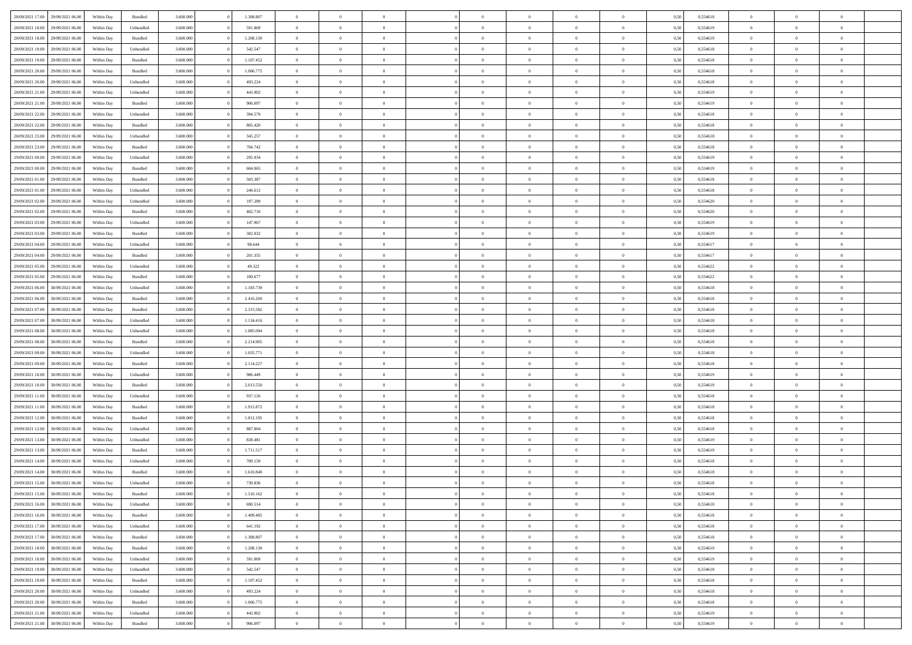| 28/09/2021 17:00 | 29/09/2021 06:00 | Within Day | Bundled   | 3.600.000 | 1.308.807 | $\overline{0}$ | $\Omega$       |                | $\Omega$       | $\Omega$       | $\Omega$       | $\theta$       | 0,50 | 0,554618 | $\theta$       | $\theta$       | $\theta$       |  |
|------------------|------------------|------------|-----------|-----------|-----------|----------------|----------------|----------------|----------------|----------------|----------------|----------------|------|----------|----------------|----------------|----------------|--|
| 28/09/2021 18:00 | 29/09/2021 06:00 | Within Day | Unbundled | 3.600.000 | 591.869   | $\overline{0}$ | $\theta$       | $\overline{0}$ | $\overline{0}$ | $\bf{0}$       | $\overline{0}$ | $\bf{0}$       | 0,50 | 0,554619 | $\theta$       | $\theta$       | $\overline{0}$ |  |
| 28/09/2021 18:00 | 29/09/2021 06:00 | Within Day | Bundled   | 3.600.000 | 1.208.130 | $\overline{0}$ | $\overline{0}$ | $\overline{0}$ | $\bf{0}$       | $\bf{0}$       | $\bf{0}$       | $\bf{0}$       | 0,50 | 0,554619 | $\bf{0}$       | $\overline{0}$ | $\overline{0}$ |  |
| 28/09/2021 19:00 | 29/09/2021 06:00 | Within Dav | Unbundled | 3.600,000 | 542.547   | $\overline{0}$ | $\overline{0}$ | $\overline{0}$ | $\overline{0}$ | $\bf{0}$       | $\overline{0}$ | $\overline{0}$ | 0.50 | 0.554618 | $\theta$       | $\theta$       | $\overline{0}$ |  |
| 28/09/2021 19:00 | 29/09/2021 06:00 | Within Day | Bundled   | 3.600.000 | 1.107.452 | $\overline{0}$ | $\theta$       | $\overline{0}$ | $\overline{0}$ | $\bf{0}$       | $\overline{0}$ | $\bf{0}$       | 0,50 | 0,554618 | $\theta$       | $\theta$       | $\overline{0}$ |  |
|                  |                  |            |           |           |           |                |                |                |                |                |                |                |      |          |                |                |                |  |
| 28/09/2021 20:00 | 29/09/2021 06:00 | Within Day | Bundled   | 3.600.000 | 1.006.775 | $\overline{0}$ | $\bf{0}$       | $\overline{0}$ | $\bf{0}$       | $\overline{0}$ | $\overline{0}$ | $\mathbf{0}$   | 0,50 | 0,554618 | $\bf{0}$       | $\overline{0}$ | $\bf{0}$       |  |
| 28/09/2021 20:00 | 29/09/2021 06:00 | Within Dav | Unbundled | 3.600.000 | 493.224   | $\overline{0}$ | $\overline{0}$ | $\overline{0}$ | $\overline{0}$ | $\overline{0}$ | $\overline{0}$ | $\overline{0}$ | 0.50 | 0,554618 | $\theta$       | $\overline{0}$ | $\overline{0}$ |  |
| 28/09/2021 21:00 | 29/09/2021 06:00 | Within Day | Unbundled | 3.600.000 | 443.902   | $\overline{0}$ | $\theta$       | $\overline{0}$ | $\overline{0}$ | $\bf{0}$       | $\overline{0}$ | $\bf{0}$       | 0,50 | 0,554619 | $\theta$       | $\theta$       | $\overline{0}$ |  |
| 28/09/2021 21:00 | 29/09/2021 06:00 | Within Day | Bundled   | 3.600.000 | 906.097   | $\overline{0}$ | $\overline{0}$ | $\overline{0}$ | $\bf{0}$       | $\bf{0}$       | $\bf{0}$       | $\bf{0}$       | 0,50 | 0,554619 | $\,0\,$        | $\overline{0}$ | $\overline{0}$ |  |
| 28/09/2021 22:00 | 29/09/2021 06:00 | Within Dav | Unbundled | 3.600.000 | 394.579   | $\overline{0}$ | $\overline{0}$ | $\overline{0}$ | $\overline{0}$ | $\overline{0}$ | $\overline{0}$ | $\overline{0}$ | 0.50 | 0.554618 | $\theta$       | $\overline{0}$ | $\overline{0}$ |  |
| 28/09/2021 22:00 | 29/09/2021 06:00 | Within Day | Bundled   | 3.600.000 | 805.420   | $\overline{0}$ | $\theta$       | $\overline{0}$ | $\overline{0}$ | $\bf{0}$       | $\overline{0}$ | $\bf{0}$       | 0,50 | 0,554618 | $\,$ 0 $\,$    | $\overline{0}$ | $\overline{0}$ |  |
|                  |                  |            |           |           |           |                |                |                |                |                |                |                |      |          |                |                |                |  |
| 28/09/2021 23:00 | 29/09/2021 06:00 | Within Day | Unbundled | 3.600.000 | 345.257   | $\overline{0}$ | $\overline{0}$ | $\overline{0}$ | $\bf{0}$       | $\bf{0}$       | $\bf{0}$       | $\mathbf{0}$   | 0,50 | 0,554618 | $\bf{0}$       | $\overline{0}$ | $\overline{0}$ |  |
| 28/09/2021 23:00 | 29/09/2021 06:00 | Within Day | Bundled   | 3.600.000 | 704.742   | $\overline{0}$ | $\overline{0}$ | $\overline{0}$ | $\overline{0}$ | $\bf{0}$       | $\overline{0}$ | $\overline{0}$ | 0.50 | 0.554618 | $\theta$       | $\theta$       | $\overline{0}$ |  |
| 29/09/2021 00:00 | 29/09/2021 06:00 | Within Day | Unbundled | 3.600.000 | 295.934   | $\overline{0}$ | $\theta$       | $\overline{0}$ | $\overline{0}$ | $\bf{0}$       | $\overline{0}$ | $\bf{0}$       | 0,50 | 0,554619 | $\theta$       | $\theta$       | $\overline{0}$ |  |
| 29/09/2021 00:00 | 29/09/2021 06:00 | Within Day | Bundled   | 3.600.000 | 604.065   | $\overline{0}$ | $\overline{0}$ | $\overline{0}$ | $\bf{0}$       | $\overline{0}$ | $\overline{0}$ | $\mathbf{0}$   | 0,50 | 0,554619 | $\bf{0}$       | $\overline{0}$ | $\bf{0}$       |  |
| 29/09/2021 01:00 | 29/09/2021 06:00 | Within Dav | Bundled   | 3.600.000 | 503.387   | $\overline{0}$ | $\overline{0}$ | $\overline{0}$ | $\overline{0}$ | $\overline{0}$ | $\overline{0}$ | $\overline{0}$ | 0.50 | 0.554618 | $\theta$       | $\overline{0}$ | $\overline{0}$ |  |
| 29/09/2021 01:00 | 29/09/2021 06:00 | Within Day | Unbundled | 3.600.000 | 246.612   | $\overline{0}$ | $\theta$       | $\overline{0}$ | $\overline{0}$ | $\bf{0}$       | $\overline{0}$ | $\bf{0}$       | 0,50 | 0,554618 | $\theta$       | $\theta$       | $\overline{0}$ |  |
| 29/09/2021 02:00 | 29/09/2021 06:00 | Within Day | Unbundled | 3.600.000 | 197.289   | $\overline{0}$ | $\overline{0}$ | $\overline{0}$ | $\bf{0}$       | $\bf{0}$       | $\bf{0}$       | $\mathbf{0}$   | 0,50 | 0,554620 | $\,0\,$        | $\overline{0}$ | $\overline{0}$ |  |
|                  | 29/09/2021 06:00 |            | Bundled   | 3.600.000 | 402.710   | $\overline{0}$ | $\overline{0}$ | $\overline{0}$ | $\overline{0}$ | $\overline{0}$ | $\overline{0}$ | $\overline{0}$ | 0.50 | 0,554620 | $\theta$       | $\overline{0}$ | $\overline{0}$ |  |
| 29/09/2021 02:00 |                  | Within Day |           |           |           |                |                |                |                |                |                |                |      |          |                |                |                |  |
| 29/09/2021 03:00 | 29/09/2021 06:00 | Within Day | Unbundled | 3.600.000 | 147.967   | $\overline{0}$ | $\theta$       | $\overline{0}$ | $\overline{0}$ | $\bf{0}$       | $\overline{0}$ | $\bf{0}$       | 0,50 | 0,554619 | $\,$ 0 $\,$    | $\theta$       | $\overline{0}$ |  |
| 29/09/2021 03:00 | 29/09/2021 06:00 | Within Day | Bundled   | 3.600.000 | 302.032   | $\overline{0}$ | $\overline{0}$ | $\overline{0}$ | $\bf{0}$       | $\bf{0}$       | $\bf{0}$       | $\bf{0}$       | 0,50 | 0,554619 | $\bf{0}$       | $\overline{0}$ | $\overline{0}$ |  |
| 29/09/2021 04:00 | 29/09/2021 06:00 | Within Day | Unbundled | 3.600.000 | 98.644    | $\overline{0}$ | $\overline{0}$ | $\overline{0}$ | $\overline{0}$ | $\bf{0}$       | $\overline{0}$ | $\overline{0}$ | 0.50 | 0.554617 | $\theta$       | $\overline{0}$ | $\overline{0}$ |  |
| 29/09/2021 04:00 | 29/09/2021 06:00 | Within Day | Bundled   | 3.600.000 | 201.355   | $\overline{0}$ | $\theta$       | $\overline{0}$ | $\overline{0}$ | $\bf{0}$       | $\overline{0}$ | $\bf{0}$       | 0,50 | 0,554617 | $\,$ 0 $\,$    | $\overline{0}$ | $\overline{0}$ |  |
| 29/09/2021 05:00 | 29/09/2021 06:00 | Within Day | Unbundled | 3.600.000 | 49.322    | $\overline{0}$ | $\bf{0}$       | $\overline{0}$ | $\bf{0}$       | $\overline{0}$ | $\overline{0}$ | $\mathbf{0}$   | 0,50 | 0,554622 | $\bf{0}$       | $\overline{0}$ | $\bf{0}$       |  |
| 29/09/2021 05:00 | 29/09/2021 06:00 | Within Dav | Bundled   | 3.600.000 | 100.677   | $\overline{0}$ | $\overline{0}$ | $\overline{0}$ | $\overline{0}$ | $\overline{0}$ | $\overline{0}$ | $\overline{0}$ | 0.50 | 0,554622 | $\theta$       | $\theta$       | $\overline{0}$ |  |
|                  |                  |            |           |           |           | $\overline{0}$ | $\theta$       | $\overline{0}$ |                | $\bf{0}$       | $\overline{0}$ |                |      |          | $\theta$       | $\theta$       | $\overline{0}$ |  |
| 29/09/2021 06:00 | 30/09/2021 06:00 | Within Day | Unbundled | 3.600.000 | 1.183.739 |                |                |                | $\overline{0}$ |                |                | $\bf{0}$       | 0,50 | 0,554618 |                |                |                |  |
| 29/09/2021 06:00 | 30/09/2021 06:00 | Within Day | Bundled   | 3.600.000 | 2.416.260 | $\overline{0}$ | $\overline{0}$ | $\overline{0}$ | $\bf{0}$       | $\bf{0}$       | $\bf{0}$       | $\bf{0}$       | 0,50 | 0,554618 | $\,0\,$        | $\overline{0}$ | $\overline{0}$ |  |
| 29/09/2021 07:00 | 30/09/2021 06:00 | Within Day | Bundled   | 3.600.000 | 2.315.582 | $\overline{0}$ | $\overline{0}$ | $\overline{0}$ | $\overline{0}$ | $\overline{0}$ | $\overline{0}$ | $\overline{0}$ | 0.50 | 0.554618 | $\theta$       | $\overline{0}$ | $\overline{0}$ |  |
| 29/09/2021 07:00 | 30/09/2021 06:00 | Within Day | Unbundled | 3.600.000 | 1.134.416 | $\overline{0}$ | $\theta$       | $\overline{0}$ | $\overline{0}$ | $\bf{0}$       | $\overline{0}$ | $\bf{0}$       | 0,50 | 0,554618 | $\,$ 0 $\,$    | $\overline{0}$ | $\overline{0}$ |  |
| 29/09/2021 08:00 | 30/09/2021 06:00 | Within Day | Unbundled | 3.600.000 | 1.085.094 | $\overline{0}$ | $\overline{0}$ | $\overline{0}$ | $\bf{0}$       | $\bf{0}$       | $\bf{0}$       | $\bf{0}$       | 0,50 | 0,554618 | $\bf{0}$       | $\overline{0}$ | $\overline{0}$ |  |
| 29/09/2021 08:00 | 30/09/2021 06:00 | Within Day | Bundled   | 3.600.000 | 2.214.905 | $\overline{0}$ | $\Omega$       | $\Omega$       | $\Omega$       | $\Omega$       | $\Omega$       | $\overline{0}$ | 0,50 | 0,554618 | $\,0\,$        | $\theta$       | $\theta$       |  |
| 29/09/2021 09:00 | 30/09/2021 06:00 | Within Day | Unbundled | 3.600.000 | 1.035.771 | $\overline{0}$ | $\theta$       | $\overline{0}$ | $\overline{0}$ | $\bf{0}$       | $\overline{0}$ | $\bf{0}$       | 0,50 | 0,554618 | $\theta$       | $\theta$       | $\overline{0}$ |  |
|                  |                  |            |           |           |           |                |                |                |                |                |                |                |      |          |                |                |                |  |
| 29/09/2021 09:00 | 30/09/2021 06:00 | Within Day | Bundled   | 3.600.000 | 2.114.227 | $\overline{0}$ | $\overline{0}$ | $\overline{0}$ | $\bf{0}$       | $\bf{0}$       | $\overline{0}$ | $\mathbf{0}$   | 0,50 | 0,554618 | $\bf{0}$       | $\overline{0}$ | $\bf{0}$       |  |
| 29/09/2021 10:00 | 30/09/2021 06:00 | Within Day | Unbundled | 3.600,000 | 986,449   | $\overline{0}$ | $\Omega$       | $\Omega$       | $\Omega$       | $\bf{0}$       | $\overline{0}$ | $\overline{0}$ | 0.50 | 0.554619 | $\theta$       | $\theta$       | $\theta$       |  |
| 29/09/2021 10:00 | 30/09/2021 06:00 | Within Day | Bundled   | 3.600.000 | 2.013.550 | $\overline{0}$ | $\theta$       | $\overline{0}$ | $\overline{0}$ | $\bf{0}$       | $\overline{0}$ | $\bf{0}$       | 0,50 | 0,554619 | $\,$ 0 $\,$    | $\theta$       | $\overline{0}$ |  |
| 29/09/2021 11:00 | 30/09/2021 06:00 | Within Day | Unbundled | 3.600.000 | 937.126   | $\overline{0}$ | $\overline{0}$ | $\overline{0}$ | $\bf{0}$       | $\bf{0}$       | $\bf{0}$       | $\bf{0}$       | 0,50 | 0,554618 | $\bf{0}$       | $\overline{0}$ | $\overline{0}$ |  |
| 29/09/2021 11:00 | 30/09/2021 06:00 | Within Day | Bundled   | 3.600,000 | 1.912.872 | $\overline{0}$ | $\Omega$       | $\Omega$       | $\Omega$       | $\theta$       | $\theta$       | $\overline{0}$ | 0.50 | 0.554618 | $\theta$       | $\theta$       | $\theta$       |  |
| 29/09/2021 12:00 | 30/09/2021 06:00 | Within Day | Bundled   | 3.600.000 | 1.812.195 | $\overline{0}$ | $\theta$       | $\overline{0}$ | $\overline{0}$ | $\bf{0}$       | $\overline{0}$ | $\bf{0}$       | 0,50 | 0,554618 | $\,$ 0 $\,$    | $\overline{0}$ | $\overline{0}$ |  |
| 29/09/2021 12:00 | 30/09/2021 06:00 | Within Day | Unbundled | 3.600.000 | 887.804   | $\overline{0}$ | $\overline{0}$ | $\overline{0}$ | $\bf{0}$       | $\bf{0}$       | $\bf{0}$       | $\bf{0}$       | 0,50 | 0,554618 | $\bf{0}$       | $\overline{0}$ | $\overline{0}$ |  |
|                  |                  |            |           |           |           | $\overline{0}$ | $\Omega$       | $\overline{0}$ | $\Omega$       | $\Omega$       | $\overline{0}$ | $\overline{0}$ |      |          | $\,0\,$        | $\theta$       | $\theta$       |  |
| 29/09/2021 13:00 | 30/09/2021 06:00 | Within Day | Unbundled | 3.600.000 | 838.481   |                |                |                |                |                |                |                | 0,50 | 0,554619 |                |                |                |  |
| 29/09/2021 13:00 | 30/09/2021 06:00 | Within Day | Bundled   | 3.600.000 | 1.711.517 | $\overline{0}$ | $\theta$       | $\overline{0}$ | $\overline{0}$ | $\bf{0}$       | $\overline{0}$ | $\bf{0}$       | 0,50 | 0,554619 | $\,$ 0 $\,$    | $\overline{0}$ | $\overline{0}$ |  |
| 29/09/2021 14:00 | 30/09/2021 06:00 | Within Day | Unbundled | 3.600.000 | 789.159   | $\overline{0}$ | $\overline{0}$ | $\overline{0}$ | $\bf{0}$       | $\bf{0}$       | $\bf{0}$       | $\mathbf{0}$   | 0,50 | 0,554618 | $\bf{0}$       | $\overline{0}$ | $\bf{0}$       |  |
| 29/09/2021 14:00 | 30/09/2021 06:00 | Within Day | Bundled   | 3.600,000 | 1.610.840 | $\overline{0}$ | $\Omega$       | $\Omega$       | $\Omega$       | $\Omega$       | $\Omega$       | $\overline{0}$ | 0.50 | 0.554618 | $\theta$       | $\theta$       | $\theta$       |  |
| 29/09/2021 15:00 | 30/09/2021 06:00 | Within Day | Unbundled | 3.600.000 | 739.836   | $\overline{0}$ | $\overline{0}$ | $\overline{0}$ | $\bf{0}$       | $\,$ 0         | $\bf{0}$       | $\bf{0}$       | 0,50 | 0,554618 | $\,0\,$        | $\overline{0}$ | $\overline{0}$ |  |
| 29/09/2021 15:00 | 30/09/2021 06:00 | Within Day | Bundled   | 3.600.000 | 1.510.162 | $\bf{0}$       | $\bf{0}$       |                |                |                |                |                | 0,50 | 0,554618 | $\bf{0}$       | $\overline{0}$ |                |  |
| 29/09/2021 16:00 | 30/09/2021 06:00 | Within Day | Unbundled | 3.600,000 | 690.514   | $\overline{0}$ | $\overline{0}$ | $\overline{0}$ | $\Omega$       | $\overline{0}$ | $\overline{0}$ | $\overline{0}$ | 0.50 | 0.554618 | $\theta$       | $\theta$       | $\theta$       |  |
| 29/09/2021 16:00 | 30/09/2021 06:00 | Within Day | Bundled   | 3.600.000 | 1.409.485 | $\overline{0}$ | $\,$ 0         | $\overline{0}$ | $\bf{0}$       | $\,$ 0 $\,$    | $\overline{0}$ | $\,$ 0 $\,$    | 0,50 | 0,554618 | $\,$ 0 $\,$    | $\,$ 0 $\,$    | $\,$ 0         |  |
| 29/09/2021 17:00 | 30/09/2021 06:00 | Within Day | Unbundled | 3.600.000 | 641.192   | $\overline{0}$ | $\overline{0}$ | $\overline{0}$ | $\overline{0}$ | $\overline{0}$ | $\overline{0}$ | $\mathbf{0}$   | 0,50 | 0,554618 | $\overline{0}$ | $\bf{0}$       | $\bf{0}$       |  |
|                  |                  |            |           |           |           |                |                |                |                |                |                |                |      |          |                |                |                |  |
| 29/09/2021 17:00 | 30/09/2021 06:00 | Within Day | Bundled   | 3.600.000 | 1.308.807 | $\overline{0}$ | $\overline{0}$ | $\overline{0}$ | $\Omega$       | $\overline{0}$ | $\overline{0}$ | $\overline{0}$ | 0,50 | 0,554618 | $\overline{0}$ | $\theta$       | $\overline{0}$ |  |
| 29/09/2021 18:00 | 30/09/2021 06:00 | Within Day | Bundled   | 3.600.000 | 1.208.130 | $\overline{0}$ | $\,$ 0         | $\overline{0}$ | $\overline{0}$ | $\,$ 0 $\,$    | $\overline{0}$ | $\mathbf{0}$   | 0,50 | 0,554619 | $\,$ 0 $\,$    | $\overline{0}$ | $\overline{0}$ |  |
| 29/09/2021 18:00 | 30/09/2021 06:00 | Within Day | Unbundled | 3.600.000 | 591.869   | $\overline{0}$ | $\overline{0}$ | $\overline{0}$ | $\overline{0}$ | $\overline{0}$ | $\overline{0}$ | $\mathbf{0}$   | 0,50 | 0,554619 | $\overline{0}$ | $\overline{0}$ | $\bf{0}$       |  |
| 29/09/2021 19:00 | 30/09/2021 06:00 | Within Day | Unbundled | 3.600,000 | 542.547   | $\overline{0}$ | $\overline{0}$ | $\overline{0}$ | $\Omega$       | $\overline{0}$ | $\overline{0}$ | $\bf{0}$       | 0.50 | 0,554618 | $\overline{0}$ | $\theta$       | $\overline{0}$ |  |
| 29/09/2021 19:00 | 30/09/2021 06:00 | Within Day | Bundled   | 3.600.000 | 1.107.452 | $\overline{0}$ | $\,$ 0         | $\overline{0}$ | $\bf{0}$       | $\bf{0}$       | $\bf{0}$       | $\bf{0}$       | 0,50 | 0,554618 | $\,$ 0 $\,$    | $\overline{0}$ | $\overline{0}$ |  |
| 29/09/2021 20:00 | 30/09/2021 06:00 | Within Day | Unbundled | 3.600.000 | 493.224   | $\overline{0}$ | $\bf{0}$       | $\overline{0}$ | $\overline{0}$ | $\overline{0}$ | $\overline{0}$ | $\mathbf{0}$   | 0,50 | 0,554618 | $\overline{0}$ | $\overline{0}$ | $\bf{0}$       |  |
| 29/09/2021 20:00 | 30/09/2021 06:00 | Within Day | Bundled   | 3.600,000 | 1.006.775 | $\overline{0}$ | $\overline{0}$ | $\overline{0}$ | $\Omega$       | $\overline{0}$ | $\overline{0}$ | $\overline{0}$ | 0.50 | 0,554618 | $\overline{0}$ | $\overline{0}$ | $\overline{0}$ |  |
|                  |                  |            |           |           |           |                |                |                |                |                |                |                |      |          |                |                |                |  |
| 29/09/2021 21:00 | 30/09/2021 06:00 | Within Day | Unbundled | 3.600.000 | 443.902   | $\overline{0}$ | $\bf{0}$       | $\overline{0}$ | $\overline{0}$ | $\bf{0}$       | $\bf{0}$       | $\bf{0}$       | 0,50 | 0,554619 | $\,$ 0 $\,$    | $\,$ 0 $\,$    | $\bf{0}$       |  |
| 29/09/2021 21:00 | 30/09/2021 06:00 | Within Day | Bundled   | 3.600.000 | 906.097   | $\overline{0}$ | $\bf{0}$       | $\overline{0}$ | $\bf{0}$       | $\bf{0}$       | $\bf{0}$       | $\bf{0}$       | 0,50 | 0,554619 | $\overline{0}$ | $\overline{0}$ | $\bf{0}$       |  |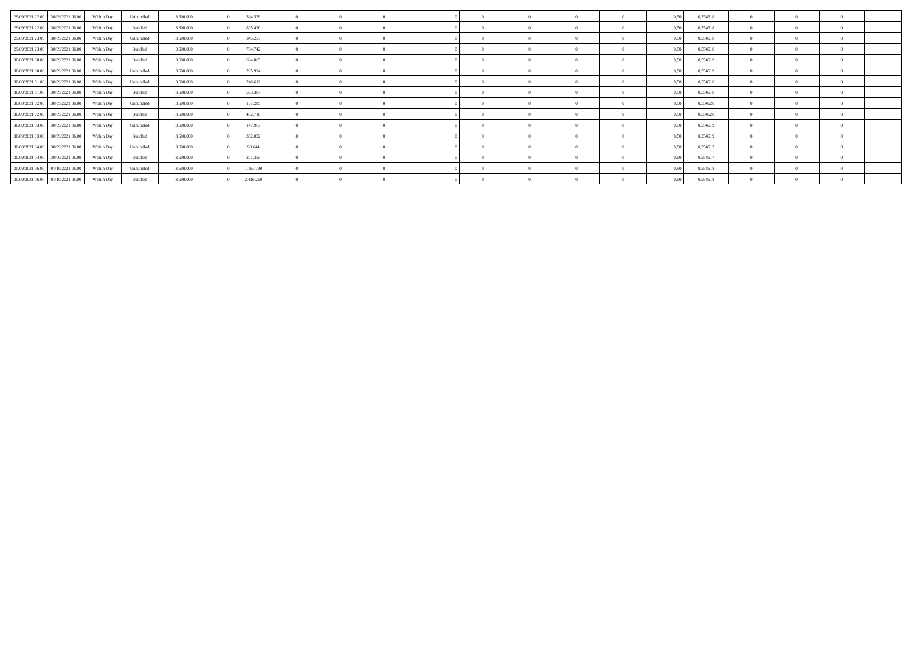| 29/09/2021 22:00 30/09/2021 06:00 | Within Dav | Unbundled | 3.600.000 | 394.579   |          |            |  |            |  | 0,50<br>0.554618 |                |  |  |
|-----------------------------------|------------|-----------|-----------|-----------|----------|------------|--|------------|--|------------------|----------------|--|--|
| 29/09/2021 22:00 30/09/2021 06:00 | Within Dav | Bundled   | 3.600.000 | 805.420   |          |            |  | $\sqrt{2}$ |  | 0,554618<br>0.50 |                |  |  |
| 29/09/2021 23:00 30/09/2021 06:00 | Within Day | Unbundled | 3.600.000 | 345.257   |          | $\Omega$   |  | $\Omega$   |  | 0,50<br>0,554618 | $\overline{0}$ |  |  |
| 29/09/2021 23:00 30/09/2021 06:00 | Within Dav | Bundled   | 3.600.000 | 704.742   |          |            |  | $\theta$   |  | 0.50<br>0,554618 | $\overline{0}$ |  |  |
| 30/09/2021 00:00 30/09/2021 06:00 | Within Day | Bundled   | 3.600.000 | 604.065   |          | $\Omega$   |  | $\theta$   |  | 0,50<br>0,554619 | $^{\circ}$     |  |  |
| 30/09/2021 00:00 30/09/2021 06:00 | Within Day | Unbundled | 3.600.000 | 295.934   |          |            |  | $\theta$   |  | 0,554619<br>0,50 | $^{\circ}$     |  |  |
| 30/09/2021 01:00 30/09/2021 06:00 | Within Day | Unbundled | 3.600.000 | 246.612   |          | $\Omega$   |  | $\theta$   |  | 0,554618<br>0.50 | $\overline{0}$ |  |  |
| 30/09/2021 01:00 30/09/2021 06:00 | Within Day | Bundled   | 3.600.000 | 503.387   |          | $\Omega$   |  | $\theta$   |  | 0,554618<br>0,50 | $^{\circ}$     |  |  |
| 30/09/2021 02:00 30/09/2021 06:00 | Within Day | Unbundled | 3.600,000 | 197.289   |          | $\sqrt{2}$ |  | $\theta$   |  | 0,554620<br>0,50 | $\Omega$       |  |  |
| 30/09/2021 02:00 30/09/2021 06:00 | Within Day | Bundled   | 3.600.000 | 402.710   | $\Omega$ | $\Omega$   |  | $\theta$   |  | 0,50<br>0,554620 | $^{\circ}$     |  |  |
| 30/09/2021 03:00 30/09/2021 06:00 | Within Day | Unbundled | 3.600.000 | 147.967   |          |            |  | -0         |  | 0,554619<br>0,50 | $\Omega$       |  |  |
| 30/09/2021 03:00 30/09/2021 06:00 | Within Dav | Bundled   | 3.600.000 | 302.032   |          |            |  | $\sqrt{2}$ |  | 0,554619<br>0,50 | $\Omega$       |  |  |
| 30/09/2021 04:00 30/09/2021 06:00 | Within Day | Unbundled | 3.600.000 | 98.644    |          |            |  | -0         |  | 0,554617<br>0.50 | $^{\circ}$     |  |  |
| 30/09/2021 04:00 30/09/2021 06:00 | Within Dav | Bundled   | 3.600.000 | 201.355   |          | $\sqrt{2}$ |  | $\theta$   |  | 0,554617<br>0,50 | $^{\circ}$     |  |  |
| 30/09/2021 06:00 01/10/2021 06:00 | Within Dav | Unbundled | 3.600.000 | 1.183.739 |          |            |  | $\theta$   |  | 0,554618<br>0,50 | $\overline{0}$ |  |  |
| 30/09/2021 06:00 01/10/2021 06:00 | Within Day | Bundled   | 3.600.000 | 2.416.260 |          |            |  | $\Omega$   |  | 0,554618<br>0,50 | $^{\circ}$     |  |  |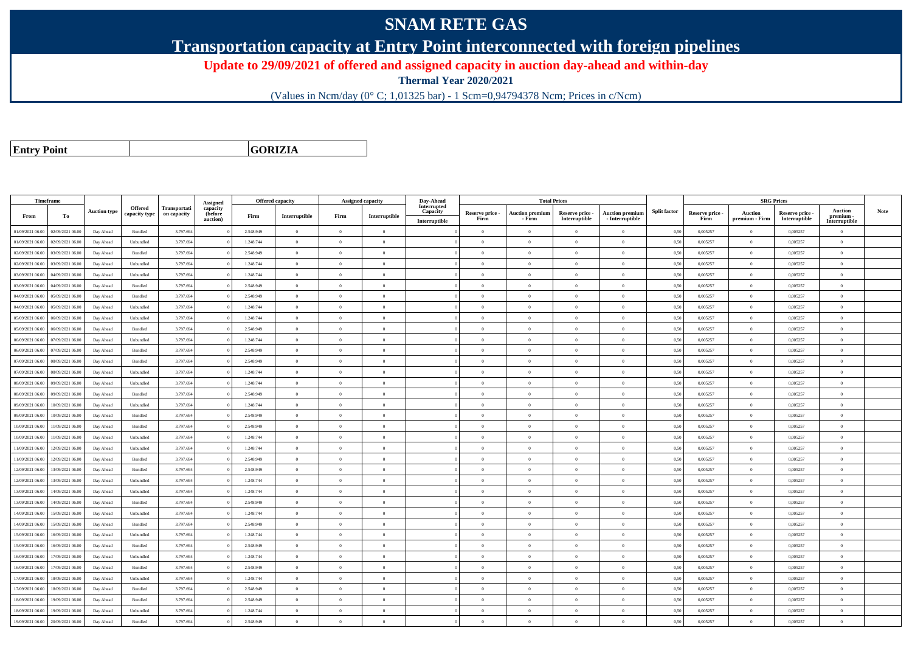## **SNAM RETE GAS**

**Transportation capacity at Entry Point interconnected with foreign pipelines**

**Update to 29/09/2021 of offered and assigned capacity in auction day-ahead and within-day**

**Thermal Year 2020/2021**

(Values in Ncm/day (0° C; 1,01325 bar) - 1 Scm=0,94794378 Ncm; Prices in c/Ncm)

**Entry Point**

**GORIZIA**

|                  | Timeframe        |                     |                |              |                      |           | <b>Offered capacity</b> |                |                          | Day-Ahead                 |                         | <b>Total Prices</b>              |                                  |                                           |                     |                         |                                  | <b>SRG Prices</b>                |                            |             |
|------------------|------------------|---------------------|----------------|--------------|----------------------|-----------|-------------------------|----------------|--------------------------|---------------------------|-------------------------|----------------------------------|----------------------------------|-------------------------------------------|---------------------|-------------------------|----------------------------------|----------------------------------|----------------------------|-------------|
|                  |                  |                     | <b>Offered</b> | Transportati | Assigned<br>capacity |           |                         |                | <b>Assigned capacity</b> | Interrupted               |                         |                                  |                                  |                                           |                     |                         |                                  |                                  | <b>Auction</b>             | <b>Note</b> |
| From             | To               | <b>Auction type</b> | capacity type  | on capacity  | (before<br>auction)  | Firm      | Interruptible           | Firm           | Interruptible            | Capacity<br>Interruptible | Reserve price -<br>Firm | <b>Auction premium</b><br>- Firm | Reserve price -<br>Interruptible | <b>Auction premium</b><br>- Interruptible | <b>Split factor</b> | Reserve price -<br>Firm | <b>Auction</b><br>premium - Firm | Reserve price -<br>Interruptible | premium -<br>Interruptible |             |
| 01/09/2021 06:00 | 02/09/2021 06:00 | Day Ahead           | Bundled        | 3.797.694    |                      | 2.548.949 | $\overline{0}$          | $\overline{0}$ | $\Omega$                 |                           | $\Omega$                | $\theta$                         | $\Omega$                         | $\theta$                                  | 0,50                | 0,005257                | $\Omega$                         | 0,005257                         | $\theta$                   |             |
| 01/09/2021 06:00 | 02/09/2021 06:00 | Day Ahead           | Unbundled      | 3.797.694    |                      | 1.248.744 | $\overline{0}$          | $\overline{0}$ | $\theta$                 |                           | $\theta$                | $\theta$                         | $\overline{0}$                   | $\bf{0}$                                  | 0,50                | 0,005257                | $\overline{0}$                   | 0,005257                         | $\overline{0}$             |             |
| 02/09/2021 06:00 | 03/09/2021 06:00 | Day Ahead           | Bundled        | 3.797.694    |                      | 2.548.949 | $\overline{0}$          | $\theta$       | $\Omega$                 |                           | $\theta$                | $\theta$                         | $\Omega$                         | $\Omega$                                  | 0,50                | 0,005257                | $\Omega$                         | 0,005257                         | $\theta$                   |             |
| 02/09/2021 06:00 | 03/09/2021 06:00 | Day Ahead           | Unbundled      | 3.797.694    |                      | 1.248.744 | $\overline{0}$          | $\theta$       | $\Omega$                 |                           | $\theta$                | $\theta$                         | $\Omega$                         | $\theta$                                  | 0,50                | 0,005257                | $\theta$                         | 0,005257                         | $\theta$                   |             |
| 03/09/2021 06:00 | 04/09/2021 06:00 | Day Ahead           | Unbundled      | 3.797.694    |                      | 1.248.744 | $\overline{0}$          | $\Omega$       | $\Omega$                 |                           | $\theta$                | $\theta$                         | $\overline{0}$                   | $\bf{0}$                                  | 0,50                | 0,005257                | $\mathbf{0}$                     | 0,005257                         | $\overline{0}$             |             |
| 03/09/2021 06:00 | 04/09/2021 06:00 | Day Ahead           | Bundled        | 3,797.694    |                      | 2.548.949 | $\overline{0}$          | $\Omega$       | $\Omega$                 |                           | $\theta$                | $\theta$                         | $\overline{0}$                   | $\overline{0}$                            | 0,50                | 0.005257                | $\mathbf{0}$                     | 0.005257                         | $\sqrt{2}$                 |             |
| 04/09/2021 06:00 | 05/09/2021 06:00 | Day Ahead           | Bundled        | 3.797.694    |                      | 2.548.949 | $\overline{0}$          | $\overline{0}$ | $\overline{0}$           |                           | $\theta$                | $\theta$                         | $\overline{0}$                   | $\,$ 0                                    | 0,50                | 0,005257                | $\bf{0}$                         | 0,005257                         | $\overline{0}$             |             |
| 04/09/2021 06:00 | 05/09/2021 06:00 | Day Ahead           | Unbundled      | 3.797.694    |                      | 1.248.744 | $\overline{0}$          | $\overline{0}$ | $\theta$                 |                           | $\theta$                | $\theta$                         | $\overline{0}$                   | $\bf{0}$                                  | 0,50                | 0,005257                | $\mathbf{0}$                     | 0,005257                         | $\overline{0}$             |             |
| 05/09/2021 06:00 | 06/09/2021 06:00 | Day Ahead           | Unbundled      | 3.797.694    |                      | 1.248.744 | $\overline{0}$          | $\Omega$       | $\Omega$                 |                           | $\theta$                | $\theta$                         | $\overline{0}$                   | $\bf{0}$                                  | 0,50                | 0,005257                | $\overline{0}$                   | 0,005257                         | $\theta$                   |             |
| 05/09/2021 06:00 | 06/09/2021 06:00 | Day Ahead           | Bundled        | 3.797.694    |                      | 2.548.949 | $\overline{0}$          | $\Omega$       | $\Omega$                 |                           | $\Omega$                |                                  | $\Omega$                         | $\Omega$                                  | 0,50                | 0,005257                | $\Omega$                         | 0,005257                         | $\theta$                   |             |
| 06/09/2021 06:00 | 07/09/2021 06:00 | Day Ahead           | Unbundled      | 3.797.694    |                      | 1.248.744 | $\overline{0}$          | $\overline{0}$ | $\Omega$                 |                           | $\Omega$                | $\theta$                         | $\overline{0}$                   | $\theta$                                  | 0,50                | 0.005257                | $\theta$                         | 0.005257                         | $\theta$                   |             |
| 06/09/2021 06:00 | 07/09/2021 06.00 | Day Ahead           | Bundled        | 3.797.694    |                      | 2.548.949 | $\overline{0}$          | $\overline{0}$ | $\Omega$                 |                           | $\theta$                | $\theta$                         | $\overline{0}$                   | $\bf{0}$                                  | 0,50                | 0,005257                | $\mathbf{0}$                     | 0,005257                         | $\overline{0}$             |             |
| 07/09/2021 06:00 | 08/09/2021 06:00 | Day Ahead           | Bundled        | 3.797.694    |                      | 2.548.949 | $\overline{0}$          | $\Omega$       | $\Omega$                 |                           | $\theta$                | $\theta$                         | $\theta$                         | $\theta$                                  | 0.50                | 0.005257                | $\theta$                         | 0.005257                         | $\theta$                   |             |
| 07/09/2021 06:00 | 08/09/2021 06:00 | Day Ahead           | Unbundled      | 3.797.694    |                      | 1.248.744 | $\overline{0}$          | $\overline{0}$ | $\overline{0}$           |                           | $\theta$                | $\theta$                         | $\Omega$                         | $\overline{0}$                            | 0,50                | 0.005257                | $\overline{0}$                   | 0.005257                         | $\overline{0}$             |             |
| 08/09/2021 06:00 | 09/09/2021 06:00 | Day Ahead           | Unbundled      | 3.797.694    |                      | 1.248.744 | $\overline{0}$          | $\overline{0}$ | $\theta$                 |                           | $\theta$                | $\theta$                         | $\theta$                         | $\bf{0}$                                  | 0,50                | 0,005257                | $\overline{0}$                   | 0,005257                         | $\overline{0}$             |             |
| 08/09/2021 06:00 | 09/09/2021 06:00 | Day Ahead           | Bundled        | 3.797.694    |                      | 2.548.949 | $\overline{0}$          | $\Omega$       | $\Omega$                 |                           | $\theta$                | $\mathbf{a}$                     | $\Omega$                         | $\theta$                                  | 0,50                | 0,005257                | $\theta$                         | 0,005257                         | $\theta$                   |             |
| 09/09/2021 06:00 | 10/09/2021 06:00 | Day Ahead           | Unbundled      | 3.797.694    |                      | 1.248.744 | $\overline{0}$          | $\Omega$       | $\Omega$                 |                           | $\theta$                | $\theta$                         | $\theta$                         | $\theta$                                  | 0,50                | 0,005257                | $\mathbf{0}$                     | 0,005257                         | $\theta$                   |             |
| 09/09/2021 06:00 | 10/09/2021 06:00 | Day Ahead           | Bundled        | 3.797.694    |                      | 2.548.949 | $\overline{0}$          | $\Omega$       | $\Omega$                 |                           | $\theta$                | $\theta$                         | $\overline{0}$                   | $\bf{0}$                                  | 0,50                | 0,005257                | $\mathbf{0}$                     | 0,005257                         | $\overline{0}$             |             |
| 10/09/2021 06:00 | 11/09/2021 06:00 | Day Ahead           | Bundled        | 3.797.694    |                      | 2.548.949 | $\overline{0}$          | $\Omega$       | $\Omega$                 |                           | $\Omega$                | $\theta$                         | $\Omega$                         | $\overline{0}$                            | 0,50                | 0.005257                | $\overline{0}$                   | 0.005257                         | $\theta$                   |             |
| 10/09/2021 06:00 | 11/09/2021 06.00 | Day Ahead           | Unbundled      | 3.797.694    |                      | 1.248.744 | $\overline{0}$          | $\overline{0}$ | $\Omega$                 |                           | $\theta$                | $\theta$                         | $\Omega$                         | $\Omega$                                  | 0,50                | 0,005257                | $\mathbf{0}$                     | 0,005257                         | $\theta$                   |             |
| 11/09/2021 06:00 | 12/09/2021 06:00 | Day Ahead           | Unbundled      | 3.797.694    |                      | 1.248.744 | $\overline{0}$          | $\overline{0}$ | $\theta$                 |                           | $\theta$                | $\theta$                         | $\overline{0}$                   | $\bf{0}$                                  | 0.50                | 0.005257                | $\overline{0}$                   | 0.005257                         | $\overline{0}$             |             |
| 11/09/2021 06:00 | 12/09/2021 06:00 | Day Ahead           | Bundled        | 3.797.694    |                      | 2.548.949 | $\overline{0}$          | $\theta$       | $\Omega$                 |                           | $\Omega$                | $\mathbf{a}$                     | $\overline{0}$                   | $\bf{0}$                                  | 0,50                | 0,005257                | $\overline{0}$                   | 0,005257                         | $\theta$                   |             |
| 12/09/2021 06:00 | 13/09/2021 06:00 | Day Ahead           | Bundled        | 3.797.694    |                      | 2.548.949 | $\overline{0}$          | $\overline{0}$ | $\overline{0}$           |                           | $\theta$                | $\theta$                         | $\overline{0}$                   | $\bf{0}$                                  | 0,50                | 0,005257                | $\overline{0}$                   | 0,005257                         | $\overline{0}$             |             |
| 12/09/2021 06:00 | 13/09/2021 06:00 | Day Ahead           | Unbundled      | 3.797.694    |                      | 1.248.744 | $\overline{0}$          | $\Omega$       | $\Omega$                 |                           | $\theta$                | $\theta$                         | $\Omega$                         | $\bf{0}$                                  | 0,50                | 0,005257                | $\mathbf{0}$                     | 0,005257                         | $\theta$                   |             |
| 13/09/2021 06:00 | 14/09/2021 06.00 | Day Ahead           | Unbundled      | 3.797.694    |                      | 1.248.744 | $\overline{0}$          | $\overline{0}$ | $\overline{0}$           |                           | $\overline{0}$          | $\theta$                         | $\overline{0}$                   | $\overline{0}$                            | 0,50                | 0,005257                | $\mathbf{0}$                     | 0,005257                         | $\overline{0}$             |             |
| 13/09/2021 06:00 | 14/09/2021 06:00 | Day Ahead           | Bundled        | 3.797.694    |                      | 2.548.949 | $\overline{0}$          | $\Omega$       | $\Omega$                 |                           | $\theta$                | $\theta$                         | $\Omega$                         | $\Omega$                                  | 0,50                | 0,005257                | $\mathbf{0}$                     | 0,005257                         | $\theta$                   |             |
| 14/09/2021 06:00 | 15/09/2021 06:00 | Day Ahead           | Unbundled      | 3.797.694    |                      | 1.248.744 | $\overline{0}$          | $\overline{0}$ | $\Omega$                 |                           | $\theta$                | $\theta$                         | $\Omega$                         | $\theta$                                  | 0.50                | 0.005257                | $\mathbf{0}$                     | 0.005257                         | $\theta$                   |             |
| 14/09/2021 06:00 | 15/09/2021 06:00 | Day Ahead           | Bundled        | 3.797.694    |                      | 2.548.949 | $\overline{0}$          | $\overline{0}$ | $\theta$                 |                           | $\theta$                | $\theta$                         | $\overline{0}$                   | $\bf{0}$                                  | 0,50                | 0,005257                | $\theta$                         | 0,005257                         | $\overline{0}$             |             |
| 15/09/2021 06:00 | 16/09/2021 06:00 | Day Ahead           | Unbundled      | 3.797.694    |                      | 1.248.744 | $\overline{0}$          | $\Omega$       | $\Omega$                 |                           | $\Omega$                |                                  | $\Omega$                         | $\bf{0}$                                  | 0,50                | 0,005257                | $\theta$                         | 0,005257                         | $\theta$                   |             |
| 15/09/2021 06:00 | 16/09/2021 06:00 | Day Ahead           | Bundled        | 3.797.694    |                      | 2.548.949 | $\overline{0}$          | $\Omega$       | $\Omega$                 |                           | $\theta$                | $\theta$                         | $\Omega$                         | $\theta$                                  | 0,50                | 0,005257                | $\mathbf{0}$                     | 0,005257                         | $\theta$                   |             |
| 16/09/2021 06:00 | 17/09/2021 06:00 | Day Ahead           | Unbundled      | 3.797.694    |                      | 1.248.744 | $\overline{0}$          | $\overline{0}$ | $\Omega$                 |                           | $\theta$                | $\theta$                         | $\overline{0}$                   | $\bf{0}$                                  | 0,50                | 0,005257                | $\mathbf{0}$                     | 0,005257                         | $\overline{0}$             |             |
| 16/09/2021 06:00 | 17/09/2021 06:00 | Day Ahead           | Bundled        | 3.797.694    |                      | 2.548.949 | $\overline{0}$          | $\overline{0}$ | $\Omega$                 |                           | $\Omega$                | $\theta$                         | $\overline{0}$                   | $\theta$                                  | 0,50                | 0.005257                | $\Omega$                         | 0.005257                         | $\theta$                   |             |
| 17/09/2021 06:00 | 18/09/2021 06:00 | Day Ahead           | Unbundled      | 3.797.694    |                      | 1.248.744 | $\overline{0}$          | $\overline{0}$ | $\Omega$                 |                           | $\theta$                | $\theta$                         | $\Omega$                         | $\bf{0}$                                  | 0,50                | 0,005257                | $\mathbf{0}$                     | 0,005257                         | $\theta$                   |             |
| 17/09/2021 06:00 | 18/09/2021 06:00 | Day Ahead           | Bundled        | 3.797.694    |                      | 2.548.949 | $\overline{0}$          | $\theta$       | $\Omega$                 |                           | $\theta$                | $\theta$                         | $\overline{0}$                   | $\theta$                                  | 0,50                | 0,005257                | $\Omega$                         | 0.005257                         | $\theta$                   |             |
| 18/09/2021 06:00 | 19/09/2021 06:00 | Day Ahead           | Bundled        | 3.797.694    |                      | 2.548.949 | $\overline{0}$          | $\Omega$       | $\Omega$                 |                           | $\theta$                | $\theta$                         | $\overline{0}$                   | $\bf{0}$                                  | 0,50                | 0,005257                | $\mathbf{0}$                     | 0,005257                         | $\theta$                   |             |
| 18/09/2021 06:00 | 19/09/2021 06.0  | Day Ahead           | Unbundled      | 3.797.694    |                      | 1.248.744 | $\overline{0}$          | $\overline{0}$ | $\theta$                 |                           | $\theta$                | $\Omega$                         | $\overline{0}$                   | $\bf{0}$                                  | 0,50                | 0,005257                | $\theta$                         | 0,005257                         | $\overline{0}$             |             |
| 19/09/2021 06:00 | 20/09/2021 06:00 | Day Ahead           | Bundled        | 3.797.694    |                      | 2.548.949 | $\Omega$                | $\Omega$       | $\theta$                 |                           | $\theta$                | $\theta$                         | $\Omega$                         | $\theta$                                  | 0,50                | 0,005257                | $\mathbf{0}$                     | 0,005257                         | $\theta$                   |             |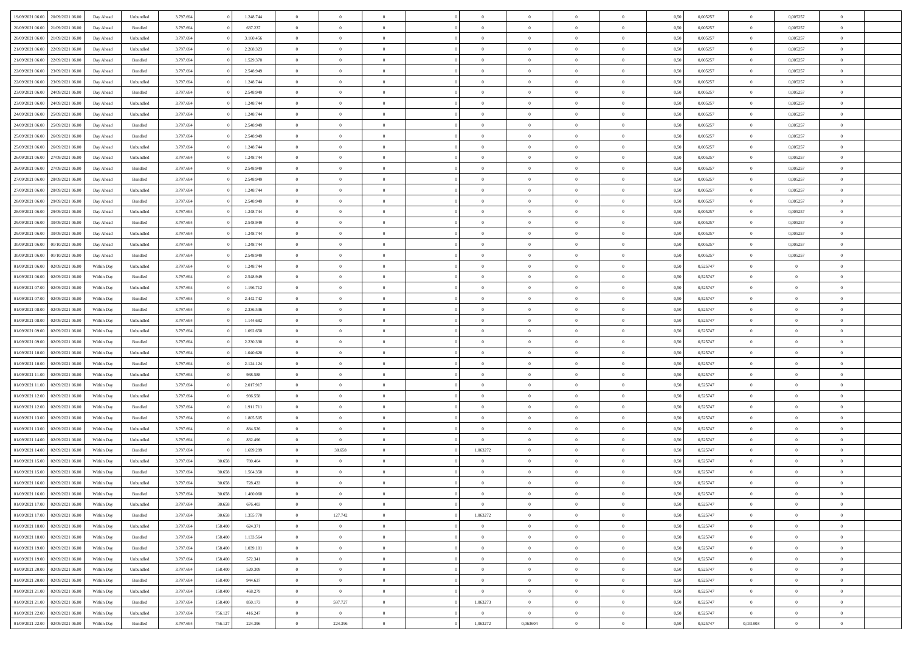| 19/09/2021 06:00 | 20/09/2021 06:00 | Day Ahead  | Unbundled          | 3.797.694 |         | 1.248.744 | $\overline{0}$ | $\Omega$       |                |                | $\Omega$       | $\Omega$       | $\Omega$     | 0,50 | 0,005257 | $\mathbf{0}$   | 0,005257       | $\Omega$       |  |
|------------------|------------------|------------|--------------------|-----------|---------|-----------|----------------|----------------|----------------|----------------|----------------|----------------|--------------|------|----------|----------------|----------------|----------------|--|
| 20/09/2021 06:00 | 21/09/2021 06:00 | Day Ahead  | Bundled            | 3.797.694 |         | 637.237   | $\overline{0}$ | $\overline{0}$ | $\overline{0}$ |                | $\overline{0}$ | $\overline{0}$ | $\theta$     | 0,50 | 0,005257 | $\bf{0}$       | 0,005257       | $\bf{0}$       |  |
| 20/09/2021 06:00 | 21/09/2021 06:00 | Day Ahead  | Unbundled          | 3.797.694 |         | 3.160.456 | $\overline{0}$ | $\bf{0}$       | $\overline{0}$ | $\overline{0}$ | $\,$ 0 $\,$    | $\overline{0}$ | $\bf{0}$     | 0,50 | 0,005257 | $\bf{0}$       | 0,005257       | $\bf{0}$       |  |
| 21/09/2021 06:00 | 22/09/2021 06:00 | Day Ahead  | Unbundled          | 3.797.694 |         | 2.268.323 | $\overline{0}$ | $\overline{0}$ | $\overline{0}$ | $\Omega$       | $\overline{0}$ | $\overline{0}$ | $\bf{0}$     | 0.50 | 0,005257 | $\mathbf{0}$   | 0.005257       | $\overline{0}$ |  |
|                  |                  |            |                    |           |         |           |                |                |                |                |                |                |              |      |          |                |                |                |  |
| 21/09/2021 06:00 | 22/09/2021 06:00 | Day Ahead  | Bundled            | 3.797.694 |         | 1.529.370 | $\overline{0}$ | $\overline{0}$ | $\overline{0}$ |                | $\overline{0}$ | $\overline{0}$ | $\theta$     | 0,50 | 0,005257 | $\bf{0}$       | 0,005257       | $\overline{0}$ |  |
| 22/09/2021 06:00 | 23/09/2021 06:00 | Day Ahead  | Bundled            | 3.797.694 |         | 2.548.949 | $\overline{0}$ | $\bf{0}$       | $\overline{0}$ | $\overline{0}$ | $\bf{0}$       | $\overline{0}$ | $\bf{0}$     | 0,50 | 0,005257 | $\bf{0}$       | 0,005257       | $\bf{0}$       |  |
| 22/09/2021 06:00 | 23/09/2021 06:00 | Day Ahead  | Unbundled          | 3.797.694 |         | 1.248.744 | $\overline{0}$ | $\overline{0}$ | $\overline{0}$ | $\Omega$       | $\overline{0}$ | $\overline{0}$ | $\bf{0}$     | 0,50 | 0,005257 | $\mathbf{0}$   | 0,005257       | $\overline{0}$ |  |
| 23/09/2021 06:00 | 24/09/2021 06.00 | Day Ahead  | Bundled            | 3.797.694 |         | 2.548.949 | $\overline{0}$ | $\overline{0}$ | $\overline{0}$ |                | $\overline{0}$ | $\overline{0}$ | $\theta$     | 0,50 | 0,005257 | $\bf{0}$       | 0,005257       | $\overline{0}$ |  |
|                  |                  |            |                    |           |         |           |                |                |                |                |                |                |              |      |          |                |                |                |  |
| 23/09/2021 06:00 | 24/09/2021 06:00 | Day Ahead  | Unbundled          | 3.797.694 |         | 1.248.744 | $\overline{0}$ | $\overline{0}$ | $\overline{0}$ | $\overline{0}$ | $\,$ 0 $\,$    | $\overline{0}$ | $\bf{0}$     | 0,50 | 0,005257 | $\bf{0}$       | 0,005257       | $\bf{0}$       |  |
| 24/09/2021 06:00 | 25/09/2021 06:00 | Day Ahead  | Unbundled          | 3.797.694 |         | 1.248.744 | $\overline{0}$ | $\overline{0}$ | $\overline{0}$ | $\Omega$       | $\overline{0}$ | $\overline{0}$ | $\bf{0}$     | 0.50 | 0,005257 | $\mathbf{0}$   | 0,005257       | $\overline{0}$ |  |
| 24/09/2021 06:00 | 25/09/2021 06:00 | Day Ahead  | Bundled            | 3.797.694 |         | 2.548.949 | $\overline{0}$ | $\overline{0}$ | $\overline{0}$ | $\overline{0}$ | $\overline{0}$ | $\overline{0}$ | $\theta$     | 0,50 | 0,005257 | $\bf{0}$       | 0,005257       | $\overline{0}$ |  |
| 25/09/2021 06:00 | 26/09/2021 06:00 | Day Ahead  | Bundled            | 3.797.694 |         | 2.548.949 | $\overline{0}$ | $\bf{0}$       | $\overline{0}$ | $\overline{0}$ | $\bf{0}$       | $\overline{0}$ | $\bf{0}$     | 0,50 | 0,005257 | $\bf{0}$       | 0,005257       | $\bf{0}$       |  |
| 25/09/2021 06:00 | 26/09/2021 06:00 | Day Ahead  | Unbundled          | 3.797.694 |         | 1.248.744 | $\overline{0}$ | $\overline{0}$ | $\overline{0}$ | $^{\circ}$     | $\overline{0}$ | $\overline{0}$ | $\bf{0}$     | 0.50 | 0.005257 | $\mathbf{0}$   | 0.005257       | $\overline{0}$ |  |
|                  |                  |            |                    |           |         |           |                |                |                |                |                |                |              |      |          |                |                |                |  |
| 26/09/2021 06:00 | 27/09/2021 06.00 | Day Ahead  | Unbundled          | 3.797.694 |         | 1.248.744 | $\overline{0}$ | $\overline{0}$ | $\overline{0}$ |                | $\overline{0}$ | $\overline{0}$ | $\theta$     | 0,50 | 0,005257 | $\bf{0}$       | 0,005257       | $\overline{0}$ |  |
| 26/09/2021 06:00 | 27/09/2021 06:00 | Day Ahead  | Bundled            | 3.797.694 |         | 2.548.949 | $\overline{0}$ | $\bf{0}$       | $\overline{0}$ | $\overline{0}$ | $\bf{0}$       | $\overline{0}$ | $\bf{0}$     | 0,50 | 0,005257 | $\bf{0}$       | 0,005257       | $\bf{0}$       |  |
| 27/09/2021 06:00 | 28/09/2021 06:00 | Day Ahead  | Bundled            | 3.797.694 |         | 2.548.949 | $\overline{0}$ | $\overline{0}$ | $\overline{0}$ | $^{\circ}$     | $\overline{0}$ | $\overline{0}$ | $\bf{0}$     | 0.50 | 0,005257 | $\overline{0}$ | 0,005257       | $\overline{0}$ |  |
| 27/09/2021 06:00 | 28/09/2021 06:00 | Day Ahead  | Unbundled          | 3.797.694 |         | 1.248.744 | $\overline{0}$ | $\overline{0}$ | $\overline{0}$ |                | $\overline{0}$ | $\overline{0}$ | $\theta$     | 0,50 | 0,005257 | $\bf{0}$       | 0,005257       | $\overline{0}$ |  |
|                  |                  |            |                    |           |         |           |                |                |                |                |                |                |              |      |          |                |                |                |  |
| 28/09/2021 06:00 | 29/09/2021 06:00 | Day Ahead  | Bundled            | 3.797.694 |         | 2.548.949 | $\overline{0}$ | $\overline{0}$ | $\overline{0}$ | $\overline{0}$ | $\bf{0}$       | $\overline{0}$ | $\bf{0}$     | 0,50 | 0,005257 | $\bf{0}$       | 0,005257       | $\bf{0}$       |  |
| 28/09/2021 06:00 | 29/09/2021 06:00 | Day Ahead  | Unbundled          | 3.797.694 |         | 1.248.744 | $\overline{0}$ | $\overline{0}$ | $\overline{0}$ | $\Omega$       | $\overline{0}$ | $\overline{0}$ | $\bf{0}$     | 0.50 | 0,005257 | $\mathbf{0}$   | 0,005257       | $\overline{0}$ |  |
| 29/09/2021 06:00 | 30/09/2021 06:00 | Day Ahead  | Bundled            | 3.797.694 |         | 2.548.949 | $\overline{0}$ | $\overline{0}$ | $\overline{0}$ | $\overline{0}$ | $\overline{0}$ | $\overline{0}$ | $\theta$     | 0,50 | 0,005257 | $\bf{0}$       | 0,005257       | $\overline{0}$ |  |
| 29/09/2021 06:00 | 30/09/2021 06.00 | Day Ahead  | Unbundled          | 3.797.694 |         | 1.248.744 | $\overline{0}$ | $\overline{0}$ | $\overline{0}$ | $\overline{0}$ | $\overline{0}$ | $\overline{0}$ | $\bf{0}$     | 0,50 | 0,005257 | $\bf{0}$       | 0,005257       | $\bf{0}$       |  |
| 30/09/2021 06:00 | 01/10/2021 06:00 | Day Ahead  | Unbundled          | 3.797.694 |         | 1.248.744 | $\overline{0}$ | $\overline{0}$ | $\overline{0}$ | $^{\circ}$     | $\overline{0}$ | $\overline{0}$ | $\bf{0}$     | 0.50 | 0,005257 | $\mathbf{0}$   | 0.005257       | $\overline{0}$ |  |
|                  |                  |            |                    |           |         |           |                |                |                |                |                |                |              |      |          |                |                |                |  |
| 30/09/2021 06:00 | 01/10/2021 06.00 | Day Ahead  | Bundled            | 3.797.694 |         | 2.548.949 | $\overline{0}$ | $\overline{0}$ | $\overline{0}$ |                | $\overline{0}$ | $\overline{0}$ | $\theta$     | 0,50 | 0,005257 | $\bf{0}$       | 0,005257       | $\overline{0}$ |  |
| 01/09/2021 06:00 | 02/09/2021 06:00 | Within Day | Unbundled          | 3.797.694 |         | 1.248.744 | $\overline{0}$ | $\bf{0}$       | $\overline{0}$ | $\overline{0}$ | $\bf{0}$       | $\overline{0}$ | $\bf{0}$     | 0,50 | 0,525747 | $\bf{0}$       | $\bf{0}$       | $\bf{0}$       |  |
| 01/09/2021 06:00 | 02/09/2021 06:00 | Within Dav | Bundled            | 3.797.694 |         | 2.548.949 | $\overline{0}$ | $\overline{0}$ | $\overline{0}$ | $^{\circ}$     | $\overline{0}$ | $\overline{0}$ | $\bf{0}$     | 0.50 | 0,525747 | $\mathbf{0}$   | $\overline{0}$ | $\overline{0}$ |  |
| 01/09/2021 07:00 | 02/09/2021 06:00 | Within Day | Unbundled          | 3.797.694 |         | 1.196.712 | $\overline{0}$ | $\overline{0}$ | $\overline{0}$ |                | $\overline{0}$ | $\overline{0}$ | $\theta$     | 0,50 | 0,525747 | $\bf{0}$       | $\overline{0}$ | $\overline{0}$ |  |
|                  |                  |            |                    |           |         |           |                |                |                |                |                |                |              |      |          |                |                |                |  |
| 01/09/2021 07:00 | 02/09/2021 06:00 | Within Day | Bundled            | 3.797.694 |         | 2.442.742 | $\overline{0}$ | $\overline{0}$ | $\overline{0}$ | $\overline{0}$ | $\bf{0}$       | $\overline{0}$ | $\bf{0}$     | 0,50 | 0,525747 | $\bf{0}$       | $\overline{0}$ | $\bf{0}$       |  |
| 01/09/2021 08:00 | 02/09/2021 06:00 | Within Dav | Bundled            | 3.797.694 |         | 2.336.536 | $\overline{0}$ | $\overline{0}$ | $\overline{0}$ | $\Omega$       | $\overline{0}$ | $\overline{0}$ | $\bf{0}$     | 0.50 | 0,525747 | $\mathbf{0}$   | $\overline{0}$ | $\overline{0}$ |  |
| 01/09/2021 08:00 | 02/09/2021 06:00 | Within Day | Unbundled          | 3.797.694 |         | 1.144.682 | $\overline{0}$ | $\overline{0}$ | $\overline{0}$ | $\overline{0}$ | $\overline{0}$ | $\overline{0}$ | $\theta$     | 0,50 | 0,525747 | $\bf{0}$       | $\overline{0}$ | $\bf{0}$       |  |
| 01/09/2021 09:00 | 02/09/2021 06:00 | Within Day | Unbundled          | 3.797.694 |         | 1.092.650 | $\overline{0}$ | $\bf{0}$       | $\overline{0}$ | $\overline{0}$ | $\bf{0}$       | $\overline{0}$ | $\bf{0}$     | 0,50 | 0,525747 | $\bf{0}$       | $\bf{0}$       | $\bf{0}$       |  |
| 01/09/2021 09:00 | 02/09/2021 06.00 | Within Day | Bundled            | 3.797.694 |         | 2.230.330 | $\overline{0}$ | $\Omega$       | $\Omega$       | $\Omega$       | $\theta$       | $\overline{0}$ | $\theta$     | 0.50 | 0,525747 | $\bf{0}$       | $\Omega$       | $\Omega$       |  |
|                  |                  |            |                    |           |         |           |                |                |                |                |                |                |              |      |          |                |                |                |  |
| 01/09/2021 10:00 | 02/09/2021 06:00 | Within Day | Unbundled          | 3.797.694 |         | 1.040.620 | $\overline{0}$ | $\overline{0}$ | $\overline{0}$ |                | $\overline{0}$ | $\overline{0}$ | $\theta$     | 0,50 | 0,525747 | $\bf{0}$       | $\overline{0}$ | $\overline{0}$ |  |
| 01/09/2021 10:00 | 02/09/2021 06:00 | Within Day | Bundled            | 3.797.694 |         | 2.124.124 | $\overline{0}$ | $\bf{0}$       | $\overline{0}$ | $\overline{0}$ | $\bf{0}$       | $\overline{0}$ | $\bf{0}$     | 0,50 | 0,525747 | $\bf{0}$       | $\bf{0}$       | $\bf{0}$       |  |
| 01/09/2021 11:00 | 02/09/2021 06:00 | Within Day | Unbundled          | 3.797.694 |         | 988,588   | $\overline{0}$ | $\Omega$       | $\Omega$       | $\Omega$       | $\theta$       | $\overline{0}$ | $\mathbf{0}$ | 0.50 | 0,525747 | $\mathbf{0}$   | $\overline{0}$ | $\theta$       |  |
| 01/09/2021 11:00 | 02/09/2021 06:00 | Within Day | Bundled            | 3.797.694 |         | 2.017.917 | $\overline{0}$ | $\overline{0}$ | $\overline{0}$ | $\overline{0}$ | $\overline{0}$ | $\overline{0}$ | $\theta$     | 0,50 | 0,525747 | $\bf{0}$       | $\overline{0}$ | $\bf{0}$       |  |
| 01/09/2021 12:00 | 02/09/2021 06:00 | Within Day | Unbundled          | 3.797.694 |         | 936.558   | $\overline{0}$ | $\overline{0}$ | $\overline{0}$ | $\overline{0}$ | $\bf{0}$       | $\overline{0}$ | $\bf{0}$     | 0,50 | 0,525747 | $\bf{0}$       | $\overline{0}$ | $\bf{0}$       |  |
|                  |                  |            |                    |           |         |           |                |                |                |                |                |                |              |      |          |                |                |                |  |
| 01/09/2021 12:00 | 02/09/2021 06:00 | Within Day | Bundled            | 3.797.694 |         | 1.911.711 | $\overline{0}$ | $\Omega$       | $\Omega$       | $\Omega$       | $\theta$       | $\overline{0}$ | $\mathbf{0}$ | 0.50 | 0,525747 | $\mathbf{0}$   | $\Omega$       | $\theta$       |  |
| 01/09/2021 13:00 | 02/09/2021 06:00 | Within Day | Bundled            | 3.797.694 |         | 1.805.505 | $\overline{0}$ | $\overline{0}$ | $\overline{0}$ | $\overline{0}$ | $\overline{0}$ | $\overline{0}$ | $\theta$     | 0,50 | 0,525747 | $\bf{0}$       | $\overline{0}$ | $\bf{0}$       |  |
| 01/09/2021 13:00 | 02/09/2021 06:00 | Within Day | Unbundled          | 3.797.694 |         | 884.526   | $\overline{0}$ | $\bf{0}$       | $\overline{0}$ | $\overline{0}$ | $\bf{0}$       | $\overline{0}$ | $\bf{0}$     | 0,50 | 0,525747 | $\bf{0}$       | $\bf{0}$       | $\bf{0}$       |  |
| 01/09/2021 14:00 | 02/09/2021 06:00 | Within Day | Unbundled          | 3.797.694 |         | 832.496   | $\overline{0}$ | $\Omega$       | $\Omega$       | $\Omega$       | $\theta$       | $\overline{0}$ | $\theta$     | 0.50 | 0,525747 | $\bf{0}$       | $\overline{0}$ | $\Omega$       |  |
| 01/09/2021 14:00 | 02/09/2021 06:00 |            |                    | 3.797.694 |         | 1.699.299 | $\overline{0}$ | 30.658         | $\overline{0}$ | 1,063272       | $\overline{0}$ | $\overline{0}$ | $\theta$     |      | 0,525747 | $\,$ 0 $\,$    | $\overline{0}$ | $\overline{0}$ |  |
|                  |                  | Within Day | Bundled            |           |         |           |                |                |                |                |                |                |              | 0,50 |          |                |                |                |  |
| 01/09/2021 15:00 | 02/09/2021 06:00 | Within Day | Unbundled          | 3.797.694 | 30.658  | 780.464   | $\overline{0}$ | $\overline{0}$ | $\overline{0}$ | $\overline{0}$ | $\bf{0}$       | $\overline{0}$ | $\bf{0}$     | 0,50 | 0,525747 | $\bf{0}$       | $\bf{0}$       | $\bf{0}$       |  |
| 01/09/2021 15:00 | 02/09/2021 06:00 | Within Day | Bundled            | 3.797.694 | 30.658  | 1.564.350 | $\overline{0}$ | $\Omega$       | $\Omega$       | $\sqrt{2}$     | $\Omega$       | $\overline{0}$ | $\theta$     | 0.50 | 0,525747 | $\overline{0}$ | $\Omega$       | $\Omega$       |  |
| 01/09/2021 16:00 | 02/09/2021 06:00 | Within Day | Unbundled          | 3.797.694 | 30.658  | 728.433   | $\overline{0}$ | $\bf{0}$       | $\overline{0}$ | $\overline{0}$ | $\bf{0}$       | $\overline{0}$ | $\theta$     | 0,50 | 0,525747 | $\bf{0}$       | $\bf{0}$       | $\bf{0}$       |  |
| 01/09/2021 16:00 | 02/09/2021 06:00 | Within Day | Bundled            | 3.797.694 | 30.658  | 1.460.060 | $\bf{0}$       |                |                |                |                |                |              | 0,50 | 0,525747 | $\bf{0}$       |                |                |  |
| 01/09/2021 17:00 | 02/09/2021 06:00 |            |                    | 3.797.694 | 30.658  | 676.403   | $\overline{0}$ | $\overline{0}$ | $\overline{0}$ | $\Omega$       | $\overline{0}$ | $\overline{0}$ | $\theta$     | 0.50 |          | $\overline{0}$ | $\overline{0}$ | $\overline{0}$ |  |
|                  |                  | Within Day | Unbundled          |           |         |           |                |                |                |                |                |                |              |      | 0,525747 |                |                |                |  |
| 01/09/2021 17:00 | 02/09/2021 06:00 | Within Day | Bundled            | 3.797.694 | 30.658  | 1.355.770 | $\overline{0}$ | 127.742        | $\overline{0}$ | 1,063272       | $\bf{0}$       | $\overline{0}$ | $\bf{0}$     | 0,50 | 0,525747 | $\bf{0}$       | $\,$ 0 $\,$    | $\bf{0}$       |  |
| 01/09/2021 18:00 | 02/09/2021 06:00 | Within Day | Unbundled          | 3.797.694 | 158.400 | 624.371   | $\overline{0}$ | $\overline{0}$ | $\overline{0}$ | $\overline{0}$ | $\overline{0}$ | $\overline{0}$ | $\bf{0}$     | 0,50 | 0,525747 | $\overline{0}$ | $\overline{0}$ | $\bf{0}$       |  |
| 01/09/2021 18:00 | 02/09/2021 06:00 | Within Day | $\mathbf B$ undled | 3.797.694 | 158.400 | 1.133.564 | $\overline{0}$ | $\overline{0}$ | $\overline{0}$ | $\Omega$       | $\overline{0}$ | $\overline{0}$ | $\mathbf{0}$ | 0,50 | 0,525747 | $\bf{0}$       | $\bf{0}$       | $\overline{0}$ |  |
| 01/09/2021 19:00 | 02/09/2021 06:00 | Within Day | Bundled            | 3.797.694 | 158.400 | 1.039.101 | $\overline{0}$ | $\,$ 0 $\,$    | $\overline{0}$ | $\overline{0}$ | $\,$ 0         | $\overline{0}$ | $\bf{0}$     | 0,50 | 0,525747 | $\bf{0}$       | $\overline{0}$ | $\bf{0}$       |  |
|                  |                  |            |                    |           |         |           |                |                |                |                |                |                |              |      |          |                |                |                |  |
| 01/09/2021 19:00 | 02/09/2021 06:00 | Within Day | Unbundled          | 3.797.694 | 158.400 | 572.341   | $\overline{0}$ | $\overline{0}$ | $\overline{0}$ | $\overline{0}$ | $\overline{0}$ | $\overline{0}$ | $\bf{0}$     | 0,50 | 0,525747 | $\overline{0}$ | $\overline{0}$ | $\bf{0}$       |  |
| 01/09/2021 20:00 | 02/09/2021 06:00 | Within Day | Unbundled          | 3.797.694 | 158.400 | 520.309   | $\overline{0}$ | $\overline{0}$ | $\overline{0}$ | $\Omega$       | $\overline{0}$ | $\overline{0}$ | $\mathbf{0}$ | 0.50 | 0,525747 | $\overline{0}$ | $\overline{0}$ | $\overline{0}$ |  |
| 01/09/2021 20:00 | 02/09/2021 06:00 | Within Day | Bundled            | 3.797.694 | 158.400 | 944.637   | $\overline{0}$ | $\,$ 0 $\,$    | $\overline{0}$ | $\overline{0}$ | $\bf{0}$       | $\overline{0}$ | $\bf{0}$     | 0,50 | 0,525747 | $\,0\,$        | $\bf{0}$       | $\bf{0}$       |  |
| 01/09/2021 21:00 | 02/09/2021 06:00 | Within Day | Unbundled          | 3.797.694 | 158.400 | 468.279   | $\overline{0}$ | $\overline{0}$ | $\overline{0}$ | $\overline{0}$ | $\overline{0}$ | $\overline{0}$ | $\bf{0}$     | 0,50 | 0,525747 | $\overline{0}$ | $\bf{0}$       | $\bf{0}$       |  |
|                  |                  |            |                    |           |         |           |                |                | $\overline{0}$ | 1.063273       | $\overline{0}$ |                |              | 0.50 |          |                | $\overline{0}$ | $\overline{0}$ |  |
| 01/09/2021 21:00 | 02/09/2021 06:00 | Within Day | Bundled            | 3.797.694 | 158.400 | 850.173   | $\overline{0}$ | 597.727        |                |                |                | $\overline{0}$ | $\mathbf{0}$ |      | 0,525747 | $\overline{0}$ |                |                |  |
| 01/09/2021 22:00 | 02/09/2021 06:00 | Within Day | Unbundled          | 3.797.694 | 756.127 | 416.247   | $\overline{0}$ | $\overline{0}$ | $\overline{0}$ | $\overline{0}$ | $\bf{0}$       | $\overline{0}$ | $\bf{0}$     | 0,50 | 0,525747 | $\overline{0}$ | $\,$ 0 $\,$    | $\bf{0}$       |  |
| 01/09/2021 22.00 | 02/09/2021 06:00 | Within Day | Bundled            | 3.797.694 | 756.127 | 224.396   | $\overline{0}$ | 224.396        | $\overline{0}$ | 1,063272       | 0,063604       | $\overline{0}$ | $\bf{0}$     | 0,50 | 0,525747 | 0,031803       | $\overline{0}$ | $\bf{0}$       |  |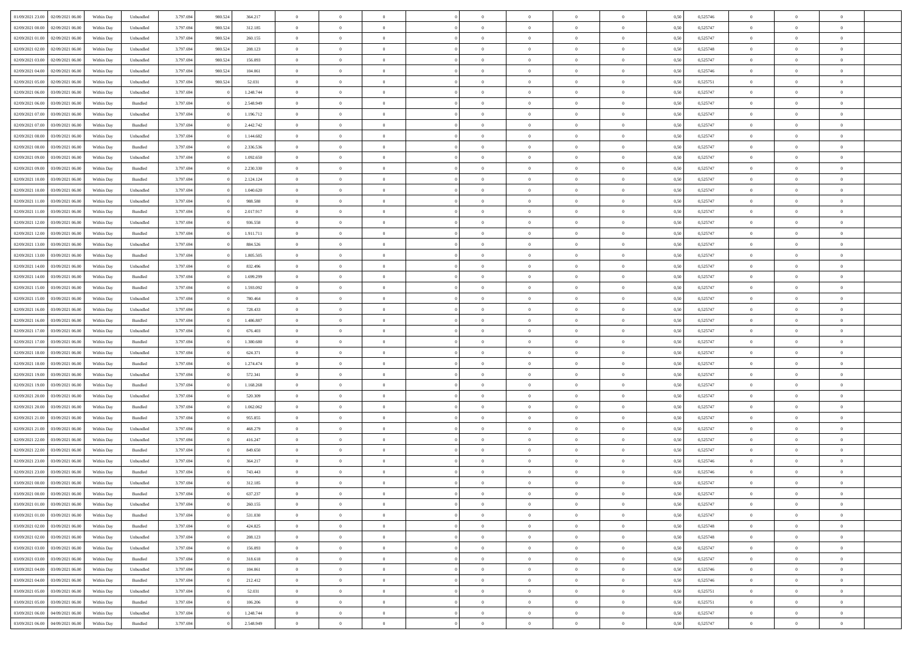| 01/09/2021 23:00 | 02/09/2021 06:00 | Within Day | Unbundled          | 3.797.694 | 980.524 | 364.217   | $\overline{0}$ | $\theta$       |                | $\Omega$       | $\Omega$       | $\theta$       | $\theta$       | 0.50 | 0,525746 | $\theta$       | $\overline{0}$ | $\theta$       |  |
|------------------|------------------|------------|--------------------|-----------|---------|-----------|----------------|----------------|----------------|----------------|----------------|----------------|----------------|------|----------|----------------|----------------|----------------|--|
|                  |                  |            |                    |           |         |           |                |                |                |                |                |                |                |      |          |                |                |                |  |
| 02/09/2021 00:00 | 02/09/2021 06.00 | Within Day | Unbundled          | 3.797.694 | 980.524 | 312.185   | $\overline{0}$ | $\theta$       | $\overline{0}$ | $\overline{0}$ | $\bf{0}$       | $\overline{0}$ | $\bf{0}$       | 0,50 | 0,525747 | $\theta$       | $\overline{0}$ | $\overline{0}$ |  |
| 02/09/2021 01:00 | 02/09/2021 06:00 | Within Day | Unbundled          | 3.797.694 | 980.524 | 260.155   | $\overline{0}$ | $\overline{0}$ | $\overline{0}$ | $\overline{0}$ | $\bf{0}$       | $\overline{0}$ | $\mathbf{0}$   | 0,50 | 0,525747 | $\overline{0}$ | $\overline{0}$ | $\overline{0}$ |  |
| 02/09/2021 02:00 | 02/09/2021 06:00 | Within Day | Unbundled          | 3.797.694 | 980,524 | 208.123   | $\overline{0}$ | $\overline{0}$ | $\overline{0}$ | $\overline{0}$ | $\bf{0}$       | $\overline{0}$ | $\overline{0}$ | 0.50 | 0,525748 | $\theta$       | $\theta$       | $\overline{0}$ |  |
| 02/09/2021 03:00 | 02/09/2021 06:00 | Within Day | Unbundled          | 3.797.694 | 980.524 | 156.093   | $\overline{0}$ | $\theta$       | $\overline{0}$ | $\overline{0}$ | $\bf{0}$       | $\overline{0}$ | $\bf{0}$       | 0,50 | 0,525747 | $\theta$       | $\overline{0}$ | $\overline{0}$ |  |
| 02/09/2021 04:00 | 02/09/2021 06:00 | Within Day | Unbundled          | 3.797.694 | 980.524 | 104.061   | $\overline{0}$ | $\overline{0}$ | $\overline{0}$ | $\overline{0}$ | $\overline{0}$ | $\overline{0}$ | $\mathbf{0}$   | 0,50 | 0,525746 | $\overline{0}$ | $\overline{0}$ | $\bf{0}$       |  |
| 02/09/2021 05:00 | 02/09/2021 06:00 | Within Dav | Unbundled          | 3.797.694 | 980.524 | 52.031    | $\overline{0}$ | $\overline{0}$ | $\overline{0}$ | $\overline{0}$ | $\overline{0}$ | $\overline{0}$ | $\overline{0}$ | 0.50 | 0,525751 | $\theta$       | $\overline{0}$ | $\overline{0}$ |  |
|                  |                  |            |                    |           |         |           |                |                |                |                |                |                |                |      |          |                |                |                |  |
| 02/09/2021 06:00 | 03/09/2021 06.00 | Within Day | Unbundled          | 3.797.694 |         | 1.248.744 | $\overline{0}$ | $\theta$       | $\overline{0}$ | $\overline{0}$ | $\bf{0}$       | $\overline{0}$ | $\bf{0}$       | 0,50 | 0,525747 | $\theta$       | $\theta$       | $\overline{0}$ |  |
| 02/09/2021 06:00 | 03/09/2021 06:00 | Within Day | Bundled            | 3.797.694 |         | 2.548.949 | $\overline{0}$ | $\overline{0}$ | $\overline{0}$ | $\bf{0}$       | $\bf{0}$       | $\bf{0}$       | $\bf{0}$       | 0,50 | 0,525747 | $\,0\,$        | $\overline{0}$ | $\overline{0}$ |  |
| 02/09/2021 07:00 | 03/09/2021 06:00 | Within Dav | Unbundled          | 3.797.694 |         | 1.196.712 | $\overline{0}$ | $\overline{0}$ | $\overline{0}$ | $\overline{0}$ | $\overline{0}$ | $\overline{0}$ | $\overline{0}$ | 0.50 | 0,525747 | $\theta$       | $\overline{0}$ | $\overline{0}$ |  |
| 02/09/2021 07:00 | 03/09/2021 06:00 | Within Day | Bundled            | 3.797.694 |         | 2.442.742 | $\overline{0}$ | $\theta$       | $\overline{0}$ | $\overline{0}$ | $\bf{0}$       | $\overline{0}$ | $\bf{0}$       | 0,50 | 0,525747 | $\,$ 0 $\,$    | $\overline{0}$ | $\overline{0}$ |  |
| 02/09/2021 08:00 | 03/09/2021 06:00 | Within Day | Unbundled          | 3.797.694 |         | 1.144.682 | $\overline{0}$ | $\bf{0}$       | $\overline{0}$ | $\bf{0}$       | $\bf{0}$       | $\bf{0}$       | $\bf{0}$       | 0,50 | 0,525747 | $\overline{0}$ | $\overline{0}$ | $\bf{0}$       |  |
| 02/09/2021 08:00 | 03/09/2021 06:00 | Within Dav | Bundled            | 3.797.694 |         | 2.336.536 | $\overline{0}$ | $\overline{0}$ | $\overline{0}$ | $\overline{0}$ | $\bf{0}$       | $\overline{0}$ | $\overline{0}$ | 0.50 | 0,525747 | $\theta$       | $\theta$       | $\overline{0}$ |  |
|                  |                  |            |                    |           |         |           |                |                |                |                |                |                |                |      |          |                |                |                |  |
| 02/09/2021 09:00 | 03/09/2021 06.00 | Within Day | Unbundled          | 3.797.694 |         | 1.092.650 | $\overline{0}$ | $\theta$       | $\overline{0}$ | $\overline{0}$ | $\bf{0}$       | $\overline{0}$ | $\bf{0}$       | 0,50 | 0,525747 | $\theta$       | $\overline{0}$ | $\overline{0}$ |  |
| 02/09/2021 09:00 | 03/09/2021 06:00 | Within Day | Bundled            | 3.797.694 |         | 2.230.330 | $\overline{0}$ | $\overline{0}$ | $\overline{0}$ | $\bf{0}$       | $\overline{0}$ | $\overline{0}$ | $\mathbf{0}$   | 0,50 | 0,525747 | $\overline{0}$ | $\overline{0}$ | $\bf{0}$       |  |
| 02/09/2021 10:00 | 03/09/2021 06:00 | Within Dav | Bundled            | 3.797.694 |         | 2.124.124 | $\overline{0}$ | $\overline{0}$ | $\overline{0}$ | $\overline{0}$ | $\overline{0}$ | $\overline{0}$ | $\overline{0}$ | 0.50 | 0,525747 | $\theta$       | $\overline{0}$ | $\overline{0}$ |  |
| 02/09/2021 10:00 | 03/09/2021 06:00 | Within Day | Unbundled          | 3.797.694 |         | 1.040.620 | $\overline{0}$ | $\theta$       | $\overline{0}$ | $\overline{0}$ | $\bf{0}$       | $\overline{0}$ | $\bf{0}$       | 0,50 | 0,525747 | $\theta$       | $\theta$       | $\overline{0}$ |  |
| 02/09/2021 11:00 | 03/09/2021 06:00 | Within Day | Unbundled          | 3.797.694 |         | 988.588   | $\overline{0}$ | $\overline{0}$ | $\overline{0}$ | $\bf{0}$       | $\bf{0}$       | $\bf{0}$       | $\bf{0}$       | 0,50 | 0,525747 | $\,0\,$        | $\overline{0}$ | $\overline{0}$ |  |
| 02/09/2021 11:00 | 03/09/2021 06:00 | Within Day | Bundled            | 3.797.694 |         | 2.017.917 | $\overline{0}$ | $\overline{0}$ | $\overline{0}$ | $\overline{0}$ | $\overline{0}$ | $\overline{0}$ | $\overline{0}$ | 0.50 | 0,525747 | $\theta$       | $\overline{0}$ | $\overline{0}$ |  |
| 02/09/2021 12:00 | 03/09/2021 06:00 | Within Day | Unbundled          | 3.797.694 |         | 936.558   | $\overline{0}$ | $\theta$       | $\overline{0}$ | $\overline{0}$ | $\bf{0}$       | $\overline{0}$ | $\bf{0}$       | 0,50 | 0,525747 | $\,$ 0 $\,$    | $\overline{0}$ | $\overline{0}$ |  |
|                  |                  |            |                    |           |         |           |                |                |                |                |                |                |                |      |          |                |                |                |  |
| 02/09/2021 12:00 | 03/09/2021 06:00 | Within Day | Bundled            | 3.797.694 |         | 1.911.711 | $\overline{0}$ | $\overline{0}$ | $\overline{0}$ | $\bf{0}$       | $\bf{0}$       | $\bf{0}$       | $\bf{0}$       | 0,50 | 0,525747 | $\,0\,$        | $\overline{0}$ | $\bf{0}$       |  |
| 02/09/2021 13:00 | 03/09/2021 06:00 | Within Day | Unbundled          | 3.797.694 |         | 884.526   | $\overline{0}$ | $\overline{0}$ | $\overline{0}$ | $\overline{0}$ | $\bf{0}$       | $\overline{0}$ | $\overline{0}$ | 0.50 | 0,525747 | $\theta$       | $\overline{0}$ | $\overline{0}$ |  |
| 02/09/2021 13:00 | 03/09/2021 06:00 | Within Day | Bundled            | 3.797.694 |         | 1.805.505 | $\overline{0}$ | $\theta$       | $\overline{0}$ | $\overline{0}$ | $\bf{0}$       | $\overline{0}$ | $\bf{0}$       | 0,50 | 0,525747 | $\,$ 0 $\,$    | $\overline{0}$ | $\overline{0}$ |  |
| 02/09/2021 14:00 | 03/09/2021 06:00 | Within Day | Unbundled          | 3.797.694 |         | 832.496   | $\overline{0}$ | $\overline{0}$ | $\overline{0}$ | $\bf{0}$       | $\overline{0}$ | $\overline{0}$ | $\mathbf{0}$   | 0,50 | 0,525747 | $\overline{0}$ | $\overline{0}$ | $\bf{0}$       |  |
| 02/09/2021 14:00 | 03/09/2021 06:00 | Within Dav | Bundled            | 3.797.694 |         | 1.699.299 | $\overline{0}$ | $\overline{0}$ | $\overline{0}$ | $\overline{0}$ | $\overline{0}$ | $\overline{0}$ | $\overline{0}$ | 0.50 | 0,525747 | $\theta$       | $\overline{0}$ | $\overline{0}$ |  |
| 02/09/2021 15:00 | 03/09/2021 06:00 | Within Day | Bundled            | 3.797.694 |         | 1.593.092 | $\overline{0}$ | $\theta$       | $\overline{0}$ | $\overline{0}$ | $\bf{0}$       | $\overline{0}$ | $\bf{0}$       | 0,50 | 0,525747 | $\theta$       | $\theta$       | $\overline{0}$ |  |
|                  |                  |            |                    |           |         |           |                |                |                |                |                |                |                |      |          |                |                |                |  |
| 02/09/2021 15:00 | 03/09/2021 06:00 | Within Day | Unbundled          | 3.797.694 |         | 780.464   | $\overline{0}$ | $\overline{0}$ | $\overline{0}$ | $\bf{0}$       | $\bf{0}$       | $\bf{0}$       | $\bf{0}$       | 0,50 | 0,525747 | $\,0\,$        | $\overline{0}$ | $\overline{0}$ |  |
| 02/09/2021 16:00 | 03/09/2021 06:00 | Within Day | Unbundled          | 3.797.694 |         | 728.433   | $\overline{0}$ | $\overline{0}$ | $\overline{0}$ | $\overline{0}$ | $\overline{0}$ | $\overline{0}$ | $\overline{0}$ | 0.50 | 0,525747 | $\theta$       | $\overline{0}$ | $\overline{0}$ |  |
| 02/09/2021 16:00 | 03/09/2021 06:00 | Within Day | Bundled            | 3.797.694 |         | 1.486.887 | $\overline{0}$ | $\theta$       | $\overline{0}$ | $\overline{0}$ | $\bf{0}$       | $\overline{0}$ | $\bf{0}$       | 0,50 | 0,525747 | $\,$ 0 $\,$    | $\overline{0}$ | $\overline{0}$ |  |
| 02/09/2021 17:00 | 03/09/2021 06:00 | Within Day | Unbundled          | 3.797.694 |         | 676.403   | $\overline{0}$ | $\overline{0}$ | $\overline{0}$ | $\overline{0}$ | $\bf{0}$       | $\overline{0}$ | $\bf{0}$       | 0,50 | 0,525747 | $\overline{0}$ | $\overline{0}$ | $\bf{0}$       |  |
| 02/09/2021 17:00 | 03/09/2021 06.00 | Within Day | Bundled            | 3.797.694 |         | 1.380.680 | $\overline{0}$ | $\Omega$       | $\Omega$       | $\Omega$       | $\Omega$       | $\overline{0}$ | $\overline{0}$ | 0,50 | 0,525747 | $\,0\,$        | $\theta$       | $\theta$       |  |
| 02/09/2021 18:00 | 03/09/2021 06:00 | Within Day | Unbundled          | 3.797.694 |         | 624.371   | $\overline{0}$ | $\theta$       | $\overline{0}$ | $\overline{0}$ | $\bf{0}$       | $\overline{0}$ | $\bf{0}$       | 0,50 | 0,525747 | $\theta$       | $\overline{0}$ | $\overline{0}$ |  |
| 02/09/2021 18:00 | 03/09/2021 06:00 | Within Day | Bundled            | 3.797.694 |         | 1.274.474 | $\overline{0}$ | $\overline{0}$ | $\overline{0}$ | $\overline{0}$ | $\overline{0}$ | $\overline{0}$ | $\mathbf{0}$   | 0,50 | 0,525747 | $\overline{0}$ | $\overline{0}$ | $\bf{0}$       |  |
|                  |                  |            |                    |           |         |           |                |                |                |                |                |                |                |      |          |                |                |                |  |
| 02/09/2021 19:00 | 03/09/2021 06:00 | Within Day | Unbundled          | 3.797.694 |         | 572.341   | $\overline{0}$ | $\Omega$       | $\Omega$       | $\Omega$       | $\bf{0}$       | $\overline{0}$ | $\overline{0}$ | 0.50 | 0,525747 | $\,0\,$        | $\theta$       | $\theta$       |  |
| 02/09/2021 19:00 | 03/09/2021 06:00 | Within Day | Bundled            | 3.797.694 |         | 1.168.268 | $\overline{0}$ | $\theta$       | $\overline{0}$ | $\overline{0}$ | $\bf{0}$       | $\overline{0}$ | $\bf{0}$       | 0,50 | 0,525747 | $\,$ 0 $\,$    | $\overline{0}$ | $\overline{0}$ |  |
| 02/09/2021 20.00 | 03/09/2021 06:00 | Within Day | Unbundled          | 3.797.694 |         | 520.309   | $\overline{0}$ | $\overline{0}$ | $\overline{0}$ | $\overline{0}$ | $\bf{0}$       | $\overline{0}$ | $\bf{0}$       | 0,50 | 0,525747 | $\,0\,$        | $\overline{0}$ | $\bf{0}$       |  |
| 02/09/2021 20:00 | 03/09/2021 06:00 | Within Day | Bundled            | 3.797.694 |         | 1.062.062 | $\overline{0}$ | $\Omega$       | $\Omega$       | $\Omega$       | $\theta$       | $\overline{0}$ | $\overline{0}$ | 0.50 | 0,525747 | $\,$ 0 $\,$    | $\theta$       | $\theta$       |  |
| 02/09/2021 21:00 | 03/09/2021 06:00 | Within Day | Bundled            | 3.797.694 |         | 955.855   | $\overline{0}$ | $\theta$       | $\overline{0}$ | $\overline{0}$ | $\bf{0}$       | $\overline{0}$ | $\bf{0}$       | 0,50 | 0,525747 | $\,$ 0 $\,$    | $\overline{0}$ | $\overline{0}$ |  |
| 02/09/2021 21.00 | 03/09/2021 06:00 | Within Day | Unbundled          | 3.797.694 |         | 468.279   | $\overline{0}$ | $\bf{0}$       | $\overline{0}$ | $\overline{0}$ | $\bf{0}$       | $\overline{0}$ | $\bf{0}$       | 0,50 | 0,525747 | $\overline{0}$ | $\overline{0}$ | $\bf{0}$       |  |
| 02/09/2021 22:00 | 03/09/2021 06.00 | Within Day | Unbundled          | 3.797.694 |         | 416.247   | $\overline{0}$ | $\Omega$       | $\overline{0}$ | $\Omega$       | $\overline{0}$ | $\overline{0}$ | $\overline{0}$ | 0,50 | 0,525747 | $\,0\,$        | $\theta$       | $\theta$       |  |
|                  |                  |            |                    |           |         |           |                | $\overline{0}$ |                |                |                |                |                |      |          |                |                |                |  |
| 02/09/2021 22:00 | 03/09/2021 06:00 | Within Day | Bundled            | 3.797.694 |         | 849.650   | $\overline{0}$ |                | $\overline{0}$ | $\overline{0}$ | $\bf{0}$       | $\overline{0}$ | $\bf{0}$       | 0,50 | 0,525747 | $\,$ 0 $\,$    | $\overline{0}$ | $\overline{0}$ |  |
| 02/09/2021 23.00 | 03/09/2021 06:00 | Within Day | Unbundled          | 3.797.694 |         | 364.217   | $\overline{0}$ | $\overline{0}$ | $\overline{0}$ | $\overline{0}$ | $\bf{0}$       | $\overline{0}$ | $\mathbf{0}$   | 0,50 | 0,525746 | $\overline{0}$ | $\overline{0}$ | $\bf{0}$       |  |
| 02/09/2021 23:00 | 03/09/2021 06:00 | Within Day | Bundled            | 3.797.694 |         | 743.443   | $\overline{0}$ | $\Omega$       | $\Omega$       | $\Omega$       | $\Omega$       | $\Omega$       | $\overline{0}$ | 0.50 | 0,525746 | $\theta$       | $\theta$       | $\theta$       |  |
| 03/09/2021 00:00 | 03/09/2021 06:00 | Within Day | Unbundled          | 3.797.694 |         | 312.185   | $\overline{0}$ | $\overline{0}$ | $\overline{0}$ | $\bf{0}$       | $\,$ 0         | $\overline{0}$ | $\bf{0}$       | 0,50 | 0,525747 | $\,0\,$        | $\,$ 0 $\,$    | $\overline{0}$ |  |
| 03/09/2021 00:00 | 03/09/2021 06:00 | Within Day | $\mathbf B$ undled | 3.797.694 |         | 637.237   | $\bf{0}$       | $\bf{0}$       |                |                |                |                |                | 0,50 | 0,525747 | $\bf{0}$       | $\overline{0}$ |                |  |
| 03/09/2021 01:00 | 03/09/2021 06:00 | Within Day | Unbundled          | 3.797.694 |         | 260.155   | $\overline{0}$ | $\overline{0}$ | $\overline{0}$ | $\Omega$       | $\overline{0}$ | $\overline{0}$ | $\overline{0}$ | 0,50 | 0,525747 | $\theta$       | $\theta$       | $\theta$       |  |
| 03/09/2021 01:00 | 03/09/2021 06:00 | Within Day | Bundled            | 3.797.694 |         | 531.030   | $\overline{0}$ | $\,$ 0         | $\overline{0}$ | $\overline{0}$ | $\,$ 0 $\,$    | $\overline{0}$ | $\,$ 0 $\,$    | 0,50 | 0,525747 | $\,$ 0 $\,$    | $\,$ 0 $\,$    | $\,$ 0         |  |
|                  |                  |            |                    |           |         |           |                |                |                |                |                |                |                |      |          |                |                |                |  |
| 03/09/2021 02:00 | 03/09/2021 06:00 | Within Day | Bundled            | 3.797.694 |         | 424.825   | $\overline{0}$ | $\overline{0}$ | $\overline{0}$ | $\overline{0}$ | $\overline{0}$ | $\overline{0}$ | $\mathbf{0}$   | 0,50 | 0,525748 | $\overline{0}$ | $\bf{0}$       | $\overline{0}$ |  |
| 03/09/2021 02:00 | 03/09/2021 06:00 | Within Day | Unbundled          | 3.797.694 |         | 208.123   | $\overline{0}$ | $\overline{0}$ | $\overline{0}$ | $\Omega$       | $\overline{0}$ | $\overline{0}$ | $\overline{0}$ | 0,50 | 0,525748 | $\overline{0}$ | $\theta$       | $\overline{0}$ |  |
| 03/09/2021 03:00 | 03/09/2021 06:00 | Within Day | Unbundled          | 3.797.694 |         | 156.093   | $\overline{0}$ | $\,$ 0         | $\overline{0}$ | $\overline{0}$ | $\,$ 0 $\,$    | $\overline{0}$ | $\mathbf{0}$   | 0,50 | 0,525747 | $\,$ 0 $\,$    | $\overline{0}$ | $\overline{0}$ |  |
| 03/09/2021 03:00 | 03/09/2021 06:00 | Within Day | Bundled            | 3.797.694 |         | 318.618   | $\overline{0}$ | $\overline{0}$ | $\overline{0}$ | $\overline{0}$ | $\overline{0}$ | $\overline{0}$ | $\mathbf{0}$   | 0,50 | 0,525747 | $\overline{0}$ | $\overline{0}$ | $\bf{0}$       |  |
| 03/09/2021 04:00 | 03/09/2021 06:00 | Within Day | Unbundled          | 3.797.694 |         | 104,061   | $\overline{0}$ | $\overline{0}$ | $\overline{0}$ | $\Omega$       | $\overline{0}$ | $\overline{0}$ | $\bf{0}$       | 0.50 | 0,525746 | $\overline{0}$ | $\theta$       | $\overline{0}$ |  |
| 03/09/2021 04:00 | 03/09/2021 06:00 | Within Day | Bundled            | 3.797.694 |         | 212.412   | $\overline{0}$ | $\,$ 0         | $\overline{0}$ | $\bf{0}$       | $\bf{0}$       | $\bf{0}$       | $\bf{0}$       | 0,50 | 0,525746 | $\,$ 0 $\,$    | $\overline{0}$ | $\overline{0}$ |  |
| 03/09/2021 05:00 | 03/09/2021 06:00 | Within Day | Unbundled          | 3.797.694 |         | 52.031    | $\overline{0}$ | $\bf{0}$       | $\overline{0}$ | $\overline{0}$ | $\overline{0}$ | $\overline{0}$ | $\mathbf{0}$   | 0,50 | 0,525751 | $\overline{0}$ | $\overline{0}$ | $\bf{0}$       |  |
|                  |                  |            |                    |           |         |           |                |                |                |                |                |                |                |      |          |                |                |                |  |
| 03/09/2021 05:00 | 03/09/2021 06:00 | Within Day | Bundled            | 3.797.694 |         | 106,206   | $\overline{0}$ | $\overline{0}$ | $\overline{0}$ | $\Omega$       | $\overline{0}$ | $\overline{0}$ | $\overline{0}$ | 0.50 | 0,525751 | $\overline{0}$ | $\overline{0}$ | $\overline{0}$ |  |
| 03/09/2021 06:00 | 04/09/2021 06.00 | Within Day | Unbundled          | 3.797.694 |         | 1.248.744 | $\overline{0}$ | $\bf{0}$       | $\overline{0}$ | $\bf{0}$       | $\bf{0}$       | $\bf{0}$       | $\mathbf{0}$   | 0,50 | 0,525747 | $\,$ 0 $\,$    | $\,$ 0 $\,$    | $\bf{0}$       |  |
| 03/09/2021 06:00 | 04/09/2021 06:00 | Within Day | Bundled            | 3.797.694 |         | 2.548.949 | $\overline{0}$ | $\overline{0}$ | $\overline{0}$ | $\overline{0}$ | $\overline{0}$ | $\bf{0}$       | $\mathbf{0}$   | 0,50 | 0,525747 | $\overline{0}$ | $\bf{0}$       | $\bf{0}$       |  |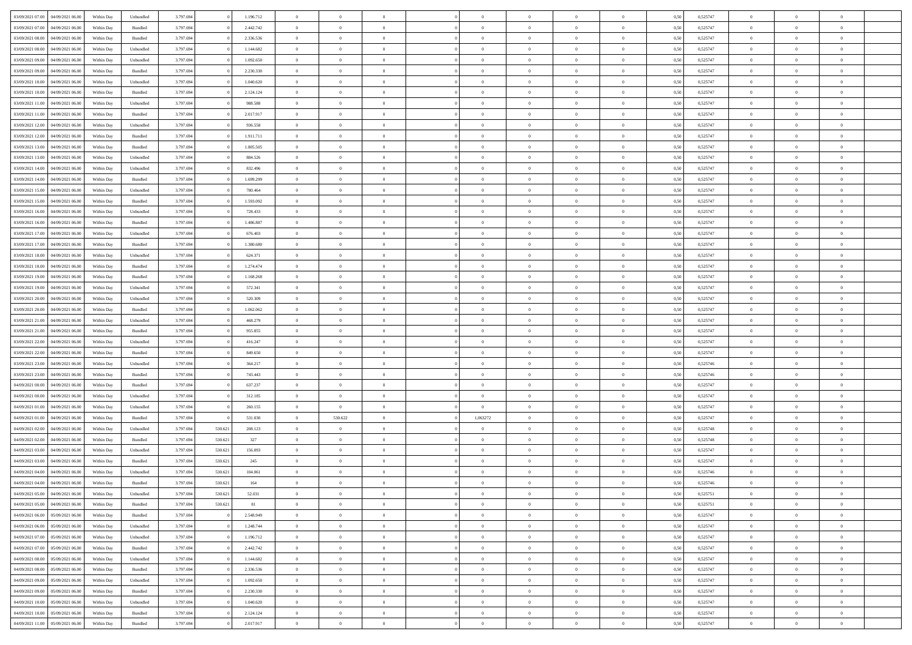|                                   |                  |            |           |           |         |           |                |                |                |                | $\Omega$       | $\theta$       | $\theta$       |      |          | $\theta$       | $\overline{0}$ | $\theta$       |  |
|-----------------------------------|------------------|------------|-----------|-----------|---------|-----------|----------------|----------------|----------------|----------------|----------------|----------------|----------------|------|----------|----------------|----------------|----------------|--|
| 03/09/2021 07:00                  | 04/09/2021 06:00 | Within Day | Unbundled | 3.797.694 |         | 1.196.712 | $\overline{0}$ | $\theta$       |                | $\Omega$       |                |                |                | 0,50 | 0,525747 |                |                |                |  |
| 03/09/2021 07:00                  | 04/09/2021 06.00 | Within Day | Bundled   | 3.797.694 |         | 2.442.742 | $\overline{0}$ | $\theta$       | $\overline{0}$ | $\overline{0}$ | $\bf{0}$       | $\overline{0}$ | $\bf{0}$       | 0,50 | 0,525747 | $\theta$       | $\overline{0}$ | $\overline{0}$ |  |
| 03/09/2021 08:00                  | 04/09/2021 06.00 | Within Day | Bundled   | 3.797.694 |         | 2.336.536 | $\overline{0}$ | $\bf{0}$       | $\overline{0}$ | $\bf{0}$       | $\bf{0}$       | $\bf{0}$       | $\mathbf{0}$   | 0,50 | 0,525747 | $\overline{0}$ | $\overline{0}$ | $\overline{0}$ |  |
| 03/09/2021 08:00                  | 04/09/2021 06:00 | Within Dav | Unbundled | 3.797.694 |         | 1.144.682 | $\overline{0}$ | $\overline{0}$ | $\overline{0}$ | $\overline{0}$ | $\bf{0}$       | $\overline{0}$ | $\overline{0}$ | 0.50 | 0,525747 | $\theta$       | $\theta$       | $\overline{0}$ |  |
|                                   |                  |            |           |           |         |           |                |                |                |                |                |                |                |      |          |                |                |                |  |
| 03/09/2021 09:00                  | 04/09/2021 06.00 | Within Day | Unbundled | 3.797.694 |         | 1.092.650 | $\overline{0}$ | $\theta$       | $\overline{0}$ | $\overline{0}$ | $\bf{0}$       | $\overline{0}$ | $\bf{0}$       | 0,50 | 0,525747 | $\theta$       | $\overline{0}$ | $\overline{0}$ |  |
| 03/09/2021 09:00                  | 04/09/2021 06.00 | Within Day | Bundled   | 3.797.694 |         | 2.230.330 | $\overline{0}$ | $\overline{0}$ | $\overline{0}$ | $\bf{0}$       | $\overline{0}$ | $\overline{0}$ | $\mathbf{0}$   | 0,50 | 0,525747 | $\overline{0}$ | $\overline{0}$ | $\bf{0}$       |  |
| 03/09/2021 10:00                  | 04/09/2021 06:00 | Within Dav | Unbundled | 3.797.694 |         | 1.040.620 | $\overline{0}$ | $\overline{0}$ | $\overline{0}$ | $\overline{0}$ | $\overline{0}$ | $\overline{0}$ | $\overline{0}$ | 0.50 | 0,525747 | $\theta$       | $\overline{0}$ | $\overline{0}$ |  |
| 03/09/2021 10:00                  | 04/09/2021 06.00 | Within Day | Bundled   | 3.797.694 |         | 2.124.124 | $\overline{0}$ | $\theta$       | $\overline{0}$ | $\overline{0}$ | $\bf{0}$       | $\overline{0}$ | $\bf{0}$       | 0,50 | 0,525747 | $\theta$       | $\theta$       | $\overline{0}$ |  |
|                                   |                  |            |           |           |         |           |                |                |                |                |                |                |                |      |          |                |                |                |  |
| 03/09/2021 11:00                  | 04/09/2021 06.00 | Within Day | Unbundled | 3.797.694 |         | 988.588   | $\overline{0}$ | $\overline{0}$ | $\overline{0}$ | $\bf{0}$       | $\bf{0}$       | $\bf{0}$       | $\bf{0}$       | 0,50 | 0,525747 | $\,0\,$        | $\overline{0}$ | $\overline{0}$ |  |
| 03/09/2021 11:00                  | 04/09/2021 06:00 | Within Dav | Bundled   | 3.797.694 |         | 2.017.917 | $\overline{0}$ | $\overline{0}$ | $\overline{0}$ | $\overline{0}$ | $\overline{0}$ | $\overline{0}$ | $\overline{0}$ | 0.50 | 0,525747 | $\theta$       | $\overline{0}$ | $\overline{0}$ |  |
| 03/09/2021 12:00                  | 04/09/2021 06.00 | Within Day | Unbundled | 3.797.694 |         | 936.558   | $\overline{0}$ | $\theta$       | $\overline{0}$ | $\overline{0}$ | $\bf{0}$       | $\overline{0}$ | $\bf{0}$       | 0,50 | 0,525747 | $\,$ 0 $\,$    | $\overline{0}$ | $\overline{0}$ |  |
| 03/09/2021 12:00                  | 04/09/2021 06.00 | Within Day | Bundled   | 3.797.694 |         | 1.911.711 | $\overline{0}$ | $\bf{0}$       | $\overline{0}$ | $\overline{0}$ | $\bf{0}$       | $\overline{0}$ | $\bf{0}$       | 0,50 | 0,525747 | $\bf{0}$       | $\overline{0}$ | $\bf{0}$       |  |
| 03/09/2021 13:00                  | 04/09/2021 06:00 | Within Day | Bundled   | 3.797.694 |         | 1.805.505 | $\overline{0}$ | $\overline{0}$ | $\overline{0}$ | $\overline{0}$ | $\bf{0}$       | $\overline{0}$ | $\overline{0}$ | 0.50 | 0,525747 | $\theta$       | $\theta$       | $\overline{0}$ |  |
|                                   |                  |            |           |           |         |           | $\overline{0}$ | $\theta$       | $\overline{0}$ | $\overline{0}$ | $\bf{0}$       | $\overline{0}$ |                |      |          | $\theta$       | $\overline{0}$ | $\overline{0}$ |  |
| 03/09/2021 13:00                  | 04/09/2021 06.00 | Within Day | Unbundled | 3.797.694 |         | 884.526   |                |                |                |                |                |                | $\bf{0}$       | 0,50 | 0,525747 |                |                |                |  |
| 03/09/2021 14:00                  | 04/09/2021 06.00 | Within Day | Unbundled | 3.797.694 |         | 832.496   | $\overline{0}$ | $\overline{0}$ | $\overline{0}$ | $\overline{0}$ | $\overline{0}$ | $\overline{0}$ | $\mathbf{0}$   | 0,50 | 0,525747 | $\bf{0}$       | $\overline{0}$ | $\bf{0}$       |  |
| 03/09/2021 14:00                  | 04/09/2021 06:00 | Within Dav | Bundled   | 3.797.694 |         | 1.699.299 | $\overline{0}$ | $\overline{0}$ | $\overline{0}$ | $\overline{0}$ | $\overline{0}$ | $\overline{0}$ | $\overline{0}$ | 0.50 | 0,525747 | $\theta$       | $\overline{0}$ | $\overline{0}$ |  |
| 03/09/2021 15:00                  | 04/09/2021 06.00 | Within Day | Unbundled | 3.797.694 |         | 780.464   | $\overline{0}$ | $\theta$       | $\overline{0}$ | $\overline{0}$ | $\bf{0}$       | $\overline{0}$ | $\bf{0}$       | 0,50 | 0,525747 | $\theta$       | $\theta$       | $\overline{0}$ |  |
| 03/09/2021 15:00                  | 04/09/2021 06.00 | Within Day | Bundled   | 3.797.694 |         | 1.593.092 | $\overline{0}$ | $\overline{0}$ | $\overline{0}$ | $\bf{0}$       | $\bf{0}$       | $\bf{0}$       | $\bf{0}$       | 0,50 | 0,525747 | $\,0\,$        | $\overline{0}$ | $\overline{0}$ |  |
|                                   |                  |            |           |           |         |           |                |                |                |                |                |                |                |      |          |                |                |                |  |
| 03/09/2021 16:00                  | 04/09/2021 06:00 | Within Dav | Unbundled | 3.797.694 |         | 728.433   | $\overline{0}$ | $\overline{0}$ | $\overline{0}$ | $\overline{0}$ | $\overline{0}$ | $\overline{0}$ | $\overline{0}$ | 0.50 | 0,525747 | $\theta$       | $\overline{0}$ | $\overline{0}$ |  |
| 03/09/2021 16:00                  | 04/09/2021 06.00 | Within Day | Bundled   | 3.797.694 |         | 1.486.887 | $\overline{0}$ | $\theta$       | $\overline{0}$ | $\overline{0}$ | $\bf{0}$       | $\overline{0}$ | $\bf{0}$       | 0,50 | 0,525747 | $\,$ 0 $\,$    | $\overline{0}$ | $\overline{0}$ |  |
| 03/09/2021 17:00                  | 04/09/2021 06.00 | Within Day | Unbundled | 3.797.694 |         | 676.403   | $\overline{0}$ | $\overline{0}$ | $\overline{0}$ | $\bf{0}$       | $\bf{0}$       | $\bf{0}$       | $\bf{0}$       | 0,50 | 0,525747 | $\,0\,$        | $\overline{0}$ | $\bf{0}$       |  |
| 03/09/2021 17:00                  | 04/09/2021 06:00 | Within Day | Bundled   | 3.797.694 |         | 1.380.680 | $\overline{0}$ | $\overline{0}$ | $\overline{0}$ | $\overline{0}$ | $\bf{0}$       | $\overline{0}$ | $\overline{0}$ | 0.50 | 0,525747 | $\theta$       | $\overline{0}$ | $\overline{0}$ |  |
| 03/09/2021 18:00                  | 04/09/2021 06.00 | Within Day | Unbundled | 3.797.694 |         | 624.371   | $\overline{0}$ | $\theta$       | $\overline{0}$ | $\overline{0}$ | $\bf{0}$       | $\overline{0}$ | $\bf{0}$       | 0,50 | 0,525747 | $\,$ 0 $\,$    | $\overline{0}$ | $\overline{0}$ |  |
|                                   |                  |            |           |           |         |           |                |                |                |                |                |                |                |      |          |                |                |                |  |
| 03/09/2021 18:00                  | 04/09/2021 06.00 | Within Day | Bundled   | 3.797.694 |         | 1.274.474 | $\overline{0}$ | $\overline{0}$ | $\overline{0}$ | $\bf{0}$       | $\overline{0}$ | $\overline{0}$ | $\mathbf{0}$   | 0,50 | 0,525747 | $\bf{0}$       | $\overline{0}$ | $\bf{0}$       |  |
| 03/09/2021 19:00                  | 04/09/2021 06:00 | Within Dav | Bundled   | 3.797.694 |         | 1.168.268 | $\overline{0}$ | $\overline{0}$ | $\overline{0}$ | $\overline{0}$ | $\overline{0}$ | $\overline{0}$ | $\overline{0}$ | 0.50 | 0,525747 | $\theta$       | $\overline{0}$ | $\overline{0}$ |  |
| 03/09/2021 19:00                  | 04/09/2021 06.00 | Within Day | Unbundled | 3.797.694 |         | 572.341   | $\overline{0}$ | $\theta$       | $\overline{0}$ | $\overline{0}$ | $\bf{0}$       | $\overline{0}$ | $\bf{0}$       | 0,50 | 0,525747 | $\theta$       | $\theta$       | $\overline{0}$ |  |
| 03/09/2021 20.00                  | 04/09/2021 06.00 | Within Day | Unbundled | 3.797.694 |         | 520.309   | $\overline{0}$ | $\overline{0}$ | $\overline{0}$ | $\bf{0}$       | $\bf{0}$       | $\bf{0}$       | $\bf{0}$       | 0,50 | 0,525747 | $\,0\,$        | $\overline{0}$ | $\overline{0}$ |  |
| 03/09/2021 20:00                  | 04/09/2021 06:00 |            | Bundled   | 3.797.694 |         | 1.062.062 | $\overline{0}$ | $\overline{0}$ | $\overline{0}$ | $\overline{0}$ | $\overline{0}$ | $\overline{0}$ | $\overline{0}$ | 0.50 | 0,525747 | $\theta$       | $\overline{0}$ | $\overline{0}$ |  |
|                                   |                  | Within Day |           |           |         |           |                |                |                |                |                |                |                |      |          |                |                |                |  |
| 03/09/2021 21:00                  | 04/09/2021 06.00 | Within Day | Unbundled | 3.797.694 |         | 468.279   | $\overline{0}$ | $\theta$       | $\overline{0}$ | $\overline{0}$ | $\bf{0}$       | $\overline{0}$ | $\bf{0}$       | 0,50 | 0,525747 | $\,$ 0 $\,$    | $\overline{0}$ | $\overline{0}$ |  |
| 03/09/2021 21:00                  | 04/09/2021 06.00 | Within Day | Bundled   | 3.797.694 |         | 955.855   | $\overline{0}$ | $\overline{0}$ | $\overline{0}$ | $\bf{0}$       | $\bf{0}$       | $\overline{0}$ | $\bf{0}$       | 0,50 | 0,525747 | $\bf{0}$       | $\overline{0}$ | $\bf{0}$       |  |
| 03/09/2021 22.00                  | 04/09/2021 06.00 | Within Day | Unbundled | 3.797.694 |         | 416.247   | $\overline{0}$ | $\Omega$       | $\Omega$       | $\Omega$       | $\Omega$       | $\overline{0}$ | $\overline{0}$ | 0,50 | 0,525747 | $\,0\,$        | $\theta$       | $\theta$       |  |
| 03/09/2021 22:00                  | 04/09/2021 06.00 | Within Day | Bundled   | 3.797.694 |         | 849.650   | $\overline{0}$ | $\theta$       | $\overline{0}$ | $\overline{0}$ | $\bf{0}$       | $\overline{0}$ | $\bf{0}$       | 0,50 | 0,525747 | $\theta$       | $\overline{0}$ | $\overline{0}$ |  |
|                                   |                  |            |           |           |         |           |                |                |                |                |                |                |                |      |          |                |                |                |  |
| 03/09/2021 23.00                  | 04/09/2021 06.00 | Within Day | Unbundled | 3.797.694 |         | 364.217   | $\overline{0}$ | $\overline{0}$ | $\overline{0}$ | $\overline{0}$ | $\bf{0}$       | $\overline{0}$ | $\mathbf{0}$   | 0,50 | 0,525746 | $\bf{0}$       | $\overline{0}$ | $\bf{0}$       |  |
| 03/09/2021 23.00                  | 04/09/2021 06:00 | Within Day | Bundled   | 3.797.694 |         | 743.443   | $\overline{0}$ | $\Omega$       | $\Omega$       | $\Omega$       | $\bf{0}$       | $\overline{0}$ | $\overline{0}$ | 0.50 | 0,525746 | $\,0\,$        | $\theta$       | $\theta$       |  |
| 04/09/2021 00:00                  | 04/09/2021 06.00 | Within Day | Bundled   | 3.797.694 |         | 637.237   | $\overline{0}$ | $\theta$       | $\overline{0}$ | $\overline{0}$ | $\bf{0}$       | $\overline{0}$ | $\bf{0}$       | 0,50 | 0,525747 | $\,$ 0 $\,$    | $\overline{0}$ | $\overline{0}$ |  |
| 04/09/2021 00:00                  | 04/09/2021 06.00 | Within Day | Unbundled | 3.797.694 |         | 312.185   | $\overline{0}$ | $\overline{0}$ | $\overline{0}$ | $\overline{0}$ | $\bf{0}$       | $\overline{0}$ | $\bf{0}$       | 0,50 | 0,525747 | $\bf{0}$       | $\overline{0}$ | $\bf{0}$       |  |
| 04/09/2021 01:00                  | 04/09/2021 06:00 | Within Day | Unbundled | 3.797.694 |         | 260.155   | $\overline{0}$ | $\overline{0}$ | $\Omega$       | $\Omega$       | $\overline{0}$ | $\overline{0}$ | $\overline{0}$ | 0.50 | 0,525747 | $\,$ 0 $\,$    | $\theta$       | $\theta$       |  |
|                                   |                  |            |           |           |         |           |                |                |                |                |                |                |                |      |          |                |                |                |  |
| 04/09/2021 01:00                  | 04/09/2021 06.00 | Within Day | Bundled   | 3.797.694 |         | 531.030   | $\overline{0}$ | 530.622        | $\overline{0}$ | 1,063272       | $\bf{0}$       | $\overline{0}$ | $\bf{0}$       | 0,50 | 0,525747 | $\,$ 0 $\,$    | $\overline{0}$ | $\overline{0}$ |  |
| 04/09/2021 02.00                  | 04/09/2021 06.00 | Within Day | Unbundled | 3.797.694 | 530.621 | 208.123   | $\overline{0}$ | $\overline{0}$ | $\overline{0}$ | $\bf{0}$       | $\bf{0}$       | $\bf{0}$       | $\bf{0}$       | 0,50 | 0,525748 | $\overline{0}$ | $\overline{0}$ | $\bf{0}$       |  |
| 04/09/2021 02:00                  | 04/09/2021 06.00 | Within Day | Bundled   | 3.797.694 | 530.621 | 327       | $\overline{0}$ | $\Omega$       | $\overline{0}$ | $\Omega$       | $\Omega$       | $\overline{0}$ | $\overline{0}$ | 0,50 | 0,525748 | $\,0\,$        | $\theta$       | $\theta$       |  |
| 04/09/2021 03:00                  | 04/09/2021 06.00 | Within Day | Unbundled | 3.797.694 | 530.621 | 156.093   | $\overline{0}$ | $\overline{0}$ | $\overline{0}$ | $\overline{0}$ | $\bf{0}$       | $\overline{0}$ | $\bf{0}$       | 0,50 | 0,525747 | $\,$ 0 $\,$    | $\overline{0}$ | $\overline{0}$ |  |
| 04/09/2021 03:00                  | 04/09/2021 06.00 | Within Day | Bundled   | 3.797.694 | 530.621 | 245       | $\overline{0}$ | $\overline{0}$ | $\overline{0}$ | $\bf{0}$       | $\bf{0}$       | $\bf{0}$       | $\mathbf{0}$   | 0,50 | 0,525747 | $\overline{0}$ | $\overline{0}$ | $\bf{0}$       |  |
|                                   |                  |            |           |           |         |           |                |                |                |                |                |                |                |      |          |                |                |                |  |
| 04/09/2021 04:00                  | 04/09/2021 06:00 | Within Day | Unbundled | 3.797.694 | 530.621 | 104.061   | $\overline{0}$ | $\Omega$       | $\Omega$       | $\Omega$       | $\Omega$       | $\Omega$       | $\overline{0}$ | 0.50 | 0,525746 | $\theta$       | $\theta$       | $\theta$       |  |
| 04/09/2021 04:00                  | 04/09/2021 06:00 | Within Day | Bundled   | 3.797.694 | 530.621 | 164       | $\overline{0}$ | $\overline{0}$ | $\overline{0}$ | $\bf{0}$       | $\,$ 0         | $\bf{0}$       | $\bf{0}$       | 0,50 | 0,525746 | $\,0\,$        | $\,$ 0 $\,$    | $\overline{0}$ |  |
| 04/09/2021 05:00 04/09/2021 06:00 |                  | Within Day | Unbundled | 3.797.694 | 530.621 | 52.031    | $\bf{0}$       | $\bf{0}$       |                |                |                |                |                | 0,50 | 0,525751 | $\bf{0}$       | $\overline{0}$ |                |  |
| 04/09/2021 05:00                  | 04/09/2021 06:00 | Within Day | Bundled   | 3.797.694 | 530.621 | 81        | $\overline{0}$ | $\overline{0}$ | $\overline{0}$ | $\Omega$       | $\overline{0}$ | $\overline{0}$ | $\overline{0}$ | 0,50 | 0,525751 | $\theta$       | $\theta$       | $\Omega$       |  |
| 04/09/2021 06:00                  | 05/09/2021 06:00 | Within Day | Bundled   | 3.797.694 |         | 2.548.949 | $\overline{0}$ | $\,$ 0         | $\overline{0}$ | $\overline{0}$ | $\,$ 0 $\,$    | $\overline{0}$ | $\mathbf{0}$   | 0,50 | 0,525747 | $\,$ 0 $\,$    | $\,$ 0 $\,$    | $\,$ 0         |  |
|                                   |                  |            |           |           |         |           |                |                |                |                |                |                |                |      |          |                |                |                |  |
| 04/09/2021 06:00                  | 05/09/2021 06:00 | Within Day | Unbundled | 3.797.694 |         | 1.248.744 | $\overline{0}$ | $\overline{0}$ | $\overline{0}$ | $\overline{0}$ | $\overline{0}$ | $\overline{0}$ | $\mathbf{0}$   | 0,50 | 0,525747 | $\overline{0}$ | $\bf{0}$       | $\bf{0}$       |  |
| 04/09/2021 07:00                  | 05/09/2021 06:00 | Within Day | Unbundled | 3.797.694 |         | 1.196.712 | $\overline{0}$ | $\overline{0}$ | $\overline{0}$ | $\Omega$       | $\overline{0}$ | $\overline{0}$ | $\bf{0}$       | 0,50 | 0,525747 | $\overline{0}$ | $\theta$       | $\overline{0}$ |  |
| 04/09/2021 07:00                  | 05/09/2021 06:00 | Within Day | Bundled   | 3.797.694 |         | 2.442.742 | $\overline{0}$ | $\,$ 0         | $\overline{0}$ | $\overline{0}$ | $\overline{0}$ | $\overline{0}$ | $\bf{0}$       | 0,50 | 0,525747 | $\,$ 0 $\,$    | $\overline{0}$ | $\overline{0}$ |  |
| 04/09/2021 08:00                  | 05/09/2021 06:00 | Within Day | Unbundled | 3.797.694 |         | 1.144.682 | $\overline{0}$ | $\overline{0}$ | $\overline{0}$ | $\overline{0}$ | $\overline{0}$ | $\overline{0}$ | $\mathbf{0}$   | 0,50 | 0,525747 | $\overline{0}$ | $\overline{0}$ | $\bf{0}$       |  |
| 04/09/2021 08:00                  | 05/09/2021 06:00 | Within Day | Bundled   | 3.797.694 |         | 2.336.536 | $\overline{0}$ | $\overline{0}$ | $\overline{0}$ | $\Omega$       | $\overline{0}$ | $\overline{0}$ | $\bf{0}$       | 0.50 | 0,525747 | $\overline{0}$ | $\theta$       | $\overline{0}$ |  |
|                                   |                  |            |           |           |         |           |                |                |                |                |                |                |                |      |          |                |                |                |  |
| 04/09/2021 09:00                  | 05/09/2021 06:00 | Within Day | Unbundled | 3.797.694 |         | 1.092.650 | $\overline{0}$ | $\,$ 0         | $\overline{0}$ | $\overline{0}$ | $\bf{0}$       | $\overline{0}$ | $\bf{0}$       | 0,50 | 0,525747 | $\,$ 0 $\,$    | $\overline{0}$ | $\overline{0}$ |  |
| 04/09/2021 09:00                  | 05/09/2021 06:00 | Within Day | Bundled   | 3.797.694 |         | 2.230.330 | $\overline{0}$ | $\bf{0}$       | $\overline{0}$ | $\overline{0}$ | $\overline{0}$ | $\overline{0}$ | $\mathbf{0}$   | 0,50 | 0,525747 | $\overline{0}$ | $\overline{0}$ | $\bf{0}$       |  |
| 04/09/2021 10:00                  | 05/09/2021 06:00 | Within Day | Unbundled | 3.797.694 |         | 1.040.620 | $\overline{0}$ | $\overline{0}$ | $\overline{0}$ | $\Omega$       | $\overline{0}$ | $\overline{0}$ | $\bf{0}$       | 0.50 | 0,525747 | $\overline{0}$ | $\theta$       | $\overline{0}$ |  |
| 04/09/2021 10:00                  | 05/09/2021 06:00 | Within Day | Bundled   | 3.797.694 |         | 2.124.124 | $\overline{0}$ | $\bf{0}$       | $\overline{0}$ | $\overline{0}$ | $\bf{0}$       | $\overline{0}$ | $\mathbf{0}$   | 0,50 | 0,525747 | $\,$ 0 $\,$    | $\,$ 0 $\,$    | $\bf{0}$       |  |
|                                   |                  |            |           |           |         |           |                |                |                |                |                |                |                |      |          |                |                |                |  |
| 04/09/2021 11:00                  | 05/09/2021 06:00 | Within Day | Bundled   | 3.797.694 |         | 2.017.917 | $\overline{0}$ | $\overline{0}$ | $\overline{0}$ | $\overline{0}$ | $\bf{0}$       | $\overline{0}$ | $\mathbf{0}$   | 0,50 | 0,525747 | $\overline{0}$ | $\bf{0}$       | $\bf{0}$       |  |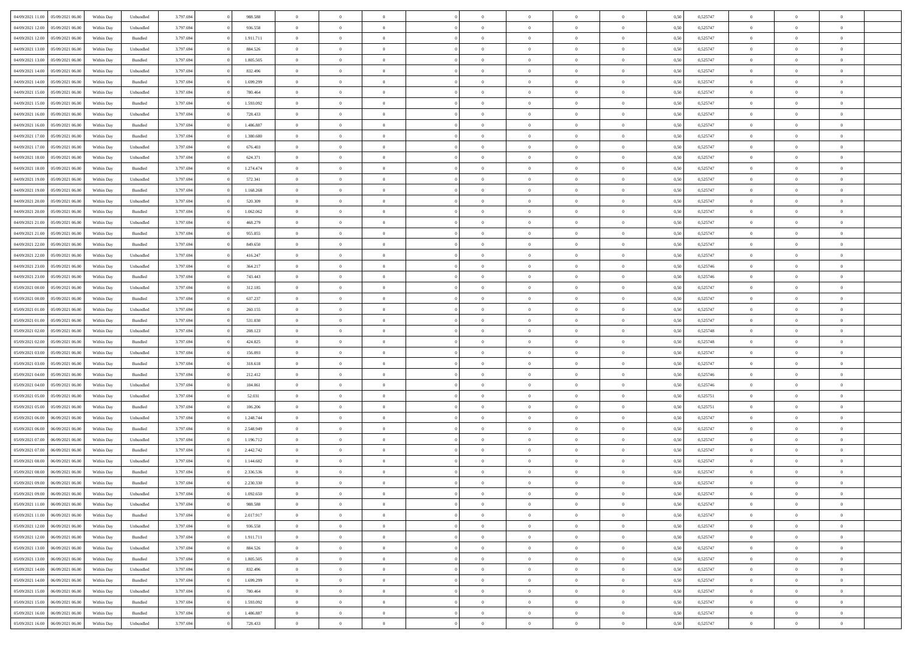| 04/09/2021 11:00                  | 05/09/2021 06:00 | Within Day | Unbundled | 3.797.694 | 988.588   | $\overline{0}$ | $\theta$       |                | $\Omega$       | $\Omega$       | $\theta$       | $\theta$       | 0,50 | 0,525747 | $\theta$       | $\overline{0}$ | $\theta$       |  |
|-----------------------------------|------------------|------------|-----------|-----------|-----------|----------------|----------------|----------------|----------------|----------------|----------------|----------------|------|----------|----------------|----------------|----------------|--|
| 04/09/2021 12:00                  | 05/09/2021 06:00 | Within Day | Unbundled | 3.797.694 | 936.558   | $\overline{0}$ | $\theta$       | $\overline{0}$ | $\overline{0}$ | $\bf{0}$       | $\overline{0}$ | $\bf{0}$       | 0,50 | 0,525747 | $\theta$       | $\overline{0}$ | $\overline{0}$ |  |
| 04/09/2021 12:00                  | 05/09/2021 06:00 | Within Day | Bundled   | 3.797.694 | 1.911.711 | $\overline{0}$ | $\bf{0}$       | $\overline{0}$ | $\overline{0}$ | $\bf{0}$       | $\overline{0}$ | $\mathbf{0}$   | 0,50 | 0,525747 | $\overline{0}$ | $\overline{0}$ | $\overline{0}$ |  |
| 04/09/2021 13:00                  | 05/09/2021 06:00 | Within Dav | Unbundled | 3.797.694 | 884.526   | $\overline{0}$ | $\overline{0}$ | $\overline{0}$ | $\overline{0}$ | $\bf{0}$       | $\overline{0}$ | $\overline{0}$ | 0.50 | 0,525747 | $\theta$       | $\theta$       | $\overline{0}$ |  |
|                                   |                  |            |           |           |           |                |                |                |                |                |                |                |      |          |                |                |                |  |
| 04/09/2021 13:00                  | 05/09/2021 06:00 | Within Day | Bundled   | 3.797.694 | 1.805.505 | $\overline{0}$ | $\theta$       | $\overline{0}$ | $\overline{0}$ | $\bf{0}$       | $\overline{0}$ | $\bf{0}$       | 0,50 | 0,525747 | $\theta$       | $\overline{0}$ | $\overline{0}$ |  |
| 04/09/2021 14:00                  | 05/09/2021 06:00 | Within Day | Unbundled | 3.797.694 | 832.496   | $\overline{0}$ | $\overline{0}$ | $\overline{0}$ | $\overline{0}$ | $\overline{0}$ | $\overline{0}$ | $\mathbf{0}$   | 0,50 | 0,525747 | $\overline{0}$ | $\overline{0}$ | $\bf{0}$       |  |
| 04/09/2021 14:00                  | 05/09/2021 06:00 | Within Dav | Bundled   | 3.797.694 | 1.699.299 | $\overline{0}$ | $\overline{0}$ | $\overline{0}$ | $\overline{0}$ | $\overline{0}$ | $\overline{0}$ | $\overline{0}$ | 0.50 | 0,525747 | $\theta$       | $\overline{0}$ | $\overline{0}$ |  |
| 04/09/2021 15:00                  | 05/09/2021 06:00 | Within Day | Unbundled | 3.797.694 | 780.464   | $\overline{0}$ | $\theta$       | $\overline{0}$ | $\overline{0}$ | $\bf{0}$       | $\overline{0}$ | $\bf{0}$       | 0,50 | 0,525747 | $\theta$       | $\theta$       | $\overline{0}$ |  |
| 04/09/2021 15:00                  | 05/09/2021 06:00 | Within Day | Bundled   | 3.797.694 | 1.593.092 | $\overline{0}$ | $\overline{0}$ | $\overline{0}$ | $\bf{0}$       | $\bf{0}$       | $\bf{0}$       | $\bf{0}$       | 0,50 | 0,525747 | $\,0\,$        | $\overline{0}$ | $\overline{0}$ |  |
| 04/09/2021 16:00                  | 05/09/2021 06:00 | Within Dav | Unbundled | 3.797.694 | 728.433   | $\overline{0}$ | $\overline{0}$ | $\overline{0}$ | $\overline{0}$ | $\overline{0}$ | $\overline{0}$ | $\overline{0}$ | 0.50 | 0,525747 | $\theta$       | $\overline{0}$ | $\overline{0}$ |  |
|                                   |                  |            |           |           |           |                |                |                |                |                |                |                |      |          |                |                |                |  |
| 04/09/2021 16:00                  | 05/09/2021 06:00 | Within Day | Bundled   | 3.797.694 | 1.486.887 | $\overline{0}$ | $\theta$       | $\overline{0}$ | $\overline{0}$ | $\bf{0}$       | $\overline{0}$ | $\bf{0}$       | 0,50 | 0,525747 | $\,$ 0 $\,$    | $\overline{0}$ | $\overline{0}$ |  |
| 04/09/2021 17.00                  | 05/09/2021 06:00 | Within Day | Bundled   | 3.797.694 | 1.380.680 | $\overline{0}$ | $\bf{0}$       | $\overline{0}$ | $\bf{0}$       | $\bf{0}$       | $\bf{0}$       | $\mathbf{0}$   | 0,50 | 0,525747 | $\overline{0}$ | $\overline{0}$ | $\bf{0}$       |  |
| 04/09/2021 17:00                  | 05/09/2021 06:00 | Within Day | Unbundled | 3.797.694 | 676.403   | $\overline{0}$ | $\overline{0}$ | $\overline{0}$ | $\overline{0}$ | $\bf{0}$       | $\overline{0}$ | $\overline{0}$ | 0.50 | 0,525747 | $\theta$       | $\theta$       | $\overline{0}$ |  |
| 04/09/2021 18:00                  | 05/09/2021 06:00 | Within Day | Unbundled | 3.797.694 | 624.371   | $\overline{0}$ | $\theta$       | $\overline{0}$ | $\overline{0}$ | $\bf{0}$       | $\overline{0}$ | $\bf{0}$       | 0,50 | 0,525747 | $\theta$       | $\overline{0}$ | $\overline{0}$ |  |
| 04/09/2021 18:00                  | 05/09/2021 06:00 | Within Day | Bundled   | 3.797.694 | 1.274.474 | $\overline{0}$ | $\overline{0}$ | $\overline{0}$ | $\bf{0}$       | $\overline{0}$ | $\overline{0}$ | $\mathbf{0}$   | 0,50 | 0,525747 | $\overline{0}$ | $\overline{0}$ | $\bf{0}$       |  |
| 04/09/2021 19:00                  | 05/09/2021 06:00 | Within Dav | Unbundled | 3.797.694 | 572.341   | $\overline{0}$ | $\overline{0}$ | $\overline{0}$ | $\overline{0}$ | $\overline{0}$ | $\overline{0}$ | $\overline{0}$ | 0.50 | 0,525747 | $\theta$       | $\overline{0}$ | $\overline{0}$ |  |
|                                   |                  |            |           |           |           |                |                |                |                |                |                |                |      |          |                |                |                |  |
| 04/09/2021 19:00                  | 05/09/2021 06:00 | Within Day | Bundled   | 3.797.694 | 1.168.268 | $\overline{0}$ | $\theta$       | $\overline{0}$ | $\overline{0}$ | $\bf{0}$       | $\overline{0}$ | $\bf{0}$       | 0,50 | 0,525747 | $\theta$       | $\theta$       | $\overline{0}$ |  |
| 04/09/2021 20.00                  | 05/09/2021 06:00 | Within Day | Unbundled | 3.797.694 | 520.309   | $\overline{0}$ | $\overline{0}$ | $\overline{0}$ | $\bf{0}$       | $\bf{0}$       | $\bf{0}$       | $\bf{0}$       | 0,50 | 0,525747 | $\,0\,$        | $\overline{0}$ | $\overline{0}$ |  |
| 04/09/2021 20:00                  | 05/09/2021 06:00 | Within Dav | Bundled   | 3.797.694 | 1.062.062 | $\overline{0}$ | $\overline{0}$ | $\overline{0}$ | $\overline{0}$ | $\overline{0}$ | $\overline{0}$ | $\overline{0}$ | 0.50 | 0,525747 | $\theta$       | $\overline{0}$ | $\overline{0}$ |  |
| 04/09/2021 21:00                  | 05/09/2021 06:00 | Within Day | Unbundled | 3.797.694 | 468.279   | $\overline{0}$ | $\theta$       | $\overline{0}$ | $\overline{0}$ | $\bf{0}$       | $\overline{0}$ | $\bf{0}$       | 0,50 | 0,525747 | $\,$ 0 $\,$    | $\overline{0}$ | $\overline{0}$ |  |
| 04/09/2021 21.00                  | 05/09/2021 06:00 | Within Day | Bundled   | 3.797.694 | 955.855   | $\overline{0}$ | $\overline{0}$ | $\overline{0}$ | $\bf{0}$       | $\bf{0}$       | $\bf{0}$       | $\bf{0}$       | 0,50 | 0,525747 | $\bf{0}$       | $\overline{0}$ | $\bf{0}$       |  |
| 04/09/2021 22:00                  | 05/09/2021 06:00 | Within Day | Bundled   | 3.797.694 | 849.650   | $\overline{0}$ | $\overline{0}$ | $\overline{0}$ | $\overline{0}$ | $\bf{0}$       | $\overline{0}$ | $\overline{0}$ | 0.50 | 0,525747 | $\theta$       | $\overline{0}$ | $\overline{0}$ |  |
|                                   |                  |            |           |           |           | $\overline{0}$ | $\theta$       |                |                | $\bf{0}$       |                |                |      |          |                | $\overline{0}$ |                |  |
| 04/09/2021 22.00                  | 05/09/2021 06:00 | Within Day | Unbundled | 3.797.694 | 416.247   |                |                | $\overline{0}$ | $\overline{0}$ |                | $\overline{0}$ | $\bf{0}$       | 0,50 | 0,525747 | $\,$ 0 $\,$    |                | $\overline{0}$ |  |
| 04/09/2021 23.00                  | 05/09/2021 06:00 | Within Day | Unbundled | 3.797.694 | 364.217   | $\overline{0}$ | $\overline{0}$ | $\overline{0}$ | $\bf{0}$       | $\overline{0}$ | $\overline{0}$ | $\mathbf{0}$   | 0,50 | 0,525746 | $\overline{0}$ | $\overline{0}$ | $\bf{0}$       |  |
| 04/09/2021 23:00                  | 05/09/2021 06:00 | Within Dav | Bundled   | 3.797.694 | 743.443   | $\overline{0}$ | $\overline{0}$ | $\overline{0}$ | $\overline{0}$ | $\overline{0}$ | $\overline{0}$ | $\overline{0}$ | 0.50 | 0,525746 | $\theta$       | $\overline{0}$ | $\overline{0}$ |  |
| 05/09/2021 00:00                  | 05/09/2021 06:00 | Within Day | Unbundled | 3.797.694 | 312.185   | $\overline{0}$ | $\theta$       | $\overline{0}$ | $\overline{0}$ | $\bf{0}$       | $\overline{0}$ | $\bf{0}$       | 0,50 | 0,525747 | $\theta$       | $\theta$       | $\overline{0}$ |  |
| 05/09/2021 00:00                  | 05/09/2021 06:00 | Within Day | Bundled   | 3.797.694 | 637.237   | $\overline{0}$ | $\overline{0}$ | $\overline{0}$ | $\bf{0}$       | $\bf{0}$       | $\bf{0}$       | $\bf{0}$       | 0,50 | 0,525747 | $\,0\,$        | $\overline{0}$ | $\overline{0}$ |  |
| 05/09/2021 01:00                  | 05/09/2021 06:00 | Within Day | Unbundled | 3.797.694 | 260.155   | $\overline{0}$ | $\overline{0}$ | $\overline{0}$ | $\overline{0}$ | $\overline{0}$ | $\overline{0}$ | $\overline{0}$ | 0.50 | 0,525747 | $\theta$       | $\overline{0}$ | $\overline{0}$ |  |
| 05/09/2021 01:00                  | 05/09/2021 06:00 | Within Day | Bundled   | 3.797.694 | 531.030   | $\overline{0}$ | $\theta$       | $\overline{0}$ | $\overline{0}$ | $\bf{0}$       | $\overline{0}$ | $\bf{0}$       | 0,50 | 0,525747 | $\,$ 0 $\,$    | $\overline{0}$ | $\overline{0}$ |  |
|                                   |                  |            |           |           |           |                |                |                |                |                |                |                |      |          |                |                |                |  |
| 05/09/2021 02:00                  | 05/09/2021 06:00 | Within Day | Unbundled | 3.797.694 | 208.123   | $\overline{0}$ | $\overline{0}$ | $\overline{0}$ | $\bf{0}$       | $\bf{0}$       | $\overline{0}$ | $\bf{0}$       | 0,50 | 0,525748 | $\overline{0}$ | $\overline{0}$ | $\bf{0}$       |  |
| 05/09/2021 02:00                  | 05/09/2021 06:00 | Within Day | Bundled   | 3.797.694 | 424.825   | $\overline{0}$ | $\Omega$       | $\Omega$       | $\Omega$       | $\Omega$       | $\overline{0}$ | $\overline{0}$ | 0,50 | 0,525748 | $\,0\,$        | $\theta$       | $\theta$       |  |
| 05/09/2021 03:00                  | 05/09/2021 06:00 | Within Day | Unbundled | 3.797.694 | 156.093   | $\overline{0}$ | $\theta$       | $\overline{0}$ | $\overline{0}$ | $\bf{0}$       | $\overline{0}$ | $\bf{0}$       | 0,50 | 0,525747 | $\,$ 0 $\,$    | $\overline{0}$ | $\overline{0}$ |  |
| 05/09/2021 03:00                  | 05/09/2021 06:00 | Within Day | Bundled   | 3.797.694 | 318.618   | $\overline{0}$ | $\overline{0}$ | $\overline{0}$ | $\overline{0}$ | $\overline{0}$ | $\overline{0}$ | $\mathbf{0}$   | 0,50 | 0,525747 | $\overline{0}$ | $\overline{0}$ | $\bf{0}$       |  |
| 05/09/2021 04:00                  | 05/09/2021 06:00 | Within Day | Bundled   | 3.797.694 | 212.412   | $\overline{0}$ | $\Omega$       | $\Omega$       | $\Omega$       | $\bf{0}$       | $\overline{0}$ | $\overline{0}$ | 0.50 | 0,525746 | $\,0\,$        | $\theta$       | $\theta$       |  |
| 05/09/2021 04:00                  | 05/09/2021 06:00 | Within Day | Unbundled | 3.797.694 | 104.061   | $\overline{0}$ | $\theta$       | $\overline{0}$ | $\overline{0}$ | $\bf{0}$       | $\overline{0}$ | $\bf{0}$       | 0,50 | 0,525746 | $\,$ 0 $\,$    | $\overline{0}$ | $\overline{0}$ |  |
|                                   |                  |            |           |           |           |                |                |                |                |                |                |                |      |          |                |                |                |  |
| 05/09/2021 05:00                  | 05/09/2021 06:00 | Within Day | Unbundled | 3.797.694 | 52.031    | $\overline{0}$ | $\overline{0}$ | $\overline{0}$ | $\overline{0}$ | $\bf{0}$       | $\overline{0}$ | $\bf{0}$       | 0,50 | 0,525751 | $\bf{0}$       | $\overline{0}$ | $\bf{0}$       |  |
| 05/09/2021 05:00                  | 05/09/2021 06:00 | Within Day | Bundled   | 3.797.694 | 106,206   | $\overline{0}$ | $\Omega$       | $\Omega$       | $\Omega$       | $\theta$       | $\overline{0}$ | $\overline{0}$ | 0.50 | 0,525751 | $\,$ 0 $\,$    | $\theta$       | $\theta$       |  |
| 05/09/2021 06:00                  | 06/09/2021 06:00 | Within Day | Unbundled | 3.797.694 | 1.248.744 | $\overline{0}$ | $\theta$       | $\overline{0}$ | $\overline{0}$ | $\bf{0}$       | $\overline{0}$ | $\bf{0}$       | 0,50 | 0,525747 | $\,$ 0 $\,$    | $\overline{0}$ | $\overline{0}$ |  |
| 05/09/2021 06:00                  | 06/09/2021 06:00 | Within Day | Bundled   | 3.797.694 | 2.548.949 | $\overline{0}$ | $\bf{0}$       | $\overline{0}$ | $\overline{0}$ | $\bf{0}$       | $\overline{0}$ | $\bf{0}$       | 0,50 | 0,525747 | $\overline{0}$ | $\overline{0}$ | $\bf{0}$       |  |
| 05/09/2021 07:00                  | 06/09/2021 06:00 | Within Day | Unbundled | 3.797.694 | 1.196.712 | $\overline{0}$ | $\Omega$       | $\overline{0}$ | $\Omega$       | $\overline{0}$ | $\overline{0}$ | $\overline{0}$ | 0,50 | 0,525747 | $\,0\,$        | $\theta$       | $\theta$       |  |
| 05/09/2021 07:00                  | 06/09/2021 06:00 | Within Day | Bundled   | 3.797.694 | 2.442.742 | $\overline{0}$ | $\overline{0}$ | $\overline{0}$ | $\overline{0}$ | $\bf{0}$       | $\overline{0}$ | $\bf{0}$       | 0,50 | 0,525747 | $\,$ 0 $\,$    | $\overline{0}$ | $\overline{0}$ |  |
| 05/09/2021 08:00                  | 06/09/2021 06:00 | Within Day | Unbundled | 3.797.694 | 1.144.682 | $\overline{0}$ | $\bf{0}$       | $\overline{0}$ | $\overline{0}$ | $\bf{0}$       | $\overline{0}$ | $\mathbf{0}$   | 0,50 | 0,525747 | $\overline{0}$ | $\overline{0}$ | $\bf{0}$       |  |
| 05/09/2021 08:00                  | 06/09/2021 06:00 |            | Bundled   | 3.797.694 | 2.336.536 | $\overline{0}$ | $\Omega$       | $\Omega$       | $\Omega$       | $\Omega$       | $\Omega$       | $\overline{0}$ | 0.50 | 0,525747 | $\theta$       | $\theta$       | $\theta$       |  |
|                                   |                  | Within Day |           |           |           |                |                |                |                |                |                |                |      |          |                |                |                |  |
| 05/09/2021 09:00                  | 06/09/2021 06:00 | Within Day | Bundled   | 3.797.694 | 2.230.330 | $\overline{0}$ | $\overline{0}$ | $\overline{0}$ | $\bf{0}$       | $\,$ 0         | $\overline{0}$ | $\bf{0}$       | 0,50 | 0,525747 | $\,0\,$        | $\,$ 0 $\,$    | $\overline{0}$ |  |
| 05/09/2021 09:00 06/09/2021 06:00 |                  | Within Day | Unbundled | 3.797.694 | 1.092.650 | $\overline{0}$ | $\bf{0}$       |                |                |                |                |                | 0,50 | 0,525747 | $\bf{0}$       | $\overline{0}$ |                |  |
| 05/09/2021 11:00                  | 06/09/2021 06:00 | Within Day | Unbundled | 3.797.694 | 988,588   | $\overline{0}$ | $\overline{0}$ | $\overline{0}$ | $\Omega$       | $\overline{0}$ | $\overline{0}$ | $\overline{0}$ | 0,50 | 0,525747 | $\theta$       | $\theta$       | $\theta$       |  |
| 05/09/2021 11:00                  | 06/09/2021 06:00 | Within Day | Bundled   | 3.797.694 | 2.017.917 | $\overline{0}$ | $\,$ 0         | $\overline{0}$ | $\overline{0}$ | $\,$ 0 $\,$    | $\overline{0}$ | $\,$ 0 $\,$    | 0,50 | 0,525747 | $\,$ 0 $\,$    | $\,$ 0 $\,$    | $\,$ 0         |  |
| 05/09/2021 12:00                  | 06/09/2021 06:00 | Within Day | Unbundled | 3.797.694 | 936.558   | $\overline{0}$ | $\overline{0}$ | $\overline{0}$ | $\overline{0}$ | $\overline{0}$ | $\overline{0}$ | $\mathbf{0}$   | 0,50 | 0,525747 | $\overline{0}$ | $\bf{0}$       | $\overline{0}$ |  |
| 05/09/2021 12:00                  | 06/09/2021 06:00 | Within Day | Bundled   | 3.797.694 | 1.911.711 | $\overline{0}$ | $\overline{0}$ | $\overline{0}$ | $\Omega$       | $\overline{0}$ | $\overline{0}$ | $\overline{0}$ | 0,50 | 0,525747 | $\overline{0}$ | $\theta$       | $\overline{0}$ |  |
| 05/09/2021 13:00                  | 06/09/2021 06:00 | Within Day | Unbundled | 3.797.694 | 884.526   | $\overline{0}$ | $\,$ 0         | $\overline{0}$ | $\overline{0}$ | $\,$ 0 $\,$    | $\overline{0}$ | $\mathbf{0}$   | 0,50 | 0,525747 | $\,$ 0 $\,$    | $\overline{0}$ | $\overline{0}$ |  |
|                                   |                  |            |           |           |           |                |                |                |                |                |                |                |      |          |                |                |                |  |
| 05/09/2021 13:00                  | 06/09/2021 06:00 | Within Day | Bundled   | 3.797.694 | 1.805.505 | $\overline{0}$ | $\overline{0}$ | $\overline{0}$ | $\overline{0}$ | $\overline{0}$ | $\overline{0}$ | $\mathbf{0}$   | 0,50 | 0,525747 | $\overline{0}$ | $\overline{0}$ | $\overline{0}$ |  |
| 05/09/2021 14:00                  | 06/09/2021 06:00 | Within Day | Unbundled | 3.797.694 | 832.496   | $\overline{0}$ | $\overline{0}$ | $\overline{0}$ | $\Omega$       | $\overline{0}$ | $\overline{0}$ | $\bf{0}$       | 0.50 | 0,525747 | $\overline{0}$ | $\theta$       | $\overline{0}$ |  |
| 05/09/2021 14:00                  | 06/09/2021 06:00 | Within Day | Bundled   | 3.797.694 | 1.699.299 | $\overline{0}$ | $\,$ 0         | $\overline{0}$ | $\bf{0}$       | $\bf{0}$       | $\bf{0}$       | $\bf{0}$       | 0,50 | 0,525747 | $\,$ 0 $\,$    | $\overline{0}$ | $\overline{0}$ |  |
| 05/09/2021 15:00                  | 06/09/2021 06:00 | Within Day | Unbundled | 3.797.694 | 780.464   | $\overline{0}$ | $\bf{0}$       | $\overline{0}$ | $\overline{0}$ | $\overline{0}$ | $\overline{0}$ | $\mathbf{0}$   | 0,50 | 0,525747 | $\overline{0}$ | $\overline{0}$ | $\bf{0}$       |  |
| 05/09/2021 15:00                  | 06/09/2021 06:00 | Within Day | Bundled   | 3.797.694 | 1.593.092 | $\overline{0}$ | $\overline{0}$ | $\overline{0}$ | $\Omega$       | $\overline{0}$ | $\overline{0}$ | $\overline{0}$ | 0.50 | 0,525747 | $\overline{0}$ | $\overline{0}$ | $\overline{0}$ |  |
| 05/09/2021 16:00                  | 06/09/2021 06:00 | Within Day | Bundled   | 3.797.694 | 1.486.887 | $\overline{0}$ | $\bf{0}$       | $\overline{0}$ | $\bf{0}$       | $\bf{0}$       | $\bf{0}$       | $\mathbf{0}$   | 0,50 | 0,525747 | $\,$ 0 $\,$    | $\,$ 0 $\,$    | $\bf{0}$       |  |
|                                   |                  |            |           |           |           |                |                |                |                |                |                |                |      |          |                |                |                |  |
| 05/09/2021 16:00                  | 06/09/2021 06:00 | Within Day | Unbundled | 3.797.694 | 728.433   | $\overline{0}$ | $\overline{0}$ | $\overline{0}$ | $\overline{0}$ | $\overline{0}$ | $\bf{0}$       | $\mathbf{0}$   | 0,50 | 0,525747 | $\overline{0}$ | $\bf{0}$       | $\overline{0}$ |  |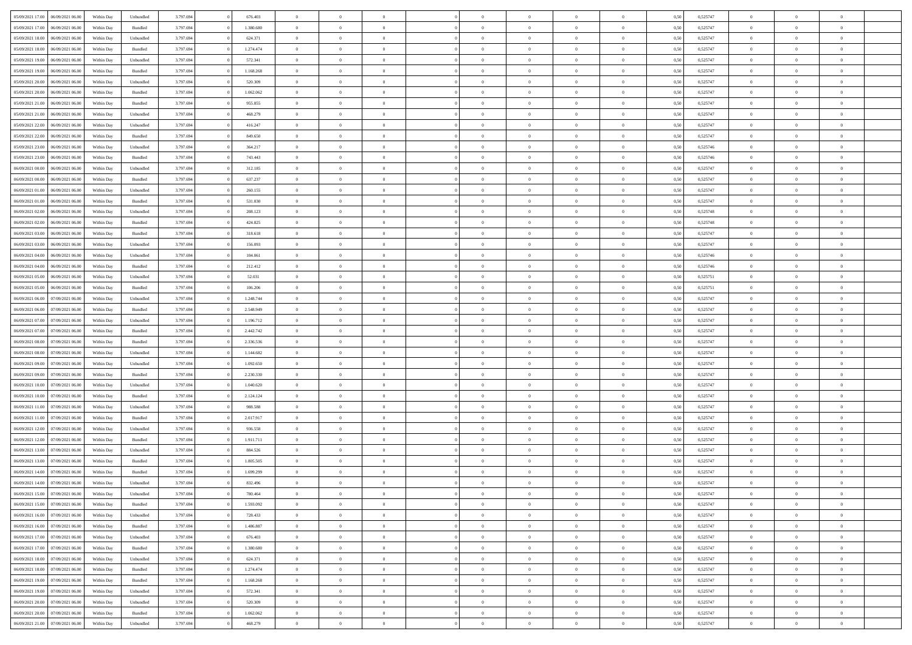| 05/09/2021 17:00 06/09/2021 06:00    | Within Day | Unbundled          | 3.797.694 | 676.403   | $\overline{0}$ | $\overline{0}$ | $\Omega$       | $\Omega$       | $\Omega$       |                | $\overline{0}$ | 0,50 | 0,525747 | $\mathbf{0}$   | $\Omega$       | $\Omega$       |  |
|--------------------------------------|------------|--------------------|-----------|-----------|----------------|----------------|----------------|----------------|----------------|----------------|----------------|------|----------|----------------|----------------|----------------|--|
| 05/09/2021 17:00<br>06/09/2021 06:00 | Within Day | $\mathbf B$ undled | 3.797.694 | 1.380.680 | $\bf{0}$       | $\overline{0}$ | $\overline{0}$ | $\theta$       | $\overline{0}$ | $\overline{0}$ | $\,$ 0         | 0,50 | 0,525747 | $\mathbf{0}$   | $\theta$       | $\bf{0}$       |  |
| 05/09/2021 18:00<br>06/09/2021 06:00 | Within Day | Unbundled          | 3.797.694 | 624.371   | $\overline{0}$ | $\overline{0}$ | $\overline{0}$ | $\bf{0}$       | $\bf{0}$       | $\overline{0}$ | $\mathbf{0}$   | 0,50 | 0,525747 | $\bf{0}$       | $\bf{0}$       | $\bf{0}$       |  |
|                                      |            |                    |           |           |                |                |                |                |                |                |                |      |          |                |                |                |  |
| 05/09/2021 18:00<br>06/09/2021 06:00 | Within Day | Bundled            | 3.797.694 | 1.274.474 | $\overline{0}$ | $\overline{0}$ | $\overline{0}$ | $\overline{0}$ | $\overline{0}$ | $\Omega$       | $\overline{0}$ | 0.50 | 0,525747 | $\mathbf{0}$   | $\overline{0}$ | $\bf{0}$       |  |
| 05/09/2021 19:00<br>06/09/2021 06:00 | Within Day | Unbundled          | 3.797.694 | 572.341   | $\bf{0}$       | $\overline{0}$ | $\overline{0}$ | $\theta$       | $\overline{0}$ | $\overline{0}$ | $\bf{0}$       | 0,50 | 0,525747 | $\mathbf{0}$   | $\theta$       | $\overline{0}$ |  |
| 05/09/2021 19:00<br>06/09/2021 06:00 | Within Day | Bundled            | 3.797.694 | 1.168.268 | $\overline{0}$ | $\overline{0}$ | $\overline{0}$ | $\bf{0}$       | $\overline{0}$ | $\overline{0}$ | $\overline{0}$ | 0,50 | 0,525747 | $\overline{0}$ | $\overline{0}$ | $\overline{0}$ |  |
| 05/09/2021 20:00<br>06/09/2021 06:00 | Within Day | Unbundled          | 3.797.694 | 520.309   | $\overline{0}$ | $\overline{0}$ | $\overline{0}$ | $\overline{0}$ | $\overline{0}$ | $\overline{0}$ | $\overline{0}$ | 0.50 | 0,525747 | $\mathbf{0}$   | $\overline{0}$ | $\bf{0}$       |  |
|                                      |            |                    |           |           |                |                |                |                |                |                |                |      |          |                |                |                |  |
| 05/09/2021 20:00<br>06/09/2021 06:00 | Within Day | Bundled            | 3.797.694 | 1.062.062 | $\bf{0}$       | $\overline{0}$ | $\overline{0}$ | $\theta$       | $\overline{0}$ | $\overline{0}$ | $\bf{0}$       | 0,50 | 0,525747 | $\theta$       | $\theta$       | $\bf{0}$       |  |
| 05/09/2021 21:00<br>06/09/2021 06:00 | Within Day | Bundled            | 3.797.694 | 955.855   | $\overline{0}$ | $\overline{0}$ | $\bf{0}$       | $\bf{0}$       | $\bf{0}$       | $\overline{0}$ | $\bf{0}$       | 0,50 | 0,525747 | $\bf{0}$       | $\bf{0}$       | $\bf{0}$       |  |
| 05/09/2021 21:00<br>06/09/2021 06:00 | Within Day | Unbundled          | 3.797.694 | 468.279   | $\overline{0}$ | $\overline{0}$ | $\overline{0}$ | $\overline{0}$ | $\overline{0}$ | $\overline{0}$ | $\overline{0}$ | 0.50 | 0,525747 | $\overline{0}$ | $\overline{0}$ | $\bf{0}$       |  |
| 05/09/2021 22:00<br>06/09/2021 06:00 | Within Day | Unbundled          | 3.797.694 | 416.247   | $\bf{0}$       | $\overline{0}$ | $\overline{0}$ | $\overline{0}$ | $\overline{0}$ | $\overline{0}$ | $\,$ 0         | 0,50 | 0,525747 | $\theta$       | $\theta$       | $\bf{0}$       |  |
| 05/09/2021 22.00<br>06/09/2021 06:00 | Within Day | Bundled            | 3.797.694 | 849.650   | $\overline{0}$ | $\overline{0}$ | $\overline{0}$ | $\bf{0}$       | $\bf{0}$       | $\overline{0}$ | $\mathbf{0}$   | 0,50 | 0,525747 | $\bf{0}$       | $\bf{0}$       | $\bf{0}$       |  |
|                                      |            |                    |           |           |                |                |                |                |                |                |                |      |          |                |                |                |  |
| 05/09/2021 23:00<br>06/09/2021 06:00 | Within Day | Unbundled          | 3.797.694 | 364.217   | $\overline{0}$ | $\overline{0}$ | $\overline{0}$ | $\overline{0}$ | $\overline{0}$ | $\overline{0}$ | $\overline{0}$ | 0.50 | 0.525746 | $\mathbf{0}$   | $\overline{0}$ | $\bf{0}$       |  |
| 05/09/2021 23:00<br>06/09/2021 06:00 | Within Day | Bundled            | 3.797.694 | 743.443   | $\bf{0}$       | $\overline{0}$ | $\theta$       | $\theta$       | $\overline{0}$ | $\overline{0}$ | $\,$ 0         | 0,50 | 0,525746 | $\theta$       | $\theta$       | $\overline{0}$ |  |
| 06/09/2021 00:00<br>06/09/2021 06:00 | Within Day | Unbundled          | 3.797.694 | 312.185   | $\overline{0}$ | $\overline{0}$ | $\overline{0}$ | $\bf{0}$       | $\overline{0}$ | $\overline{0}$ | $\overline{0}$ | 0,50 | 0,525747 | $\overline{0}$ | $\bf{0}$       | $\overline{0}$ |  |
| 06/09/2021 00:00<br>06/09/2021 06:00 | Within Day | Bundled            | 3.797.694 | 637.237   | $\overline{0}$ | $\overline{0}$ | $\overline{0}$ | $\overline{0}$ | $\overline{0}$ | $\overline{0}$ | $\overline{0}$ | 0.50 | 0,525747 | $\overline{0}$ | $\overline{0}$ | $\bf{0}$       |  |
| 06/09/2021 01:00<br>06/09/2021 06:00 |            |                    | 3.797.694 | 260.155   |                | $\overline{0}$ | $\overline{0}$ | $\overline{0}$ | $\overline{0}$ | $\overline{0}$ | $\bf{0}$       |      | 0,525747 | $\theta$       | $\theta$       | $\bf{0}$       |  |
|                                      | Within Day | Unbundled          |           |           | $\bf{0}$       |                |                |                |                |                |                | 0,50 |          |                |                |                |  |
| 06/09/2021 01:00<br>06/09/2021 06:00 | Within Day | Bundled            | 3.797.694 | 531.030   | $\overline{0}$ | $\overline{0}$ | $\overline{0}$ | $\bf{0}$       | $\bf{0}$       | $\overline{0}$ | $\bf{0}$       | 0,50 | 0,525747 | $\bf{0}$       | $\bf{0}$       | $\bf{0}$       |  |
| 06/09/2021 02:00<br>06/09/2021 06:00 | Within Day | Unbundled          | 3.797.694 | 208.123   | $\overline{0}$ | $\overline{0}$ | $\overline{0}$ | $\overline{0}$ | $\overline{0}$ | $\overline{0}$ | $\overline{0}$ | 0.50 | 0,525748 | $\overline{0}$ | $\overline{0}$ | $\bf{0}$       |  |
| 06/09/2021 02:00<br>06/09/2021 06:00 | Within Day | Bundled            | 3.797.694 | 424.825   | $\bf{0}$       | $\overline{0}$ | $\overline{0}$ | $\theta$       | $\overline{0}$ | $\overline{0}$ | $\,$ 0         | 0,50 | 0,525748 | $\theta$       | $\theta$       | $\bf{0}$       |  |
| 06/09/2021 03:00<br>06/09/2021 06:00 | Within Day | Bundled            | 3.797.694 | 318.618   | $\overline{0}$ | $\overline{0}$ | $\overline{0}$ | $\bf{0}$       | $\bf{0}$       | $\overline{0}$ | $\mathbf{0}$   | 0,50 | 0,525747 | $\bf{0}$       | $\bf{0}$       | $\bf{0}$       |  |
| 06/09/2021 03:00<br>06/09/2021 06:00 | Within Day | Unbundled          | 3.797.694 | 156,093   | $\overline{0}$ | $\overline{0}$ | $\overline{0}$ | $\overline{0}$ | $\overline{0}$ | $\overline{0}$ | $\overline{0}$ | 0.50 | 0,525747 | $\overline{0}$ | $\overline{0}$ | $\bf{0}$       |  |
|                                      |            |                    |           |           |                |                |                |                |                |                |                |      |          |                |                |                |  |
| 06/09/2021 04:00<br>06/09/2021 06:00 | Within Day | Unbundled          | 3.797.694 | 104.061   | $\bf{0}$       | $\overline{0}$ | $\overline{0}$ | $\overline{0}$ | $\overline{0}$ | $\overline{0}$ | $\,$ 0         | 0,50 | 0,525746 | $\mathbf{0}$   | $\theta$       | $\bf{0}$       |  |
| 06/09/2021 04:00<br>06/09/2021 06:00 | Within Day | Bundled            | 3.797.694 | 212.412   | $\overline{0}$ | $\overline{0}$ | $\overline{0}$ | $\bf{0}$       | $\overline{0}$ | $\overline{0}$ | $\overline{0}$ | 0,50 | 0,525746 | $\overline{0}$ | $\overline{0}$ | $\overline{0}$ |  |
| 06/09/2021 05:00<br>06/09/2021 06:00 | Within Day | Unbundled          | 3.797.694 | 52.031    | $\overline{0}$ | $\overline{0}$ | $\overline{0}$ | $\overline{0}$ | $\overline{0}$ | $\overline{0}$ | $\overline{0}$ | 0.50 | 0,525751 | $\overline{0}$ | $\overline{0}$ | $\overline{0}$ |  |
| 06/09/2021 05:00<br>06/09/2021 06:00 | Within Day | Bundled            | 3.797.694 | 106.206   | $\bf{0}$       | $\overline{0}$ | $\overline{0}$ | $\overline{0}$ | $\overline{0}$ | $\overline{0}$ | $\bf{0}$       | 0,50 | 0,525751 | $\theta$       | $\theta$       | $\bf{0}$       |  |
|                                      |            |                    |           |           |                |                |                |                |                |                |                |      |          |                |                |                |  |
| 06/09/2021 06:00<br>07/09/2021 06:00 | Within Day | Unbundled          | 3.797.694 | 1.248.744 | $\overline{0}$ | $\overline{0}$ | $\overline{0}$ | $\bf{0}$       | $\bf{0}$       | $\overline{0}$ | $\bf{0}$       | 0,50 | 0,525747 | $\bf{0}$       | $\bf{0}$       | $\bf{0}$       |  |
| 06/09/2021 06:00<br>07/09/2021 06:00 | Within Day | Bundled            | 3.797.694 | 2.548.949 | $\overline{0}$ | $\overline{0}$ | $\overline{0}$ | $\overline{0}$ | $\overline{0}$ | $\overline{0}$ | $\overline{0}$ | 0.50 | 0,525747 | $\overline{0}$ | $\overline{0}$ | $\bf{0}$       |  |
| 06/09/2021 07:00<br>07/09/2021 06:00 | Within Day | Unbundled          | 3.797.694 | 1.196.712 | $\bf{0}$       | $\overline{0}$ | $\overline{0}$ | $\overline{0}$ | $\overline{0}$ | $\overline{0}$ | $\,$ 0         | 0,50 | 0,525747 | $\theta$       | $\theta$       | $\bf{0}$       |  |
| 06/09/2021 07:00<br>07/09/2021 06:00 | Within Day | Bundled            | 3.797.694 | 2.442.742 | $\overline{0}$ | $\overline{0}$ | $\overline{0}$ | $\bf{0}$       | $\bf{0}$       | $\overline{0}$ | $\mathbf{0}$   | 0,50 | 0,525747 | $\bf{0}$       | $\bf{0}$       | $\bf{0}$       |  |
| 06/09/2021 08:00<br>07/09/2021 06:00 | Within Day | Bundled            | 3.797.694 | 2.336.536 | $\overline{0}$ | $\overline{0}$ | $\overline{0}$ | $\overline{0}$ | $\overline{0}$ | $\Omega$       | $\overline{0}$ | 0,50 | 0,525747 | $\bf{0}$       | $\Omega$       | $\Omega$       |  |
|                                      |            |                    |           |           |                |                |                |                |                |                |                |      |          |                |                |                |  |
| 06/09/2021 08:00<br>07/09/2021 06:00 | Within Day | Unbundled          | 3.797.694 | 1.144.682 | $\bf{0}$       | $\overline{0}$ | $\overline{0}$ | $\theta$       | $\overline{0}$ | $\overline{0}$ | $\,$ 0         | 0,50 | 0,525747 | $\theta$       | $\theta$       | $\bf{0}$       |  |
| 06/09/2021 09:00<br>07/09/2021 06:00 | Within Day | Unbundled          | 3.797.694 | 1.092.650 | $\overline{0}$ | $\overline{0}$ | $\overline{0}$ | $\bf{0}$       | $\overline{0}$ | $\overline{0}$ | $\overline{0}$ | 0,50 | 0,525747 | $\overline{0}$ | $\bf{0}$       | $\overline{0}$ |  |
| 06/09/2021 09:00<br>07/09/2021 06:00 | Within Day | Bundled            | 3.797.694 | 2.230.330 | $\overline{0}$ | $\overline{0}$ | $\overline{0}$ | $\overline{0}$ | $\overline{0}$ | $\Omega$       | $\overline{0}$ | 0.50 | 0,525747 | $\overline{0}$ | $\Omega$       | $\Omega$       |  |
| 06/09/2021 10:00<br>07/09/2021 06:00 | Within Day | Unbundled          | 3.797.694 | 1.040.620 | $\bf{0}$       | $\overline{0}$ | $\overline{0}$ | $\overline{0}$ | $\overline{0}$ | $\overline{0}$ | $\bf{0}$       | 0,50 | 0,525747 | $\theta$       | $\theta$       | $\bf{0}$       |  |
| 06/09/2021 10:00<br>07/09/2021 06:00 | Within Day | Bundled            | 3.797.694 | 2.124.124 | $\overline{0}$ | $\overline{0}$ | $\overline{0}$ | $\bf{0}$       | $\bf{0}$       | $\overline{0}$ | $\bf{0}$       | 0,50 | 0,525747 | $\bf{0}$       | $\bf{0}$       | $\bf{0}$       |  |
|                                      |            |                    |           |           |                |                |                |                |                |                |                |      |          |                |                |                |  |
| 06/09/2021 11:00<br>07/09/2021 06:00 | Within Day | Unbundled          | 3.797.694 | 988,588   | $\overline{0}$ | $\overline{0}$ | $\Omega$       | $\overline{0}$ | $\overline{0}$ | $\Omega$       | $\theta$       | 0.50 | 0,525747 | $\overline{0}$ | $\Omega$       | $\Omega$       |  |
| 06/09/2021 11:00<br>07/09/2021 06:00 | Within Day | $\mathbf B$ undled | 3.797.694 | 2.017.917 | $\bf{0}$       | $\overline{0}$ | $\bf{0}$       | $\overline{0}$ | $\overline{0}$ | $\overline{0}$ | $\,$ 0         | 0,50 | 0,525747 | $\theta$       | $\theta$       | $\bf{0}$       |  |
| 06/09/2021 12:00<br>07/09/2021 06:00 | Within Day | Unbundled          | 3.797.694 | 936.558   | $\overline{0}$ | $\overline{0}$ | $\overline{0}$ | $\bf{0}$       | $\bf{0}$       | $\overline{0}$ | $\mathbf{0}$   | 0,50 | 0,525747 | $\overline{0}$ | $\bf{0}$       | $\bf{0}$       |  |
| 06/09/2021 12:00<br>07/09/2021 06:00 | Within Day | Bundled            | 3.797.694 | 1.911.711 | $\overline{0}$ | $\overline{0}$ | $\overline{0}$ | $\overline{0}$ | $\overline{0}$ | $\Omega$       | $\overline{0}$ | 0,50 | 0,525747 | $\overline{0}$ | $\Omega$       | $\Omega$       |  |
| 06/09/2021 13:00<br>07/09/2021 06:00 | Within Day | Unbundled          | 3.797.694 | 884.526   | $\bf{0}$       | $\overline{0}$ | $\overline{0}$ | $\overline{0}$ | $\overline{0}$ | $\overline{0}$ | $\,$ 0         | 0,50 | 0,525747 | $\,0\,$        | $\theta$       | $\bf{0}$       |  |
|                                      |            |                    |           |           |                |                |                |                |                |                |                |      |          |                |                |                |  |
| 06/09/2021 13:00<br>07/09/2021 06:00 | Within Day | Bundled            | 3.797.694 | 1.805.505 | $\overline{0}$ | $\overline{0}$ | $\bf{0}$       | $\bf{0}$       | $\overline{0}$ | $\overline{0}$ | $\overline{0}$ | 0,50 | 0,525747 | $\overline{0}$ | $\bf{0}$       | $\bf{0}$       |  |
| 06/09/2021 14:00<br>07/09/2021 06.00 | Within Day | Bundled            | 3.797.694 | 1.699.299 | $\overline{0}$ | $\Omega$       | $\Omega$       | $\Omega$       | $\overline{0}$ | $\Omega$       | $\overline{0}$ | 0.50 | 0,525747 | $\overline{0}$ | $\Omega$       | $\Omega$       |  |
| 06/09/2021 14:00 07/09/2021 06:00    | Within Day | Unbundled          | 3.797.694 | 832.496   | $\bf{0}$       | $\bf{0}$       | $\bf{0}$       | $\overline{0}$ | $\bf{0}$       | $\overline{0}$ | $\bf{0}$       | 0,50 | 0,525747 | $\bf{0}$       | $\,$ 0         | $\bf{0}$       |  |
| 06/09/2021 15:00 07/09/2021 06:00    | Within Day | Unbundled          | 3.797.694 | 780.464   | $\bf{0}$       | $\bf{0}$       |                |                |                |                |                | 0,50 | 0,525747 | $\bf{0}$       | $\bf{0}$       |                |  |
| 06/09/2021 15:00 07/09/2021 06:00    | Within Day | Bundled            | 3.797.694 | 1.593.092 | $\overline{0}$ | $\overline{0}$ | $\theta$       | $\overline{0}$ | $\overline{0}$ | $\theta$       | $\mathbf{0}$   | 0,50 | 0,525747 | $\overline{0}$ | $\theta$       | $\theta$       |  |
|                                      |            |                    |           |           |                | $\overline{0}$ |                |                | $\overline{0}$ |                |                |      |          | $\,$ 0 $\,$    | $\overline{0}$ | $\,$ 0 $\,$    |  |
| 06/09/2021 16:00<br>07/09/2021 06:00 | Within Day | Unbundled          | 3.797.694 | 728.433   | $\overline{0}$ |                | $\overline{0}$ | $\bf{0}$       |                | $\overline{0}$ | $\mathbf{0}$   | 0,50 | 0,525747 |                |                |                |  |
| 06/09/2021 16:00 07/09/2021 06:00    | Within Day | Bundled            | 3.797.694 | 1.486.887 | $\overline{0}$ | $\overline{0}$ | $\overline{0}$ | $\bf{0}$       | $\overline{0}$ | $\overline{0}$ | $\overline{0}$ | 0,50 | 0,525747 | $\overline{0}$ | $\overline{0}$ | $\overline{0}$ |  |
| 07/09/2021 06:00<br>06/09/2021 17:00 | Within Day | Unbundled          | 3.797.694 | 676.403   | $\overline{0}$ | $\overline{0}$ | $\overline{0}$ | $\overline{0}$ | $\bf{0}$       | $\overline{0}$ | $\overline{0}$ | 0,50 | 0,525747 | $\overline{0}$ | $\overline{0}$ | $\overline{0}$ |  |
| 06/09/2021 17:00<br>07/09/2021 06:00 | Within Day | Bundled            | 3.797.694 | 1.380.680 | $\overline{0}$ | $\overline{0}$ | $\overline{0}$ | $\overline{0}$ | $\overline{0}$ | $\overline{0}$ | $\,$ 0 $\,$    | 0,50 | 0,525747 | $\,$ 0 $\,$    | $\theta$       | $\bf{0}$       |  |
| 06/09/2021 18:00<br>07/09/2021 06:00 | Within Day | Unbundled          | 3.797.694 | 624.371   | $\overline{0}$ | $\overline{0}$ | $\overline{0}$ | $\bf{0}$       | $\overline{0}$ | $\overline{0}$ | $\overline{0}$ | 0,50 | 0,525747 | $\overline{0}$ | $\overline{0}$ | $\overline{0}$ |  |
|                                      |            |                    |           |           |                |                |                |                |                |                |                |      |          |                |                |                |  |
| 06/09/2021 18:00<br>07/09/2021 06:00 | Within Day | Bundled            | 3.797.694 | 1.274.474 | $\overline{0}$ | $\overline{0}$ | $\overline{0}$ | $\overline{0}$ | $\overline{0}$ | $\overline{0}$ | $\overline{0}$ | 0,50 | 0,525747 | $\overline{0}$ | $\overline{0}$ | $\overline{0}$ |  |
| 06/09/2021 19:00<br>07/09/2021 06:00 | Within Day | Bundled            | 3.797.694 | 1.168.268 | $\overline{0}$ | $\overline{0}$ | $\overline{0}$ | $\bf{0}$       | $\bf{0}$       | $\overline{0}$ | $\,$ 0 $\,$    | 0,50 | 0,525747 | $\,$ 0 $\,$    | $\theta$       | $\,$ 0         |  |
| 06/09/2021 19:00 07/09/2021 06:00    | Within Day | Unbundled          | 3.797.694 | 572.341   | $\overline{0}$ | $\overline{0}$ | $\overline{0}$ | $\bf{0}$       | $\overline{0}$ | $\overline{0}$ | $\overline{0}$ | 0,50 | 0,525747 | $\bf{0}$       | $\bf{0}$       | $\overline{0}$ |  |
| 06/09/2021 20:00<br>07/09/2021 06:00 | Within Day | Unbundled          | 3.797.694 | 520.309   | $\overline{0}$ | $\overline{0}$ | $\overline{0}$ | $\overline{0}$ | $\overline{0}$ | $\overline{0}$ | $\overline{0}$ | 0,50 | 0,525747 | $\overline{0}$ | $\overline{0}$ | $\overline{0}$ |  |
| 06/09/2021 20:00<br>07/09/2021 06:00 | Within Day | Bundled            | 3.797.694 | 1.062.062 | $\overline{0}$ | $\overline{0}$ | $\overline{0}$ | $\bf{0}$       | $\bf{0}$       | $\bf{0}$       | $\,$ 0 $\,$    | 0,50 | 0,525747 | $\,$ 0 $\,$    | $\,0\,$        | $\,$ 0         |  |
|                                      |            |                    |           |           |                |                |                |                |                |                |                |      |          |                |                |                |  |
| 06/09/2021 21:00 07/09/2021 06:00    | Within Day | Unbundled          | 3.797.694 | 468.279   | $\overline{0}$ | $\overline{0}$ | $\overline{0}$ | $\bf{0}$       | $\overline{0}$ | $\overline{0}$ | $\overline{0}$ | 0,50 | 0,525747 | $\overline{0}$ | $\bf{0}$       | $\overline{0}$ |  |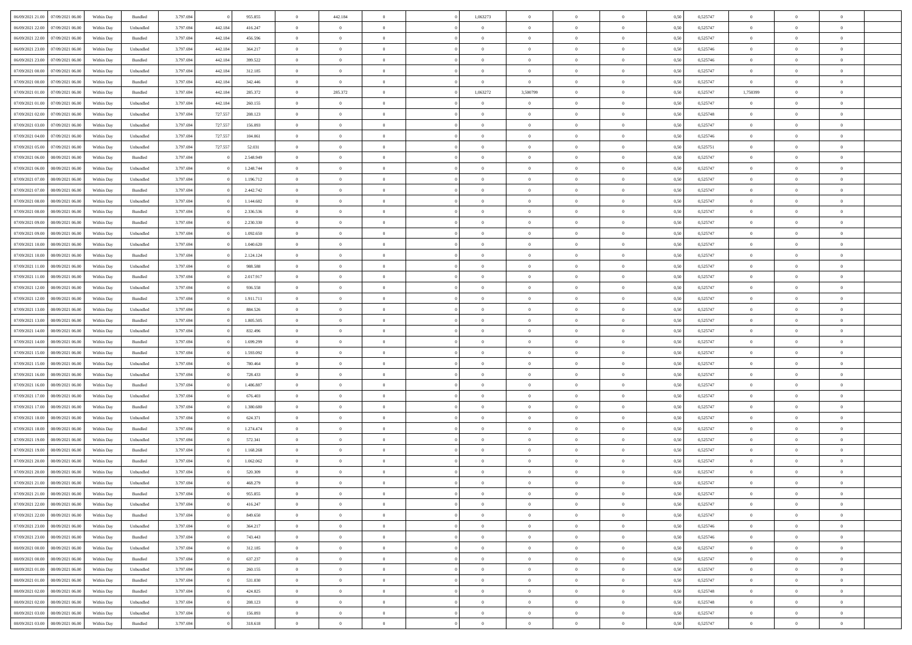| 06/09/2021 21:00<br>07/09/2021 06:00 | Within Day | Bundled            | 3.797.694 |         | 955.855   | $\overline{0}$ | 442.184        | $\Omega$       | 1,063273       | $\Omega$       | $\theta$       | $\overline{0}$ | 0,50 | 0,525747 | $\theta$       | $\Omega$       | $\theta$       |  |
|--------------------------------------|------------|--------------------|-----------|---------|-----------|----------------|----------------|----------------|----------------|----------------|----------------|----------------|------|----------|----------------|----------------|----------------|--|
| 06/09/2021 22.00<br>07/09/2021 06.00 | Within Day | Unbundled          | 3.797.694 | 442.184 | 416.247   | $\overline{0}$ | $\overline{0}$ | $\overline{0}$ | $\overline{0}$ | $\overline{0}$ | $\overline{0}$ | $\,$ 0 $\,$    | 0,50 | 0,525747 | $\theta$       | $\theta$       | $\overline{0}$ |  |
| 06/09/2021 22.00<br>07/09/2021 06.00 | Within Day | Bundled            | 3.797.694 | 442.184 | 456.596   | $\overline{0}$ | $\overline{0}$ | $\overline{0}$ | $\bf{0}$       | $\bf{0}$       | $\overline{0}$ | $\mathbf{0}$   | 0,50 | 0,525747 | $\bf{0}$       | $\overline{0}$ | $\overline{0}$ |  |
|                                      |            |                    |           |         |           |                |                |                |                |                |                |                |      |          | $\theta$       |                |                |  |
| 06/09/2021 23:00<br>07/09/2021 06:00 | Within Dav | Unbundled          | 3.797.694 | 442.184 | 364.217   | $\overline{0}$ | $\overline{0}$ | $\overline{0}$ | $\overline{0}$ | $\overline{0}$ | $\overline{0}$ | $\overline{0}$ | 0.50 | 0,525746 |                | $\theta$       | $\overline{0}$ |  |
| 06/09/2021 23.00<br>07/09/2021 06.00 | Within Day | Bundled            | 3.797.694 | 442.184 | 399.522   | $\overline{0}$ | $\overline{0}$ | $\overline{0}$ | $\overline{0}$ | $\overline{0}$ | $\overline{0}$ | $\,$ 0 $\,$    | 0,50 | 0,525746 | $\theta$       | $\theta$       | $\overline{0}$ |  |
| 07/09/2021 00:00<br>07/09/2021 06.00 | Within Day | Unbundled          | 3.797.694 | 442.184 | 312.185   | $\overline{0}$ | $\overline{0}$ | $\overline{0}$ | $\bf{0}$       | $\overline{0}$ | $\overline{0}$ | $\mathbf{0}$   | 0,50 | 0,525747 | $\bf{0}$       | $\overline{0}$ | $\bf{0}$       |  |
| 07/09/2021 00:00<br>07/09/2021 06.00 | Within Day | Bundled            | 3.797.694 | 442.184 | 342,446   | $\overline{0}$ | $\overline{0}$ | $\overline{0}$ | $\overline{0}$ | $\overline{0}$ | $\overline{0}$ | $\mathbf{0}$   | 0.50 | 0,525747 | $\overline{0}$ | $\theta$       | $\overline{0}$ |  |
|                                      |            |                    |           |         |           |                |                |                |                |                |                |                |      |          |                |                |                |  |
| 07/09/2021 01:00<br>07/09/2021 06.00 | Within Day | Bundled            | 3.797.694 | 442.184 | 285.372   | $\overline{0}$ | 285.372        | $\overline{0}$ | 1,063272       | 3,500799       | $\overline{0}$ | $\,$ 0 $\,$    | 0,50 | 0,525747 | 1,750399       | $\theta$       | $\overline{0}$ |  |
| 07/09/2021 01:00<br>07/09/2021 06.00 | Within Day | Unbundled          | 3.797.694 | 442.184 | 260.155   | $\overline{0}$ | $\overline{0}$ | $\overline{0}$ | $\bf{0}$       | $\overline{0}$ | $\overline{0}$ | $\mathbf{0}$   | 0,50 | 0,525747 | $\bf{0}$       | $\overline{0}$ | $\overline{0}$ |  |
| 07/09/2021 02:00<br>07/09/2021 06:00 | Within Day | Unbundled          | 3.797.694 | 727.557 | 208.123   | $\overline{0}$ | $\overline{0}$ | $\overline{0}$ | $\overline{0}$ | $\overline{0}$ | $\overline{0}$ | $\overline{0}$ | 0.50 | 0,525748 | $\overline{0}$ | $\theta$       | $\overline{0}$ |  |
| 07/09/2021 03:00<br>07/09/2021 06.00 |            | Unbundled          | 3.797.694 | 727.557 | 156.093   |                | $\overline{0}$ |                | $\overline{0}$ | $\overline{0}$ | $\overline{0}$ | $\,$ 0 $\,$    |      | 0,525747 | $\theta$       | $\theta$       | $\overline{0}$ |  |
|                                      | Within Day |                    |           |         |           | $\overline{0}$ |                | $\overline{0}$ |                |                |                |                | 0,50 |          |                |                |                |  |
| 07/09/2021 04:00<br>07/09/2021 06.00 | Within Day | Unbundled          | 3.797.694 | 727.557 | 104.061   | $\overline{0}$ | $\overline{0}$ | $\overline{0}$ | $\bf{0}$       | $\bf{0}$       | $\overline{0}$ | $\mathbf{0}$   | 0,50 | 0,525746 | $\bf{0}$       | $\overline{0}$ | $\overline{0}$ |  |
| 07/09/2021 05:00<br>07/09/2021 06:00 | Within Day | Unbundled          | 3.797.694 | 727.557 | 52.031    | $\overline{0}$ | $\overline{0}$ | $\overline{0}$ | $\overline{0}$ | $\overline{0}$ | $\overline{0}$ | $\overline{0}$ | 0.50 | 0,525751 | $\theta$       | $\theta$       | $\overline{0}$ |  |
| 07/09/2021 06.00<br>08/09/2021 06:00 | Within Day | Bundled            | 3.797.694 |         | 2.548.949 | $\overline{0}$ | $\overline{0}$ | $\overline{0}$ | $\theta$       | $\overline{0}$ | $\overline{0}$ | $\,$ 0 $\,$    | 0,50 | 0,525747 | $\theta$       | $\theta$       | $\overline{0}$ |  |
|                                      |            |                    |           |         |           |                |                |                |                |                |                |                |      |          |                |                |                |  |
| 07/09/2021 06.00<br>08/09/2021 06.00 | Within Day | Unbundled          | 3.797.694 |         | 1.248.744 | $\overline{0}$ | $\overline{0}$ | $\overline{0}$ | $\bf{0}$       | $\overline{0}$ | $\overline{0}$ | $\mathbf{0}$   | 0,50 | 0,525747 | $\bf{0}$       | $\overline{0}$ | $\overline{0}$ |  |
| 07/09/2021 07:00<br>08/09/2021 06:00 | Within Day | Unbundled          | 3.797.694 |         | 1.196.712 | $\overline{0}$ | $\overline{0}$ | $\overline{0}$ | $\overline{0}$ | $\overline{0}$ | $\overline{0}$ | $\mathbf{0}$   | 0.50 | 0,525747 | $\overline{0}$ | $\overline{0}$ | $\overline{0}$ |  |
| 07/09/2021 07:00<br>08/09/2021 06:00 | Within Day | Bundled            | 3.797.694 |         | 2.442.742 | $\overline{0}$ | $\overline{0}$ | $\overline{0}$ | $\overline{0}$ | $\overline{0}$ | $\overline{0}$ | $\bf{0}$       | 0,50 | 0,525747 | $\theta$       | $\theta$       | $\overline{0}$ |  |
| 07/09/2021 08:00<br>08/09/2021 06.00 | Within Day | Unbundled          | 3.797.694 |         | 1.144.682 | $\overline{0}$ | $\overline{0}$ | $\overline{0}$ | $\bf{0}$       | $\bf{0}$       | $\overline{0}$ | $\mathbf{0}$   | 0,50 | 0,525747 | $\bf{0}$       | $\overline{0}$ | $\overline{0}$ |  |
|                                      |            |                    |           |         |           |                |                |                |                |                |                |                |      |          |                |                |                |  |
| 07/09/2021 08:00<br>08/09/2021 06:00 | Within Day | Bundled            | 3.797.694 |         | 2.336.536 | $\overline{0}$ | $\overline{0}$ | $\overline{0}$ | $\overline{0}$ | $\overline{0}$ | $\overline{0}$ | $\overline{0}$ | 0.50 | 0,525747 | $\overline{0}$ | $\theta$       | $\overline{0}$ |  |
| 07/09/2021 09:00<br>08/09/2021 06:00 | Within Day | $\mathbf B$ undled | 3.797.694 |         | 2.230.330 | $\overline{0}$ | $\overline{0}$ | $\overline{0}$ | $\overline{0}$ | $\overline{0}$ | $\overline{0}$ | $\,$ 0 $\,$    | 0,50 | 0,525747 | $\theta$       | $\theta$       | $\overline{0}$ |  |
| 07/09/2021 09:00<br>08/09/2021 06.00 | Within Day | Unbundled          | 3.797.694 |         | 1.092.650 | $\overline{0}$ | $\overline{0}$ | $\overline{0}$ | $\bf{0}$       | $\bf{0}$       | $\overline{0}$ | $\mathbf{0}$   | 0,50 | 0,525747 | $\overline{0}$ | $\overline{0}$ | $\overline{0}$ |  |
| 07/09/2021 10:00<br>08/09/2021 06:00 | Within Day | Unbundled          | 3.797.694 |         | 1.040.620 | $\overline{0}$ | $\overline{0}$ | $\overline{0}$ | $\overline{0}$ | $\overline{0}$ | $\overline{0}$ | $\overline{0}$ | 0.50 | 0,525747 | $\overline{0}$ | $\theta$       | $\overline{0}$ |  |
|                                      |            |                    |           |         |           |                |                |                |                |                |                |                |      |          |                |                |                |  |
| 07/09/2021 10:00<br>08/09/2021 06:00 | Within Day | Bundled            | 3.797.694 |         | 2.124.124 | $\overline{0}$ | $\overline{0}$ | $\overline{0}$ | $\overline{0}$ | $\overline{0}$ | $\overline{0}$ | $\,$ 0 $\,$    | 0,50 | 0,525747 | $\theta$       | $\theta$       | $\overline{0}$ |  |
| 07/09/2021 11:00<br>08/09/2021 06.00 | Within Day | Unbundled          | 3.797.694 |         | 988.588   | $\overline{0}$ | $\overline{0}$ | $\overline{0}$ | $\bf{0}$       | $\bf{0}$       | $\overline{0}$ | $\mathbf{0}$   | 0,50 | 0,525747 | $\bf{0}$       | $\overline{0}$ | $\bf{0}$       |  |
| 07/09/2021 11:00<br>08/09/2021 06:00 | Within Day | Bundled            | 3.797.694 |         | 2.017.917 | $\overline{0}$ | $\overline{0}$ | $\overline{0}$ | $\overline{0}$ | $\overline{0}$ | $\overline{0}$ | $\mathbf{0}$   | 0.50 | 0,525747 | $\overline{0}$ | $\theta$       | $\overline{0}$ |  |
| 07/09/2021 12:00<br>08/09/2021 06:00 | Within Day | Unbundled          | 3.797.694 |         | 936.558   | $\overline{0}$ | $\overline{0}$ | $\overline{0}$ | $\overline{0}$ | $\overline{0}$ | $\overline{0}$ | $\bf{0}$       | 0,50 | 0,525747 | $\theta$       | $\theta$       | $\overline{0}$ |  |
|                                      |            |                    |           |         |           |                |                |                |                |                |                |                |      |          |                |                |                |  |
| 07/09/2021 12.00<br>08/09/2021 06.00 | Within Day | Bundled            | 3.797.694 |         | 1.911.711 | $\overline{0}$ | $\overline{0}$ | $\overline{0}$ | $\bf{0}$       | $\bf{0}$       | $\overline{0}$ | $\mathbf{0}$   | 0,50 | 0,525747 | $\,$ 0 $\,$    | $\bf{0}$       | $\overline{0}$ |  |
| 07/09/2021 13:00<br>08/09/2021 06:00 | Within Day | Unbundled          | 3.797.694 |         | 884.526   | $\overline{0}$ | $\overline{0}$ | $\overline{0}$ | $\overline{0}$ | $\overline{0}$ | $\overline{0}$ | $\overline{0}$ | 0.50 | 0,525747 | $\overline{0}$ | $\theta$       | $\overline{0}$ |  |
| 07/09/2021 13:00<br>08/09/2021 06:00 | Within Day | Bundled            | 3.797.694 |         | 1.805.505 | $\overline{0}$ | $\overline{0}$ | $\overline{0}$ | $\overline{0}$ | $\overline{0}$ | $\overline{0}$ | $\,$ 0 $\,$    | 0,50 | 0,525747 | $\theta$       | $\theta$       | $\overline{0}$ |  |
| 07/09/2021 14:00<br>08/09/2021 06.00 | Within Day | Unbundled          | 3.797.694 |         | 832.496   | $\overline{0}$ | $\overline{0}$ | $\overline{0}$ | $\bf{0}$       | $\bf{0}$       | $\overline{0}$ | $\mathbf{0}$   | 0,50 | 0,525747 | $\bf{0}$       | $\overline{0}$ | $\overline{0}$ |  |
|                                      |            |                    |           |         |           |                |                |                |                |                |                |                |      |          |                |                |                |  |
| 07/09/2021 14:00<br>08/09/2021 06.00 | Within Day | Bundled            | 3.797.694 |         | 1.699.299 | $\overline{0}$ | $\overline{0}$ | $\overline{0}$ | $\overline{0}$ | $\overline{0}$ | $\theta$       | $\overline{0}$ | 0,50 | 0,525747 | $\,$ 0 $\,$    | $\overline{0}$ | $\theta$       |  |
| 07/09/2021 15:00<br>08/09/2021 06:00 | Within Day | Bundled            | 3.797.694 |         | 1.593.092 | $\overline{0}$ | $\overline{0}$ | $\overline{0}$ | $\theta$       | $\overline{0}$ | $\overline{0}$ | $\,$ 0 $\,$    | 0,50 | 0,525747 | $\theta$       | $\theta$       | $\overline{0}$ |  |
| 07/09/2021 15:00<br>08/09/2021 06.00 | Within Day | Unbundled          | 3.797.694 |         | 780.464   | $\overline{0}$ | $\overline{0}$ | $\overline{0}$ | $\bf{0}$       | $\bf{0}$       | $\overline{0}$ | $\overline{0}$ | 0,50 | 0,525747 | $\bf{0}$       | $\overline{0}$ | $\bf{0}$       |  |
| 07/09/2021 16:00<br>08/09/2021 06.00 | Within Day | Unbundled          | 3.797.694 |         | 728.433   | $\overline{0}$ | $\overline{0}$ | $\overline{0}$ | $\overline{0}$ | $\overline{0}$ | $\theta$       | $\overline{0}$ | 0.50 | 0,525747 | $\overline{0}$ | $\theta$       | $\theta$       |  |
|                                      |            |                    |           |         |           |                |                |                |                |                |                |                |      |          |                |                |                |  |
| 07/09/2021 16:00<br>08/09/2021 06:00 | Within Day | Bundled            | 3.797.694 |         | 1.486.887 | $\overline{0}$ | $\overline{0}$ | $\overline{0}$ | $\overline{0}$ | $\overline{0}$ | $\overline{0}$ | $\bf{0}$       | 0,50 | 0,525747 | $\theta$       | $\theta$       | $\overline{0}$ |  |
| 07/09/2021 17.00<br>08/09/2021 06.00 | Within Day | Unbundled          | 3.797.694 |         | 676.403   | $\overline{0}$ | $\overline{0}$ | $\overline{0}$ | $\bf{0}$       | $\bf{0}$       | $\overline{0}$ | $\mathbf{0}$   | 0,50 | 0,525747 | $\bf{0}$       | $\bf{0}$       | $\overline{0}$ |  |
| 07/09/2021 17:00<br>08/09/2021 06:00 | Within Day | Bundled            | 3.797.694 |         | 1.380.680 | $\overline{0}$ | $\overline{0}$ | $\overline{0}$ | $\overline{0}$ | $\overline{0}$ | $\Omega$       | $\overline{0}$ | 0.50 | 0,525747 | $\overline{0}$ | $\Omega$       | $\theta$       |  |
| 07/09/2021 18:00<br>08/09/2021 06:00 | Within Day | Unbundled          | 3.797.694 |         | 624.371   | $\overline{0}$ | $\overline{0}$ | $\overline{0}$ | $\overline{0}$ | $\overline{0}$ | $\overline{0}$ | $\,$ 0 $\,$    | 0,50 | 0,525747 | $\theta$       | $\theta$       | $\overline{0}$ |  |
|                                      |            |                    |           |         |           |                |                |                |                |                |                |                |      |          |                |                |                |  |
| 07/09/2021 18:00<br>08/09/2021 06.00 | Within Day | Bundled            | 3.797.694 |         | 1.274.474 | $\overline{0}$ | $\overline{0}$ | $\overline{0}$ | $\bf{0}$       | $\bf{0}$       | $\overline{0}$ | $\mathbf{0}$   | 0,50 | 0,525747 | $\bf{0}$       | $\overline{0}$ | $\overline{0}$ |  |
| 07/09/2021 19:00<br>08/09/2021 06.00 | Within Day | Unbundled          | 3.797.694 |         | 572.341   | $\overline{0}$ | $\overline{0}$ | $\overline{0}$ | $\overline{0}$ | $\overline{0}$ | $\theta$       | $\overline{0}$ | 0.50 | 0,525747 | $\overline{0}$ | $\overline{0}$ | $\theta$       |  |
| 07/09/2021 19:00<br>08/09/2021 06:00 | Within Day | Bundled            | 3.797.694 |         | 1.168.268 | $\overline{0}$ | $\overline{0}$ | $\overline{0}$ | $\overline{0}$ | $\overline{0}$ | $\overline{0}$ | $\,$ 0 $\,$    | 0,50 | 0,525747 | $\,$ 0 $\,$    | $\theta$       | $\overline{0}$ |  |
| 07/09/2021 20.00<br>08/09/2021 06.00 | Within Day | Bundled            | 3.797.694 |         | 1.062.062 | $\overline{0}$ | $\overline{0}$ | $\overline{0}$ | $\bf{0}$       | $\bf{0}$       | $\overline{0}$ | $\mathbf{0}$   | 0,50 | 0,525747 | $\bf{0}$       | $\overline{0}$ | $\bf{0}$       |  |
|                                      |            |                    |           |         |           |                |                |                |                |                |                |                |      |          |                |                |                |  |
| 07/09/2021 20:00<br>08/09/2021 06.00 | Within Day | Unbundled          | 3.797.694 |         | 520.309   | $\overline{0}$ | $\theta$       | $\overline{0}$ | $\overline{0}$ | $\Omega$       | $\theta$       | $\overline{0}$ | 0.50 | 0,525747 | $\theta$       | $\overline{0}$ | $\theta$       |  |
| 07/09/2021 21:00<br>08/09/2021 06:00 | Within Day | Unbundled          | 3.797.694 |         | 468.279   | $\overline{0}$ | $\overline{0}$ | $\overline{0}$ | $\bf{0}$       | $\bf{0}$       | $\overline{0}$ | $\,$ 0 $\,$    | 0,50 | 0,525747 | $\,$ 0 $\,$    | $\bf{0}$       | $\overline{0}$ |  |
| 07/09/2021 21:00<br>08/09/2021 06:00 | Within Day | Bundled            | 3.797.694 |         | 955.855   | $\bf{0}$       | $\bf{0}$       |                | $\bf{0}$       |                |                |                | 0,50 | 0,525747 | $\bf{0}$       | $\bf{0}$       |                |  |
| 07/09/2021 22:00<br>08/09/2021 06:00 | Within Day | Unbundled          | 3.797.694 |         | 416.247   | $\overline{0}$ | $\overline{0}$ | $\overline{0}$ | $\overline{0}$ | $\overline{0}$ | $\theta$       | $\overline{0}$ | 0.50 | 0,525747 | $\overline{0}$ | $\theta$       | $\theta$       |  |
|                                      |            |                    |           |         |           |                |                |                |                |                |                |                |      |          |                |                |                |  |
| 07/09/2021 22.00<br>08/09/2021 06:00 | Within Day | Bundled            | 3.797.694 |         | 849.650   | $\overline{0}$ | $\overline{0}$ | $\overline{0}$ | $\bf{0}$       | $\overline{0}$ | $\overline{0}$ | $\,$ 0 $\,$    | 0,50 | 0,525747 | $\bf{0}$       | $\,0\,$        | $\,$ 0         |  |
| 07/09/2021 23.00<br>08/09/2021 06:00 | Within Day | Unbundled          | 3.797.694 |         | 364.217   | $\overline{0}$ | $\overline{0}$ | $\overline{0}$ | $\bf{0}$       | $\bf{0}$       | $\overline{0}$ | $\mathbf{0}$   | 0,50 | 0,525746 | $\overline{0}$ | $\overline{0}$ | $\overline{0}$ |  |
| 08/09/2021 06:00<br>07/09/2021 23.00 | Within Day | Bundled            | 3.797.694 |         | 743.443   | $\overline{0}$ | $\overline{0}$ | $\overline{0}$ | $\overline{0}$ | $\bf{0}$       | $\overline{0}$ | $\mathbf{0}$   | 0,50 | 0,525746 | $\bf{0}$       | $\theta$       | $\overline{0}$ |  |
| 08/09/2021 00:00<br>08/09/2021 06:00 | Within Day | Unbundled          | 3.797.694 |         | 312.185   | $\overline{0}$ | $\overline{0}$ | $\overline{0}$ | $\bf{0}$       | $\overline{0}$ | $\overline{0}$ | $\,$ 0 $\,$    | 0,50 | 0,525747 | $\bf{0}$       | $\,$ 0 $\,$    | $\overline{0}$ |  |
|                                      |            |                    |           |         |           |                |                |                |                |                |                |                |      |          |                |                |                |  |
| 08/09/2021 00:00<br>08/09/2021 06:00 | Within Day | Bundled            | 3.797.694 |         | 637.237   | $\overline{0}$ | $\overline{0}$ | $\overline{0}$ | $\overline{0}$ | $\bf{0}$       | $\overline{0}$ | $\mathbf{0}$   | 0,50 | 0,525747 | $\overline{0}$ | $\overline{0}$ | $\overline{0}$ |  |
| 08/09/2021 01:00<br>08/09/2021 06:00 | Within Day | Unbundled          | 3.797.694 |         | 260.155   | $\overline{0}$ | $\overline{0}$ | $\overline{0}$ | $\overline{0}$ | $\overline{0}$ | $\overline{0}$ | $\mathbf{0}$   | 0.50 | 0,525747 | $\bf{0}$       | $\theta$       | $\overline{0}$ |  |
| 08/09/2021 01:00<br>08/09/2021 06:00 | Within Day | Bundled            | 3.797.694 |         | 531.030   | $\overline{0}$ | $\overline{0}$ | $\overline{0}$ | $\bf{0}$       | $\bf{0}$       | $\overline{0}$ | $\,$ 0 $\,$    | 0,50 | 0,525747 | $\,$ 0 $\,$    | $\,$ 0 $\,$    | $\overline{0}$ |  |
| 08/09/2021 02.00<br>08/09/2021 06:00 | Within Day | Bundled            | 3.797.694 |         | 424.825   | $\overline{0}$ | $\overline{0}$ | $\overline{0}$ | $\bf{0}$       | $\bf{0}$       | $\overline{0}$ | $\mathbf{0}$   | 0,50 | 0,525748 | $\overline{0}$ | $\overline{0}$ | $\bf{0}$       |  |
|                                      |            |                    |           |         |           |                |                |                |                |                |                |                |      |          |                |                |                |  |
| 08/09/2021 02:00<br>08/09/2021 06:00 | Within Day | Unbundled          | 3.797.694 |         | 208.123   | $\overline{0}$ | $\overline{0}$ | $\overline{0}$ | $\overline{0}$ | $\overline{0}$ | $\overline{0}$ | $\mathbf{0}$   | 0.50 | 0,525748 | $\bf{0}$       | $\overline{0}$ | $\overline{0}$ |  |
| 08/09/2021 03:00<br>08/09/2021 06:00 | Within Day | Unbundled          | 3.797.694 |         | 156.093   | $\overline{0}$ | $\overline{0}$ | $\overline{0}$ | $\bf{0}$       | $\bf{0}$       | $\overline{0}$ | $\,$ 0 $\,$    | 0,50 | 0,525747 | $\,$ 0 $\,$    | $\,0\,$        | $\bf{0}$       |  |
| 08/09/2021 03:00<br>08/09/2021 06:00 | Within Day | Bundled            | 3.797.694 |         | 318.618   | $\overline{0}$ | $\overline{0}$ | $\overline{0}$ | $\bf{0}$       | $\bf{0}$       | $\overline{0}$ | $\mathbf{0}$   | 0,50 | 0,525747 | $\overline{0}$ | $\bf{0}$       | $\overline{0}$ |  |
|                                      |            |                    |           |         |           |                |                |                |                |                |                |                |      |          |                |                |                |  |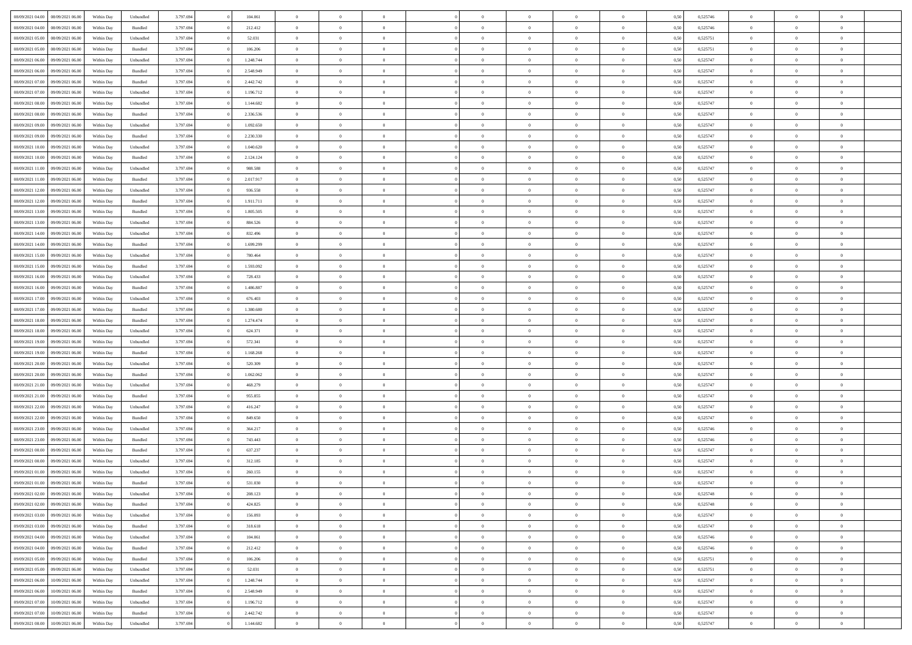| 08/09/2021 04:00                  | 08/09/2021 06:00 | Within Day | Unbundled                   | 3.797.694 | 104.061   | $\overline{0}$ | $\theta$       |                | $\overline{0}$ | $\bf{0}$       | $\overline{0}$ | $\theta$       | 0,50 | 0,525746 | $\theta$       | $\theta$       | $\theta$       |  |
|-----------------------------------|------------------|------------|-----------------------------|-----------|-----------|----------------|----------------|----------------|----------------|----------------|----------------|----------------|------|----------|----------------|----------------|----------------|--|
|                                   |                  |            |                             |           |           | $\overline{0}$ |                | $\overline{0}$ |                |                |                |                |      |          |                |                | $\overline{0}$ |  |
| 08/09/2021 04:00                  | 08/09/2021 06.0  | Within Day | Bundled                     | 3.797.694 | 212.412   |                | $\overline{0}$ |                | $\overline{0}$ | $\bf{0}$       | $\bf{0}$       | $\bf{0}$       | 0,50 | 0,525746 | $\,$ 0 $\,$    | $\overline{0}$ |                |  |
| 08/09/2021 05:00                  | 08/09/2021 06:00 | Within Day | Unbundled                   | 3.797.694 | 52.031    | $\overline{0}$ | $\overline{0}$ | $\overline{0}$ | $\overline{0}$ | $\bf{0}$       | $\overline{0}$ | $\mathbf{0}$   | 0.50 | 0,525751 | $\bf{0}$       | $\overline{0}$ | $\overline{0}$ |  |
| 08/09/2021 05:00                  | 08/09/2021 06:00 | Within Day | Bundled                     | 3.797.694 | 106.206   | $\overline{0}$ | $\overline{0}$ | $\overline{0}$ | $\overline{0}$ | $\,0\,$        | $\overline{0}$ | $\overline{0}$ | 0,50 | 0,525751 | $\,$ 0 $\,$    | $\overline{0}$ | $\overline{0}$ |  |
| 08/09/2021 06:00                  | 09/09/2021 06.00 | Within Day | Unbundled                   | 3.797.694 | 1.248.744 | $\overline{0}$ | $\theta$       | $\overline{0}$ | $\overline{0}$ | $\,$ 0         | $\overline{0}$ | $\bf{0}$       | 0,50 | 0,525747 | $\,$ 0 $\,$    | $\overline{0}$ | $\overline{0}$ |  |
| 08/09/2021 06:00                  | 09/09/2021 06:00 | Within Day | Bundled                     | 3.797.694 | 2.548.949 | $\overline{0}$ | $\overline{0}$ | $\overline{0}$ | $\overline{0}$ | $\bf{0}$       | $\overline{0}$ | $\bf{0}$       | 0.50 | 0.525747 | $\,0\,$        | $\overline{0}$ | $\overline{0}$ |  |
| 08/09/2021 07:00                  | 09/09/2021 06:00 | Within Day | Bundled                     | 3.797.694 | 2.442.742 | $\overline{0}$ | $\overline{0}$ | $\overline{0}$ | $\overline{0}$ | $\bf{0}$       | $\overline{0}$ | $\bf{0}$       | 0,50 | 0,525747 | $\,$ 0 $\,$    | $\overline{0}$ | $\overline{0}$ |  |
| 08/09/2021 07:00                  | 09/09/2021 06.00 | Within Day | Unbundled                   | 3.797.694 | 1.196.712 | $\overline{0}$ | $\overline{0}$ | $\overline{0}$ | $\overline{0}$ | $\,$ 0         | $\bf{0}$       | $\bf{0}$       | 0,50 | 0,525747 | $\,$ 0 $\,$    | $\overline{0}$ | $\overline{0}$ |  |
| 08/09/2021 08:00                  | 09/09/2021 06:00 | Within Day | Unbundled                   | 3.797.694 | 1.144.682 | $\overline{0}$ | $\overline{0}$ | $\overline{0}$ | $\overline{0}$ | $\bf{0}$       | $\overline{0}$ | $\bf{0}$       | 0.50 | 0.525747 | $\bf{0}$       | $\overline{0}$ | $\overline{0}$ |  |
| 08/09/2021 08:00                  | 09/09/2021 06:00 | Within Day | Bundled                     | 3.797.694 | 2.336.536 | $\overline{0}$ | $\overline{0}$ | $\overline{0}$ | $\overline{0}$ | $\bf{0}$       | $\overline{0}$ | $\bf{0}$       | 0,50 | 0,525747 | $\,$ 0 $\,$    | $\overline{0}$ | $\overline{0}$ |  |
|                                   |                  |            |                             |           |           |                |                |                |                |                |                |                |      |          |                |                |                |  |
| 08/09/2021 09:00                  | 09/09/2021 06.00 | Within Day | Unbundled                   | 3.797.694 | 1.092.650 | $\bf{0}$       | $\overline{0}$ | $\overline{0}$ | $\overline{0}$ | $\,$ 0         | $\bf{0}$       | $\bf{0}$       | 0,50 | 0,525747 | $\,$ 0 $\,$    | $\overline{0}$ | $\overline{0}$ |  |
| 08/09/2021 09:00                  | 09/09/2021 06:00 | Within Day | Bundled                     | 3.797.694 | 2.230.330 | $\overline{0}$ | $\overline{0}$ | $\overline{0}$ | $\overline{0}$ | $\bf{0}$       | $\overline{0}$ | $\mathbf{0}$   | 0.50 | 0,525747 | $\overline{0}$ | $\,$ 0 $\,$    | $\bf{0}$       |  |
| 08/09/2021 10:00                  | 09/09/2021 06:00 | Within Day | Unbundled                   | 3.797.694 | 1.040.620 | $\overline{0}$ | $\overline{0}$ | $\overline{0}$ | $\overline{0}$ | $\bf{0}$       | $\overline{0}$ | $\overline{0}$ | 0,50 | 0,525747 | $\,$ 0 $\,$    | $\overline{0}$ | $\overline{0}$ |  |
| 08/09/2021 10:00                  | 09/09/2021 06.00 | Within Day | Bundled                     | 3.797.694 | 2.124.124 | $\overline{0}$ | $\theta$       | $\overline{0}$ | $\overline{0}$ | $\,$ 0         | $\overline{0}$ | $\bf{0}$       | 0,50 | 0,525747 | $\,$ 0 $\,$    | $\overline{0}$ | $\overline{0}$ |  |
| 08/09/2021 11:00                  | 09/09/2021 06:00 | Within Day | Unbundled                   | 3.797.694 | 988,588   | $\overline{0}$ | $\overline{0}$ | $\overline{0}$ | $\overline{0}$ | $\bf{0}$       | $\overline{0}$ | $\bf{0}$       | 0.50 | 0.525747 | $\,0\,$        | $\theta$       | $\overline{0}$ |  |
| 08/09/2021 11:00                  | 09/09/2021 06:00 | Within Day | Bundled                     | 3.797.694 | 2.017.917 | $\overline{0}$ | $\overline{0}$ | $\overline{0}$ | $\overline{0}$ | $\,$ 0         | $\overline{0}$ | $\bf{0}$       | 0,50 | 0,525747 | $\,$ 0 $\,$    | $\theta$       | $\overline{0}$ |  |
| 08/09/2021 12:00                  | 09/09/2021 06.00 | Within Day | Unbundled                   | 3.797.694 | 936.558   | $\overline{0}$ | $\overline{0}$ | $\overline{0}$ | $\overline{0}$ | $\,$ 0         | $\overline{0}$ | $\bf{0}$       | 0,50 | 0,525747 | $\,$ 0 $\,$    | $\overline{0}$ | $\overline{0}$ |  |
| 08/09/2021 12:00                  | 09/09/2021 06:00 | Within Day | Bundled                     | 3.797.694 | 1.911.711 | $\overline{0}$ | $\overline{0}$ | $\overline{0}$ | $\overline{0}$ | $\bf{0}$       | $\overline{0}$ | $\mathbf{0}$   | 0.50 | 0.525747 | $\bf{0}$       | $\overline{0}$ | $\bf{0}$       |  |
| 08/09/2021 13:00                  | 09/09/2021 06:00 | Within Day | Bundled                     | 3.797.694 | 1.805.505 | $\overline{0}$ | $\overline{0}$ | $\overline{0}$ | $\overline{0}$ | $\bf{0}$       | $\overline{0}$ | $\bf{0}$       | 0,50 | 0,525747 | $\,$ 0 $\,$    | $\overline{0}$ | $\overline{0}$ |  |
| 08/09/2021 13:00                  | 09/09/2021 06.00 | Within Day | Unbundled                   | 3.797.694 | 884.526   | $\overline{0}$ | $\overline{0}$ | $\overline{0}$ | $\overline{0}$ | $\bf{0}$       | $\bf{0}$       | $\bf{0}$       | 0,50 | 0,525747 | $\,$ 0 $\,$    | $\overline{0}$ | $\overline{0}$ |  |
|                                   |                  |            |                             |           |           |                |                |                |                |                |                |                |      |          |                |                |                |  |
| 08/09/2021 14:00                  | 09/09/2021 06:00 | Within Day | Unbundled                   | 3.797.694 | 832.496   | $\overline{0}$ | $\overline{0}$ | $\overline{0}$ | $\overline{0}$ | $\bf{0}$       | $\overline{0}$ | $\mathbf{0}$   | 0.50 | 0,525747 | $\,$ 0 $\,$    | $\,$ 0 $\,$    | $\overline{0}$ |  |
| 08/09/2021 14:00                  | 09/09/2021 06:00 | Within Day | Bundled                     | 3.797.694 | 1.699.299 | $\overline{0}$ | $\overline{0}$ | $\overline{0}$ | $\overline{0}$ | $\bf{0}$       | $\overline{0}$ | $\overline{0}$ | 0,50 | 0,525747 | $\,$ 0 $\,$    | $\overline{0}$ | $\overline{0}$ |  |
| 08/09/2021 15:00                  | 09/09/2021 06.00 | Within Day | Unbundled                   | 3.797.694 | 780.464   | $\overline{0}$ | $\overline{0}$ | $\overline{0}$ | $\overline{0}$ | $\,$ 0         | $\overline{0}$ | $\bf{0}$       | 0,50 | 0,525747 | $\,$ 0 $\,$    | $\overline{0}$ | $\overline{0}$ |  |
| 08/09/2021 15:00                  | 09/09/2021 06:00 | Within Day | Bundled                     | 3.797.694 | 1.593.092 | $\overline{0}$ | $\overline{0}$ | $\overline{0}$ | $\overline{0}$ | $\bf{0}$       | $\overline{0}$ | $\bf{0}$       | 0.50 | 0.525747 | $\,0\,$        | $\overline{0}$ | $\overline{0}$ |  |
| 08/09/2021 16:00                  | 09/09/2021 06:00 | Within Day | Unbundled                   | 3.797.694 | 728.433   | $\overline{0}$ | $\overline{0}$ | $\overline{0}$ | $\overline{0}$ | $\,$ 0         | $\overline{0}$ | $\bf{0}$       | 0,50 | 0,525747 | $\,$ 0 $\,$    | $\theta$       | $\overline{0}$ |  |
| 08/09/2021 16:00                  | 09/09/2021 06.00 | Within Day | Bundled                     | 3.797.694 | 1.486.887 | $\overline{0}$ | $\theta$       | $\overline{0}$ | $\overline{0}$ | $\,$ 0         | $\bf{0}$       | $\bf{0}$       | 0,50 | 0,525747 | $\,$ 0 $\,$    | $\overline{0}$ | $\overline{0}$ |  |
| 08/09/2021 17:00                  | 09/09/2021 06:00 | Within Day | Unbundled                   | 3.797.694 | 676.403   | $\overline{0}$ | $\overline{0}$ | $\overline{0}$ | $\overline{0}$ | $\bf{0}$       | $\overline{0}$ | $\bf{0}$       | 0.50 | 0.525747 | $\bf{0}$       | $\overline{0}$ | $\bf{0}$       |  |
| 08/09/2021 17:00                  | 09/09/2021 06:00 | Within Day | Bundled                     | 3.797.694 | 1.380.680 | $\overline{0}$ | $\overline{0}$ | $\overline{0}$ | $\overline{0}$ | $\bf{0}$       | $\overline{0}$ | $\bf{0}$       | 0,50 | 0,525747 | $\,$ 0 $\,$    | $\overline{0}$ | $\overline{0}$ |  |
| 08/09/2021 18:00                  | 09/09/2021 06.00 | Within Day | Bundled                     | 3.797.694 | 1.274.474 | $\overline{0}$ | $\overline{0}$ | $\overline{0}$ | $\overline{0}$ | $\bf{0}$       | $\bf{0}$       | $\bf{0}$       | 0,50 | 0,525747 | $\,$ 0 $\,$    | $\overline{0}$ | $\overline{0}$ |  |
| 08/09/2021 18:00                  | 09/09/2021 06:00 | Within Day | Unbundled                   | 3.797.694 | 624.371   | $\overline{0}$ | $\overline{0}$ | $\overline{0}$ | $\overline{0}$ | $\bf{0}$       | $\overline{0}$ | $\mathbf{0}$   | 0.50 | 0,525747 | $\,$ 0 $\,$    | $\,$ 0 $\,$    | $\bf{0}$       |  |
| 08/09/2021 19:00                  | 09/09/2021 06:00 | Within Dav | Unbundled                   | 3.797.694 | 572.341   | $\overline{0}$ | $\overline{0}$ | $\overline{0}$ | $\overline{0}$ | $\overline{0}$ | $\overline{0}$ | $\overline{0}$ | 0,50 | 0,525747 | $\theta$       | $\overline{0}$ | $\overline{0}$ |  |
|                                   |                  |            |                             |           |           | $\overline{0}$ | $\overline{0}$ | $\overline{0}$ | $\overline{0}$ | $\,$ 0         | $\overline{0}$ |                |      |          | $\,$ 0 $\,$    | $\overline{0}$ | $\overline{0}$ |  |
| 08/09/2021 19:00                  | 09/09/2021 06.00 | Within Day | Bundled                     | 3.797.694 | 1.168.268 |                |                |                |                |                |                | $\bf{0}$       | 0,50 | 0,525747 |                |                |                |  |
| 08/09/2021 20:00                  | 09/09/2021 06:00 | Within Day | Unbundled                   | 3.797.694 | 520,309   | $\overline{0}$ | $\overline{0}$ | $\overline{0}$ | $\overline{0}$ | $\bf{0}$       | $\overline{0}$ | $\bf{0}$       | 0.50 | 0.525747 | $\,0\,$        | $\theta$       | $\overline{0}$ |  |
| 08/09/2021 20:00                  | 09/09/2021 06:00 | Within Dav | Bundled                     | 3.797.694 | 1.062.062 | $\overline{0}$ | $\overline{0}$ | $\Omega$       | $\overline{0}$ | $\mathbf{0}$   | $\overline{0}$ | $\overline{0}$ | 0.50 | 0,525747 | $\theta$       | $\overline{0}$ | $\overline{0}$ |  |
| 08/09/2021 21:00                  | 09/09/2021 06.00 | Within Day | Unbundled                   | 3.797.694 | 468.279   | $\overline{0}$ | $\overline{0}$ | $\overline{0}$ | $\overline{0}$ | $\,$ 0         | $\bf{0}$       | $\bf{0}$       | 0,50 | 0,525747 | $\,$ 0 $\,$    | $\overline{0}$ | $\overline{0}$ |  |
| 08/09/2021 21:00                  | 09/09/2021 06:00 | Within Day | Bundled                     | 3.797.694 | 955,855   | $\overline{0}$ | $\overline{0}$ | $\overline{0}$ | $\overline{0}$ | $\bf{0}$       | $\overline{0}$ | $\mathbf{0}$   | 0.50 | 0.525747 | $\bf{0}$       | $\overline{0}$ | $\bf{0}$       |  |
| 08/09/2021 22:00                  | 09/09/2021 06:00 | Within Dav | Unbundled                   | 3.797.694 | 416.247   | $\overline{0}$ | $\overline{0}$ | $\overline{0}$ | $\overline{0}$ | $\overline{0}$ | $\overline{0}$ | $\overline{0}$ | 0,50 | 0,525747 | $\theta$       | $\overline{0}$ | $\overline{0}$ |  |
| 08/09/2021 22:00                  | 09/09/2021 06.00 | Within Day | Bundled                     | 3.797.694 | 849.650   | $\overline{0}$ | $\overline{0}$ | $\overline{0}$ | $\bf{0}$       | $\bf{0}$       | $\bf{0}$       | $\bf{0}$       | 0,50 | 0,525747 | $\,$ 0 $\,$    | $\overline{0}$ | $\overline{0}$ |  |
| 08/09/2021 23:00                  | 09/09/2021 06:00 | Within Day | Unbundled                   | 3.797.694 | 364.217   | $\overline{0}$ | $\overline{0}$ | $\overline{0}$ | $\overline{0}$ | $\bf{0}$       | $\overline{0}$ | $\mathbf{0}$   | 0.50 | 0,525746 | $\overline{0}$ | $\,$ 0 $\,$    | $\bf{0}$       |  |
| 08/09/2021 23:00                  | 09/09/2021 06:00 | Within Dav | Bundled                     | 3.797.694 | 743.443   | $\overline{0}$ | $\overline{0}$ | $\theta$       | $\overline{0}$ | $\mathbf{0}$   | $\overline{0}$ | $\overline{0}$ | 0.50 | 0,525746 | $\theta$       | $\overline{0}$ | $\overline{0}$ |  |
| 09/09/2021 00:00                  | 09/09/2021 06.00 | Within Day | Bundled                     | 3.797.694 | 637.237   | $\overline{0}$ | $\overline{0}$ | $\overline{0}$ | $\overline{0}$ | $\bf{0}$       | $\overline{0}$ | $\bf{0}$       | 0,50 | 0,525747 | $\,$ 0 $\,$    | $\overline{0}$ | $\overline{0}$ |  |
| 09/09/2021 00:00                  | 09/09/2021 06:00 | Within Day | Unbundled                   | 3.797.694 | 312.185   | $\overline{0}$ | $\overline{0}$ | $\overline{0}$ | $\overline{0}$ | $\overline{0}$ | $\Omega$       | $\overline{0}$ | 0.50 | 0,525747 | $\,0\,$        | $\theta$       | $\overline{0}$ |  |
| 09/09/2021 01:00                  | 09/09/2021 06:00 | Within Dav | Unbundled                   | 3.797.694 | 260.155   | $\overline{0}$ | $\theta$       | $\Omega$       | $\overline{0}$ | $\bf{0}$       | $\overline{0}$ | $\overline{0}$ | 0.50 | 0,525747 | $\theta$       | $\overline{0}$ | $\overline{0}$ |  |
| 09/09/2021 01:00                  | 09/09/2021 06:00 | Within Day | Bundled                     | 3.797.694 | 531.030   | $\overline{0}$ | $\overline{0}$ | $\overline{0}$ | $\bf{0}$       | $\,$ 0         | $\bf{0}$       | $\bf{0}$       | 0,50 | 0,525747 | $\,$ 0 $\,$    | $\overline{0}$ | $\overline{0}$ |  |
|                                   |                  |            |                             |           |           |                |                |                |                |                |                |                |      |          |                |                |                |  |
| 09/09/2021 02:00 09/09/2021 06:00 |                  | Within Day | $\ensuremath{\mathsf{Unb}}$ | 3.797.694 | 208.123   | $\bf{0}$       | $\theta$       |                | $^{\circ}$     | $\Omega$       |                |                | 0,50 | 0,525748 | $\bf{0}$       | $\theta$       |                |  |
| 09/09/2021 02:00                  | 09/09/2021 06:00 | Within Day | Bundled                     | 3.797.694 | 424.825   | $\overline{0}$ | $\overline{0}$ | $\overline{0}$ | $\overline{0}$ | $\overline{0}$ | $\overline{0}$ | $\mathbf{0}$   | 0,50 | 0,525748 | $\theta$       | $\overline{0}$ | $\overline{0}$ |  |
| 09/09/2021 03:00                  | 09/09/2021 06:00 | Within Day | Unbundled                   | 3.797.694 | 156.093   | $\overline{0}$ | $\overline{0}$ | $\overline{0}$ | $\bf{0}$       | $\overline{0}$ | $\overline{0}$ | $\bf{0}$       | 0,50 | 0,525747 | $\overline{0}$ | $\overline{0}$ | $\bf{0}$       |  |
| 09/09/2021 03:00                  | 09/09/2021 06:00 | Within Day | Bundled                     | 3.797.694 | 318.618   | $\overline{0}$ | $\overline{0}$ | $\overline{0}$ | $\overline{0}$ | $\overline{0}$ | $\overline{0}$ | $\mathbf{0}$   | 0.50 | 0,525747 | $\overline{0}$ | $\bf{0}$       | $\bf{0}$       |  |
| 09/09/2021 04:00                  | 09/09/2021 06:00 | Within Day | Unbundled                   | 3.797.694 | 104.061   | $\overline{0}$ | $\overline{0}$ | $\overline{0}$ | $\overline{0}$ | $\overline{0}$ | $\overline{0}$ | $\mathbf{0}$   | 0,50 | 0,525746 | $\overline{0}$ | $\theta$       | $\overline{0}$ |  |
| 09/09/2021 04:00                  | 09/09/2021 06:00 | Within Day | Bundled                     | 3.797.694 | 212.412   | $\overline{0}$ | $\overline{0}$ | $\overline{0}$ | $\overline{0}$ | $\bf{0}$       | $\bf{0}$       | $\bf{0}$       | 0,50 | 0,525746 | $\,$ 0 $\,$    | $\overline{0}$ | $\overline{0}$ |  |
| 09/09/2021 05:00                  | 09/09/2021 06:00 | Within Day | Bundled                     | 3.797.694 | 106,206   | $\overline{0}$ | $\overline{0}$ | $\overline{0}$ | $\overline{0}$ | $\bf{0}$       | $\overline{0}$ | $\mathbf{0}$   | 0.50 | 0,525751 | $\,$ 0 $\,$    | $\theta$       | $\overline{0}$ |  |
| 09/09/2021 05:00                  | 09/09/2021 06:00 | Within Day | Unbundled                   | 3.797.694 | 52.031    | $\overline{0}$ | $\overline{0}$ | $\overline{0}$ | $\overline{0}$ | $\overline{0}$ | $\overline{0}$ | $\overline{0}$ | 0,50 | 0,525751 | $\overline{0}$ | $\theta$       | $\overline{0}$ |  |
| 09/09/2021 06:00                  | 10/09/2021 06:00 | Within Day | Unbundled                   | 3.797.694 | 1.248.744 | $\overline{0}$ | $\,$ 0         | $\overline{0}$ | $\bf{0}$       | $\,$ 0 $\,$    | $\overline{0}$ | $\bf{0}$       | 0,50 | 0,525747 | $\,$ 0 $\,$    | $\overline{0}$ | $\overline{0}$ |  |
| 09/09/2021 06:00                  | 10/09/2021 06:00 | Within Day | Bundled                     | 3.797.694 | 2.548.949 | $\overline{0}$ | $\overline{0}$ | $\overline{0}$ | $\overline{0}$ | $\bf{0}$       | $\overline{0}$ | $\mathbf{0}$   | 0.50 | 0.525747 | $\mathbf{0}$   | $\bf{0}$       | $\bf{0}$       |  |
| 09/09/2021 07:00                  | 10/09/2021 06:00 | Within Day | Unbundled                   | 3.797.694 | 1.196.712 | $\overline{0}$ | $\overline{0}$ | $\overline{0}$ | $\overline{0}$ | $\overline{0}$ | $\overline{0}$ | $\overline{0}$ | 0,50 | 0,525747 | $\overline{0}$ | $\theta$       | $\overline{0}$ |  |
|                                   |                  |            |                             |           |           |                | $\bf{0}$       |                | $\bf{0}$       | $\bf{0}$       |                |                |      |          |                | $\overline{0}$ | $\bf{0}$       |  |
| 09/09/2021 07:00                  | 10/09/2021 06:00 | Within Day | Bundled                     | 3.797.694 | 2.442.742 | $\overline{0}$ |                | $\overline{0}$ |                |                | $\bf{0}$       | $\bf{0}$       | 0,50 | 0,525747 | $\bf{0}$       |                |                |  |
| 09/09/2021 08:00                  | 10/09/2021 06:00 | Within Day | Unbundled                   | 3.797.694 | 1.144.682 | $\,$ 0 $\,$    | $\,$ 0 $\,$    | $\overline{0}$ | $\overline{0}$ | $\,$ 0 $\,$    | $\,$ 0 $\,$    | $\,$ 0 $\,$    | 0,50 | 0,525747 | $\overline{0}$ | $\,$ 0 $\,$    | $\,$ 0 $\,$    |  |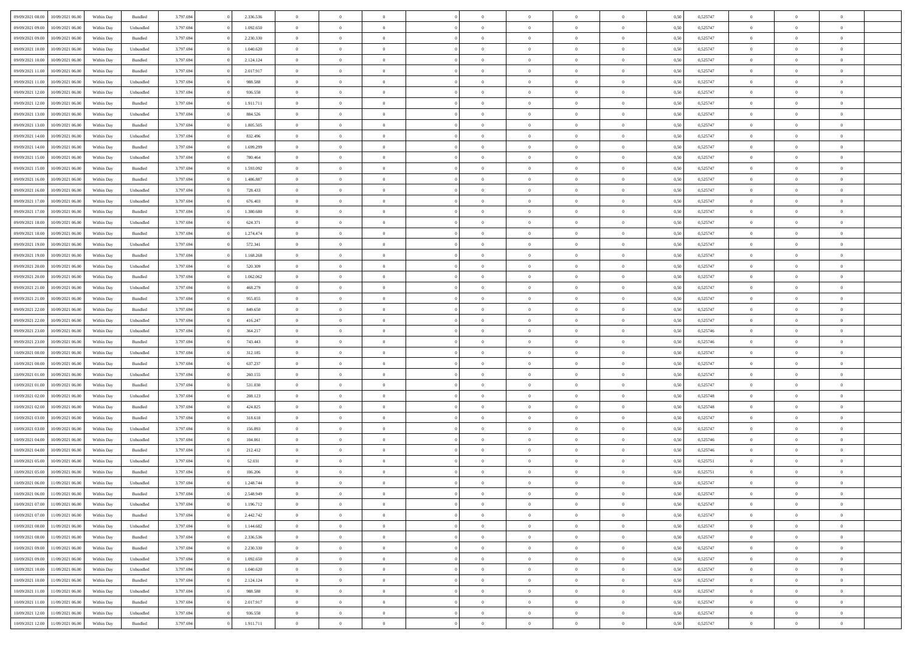| 09/09/2021 08:00 | 10/09/2021 06:00 | Within Day | Bundled            | 3.797.694 | 2.336.536 | $\overline{0}$ | $\Omega$       |                | $\Omega$       | $\Omega$       | $\theta$       | $\theta$       | 0,50 | 0,525747 | $\theta$       | $\theta$       | $\theta$       |  |
|------------------|------------------|------------|--------------------|-----------|-----------|----------------|----------------|----------------|----------------|----------------|----------------|----------------|------|----------|----------------|----------------|----------------|--|
|                  |                  |            |                    |           |           |                |                |                |                |                |                |                |      |          |                |                |                |  |
| 09/09/2021 09:00 | 10/09/2021 06:00 | Within Day | Unbundled          | 3.797.694 | 1.092.650 | $\overline{0}$ | $\theta$       | $\overline{0}$ | $\overline{0}$ | $\bf{0}$       | $\overline{0}$ | $\bf{0}$       | 0,50 | 0,525747 | $\theta$       | $\overline{0}$ | $\overline{0}$ |  |
| 09/09/2021 09:00 | 10/09/2021 06:00 | Within Day | Bundled            | 3.797.694 | 2.230.330 | $\overline{0}$ | $\bf{0}$       | $\overline{0}$ | $\bf{0}$       | $\bf{0}$       | $\bf{0}$       | $\mathbf{0}$   | 0,50 | 0,525747 | $\bf{0}$       | $\overline{0}$ | $\overline{0}$ |  |
| 09/09/2021 10:00 | 10/09/2021 06:00 | Within Dav | Unbundled          | 3.797.694 | 1.040.620 | $\overline{0}$ | $\overline{0}$ | $\overline{0}$ | $\overline{0}$ | $\bf{0}$       | $\overline{0}$ | $\overline{0}$ | 0.50 | 0,525747 | $\theta$       | $\theta$       | $\overline{0}$ |  |
| 09/09/2021 10:00 | 10/09/2021 06:00 | Within Day | Bundled            | 3.797.694 | 2.124.124 | $\overline{0}$ | $\theta$       | $\overline{0}$ | $\overline{0}$ | $\bf{0}$       | $\overline{0}$ | $\bf{0}$       | 0,50 | 0,525747 | $\theta$       | $\overline{0}$ | $\overline{0}$ |  |
| 09/09/2021 11:00 | 10/09/2021 06:00 | Within Day | Bundled            | 3.797.694 | 2.017.917 | $\overline{0}$ | $\overline{0}$ | $\overline{0}$ | $\overline{0}$ | $\overline{0}$ | $\overline{0}$ | $\mathbf{0}$   | 0,50 | 0,525747 | $\bf{0}$       | $\overline{0}$ | $\bf{0}$       |  |
| 09/09/2021 11:00 | 10/09/2021 06:00 | Within Dav | Unbundled          | 3.797.694 | 988.588   | $\overline{0}$ | $\overline{0}$ | $\overline{0}$ | $\overline{0}$ | $\overline{0}$ | $\overline{0}$ | $\overline{0}$ | 0.50 | 0,525747 | $\theta$       | $\overline{0}$ | $\overline{0}$ |  |
|                  |                  |            |                    |           |           |                |                |                |                |                |                |                |      |          |                |                |                |  |
| 09/09/2021 12:00 | 10/09/2021 06:00 | Within Day | Unbundled          | 3.797.694 | 936.558   | $\overline{0}$ | $\theta$       | $\overline{0}$ | $\overline{0}$ | $\bf{0}$       | $\overline{0}$ | $\bf{0}$       | 0,50 | 0,525747 | $\theta$       | $\theta$       | $\overline{0}$ |  |
| 09/09/2021 12:00 | 10/09/2021 06:00 | Within Day | Bundled            | 3.797.694 | 1.911.711 | $\overline{0}$ | $\overline{0}$ | $\overline{0}$ | $\overline{0}$ | $\bf{0}$       | $\overline{0}$ | $\bf{0}$       | 0,50 | 0,525747 | $\,0\,$        | $\overline{0}$ | $\overline{0}$ |  |
| 09/09/2021 13:00 | 10/09/2021 06:00 | Within Dav | Unbundled          | 3.797.694 | 884.526   | $\overline{0}$ | $\overline{0}$ | $\overline{0}$ | $\overline{0}$ | $\overline{0}$ | $\overline{0}$ | $\overline{0}$ | 0.50 | 0,525747 | $\theta$       | $\overline{0}$ | $\overline{0}$ |  |
| 09/09/2021 13:00 | 10/09/2021 06:00 | Within Day | Bundled            | 3.797.694 | 1.805.505 | $\overline{0}$ | $\theta$       | $\overline{0}$ | $\overline{0}$ | $\bf{0}$       | $\overline{0}$ | $\bf{0}$       | 0,50 | 0,525747 | $\,$ 0 $\,$    | $\overline{0}$ | $\overline{0}$ |  |
| 09/09/2021 14:00 | 10/09/2021 06:00 | Within Day | Unbundled          | 3.797.694 | 832.496   | $\overline{0}$ | $\bf{0}$       | $\overline{0}$ | $\overline{0}$ | $\bf{0}$       | $\overline{0}$ | $\bf{0}$       | 0,50 | 0,525747 | $\bf{0}$       | $\overline{0}$ | $\bf{0}$       |  |
| 09/09/2021 14:00 | 10/09/2021 06:00 | Within Dav | Bundled            | 3.797.694 | 1.699.299 | $\overline{0}$ | $\overline{0}$ | $\overline{0}$ | $\overline{0}$ | $\bf{0}$       | $\overline{0}$ | $\overline{0}$ | 0.50 | 0,525747 | $\theta$       | $\theta$       | $\overline{0}$ |  |
| 09/09/2021 15:00 | 10/09/2021 06:00 | Within Day | Unbundled          | 3.797.694 | 780.464   | $\overline{0}$ | $\theta$       | $\overline{0}$ | $\overline{0}$ | $\bf{0}$       | $\overline{0}$ | $\overline{0}$ | 0,50 | 0,525747 | $\theta$       | $\overline{0}$ | $\overline{0}$ |  |
|                  |                  |            |                    |           |           |                |                |                |                |                |                |                |      |          |                |                |                |  |
| 09/09/2021 15:00 | 10/09/2021 06:00 | Within Day | Bundled            | 3.797.694 | 1.593.092 | $\overline{0}$ | $\overline{0}$ | $\overline{0}$ | $\bf{0}$       | $\overline{0}$ | $\overline{0}$ | $\mathbf{0}$   | 0,50 | 0,525747 | $\overline{0}$ | $\overline{0}$ | $\bf{0}$       |  |
| 09/09/2021 16:00 | 10/09/2021 06:00 | Within Dav | Bundled            | 3.797.694 | 1.486.887 | $\overline{0}$ | $\overline{0}$ | $\overline{0}$ | $\overline{0}$ | $\overline{0}$ | $\overline{0}$ | $\overline{0}$ | 0.50 | 0,525747 | $\theta$       | $\overline{0}$ | $\overline{0}$ |  |
| 09/09/2021 16:00 | 10/09/2021 06:00 | Within Day | Unbundled          | 3.797.694 | 728.433   | $\overline{0}$ | $\theta$       | $\overline{0}$ | $\overline{0}$ | $\bf{0}$       | $\overline{0}$ | $\bf{0}$       | 0,50 | 0,525747 | $\theta$       | $\theta$       | $\overline{0}$ |  |
| 09/09/2021 17:00 | 10/09/2021 06:00 | Within Day | Unbundled          | 3.797.694 | 676.403   | $\overline{0}$ | $\overline{0}$ | $\overline{0}$ | $\bf{0}$       | $\bf{0}$       | $\bf{0}$       | $\bf{0}$       | 0,50 | 0,525747 | $\bf{0}$       | $\overline{0}$ | $\overline{0}$ |  |
| 09/09/2021 17:00 | 10/09/2021 06:00 | Within Dav | Bundled            | 3.797.694 | 1.380.680 | $\overline{0}$ | $\overline{0}$ | $\overline{0}$ | $\overline{0}$ | $\overline{0}$ | $\overline{0}$ | $\overline{0}$ | 0.50 | 0,525747 | $\theta$       | $\overline{0}$ | $\overline{0}$ |  |
| 09/09/2021 18:00 | 10/09/2021 06:00 | Within Day | Unbundled          | 3.797.694 | 624.371   | $\overline{0}$ | $\theta$       | $\overline{0}$ | $\overline{0}$ | $\bf{0}$       | $\overline{0}$ | $\bf{0}$       | 0,50 | 0,525747 | $\,$ 0 $\,$    | $\overline{0}$ | $\overline{0}$ |  |
| 09/09/2021 18:00 | 10/09/2021 06:00 | Within Day | Bundled            | 3.797.694 | 1.274.474 | $\overline{0}$ | $\overline{0}$ | $\overline{0}$ | $\bf{0}$       | $\bf{0}$       | $\bf{0}$       | $\bf{0}$       | 0,50 | 0,525747 | $\overline{0}$ | $\overline{0}$ | $\bf{0}$       |  |
| 09/09/2021 19:00 | 10/09/2021 06:00 | Within Day | Unbundled          | 3.797.694 | 572.341   | $\overline{0}$ | $\overline{0}$ | $\overline{0}$ | $\overline{0}$ | $\bf{0}$       | $\overline{0}$ | $\overline{0}$ | 0.50 | 0,525747 | $\theta$       | $\overline{0}$ | $\overline{0}$ |  |
|                  |                  |            |                    |           |           |                |                |                |                |                |                |                |      |          |                |                |                |  |
| 09/09/2021 19:00 | 10/09/2021 06:00 | Within Day | Bundled            | 3.797.694 | 1.168.268 | $\overline{0}$ | $\theta$       | $\overline{0}$ | $\overline{0}$ | $\bf{0}$       | $\overline{0}$ | $\bf{0}$       | 0,50 | 0,525747 | $\,$ 0 $\,$    | $\overline{0}$ | $\overline{0}$ |  |
| 09/09/2021 20:00 | 10/09/2021 06:00 | Within Day | Unbundled          | 3.797.694 | 520.309   | $\overline{0}$ | $\overline{0}$ | $\overline{0}$ | $\bf{0}$       | $\overline{0}$ | $\overline{0}$ | $\mathbf{0}$   | 0,50 | 0,525747 | $\bf{0}$       | $\overline{0}$ | $\bf{0}$       |  |
| 09/09/2021 20:00 | 10/09/2021 06:00 | Within Dav | Bundled            | 3.797.694 | 1.062.062 | $\overline{0}$ | $\overline{0}$ | $\overline{0}$ | $\overline{0}$ | $\overline{0}$ | $\overline{0}$ | $\overline{0}$ | 0.50 | 0,525747 | $\theta$       | $\overline{0}$ | $\overline{0}$ |  |
| 09/09/2021 21:00 | 10/09/2021 06:00 | Within Day | Unbundled          | 3.797.694 | 468.279   | $\overline{0}$ | $\theta$       | $\overline{0}$ | $\overline{0}$ | $\bf{0}$       | $\overline{0}$ | $\bf{0}$       | 0,50 | 0,525747 | $\theta$       | $\theta$       | $\overline{0}$ |  |
| 09/09/2021 21.00 | 10/09/2021 06:00 | Within Day | Bundled            | 3.797.694 | 955.855   | $\overline{0}$ | $\overline{0}$ | $\overline{0}$ | $\bf{0}$       | $\bf{0}$       | $\bf{0}$       | $\bf{0}$       | 0,50 | 0,525747 | $\,0\,$        | $\overline{0}$ | $\overline{0}$ |  |
| 09/09/2021 22.00 | 10/09/2021 06:00 | Within Day | Bundled            | 3.797.694 | 849.650   | $\overline{0}$ | $\overline{0}$ | $\overline{0}$ | $\overline{0}$ | $\overline{0}$ | $\overline{0}$ | $\overline{0}$ | 0.50 | 0,525747 | $\theta$       | $\overline{0}$ | $\overline{0}$ |  |
| 09/09/2021 22.00 | 10/09/2021 06:00 | Within Day | Unbundled          | 3.797.694 | 416.247   | $\overline{0}$ | $\theta$       | $\overline{0}$ | $\overline{0}$ | $\bf{0}$       | $\overline{0}$ | $\bf{0}$       | 0,50 | 0,525747 | $\,$ 0 $\,$    | $\overline{0}$ | $\overline{0}$ |  |
|                  |                  |            |                    |           |           |                | $\bf{0}$       |                |                | $\bf{0}$       |                |                |      |          |                | $\overline{0}$ | $\bf{0}$       |  |
| 09/09/2021 23.00 | 10/09/2021 06:00 | Within Day | Unbundled          | 3.797.694 | 364.217   | $\overline{0}$ |                | $\overline{0}$ | $\bf{0}$       |                | $\bf{0}$       | $\bf{0}$       | 0,50 | 0,525746 | $\bf{0}$       |                |                |  |
| 09/09/2021 23:00 | 10/09/2021 06:00 | Within Day | Bundled            | 3.797.694 | 743.443   | $\overline{0}$ | $\Omega$       | $\Omega$       | $\Omega$       | $\Omega$       | $\Omega$       | $\overline{0}$ | 0,50 | 0,525746 | $\,0\,$        | $\theta$       | $\theta$       |  |
| 10/09/2021 00:00 | 10/09/2021 06:00 | Within Day | Unbundled          | 3.797.694 | 312.185   | $\overline{0}$ | $\theta$       | $\overline{0}$ | $\overline{0}$ | $\bf{0}$       | $\overline{0}$ | $\bf{0}$       | 0,50 | 0,525747 | $\,$ 0 $\,$    | $\overline{0}$ | $\overline{0}$ |  |
| 10/09/2021 00:00 | 10/09/2021 06:00 | Within Day | Bundled            | 3.797.694 | 637.237   | $\overline{0}$ | $\overline{0}$ | $\overline{0}$ | $\bf{0}$       | $\overline{0}$ | $\overline{0}$ | $\mathbf{0}$   | 0,50 | 0,525747 | $\bf{0}$       | $\overline{0}$ | $\bf{0}$       |  |
| 10/09/2021 01:00 | 10/09/2021 06:00 | Within Day | Unbundled          | 3.797.694 | 260.155   | $\overline{0}$ | $\Omega$       | $\Omega$       | $\Omega$       | $\bf{0}$       | $\overline{0}$ | $\overline{0}$ | 0.50 | 0,525747 | $\,0\,$        | $\theta$       | $\theta$       |  |
| 10/09/2021 01:00 | 10/09/2021 06:00 | Within Day | Bundled            | 3.797.694 | 531.030   | $\overline{0}$ | $\theta$       | $\overline{0}$ | $\overline{0}$ | $\bf{0}$       | $\overline{0}$ | $\bf{0}$       | 0,50 | 0,525747 | $\,$ 0 $\,$    | $\overline{0}$ | $\overline{0}$ |  |
| 10/09/2021 02:00 | 10/09/2021 06:00 | Within Day | Unbundled          | 3.797.694 | 208.123   | $\overline{0}$ | $\overline{0}$ | $\overline{0}$ | $\bf{0}$       | $\bf{0}$       | $\bf{0}$       | $\bf{0}$       | 0,50 | 0,525748 | $\bf{0}$       | $\overline{0}$ | $\bf{0}$       |  |
| 10/09/2021 02:00 | 10/09/2021 06:00 | Within Day | Bundled            | 3.797.694 | 424.825   | $\overline{0}$ | $\Omega$       | $\Omega$       | $\Omega$       | $\theta$       | $\theta$       | $\overline{0}$ | 0.50 | 0,525748 | $\,$ 0 $\,$    | $\theta$       | $\theta$       |  |
| 10/09/2021 03:00 | 10/09/2021 06:00 | Within Day | Bundled            | 3.797.694 | 318.618   | $\overline{0}$ | $\overline{0}$ | $\overline{0}$ | $\overline{0}$ | $\bf{0}$       | $\overline{0}$ | $\bf{0}$       | 0,50 | 0,525747 | $\,$ 0 $\,$    | $\overline{0}$ | $\overline{0}$ |  |
|                  |                  |            |                    |           |           |                |                |                |                |                |                |                |      |          |                |                |                |  |
| 10/09/2021 03:00 | 10/09/2021 06:00 | Within Day | Unbundled          | 3.797.694 | 156.093   | $\overline{0}$ | $\bf{0}$       | $\overline{0}$ | $\bf{0}$       | $\bf{0}$       | $\bf{0}$       | $\bf{0}$       | 0,50 | 0,525747 | $\bf{0}$       | $\overline{0}$ | $\bf{0}$       |  |
| 10/09/2021 04:00 | 10/09/2021 06:00 | Within Day | Unbundled          | 3.797.694 | 104,061   | $\overline{0}$ | $\Omega$       | $\overline{0}$ | $\Omega$       | $\Omega$       | $\overline{0}$ | $\overline{0}$ | 0,50 | 0,525746 | $\,0\,$        | $\theta$       | $\theta$       |  |
| 10/09/2021 04:00 | 10/09/2021 06:00 | Within Day | Bundled            | 3.797.694 | 212.412   | $\overline{0}$ | $\overline{0}$ | $\overline{0}$ | $\overline{0}$ | $\bf{0}$       | $\overline{0}$ | $\bf{0}$       | 0,50 | 0,525746 | $\,$ 0 $\,$    | $\overline{0}$ | $\overline{0}$ |  |
| 10/09/2021 05:00 | 10/09/2021 06:00 | Within Day | Unbundled          | 3.797.694 | 52.031    | $\overline{0}$ | $\overline{0}$ | $\overline{0}$ | $\bf{0}$       | $\bf{0}$       | $\bf{0}$       | $\mathbf{0}$   | 0,50 | 0,525751 | $\bf{0}$       | $\overline{0}$ | $\bf{0}$       |  |
| 10/09/2021 05:00 | 10/09/2021 06:00 | Within Day | Bundled            | 3.797.694 | 106,206   | $\overline{0}$ | $\Omega$       | $\Omega$       | $\Omega$       | $\Omega$       | $\Omega$       | $\overline{0}$ | 0.50 | 0,525751 | $\theta$       | $\theta$       | $\theta$       |  |
| 10/09/2021 06:00 | 11/09/2021 06:00 | Within Day | Unbundled          | 3.797.694 | 1.248.744 | $\overline{0}$ | $\overline{0}$ | $\overline{0}$ | $\bf{0}$       | $\,$ 0         | $\bf{0}$       | $\bf{0}$       | 0,50 | 0,525747 | $\,0\,$        | $\,$ 0 $\,$    | $\overline{0}$ |  |
| 10/09/2021 06:00 | 11/09/2021 06:00 | Within Day | $\mathbf B$ undled | 3.797.694 | 2.548.949 | $\bf{0}$       | $\bf{0}$       |                |                |                |                |                | 0,50 | 0,525747 | $\bf{0}$       | $\overline{0}$ |                |  |
| 10/09/2021 07:00 | 11/09/2021 06:00 | Within Day | Unbundled          | 3.797.694 | 1.196.712 | $\overline{0}$ | $\overline{0}$ | $\overline{0}$ | $\Omega$       | $\theta$       | $\overline{0}$ | $\overline{0}$ | 0,50 | 0,525747 | $\theta$       | $\theta$       | $\theta$       |  |
| 10/09/2021 07:00 | 11/09/2021 06:00 | Within Day | Bundled            | 3.797.694 | 2.442.742 | $\overline{0}$ | $\,$ 0         | $\overline{0}$ | $\bf{0}$       | $\,$ 0 $\,$    | $\overline{0}$ | $\mathbf{0}$   | 0,50 | 0,525747 | $\,$ 0 $\,$    | $\,$ 0 $\,$    | $\,$ 0         |  |
|                  |                  |            |                    |           |           |                |                |                |                |                |                |                |      |          |                |                |                |  |
| 10/09/2021 08:00 | 11/09/2021 06:00 | Within Day | Unbundled          | 3.797.694 | 1.144.682 | $\overline{0}$ | $\overline{0}$ | $\overline{0}$ | $\overline{0}$ | $\overline{0}$ | $\overline{0}$ | $\mathbf{0}$   | 0,50 | 0,525747 | $\overline{0}$ | $\bf{0}$       | $\bf{0}$       |  |
| 10/09/2021 08:00 | 11/09/2021 06:00 | Within Day | Bundled            | 3.797.694 | 2.336.536 | $\overline{0}$ | $\overline{0}$ | $\overline{0}$ | $\Omega$       | $\overline{0}$ | $\overline{0}$ | $\overline{0}$ | 0,50 | 0,525747 | $\overline{0}$ | $\theta$       | $\overline{0}$ |  |
| 10/09/2021 09:00 | 11/09/2021 06:00 | Within Day | Bundled            | 3.797.694 | 2.230.330 | $\overline{0}$ | $\,$ 0         | $\overline{0}$ | $\overline{0}$ | $\overline{0}$ | $\overline{0}$ | $\bf{0}$       | 0,50 | 0,525747 | $\,$ 0 $\,$    | $\overline{0}$ | $\overline{0}$ |  |
| 10/09/2021 09:00 | 11/09/2021 06:00 | Within Day | Unbundled          | 3.797.694 | 1.092.650 | $\overline{0}$ | $\overline{0}$ | $\overline{0}$ | $\overline{0}$ | $\overline{0}$ | $\overline{0}$ | $\mathbf{0}$   | 0,50 | 0,525747 | $\overline{0}$ | $\overline{0}$ | $\bf{0}$       |  |
| 10/09/2021 10:00 | 11/09/2021 06:00 | Within Day | Unbundled          | 3.797.694 | 1.040.620 | $\overline{0}$ | $\overline{0}$ | $\overline{0}$ | $\Omega$       | $\overline{0}$ | $\overline{0}$ | $\bf{0}$       | 0.50 | 0,525747 | $\overline{0}$ | $\theta$       | $\overline{0}$ |  |
| 10/09/2021 10:00 | 11/09/2021 06:00 | Within Day | Bundled            | 3.797.694 | 2.124.124 | $\overline{0}$ | $\,$ 0         | $\overline{0}$ | $\bf{0}$       | $\bf{0}$       | $\bf{0}$       | $\bf{0}$       | 0,50 | 0,525747 | $\,$ 0 $\,$    | $\overline{0}$ | $\overline{0}$ |  |
| 10/09/2021 11:00 | 11/09/2021 06:00 | Within Day | Unbundled          | 3.797.694 | 988.588   | $\overline{0}$ | $\bf{0}$       | $\overline{0}$ | $\overline{0}$ | $\overline{0}$ | $\overline{0}$ | $\mathbf{0}$   | 0,50 | 0,525747 | $\overline{0}$ | $\overline{0}$ | $\bf{0}$       |  |
| 10/09/2021 11:00 | 11/09/2021 06:00 | Within Day | Bundled            | 3.797.694 | 2.017.917 | $\overline{0}$ | $\overline{0}$ | $\overline{0}$ | $\Omega$       | $\overline{0}$ | $\overline{0}$ | $\bf{0}$       | 0.50 | 0,525747 | $\overline{0}$ | $\theta$       | $\overline{0}$ |  |
|                  |                  |            |                    |           |           |                |                |                |                |                |                |                |      |          |                |                |                |  |
| 10/09/2021 12:00 | 11/09/2021 06:00 | Within Day | Unbundled          | 3.797.694 | 936.558   | $\overline{0}$ | $\bf{0}$       | $\overline{0}$ | $\overline{0}$ | $\bf{0}$       | $\bf{0}$       | $\mathbf{0}$   | 0,50 | 0,525747 | $\,$ 0 $\,$    | $\,$ 0 $\,$    | $\bf{0}$       |  |
| 10/09/2021 12:00 | 11/09/2021 06:00 | Within Day | Bundled            | 3.797.694 | 1.911.711 | $\overline{0}$ | $\overline{0}$ | $\overline{0}$ | $\overline{0}$ | $\bf{0}$       | $\bf{0}$       | $\mathbf{0}$   | 0,50 | 0,525747 | $\overline{0}$ | $\bf{0}$       | $\bf{0}$       |  |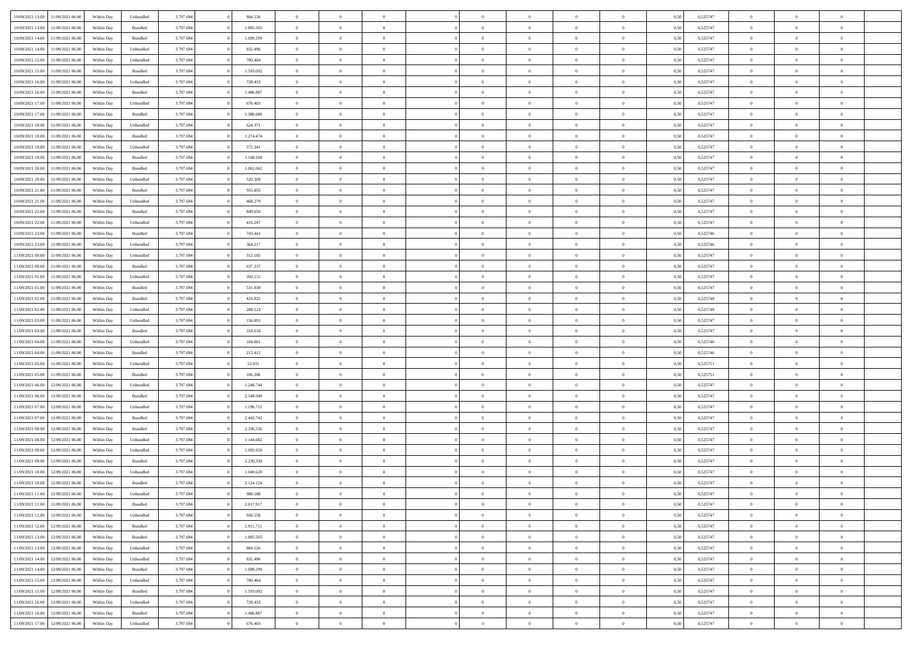| 10/09/2021 13:00 | 11/09/2021 06:00                  | Within Day | Unbundled | 3.797.694 | 884.526   | $\overline{0}$ | $\theta$       |                | $\Omega$       | $\Omega$       | $\theta$       | $\theta$       | 0,50 | 0,525747 | $\theta$       | $\overline{0}$ | $\theta$       |  |
|------------------|-----------------------------------|------------|-----------|-----------|-----------|----------------|----------------|----------------|----------------|----------------|----------------|----------------|------|----------|----------------|----------------|----------------|--|
|                  |                                   |            |           |           |           |                |                |                |                |                |                |                |      |          |                |                |                |  |
| 10/09/2021 13:00 | 11/09/2021 06:00                  | Within Day | Bundled   | 3.797.694 | 1.805.505 | $\overline{0}$ | $\theta$       | $\overline{0}$ | $\overline{0}$ | $\bf{0}$       | $\overline{0}$ | $\bf{0}$       | 0,50 | 0,525747 | $\theta$       | $\overline{0}$ | $\overline{0}$ |  |
| 10/09/2021 14:00 | 11/09/2021 06:00                  | Within Day | Bundled   | 3.797.694 | 1.699.299 | $\overline{0}$ | $\bf{0}$       | $\overline{0}$ | $\bf{0}$       | $\bf{0}$       | $\bf{0}$       | $\mathbf{0}$   | 0,50 | 0,525747 | $\bf{0}$       | $\overline{0}$ | $\overline{0}$ |  |
| 10/09/2021 14:00 | 11/09/2021 06:00                  | Within Dav | Unbundled | 3.797.694 | 832.496   | $\overline{0}$ | $\overline{0}$ | $\overline{0}$ | $\overline{0}$ | $\bf{0}$       | $\overline{0}$ | $\overline{0}$ | 0.50 | 0,525747 | $\theta$       | $\theta$       | $\overline{0}$ |  |
| 10/09/2021 15:00 | 11/09/2021 06:00                  | Within Day | Unbundled | 3.797.694 | 780.464   | $\overline{0}$ | $\theta$       | $\overline{0}$ | $\overline{0}$ | $\bf{0}$       | $\overline{0}$ | $\bf{0}$       | 0,50 | 0,525747 | $\theta$       | $\overline{0}$ | $\overline{0}$ |  |
| 10/09/2021 15:00 | 11/09/2021 06:00                  | Within Day | Bundled   | 3.797.694 | 1.593.092 | $\overline{0}$ | $\overline{0}$ | $\overline{0}$ | $\bf{0}$       | $\overline{0}$ | $\overline{0}$ | $\mathbf{0}$   | 0,50 | 0,525747 | $\bf{0}$       | $\overline{0}$ | $\bf{0}$       |  |
|                  |                                   |            |           |           |           |                | $\overline{0}$ |                |                | $\overline{0}$ |                |                |      |          | $\theta$       | $\overline{0}$ | $\overline{0}$ |  |
| 10/09/2021 16:00 | 11/09/2021 06:00                  | Within Dav | Unbundled | 3.797.694 | 728.433   | $\overline{0}$ |                | $\overline{0}$ | $\overline{0}$ |                | $\overline{0}$ | $\overline{0}$ | 0.50 | 0,525747 |                |                |                |  |
| 10/09/2021 16:00 | 11/09/2021 06:00                  | Within Day | Bundled   | 3.797.694 | 1.486.887 | $\overline{0}$ | $\theta$       | $\overline{0}$ | $\overline{0}$ | $\bf{0}$       | $\overline{0}$ | $\bf{0}$       | 0,50 | 0,525747 | $\theta$       | $\theta$       | $\overline{0}$ |  |
| 10/09/2021 17:00 | 11/09/2021 06:00                  | Within Day | Unbundled | 3.797.694 | 676.403   | $\overline{0}$ | $\overline{0}$ | $\overline{0}$ | $\bf{0}$       | $\bf{0}$       | $\bf{0}$       | $\bf{0}$       | 0,50 | 0,525747 | $\,0\,$        | $\overline{0}$ | $\overline{0}$ |  |
| 10/09/2021 17:00 | 11/09/2021 06:00                  | Within Dav | Bundled   | 3.797.694 | 1.380.680 | $\overline{0}$ | $\overline{0}$ | $\overline{0}$ | $\overline{0}$ | $\overline{0}$ | $\overline{0}$ | $\overline{0}$ | 0.50 | 0,525747 | $\theta$       | $\overline{0}$ | $\overline{0}$ |  |
| 10/09/2021 18:00 | 11/09/2021 06:00                  | Within Day | Unbundled | 3.797.694 | 624.371   | $\overline{0}$ | $\theta$       | $\overline{0}$ | $\overline{0}$ | $\bf{0}$       | $\overline{0}$ | $\bf{0}$       | 0,50 | 0,525747 | $\,$ 0 $\,$    | $\overline{0}$ | $\overline{0}$ |  |
| 10/09/2021 18:00 | 11/09/2021 06:00                  | Within Day | Bundled   | 3.797.694 | 1.274.474 | $\overline{0}$ | $\bf{0}$       | $\overline{0}$ | $\bf{0}$       | $\bf{0}$       | $\bf{0}$       | $\mathbf{0}$   | 0,50 | 0,525747 | $\bf{0}$       | $\overline{0}$ | $\bf{0}$       |  |
| 10/09/2021 19:00 | 11/09/2021 06:00                  | Within Day | Unbundled | 3.797.694 | 572.341   | $\overline{0}$ | $\overline{0}$ | $\overline{0}$ | $\overline{0}$ | $\bf{0}$       | $\overline{0}$ | $\overline{0}$ | 0.50 | 0,525747 | $\theta$       | $\theta$       | $\overline{0}$ |  |
|                  |                                   |            |           |           |           | $\overline{0}$ | $\theta$       | $\overline{0}$ | $\overline{0}$ | $\bf{0}$       | $\overline{0}$ |                |      |          | $\theta$       | $\overline{0}$ | $\overline{0}$ |  |
| 10/09/2021 19:00 | 11/09/2021 06:00                  | Within Day | Bundled   | 3.797.694 | 1.168.268 |                |                |                |                |                |                | $\bf{0}$       | 0,50 | 0,525747 |                |                |                |  |
| 10/09/2021 20:00 | 11/09/2021 06:00                  | Within Day | Bundled   | 3.797.694 | 1.062.062 | $\overline{0}$ | $\overline{0}$ | $\overline{0}$ | $\bf{0}$       | $\overline{0}$ | $\overline{0}$ | $\mathbf{0}$   | 0,50 | 0,525747 | $\bf{0}$       | $\overline{0}$ | $\bf{0}$       |  |
| 10/09/2021 20:00 | 11/09/2021 06:00                  | Within Dav | Unbundled | 3.797.694 | 520.309   | $\overline{0}$ | $\overline{0}$ | $\overline{0}$ | $\overline{0}$ | $\overline{0}$ | $\overline{0}$ | $\overline{0}$ | 0.50 | 0,525747 | $\theta$       | $\overline{0}$ | $\overline{0}$ |  |
| 10/09/2021 21:00 | 11/09/2021 06:00                  | Within Day | Bundled   | 3.797.694 | 955.855   | $\overline{0}$ | $\theta$       | $\overline{0}$ | $\overline{0}$ | $\bf{0}$       | $\overline{0}$ | $\bf{0}$       | 0,50 | 0,525747 | $\theta$       | $\theta$       | $\overline{0}$ |  |
| 10/09/2021 21:00 | 11/09/2021 06:00                  | Within Day | Unbundled | 3.797.694 | 468.279   | $\overline{0}$ | $\overline{0}$ | $\overline{0}$ | $\bf{0}$       | $\bf{0}$       | $\bf{0}$       | $\mathbf{0}$   | 0,50 | 0,525747 | $\,0\,$        | $\overline{0}$ | $\overline{0}$ |  |
| 10/09/2021 22:00 | 11/09/2021 06:00                  | Within Dav | Bundled   | 3.797.694 | 849.650   | $\overline{0}$ | $\overline{0}$ | $\overline{0}$ | $\overline{0}$ | $\overline{0}$ | $\overline{0}$ | $\overline{0}$ | 0.50 | 0,525747 | $\theta$       | $\overline{0}$ | $\overline{0}$ |  |
| 10/09/2021 22:00 | 11/09/2021 06:00                  | Within Day | Unbundled | 3.797.694 | 416.247   | $\overline{0}$ | $\theta$       | $\overline{0}$ | $\overline{0}$ | $\bf{0}$       | $\overline{0}$ | $\bf{0}$       | 0,50 | 0,525747 | $\,$ 0 $\,$    | $\overline{0}$ | $\overline{0}$ |  |
| 10/09/2021 23:00 | 11/09/2021 06:00                  | Within Day | Bundled   | 3.797.694 | 743.443   | $\overline{0}$ | $\overline{0}$ | $\overline{0}$ | $\bf{0}$       | $\bf{0}$       | $\bf{0}$       | $\bf{0}$       | 0,50 | 0,525746 | $\bf{0}$       | $\overline{0}$ | $\bf{0}$       |  |
|                  |                                   |            |           |           |           |                |                |                |                |                |                |                |      |          |                |                |                |  |
| 10/09/2021 23:00 | 11/09/2021 06:00                  | Within Day | Unbundled | 3.797.694 | 364.217   | $\overline{0}$ | $\overline{0}$ | $\overline{0}$ | $\overline{0}$ | $\bf{0}$       | $\overline{0}$ | $\overline{0}$ | 0.50 | 0,525746 | $\theta$       | $\overline{0}$ | $\overline{0}$ |  |
| 11/09/2021 00:00 | 11/09/2021 06:00                  | Within Day | Unbundled | 3.797.694 | 312.185   | $\overline{0}$ | $\theta$       | $\overline{0}$ | $\overline{0}$ | $\bf{0}$       | $\overline{0}$ | $\bf{0}$       | 0,50 | 0,525747 | $\,$ 0 $\,$    | $\overline{0}$ | $\overline{0}$ |  |
| 11/09/2021 00:00 | 11/09/2021 06:00                  | Within Day | Bundled   | 3.797.694 | 637.237   | $\overline{0}$ | $\overline{0}$ | $\overline{0}$ | $\bf{0}$       | $\overline{0}$ | $\overline{0}$ | $\mathbf{0}$   | 0,50 | 0,525747 | $\overline{0}$ | $\overline{0}$ | $\bf{0}$       |  |
| 11/09/2021 01:00 | 11/09/2021 06:00                  | Within Dav | Unbundled | 3.797.694 | 260.155   | $\overline{0}$ | $\overline{0}$ | $\overline{0}$ | $\overline{0}$ | $\overline{0}$ | $\overline{0}$ | $\overline{0}$ | 0.50 | 0,525747 | $\theta$       | $\overline{0}$ | $\overline{0}$ |  |
| 11/09/2021 01:00 | 11/09/2021 06:00                  | Within Day | Bundled   | 3.797.694 | 531.030   | $\overline{0}$ | $\theta$       | $\overline{0}$ | $\overline{0}$ | $\bf{0}$       | $\overline{0}$ | $\bf{0}$       | 0,50 | 0,525747 | $\theta$       | $\theta$       | $\overline{0}$ |  |
| 11/09/2021 02:00 | 11/09/2021 06:00                  | Within Day | Bundled   | 3.797.694 | 424.825   | $\overline{0}$ | $\overline{0}$ | $\overline{0}$ | $\overline{0}$ | $\bf{0}$       | $\overline{0}$ | $\bf{0}$       | 0,50 | 0,525748 | $\,0\,$        | $\overline{0}$ | $\overline{0}$ |  |
| 11/09/2021 02:00 | 11/09/2021 06:00                  | Within Day | Unbundled | 3.797.694 | 208.123   | $\overline{0}$ | $\overline{0}$ | $\overline{0}$ | $\overline{0}$ | $\overline{0}$ | $\overline{0}$ | $\overline{0}$ | 0.50 | 0,525748 | $\theta$       | $\overline{0}$ | $\overline{0}$ |  |
|                  |                                   |            |           |           |           |                |                |                |                |                |                |                |      |          |                |                |                |  |
| 11/09/2021 03:00 | 11/09/2021 06:00                  | Within Day | Unbundled | 3.797.694 | 156.093   | $\overline{0}$ | $\theta$       | $\overline{0}$ | $\overline{0}$ | $\bf{0}$       | $\overline{0}$ | $\bf{0}$       | 0,50 | 0,525747 | $\,$ 0 $\,$    | $\overline{0}$ | $\overline{0}$ |  |
| 11/09/2021 03:00 | 11/09/2021 06:00                  | Within Day | Bundled   | 3.797.694 | 318.618   | $\overline{0}$ | $\overline{0}$ | $\overline{0}$ | $\overline{0}$ | $\bf{0}$       | $\overline{0}$ | $\bf{0}$       | 0,50 | 0,525747 | $\bf{0}$       | $\overline{0}$ | $\bf{0}$       |  |
| 11/09/2021 04:00 | 11/09/2021 06.00                  | Within Day | Unbundled | 3.797.694 | 104,061   | $\overline{0}$ | $\Omega$       | $\overline{0}$ | $\Omega$       | $\Omega$       | $\overline{0}$ | $\overline{0}$ | 0,50 | 0,525746 | $\,0\,$        | $\theta$       | $\theta$       |  |
| 11/09/2021 04:00 | 11/09/2021 06:00                  | Within Day | Bundled   | 3.797.694 | 212.412   | $\overline{0}$ | $\theta$       | $\overline{0}$ | $\overline{0}$ | $\bf{0}$       | $\overline{0}$ | $\bf{0}$       | 0,50 | 0,525746 | $\,$ 0 $\,$    | $\overline{0}$ | $\overline{0}$ |  |
| 11/09/2021 05:00 | 11/09/2021 06:00                  | Within Day | Unbundled | 3.797.694 | 52.031    | $\overline{0}$ | $\overline{0}$ | $\overline{0}$ | $\overline{0}$ | $\overline{0}$ | $\overline{0}$ | $\mathbf{0}$   | 0,50 | 0,525751 | $\overline{0}$ | $\overline{0}$ | $\bf{0}$       |  |
| 11/09/2021 05:00 | 11/09/2021 06:00                  | Within Day | Bundled   | 3.797.694 | 106,206   | $\overline{0}$ | $\Omega$       | $\Omega$       | $\Omega$       | $\bf{0}$       | $\overline{0}$ | $\overline{0}$ | 0.50 | 0,525751 | $\,0\,$        | $\theta$       | $\theta$       |  |
| 11/09/2021 06:00 | 12/09/2021 06:00                  | Within Day | Unbundled | 3.797.694 | 1.248.744 | $\overline{0}$ | $\theta$       | $\overline{0}$ | $\overline{0}$ | $\bf{0}$       | $\overline{0}$ | $\bf{0}$       | 0,50 | 0,525747 | $\,$ 0 $\,$    | $\overline{0}$ | $\overline{0}$ |  |
| 11/09/2021 06:00 | 12/09/2021 06:00                  | Within Day | Bundled   | 3.797.694 | 2.548.949 | $\overline{0}$ | $\overline{0}$ | $\overline{0}$ | $\overline{0}$ | $\bf{0}$       | $\overline{0}$ | $\bf{0}$       | 0,50 | 0,525747 | $\bf{0}$       | $\overline{0}$ | $\bf{0}$       |  |
|                  |                                   |            |           |           |           |                |                |                |                |                |                |                |      |          |                |                |                |  |
| 11/09/2021 07:00 | 12/09/2021 06:00                  | Within Day | Unbundled | 3.797.694 | 1.196.712 | $\overline{0}$ | $\Omega$       | $\Omega$       | $\Omega$       | $\theta$       | $\overline{0}$ | $\overline{0}$ | 0.50 | 0,525747 | $\,$ 0 $\,$    | $\theta$       | $\theta$       |  |
| 11/09/2021 07:00 | 12/09/2021 06:00                  | Within Day | Bundled   | 3.797.694 | 2.442.742 | $\overline{0}$ | $\theta$       | $\overline{0}$ | $\overline{0}$ | $\bf{0}$       | $\overline{0}$ | $\bf{0}$       | 0,50 | 0,525747 | $\,$ 0 $\,$    | $\overline{0}$ | $\overline{0}$ |  |
| 11/09/2021 08:00 | 12/09/2021 06:00                  | Within Day | Bundled   | 3.797.694 | 2.336.536 | $\overline{0}$ | $\bf{0}$       | $\overline{0}$ | $\overline{0}$ | $\bf{0}$       | $\overline{0}$ | $\mathbf{0}$   | 0,50 | 0,525747 | $\overline{0}$ | $\overline{0}$ | $\bf{0}$       |  |
| 11/09/2021 08:00 | 12/09/2021 06:00                  | Within Day | Unbundled | 3.797.694 | 1.144.682 | $\overline{0}$ | $\Omega$       | $\overline{0}$ | $\Omega$       | $\overline{0}$ | $\overline{0}$ | $\overline{0}$ | 0,50 | 0,525747 | $\,0\,$        | $\theta$       | $\theta$       |  |
| 11/09/2021 09:00 | 12/09/2021 06:00                  | Within Day | Unbundled | 3.797.694 | 1.092.650 | $\overline{0}$ | $\overline{0}$ | $\overline{0}$ | $\overline{0}$ | $\bf{0}$       | $\overline{0}$ | $\bf{0}$       | 0,50 | 0,525747 | $\,$ 0 $\,$    | $\overline{0}$ | $\overline{0}$ |  |
| 11/09/2021 09:00 | 12/09/2021 06:00                  | Within Day | Bundled   | 3.797.694 | 2.230.330 | $\overline{0}$ | $\overline{0}$ | $\overline{0}$ | $\overline{0}$ | $\bf{0}$       | $\overline{0}$ | $\mathbf{0}$   | 0,50 | 0,525747 | $\overline{0}$ | $\overline{0}$ | $\bf{0}$       |  |
| 11/09/2021 10:00 | 12/09/2021 06:00                  | Within Day | Unbundled | 3.797.694 | 1.040.620 | $\overline{0}$ | $\Omega$       | $\Omega$       | $\Omega$       | $\Omega$       | $\Omega$       | $\overline{0}$ | 0.50 | 0,525747 | $\theta$       | $\theta$       | $\theta$       |  |
| 11/09/2021 10:00 | 12/09/2021 06:00                  | Within Day | Bundled   | 3.797.694 | 2.124.124 | $\overline{0}$ | $\overline{0}$ | $\overline{0}$ | $\bf{0}$       | $\,$ 0         | $\overline{0}$ | $\bf{0}$       | 0,50 | 0,525747 | $\,0\,$        | $\,0\,$        | $\overline{0}$ |  |
| 11/09/2021 11:00 | 12/09/2021 06:00                  | Within Day | Unbundled | 3.797.694 | 988.588   | $\bf{0}$       | $\bf{0}$       |                |                |                |                |                | 0,50 | 0,525747 | $\bf{0}$       | $\overline{0}$ |                |  |
|                  |                                   |            |           |           |           |                |                |                |                |                |                |                |      |          |                |                |                |  |
| 11/09/2021 11:00 | 12/09/2021 06:00                  | Within Day | Bundled   | 3.797.694 | 2.017.917 | $\overline{0}$ | $\overline{0}$ | $\overline{0}$ | $\Omega$       | $\overline{0}$ | $\overline{0}$ | $\overline{0}$ | 0,50 | 0,525747 | $\theta$       | $\theta$       | $\Omega$       |  |
| 11/09/2021 12:00 | 12/09/2021 06:00                  | Within Day | Unbundled | 3.797.694 | 936.558   | $\overline{0}$ | $\,$ 0         | $\overline{0}$ | $\overline{0}$ | $\,$ 0 $\,$    | $\overline{0}$ | $\,$ 0 $\,$    | 0,50 | 0,525747 | $\,$ 0 $\,$    | $\,$ 0 $\,$    | $\,$ 0         |  |
| 11/09/2021 12:00 | 12/09/2021 06:00                  | Within Day | Bundled   | 3.797.694 | 1.911.711 | $\overline{0}$ | $\overline{0}$ | $\overline{0}$ | $\overline{0}$ | $\overline{0}$ | $\overline{0}$ | $\mathbf{0}$   | 0,50 | 0,525747 | $\overline{0}$ | $\bf{0}$       | $\overline{0}$ |  |
| 11/09/2021 13:00 | 12/09/2021 06:00                  | Within Day | Bundled   | 3.797.694 | 1.805.505 | $\overline{0}$ | $\overline{0}$ | $\overline{0}$ | $\Omega$       | $\overline{0}$ | $\overline{0}$ | $\overline{0}$ | 0,50 | 0,525747 | $\overline{0}$ | $\theta$       | $\overline{0}$ |  |
| 11/09/2021 13:00 | 12/09/2021 06:00                  | Within Day | Unbundled | 3.797.694 | 884.526   | $\overline{0}$ | $\,$ 0         | $\overline{0}$ | $\overline{0}$ | $\,$ 0 $\,$    | $\overline{0}$ | $\mathbf{0}$   | 0,50 | 0,525747 | $\,$ 0 $\,$    | $\overline{0}$ | $\overline{0}$ |  |
| 11/09/2021 14:00 | 12/09/2021 06:00                  | Within Day | Unbundled | 3.797.694 | 832.496   | $\overline{0}$ | $\overline{0}$ | $\overline{0}$ | $\overline{0}$ | $\overline{0}$ | $\overline{0}$ | $\mathbf{0}$   | 0,50 | 0,525747 | $\overline{0}$ | $\overline{0}$ | $\bf{0}$       |  |
| 11/09/2021 14:00 | 12/09/2021 06:00                  | Within Day | Bundled   | 3.797.694 | 1.699.299 | $\overline{0}$ | $\overline{0}$ | $\overline{0}$ | $\Omega$       | $\overline{0}$ | $\overline{0}$ | $\bf{0}$       | 0.50 | 0,525747 | $\overline{0}$ | $\theta$       | $\overline{0}$ |  |
|                  |                                   |            |           |           |           |                |                |                |                |                |                |                |      |          |                |                |                |  |
| 11/09/2021 15:00 | 12/09/2021 06:00                  | Within Day | Unbundled | 3.797.694 | 780.464   | $\overline{0}$ | $\,$ 0         | $\overline{0}$ | $\bf{0}$       | $\bf{0}$       | $\bf{0}$       | $\bf{0}$       | 0,50 | 0,525747 | $\,$ 0 $\,$    | $\overline{0}$ | $\overline{0}$ |  |
| 11/09/2021 15:00 | 12/09/2021 06:00                  | Within Day | Bundled   | 3.797.694 | 1.593.092 | $\overline{0}$ | $\bf{0}$       | $\overline{0}$ | $\overline{0}$ | $\overline{0}$ | $\overline{0}$ | $\mathbf{0}$   | 0,50 | 0,525747 | $\overline{0}$ | $\overline{0}$ | $\bf{0}$       |  |
| 11/09/2021 16:00 | 12/09/2021 06:00                  | Within Day | Unbundled | 3.797.694 | 728.433   | $\overline{0}$ | $\overline{0}$ | $\overline{0}$ | $\Omega$       | $\overline{0}$ | $\overline{0}$ | $\overline{0}$ | 0.50 | 0,525747 | $\overline{0}$ | $\overline{0}$ | $\overline{0}$ |  |
| 11/09/2021 16:00 | 12/09/2021 06:00                  | Within Day | Bundled   | 3.797.694 | 1.486.887 | $\overline{0}$ | $\bf{0}$       | $\overline{0}$ | $\overline{0}$ | $\bf{0}$       | $\bf{0}$       | $\mathbf{0}$   | 0,50 | 0,525747 | $\,$ 0 $\,$    | $\,$ 0 $\,$    | $\bf{0}$       |  |
|                  | 11/09/2021 17:00 12/09/2021 06:00 | Within Day | Unbundled | 3.797.694 | 676.403   | $\overline{0}$ | $\overline{0}$ | $\overline{0}$ | $\overline{0}$ | $\overline{0}$ | $\bf{0}$       | $\mathbf{0}$   | 0,50 | 0,525747 | $\overline{0}$ | $\bf{0}$       | $\bf{0}$       |  |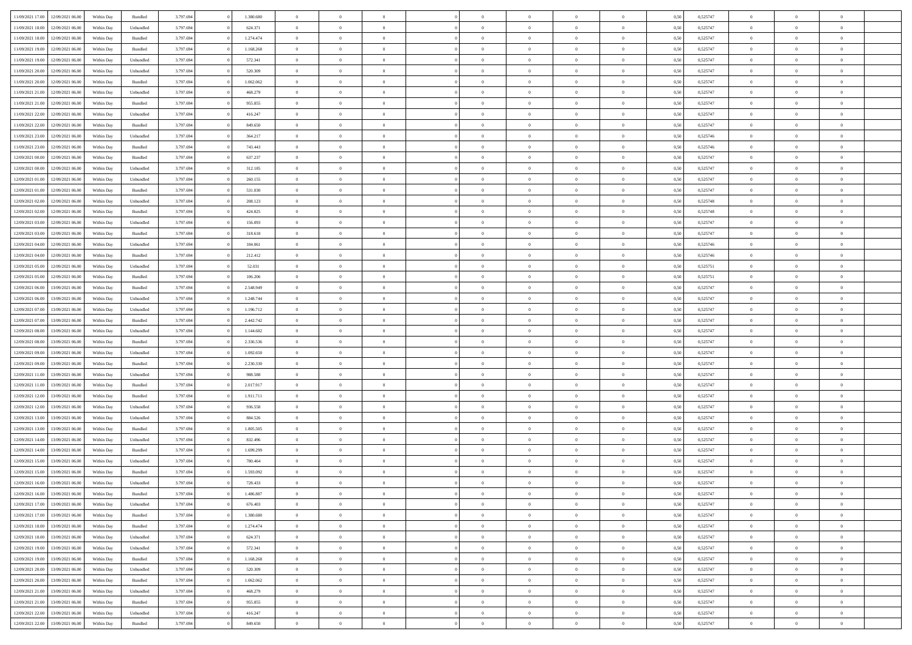| 11/09/2021 17:00                  | 12/09/2021 06:00 | Within Day | Bundled            | 3.797.694 | 1.380.680 | $\overline{0}$ | $\Omega$       |                | $\Omega$       | $\Omega$       | $\theta$       | $\theta$       | 0,50 | 0,525747 | $\theta$       | $\theta$       | $\theta$       |  |
|-----------------------------------|------------------|------------|--------------------|-----------|-----------|----------------|----------------|----------------|----------------|----------------|----------------|----------------|------|----------|----------------|----------------|----------------|--|
|                                   |                  |            |                    |           |           |                |                |                |                |                |                |                |      |          |                |                |                |  |
| 11/09/2021 18:00                  | 12/09/2021 06:00 | Within Day | Unbundled          | 3.797.694 | 624.371   | $\overline{0}$ | $\theta$       | $\overline{0}$ | $\overline{0}$ | $\bf{0}$       | $\overline{0}$ | $\bf{0}$       | 0,50 | 0,525747 | $\theta$       | $\overline{0}$ | $\overline{0}$ |  |
| 11/09/2021 18:00                  | 12/09/2021 06:00 | Within Day | Bundled            | 3.797.694 | 1.274.474 | $\overline{0}$ | $\bf{0}$       | $\overline{0}$ | $\bf{0}$       | $\bf{0}$       | $\bf{0}$       | $\mathbf{0}$   | 0,50 | 0,525747 | $\overline{0}$ | $\overline{0}$ | $\overline{0}$ |  |
| 11/09/2021 19:00                  | 12/09/2021 06:00 | Within Dav | Bundled            | 3.797.694 | 1.168.268 | $\overline{0}$ | $\overline{0}$ | $\overline{0}$ | $\overline{0}$ | $\bf{0}$       | $\overline{0}$ | $\overline{0}$ | 0.50 | 0,525747 | $\theta$       | $\theta$       | $\overline{0}$ |  |
| 11/09/2021 19:00                  | 12/09/2021 06:00 | Within Day | Unbundled          | 3.797.694 | 572.341   | $\overline{0}$ | $\theta$       | $\overline{0}$ | $\overline{0}$ | $\bf{0}$       | $\overline{0}$ | $\bf{0}$       | 0,50 | 0,525747 | $\theta$       | $\overline{0}$ | $\overline{0}$ |  |
| 11/09/2021 20:00                  | 12/09/2021 06:00 | Within Day | Unbundled          | 3.797.694 | 520.309   | $\overline{0}$ | $\overline{0}$ | $\overline{0}$ | $\bf{0}$       | $\overline{0}$ | $\overline{0}$ | $\mathbf{0}$   | 0,50 | 0,525747 | $\overline{0}$ | $\overline{0}$ | $\bf{0}$       |  |
|                                   |                  |            |                    |           |           |                | $\overline{0}$ |                |                | $\overline{0}$ |                |                |      |          | $\theta$       | $\overline{0}$ | $\overline{0}$ |  |
| 11/09/2021 20:00                  | 12/09/2021 06:00 | Within Dav | Bundled            | 3.797.694 | 1.062.062 | $\overline{0}$ |                | $\overline{0}$ | $\overline{0}$ |                | $\overline{0}$ | $\overline{0}$ | 0.50 | 0,525747 |                |                |                |  |
| 11/09/2021 21:00                  | 12/09/2021 06:00 | Within Day | Unbundled          | 3.797.694 | 468.279   | $\overline{0}$ | $\theta$       | $\overline{0}$ | $\overline{0}$ | $\bf{0}$       | $\overline{0}$ | $\bf{0}$       | 0,50 | 0,525747 | $\theta$       | $\theta$       | $\overline{0}$ |  |
| 11/09/2021 21:00                  | 12/09/2021 06:00 | Within Day | Bundled            | 3.797.694 | 955.855   | $\overline{0}$ | $\overline{0}$ | $\overline{0}$ | $\bf{0}$       | $\bf{0}$       | $\bf{0}$       | $\bf{0}$       | 0,50 | 0,525747 | $\,0\,$        | $\overline{0}$ | $\overline{0}$ |  |
| 11/09/2021 22:00                  | 12/09/2021 06:00 | Within Dav | Unbundled          | 3.797.694 | 416.247   | $\overline{0}$ | $\overline{0}$ | $\overline{0}$ | $\overline{0}$ | $\overline{0}$ | $\overline{0}$ | $\overline{0}$ | 0.50 | 0,525747 | $\theta$       | $\overline{0}$ | $\overline{0}$ |  |
| 11/09/2021 22:00                  | 12/09/2021 06:00 | Within Day | Bundled            | 3.797.694 | 849.650   | $\overline{0}$ | $\theta$       | $\overline{0}$ | $\overline{0}$ | $\bf{0}$       | $\overline{0}$ | $\bf{0}$       | 0,50 | 0,525747 | $\,$ 0 $\,$    | $\overline{0}$ | $\overline{0}$ |  |
| 11/09/2021 23:00                  | 12/09/2021 06:00 | Within Day | Unbundled          | 3.797.694 | 364.217   | $\overline{0}$ | $\bf{0}$       | $\overline{0}$ | $\bf{0}$       | $\bf{0}$       | $\bf{0}$       | $\mathbf{0}$   | 0,50 | 0,525746 | $\overline{0}$ | $\overline{0}$ | $\bf{0}$       |  |
| 11/09/2021 23:00                  | 12/09/2021 06:00 | Within Dav | Bundled            | 3.797.694 | 743,443   | $\overline{0}$ | $\overline{0}$ | $\overline{0}$ | $\overline{0}$ | $\bf{0}$       | $\overline{0}$ | $\overline{0}$ | 0.50 | 0,525746 | $\theta$       | $\theta$       | $\overline{0}$ |  |
|                                   |                  |            |                    |           |           | $\overline{0}$ | $\theta$       | $\overline{0}$ | $\overline{0}$ | $\bf{0}$       | $\overline{0}$ |                |      |          | $\theta$       | $\overline{0}$ | $\overline{0}$ |  |
| 12/09/2021 00:00                  | 12/09/2021 06:00 | Within Day | Bundled            | 3.797.694 | 637.237   |                |                |                |                |                |                | $\bf{0}$       | 0,50 | 0,525747 |                |                |                |  |
| 12/09/2021 00:00                  | 12/09/2021 06:00 | Within Day | Unbundled          | 3.797.694 | 312.185   | $\overline{0}$ | $\overline{0}$ | $\overline{0}$ | $\bf{0}$       | $\overline{0}$ | $\overline{0}$ | $\mathbf{0}$   | 0,50 | 0,525747 | $\overline{0}$ | $\overline{0}$ | $\bf{0}$       |  |
| 12/09/2021 01:00                  | 12/09/2021 06:00 | Within Dav | Unbundled          | 3.797.694 | 260.155   | $\overline{0}$ | $\overline{0}$ | $\overline{0}$ | $\overline{0}$ | $\overline{0}$ | $\overline{0}$ | $\overline{0}$ | 0.50 | 0,525747 | $\theta$       | $\overline{0}$ | $\overline{0}$ |  |
| 12/09/2021 01:00                  | 12/09/2021 06:00 | Within Day | Bundled            | 3.797.694 | 531.030   | $\overline{0}$ | $\theta$       | $\overline{0}$ | $\overline{0}$ | $\bf{0}$       | $\overline{0}$ | $\bf{0}$       | 0,50 | 0,525747 | $\theta$       | $\theta$       | $\overline{0}$ |  |
| 12/09/2021 02:00                  | 12/09/2021 06:00 | Within Day | Unbundled          | 3.797.694 | 208.123   | $\overline{0}$ | $\overline{0}$ | $\overline{0}$ | $\overline{0}$ | $\bf{0}$       | $\overline{0}$ | $\bf{0}$       | 0,50 | 0,525748 | $\bf{0}$       | $\overline{0}$ | $\overline{0}$ |  |
| 12/09/2021 02:00                  | 12/09/2021 06:00 | Within Dav | Bundled            | 3.797.694 | 424.825   | $\overline{0}$ | $\overline{0}$ | $\overline{0}$ | $\overline{0}$ | $\overline{0}$ | $\overline{0}$ | $\overline{0}$ | 0.50 | 0,525748 | $\theta$       | $\overline{0}$ | $\overline{0}$ |  |
| 12/09/2021 03:00                  | 12/09/2021 06:00 | Within Day | Unbundled          | 3.797.694 | 156.093   | $\overline{0}$ | $\theta$       | $\overline{0}$ | $\overline{0}$ | $\bf{0}$       | $\overline{0}$ | $\bf{0}$       | 0,50 | 0,525747 | $\,$ 0 $\,$    | $\overline{0}$ | $\overline{0}$ |  |
|                                   |                  |            |                    |           |           |                |                |                |                |                |                |                |      |          |                |                |                |  |
| 12/09/2021 03:00                  | 12/09/2021 06:00 | Within Day | Bundled            | 3.797.694 | 318.618   | $\overline{0}$ | $\overline{0}$ | $\overline{0}$ | $\overline{0}$ | $\bf{0}$       | $\overline{0}$ | $\bf{0}$       | 0,50 | 0,525747 | $\overline{0}$ | $\overline{0}$ | $\bf{0}$       |  |
| 12/09/2021 04:00                  | 12/09/2021 06:00 | Within Day | Unbundled          | 3.797.694 | 104.061   | $\overline{0}$ | $\overline{0}$ | $\overline{0}$ | $\overline{0}$ | $\bf{0}$       | $\overline{0}$ | $\overline{0}$ | 0.50 | 0,525746 | $\theta$       | $\overline{0}$ | $\overline{0}$ |  |
| 12/09/2021 04:00                  | 12/09/2021 06:00 | Within Day | Bundled            | 3.797.694 | 212.412   | $\overline{0}$ | $\theta$       | $\overline{0}$ | $\overline{0}$ | $\bf{0}$       | $\overline{0}$ | $\bf{0}$       | 0,50 | 0,525746 | $\,$ 0 $\,$    | $\overline{0}$ | $\overline{0}$ |  |
| 12/09/2021 05:00                  | 12/09/2021 06:00 | Within Day | Unbundled          | 3.797.694 | 52.031    | $\overline{0}$ | $\overline{0}$ | $\overline{0}$ | $\overline{0}$ | $\overline{0}$ | $\overline{0}$ | $\mathbf{0}$   | 0,50 | 0,525751 | $\overline{0}$ | $\overline{0}$ | $\bf{0}$       |  |
| 12/09/2021 05:00                  | 12/09/2021 06:00 | Within Dav | Bundled            | 3.797.694 | 106.206   | $\overline{0}$ | $\overline{0}$ | $\overline{0}$ | $\overline{0}$ | $\overline{0}$ | $\overline{0}$ | $\overline{0}$ | 0.50 | 0,525751 | $\theta$       | $\overline{0}$ | $\overline{0}$ |  |
| 12/09/2021 06:00                  | 13/09/2021 06:00 | Within Day | Bundled            | 3.797.694 | 2.548.949 | $\overline{0}$ | $\theta$       | $\overline{0}$ | $\overline{0}$ | $\bf{0}$       | $\overline{0}$ | $\bf{0}$       | 0,50 | 0,525747 | $\theta$       | $\theta$       | $\overline{0}$ |  |
| 12/09/2021 06:00                  | 13/09/2021 06:00 | Within Day | Unbundled          | 3.797.694 | 1.248.744 | $\overline{0}$ | $\overline{0}$ | $\overline{0}$ | $\overline{0}$ | $\bf{0}$       | $\overline{0}$ | $\bf{0}$       | 0,50 | 0,525747 | $\,0\,$        | $\overline{0}$ | $\overline{0}$ |  |
| 12/09/2021 07:00                  | 13/09/2021 06:00 |            | Unbundled          | 3.797.694 | 1.196.712 | $\overline{0}$ | $\overline{0}$ | $\overline{0}$ | $\overline{0}$ | $\overline{0}$ | $\overline{0}$ | $\overline{0}$ | 0.50 | 0,525747 | $\theta$       | $\overline{0}$ | $\overline{0}$ |  |
|                                   |                  | Within Day |                    |           |           |                |                |                |                |                |                |                |      |          |                |                |                |  |
| 12/09/2021 07:00                  | 13/09/2021 06:00 | Within Day | Bundled            | 3.797.694 | 2.442.742 | $\overline{0}$ | $\theta$       | $\overline{0}$ | $\overline{0}$ | $\bf{0}$       | $\overline{0}$ | $\bf{0}$       | 0,50 | 0,525747 | $\,$ 0 $\,$    | $\overline{0}$ | $\overline{0}$ |  |
| 12/09/2021 08:00                  | 13/09/2021 06:00 | Within Day | Unbundled          | 3.797.694 | 1.144.682 | $\overline{0}$ | $\overline{0}$ | $\overline{0}$ | $\overline{0}$ | $\bf{0}$       | $\overline{0}$ | $\bf{0}$       | 0,50 | 0,525747 | $\overline{0}$ | $\overline{0}$ | $\bf{0}$       |  |
| 12/09/2021 08:00                  | 13/09/2021 06:00 | Within Day | Bundled            | 3.797.694 | 2.336.536 | $\overline{0}$ | $\Omega$       | $\Omega$       | $\Omega$       | $\Omega$       | $\overline{0}$ | $\overline{0}$ | 0,50 | 0,525747 | $\,0\,$        | $\theta$       | $\theta$       |  |
| 12/09/2021 09:00                  | 13/09/2021 06:00 | Within Day | Unbundled          | 3.797.694 | 1.092.650 | $\overline{0}$ | $\theta$       | $\overline{0}$ | $\overline{0}$ | $\bf{0}$       | $\overline{0}$ | $\bf{0}$       | 0,50 | 0,525747 | $\,$ 0 $\,$    | $\overline{0}$ | $\overline{0}$ |  |
| 12/09/2021 09:00                  | 13/09/2021 06:00 | Within Day | Bundled            | 3.797.694 | 2.230.330 | $\overline{0}$ | $\overline{0}$ | $\overline{0}$ | $\bf{0}$       | $\overline{0}$ | $\overline{0}$ | $\mathbf{0}$   | 0,50 | 0,525747 | $\overline{0}$ | $\overline{0}$ | $\bf{0}$       |  |
| 12/09/2021 11:00                  | 13/09/2021 06:00 | Within Day | Unbundled          | 3.797.694 | 988,588   | $\overline{0}$ | $\Omega$       | $\Omega$       | $\Omega$       | $\bf{0}$       | $\overline{0}$ | $\overline{0}$ | 0.50 | 0,525747 | $\,0\,$        | $\theta$       | $\theta$       |  |
| 12/09/2021 11:00                  | 13/09/2021 06:00 | Within Day | Bundled            | 3.797.694 | 2.017.917 | $\overline{0}$ | $\theta$       | $\overline{0}$ | $\overline{0}$ | $\bf{0}$       | $\overline{0}$ | $\bf{0}$       | 0,50 | 0,525747 | $\,$ 0 $\,$    | $\overline{0}$ | $\overline{0}$ |  |
|                                   |                  |            |                    |           |           |                | $\overline{0}$ |                |                | $\bf{0}$       |                |                |      |          | $\bf{0}$       | $\overline{0}$ | $\bf{0}$       |  |
| 12/09/2021 12:00                  | 13/09/2021 06:00 | Within Day | Bundled            | 3.797.694 | 1.911.711 | $\overline{0}$ |                | $\overline{0}$ | $\bf{0}$       |                | $\bf{0}$       | $\bf{0}$       | 0,50 | 0,525747 |                |                |                |  |
| 12/09/2021 12:00                  | 13/09/2021 06:00 | Within Day | Unbundled          | 3.797.694 | 936,558   | $\overline{0}$ | $\Omega$       | $\Omega$       | $\Omega$       | $\theta$       | $\overline{0}$ | $\overline{0}$ | 0.50 | 0,525747 | $\,$ 0 $\,$    | $\theta$       | $\theta$       |  |
| 12/09/2021 13:00                  | 13/09/2021 06:00 | Within Day | Unbundled          | 3.797.694 | 884.526   | $\overline{0}$ | $\overline{0}$ | $\overline{0}$ | $\overline{0}$ | $\bf{0}$       | $\overline{0}$ | $\bf{0}$       | 0,50 | 0,525747 | $\,$ 0 $\,$    | $\overline{0}$ | $\overline{0}$ |  |
| 12/09/2021 13:00                  | 13/09/2021 06:00 | Within Day | Bundled            | 3.797.694 | 1.805.505 | $\overline{0}$ | $\bf{0}$       | $\overline{0}$ | $\bf{0}$       | $\bf{0}$       | $\bf{0}$       | $\bf{0}$       | 0,50 | 0,525747 | $\overline{0}$ | $\overline{0}$ | $\bf{0}$       |  |
| 12/09/2021 14:00                  | 13/09/2021 06:00 | Within Day | Unbundled          | 3.797.694 | 832.496   | $\overline{0}$ | $\Omega$       | $\overline{0}$ | $\Omega$       | $\overline{0}$ | $\overline{0}$ | $\overline{0}$ | 0,50 | 0,525747 | $\,0\,$        | $\theta$       | $\theta$       |  |
| 12/09/2021 14:00                  | 13/09/2021 06:00 | Within Day | Bundled            | 3.797.694 | 1.699.299 | $\overline{0}$ | $\overline{0}$ | $\overline{0}$ | $\overline{0}$ | $\bf{0}$       | $\overline{0}$ | $\bf{0}$       | 0,50 | 0,525747 | $\,$ 0 $\,$    | $\overline{0}$ | $\overline{0}$ |  |
| 12/09/2021 15:00                  | 13/09/2021 06:00 | Within Day | Unbundled          | 3.797.694 | 780.464   | $\overline{0}$ | $\overline{0}$ | $\overline{0}$ | $\bf{0}$       | $\bf{0}$       | $\bf{0}$       | $\mathbf{0}$   | 0,50 | 0,525747 | $\overline{0}$ | $\overline{0}$ | $\bf{0}$       |  |
| 12/09/2021 15:00                  | 13/09/2021 06:00 | Within Day | Bundled            | 3.797.694 | 1.593.092 | $\overline{0}$ | $\Omega$       | $\Omega$       | $\Omega$       | $\Omega$       | $\Omega$       | $\overline{0}$ | 0.50 | 0,525747 | $\theta$       | $\theta$       | $\theta$       |  |
| 12/09/2021 16:00                  | 13/09/2021 06:00 |            |                    | 3.797.694 | 728.433   | $\overline{0}$ | $\overline{0}$ | $\overline{0}$ | $\bf{0}$       | $\,$ 0         |                |                |      | 0,525747 | $\,0\,$        | $\,0\,$        | $\overline{0}$ |  |
|                                   |                  | Within Day | Unbundled          |           |           |                |                |                |                |                | $\bf{0}$       | $\bf{0}$       | 0,50 |          |                |                |                |  |
| 12/09/2021 16:00 13/09/2021 06:00 |                  | Within Day | $\mathbf B$ undled | 3.797.694 | 1.486.887 | $\bf{0}$       | $\bf{0}$       |                |                |                |                |                | 0,50 | 0,525747 | $\bf{0}$       | $\overline{0}$ |                |  |
| 12/09/2021 17:00                  | 13/09/2021 06:00 | Within Day | Unbundled          | 3.797.694 | 676,403   | $\overline{0}$ | $\overline{0}$ | $\overline{0}$ | $\Omega$       | $\overline{0}$ | $\overline{0}$ | $\overline{0}$ | 0,50 | 0,525747 | $\theta$       | $\theta$       | $\theta$       |  |
| 12/09/2021 17:00                  | 13/09/2021 06:00 | Within Day | Bundled            | 3.797.694 | 1.380.680 | $\overline{0}$ | $\,$ 0         | $\overline{0}$ | $\bf{0}$       | $\,$ 0 $\,$    | $\overline{0}$ | $\,$ 0 $\,$    | 0,50 | 0,525747 | $\,$ 0 $\,$    | $\,$ 0 $\,$    | $\,$ 0         |  |
| 12/09/2021 18:00                  | 13/09/2021 06:00 | Within Day | Bundled            | 3.797.694 | 1.274.474 | $\overline{0}$ | $\overline{0}$ | $\overline{0}$ | $\overline{0}$ | $\overline{0}$ | $\overline{0}$ | $\mathbf{0}$   | 0,50 | 0,525747 | $\overline{0}$ | $\bf{0}$       | $\bf{0}$       |  |
| 12/09/2021 18:00                  | 13/09/2021 06:00 | Within Day | Unbundled          | 3.797.694 | 624.371   | $\overline{0}$ | $\overline{0}$ | $\overline{0}$ | $\Omega$       | $\overline{0}$ | $\overline{0}$ | $\overline{0}$ | 0,50 | 0,525747 | $\overline{0}$ | $\theta$       | $\overline{0}$ |  |
| 12/09/2021 19:00                  | 13/09/2021 06:00 | Within Day | Unbundled          | 3.797.694 | 572.341   | $\overline{0}$ | $\,$ 0         | $\overline{0}$ | $\overline{0}$ | $\,$ 0 $\,$    | $\overline{0}$ | $\mathbf{0}$   | 0,50 | 0,525747 | $\,$ 0 $\,$    | $\overline{0}$ | $\overline{0}$ |  |
| 12/09/2021 19:00                  | 13/09/2021 06:00 | Within Day | Bundled            | 3.797.694 | 1.168.268 | $\overline{0}$ | $\overline{0}$ | $\overline{0}$ | $\overline{0}$ | $\overline{0}$ | $\overline{0}$ | $\mathbf{0}$   | 0,50 | 0,525747 | $\overline{0}$ | $\overline{0}$ | $\bf{0}$       |  |
|                                   |                  |            |                    |           |           |                |                |                |                |                |                |                |      |          |                |                |                |  |
| 12/09/2021 20:00                  | 13/09/2021 06:00 | Within Day | Unbundled          | 3.797.694 | 520.309   | $\overline{0}$ | $\overline{0}$ | $\overline{0}$ | $\Omega$       | $\overline{0}$ | $\overline{0}$ | $\bf{0}$       | 0.50 | 0,525747 | $\overline{0}$ | $\theta$       | $\overline{0}$ |  |
| 12/09/2021 20:00                  | 13/09/2021 06:00 | Within Day | Bundled            | 3.797.694 | 1.062.062 | $\overline{0}$ | $\,$ 0         | $\overline{0}$ | $\bf{0}$       | $\bf{0}$       | $\bf{0}$       | $\bf{0}$       | 0,50 | 0,525747 | $\,$ 0 $\,$    | $\overline{0}$ | $\overline{0}$ |  |
| 12/09/2021 21:00                  | 13/09/2021 06:00 | Within Day | Unbundled          | 3.797.694 | 468.279   | $\overline{0}$ | $\bf{0}$       | $\overline{0}$ | $\overline{0}$ | $\overline{0}$ | $\overline{0}$ | $\mathbf{0}$   | 0,50 | 0,525747 | $\overline{0}$ | $\overline{0}$ | $\bf{0}$       |  |
| 12/09/2021 21:00                  | 13/09/2021 06:00 | Within Day | Bundled            | 3.797.694 | 955.855   | $\overline{0}$ | $\overline{0}$ | $\overline{0}$ | $\Omega$       | $\overline{0}$ | $\overline{0}$ | $\overline{0}$ | 0.50 | 0,525747 | $\overline{0}$ | $\overline{0}$ | $\overline{0}$ |  |
| 12/09/2021 22:00                  | 13/09/2021 06:00 | Within Day | Unbundled          | 3.797.694 | 416.247   | $\overline{0}$ | $\bf{0}$       | $\overline{0}$ | $\bf{0}$       | $\bf{0}$       | $\overline{0}$ | $\mathbf{0}$   | 0,50 | 0,525747 | $\,$ 0 $\,$    | $\,$ 0 $\,$    | $\bf{0}$       |  |
| 12/09/2021 22:00 13/09/2021 06:00 |                  | Within Day | Bundled            | 3.797.694 | 849.650   | $\overline{0}$ | $\overline{0}$ | $\overline{0}$ | $\overline{0}$ | $\overline{0}$ | $\overline{0}$ | $\mathbf{0}$   | 0,50 | 0,525747 | $\overline{0}$ | $\bf{0}$       | $\bf{0}$       |  |
|                                   |                  |            |                    |           |           |                |                |                |                |                |                |                |      |          |                |                |                |  |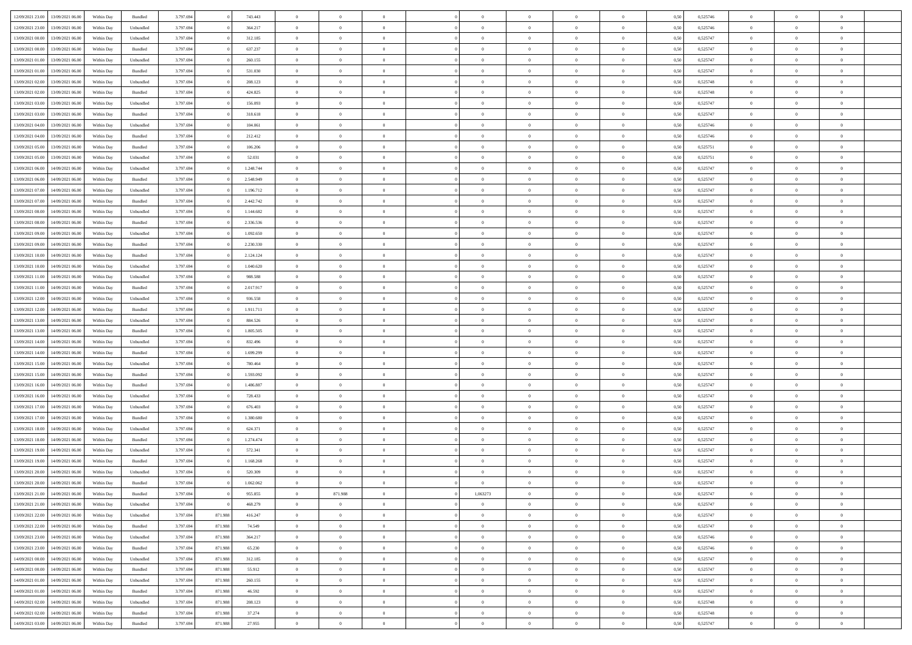| 12/09/2021 23:00 | 13/09/2021 06:00                  | Within Day | Bundled            | 3.797.694 |         | 743.443   | $\overline{0}$ | $\theta$       |                | $\overline{0}$ | $\bf{0}$       | $\overline{0}$ | $\theta$       | 0,50 | 0,525746 | $\theta$       | $\theta$       | $\theta$       |  |
|------------------|-----------------------------------|------------|--------------------|-----------|---------|-----------|----------------|----------------|----------------|----------------|----------------|----------------|----------------|------|----------|----------------|----------------|----------------|--|
|                  |                                   |            |                    |           |         |           | $\overline{0}$ |                | $\overline{0}$ |                |                |                |                |      |          |                |                | $\overline{0}$ |  |
| 12/09/2021 23:00 | 13/09/2021 06.00                  | Within Day | Unbundled          | 3.797.694 |         | 364.217   |                | $\overline{0}$ |                | $\overline{0}$ | $\bf{0}$       | $\overline{0}$ | $\bf{0}$       | 0,50 | 0,525746 | $\,$ 0 $\,$    | $\overline{0}$ |                |  |
| 13/09/2021 00:00 | 13/09/2021 06:00                  | Within Day | Unbundled          | 3.797.694 |         | 312.185   | $\overline{0}$ | $\overline{0}$ | $\overline{0}$ | $\overline{0}$ | $\bf{0}$       | $\overline{0}$ | $\mathbf{0}$   | 0.50 | 0,525747 | $\overline{0}$ | $\overline{0}$ | $\bf{0}$       |  |
| 13/09/2021 00:00 | 13/09/2021 06:00                  | Within Day | Bundled            | 3.797.694 |         | 637.237   | $\overline{0}$ | $\overline{0}$ | $\overline{0}$ | $\overline{0}$ | $\,0\,$        | $\overline{0}$ | $\overline{0}$ | 0,50 | 0,525747 | $\,$ 0 $\,$    | $\overline{0}$ | $\overline{0}$ |  |
| 13/09/2021 01:00 | 13/09/2021 06.00                  | Within Day | Unbundled          | 3.797.694 |         | 260.155   | $\overline{0}$ | $\theta$       | $\overline{0}$ | $\overline{0}$ | $\,$ 0         | $\overline{0}$ | $\bf{0}$       | 0,50 | 0,525747 | $\,$ 0 $\,$    | $\overline{0}$ | $\overline{0}$ |  |
| 13/09/2021 01:00 | 13/09/2021 06:00                  | Within Day | Bundled            | 3.797.694 |         | 531.030   | $\overline{0}$ | $\overline{0}$ | $\overline{0}$ | $\overline{0}$ | $\bf{0}$       | $\overline{0}$ | $\bf{0}$       | 0.50 | 0.525747 | $\,0\,$        | $\theta$       | $\overline{0}$ |  |
| 13/09/2021 02:00 | 13/09/2021 06:00                  | Within Day | Unbundled          | 3.797.694 |         | 208.123   | $\overline{0}$ | $\overline{0}$ | $\overline{0}$ | $\overline{0}$ | $\bf{0}$       | $\overline{0}$ | $\bf{0}$       | 0,50 | 0,525748 | $\,$ 0 $\,$    | $\overline{0}$ | $\overline{0}$ |  |
| 13/09/2021 02:00 | 13/09/2021 06.00                  | Within Day | Bundled            | 3.797.694 |         | 424.825   | $\overline{0}$ | $\overline{0}$ | $\overline{0}$ | $\overline{0}$ | $\,$ 0         | $\overline{0}$ | $\bf{0}$       | 0,50 | 0,525748 | $\,$ 0 $\,$    | $\overline{0}$ | $\overline{0}$ |  |
| 13/09/2021 03:00 | 13/09/2021 06:00                  | Within Day | Unbundled          | 3.797.694 |         | 156,093   | $\overline{0}$ | $\overline{0}$ | $\overline{0}$ | $\overline{0}$ | $\bf{0}$       | $\overline{0}$ | $\bf{0}$       | 0.50 | 0.525747 | $\bf{0}$       | $\overline{0}$ | $\bf{0}$       |  |
| 13/09/2021 03:00 | 13/09/2021 06:00                  | Within Day | Bundled            | 3.797.694 |         | 318.618   | $\overline{0}$ | $\overline{0}$ | $\overline{0}$ | $\overline{0}$ | $\bf{0}$       | $\overline{0}$ | $\bf{0}$       | 0,50 | 0,525747 | $\,$ 0 $\,$    | $\overline{0}$ | $\overline{0}$ |  |
|                  |                                   |            |                    |           |         |           |                |                |                |                |                |                |                |      |          |                |                |                |  |
| 13/09/2021 04:00 | 13/09/2021 06.00                  | Within Day | Unbundled          | 3.797.694 |         | 104.061   | $\overline{0}$ | $\overline{0}$ | $\overline{0}$ | $\overline{0}$ | $\,$ 0         | $\overline{0}$ | $\bf{0}$       | 0,50 | 0,525746 | $\,$ 0 $\,$    | $\overline{0}$ | $\overline{0}$ |  |
| 13/09/2021 04:00 | 13/09/2021 06:00                  | Within Day | Bundled            | 3.797.694 |         | 212.412   | $\overline{0}$ | $\overline{0}$ | $\overline{0}$ | $\overline{0}$ | $\bf{0}$       | $\overline{0}$ | $\mathbf{0}$   | 0.50 | 0,525746 | $\overline{0}$ | $\overline{0}$ | $\bf{0}$       |  |
| 13/09/2021 05:00 | 13/09/2021 06:00                  | Within Day | Bundled            | 3.797.694 |         | 106.206   | $\overline{0}$ | $\overline{0}$ | $\overline{0}$ | $\overline{0}$ | $\bf{0}$       | $\overline{0}$ | $\overline{0}$ | 0,50 | 0,525751 | $\,$ 0 $\,$    | $\overline{0}$ | $\overline{0}$ |  |
| 13/09/2021 05:00 | 13/09/2021 06.00                  | Within Day | Unbundled          | 3.797.694 |         | 52.031    | $\overline{0}$ | $\theta$       | $\overline{0}$ | $\overline{0}$ | $\,$ 0         | $\overline{0}$ | $\bf{0}$       | 0,50 | 0,525751 | $\,$ 0 $\,$    | $\overline{0}$ | $\overline{0}$ |  |
| 13/09/2021 06:00 | 14/09/2021 06:00                  | Within Day | Unbundled          | 3.797.694 |         | 1.248.744 | $\overline{0}$ | $\overline{0}$ | $\overline{0}$ | $\overline{0}$ | $\bf{0}$       | $\overline{0}$ | $\bf{0}$       | 0.50 | 0.525747 | $\,0\,$        | $\theta$       | $\overline{0}$ |  |
| 13/09/2021 06:00 | 14/09/2021 06:00                  | Within Day | Bundled            | 3.797.694 |         | 2.548.949 | $\overline{0}$ | $\overline{0}$ | $\overline{0}$ | $\overline{0}$ | $\bf{0}$       | $\overline{0}$ | $\bf{0}$       | 0,50 | 0,525747 | $\,$ 0 $\,$    | $\theta$       | $\overline{0}$ |  |
| 13/09/2021 07:00 | 14/09/2021 06.00                  | Within Day | Unbundled          | 3.797.694 |         | 1.196.712 | $\overline{0}$ | $\overline{0}$ | $\overline{0}$ | $\overline{0}$ | $\,$ 0         | $\bf{0}$       | $\bf{0}$       | 0,50 | 0,525747 | $\,$ 0 $\,$    | $\overline{0}$ | $\overline{0}$ |  |
| 13/09/2021 07:00 | 14/09/2021 06:00                  | Within Day | Bundled            | 3.797.694 |         | 2.442.742 | $\overline{0}$ | $\overline{0}$ | $\overline{0}$ | $\overline{0}$ | $\bf{0}$       | $\overline{0}$ | $\mathbf{0}$   | 0.50 | 0.525747 | $\bf{0}$       | $\overline{0}$ | $\bf{0}$       |  |
| 13/09/2021 08:00 | 14/09/2021 06:00                  | Within Day | Unbundled          | 3.797.694 |         | 1.144.682 | $\overline{0}$ | $\overline{0}$ | $\overline{0}$ | $\overline{0}$ | $\bf{0}$       | $\overline{0}$ | $\bf{0}$       | 0,50 | 0,525747 | $\,$ 0 $\,$    | $\overline{0}$ | $\overline{0}$ |  |
| 13/09/2021 08:00 | 14/09/2021 06.00                  | Within Day | Bundled            | 3.797.694 |         | 2.336.536 | $\overline{0}$ | $\overline{0}$ | $\overline{0}$ | $\overline{0}$ | $\bf{0}$       | $\bf{0}$       | $\bf{0}$       | 0,50 | 0,525747 | $\,$ 0 $\,$    | $\overline{0}$ | $\overline{0}$ |  |
| 13/09/2021 09:00 | 14/09/2021 06:00                  | Within Day | Unbundled          | 3.797.694 |         | 1.092.650 | $\overline{0}$ | $\overline{0}$ | $\overline{0}$ | $\overline{0}$ | $\bf{0}$       | $\overline{0}$ | $\mathbf{0}$   | 0.50 | 0,525747 | $\bf{0}$       | $\overline{0}$ | $\bf{0}$       |  |
|                  |                                   |            |                    |           |         |           |                | $\overline{0}$ |                |                |                |                |                |      |          |                |                |                |  |
| 13/09/2021 09:00 | 14/09/2021 06:00                  | Within Day | Bundled            | 3.797.694 |         | 2.230.330 | $\overline{0}$ |                | $\overline{0}$ | $\overline{0}$ | $\bf{0}$       | $\overline{0}$ | $\overline{0}$ | 0,50 | 0,525747 | $\,$ 0 $\,$    | $\overline{0}$ | $\overline{0}$ |  |
| 13/09/2021 10:00 | 14/09/2021 06.00                  | Within Day | Bundled            | 3.797.694 |         | 2.124.124 | $\overline{0}$ | $\overline{0}$ | $\overline{0}$ | $\overline{0}$ | $\,$ 0         | $\overline{0}$ | $\bf{0}$       | 0,50 | 0,525747 | $\,$ 0 $\,$    | $\overline{0}$ | $\overline{0}$ |  |
| 13/09/2021 10:00 | 14/09/2021 06:00                  | Within Day | Unbundled          | 3.797.694 |         | 1.040.620 | $\overline{0}$ | $\overline{0}$ | $\overline{0}$ | $\overline{0}$ | $\bf{0}$       | $\overline{0}$ | $\bf{0}$       | 0.50 | 0.525747 | $\,0\,$        | $\overline{0}$ | $\overline{0}$ |  |
| 13/09/2021 11:00 | 14/09/2021 06:00                  | Within Day | Unbundled          | 3.797.694 |         | 988.588   | $\overline{0}$ | $\overline{0}$ | $\overline{0}$ | $\overline{0}$ | $\,$ 0         | $\overline{0}$ | $\bf{0}$       | 0,50 | 0,525747 | $\,$ 0 $\,$    | $\theta$       | $\overline{0}$ |  |
| 13/09/2021 11:00 | 14/09/2021 06.00                  | Within Day | Bundled            | 3.797.694 |         | 2.017.917 | $\overline{0}$ | $\theta$       | $\overline{0}$ | $\overline{0}$ | $\,$ 0         | $\bf{0}$       | $\bf{0}$       | 0,50 | 0,525747 | $\,$ 0 $\,$    | $\overline{0}$ | $\overline{0}$ |  |
| 13/09/2021 12:00 | 14/09/2021 06:00                  | Within Day | Unbundled          | 3.797.694 |         | 936,558   | $\overline{0}$ | $\overline{0}$ | $\overline{0}$ | $\overline{0}$ | $\bf{0}$       | $\overline{0}$ | $\bf{0}$       | 0.50 | 0.525747 | $\bf{0}$       | $\overline{0}$ | $\bf{0}$       |  |
| 13/09/2021 12:00 | 14/09/2021 06:00                  | Within Day | Bundled            | 3.797.694 |         | 1.911.711 | $\overline{0}$ | $\overline{0}$ | $\overline{0}$ | $\overline{0}$ | $\bf{0}$       | $\overline{0}$ | $\bf{0}$       | 0,50 | 0,525747 | $\,$ 0 $\,$    | $\overline{0}$ | $\overline{0}$ |  |
| 13/09/2021 13:00 | 14/09/2021 06.00                  | Within Day | Unbundled          | 3.797.694 |         | 884.526   | $\overline{0}$ | $\overline{0}$ | $\overline{0}$ | $\overline{0}$ | $\bf{0}$       | $\bf{0}$       | $\bf{0}$       | 0,50 | 0,525747 | $\,$ 0 $\,$    | $\overline{0}$ | $\overline{0}$ |  |
| 13/09/2021 13:00 | 14/09/2021 06:00                  | Within Day | Bundled            | 3.797.694 |         | 1.805.505 | $\overline{0}$ | $\overline{0}$ | $\overline{0}$ | $\overline{0}$ | $\bf{0}$       | $\overline{0}$ | $\mathbf{0}$   | 0.50 | 0,525747 | $\,$ 0 $\,$    | $\,$ 0 $\,$    | $\bf{0}$       |  |
| 13/09/2021 14:00 | 14/09/2021 06:00                  | Within Dav | Unbundled          | 3.797.694 |         | 832.496   | $\overline{0}$ | $\overline{0}$ | $\overline{0}$ | $\overline{0}$ | $\overline{0}$ | $\overline{0}$ | $\overline{0}$ | 0.50 | 0,525747 | $\theta$       | $\overline{0}$ | $\overline{0}$ |  |
| 13/09/2021 14:00 | 14/09/2021 06.00                  | Within Day | Bundled            | 3.797.694 |         | 1.699.299 | $\overline{0}$ | $\overline{0}$ | $\overline{0}$ | $\overline{0}$ | $\,$ 0         | $\bf{0}$       | $\bf{0}$       | 0,50 | 0,525747 | $\,$ 0 $\,$    | $\overline{0}$ | $\overline{0}$ |  |
| 13/09/2021 15:00 |                                   |            |                    |           |         | 780,464   |                | $\overline{0}$ | $\overline{0}$ | $\overline{0}$ | $\bf{0}$       | $\overline{0}$ |                | 0.50 | 0.525747 | $\,0\,$        | $\theta$       | $\overline{0}$ |  |
|                  | 14/09/2021 06:00                  | Within Day | Unbundled          | 3.797.694 |         |           | $\overline{0}$ |                |                |                |                |                | $\bf{0}$       |      |          |                |                |                |  |
| 13/09/2021 15:00 | 14/09/2021 06:00                  | Within Dav | Bundled            | 3.797.694 |         | 1.593.092 | $\overline{0}$ | $\overline{0}$ | $\Omega$       | $\overline{0}$ | $\mathbf{0}$   | $\overline{0}$ | $\overline{0}$ | 0.50 | 0,525747 | $\theta$       | $\overline{0}$ | $\overline{0}$ |  |
| 13/09/2021 16:00 | 14/09/2021 06.00                  | Within Day | Bundled            | 3.797.694 |         | 1.486.887 | $\overline{0}$ | $\overline{0}$ | $\overline{0}$ | $\overline{0}$ | $\,$ 0         | $\bf{0}$       | $\bf{0}$       | 0,50 | 0,525747 | $\,$ 0 $\,$    | $\overline{0}$ | $\overline{0}$ |  |
| 13/09/2021 16:00 | 14/09/2021 06:00                  | Within Day | Unbundled          | 3.797.694 |         | 728.433   | $\overline{0}$ | $\overline{0}$ | $\overline{0}$ | $\overline{0}$ | $\bf{0}$       | $\overline{0}$ | $\mathbf{0}$   | 0.50 | 0.525747 | $\bf{0}$       | $\overline{0}$ | $\bf{0}$       |  |
| 13/09/2021 17:00 | 14/09/2021 06:00                  | Within Dav | Unbundled          | 3.797.694 |         | 676.403   | $\overline{0}$ | $\overline{0}$ | $\overline{0}$ | $\overline{0}$ | $\overline{0}$ | $\overline{0}$ | $\overline{0}$ | 0,50 | 0,525747 | $\theta$       | $\overline{0}$ | $\overline{0}$ |  |
| 13/09/2021 17:00 | 14/09/2021 06.00                  | Within Day | Bundled            | 3.797.694 |         | 1.380.680 | $\overline{0}$ | $\overline{0}$ | $\overline{0}$ | $\bf{0}$       | $\bf{0}$       | $\bf{0}$       | $\bf{0}$       | 0,50 | 0,525747 | $\,$ 0 $\,$    | $\overline{0}$ | $\overline{0}$ |  |
| 13/09/2021 18:00 | 14/09/2021 06:00                  | Within Day | Unbundled          | 3.797.694 |         | 624.371   | $\overline{0}$ | $\overline{0}$ | $\overline{0}$ | $\overline{0}$ | $\bf{0}$       | $\overline{0}$ | $\mathbf{0}$   | 0.50 | 0,525747 | $\overline{0}$ | $\overline{0}$ | $\bf{0}$       |  |
| 13/09/2021 18:00 | 14/09/2021 06:00                  | Within Dav | Bundled            | 3.797.694 |         | 1.274.474 | $\overline{0}$ | $\overline{0}$ | $\Omega$       | $\overline{0}$ | $\mathbf{0}$   | $\overline{0}$ | $\overline{0}$ | 0.50 | 0,525747 | $\theta$       | $\overline{0}$ | $\overline{0}$ |  |
| 13/09/2021 19:00 | 14/09/2021 06.00                  | Within Day | Unbundled          | 3.797.694 |         | 572.341   | $\overline{0}$ | $\overline{0}$ | $\overline{0}$ | $\overline{0}$ | $\bf{0}$       | $\overline{0}$ | $\bf{0}$       | 0,50 | 0,525747 | $\,$ 0 $\,$    | $\overline{0}$ | $\overline{0}$ |  |
| 13/09/2021 19:00 | 14/09/2021 06:00                  | Within Day | Bundled            | 3.797.694 |         | 1.168.268 | $\overline{0}$ | $\overline{0}$ | $\overline{0}$ | $\overline{0}$ | $\overline{0}$ | $\Omega$       | $\overline{0}$ | 0.50 | 0,525747 | $\,0\,$        | $\theta$       | $\overline{0}$ |  |
| 13/09/2021 20:00 | 14/09/2021 06:00                  | Within Dav | Unbundled          | 3.797.694 |         | 520.309   | $\overline{0}$ | $\theta$       | $\Omega$       | $\overline{0}$ | $\bf{0}$       | $\overline{0}$ | $\overline{0}$ | 0.50 | 0,525747 | $\theta$       | $\overline{0}$ | $\overline{0}$ |  |
| 13/09/2021 20:00 | 14/09/2021 06:00                  | Within Day | Bundled            | 3.797.694 |         | 1.062.062 | $\overline{0}$ | $\overline{0}$ | $\overline{0}$ | $\overline{0}$ | $\,$ 0         | $\overline{0}$ | $\bf{0}$       | 0,50 | 0,525747 | $\,$ 0 $\,$    | $\overline{0}$ | $\overline{0}$ |  |
| 13/09/2021 21:00 | 14/09/2021 06:00                  | Within Day | $\mathbf B$ undled | 3.797.694 |         | 955.855   |                | 871.988        |                | 1,063273       | $\bf{0}$       |                |                | 0,50 | 0,525747 | $\bf{0}$       | $\theta$       |                |  |
|                  |                                   |            |                    |           |         |           | $\bf{0}$       |                |                |                |                |                |                |      |          |                |                |                |  |
| 13/09/2021 21:00 | 14/09/2021 06:00                  | Within Day | Unbundled          | 3.797.694 |         | 468.279   | $\overline{0}$ | $\overline{0}$ | $\overline{0}$ | $\overline{0}$ | $\mathbf{0}$   | $\overline{0}$ | $\overline{0}$ | 0,50 | 0,525747 | $\theta$       | $\overline{0}$ | $\overline{0}$ |  |
| 13/09/2021 22:00 | 14/09/2021 06:00                  | Within Day | Unbundled          | 3.797.694 | 871.988 | 416.247   | $\overline{0}$ | $\overline{0}$ | $\overline{0}$ | $\overline{0}$ | $\overline{0}$ | $\overline{0}$ | $\bf{0}$       | 0,50 | 0,525747 | $\overline{0}$ | $\overline{0}$ | $\bf{0}$       |  |
| 13/09/2021 22:00 | 14/09/2021 06:00                  | Within Day | Bundled            | 3.797.694 | 871.988 | 74.549    | $\overline{0}$ | $\overline{0}$ | $\overline{0}$ | $\overline{0}$ | $\overline{0}$ | $\overline{0}$ | $\mathbf{0}$   | 0.50 | 0,525747 | $\overline{0}$ | $\bf{0}$       | $\bf{0}$       |  |
| 13/09/2021 23:00 | 14/09/2021 06:00                  | Within Day | Unbundled          | 3.797.694 | 871.988 | 364.217   | $\overline{0}$ | $\overline{0}$ | $\overline{0}$ | $\overline{0}$ | $\overline{0}$ | $\overline{0}$ | $\overline{0}$ | 0,50 | 0,525746 | $\overline{0}$ | $\theta$       | $\overline{0}$ |  |
| 13/09/2021 23:00 | 14/09/2021 06:00                  | Within Day | Bundled            | 3.797.694 | 871.988 | 65.230    | $\overline{0}$ | $\overline{0}$ | $\overline{0}$ | $\overline{0}$ | $\bf{0}$       | $\overline{0}$ | $\bf{0}$       | 0,50 | 0,525746 | $\,$ 0 $\,$    | $\overline{0}$ | $\overline{0}$ |  |
| 14/09/2021 00:00 | 14/09/2021 06:00                  | Within Day | Unbundled          | 3.797.694 | 871.988 | 312.185   | $\overline{0}$ | $\overline{0}$ | $\overline{0}$ | $\overline{0}$ | $\bf{0}$       | $\overline{0}$ | $\mathbf{0}$   | 0.50 | 0.525747 | $\,$ 0 $\,$    | $\overline{0}$ | $\overline{0}$ |  |
| 14/09/2021 00:00 | 14/09/2021 06:00                  | Within Day | Bundled            | 3.797.694 | 871.988 | 55.912    | $\overline{0}$ | $\overline{0}$ | $\overline{0}$ | $\overline{0}$ | $\overline{0}$ | $\overline{0}$ | $\overline{0}$ | 0,50 | 0,525747 | $\overline{0}$ | $\theta$       | $\overline{0}$ |  |
| 14/09/2021 01:00 | 14/09/2021 06:00                  | Within Day | Unbundled          | 3.797.694 | 871.988 | 260.155   | $\overline{0}$ | $\,$ 0         | $\overline{0}$ | $\bf{0}$       | $\,$ 0 $\,$    | $\overline{0}$ | $\bf{0}$       | 0,50 | 0,525747 | $\,$ 0 $\,$    | $\overline{0}$ | $\overline{0}$ |  |
| 14/09/2021 01:00 | 14/09/2021 06:00                  | Within Day | Bundled            | 3.797.694 | 871.988 | 46.592    | $\overline{0}$ | $\overline{0}$ | $\overline{0}$ | $\overline{0}$ | $\bf{0}$       | $\overline{0}$ | $\mathbf{0}$   | 0.50 | 0.525747 | $\mathbf{0}$   | $\bf{0}$       | $\overline{0}$ |  |
| 14/09/2021 02:00 | 14/09/2021 06:00                  | Within Day | Unbundled          | 3.797.694 | 871.988 | 208.123   | $\overline{0}$ | $\overline{0}$ | $\overline{0}$ | $\overline{0}$ | $\overline{0}$ | $\overline{0}$ | $\overline{0}$ | 0,50 | 0,525748 | $\overline{0}$ | $\overline{0}$ | $\overline{0}$ |  |
| 14/09/2021 02:00 | 14/09/2021 06:00                  | Within Day | Bundled            | 3.797.694 | 871.988 | 37.274    | $\overline{0}$ | $\bf{0}$       | $\overline{0}$ | $\bf{0}$       | $\bf{0}$       | $\bf{0}$       | $\bf{0}$       | 0,50 | 0,525748 | $\overline{0}$ | $\overline{0}$ | $\bf{0}$       |  |
|                  |                                   |            |                    |           |         |           |                |                |                |                |                |                |                |      |          |                |                |                |  |
|                  | 14/09/2021 03:00 14/09/2021 06:00 | Within Day | Bundled            | 3.797.694 | 871.988 | 27.955    | $\,$ 0 $\,$    | $\,$ 0 $\,$    | $\overline{0}$ | $\overline{0}$ | $\,$ 0 $\,$    | $\overline{0}$ | $\,$ 0 $\,$    | 0,50 | 0,525747 | $\overline{0}$ | $\,$ 0 $\,$    | $\,$ 0 $\,$    |  |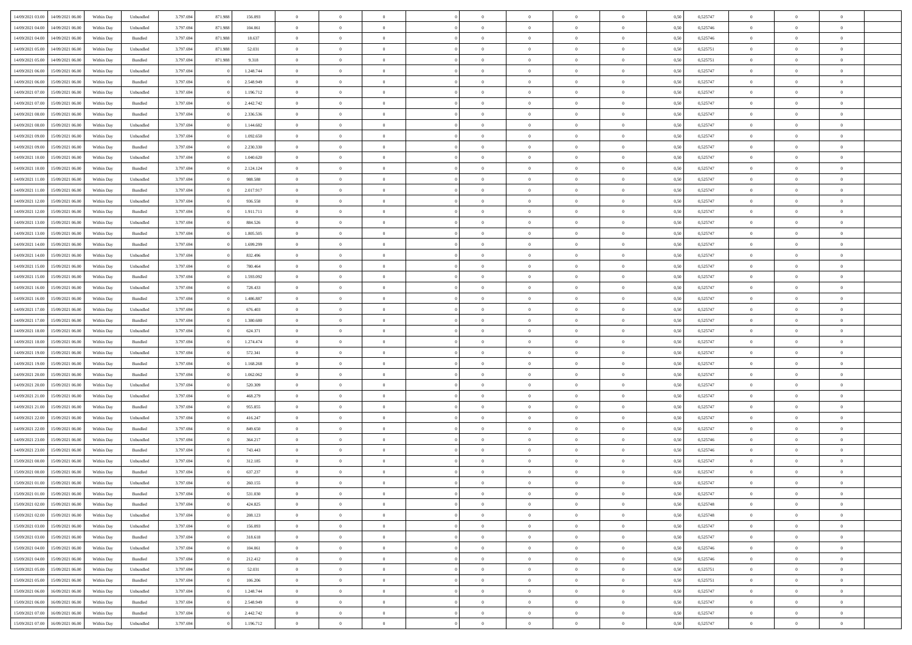| 14/09/2021 03:00 14/09/2021 06:00                | Within Day | Unbundled          | 3.797.694 | 871.988 | 156.093   | $\overline{0}$ | $\overline{0}$ |                | $\overline{0}$ | $\theta$       |                | $\theta$       | 0,50 | 0,525747 | $\theta$       | $\theta$       | $\overline{0}$ |  |
|--------------------------------------------------|------------|--------------------|-----------|---------|-----------|----------------|----------------|----------------|----------------|----------------|----------------|----------------|------|----------|----------------|----------------|----------------|--|
|                                                  |            |                    |           |         |           |                |                |                |                |                |                |                |      |          |                |                |                |  |
| 14/09/2021 04:00<br>14/09/2021 06.00             | Within Day | Unbundled          | 3.797.69  | 871.988 | 104.061   | $\bf{0}$       | $\bf{0}$       | $\bf{0}$       | $\bf{0}$       | $\overline{0}$ | $\overline{0}$ | $\bf{0}$       | 0,50 | 0,525746 | $\,$ 0 $\,$    | $\bf{0}$       | $\overline{0}$ |  |
| 14/09/2021 04:00<br>14/09/2021 06:00             | Within Day | Bundled            | 3.797.694 | 871.988 | 18.637    | $\overline{0}$ | $\bf{0}$       | $\overline{0}$ | $\bf{0}$       | $\bf{0}$       | $\overline{0}$ | $\bf{0}$       | 0.50 | 0,525746 | $\bf{0}$       | $\overline{0}$ | $\bf{0}$       |  |
| 14/09/2021 05:00<br>14/09/2021 06:00             | Within Day | Unbundled          | 3.797.694 | 871.988 | 52.031    | $\bf{0}$       | $\overline{0}$ | $\overline{0}$ | $\overline{0}$ | $\theta$       | $\overline{0}$ | $\bf{0}$       | 0,50 | 0,525751 | $\,$ 0 $\,$    | $\theta$       | $\overline{0}$ |  |
| 14/09/2021 05:00<br>14/09/2021 06.00             | Within Day | Bundled            | 3.797.69  | 871.988 | 9.318     | $\bf{0}$       | $\overline{0}$ | $\bf{0}$       | $\overline{0}$ | $\theta$       | $\overline{0}$ | $\bf{0}$       | 0,50 | 0,525751 | $\,$ 0 $\,$    | $\bf{0}$       | $\overline{0}$ |  |
| 14/09/2021 06:00<br>15/09/2021 06:00             | Within Day | Unbundled          | 3.797.694 |         | 1.248.744 | $\overline{0}$ | $\overline{0}$ | $\overline{0}$ | $\overline{0}$ | $\overline{0}$ | $\theta$       | $\bf{0}$       | 0.50 | 0.525747 | $\bf{0}$       | $\theta$       | $\overline{0}$ |  |
|                                                  |            |                    |           |         |           |                | $\overline{0}$ | $\overline{0}$ | $\overline{0}$ | $\overline{0}$ | $\overline{0}$ |                |      |          |                | $\theta$       |                |  |
| 14/09/2021 06:00<br>15/09/2021 06:00             | Within Day | Bundled            | 3.797.694 |         | 2.548.949 | $\bf{0}$       |                |                |                |                |                | $\bf{0}$       | 0,50 | 0,525747 | $\,$ 0 $\,$    |                | $\overline{0}$ |  |
| 14/09/2021 07:00<br>15/09/2021 06:00             | Within Day | Unbundled          | 3.797.694 |         | 1.196.712 | $\bf{0}$       | $\overline{0}$ | $\bf{0}$       | $\overline{0}$ | $\overline{0}$ | $\overline{0}$ | $\bf{0}$       | 0,50 | 0,525747 | $\,$ 0 $\,$    | $\bf{0}$       | $\overline{0}$ |  |
| 14/09/2021 07:00<br>15/09/2021 06:00             | Within Day | Bundled            | 3.797.694 |         | 2.442.742 | $\overline{0}$ | $\bf{0}$       | $\overline{0}$ | $\bf{0}$       | $\overline{0}$ | $\overline{0}$ | $\bf{0}$       | 0.50 | 0.525747 | $\bf{0}$       | $\overline{0}$ | $\overline{0}$ |  |
| 14/09/2021 08:00<br>15/09/2021 06:00             | Within Day | Bundled            | 3.797.694 |         | 2.336.536 | $\overline{0}$ | $\bf{0}$       | $\overline{0}$ | $\overline{0}$ | $\overline{0}$ | $\overline{0}$ | $\bf{0}$       | 0,50 | 0,525747 | $\,$ 0 $\,$    | $\bf{0}$       | $\overline{0}$ |  |
| 14/09/2021 08:00<br>15/09/2021 06:00             | Within Day | Unbundled          | 3.797.69  |         | 1.144.682 | $\bf{0}$       | $\overline{0}$ | $\bf{0}$       | $\bf{0}$       | $\bf{0}$       | $\overline{0}$ | $\bf{0}$       | 0,50 | 0,525747 | $\,$ 0 $\,$    | $\bf{0}$       | $\overline{0}$ |  |
| 14/09/2021 09:00<br>15/09/2021 06:00             | Within Day | Unbundled          | 3.797.694 |         | 1.092.650 | $\overline{0}$ | $\bf{0}$       | $\overline{0}$ | $\overline{0}$ | $\bf{0}$       | $\overline{0}$ | $\bf{0}$       | 0.50 | 0,525747 | $\bf{0}$       | $\overline{0}$ | $\bf{0}$       |  |
| 14/09/2021 09:00<br>15/09/2021 06:00             | Within Day | Bundled            | 3.797.694 |         | 2.230.330 | $\overline{0}$ | $\overline{0}$ | $\overline{0}$ | $\overline{0}$ | $\theta$       | $\overline{0}$ | $\bf{0}$       | 0,50 | 0,525747 | $\,$ 0 $\,$    | $\theta$       | $\overline{0}$ |  |
| 15/09/2021 06:00                                 | Within Day | Unbundled          | 3.797.69  |         | 1.040.620 | $\bf{0}$       | $\overline{0}$ | $\bf{0}$       | $\overline{0}$ | $\bf{0}$       | $\overline{0}$ | $\bf{0}$       | 0,50 | 0,525747 | $\,$ 0 $\,$    | $\bf{0}$       | $\overline{0}$ |  |
| 14/09/2021 10:00                                 |            |                    |           |         |           |                |                |                |                |                |                |                |      |          |                |                |                |  |
| 14/09/2021 10:00<br>15/09/2021 06:00             | Within Day | Bundled            | 3.797.694 |         | 2.124.124 | $\overline{0}$ | $\overline{0}$ | $\overline{0}$ | $\bf{0}$       | $\overline{0}$ | $\theta$       | $\bf{0}$       | 0.50 | 0.525747 | $\,$ 0 $\,$    | $\theta$       | $\overline{0}$ |  |
| 14/09/2021 11:00<br>15/09/2021 06:00             | Within Day | Unbundled          | 3.797.694 |         | 988.588   | $\overline{0}$ | $\bf{0}$       | $\overline{0}$ | $\overline{0}$ | $\overline{0}$ | $\overline{0}$ | $\bf{0}$       | 0,50 | 0,525747 | $\,$ 0 $\,$    | $\theta$       | $\overline{0}$ |  |
| 14/09/2021 11:00<br>15/09/2021 06:00             | Within Day | Bundled            | 3.797.694 |         | 2.017.917 | $\bf{0}$       | $\overline{0}$ | $\bf{0}$       | $\overline{0}$ | $\bf{0}$       | $\overline{0}$ | $\bf{0}$       | 0,50 | 0,525747 | $\,$ 0 $\,$    | $\bf{0}$       | $\overline{0}$ |  |
| 14/09/2021 12:00<br>15/09/2021 06:00             | Within Day | Unbundled          | 3.797.694 |         | 936,558   | $\overline{0}$ | $\bf{0}$       | $\overline{0}$ | $\bf{0}$       | $\bf{0}$       | $\overline{0}$ | $\bf{0}$       | 0.50 | 0.525747 | $\bf{0}$       | $\overline{0}$ | $\overline{0}$ |  |
| 14/09/2021 12:00<br>15/09/2021 06:00             | Within Day | Bundled            | 3.797.694 |         | 1.911.711 | $\bf{0}$       | $\bf{0}$       | $\overline{0}$ | $\overline{0}$ | $\overline{0}$ | $\overline{0}$ | $\bf{0}$       | 0,50 | 0,525747 | $\,$ 0 $\,$    | $\bf{0}$       | $\overline{0}$ |  |
| 14/09/2021 13:00<br>15/09/2021 06:00             | Within Day | Unbundled          | 3.797.69  |         | 884.526   | $\bf{0}$       | $\bf{0}$       | $\bf{0}$       | $\bf{0}$       | $\overline{0}$ | $\overline{0}$ | $\bf{0}$       | 0,50 | 0,525747 | $\,$ 0 $\,$    | $\bf{0}$       | $\overline{0}$ |  |
| 14/09/2021 13:00<br>15/09/2021 06:00             | Within Day | Bundled            | 3.797.694 |         | 1,805,505 | $\overline{0}$ | $\bf{0}$       | $\overline{0}$ | $\overline{0}$ | $\bf{0}$       | $\overline{0}$ | $\bf{0}$       | 0.50 | 0,525747 | $\bf{0}$       | $\overline{0}$ | $\bf{0}$       |  |
| 14/09/2021 14:00<br>15/09/2021 06:00             |            |                    | 3.797.694 |         |           | $\overline{0}$ | $\overline{0}$ | $\overline{0}$ | $\overline{0}$ | $\theta$       | $\overline{0}$ |                |      | 0,525747 | $\,$ 0 $\,$    | $\theta$       | $\overline{0}$ |  |
|                                                  | Within Day | Bundled            |           |         | 1.699.299 |                |                |                |                |                |                | $\bf{0}$       | 0,50 |          |                |                |                |  |
| 14/09/2021 14:00<br>15/09/2021 06:00             | Within Day | Unbundled          | 3.797.69  |         | 832.496   | $\bf{0}$       | $\overline{0}$ | $\bf{0}$       | $\bf{0}$       | $\overline{0}$ | $\overline{0}$ | $\bf{0}$       | 0,50 | 0,525747 | $\,$ 0 $\,$    | $\bf{0}$       | $\overline{0}$ |  |
| 14/09/2021 15:00<br>15/09/2021 06:00             | Within Day | Unbundled          | 3.797.694 |         | 780.464   | $\overline{0}$ | $\overline{0}$ | $\overline{0}$ | $\overline{0}$ | $\overline{0}$ | $\theta$       | $\bf{0}$       | 0.50 | 0.525747 | $\bf{0}$       | $\theta$       | $\overline{0}$ |  |
| 14/09/2021 15:00<br>15/09/2021 06:00             | Within Day | Bundled            | 3.797.694 |         | 1.593.092 | $\bf{0}$       | $\overline{0}$ | $\overline{0}$ | $\overline{0}$ | $\overline{0}$ | $\overline{0}$ | $\bf{0}$       | 0,50 | 0,525747 | $\,$ 0 $\,$    | $\theta$       | $\overline{0}$ |  |
| 14/09/2021 16:00<br>15/09/2021 06:00             | Within Day | Unbundled          | 3.797.694 |         | 728.433   | $\bf{0}$       | $\overline{0}$ | $\bf{0}$       | $\overline{0}$ | $\bf{0}$       | $\overline{0}$ | $\bf{0}$       | 0,50 | 0,525747 | $\,$ 0 $\,$    | $\bf{0}$       | $\overline{0}$ |  |
| 14/09/2021 16:00<br>15/09/2021 06:00             | Within Day | Bundled            | 3.797.694 |         | 1.486.887 | $\overline{0}$ | $\bf{0}$       | $\overline{0}$ | $\bf{0}$       | $\overline{0}$ | $\overline{0}$ | $\bf{0}$       | 0.50 | 0.525747 | $\bf{0}$       | $\overline{0}$ | $\overline{0}$ |  |
| 14/09/2021 17:00<br>15/09/2021 06:00             | Within Day | Unbundled          | 3.797.694 |         | 676.403   | $\bf{0}$       | $\bf{0}$       | $\overline{0}$ | $\overline{0}$ | $\overline{0}$ | $\overline{0}$ | $\bf{0}$       | 0,50 | 0,525747 | $\,$ 0 $\,$    | $\bf{0}$       | $\overline{0}$ |  |
| 14/09/2021 17:00<br>15/09/2021 06:00             | Within Day | Bundled            | 3.797.69  |         | 1.380.680 | $\bf{0}$       | $\bf{0}$       | $\bf{0}$       | $\bf{0}$       | $\overline{0}$ | $\overline{0}$ | $\bf{0}$       | 0,50 | 0,525747 | $\,$ 0 $\,$    | $\bf{0}$       | $\overline{0}$ |  |
| 14/09/2021 18:00<br>15/09/2021 06:00             | Within Day | Unbundled          | 3.797.694 |         | 624.371   | $\overline{0}$ | $\bf{0}$       | $\overline{0}$ | $\bf{0}$       | $\bf{0}$       | $\overline{0}$ | $\bf{0}$       | 0.50 | 0,525747 | $\bf{0}$       | $\overline{0}$ | $\bf{0}$       |  |
| 14/09/2021 18:00<br>15/09/2021 06:00             | Within Day | Bundled            | 3.797.694 |         | 1.274.474 | $\overline{0}$ | $\overline{0}$ | $\overline{0}$ | $\overline{0}$ | $\overline{0}$ | $\overline{0}$ | $\bf{0}$       | 0.50 | 0,525747 | $\theta$       | $\theta$       | $\overline{0}$ |  |
|                                                  |            |                    |           |         |           |                |                |                |                |                |                |                |      |          |                |                |                |  |
| 14/09/2021 19:00<br>15/09/2021 06:00             | Within Day | Unbundled          | 3.797.694 |         | 572.341   | $\bf{0}$       | $\overline{0}$ | $\bf{0}$       | $\bf{0}$       | $\overline{0}$ | $\overline{0}$ | $\bf{0}$       | 0,50 | 0,525747 | $\,$ 0 $\,$    | $\bf{0}$       | $\overline{0}$ |  |
| 14/09/2021 19:00<br>15/09/2021 06:00             | Within Day | Bundled            | 3.797.694 |         | 1.168.268 | $\overline{0}$ | $\overline{0}$ | $\overline{0}$ | $\bf{0}$       | $\overline{0}$ | $\overline{0}$ | $\bf{0}$       | 0.50 | 0.525747 | $\,$ 0 $\,$    | $\theta$       | $\overline{0}$ |  |
| 14/09/2021 20:00<br>15/09/2021 06:00             | Within Dav | Bundled            | 3.797.694 |         | 1.062.062 | $\overline{0}$ | $\overline{0}$ | $\overline{0}$ | $\overline{0}$ | $\overline{0}$ | $\overline{0}$ | $\overline{0}$ | 0.50 | 0,525747 | $\theta$       | $\theta$       | $\overline{0}$ |  |
| 14/09/2021 20:00<br>15/09/2021 06:00             | Within Day | Unbundled          | 3.797.694 |         | 520.309   | $\bf{0}$       | $\bf{0}$       | $\bf{0}$       | $\bf{0}$       | $\overline{0}$ | $\overline{0}$ | $\bf{0}$       | 0,50 | 0,525747 | $\,$ 0 $\,$    | $\bf{0}$       | $\overline{0}$ |  |
| 14/09/2021 21:00<br>15/09/2021 06:00             | Within Day | Unbundled          | 3.797.694 |         | 468,279   | $\overline{0}$ | $\bf{0}$       | $\overline{0}$ | $\bf{0}$       | $\overline{0}$ | $\overline{0}$ | $\bf{0}$       | 0.50 | 0.525747 | $\bf{0}$       | $\overline{0}$ | $\overline{0}$ |  |
| 14/09/2021 21:00<br>15/09/2021 06:00             | Within Day | Bundled            | 3.797.694 |         | 955.855   | $\overline{0}$ | $\overline{0}$ | $\overline{0}$ | $\overline{0}$ | $\overline{0}$ | $\overline{0}$ | $\overline{0}$ | 0.50 | 0,525747 | $\theta$       | $\theta$       | $\overline{0}$ |  |
| 14/09/2021 22:00<br>15/09/2021 06:00             | Within Day | Unbundled          | 3.797.694 |         | 416.247   | $\bf{0}$       | $\bf{0}$       | $\bf{0}$       | $\bf{0}$       | $\overline{0}$ | $\overline{0}$ | $\bf{0}$       | 0,50 | 0,525747 | $\,$ 0 $\,$    | $\bf{0}$       | $\overline{0}$ |  |
| 14/09/2021 22:00<br>15/09/2021 06:00             | Within Day | Bundled            | 3.797.694 |         | 849,650   | $\overline{0}$ | $\bf{0}$       | $\overline{0}$ | $\overline{0}$ | $\bf{0}$       | $\overline{0}$ | $\bf{0}$       | 0.50 | 0,525747 | $\bf{0}$       | $\overline{0}$ | $\bf{0}$       |  |
|                                                  |            |                    |           |         |           |                |                |                |                |                |                |                |      |          |                |                |                |  |
| 14/09/2021 23:00<br>15/09/2021 06:00             | Within Day | Unbundled          | 3.797.694 |         | 364.217   | $\overline{0}$ | $\overline{0}$ | $\overline{0}$ | $\overline{0}$ | $\overline{0}$ | $\overline{0}$ | $\bf{0}$       | 0.50 | 0,525746 | $\theta$       | $\theta$       | $\overline{0}$ |  |
| 14/09/2021 23:00<br>15/09/2021 06:00             | Within Day | Bundled            | 3.797.694 |         | 743.443   | $\bf{0}$       | $\bf{0}$       | $\bf{0}$       | $\bf{0}$       | $\overline{0}$ | $\overline{0}$ | $\bf{0}$       | 0,50 | 0,525746 | $\,$ 0 $\,$    | $\bf{0}$       | $\overline{0}$ |  |
| 15/09/2021 00:00<br>15/09/2021 06:00             | Within Day | Unbundled          | 3.797.694 |         | 312.185   | $\overline{0}$ | $\overline{0}$ | $\overline{0}$ | $\overline{0}$ | $\overline{0}$ | $\Omega$       | $\bf{0}$       | 0.50 | 0,525747 | $\bf{0}$       | $\theta$       | $\overline{0}$ |  |
| 15/09/2021 00:00<br>15/09/2021 06:00             | Within Dav | Bundled            | 3.797.694 |         | 637.237   | $\overline{0}$ | $\overline{0}$ | $\overline{0}$ | $\overline{0}$ | $\theta$       | $\overline{0}$ | $\overline{0}$ | 0.50 | 0,525747 | $\theta$       | $\theta$       | $\overline{0}$ |  |
| 15/09/2021 01:00<br>15/09/2021 06:00             | Within Day | Unbundled          | 3.797.694 |         | 260.155   | $\bf{0}$       | $\bf{0}$       | $\bf{0}$       | $\bf{0}$       | $\bf{0}$       | $\overline{0}$ | $\bf{0}$       | 0,50 | 0,525747 | $\,$ 0 $\,$    | $\bf{0}$       | $\overline{0}$ |  |
| $15/09/2021\;01.00\quad \  \  15/09/2021\;06.00$ | Within Day | $\mathbf B$ undled | 3.797.694 |         | 531.030   | $\overline{0}$ | $\Omega$       |                | $\Omega$       | $\theta$       |                | $^{\circ}$     | 0,50 | 0,525747 | $\bf{0}$       | $\bf{0}$       |                |  |
| 15/09/2021 02:00 15/09/2021 06:00                | Within Day | Bundled            | 3.797.694 |         | 424.825   | $\overline{0}$ | $\overline{0}$ | $\overline{0}$ | $\overline{0}$ | $\overline{0}$ | $\overline{0}$ | $\bf{0}$       | 0,50 | 0,525748 | $\theta$       | $\overline{0}$ | $\overline{0}$ |  |
| 15/09/2021 02:00<br>15/09/2021 06:00             | Within Day | Unbundled          | 3.797.694 |         | 208.123   | $\overline{0}$ | $\bf{0}$       | $\overline{0}$ | $\overline{0}$ | $\bf{0}$       | $\overline{0}$ | $\bf{0}$       | 0,50 | 0,525748 | $\bf{0}$       | $\overline{0}$ | $\bf{0}$       |  |
| 15/09/2021 03:00 15/09/2021 06:00                | Within Day | Unbundled          | 3.797.694 |         | 156.093   | $\overline{0}$ | $\overline{0}$ | $\overline{0}$ | $\overline{0}$ | $\mathbf{0}$   | $\overline{0}$ | $\,$ 0 $\,$    | 0.50 | 0,525747 | $\overline{0}$ | $\bf{0}$       | $\bf{0}$       |  |
|                                                  |            |                    |           |         |           |                |                |                |                |                |                |                |      |          |                |                |                |  |
| 15/09/2021 03:00 15/09/2021 06:00                | Within Day | Bundled            | 3.797.694 |         | 318.618   | $\overline{0}$ | $\overline{0}$ | $\overline{0}$ | $\overline{0}$ | $\overline{0}$ | $\overline{0}$ | $\bf{0}$       | 0,50 | 0,525747 | $\overline{0}$ | $\theta$       | $\overline{0}$ |  |
| 15/09/2021 04:00<br>15/09/2021 06:00             | Within Day | Unbundled          | 3.797.694 |         | 104.061   | $\overline{0}$ | $\bf{0}$       | $\overline{0}$ | $\overline{0}$ | $\bf{0}$       | $\overline{0}$ | $\bf{0}$       | 0,50 | 0,525746 | $\bf{0}$       | $\overline{0}$ | $\overline{0}$ |  |
| 15/09/2021 04:00<br>15/09/2021 06:00             | Within Day | Bundled            | 3.797.694 |         | 212.412   | $\overline{0}$ | $\bf{0}$       | $\overline{0}$ | $\overline{0}$ | $\bf{0}$       | $\overline{0}$ | $\bf{0}$       | 0.50 | 0.525746 | $\,$ 0 $\,$    | $\overline{0}$ | $\,$ 0         |  |
| 15/09/2021 05:00<br>15/09/2021 06:00             | Within Day | Unbundled          | 3.797.694 |         | 52.031    | $\overline{0}$ | $\overline{0}$ | $\overline{0}$ | $\overline{0}$ | $\overline{0}$ | $\overline{0}$ | $\bf{0}$       | 0,50 | 0,525751 | $\overline{0}$ | $\theta$       | $\overline{0}$ |  |
| 15/09/2021 06:00<br>15/09/2021 05:00             | Within Day | Bundled            | 3.797.694 |         | 106.206   | $\overline{0}$ | $\overline{0}$ | $\overline{0}$ | $\overline{0}$ | $\overline{0}$ | $\overline{0}$ | $\bf{0}$       | 0,50 | 0,525751 | $\bf{0}$       | $\overline{0}$ | $\,$ 0         |  |
| 15/09/2021 06:00<br>16/09/2021 06:00             | Within Day | Unbundled          | 3.797.694 |         | 1.248.744 | $\overline{0}$ | $\overline{0}$ | $\overline{0}$ | $\overline{0}$ | $\overline{0}$ | $\overline{0}$ | $\bf{0}$       | 0.50 | 0.525747 | $\mathbf{0}$   | $\bf{0}$       | $\,$ 0         |  |
| 15/09/2021 06:00<br>16/09/2021 06:00             | Within Day | Bundled            | 3.797.694 |         | 2.548.949 | $\overline{0}$ | $\overline{0}$ | $\overline{0}$ | $\overline{0}$ | $\overline{0}$ | $\overline{0}$ | $\bf{0}$       | 0,50 | 0,525747 | $\overline{0}$ | $\theta$       | $\overline{0}$ |  |
| 15/09/2021 07:00<br>16/09/2021 06:00             | Within Day | Bundled            | 3.797.694 |         | 2.442.742 | $\overline{0}$ | $\bf{0}$       | $\overline{0}$ | $\overline{0}$ | $\overline{0}$ | $\overline{0}$ | $\bf{0}$       | 0,50 | 0,525747 | $\bf{0}$       | $\overline{0}$ | $\bf{0}$       |  |
|                                                  |            |                    |           |         |           |                |                |                |                |                |                |                |      |          |                |                |                |  |
| 15/09/2021 07:00 16/09/2021 06:00                | Within Day | ${\sf Unbundred}$  | 3.797.694 |         | 1.196.712 | $\,$ 0 $\,$    | $\bf{0}$       | $\overline{0}$ | $\overline{0}$ | $\,$ 0 $\,$    | $\,$ 0 $\,$    | $\,$ 0 $\,$    | 0,50 | 0,525747 | $\,$ 0 $\,$    | $\,$ 0 $\,$    | $\,$ 0 $\,$    |  |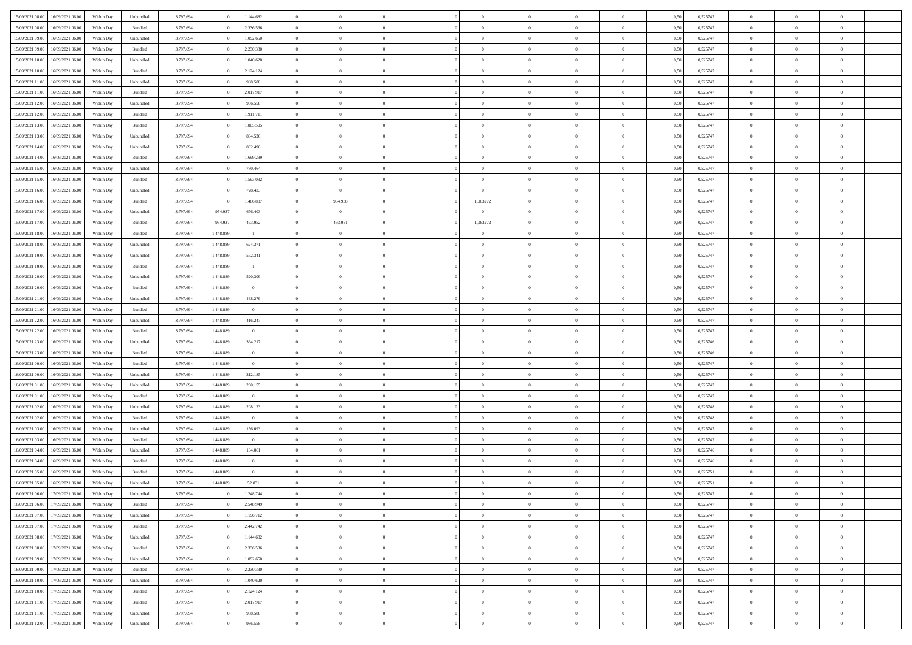| 15/09/2021 08:00 | 16/09/2021 06:00                  | Within Day | Unbundled          | 3.797.694 |           | 1.144.682      | $\overline{0}$ | $\theta$       |                | $\Omega$       | $\Omega$       | $\overline{0}$ | $\theta$       | 0,50 | 0,525747 | $\theta$       | $\overline{0}$ | $\theta$       |  |
|------------------|-----------------------------------|------------|--------------------|-----------|-----------|----------------|----------------|----------------|----------------|----------------|----------------|----------------|----------------|------|----------|----------------|----------------|----------------|--|
|                  |                                   |            |                    |           |           |                |                |                |                |                |                |                |                |      |          |                |                |                |  |
| 15/09/2021 08:00 | 16/09/2021 06:00                  | Within Day | Bundled            | 3.797.694 |           | 2.336.536      | $\overline{0}$ | $\overline{0}$ | $\overline{0}$ | $\overline{0}$ | $\bf{0}$       | $\overline{0}$ | $\,$ 0 $\,$    | 0,50 | 0,525747 | $\theta$       | $\overline{0}$ | $\overline{0}$ |  |
| 15/09/2021 09:00 | 16/09/2021 06:00                  | Within Day | Unbundled          | 3.797.694 |           | 1.092.650      | $\overline{0}$ | $\bf{0}$       | $\overline{0}$ | $\overline{0}$ | $\bf{0}$       | $\overline{0}$ | $\mathbf{0}$   | 0,50 | 0,525747 | $\overline{0}$ | $\overline{0}$ | $\overline{0}$ |  |
| 15/09/2021 09:00 | 16/09/2021 06:00                  | Within Dav | Bundled            | 3.797.694 |           | 2.230.330      | $\overline{0}$ | $\overline{0}$ | $\overline{0}$ | $\overline{0}$ | $\bf{0}$       | $\overline{0}$ | $\overline{0}$ | 0.50 | 0,525747 | $\theta$       | $\theta$       | $\overline{0}$ |  |
| 15/09/2021 10:00 | 16/09/2021 06:00                  | Within Day | Unbundled          | 3.797.694 |           | 1.040.620      | $\overline{0}$ | $\theta$       | $\overline{0}$ | $\overline{0}$ | $\bf{0}$       | $\overline{0}$ | $\bf{0}$       | 0,50 | 0,525747 | $\theta$       | $\overline{0}$ | $\overline{0}$ |  |
| 15/09/2021 10:00 | 16/09/2021 06:00                  | Within Day | Bundled            | 3.797.694 |           | 2.124.124      | $\overline{0}$ | $\overline{0}$ | $\overline{0}$ | $\overline{0}$ | $\overline{0}$ | $\overline{0}$ | $\mathbf{0}$   | 0,50 | 0,525747 | $\overline{0}$ | $\overline{0}$ | $\bf{0}$       |  |
|                  |                                   |            |                    |           |           |                |                | $\overline{0}$ |                |                | $\overline{0}$ |                |                |      |          | $\theta$       | $\overline{0}$ | $\overline{0}$ |  |
| 15/09/2021 11:00 | 16/09/2021 06:00                  | Within Dav | Unbundled          | 3.797.694 |           | 988.588        | $\overline{0}$ |                | $\overline{0}$ | $\overline{0}$ |                | $\overline{0}$ | $\overline{0}$ | 0.50 | 0,525747 |                |                |                |  |
| 15/09/2021 11:00 | 16/09/2021 06:00                  | Within Day | Bundled            | 3.797.694 |           | 2.017.917      | $\overline{0}$ | $\theta$       | $\overline{0}$ | $\overline{0}$ | $\bf{0}$       | $\overline{0}$ | $\bf{0}$       | 0,50 | 0,525747 | $\theta$       | $\theta$       | $\overline{0}$ |  |
| 15/09/2021 12:00 | 16/09/2021 06:00                  | Within Day | Unbundled          | 3.797.694 |           | 936.558        | $\overline{0}$ | $\overline{0}$ | $\overline{0}$ | $\overline{0}$ | $\bf{0}$       | $\overline{0}$ | $\bf{0}$       | 0,50 | 0,525747 | $\,0\,$        | $\overline{0}$ | $\overline{0}$ |  |
| 15/09/2021 12:00 | 16/09/2021 06:00                  | Within Dav | Bundled            | 3.797.694 |           | 1.911.711      | $\overline{0}$ | $\overline{0}$ | $\overline{0}$ | $\overline{0}$ | $\overline{0}$ | $\overline{0}$ | $\overline{0}$ | 0.50 | 0,525747 | $\theta$       | $\overline{0}$ | $\overline{0}$ |  |
| 15/09/2021 13:00 | 16/09/2021 06:00                  | Within Day | Bundled            | 3.797.694 |           | 1.805.505      | $\overline{0}$ | $\theta$       | $\overline{0}$ | $\overline{0}$ | $\bf{0}$       | $\overline{0}$ | $\bf{0}$       | 0,50 | 0,525747 | $\,$ 0 $\,$    | $\overline{0}$ | $\overline{0}$ |  |
| 15/09/2021 13:00 | 16/09/2021 06:00                  | Within Day | Unbundled          | 3.797.694 |           | 884.526        | $\overline{0}$ | $\overline{0}$ | $\overline{0}$ | $\bf{0}$       | $\bf{0}$       | $\bf{0}$       | $\mathbf{0}$   | 0,50 | 0,525747 | $\overline{0}$ | $\overline{0}$ | $\bf{0}$       |  |
| 15/09/2021 14:00 | 16/09/2021 06:00                  | Within Dav | Unbundled          | 3.797.694 |           | 832.496        | $\overline{0}$ | $\overline{0}$ | $\overline{0}$ | $\overline{0}$ | $\bf{0}$       | $\overline{0}$ | $\overline{0}$ | 0.50 | 0,525747 | $\theta$       | $\overline{0}$ | $\overline{0}$ |  |
|                  |                                   |            |                    |           |           |                | $\overline{0}$ | $\theta$       | $\overline{0}$ | $\overline{0}$ | $\bf{0}$       | $\overline{0}$ |                |      |          | $\theta$       | $\overline{0}$ | $\overline{0}$ |  |
| 15/09/2021 14:00 | 16/09/2021 06:00                  | Within Day | Bundled            | 3.797.694 |           | 1.699.299      |                |                |                |                |                |                | $\bf{0}$       | 0,50 | 0,525747 |                |                |                |  |
| 15/09/2021 15:00 | 16/09/2021 06:00                  | Within Day | Unbundled          | 3.797.694 |           | 780.464        | $\overline{0}$ | $\overline{0}$ | $\overline{0}$ | $\bf{0}$       | $\overline{0}$ | $\overline{0}$ | $\mathbf{0}$   | 0,50 | 0,525747 | $\overline{0}$ | $\overline{0}$ | $\bf{0}$       |  |
| 15/09/2021 15:00 | 16/09/2021 06:00                  | Within Dav | Bundled            | 3.797.694 |           | 1.593.092      | $\overline{0}$ | $\overline{0}$ | $\overline{0}$ | $\overline{0}$ | $\overline{0}$ | $\overline{0}$ | $\overline{0}$ | 0.50 | 0,525747 | $\theta$       | $\overline{0}$ | $\overline{0}$ |  |
| 15/09/2021 16:00 | 16/09/2021 06:00                  | Within Day | Unbundled          | 3.797.694 |           | 728.433        | $\overline{0}$ | $\overline{0}$ | $\overline{0}$ | $\overline{0}$ | $\bf{0}$       | $\overline{0}$ | $\bf{0}$       | 0,50 | 0,525747 | $\theta$       | $\theta$       | $\overline{0}$ |  |
| 15/09/2021 16:00 | 16/09/2021 06:00                  | Within Day | Bundled            | 3.797.694 |           | 1.486.887      | $\overline{0}$ | 954.938        | $\overline{0}$ | 1,063272       | $\bf{0}$       | $\bf{0}$       | $\mathbf{0}$   | 0,50 | 0,525747 | $\bf{0}$       | $\overline{0}$ | $\overline{0}$ |  |
| 15/09/2021 17:00 | 16/09/2021 06:00                  | Within Dav | Unbundled          | 3.797.694 | 954.93    | 676,403        | $\overline{0}$ | $\overline{0}$ | $\overline{0}$ | $\overline{0}$ | $\overline{0}$ | $\overline{0}$ | $\overline{0}$ | 0.50 | 0,525747 | $\theta$       | $\overline{0}$ | $\overline{0}$ |  |
| 15/09/2021 17:00 | 16/09/2021 06:00                  | Within Day | Bundled            | 3.797.694 | 954.937   | 493.952        | $\overline{0}$ | 493.951        | $\overline{0}$ | 1,063272       | $\bf{0}$       | $\overline{0}$ | $\bf{0}$       | 0,50 | 0,525747 | $\,$ 0 $\,$    | $\overline{0}$ | $\overline{0}$ |  |
|                  |                                   |            |                    |           |           |                |                |                |                |                |                |                |                |      |          |                |                |                |  |
| 15/09/2021 18:00 | 16/09/2021 06:00                  | Within Day | Bundled            | 3.797.694 | 1.448.889 | $\mathbf{1}$   | $\overline{0}$ | $\overline{0}$ | $\overline{0}$ | $\bf{0}$       | $\bf{0}$       | $\bf{0}$       | $\bf{0}$       | 0,50 | 0,525747 | $\bf{0}$       | $\overline{0}$ | $\bf{0}$       |  |
| 15/09/2021 18:00 | 16/09/2021 06:00                  | Within Day | Unbundled          | 3.797.694 | 1.448.889 | 624.371        | $\overline{0}$ | $\overline{0}$ | $\overline{0}$ | $\overline{0}$ | $\overline{0}$ | $\overline{0}$ | $\overline{0}$ | 0.50 | 0,525747 | $\theta$       | $\overline{0}$ | $\overline{0}$ |  |
| 15/09/2021 19:00 | 16/09/2021 06:00                  | Within Day | Unbundled          | 3.797.694 | 1.448.889 | 572.341        | $\overline{0}$ | $\overline{0}$ | $\overline{0}$ | $\overline{0}$ | $\bf{0}$       | $\overline{0}$ | $\,$ 0 $\,$    | 0,50 | 0,525747 | $\,$ 0 $\,$    | $\overline{0}$ | $\overline{0}$ |  |
| 15/09/2021 19:00 | 16/09/2021 06:00                  | Within Day | Bundled            | 3.797.694 | 1.448.889 | $\mathbf{1}$   | $\overline{0}$ | $\overline{0}$ | $\overline{0}$ | $\bf{0}$       | $\overline{0}$ | $\overline{0}$ | $\mathbf{0}$   | 0,50 | 0,525747 | $\bf{0}$       | $\overline{0}$ | $\bf{0}$       |  |
| 15/09/2021 20:00 | 16/09/2021 06:00                  | Within Dav | Unbundled          | 3.797.694 | 1.448.889 | 520.309        | $\overline{0}$ | $\overline{0}$ | $\overline{0}$ | $\overline{0}$ | $\overline{0}$ | $\overline{0}$ | $\overline{0}$ | 0.50 | 0,525747 | $\theta$       | $\overline{0}$ | $\overline{0}$ |  |
| 15/09/2021 20:00 | 16/09/2021 06:00                  | Within Day | Bundled            | 3.797.694 | 1.448.889 | $\overline{0}$ | $\overline{0}$ | $\theta$       | $\overline{0}$ | $\overline{0}$ | $\bf{0}$       | $\overline{0}$ | $\bf{0}$       | 0,50 | 0,525747 | $\theta$       | $\theta$       | $\overline{0}$ |  |
| 15/09/2021 21.00 | 16/09/2021 06:00                  | Within Day | Unbundled          | 3.797.694 | 1.448.889 | 468.279        | $\overline{0}$ | $\overline{0}$ | $\overline{0}$ | $\bf{0}$       | $\bf{0}$       | $\bf{0}$       | $\bf{0}$       | 0,50 | 0,525747 | $\,0\,$        | $\overline{0}$ | $\overline{0}$ |  |
| 15/09/2021 21:00 | 16/09/2021 06:00                  |            | Bundled            | 3.797.694 | 1.448.889 | $\overline{0}$ | $\overline{0}$ | $\overline{0}$ | $\overline{0}$ | $\overline{0}$ | $\overline{0}$ | $\overline{0}$ | $\overline{0}$ | 0.50 | 0,525747 | $\theta$       | $\overline{0}$ | $\overline{0}$ |  |
|                  |                                   | Within Day |                    |           |           |                |                |                |                |                |                |                |                |      |          |                |                |                |  |
| 15/09/2021 22:00 | 16/09/2021 06:00                  | Within Day | Unbundled          | 3.797.694 | 1.448.889 | 416.247        | $\overline{0}$ | $\overline{0}$ | $\overline{0}$ | $\overline{0}$ | $\bf{0}$       | $\overline{0}$ | $\bf{0}$       | 0,50 | 0,525747 | $\,$ 0 $\,$    | $\overline{0}$ | $\overline{0}$ |  |
| 15/09/2021 22.00 | 16/09/2021 06:00                  | Within Day | Bundled            | 3.797.694 | 1.448.889 | $\overline{0}$ | $\overline{0}$ | $\overline{0}$ | $\overline{0}$ | $\bf{0}$       | $\bf{0}$       | $\bf{0}$       | $\bf{0}$       | 0,50 | 0,525747 | $\bf{0}$       | $\overline{0}$ | $\bf{0}$       |  |
| 15/09/2021 23:00 | 16/09/2021 06:00                  | Within Day | Unbundled          | 3.797.694 | 1.448.889 | 364.217        | $\overline{0}$ | $\Omega$       | $\overline{0}$ | $\Omega$       | $\Omega$       | $\overline{0}$ | $\overline{0}$ | 0,50 | 0,525746 | $\,0\,$        | $\theta$       | $\theta$       |  |
| 15/09/2021 23:00 | 16/09/2021 06:00                  | Within Day | Bundled            | 3.797.694 | 1.448.889 | $\theta$       | $\overline{0}$ | $\overline{0}$ | $\overline{0}$ | $\overline{0}$ | $\bf{0}$       | $\overline{0}$ | $\bf{0}$       | 0,50 | 0,525746 | $\,$ 0 $\,$    | $\overline{0}$ | $\overline{0}$ |  |
| 16/09/2021 00:00 | 16/09/2021 06:00                  | Within Day | Bundled            | 3.797.694 | 1.448.889 | $\overline{0}$ | $\overline{0}$ | $\overline{0}$ | $\overline{0}$ | $\bf{0}$       | $\bf{0}$       | $\overline{0}$ | $\mathbf{0}$   | 0,50 | 0,525747 | $\bf{0}$       | $\overline{0}$ | $\bf{0}$       |  |
| 16/09/2021 00:00 | 16/09/2021 06:00                  | Within Day | Unbundled          | 3.797.694 | 1.448.889 | 312.185        | $\overline{0}$ | $\overline{0}$ | $\Omega$       | $\Omega$       | $\bf{0}$       | $\overline{0}$ | $\overline{0}$ | 0.50 | 0,525747 | $\,$ 0 $\,$    | $\theta$       | $\theta$       |  |
| 16/09/2021 01:00 | 16/09/2021 06:00                  | Within Day | Unbundled          | 3.797.694 | 1.448.889 | 260.155        | $\overline{0}$ | $\theta$       | $\overline{0}$ | $\overline{0}$ | $\bf{0}$       | $\overline{0}$ | $\bf{0}$       | 0,50 | 0,525747 | $\,$ 0 $\,$    | $\overline{0}$ | $\overline{0}$ |  |
|                  |                                   |            |                    |           |           |                |                |                |                |                |                |                |                |      |          |                |                |                |  |
| 16/09/2021 01:00 | 16/09/2021 06:00                  | Within Day | Bundled            | 3.797.694 | 1.448.889 | $\overline{0}$ | $\overline{0}$ | $\bf{0}$       | $\overline{0}$ | $\bf{0}$       | $\bf{0}$       | $\bf{0}$       | $\bf{0}$       | 0,50 | 0,525747 | $\bf{0}$       | $\overline{0}$ | $\bf{0}$       |  |
| 16/09/2021 02:00 | 16/09/2021 06:00                  | Within Day | Unbundled          | 3.797.694 | 1.448.889 | 208.123        | $\overline{0}$ | $\Omega$       | $\overline{0}$ | $\Omega$       | $\overline{0}$ | $\overline{0}$ | $\overline{0}$ | 0.50 | 0,525748 | $\,$ 0 $\,$    | $\theta$       | $\theta$       |  |
| 16/09/2021 02:00 | 16/09/2021 06:00                  | Within Day | Bundled            | 3.797.694 | 1.448.889 | $\overline{0}$ | $\overline{0}$ | $\overline{0}$ | $\overline{0}$ | $\overline{0}$ | $\bf{0}$       | $\overline{0}$ | $\bf{0}$       | 0,50 | 0,525748 | $\,$ 0 $\,$    | $\overline{0}$ | $\overline{0}$ |  |
| 16/09/2021 03:00 | 16/09/2021 06:00                  | Within Day | Unbundled          | 3.797.694 | 1.448.889 | 156.093        | $\overline{0}$ | $\overline{0}$ | $\overline{0}$ | $\bf{0}$       | $\bf{0}$       | $\bf{0}$       | $\bf{0}$       | 0,50 | 0,525747 | $\bf{0}$       | $\overline{0}$ | $\bf{0}$       |  |
| 16/09/2021 03:00 | 16/09/2021 06:00                  | Within Day | $\mathbf B$ undled | 3.797.694 | 1.448.889 | $\overline{0}$ | $\overline{0}$ | $\Omega$       | $\overline{0}$ | $\Omega$       | $\bf{0}$       | $\overline{0}$ | $\overline{0}$ | 0,50 | 0,525747 | $\,0\,$        | $\theta$       | $\theta$       |  |
| 16/09/2021 04:00 | 16/09/2021 06:00                  | Within Day | Unbundled          | 3.797.694 | 1.448.889 | 104.061        | $\overline{0}$ | $\overline{0}$ | $\overline{0}$ | $\overline{0}$ | $\bf{0}$       | $\overline{0}$ | $\bf{0}$       | 0,50 | 0,525746 | $\,$ 0 $\,$    | $\overline{0}$ | $\overline{0}$ |  |
| 16/09/2021 04:00 | 16/09/2021 06:00                  | Within Day | Bundled            | 3.797.694 | 1.448.889 | $\overline{0}$ | $\overline{0}$ | $\overline{0}$ | $\overline{0}$ | $\bf{0}$       | $\bf{0}$       | $\bf{0}$       | $\mathbf{0}$   | 0,50 | 0,525746 | $\overline{0}$ | $\overline{0}$ | $\bf{0}$       |  |
|                  | 16/09/2021 06:00                  |            |                    |           | 1.448.889 | $\overline{0}$ | $\overline{0}$ | $\Omega$       | $\Omega$       | $\Omega$       | $\Omega$       | $\Omega$       | $\overline{0}$ | 0.50 |          | $\theta$       | $\theta$       | $\theta$       |  |
| 16/09/2021 05:00 |                                   | Within Day | Bundled            | 3.797.694 |           |                |                |                |                |                |                |                |                |      | 0,525751 |                |                |                |  |
| 16/09/2021 05:00 | 16/09/2021 06:00                  | Within Day | Unbundled          | 3.797.694 | 1.448.889 | 52.031         | $\overline{0}$ | $\bf{0}$       | $\overline{0}$ | $\bf{0}$       | $\,$ 0         | $\bf{0}$       | $\bf{0}$       | 0,50 | 0,525751 | $\,0\,$        | $\,$ 0 $\,$    | $\overline{0}$ |  |
|                  | 16/09/2021 06:00 17/09/2021 06:00 | Within Day | Unbundled          | 3.797.694 |           | 1.248.744      | $\bf{0}$       | $\bf{0}$       |                |                |                |                |                | 0,50 | 0,525747 | $\bf{0}$       | $\overline{0}$ |                |  |
| 16/09/2021 06:00 | 17/09/2021 06:00                  | Within Day | Bundled            | 3.797.694 |           | 2.548.949      | $\overline{0}$ | $\Omega$       | $\overline{0}$ | $\Omega$       | $\theta$       | $\overline{0}$ | $\overline{0}$ | 0.50 | 0,525747 | $\theta$       | $\theta$       | $\theta$       |  |
| 16/09/2021 07:00 | 17/09/2021 06:00                  | Within Day | Unbundled          | 3.797.694 |           | 1.196.712      | $\overline{0}$ | $\,$ 0         | $\overline{0}$ | $\bf{0}$       | $\,$ 0 $\,$    | $\overline{0}$ | $\mathbf{0}$   | 0,50 | 0,525747 | $\,$ 0 $\,$    | $\,$ 0 $\,$    | $\,$ 0         |  |
| 16/09/2021 07:00 | 17/09/2021 06:00                  | Within Day | Bundled            | 3.797.694 |           | 2.442.742      | $\overline{0}$ | $\overline{0}$ | $\overline{0}$ | $\overline{0}$ | $\overline{0}$ | $\overline{0}$ | $\mathbf{0}$   | 0,50 | 0,525747 | $\overline{0}$ | $\bf{0}$       | $\bf{0}$       |  |
| 16/09/2021 08:00 | 17/09/2021 06:00                  | Within Day | Unbundled          | 3.797.694 |           | 1.144.682      | $\overline{0}$ | $\theta$       | $\overline{0}$ | $\Omega$       | $\overline{0}$ | $\overline{0}$ | $\bf{0}$       | 0,50 | 0,525747 | $\overline{0}$ | $\theta$       | $\overline{0}$ |  |
| 16/09/2021 08:00 | 17/09/2021 06:00                  | Within Day | Bundled            | 3.797.694 |           | 2.336.536      | $\overline{0}$ | $\,$ 0         | $\overline{0}$ | $\overline{0}$ | $\overline{0}$ | $\overline{0}$ | $\bf{0}$       | 0,50 | 0,525747 | $\,$ 0 $\,$    | $\overline{0}$ | $\overline{0}$ |  |
|                  |                                   |            |                    |           |           |                |                |                |                |                |                |                |                |      |          |                |                |                |  |
| 16/09/2021 09:00 | 17/09/2021 06:00                  | Within Day | Unbundled          | 3.797.694 |           | 1.092.650      | $\overline{0}$ | $\overline{0}$ | $\overline{0}$ | $\overline{0}$ | $\overline{0}$ | $\overline{0}$ | $\mathbf{0}$   | 0,50 | 0,525747 | $\overline{0}$ | $\bf{0}$       | $\bf{0}$       |  |
| 16/09/2021 09:00 | 17/09/2021 06:00                  | Within Day | Bundled            | 3.797.694 |           | 2.230.330      | $\overline{0}$ | $\overline{0}$ | $\overline{0}$ | $\Omega$       | $\overline{0}$ | $\overline{0}$ | $\bf{0}$       | 0.50 | 0,525747 | $\overline{0}$ | $\theta$       | $\overline{0}$ |  |
| 16/09/2021 10:00 | 17/09/2021 06:00                  | Within Day | Unbundled          | 3.797.694 |           | 1.040.620      | $\overline{0}$ | $\,$ 0         | $\overline{0}$ | $\overline{0}$ | $\bf{0}$       | $\bf{0}$       | $\bf{0}$       | 0,50 | 0,525747 | $\,$ 0 $\,$    | $\overline{0}$ | $\overline{0}$ |  |
| 16/09/2021 10:00 | 17/09/2021 06:00                  | Within Day | Bundled            | 3.797.694 |           | 2.124.124      | $\overline{0}$ | $\bf{0}$       | $\overline{0}$ | $\overline{0}$ | $\overline{0}$ | $\bf{0}$       | $\mathbf{0}$   | 0,50 | 0,525747 | $\overline{0}$ | $\overline{0}$ | $\bf{0}$       |  |
| 16/09/2021 11:00 | 17/09/2021 06:00                  | Within Day | Bundled            | 3.797.694 |           | 2.017.917      | $\overline{0}$ | $\overline{0}$ | $\overline{0}$ | $\Omega$       | $\overline{0}$ | $\overline{0}$ | $\bf{0}$       | 0.50 | 0,525747 | $\overline{0}$ | $\theta$       | $\overline{0}$ |  |
| 16/09/2021 11:00 | 17/09/2021 06:00                  | Within Day | Unbundled          | 3.797.694 |           | 988.588        | $\overline{0}$ | $\bf{0}$       | $\overline{0}$ | $\overline{0}$ | $\bf{0}$       | $\bf{0}$       | $\bf{0}$       | 0,50 | 0,525747 | $\,$ 0 $\,$    | $\,$ 0 $\,$    | $\bf{0}$       |  |
| 16/09/2021 12:00 | 17/09/2021 06:00                  | Within Day | Unbundled          | 3.797.694 |           | 936.558        | $\overline{0}$ | $\overline{0}$ | $\overline{0}$ | $\overline{0}$ | $\bf{0}$       | $\bf{0}$       | $\mathbf{0}$   | 0,50 | 0,525747 | $\overline{0}$ | $\bf{0}$       | $\bf{0}$       |  |
|                  |                                   |            |                    |           |           |                |                |                |                |                |                |                |                |      |          |                |                |                |  |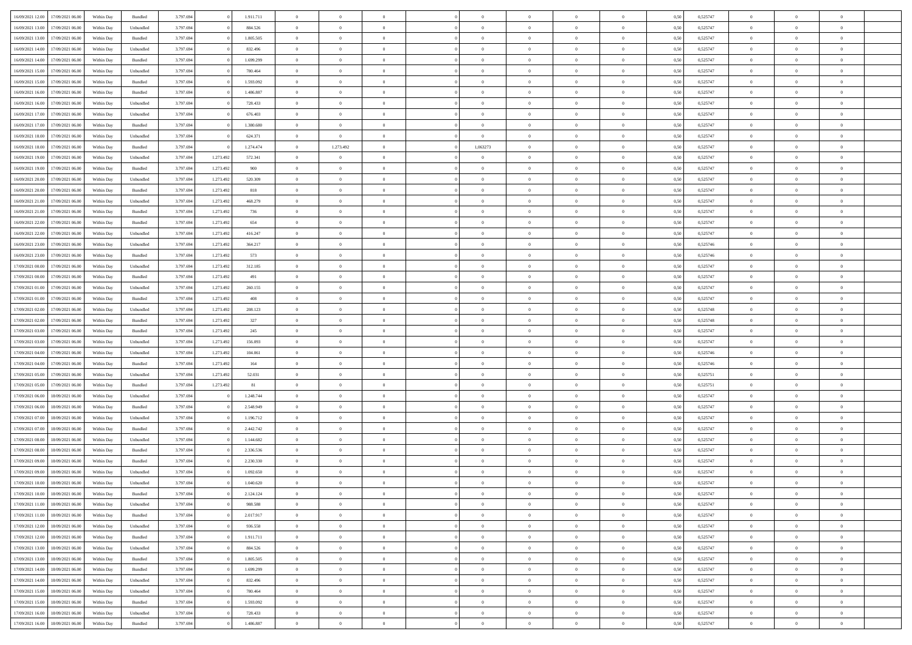| 16/09/2021 12:00 | 17/09/2021 06:00 | Within Day | Bundled            | 3.797.694 |           | 1.911.711 | $\Omega$       | $\Omega$       |                | $\Omega$       | $\Omega$       | $\Omega$       | $\Omega$       | 0.50 | 0,525747 | $\theta$       | $\theta$       | $\sqrt{ }$     |  |
|------------------|------------------|------------|--------------------|-----------|-----------|-----------|----------------|----------------|----------------|----------------|----------------|----------------|----------------|------|----------|----------------|----------------|----------------|--|
|                  |                  |            |                    |           |           |           |                |                |                |                |                |                |                |      |          |                |                |                |  |
| 16/09/2021 13:00 | 17/09/2021 06:00 | Within Day | Unbundled          | 3.797.694 |           | 884.526   | $\overline{0}$ | $\theta$       | $\overline{0}$ | $\overline{0}$ | $\bf{0}$       | $\overline{0}$ | $\bf{0}$       | 0,50 | 0,525747 | $\theta$       | $\theta$       | $\overline{0}$ |  |
| 16/09/2021 13:00 | 17/09/2021 06:00 | Within Day | Bundled            | 3.797.694 |           | 1.805.505 | $\overline{0}$ | $\overline{0}$ | $\overline{0}$ | $\bf{0}$       | $\bf{0}$       | $\bf{0}$       | $\bf{0}$       | 0,50 | 0,525747 | $\bf{0}$       | $\overline{0}$ | $\overline{0}$ |  |
| 16/09/2021 14:00 | 17/09/2021 06:00 | Within Dav | Unbundled          | 3.797.694 |           | 832.496   | $\overline{0}$ | $\theta$       | $\overline{0}$ | $\Omega$       | $\bf{0}$       | $\overline{0}$ | $\overline{0}$ | 0.50 | 0,525747 | $\theta$       | $\theta$       | $\overline{0}$ |  |
| 16/09/2021 14:00 | 17/09/2021 06:00 | Within Day | Bundled            | 3.797.694 |           | 1.699.299 | $\overline{0}$ | $\theta$       | $\overline{0}$ | $\overline{0}$ | $\bf{0}$       | $\overline{0}$ | $\bf{0}$       | 0,50 | 0,525747 | $\theta$       | $\theta$       | $\overline{0}$ |  |
| 16/09/2021 15:00 | 17/09/2021 06:00 | Within Day | Unbundled          | 3.797.694 |           | 780.464   | $\overline{0}$ | $\overline{0}$ | $\overline{0}$ | $\bf{0}$       | $\bf{0}$       | $\overline{0}$ | $\mathbf{0}$   | 0,50 | 0,525747 | $\overline{0}$ | $\overline{0}$ | $\bf{0}$       |  |
| 16/09/2021 15:00 | 17/09/2021 06:00 | Within Dav | Bundled            | 3.797.694 |           | 1.593.092 | $\overline{0}$ | $\overline{0}$ | $\overline{0}$ | $\overline{0}$ | $\overline{0}$ | $\overline{0}$ | $\overline{0}$ | 0.50 | 0,525747 | $\theta$       | $\overline{0}$ | $\overline{0}$ |  |
|                  |                  |            |                    |           |           |           |                |                |                |                |                |                |                |      |          |                |                |                |  |
| 16/09/2021 16:00 | 17/09/2021 06:00 | Within Day | Bundled            | 3.797.694 |           | 1.486.887 | $\overline{0}$ | $\theta$       | $\overline{0}$ | $\overline{0}$ | $\bf{0}$       | $\overline{0}$ | $\bf{0}$       | 0,50 | 0,525747 | $\theta$       | $\theta$       | $\overline{0}$ |  |
| 16/09/2021 16:00 | 17/09/2021 06:00 | Within Day | Unbundled          | 3.797.694 |           | 728.433   | $\overline{0}$ | $\overline{0}$ | $\overline{0}$ | $\bf{0}$       | $\bf{0}$       | $\bf{0}$       | $\bf{0}$       | 0,50 | 0,525747 | $\,0\,$        | $\overline{0}$ | $\overline{0}$ |  |
| 16/09/2021 17:00 | 17/09/2021 06:00 | Within Dav | Unbundled          | 3.797.694 |           | 676.403   | $\overline{0}$ | $\overline{0}$ | $\overline{0}$ | $\overline{0}$ | $\overline{0}$ | $\overline{0}$ | $\overline{0}$ | 0.50 | 0,525747 | $\theta$       | $\overline{0}$ | $\overline{0}$ |  |
| 16/09/2021 17:00 | 17/09/2021 06:00 | Within Day | Bundled            | 3.797.694 |           | 1.380.680 | $\overline{0}$ | $\theta$       | $\overline{0}$ | $\overline{0}$ | $\bf{0}$       | $\overline{0}$ | $\bf{0}$       | 0,50 | 0,525747 | $\theta$       | $\theta$       | $\overline{0}$ |  |
| 16/09/2021 18:00 | 17/09/2021 06:00 | Within Day | Unbundled          | 3.797.694 |           | 624.371   | $\overline{0}$ | $\overline{0}$ | $\overline{0}$ | $\bf{0}$       | $\bf{0}$       | $\bf{0}$       | $\bf{0}$       | 0,50 | 0,525747 | $\,0\,$        | $\overline{0}$ | $\overline{0}$ |  |
| 16/09/2021 18:00 | 17/09/2021 06:00 | Within Day | Bundled            | 3.797.694 |           | 1.274.474 | $\overline{0}$ | 1.273.492      | $\overline{0}$ | 1,063273       | $\bf{0}$       | $\overline{0}$ | $\overline{0}$ | 0.50 | 0,525747 | $\theta$       | $\theta$       | $\overline{0}$ |  |
|                  |                  |            |                    |           |           |           |                |                |                |                |                |                |                |      |          |                |                |                |  |
| 16/09/2021 19:00 | 17/09/2021 06:00 | Within Day | Unbundled          | 3.797.694 | 1.273.492 | 572.341   | $\overline{0}$ | $\theta$       | $\overline{0}$ | $\overline{0}$ | $\bf{0}$       | $\overline{0}$ | $\overline{0}$ | 0,50 | 0,525747 | $\theta$       | $\theta$       | $\overline{0}$ |  |
| 16/09/2021 19:00 | 17/09/2021 06:00 | Within Day | Bundled            | 3.797.694 | 1.273.492 | 900       | $\overline{0}$ | $\overline{0}$ | $\overline{0}$ | $\bf{0}$       | $\bf{0}$       | $\overline{0}$ | $\mathbf{0}$   | 0,50 | 0,525747 | $\overline{0}$ | $\overline{0}$ | $\bf{0}$       |  |
| 16/09/2021 20:00 | 17/09/2021 06:00 | Within Dav | Unbundled          | 3.797.694 | 1.273.492 | 520,309   | $\overline{0}$ | $\overline{0}$ | $\overline{0}$ | $\overline{0}$ | $\bf{0}$       | $\overline{0}$ | $\overline{0}$ | 0.50 | 0,525747 | $\theta$       | $\overline{0}$ | $\overline{0}$ |  |
| 16/09/2021 20:00 | 17/09/2021 06:00 | Within Day | Bundled            | 3.797.694 | 1.273.492 | 818       | $\overline{0}$ | $\theta$       | $\overline{0}$ | $\overline{0}$ | $\bf{0}$       | $\overline{0}$ | $\bf{0}$       | 0,50 | 0,525747 | $\theta$       | $\theta$       | $\overline{0}$ |  |
| 16/09/2021 21:00 | 17/09/2021 06:00 | Within Day | Unbundled          | 3.797.694 | 1.273.492 | 468.279   | $\overline{0}$ | $\overline{0}$ | $\overline{0}$ | $\bf{0}$       | $\bf{0}$       | $\bf{0}$       | $\bf{0}$       | 0,50 | 0,525747 | $\,0\,$        | $\overline{0}$ | $\overline{0}$ |  |
| 16/09/2021 21:00 | 17/09/2021 06:00 | Within Day | Bundled            | 3.797.694 | 1.273.492 | 736       | $\overline{0}$ | $\overline{0}$ | $\overline{0}$ | $\overline{0}$ | $\overline{0}$ | $\overline{0}$ | $\overline{0}$ | 0.50 | 0,525747 | $\theta$       | $\overline{0}$ | $\overline{0}$ |  |
| 16/09/2021 22:00 | 17/09/2021 06:00 | Within Day | Bundled            | 3.797.694 | 1.273.492 | 654       | $\overline{0}$ | $\theta$       | $\overline{0}$ | $\overline{0}$ | $\bf{0}$       | $\overline{0}$ | $\bf{0}$       | 0,50 | 0,525747 | $\theta$       | $\theta$       | $\overline{0}$ |  |
|                  |                  |            |                    |           |           |           |                |                |                |                |                |                |                |      |          |                |                |                |  |
| 16/09/2021 22.00 | 17/09/2021 06:00 | Within Day | Unbundled          | 3.797.694 | 1.273.492 | 416.247   | $\overline{0}$ | $\overline{0}$ | $\overline{0}$ | $\bf{0}$       | $\bf{0}$       | $\bf{0}$       | $\bf{0}$       | 0,50 | 0,525747 | $\,0\,$        | $\overline{0}$ | $\overline{0}$ |  |
| 16/09/2021 23:00 | 17/09/2021 06:00 | Within Day | Unbundled          | 3.797.694 | 1.273.492 | 364.217   | $\overline{0}$ | $\overline{0}$ | $\overline{0}$ | $\overline{0}$ | $\bf{0}$       | $\overline{0}$ | $\overline{0}$ | 0.50 | 0,525746 | $\theta$       | $\theta$       | $\overline{0}$ |  |
| 16/09/2021 23:00 | 17/09/2021 06:00 | Within Day | Bundled            | 3.797.694 | 1.273.492 | 573       | $\overline{0}$ | $\theta$       | $\overline{0}$ | $\overline{0}$ | $\bf{0}$       | $\overline{0}$ | $\bf{0}$       | 0,50 | 0,525746 | $\theta$       | $\overline{0}$ | $\overline{0}$ |  |
| 17/09/2021 00:00 | 17/09/2021 06:00 | Within Day | Unbundled          | 3.797.694 | 1.273.492 | 312.185   | $\overline{0}$ | $\overline{0}$ | $\overline{0}$ | $\bf{0}$       | $\bf{0}$       | $\overline{0}$ | $\mathbf{0}$   | 0,50 | 0,525747 | $\overline{0}$ | $\overline{0}$ | $\bf{0}$       |  |
| 17/09/2021 00:00 | 17/09/2021 06:00 | Within Dav | Bundled            | 3.797.694 | 1.273.492 | 491       | $\overline{0}$ | $\overline{0}$ | $\overline{0}$ | $\overline{0}$ | $\overline{0}$ | $\overline{0}$ | $\overline{0}$ | 0.50 | 0,525747 | $\theta$       | $\theta$       | $\overline{0}$ |  |
| 17/09/2021 01:00 | 17/09/2021 06:00 | Within Day | Unbundled          | 3.797.694 | 1.273.492 | 260.155   | $\overline{0}$ | $\theta$       | $\overline{0}$ | $\overline{0}$ | $\bf{0}$       | $\overline{0}$ | $\bf{0}$       | 0,50 | 0,525747 | $\theta$       | $\theta$       | $\overline{0}$ |  |
|                  |                  |            |                    |           |           |           |                |                |                |                |                |                |                |      |          |                |                |                |  |
| 17/09/2021 01:00 | 17/09/2021 06:00 | Within Day | Bundled            | 3.797.694 | 1.273.492 | 408       | $\overline{0}$ | $\overline{0}$ | $\overline{0}$ | $\bf{0}$       | $\bf{0}$       | $\bf{0}$       | $\bf{0}$       | 0,50 | 0,525747 | $\,0\,$        | $\overline{0}$ | $\overline{0}$ |  |
| 17/09/2021 02:00 | 17/09/2021 06:00 | Within Day | Unbundled          | 3.797.694 | 1.273.492 | 208,123   | $\overline{0}$ | $\overline{0}$ | $\overline{0}$ | $\overline{0}$ | $\overline{0}$ | $\overline{0}$ | $\overline{0}$ | 0.50 | 0,525748 | $\theta$       | $\overline{0}$ | $\overline{0}$ |  |
| 17/09/2021 02:00 | 17/09/2021 06:00 | Within Day | Bundled            | 3.797.694 | 1.273.492 | 327       | $\overline{0}$ | $\theta$       | $\overline{0}$ | $\overline{0}$ | $\bf{0}$       | $\overline{0}$ | $\bf{0}$       | 0,50 | 0,525748 | $\,$ 0 $\,$    | $\theta$       | $\overline{0}$ |  |
| 17/09/2021 03:00 | 17/09/2021 06:00 | Within Day | Bundled            | 3.797.694 | 1.273.492 | 245       | $\overline{0}$ | $\overline{0}$ | $\overline{0}$ | $\bf{0}$       | $\bf{0}$       | $\bf{0}$       | $\bf{0}$       | 0,50 | 0,525747 | $\,0\,$        | $\overline{0}$ | $\overline{0}$ |  |
| 17/09/2021 03:00 | 17/09/2021 06:00 | Within Day | Unbundled          | 3.797.694 | 1.273.492 | 156.093   | $\overline{0}$ | $\Omega$       | $\Omega$       | $\Omega$       | $\Omega$       | $\Omega$       | $\overline{0}$ | 0,50 | 0,525747 | $\,0\,$        | $\Omega$       | $\theta$       |  |
| 17/09/2021 04:00 | 17/09/2021 06:00 | Within Day | Unbundled          | 3.797.694 | 1.273.492 | 104.061   | $\overline{0}$ | $\theta$       | $\overline{0}$ | $\overline{0}$ | $\bf{0}$       | $\overline{0}$ | $\bf{0}$       | 0,50 | 0,525746 | $\theta$       | $\theta$       | $\overline{0}$ |  |
| 17/09/2021 04:00 | 17/09/2021 06:00 | Within Day | Bundled            | 3.797.694 | 1.273.492 | 164       | $\overline{0}$ | $\overline{0}$ | $\overline{0}$ | $\bf{0}$       | $\bf{0}$       | $\overline{0}$ | $\mathbf{0}$   | 0,50 | 0,525746 | $\bf{0}$       | $\overline{0}$ | $\bf{0}$       |  |
|                  |                  |            |                    |           |           |           | $\overline{0}$ | $\Omega$       | $\Omega$       | $\Omega$       | $\bf{0}$       |                |                |      |          |                | $\theta$       | $\theta$       |  |
| 17/09/2021 05:00 | 17/09/2021 06:00 | Within Day | Unbundled          | 3.797.694 | 1.273.492 | 52.031    |                |                |                |                |                | $\overline{0}$ | $\overline{0}$ | 0.50 | 0,525751 | $\,0\,$        |                |                |  |
| 17/09/2021 05:00 | 17/09/2021 06:00 | Within Day | Bundled            | 3.797.694 | 1.273.492 | $81\,$    | $\overline{0}$ | $\theta$       | $\overline{0}$ | $\overline{0}$ | $\bf{0}$       | $\overline{0}$ | $\bf{0}$       | 0,50 | 0,525751 | $\theta$       | $\theta$       | $\overline{0}$ |  |
| 17/09/2021 06:00 | 18/09/2021 06:00 | Within Day | Unbundled          | 3.797.694 |           | 1.248.744 | $\overline{0}$ | $\overline{0}$ | $\overline{0}$ | $\bf{0}$       | $\bf{0}$       | $\bf{0}$       | $\bf{0}$       | 0,50 | 0,525747 | $\,0\,$        | $\overline{0}$ | $\overline{0}$ |  |
| 17/09/2021 06:00 | 18/09/2021 06:00 | Within Day | Bundled            | 3.797.694 |           | 2.548.949 | $\overline{0}$ | $\Omega$       | $\Omega$       | $\Omega$       | $\Omega$       | $\theta$       | $\overline{0}$ | 0.50 | 0,525747 | $\theta$       | $\theta$       | $\theta$       |  |
| 17/09/2021 07:00 | 18/09/2021 06:00 | Within Day | Unbundled          | 3.797.694 |           | 1.196.712 | $\overline{0}$ | $\theta$       | $\overline{0}$ | $\overline{0}$ | $\bf{0}$       | $\overline{0}$ | $\bf{0}$       | 0,50 | 0,525747 | $\,$ 0 $\,$    | $\theta$       | $\overline{0}$ |  |
| 17/09/2021 07:00 | 18/09/2021 06:00 | Within Day | Bundled            | 3.797.694 |           | 2.442.742 | $\overline{0}$ | $\overline{0}$ | $\overline{0}$ | $\bf{0}$       | $\bf{0}$       | $\bf{0}$       | $\bf{0}$       | 0,50 | 0,525747 | $\,0\,$        | $\overline{0}$ | $\overline{0}$ |  |
| 17/09/2021 08:00 | 18/09/2021 06:00 | Within Day | Unbundled          | 3.797.694 |           | 1.144.682 | $\overline{0}$ | $\Omega$       | $\overline{0}$ | $\Omega$       | $\Omega$       | $\overline{0}$ | $\overline{0}$ | 0,50 | 0,525747 | $\,0\,$        | $\theta$       | $\theta$       |  |
| 17/09/2021 08:00 | 18/09/2021 06:00 | Within Day | Bundled            | 3.797.694 |           | 2.336.536 | $\overline{0}$ | $\theta$       | $\overline{0}$ | $\overline{0}$ | $\bf{0}$       | $\overline{0}$ | $\bf{0}$       | 0,50 | 0,525747 | $\,$ 0 $\,$    | $\theta$       | $\overline{0}$ |  |
|                  |                  |            |                    |           |           |           |                |                |                |                |                |                |                |      |          |                |                |                |  |
| 17/09/2021 09:00 | 18/09/2021 06:00 | Within Day | Bundled            | 3.797.694 |           | 2.230.330 | $\overline{0}$ | $\overline{0}$ | $\overline{0}$ | $\bf{0}$       | $\bf{0}$       | $\bf{0}$       | $\mathbf{0}$   | 0,50 | 0,525747 | $\bf{0}$       | $\overline{0}$ | $\bf{0}$       |  |
| 17/09/2021 09:00 | 18/09/2021 06:00 | Within Day | Unbundled          | 3.797.694 |           | 1.092.650 | $\overline{0}$ | $\Omega$       | $\Omega$       | $\Omega$       | $\Omega$       | $\Omega$       | $\Omega$       | 0.50 | 0,525747 | $\theta$       | $\Omega$       | $\theta$       |  |
| 17/09/2021 10:00 | 18/09/2021 06:00 | Within Day | Unbundled          | 3.797.694 |           | 1.040.620 | $\overline{0}$ | $\,$ 0 $\,$    | $\overline{0}$ | $\bf{0}$       | $\,$ 0         | $\bf{0}$       | $\bf{0}$       | 0,50 | 0,525747 | $\,0\,$        | $\overline{0}$ | $\overline{0}$ |  |
| 17/09/2021 10:00 | 18/09/2021 06:00 | Within Day | Bundled            | 3.797.694 |           | 2.124.124 | $\bf{0}$       |                |                |                |                |                |                | 0,50 | 0,525747 | $\bf{0}$       | $\bf{0}$       |                |  |
| 17/09/2021 11:00 | 18/09/2021 06:00 | Within Day | Unbundled          | 3.797.694 |           | 988,588   | $\overline{0}$ | $\overline{0}$ | $\overline{0}$ | $\Omega$       | $\overline{0}$ | $\overline{0}$ | $\overline{0}$ | 0,50 | 0,525747 | $\theta$       | $\theta$       | $\theta$       |  |
| 17/09/2021 11:00 | 18/09/2021 06:00 | Within Day | Bundled            | 3.797.694 |           | 2.017.917 | $\overline{0}$ | $\,$ 0         | $\overline{0}$ | $\bf{0}$       | $\,$ 0 $\,$    | $\overline{0}$ | $\,$ 0 $\,$    | 0,50 | 0,525747 | $\,$ 0 $\,$    | $\,$ 0 $\,$    | $\,$ 0         |  |
| 17/09/2021 12:00 | 18/09/2021 06:00 | Within Day | Unbundled          | 3.797.694 |           | 936.558   | $\overline{0}$ | $\overline{0}$ | $\overline{0}$ | $\overline{0}$ | $\overline{0}$ | $\overline{0}$ | $\mathbf{0}$   | 0,50 | 0,525747 | $\overline{0}$ | $\bf{0}$       | $\overline{0}$ |  |
|                  |                  |            |                    |           |           |           |                |                |                |                |                |                |                |      |          |                |                |                |  |
| 17/09/2021 12:00 | 18/09/2021 06:00 | Within Day | $\mathbf B$ undled | 3.797.694 |           | 1.911.711 | $\overline{0}$ | $\overline{0}$ | $\overline{0}$ | $\Omega$       | $\overline{0}$ | $\overline{0}$ | $\overline{0}$ | 0,50 | 0,525747 | $\overline{0}$ | $\theta$       | $\overline{0}$ |  |
| 17/09/2021 13:00 | 18/09/2021 06:00 | Within Day | Unbundled          | 3.797.694 |           | 884.526   | $\overline{0}$ | $\,$ 0         | $\overline{0}$ | $\overline{0}$ | $\,$ 0 $\,$    | $\overline{0}$ | $\mathbf{0}$   | 0,50 | 0,525747 | $\,$ 0 $\,$    | $\overline{0}$ | $\overline{0}$ |  |
| 17/09/2021 13:00 | 18/09/2021 06:00 | Within Day | Bundled            | 3.797.694 |           | 1.805.505 | $\overline{0}$ | $\overline{0}$ | $\overline{0}$ | $\overline{0}$ | $\overline{0}$ | $\overline{0}$ | $\mathbf{0}$   | 0,50 | 0,525747 | $\overline{0}$ | $\overline{0}$ | $\overline{0}$ |  |
| 17/09/2021 14:00 | 18/09/2021 06:00 | Within Day | Bundled            | 3.797.694 |           | 1.699.299 | $\overline{0}$ | $\overline{0}$ | $\overline{0}$ | $\Omega$       | $\overline{0}$ | $\overline{0}$ | $\bf{0}$       | 0.50 | 0,525747 | $\overline{0}$ | $\theta$       | $\overline{0}$ |  |
| 17/09/2021 14:00 | 18/09/2021 06:00 | Within Day | Unbundled          | 3.797.694 |           | 832.496   | $\overline{0}$ | $\,$ 0         | $\overline{0}$ | $\bf{0}$       | $\bf{0}$       | $\bf{0}$       | $\bf{0}$       | 0,50 | 0,525747 | $\,$ 0 $\,$    | $\overline{0}$ | $\overline{0}$ |  |
| 17/09/2021 15:00 | 18/09/2021 06:00 | Within Day | Unbundled          | 3.797.694 |           | 780.464   | $\overline{0}$ | $\bf{0}$       | $\overline{0}$ | $\overline{0}$ | $\overline{0}$ | $\overline{0}$ | $\mathbf{0}$   | 0,50 | 0,525747 | $\overline{0}$ | $\overline{0}$ | $\bf{0}$       |  |
|                  |                  |            |                    |           |           | 1.593.092 | $\overline{0}$ | $\overline{0}$ | $\overline{0}$ | $\Omega$       | $\overline{0}$ | $\overline{0}$ |                | 0.50 |          | $\overline{0}$ | $\overline{0}$ | $\overline{0}$ |  |
| 17/09/2021 15:00 | 18/09/2021 06:00 | Within Day | Bundled            | 3.797.694 |           |           |                |                |                |                |                |                | $\bf{0}$       |      | 0,525747 |                |                |                |  |
| 17/09/2021 16:00 | 18/09/2021 06:00 | Within Day | Unbundled          | 3.797.694 |           | 728.433   | $\overline{0}$ | $\bf{0}$       | $\overline{0}$ | $\overline{0}$ | $\bf{0}$       | $\bf{0}$       | $\mathbf{0}$   | 0,50 | 0,525747 | $\,$ 0 $\,$    | $\,$ 0 $\,$    | $\bf{0}$       |  |
| 17/09/2021 16:00 | 18/09/2021 06:00 | Within Day | Bundled            | 3.797.694 |           | 1.486.887 | $\overline{0}$ | $\overline{0}$ | $\overline{0}$ | $\overline{0}$ | $\overline{0}$ | $\bf{0}$       | $\mathbf{0}$   | 0,50 | 0,525747 | $\overline{0}$ | $\bf{0}$       | $\bf{0}$       |  |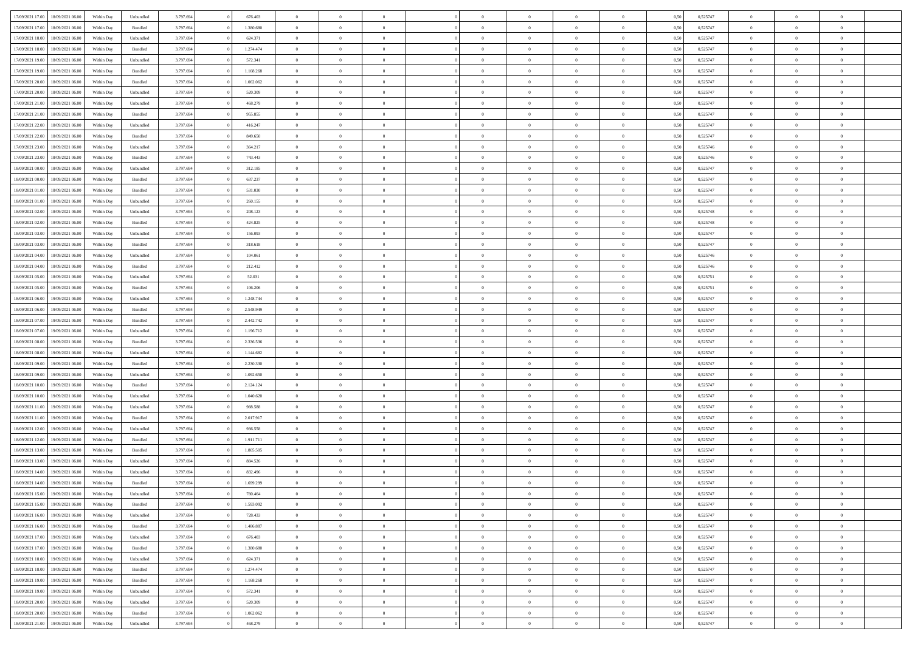| 17/09/2021 17:00 | 18/09/2021 06:00 | Within Dav | Unbundled | 3.797.694 | 676.403   | $\overline{0}$ | $\theta$       |                | $\Omega$       | $\Omega$       | $\theta$       | $\theta$       | 0.50 | 0,525747 | $\theta$       | $\theta$       | $\theta$       |  |
|------------------|------------------|------------|-----------|-----------|-----------|----------------|----------------|----------------|----------------|----------------|----------------|----------------|------|----------|----------------|----------------|----------------|--|
| 17/09/2021 17:00 | 18/09/2021 06:00 | Within Day | Bundled   | 3.797.694 | 1.380.680 | $\overline{0}$ | $\theta$       | $\overline{0}$ | $\overline{0}$ | $\bf{0}$       | $\overline{0}$ | $\bf{0}$       | 0,50 | 0,525747 | $\theta$       | $\overline{0}$ | $\overline{0}$ |  |
| 17/09/2021 18:00 | 18/09/2021 06:00 | Within Day | Unbundled | 3.797.694 | 624.371   | $\overline{0}$ | $\overline{0}$ | $\overline{0}$ | $\bf{0}$       | $\bf{0}$       | $\bf{0}$       | $\bf{0}$       | 0,50 | 0,525747 | $\overline{0}$ | $\overline{0}$ | $\overline{0}$ |  |
| 17/09/2021 18:00 | 18/09/2021 06:00 | Within Dav | Bundled   | 3.797.694 | 1.274.474 | $\overline{0}$ | $\overline{0}$ | $\overline{0}$ | $\overline{0}$ | $\bf{0}$       | $\overline{0}$ | $\overline{0}$ | 0.50 | 0,525747 | $\theta$       | $\theta$       | $\overline{0}$ |  |
|                  |                  |            |           |           |           |                |                |                |                |                |                |                |      |          |                |                |                |  |
| 17/09/2021 19:00 | 18/09/2021 06:00 | Within Day | Unbundled | 3.797.694 | 572.341   | $\overline{0}$ | $\theta$       | $\overline{0}$ | $\overline{0}$ | $\bf{0}$       | $\overline{0}$ | $\bf{0}$       | 0,50 | 0,525747 | $\theta$       | $\overline{0}$ | $\overline{0}$ |  |
| 17/09/2021 19:00 | 18/09/2021 06:00 | Within Day | Bundled   | 3.797.694 | 1.168.268 | $\overline{0}$ | $\bf{0}$       | $\overline{0}$ | $\bf{0}$       | $\overline{0}$ | $\overline{0}$ | $\mathbf{0}$   | 0,50 | 0,525747 | $\overline{0}$ | $\overline{0}$ | $\bf{0}$       |  |
| 17/09/2021 20:00 | 18/09/2021 06:00 | Within Dav | Bundled   | 3.797.694 | 1.062.062 | $\overline{0}$ | $\overline{0}$ | $\overline{0}$ | $\overline{0}$ | $\overline{0}$ | $\overline{0}$ | $\overline{0}$ | 0.50 | 0,525747 | $\theta$       | $\overline{0}$ | $\overline{0}$ |  |
| 17/09/2021 20:00 | 18/09/2021 06:00 | Within Day | Unbundled | 3.797.694 | 520.309   | $\overline{0}$ | $\theta$       | $\overline{0}$ | $\overline{0}$ | $\bf{0}$       | $\overline{0}$ | $\bf{0}$       | 0,50 | 0,525747 | $\theta$       | $\theta$       | $\overline{0}$ |  |
| 17/09/2021 21:00 | 18/09/2021 06:00 | Within Day | Unbundled | 3.797.694 | 468.279   | $\overline{0}$ | $\overline{0}$ | $\overline{0}$ | $\bf{0}$       | $\bf{0}$       | $\bf{0}$       | $\bf{0}$       | 0,50 | 0,525747 | $\,0\,$        | $\overline{0}$ | $\overline{0}$ |  |
| 17/09/2021 21:00 | 18/09/2021 06:00 | Within Dav | Bundled   | 3.797.694 | 955.855   | $\overline{0}$ | $\overline{0}$ | $\overline{0}$ | $\overline{0}$ | $\overline{0}$ | $\overline{0}$ | $\overline{0}$ | 0.50 | 0,525747 | $\theta$       | $\overline{0}$ | $\overline{0}$ |  |
|                  |                  |            |           |           |           |                |                |                |                |                |                |                |      |          |                |                |                |  |
| 17/09/2021 22:00 | 18/09/2021 06:00 | Within Day | Unbundled | 3.797.694 | 416.247   | $\overline{0}$ | $\theta$       | $\overline{0}$ | $\overline{0}$ | $\bf{0}$       | $\overline{0}$ | $\bf{0}$       | 0,50 | 0,525747 | $\,$ 0 $\,$    | $\overline{0}$ | $\overline{0}$ |  |
| 17/09/2021 22.00 | 18/09/2021 06:00 | Within Day | Bundled   | 3.797.694 | 849.650   | $\overline{0}$ | $\overline{0}$ | $\overline{0}$ | $\bf{0}$       | $\bf{0}$       | $\bf{0}$       | $\bf{0}$       | 0,50 | 0,525747 | $\overline{0}$ | $\overline{0}$ | $\overline{0}$ |  |
| 17/09/2021 23:00 | 18/09/2021 06:00 | Within Day | Unbundled | 3.797.694 | 364.217   | $\overline{0}$ | $\overline{0}$ | $\overline{0}$ | $\overline{0}$ | $\bf{0}$       | $\overline{0}$ | $\overline{0}$ | 0.50 | 0,525746 | $\theta$       | $\theta$       | $\overline{0}$ |  |
| 17/09/2021 23:00 | 18/09/2021 06:00 | Within Day | Bundled   | 3.797.694 | 743.443   | $\overline{0}$ | $\theta$       | $\overline{0}$ | $\overline{0}$ | $\bf{0}$       | $\overline{0}$ | $\bf{0}$       | 0,50 | 0,525746 | $\theta$       | $\theta$       | $\overline{0}$ |  |
| 18/09/2021 00:00 | 18/09/2021 06:00 | Within Day | Unbundled | 3.797.694 | 312.185   | $\overline{0}$ | $\bf{0}$       | $\overline{0}$ | $\bf{0}$       | $\overline{0}$ | $\overline{0}$ | $\mathbf{0}$   | 0,50 | 0,525747 | $\bf{0}$       | $\overline{0}$ | $\bf{0}$       |  |
| 18/09/2021 00:00 | 18/09/2021 06:00 | Within Dav | Bundled   | 3.797.694 | 637.237   | $\overline{0}$ | $\overline{0}$ | $\overline{0}$ | $\overline{0}$ | $\overline{0}$ | $\overline{0}$ | $\overline{0}$ | 0.50 | 0,525747 | $\theta$       | $\overline{0}$ | $\overline{0}$ |  |
|                  |                  |            |           |           |           |                |                |                |                |                |                |                |      |          |                |                |                |  |
| 18/09/2021 01:00 | 18/09/2021 06:00 | Within Day | Bundled   | 3.797.694 | 531.030   | $\overline{0}$ | $\theta$       | $\overline{0}$ | $\overline{0}$ | $\bf{0}$       | $\overline{0}$ | $\bf{0}$       | 0,50 | 0,525747 | $\theta$       | $\theta$       | $\overline{0}$ |  |
| 18/09/2021 01:00 | 18/09/2021 06:00 | Within Day | Unbundled | 3.797.694 | 260.155   | $\overline{0}$ | $\overline{0}$ | $\overline{0}$ | $\bf{0}$       | $\bf{0}$       | $\bf{0}$       | $\bf{0}$       | 0,50 | 0,525747 | $\,0\,$        | $\overline{0}$ | $\overline{0}$ |  |
| 18/09/2021 02:00 | 18/09/2021 06:00 | Within Day | Unbundled | 3.797.694 | 208.123   | $\overline{0}$ | $\overline{0}$ | $\overline{0}$ | $\overline{0}$ | $\overline{0}$ | $\overline{0}$ | $\overline{0}$ | 0.50 | 0,525748 | $\theta$       | $\overline{0}$ | $\overline{0}$ |  |
| 18/09/2021 02:00 | 18/09/2021 06:00 | Within Day | Bundled   | 3.797.694 | 424.825   | $\overline{0}$ | $\theta$       | $\overline{0}$ | $\overline{0}$ | $\bf{0}$       | $\overline{0}$ | $\bf{0}$       | 0,50 | 0,525748 | $\,$ 0 $\,$    | $\theta$       | $\overline{0}$ |  |
| 18/09/2021 03:00 | 18/09/2021 06:00 | Within Day | Unbundled | 3.797.694 | 156.093   | $\overline{0}$ | $\overline{0}$ | $\overline{0}$ | $\bf{0}$       | $\bf{0}$       | $\bf{0}$       | $\bf{0}$       | 0,50 | 0,525747 | $\,0\,$        | $\overline{0}$ | $\overline{0}$ |  |
| 18/09/2021 03:00 | 18/09/2021 06:00 | Within Day | Bundled   | 3.797.694 | 318.618   | $\overline{0}$ | $\overline{0}$ | $\overline{0}$ | $\overline{0}$ | $\bf{0}$       | $\overline{0}$ | $\overline{0}$ | 0.50 | 0,525747 | $\theta$       | $\overline{0}$ | $\overline{0}$ |  |
|                  |                  |            |           |           |           |                | $\theta$       |                |                |                |                |                |      |          |                | $\overline{0}$ |                |  |
| 18/09/2021 04:00 | 18/09/2021 06:00 | Within Day | Unbundled | 3.797.694 | 104.061   | $\overline{0}$ |                | $\overline{0}$ | $\overline{0}$ | $\bf{0}$       | $\overline{0}$ | $\bf{0}$       | 0,50 | 0,525746 | $\,$ 0 $\,$    |                | $\overline{0}$ |  |
| 18/09/2021 04:00 | 18/09/2021 06:00 | Within Day | Bundled   | 3.797.694 | 212.412   | $\overline{0}$ | $\bf{0}$       | $\overline{0}$ | $\bf{0}$       | $\overline{0}$ | $\overline{0}$ | $\mathbf{0}$   | 0,50 | 0,525746 | $\bf{0}$       | $\overline{0}$ | $\bf{0}$       |  |
| 18/09/2021 05:00 | 18/09/2021 06:00 | Within Dav | Unbundled | 3.797.694 | 52.031    | $\overline{0}$ | $\overline{0}$ | $\overline{0}$ | $\overline{0}$ | $\overline{0}$ | $\overline{0}$ | $\overline{0}$ | 0.50 | 0,525751 | $\theta$       | $\overline{0}$ | $\overline{0}$ |  |
| 18/09/2021 05:00 | 18/09/2021 06:00 | Within Day | Bundled   | 3.797.694 | 106.206   | $\overline{0}$ | $\theta$       | $\overline{0}$ | $\overline{0}$ | $\bf{0}$       | $\overline{0}$ | $\bf{0}$       | 0,50 | 0,525751 | $\theta$       | $\theta$       | $\overline{0}$ |  |
| 18/09/2021 06:00 | 19/09/2021 06:00 | Within Day | Unbundled | 3.797.694 | 1.248.744 | $\overline{0}$ | $\overline{0}$ | $\overline{0}$ | $\bf{0}$       | $\bf{0}$       | $\bf{0}$       | $\bf{0}$       | 0,50 | 0,525747 | $\,0\,$        | $\overline{0}$ | $\overline{0}$ |  |
| 18/09/2021 06:00 | 19/09/2021 06:00 | Within Day | Bundled   | 3.797.694 | 2.548.949 | $\overline{0}$ | $\overline{0}$ | $\overline{0}$ | $\overline{0}$ | $\overline{0}$ | $\overline{0}$ | $\overline{0}$ | 0.50 | 0,525747 | $\theta$       | $\overline{0}$ | $\overline{0}$ |  |
| 18/09/2021 07:00 | 19/09/2021 06:00 | Within Day | Bundled   | 3.797.694 | 2.442.742 | $\overline{0}$ | $\theta$       | $\overline{0}$ | $\overline{0}$ | $\bf{0}$       | $\overline{0}$ | $\bf{0}$       | 0,50 | 0,525747 | $\,$ 0 $\,$    | $\overline{0}$ | $\overline{0}$ |  |
|                  |                  |            |           |           |           |                |                |                |                |                |                |                |      |          |                |                |                |  |
| 18/09/2021 07:00 | 19/09/2021 06:00 | Within Day | Unbundled | 3.797.694 | 1.196.712 | $\overline{0}$ | $\overline{0}$ | $\overline{0}$ | $\bf{0}$       | $\bf{0}$       | $\bf{0}$       | $\bf{0}$       | 0,50 | 0,525747 | $\bf{0}$       | $\overline{0}$ | $\overline{0}$ |  |
| 18/09/2021 08:00 | 19/09/2021 06:00 | Within Day | Bundled   | 3.797.694 | 2.336.536 | $\overline{0}$ | $\Omega$       | $\Omega$       | $\Omega$       | $\Omega$       | $\Omega$       | $\overline{0}$ | 0,50 | 0,525747 | $\,0\,$        | $\theta$       | $\theta$       |  |
| 18/09/2021 08:00 | 19/09/2021 06:00 | Within Day | Unbundled | 3.797.694 | 1.144.682 | $\overline{0}$ | $\theta$       | $\overline{0}$ | $\overline{0}$ | $\bf{0}$       | $\overline{0}$ | $\bf{0}$       | 0,50 | 0,525747 | $\theta$       | $\theta$       | $\overline{0}$ |  |
| 18/09/2021 09:00 | 19/09/2021 06:00 | Within Day | Bundled   | 3.797.694 | 2.230.330 | $\overline{0}$ | $\overline{0}$ | $\overline{0}$ | $\bf{0}$       | $\bf{0}$       | $\overline{0}$ | $\mathbf{0}$   | 0,50 | 0,525747 | $\bf{0}$       | $\overline{0}$ | $\bf{0}$       |  |
| 18/09/2021 09:00 | 19/09/2021 06:00 | Within Day | Unbundled | 3.797.694 | 1.092.650 | $\overline{0}$ | $\Omega$       | $\Omega$       | $\Omega$       | $\bf{0}$       | $\overline{0}$ | $\overline{0}$ | 0.50 | 0,525747 | $\,0\,$        | $\theta$       | $\theta$       |  |
| 18/09/2021 10:00 | 19/09/2021 06:00 | Within Day | Bundled   | 3.797.694 | 2.124.124 | $\overline{0}$ | $\theta$       | $\overline{0}$ | $\overline{0}$ | $\bf{0}$       | $\overline{0}$ | $\bf{0}$       | 0,50 | 0,525747 | $\,$ 0 $\,$    | $\theta$       | $\overline{0}$ |  |
|                  |                  |            |           |           |           |                |                |                |                |                |                |                |      |          |                |                |                |  |
| 18/09/2021 10:00 | 19/09/2021 06:00 | Within Day | Unbundled | 3.797.694 | 1.040.620 | $\overline{0}$ | $\overline{0}$ | $\overline{0}$ | $\bf{0}$       | $\bf{0}$       | $\bf{0}$       | $\bf{0}$       | 0,50 | 0,525747 | $\,0\,$        | $\overline{0}$ | $\overline{0}$ |  |
| 18/09/2021 11:00 | 19/09/2021 06:00 | Within Day | Unbundled | 3.797.694 | 988,588   | $\overline{0}$ | $\Omega$       | $\Omega$       | $\Omega$       | $\theta$       | $\theta$       | $\overline{0}$ | 0.50 | 0,525747 | $\theta$       | $\theta$       | $\theta$       |  |
| 18/09/2021 11:00 | 19/09/2021 06:00 | Within Day | Bundled   | 3.797.694 | 2.017.917 | $\overline{0}$ | $\theta$       | $\overline{0}$ | $\overline{0}$ | $\bf{0}$       | $\overline{0}$ | $\bf{0}$       | 0,50 | 0,525747 | $\,$ 0 $\,$    | $\overline{0}$ | $\overline{0}$ |  |
| 18/09/2021 12:00 | 19/09/2021 06:00 | Within Day | Unbundled | 3.797.694 | 936.558   | $\overline{0}$ | $\overline{0}$ | $\overline{0}$ | $\bf{0}$       | $\bf{0}$       | $\bf{0}$       | $\bf{0}$       | 0,50 | 0,525747 | $\bf{0}$       | $\overline{0}$ | $\overline{0}$ |  |
| 18/09/2021 12:00 | 19/09/2021 06:00 | Within Day | Bundled   | 3.797.694 | 1.911.711 | $\overline{0}$ | $\Omega$       | $\overline{0}$ | $\Omega$       | $\Omega$       | $\overline{0}$ | $\overline{0}$ | 0,50 | 0,525747 | $\,0\,$        | $\theta$       | $\theta$       |  |
| 18/09/2021 13:00 | 19/09/2021 06:00 | Within Day | Bundled   | 3.797.694 | 1.805.505 | $\overline{0}$ | $\theta$       | $\overline{0}$ | $\overline{0}$ | $\bf{0}$       | $\overline{0}$ | $\bf{0}$       | 0,50 | 0,525747 | $\,$ 0 $\,$    | $\overline{0}$ | $\overline{0}$ |  |
| 18/09/2021 13:00 | 19/09/2021 06:00 | Within Day | Unbundled | 3.797.694 | 884.526   | $\overline{0}$ | $\overline{0}$ | $\overline{0}$ | $\bf{0}$       | $\bf{0}$       | $\bf{0}$       | $\mathbf{0}$   | 0,50 | 0,525747 | $\bf{0}$       | $\overline{0}$ | $\bf{0}$       |  |
|                  | 19/09/2021 06:00 |            |           |           |           | $\overline{0}$ | $\Omega$       | $\Omega$       | $\Omega$       | $\Omega$       | $\Omega$       | $\overline{0}$ | 0.50 |          | $\theta$       | $\theta$       | $\theta$       |  |
| 18/09/2021 14:00 |                  | Within Day | Unbundled | 3.797.694 | 832.496   |                |                |                |                |                |                |                |      | 0,525747 |                |                |                |  |
| 18/09/2021 14:00 | 19/09/2021 06:00 | Within Day | Bundled   | 3.797.694 | 1.699.299 | $\overline{0}$ | $\overline{0}$ | $\overline{0}$ | $\bf{0}$       | $\,$ 0         | $\bf{0}$       | $\bf{0}$       | 0,50 | 0,525747 | $\,0\,$        | $\overline{0}$ | $\overline{0}$ |  |
| 18/09/2021 15:00 | 19/09/2021 06:00 | Within Day | Unbundled | 3.797.694 | 780.464   | $\bf{0}$       | $\bf{0}$       |                |                |                |                |                | 0,50 | 0,525747 | $\bf{0}$       | $\overline{0}$ |                |  |
| 18/09/2021 15:00 | 19/09/2021 06:00 | Within Day | Bundled   | 3.797.694 | 1.593.092 | $\overline{0}$ | $\overline{0}$ | $\overline{0}$ | $\Omega$       | $\overline{0}$ | $\overline{0}$ | $\overline{0}$ | 0,50 | 0,525747 | $\theta$       | $\theta$       | $\theta$       |  |
| 18/09/2021 16:00 | 19/09/2021 06:00 | Within Day | Unbundled | 3.797.694 | 728.433   | $\overline{0}$ | $\,$ 0         | $\overline{0}$ | $\overline{0}$ | $\,$ 0 $\,$    | $\overline{0}$ | $\,$ 0 $\,$    | 0,50 | 0,525747 | $\,$ 0 $\,$    | $\,$ 0 $\,$    | $\,$ 0         |  |
| 18/09/2021 16:00 | 19/09/2021 06:00 | Within Day | Bundled   | 3.797.694 | 1.486.887 | $\overline{0}$ | $\overline{0}$ | $\overline{0}$ | $\overline{0}$ | $\overline{0}$ | $\overline{0}$ | $\mathbf{0}$   | 0,50 | 0,525747 | $\overline{0}$ | $\bf{0}$       | $\bf{0}$       |  |
| 18/09/2021 17:00 | 19/09/2021 06:00 | Within Day | Unbundled | 3.797.694 | 676.403   | $\overline{0}$ | $\overline{0}$ | $\overline{0}$ | $\Omega$       | $\overline{0}$ | $\overline{0}$ | $\overline{0}$ | 0,50 | 0,525747 | $\overline{0}$ | $\theta$       | $\overline{0}$ |  |
| 18/09/2021 17:00 | 19/09/2021 06:00 | Within Day | Bundled   | 3.797.694 | 1.380.680 | $\overline{0}$ | $\,$ 0         | $\overline{0}$ | $\overline{0}$ | $\,$ 0 $\,$    | $\overline{0}$ | $\mathbf{0}$   | 0,50 | 0,525747 | $\,$ 0 $\,$    | $\overline{0}$ | $\overline{0}$ |  |
|                  |                  |            |           |           |           |                |                |                |                |                |                |                |      |          |                |                |                |  |
| 18/09/2021 18:00 | 19/09/2021 06:00 | Within Day | Unbundled | 3.797.694 | 624.371   | $\overline{0}$ | $\overline{0}$ | $\overline{0}$ | $\overline{0}$ | $\overline{0}$ | $\overline{0}$ | $\mathbf{0}$   | 0,50 | 0,525747 | $\overline{0}$ | $\overline{0}$ | $\bf{0}$       |  |
| 18/09/2021 18:00 | 19/09/2021 06:00 | Within Day | Bundled   | 3.797.694 | 1.274.474 | $\overline{0}$ | $\overline{0}$ | $\overline{0}$ | $\Omega$       | $\overline{0}$ | $\overline{0}$ | $\bf{0}$       | 0.50 | 0,525747 | $\overline{0}$ | $\theta$       | $\overline{0}$ |  |
| 18/09/2021 19:00 | 19/09/2021 06:00 | Within Day | Bundled   | 3.797.694 | 1.168.268 | $\overline{0}$ | $\,$ 0         | $\overline{0}$ | $\overline{0}$ | $\bf{0}$       | $\overline{0}$ | $\bf{0}$       | 0,50 | 0,525747 | $\,$ 0 $\,$    | $\overline{0}$ | $\overline{0}$ |  |
| 18/09/2021 19:00 | 19/09/2021 06:00 | Within Day | Unbundled | 3.797.694 | 572.341   | $\overline{0}$ | $\bf{0}$       | $\overline{0}$ | $\overline{0}$ | $\overline{0}$ | $\overline{0}$ | $\mathbf{0}$   | 0,50 | 0,525747 | $\overline{0}$ | $\overline{0}$ | $\bf{0}$       |  |
| 18/09/2021 20:00 | 19/09/2021 06:00 | Within Day | Unbundled | 3.797.694 | 520.309   | $\overline{0}$ | $\overline{0}$ | $\overline{0}$ | $\Omega$       | $\overline{0}$ | $\overline{0}$ | $\bf{0}$       | 0.50 | 0,525747 | $\overline{0}$ | $\overline{0}$ | $\overline{0}$ |  |
| 18/09/2021 20:00 | 19/09/2021 06:00 | Within Day | Bundled   | 3.797.694 | 1.062.062 | $\overline{0}$ | $\bf{0}$       | $\overline{0}$ | $\bf{0}$       | $\bf{0}$       | $\overline{0}$ | $\mathbf{0}$   | 0,50 | 0,525747 | $\,$ 0 $\,$    | $\,$ 0 $\,$    | $\bf{0}$       |  |
| 18/09/2021 21:00 | 19/09/2021 06:00 | Within Day | Unbundled | 3.797.694 | 468.279   | $\overline{0}$ | $\overline{0}$ | $\overline{0}$ | $\overline{0}$ | $\overline{0}$ | $\overline{0}$ | $\mathbf{0}$   | 0,50 | 0,525747 | $\overline{0}$ | $\bf{0}$       | $\bf{0}$       |  |
|                  |                  |            |           |           |           |                |                |                |                |                |                |                |      |          |                |                |                |  |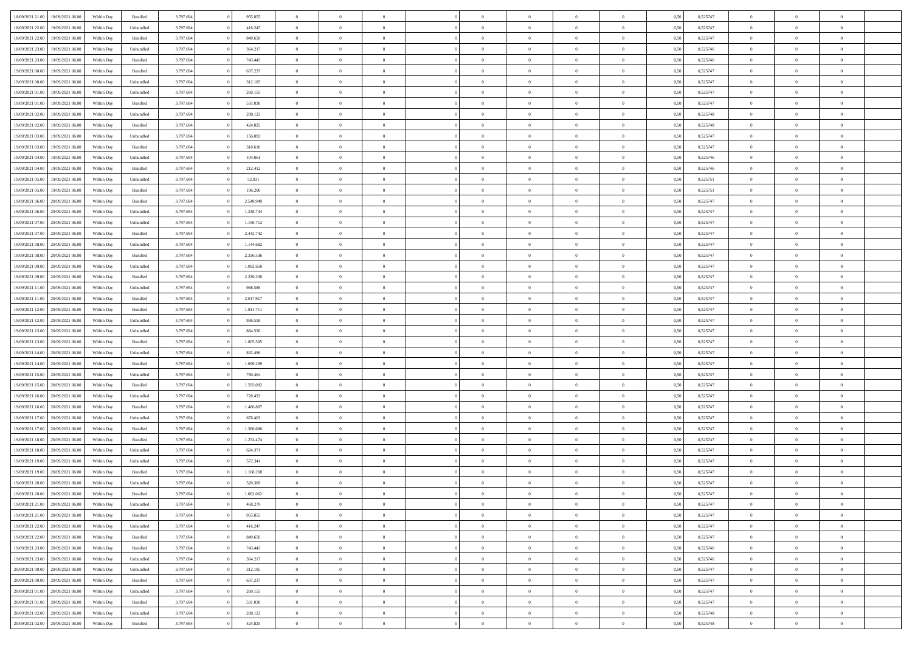| 18/09/2021 21:00<br>19/09/2021 06:00 | Within Day | Bundled   | 3.797.694 | 955.855   | $\overline{0}$ | $\overline{0}$ | $\Omega$       | $\Omega$       | $\Omega$       |                | $\overline{0}$ | 0,50 | 0,525747 | $\mathbf{0}$   | $\Omega$       | $\Omega$       |  |
|--------------------------------------|------------|-----------|-----------|-----------|----------------|----------------|----------------|----------------|----------------|----------------|----------------|------|----------|----------------|----------------|----------------|--|
| 18/09/2021 22:00<br>19/09/2021 06:00 | Within Day | Unbundled | 3.797.694 | 416.247   | $\bf{0}$       | $\overline{0}$ | $\theta$       | $\theta$       | $\overline{0}$ | $\overline{0}$ | $\,$ 0         | 0,50 | 0,525747 | $\mathbf{0}$   | $\theta$       | $\bf{0}$       |  |
| 18/09/2021 22:00<br>19/09/2021 06:00 | Within Day | Bundled   | 3.797.694 | 849.650   | $\overline{0}$ | $\overline{0}$ | $\overline{0}$ | $\bf{0}$       | $\bf{0}$       | $\overline{0}$ | $\mathbf{0}$   | 0,50 | 0,525747 | $\bf{0}$       | $\bf{0}$       | $\bf{0}$       |  |
| 18/09/2021 23:00<br>19/09/2021 06:00 | Within Day | Unbundled | 3.797.694 | 364.217   | $\overline{0}$ | $\overline{0}$ | $\overline{0}$ | $\overline{0}$ | $\overline{0}$ | $\Omega$       | $\overline{0}$ | 0.50 | 0,525746 | $\mathbf{0}$   | $\overline{0}$ | $\bf{0}$       |  |
|                                      |            |           |           |           |                |                |                |                |                |                |                |      |          |                |                |                |  |
| 18/09/2021 23:00<br>19/09/2021 06:00 | Within Day | Bundled   | 3.797.694 | 743.443   | $\bf{0}$       | $\overline{0}$ | $\theta$       | $\theta$       | $\overline{0}$ | $\overline{0}$ | $\bf{0}$       | 0,50 | 0,525746 | $\theta$       | $\theta$       | $\overline{0}$ |  |
| 19/09/2021 00:00<br>19/09/2021 06:00 | Within Day | Bundled   | 3.797.694 | 637.237   | $\overline{0}$ | $\overline{0}$ | $\overline{0}$ | $\bf{0}$       | $\overline{0}$ | $\overline{0}$ | $\overline{0}$ | 0,50 | 0,525747 | $\overline{0}$ | $\bf{0}$       | $\overline{0}$ |  |
| 19/09/2021 00:00<br>19/09/2021 06:00 | Within Day | Unbundled | 3.797.694 | 312.185   | $\overline{0}$ | $\overline{0}$ | $\overline{0}$ | $\overline{0}$ | $\overline{0}$ | $\overline{0}$ | $\overline{0}$ | 0.50 | 0,525747 | $\mathbf{0}$   | $\overline{0}$ | $\bf{0}$       |  |
| 19/09/2021 01:00<br>19/09/2021 06:00 | Within Day | Unbundled | 3.797.694 | 260.155   | $\bf{0}$       | $\overline{0}$ | $\overline{0}$ | $\theta$       | $\overline{0}$ | $\overline{0}$ | $\bf{0}$       | 0,50 | 0,525747 | $\theta$       | $\theta$       | $\bf{0}$       |  |
| 19/09/2021 01:00<br>19/09/2021 06:00 | Within Day | Bundled   | 3.797.694 | 531.030   | $\overline{0}$ | $\overline{0}$ | $\overline{0}$ | $\bf{0}$       | $\bf{0}$       | $\overline{0}$ | $\bf{0}$       | 0,50 | 0,525747 | $\bf{0}$       | $\bf{0}$       | $\bf{0}$       |  |
| 19/09/2021 06:00                     |            | Unbundled | 3.797.694 | 208.123   | $\overline{0}$ | $\overline{0}$ | $\overline{0}$ | $\overline{0}$ | $\overline{0}$ | $\overline{0}$ | $\overline{0}$ | 0.50 | 0,525748 | $\overline{0}$ | $\overline{0}$ | $\overline{0}$ |  |
| 19/09/2021 02:00                     | Within Day |           |           |           |                |                |                |                |                |                |                |      |          |                |                |                |  |
| 19/09/2021 02:00<br>19/09/2021 06:00 | Within Day | Bundled   | 3.797.694 | 424.825   | $\bf{0}$       | $\overline{0}$ | $\overline{0}$ | $\overline{0}$ | $\overline{0}$ | $\overline{0}$ | $\,$ 0         | 0,50 | 0,525748 | $\theta$       | $\theta$       | $\bf{0}$       |  |
| 19/09/2021 03:00<br>19/09/2021 06:00 | Within Day | Unbundled | 3.797.694 | 156.093   | $\overline{0}$ | $\overline{0}$ | $\overline{0}$ | $\bf{0}$       | $\bf{0}$       | $\overline{0}$ | $\mathbf{0}$   | 0,50 | 0,525747 | $\bf{0}$       | $\bf{0}$       | $\bf{0}$       |  |
| 19/09/2021 03:00<br>19/09/2021 06:00 | Within Day | Bundled   | 3.797.694 | 318.618   | $\overline{0}$ | $\overline{0}$ | $\overline{0}$ | $\overline{0}$ | $\overline{0}$ | $\overline{0}$ | $\overline{0}$ | 0.50 | 0,525747 | $\mathbf{0}$   | $\overline{0}$ | $\bf{0}$       |  |
| 19/09/2021 04:00<br>19/09/2021 06:00 | Within Day | Unbundled | 3.797.694 | 104.061   | $\bf{0}$       | $\overline{0}$ | $\theta$       | $\theta$       | $\overline{0}$ | $\overline{0}$ | $\,$ 0         | 0,50 | 0,525746 | $\theta$       | $\theta$       | $\overline{0}$ |  |
|                                      |            |           |           |           |                |                |                |                |                |                |                |      |          |                |                |                |  |
| 19/09/2021 04:00<br>19/09/2021 06:00 | Within Day | Bundled   | 3.797.694 | 212.412   | $\overline{0}$ | $\overline{0}$ | $\overline{0}$ | $\bf{0}$       | $\overline{0}$ | $\overline{0}$ | $\overline{0}$ | 0,50 | 0,525746 | $\overline{0}$ | $\bf{0}$       | $\overline{0}$ |  |
| 19/09/2021 05:00<br>19/09/2021 06:00 | Within Day | Unbundled | 3.797.694 | 52.031    | $\overline{0}$ | $\overline{0}$ | $\overline{0}$ | $\overline{0}$ | $\overline{0}$ | $\overline{0}$ | $\overline{0}$ | 0.50 | 0,525751 | $\overline{0}$ | $\overline{0}$ | $\bf{0}$       |  |
| 19/09/2021 05:00<br>19/09/2021 06:00 | Within Day | Bundled   | 3.797.694 | 106.206   | $\bf{0}$       | $\overline{0}$ | $\overline{0}$ | $\overline{0}$ | $\overline{0}$ | $\overline{0}$ | $\bf{0}$       | 0,50 | 0,525751 | $\theta$       | $\theta$       | $\bf{0}$       |  |
| 19/09/2021 06:00<br>20/09/2021 06:00 | Within Day | Bundled   | 3.797.694 | 2.548.949 | $\overline{0}$ | $\overline{0}$ | $\overline{0}$ | $\bf{0}$       | $\bf{0}$       | $\overline{0}$ | $\bf{0}$       | 0,50 | 0,525747 | $\bf{0}$       | $\bf{0}$       | $\bf{0}$       |  |
| 19/09/2021 06:00<br>20/09/2021 06:00 | Within Day | Unbundled | 3.797.694 | 1.248.744 | $\overline{0}$ | $\overline{0}$ | $\overline{0}$ | $\overline{0}$ | $\overline{0}$ | $\overline{0}$ | $\overline{0}$ | 0.50 | 0,525747 | $\overline{0}$ | $\overline{0}$ | $\overline{0}$ |  |
| 19/09/2021 07:00<br>20/09/2021 06:00 | Within Day | Unbundled | 3.797.694 | 1.196.712 | $\bf{0}$       | $\overline{0}$ | $\overline{0}$ | $\theta$       | $\overline{0}$ | $\overline{0}$ | $\,$ 0         | 0,50 | 0,525747 | $\theta$       | $\theta$       | $\bf{0}$       |  |
|                                      |            |           |           |           |                |                |                |                |                |                |                |      |          |                |                |                |  |
| 19/09/2021 07:00<br>20/09/2021 06:00 | Within Day | Bundled   | 3.797.694 | 2.442.742 | $\overline{0}$ | $\overline{0}$ | $\overline{0}$ | $\bf{0}$       | $\bf{0}$       | $\overline{0}$ | $\mathbf{0}$   | 0,50 | 0,525747 | $\bf{0}$       | $\bf{0}$       | $\bf{0}$       |  |
| 19/09/2021 08:00<br>20/09/2021 06:00 | Within Day | Unbundled | 3.797.694 | 1.144.682 | $\overline{0}$ | $\overline{0}$ | $\overline{0}$ | $\overline{0}$ | $\overline{0}$ | $\overline{0}$ | $\overline{0}$ | 0.50 | 0,525747 | $\overline{0}$ | $\overline{0}$ | $\bf{0}$       |  |
| 19/09/2021 08:00<br>20/09/2021 06:00 | Within Day | Bundled   | 3.797.694 | 2.336.536 | $\bf{0}$       | $\overline{0}$ | $\overline{0}$ | $\overline{0}$ | $\overline{0}$ | $\overline{0}$ | $\,$ 0         | 0,50 | 0,525747 | $\mathbf{0}$   | $\theta$       | $\bf{0}$       |  |
| 19/09/2021 09:00<br>20/09/2021 06:00 | Within Day | Unbundled | 3.797.694 | 1.092.650 | $\overline{0}$ | $\overline{0}$ | $\overline{0}$ | $\bf{0}$       | $\overline{0}$ | $\overline{0}$ | $\overline{0}$ | 0,50 | 0,525747 | $\overline{0}$ | $\bf{0}$       | $\overline{0}$ |  |
| 19/09/2021 09:00<br>20/09/2021 06:00 | Within Day | Bundled   | 3.797.694 | 2.230.330 | $\overline{0}$ | $\overline{0}$ | $\overline{0}$ | $\overline{0}$ | $\overline{0}$ | $\overline{0}$ | $\overline{0}$ | 0.50 | 0,525747 | $\overline{0}$ | $\overline{0}$ | $\overline{0}$ |  |
| 19/09/2021 11:00<br>20/09/2021 06:00 | Within Day | Unbundled | 3.797.694 | 988.588   | $\bf{0}$       | $\overline{0}$ | $\overline{0}$ | $\overline{0}$ | $\overline{0}$ | $\overline{0}$ | $\bf{0}$       | 0,50 | 0,525747 | $\theta$       | $\theta$       | $\bf{0}$       |  |
| 19/09/2021 11:00<br>20/09/2021 06:00 | Within Day | Bundled   | 3.797.694 | 2.017.917 | $\overline{0}$ | $\overline{0}$ | $\bf{0}$       | $\bf{0}$       | $\bf{0}$       | $\overline{0}$ | $\bf{0}$       | 0,50 | 0,525747 | $\bf{0}$       | $\bf{0}$       | $\bf{0}$       |  |
|                                      |            |           |           |           |                |                |                |                |                |                |                |      |          |                |                |                |  |
| 19/09/2021 12:00<br>20/09/2021 06:00 | Within Day | Bundled   | 3.797.694 | 1.911.711 | $\overline{0}$ | $\overline{0}$ | $\overline{0}$ | $\overline{0}$ | $\overline{0}$ | $\overline{0}$ | $\overline{0}$ | 0.50 | 0,525747 | $\overline{0}$ | $\overline{0}$ | $\bf{0}$       |  |
| 19/09/2021 12:00<br>20/09/2021 06:00 | Within Day | Unbundled | 3.797.694 | 936.558   | $\bf{0}$       | $\overline{0}$ | $\overline{0}$ | $\overline{0}$ | $\overline{0}$ | $\overline{0}$ | $\,$ 0         | 0,50 | 0,525747 | $\theta$       | $\theta$       | $\bf{0}$       |  |
| 19/09/2021 13:00<br>20/09/2021 06:00 | Within Day | Unbundled | 3.797.694 | 884.526   | $\overline{0}$ | $\overline{0}$ | $\overline{0}$ | $\bf{0}$       | $\bf{0}$       | $\overline{0}$ | $\mathbf{0}$   | 0,50 | 0,525747 | $\bf{0}$       | $\bf{0}$       | $\bf{0}$       |  |
| 19/09/2021 13:00<br>20/09/2021 06:00 | Within Day | Bundled   | 3.797.694 | 1.805.505 | $\overline{0}$ | $\overline{0}$ | $\overline{0}$ | $\overline{0}$ | $\overline{0}$ | $\Omega$       | $\overline{0}$ | 0,50 | 0,525747 | $\bf{0}$       | $\Omega$       | $\Omega$       |  |
| 19/09/2021 14:00<br>20/09/2021 06:00 | Within Day | Unbundled | 3.797.694 | 832.496   | $\bf{0}$       | $\overline{0}$ | $\overline{0}$ | $\theta$       | $\overline{0}$ | $\overline{0}$ | $\,$ 0         | 0,50 | 0,525747 | $\theta$       | $\theta$       | $\bf{0}$       |  |
| 19/09/2021 14:00<br>20/09/2021 06:00 | Within Day | Bundled   | 3.797.694 | 1.699.299 | $\overline{0}$ | $\overline{0}$ | $\overline{0}$ | $\bf{0}$       | $\overline{0}$ | $\overline{0}$ | $\overline{0}$ | 0,50 | 0,525747 | $\overline{0}$ | $\bf{0}$       | $\overline{0}$ |  |
| 20/09/2021 06:00                     |            | Unbundled | 3.797.694 | 780,464   | $\overline{0}$ | $\overline{0}$ | $\Omega$       | $\overline{0}$ | $\overline{0}$ | $\Omega$       | $\overline{0}$ | 0.50 | 0,525747 | $\overline{0}$ | $\Omega$       | $\Omega$       |  |
| 19/09/2021 15:00                     | Within Day |           |           |           |                |                |                |                |                |                |                |      |          |                |                |                |  |
| 19/09/2021 15:00<br>20/09/2021 06:00 | Within Day | Bundled   | 3.797.694 | 1.593.092 | $\bf{0}$       | $\overline{0}$ | $\bf{0}$       | $\overline{0}$ | $\overline{0}$ | $\overline{0}$ | $\bf{0}$       | 0,50 | 0,525747 | $\theta$       | $\theta$       | $\bf{0}$       |  |
| 19/09/2021 16:00<br>20/09/2021 06:00 | Within Day | Unbundled | 3.797.694 | 728.433   | $\overline{0}$ | $\overline{0}$ | $\bf{0}$       | $\bf{0}$       | $\bf{0}$       | $\overline{0}$ | $\bf{0}$       | 0,50 | 0,525747 | $\bf{0}$       | $\bf{0}$       | $\bf{0}$       |  |
| 19/09/2021 16:00<br>20/09/2021 06:00 | Within Day | Bundled   | 3.797.694 | 1.486,887 | $\overline{0}$ | $\overline{0}$ | $\Omega$       | $\overline{0}$ | $\overline{0}$ | $\Omega$       | $\theta$       | 0.50 | 0,525747 | $\overline{0}$ | $\Omega$       | $\Omega$       |  |
| 19/09/2021 17:00<br>20/09/2021 06:00 | Within Day | Unbundled | 3.797.694 | 676.403   | $\bf{0}$       | $\overline{0}$ | $\bf{0}$       | $\overline{0}$ | $\overline{0}$ | $\overline{0}$ | $\,$ 0         | 0,50 | 0,525747 | $\theta$       | $\theta$       | $\bf{0}$       |  |
| 19/09/2021 17:00<br>20/09/2021 06:00 | Within Day | Bundled   | 3.797.694 | 1.380.680 | $\overline{0}$ | $\overline{0}$ | $\overline{0}$ | $\bf{0}$       | $\bf{0}$       | $\overline{0}$ | $\mathbf{0}$   | 0,50 | 0,525747 | $\overline{0}$ | $\bf{0}$       | $\bf{0}$       |  |
| 19/09/2021 18:00<br>20/09/2021 06:00 | Within Day | Bundled   | 3.797.694 | 1.274.474 | $\overline{0}$ | $\overline{0}$ | $\overline{0}$ | $\overline{0}$ | $\overline{0}$ | $\Omega$       | $\overline{0}$ | 0,50 | 0,525747 | $\overline{0}$ | $\Omega$       | $\Omega$       |  |
|                                      |            |           |           |           |                |                |                |                |                |                |                |      |          |                |                |                |  |
| 19/09/2021 18:00<br>20/09/2021 06:00 | Within Day | Unbundled | 3.797.694 | 624.371   | $\bf{0}$       | $\overline{0}$ | $\overline{0}$ | $\overline{0}$ | $\overline{0}$ | $\overline{0}$ | $\,$ 0         | 0,50 | 0,525747 | $\bf{0}$       | $\theta$       | $\bf{0}$       |  |
| 19/09/2021 19:00<br>20/09/2021 06:00 | Within Day | Unbundled | 3.797.694 | 572.341   | $\overline{0}$ | $\overline{0}$ | $\bf{0}$       | $\bf{0}$       | $\overline{0}$ | $\overline{0}$ | $\overline{0}$ | 0,50 | 0,525747 | $\overline{0}$ | $\bf{0}$       | $\bf{0}$       |  |
| 19/09/2021 19:00<br>20/09/2021 06:00 | Within Day | Bundled   | 3.797.694 | 1.168.268 | $\overline{0}$ | $\Omega$       | $\Omega$       | $\Omega$       | $\overline{0}$ | $\Omega$       | $\overline{0}$ | 0.50 | 0,525747 | $\overline{0}$ | $\Omega$       | $\Omega$       |  |
| 19/09/2021 20:00<br>20/09/2021 06:00 | Within Day | Unbundled | 3.797.694 | 520.309   | $\bf{0}$       | $\bf{0}$       | $\bf{0}$       | $\overline{0}$ | $\bf{0}$       | $\overline{0}$ | $\,$ 0         | 0,50 | 0,525747 | $\bf{0}$       | $\,$ 0         | $\bf{0}$       |  |
| 19/09/2021 20:00 20/09/2021 06:00    | Within Day | Bundled   | 3.797.694 | 1.062.062 | $\bf{0}$       | $\bf{0}$       |                |                |                |                |                | 0,50 | 0,525747 | $\bf{0}$       | $\bf{0}$       |                |  |
| 19/09/2021 21:00 20/09/2021 06:00    | Within Day | Unbundled | 3.797.694 | 468.279   | $\overline{0}$ | $\overline{0}$ | $\overline{0}$ | $\overline{0}$ | $\overline{0}$ | $\overline{0}$ | $\mathbf{0}$   | 0,50 | 0,525747 | $\overline{0}$ | $\overline{0}$ | $\overline{0}$ |  |
| 19/09/2021 21:00<br>20/09/2021 06:00 | Within Day | Bundled   | 3.797.694 | 955.855   | $\overline{0}$ | $\overline{0}$ | $\overline{0}$ | $\bf{0}$       | $\overline{0}$ | $\overline{0}$ | $\mathbf{0}$   | 0,50 | 0,525747 | $\,$ 0 $\,$    | $\overline{0}$ | $\,$ 0 $\,$    |  |
|                                      |            |           |           |           |                |                |                |                |                |                |                |      |          |                |                |                |  |
| 19/09/2021 22:00 20/09/2021 06:00    | Within Day | Unbundled | 3.797.694 | 416.247   | $\overline{0}$ | $\overline{0}$ | $\overline{0}$ | $\bf{0}$       | $\overline{0}$ | $\overline{0}$ | $\mathbf{0}$   | 0,50 | 0,525747 | $\overline{0}$ | $\overline{0}$ | $\overline{0}$ |  |
| 19/09/2021 22:00<br>20/09/2021 06:00 | Within Day | Bundled   | 3.797.694 | 849.650   | $\overline{0}$ | $\overline{0}$ | $\overline{0}$ | $\overline{0}$ | $\bf{0}$       | $\overline{0}$ | $\overline{0}$ | 0,50 | 0,525747 | $\overline{0}$ | $\overline{0}$ | $\overline{0}$ |  |
| 19/09/2021 23:00<br>20/09/2021 06:00 | Within Day | Bundled   | 3.797.694 | 743.443   | $\overline{0}$ | $\overline{0}$ | $\overline{0}$ | $\overline{0}$ | $\overline{0}$ | $\overline{0}$ | $\mathbf{0}$   | 0,50 | 0,525746 | $\,$ 0 $\,$    | $\theta$       | $\overline{0}$ |  |
| 19/09/2021 23:00<br>20/09/2021 06:00 | Within Day | Unbundled | 3.797.694 | 364.217   | $\overline{0}$ | $\overline{0}$ | $\overline{0}$ | $\overline{0}$ | $\overline{0}$ | $\overline{0}$ | $\overline{0}$ | 0,50 | 0,525746 | $\overline{0}$ | $\overline{0}$ | $\overline{0}$ |  |
| 20/09/2021 00:00<br>20/09/2021 06:00 | Within Day | Unbundled | 3.797.694 | 312.185   | $\overline{0}$ | $\overline{0}$ | $\overline{0}$ | $\overline{0}$ | $\overline{0}$ | $\overline{0}$ | $\overline{0}$ | 0.50 | 0,525747 | $\overline{0}$ | $\overline{0}$ | $\overline{0}$ |  |
| 20/09/2021 00:00<br>20/09/2021 06:00 | Within Day | Bundled   | 3.797.694 | 637.237   | $\overline{0}$ | $\overline{0}$ | $\overline{0}$ | $\bf{0}$       | $\bf{0}$       | $\overline{0}$ | $\,$ 0 $\,$    | 0,50 | 0,525747 | $\,$ 0 $\,$    | $\theta$       | $\,$ 0         |  |
|                                      |            |           |           |           |                |                |                |                |                |                |                |      |          |                |                |                |  |
| 20/09/2021 01:00<br>20/09/2021 06:00 | Within Day | Unbundled | 3.797.694 | 260.155   | $\overline{0}$ | $\overline{0}$ | $\overline{0}$ | $\bf{0}$       | $\overline{0}$ | $\overline{0}$ | $\overline{0}$ | 0,50 | 0,525747 | $\bf{0}$       | $\bf{0}$       | $\overline{0}$ |  |
| 20/09/2021 01:00<br>20/09/2021 06:00 | Within Day | Bundled   | 3.797.694 | 531.030   | $\overline{0}$ | $\overline{0}$ | $\overline{0}$ | $\overline{0}$ | $\overline{0}$ | $\overline{0}$ | $\overline{0}$ | 0,50 | 0,525747 | $\overline{0}$ | $\overline{0}$ | $\overline{0}$ |  |
| 20/09/2021 02:00<br>20/09/2021 06:00 | Within Day | Unbundled | 3.797.694 | 208.123   | $\overline{0}$ | $\overline{0}$ | $\overline{0}$ | $\bf{0}$       | $\bf{0}$       | $\bf{0}$       | $\,$ 0 $\,$    | 0,50 | 0,525748 | $\,0\,$        | $\,0\,$        | $\,$ 0         |  |
| 20/09/2021 02:00 20/09/2021 06:00    | Within Day | Bundled   | 3.797.694 | 424.825   | $\overline{0}$ | $\overline{0}$ | $\overline{0}$ | $\bf{0}$       | $\bf{0}$       | $\overline{0}$ | $\bf{0}$       | 0,50 | 0,525748 | $\bf{0}$       | $\bf{0}$       | $\overline{0}$ |  |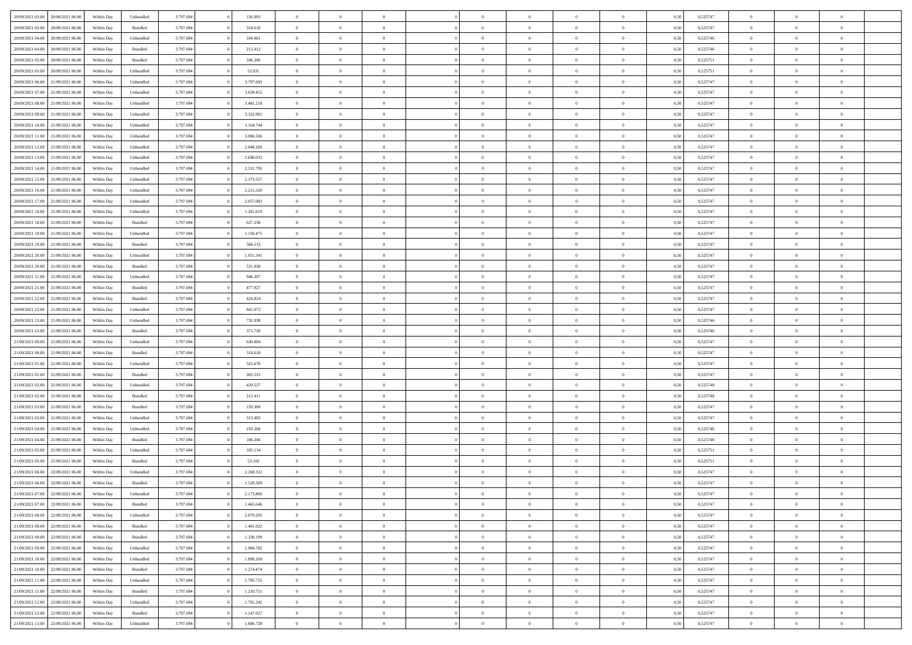| 20/09/2021 03:00<br>20/09/2021 06:00 | Within Day | Unbundled | 3.797.694 | 156.093   | $\overline{0}$ | $\overline{0}$ | $\overline{0}$ | $\theta$       | $\theta$       |                | $\overline{0}$ | 0,50 | 0,525747 | $\theta$       | $\theta$       | $\overline{0}$ |  |
|--------------------------------------|------------|-----------|-----------|-----------|----------------|----------------|----------------|----------------|----------------|----------------|----------------|------|----------|----------------|----------------|----------------|--|
|                                      |            |           |           |           |                |                |                |                |                |                |                |      |          |                |                | $\overline{0}$ |  |
| 20/09/2021 03:00<br>20/09/2021 06.0  | Within Day | Bundled   | 3.797.694 | 318.618   | $\overline{0}$ | $\overline{0}$ | $\overline{0}$ | $\overline{0}$ | $\bf{0}$       | $\overline{0}$ | $\mathbf{0}$   | 0,50 | 0,525747 | $\overline{0}$ | $\bf{0}$       |                |  |
| 20/09/2021 04:00<br>20/09/2021 06:00 | Within Day | Unbundled | 3.797.694 | 104.061   | $\overline{0}$ | $\overline{0}$ | $\overline{0}$ | $\bf{0}$       | $\bf{0}$       | $\overline{0}$ | $\mathbf{0}$   | 0.50 | 0,525746 | $\bf{0}$       | $\overline{0}$ | $\bf{0}$       |  |
| 20/09/2021 04:00<br>20/09/2021 06:00 | Within Day | Bundled   | 3.797.694 | 212.412   | $\overline{0}$ | $\overline{0}$ | $\overline{0}$ | $\bf{0}$       | $\overline{0}$ | $\overline{0}$ | $\,$ 0 $\,$    | 0,50 | 0,525746 | $\,$ 0 $\,$    | $\overline{0}$ | $\overline{0}$ |  |
| 20/09/2021 05:00<br>20/09/2021 06.0  | Within Day | Bundled   | 3.797.694 | 106.206   | $\overline{0}$ | $\overline{0}$ | $\overline{0}$ | $\overline{0}$ | $\bf{0}$       | $\overline{0}$ | $\bf{0}$       | 0,50 | 0,525751 | $\,$ 0 $\,$    | $\bf{0}$       | $\overline{0}$ |  |
| 20/09/2021 05:00<br>20/09/2021 06:00 | Within Day | Unbundled | 3.797.694 | 52.031    | $\overline{0}$ | $\overline{0}$ | $\overline{0}$ | $\bf{0}$       | $\overline{0}$ | $\overline{0}$ | $\mathbf{0}$   | 0.50 | 0,525751 | $\,$ 0 $\,$    | $\theta$       | $\overline{0}$ |  |
| 20/09/2021 06:00<br>21/09/2021 06:00 | Within Day | Unbundled | 3.797.694 | 3.797.693 | $\overline{0}$ | $\overline{0}$ | $\overline{0}$ | $\overline{0}$ | $\overline{0}$ | $\overline{0}$ | $\bf{0}$       | 0,50 | 0,525747 | $\,$ 0 $\,$    | $\theta$       | $\overline{0}$ |  |
| 20/09/2021 07:00<br>21/09/2021 06.00 | Within Day | Unbundled | 3.797.694 | 3.639.455 | $\overline{0}$ | $\overline{0}$ | $\overline{0}$ | $\overline{0}$ | $\bf{0}$       | $\overline{0}$ | $\bf{0}$       | 0,50 | 0,525747 | $\,$ 0 $\,$    | $\bf{0}$       | $\overline{0}$ |  |
| 20/09/2021 08:00<br>21/09/2021 06:00 | Within Day | Unbundled | 3.797.694 | 3.481.218 | $\overline{0}$ | $\overline{0}$ | $\overline{0}$ | $\bf{0}$       | $\bf{0}$       | $\overline{0}$ | $\mathbf{0}$   | 0.50 | 0.525747 | $\bf{0}$       | $\overline{0}$ | $\bf{0}$       |  |
| 20/09/2021 09:00<br>21/09/2021 06:00 | Within Day | Unbundled | 3.797.694 | 3.322.981 | $\overline{0}$ | $\overline{0}$ | $\overline{0}$ | $\bf{0}$       | $\bf{0}$       | $\overline{0}$ | $\bf{0}$       | 0,50 | 0,525747 | $\,$ 0         | $\overline{0}$ | $\overline{0}$ |  |
|                                      |            |           |           |           |                |                |                |                |                |                |                |      |          |                |                |                |  |
| 20/09/2021 10:00<br>21/09/2021 06.00 | Within Day | Unbundled | 3.797.694 | 3.164.744 | $\overline{0}$ | $\overline{0}$ | $\overline{0}$ | $\overline{0}$ | $\bf{0}$       | $\overline{0}$ | $\bf{0}$       | 0,50 | 0,525747 | $\,$ 0 $\,$    | $\bf{0}$       | $\overline{0}$ |  |
| 20/09/2021 11:00<br>21/09/2021 06:00 | Within Day | Unbundled | 3.797.694 | 3.006.506 | $\overline{0}$ | $\overline{0}$ | $\overline{0}$ | $\bf{0}$       | $\bf{0}$       | $\overline{0}$ | $\,$ 0 $\,$    | 0.50 | 0.525747 | $\bf{0}$       | $\overline{0}$ | $\bf{0}$       |  |
| 20/09/2021 12:00<br>21/09/2021 06:00 | Within Day | Unbundled | 3.797.694 | 2.848.269 | $\overline{0}$ | $\overline{0}$ | $\overline{0}$ | $\overline{0}$ | $\overline{0}$ | $\overline{0}$ | $\,$ 0 $\,$    | 0,50 | 0,525747 | $\,$ 0 $\,$    | $\theta$       | $\overline{0}$ |  |
| 20/09/2021 13:00<br>21/09/2021 06.00 | Within Day | Unbundled | 3.797.694 | 2.690.032 | $\overline{0}$ | $\overline{0}$ | $\overline{0}$ | $\overline{0}$ | $\bf{0}$       | $\overline{0}$ | $\bf{0}$       | 0,50 | 0,525747 | $\,$ 0 $\,$    | $\bf{0}$       | $\overline{0}$ |  |
| 20/09/2021 14:00<br>21/09/2021 06:00 | Within Day | Unbundled | 3.797.694 | 2.531.795 | $\overline{0}$ | $\overline{0}$ | $\overline{0}$ | $\bf{0}$       | $\overline{0}$ | $\overline{0}$ | $\mathbf{0}$   | 0.50 | 0.525747 | $\,$ 0 $\,$    | $\theta$       | $\overline{0}$ |  |
| 20/09/2021 15:00<br>21/09/2021 06:00 | Within Day | Unbundled | 3.797.694 | 2.373.557 | $\overline{0}$ | $\overline{0}$ | $\overline{0}$ | $\bf{0}$       | $\overline{0}$ | $\overline{0}$ | $\bf{0}$       | 0,50 | 0,525747 | $\,$ 0         | $\theta$       | $\overline{0}$ |  |
| 20/09/2021 16:00<br>21/09/2021 06.00 | Within Day | Unbundled | 3.797.694 | 2.215.320 | $\overline{0}$ | $\overline{0}$ | $\overline{0}$ | $\overline{0}$ | $\bf{0}$       | $\overline{0}$ | $\bf{0}$       | 0,50 | 0,525747 | $\,$ 0 $\,$    | $\bf{0}$       | $\overline{0}$ |  |
| 20/09/2021 17:00<br>21/09/2021 06:00 | Within Day | Unbundled | 3.797.694 | 2.057.083 | $\overline{0}$ | $\overline{0}$ | $\overline{0}$ | $\bf{0}$       | $\bf{0}$       | $\overline{0}$ | $\mathbf{0}$   | 0.50 | 0.525747 | $\bf{0}$       | $\overline{0}$ | $\bf{0}$       |  |
| 20/09/2021 18:00<br>21/09/2021 06:00 | Within Day | Unbundled | 3.797.694 | 1.261.610 | $\overline{0}$ | $\overline{0}$ | $\overline{0}$ | $\bf{0}$       | $\bf{0}$       | $\overline{0}$ | $\bf{0}$       | 0,50 | 0,525747 | $\,$ 0 $\,$    | $\,$ 0 $\,$    | $\overline{0}$ |  |
|                                      |            |           |           |           |                |                |                |                |                |                |                |      |          |                |                |                |  |
| 20/09/2021 18:00<br>21/09/2021 06.00 | Within Day | Bundled   | 3.797.694 | 637.236   | $\overline{0}$ | $\overline{0}$ | $\overline{0}$ | $\overline{0}$ | $\bf{0}$       | $\overline{0}$ | $\bf{0}$       | 0,50 | 0,525747 | $\,$ 0 $\,$    | $\bf{0}$       | $\overline{0}$ |  |
| 20/09/2021 19:00<br>21/09/2021 06:00 | Within Day | Unbundled | 3.797.694 | 1.156.475 | $\overline{0}$ | $\overline{0}$ | $\overline{0}$ | $\bf{0}$       | $\bf{0}$       | $\overline{0}$ | $\,$ 0 $\,$    | 0.50 | 0.525747 | $\bf{0}$       | $\overline{0}$ | $\,$ 0         |  |
| 20/09/2021 19:00<br>21/09/2021 06:00 | Within Day | Bundled   | 3.797.694 | 584.133   | $\overline{0}$ | $\overline{0}$ | $\overline{0}$ | $\bf{0}$       | $\overline{0}$ | $\overline{0}$ | $\,$ 0 $\,$    | 0,50 | 0,525747 | $\,$ 0 $\,$    | $\overline{0}$ | $\overline{0}$ |  |
| 20/09/2021 20:00<br>21/09/2021 06.00 | Within Day | Unbundled | 3.797.694 | 1.051.341 | $\overline{0}$ | $\overline{0}$ | $\overline{0}$ | $\overline{0}$ | $\bf{0}$       | $\overline{0}$ | $\bf{0}$       | 0,50 | 0,525747 | $\,$ 0 $\,$    | $\bf{0}$       | $\overline{0}$ |  |
| 20/09/2021 20:00<br>21/09/2021 06:00 | Within Day | Bundled   | 3.797.694 | 531.030   | $\overline{0}$ | $\overline{0}$ | $\overline{0}$ | $\bf{0}$       | $\overline{0}$ | $\overline{0}$ | $\mathbf{0}$   | 0.50 | 0.525747 | $\,$ 0 $\,$    | $\overline{0}$ | $\overline{0}$ |  |
| 20/09/2021 21:00<br>21/09/2021 06:00 | Within Day | Unbundled | 3.797.694 | 946.207   | $\overline{0}$ | $\overline{0}$ | $\overline{0}$ | $\bf{0}$       | $\overline{0}$ | $\overline{0}$ | $\bf{0}$       | 0,50 | 0,525747 | $\,$ 0 $\,$    | $\theta$       | $\overline{0}$ |  |
| 20/09/2021 21:00<br>21/09/2021 06.00 | Within Day | Bundled   | 3.797.694 | 477.927   | $\overline{0}$ | $\overline{0}$ | $\overline{0}$ | $\,$ 0 $\,$    | $\bf{0}$       | $\overline{0}$ | $\bf{0}$       | 0,50 | 0,525747 | $\,$ 0 $\,$    | $\bf{0}$       | $\overline{0}$ |  |
| 20/09/2021 22:00<br>21/09/2021 06:00 | Within Day | Bundled   | 3.797.694 | 424.824   | $\overline{0}$ | $\overline{0}$ | $\overline{0}$ | $\bf{0}$       | $\bf{0}$       | $\overline{0}$ | $\mathbf{0}$   | 0.50 | 0.525747 | $\bf{0}$       | $\overline{0}$ | $\bf{0}$       |  |
| 20/09/2021 22:00<br>21/09/2021 06:00 | Within Day | Unbundled | 3.797.694 | 841.073   | $\overline{0}$ | $\overline{0}$ | $\overline{0}$ | $\bf{0}$       | $\bf{0}$       | $\overline{0}$ | $\bf{0}$       | 0,50 | 0,525747 | $\,$ 0         | $\overline{0}$ | $\overline{0}$ |  |
| 20/09/2021 23:00<br>21/09/2021 06.00 | Within Day | Unbundled | 3.797.694 | 735.938   | $\overline{0}$ | $\overline{0}$ | $\overline{0}$ | $\overline{0}$ | $\bf{0}$       | $\overline{0}$ | $\mathbf{0}$   | 0,50 | 0,525746 | $\overline{0}$ | $\bf{0}$       | $\overline{0}$ |  |
|                                      |            |           |           |           |                |                |                |                |                |                |                |      |          |                |                |                |  |
| 20/09/2021 23:00<br>21/09/2021 06:00 | Within Day | Bundled   | 3.797.694 | 371.720   | $\overline{0}$ | $\overline{0}$ | $\overline{0}$ | $\bf{0}$       | $\bf{0}$       | $\overline{0}$ | $\,$ 0 $\,$    | 0.50 | 0,525746 | $\bf{0}$       | $\overline{0}$ | $\,$ 0         |  |
| 21/09/2021 00:00<br>21/09/2021 06:00 | Within Day | Unbundled | 3.797.694 | 630.804   | $\overline{0}$ | $\overline{0}$ | $\overline{0}$ | $\overline{0}$ | $\overline{0}$ | $\overline{0}$ | $\overline{0}$ | 0.50 | 0,525747 | $\theta$       | $\overline{0}$ | $\overline{0}$ |  |
| 21/09/2021 00:00<br>21/09/2021 06.00 | Within Day | Bundled   | 3.797.694 | 318.618   | $\overline{0}$ | $\overline{0}$ | $\overline{0}$ | $\overline{0}$ | $\bf{0}$       | $\overline{0}$ | $\bf{0}$       | 0,50 | 0,525747 | $\,$ 0 $\,$    | $\bf{0}$       | $\overline{0}$ |  |
| 21/09/2021 01:00<br>21/09/2021 06:00 | Within Day | Unbundled | 3.797.694 | 525.670   | $\overline{0}$ | $\overline{0}$ | $\overline{0}$ | $\bf{0}$       | $\bf{0}$       | $\overline{0}$ | $\mathbf{0}$   | 0.50 | 0.525747 | $\,$ 0 $\,$    | $\theta$       | $\overline{0}$ |  |
| 21/09/2021 01:00<br>21/09/2021 06:00 | Within Day | Bundled   | 3.797.694 | 265.515   | $\overline{0}$ | $\overline{0}$ | $\overline{0}$ | $\overline{0}$ | $\overline{0}$ | $\overline{0}$ | $\overline{0}$ | 0,50 | 0,525747 | $\overline{0}$ | $\theta$       | $\overline{0}$ |  |
| 21/09/2021 02:00<br>21/09/2021 06.00 | Within Day | Unbundled | 3.797.694 | 420.537   | $\overline{0}$ | $\overline{0}$ | $\overline{0}$ | $\overline{0}$ | $\bf{0}$       | $\overline{0}$ | $\bf{0}$       | 0,50 | 0,525748 | $\,$ 0 $\,$    | $\bf{0}$       | $\overline{0}$ |  |
| 21/09/2021 02:00<br>21/09/2021 06:00 | Within Day | Bundled   | 3.797.694 | 212.411   | $\overline{0}$ | $\overline{0}$ | $\overline{0}$ | $\bf{0}$       | $\bf{0}$       | $\overline{0}$ | $\mathbf{0}$   | 0.50 | 0.525748 | $\bf{0}$       | $\overline{0}$ | $\bf{0}$       |  |
| 21/09/2021 03:00<br>21/09/2021 06:00 | Within Day | Bundled   | 3.797.694 | 159.309   | $\overline{0}$ | $\overline{0}$ | $\overline{0}$ | $\overline{0}$ | $\overline{0}$ | $\overline{0}$ | $\overline{0}$ | 0,50 | 0,525747 | $\overline{0}$ | $\overline{0}$ | $\overline{0}$ |  |
| 21/09/2021 03:00<br>21/09/2021 06.00 | Within Day | Unbundled | 3.797.694 | 315.402   | $\overline{0}$ | $\overline{0}$ | $\overline{0}$ | $\overline{0}$ | $\bf{0}$       | $\overline{0}$ | $\mathbf{0}$   | 0,50 | 0,525747 | $\overline{0}$ | $\bf{0}$       | $\overline{0}$ |  |
| 21/09/2021 04:00<br>21/09/2021 06:00 | Within Day | Unbundled | 3.797.694 | 210.268   | $\overline{0}$ | $\overline{0}$ | $\overline{0}$ | $\bf{0}$       | $\bf{0}$       | $\overline{0}$ | $\,$ 0 $\,$    | 0.50 | 0,525746 | $\bf{0}$       | $\overline{0}$ | $\,$ 0         |  |
| 21/09/2021 04:00<br>21/09/2021 06:00 | Within Day | Bundled   | 3.797.694 | 106.206   | $\overline{0}$ | $\overline{0}$ | $\overline{0}$ | $\overline{0}$ | $\overline{0}$ | $\overline{0}$ | $\overline{0}$ | 0,50 | 0,525746 | $\overline{0}$ | $\theta$       | $\overline{0}$ |  |
|                                      |            |           |           |           |                |                |                |                |                |                |                |      |          |                |                |                |  |
| 21/09/2021 05:00<br>21/09/2021 06.00 | Within Day | Unbundled | 3.797.694 | 105.134   | $\overline{0}$ | $\overline{0}$ | $\overline{0}$ | $\overline{0}$ | $\bf{0}$       | $\overline{0}$ | $\bf{0}$       | 0,50 | 0,525751 | $\,$ 0 $\,$    | $\bf{0}$       | $\overline{0}$ |  |
| 21/09/2021 05:00<br>21/09/2021 06:00 | Within Day | Bundled   | 3.797.694 | 53.102    | $\overline{0}$ | $\overline{0}$ | $\overline{0}$ | $\overline{0}$ | $\overline{0}$ | $\overline{0}$ | $\mathbf{0}$   | 0.50 | 0,525751 | $\bf{0}$       | $\theta$       | $\overline{0}$ |  |
| 21/09/2021 06:00<br>22/09/2021 06:00 | Within Day | Unbundled | 3.797.694 | 2.268.322 | $\overline{0}$ | $\overline{0}$ | $\overline{0}$ | $\overline{0}$ | $\overline{0}$ | $\Omega$       | $\overline{0}$ | 0.50 | 0,525747 | $\theta$       | $\theta$       | $\overline{0}$ |  |
| 21/09/2021 06:00<br>22/09/2021 06.00 | Within Day | Bundled   | 3.797.694 | 1.529.369 | $\overline{0}$ | $\overline{0}$ | $\overline{0}$ | $\overline{0}$ | $\bf{0}$       | $\overline{0}$ | $\bf{0}$       | 0,50 | 0,525747 | $\overline{0}$ | $\bf{0}$       | $\overline{0}$ |  |
| 21/09/2021 07:00 22/09/2021 06:00    | Within Day | Unbundled | 3.797.694 | 2.173.809 | $\bf{0}$       | $\,$ 0 $\,$    |                | $\bf{0}$       |                |                | $\theta$       | 0,50 | 0,525747 | $\theta$       | $\overline{0}$ |                |  |
| 21/09/2021 07:00 22/09/2021 06:00    | Within Day | Bundled   | 3.797.694 | 1.465.646 | $\overline{0}$ | $\overline{0}$ | $\overline{0}$ | $\overline{0}$ | $\overline{0}$ | $\overline{0}$ | $\overline{0}$ | 0,50 | 0,525747 | $\theta$       | $\overline{0}$ | $\overline{0}$ |  |
| 21/09/2021 08:00<br>22/09/2021 06.00 | Within Day | Unbundled | 3.797.694 | 2.079.295 | $\overline{0}$ | $\overline{0}$ | $\overline{0}$ | $\bf{0}$       | $\overline{0}$ | $\overline{0}$ | $\bf{0}$       | 0,50 | 0,525747 | $\overline{0}$ | $\overline{0}$ | $\bf{0}$       |  |
| 21/09/2021 08:00<br>22/09/2021 06:00 | Within Day | Bundled   | 3.797.694 | 1.401.922 | $\overline{0}$ | $\overline{0}$ | $\overline{0}$ | $\,$ 0 $\,$    | $\bf{0}$       | $\overline{0}$ | $\mathbf{0}$   | 0.50 | 0,525747 | $\overline{0}$ | $\bf{0}$       | $\bf{0}$       |  |
| 21/09/2021 09:00<br>22/09/2021 06:00 | Within Day | Bundled   | 3.797.694 | 1.338.199 | $\overline{0}$ | $\overline{0}$ | $\overline{0}$ | $\overline{0}$ | $\overline{0}$ | $\overline{0}$ | $\mathbf{0}$   | 0,50 | 0,525747 | $\overline{0}$ | $\theta$       | $\overline{0}$ |  |
| 21/09/2021 09:00<br>22/09/2021 06:00 | Within Day | Unbundled | 3.797.694 | 1.984.782 | $\overline{0}$ | $\overline{0}$ | $\overline{0}$ | $\bf{0}$       | $\bf{0}$       | $\overline{0}$ | $\mathbf{0}$   | 0,50 | 0,525747 | $\,$ 0         | $\bf{0}$       | $\overline{0}$ |  |
| 22/09/2021 06:00                     |            |           | 3.797.694 | 1.890.269 | $\overline{0}$ |                | $\overline{0}$ |                | $\bf{0}$       | $\overline{0}$ |                | 0.50 | 0.525747 | $\,$ 0 $\,$    | $\theta$       | $\,$ 0         |  |
| 21/09/2021 10.00                     | Within Day | Unbundled |           |           |                | $\overline{0}$ |                | $\bf{0}$       |                |                | $\mathbf{0}$   |      |          |                |                |                |  |
| 21/09/2021 10:00<br>22/09/2021 06:00 | Within Day | Bundled   | 3.797.694 | 1.274.474 | $\overline{0}$ | $\overline{0}$ | $\overline{0}$ | $\overline{0}$ | $\overline{0}$ | $\overline{0}$ | $\mathbf{0}$   | 0,50 | 0,525747 | $\overline{0}$ | $\theta$       | $\overline{0}$ |  |
| 21/09/2021 11:00<br>22/09/2021 06:00 | Within Day | Unbundled | 3.797.694 | 1.795.755 | $\overline{0}$ | $\overline{0}$ | $\overline{0}$ | $\bf{0}$       | $\overline{0}$ | $\overline{0}$ | $\,$ 0 $\,$    | 0,50 | 0,525747 | $\bf{0}$       | $\bf{0}$       | $\,$ 0         |  |
| 21/09/2021 11:00<br>22/09/2021 06:00 | Within Day | Bundled   | 3.797.694 | 1.210.751 | $\overline{0}$ | $\overline{0}$ | $\overline{0}$ | $\bf{0}$       | $\overline{0}$ | $\overline{0}$ | $\mathbf{0}$   | 0.50 | 0.525747 | $\overline{0}$ | $\bf{0}$       | $\,$ 0         |  |
| 21/09/2021 12:00<br>22/09/2021 06:00 | Within Dav | Unbundled | 3.797.694 | 1.701.242 | $\overline{0}$ | $\overline{0}$ | $\overline{0}$ | $\overline{0}$ | $\overline{0}$ | $\overline{0}$ | $\mathbf{0}$   | 0,50 | 0,525747 | $\overline{0}$ | $\theta$       | $\overline{0}$ |  |
| 21/09/2021 12:00<br>22/09/2021 06.00 | Within Day | Bundled   | 3.797.694 | 1.147.027 | $\overline{0}$ | $\overline{0}$ | $\overline{0}$ | $\bf{0}$       | $\bf{0}$       | $\overline{0}$ | $\,$ 0 $\,$    | 0,50 | 0,525747 | $\bf{0}$       | $\bf{0}$       | $\bf{0}$       |  |
| 21/09/2021 13:00 22/09/2021 06:00    | Within Day | Unbundled | 3.797.694 | 1.606.728 | $\,$ 0 $\,$    | $\overline{0}$ | $\overline{0}$ | $\bf{0}$       | $\,$ 0 $\,$    | $\overline{0}$ | $\,0\,$        | 0,50 | 0,525747 | $\,$ 0 $\,$    | $\,$ 0 $\,$    | $\,$ 0 $\,$    |  |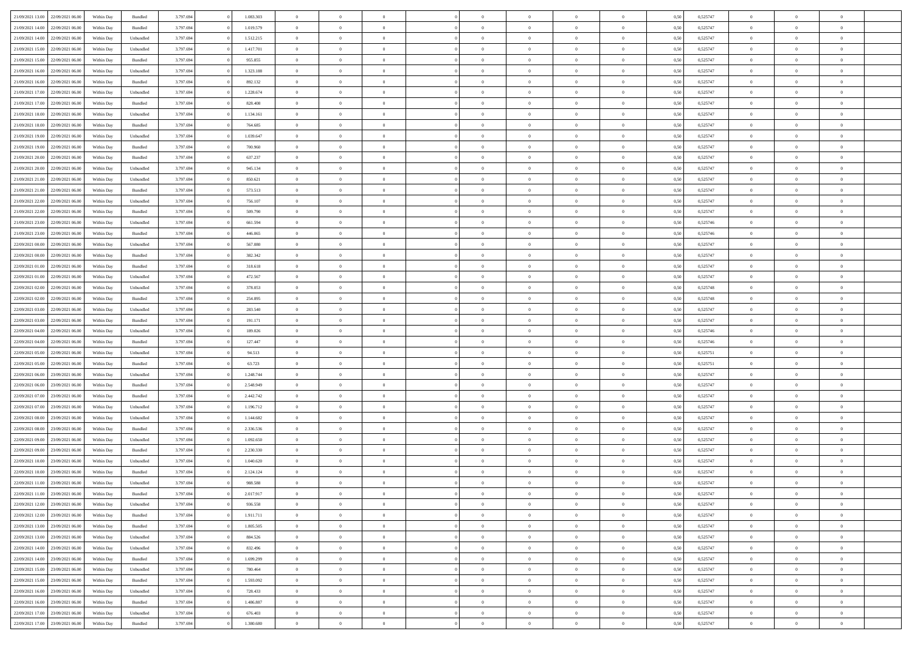| 21/09/2021 13:00                  | 22/09/2021 06:00 | Within Day | Bundled            | 3.797.694 | 1.083.303 | $\overline{0}$ | $\theta$       |                | $\Omega$       | $\Omega$       | $\theta$       | $\theta$       | 0,50 | 0,525747 | $\theta$       | $\overline{0}$ | $\theta$       |  |
|-----------------------------------|------------------|------------|--------------------|-----------|-----------|----------------|----------------|----------------|----------------|----------------|----------------|----------------|------|----------|----------------|----------------|----------------|--|
|                                   |                  |            |                    |           |           |                |                |                |                |                |                |                |      |          |                |                |                |  |
| 21/09/2021 14:00                  | 22/09/2021 06:00 | Within Day | Bundled            | 3.797.694 | 1.019.579 | $\overline{0}$ | $\theta$       | $\overline{0}$ | $\overline{0}$ | $\bf{0}$       | $\overline{0}$ | $\bf{0}$       | 0,50 | 0,525747 | $\theta$       | $\overline{0}$ | $\overline{0}$ |  |
| 21/09/2021 14:00                  | 22/09/2021 06:00 | Within Day | Unbundled          | 3.797.694 | 1.512.215 | $\overline{0}$ | $\bf{0}$       | $\overline{0}$ | $\bf{0}$       | $\bf{0}$       | $\bf{0}$       | $\mathbf{0}$   | 0,50 | 0,525747 | $\overline{0}$ | $\overline{0}$ | $\overline{0}$ |  |
| 21/09/2021 15:00                  | 22/09/2021 06:00 | Within Dav | Unbundled          | 3.797.694 | 1.417.701 | $\overline{0}$ | $\overline{0}$ | $\overline{0}$ | $\overline{0}$ | $\bf{0}$       | $\overline{0}$ | $\overline{0}$ | 0.50 | 0,525747 | $\theta$       | $\theta$       | $\overline{0}$ |  |
|                                   |                  |            |                    |           |           | $\overline{0}$ | $\theta$       | $\overline{0}$ | $\overline{0}$ | $\bf{0}$       | $\overline{0}$ |                |      |          | $\theta$       | $\overline{0}$ | $\overline{0}$ |  |
| 21/09/2021 15:00                  | 22/09/2021 06:00 | Within Day | Bundled            | 3.797.694 | 955.855   |                |                |                |                |                |                | $\bf{0}$       | 0,50 | 0,525747 |                |                |                |  |
| 21/09/2021 16:00                  | 22/09/2021 06:00 | Within Day | Unbundled          | 3.797.694 | 1.323.188 | $\overline{0}$ | $\overline{0}$ | $\overline{0}$ | $\bf{0}$       | $\overline{0}$ | $\overline{0}$ | $\mathbf{0}$   | 0,50 | 0,525747 | $\overline{0}$ | $\overline{0}$ | $\bf{0}$       |  |
| 21/09/2021 16:00                  | 22/09/2021 06:00 | Within Dav | Bundled            | 3.797.694 | 892.132   | $\overline{0}$ | $\overline{0}$ | $\overline{0}$ | $\overline{0}$ | $\overline{0}$ | $\overline{0}$ | $\overline{0}$ | 0.50 | 0,525747 | $\theta$       | $\overline{0}$ | $\overline{0}$ |  |
| 21/09/2021 17:00                  | 22/09/2021 06.00 | Within Day | Unbundled          | 3.797.694 | 1.228.674 | $\overline{0}$ | $\theta$       | $\overline{0}$ | $\overline{0}$ | $\bf{0}$       | $\overline{0}$ | $\bf{0}$       | 0,50 | 0,525747 | $\theta$       | $\theta$       | $\overline{0}$ |  |
| 21/09/2021 17:00                  | 22/09/2021 06:00 | Within Day | Bundled            | 3.797.694 | 828.408   | $\overline{0}$ | $\overline{0}$ | $\overline{0}$ | $\bf{0}$       | $\bf{0}$       | $\bf{0}$       | $\bf{0}$       | 0,50 | 0,525747 | $\,0\,$        | $\overline{0}$ | $\overline{0}$ |  |
| 21/09/2021 18:00                  | 22/09/2021 06:00 | Within Dav | Unbundled          | 3.797.694 | 1.134.161 | $\overline{0}$ | $\overline{0}$ | $\overline{0}$ | $\overline{0}$ | $\overline{0}$ | $\overline{0}$ | $\overline{0}$ | 0.50 | 0,525747 | $\theta$       | $\overline{0}$ | $\overline{0}$ |  |
|                                   |                  |            |                    |           |           |                |                |                |                |                |                |                |      |          |                |                |                |  |
| 21/09/2021 18:00                  | 22/09/2021 06:00 | Within Day | Bundled            | 3.797.694 | 764.685   | $\overline{0}$ | $\theta$       | $\overline{0}$ | $\overline{0}$ | $\bf{0}$       | $\overline{0}$ | $\bf{0}$       | 0,50 | 0,525747 | $\,$ 0 $\,$    | $\overline{0}$ | $\overline{0}$ |  |
| 21/09/2021 19:00                  | 22/09/2021 06:00 | Within Day | Unbundled          | 3.797.694 | 1.039.647 | $\overline{0}$ | $\bf{0}$       | $\overline{0}$ | $\bf{0}$       | $\bf{0}$       | $\bf{0}$       | $\mathbf{0}$   | 0,50 | 0,525747 | $\overline{0}$ | $\overline{0}$ | $\bf{0}$       |  |
| 21/09/2021 19:00                  | 22/09/2021 06:00 | Within Dav | Bundled            | 3.797.694 | 700,960   | $\overline{0}$ | $\overline{0}$ | $\overline{0}$ | $\overline{0}$ | $\bf{0}$       | $\overline{0}$ | $\overline{0}$ | 0.50 | 0,525747 | $\theta$       | $\theta$       | $\overline{0}$ |  |
| 21/09/2021 20:00                  | 22/09/2021 06:00 | Within Day | Bundled            | 3.797.694 | 637.237   | $\overline{0}$ | $\theta$       | $\overline{0}$ | $\overline{0}$ | $\bf{0}$       | $\overline{0}$ | $\bf{0}$       | 0,50 | 0,525747 | $\theta$       | $\overline{0}$ | $\overline{0}$ |  |
| 21/09/2021 20:00                  | 22/09/2021 06:00 | Within Day | Unbundled          | 3.797.694 | 945.134   | $\overline{0}$ | $\overline{0}$ | $\overline{0}$ | $\bf{0}$       | $\overline{0}$ | $\overline{0}$ | $\mathbf{0}$   | 0,50 | 0,525747 | $\overline{0}$ | $\overline{0}$ | $\bf{0}$       |  |
|                                   |                  |            |                    |           |           |                |                |                |                |                |                |                |      |          |                |                |                |  |
| 21/09/2021 21:00                  | 22/09/2021 06:00 | Within Dav | Unbundled          | 3.797.694 | 850.621   | $\overline{0}$ | $\overline{0}$ | $\overline{0}$ | $\overline{0}$ | $\overline{0}$ | $\overline{0}$ | $\overline{0}$ | 0.50 | 0,525747 | $\theta$       | $\overline{0}$ | $\overline{0}$ |  |
| 21/09/2021 21:00                  | 22/09/2021 06.00 | Within Day | Bundled            | 3.797.694 | 573.513   | $\overline{0}$ | $\theta$       | $\overline{0}$ | $\overline{0}$ | $\bf{0}$       | $\overline{0}$ | $\bf{0}$       | 0,50 | 0,525747 | $\theta$       | $\theta$       | $\overline{0}$ |  |
| 21/09/2021 22:00                  | 22/09/2021 06:00 | Within Day | Unbundled          | 3.797.694 | 756.107   | $\overline{0}$ | $\overline{0}$ | $\overline{0}$ | $\bf{0}$       | $\bf{0}$       | $\bf{0}$       | $\mathbf{0}$   | 0,50 | 0,525747 | $\bf{0}$       | $\overline{0}$ | $\overline{0}$ |  |
| 21/09/2021 22:00                  | 22/09/2021 06:00 | Within Day | Bundled            | 3.797.694 | 509.790   | $\overline{0}$ | $\overline{0}$ | $\overline{0}$ | $\overline{0}$ | $\overline{0}$ | $\overline{0}$ | $\overline{0}$ | 0.50 | 0,525747 | $\theta$       | $\overline{0}$ | $\overline{0}$ |  |
| 21/09/2021 23:00                  | 22/09/2021 06:00 | Within Day | Unbundled          | 3.797.694 | 661.594   | $\overline{0}$ | $\theta$       | $\overline{0}$ | $\overline{0}$ | $\bf{0}$       | $\overline{0}$ | $\bf{0}$       | 0,50 | 0,525746 | $\,$ 0 $\,$    | $\overline{0}$ | $\overline{0}$ |  |
| 21/09/2021 23:00                  | 22/09/2021 06:00 | Within Day | Bundled            | 3.797.694 | 446.065   | $\overline{0}$ | $\overline{0}$ | $\overline{0}$ | $\bf{0}$       | $\bf{0}$       | $\overline{0}$ | $\bf{0}$       | 0,50 | 0,525746 | $\bf{0}$       | $\overline{0}$ | $\bf{0}$       |  |
| 22/09/2021 00:00                  | 22/09/2021 06:00 | Within Day | Unbundled          | 3.797.694 | 567.080   | $\overline{0}$ | $\overline{0}$ | $\overline{0}$ | $\overline{0}$ | $\bf{0}$       | $\overline{0}$ | $\overline{0}$ | 0.50 | 0,525747 | $\theta$       | $\overline{0}$ | $\overline{0}$ |  |
|                                   |                  |            |                    |           |           |                |                |                |                |                |                |                |      |          |                |                |                |  |
| 22/09/2021 00:00                  | 22/09/2021 06:00 | Within Day | Bundled            | 3.797.694 | 382.342   | $\overline{0}$ | $\theta$       | $\overline{0}$ | $\overline{0}$ | $\bf{0}$       | $\overline{0}$ | $\bf{0}$       | 0,50 | 0,525747 | $\,$ 0 $\,$    | $\overline{0}$ | $\overline{0}$ |  |
| 22/09/2021 01:00                  | 22/09/2021 06:00 | Within Day | Bundled            | 3.797.694 | 318.618   | $\overline{0}$ | $\overline{0}$ | $\overline{0}$ | $\overline{0}$ | $\overline{0}$ | $\overline{0}$ | $\mathbf{0}$   | 0,50 | 0,525747 | $\bf{0}$       | $\overline{0}$ | $\bf{0}$       |  |
| 22/09/2021 01:00                  | 22/09/2021 06:00 | Within Day | Unbundled          | 3.797.694 | 472.567   | $\overline{0}$ | $\overline{0}$ | $\overline{0}$ | $\overline{0}$ | $\overline{0}$ | $\overline{0}$ | $\overline{0}$ | 0.50 | 0,525747 | $\theta$       | $\overline{0}$ | $\overline{0}$ |  |
| 22/09/2021 02:00                  | 22/09/2021 06.00 | Within Day | Unbundled          | 3.797.694 | 378.053   | $\overline{0}$ | $\theta$       | $\overline{0}$ | $\overline{0}$ | $\bf{0}$       | $\overline{0}$ | $\bf{0}$       | 0,50 | 0,525748 | $\theta$       | $\theta$       | $\overline{0}$ |  |
| 22/09/2021 02:00                  | 22/09/2021 06:00 | Within Day | Bundled            | 3.797.694 | 254.895   | $\overline{0}$ | $\overline{0}$ | $\overline{0}$ | $\overline{0}$ | $\bf{0}$       | $\overline{0}$ | $\bf{0}$       | 0,50 | 0,525748 | $\,0\,$        | $\overline{0}$ | $\overline{0}$ |  |
| 22/09/2021 03:00                  | 22/09/2021 06:00 | Within Day | Unbundled          | 3.797.694 | 283,540   | $\overline{0}$ | $\overline{0}$ | $\overline{0}$ | $\overline{0}$ | $\overline{0}$ | $\overline{0}$ | $\overline{0}$ | 0.50 | 0,525747 | $\theta$       | $\overline{0}$ | $\overline{0}$ |  |
|                                   |                  |            |                    |           |           |                |                |                |                |                |                |                |      |          |                |                |                |  |
| 22/09/2021 03:00                  | 22/09/2021 06.00 | Within Day | Bundled            | 3.797.694 | 191.171   | $\overline{0}$ | $\theta$       | $\overline{0}$ | $\overline{0}$ | $\bf{0}$       | $\overline{0}$ | $\bf{0}$       | 0,50 | 0,525747 | $\,$ 0 $\,$    | $\overline{0}$ | $\overline{0}$ |  |
| 22/09/2021 04:00                  | 22/09/2021 06:00 | Within Day | Unbundled          | 3.797.694 | 189.026   | $\overline{0}$ | $\overline{0}$ | $\overline{0}$ | $\bf{0}$       | $\bf{0}$       | $\bf{0}$       | $\bf{0}$       | 0,50 | 0,525746 | $\overline{0}$ | $\overline{0}$ | $\bf{0}$       |  |
| 22/09/2021 04:00                  | 22/09/2021 06:00 | Within Day | Bundled            | 3.797.694 | 127.447   | $\overline{0}$ | $\Omega$       | $\overline{0}$ | $\Omega$       | $\Omega$       | $\overline{0}$ | $\overline{0}$ | 0,50 | 0,525746 | $\,0\,$        | $\theta$       | $\theta$       |  |
| 22/09/2021 05:00                  | 22/09/2021 06:00 | Within Day | Unbundled          | 3.797.694 | 94.513    | $\overline{0}$ | $\theta$       | $\overline{0}$ | $\overline{0}$ | $\bf{0}$       | $\overline{0}$ | $\bf{0}$       | 0,50 | 0,525751 | $\,$ 0 $\,$    | $\overline{0}$ | $\overline{0}$ |  |
| 22/09/2021 05:00                  | 22/09/2021 06:00 | Within Day | Bundled            | 3.797.694 | 63.723    | $\overline{0}$ | $\overline{0}$ | $\overline{0}$ | $\bf{0}$       | $\overline{0}$ | $\overline{0}$ | $\mathbf{0}$   | 0,50 | 0,525751 | $\overline{0}$ | $\overline{0}$ | $\bf{0}$       |  |
| 22/09/2021 06:00                  | 23/09/2021 06:00 | Within Day | Unbundled          | 3.797.694 | 1.248.744 | $\overline{0}$ | $\Omega$       | $\Omega$       | $\Omega$       | $\bf{0}$       | $\overline{0}$ | $\overline{0}$ | 0.50 | 0,525747 | $\,0\,$        | $\theta$       | $\theta$       |  |
|                                   |                  |            |                    |           |           | $\overline{0}$ | $\theta$       | $\overline{0}$ |                | $\bf{0}$       | $\overline{0}$ |                |      |          |                |                | $\overline{0}$ |  |
| 22/09/2021 06:00                  | 23/09/2021 06:00 | Within Day | Bundled            | 3.797.694 | 2.548.949 |                |                |                | $\overline{0}$ |                |                | $\bf{0}$       | 0,50 | 0,525747 | $\,$ 0 $\,$    | $\overline{0}$ |                |  |
| 22/09/2021 07:00                  | 23/09/2021 06:00 | Within Day | Bundled            | 3.797.694 | 2.442.742 | $\overline{0}$ | $\overline{0}$ | $\overline{0}$ | $\bf{0}$       | $\bf{0}$       | $\bf{0}$       | $\bf{0}$       | 0,50 | 0,525747 | $\bf{0}$       | $\overline{0}$ | $\bf{0}$       |  |
| 22/09/2021 07:00                  | 23/09/2021 06:00 | Within Day | Unbundled          | 3.797.694 | 1.196.712 | $\overline{0}$ | $\Omega$       | $\overline{0}$ | $\Omega$       | $\theta$       | $\overline{0}$ | $\overline{0}$ | 0.50 | 0,525747 | $\,$ 0 $\,$    | $\theta$       | $\theta$       |  |
| 22/09/2021 08:00                  | 23/09/2021 06:00 | Within Day | Unbundled          | 3.797.694 | 1.144.682 | $\overline{0}$ | $\theta$       | $\overline{0}$ | $\overline{0}$ | $\bf{0}$       | $\overline{0}$ | $\bf{0}$       | 0,50 | 0,525747 | $\,$ 0 $\,$    | $\overline{0}$ | $\overline{0}$ |  |
| 22/09/2021 08:00                  | 23/09/2021 06:00 | Within Day | Bundled            | 3.797.694 | 2.336.536 | $\overline{0}$ | $\bf{0}$       | $\overline{0}$ | $\bf{0}$       | $\bf{0}$       | $\bf{0}$       | $\mathbf{0}$   | 0,50 | 0,525747 | $\overline{0}$ | $\overline{0}$ | $\bf{0}$       |  |
| 22/09/2021 09:00                  | 23/09/2021 06:00 | Within Day | Unbundled          | 3.797.694 | 1.092.650 | $\overline{0}$ | $\Omega$       | $\overline{0}$ | $\Omega$       | $\overline{0}$ | $\overline{0}$ | $\overline{0}$ | 0,50 | 0,525747 | $\,0\,$        | $\theta$       | $\theta$       |  |
| 22/09/2021 09:00                  | 23/09/2021 06:00 | Within Day | Bundled            | 3.797.694 | 2.230.330 | $\overline{0}$ | $\theta$       | $\overline{0}$ | $\overline{0}$ | $\bf{0}$       | $\overline{0}$ | $\bf{0}$       | 0,50 | 0,525747 | $\,$ 0 $\,$    | $\overline{0}$ | $\overline{0}$ |  |
|                                   |                  |            |                    |           |           |                |                |                |                |                |                |                |      |          |                |                |                |  |
| 22/09/2021 10:00                  | 23/09/2021 06:00 | Within Day | Unbundled          | 3.797.694 | 1.040.620 | $\overline{0}$ | $\overline{0}$ | $\overline{0}$ | $\bf{0}$       | $\bf{0}$       | $\bf{0}$       | $\mathbf{0}$   | 0,50 | 0,525747 | $\overline{0}$ | $\overline{0}$ | $\bf{0}$       |  |
| 22/09/2021 10:00                  | 23/09/2021 06:00 | Within Day | Bundled            | 3.797.694 | 2.124.124 | $\overline{0}$ | $\Omega$       | $\Omega$       | $\Omega$       | $\Omega$       | $\Omega$       | $\overline{0}$ | 0.50 | 0,525747 | $\theta$       | $\theta$       | $\theta$       |  |
| 22/09/2021 11:00                  | 23/09/2021 06:00 | Within Day | Unbundled          | 3.797.694 | 988.588   | $\overline{0}$ | $\overline{0}$ | $\overline{0}$ | $\bf{0}$       | $\,$ 0         | $\bf{0}$       | $\bf{0}$       | 0,50 | 0,525747 | $\,0\,$        | $\,$ 0 $\,$    | $\overline{0}$ |  |
| 22/09/2021 11:00 23/09/2021 06:00 |                  | Within Day | $\mathbf B$ undled | 3.797.694 | 2.017.917 | $\bf{0}$       | $\bf{0}$       |                |                |                |                |                | 0,50 | 0,525747 | $\bf{0}$       | $\overline{0}$ |                |  |
| 22/09/2021 12:00                  | 23/09/2021 06:00 | Within Day | Unbundled          | 3.797.694 | 936.558   | $\overline{0}$ | $\overline{0}$ | $\overline{0}$ | $\Omega$       | $\overline{0}$ | $\overline{0}$ | $\overline{0}$ | 0,50 | 0,525747 | $\theta$       | $\theta$       | $\theta$       |  |
| 22/09/2021 12:00                  | 23/09/2021 06:00 | Within Day | Bundled            | 3.797.694 | 1.911.711 | $\overline{0}$ | $\,$ 0         | $\overline{0}$ | $\bf{0}$       | $\,$ 0 $\,$    | $\overline{0}$ | $\,$ 0 $\,$    | 0,50 | 0,525747 | $\,$ 0 $\,$    | $\,$ 0 $\,$    | $\,$ 0         |  |
| 22/09/2021 13:00                  | 23/09/2021 06:00 | Within Day | Bundled            | 3.797.694 | 1.805.505 | $\overline{0}$ | $\overline{0}$ | $\overline{0}$ | $\overline{0}$ | $\overline{0}$ | $\overline{0}$ | $\mathbf{0}$   | 0,50 | 0,525747 | $\overline{0}$ | $\bf{0}$       | $\overline{0}$ |  |
|                                   |                  |            |                    |           |           |                |                |                |                |                |                |                |      |          |                |                |                |  |
| 22/09/2021 13:00                  | 23/09/2021 06:00 | Within Day | Unbundled          | 3.797.694 | 884.526   | $\overline{0}$ | $\overline{0}$ | $\overline{0}$ | $\Omega$       | $\overline{0}$ | $\overline{0}$ | $\overline{0}$ | 0,50 | 0,525747 | $\overline{0}$ | $\theta$       | $\overline{0}$ |  |
| 22/09/2021 14:00                  | 23/09/2021 06:00 | Within Day | Unbundled          | 3.797.694 | 832.496   | $\overline{0}$ | $\,$ 0         | $\overline{0}$ | $\overline{0}$ | $\,$ 0 $\,$    | $\overline{0}$ | $\mathbf{0}$   | 0,50 | 0,525747 | $\,$ 0 $\,$    | $\overline{0}$ | $\overline{0}$ |  |
| 22/09/2021 14:00                  | 23/09/2021 06:00 | Within Day | Bundled            | 3.797.694 | 1.699.299 | $\overline{0}$ | $\overline{0}$ | $\overline{0}$ | $\overline{0}$ | $\overline{0}$ | $\overline{0}$ | $\mathbf{0}$   | 0,50 | 0,525747 | $\overline{0}$ | $\overline{0}$ | $\bf{0}$       |  |
| 22/09/2021 15:00                  | 23/09/2021 06:00 | Within Day | Unbundled          | 3.797.694 | 780.464   | $\overline{0}$ | $\overline{0}$ | $\overline{0}$ | $\Omega$       | $\overline{0}$ | $\overline{0}$ | $\bf{0}$       | 0.50 | 0,525747 | $\overline{0}$ | $\theta$       | $\overline{0}$ |  |
| 22/09/2021 15:00                  | 23/09/2021 06:00 | Within Day | Bundled            | 3.797.694 | 1.593.092 | $\overline{0}$ | $\,$ 0         | $\overline{0}$ | $\bf{0}$       | $\bf{0}$       | $\bf{0}$       | $\bf{0}$       | 0,50 | 0,525747 | $\,$ 0 $\,$    | $\overline{0}$ | $\overline{0}$ |  |
| 22/09/2021 16:00                  | 23/09/2021 06:00 | Within Day | Unbundled          | 3.797.694 | 728.433   | $\overline{0}$ | $\bf{0}$       | $\overline{0}$ | $\overline{0}$ | $\overline{0}$ | $\overline{0}$ | $\mathbf{0}$   | 0,50 | 0,525747 | $\overline{0}$ | $\overline{0}$ | $\bf{0}$       |  |
|                                   |                  |            | Bundled            |           | 1.486.887 | $\overline{0}$ | $\overline{0}$ | $\overline{0}$ | $\Omega$       | $\overline{0}$ | $\overline{0}$ |                | 0.50 |          | $\overline{0}$ | $\overline{0}$ | $\overline{0}$ |  |
| 22/09/2021 16:00                  | 23/09/2021 06:00 | Within Day |                    | 3.797.694 |           |                |                |                |                |                |                | $\overline{0}$ |      | 0,525747 |                |                |                |  |
| 22/09/2021 17:00                  | 23/09/2021 06:00 | Within Day | Unbundled          | 3.797.694 | 676.403   | $\overline{0}$ | $\bf{0}$       | $\overline{0}$ | $\overline{0}$ | $\bf{0}$       | $\bf{0}$       | $\mathbf{0}$   | 0,50 | 0,525747 | $\,$ 0 $\,$    | $\,$ 0 $\,$    | $\bf{0}$       |  |
| 22/09/2021 17:00 23/09/2021 06:00 |                  | Within Day | Bundled            | 3.797.694 | 1.380.680 | $\overline{0}$ | $\overline{0}$ | $\overline{0}$ | $\overline{0}$ | $\overline{0}$ | $\bf{0}$       | $\mathbf{0}$   | 0,50 | 0,525747 | $\overline{0}$ | $\bf{0}$       | $\bf{0}$       |  |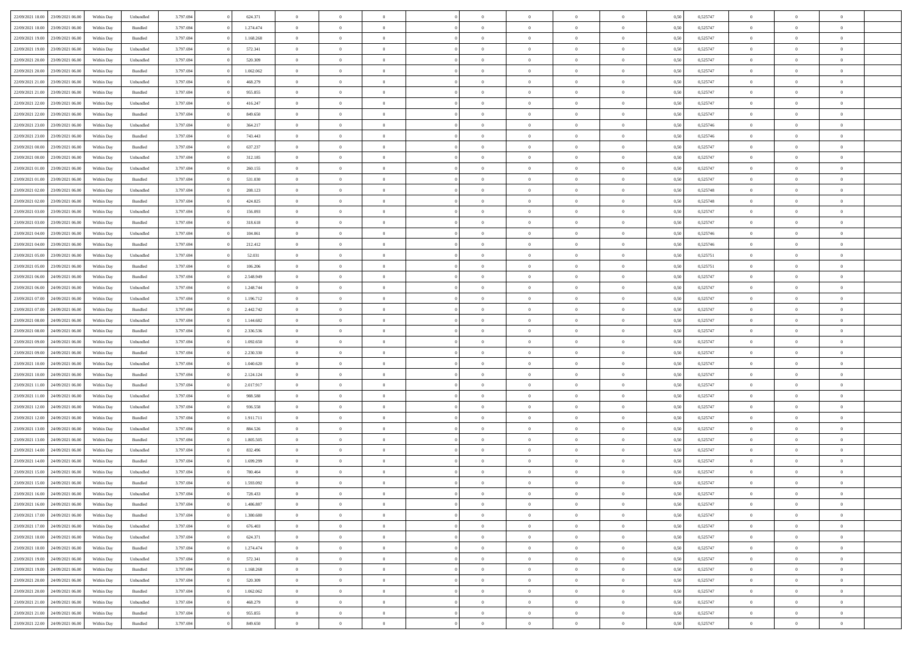|                                   |                  |            |           |           |           | $\overline{0}$ |                |                |                | $\Omega$       | $\theta$       | $\theta$       |      |          | $\theta$       | $\overline{0}$ | $\theta$       |  |
|-----------------------------------|------------------|------------|-----------|-----------|-----------|----------------|----------------|----------------|----------------|----------------|----------------|----------------|------|----------|----------------|----------------|----------------|--|
| 22/09/2021 18:00                  | 23/09/2021 06:00 | Within Dav | Unbundled | 3.797.694 | 624.371   |                | $\theta$       |                | $\Omega$       |                |                |                | 0,50 | 0,525747 |                |                |                |  |
| 22/09/2021 18:00                  | 23/09/2021 06:00 | Within Day | Bundled   | 3.797.694 | 1.274.474 | $\overline{0}$ | $\theta$       | $\overline{0}$ | $\overline{0}$ | $\bf{0}$       | $\overline{0}$ | $\bf{0}$       | 0,50 | 0,525747 | $\theta$       | $\overline{0}$ | $\overline{0}$ |  |
| 22/09/2021 19:00                  | 23/09/2021 06:00 | Within Day | Bundled   | 3.797.694 | 1.168.268 | $\overline{0}$ | $\bf{0}$       | $\overline{0}$ | $\bf{0}$       | $\bf{0}$       | $\bf{0}$       | $\mathbf{0}$   | 0,50 | 0,525747 | $\bf{0}$       | $\overline{0}$ | $\overline{0}$ |  |
| 22/09/2021 19:00                  | 23/09/2021 06:00 | Within Day | Unbundled | 3.797.694 | 572.341   | $\overline{0}$ | $\overline{0}$ | $\overline{0}$ | $\overline{0}$ | $\bf{0}$       | $\overline{0}$ | $\overline{0}$ | 0.50 | 0,525747 | $\theta$       | $\theta$       | $\overline{0}$ |  |
|                                   |                  |            |           |           |           |                |                |                |                |                |                |                |      |          |                |                |                |  |
| 22/09/2021 20:00                  | 23/09/2021 06:00 | Within Day | Unbundled | 3.797.694 | 520.309   | $\overline{0}$ | $\theta$       | $\overline{0}$ | $\overline{0}$ | $\bf{0}$       | $\overline{0}$ | $\bf{0}$       | 0,50 | 0,525747 | $\theta$       | $\overline{0}$ | $\overline{0}$ |  |
| 22/09/2021 20:00                  | 23/09/2021 06:00 | Within Day | Bundled   | 3.797.694 | 1.062.062 | $\overline{0}$ | $\overline{0}$ | $\overline{0}$ | $\bf{0}$       | $\overline{0}$ | $\overline{0}$ | $\mathbf{0}$   | 0,50 | 0,525747 | $\bf{0}$       | $\overline{0}$ | $\bf{0}$       |  |
| 22/09/2021 21:00                  | 23/09/2021 06:00 | Within Dav | Unbundled | 3.797.694 | 468.279   | $\overline{0}$ | $\overline{0}$ | $\overline{0}$ | $\overline{0}$ | $\overline{0}$ | $\overline{0}$ | $\overline{0}$ | 0.50 | 0,525747 | $\theta$       | $\overline{0}$ | $\overline{0}$ |  |
| 22/09/2021 21:00                  | 23/09/2021 06:00 | Within Day | Bundled   | 3.797.694 | 955.855   | $\overline{0}$ | $\theta$       | $\overline{0}$ | $\overline{0}$ | $\bf{0}$       | $\overline{0}$ | $\bf{0}$       | 0,50 | 0,525747 | $\theta$       | $\theta$       | $\overline{0}$ |  |
|                                   |                  |            |           |           |           |                | $\overline{0}$ |                |                | $\bf{0}$       |                |                |      |          | $\,0\,$        | $\overline{0}$ | $\overline{0}$ |  |
| 22/09/2021 22:00                  | 23/09/2021 06:00 | Within Day | Unbundled | 3.797.694 | 416.247   | $\overline{0}$ |                | $\overline{0}$ | $\bf{0}$       |                | $\bf{0}$       | $\bf{0}$       | 0,50 | 0,525747 |                |                |                |  |
| 22/09/2021 22:00                  | 23/09/2021 06:00 | Within Dav | Bundled   | 3.797.694 | 849.650   | $\overline{0}$ | $\overline{0}$ | $\overline{0}$ | $\overline{0}$ | $\overline{0}$ | $\overline{0}$ | $\overline{0}$ | 0.50 | 0,525747 | $\theta$       | $\overline{0}$ | $\overline{0}$ |  |
| 22/09/2021 23:00                  | 23/09/2021 06:00 | Within Day | Unbundled | 3.797.694 | 364.217   | $\overline{0}$ | $\theta$       | $\overline{0}$ | $\overline{0}$ | $\bf{0}$       | $\overline{0}$ | $\bf{0}$       | 0,50 | 0,525746 | $\,$ 0 $\,$    | $\overline{0}$ | $\overline{0}$ |  |
| 22/09/2021 23:00                  | 23/09/2021 06:00 | Within Day | Bundled   | 3.797.694 | 743.443   | $\overline{0}$ | $\bf{0}$       | $\overline{0}$ | $\bf{0}$       | $\bf{0}$       | $\bf{0}$       | $\mathbf{0}$   | 0,50 | 0,525746 | $\overline{0}$ | $\overline{0}$ | $\bf{0}$       |  |
| 23/09/2021 00:00                  | 23/09/2021 06:00 | Within Day | Bundled   | 3.797.694 | 637.237   | $\overline{0}$ | $\overline{0}$ | $\overline{0}$ | $\overline{0}$ | $\bf{0}$       | $\overline{0}$ | $\overline{0}$ | 0.50 | 0,525747 | $\theta$       | $\theta$       | $\overline{0}$ |  |
|                                   |                  |            |           |           |           | $\overline{0}$ | $\theta$       | $\overline{0}$ | $\overline{0}$ | $\bf{0}$       | $\overline{0}$ |                |      |          | $\theta$       | $\overline{0}$ | $\overline{0}$ |  |
| 23/09/2021 00:00                  | 23/09/2021 06:00 | Within Day | Unbundled | 3.797.694 | 312.185   |                |                |                |                |                |                | $\bf{0}$       | 0,50 | 0,525747 |                |                |                |  |
| 23/09/2021 01:00                  | 23/09/2021 06:00 | Within Day | Unbundled | 3.797.694 | 260.155   | $\overline{0}$ | $\overline{0}$ | $\overline{0}$ | $\bf{0}$       | $\overline{0}$ | $\overline{0}$ | $\mathbf{0}$   | 0,50 | 0,525747 | $\overline{0}$ | $\overline{0}$ | $\bf{0}$       |  |
| 23/09/2021 01:00                  | 23/09/2021 06:00 | Within Dav | Bundled   | 3.797.694 | 531.030   | $\overline{0}$ | $\overline{0}$ | $\overline{0}$ | $\overline{0}$ | $\overline{0}$ | $\overline{0}$ | $\overline{0}$ | 0.50 | 0,525747 | $\theta$       | $\overline{0}$ | $\overline{0}$ |  |
| 23/09/2021 02:00                  | 23/09/2021 06:00 | Within Day | Unbundled | 3.797.694 | 208.123   | $\overline{0}$ | $\theta$       | $\overline{0}$ | $\overline{0}$ | $\bf{0}$       | $\overline{0}$ | $\bf{0}$       | 0,50 | 0,525748 | $\theta$       | $\theta$       | $\overline{0}$ |  |
| 23/09/2021 02:00                  | 23/09/2021 06:00 | Within Day | Bundled   | 3.797.694 | 424.825   | $\overline{0}$ | $\overline{0}$ | $\overline{0}$ | $\bf{0}$       | $\bf{0}$       | $\bf{0}$       | $\mathbf{0}$   | 0,50 | 0,525748 | $\,0\,$        | $\overline{0}$ | $\overline{0}$ |  |
|                                   |                  |            |           |           |           |                |                |                |                |                |                |                |      |          |                |                |                |  |
| 23/09/2021 03:00                  | 23/09/2021 06:00 | Within Day | Unbundled | 3.797.694 | 156.093   | $\overline{0}$ | $\overline{0}$ | $\overline{0}$ | $\overline{0}$ | $\overline{0}$ | $\overline{0}$ | $\overline{0}$ | 0.50 | 0,525747 | $\theta$       | $\overline{0}$ | $\overline{0}$ |  |
| 23/09/2021 03:00                  | 23/09/2021 06:00 | Within Day | Bundled   | 3.797.694 | 318.618   | $\overline{0}$ | $\theta$       | $\overline{0}$ | $\overline{0}$ | $\bf{0}$       | $\overline{0}$ | $\bf{0}$       | 0,50 | 0,525747 | $\,$ 0 $\,$    | $\overline{0}$ | $\overline{0}$ |  |
| 23/09/2021 04:00                  | 23/09/2021 06:00 | Within Day | Unbundled | 3.797.694 | 104.061   | $\overline{0}$ | $\overline{0}$ | $\overline{0}$ | $\bf{0}$       | $\bf{0}$       | $\bf{0}$       | $\bf{0}$       | 0,50 | 0,525746 | $\bf{0}$       | $\overline{0}$ | $\bf{0}$       |  |
| 23/09/2021 04:00                  | 23/09/2021 06:00 | Within Day | Bundled   | 3.797.694 | 212.412   | $\overline{0}$ | $\overline{0}$ | $\overline{0}$ | $\overline{0}$ | $\bf{0}$       | $\overline{0}$ | $\overline{0}$ | 0.50 | 0,525746 | $\theta$       | $\overline{0}$ | $\overline{0}$ |  |
| 23/09/2021 05:00                  | 23/09/2021 06:00 | Within Day | Unbundled | 3.797.694 | 52.031    | $\overline{0}$ | $\theta$       | $\overline{0}$ | $\overline{0}$ | $\bf{0}$       | $\overline{0}$ | $\bf{0}$       | 0,50 | 0,525751 | $\,$ 0 $\,$    | $\overline{0}$ | $\overline{0}$ |  |
|                                   |                  |            |           |           |           |                |                |                |                |                |                |                |      |          |                |                |                |  |
| 23/09/2021 05:00                  | 23/09/2021 06:00 | Within Day | Bundled   | 3.797.694 | 106.206   | $\overline{0}$ | $\overline{0}$ | $\overline{0}$ | $\bf{0}$       | $\overline{0}$ | $\overline{0}$ | $\mathbf{0}$   | 0,50 | 0,525751 | $\bf{0}$       | $\overline{0}$ | $\bf{0}$       |  |
| 23/09/2021 06:00                  | 24/09/2021 06.00 | Within Dav | Bundled   | 3.797.694 | 2.548.949 | $\overline{0}$ | $\overline{0}$ | $\overline{0}$ | $\overline{0}$ | $\overline{0}$ | $\overline{0}$ | $\overline{0}$ | 0.50 | 0,525747 | $\theta$       | $\overline{0}$ | $\overline{0}$ |  |
| 23/09/2021 06:00                  | 24/09/2021 06.00 | Within Day | Unbundled | 3.797.694 | 1.248.744 | $\overline{0}$ | $\theta$       | $\overline{0}$ | $\overline{0}$ | $\bf{0}$       | $\overline{0}$ | $\bf{0}$       | 0,50 | 0,525747 | $\theta$       | $\theta$       | $\overline{0}$ |  |
| 23/09/2021 07:00                  | 24/09/2021 06:00 | Within Day | Unbundled | 3.797.694 | 1.196.712 | $\overline{0}$ | $\overline{0}$ | $\overline{0}$ | $\bf{0}$       | $\bf{0}$       | $\bf{0}$       | $\bf{0}$       | 0,50 | 0,525747 | $\,0\,$        | $\overline{0}$ | $\overline{0}$ |  |
| 23/09/2021 07:00                  | 24/09/2021 06:00 | Within Day | Bundled   | 3.797.694 | 2.442.742 | $\overline{0}$ | $\overline{0}$ | $\overline{0}$ | $\overline{0}$ | $\overline{0}$ | $\overline{0}$ | $\overline{0}$ | 0.50 | 0,525747 | $\theta$       | $\overline{0}$ | $\overline{0}$ |  |
|                                   |                  |            |           |           |           |                |                |                |                |                |                |                |      |          |                |                |                |  |
| 23/09/2021 08:00                  | 24/09/2021 06.00 | Within Day | Unbundled | 3.797.694 | 1.144.682 | $\overline{0}$ | $\theta$       | $\overline{0}$ | $\overline{0}$ | $\bf{0}$       | $\overline{0}$ | $\bf{0}$       | 0,50 | 0,525747 | $\,$ 0 $\,$    | $\overline{0}$ | $\overline{0}$ |  |
| 23/09/2021 08:00                  | 24/09/2021 06:00 | Within Day | Bundled   | 3.797.694 | 2.336.536 | $\overline{0}$ | $\overline{0}$ | $\overline{0}$ | $\bf{0}$       | $\bf{0}$       | $\bf{0}$       | $\bf{0}$       | 0,50 | 0,525747 | $\bf{0}$       | $\overline{0}$ | $\bf{0}$       |  |
| 23/09/2021 09:00                  | 24/09/2021 06.00 | Within Day | Unbundled | 3.797.694 | 1.092.650 | $\overline{0}$ | $\Omega$       | $\overline{0}$ | $\Omega$       | $\Omega$       | $\overline{0}$ | $\overline{0}$ | 0,50 | 0,525747 | $\,0\,$        | $\theta$       | $\theta$       |  |
| 23/09/2021 09:00                  | 24/09/2021 06.00 | Within Day | Bundled   | 3.797.694 | 2.230.330 | $\overline{0}$ | $\theta$       | $\overline{0}$ | $\overline{0}$ | $\bf{0}$       | $\overline{0}$ | $\bf{0}$       | 0,50 | 0,525747 | $\theta$       | $\overline{0}$ | $\overline{0}$ |  |
| 23/09/2021 10:00                  | 24/09/2021 06:00 | Within Day | Unbundled | 3.797.694 | 1.040.620 | $\overline{0}$ | $\overline{0}$ | $\overline{0}$ | $\bf{0}$       | $\overline{0}$ | $\overline{0}$ | $\mathbf{0}$   | 0,50 | 0,525747 | $\bf{0}$       | $\overline{0}$ | $\bf{0}$       |  |
|                                   |                  |            |           |           |           |                |                |                |                |                |                |                |      |          |                |                |                |  |
| 23/09/2021 10:00                  | 24/09/2021 06:00 | Within Day | Bundled   | 3.797.694 | 2.124.124 | $\overline{0}$ | $\Omega$       | $\Omega$       | $\Omega$       | $\bf{0}$       | $\overline{0}$ | $\overline{0}$ | 0.50 | 0,525747 | $\,0\,$        | $\theta$       | $\theta$       |  |
| 23/09/2021 11:00                  | 24/09/2021 06.00 | Within Day | Bundled   | 3.797.694 | 2.017.917 | $\overline{0}$ | $\theta$       | $\overline{0}$ | $\overline{0}$ | $\bf{0}$       | $\overline{0}$ | $\bf{0}$       | 0,50 | 0,525747 | $\,$ 0 $\,$    | $\overline{0}$ | $\overline{0}$ |  |
| 23/09/2021 11:00                  | 24/09/2021 06:00 | Within Day | Unbundled | 3.797.694 | 988.588   | $\overline{0}$ | $\overline{0}$ | $\overline{0}$ | $\bf{0}$       | $\bf{0}$       | $\bf{0}$       | $\bf{0}$       | 0,50 | 0,525747 | $\bf{0}$       | $\overline{0}$ | $\bf{0}$       |  |
| 23/09/2021 12:00                  | 24/09/2021 06:00 | Within Day | Unbundled | 3.797.694 | 936,558   | $\overline{0}$ | $\Omega$       | $\overline{0}$ | $\Omega$       | $\overline{0}$ | $\overline{0}$ | $\overline{0}$ | 0.50 | 0,525747 | $\,$ 0 $\,$    | $\theta$       | $\theta$       |  |
| 23/09/2021 12:00                  | 24/09/2021 06.00 | Within Day | Bundled   | 3.797.694 | 1.911.711 | $\overline{0}$ | $\theta$       | $\overline{0}$ | $\overline{0}$ | $\bf{0}$       | $\overline{0}$ | $\bf{0}$       | 0,50 | 0,525747 | $\,$ 0 $\,$    | $\overline{0}$ | $\overline{0}$ |  |
|                                   |                  |            |           |           |           |                |                |                |                |                |                |                |      |          |                |                |                |  |
| 23/09/2021 13:00                  | 24/09/2021 06:00 | Within Day | Unbundled | 3.797.694 | 884.526   | $\overline{0}$ | $\bf{0}$       | $\overline{0}$ | $\bf{0}$       | $\bf{0}$       | $\bf{0}$       | $\bf{0}$       | 0,50 | 0,525747 | $\bf{0}$       | $\overline{0}$ | $\bf{0}$       |  |
| 23/09/2021 13:00                  | 24/09/2021 06.00 | Within Day | Bundled   | 3.797.694 | 1.805.505 | $\overline{0}$ | $\Omega$       | $\overline{0}$ | $\Omega$       | $\overline{0}$ | $\overline{0}$ | $\overline{0}$ | 0,50 | 0,525747 | $\,0\,$        | $\theta$       | $\theta$       |  |
| 23/09/2021 14:00                  | 24/09/2021 06.00 | Within Day | Unbundled | 3.797.694 | 832.496   | $\overline{0}$ | $\overline{0}$ | $\overline{0}$ | $\overline{0}$ | $\bf{0}$       | $\overline{0}$ | $\bf{0}$       | 0,50 | 0,525747 | $\,$ 0 $\,$    | $\overline{0}$ | $\overline{0}$ |  |
| 23/09/2021 14:00                  | 24/09/2021 06:00 | Within Day | Bundled   | 3.797.694 | 1.699.299 | $\overline{0}$ | $\overline{0}$ | $\overline{0}$ | $\bf{0}$       | $\bf{0}$       | $\bf{0}$       | $\mathbf{0}$   | 0,50 | 0,525747 | $\bf{0}$       | $\overline{0}$ | $\bf{0}$       |  |
| 23/09/2021 15:00                  | 24/09/2021 06:00 | Within Day | Unbundled | 3.797.694 | 780,464   | $\overline{0}$ | $\Omega$       | $\Omega$       | $\Omega$       | $\Omega$       | $\Omega$       | $\overline{0}$ | 0.50 | 0,525747 | $\theta$       | $\theta$       | $\theta$       |  |
| 23/09/2021 15:00                  | 24/09/2021 06:00 |            |           | 3.797.694 | 1.593.092 | $\overline{0}$ | $\overline{0}$ | $\overline{0}$ | $\bf{0}$       | $\,$ 0         |                |                |      | 0,525747 | $\,0\,$        | $\,$ 0 $\,$    | $\overline{0}$ |  |
|                                   |                  | Within Day | Bundled   |           |           |                |                |                |                |                | $\bf{0}$       | $\bf{0}$       | 0,50 |          |                |                |                |  |
| 23/09/2021 16:00 24/09/2021 06:00 |                  | Within Day | Unbundled | 3.797.694 | 728.433   | $\bf{0}$       | $\bf{0}$       |                |                |                |                |                | 0,50 | 0,525747 | $\bf{0}$       | $\overline{0}$ |                |  |
| 23/09/2021 16:00                  | 24/09/2021 06:00 | Within Day | Bundled   | 3.797.694 | 1.486.887 | $\overline{0}$ | $\overline{0}$ | $\overline{0}$ | $\Omega$       | $\overline{0}$ | $\overline{0}$ | $\overline{0}$ | 0,50 | 0,525747 | $\theta$       | $\theta$       | $\Omega$       |  |
| 23/09/2021 17:00                  | 24/09/2021 06.00 | Within Day | Bundled   | 3.797.694 | 1.380.680 | $\overline{0}$ | $\,$ 0         | $\overline{0}$ | $\bf{0}$       | $\,$ 0 $\,$    | $\overline{0}$ | $\,$ 0 $\,$    | 0,50 | 0,525747 | $\,$ 0 $\,$    | $\,$ 0 $\,$    | $\,$ 0         |  |
| 23/09/2021 17:00                  | 24/09/2021 06:00 | Within Day | Unbundled | 3.797.694 | 676.403   | $\overline{0}$ | $\overline{0}$ | $\overline{0}$ | $\overline{0}$ | $\overline{0}$ | $\overline{0}$ | $\mathbf{0}$   | 0,50 | 0,525747 | $\overline{0}$ | $\bf{0}$       | $\overline{0}$ |  |
|                                   |                  |            |           |           |           |                |                |                |                |                |                |                |      |          |                |                |                |  |
| 23/09/2021 18:00                  | 24/09/2021 06.00 | Within Day | Unbundled | 3.797.694 | 624.371   | $\overline{0}$ | $\overline{0}$ | $\overline{0}$ | $\Omega$       | $\overline{0}$ | $\overline{0}$ | $\overline{0}$ | 0,50 | 0,525747 | $\overline{0}$ | $\theta$       | $\overline{0}$ |  |
| 23/09/2021 18:00                  | 24/09/2021 06.00 | Within Day | Bundled   | 3.797.694 | 1.274.474 | $\overline{0}$ | $\,$ 0         | $\overline{0}$ | $\overline{0}$ | $\,$ 0 $\,$    | $\overline{0}$ | $\mathbf{0}$   | 0,50 | 0,525747 | $\,$ 0 $\,$    | $\overline{0}$ | $\overline{0}$ |  |
| 23/09/2021 19:00                  | 24/09/2021 06:00 | Within Day | Unbundled | 3.797.694 | 572.341   | $\overline{0}$ | $\overline{0}$ | $\overline{0}$ | $\overline{0}$ | $\overline{0}$ | $\overline{0}$ | $\mathbf{0}$   | 0,50 | 0,525747 | $\overline{0}$ | $\overline{0}$ | $\bf{0}$       |  |
| 23/09/2021 19:00                  | 24/09/2021 06:00 | Within Day | Bundled   | 3.797.694 | 1.168.268 | $\overline{0}$ | $\overline{0}$ | $\overline{0}$ | $\Omega$       | $\overline{0}$ | $\overline{0}$ | $\bf{0}$       | 0.50 | 0,525747 | $\overline{0}$ | $\theta$       | $\overline{0}$ |  |
| 23/09/2021 20:00                  | 24/09/2021 06.00 | Within Day | Unbundled | 3.797.694 | 520.309   | $\overline{0}$ | $\,$ 0         | $\overline{0}$ | $\bf{0}$       | $\bf{0}$       | $\bf{0}$       | $\bf{0}$       | 0,50 | 0,525747 | $\,$ 0 $\,$    | $\overline{0}$ | $\overline{0}$ |  |
|                                   |                  |            |           |           |           |                |                |                |                |                |                |                |      |          |                |                |                |  |
| 23/09/2021 20:00                  | 24/09/2021 06:00 | Within Day | Bundled   | 3.797.694 | 1.062.062 | $\overline{0}$ | $\bf{0}$       | $\overline{0}$ | $\overline{0}$ | $\overline{0}$ | $\overline{0}$ | $\mathbf{0}$   | 0,50 | 0,525747 | $\overline{0}$ | $\overline{0}$ | $\bf{0}$       |  |
| 23/09/2021 21:00                  | 24/09/2021 06:00 | Within Day | Unbundled | 3.797.694 | 468.279   | $\overline{0}$ | $\overline{0}$ | $\overline{0}$ | $\Omega$       | $\overline{0}$ | $\overline{0}$ | $\overline{0}$ | 0.50 | 0,525747 | $\overline{0}$ | $\overline{0}$ | $\overline{0}$ |  |
| 23/09/2021 21:00                  | 24/09/2021 06.00 | Within Day | Bundled   | 3.797.694 | 955.855   | $\overline{0}$ | $\bf{0}$       | $\overline{0}$ | $\bf{0}$       | $\bf{0}$       | $\bf{0}$       | $\mathbf{0}$   | 0,50 | 0,525747 | $\,$ 0 $\,$    | $\,$ 0 $\,$    | $\bf{0}$       |  |
| 23/09/2021 22.00 24/09/2021 06:00 |                  | Within Day | Bundled   | 3.797.694 | 849.650   | $\overline{0}$ | $\overline{0}$ | $\overline{0}$ | $\overline{0}$ | $\overline{0}$ | $\bf{0}$       | $\mathbf{0}$   | 0,50 | 0,525747 | $\overline{0}$ | $\bf{0}$       | $\bf{0}$       |  |
|                                   |                  |            |           |           |           |                |                |                |                |                |                |                |      |          |                |                |                |  |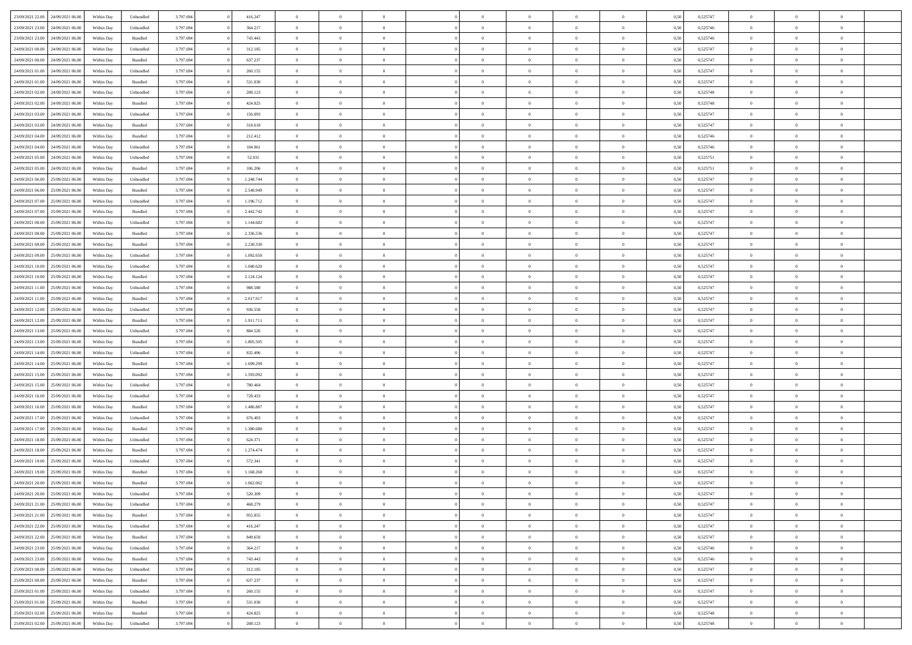| 23/09/2021 22:00 24/09/2021 06:00    | Within Day | Unbundled         | 3.797.694 | 416.247   | $\overline{0}$ | $\overline{0}$ |                | $\overline{0}$ | $\theta$       |                | $\theta$       | 0,50 | 0,525747 | $\theta$       | $\theta$       | $\overline{0}$ |  |
|--------------------------------------|------------|-------------------|-----------|-----------|----------------|----------------|----------------|----------------|----------------|----------------|----------------|------|----------|----------------|----------------|----------------|--|
|                                      |            |                   |           |           |                |                |                |                |                |                |                |      |          |                |                |                |  |
| 23/09/2021 23:00<br>24/09/2021 06.00 | Within Day | Unbundled         | 3.797.69  | 364.217   | $\bf{0}$       | $\bf{0}$       | $\bf{0}$       | $\overline{0}$ | $\overline{0}$ | $\overline{0}$ | $\bf{0}$       | 0,50 | 0,525746 | $\,$ 0 $\,$    | $\bf{0}$       | $\overline{0}$ |  |
| 23/09/2021 23:00<br>24/09/2021 06:00 | Within Day | Bundled           | 3.797.694 | 743.443   | $\overline{0}$ | $\bf{0}$       | $\overline{0}$ | $\bf{0}$       | $\bf{0}$       | $\overline{0}$ | $\bf{0}$       | 0.50 | 0,525746 | $\bf{0}$       | $\overline{0}$ | $\overline{0}$ |  |
| 24/09/2021 00:00<br>24/09/2021 06:00 | Within Day | Unbundled         | 3.797.694 | 312.185   | $\overline{0}$ | $\overline{0}$ | $\overline{0}$ | $\overline{0}$ | $\theta$       | $\overline{0}$ | $\bf{0}$       | 0,50 | 0,525747 | $\,$ 0 $\,$    | $\theta$       | $\overline{0}$ |  |
|                                      |            |                   |           |           |                | $\overline{0}$ |                |                |                |                |                |      |          |                | $\theta$       |                |  |
| 24/09/2021 00:00<br>24/09/2021 06.00 | Within Day | Bundled           | 3.797.69  | 637.237   | $\overline{0}$ |                | $\bf{0}$       | $\overline{0}$ | $\theta$       | $\overline{0}$ | $\bf{0}$       | 0,50 | 0,525747 | $\,$ 0 $\,$    |                | $\overline{0}$ |  |
| 24/09/2021 01:00<br>24/09/2021 06:00 | Within Day | Unbundled         | 3.797.694 | 260,155   | $\overline{0}$ | $\overline{0}$ | $\overline{0}$ | $\bf{0}$       | $\overline{0}$ | $\theta$       | $\bf{0}$       | 0.50 | 0.525747 | $\,$ 0 $\,$    | $\theta$       | $\overline{0}$ |  |
| 24/09/2021 01:00<br>24/09/2021 06:00 | Within Day | Bundled           | 3.797.694 | 531.030   | $\bf{0}$       | $\overline{0}$ | $\overline{0}$ | $\overline{0}$ | $\overline{0}$ | $\overline{0}$ | $\bf{0}$       | 0,50 | 0,525747 | $\,$ 0 $\,$    | $\theta$       | $\overline{0}$ |  |
| 24/09/2021 02:00<br>24/09/2021 06.00 | Within Day | Unbundled         | 3.797.694 | 208.123   | $\bf{0}$       | $\overline{0}$ | $\bf{0}$       | $\overline{0}$ | $\overline{0}$ | $\overline{0}$ | $\bf{0}$       | 0,50 | 0,525748 | $\,$ 0 $\,$    | $\bf{0}$       | $\overline{0}$ |  |
| 24/09/2021 02:00<br>24/09/2021 06:00 | Within Day | Bundled           | 3.797.694 | 424.825   | $\overline{0}$ | $\bf{0}$       | $\overline{0}$ | $\bf{0}$       | $\overline{0}$ | $\overline{0}$ | $\bf{0}$       | 0.50 | 0.525748 | $\bf{0}$       | $\overline{0}$ | $\overline{0}$ |  |
|                                      |            |                   |           |           |                |                |                |                |                |                |                |      |          |                |                |                |  |
| 24/09/2021 03:00<br>24/09/2021 06:00 | Within Day | Unbundled         | 3.797.694 | 156.093   | $\bf{0}$       | $\bf{0}$       | $\overline{0}$ | $\overline{0}$ | $\overline{0}$ | $\overline{0}$ | $\bf{0}$       | 0,50 | 0,525747 | $\,$ 0 $\,$    | $\bf{0}$       | $\overline{0}$ |  |
| 24/09/2021 03:00<br>24/09/2021 06.00 | Within Day | Bundled           | 3.797.69  | 318.618   | $\bf{0}$       | $\overline{0}$ | $\bf{0}$       | $\bf{0}$       | $\bf{0}$       | $\overline{0}$ | $\bf{0}$       | 0,50 | 0,525747 | $\,$ 0 $\,$    | $\bf{0}$       | $\overline{0}$ |  |
| 24/09/2021 04:00<br>24/09/2021 06:00 | Within Day | Bundled           | 3.797.694 | 212.412   | $\overline{0}$ | $\bf{0}$       | $\overline{0}$ | $\bf{0}$       | $\bf{0}$       | $\overline{0}$ | $\bf{0}$       | 0.50 | 0,525746 | $\bf{0}$       | $\overline{0}$ | $\overline{0}$ |  |
| 24/09/2021 04:00<br>24/09/2021 06:00 | Within Day | Unbundled         | 3.797.694 | 104.061   | $\overline{0}$ | $\overline{0}$ | $\overline{0}$ | $\overline{0}$ | $\theta$       | $\overline{0}$ | $\bf{0}$       | 0,50 | 0,525746 | $\,$ 0 $\,$    | $\theta$       | $\overline{0}$ |  |
| 24/09/2021 05:00<br>24/09/2021 06.00 | Within Day | Unbundled         | 3.797.69  | 52.031    | $\bf{0}$       | $\overline{0}$ | $\bf{0}$       | $\overline{0}$ | $\bf{0}$       | $\overline{0}$ | $\bf{0}$       | 0,50 | 0,525751 | $\,$ 0 $\,$    | $\bf{0}$       | $\overline{0}$ |  |
|                                      |            |                   |           |           |                |                |                |                |                |                |                |      |          |                |                |                |  |
| 24/09/2021 05:00<br>24/09/2021 06:00 | Within Day | Bundled           | 3.797.694 | 106,206   | $\overline{0}$ | $\overline{0}$ | $\overline{0}$ | $\bf{0}$       | $\bf{0}$       | $\theta$       | $\bf{0}$       | 0.50 | 0,525751 | $\theta$       | $\theta$       | $\overline{0}$ |  |
| 24/09/2021 06:00<br>25/09/2021 06:00 | Within Day | Unbundled         | 3.797.694 | 1.248.744 | $\bf{0}$       | $\overline{0}$ | $\overline{0}$ | $\overline{0}$ | $\overline{0}$ | $\overline{0}$ | $\bf{0}$       | 0,50 | 0,525747 | $\theta$       | $\theta$       | $\overline{0}$ |  |
| 24/09/2021 06:00<br>25/09/2021 06.00 | Within Day | Bundled           | 3.797.694 | 2.548.949 | $\bf{0}$       | $\overline{0}$ | $\bf{0}$       | $\overline{0}$ | $\bf{0}$       | $\overline{0}$ | $\bf{0}$       | 0,50 | 0,525747 | $\,$ 0 $\,$    | $\bf{0}$       | $\overline{0}$ |  |
| 24/09/2021 07:00<br>25/09/2021 06:00 | Within Day | Unbundled         | 3.797.694 | 1.196.712 | $\overline{0}$ | $\bf{0}$       | $\overline{0}$ | $\bf{0}$       | $\overline{0}$ | $\overline{0}$ | $\bf{0}$       | 0.50 | 0.525747 | $\bf{0}$       | $\overline{0}$ | $\overline{0}$ |  |
| 24/09/2021 07:00<br>25/09/2021 06:00 | Within Day | Bundled           | 3.797.694 | 2.442.742 | $\bf{0}$       | $\bf{0}$       | $\overline{0}$ | $\overline{0}$ | $\overline{0}$ | $\overline{0}$ | $\bf{0}$       | 0,50 | 0,525747 | $\,$ 0 $\,$    | $\bf{0}$       | $\overline{0}$ |  |
|                                      |            |                   |           |           | $\bf{0}$       | $\bf{0}$       |                |                | $\overline{0}$ | $\overline{0}$ |                |      |          | $\,$ 0 $\,$    | $\bf{0}$       | $\overline{0}$ |  |
| 24/09/2021 08:00<br>25/09/2021 06.00 | Within Day | Unbundled         | 3.797.69  | 1.144.682 |                |                | $\bf{0}$       | $\bf{0}$       |                |                | $\bf{0}$       | 0,50 | 0,525747 |                |                |                |  |
| 24/09/2021 08:00<br>25/09/2021 06:00 | Within Day | Bundled           | 3.797.694 | 2.336.536 | $\overline{0}$ | $\bf{0}$       | $\overline{0}$ | $\overline{0}$ | $\bf{0}$       | $\overline{0}$ | $\bf{0}$       | 0.50 | 0,525747 | $\bf{0}$       | $\overline{0}$ | $\bf{0}$       |  |
| 24/09/2021 09:00<br>25/09/2021 06:00 | Within Day | Bundled           | 3.797.694 | 2.230.330 | $\overline{0}$ | $\overline{0}$ | $\overline{0}$ | $\overline{0}$ | $\theta$       | $\overline{0}$ | $\bf{0}$       | 0,50 | 0,525747 | $\,$ 0 $\,$    | $\theta$       | $\overline{0}$ |  |
| 24/09/2021 09:00<br>25/09/2021 06.00 | Within Day | Unbundled         | 3.797.69  | 1.092.650 | $\bf{0}$       | $\overline{0}$ | $\bf{0}$       | $\bf{0}$       | $\overline{0}$ | $\overline{0}$ | $\bf{0}$       | 0,50 | 0,525747 | $\,$ 0 $\,$    | $\bf{0}$       | $\overline{0}$ |  |
| 24/09/2021 10:00<br>25/09/2021 06:00 | Within Day | Unbundled         | 3.797.694 | 1.040.620 | $\overline{0}$ | $\overline{0}$ | $\overline{0}$ | $\bf{0}$       | $\overline{0}$ | $\theta$       | $\bf{0}$       | 0.50 | 0.525747 | $\bf{0}$       | $\theta$       | $\overline{0}$ |  |
| 24/09/2021 10:00<br>25/09/2021 06:00 | Within Day | Bundled           | 3.797.694 | 2.124.124 | $\bf{0}$       | $\overline{0}$ | $\overline{0}$ | $\overline{0}$ | $\overline{0}$ | $\overline{0}$ | $\bf{0}$       | 0,50 | 0,525747 | $\,$ 0 $\,$    | $\theta$       | $\overline{0}$ |  |
| 25/09/2021 06.00                     | Within Day | Unbundled         | 3.797.694 | 988.588   | $\bf{0}$       | $\overline{0}$ | $\bf{0}$       | $\overline{0}$ | $\bf{0}$       | $\overline{0}$ | $\bf{0}$       | 0,50 | 0,525747 | $\,$ 0 $\,$    | $\theta$       | $\overline{0}$ |  |
| 24/09/2021 11:00                     |            |                   |           |           |                |                |                |                |                |                |                |      |          |                |                |                |  |
| 24/09/2021 11:00<br>25/09/2021 06:00 | Within Day | Bundled           | 3.797.694 | 2.017.917 | $\overline{0}$ | $\bf{0}$       | $\overline{0}$ | $\bf{0}$       | $\overline{0}$ | $\overline{0}$ | $\bf{0}$       | 0.50 | 0.525747 | $\bf{0}$       | $\overline{0}$ | $\overline{0}$ |  |
| 24/09/2021 12:00<br>25/09/2021 06:00 | Within Day | Unbundled         | 3.797.694 | 936.558   | $\overline{0}$ | $\bf{0}$       | $\overline{0}$ | $\overline{0}$ | $\overline{0}$ | $\overline{0}$ | $\bf{0}$       | 0,50 | 0,525747 | $\,$ 0 $\,$    | $\bf{0}$       | $\overline{0}$ |  |
| 24/09/2021 12:00<br>25/09/2021 06.00 | Within Day | Bundled           | 3.797.69  | 1.911.711 | $\bf{0}$       | $\bf{0}$       | $\bf{0}$       | $\bf{0}$       | $\overline{0}$ | $\overline{0}$ | $\bf{0}$       | 0,50 | 0,525747 | $\,$ 0 $\,$    | $\bf{0}$       | $\overline{0}$ |  |
| 24/09/2021 13:00<br>25/09/2021 06:00 | Within Day | Unbundled         | 3.797.694 | 884.526   | $\overline{0}$ | $\bf{0}$       | $\overline{0}$ | $\bf{0}$       | $\bf{0}$       | $\overline{0}$ | $\bf{0}$       | 0.50 | 0,525747 | $\bf{0}$       | $\overline{0}$ | $\overline{0}$ |  |
| 24/09/2021 13:00<br>25/09/2021 06:00 | Within Day | Bundled           | 3.797.694 | 1.805.505 | $\overline{0}$ | $\overline{0}$ | $\overline{0}$ | $\overline{0}$ | $\overline{0}$ | $\overline{0}$ | $\bf{0}$       | 0.50 | 0,525747 | $\theta$       | $\theta$       | $\overline{0}$ |  |
|                                      |            |                   |           |           |                | $\overline{0}$ |                |                | $\,$ 0 $\,$    | $\overline{0}$ |                |      |          |                |                | $\overline{0}$ |  |
| 24/09/2021 14:00<br>25/09/2021 06.00 | Within Day | Unbundled         | 3.797.694 | 832.496   | $\bf{0}$       |                | $\bf{0}$       | $\bf{0}$       |                |                | $\bf{0}$       | 0,50 | 0,525747 | $\,$ 0 $\,$    | $\bf{0}$       |                |  |
| 24/09/2021 14:00<br>25/09/2021 06:00 | Within Day | Bundled           | 3.797.694 | 1.699.299 | $\overline{0}$ | $\overline{0}$ | $\overline{0}$ | $\bf{0}$       | $\bf{0}$       | $\overline{0}$ | $\bf{0}$       | 0.50 | 0.525747 | $\,$ 0 $\,$    | $\theta$       | $\overline{0}$ |  |
| 24/09/2021 15:00<br>25/09/2021 06:00 | Within Day | Bundled           | 3.797.694 | 1.593.092 | $\overline{0}$ | $\overline{0}$ | $\overline{0}$ | $\overline{0}$ | $\overline{0}$ | $\overline{0}$ | $\overline{0}$ | 0.50 | 0,525747 | $\theta$       | $\theta$       | $\overline{0}$ |  |
| 24/09/2021 15:00<br>25/09/2021 06.00 | Within Day | Unbundled         | 3.797.694 | 780.464   | $\bf{0}$       | $\overline{0}$ | $\bf{0}$       | $\bf{0}$       | $\bf{0}$       | $\overline{0}$ | $\bf{0}$       | 0,50 | 0,525747 | $\,$ 0 $\,$    | $\bf{0}$       | $\overline{0}$ |  |
| 24/09/2021 16:00<br>25/09/2021 06:00 | Within Day | Unbundled         | 3.797.694 | 728.433   | $\overline{0}$ | $\bf{0}$       | $\overline{0}$ | $\bf{0}$       | $\overline{0}$ | $\overline{0}$ | $\bf{0}$       | 0.50 | 0.525747 | $\bf{0}$       | $\overline{0}$ | $\overline{0}$ |  |
| 24/09/2021 16:00<br>25/09/2021 06:00 | Within Day | Bundled           | 3.797.694 | 1.486.887 | $\overline{0}$ | $\overline{0}$ | $\overline{0}$ | $\overline{0}$ | $\overline{0}$ | $\overline{0}$ | $\overline{0}$ | 0.50 | 0,525747 | $\theta$       | $\theta$       | $\overline{0}$ |  |
|                                      |            |                   |           |           |                |                |                |                |                |                |                |      |          |                |                |                |  |
| 24/09/2021 17:00<br>25/09/2021 06.00 | Within Day | Unbundled         | 3.797.69  | 676.403   | $\bf{0}$       | $\bf{0}$       | $\bf{0}$       | $\bf{0}$       | $\overline{0}$ | $\overline{0}$ | $\bf{0}$       | 0,50 | 0,525747 | $\,$ 0 $\,$    | $\bf{0}$       | $\overline{0}$ |  |
| 24/09/2021 17:00<br>25/09/2021 06:00 | Within Day | Bundled           | 3.797.694 | 1.380.680 | $\overline{0}$ | $\bf{0}$       | $\overline{0}$ | $\overline{0}$ | $\bf{0}$       | $\overline{0}$ | $\bf{0}$       | 0.50 | 0,525747 | $\bf{0}$       | $\overline{0}$ | $\overline{0}$ |  |
| 24/09/2021 18:00<br>25/09/2021 06:00 | Within Day | Unbundled         | 3.797.694 | 624.371   | $\overline{0}$ | $\overline{0}$ | $\overline{0}$ | $\overline{0}$ | $\overline{0}$ | $\overline{0}$ | $\bf{0}$       | 0.50 | 0,525747 | $\theta$       | $\theta$       | $\overline{0}$ |  |
| 24/09/2021 18:00<br>25/09/2021 06.00 | Within Day | Bundled           | 3.797.694 | 1.274.474 | $\bf{0}$       | $\bf{0}$       | $\bf{0}$       | $\bf{0}$       | $\overline{0}$ | $\overline{0}$ | $\bf{0}$       | 0,50 | 0,525747 | $\,$ 0 $\,$    | $\bf{0}$       | $\overline{0}$ |  |
| 24/09/2021 19:00<br>25/09/2021 06.00 | Within Day | Unbundled         | 3.797.694 | 572.341   | $\overline{0}$ | $\overline{0}$ | $\Omega$       | $\overline{0}$ | $\overline{0}$ | $\Omega$       | $\bf{0}$       | 0.50 | 0,525747 | $\bf{0}$       | $\theta$       | $\overline{0}$ |  |
| 24/09/2021 19:00<br>25/09/2021 06:00 | Within Day | Bundled           | 3.797.694 | 1.168.268 | $\overline{0}$ | $\overline{0}$ | $\Omega$       | $\overline{0}$ | $\theta$       | $\Omega$       | $\overline{0}$ | 0.50 | 0,525747 | $\theta$       | $\theta$       | $\overline{0}$ |  |
| 24/09/2021 20:00<br>25/09/2021 06:00 | Within Day | Bundled           | 3.797.694 | 1.062.062 | $\bf{0}$       | $\bf{0}$       | $\overline{0}$ | $\bf{0}$       | $\bf{0}$       | $\overline{0}$ | $\bf{0}$       | 0,50 | 0,525747 | $\,$ 0 $\,$    | $\bf{0}$       | $\overline{0}$ |  |
|                                      |            |                   |           |           |                |                |                |                |                |                |                |      |          |                |                |                |  |
| 24/09/2021 20:00 25/09/2021 06:00    | Within Day | ${\sf Unbundred}$ | 3.797.694 | 520.309   | $\overline{0}$ | $\Omega$       |                | $\Omega$       | $\Omega$       |                |                | 0,50 | 0,525747 | $\theta$       | $\overline{0}$ |                |  |
| 24/09/2021 21:00 25/09/2021 06:00    | Within Day | Unbundled         | 3.797.694 | 468.279   | $\overline{0}$ | $\overline{0}$ | $\overline{0}$ | $\overline{0}$ | $\overline{0}$ | $\overline{0}$ | $\bf{0}$       | 0,50 | 0,525747 | $\theta$       | $\overline{0}$ | $\overline{0}$ |  |
| 24/09/2021 21.00<br>25/09/2021 06:00 | Within Day | Bundled           | 3.797.694 | 955.855   | $\overline{0}$ | $\bf{0}$       | $\overline{0}$ | $\overline{0}$ | $\bf{0}$       | $\overline{0}$ | $\bf{0}$       | 0,50 | 0,525747 | $\bf{0}$       | $\overline{0}$ | $\bf{0}$       |  |
| 24/09/2021 22:00 25/09/2021 06:00    | Within Day | Unbundled         | 3.797.694 | 416.247   | $\overline{0}$ | $\overline{0}$ | $\overline{0}$ | $\overline{0}$ | $\mathbf{0}$   | $\overline{0}$ | $\,$ 0 $\,$    | 0.50 | 0,525747 | $\overline{0}$ | $\bf{0}$       | $\bf{0}$       |  |
| 24/09/2021 22:00 25/09/2021 06:00    | Within Day | Bundled           | 3.797.694 | 849.650   | $\overline{0}$ | $\overline{0}$ | $\overline{0}$ | $\overline{0}$ | $\overline{0}$ | $\overline{0}$ | $\bf{0}$       | 0,50 | 0,525747 | $\overline{0}$ | $\theta$       | $\overline{0}$ |  |
| 24/09/2021 23:00<br>25/09/2021 06:00 | Within Day | Unbundled         | 3.797.694 | 364.217   | $\overline{0}$ | $\bf{0}$       | $\overline{0}$ | $\overline{0}$ | $\bf{0}$       | $\overline{0}$ | $\bf{0}$       | 0,50 | 0,525746 | $\bf{0}$       | $\overline{0}$ | $\overline{0}$ |  |
|                                      |            |                   |           |           |                |                |                |                |                |                |                |      |          |                |                |                |  |
| 24/09/2021 23:00<br>25/09/2021 06:00 | Within Day | Bundled           | 3.797.694 | 743.443   | $\overline{0}$ | $\bf{0}$       | $\overline{0}$ | $\overline{0}$ | $\bf{0}$       | $\overline{0}$ | $\bf{0}$       | 0.50 | 0.525746 | $\,$ 0 $\,$    | $\overline{0}$ | $\,$ 0         |  |
| 25/09/2021 00:00<br>25/09/2021 06:00 | Within Day | Unbundled         | 3.797.694 | 312.185   | $\overline{0}$ | $\overline{0}$ | $\overline{0}$ | $\overline{0}$ | $\overline{0}$ | $\overline{0}$ | $\bf{0}$       | 0,50 | 0,525747 | $\overline{0}$ | $\theta$       | $\overline{0}$ |  |
| 25/09/2021 06:00<br>25/09/2021 00:00 | Within Day | Bundled           | 3.797.694 | 637.237   | $\overline{0}$ | $\overline{0}$ | $\overline{0}$ | $\overline{0}$ | $\overline{0}$ | $\overline{0}$ | $\bf{0}$       | 0,50 | 0,525747 | $\bf{0}$       | $\overline{0}$ | $\,$ 0         |  |
| 25/09/2021 01:00 25/09/2021 06:00    | Within Day | Unbundled         | 3.797.694 | 260.155   | $\overline{0}$ | $\overline{0}$ | $\overline{0}$ | $\overline{0}$ | $\overline{0}$ | $\overline{0}$ | $\bf{0}$       | 0.50 | 0.525747 | $\mathbf{0}$   | $\bf{0}$       | $\,$ 0         |  |
| 25/09/2021 01:00 25/09/2021 06:00    | Within Day | Bundled           | 3.797.694 | 531.030   | $\overline{0}$ | $\overline{0}$ | $\overline{0}$ | $\overline{0}$ | $\overline{0}$ | $\overline{0}$ | $\bf{0}$       | 0,50 | 0,525747 | $\overline{0}$ | $\overline{0}$ | $\overline{0}$ |  |
|                                      |            |                   |           |           |                |                |                |                |                |                |                |      |          |                |                |                |  |
| 25/09/2021 02:00<br>25/09/2021 06:00 | Within Day | Bundled           | 3.797.694 | 424.825   | $\overline{0}$ | $\bf{0}$       | $\overline{0}$ | $\overline{0}$ | $\overline{0}$ | $\overline{0}$ | $\bf{0}$       | 0,50 | 0,525748 | $\bf{0}$       | $\overline{0}$ | $\bf{0}$       |  |
| 25/09/2021 02:00 25/09/2021 06:00    | Within Day | ${\sf Unbundred}$ | 3.797.694 | 208.123   | $\,$ 0 $\,$    | $\bf{0}$       | $\overline{0}$ | $\overline{0}$ | $\,$ 0 $\,$    | $\,$ 0 $\,$    | $\,$ 0 $\,$    | 0,50 | 0,525748 | $\,$ 0 $\,$    | $\,$ 0 $\,$    | $\,$ 0 $\,$    |  |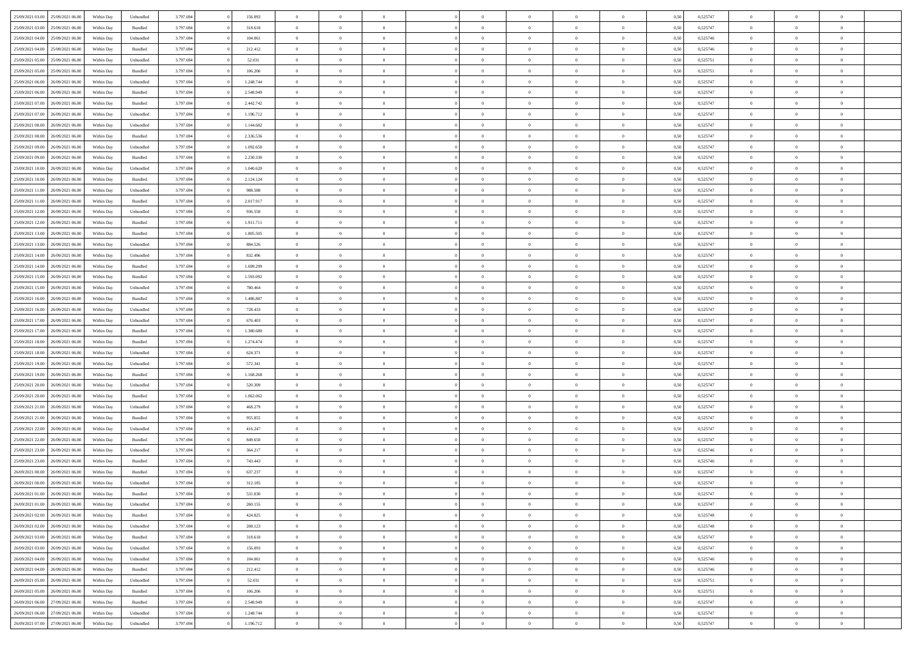| 25/09/2021 03:00                  | 25/09/2021 06:00 | Within Day | Unbundled          | 3.797.694 | 156.093   | $\overline{0}$ | $\theta$                   |                | $\overline{0}$ | $\bf{0}$                   | $\overline{0}$ | $\theta$       | 0,50 | 0,525747 | $\theta$             | $\theta$       | $\overline{0}$ |  |
|-----------------------------------|------------------|------------|--------------------|-----------|-----------|----------------|----------------------------|----------------|----------------|----------------------------|----------------|----------------|------|----------|----------------------|----------------|----------------|--|
|                                   |                  |            |                    |           |           | $\overline{0}$ |                            | $\overline{0}$ |                |                            |                |                |      |          |                      |                | $\overline{0}$ |  |
| 25/09/2021 03:00                  | 25/09/2021 06.00 | Within Day | Bundled            | 3.797.694 | 318.618   |                | $\overline{0}$             |                | $\overline{0}$ | $\,$ 0                     | $\bf{0}$       | $\bf{0}$       | 0,50 | 0,525747 | $\,$ 0 $\,$          | $\overline{0}$ |                |  |
| 25/09/2021 04:00                  | 25/09/2021 06:00 | Within Day | Unbundled          | 3.797.694 | 104.061   | $\overline{0}$ | $\overline{0}$             | $\overline{0}$ | $\overline{0}$ | $\bf{0}$                   | $\overline{0}$ | $\mathbf{0}$   | 0.50 | 0,525746 | $\overline{0}$       | $\overline{0}$ | $\overline{0}$ |  |
| 25/09/2021 04:00                  | 25/09/2021 06.00 | Within Day | Bundled            | 3.797.694 | 212.412   | $\overline{0}$ | $\overline{0}$             | $\overline{0}$ | $\overline{0}$ | $\,0\,$                    | $\overline{0}$ | $\overline{0}$ | 0,50 | 0,525746 | $\,$ 0 $\,$          | $\overline{0}$ | $\overline{0}$ |  |
| 25/09/2021 05:00                  | 25/09/2021 06.00 | Within Day | Unbundled          | 3.797.694 | 52.031    | $\overline{0}$ | $\theta$                   | $\overline{0}$ | $\overline{0}$ | $\,$ 0                     | $\overline{0}$ | $\bf{0}$       | 0,50 | 0,525751 | $\,$ 0 $\,$          | $\overline{0}$ | $\overline{0}$ |  |
| 25/09/2021 05:00                  | 25/09/2021 06:00 | Within Day | Bundled            | 3.797.694 | 106,206   | $\overline{0}$ | $\overline{0}$             | $\overline{0}$ | $\overline{0}$ | $\bf{0}$                   | $\overline{0}$ | $\bf{0}$       | 0.50 | 0,525751 | $\,0\,$              | $\overline{0}$ | $\overline{0}$ |  |
| 25/09/2021 06:00                  | 26/09/2021 06:00 | Within Day | Unbundled          | 3.797.694 | 1.248.744 | $\overline{0}$ | $\overline{0}$             | $\overline{0}$ | $\overline{0}$ | $\bf{0}$                   | $\overline{0}$ | $\bf{0}$       | 0,50 | 0,525747 | $\,$ 0 $\,$          | $\theta$       | $\overline{0}$ |  |
| 25/09/2021 06:00                  | 26/09/2021 06.00 | Within Day | Bundled            | 3.797.694 | 2.548.949 | $\overline{0}$ | $\overline{0}$             | $\overline{0}$ | $\overline{0}$ | $\,$ 0                     | $\bf{0}$       | $\bf{0}$       | 0,50 | 0,525747 | $\,$ 0 $\,$          | $\overline{0}$ | $\overline{0}$ |  |
| 25/09/2021 07:00                  | 26/09/2021 06:00 | Within Day | Bundled            | 3.797.694 | 2.442.742 | $\overline{0}$ | $\overline{0}$             | $\overline{0}$ | $\overline{0}$ | $\bf{0}$                   | $\overline{0}$ | $\bf{0}$       | 0.50 | 0.525747 | $\bf{0}$             | $\overline{0}$ | $\overline{0}$ |  |
| 25/09/2021 07:00                  | 26/09/2021 06:00 | Within Day | Unbundled          | 3.797.694 | 1.196.712 | $\overline{0}$ | $\overline{0}$             | $\overline{0}$ | $\overline{0}$ | $\bf{0}$                   | $\overline{0}$ | $\bf{0}$       | 0,50 | 0,525747 | $\,$ 0 $\,$          | $\overline{0}$ | $\overline{0}$ |  |
|                                   |                  |            |                    |           |           |                |                            |                |                |                            |                |                |      |          |                      |                |                |  |
| 25/09/2021 08:00                  | 26/09/2021 06.00 | Within Day | Unbundled          | 3.797.694 | 1.144.682 | $\overline{0}$ | $\overline{0}$             | $\overline{0}$ | $\overline{0}$ | $\,$ 0                     | $\bf{0}$       | $\bf{0}$       | 0,50 | 0,525747 | $\,$ 0 $\,$          | $\overline{0}$ | $\overline{0}$ |  |
| 25/09/2021 08:00                  | 26/09/2021 06:00 | Within Day | Bundled            | 3.797.694 | 2.336.536 | $\overline{0}$ | $\overline{0}$             | $\overline{0}$ | $\overline{0}$ | $\bf{0}$                   | $\overline{0}$ | $\mathbf{0}$   | 0.50 | 0,525747 | $\overline{0}$       | $\,$ 0 $\,$    | $\bf{0}$       |  |
| 25/09/2021 09:00                  | 26/09/2021 06:00 | Within Day | Unbundled          | 3.797.694 | 1.092.650 | $\overline{0}$ | $\overline{0}$             | $\overline{0}$ | $\overline{0}$ | $\bf{0}$                   | $\overline{0}$ | $\overline{0}$ | 0,50 | 0,525747 | $\,$ 0 $\,$          | $\overline{0}$ | $\overline{0}$ |  |
| 25/09/2021 09:00                  | 26/09/2021 06.00 | Within Day | Bundled            | 3.797.694 | 2.230.330 | $\overline{0}$ | $\theta$                   | $\overline{0}$ | $\overline{0}$ | $\,$ 0                     | $\overline{0}$ | $\bf{0}$       | 0,50 | 0,525747 | $\,$ 0 $\,$          | $\overline{0}$ | $\overline{0}$ |  |
| 25/09/2021 10:00                  | 26/09/2021 06:00 | Within Day | Unbundled          | 3.797.694 | 1.040.620 | $\overline{0}$ | $\overline{0}$             | $\overline{0}$ | $\overline{0}$ | $\bf{0}$                   | $\overline{0}$ | $\bf{0}$       | 0.50 | 0.525747 | $\theta$             | $\theta$       | $\overline{0}$ |  |
| 25/09/2021 10:00                  | 26/09/2021 06:00 | Within Day | Bundled            | 3.797.694 | 2.124.124 | $\overline{0}$ | $\overline{0}$             | $\overline{0}$ | $\overline{0}$ | $\,$ 0                     | $\overline{0}$ | $\overline{0}$ | 0,50 | 0,525747 | $\,$ 0 $\,$          | $\theta$       | $\overline{0}$ |  |
| 25/09/2021 11:00                  | 26/09/2021 06.00 | Within Day | Unbundled          | 3.797.694 | 988.588   | $\overline{0}$ | $\overline{0}$             | $\overline{0}$ | $\overline{0}$ | $\,$ 0                     | $\overline{0}$ | $\bf{0}$       | 0,50 | 0,525747 | $\,$ 0 $\,$          | $\overline{0}$ | $\overline{0}$ |  |
| 25/09/2021 11:00                  | 26/09/2021 06:00 | Within Day | Bundled            | 3.797.694 | 2.017.917 | $\overline{0}$ | $\overline{0}$             | $\overline{0}$ | $\overline{0}$ | $\bf{0}$                   | $\overline{0}$ | $\mathbf{0}$   | 0.50 | 0.525747 | $\bf{0}$             | $\overline{0}$ | $\bf{0}$       |  |
| 25/09/2021 12:00                  | 26/09/2021 06:00 | Within Day | Unbundled          | 3.797.694 | 936.558   | $\overline{0}$ | $\overline{0}$             | $\overline{0}$ | $\overline{0}$ | $\bf{0}$                   | $\overline{0}$ | $\bf{0}$       | 0,50 | 0,525747 | $\,$ 0 $\,$          | $\overline{0}$ | $\overline{0}$ |  |
| 25/09/2021 12:00                  | 26/09/2021 06.00 | Within Day | Bundled            | 3.797.694 | 1.911.711 | $\overline{0}$ | $\overline{0}$             | $\overline{0}$ | $\overline{0}$ | $\bf{0}$                   | $\bf{0}$       | $\bf{0}$       | 0,50 | 0,525747 | $\,$ 0 $\,$          | $\overline{0}$ | $\overline{0}$ |  |
| 25/09/2021 13:00                  | 26/09/2021 06:00 | Within Day | $\mathbf B$ undled | 3.797.694 | 1.805.505 | $\overline{0}$ | $\overline{0}$             | $\overline{0}$ | $\overline{0}$ | $\bf{0}$                   | $\overline{0}$ | $\mathbf{0}$   | 0.50 | 0,525747 | $\,$ 0 $\,$          | $\,$ 0 $\,$    | $\overline{0}$ |  |
|                                   |                  |            |                    |           |           |                | $\overline{0}$             |                |                |                            |                |                |      |          |                      |                |                |  |
| 25/09/2021 13:00                  | 26/09/2021 06:00 | Within Day | Unbundled          | 3.797.694 | 884.526   | $\overline{0}$ |                            | $\overline{0}$ | $\overline{0}$ | $\bf{0}$                   | $\overline{0}$ | $\overline{0}$ | 0,50 | 0,525747 | $\,$ 0 $\,$          | $\overline{0}$ | $\overline{0}$ |  |
| 25/09/2021 14:00                  | 26/09/2021 06.00 | Within Day | Unbundled          | 3.797.694 | 832.496   | $\overline{0}$ | $\overline{0}$             | $\overline{0}$ | $\overline{0}$ | $\,$ 0                     | $\overline{0}$ | $\bf{0}$       | 0,50 | 0,525747 | $\,$ 0 $\,$          | $\overline{0}$ | $\overline{0}$ |  |
| 25/09/2021 14:00                  | 26/09/2021 06:00 | Within Day | Bundled            | 3.797.694 | 1.699.299 | $\overline{0}$ | $\overline{0}$             | $\overline{0}$ | $\overline{0}$ | $\bf{0}$                   | $\overline{0}$ | $\bf{0}$       | 0.50 | 0.525747 | $\,0\,$              | $\overline{0}$ | $\overline{0}$ |  |
| 25/09/2021 15:00                  | 26/09/2021 06:00 | Within Day | Bundled            | 3.797.694 | 1.593.092 | $\overline{0}$ | $\overline{0}$             | $\overline{0}$ | $\overline{0}$ | $\,$ 0                     | $\overline{0}$ | $\overline{0}$ | 0,50 | 0,525747 | $\,$ 0 $\,$          | $\theta$       | $\overline{0}$ |  |
| 25/09/2021 15:00                  | 26/09/2021 06.00 | Within Day | Unbundled          | 3.797.694 | 780.464   | $\overline{0}$ | $\theta$                   | $\overline{0}$ | $\overline{0}$ | $\,$ 0                     | $\overline{0}$ | $\bf{0}$       | 0,50 | 0,525747 | $\,$ 0 $\,$          | $\overline{0}$ | $\overline{0}$ |  |
| 25/09/2021 16:00                  | 26/09/2021 06:00 | Within Day | Bundled            | 3.797.694 | 1.486.887 | $\overline{0}$ | $\overline{0}$             | $\overline{0}$ | $\overline{0}$ | $\bf{0}$                   | $\overline{0}$ | $\bf{0}$       | 0.50 | 0.525747 | $\bf{0}$             | $\overline{0}$ | $\bf{0}$       |  |
| 25/09/2021 16:00                  | 26/09/2021 06:00 | Within Day | Unbundled          | 3.797.694 | 728.433   | $\overline{0}$ | $\overline{0}$             | $\overline{0}$ | $\overline{0}$ | $\bf{0}$                   | $\overline{0}$ | $\bf{0}$       | 0,50 | 0,525747 | $\,$ 0 $\,$          | $\overline{0}$ | $\overline{0}$ |  |
| 25/09/2021 17:00                  | 26/09/2021 06.00 | Within Day | Unbundled          | 3.797.694 | 676.403   | $\overline{0}$ | $\overline{0}$             | $\overline{0}$ | $\overline{0}$ | $\bf{0}$                   | $\bf{0}$       | $\bf{0}$       | 0,50 | 0,525747 | $\,$ 0 $\,$          | $\overline{0}$ | $\overline{0}$ |  |
| 25/09/2021 17:00                  | 26/09/2021 06:00 | Within Day | Bundled            | 3.797.694 | 1.380.680 | $\overline{0}$ | $\overline{0}$             | $\overline{0}$ | $\overline{0}$ | $\bf{0}$                   | $\overline{0}$ | $\mathbf{0}$   | 0.50 | 0,525747 | $\overline{0}$       | $\,$ 0 $\,$    | $\bf{0}$       |  |
| 25/09/2021 18:00                  | 26/09/2021 06:00 | Within Dav | Bundled            | 3.797.694 | 1.274.474 | $\overline{0}$ | $\overline{0}$             | $\overline{0}$ | $\overline{0}$ | $\overline{0}$             | $\overline{0}$ | $\overline{0}$ | 0.50 | 0,525747 | $\theta$             | $\overline{0}$ | $\overline{0}$ |  |
| 25/09/2021 18:00                  | 26/09/2021 06.00 | Within Day | Unbundled          | 3.797.694 | 624.371   | $\overline{0}$ | $\overline{0}$             | $\overline{0}$ | $\overline{0}$ | $\,$ 0                     | $\overline{0}$ | $\bf{0}$       | 0,50 | 0,525747 | $\,$ 0 $\,$          | $\overline{0}$ | $\overline{0}$ |  |
| 25/09/2021 19:00                  | 26/09/2021 06:00 |            |                    |           | 572.341   |                | $\overline{0}$             | $\overline{0}$ | $\overline{0}$ | $\bf{0}$                   | $\overline{0}$ |                | 0.50 | 0.525747 | $\,0\,$              | $\theta$       | $\overline{0}$ |  |
|                                   |                  | Within Day | Unbundled          | 3.797.694 |           | $\overline{0}$ |                            |                |                |                            |                | $\bf{0}$       |      |          |                      |                |                |  |
| 25/09/2021 19:00                  | 26/09/2021 06:00 | Within Dav | Bundled            | 3.797.694 | 1.168.268 | $\overline{0}$ | $\overline{0}$             | $\Omega$       | $\overline{0}$ | $\mathbf{0}$               | $\overline{0}$ | $\overline{0}$ | 0.50 | 0,525747 | $\theta$             | $\overline{0}$ | $\overline{0}$ |  |
| 25/09/2021 20:00                  | 26/09/2021 06.00 | Within Day | Unbundled          | 3.797.694 | 520.309   | $\overline{0}$ | $\overline{0}$             | $\overline{0}$ | $\overline{0}$ | $\,$ 0                     | $\bf{0}$       | $\bf{0}$       | 0,50 | 0,525747 | $\,$ 0 $\,$          | $\overline{0}$ | $\overline{0}$ |  |
| 25/09/2021 20:00                  | 26/09/2021 06:00 | Within Day | Bundled            | 3.797.694 | 1.062.062 | $\overline{0}$ | $\overline{0}$             | $\overline{0}$ | $\overline{0}$ | $\bf{0}$                   | $\overline{0}$ | $\mathbf{0}$   | 0.50 | 0.525747 | $\bf{0}$             | $\overline{0}$ | $\bf{0}$       |  |
| 25/09/2021 21:00                  | 26/09/2021 06:00 | Within Dav | Unbundled          | 3.797.694 | 468.279   | $\overline{0}$ | $\overline{0}$             | $\overline{0}$ | $\overline{0}$ | $\overline{0}$             | $\overline{0}$ | $\overline{0}$ | 0,50 | 0,525747 | $\theta$             | $\overline{0}$ | $\overline{0}$ |  |
| 25/09/2021 21:00                  | 26/09/2021 06.00 | Within Day | Bundled            | 3.797.694 | 955.855   | $\overline{0}$ | $\overline{0}$             | $\overline{0}$ | $\bf{0}$       | $\bf{0}$                   | $\bf{0}$       | $\bf{0}$       | 0,50 | 0,525747 | $\,$ 0 $\,$          | $\overline{0}$ | $\overline{0}$ |  |
| 25/09/2021 22:00                  | 26/09/2021 06:00 | Within Day | Unbundled          | 3.797.694 | 416.247   | $\overline{0}$ | $\overline{0}$             | $\overline{0}$ | $\overline{0}$ | $\bf{0}$                   | $\overline{0}$ | $\mathbf{0}$   | 0.50 | 0,525747 | $\,$ 0 $\,$          | $\,$ 0 $\,$    | $\bf{0}$       |  |
| 25/09/2021 22:00                  | 26/09/2021 06:00 | Within Dav | Bundled            | 3.797.694 | 849.650   | $\overline{0}$ | $\overline{0}$             | $\theta$       | $\overline{0}$ | $\mathbf{0}$               | $\overline{0}$ | $\overline{0}$ | 0.50 | 0,525747 | $\theta$             | $\overline{0}$ | $\overline{0}$ |  |
| 25/09/2021 23:00                  | 26/09/2021 06.00 | Within Day | Unbundled          | 3.797.694 | 364.217   | $\overline{0}$ | $\overline{0}$             | $\overline{0}$ | $\overline{0}$ | $\bf{0}$                   | $\overline{0}$ | $\bf{0}$       | 0,50 | 0,525746 | $\,$ 0 $\,$          | $\overline{0}$ | $\overline{0}$ |  |
| 25/09/2021 23:00                  | 26/09/2021 06:00 | Within Day | Bundled            | 3.797.694 | 743.443   | $\overline{0}$ | $\overline{0}$             | $\overline{0}$ | $\overline{0}$ | $\overline{0}$             | $\Omega$       | $\overline{0}$ | 0.50 | 0,525746 | $\,0\,$              | $\theta$       | $\overline{0}$ |  |
| 26/09/2021 00:00                  | 26/09/2021 06:00 | Within Dav | Bundled            | 3.797.694 | 637.237   | $\overline{0}$ | $\Omega$                   | $\Omega$       | $\Omega$       | $\bf{0}$                   | $\overline{0}$ | $\overline{0}$ | 0.50 | 0,525747 | $\theta$             | $\overline{0}$ | $\overline{0}$ |  |
| 26/09/2021 00:00                  | 26/09/2021 06:00 | Within Day | Unbundled          | 3.797.694 | 312.185   | $\overline{0}$ | $\overline{0}$             | $\overline{0}$ | $\bf{0}$       | $\,$ 0                     | $\bf{0}$       | $\bf{0}$       | 0,50 | 0,525747 | $\,$ 0 $\,$          | $\overline{0}$ | $\overline{0}$ |  |
| 26/09/2021 01:00                  | 26/09/2021 06:00 |            |                    | 3.797.694 | 531.030   |                |                            |                |                |                            |                |                |      | 0,525747 |                      | $\Omega$       |                |  |
|                                   |                  | Within Day | $\mathbf B$ undled |           |           | $\bf{0}$       | $\theta$<br>$\overline{0}$ |                | $^{\circ}$     | $\Omega$<br>$\overline{0}$ |                |                | 0,50 |          | $\bf{0}$<br>$\theta$ | $\overline{0}$ | $\overline{0}$ |  |
| 26/09/2021 01:00 26/09/2021 06:00 |                  | Within Day | Unbundled          | 3.797.694 | 260.155   | $\overline{0}$ |                            | $\overline{0}$ | $\overline{0}$ |                            | $\overline{0}$ | $\mathbf{0}$   | 0,50 | 0,525747 |                      |                |                |  |
| 26/09/2021 02:00                  | 26/09/2021 06:00 | Within Day | Bundled            | 3.797.694 | 424.825   | $\overline{0}$ | $\overline{0}$             | $\overline{0}$ | $\bf{0}$       | $\overline{0}$             | $\overline{0}$ | $\bf{0}$       | 0,50 | 0,525748 | $\overline{0}$       | $\overline{0}$ | $\bf{0}$       |  |
| 26/09/2021 02:00                  | 26/09/2021 06:00 | Within Day | Unbundled          | 3.797.694 | 208.123   | $\overline{0}$ | $\overline{0}$             | $\overline{0}$ | $\overline{0}$ | $\overline{0}$             | $\overline{0}$ | $\mathbf{0}$   | 0.50 | 0,525748 | $\overline{0}$       | $\bf{0}$       | $\bf{0}$       |  |
| 26/09/2021 03:00                  | 26/09/2021 06:00 | Within Day | Bundled            | 3.797.694 | 318.618   | $\overline{0}$ | $\overline{0}$             | $\overline{0}$ | $\overline{0}$ | $\overline{0}$             | $\overline{0}$ | $\mathbf{0}$   | 0,50 | 0,525747 | $\overline{0}$       | $\theta$       | $\overline{0}$ |  |
| 26/09/2021 03:00                  | 26/09/2021 06:00 | Within Day | Unbundled          | 3.797.694 | 156.093   | $\overline{0}$ | $\overline{0}$             | $\overline{0}$ | $\overline{0}$ | $\bf{0}$                   | $\bf{0}$       | $\bf{0}$       | 0,50 | 0,525747 | $\,$ 0 $\,$          | $\overline{0}$ | $\overline{0}$ |  |
| 26/09/2021 04:00                  | 26/09/2021 06:00 | Within Day | Unbundled          | 3.797.694 | 104.061   | $\overline{0}$ | $\overline{0}$             | $\overline{0}$ | $\overline{0}$ | $\bf{0}$                   | $\overline{0}$ | $\mathbf{0}$   | 0.50 | 0.525746 | $\,$ 0 $\,$          | $\overline{0}$ | $\overline{0}$ |  |
| 26/09/2021 04:00                  | 26/09/2021 06:00 | Within Day | Bundled            | 3.797.694 | 212.412   | $\overline{0}$ | $\overline{0}$             | $\overline{0}$ | $\overline{0}$ | $\overline{0}$             | $\overline{0}$ | $\overline{0}$ | 0,50 | 0,525746 | $\overline{0}$       | $\theta$       | $\overline{0}$ |  |
| 26/09/2021 05:00                  | 26/09/2021 06:00 | Within Day | Unbundled          | 3.797.694 | 52.031    | $\overline{0}$ | $\,$ 0                     | $\overline{0}$ | $\bf{0}$       | $\,$ 0 $\,$                | $\overline{0}$ | $\bf{0}$       | 0,50 | 0,525751 | $\,$ 0 $\,$          | $\overline{0}$ | $\overline{0}$ |  |
| 26/09/2021 05:00                  | 26/09/2021 06:00 | Within Day | Bundled            | 3.797.694 | 106.206   | $\overline{0}$ | $\overline{0}$             | $\overline{0}$ | $\overline{0}$ | $\bf{0}$                   | $\overline{0}$ | $\mathbf{0}$   | 0.50 | 0,525751 | $\mathbf{0}$         | $\bf{0}$       | $\bf{0}$       |  |
| 26/09/2021 06:00                  | 27/09/2021 06:00 | Within Day | Bundled            | 3.797.694 | 2.548.949 | $\overline{0}$ | $\overline{0}$             | $\overline{0}$ | $\overline{0}$ | $\overline{0}$             | $\overline{0}$ | $\overline{0}$ | 0,50 | 0,525747 | $\overline{0}$       | $\overline{0}$ | $\overline{0}$ |  |
| 26/09/2021 06:00                  | 27/09/2021 06:00 | Within Day | Unbundled          | 3.797.694 | 1.248.744 | $\overline{0}$ | $\bf{0}$                   | $\overline{0}$ | $\bf{0}$       | $\bf{0}$                   | $\bf{0}$       | $\bf{0}$       | 0,50 | 0,525747 | $\overline{0}$       | $\overline{0}$ | $\bf{0}$       |  |
|                                   |                  |            |                    |           |           |                |                            |                |                |                            |                |                |      |          |                      |                |                |  |
| 26/09/2021 07:00 27/09/2021 06:00 |                  | Within Day | Unbundled          | 3.797.694 | 1.196.712 | $\,$ 0 $\,$    | $\,$ 0 $\,$                | $\overline{0}$ | $\overline{0}$ | $\,$ 0 $\,$                | $\,$ 0 $\,$    | $\,$ 0 $\,$    | 0,50 | 0,525747 | $\mathbf{0}^-$       | $\,$ 0 $\,$    | $\,$ 0 $\,$    |  |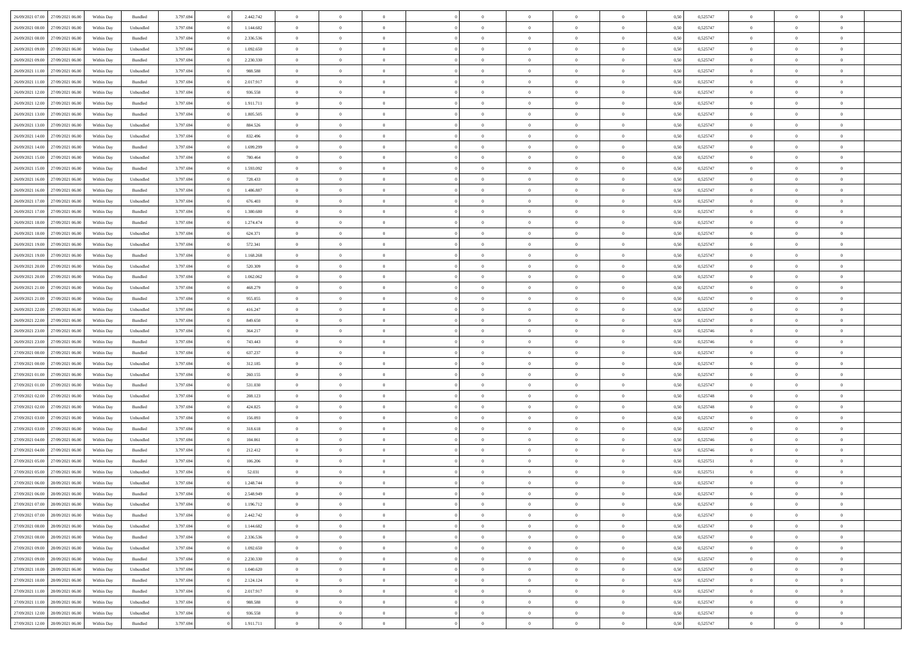| 26/09/2021 07:00 27/09/2021 06:00                        | Within Day | Bundled   | 3.797.694 | 2.442.742 | $\overline{0}$ | $\overline{0}$ | $\Omega$       | $\overline{0}$ | $\theta$       | $\Omega$       | $\overline{0}$ | 0,50 | 0,525747 | $\theta$       | $\theta$       | $\overline{0}$ |  |
|----------------------------------------------------------|------------|-----------|-----------|-----------|----------------|----------------|----------------|----------------|----------------|----------------|----------------|------|----------|----------------|----------------|----------------|--|
| 26/09/2021 08:00<br>27/09/2021 06:00                     | Within Day | Unbundled | 3.797.694 | 1.144.682 | $\overline{0}$ | $\overline{0}$ | $\overline{0}$ | $\overline{0}$ | $\theta$       | $\overline{0}$ | $\bf{0}$       | 0,50 | 0,525747 | $\theta$       | $\theta$       | $\overline{0}$ |  |
| 26/09/2021 08:00<br>27/09/2021 06:00                     | Within Day | Bundled   | 3.797.694 | 2.336.536 | $\overline{0}$ | $\bf{0}$       | $\overline{0}$ | $\overline{0}$ | $\overline{0}$ | $\overline{0}$ | $\bf{0}$       | 0,50 | 0,525747 | $\bf{0}$       | $\overline{0}$ | $\overline{0}$ |  |
| 26/09/2021 09:00<br>27/09/2021 06:00                     | Within Day | Unbundled | 3.797.694 | 1.092.650 | $\overline{0}$ | $\overline{0}$ | $\overline{0}$ | $\overline{0}$ | $\theta$       | $\overline{0}$ | $\overline{0}$ | 0.50 | 0,525747 | $\theta$       | $\theta$       | $\overline{0}$ |  |
| 26/09/2021 09:00<br>27/09/2021 06:00                     | Within Day | Bundled   | 3.797.694 | 2.230.330 | $\overline{0}$ | $\overline{0}$ | $\overline{0}$ | $\overline{0}$ | $\theta$       | $\overline{0}$ | $\bf{0}$       | 0,50 | 0,525747 | $\theta$       | $\theta$       | $\overline{0}$ |  |
| 26/09/2021 11:00<br>27/09/2021 06:00                     | Within Day | Unbundled | 3.797.694 | 988.588   | $\overline{0}$ | $\bf{0}$       | $\overline{0}$ | $\overline{0}$ | $\overline{0}$ | $\overline{0}$ | $\bf{0}$       | 0,50 | 0,525747 | $\overline{0}$ | $\overline{0}$ | $\bf{0}$       |  |
| 26/09/2021 11:00<br>27/09/2021 06.00                     | Within Day | Bundled   | 3.797.694 | 2.017.917 | $\overline{0}$ | $\overline{0}$ | $\overline{0}$ | $\overline{0}$ | $\overline{0}$ | $\overline{0}$ | $\bf{0}$       | 0.5( | 0,525747 | $\theta$       | $\theta$       | $\overline{0}$ |  |
|                                                          |            |           |           |           |                |                |                |                |                |                |                |      |          |                |                |                |  |
| 26/09/2021 12:00<br>27/09/2021 06:00                     | Within Day | Unbundled | 3.797.694 | 936.558   | $\overline{0}$ | $\theta$       | $\overline{0}$ | $\overline{0}$ | $\theta$       | $\overline{0}$ | $\bf{0}$       | 0,50 | 0,525747 | $\theta$       | $\theta$       | $\overline{0}$ |  |
| 26/09/2021 12:00<br>27/09/2021 06:00                     | Within Day | Bundled   | 3.797.694 | 1.911.711 | $\overline{0}$ | $\bf{0}$       | $\overline{0}$ | $\overline{0}$ | $\overline{0}$ | $\overline{0}$ | $\bf{0}$       | 0,50 | 0,525747 | $\bf{0}$       | $\overline{0}$ | $\overline{0}$ |  |
| 26/09/2021 13:00<br>27/09/2021 06:00                     | Within Day | Bundled   | 3.797.694 | 1.805.505 | $\overline{0}$ | $\overline{0}$ | $\overline{0}$ | $\overline{0}$ | $\overline{0}$ | $\overline{0}$ | $\bf{0}$       | 0.50 | 0,525747 | $\theta$       | $\theta$       | $\overline{0}$ |  |
| 26/09/2021 13:00<br>27/09/2021 06:00                     | Within Day | Unbundled | 3.797.694 | 884.526   | $\bf{0}$       | $\overline{0}$ | $\overline{0}$ | $\overline{0}$ | $\theta$       | $\overline{0}$ | $\bf{0}$       | 0,50 | 0,525747 | $\theta$       | $\theta$       | $\overline{0}$ |  |
| 26/09/2021 14:00<br>27/09/2021 06:00                     | Within Day | Unbundled | 3.797.694 | 832.496   | $\overline{0}$ | $\bf{0}$       | $\overline{0}$ | $\overline{0}$ | $\bf{0}$       | $\overline{0}$ | $\bf{0}$       | 0,50 | 0,525747 | $\bf{0}$       | $\overline{0}$ | $\bf{0}$       |  |
| 26/09/2021 14:00<br>27/09/2021 06:00                     | Within Day | Bundled   | 3.797.694 | 1.699.299 | $\overline{0}$ | $\overline{0}$ | $\overline{0}$ | $\overline{0}$ | $\overline{0}$ | $\overline{0}$ | $\overline{0}$ | 0.5( | 0,525747 | $\theta$       | $\theta$       | $\overline{0}$ |  |
| 26/09/2021 15:00<br>27/09/2021 06:00                     | Within Day | Unbundled | 3.797.694 | 780.464   | $\overline{0}$ | $\theta$       | $\overline{0}$ | $\overline{0}$ | $\theta$       | $\overline{0}$ | $\,$ 0 $\,$    | 0,50 | 0,525747 | $\theta$       | $\theta$       | $\overline{0}$ |  |
| 26/09/2021 15:00<br>27/09/2021 06:00                     | Within Day | Bundled   | 3.797.694 | 1.593.092 | $\overline{0}$ | $\bf{0}$       | $\overline{0}$ | $\overline{0}$ | $\overline{0}$ | $\overline{0}$ | $\bf{0}$       | 0,50 | 0,525747 | $\bf{0}$       | $\overline{0}$ | $\bf{0}$       |  |
| 26/09/2021 16:00<br>27/09/2021 06:00                     | Within Day | Unbundled | 3.797.694 | 728.433   | $\overline{0}$ | $\overline{0}$ | $\overline{0}$ | $\overline{0}$ | $\overline{0}$ | $\overline{0}$ | $\overline{0}$ | 0.5( | 0,525747 | $\theta$       | $\overline{0}$ | $\overline{0}$ |  |
| 26/09/2021 16:00<br>27/09/2021 06:00                     | Within Day | Bundled   | 3.797.694 | 1.486.887 | $\overline{0}$ | $\overline{0}$ | $\overline{0}$ | $\overline{0}$ | $\theta$       | $\overline{0}$ | $\bf{0}$       | 0,50 | 0,525747 | $\theta$       | $\theta$       | $\overline{0}$ |  |
| 26/09/2021 17:00<br>27/09/2021 06:00                     | Within Day | Unbundled | 3.797.694 | 676.403   | $\overline{0}$ | $\bf{0}$       | $\overline{0}$ | $\overline{0}$ | $\overline{0}$ | $\overline{0}$ | $\bf{0}$       | 0,50 | 0,525747 | $\bf{0}$       | $\overline{0}$ | $\overline{0}$ |  |
| 26/09/2021 17:00<br>27/09/2021 06:00                     | Within Day | Bundled   | 3.797.694 | 1.380.680 | $\overline{0}$ | $\overline{0}$ | $\overline{0}$ | $\overline{0}$ | $\overline{0}$ | $\overline{0}$ | $\overline{0}$ | 0.50 | 0,525747 | $\theta$       | $\theta$       | $\overline{0}$ |  |
| 26/09/2021 18:00<br>27/09/2021 06:00                     | Within Day | Bundled   | 3.797.694 | 1.274.474 | $\bf{0}$       | $\overline{0}$ | $\overline{0}$ | $\overline{0}$ | $\theta$       | $\overline{0}$ | $\bf{0}$       | 0,50 | 0,525747 | $\theta$       | $\theta$       | $\overline{0}$ |  |
| 26/09/2021 18:00<br>27/09/2021 06:00                     | Within Day | Unbundled | 3.797.694 | 624.371   | $\overline{0}$ | $\bf{0}$       | $\overline{0}$ | $\overline{0}$ | $\bf{0}$       | $\overline{0}$ | $\bf{0}$       | 0,50 | 0,525747 | $\bf{0}$       | $\overline{0}$ | $\bf{0}$       |  |
| 26/09/2021 19:00<br>27/09/2021 06:00                     | Within Day | Unbundled | 3.797.694 | 572.341   | $\overline{0}$ | $\overline{0}$ | $\overline{0}$ | $\overline{0}$ | $\overline{0}$ | $\overline{0}$ | $\overline{0}$ | 0.5( | 0,525747 | $\theta$       | $\overline{0}$ | $\overline{0}$ |  |
|                                                          |            |           |           |           |                |                |                |                |                |                |                |      |          |                |                |                |  |
| 26/09/2021 19:00<br>27/09/2021 06:00                     | Within Day | Bundled   | 3.797.694 | 1.168.268 | $\bf{0}$       | $\theta$       | $\overline{0}$ | $\overline{0}$ | $\theta$       | $\overline{0}$ | $\bf{0}$       | 0,50 | 0,525747 | $\theta$       | $\theta$       | $\overline{0}$ |  |
| 26/09/2021 20:00<br>27/09/2021 06:00                     | Within Day | Unbundled | 3.797.694 | 520.309   | $\overline{0}$ | $\bf{0}$       | $\overline{0}$ | $\overline{0}$ | $\overline{0}$ | $\overline{0}$ | $\bf{0}$       | 0,50 | 0,525747 | $\overline{0}$ | $\overline{0}$ | $\bf{0}$       |  |
| 26/09/2021 20:00<br>27/09/2021 06:00                     | Within Day | Bundled   | 3.797.694 | 1.062.062 | $\overline{0}$ | $\overline{0}$ | $\overline{0}$ | $\overline{0}$ | $\overline{0}$ | $\overline{0}$ | $\overline{0}$ | 0.5( | 0,525747 | $\theta$       | $\theta$       | $\overline{0}$ |  |
| 26/09/2021 21:00<br>27/09/2021 06:00                     | Within Day | Unbundled | 3.797.694 | 468.279   | $\overline{0}$ | $\overline{0}$ | $\overline{0}$ | $\overline{0}$ | $\theta$       | $\overline{0}$ | $\bf{0}$       | 0,50 | 0,525747 | $\theta$       | $\theta$       | $\overline{0}$ |  |
| 26/09/2021 21:00<br>27/09/2021 06:00                     | Within Day | Bundled   | 3.797.694 | 955.855   | $\overline{0}$ | $\bf{0}$       | $\overline{0}$ | $\overline{0}$ | $\overline{0}$ | $\overline{0}$ | $\bf{0}$       | 0,50 | 0,525747 | $\bf{0}$       | $\overline{0}$ | $\overline{0}$ |  |
| 26/09/2021 22:00<br>27/09/2021 06:00                     | Within Day | Unbundled | 3.797.694 | 416.247   | $\overline{0}$ | $\overline{0}$ | $\overline{0}$ | $\overline{0}$ | $\overline{0}$ | $\overline{0}$ | $\overline{0}$ | 0.5( | 0,525747 | $\theta$       | $\theta$       | $\overline{0}$ |  |
| 26/09/2021 22:00<br>27/09/2021 06:00                     | Within Day | Bundled   | 3.797.694 | 849.650   | $\bf{0}$       | $\overline{0}$ | $\overline{0}$ | $\overline{0}$ | $\theta$       | $\overline{0}$ | $\bf{0}$       | 0,50 | 0,525747 | $\,$ 0 $\,$    | $\theta$       | $\overline{0}$ |  |
| 26/09/2021 23:00<br>27/09/2021 06:00                     | Within Day | Unbundled | 3.797.694 | 364.217   | $\overline{0}$ | $\bf{0}$       | $\overline{0}$ | $\overline{0}$ | $\bf{0}$       | $\overline{0}$ | $\bf{0}$       | 0,50 | 0,525746 | $\bf{0}$       | $\overline{0}$ | $\bf{0}$       |  |
| 26/09/2021 23:00<br>27/09/2021 06.00                     | Within Day | Bundled   | 3.797.694 | 743.443   | $\overline{0}$ | $\overline{0}$ | $\Omega$       | $\Omega$       | $\Omega$       | $\Omega$       | $\overline{0}$ | 0,50 | 0,525746 | $\,$ 0 $\,$    | $\overline{0}$ | $\theta$       |  |
| 27/09/2021 00:00<br>27/09/2021 06:00                     | Within Day | Bundled   | 3.797.694 | 637.237   | $\bf{0}$       | $\theta$       | $\overline{0}$ | $\overline{0}$ | $\theta$       | $\overline{0}$ | $\bf{0}$       | 0,50 | 0,525747 | $\theta$       | $\theta$       | $\overline{0}$ |  |
| 27/09/2021 00:00<br>27/09/2021 06:00                     | Within Day | Unbundled | 3.797.694 | 312.185   | $\overline{0}$ | $\bf{0}$       | $\overline{0}$ | $\overline{0}$ | $\overline{0}$ | $\overline{0}$ | $\bf{0}$       | 0,50 | 0,525747 | $\overline{0}$ | $\overline{0}$ | $\bf{0}$       |  |
| 27/09/2021 01:00<br>27/09/2021 06:00                     | Within Day | Unbundled | 3.797.694 | 260.155   | $\overline{0}$ | $\overline{0}$ | $\Omega$       | $\Omega$       | $\overline{0}$ | $\Omega$       | $\overline{0}$ | 0.50 | 0,525747 | $\bf{0}$       | $\theta$       | $\theta$       |  |
| 27/09/2021 01:00<br>27/09/2021 06:00                     | Within Day | Bundled   | 3.797.694 | 531.030   | $\bf{0}$       | $\overline{0}$ | $\overline{0}$ | $\overline{0}$ | $\theta$       | $\overline{0}$ | $\bf{0}$       | 0,50 | 0,525747 | $\theta$       | $\theta$       | $\overline{0}$ |  |
| 27/09/2021 02:00<br>27/09/2021 06.00                     | Within Day | Unbundled | 3.797.694 | 208.123   | $\overline{0}$ | $\bf{0}$       | $\overline{0}$ | $\overline{0}$ | $\overline{0}$ | $\bf{0}$       | $\bf{0}$       | 0,50 | 0,525748 | $\bf{0}$       | $\overline{0}$ | $\overline{0}$ |  |
| 27/09/2021 02:00<br>27/09/2021 06:00                     | Within Day | Bundled   | 3.797.694 | 424.825   | $\overline{0}$ | $\overline{0}$ | $\Omega$       | $\Omega$       | $\Omega$       | $\theta$       | $\overline{0}$ | 0.50 | 0,525748 | $\bf{0}$       | $\theta$       | $\theta$       |  |
| 27/09/2021 03:00<br>27/09/2021 06:00                     | Within Day | Unbundled | 3.797.694 | 156.093   | $\bf{0}$       | $\bf{0}$       | $\overline{0}$ | $\overline{0}$ | $\theta$       | $\overline{0}$ | $\bf{0}$       | 0,50 | 0,525747 | $\,$ 0 $\,$    | $\,$ 0 $\,$    | $\overline{0}$ |  |
| 27/09/2021 03:00<br>27/09/2021 06:00                     | Within Day | Bundled   | 3.797.694 | 318.618   | $\overline{0}$ | $\bf{0}$       | $\overline{0}$ | $\overline{0}$ | $\overline{0}$ | $\overline{0}$ | $\bf{0}$       | 0,50 | 0,525747 | $\bf{0}$       | $\overline{0}$ | $\bf{0}$       |  |
| 27/09/2021 04:00<br>27/09/2021 06.00                     | Within Day | Unbundled | 3.797.694 | 104.061   | $\overline{0}$ | $\overline{0}$ | $\overline{0}$ | $\Omega$       | $\theta$       | $\Omega$       | $\overline{0}$ | 0,50 | 0,525746 | $\bf{0}$       | $\overline{0}$ | $\theta$       |  |
| 27/09/2021 04:00<br>27/09/2021 06:00                     | Within Day | Bundled   | 3.797.694 | 212.412   | $\bf{0}$       | $\theta$       | $\overline{0}$ | $\overline{0}$ | $\theta$       | $\overline{0}$ | $\bf{0}$       | 0,50 | 0,525746 | $\,$ 0 $\,$    | $\theta$       | $\overline{0}$ |  |
| 27/09/2021 05:00<br>27/09/2021 06.00                     | Within Day | Bundled   | 3.797.694 | 106.206   | $\overline{0}$ | $\bf{0}$       | $\overline{0}$ | $\overline{0}$ | $\overline{0}$ | $\overline{0}$ | $\bf{0}$       | 0,50 | 0,525751 | $\overline{0}$ | $\overline{0}$ | $\bf{0}$       |  |
| 27/09/2021 06.00                                         | Within Day | Unbundled | 3.797.694 | 52.031    | $\overline{0}$ | $\Omega$       | $\Omega$       | $\Omega$       | $\Omega$       | $\theta$       | $\overline{0}$ | 0.50 | 0,525751 | $\theta$       | $\overline{0}$ | $\theta$       |  |
| 27/09/2021 05:00<br>27/09/2021 06:00<br>28/09/2021 06:00 | Within Day | Unbundled | 3.797.694 | 1.248.744 | $\bf{0}$       | $\bf{0}$       | $\overline{0}$ | $\overline{0}$ | $\bf{0}$       | $\bf{0}$       | $\bf{0}$       | 0,50 | 0,525747 | $\bf{0}$       | $\,$ 0 $\,$    | $\overline{0}$ |  |
| 27/09/2021 06:00 28/09/2021 06:00                        | Within Day | Bundled   | 3.797.694 | 2.548.949 | $\bf{0}$       |                |                |                |                |                |                | 0,50 | 0,525747 | $\bf{0}$       | $\bf{0}$       |                |  |
| 27/09/2021 07:00 28/09/2021 06:00                        | Within Day |           | 3.797.694 | 1.196.712 | $\Omega$       | $\overline{0}$ | $\Omega$       | $\theta$       | $\Omega$       | $\theta$       | $\overline{0}$ | 0.50 | 0,525747 | $\theta$       | $\theta$       | $\Omega$       |  |
|                                                          |            | Unbundled |           |           |                |                |                |                |                |                |                |      |          |                |                |                |  |
| 27/09/2021 07:00<br>28/09/2021 06:00                     | Within Day | Bundled   | 3.797.694 | 2.442.742 | $\overline{0}$ | $\overline{0}$ | $\overline{0}$ | $\overline{0}$ | $\overline{0}$ | $\overline{0}$ | $\,$ 0 $\,$    | 0,50 | 0,525747 | $\,$ 0 $\,$    | $\,$ 0 $\,$    | $\,$ 0         |  |
| 27/09/2021 08:00<br>28/09/2021 06:00                     | Within Day | Unbundled | 3.797.694 | 1.144.682 | $\overline{0}$ | $\overline{0}$ | $\overline{0}$ | $\overline{0}$ | $\overline{0}$ | $\overline{0}$ | $\bf{0}$       | 0,50 | 0,525747 | $\overline{0}$ | $\bf{0}$       | $\overline{0}$ |  |
| 28/09/2021 06:00<br>27/09/2021 08:00                     | Within Day | Bundled   | 3.797.694 | 2.336.536 | $\overline{0}$ | $\bf{0}$       | $\overline{0}$ | $\overline{0}$ | $\overline{0}$ | $\overline{0}$ | $\bf{0}$       | 0,50 | 0,525747 | $\bf{0}$       | $\theta$       | $\overline{0}$ |  |
| 27/09/2021 09:00<br>28/09/2021 06:00                     | Within Day | Unbundled | 3.797.694 | 1.092.650 | $\overline{0}$ | $\,$ 0         | $\overline{0}$ | $\overline{0}$ | $\overline{0}$ | $\overline{0}$ | $\bf{0}$       | 0,50 | 0,525747 | $\,$ 0 $\,$    | $\,$ 0 $\,$    | $\overline{0}$ |  |
| 27/09/2021 09:00<br>28/09/2021 06:00                     | Within Day | Bundled   | 3.797.694 | 2.230.330 | $\overline{0}$ | $\overline{0}$ | $\overline{0}$ | $\overline{0}$ | $\overline{0}$ | $\overline{0}$ | $\bf{0}$       | 0,50 | 0,525747 | $\overline{0}$ | $\overline{0}$ | $\bf{0}$       |  |
| 27/09/2021 10:00<br>28/09/2021 06:00                     | Within Day | Unbundled | 3.797.694 | 1.040.620 | $\overline{0}$ | $\overline{0}$ | $\overline{0}$ | $\overline{0}$ | $\overline{0}$ | $\overline{0}$ | $\bf{0}$       | 0.50 | 0,525747 | $\overline{0}$ | $\theta$       | $\overline{0}$ |  |
| 27/09/2021 10:00<br>28/09/2021 06:00                     | Within Day | Bundled   | 3.797.694 | 2.124.124 | $\overline{0}$ | $\,$ 0         | $\overline{0}$ | $\overline{0}$ | $\overline{0}$ | $\overline{0}$ | $\bf{0}$       | 0,50 | 0,525747 | $\,$ 0 $\,$    | $\bf{0}$       | $\overline{0}$ |  |
| 27/09/2021 11:00<br>28/09/2021 06:00                     | Within Day | Bundled   | 3.797.694 | 2.017.917 | $\overline{0}$ | $\bf{0}$       | $\overline{0}$ | $\overline{0}$ | $\overline{0}$ | $\overline{0}$ | $\bf{0}$       | 0,50 | 0,525747 | $\overline{0}$ | $\overline{0}$ | $\bf{0}$       |  |
| 28/09/2021 06:00<br>27/09/2021 11:00                     | Within Day | Unbundled | 3.797.694 | 988,588   | $\overline{0}$ | $\overline{0}$ | $\overline{0}$ | $\overline{0}$ | $\overline{0}$ | $\overline{0}$ | $\bf{0}$       | 0.50 | 0,525747 | $\overline{0}$ | $\theta$       | $\overline{0}$ |  |
| 27/09/2021 12:00<br>28/09/2021 06:00                     | Within Day | Unbundled | 3.797.694 | 936.558   | $\overline{0}$ | $\,$ 0         | $\overline{0}$ | $\overline{0}$ | $\overline{0}$ | $\bf{0}$       | $\bf{0}$       | 0,50 | 0,525747 | $\,$ 0 $\,$    | $\,$ 0 $\,$    | $\overline{0}$ |  |
| 27/09/2021 12:00 28/09/2021 06:00                        | Within Day | Bundled   | 3.797.694 | 1.911.711 | $\overline{0}$ | $\bf{0}$       | $\overline{0}$ | $\overline{0}$ | $\bf{0}$       | $\overline{0}$ | $\bf{0}$       | 0,50 | 0,525747 | $\overline{0}$ | $\bf{0}$       | $\overline{0}$ |  |
|                                                          |            |           |           |           |                |                |                |                |                |                |                |      |          |                |                |                |  |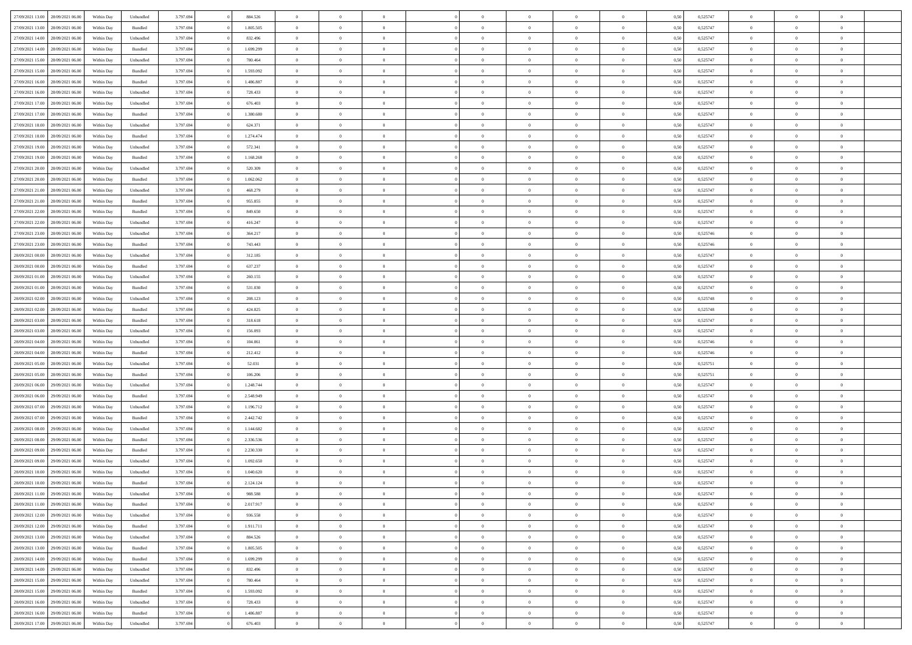| 27/09/2021 13:00 28/09/2021 06:00    | Within Day | Unbundled | 3.797.694 | 884.526   | $\overline{0}$ | $\overline{0}$ | $\Omega$       | $\Omega$       | $\theta$       | $\Omega$       | $\overline{0}$ | 0,50 | 0,525747 | $\theta$                   | $\theta$       | $\theta$       |  |
|--------------------------------------|------------|-----------|-----------|-----------|----------------|----------------|----------------|----------------|----------------|----------------|----------------|------|----------|----------------------------|----------------|----------------|--|
| 27/09/2021 13:00<br>28/09/2021 06:00 | Within Day | Bundled   | 3.797.694 | 1.805.505 | $\overline{0}$ | $\overline{0}$ | $\overline{0}$ | $\overline{0}$ | $\theta$       | $\overline{0}$ | $\bf{0}$       | 0,50 | 0,525747 | $\theta$                   | $\theta$       | $\overline{0}$ |  |
| 27/09/2021 14:00<br>28/09/2021 06:00 | Within Day | Unbundled | 3.797.694 | 832.496   | $\overline{0}$ | $\bf{0}$       | $\overline{0}$ | $\overline{0}$ | $\overline{0}$ | $\overline{0}$ | $\bf{0}$       | 0,50 | 0,525747 | $\bf{0}$                   | $\overline{0}$ | $\overline{0}$ |  |
| 27/09/2021 14:00<br>28/09/2021 06:00 | Within Day | Bundled   | 3.797.694 | 1.699.299 | $\overline{0}$ | $\overline{0}$ | $\overline{0}$ | $\overline{0}$ | $\theta$       | $\overline{0}$ | $\overline{0}$ | 0.50 | 0,525747 | $\theta$                   | $\theta$       | $\overline{0}$ |  |
| 27/09/2021 15:00<br>28/09/2021 06:00 | Within Day | Unbundled | 3.797.694 | 780.464   | $\overline{0}$ | $\overline{0}$ | $\overline{0}$ | $\overline{0}$ | $\theta$       | $\overline{0}$ | $\bf{0}$       | 0,50 | 0,525747 | $\theta$                   | $\theta$       | $\overline{0}$ |  |
|                                      |            |           |           |           |                | $\bf{0}$       |                |                |                |                |                |      |          |                            | $\overline{0}$ | $\bf{0}$       |  |
| 27/09/2021 15:00<br>28/09/2021 06:00 | Within Day | Bundled   | 3.797.694 | 1.593.092 | $\overline{0}$ |                | $\overline{0}$ | $\overline{0}$ | $\overline{0}$ | $\overline{0}$ | $\bf{0}$       | 0,50 | 0,525747 | $\overline{0}$<br>$\theta$ | $\theta$       | $\overline{0}$ |  |
| 27/09/2021 16:00<br>28/09/2021 06:00 | Within Day | Bundled   | 3.797.694 | 1.486.887 | $\overline{0}$ | $\overline{0}$ | $\overline{0}$ | $\overline{0}$ | $\overline{0}$ | $\overline{0}$ | $\overline{0}$ | 0.5( | 0,525747 |                            |                |                |  |
| 27/09/2021 16:00<br>28/09/2021 06:00 | Within Day | Unbundled | 3.797.694 | 728.433   | $\overline{0}$ | $\overline{0}$ | $\overline{0}$ | $\overline{0}$ | $\theta$       | $\overline{0}$ | $\bf{0}$       | 0,50 | 0,525747 | $\theta$                   | $\theta$       | $\overline{0}$ |  |
| 27/09/2021 17:00<br>28/09/2021 06:00 | Within Day | Unbundled | 3.797.694 | 676.403   | $\overline{0}$ | $\bf{0}$       | $\overline{0}$ | $\overline{0}$ | $\overline{0}$ | $\overline{0}$ | $\bf{0}$       | 0,50 | 0,525747 | $\bf{0}$                   | $\bf{0}$       | $\overline{0}$ |  |
| 27/09/2021 17:00<br>28/09/2021 06:00 | Within Day | Bundled   | 3.797.694 | 1.380.680 | $\overline{0}$ | $\overline{0}$ | $\overline{0}$ | $\overline{0}$ | $\overline{0}$ | $\overline{0}$ | $\bf{0}$       | 0.50 | 0,525747 | $\theta$                   | $\theta$       | $\overline{0}$ |  |
| 27/09/2021 18:00<br>28/09/2021 06:00 | Within Day | Unbundled | 3.797.694 | 624.371   | $\bf{0}$       | $\overline{0}$ | $\overline{0}$ | $\overline{0}$ | $\theta$       | $\overline{0}$ | $\bf{0}$       | 0,50 | 0,525747 | $\theta$                   | $\theta$       | $\overline{0}$ |  |
| 27/09/2021 18:00<br>28/09/2021 06:00 | Within Day | Bundled   | 3.797.694 | 1.274.474 | $\overline{0}$ | $\bf{0}$       | $\overline{0}$ | $\overline{0}$ | $\bf{0}$       | $\overline{0}$ | $\bf{0}$       | 0,50 | 0,525747 | $\bf{0}$                   | $\overline{0}$ | $\overline{0}$ |  |
| 27/09/2021 19:00<br>28/09/2021 06:00 | Within Day | Unbundled | 3.797.694 | 572.341   | $\overline{0}$ | $\overline{0}$ | $\overline{0}$ | $\overline{0}$ | $\overline{0}$ | $\overline{0}$ | $\overline{0}$ | 0.5( | 0,525747 | $\theta$                   | $\theta$       | $\overline{0}$ |  |
| 27/09/2021 19:00<br>28/09/2021 06:00 | Within Day | Bundled   | 3.797.694 | 1.168.268 | $\overline{0}$ | $\theta$       | $\overline{0}$ | $\overline{0}$ | $\theta$       | $\overline{0}$ | $\,$ 0 $\,$    | 0,50 | 0,525747 | $\theta$                   | $\theta$       | $\overline{0}$ |  |
| 27/09/2021 20:00<br>28/09/2021 06:00 | Within Day | Unbundled | 3.797.694 | 520.309   | $\overline{0}$ | $\bf{0}$       | $\overline{0}$ | $\overline{0}$ | $\bf{0}$       | $\overline{0}$ | $\bf{0}$       | 0,50 | 0,525747 | $\bf{0}$                   | $\overline{0}$ | $\bf{0}$       |  |
| 27/09/2021 20:00<br>28/09/2021 06:00 | Within Day | Bundled   | 3.797.694 | 1.062.062 | $\overline{0}$ | $\overline{0}$ | $\overline{0}$ | $\overline{0}$ | $\overline{0}$ | $\overline{0}$ | $\overline{0}$ | 0.5( | 0,525747 | $\theta$                   | $\theta$       | $\overline{0}$ |  |
| 27/09/2021 21:00<br>28/09/2021 06:00 | Within Day | Unbundled | 3.797.694 | 468.279   | $\overline{0}$ | $\theta$       | $\overline{0}$ | $\overline{0}$ | $\theta$       | $\overline{0}$ | $\bf{0}$       | 0,50 | 0,525747 | $\theta$                   | $\theta$       | $\overline{0}$ |  |
| 28/09/2021 06:00                     | Within Day | Bundled   | 3.797.694 | 955.855   | $\overline{0}$ | $\bf{0}$       | $\overline{0}$ | $\overline{0}$ | $\overline{0}$ | $\bf{0}$       | $\bf{0}$       | 0,50 | 0,525747 | $\bf{0}$                   | $\overline{0}$ | $\overline{0}$ |  |
| 27/09/2021 21:00                     |            |           |           |           |                | $\overline{0}$ |                |                | $\overline{0}$ |                |                |      |          | $\theta$                   | $\theta$       | $\overline{0}$ |  |
| 27/09/2021 22:00<br>28/09/2021 06:00 | Within Day | Bundled   | 3.797.694 | 849,650   | $\overline{0}$ |                | $\overline{0}$ | $\overline{0}$ |                | $\overline{0}$ | $\overline{0}$ | 0.50 | 0,525747 |                            |                |                |  |
| 27/09/2021 22.00<br>28/09/2021 06:00 | Within Day | Unbundled | 3.797.694 | 416.247   | $\bf{0}$       | $\overline{0}$ | $\overline{0}$ | $\overline{0}$ | $\theta$       | $\overline{0}$ | $\bf{0}$       | 0,50 | 0,525747 | $\theta$                   | $\theta$       | $\overline{0}$ |  |
| 27/09/2021 23:00<br>28/09/2021 06:00 | Within Day | Unbundled | 3.797.694 | 364.217   | $\overline{0}$ | $\bf{0}$       | $\overline{0}$ | $\overline{0}$ | $\overline{0}$ | $\overline{0}$ | $\bf{0}$       | 0,50 | 0,525746 | $\bf{0}$                   | $\bf{0}$       | $\overline{0}$ |  |
| 27/09/2021 23:00<br>28/09/2021 06:00 | Within Day | Bundled   | 3.797.694 | 743.443   | $\overline{0}$ | $\overline{0}$ | $\overline{0}$ | $\overline{0}$ | $\overline{0}$ | $\overline{0}$ | $\overline{0}$ | 0.5( | 0,525746 | $\theta$                   | $\theta$       | $\overline{0}$ |  |
| 28/09/2021 00:00<br>28/09/2021 06:00 | Within Day | Unbundled | 3.797.694 | 312.185   | $\overline{0}$ | $\overline{0}$ | $\overline{0}$ | $\overline{0}$ | $\theta$       | $\overline{0}$ | $\bf{0}$       | 0,50 | 0,525747 | $\theta$                   | $\theta$       | $\overline{0}$ |  |
| 28/09/2021 00:00<br>28/09/2021 06:00 | Within Day | Bundled   | 3.797.694 | 637.237   | $\overline{0}$ | $\bf{0}$       | $\overline{0}$ | $\overline{0}$ | $\overline{0}$ | $\overline{0}$ | $\bf{0}$       | 0,50 | 0,525747 | $\overline{0}$             | $\overline{0}$ | $\bf{0}$       |  |
| 28/09/2021 01:00<br>28/09/2021 06:00 | Within Day | Unbundled | 3.797.694 | 260,155   | $\overline{0}$ | $\overline{0}$ | $\overline{0}$ | $\overline{0}$ | $\overline{0}$ | $\overline{0}$ | $\overline{0}$ | 0.5( | 0,525747 | $\theta$                   | $\theta$       | $\overline{0}$ |  |
| 28/09/2021 01:00<br>28/09/2021 06:00 | Within Day | Bundled   | 3.797.694 | 531.030   | $\overline{0}$ | $\overline{0}$ | $\overline{0}$ | $\overline{0}$ | $\theta$       | $\overline{0}$ | $\bf{0}$       | 0,50 | 0,525747 | $\theta$                   | $\theta$       | $\overline{0}$ |  |
| 28/09/2021 02:00<br>28/09/2021 06:00 | Within Day | Unbundled | 3.797.694 | 208.123   | $\overline{0}$ | $\bf{0}$       | $\overline{0}$ | $\overline{0}$ | $\overline{0}$ | $\bf{0}$       | $\bf{0}$       | 0,50 | 0,525748 | $\bf{0}$                   | $\bf{0}$       | $\overline{0}$ |  |
| 28/09/2021 02:00<br>28/09/2021 06:00 | Within Day | Bundled   | 3.797.694 | 424.825   | $\overline{0}$ | $\overline{0}$ | $\overline{0}$ | $\overline{0}$ | $\overline{0}$ | $\overline{0}$ | $\overline{0}$ | 0.5( | 0,525748 | $\theta$                   | $\theta$       | $\overline{0}$ |  |
| 28/09/2021 03:00<br>28/09/2021 06:00 | Within Day | Bundled   | 3.797.694 | 318.618   | $\bf{0}$       | $\overline{0}$ | $\overline{0}$ | $\overline{0}$ | $\theta$       | $\overline{0}$ | $\bf{0}$       | 0,50 | 0,525747 | $\theta$                   | $\theta$       | $\overline{0}$ |  |
| 28/09/2021 03:00<br>28/09/2021 06:00 | Within Day | Unbundled | 3.797.694 | 156.093   | $\overline{0}$ | $\bf{0}$       | $\overline{0}$ | $\overline{0}$ | $\overline{0}$ | $\overline{0}$ | $\bf{0}$       | 0,50 | 0,525747 | $\bf{0}$                   | $\overline{0}$ | $\overline{0}$ |  |
| 28/09/2021 04:00<br>28/09/2021 06:00 | Within Day | Unbundled | 3.797.694 | 104.061   | $\overline{0}$ | $\overline{0}$ | $\Omega$       | $\Omega$       | $\Omega$       | $\theta$       | $\overline{0}$ | 0,50 | 0,525746 | $\,$ 0 $\,$                | $\Omega$       | $\theta$       |  |
| 28/09/2021 04:00<br>28/09/2021 06:00 | Within Day | Bundled   | 3.797.694 | 212.412   | $\bf{0}$       | $\overline{0}$ | $\overline{0}$ | $\overline{0}$ | $\theta$       | $\overline{0}$ | $\bf{0}$       | 0,50 | 0,525746 | $\theta$                   | $\theta$       | $\overline{0}$ |  |
|                                      |            |           |           |           |                |                |                |                |                |                |                |      |          |                            |                |                |  |
| 28/09/2021 05:00<br>28/09/2021 06:00 | Within Day | Unbundled | 3.797.694 | 52.031    | $\overline{0}$ | $\bf{0}$       | $\overline{0}$ | $\overline{0}$ | $\bf{0}$       | $\overline{0}$ | $\bf{0}$       | 0,50 | 0,525751 | $\bf{0}$                   | $\overline{0}$ | $\bf{0}$       |  |
| 28/09/2021 05:00<br>28/09/2021 06:00 | Within Day | Bundled   | 3.797.694 | 106,206   | $\overline{0}$ | $\overline{0}$ | $\Omega$       | $\Omega$       | $\overline{0}$ | $\Omega$       | $\overline{0}$ | 0.50 | 0,525751 | $\bf{0}$                   | $\Omega$       | $\theta$       |  |
| 28/09/2021 06:00<br>29/09/2021 06:00 | Within Day | Unbundled | 3.797.694 | 1.248.744 | $\bf{0}$       | $\overline{0}$ | $\overline{0}$ | $\overline{0}$ | $\theta$       | $\overline{0}$ | $\bf{0}$       | 0,50 | 0,525747 | $\theta$                   | $\theta$       | $\overline{0}$ |  |
| 28/09/2021 06:00<br>29/09/2021 06.00 | Within Day | Bundled   | 3.797.694 | 2.548.949 | $\overline{0}$ | $\bf{0}$       | $\overline{0}$ | $\overline{0}$ | $\overline{0}$ | $\bf{0}$       | $\bf{0}$       | 0,50 | 0,525747 | $\bf{0}$                   | $\bf{0}$       | $\overline{0}$ |  |
| 28/09/2021 07:00<br>29/09/2021 06:00 | Within Day | Unbundled | 3.797.694 | 1.196.712 | $\overline{0}$ | $\theta$       | $\Omega$       | $\Omega$       | $\Omega$       | $\Omega$       | $\overline{0}$ | 0.50 | 0,525747 | $\theta$                   | $\Omega$       | $\theta$       |  |
| 28/09/2021 07:00<br>29/09/2021 06:00 | Within Day | Bundled   | 3.797.694 | 2.442.742 | $\bf{0}$       | $\overline{0}$ | $\overline{0}$ | $\overline{0}$ | $\theta$       | $\overline{0}$ | $\bf{0}$       | 0,50 | 0,525747 | $\theta$                   | $\theta$       | $\overline{0}$ |  |
| 28/09/2021 08:00<br>29/09/2021 06.00 | Within Day | Unbundled | 3.797.694 | 1.144.682 | $\overline{0}$ | $\bf{0}$       | $\overline{0}$ | $\overline{0}$ | $\overline{0}$ | $\overline{0}$ | $\bf{0}$       | 0,50 | 0,525747 | $\bf{0}$                   | $\overline{0}$ | $\overline{0}$ |  |
| 28/09/2021 08:00<br>29/09/2021 06.00 | Within Day | Bundled   | 3.797.694 | 2.336.536 | $\overline{0}$ | $\overline{0}$ | $\Omega$       | $\Omega$       | $\theta$       | $\Omega$       | $\overline{0}$ | 0,50 | 0,525747 | $\bf{0}$                   | $\overline{0}$ | $\theta$       |  |
| 28/09/2021 09:00<br>29/09/2021 06:00 | Within Day | Bundled   | 3.797.694 | 2.230.330 | $\bf{0}$       | $\overline{0}$ | $\overline{0}$ | $\overline{0}$ | $\theta$       | $\overline{0}$ | $\bf{0}$       | 0,50 | 0,525747 | $\theta$                   | $\theta$       | $\overline{0}$ |  |
| 28/09/2021 09:00<br>29/09/2021 06.00 | Within Day | Unbundled | 3.797.694 | 1.092.650 | $\overline{0}$ | $\bf{0}$       | $\overline{0}$ | $\overline{0}$ | $\overline{0}$ | $\overline{0}$ | $\bf{0}$       | 0,50 | 0,525747 | $\overline{0}$             | $\overline{0}$ | $\bf{0}$       |  |
| 28/09/2021 10:00<br>29/09/2021 06:00 | Within Day | Unbundled | 3.797.694 | 1.040.620 | $\overline{0}$ | $\Omega$       | $\Omega$       | $\Omega$       | $\Omega$       | $\theta$       | $\overline{0}$ | 0.50 | 0,525747 | $\theta$                   | $\Omega$       | $\theta$       |  |
| 28/09/2021 10:00 29/09/2021 06:00    | Within Day | Bundled   | 3.797.694 | 2.124.124 | $\bf{0}$       | $\bf{0}$       | $\overline{0}$ | $\overline{0}$ | $\bf{0}$       | $\overline{0}$ | $\bf{0}$       | 0,50 | 0,525747 | $\bf{0}$                   | $\bf{0}$       | $\overline{0}$ |  |
| 28/09/2021 11:00 29/09/2021 06:00    | Within Day | Unbundled | 3.797.694 | 988.588   |                |                |                |                |                |                |                | 0,50 | 0,525747 | $\bf{0}$                   | $\bf{0}$       |                |  |
| 28/09/2021 11:00 29/09/2021 06:00    | Within Day | Bundled   | 3.797.694 | 2.017.917 | $\Omega$       | $\overline{0}$ | $\Omega$       | $\theta$       | $\overline{0}$ | $\theta$       | $\overline{0}$ | 0.50 | 0,525747 | $\theta$                   | $\theta$       | $\theta$       |  |
| 28/09/2021 12:00<br>29/09/2021 06:00 | Within Day | Unbundled | 3.797.694 | 936.558   | $\overline{0}$ | $\overline{0}$ | $\overline{0}$ | $\overline{0}$ | $\,$ 0 $\,$    | $\overline{0}$ | $\,$ 0 $\,$    | 0,50 | 0,525747 | $\,$ 0 $\,$                | $\,$ 0 $\,$    | $\,$ 0         |  |
| 28/09/2021 12:00 29/09/2021 06:00    | Within Day | Bundled   | 3.797.694 | 1.911.711 | $\overline{0}$ | $\overline{0}$ | $\overline{0}$ | $\overline{0}$ | $\overline{0}$ | $\overline{0}$ |                | 0,50 | 0,525747 | $\overline{0}$             | $\bf{0}$       | $\overline{0}$ |  |
|                                      |            |           |           |           |                |                |                |                |                |                | $\bf{0}$       |      |          |                            |                |                |  |
| 28/09/2021 13:00<br>29/09/2021 06:00 | Within Day | Unbundled | 3.797.694 | 884.526   | $\overline{0}$ | $\bf{0}$       | $\overline{0}$ | $\overline{0}$ | $\overline{0}$ | $\overline{0}$ | $\bf{0}$       | 0,50 | 0,525747 | $\bf{0}$                   | $\theta$       | $\overline{0}$ |  |
| 28/09/2021 13:00<br>29/09/2021 06:00 | Within Day | Bundled   | 3.797.694 | 1.805.505 | $\overline{0}$ | $\overline{0}$ | $\overline{0}$ | $\overline{0}$ | $\overline{0}$ | $\overline{0}$ | $\bf{0}$       | 0,50 | 0,525747 | $\,$ 0 $\,$                | $\,$ 0 $\,$    | $\overline{0}$ |  |
| 28/09/2021 14:00<br>29/09/2021 06:00 | Within Day | Bundled   | 3.797.694 | 1.699.299 | $\overline{0}$ | $\overline{0}$ | $\overline{0}$ | $\overline{0}$ | $\mathbf{0}$   | $\overline{0}$ | $\bf{0}$       | 0,50 | 0,525747 | $\overline{0}$             | $\overline{0}$ | $\overline{0}$ |  |
| 28/09/2021 14:00<br>29/09/2021 06:00 | Within Day | Unbundled | 3.797.694 | 832.496   | $\overline{0}$ | $\bf{0}$       | $\overline{0}$ | $\overline{0}$ | $\overline{0}$ | $\overline{0}$ | $\bf{0}$       | 0.50 | 0,525747 | $\overline{0}$             | $\theta$       | $\overline{0}$ |  |
| 28/09/2021 15:00<br>29/09/2021 06:00 | Within Day | Unbundled | 3.797.694 | 780.464   | $\overline{0}$ | $\overline{0}$ | $\overline{0}$ | $\overline{0}$ | $\overline{0}$ | $\overline{0}$ | $\bf{0}$       | 0,50 | 0,525747 | $\,$ 0 $\,$                | $\,$ 0 $\,$    | $\overline{0}$ |  |
| 28/09/2021 15:00<br>29/09/2021 06:00 | Within Day | Bundled   | 3.797.694 | 1.593.092 | $\overline{0}$ | $\bf{0}$       | $\overline{0}$ | $\overline{0}$ | $\overline{0}$ | $\overline{0}$ | $\bf{0}$       | 0,50 | 0,525747 | $\overline{0}$             | $\overline{0}$ | $\bf{0}$       |  |
| 28/09/2021 16:00<br>29/09/2021 06:00 | Within Day | Unbundled | 3.797.694 | 728.433   | $\overline{0}$ | $\overline{0}$ | $\overline{0}$ | $\overline{0}$ | $\overline{0}$ | $\overline{0}$ | $\bf{0}$       | 0.50 | 0,525747 | $\overline{0}$             | $\theta$       | $\overline{0}$ |  |
| 28/09/2021 16:00<br>29/09/2021 06:00 | Within Day | Bundled   | 3.797.694 | 1.486.887 | $\overline{0}$ | $\,$ 0         | $\overline{0}$ | $\overline{0}$ | $\bf{0}$       | $\bf{0}$       | $\bf{0}$       | 0,50 | 0,525747 | $\,$ 0 $\,$                | $\,$ 0 $\,$    | $\bf{0}$       |  |
| 28/09/2021 17:00 29/09/2021 06:00    | Within Day | Unbundled | 3.797.694 | 676.403   | $\overline{0}$ | $\bf{0}$       | $\overline{0}$ | $\overline{0}$ | $\overline{0}$ | $\overline{0}$ | $\bf{0}$       | 0,50 | 0,525747 | $\overline{0}$             | $\bf{0}$       | $\overline{0}$ |  |
|                                      |            |           |           |           |                |                |                |                |                |                |                |      |          |                            |                |                |  |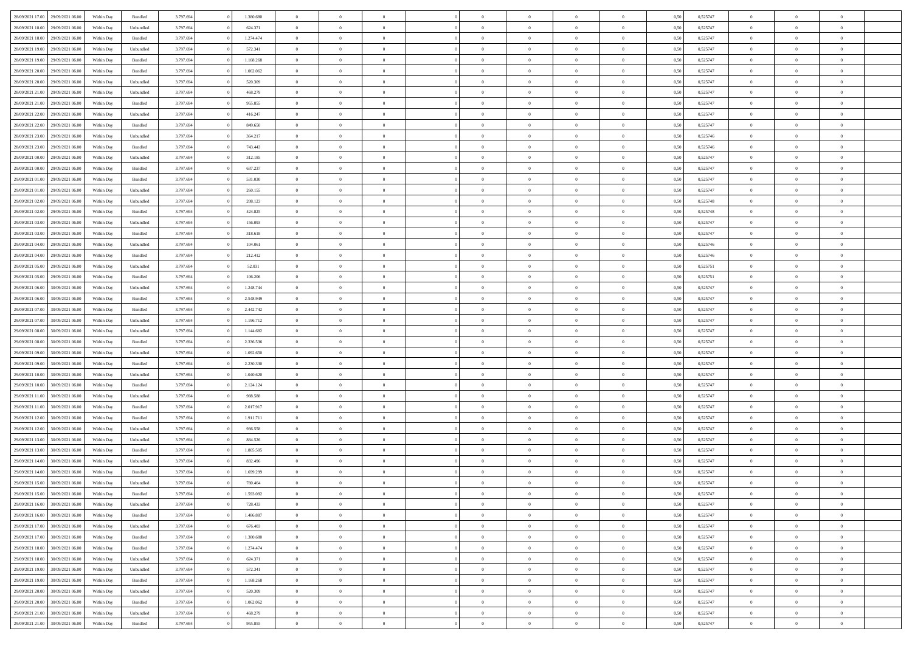| 28/09/2021 17:00 29/09/2021 06:00    | Within Day | Bundled            | 3.797.694 | 1.380.680 | $\overline{0}$ | $\overline{0}$ | $\Omega$       | $\Omega$       | $\Omega$       |                | $\overline{0}$ | 0,50 | 0,525747 | $\mathbf{0}$   | $\Omega$       | $\Omega$       |  |
|--------------------------------------|------------|--------------------|-----------|-----------|----------------|----------------|----------------|----------------|----------------|----------------|----------------|------|----------|----------------|----------------|----------------|--|
| 28/09/2021 18:00<br>29/09/2021 06:00 | Within Day | Unbundled          | 3.797.694 | 624.371   | $\bf{0}$       | $\overline{0}$ | $\overline{0}$ | $\theta$       | $\overline{0}$ | $\overline{0}$ | $\,$ 0         | 0,50 | 0,525747 | $\mathbf{0}$   | $\theta$       | $\bf{0}$       |  |
| 28/09/2021 18:00<br>29/09/2021 06:00 | Within Day | Bundled            | 3.797.694 | 1.274.474 | $\overline{0}$ | $\overline{0}$ | $\overline{0}$ | $\bf{0}$       | $\bf{0}$       | $\overline{0}$ | $\mathbf{0}$   | 0,50 | 0,525747 | $\bf{0}$       | $\bf{0}$       | $\bf{0}$       |  |
|                                      |            |                    |           |           |                |                |                |                |                |                |                |      |          |                |                |                |  |
| 28/09/2021 19:00<br>29/09/2021 06:00 | Within Day | Unbundled          | 3.797.694 | 572.341   | $\overline{0}$ | $\overline{0}$ | $\overline{0}$ | $\overline{0}$ | $\overline{0}$ | $\Omega$       | $\overline{0}$ | 0.50 | 0,525747 | $\mathbf{0}$   | $\overline{0}$ | $\bf{0}$       |  |
| 28/09/2021 19:00<br>29/09/2021 06:00 | Within Day | $\mathbf B$ undled | 3.797.694 | 1.168.268 | $\bf{0}$       | $\overline{0}$ | $\overline{0}$ | $\theta$       | $\overline{0}$ | $\overline{0}$ | $\bf{0}$       | 0,50 | 0,525747 | $\mathbf{0}$   | $\theta$       | $\overline{0}$ |  |
| 28/09/2021 20:00<br>29/09/2021 06.00 | Within Day | Bundled            | 3.797.694 | 1.062.062 | $\overline{0}$ | $\overline{0}$ | $\overline{0}$ | $\bf{0}$       | $\overline{0}$ | $\overline{0}$ | $\overline{0}$ | 0,50 | 0,525747 | $\overline{0}$ | $\bf{0}$       | $\overline{0}$ |  |
| 28/09/2021 20:00<br>29/09/2021 06:00 | Within Day | Unbundled          | 3.797.694 | 520.309   | $\overline{0}$ | $\overline{0}$ | $\overline{0}$ | $\overline{0}$ | $\overline{0}$ | $\overline{0}$ | $\overline{0}$ | 0.50 | 0,525747 | $\mathbf{0}$   | $\overline{0}$ | $\bf{0}$       |  |
|                                      |            |                    |           |           |                |                |                |                |                |                |                |      |          |                |                |                |  |
| 28/09/2021 21:00<br>29/09/2021 06:00 | Within Day | Unbundled          | 3.797.694 | 468.279   | $\bf{0}$       | $\overline{0}$ | $\overline{0}$ | $\theta$       | $\overline{0}$ | $\overline{0}$ | $\bf{0}$       | 0,50 | 0,525747 | $\theta$       | $\theta$       | $\bf{0}$       |  |
| 28/09/2021 21:00<br>29/09/2021 06.00 | Within Day | Bundled            | 3.797.694 | 955.855   | $\overline{0}$ | $\overline{0}$ | $\bf{0}$       | $\bf{0}$       | $\bf{0}$       | $\overline{0}$ | $\bf{0}$       | 0,50 | 0,525747 | $\bf{0}$       | $\bf{0}$       | $\bf{0}$       |  |
| 28/09/2021 22:00<br>29/09/2021 06:00 | Within Day | Unbundled          | 3.797.694 | 416.247   | $\overline{0}$ | $\overline{0}$ | $\overline{0}$ | $\overline{0}$ | $\overline{0}$ | $\overline{0}$ | $\overline{0}$ | 0.50 | 0,525747 | $\overline{0}$ | $\overline{0}$ | $\overline{0}$ |  |
| 28/09/2021 22:00<br>29/09/2021 06:00 | Within Day | $\mathbf B$ undled | 3.797.694 | 849.650   | $\bf{0}$       | $\overline{0}$ | $\overline{0}$ | $\overline{0}$ | $\overline{0}$ | $\overline{0}$ | $\,$ 0         | 0,50 | 0,525747 | $\mathbf{0}$   | $\theta$       | $\bf{0}$       |  |
| 28/09/2021 23:00<br>29/09/2021 06.00 | Within Day | Unbundled          | 3.797.694 | 364.217   | $\overline{0}$ | $\overline{0}$ | $\overline{0}$ | $\bf{0}$       | $\bf{0}$       | $\overline{0}$ | $\mathbf{0}$   | 0,50 | 0,525746 | $\bf{0}$       | $\bf{0}$       | $\bf{0}$       |  |
|                                      |            |                    |           |           |                |                |                |                |                |                |                |      |          |                |                |                |  |
| 28/09/2021 23:00<br>29/09/2021 06:00 | Within Day | Bundled            | 3.797.694 | 743.443   | $\overline{0}$ | $\overline{0}$ | $\overline{0}$ | $\overline{0}$ | $\overline{0}$ | $\overline{0}$ | $\overline{0}$ | 0.50 | 0.525746 | $\mathbf{0}$   | $\overline{0}$ | $\bf{0}$       |  |
| 29/09/2021 00:00<br>29/09/2021 06:00 | Within Day | Unbundled          | 3.797.694 | 312.185   | $\bf{0}$       | $\overline{0}$ | $\theta$       | $\theta$       | $\overline{0}$ | $\overline{0}$ | $\,$ 0         | 0,50 | 0,525747 | $\theta$       | $\theta$       | $\overline{0}$ |  |
| 29/09/2021 00:00<br>29/09/2021 06.00 | Within Day | Bundled            | 3.797.694 | 637.237   | $\overline{0}$ | $\overline{0}$ | $\overline{0}$ | $\bf{0}$       | $\overline{0}$ | $\overline{0}$ | $\overline{0}$ | 0,50 | 0,525747 | $\overline{0}$ | $\bf{0}$       | $\overline{0}$ |  |
| 29/09/2021 01:00<br>29/09/2021 06:00 | Within Day | Bundled            | 3.797.694 | 531.030   | $\overline{0}$ | $\overline{0}$ | $\overline{0}$ | $\overline{0}$ | $\overline{0}$ | $\overline{0}$ | $\overline{0}$ | 0.50 | 0,525747 | $\overline{0}$ | $\overline{0}$ | $\bf{0}$       |  |
| 29/09/2021 01:00<br>29/09/2021 06:00 | Within Day | Unbundled          | 3.797.694 | 260.155   | $\bf{0}$       | $\overline{0}$ | $\overline{0}$ | $\overline{0}$ | $\overline{0}$ | $\overline{0}$ | $\bf{0}$       | 0,50 | 0,525747 | $\theta$       | $\theta$       | $\bf{0}$       |  |
|                                      |            |                    |           |           |                |                |                |                |                |                |                |      |          |                |                |                |  |
| 29/09/2021 02:00<br>29/09/2021 06.00 | Within Day | Unbundled          | 3.797.694 | 208.123   | $\overline{0}$ | $\overline{0}$ | $\bf{0}$       | $\bf{0}$       | $\bf{0}$       | $\overline{0}$ | $\bf{0}$       | 0,50 | 0,525748 | $\bf{0}$       | $\bf{0}$       | $\bf{0}$       |  |
| 29/09/2021 02:00<br>29/09/2021 06:00 | Within Day | Bundled            | 3.797.694 | 424.825   | $\overline{0}$ | $\overline{0}$ | $\overline{0}$ | $\overline{0}$ | $\overline{0}$ | $\overline{0}$ | $\overline{0}$ | 0.50 | 0,525748 | $\overline{0}$ | $\overline{0}$ | $\overline{0}$ |  |
| 29/09/2021 03:00<br>29/09/2021 06:00 | Within Day | Unbundled          | 3.797.694 | 156.093   | $\bf{0}$       | $\overline{0}$ | $\overline{0}$ | $\theta$       | $\overline{0}$ | $\overline{0}$ | $\,$ 0         | 0,50 | 0,525747 | $\theta$       | $\theta$       | $\bf{0}$       |  |
| 29/09/2021 03:00<br>29/09/2021 06.00 | Within Day | Bundled            | 3.797.694 | 318.618   | $\overline{0}$ | $\overline{0}$ | $\overline{0}$ | $\bf{0}$       | $\bf{0}$       | $\overline{0}$ | $\mathbf{0}$   | 0,50 | 0,525747 | $\bf{0}$       | $\bf{0}$       | $\bf{0}$       |  |
| 29/09/2021 06:00                     |            | Unbundled          | 3.797.694 | 104,061   | $\overline{0}$ | $\overline{0}$ | $\overline{0}$ | $\overline{0}$ | $\overline{0}$ |                | $\overline{0}$ | 0.50 | 0,525746 | $\overline{0}$ | $\overline{0}$ | $\bf{0}$       |  |
| 29/09/2021 04:00                     | Within Day |                    |           |           |                |                |                |                |                | $\overline{0}$ |                |      |          |                |                |                |  |
| 29/09/2021 04:00<br>29/09/2021 06:00 | Within Day | $\mathbf B$ undled | 3.797.694 | 212.412   | $\bf{0}$       | $\overline{0}$ | $\overline{0}$ | $\overline{0}$ | $\overline{0}$ | $\overline{0}$ | $\,$ 0         | 0,50 | 0,525746 | $\mathbf{0}$   | $\theta$       | $\bf{0}$       |  |
| 29/09/2021 05:00<br>29/09/2021 06.00 | Within Day | Unbundled          | 3.797.694 | 52.031    | $\overline{0}$ | $\overline{0}$ | $\overline{0}$ | $\bf{0}$       | $\overline{0}$ | $\overline{0}$ | $\overline{0}$ | 0,50 | 0,525751 | $\overline{0}$ | $\bf{0}$       | $\overline{0}$ |  |
| 29/09/2021 05:00<br>29/09/2021 06:00 | Within Day | Bundled            | 3.797.694 | 106.206   | $\overline{0}$ | $\overline{0}$ | $\overline{0}$ | $\overline{0}$ | $\overline{0}$ | $\overline{0}$ | $\overline{0}$ | 0.50 | 0,525751 | $\overline{0}$ | $\overline{0}$ | $\overline{0}$ |  |
| 29/09/2021 06:00<br>30/09/2021 06:00 | Within Day | Unbundled          | 3.797.694 | 1.248.744 | $\bf{0}$       | $\overline{0}$ | $\bf{0}$       | $\overline{0}$ | $\overline{0}$ | $\overline{0}$ | $\bf{0}$       | 0,50 | 0,525747 | $\theta$       | $\theta$       | $\bf{0}$       |  |
|                                      |            |                    |           |           |                |                |                |                |                |                |                |      |          |                |                |                |  |
| 29/09/2021 06:00<br>30/09/2021 06:00 | Within Day | Bundled            | 3.797.694 | 2.548.949 | $\overline{0}$ | $\overline{0}$ | $\bf{0}$       | $\bf{0}$       | $\bf{0}$       | $\overline{0}$ | $\bf{0}$       | 0,50 | 0,525747 | $\bf{0}$       | $\bf{0}$       | $\bf{0}$       |  |
| 29/09/2021 07:00<br>30/09/2021 06:00 | Within Day | Bundled            | 3.797.694 | 2.442.742 | $\overline{0}$ | $\overline{0}$ | $\overline{0}$ | $\overline{0}$ | $\overline{0}$ | $\overline{0}$ | $\overline{0}$ | 0.50 | 0,525747 | $\overline{0}$ | $\overline{0}$ | $\bf{0}$       |  |
| 29/09/2021 07:00<br>30/09/2021 06:00 | Within Day | Unbundled          | 3.797.694 | 1.196.712 | $\bf{0}$       | $\overline{0}$ | $\overline{0}$ | $\overline{0}$ | $\overline{0}$ | $\overline{0}$ | $\,$ 0         | 0,50 | 0,525747 | $\theta$       | $\theta$       | $\bf{0}$       |  |
| 29/09/2021 08:00<br>30/09/2021 06:00 | Within Day | Unbundled          | 3.797.694 | 1.144.682 | $\overline{0}$ | $\overline{0}$ | $\overline{0}$ | $\bf{0}$       | $\bf{0}$       | $\overline{0}$ | $\mathbf{0}$   | 0,50 | 0,525747 | $\overline{0}$ | $\bf{0}$       | $\bf{0}$       |  |
| 29/09/2021 08:00<br>30/09/2021 06:00 | Within Day | Bundled            | 3.797.694 | 2.336.536 | $\overline{0}$ | $\overline{0}$ | $\overline{0}$ | $\overline{0}$ | $\overline{0}$ | $\Omega$       | $\overline{0}$ | 0,50 | 0,525747 | $\bf{0}$       | $\Omega$       | $\Omega$       |  |
|                                      |            |                    |           |           |                |                |                |                |                |                |                |      |          |                |                |                |  |
| 29/09/2021 09:00<br>30/09/2021 06:00 | Within Day | Unbundled          | 3.797.694 | 1.092.650 | $\bf{0}$       | $\overline{0}$ | $\overline{0}$ | $\theta$       | $\overline{0}$ | $\overline{0}$ | $\,$ 0         | 0,50 | 0,525747 | $\theta$       | $\theta$       | $\bf{0}$       |  |
| 29/09/2021 09:00<br>30/09/2021 06:00 | Within Day | Bundled            | 3.797.694 | 2.230.330 | $\overline{0}$ | $\overline{0}$ | $\overline{0}$ | $\bf{0}$       | $\overline{0}$ | $\overline{0}$ | $\overline{0}$ | 0,50 | 0,525747 | $\overline{0}$ | $\bf{0}$       | $\overline{0}$ |  |
| 29/09/2021 10:00<br>30/09/2021 06:00 | Within Day | Unbundled          | 3.797.694 | 1.040.620 | $\overline{0}$ | $\overline{0}$ | $\overline{0}$ | $\overline{0}$ | $\overline{0}$ | $\Omega$       | $\overline{0}$ | 0.50 | 0,525747 | $\overline{0}$ | $\Omega$       | $\Omega$       |  |
| 29/09/2021 10:00<br>30/09/2021 06:00 | Within Day | Bundled            | 3.797.694 | 2.124.124 | $\bf{0}$       | $\overline{0}$ | $\bf{0}$       | $\overline{0}$ | $\overline{0}$ | $\overline{0}$ | $\bf{0}$       | 0,50 | 0,525747 | $\theta$       | $\theta$       | $\bf{0}$       |  |
| 29/09/2021 11:00<br>30/09/2021 06:00 | Within Day | Unbundled          | 3.797.694 | 988.588   | $\overline{0}$ | $\overline{0}$ | $\bf{0}$       | $\bf{0}$       | $\bf{0}$       | $\overline{0}$ | $\bf{0}$       | 0,50 | 0,525747 | $\bf{0}$       | $\bf{0}$       | $\bf{0}$       |  |
|                                      |            |                    |           |           |                |                |                |                |                |                |                |      |          |                |                |                |  |
| 29/09/2021 11:00<br>30/09/2021 06:00 | Within Day | Bundled            | 3.797.694 | 2.017.917 | $\overline{0}$ | $\overline{0}$ | $\Omega$       | $\overline{0}$ | $\overline{0}$ | $\Omega$       | $\theta$       | 0.50 | 0,525747 | $\overline{0}$ | $\Omega$       | $\Omega$       |  |
| 29/09/2021 12:00<br>30/09/2021 06:00 | Within Day | Bundled            | 3.797.694 | 1.911.711 | $\bf{0}$       | $\overline{0}$ | $\bf{0}$       | $\overline{0}$ | $\overline{0}$ | $\overline{0}$ | $\,$ 0         | 0,50 | 0,525747 | $\theta$       | $\theta$       | $\bf{0}$       |  |
| 29/09/2021 12:00<br>30/09/2021 06:00 | Within Day | Unbundled          | 3.797.694 | 936.558   | $\overline{0}$ | $\overline{0}$ | $\overline{0}$ | $\bf{0}$       | $\bf{0}$       | $\overline{0}$ | $\mathbf{0}$   | 0,50 | 0,525747 | $\overline{0}$ | $\bf{0}$       | $\bf{0}$       |  |
| 29/09/2021 13:00<br>30/09/2021 06:00 | Within Day | Unbundled          | 3.797.694 | 884.526   | $\overline{0}$ | $\overline{0}$ | $\overline{0}$ | $\overline{0}$ | $\overline{0}$ | $\Omega$       | $\overline{0}$ | 0,50 | 0,525747 | $\overline{0}$ | $\Omega$       | $\Omega$       |  |
| 29/09/2021 13:00<br>30/09/2021 06:00 | Within Day | Bundled            | 3.797.694 | 1.805.505 | $\bf{0}$       | $\overline{0}$ | $\bf{0}$       | $\overline{0}$ | $\overline{0}$ | $\overline{0}$ | $\,$ 0         | 0,50 | 0,525747 | $\,$ 0 $\,$    | $\theta$       | $\bf{0}$       |  |
|                                      |            |                    |           |           |                |                |                |                |                |                |                |      |          |                |                |                |  |
| 29/09/2021 14:00<br>30/09/2021 06:00 | Within Day | Unbundled          | 3.797.694 | 832.496   | $\overline{0}$ | $\overline{0}$ | $\bf{0}$       | $\bf{0}$       | $\overline{0}$ | $\overline{0}$ | $\overline{0}$ | 0,50 | 0,525747 | $\overline{0}$ | $\bf{0}$       | $\bf{0}$       |  |
| 29/09/2021 14:00<br>30/09/2021 06:00 | Within Day | Bundled            | 3.797.694 | 1.699.299 | $\overline{0}$ | $\Omega$       | $\Omega$       | $\Omega$       | $\overline{0}$ | $\Omega$       | $\overline{0}$ | 0.50 | 0,525747 | $\overline{0}$ | $\Omega$       | $\Omega$       |  |
| 29/09/2021 15:00<br>30/09/2021 06:00 | Within Day | Unbundled          | 3.797.694 | 780.464   | $\bf{0}$       | $\bf{0}$       | $\bf{0}$       | $\bf{0}$       | $\bf{0}$       | $\overline{0}$ | $\,$ 0         | 0,50 | 0,525747 | $\bf{0}$       | $\,$ 0         | $\bf{0}$       |  |
| 29/09/2021 15:00<br>30/09/2021 06:00 | Within Day | Bundled            | 3.797.694 | 1.593.092 | $\bf{0}$       | $\bf{0}$       |                |                |                |                |                | 0,50 | 0,525747 | $\bf{0}$       | $\bf{0}$       |                |  |
| 29/09/2021 16:00<br>30/09/2021 06:00 | Within Day | Unbundled          | 3.797.694 | 728.433   | $\overline{0}$ | $\overline{0}$ | $\theta$       | $\overline{0}$ | $\overline{0}$ | $\overline{0}$ | $\mathbf{0}$   | 0,50 | 0,525747 | $\overline{0}$ | $\theta$       | $\overline{0}$ |  |
|                                      |            |                    |           |           |                |                |                |                |                |                |                |      |          |                |                |                |  |
| 29/09/2021 16:00<br>30/09/2021 06:00 | Within Day | Bundled            | 3.797.694 | 1.486.887 | $\overline{0}$ | $\overline{0}$ | $\overline{0}$ | $\bf{0}$       | $\overline{0}$ | $\overline{0}$ | $\mathbf{0}$   | 0,50 | 0,525747 | $\,$ 0 $\,$    | $\overline{0}$ | $\,$ 0 $\,$    |  |
| 29/09/2021 17:00<br>30/09/2021 06:00 | Within Day | Unbundled          | 3.797.694 | 676.403   | $\overline{0}$ | $\overline{0}$ | $\overline{0}$ | $\bf{0}$       | $\overline{0}$ | $\overline{0}$ | $\overline{0}$ | 0,50 | 0,525747 | $\overline{0}$ | $\overline{0}$ | $\overline{0}$ |  |
| 29/09/2021 17:00<br>30/09/2021 06:00 | Within Day | Bundled            | 3.797.694 | 1.380.680 | $\overline{0}$ | $\overline{0}$ | $\overline{0}$ | $\overline{0}$ | $\bf{0}$       | $\overline{0}$ | $\bf{0}$       | 0,50 | 0,525747 | $\overline{0}$ | $\overline{0}$ | $\overline{0}$ |  |
| 29/09/2021 18:00<br>30/09/2021 06:00 | Within Day | Bundled            | 3.797.694 | 1.274.474 | $\overline{0}$ | $\overline{0}$ | $\overline{0}$ | $\overline{0}$ | $\overline{0}$ | $\overline{0}$ | $\,$ 0 $\,$    | 0,50 | 0,525747 | $\,$ 0 $\,$    | $\theta$       | $\bf{0}$       |  |
| 29/09/2021 18:00<br>30/09/2021 06:00 | Within Day | Unbundled          | 3.797.694 | 624.371   | $\overline{0}$ | $\overline{0}$ | $\overline{0}$ | $\bf{0}$       | $\overline{0}$ | $\overline{0}$ | $\overline{0}$ | 0,50 | 0,525747 | $\overline{0}$ | $\overline{0}$ | $\overline{0}$ |  |
|                                      |            |                    |           |           |                |                |                |                |                |                |                |      |          |                |                |                |  |
| 29/09/2021 19:00<br>30/09/2021 06:00 | Within Day | Unbundled          | 3.797.694 | 572.341   | $\overline{0}$ | $\overline{0}$ | $\overline{0}$ | $\overline{0}$ | $\overline{0}$ | $\overline{0}$ | $\overline{0}$ | 0,50 | 0,525747 | $\overline{0}$ | $\overline{0}$ | $\overline{0}$ |  |
| 29/09/2021 19:00<br>30/09/2021 06:00 | Within Day | Bundled            | 3.797.694 | 1.168.268 | $\overline{0}$ | $\overline{0}$ | $\overline{0}$ | $\bf{0}$       | $\bf{0}$       | $\overline{0}$ | $\,$ 0 $\,$    | 0,50 | 0,525747 | $\,$ 0 $\,$    | $\theta$       | $\,$ 0         |  |
| 29/09/2021 20:00<br>30/09/2021 06:00 | Within Day | Unbundled          | 3.797.694 | 520.309   | $\overline{0}$ | $\overline{0}$ | $\overline{0}$ | $\bf{0}$       | $\overline{0}$ | $\overline{0}$ | $\overline{0}$ | 0,50 | 0,525747 | $\bf{0}$       | $\bf{0}$       | $\overline{0}$ |  |
| 29/09/2021 20:00<br>30/09/2021 06:00 | Within Day | Bundled            | 3.797.694 | 1.062.062 | $\overline{0}$ | $\overline{0}$ | $\overline{0}$ | $\overline{0}$ | $\overline{0}$ | $\overline{0}$ | $\overline{0}$ | 0,50 | 0,525747 | $\overline{0}$ | $\overline{0}$ | $\overline{0}$ |  |
| 29/09/2021 21:00<br>30/09/2021 06:00 | Within Day | Unbundled          | 3.797.694 | 468.279   | $\overline{0}$ | $\overline{0}$ | $\overline{0}$ | $\bf{0}$       | $\bf{0}$       | $\bf{0}$       | $\,$ 0 $\,$    | 0,50 | 0,525747 | $\,$ 0 $\,$    | $\,0\,$        | $\,$ 0         |  |
|                                      |            |                    |           |           |                |                |                |                |                |                |                |      |          |                |                |                |  |
| 29/09/2021 21:00 30/09/2021 06:00    | Within Day | Bundled            | 3.797.694 | 955.855   | $\overline{0}$ | $\overline{0}$ | $\overline{0}$ | $\bf{0}$       | $\bf{0}$       | $\overline{0}$ | $\bf{0}$       | 0,50 | 0,525747 | $\bf{0}$       | $\bf{0}$       | $\overline{0}$ |  |